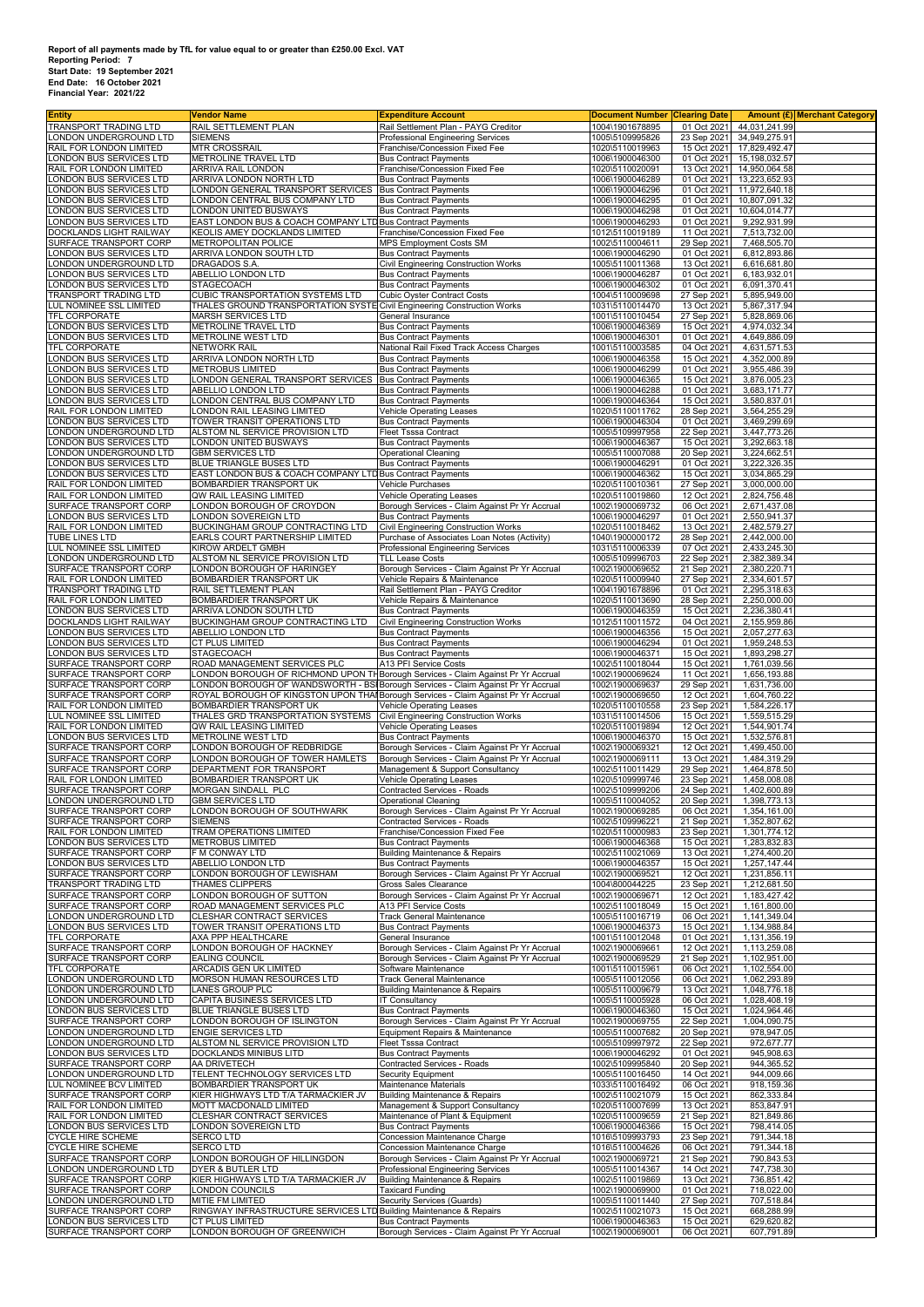## Report of all payments made by TfL for value equal to or greater than £250.00 Excl. VAT<br>Start Date: 19 September 2021<br>Start Date: 19 September 2021<br>End Date: 16 October 2021<br>Financial Year: 2021/22

| <b>Entity</b>                                      | <b>Vendor Name</b>                                                                                                                                                 | <b>Expenditure Account</b>                                                                       | <b>Document Number Clearing Date</b> |                            |                                | Amount (£) Merchant Category |
|----------------------------------------------------|--------------------------------------------------------------------------------------------------------------------------------------------------------------------|--------------------------------------------------------------------------------------------------|--------------------------------------|----------------------------|--------------------------------|------------------------------|
| TRANSPORT TRADING LTD<br>LONDON UNDERGROUND LTD    | RAIL SETTLEMENT PLAN<br><b>SIEMENS</b>                                                                                                                             | Rail Settlement Plan - PAYG Creditor<br>Professional Engineering Services                        | 1004\1901678895<br>1005\5109995826   | 01 Oct 2021<br>23 Sep 2021 | 44,031,241.99<br>34,949,275.91 |                              |
| RAIL FOR LONDON LIMITED                            | <b>MTR CROSSRAIL</b>                                                                                                                                               | Franchise/Concession Fixed Fee                                                                   | 1020\5110019963                      | 15 Oct 2021                | 17,829,492.47                  |                              |
| ONDON BUS SERVICES LTD                             | METROLINE TRAVEL LTD                                                                                                                                               | <b>Bus Contract Payments</b>                                                                     | 1006\1900046300                      | 01 Oct 2021                | 15, 198, 032.57                |                              |
| RAIL FOR LONDON LIMITED<br>ONDON BUS SERVICES LTD  | ARRIVA RAIL LONDON<br>ARRIVA LONDON NORTH LTD                                                                                                                      | Franchise/Concession Fixed Fee<br><b>Bus Contract Payments</b>                                   | 1020\5110020091<br>1006\1900046289   | 13 Oct 2021<br>01 Oct 2021 | 14,950,064.58<br>13,223,652.93 |                              |
| ONDON BUS SERVICES LTD                             | ONDON GENERAL TRANSPORT SERVICES                                                                                                                                   | <b>Bus Contract Payments</b>                                                                     | 1006\1900046296                      | 01 Oct 2021                | 11,972,640.18                  |                              |
| ONDON BUS SERVICES LTD                             | ONDON CENTRAL BUS COMPANY LTD                                                                                                                                      | <b>Bus Contract Payments</b>                                                                     | 1006\1900046295                      | 01 Oct 2021                | 10,807,091.32                  |                              |
| ONDON BUS SERVICES LTD.<br>ONDON BUS SERVICES LTD  | ONDON UNITED BUSWAYS<br>EAST LONDON BUS & COACH COMPANY LTD Bus Contract Payments                                                                                  | <b>Bus Contract Payments</b>                                                                     | 1006\1900046298<br>1006\1900046293   | 01 Oct 2021<br>01 Oct 2021 | 10,604,014.77<br>9,292,931.99  |                              |
| DOCKLANDS LIGHT RAILWAY                            | KEOLIS AMEY DOCKLANDS LIMITED                                                                                                                                      | Franchise/Concession Fixed Fee                                                                   | 1012\5110019189                      | 11 Oct 2021                | 7,513,732.00                   |                              |
| SURFACE TRANSPORT CORP                             | METROPOLITAN POLICE                                                                                                                                                | MPS Employment Costs SM                                                                          | 1002\5110004611                      | 29 Sep 2021                | 7,468,505.70                   |                              |
| ONDON BUS SERVICES LTD<br>ONDON UNDERGROUND LTD    | ARRIVA LONDON SOUTH LTD<br><b>DRAGADOS S.A</b>                                                                                                                     | <b>Bus Contract Payments</b><br>Civil Engineering Construction Works                             | 1006\1900046290<br>1005\5110011368   | 01 Oct 2021<br>13 Oct 2021 | 6,812,893.86<br>6,616,681.80   |                              |
| ONDON BUS SERVICES LTD                             | ABELLIO LONDON LTD                                                                                                                                                 | <b>Bus Contract Payments</b>                                                                     | 1006\1900046287                      | 01 Oct 2021                | 6,183,932.01                   |                              |
| ONDON BUS SERVICES LTD                             | <b>STAGECOACH</b>                                                                                                                                                  | <b>Bus Contract Payments</b>                                                                     | 1006\1900046302                      | 01 Oct 2021                | 6,091,370.41                   |                              |
| TRANSPORT TRADING LTD<br>LUL NOMINEE SSL LIMITED   | <b>CUBIC TRANSPORTATION SYSTEMS LTD</b><br>THALES GROUND TRANSPORTATION SYSTE Civil Engineering Construction Works                                                 | <b>Cubic Oyster Contract Costs</b>                                                               | 1004\5110009698<br>1031\5110014470   | 27 Sep 2021<br>13 Oct 2021 | 5,895,949.00<br>5,867,317.94   |                              |
| TFL CORPORATE                                      | <b>MARSH SERVICES LTD</b>                                                                                                                                          | General Insurance                                                                                | 1001\5110010454                      | 27 Sep 2021                | 5,828,869.06                   |                              |
| ONDON BUS SERVICES LTD                             | METROLINE TRAVEL LTD                                                                                                                                               | <b>Bus Contract Payments</b>                                                                     | 1006\1900046369                      | 15 Oct 2021                | 4,974,032.34                   |                              |
| ONDON BUS SERVICES LTD<br>TFL CORPORATE            | METROLINE WEST LTD<br><b>NETWORK RAIL</b>                                                                                                                          | <b>Bus Contract Payments</b><br>National Rail Fixed Track Access Charges                         | 1006\1900046301<br>1001\5110003585   | 01 Oct 2021<br>04 Oct 2021 | 4,649,886.09<br>4,631,571.53   |                              |
| LONDON BUS SERVICES LTD                            | ARRIVA LONDON NORTH LTD                                                                                                                                            | <b>Bus Contract Payments</b>                                                                     | 1006\1900046358                      | 15 Oct 2021                | 4,352,000.89                   |                              |
| ONDON BUS SERVICES LTD                             | <b>METROBUS LIMITED</b>                                                                                                                                            | <b>Bus Contract Payments</b>                                                                     | 1006\1900046299                      | 01 Oct 2021                | 3,955,486.39                   |                              |
| LONDON BUS SERVICES LTD<br>ONDON BUS SERVICES LTD  | LONDON GENERAL TRANSPORT SERVICES<br>ABELLIO LONDON LTD                                                                                                            | <b>Bus Contract Payments</b><br><b>Bus Contract Payments</b>                                     | 1006\1900046365<br>1006\1900046288   | 15 Oct 2021<br>01 Oct 2021 | 3,876,005.23<br>3,683,171.77   |                              |
| ONDON BUS SERVICES LTD                             | ONDON CENTRAL BUS COMPANY LTD                                                                                                                                      | <b>Bus Contract Payments</b>                                                                     | 1006\1900046364                      | 15 Oct 2021                | 3,580,837.01                   |                              |
| RAIL FOR LONDON LIMITED                            | ONDON RAIL LEASING LIMITED                                                                                                                                         | <b>Vehicle Operating Leases</b>                                                                  | 1020\5110011762                      | 28 Sep 2021                | 3,564,255.29                   |                              |
| ONDON BUS SERVICES LTD<br>ONDON UNDERGROUND LTD    | TOWER TRANSIT OPERATIONS LTD<br>ALSTOM NL SERVICE PROVISION LTD                                                                                                    | <b>Bus Contract Payments</b><br><b>Fleet Tsssa Contract</b>                                      | 1006\1900046304<br>1005\5109997958   | 01 Oct 2021<br>22 Sep 2021 | 3,469,299.69<br>3,447,773.26   |                              |
| ONDON BUS SERVICES LTD                             | ONDON UNITED BUSWAYS                                                                                                                                               | <b>Bus Contract Payments</b>                                                                     | 1006\1900046367                      | 15 Oct 2021                | 3,292,663.18                   |                              |
| ONDON UNDERGROUND LTD.                             | <b>GBM SERVICES LTD</b>                                                                                                                                            | <b>Operational Cleaning</b>                                                                      | 1005\5110007088                      | 20 Sep 2021                | 3,224,662.51                   |                              |
| ONDON BUS SERVICES LTD<br>ONDON BUS SERVICES LTD   | BLUE TRIANGLE BUSES LTD<br>EAST LONDON BUS & COACH COMPANY LTD Bus Contract Payments                                                                               | <b>Bus Contract Payments</b>                                                                     | 1006\1900046291<br>1006\1900046362   | 01 Oct 2021<br>15 Oct 2021 | 3,222,326.35<br>3,034,865.29   |                              |
| RAIL FOR LONDON LIMITED                            | BOMBARDIER TRANSPORT UK                                                                                                                                            | Vehicle Purchases                                                                                | 1020\5110010361                      | 27 Sep 2021                | 3,000,000.00                   |                              |
| RAIL FOR LONDON LIMITED                            | QW RAIL LEASING LIMITED                                                                                                                                            | Vehicle Operating Leases                                                                         | 1020\5110019860                      | 12 Oct 2021                | 2,824,756.48                   |                              |
| SURFACE TRANSPORT CORP<br>ONDON BUS SERVICES LTD.  | ONDON BOROUGH OF CROYDON<br>ONDON SOVEREIGN LTD.                                                                                                                   | Borough Services - Claim Against Pr Yr Accrual<br><b>Bus Contract Payments</b>                   | 1002\1900069732<br>1006\1900046297   | 06 Oct 2021<br>01 Oct 2021 | 2,671,437.08<br>2,550,941.37   |                              |
| RAIL FOR LONDON LIMITED                            | BUCKINGHAM GROUP CONTRACTING LTD                                                                                                                                   | Civil Engineering Construction Works                                                             | 1020\5110018462                      | 13 Oct 2021                | 2,482,579.27                   |                              |
| TUBE LINES LTD                                     | <b>EARLS COURT PARTNERSHIP LIMITED</b>                                                                                                                             | Purchase of Associates Loan Notes (Activity)                                                     | 1040\1900000172                      | 28 Sep 2021                | 2,442,000.00                   |                              |
| LUL NOMINEE SSL LIMITED<br>LONDON UNDERGROUND LTD  | KIROW ARDELT GMBH<br>ALSTOM NL SERVICE PROVISION LTD                                                                                                               | Professional Engineering Services<br><b>TLL Lease Costs</b>                                      | 1031\5110006339<br>1005\5109996703   | 07 Oct 2021<br>22 Sep 2021 | 2,433,245.30<br>2,382,389.34   |                              |
| SURFACE TRANSPORT CORP                             | LONDON BOROUGH OF HARINGEY                                                                                                                                         | Borough Services - Claim Against Pr Yr Accrual                                                   | 1002\1900069652                      | 21 Sep 2021                | 2,380,220.71                   |                              |
| RAIL FOR LONDON LIMITED                            | <b>BOMBARDIER TRANSPORT UK</b>                                                                                                                                     | Vehicle Repairs & Maintenance                                                                    | 1020\5110009940                      | 27 Sep 2021                | 2,334,601.57                   |                              |
| TRANSPORT TRADING LTD<br>RAIL FOR LONDON LIMITED   | RAIL SETTLEMENT PLAN<br>BOMBARDIER TRANSPORT UK                                                                                                                    | Rail Settlement Plan - PAYG Creditor<br>Vehicle Repairs & Maintenance                            | 1004\1901678896<br>1020\5110013690   | 01 Oct 2021<br>28 Sep 2021 | 2,295,318.63<br>2,250,000.00   |                              |
| LONDON BUS SERVICES LTD                            | ARRIVA LONDON SOUTH LTD                                                                                                                                            | <b>Bus Contract Payments</b>                                                                     | 1006\1900046359                      | 15 Oct 2021                | 2,236,380.41                   |                              |
| DOCKLANDS LIGHT RAILWAY                            | BUCKINGHAM GROUP CONTRACTING LTD                                                                                                                                   | Civil Engineering Construction Works                                                             | 1012\5110011572                      | 04 Oct 2021                | 2,155,959.86                   |                              |
| ONDON BUS SERVICES LTD<br>ONDON BUS SERVICES LTD   | ABELLIO LONDON LTD<br>CT PLUS LIMITED                                                                                                                              | <b>Bus Contract Payments</b><br><b>Bus Contract Payments</b>                                     | 1006\1900046356<br>1006\1900046294   | 15 Oct 2021<br>01 Oct 2021 | 2,057,277.63<br>1,959,248.53   |                              |
| ONDON BUS SERVICES LTD                             | <b>STAGECOACH</b>                                                                                                                                                  | <b>Bus Contract Payments</b>                                                                     | 1006\1900046371                      | 15 Oct 2021                | 1,893,298.27                   |                              |
| SURFACE TRANSPORT CORP                             | ROAD MANAGEMENT SERVICES PLC                                                                                                                                       | A13 PFI Service Costs                                                                            | 1002\5110018044                      | 15 Oct 2021                | 1,761,039.56                   |                              |
| SURFACE TRANSPORT CORP<br>SURFACE TRANSPORT CORP   | ONDON BOROUGH OF RICHMOND UPON THBorough Services - Claim Against Pr Yr Accrual<br>ONDON BOROUGH OF WANDSWORTH - BSIBorough Services - Claim Against Pr Yr Accrual |                                                                                                  | 1002\1900069624<br>1002\1900069637   | 11 Oct 2021<br>29 Sep 2021 | 1,656,193.88<br>1,631,736.00   |                              |
| SURFACE TRANSPORT CORP                             | ROYAL BOROUGH OF KINGSTON UPON THAI Borough Services - Claim Against Pr Yr Accrual                                                                                 |                                                                                                  | 1002\1900069650                      | 12 Oct 2021                | 1,604,760.22                   |                              |
| RAIL FOR LONDON LIMITED<br>LUL NOMINEE SSL LIMITED | BOMBARDIER TRANSPORT UK<br>THALES GRD TRANSPORTATION SYSTEMS                                                                                                       | Vehicle Operating Leases<br>Civil Engineering Construction Works                                 | 1020\5110010558<br>1031\5110014506   | 23 Sep 2021<br>15 Oct 2021 | 1,584,226.17<br>1,559,515.29   |                              |
| RAIL FOR LONDON LIMITED                            | QW RAIL LEASING LIMITED                                                                                                                                            | Vehicle Operating Leases                                                                         | 1020\5110019894                      | 12 Oct 2021                | 1,544,901.74                   |                              |
| LONDON BUS SERVICES LTD                            | METROLINE WEST LTD                                                                                                                                                 | <b>Bus Contract Payments</b>                                                                     | 1006\1900046370                      | 15 Oct 2021                | 1,532,576.81                   |                              |
| SURFACE TRANSPORT CORP<br>SURFACE TRANSPORT CORP   | ONDON BOROUGH OF REDBRIDGE<br>ONDON BOROUGH OF TOWER HAMLETS                                                                                                       | Borough Services - Claim Against Pr Yr Accrual<br>Borough Services - Claim Against Pr Yr Accrual | 1002\1900069321<br>1002\1900069111   | 12 Oct 2021<br>13 Oct 2021 | 1,499,450.00<br>1.484.319.29   |                              |
| SURFACE TRANSPORT CORP                             | DEPARTMENT FOR TRANSPORT                                                                                                                                           | Management & Support Consultancy                                                                 | 1002\5110011429                      | 29 Sep 2021                | 1,464,878.50                   |                              |
| RAIL FOR LONDON LIMITED                            | <b>BOMBARDIER TRANSPORT UK</b>                                                                                                                                     | <b>Vehicle Operating Leases</b>                                                                  | 1020\5109999746                      | 23 Sep 2021                | 1.458.008.08                   |                              |
| SURFACE TRANSPORT CORP<br>LONDON UNDERGROUND LTD   | MORGAN SINDALL PLC<br><b>GBM SERVICES LTD</b>                                                                                                                      | <b>Contracted Services - Roads</b><br>Operational Cleaning                                       | 1002\5109999206<br>1005\5110004052   | 24 Sep 2021<br>20 Sep 2021 | 1,402,600.89<br>1,398,773.13   |                              |
| SURFACE TRANSPORT CORP                             | LONDON BOROUGH OF SOUTHWARK                                                                                                                                        | Borough Services - Claim Against Pr Yr Accrual                                                   | 1002\1900069285                      | 06 Oct 2021                | 1,354,161.00                   |                              |
| SURFACE TRANSPORT CORP                             | <b>SIEMENS</b>                                                                                                                                                     | Contracted Services - Roads                                                                      | 1002\5109996221                      | 21 Sep 2021                | 1,352,807.62                   |                              |
| RAIL FOR LONDON LIMITED<br>LONDON BUS SERVICES LTD | TRAM OPERATIONS LIMITED<br><b>METROBUS LIMITED</b>                                                                                                                 | Franchise/Concession Fixed Fee<br><b>Bus Contract Payments</b>                                   | 1020\5110000983<br>1006\1900046368   | 23 Sep 2021<br>15 Oct 2021 | 1,301,774.12<br>1,283,832.83   |                              |
| SURFACE TRANSPORT CORP                             | F M CONWAY LTD                                                                                                                                                     | Building Maintenance & Repairs                                                                   | 1002\5110021069                      | 13 Oct 2021                | 1,274,400.20                   |                              |
| LONDON BUS SERVICES LTD                            | <b>ABELLIO LONDON LTD</b>                                                                                                                                          | <b>Bus Contract Payments</b>                                                                     | 1006\1900046357                      | 15 Oct 2021                | 1,257,147.44                   |                              |
| SURFACE TRANSPORT CORP<br>TRANSPORT TRADING LTD    | LONDON BOROUGH OF LEWISHAM<br>THAMES CLIPPERS                                                                                                                      | Borough Services - Claim Against Pr Yr Accrual<br>Gross Sales Clearance                          | 1002\1900069521<br>1004\800044225    | 12 Oct 2021<br>23 Sep 2021 | 1,231,856.11<br>1,212,681.50   |                              |
| SURFACE TRANSPORT CORP                             | LONDON BOROUGH OF SUTTON                                                                                                                                           | Borough Services - Claim Against Pr Yr Accrual                                                   | 1002\1900069671                      | 12 Oct 2021                | 1,183,427.42                   |                              |
| SURFACE TRANSPORT CORP                             | ROAD MANAGEMENT SERVICES PLC                                                                                                                                       | A13 PFI Service Costs                                                                            | 1002\5110018049                      | 15 Oct 2021                | 1.161.800.00                   |                              |
| ONDON UNDERGROUND LTD<br>ONDON BUS SERVICES LTD    | CLESHAR CONTRACT SERVICES<br>TOWER TRANSIT OPERATIONS LTD                                                                                                          | <b>Track General Maintenance</b><br><b>Bus Contract Payments</b>                                 | 1005\5110016719<br>1006\1900046373   | 06 Oct 2021<br>15 Oct 2021 | 1,141,349.04<br>1,134,988.84   |                              |
| TFL CORPORATE                                      | AXA PPP HEALTHCARE                                                                                                                                                 | General Insurance                                                                                | 1001\5110012048                      | 01 Oct 2021                | 1,131,356.19                   |                              |
| SURFACE TRANSPORT CORP<br>SURFACE TRANSPORT CORP   | LONDON BOROUGH OF HACKNEY<br><b>EALING COUNCIL</b>                                                                                                                 | Borough Services - Claim Against Pr Yr Accrual<br>Borough Services - Claim Against Pr Yr Accrual | 1002\1900069661<br>1002\1900069529   | 12 Oct 2021<br>21 Sep 2021 | 1,113,259.08<br>1,102,951.00   |                              |
| TFL CORPORATE                                      | ARCADIS GEN UK LIMITED                                                                                                                                             | Software Maintenance                                                                             | 1001\5110015961                      | 06 Oct 2021                | 1,102,554.00                   |                              |
| ONDON UNDERGROUND LTD                              | MORSON HUMAN RESOURCES LTD                                                                                                                                         | <b>Track General Maintenance</b>                                                                 | 1005\5110012056                      | 06 Oct 2021                | 1.062.293.89                   |                              |
| ONDON UNDERGROUND LTD<br>ONDON UNDERGROUND LTD     | <b>LANES GROUP PLC</b><br>CAPITA BUSINESS SERVICES LTD                                                                                                             | Building Maintenance & Repairs<br><b>IT Consultancy</b>                                          | 1005\5110009679<br>1005\5110005928   | 13 Oct 2021<br>06 Oct 2021 | 1,048,776.18<br>1,028,408.19   |                              |
| ONDON BUS SERVICES LTD                             | BLUE TRIANGLE BUSES LTD                                                                                                                                            | <b>Bus Contract Payments</b>                                                                     | 1006\1900046360                      | 15 Oct 2021                | 1,024,964.46                   |                              |
| SURFACE TRANSPORT CORP                             | LONDON BOROUGH OF ISLINGTON                                                                                                                                        | Borough Services - Claim Against Pr Yr Accrual                                                   | 1002\1900069755                      | 22 Sep 2021                | 1,004,090.75                   |                              |
| LONDON UNDERGROUND LTD<br>LONDON UNDERGROUND LTD   | <b>ENGIE SERVICES LTD</b><br>ALSTOM NL SERVICE PROVISION LTD                                                                                                       | Equipment Repairs & Maintenance<br><b>Fleet Tsssa Contract</b>                                   | 1005\5110007682<br>1005\5109997972   | 20 Sep 2021<br>22 Sep 2021 | 978,947.05<br>972,677.77       |                              |
| ONDON BUS SERVICES LTD                             | DOCKLANDS MINIBUS LITD                                                                                                                                             | <b>Bus Contract Payments</b>                                                                     | 1006\1900046292                      | 01 Oct 2021                | 945,908.63                     |                              |
| SURFACE TRANSPORT CORP                             | AA DRIVETECH                                                                                                                                                       | Contracted Services - Roads                                                                      | 1002\5109995840                      | 20 Sep 2021                | 944,365.52                     |                              |
| LONDON UNDERGROUND LTD<br>LUL NOMINEE BCV LIMITED  | TELENT TECHNOLOGY SERVICES LTD<br>BOMBARDIER TRANSPORT UK                                                                                                          | <b>Security Equipment</b><br>Maintenance Materials                                               | 1005\5110016450<br>1033\5110016492   | 14 Oct 2021<br>06 Oct 2021 | 944,009.66<br>918, 159.36      |                              |
| SURFACE TRANSPORT CORP                             | KIER HIGHWAYS LTD T/A TARMACKIER JV                                                                                                                                | Building Maintenance & Repairs                                                                   | 1002\5110021079                      | 15 Oct 2021                | 862,333.84                     |                              |
| RAIL FOR LONDON LIMITED                            | MOTT MACDONALD LIMITED                                                                                                                                             | Management & Support Consultancy                                                                 | 1020\5110007699                      | 13 Oct 2021                | 853,847.91                     |                              |
| RAIL FOR LONDON LIMITED<br>LONDON BUS SERVICES LTD | CLESHAR CONTRACT SERVICES<br>LONDON SOVEREIGN LTD                                                                                                                  | Maintenance of Plant & Equipment<br><b>Bus Contract Payments</b>                                 | 1020\5110009659<br>1006\1900046366   | 21 Sep 2021<br>15 Oct 2021 | 821,849.86<br>798,414.05       |                              |
| CYCLE HIRE SCHEME                                  | <b>SERCOLTD</b>                                                                                                                                                    | Concession Maintenance Charge                                                                    | 1016\5109993793                      | 23 Sep 2021                | 791,344.18                     |                              |
| <b>CYCLE HIRE SCHEME</b><br>SURFACE TRANSPORT CORP | <b>SERCO LTD</b><br>LONDON BOROUGH OF HILLINGDON                                                                                                                   | Concession Maintenance Charge                                                                    | 1016\5110004626                      | 06 Oct 2021                | 791,344.18<br>790,843.53       |                              |
| ONDON UNDERGROUND LTD                              | DYER & BUTLER LTD                                                                                                                                                  | Borough Services - Claim Against Pr Yr Accrual<br>Professional Engineering Services              | 1002\1900069721<br>1005\5110014367   | 21 Sep 2021<br>14 Oct 2021 | 747,738.30                     |                              |
| SURFACE TRANSPORT CORP                             | KIER HIGHWAYS LTD T/A TARMACKIER JV                                                                                                                                | <b>Building Maintenance &amp; Repairs</b>                                                        | 1002\5110019869                      | 13 Oct 2021                | 736,851.42                     |                              |
| SURFACE TRANSPORT CORP<br>ONDON UNDERGROUND LTD    | LONDON COUNCILS<br>MITIE FM LIMITED                                                                                                                                | <b>Taxicard Funding</b><br>Security Services (Guards)                                            | 1002\1900069900<br>1005\5110011440   | 01 Oct 2021<br>27 Sep 2021 | 718,022.00<br>707,518.84       |                              |
| SURFACE TRANSPORT CORP                             | RINGWAY INFRASTRUCTURE SERVICES LTD Building Maintenance & Repairs                                                                                                 |                                                                                                  | 1002\5110021073                      | 15 Oct 2021                | 668,288.99                     |                              |
| ONDON BUS SERVICES LTD                             | <b>CT PLUS LIMITED</b>                                                                                                                                             | <b>Bus Contract Payments</b>                                                                     | 1006\1900046363                      | 15 Oct 2021                | 629,620.82                     |                              |
| SURFACE TRANSPORT CORP                             | LONDON BOROUGH OF GREENWICH                                                                                                                                        | Borough Services - Claim Against Pr Yr Accrual                                                   | 1002\1900069001                      | 06 Oct 2021                | 607,791.89                     |                              |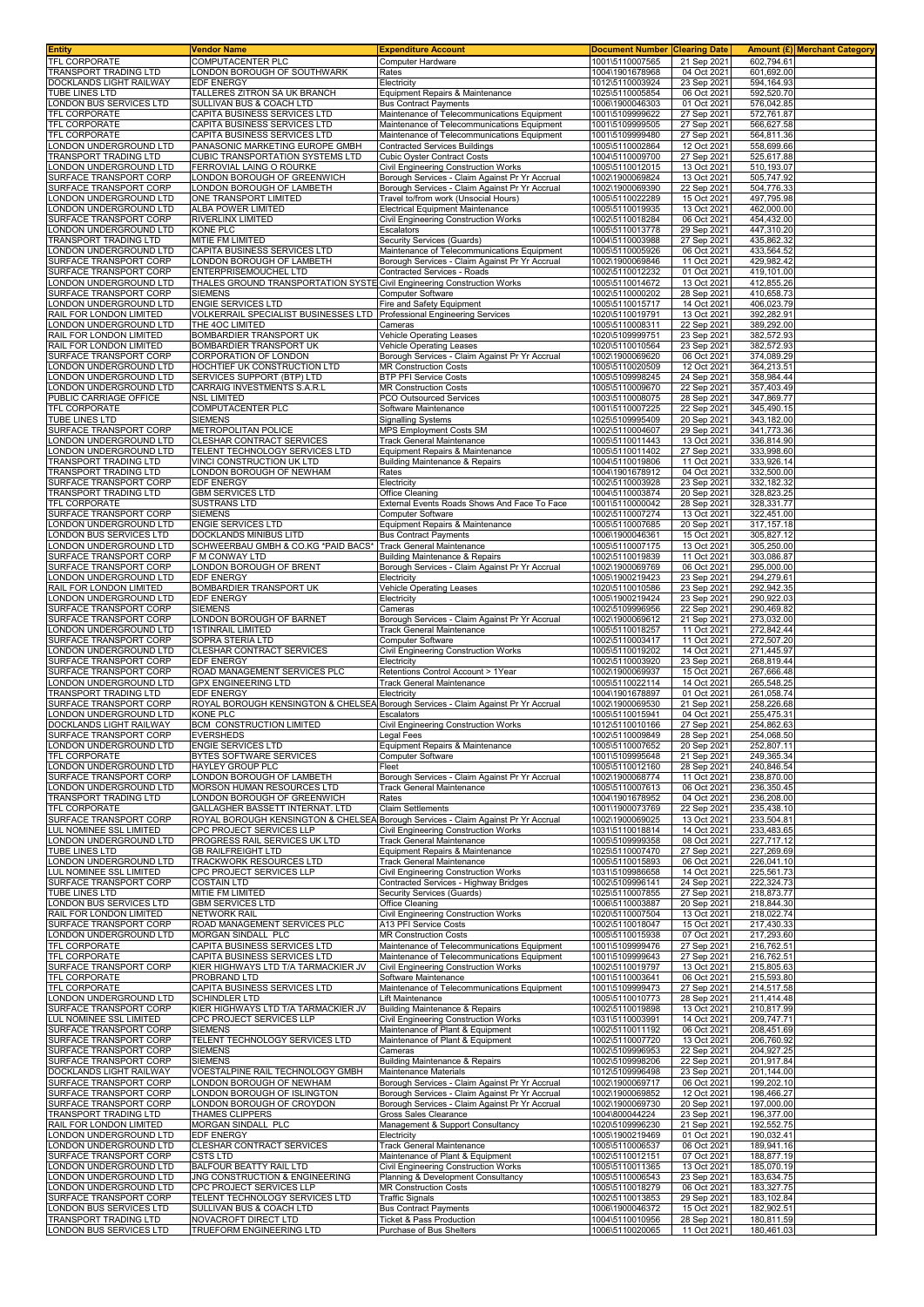| <b>Entity</b>                                     | Vendor Name                                                                                                          | <b>Expenditure Account</b>                                                                 | <b>Document Number</b>             | <b>Clearing Date</b>       |                           | Amount (£)  Merchant Category |
|---------------------------------------------------|----------------------------------------------------------------------------------------------------------------------|--------------------------------------------------------------------------------------------|------------------------------------|----------------------------|---------------------------|-------------------------------|
| TFL CORPORATE<br><b>TRANSPORT TRADING LTD</b>     | COMPUTACENTER PLC<br>LONDON BOROUGH OF SOUTHWARK                                                                     | Computer Hardware<br>Rates                                                                 | 1001\5110007565<br>1004\1901678968 | 21 Sep 2021<br>04 Oct 2021 | 602,794.61<br>601,692.00  |                               |
| DOCKLANDS LIGHT RAILWAY                           | <b>EDF ENERGY</b>                                                                                                    | Electricity                                                                                | 1012\5110003924                    | 23 Sep 2021                | 594,164.93                |                               |
| TUBE LINES LTD                                    | TALLERES ZITRON SA UK BRANCH                                                                                         | Equipment Repairs & Maintenance                                                            | 1025\5110005854                    | 06 Oct 2021                | 592,520.70                |                               |
| LONDON BUS SERVICES LTD                           | SULLIVAN BUS & COACH LTD                                                                                             | <b>Bus Contract Payments</b>                                                               | 1006\1900046303                    | 01 Oct 2021                | 576,042.85                |                               |
| TFL CORPORATE                                     | CAPITA BUSINESS SERVICES LTD                                                                                         | Maintenance of Telecommunications Equipment                                                | 1001\5109999622                    | 27 Sep 2021                | 572,761.87                |                               |
| TFL CORPORATE<br><b>TFL CORPORATE</b>             | CAPITA BUSINESS SERVICES LTD<br>CAPITA BUSINESS SERVICES LTD                                                         | Maintenance of Telecommunications Equipment<br>Maintenance of Telecommunications Equipment | 1001\5109999505<br>1001\5109999480 | 27 Sep 2021<br>27 Sep 2021 | 566,627.58<br>564,811.36  |                               |
| LONDON UNDERGROUND LTD                            | PANASONIC MARKETING EUROPE GMBH                                                                                      | <b>Contracted Services Buildings</b>                                                       | 1005\5110002864                    | 12 Oct 2021                | 558,699.66                |                               |
| TRANSPORT TRADING LTD                             | CUBIC TRANSPORTATION SYSTEMS LTD                                                                                     | <b>Cubic Oyster Contract Costs</b>                                                         | 1004\5110009700                    | 27 Sep 2021                | 525,617.88                |                               |
| ONDON UNDERGROUND LTD                             | FERROVIAL LAING O ROURKE                                                                                             | Civil Engineering Construction Works                                                       | 1005\5110012015                    | 13 Oct 2021                | 510,193.07                |                               |
| SURFACE TRANSPORT CORP                            | LONDON BOROUGH OF GREENWICH                                                                                          | Borough Services - Claim Against Pr Yr Accrual                                             | 1002\1900069824                    | 13 Oct 2021                | 505,747.92                |                               |
| SURFACE TRANSPORT CORP<br>ONDON UNDERGROUND LTD   | LONDON BOROUGH OF LAMBETH<br>ONE TRANSPORT LIMITED                                                                   | Borough Services - Claim Against Pr Yr Accrual<br>Travel to/from work (Unsocial Hours)     | 1002\1900069390<br>1005\5110022289 | 22 Sep 2021<br>15 Oct 2021 | 504,776.33<br>497,795.98  |                               |
| ONDON UNDERGROUND LTD                             | ALBA POWER LIMITED                                                                                                   | <b>Electrical Equipment Maintenance</b>                                                    | 1005\5110019935                    | 13 Oct 2021                | 462,000.00                |                               |
| SURFACE TRANSPORT CORP                            | RIVERLINX LIMITED                                                                                                    | Civil Engineering Construction Works                                                       | 1002\5110018284                    | 06 Oct 2021                | 454.432.00                |                               |
| ONDON UNDERGROUND LTD                             | <b>KONE PLC</b>                                                                                                      | Escalators                                                                                 | 1005\5110013778                    | 29 Sep 2021                | 447,310.20                |                               |
| TRANSPORT TRADING LTD                             | <b>MITIE FM LIMITED</b>                                                                                              | <b>Security Services (Guards)</b>                                                          | 1004\5110003988                    | 27 Sep 2021                | 435,862.32                |                               |
| ONDON UNDERGROUND LTD                             | CAPITA BUSINESS SERVICES LTD                                                                                         | Maintenance of Telecommunications Equipment                                                | 1005\5110005926                    | 06 Oct 2021                | 433,564.52<br>429,982.42  |                               |
| SURFACE TRANSPORT CORP<br>SURFACE TRANSPORT CORP  | LONDON BOROUGH OF LAMBETH<br>ENTERPRISEMOUCHEL LTD                                                                   | Borough Services - Claim Against Pr Yr Accrual<br>Contracted Services - Roads              | 1002\1900069846<br>1002\5110012232 | 11 Oct 2021<br>01 Oct 2021 | 419,101.00                |                               |
| ONDON UNDERGROUND LTD                             | THALES GROUND TRANSPORTATION SYSTE Civil Engineering Construction Works                                              |                                                                                            | 1005\5110014672                    | 13 Oct 2021                | 412,855.26                |                               |
| SURFACE TRANSPORT CORP                            | <b>SIEMENS</b>                                                                                                       | Computer Software                                                                          | 1002\5110000202                    | 28 Sep 2021                | 410,658.73                |                               |
| ONDON UNDERGROUND LTD                             | <b>ENGIE SERVICES LTD</b>                                                                                            | Fire and Safety Equipment                                                                  | 1005\5110015717                    | 14 Oct 2021                | 406,023.79                |                               |
| RAIL FOR LONDON LIMITED                           | VOLKERRAIL SPECIALIST BUSINESSES LTD                                                                                 | Professional Engineering Services                                                          | 1020\5110019791                    | 13 Oct 2021                | 392,282.9                 |                               |
| ONDON UNDERGROUND LTD<br>RAIL FOR LONDON LIMITED  | THE 4OC LIMITED<br>BOMBARDIER TRANSPORT UK                                                                           | Cameras<br><b>Vehicle Operating Leases</b>                                                 | 1005\5110008311<br>1020\5109999751 | 22 Sep 2021<br>23 Sep 2021 | 389,292.00<br>382,572.93  |                               |
| RAIL FOR LONDON LIMITED                           | BOMBARDIER TRANSPORT UK                                                                                              | <b>Vehicle Operating Leases</b>                                                            | 1020\5110010564                    | 23 Sep 2021                | 382,572.93                |                               |
| SURFACE TRANSPORT CORP                            | CORPORATION OF LONDON                                                                                                | Borough Services - Claim Against Pr Yr Accrual                                             | 1002\1900069620                    | 06 Oct 2021                | 374,089.29                |                               |
| LONDON UNDERGROUND LTD                            | HOCHTIEF UK CONSTRUCTION LTD                                                                                         | <b>MR Construction Costs</b>                                                               | 1005\5110020509                    | 12 Oct 2021                | 364,213.51                |                               |
| ONDON UNDERGROUND LTD                             | SERVICES SUPPORT (BTP) LTD                                                                                           | <b>BTP PFI Service Costs</b>                                                               | 1005\5109998245                    | 24 Sep 2021                | 358,984.44                |                               |
| ONDON UNDERGROUND LTD<br>PUBLIC CARRIAGE OFFICE   | CARRAIG INVESTMENTS S.A.R.L                                                                                          | <b>MR Construction Costs</b>                                                               | 1005\5110009670                    | 22 Sep 2021                | 357,403.49<br>347,869.77  |                               |
| TFL CORPORATE                                     | NSL LIMITED<br>COMPUTACENTER PLC                                                                                     | PCO Outsourced Services<br>Software Maintenance                                            | 1003\5110008075<br>1001\5110007225 | 28 Sep 2021<br>22 Sep 2021 | 345,490.15                |                               |
| <b>TUBE LINES LTD</b>                             | <b>SIEMENS</b>                                                                                                       | <b>Signalling Systems</b>                                                                  | 1025\5109995409                    | 20 Sep 2021                | 343,182.00                |                               |
| SURFACE TRANSPORT CORP                            | METROPOLITAN POLICE                                                                                                  | MPS Employment Costs SM                                                                    | 1002\5110004607                    | 29 Sep 2021                | 341,773.36                |                               |
| ONDON UNDERGROUND LTD                             | <b>CLESHAR CONTRACT SERVICES</b>                                                                                     | Track General Maintenance                                                                  | 1005\5110011443                    | 13 Oct 2021                | 336,814.90                |                               |
| ONDON UNDERGROUND LTD                             | TELENT TECHNOLOGY SERVICES LTD                                                                                       | Equipment Repairs & Maintenance                                                            | 1005\5110011402<br>1004\5110019806 | 27 Sep 2021                | 333,998.60                |                               |
| TRANSPORT TRADING LTD<br>TRANSPORT TRADING LTD    | VINCI CONSTRUCTION UK LTD<br>ONDON BOROUGH OF NEWHAM                                                                 | <b>Building Maintenance &amp; Repairs</b><br>Rates                                         | 1004\1901678912                    | 11 Oct 2021<br>04 Oct 2021 | 333,926.14<br>332,500.00  |                               |
| SURFACE TRANSPORT CORP                            | <b>EDF ENERGY</b>                                                                                                    | Electricity                                                                                | 1002\5110003928                    | 23 Sep 2021                | 332, 182.32               |                               |
| TRANSPORT TRADING LTD                             | <b>GBM SERVICES LTD</b>                                                                                              | Office Cleaning                                                                            | 1004\5110003874                    | 20 Sep 2021                | 328,823.25                |                               |
| <b>TFL CORPORATE</b>                              | SUSTRANS LTD                                                                                                         | External Events Roads Shows And Face To Face                                               | 1001\5110000042                    | 28 Sep 2021                | 328,331.77                |                               |
| SURFACE TRANSPORT CORP                            | <b>SIEMENS</b>                                                                                                       | Computer Software                                                                          | 1002\5110007274                    | 13 Oct 2021                | 322,451.00                |                               |
| ONDON UNDERGROUND LTD                             | ENGIE SERVICES LTD                                                                                                   | Equipment Repairs & Maintenance                                                            | 1005\5110007685                    | 20 Sep 2021                | 317, 157. 18              |                               |
| ONDON BUS SERVICES LTD<br>ONDON UNDERGROUND LTD   | DOCKLANDS MINIBUS LITD<br>SCHWEERBAU GMBH & CO.KG *PAID BACS*                                                        | <b>Bus Contract Payments</b><br><b>Track General Maintenance</b>                           | 1006\1900046361<br>1005\5110007175 | 15 Oct 2021<br>13 Oct 2021 | 305,827.12<br>305,250.00  |                               |
| SURFACE TRANSPORT CORP                            | F M CONWAY LTD                                                                                                       | <b>Building Maintenance &amp; Repairs</b>                                                  | 1002\5110019839                    | 11 Oct 2021                | 303,086.87                |                               |
| SURFACE TRANSPORT CORP                            | LONDON BOROUGH OF BRENT                                                                                              | Borough Services - Claim Against Pr Yr Accrual                                             | 1002\1900069769                    | 06 Oct 2021                | 295,000.00                |                               |
| ONDON UNDERGROUND LTD                             | <b>EDF ENERGY</b>                                                                                                    | Electricity                                                                                | 1005\1900219423                    | 23 Sep 2021                | 294,279.61                |                               |
| RAIL FOR LONDON LIMITED                           | BOMBARDIER TRANSPORT UK                                                                                              | <b>Vehicle Operating Leases</b>                                                            | 1020\5110010586                    | 23 Sep 2021                | 292,942.35                |                               |
| ONDON UNDERGROUND LTD                             | EDF ENERGY                                                                                                           | Electricity                                                                                | 1005\1900219424                    | 23 Sep 2021                | 290,922.03                |                               |
| SURFACE TRANSPORT CORP<br>SURFACE TRANSPORT CORP  | <b>SIEMENS</b><br>LONDON BOROUGH OF BARNET                                                                           | Cameras<br>Borough Services - Claim Against Pr Yr Accrual                                  | 1002\5109996956<br>1002\1900069612 | 22 Sep 2021<br>21 Sep 2021 | 290,469.82<br>273,032.00  |                               |
| ONDON UNDERGROUND LTD                             | <b>1STINRAIL LIMITED</b>                                                                                             | <b>Track General Maintenance</b>                                                           | 1005\5110018257                    | 11 Oct 2021                | 272,842.44                |                               |
| SURFACE TRANSPORT CORP                            | SOPRA STERIA LTD                                                                                                     | Computer Software                                                                          | 1002\5110003417                    | 11 Oct 2021                | 272,507.20                |                               |
| ONDON UNDERGROUND LTD                             | CLESHAR CONTRACT SERVICES                                                                                            | Civil Engineering Construction Works                                                       | 1005\5110019202                    | 14 Oct 2021                | 271,445.97                |                               |
| SURFACE TRANSPORT CORP                            | EDF ENERGY                                                                                                           | Electricity                                                                                | 1002\5110003920                    | 23 Sep 2021                | 268,819.44                |                               |
| SURFACE TRANSPORT CORP<br>ONDON UNDERGROUND LTD   | ROAD MANAGEMENT SERVICES PLC<br><b>GPX ENGINEERING LTD</b>                                                           | Retentions Control Account > 1Year<br><b>Track General Maintenance</b>                     | 1002\1900069937<br>1005\5110022114 | 15 Oct 2021<br>14 Oct 2021 | 267,666.48<br>265,548.25  |                               |
| TRANSPORT TRADING LTD                             | EDF ENERGY                                                                                                           | Electricity                                                                                | 1004\1901678897                    | 01 Oct 2021                | 261,058.74                |                               |
| SURFACE TRANSPORT CORP                            | ROYAL BOROUGH KENSINGTON & CHELSEA Borough Services - Claim Against Pr Yr Accrual                                    |                                                                                            | 1002\1900069530                    | 21 Sep 2021                | 258,226.68                |                               |
| ONDON UNDERGROUND LTD                             | KONE PLC                                                                                                             | Escalators                                                                                 | 1005\5110015941                    | 04 Oct 2021                | 255,475.31                |                               |
| DOCKLANDS LIGHT RAILWAY                           | <b>BCM CONSTRUCTION LIMITED</b>                                                                                      | <b>Civil Engineering Construction Works</b>                                                | 1012\5110010166                    | 27 Sep 2021                | 254.862.63                |                               |
| SURFACE TRANSPORT CORP                            | <b>EVERSHEDS</b>                                                                                                     | Legal Fees                                                                                 | 1002\5110009849                    | 28 Sep 2021                | 254,068.50                |                               |
| LONDON UNDERGROUND LTD<br>TFL CORPORATE           | <b>ENGIE SERVICES LTD</b><br>BYTES SOFTWARE SERVICES                                                                 | Equipment Repairs & Maintenance<br>Computer Software                                       | 1005\5110007652<br>1001\5109995648 | 20 Sep 2021<br>21 Sep 2021 | 252,807.11<br>249,365.34  |                               |
| LONDON UNDERGROUND LTD                            | HAYLEY GROUP PLC                                                                                                     | Fleet                                                                                      | 1005\5110012160                    | 28 Sep 2021                | 240,846.54                |                               |
| SURFACE TRANSPORT CORP                            | LONDON BOROUGH OF LAMBETH                                                                                            | Borough Services - Claim Against Pr Yr Accrual                                             | 1002\1900068774                    | 11 Oct 2021                | 238,870.00                |                               |
| LONDON UNDERGROUND LTD                            | <b>MORSON HUMAN RESOURCES LTD</b>                                                                                    | <b>Track General Maintenance</b>                                                           | 1005\5110007613                    | 06 Oct 2021                | 236,350.45                |                               |
| TRANSPORT TRADING LTD<br>TFL CORPORATE            | LONDON BOROUGH OF GREENWICH                                                                                          | Rates<br><b>Claim Settlements</b>                                                          | 1004\1901678952<br>1001\1900073769 | 04 Oct 2021                | 236,208.00<br>235,438.10  |                               |
| SURFACE TRANSPORT CORP                            | GALLAGHER BASSETT INTERNAT. LTD<br>ROYAL BOROUGH KENSINGTON & CHELSEA Borough Services - Claim Against Pr Yr Accrual |                                                                                            | 1002\1900069025                    | 22 Sep 2021<br>13 Oct 2021 | 233,504.81                |                               |
| LUL NOMINEE SSL LIMITED                           | CPC PROJECT SERVICES LLP                                                                                             | Civil Engineering Construction Works                                                       | 1031\5110018814                    | 14 Oct 2021                | 233,483.65                |                               |
| LONDON UNDERGROUND LTD                            | PROGRESS RAIL SERVICES UK LTD                                                                                        | <b>Track General Maintenance</b>                                                           | 1005\5109999358                    | 08 Oct 2021                | 227,717.12                |                               |
| TUBE LINES LTD                                    | <b>GB RAILFREIGHT LTD</b>                                                                                            | Equipment Repairs & Maintenance                                                            | 1025\5110007470                    | 27 Sep 2021                | 227,269.69                |                               |
| LONDON UNDERGROUND LTD<br>LUL NOMINEE SSL LIMITED | TRACKWORK RESOURCES LTD<br>CPC PROJECT SERVICES LLP                                                                  | <b>Track General Maintenance</b>                                                           | 1005\5110015893                    | 06 Oct 2021<br>14 Oct 2021 | 226,041.10<br>225.561.73  |                               |
| SURFACE TRANSPORT CORP                            | <b>COSTAIN LTD</b>                                                                                                   | Civil Engineering Construction Works<br>Contracted Services - Highway Bridges              | 1031\5109986658<br>1002\5109996141 | 24 Sep 2021                | 222,324.73                |                               |
| TUBE LINES LTD                                    | MITIE FM LIMITED                                                                                                     | Security Services (Guards)                                                                 | 1025\5110007855                    | 27 Sep 2021                | 218,873.77                |                               |
| LONDON BUS SERVICES LTD                           | <b>GBM SERVICES LTD</b>                                                                                              | Office Cleaning                                                                            | 1006\5110003887                    | 20 Sep 2021                | 218,844.30                |                               |
| RAIL FOR LONDON LIMITED                           | <b>NETWORK RAIL</b>                                                                                                  | Civil Engineering Construction Works                                                       | 1020\5110007504                    | 13 Oct 2021                | 218,022.74                |                               |
| SURFACE TRANSPORT CORP<br>LONDON UNDERGROUND LTD  | ROAD MANAGEMENT SERVICES PLC<br>MORGAN SINDALL PLC                                                                   | A13 PFI Service Costs<br><b>MR Construction Costs</b>                                      | 1002\5110018047                    | 15 Oct 2021                | 217,430.33                |                               |
| TFL CORPORATE                                     | CAPITA BUSINESS SERVICES LTD                                                                                         | Maintenance of Telecommunications Equipment                                                | 1005\5110015938<br>1001\5109999476 | 07 Oct 2021<br>27 Sep 2021 | 217,293.60<br>216,762.51  |                               |
| TFL CORPORATE                                     | CAPITA BUSINESS SERVICES LTD                                                                                         | Maintenance of Telecommunications Equipment                                                | 1001\5109999643                    | 27 Sep 2021                | 216,762.51                |                               |
| SURFACE TRANSPORT CORP                            | KIER HIGHWAYS LTD T/A TARMACKIER JV                                                                                  | <b>Civil Engineering Construction Works</b>                                                | 1002\5110019797                    | 13 Oct 2021                | 215,805.63                |                               |
| TFL CORPORATE                                     | PROBRAND LTD                                                                                                         | Software Maintenance                                                                       | 1001\5110003641                    | 06 Oct 2021                | 215,593.80                |                               |
| TFL CORPORATE                                     | CAPITA BUSINESS SERVICES LTD                                                                                         | Maintenance of Telecommunications Equipment                                                | 1001\5109999473                    | 27 Sep 2021                | 214,517.58                |                               |
| LONDON UNDERGROUND LTD<br>SURFACE TRANSPORT CORP  | <b>SCHINDLER LTD</b><br>KIER HIGHWAYS LTD T/A TARMACKIER JV                                                          | Lift Maintenance<br><b>Building Maintenance &amp; Repairs</b>                              | 1005\5110010773<br>1002\5110019898 | 28 Sep 2021<br>13 Oct 2021 | 211,414.48<br>210,817.99  |                               |
| LUL NOMINEE SSL LIMITED                           | CPC PROJECT SERVICES LLP                                                                                             | Civil Engineering Construction Works                                                       | 1031\5110003991                    | 14 Oct 2021                | 209,747.71                |                               |
| SURFACE TRANSPORT CORP                            | <b>SIEMENS</b>                                                                                                       | Maintenance of Plant & Equipment                                                           | 1002\5110011192                    | 06 Oct 2021                | 208,451.69                |                               |
| SURFACE TRANSPORT CORP                            | TELENT TECHNOLOGY SERVICES LTD                                                                                       | Maintenance of Plant & Equipment                                                           | 1002\5110007720                    | 13 Oct 2021                | 206,760.92                |                               |
| SURFACE TRANSPORT CORP<br>SURFACE TRANSPORT CORP  | <b>SIEMENS</b><br><b>SIEMENS</b>                                                                                     | Cameras                                                                                    | 1002\5109996953<br>1002\5109998206 | 22 Sep 2021                | 204,927.25<br>201,917.84  |                               |
| DOCKLANDS LIGHT RAILWAY                           | VOESTALPINE RAIL TECHNOLOGY GMBH                                                                                     | Building Maintenance & Repairs<br>Maintenance Materials                                    | 1012\5109996498                    | 22 Sep 2021<br>23 Sep 2021 | 201,144.00                |                               |
| SURFACE TRANSPORT CORP                            | LONDON BOROUGH OF NEWHAM                                                                                             | Borough Services - Claim Against Pr Yr Accrual                                             | 1002\1900069717                    | 06 Oct 2021                | 199,202.10                |                               |
| SURFACE TRANSPORT CORP                            | ONDON BOROUGH OF ISLINGTON                                                                                           | Borough Services - Claim Against Pr Yr Accrual                                             | 1002\1900069852                    | 12 Oct 2021                | 198,466.27                |                               |
| SURFACE TRANSPORT CORP                            | LONDON BOROUGH OF CROYDON                                                                                            | Borough Services - Claim Against Pr Yr Accrual                                             | 1002\1900069730                    | 20 Sep 2021                | 197,000.00                |                               |
| TRANSPORT TRADING LTD                             | THAMES CLIPPERS                                                                                                      | Gross Sales Clearance                                                                      | 1004\800044224                     | 23 Sep 2021                | 196,377.00                |                               |
| RAIL FOR LONDON LIMITED<br>ONDON UNDERGROUND LTD  | MORGAN SINDALL PLC<br>EDF ENERGY                                                                                     | Management & Support Consultancy<br>Electricity                                            | 1020\5109996230<br>1005\1900219469 | 21 Sep 2021<br>01 Oct 2021 | 192,552.75<br>190,032.41  |                               |
| ONDON UNDERGROUND LTD                             | CLESHAR CONTRACT SERVICES                                                                                            | <b>Track General Maintenance</b>                                                           | 1005\5110006537                    | 06 Oct 2021                | 189,941.16                |                               |
| SURFACE TRANSPORT CORP                            | CSTS LTD                                                                                                             | Maintenance of Plant & Equipment                                                           | 1002\5110012151                    | 07 Oct 2021                | 188,877.19                |                               |
| ONDON UNDERGROUND LTD                             | BALFOUR BEATTY RAIL LTD                                                                                              | Civil Engineering Construction Works                                                       | 1005\5110011365                    | 13 Oct 2021                | 185,070.19                |                               |
| ONDON UNDERGROUND LTD                             | JNG CONSTRUCTION & ENGINEERING                                                                                       | Planning & Development Consultancy                                                         | 1005\5110006543                    | 23 Sep 2021                | 183,634.75                |                               |
| ONDON UNDERGROUND LTD<br>SURFACE TRANSPORT CORP   | CPC PROJECT SERVICES LLP<br>TELENT TECHNOLOGY SERVICES LTD                                                           | <b>MR Construction Costs</b><br><b>Traffic Signals</b>                                     | 1005\5110018279<br>1002\5110013853 | 06 Oct 2021<br>29 Sep 2021 | 183,327.75<br>183, 102.84 |                               |
| ONDON BUS SERVICES LTD                            | SULLIVAN BUS & COACH LTD                                                                                             | <b>Bus Contract Payments</b>                                                               | 1006\1900046372                    | 15 Oct 2021                | 182,902.51                |                               |
| TRANSPORT TRADING LTD                             | NOVACROFT DIRECT LTD                                                                                                 | Ticket & Pass Production                                                                   | 1004\5110010956                    | 28 Sep 2021                | 180,811.59                |                               |
| LONDON BUS SERVICES LTD                           | TRUEFORM ENGINEERING LTD                                                                                             | Purchase of Bus Shelters                                                                   | 1006\5110020065                    | 11 Oct 2021                | 180,461.03                |                               |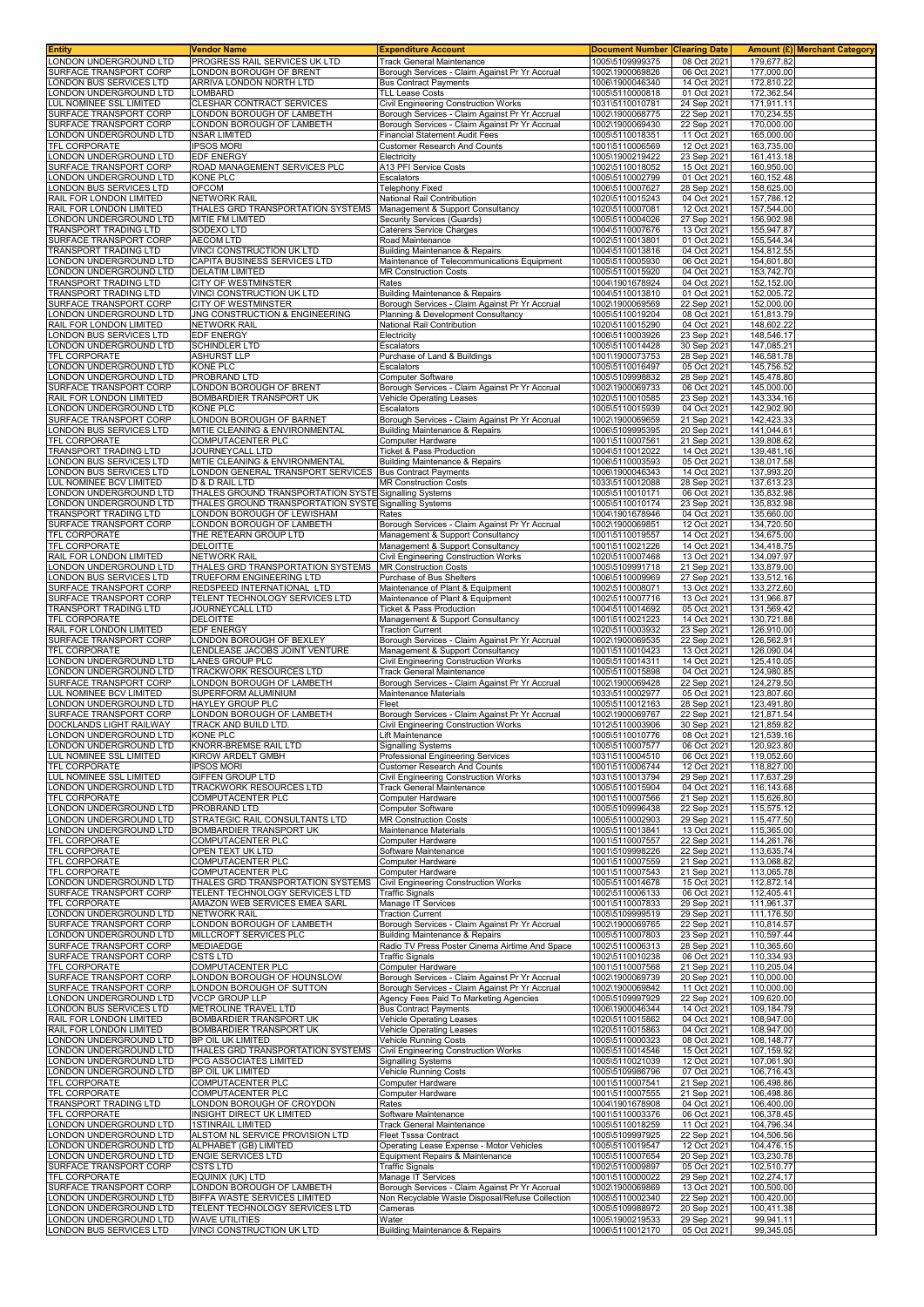| <b>Entity</b>                                         | <b>Vendor Name</b>                                              | <b>Expenditure Account</b>                                                                  | <b>Document Number</b>             | <b>Clearing Date</b>       |                          | <b>Amount (£)</b> Merchant Category |
|-------------------------------------------------------|-----------------------------------------------------------------|---------------------------------------------------------------------------------------------|------------------------------------|----------------------------|--------------------------|-------------------------------------|
| LONDON UNDERGROUND LTD                                | PROGRESS RAIL SERVICES UK LTD                                   | Track General Maintenance                                                                   | 1005\5109999375                    | 08 Oct 2021                | 179.677.82               |                                     |
| SURFACE TRANSPORT CORP<br>ONDON BUS SERVICES LTD      | LONDON BOROUGH OF BRENT<br>ARRIVA LONDON NORTH LTD              | Borough Services - Claim Against Pr Yr Accrual<br><b>Bus Contract Payments</b>              | 1002\1900069826<br>1006\1900046340 | 06 Oct 2021<br>14 Oct 2021 | 177,000.00<br>172,810.22 |                                     |
| ONDON UNDERGROUND LTD                                 | LOMBARD                                                         | <b>TLL Lease Costs</b>                                                                      | 1005\5110000818                    | 01 Oct 2021                | 172,362.54               |                                     |
| LUL NOMINEE SSL LIMITED                               | CLESHAR CONTRACT SERVICES                                       | Civil Engineering Construction Works                                                        | 1031\5110010781                    | 24 Sep 2021                | 171.911.11               |                                     |
| SURFACE TRANSPORT CORP                                | ONDON BOROUGH OF LAMBETH                                        | Borough Services - Claim Against Pr Yr Accrual                                              | 1002\1900068775                    | 22 Sep 2021                | 170,234.55               |                                     |
| SURFACE TRANSPORT CORP                                | ONDON BOROUGH OF LAMBETH                                        | Borough Services - Claim Against Pr Yr Accrual                                              | 1002\1900069430                    | 22 Sep 2021                | 170,000.00               |                                     |
| ONDON UNDERGROUND LTD<br><b>FEL CORPORATE</b>         | NSAR LIMITED<br><b>IPSOS MORI</b>                               | <b>Financial Statement Audit Fees</b><br><b>Customer Research And Counts</b>                | 1005\5110018351<br>1001\5110006569 | 11 Oct 2021<br>12 Oct 2021 | 165,000.00<br>163,735.00 |                                     |
| ONDON UNDERGROUND LTD                                 | <b>EDF ENERGY</b>                                               | Electricity                                                                                 | 1005\1900219422                    | 23 Sep 2021                | 161,413.18               |                                     |
| SURFACE TRANSPORT CORP                                | ROAD MANAGEMENT SERVICES PLC                                    | A13 PFI Service Costs                                                                       | 1002\5110018052                    | 15 Oct 2021                | 160,950.00               |                                     |
| ONDON UNDERGROUND LTD                                 | KONE PLC                                                        | Escalators                                                                                  | 1005\5110002799                    | 01 Oct 2021                | 160,152.48               |                                     |
| ONDON BUS SERVICES LTD                                | <b>OFCOM</b>                                                    | Felephony Fixed                                                                             | 1006\5110007627                    | 28 Sep 2021                | 158,625.00               |                                     |
| RAIL FOR LONDON LIMITED<br>RAIL FOR LONDON LIMITED    | <b>NETWORK RAIL</b><br>THALES GRD TRANSPORTATION SYSTEMS        | National Rail Contribution<br>Management & Support Consultancy                              | 1020\5110015243<br>1020\5110007081 | 04 Oct 2021<br>12 Oct 2021 | 157,786.12<br>157,544.00 |                                     |
| ONDON UNDERGROUND LTD                                 | MITIE FM LIMITED                                                | Security Services (Guards)                                                                  | 1005\5110004026                    | 27 Sep 2021                | 156,902.98               |                                     |
| <b>TRANSPORT TRADING LTD</b>                          | SODEXO LTD                                                      | Caterers Service Charges                                                                    | 1004\5110007676                    | 13 Oct 2021                | 155,947.87               |                                     |
| SURFACE TRANSPORT CORP                                | <b>AECOM LTD</b>                                                | Road Maintenance                                                                            | 1002\5110013801                    | 01 Oct 2021                | 155,544.34               |                                     |
| <b>TRANSPORT TRADING LTD</b><br>ONDON UNDERGROUND LTD | VINCI CONSTRUCTION UK LTD<br>CAPITA BUSINESS SERVICES LTD       | <b>Building Maintenance &amp; Repairs</b><br>Maintenance of Telecommunications Equipment    | 1004\5110013816<br>1005\5110005930 | 04 Oct 2021<br>06 Oct 2021 | 154,812.55<br>154,601.80 |                                     |
| ONDON UNDERGROUND LTD                                 | <b>DELATIM LIMITED</b>                                          | <b>MR Construction Costs</b>                                                                | 1005\5110015920                    | 04 Oct 2021                | 153,742.70               |                                     |
| <b>FRANSPORT TRADING LTD</b>                          | <b>CITY OF WESTMINSTER</b>                                      | Rates                                                                                       | 1004\1901678924                    | 04 Oct 2021                | 152,152.00               |                                     |
| <b>FRANSPORT TRADING LTD</b>                          | VINCI CONSTRUCTION UK LTD                                       | <b>Building Maintenance &amp; Repairs</b>                                                   | 1004\5110013810                    | 01 Oct 2021                | 152,005.72               |                                     |
| SURFACE TRANSPORT CORP                                | <b>CITY OF WESTMINSTER</b>                                      | Borough Services - Claim Against Pr Yr Accrual                                              | 1002\1900069569                    | 22 Sep 2021                | 152,000.00               |                                     |
| ONDON UNDERGROUND LTD<br>RAIL FOR LONDON LIMITED      | JNG CONSTRUCTION & ENGINEERING<br><b>NETWORK RAIL</b>           | Planning & Development Consultancy<br>National Rail Contribution                            | 1005\5110019204<br>1020\5110015290 | 08 Oct 2021<br>04 Oct 2021 | 151,813.79<br>148,602.22 |                                     |
| ONDON BUS SERVICES LTD                                | <b>EDF ENERGY</b>                                               | Electricity                                                                                 | 1006\5110003926                    | 23 Sep 2021                | 148,546.17               |                                     |
| LONDON UNDERGROUND LTD                                | <b>SCHINDLER LTD</b>                                            | Escalators                                                                                  | 1005\5110014428                    | 30 Sep 2021                | 147,085.21               |                                     |
| TFL CORPORATE                                         | <b>ASHURST LLP</b>                                              | Purchase of Land & Buildings                                                                | 1001\1900073753                    | 28 Sep 2021                | 146,581.78               |                                     |
| ONDON UNDERGROUND LTD<br>ONDON UNDERGROUND LTD        | KONE PLC<br>PROBRAND LTD                                        | Escalators<br>Computer Software                                                             | 1005\5110016497<br>1005\5109998832 | 05 Oct 2021<br>28 Sep 2021 | 145,756.52<br>145,478.80 |                                     |
| SURFACE TRANSPORT CORP                                | LONDON BOROUGH OF BRENT                                         | Borough Services - Claim Against Pr Yr Accrual                                              | 1002\1900069733                    | 06 Oct 2021                | 145,000.00               |                                     |
| RAIL FOR LONDON LIMITED                               | <b>BOMBARDIER TRANSPORT UK</b>                                  | Vehicle Operating Leases                                                                    | 1020\5110010585                    | 23 Sep 2021                | 143,334.16               |                                     |
| ONDON UNDERGROUND LTD                                 | KONE PLC                                                        | Escalators                                                                                  | 1005\5110015939                    | 04 Oct 2021                | 142,902.90               |                                     |
| SURFACE TRANSPORT CORP<br>ONDON BUS SERVICES LTD      | LONDON BOROUGH OF BARNET<br>MITIE CLEANING & ENVIRONMENTAL      | Borough Services - Claim Against Pr Yr Accrual<br><b>Building Maintenance &amp; Repairs</b> | 1002\1900069659<br>1006\5109995395 | 21 Sep 2021<br>20 Sep 2021 | 142,423.33<br>141,044.61 |                                     |
| TFL CORPORATE                                         | COMPUTACENTER PLC                                               | Computer Hardware                                                                           | 1001\5110007561                    | 21 Sep 2021                | 139,808.62               |                                     |
| <b>TRANSPORT TRADING LTD</b>                          | JOURNEYCALL LTD                                                 | <b>Ticket &amp; Pass Production</b>                                                         | 1004\5110012022                    | 14 Oct 2021                | 139,481.16               |                                     |
| ONDON BUS SERVICES LTD                                | MITIE CLEANING & ENVIRONMENTAL                                  | Building Maintenance & Repairs                                                              | 1006\5110003593                    | 05 Oct 2021                | 138,017.58               |                                     |
| ONDON BUS SERVICES LTD<br>UL NOMINEE BCV LIMITED      | LONDON GENERAL TRANSPORT SERVICES<br>D & D RAIL LTD             | <b>Bus Contract Payments</b><br><b>MR Construction Costs</b>                                | 1006\1900046343                    | 14 Oct 2021<br>28 Sep 2021 | 137,993.20<br>137,613.23 |                                     |
| ONDON UNDERGROUND LTD                                 | THALES GROUND TRANSPORTATION SYSTE Signalling Systems           |                                                                                             | 1033\5110012088<br>1005\5110010171 | 06 Oct 2021                | 135,832.98               |                                     |
| ONDON UNDERGROUND LTD                                 | THALES GROUND TRANSPORTATION SYSTE Signalling Systems           |                                                                                             | 1005\5110010174                    | 23 Sep 2021                | 135,832.98               |                                     |
| TRANSPORT TRADING LTD                                 | ONDON BOROUGH OF LEWISHAM                                       | Rates                                                                                       | 1004\1901678946                    | 04 Oct 2021                | 135,660.00               |                                     |
| SURFACE TRANSPORT CORP                                | LONDON BOROUGH OF LAMBETH                                       | Borough Services - Claim Against Pr Yr Accrual                                              | 1002\1900069851                    | 12 Oct 2021                | 134,720.50               |                                     |
| TFL CORPORATE<br><b>TFL CORPORATE</b>                 | THE RETEARN GROUP LTD<br><b>DELOITTE</b>                        | Management & Support Consultancy<br>Management & Support Consultancy                        | 1001\5110019557<br>1001\5110021226 | 14 Oct 2021<br>14 Oct 2021 | 134,675.00<br>134,418.75 |                                     |
| RAIL FOR LONDON LIMITED                               | NETWORK RAIL                                                    | Civil Engineering Construction Works                                                        | 1020\5110007468                    | 13 Oct 2021                | 134,097.97               |                                     |
| ONDON UNDERGROUND LTD                                 | THALES GRD TRANSPORTATION SYSTEMS                               | <b>MR Construction Costs</b>                                                                | 1005\5109991718                    | 21 Sep 2021                | 133,879.00               |                                     |
| ONDON BUS SERVICES LTD                                | TRUEFORM ENGINEERING LTD                                        | Purchase of Bus Shelters                                                                    | 1006\5110009969                    | 27 Sep 2021                | 133,512.16               |                                     |
| SURFACE TRANSPORT CORP<br>SURFACE TRANSPORT CORP      | REDSPEED INTERNATIONAL LTD<br>TELENT TECHNOLOGY SERVICES LTD    | Maintenance of Plant & Equipment<br>Maintenance of Plant & Equipment                        | 1002\5110008071<br>1002\5110007716 | 13 Oct 2021<br>13 Oct 2021 | 133,272.60<br>131,966.87 |                                     |
| <b>FRANSPORT TRADING LTD</b>                          | JOURNEYCALL LTD                                                 | <b>Ticket &amp; Pass Production</b>                                                         | 1004\5110014692                    | 05 Oct 2021                | 131,569.42               |                                     |
| <b>TFL CORPORATE</b>                                  | DELOITTE                                                        | Management & Support Consultancy                                                            | 1001\5110021223                    | 14 Oct 2021                | 130,721.88               |                                     |
| RAIL FOR LONDON LIMITED                               | EDF ENERGY                                                      | <b>Traction Current</b>                                                                     | 1020\5110003932                    | 23 Sep 2021                | 126,910.00               |                                     |
| SURFACE TRANSPORT CORP<br><b>TFL CORPORATE</b>        | ONDON BOROUGH OF BEXLEY<br>ENDLEASE JACOBS JOINT VENTURE        | Borough Services - Claim Against Pr Yr Accrual<br>Management & Support Consultancy          | 1002\1900069535<br>1001\5110010423 | 22 Sep 2021<br>13 Oct 2021 | 126,562.91<br>126,090.04 |                                     |
| ONDON UNDERGROUND LTD                                 | LANES GROUP PLC                                                 | Civil Engineering Construction Works                                                        | 1005\5110014311                    | 14 Oct 2021                | 125,410.05               |                                     |
| ONDON UNDERGROUND LTD                                 | TRACKWORK RESOURCES LTD                                         | <b>Frack General Maintenance</b>                                                            | 1005\5110015898                    | 04 Oct 2021                | 124,980.85               |                                     |
| SURFACE TRANSPORT CORP                                | LONDON BOROUGH OF LAMBETH                                       | Borough Services - Claim Against Pr Yr Accrual                                              | 1002\1900069428                    | 22 Sep 2021                | 124,279.50               |                                     |
| LUL NOMINEE BCV LIMITED<br>ONDON UNDERGROUND LTD      | SUPERFORM ALUMINIUM<br>HAYLEY GROUP PLC                         | Maintenance Materials<br>Fleet                                                              | 1033\5110002977<br>1005\5110012163 | 05 Oct 2021<br>28 Sep 2021 | 123,807.60<br>123,491.80 |                                     |
| SURFACE TRANSPORT CORP                                | LONDON BOROUGH OF LAMBETH                                       | Borough Services - Claim Against Pr Yr Accrual                                              | 1002\1900069767                    | 22 Sep 2021                | 121,871.54               |                                     |
| DOCKLANDS LIGHT RAILWAY                               | TRACK AND BUILD LTD.                                            | Civil Engineering Construction Works                                                        | 1012\5110003906                    | 30 Sep 2021                | 121,859.82               |                                     |
| LONDON UNDERGROUND LTD                                | KONE PLC                                                        | Lift Maintenance                                                                            | 1005\5110010776                    | 08 Oct 2021                | 121,539.16               |                                     |
| LONDON UNDERGROUND LTD<br>LUL NOMINEE SSL LIMITED     | KNORR-BREMSE RAIL LTD<br>KIROW ARDELT GMBH                      | <b>Signalling Systems</b><br>Professional Engineering Services                              | 1005\5110007577<br>1031\5110004510 | 06 Oct 2021<br>06 Oct 2021 | 120,923.80<br>119,052.60 |                                     |
| TFL CORPORATE                                         | <b>IPSOS MORI</b>                                               | <b>Customer Research And Counts</b>                                                         | 1001\5110006744                    | 12 Oct 2021                | 118,827.00               |                                     |
| LUL NOMINEE SSL LIMITED                               | <b>GIFFEN GROUP LTD</b>                                         | Civil Engineering Construction Works                                                        | 1031\5110013794                    | 29 Sep 2021                | 117,637.29               |                                     |
| LONDON UNDERGROUND LTD                                | TRACKWORK RESOURCES LTD                                         | Track General Maintenance                                                                   | 1005\5110015904                    | 04 Oct 2021                | 116, 143.68              |                                     |
| TFL CORPORATE<br>ONDON UNDERGROUND LTD                | COMPUTACENTER PLC<br>PROBRAND LTD                               | Computer Hardware<br>Computer Software                                                      | 1001\5110007566<br>1005\5109996438 | 21 Sep 2021<br>22 Sep 2021 | 115,626.80<br>115,575.12 |                                     |
| ONDON UNDERGROUND LTD                                 | STRATEGIC RAIL CONSULTANTS LTD                                  | <b>MR Construction Costs</b>                                                                | 1005\5110002903                    | 29 Sep 2021                | 115,477.50               |                                     |
| LONDON UNDERGROUND LTD                                | BOMBARDIER TRANSPORT UK                                         | Maintenance Materials                                                                       | 1005\5110013841                    | 13 Oct 2021                | 115,365.00               |                                     |
| TFL CORPORATE                                         | COMPUTACENTER PLC                                               | Computer Hardware                                                                           | 1001\5110007557                    | 22 Sep 2021                | 114,261.76               |                                     |
| TFL CORPORATE<br>TFL CORPORATE                        | OPEN TEXT UK LTD<br><b>COMPUTACENTER PLC</b>                    | Software Maintenance<br>Computer Hardware                                                   | 1001\5109998226<br>1001\5110007559 | 22 Sep 2021<br>21 Sep 2021 | 113,635.74<br>113,068.82 |                                     |
| TFL CORPORATE                                         | COMPUTACENTER PLC                                               | Computer Hardware                                                                           | 1001\5110007543                    | 21 Sep 2021                | 113,065.78               |                                     |
| ONDON UNDERGROUND LTD                                 | THALES GRD TRANSPORTATION SYSTEMS                               | Civil Engineering Construction Works                                                        | 1005\5110014678                    | 15 Oct 2021                | 112,872.14               |                                     |
| SURFACE TRANSPORT CORP<br>TFL CORPORATE               | TELENT TECHNOLOGY SERVICES LTD<br>AMAZON WEB SERVICES EMEA SARL | <b>Traffic Signals</b><br>Manage IT Services                                                | 1002\5110006133<br>1001\5110007833 | 06 Oct 2021<br>29 Sep 2021 | 112,405.41<br>111,961.37 |                                     |
| LONDON UNDERGROUND LTD                                | <b>NETWORK RAIL</b>                                             | <b>Traction Current</b>                                                                     | 1005\5109999519                    | 29 Sep 2021                | 111,176.50               |                                     |
| SURFACE TRANSPORT CORP                                | LONDON BOROUGH OF LAMBETH                                       | Borough Services - Claim Against Pr Yr Accrual                                              | 1002\1900069765                    | 22 Sep 2021                | 110,814.57               |                                     |
| ONDON UNDERGROUND LTD                                 | MILLCROFT SERVICES PLC                                          | Building Maintenance & Repairs                                                              | 1005\5110007803                    | 23 Sep 2021                | 110,597.44               |                                     |
| SURFACE TRANSPORT CORP<br>SURFACE TRANSPORT CORP      | MEDIAEDGE<br><b>CSTS LTD</b>                                    | Radio TV Press Poster Cinema Airtime And Space<br><b>Traffic Signals</b>                    | 1002\5110006313<br>1002\5110010238 | 28 Sep 2021<br>06 Oct 2021 | 110,365.60<br>110,334.93 |                                     |
| TFL CORPORATE                                         | COMPUTACENTER PLC                                               | Computer Hardware                                                                           | 1001\5110007568                    | 21 Sep 2021                | 110,205.04               |                                     |
| SURFACE TRANSPORT CORP                                | ONDON BOROUGH OF HOUNSLOW                                       | Borough Services - Claim Against Pr Yr Accrual                                              | 1002\1900069739                    | 20 Sep 2021                | 110,000.00               |                                     |
| SURFACE TRANSPORT CORP                                | LONDON BOROUGH OF SUTTON                                        | Borough Services - Claim Against Pr Yr Accrual                                              | 1002\1900069842                    | 11 Oct 2021                | 110,000.00               |                                     |
| ONDON UNDERGROUND LTD<br>ONDON BUS SERVICES LTD       | <b>VCCP GROUP LLP</b><br>METROLINE TRAVEL LTD                   | Agency Fees Paid To Marketing Agencies<br><b>Bus Contract Payments</b>                      | 1005\5109997929<br>1006\1900046344 | 22 Sep 2021<br>14 Oct 2021 | 109,620.00<br>109,184.79 |                                     |
| RAIL FOR LONDON LIMITED                               | BOMBARDIER TRANSPORT UK                                         | Vehicle Operating Leases                                                                    | 1020\5110015862                    | 04 Oct 2021                | 108,947.00               |                                     |
| RAIL FOR LONDON LIMITED                               | BOMBARDIER TRANSPORT UK                                         | Vehicle Operating Leases                                                                    | 1020\5110015863                    | 04 Oct 2021                | 108,947.00               |                                     |
| ONDON UNDERGROUND LTD<br>ONDON UNDERGROUND LTD.       | BP OIL UK LIMITED<br>THALES GRD TRANSPORTATION SYSTEMS          | Vehicle Running Costs<br>Civil Engineering Construction Works                               | 1005\5110000323<br>1005\5110014546 | 08 Oct 2021<br>15 Oct 2021 | 108,148.77<br>107,159.92 |                                     |
| ONDON UNDERGROUND LTD                                 | PCG ASSOCIATES LIMITED                                          | <b>Signalling Systems</b>                                                                   | 1005\5110021039                    | 12 Oct 2021                | 107,061.90               |                                     |
| LONDON UNDERGROUND LTD                                | BP OIL UK LIMITED                                               | Vehicle Running Costs                                                                       | 1005\5109986796                    | 07 Oct 2021                | 106,716.43               |                                     |
| TFL CORPORATE                                         | COMPUTACENTER PLC                                               | Computer Hardware                                                                           | 1001\5110007541                    | 21 Sep 2021                | 106,498.86               |                                     |
| TFL CORPORATE<br><b>TRANSPORT TRADING LTD</b>         | COMPUTACENTER PLC<br>LONDON BOROUGH OF CROYDON                  | Computer Hardware<br>Rates                                                                  | 1001\5110007555<br>1004\1901678908 | 21 Sep 2021<br>04 Oct 2021 | 106,498.86<br>106,400.00 |                                     |
| TFL CORPORATE                                         | INSIGHT DIRECT UK LIMITED                                       | Software Maintenance                                                                        | 1001\5110003376                    | 06 Oct 2021                | 106,378.45               |                                     |
| ONDON UNDERGROUND LTD                                 | <b>1STINRAIL LIMITED</b>                                        | Track General Maintenance                                                                   | 1005\5110018259                    | 11 Oct 2021                | 104,796.34               |                                     |
| ONDON UNDERGROUND LTD                                 | ALSTOM NL SERVICE PROVISION LTD                                 | leet Tsssa Contract                                                                         | 1005\5109997925                    | 22 Sep 2021                | 104,506.56               |                                     |
| ONDON UNDERGROUND LTD<br>ONDON UNDERGROUND LTD        | ALPHABET (GB) LIMITED<br><b>ENGIE SERVICES LTD</b>              | Operating Lease Expense - Motor Vehicles<br>Equipment Repairs & Maintenance                 | 1005\5110019547<br>1005\5110007654 | 12 Oct 2021<br>20 Sep 2021 | 104,476.15<br>103,230.78 |                                     |
| SURFACE TRANSPORT CORP                                | <b>CSTS LTD</b>                                                 | <b>Traffic Signals</b>                                                                      | 1002\5110009897                    | 05 Oct 2021                | 102,510.77               |                                     |
| TFL CORPORATE                                         | EQUINIX (UK) LTD                                                | Manage IT Services                                                                          | 1001\5110000022                    | 29 Sep 2021                | 102,274.17               |                                     |
| SURFACE TRANSPORT CORP                                | LONDON BOROUGH OF LAMBETH                                       | Borough Services - Claim Against Pr Yr Accrual                                              | 1002\1900069869                    | 13 Oct 2021                | 100,500.00               |                                     |
| ONDON UNDERGROUND LTD<br>ONDON UNDERGROUND LTD        | BIFFA WASTE SERVICES LIMITED<br>TELENT TECHNOLOGY SERVICES LTD  | Non Recyclable Waste Disposal/Refuse Collection<br>Cameras                                  | 1005\5110002340<br>1005\5109988972 | 22 Sep 2021<br>20 Sep 2021 | 100,420.00<br>100,411.38 |                                     |
| ONDON UNDERGROUND LTD                                 | <b>WAVE UTILITIES</b>                                           | Water                                                                                       | 1005\1900219533                    | 29 Sep 2021                | 99,941.11                |                                     |
| LONDON BUS SERVICES LTD                               | VINCI CONSTRUCTION UK LTD                                       | Building Maintenance & Repairs                                                              | 1006\5110012170                    | 05 Oct 2021                | 99,345.05                |                                     |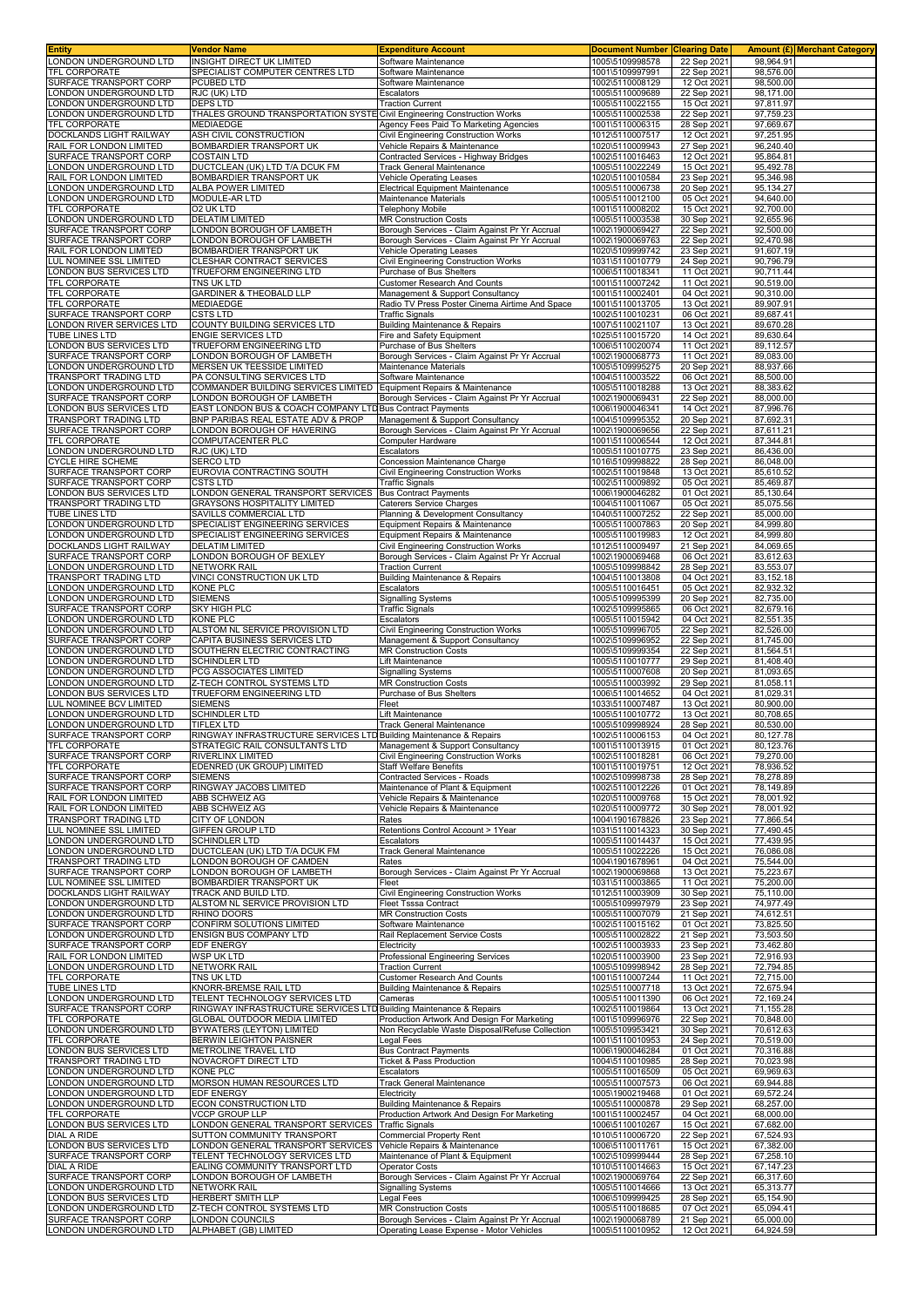| <b>Entity</b>                                      | <b>Vendor Name</b>                                                 | <b>Expenditure Account</b>                                                                     | <b>Document Number Clearing Date</b> |                            |                        | <b>Amount (£) Merchant Category</b> |
|----------------------------------------------------|--------------------------------------------------------------------|------------------------------------------------------------------------------------------------|--------------------------------------|----------------------------|------------------------|-------------------------------------|
| LONDON UNDERGROUND LTD                             | INSIGHT DIRECT UK LIMITED                                          | Software Maintenance                                                                           | 1005\5109998578                      | 22 Sep 2021                | 98,964.91              |                                     |
| TFL CORPORATE<br>SURFACE TRANSPORT CORP            | SPECIALIST COMPUTER CENTRES LTD<br>PCUBED LTD                      | Software Maintenance<br>Software Maintenance                                                   | 1001\5109997991<br>1002\5110008129   | 22 Sep 2021<br>12 Oct 2021 | 98,576.00<br>98,500.00 |                                     |
| ONDON UNDERGROUND LTD                              | RJC (UK) LTD                                                       | Escalators                                                                                     | 1005\5110009689                      | 22 Sep 2021                | 98,171.00              |                                     |
| LONDON UNDERGROUND LTD                             | <b>DEPS LTD</b>                                                    | <b>Traction Current</b>                                                                        | 1005\5110022155                      | 15 Oct 202                 | 97,811.97              |                                     |
| ONDON UNDERGROUND LTD                              | THALES GROUND TRANSPORTATION SYSTE                                 | Civil Engineering Construction Works                                                           | 1005\5110002538                      | 22 Sep 2021                | 97,759.23              |                                     |
| <b>TFL CORPORATE</b>                               | MEDIAEDGE                                                          | Agency Fees Paid To Marketing Agencies                                                         | 1001\5110006315                      | 28 Sep 2021                | 97.669.67              |                                     |
| DOCKLANDS LIGHT RAILWAY<br>RAIL FOR LONDON LIMITED | ASH CIVIL CONSTRUCTION                                             | Civil Engineering Construction Works                                                           | 1012\5110007517                      | 12 Oct 2021                | 97,251.95<br>96.240.40 |                                     |
| SURFACE TRANSPORT CORP                             | BOMBARDIER TRANSPORT UK<br><b>COSTAIN LTD</b>                      | Vehicle Repairs & Maintenance<br>Contracted Services - Highway Bridges                         | 1020\5110009943<br>1002\5110016463   | 27 Sep 2021<br>12 Oct 2021 | 95,864.81              |                                     |
| ONDON UNDERGROUND LTD                              | DUCTCLEAN (UK) LTD T/A DCUK FM                                     | <b>Frack General Maintenance</b>                                                               | 1005\5110022249                      | 15 Oct 2021                | 95,492.78              |                                     |
| RAIL FOR LONDON LIMITED                            | BOMBARDIER TRANSPORT UK                                            | Vehicle Operating Leases                                                                       | 1020\5110010584                      | 23 Sep 202                 | 95,346.98              |                                     |
| LONDON UNDERGROUND LTD                             | ALBA POWER LIMITED                                                 | Electrical Equipment Maintenance                                                               | 1005\5110006738                      | 20 Sep 2021                | 95,134.27              |                                     |
| ONDON UNDERGROUND LTD                              | MODULE-AR LTD                                                      | Maintenance Materials                                                                          | 1005\5110012100                      | 05 Oct 2021                | 94,640.00              |                                     |
| TFL CORPORATE<br>ONDON UNDERGROUND LTD             | 02 UK LTD<br><b>DELATIM LIMITED</b>                                | <b>Telephony Mobile</b><br><b>MR Construction Costs</b>                                        | 1001\5110008202<br>1005\5110003538   | 15 Oct 2021<br>30 Sep 2021 | 92,700.00<br>92.655.96 |                                     |
| SURFACE TRANSPORT CORP                             | ONDON BOROUGH OF LAMBETH                                           | Borough Services - Claim Against Pr Yr Accrual                                                 | 1002\1900069427                      | 22 Sep 2021                | 92,500.00              |                                     |
| SURFACE TRANSPORT CORP                             | LONDON BOROUGH OF LAMBETH                                          | Borough Services - Claim Against Pr Yr Accrual                                                 | 1002\1900069763                      | 22 Sep 2021                | 92.470.98              |                                     |
| RAIL FOR LONDON LIMITED                            | BOMBARDIER TRANSPORT UK                                            | <b>Vehicle Operating Leases</b>                                                                | 1020\5109999742                      | 23 Sep 2021                | 91,607.19              |                                     |
| LUL NOMINEE SSL LIMITED<br>ONDON BUS SERVICES LTD  | CLESHAR CONTRACT SERVICES<br>TRUEFORM ENGINEERING LTD              | <b>Civil Engineering Construction Works</b><br>Purchase of Bus Shelters                        | 1031\5110010779                      | 24 Sep 2021                | 90.796.79              |                                     |
| <b>TFL CORPORATE</b>                               | TNS UK LTD                                                         | <b>Customer Research And Counts</b>                                                            | 1006\5110018341<br>1001\5110007242   | 11 Oct 2021<br>11 Oct 2021 | 90,711.44<br>90,519.00 |                                     |
| TFL CORPORATE                                      | <b>GARDINER &amp; THEOBALD LLP</b>                                 | Management & Support Consultancy                                                               | 1001\5110002401                      | 04 Oct 2021                | 90,310.00              |                                     |
| TFL CORPORATE                                      | <b>MEDIAEDGE</b>                                                   | Radio TV Press Poster Cinema Airtime And Space                                                 | 1001\5110013705                      | 13 Oct 2021                | 89,907.91              |                                     |
| SURFACE TRANSPORT CORP                             | CSTS LTD                                                           | <b>Traffic Signals</b>                                                                         | 1002\5110010231                      | 06 Oct 2021                | 89,687.41              |                                     |
| ONDON RIVER SERVICES LTD<br>TUBE LINES LTD         | COUNTY BUILDING SERVICES LTD<br>ENGIE SERVICES LTD                 | <b>Building Maintenance &amp; Repairs</b><br>Fire and Safety Equipment                         | 1007\5110021107<br>1025\5110015720   | 13 Oct 2021<br>14 Oct 2021 | 89,670.28<br>89,630.64 |                                     |
| LONDON BUS SERVICES LTD                            | TRUEFORM ENGINEERING LTD                                           | Purchase of Bus Shelters                                                                       | 1006\5110020074                      | 11 Oct 2021                | 89,112.57              |                                     |
| SURFACE TRANSPORT CORP                             | ONDON BOROUGH OF LAMBETH                                           | Borough Services - Claim Against Pr Yr Accrual                                                 | 1002\1900068773                      | 11 Oct 2021                | 89,083.00              |                                     |
| ONDON UNDERGROUND LTD                              | MERSEN UK TEESSIDE LIMITED                                         | Maintenance Materials                                                                          | 1005\5109995275                      | 20 Sep 2021                | 88,937.66              |                                     |
| TRANSPORT TRADING LTD                              | PA CONSULTING SERVICES LTD                                         | Software Maintenance                                                                           | 1004\5110003522                      | 06 Oct 2021                | 88,500.00              |                                     |
| ONDON UNDERGROUND LTD<br>SURFACE TRANSPORT CORP    | COMMANDER BUILDING SERVICES LIMITED<br>ONDON BOROUGH OF LAMBETH    | Equipment Repairs & Maintenance<br>Borough Services - Claim Against Pr Yr Accrual              | 1005\5110018288<br>1002\1900069431   | 13 Oct 2021<br>22 Sep 2021 | 88,383.62<br>88,000.00 |                                     |
| ONDON BUS SERVICES LTD                             | EAST LONDON BUS & COACH COMPANY LTD Bus Contract Payments          |                                                                                                | 1006\1900046341                      | 14 Oct 2021                | 87,996.76              |                                     |
| TRANSPORT TRADING LTD                              | BNP PARIBAS REAL ESTATE ADV & PROP                                 | Management & Support Consultancy                                                               | 1004\5109995352                      | 20 Sep 2021                | 87,692.31              |                                     |
| SURFACE TRANSPORT CORP                             | ONDON BOROUGH OF HAVERING                                          | Borough Services - Claim Against Pr Yr Accrual                                                 | 1002\1900069656                      | 22 Sep 2021                | 87.611.21              |                                     |
| TFL CORPORATE                                      | COMPUTACENTER PLC                                                  | Computer Hardware                                                                              | 1001\5110006544<br>1005\5110010775   | 12 Oct 2021                | 87,344.81              |                                     |
| ONDON UNDERGROUND LTD<br><b>CYCLE HIRE SCHEME</b>  | RJC (UK) LTD<br><b>SERCO LTD</b>                                   | Escalators<br>Concession Maintenance Charge                                                    | 1016\5109998822                      | 23 Sep 2021<br>28 Sep 2021 | 86,436.00<br>86,048.00 |                                     |
| SURFACE TRANSPORT CORP                             | EUROVIA CONTRACTING SOUTH                                          | <b>Civil Engineering Construction Works</b>                                                    | 1002\5110019848                      | 13 Oct 2021                | 85,610.52              |                                     |
| SURFACE TRANSPORT CORP                             | <b>CSTS LTD</b>                                                    | <b>Traffic Signals</b>                                                                         | 1002\5110009892                      | 05 Oct 2021                | 85,469.87              |                                     |
| ONDON BUS SERVICES LTD                             | ONDON GENERAL TRANSPORT SERVICES                                   | <b>Bus Contract Payments</b>                                                                   | 1006\1900046282                      | 01 Oct 2021                | 85,130.64              |                                     |
| TRANSPORT TRADING LTD                              | <b>GRAYSONS HOSPITALITY LIMITED</b>                                | <b>Caterers Service Charges</b>                                                                | 1004\5110011067                      | 05 Oct 202                 | 85,075.56              |                                     |
| TUBE LINES LTD<br>ONDON UNDERGROUND LTD            | SAVILLS COMMERCIAL LTD<br>SPECIALIST ENGINEERING SERVICES          | Planning & Development Consultancy<br>Equipment Repairs & Maintenance                          | 1040\5110007252<br>1005\5110007863   | 22 Sep 2021<br>20 Sep 2021 | 85,000.00<br>84,999.80 |                                     |
| ONDON UNDERGROUND LTD                              | SPECIALIST ENGINEERING SERVICES                                    | Equipment Repairs & Maintenance                                                                | 1005\5110019983                      | 12 Oct 2021                | 84,999.80              |                                     |
| DOCKLANDS LIGHT RAILWAY                            | <b>DELATIM LIMITED</b>                                             | Civil Engineering Construction Works                                                           | 1012\5110009497                      | 21 Sep 2021                | 84,069.65              |                                     |
| SURFACE TRANSPORT CORP<br>ONDON UNDERGROUND LTD    | LONDON BOROUGH OF BEXLEY<br><b>NETWORK RAIL</b>                    | Borough Services - Claim Against Pr Yr Accrual<br><b>Traction Current</b>                      | 1002\1900069468<br>1005\5109998842   | 06 Oct 2021<br>28 Sep 2021 | 83,612.63<br>83,553.07 |                                     |
| <b>TRANSPORT TRADING LTD</b>                       | VINCI CONSTRUCTION UK LTD                                          | Building Maintenance & Repairs                                                                 | 1004\5110013808                      | 04 Oct 2021                | 83, 152. 18            |                                     |
| ONDON UNDERGROUND LTD                              | <b>KONE PLC</b>                                                    | Escalators                                                                                     | 1005\5110016451                      | 05 Oct 2021                | 82,932.32              |                                     |
| ONDON UNDERGROUND LTD                              | <b>SIEMENS</b>                                                     | Signalling Systems                                                                             | 1005\5109995399                      | 20 Sep 2021                | 82,735.00              |                                     |
| SURFACE TRANSPORT CORP<br>ONDON UNDERGROUND LTD    | SKY HIGH PLC<br>KONE PLC                                           | <b>Traffic Signals</b><br>Escalators                                                           | 1002\5109995865                      | 06 Oct 2021                | 82,679.16<br>82,551.35 |                                     |
| ONDON UNDERGROUND LTD                              | ALSTOM NL SERVICE PROVISION LTD                                    | Civil Engineering Construction Works                                                           | 1005\5110015942<br>1005\5109996705   | 04 Oct 2021<br>22 Sep 2021 | 82,526.00              |                                     |
| SURFACE TRANSPORT CORP                             | CAPITA BUSINESS SERVICES LTD                                       | Management & Support Consultancy                                                               | 1002\5109996952                      | 22 Sep 2021                | 81,745.00              |                                     |
| ONDON UNDERGROUND LTD                              | SOUTHERN ELECTRIC CONTRACTING                                      | <b>MR Construction Costs</b>                                                                   | 1005\5109999354                      | 22 Sep 2021                | 81,564.51              |                                     |
| ONDON UNDERGROUND LTD<br>ONDON UNDERGROUND LTD     | <b>SCHINDLER LTD</b><br>PCG ASSOCIATES LIMITED                     | Lift Maintenance<br>Signalling Systems                                                         | 1005\5110010777<br>1005\5110007608   | 29 Sep 202<br>20 Sep 2021  | 81.408.40<br>81,093.65 |                                     |
| ONDON UNDERGROUND LTD                              | Z-TECH CONTROL SYSTEMS LTD                                         | <b>MR Construction Costs</b>                                                                   | 1005\5110003992                      | 29 Sep 2021                | 81,058.11              |                                     |
| ONDON BUS SERVICES LTD                             | TRUEFORM ENGINEERING LTD                                           | Purchase of Bus Shelters                                                                       | 1006\5110014652                      | 04 Oct 2021                | 81,029.31              |                                     |
| UL NOMINEE BCV LIMITED<br>ONDON UNDERGROUND LTD    | <b>SIEMENS</b><br><b>SCHINDLER LTD</b>                             | Fleet<br>Lift Maintenance                                                                      | 1033\5110007487<br>1005\5110010772   | 13 Oct 2021<br>13 Oct 202  | 80,900.00<br>80,708.65 |                                     |
| ONDON UNDERGROUND LTD                              | TIFLEX LTD                                                         | <b>Track General Maintenance</b>                                                               | 1005\5109998924                      | 28 Sep 2021                | 80,530.00              |                                     |
| SURFACE TRANSPORT CORP                             | RINGWAY INFRASTRUCTURE SERVICES LTD Building Maintenance & Repairs |                                                                                                | 1002\5110006153                      | 04 Oct 2021                | 80,127.78              |                                     |
| TFL CORPORATE                                      | STRATEGIC RAIL CONSULTANTS LTD                                     | Management & Support Consultancy                                                               | 1001\5110013915                      | 01 Oct 2021                | 80,123.76              |                                     |
| SURFACE TRANSPORT CORP<br><b>TFL CORPORATE</b>     | RIVERLINX LIMITED<br>EDENRED (UK GROUP) LIMITED                    | Civil Engineering Construction Works<br><b>Staff Welfare Benefits</b>                          | 1002\5110018281<br>1001\5110019751   | 06 Oct 2021<br>12 Oct 2021 | 79,270.00<br>78,936.52 |                                     |
| SURFACE TRANSPORT CORP                             | <b>SIEMENS</b>                                                     | Contracted Services - Roads                                                                    | 1002\5109998738                      | 28 Sep 2021                | 78,278.89              |                                     |
| <b>SURFACE TRANSPORT CORP</b>                      | RINGWAY JACOBS LIMITED                                             | Maintenance of Plant & Equipment                                                               | 1002\5110012226                      | 01 Oct 2021                | 78,149.89              |                                     |
| RAIL FOR LONDON LIMITED                            | ABB SCHWEIZ AG                                                     | Vehicle Repairs & Maintenance                                                                  | 1020\5110009768                      | 15 Oct 2021                | 78,001.92              |                                     |
| RAIL FOR LONDON LIMITED                            | ABB SCHWEIZ AG                                                     | Vehicle Repairs & Maintenance                                                                  | 1020\5110009772                      | 30 Sep 2021                | 78,001.92              |                                     |
| TRANSPORT TRADING LTD<br>LUL NOMINEE SSL LIMITED   | CITY OF LONDON<br>GIFFEN GROUP LTD                                 | Rates<br>Retentions Control Account > 1Year                                                    | 1004\1901678826<br>1031\5110014323   | 23 Sep 2021<br>30 Sep 2021 | 77,866.54<br>77,490.45 |                                     |
| ONDON UNDERGROUND LTD                              | <b>SCHINDLER LTD</b>                                               | Escalators                                                                                     | 1005\5110014437                      | 15 Oct 2021                | 77,439.95              |                                     |
| ONDON UNDERGROUND LTD                              | DUCTCLEAN (UK) LTD T/A DCUK FM                                     | <b>Track General Maintenance</b>                                                               | 1005\5110022226                      | 15 Oct 2021                | 76,086.08              |                                     |
| TRANSPORT TRADING LTD<br>SURFACE TRANSPORT CORP    | ONDON BOROUGH OF CAMDEN<br>ONDON BOROUGH OF LAMBETH                | Rates<br>Borough Services - Claim Against Pr Yr Accrual                                        | 1004\1901678961<br>1002\1900069868   | 04 Oct 2021<br>13 Oct 2021 | 75,544.00<br>75,223.67 |                                     |
| LUL NOMINEE SSL LIMITED                            | BOMBARDIER TRANSPORT UK                                            | Fleet                                                                                          | 1031\5110003865                      | 11 Oct 2021                | 75,200.00              |                                     |
| DOCKLANDS LIGHT RAILWAY                            | TRACK AND BUILD LTD.                                               | Civil Engineering Construction Works                                                           | 1012\5110003909                      | 30 Sep 2021                | 75,110.00              |                                     |
| LONDON UNDERGROUND LTD                             | ALSTOM NL SERVICE PROVISION LTD                                    | Fleet Tsssa Contract                                                                           | 1005\5109997979                      | 23 Sep 2021                | 74,977.49              |                                     |
| LONDON UNDERGROUND LTD                             | RHINO DOORS<br>CONFIRM SOLUTIONS LIMITED                           | <b>MR Construction Costs</b>                                                                   | 1005\5110007079                      | 21 Sep 2021                | 74,612.51              |                                     |
| SURFACE TRANSPORT CORP<br>ONDON UNDERGROUND LTD    | ENSIGN BUS COMPANY LTD                                             | Software Maintenance<br>Rail Replacement Service Costs                                         | 1002\5110015162<br>1005\5110002822   | 01 Oct 2021<br>21 Sep 2021 | 73,825.50<br>73,503.50 |                                     |
| SURFACE TRANSPORT CORP                             | EDF ENERGY                                                         | Electricity                                                                                    | 1002\5110003933                      | 23 Sep 2021                | 73,462.80              |                                     |
| RAIL FOR LONDON LIMITED                            | WSP UK LTD                                                         | Professional Engineering Services                                                              | 1020\5110003900                      | 23 Sep 2021                | 72,916.93              |                                     |
| ONDON UNDERGROUND LTD                              | <b>NETWORK RAIL</b><br>TNS UK LTD                                  | <b>Traction Current</b>                                                                        | 1005\5109998942                      | 28 Sep 2021                | 72,794.85<br>72,715.00 |                                     |
| TFL CORPORATE<br>TUBE LINES LTD                    | KNORR-BREMSE RAIL LTD                                              | <b>Customer Research And Counts</b><br><b>Building Maintenance &amp; Repairs</b>               | 1001\5110007244<br>1025\5110007718   | 11 Oct 2021<br>13 Oct 2021 | 72,675.94              |                                     |
| LONDON UNDERGROUND LTD                             | TELENT TECHNOLOGY SERVICES LTD                                     | Cameras                                                                                        | 1005\5110011390                      | 06 Oct 2021                | 72,169.24              |                                     |
| SURFACE TRANSPORT CORP                             | RINGWAY INFRASTRUCTURE SERVICES LTD Building Maintenance & Repairs |                                                                                                | 1002\5110019864                      | 13 Oct 2021                | 71,155.28              |                                     |
| TFL CORPORATE<br>LONDON UNDERGROUND LTD            | GLOBAL OUTDOOR MEDIA LIMITED<br>BYWATERS (LEYTON) LIMITED          | Production Artwork And Design For Marketing<br>Non Recyclable Waste Disposal/Refuse Collection | 1001\5109996976<br>1005\5109953421   | 22 Sep 2021<br>30 Sep 2021 | 70,848.00<br>70,612.63 |                                     |
| TFL CORPORATE                                      | BERWIN LEIGHTON PAISNER                                            | Legal Fees                                                                                     | 1001\5110010953                      | 24 Sep 2021                | 70,519.00              |                                     |
| LONDON BUS SERVICES LTD                            | METROLINE TRAVEL LTD                                               | <b>Bus Contract Payments</b>                                                                   | 1006\1900046284                      | 01 Oct 2021                | 70,316.88              |                                     |
| TRANSPORT TRADING LTD                              | NOVACROFT DIRECT LTD                                               | <b>Ticket &amp; Pass Production</b>                                                            | 1004\5110010985                      | 28 Sep 2021                | 70,023.98              |                                     |
| LONDON UNDERGROUND LTD<br>ONDON UNDERGROUND LTD    | <b>KONE PLC</b><br>MORSON HUMAN RESOURCES LTD                      | Escalators<br>Track General Maintenance                                                        | 1005\5110016509<br>1005\5110007573   | 05 Oct 2021<br>06 Oct 2021 | 69,969.63<br>69,944.88 |                                     |
| ONDON UNDERGROUND LTD                              | EDF ENERGY                                                         | Electricity                                                                                    | 1005\1900219468                      | 01 Oct 2021                | 69,572.24              |                                     |
| ONDON UNDERGROUND LTD                              | ECON CONSTRUCTION LTD                                              | Building Maintenance & Repairs                                                                 | 1005\5110000878                      | 29 Sep 2021                | 68,257.00              |                                     |
| TFL CORPORATE<br><b>LONDON BUS SERVICES LTD</b>    | <b>VCCP GROUP LLP</b><br>ONDON GENERAL TRANSPORT SERVICES          | Production Artwork And Design For Marketing<br><b>Traffic Signals</b>                          | 1001\5110002457<br>1006\5110010267   | 04 Oct 2021<br>15 Oct 2021 | 68,000.00<br>67,682.00 |                                     |
| DIAL A RIDE                                        | SUTTON COMMUNITY TRANSPORT                                         | Commercial Property Rent                                                                       | 1010\5110006720                      | 22 Sep 2021                | 67,524.93              |                                     |
| LONDON BUS SERVICES LTD                            | ONDON GENERAL TRANSPORT SERVICES                                   | Vehicle Repairs & Maintenance                                                                  | 1006\5110011761                      | 15 Oct 2021                | 67,382.00              |                                     |
| SURFACE TRANSPORT CORP                             | TELENT TECHNOLOGY SERVICES LTD                                     | Maintenance of Plant & Equipment                                                               | 1002\5109999444                      | 28 Sep 2021                | 67,258.10              |                                     |
| DIAL A RIDE<br>SURFACE TRANSPORT CORP              | EALING COMMUNITY TRANSPORT LTD<br>ONDON BOROUGH OF LAMBETH         | <b>Operator Costs</b><br>Borough Services - Claim Against Pr Yr Accrual                        | 1010\5110014663<br>1002\1900069764   | 15 Oct 2021<br>22 Sep 2021 | 67,147.23<br>66,317.60 |                                     |
| ONDON UNDERGROUND LTD                              | <b>NETWORK RAIL</b>                                                | <b>Signalling Systems</b>                                                                      | 1005\5110014666                      | 13 Oct 2021                | 65,313.77              |                                     |
| ONDON BUS SERVICES LTD                             | HERBERT SMITH LLP                                                  | Legal Fees                                                                                     | 1006\5109999425                      | 28 Sep 2021                | 65,154.90              |                                     |
| ONDON UNDERGROUND LTD                              | Z-TECH CONTROL SYSTEMS LTD                                         | <b>MR Construction Costs</b>                                                                   | 1005\5110018685                      | 07 Oct 2021                | 65,094.41              |                                     |
| SURFACE TRANSPORT CORP<br>LONDON UNDERGROUND LTD   | ONDON COUNCILS<br>ALPHABET (GB) LIMITED                            | Borough Services - Claim Against Pr Yr Accrual<br>Operating Lease Expense - Motor Vehicles     | 1002\1900068789<br>1005\5110010952   | 21 Sep 2021<br>12 Oct 2021 | 65,000.00<br>64,924.59 |                                     |
|                                                    |                                                                    |                                                                                                |                                      |                            |                        |                                     |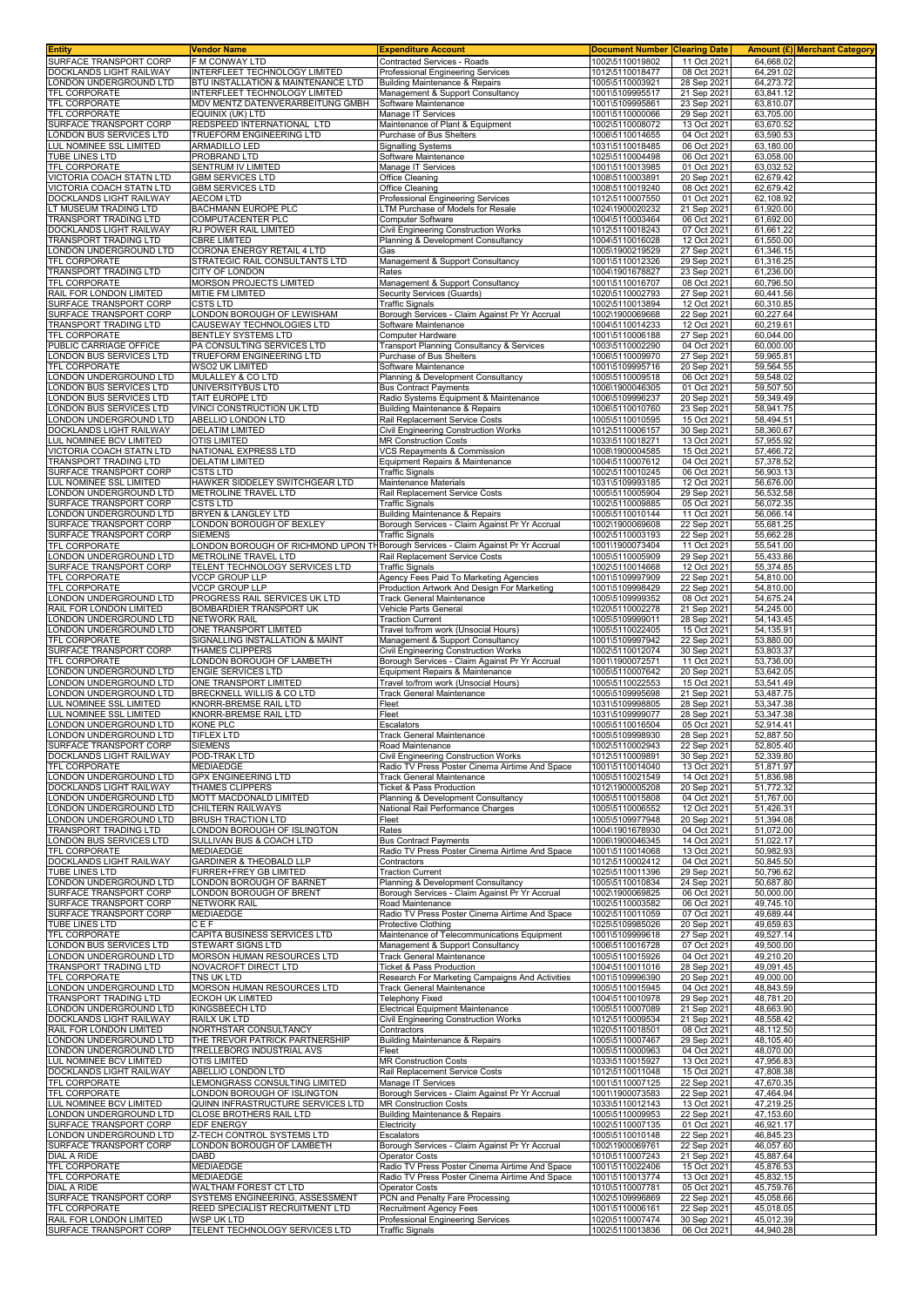| <b>Entity</b>                                          | <b>Vendor Name</b>                                                | <b>Expenditure Account</b>                                                         | <b>Document Number</b>             | <b>Clearing Date</b>       |                        | <b>Amount (£)</b> Merchant Category |
|--------------------------------------------------------|-------------------------------------------------------------------|------------------------------------------------------------------------------------|------------------------------------|----------------------------|------------------------|-------------------------------------|
| SURFACE TRANSPORT CORP                                 | <b>F M CONWAY LTD</b>                                             | Contracted Services - Roads                                                        | 1002\5110019802                    | 11 Oct 2021                | 64,668.02              |                                     |
| DOCKLANDS LIGHT RAILWAY                                | INTERFLEET TECHNOLOGY LIMITED                                     | Professional Engineering Services                                                  | 1012\5110018477                    | 08 Oct 2021                | 64,291.02              |                                     |
| LONDON UNDERGROUND LTD                                 | BTU INSTALLATION & MAINTENANCE LTD                                | Building Maintenance & Repairs                                                     | 1005\5110003921                    | 28 Sep 2021                | 64,273.72              |                                     |
| <b>TFL CORPORATE</b><br><b>TFL CORPORATE</b>           | INTERFLEET TECHNOLOGY LIMITED<br>MDV MENTZ DATENVERARBEITUNG GMBH | Management & Support Consultancy<br>Software Maintenance                           | 1001\5109995517<br>1001\5109995861 | 21 Sep 2021<br>23 Sep 2021 | 63,841.12<br>63,810.07 |                                     |
| TFL CORPORATE                                          | EQUINIX (UK) LTD                                                  | Manage IT Services                                                                 | 1001\5110000066                    | 29 Sep 2021                | 63,705.00              |                                     |
| SURFACE TRANSPORT CORP                                 | REDSPEED INTERNATIONAL LTD                                        | Maintenance of Plant & Equipment                                                   | 1002\5110008072                    | 13 Oct 2021                | 63,670.52              |                                     |
| ONDON BUS SERVICES LTD                                 | TRUEFORM ENGINEERING LTD                                          | Purchase of Bus Shelters                                                           | 1006\5110014655                    | 04 Oct 2021                | 63,590.53              |                                     |
| <b>LUL NOMINEE SSL LIMITED</b>                         | ARMADILLO LED                                                     | <b>Signalling Systems</b>                                                          | 1031\5110018485                    | 06 Oct 2021                | 63,180.00              |                                     |
| TUBE LINES LTD                                         | PROBRAND LTD                                                      | Software Maintenance                                                               | 1025\5110004498                    | 06 Oct 2021                | 63,058.00              |                                     |
| TFL CORPORATE                                          | SENTRUM IV LIMITED                                                | Manage IT Services                                                                 | 1001\5110013985                    | 01 Oct 2021                | 63,032.52              |                                     |
| VICTORIA COACH STATN LTD                               | <b>GBM SERVICES LTD</b>                                           | <b>Office Cleaning</b>                                                             | 1008\5110003891                    | 20 Sep 2021                | 62,679.42              |                                     |
| VICTORIA COACH STATN LTD                               | <b>GBM SERVICES LTD</b>                                           | Office Cleaning                                                                    | 1008\5110019240                    | 08 Oct 2021                | 62,679.42              |                                     |
| DOCKLANDS LIGHT RAILWAY                                | <b>AECOM LTD</b>                                                  | Professional Engineering Services                                                  | 1012\5110007550                    | 01 Oct 2021                | 62,108.92              |                                     |
| T MUSEUM TRADING LTD<br>TRANSPORT TRADING LTD          | BACHMANN EUROPE PLC<br><b>COMPUTACENTER PLC</b>                   | TM Purchase of Models for Resale<br><b>Computer Software</b>                       | 1024\1900020232<br>1004\5110003464 | 21 Sep 2021<br>06 Oct 2021 | 61,920.00<br>61,692.00 |                                     |
| DOCKLANDS LIGHT RAILWAY                                | RJ POWER RAIL LIMITED                                             | Civil Engineering Construction Works                                               | 1012\5110018243                    | 07 Oct 2021                | 61,661.22              |                                     |
| TRANSPORT TRADING LTD                                  | <b>CBRE LIMITED</b>                                               | Planning & Development Consultancy                                                 | 1004\5110016028                    | 12 Oct 2021                | 61,550.00              |                                     |
| LONDON UNDERGROUND LTD                                 | CORONA ENERGY RETAIL 4 LTD                                        | Gas                                                                                | 1005\1900219529                    | 27 Sep 2021                | 61,346.15              |                                     |
| TFL CORPORATE                                          | STRATEGIC RAIL CONSULTANTS LTD                                    | Management & Support Consultancy                                                   | 1001\5110012326                    | 29 Sep 2021                | 61,316.25              |                                     |
| TRANSPORT TRADING LTD                                  | CITY OF LONDON                                                    | Rates                                                                              | 1004\1901678827                    | 23 Sep 2021                | 61,236.00              |                                     |
| TFL CORPORATE                                          | MORSON PROJECTS LIMITED                                           | Management & Support Consultancy                                                   | 1001\5110016707                    | 08 Oct 2021                | 60,796.50              |                                     |
| RAIL FOR LONDON LIMITED                                | MITIE FM LIMITED                                                  | Security Services (Guards)                                                         | 1020\5110002793                    | 27 Sep 2021                | 60,441.56              |                                     |
| SURFACE TRANSPORT CORP<br>SURFACE TRANSPORT CORP       | <b>CSTS LTD</b><br>LONDON BOROUGH OF LEWISHAM                     | Traffic Signals<br>Borough Services - Claim Against Pr Yr Accrual                  | 1002\5110013894<br>1002\1900069668 | 12 Oct 2021<br>22 Sep 2021 | 60,310.85<br>60,227.64 |                                     |
| TRANSPORT TRADING LTD                                  | CAUSEWAY TECHNOLOGIES LTD                                         | Software Maintenance                                                               | 1004\5110014233                    | 12 Oct 2021                | 60,219.61              |                                     |
| TFL CORPORATE                                          | BENTLEY SYSTEMS LTD                                               | Computer Hardware                                                                  | 1001\5110006188                    | 27 Sep 2021                | 60,044.00              |                                     |
| PUBLIC CARRIAGE OFFICE                                 | PA CONSULTING SERVICES LTD                                        | Transport Planning Consultancy & Services                                          | 1003\5110002290                    | 04 Oct 2021                | 60,000.00              |                                     |
| ONDON BUS SERVICES LTD                                 | TRUEFORM ENGINEERING LTD                                          | Purchase of Bus Shelters                                                           | 1006\5110009970                    | 27 Sep 2021                | 59,965.81              |                                     |
| <b>TFL CORPORATE</b>                                   | WSO2 UK LIMITED                                                   | Software Maintenance                                                               | 1001\5109995716                    | 20 Sep 2021                | 59,564.55              |                                     |
| ONDON UNDERGROUND LTD                                  | MULALLEY & CO LTD                                                 | Planning & Development Consultancy                                                 | 1005\5110009518                    | 06 Oct 2021                | 59,548.02              |                                     |
| ONDON BUS SERVICES LTD                                 | UNIVERSITYBUS LTD                                                 | <b>Bus Contract Payments</b>                                                       | 1006\1900046305                    | 01 Oct 2021                | 59,507.50              |                                     |
| ONDON BUS SERVICES LTD<br>ONDON BUS SERVICES LTD       | TAIT EUROPE LTD<br>VINCI CONSTRUCTION UK LTD                      | Radio Systems Equipment & Maintenance<br><b>Building Maintenance &amp; Repairs</b> | 1006\5109996237<br>1006\5110010760 | 20 Sep 2021<br>23 Sep 2021 | 59,349.49<br>58,941.75 |                                     |
| ONDON UNDERGROUND LTD                                  | ABELLIO LONDON LTD                                                | Rail Replacement Service Costs                                                     | 1005\5110010595                    | 15 Oct 2021                | 58,494.51              |                                     |
| DOCKLANDS LIGHT RAILWAY                                | <b>DELATIM LIMITED</b>                                            | Civil Engineering Construction Works                                               | 1012\5110006157                    | 30 Sep 2021                | 58,360.67              |                                     |
| LUL NOMINEE BCV LIMITED                                | <b>OTIS LIMITED</b>                                               | <b>MR Construction Costs</b>                                                       | 1033\5110018271                    | 13 Oct 2021                | 57,955.92              |                                     |
| VICTORIA COACH STATN LTD                               | NATIONAL EXPRESS LTD                                              | <b>VCS Repayments &amp; Commission</b>                                             | 1008\1900004585                    | 15 Oct 2021                | 57,466.72              |                                     |
| TRANSPORT TRADING LTD                                  | <b>DELATIM LIMITED</b>                                            | Equipment Repairs & Maintenance                                                    | 1004\5110007612                    | 04 Oct 2021                | 57,378.52              |                                     |
| SURFACE TRANSPORT CORP                                 | <b>CSTS LTD</b>                                                   | <b>Traffic Signals</b>                                                             | 1002\5110010245                    | 06 Oct 2021                | 56,903.13              |                                     |
| <b>LUL NOMINEE SSL LIMITED</b>                         | HAWKER SIDDELEY SWITCHGEAR LTD                                    | Maintenance Materials                                                              | 1031\5109993185                    | 12 Oct 2021                | 56,676.00              |                                     |
| ONDON UNDERGROUND LTD                                  | <b>METROLINE TRAVEL LTD</b>                                       | Rail Replacement Service Costs                                                     | 1005\5110005904                    | 29 Sep 2021                | 56,532.58              |                                     |
| SURFACE TRANSPORT CORP<br>ONDON UNDERGROUND LTD        | <b>CSTS LTD</b><br>BRYEN & LANGLEY LTD                            | Traffic Signals<br><b>Building Maintenance &amp; Repairs</b>                       | 1002\5110009885<br>1005\5110010144 | 05 Oct 2021<br>11 Oct 2021 | 56,072.35<br>56,066.14 |                                     |
| SURFACE TRANSPORT CORP                                 | LONDON BOROUGH OF BEXLEY                                          | Borough Services - Claim Against Pr Yr Accrual                                     | 1002\1900069608                    | 22 Sep 2021                | 55,681.25              |                                     |
| SURFACE TRANSPORT CORP                                 | <b>SIEMENS</b>                                                    | <b>Traffic Signals</b>                                                             | 1002\5110003193                    | 22 Sep 2021                | 55,662.28              |                                     |
| TFL CORPORATE                                          |                                                                   | LONDON BOROUGH OF RICHMOND UPON THBorough Services - Claim Against Pr Yr Accrual   | 1001\1900073404                    | 11 Oct 2021                | 55,541.00              |                                     |
| LONDON UNDERGROUND LTD                                 | METROLINE TRAVEL LTD                                              | Rail Replacement Service Costs                                                     | 1005\5110005909                    | 29 Sep 2021                | 55,433.86              |                                     |
| SURFACE TRANSPORT CORP                                 | TELENT TECHNOLOGY SERVICES LTD                                    | Traffic Signals                                                                    | 1002\5110014668                    | 12 Oct 2021                | 55,374.85              |                                     |
| TFL CORPORATE                                          | <b>VCCP GROUP LLP</b>                                             | Agency Fees Paid To Marketing Agencies                                             | 1001\5109997909                    | 22 Sep 2021                | 54,810.00              |                                     |
| TFL CORPORATE                                          | <b>VCCP GROUP LLP</b>                                             | Production Artwork And Design For Marketing                                        | 1001\5109998429                    | 22 Sep 2021                | 54,810.00              |                                     |
| ONDON UNDERGROUND LTD                                  | PROGRESS RAIL SERVICES UK LTD                                     | Track General Maintenance                                                          | 1005\5109999352                    | 08 Oct 2021                | 54,675.24              |                                     |
| RAIL FOR LONDON LIMITED                                | BOMBARDIER TRANSPORT UK                                           | Vehicle Parts General                                                              | 1020\5110002278                    | 21 Sep 2021                | 54,245.00              |                                     |
| ONDON UNDERGROUND LTD<br>ONDON UNDERGROUND LTD         | <b>NETWORK RAIL</b><br>ONE TRANSPORT LIMITED                      | <b>Traction Current</b><br>Travel to/from work (Unsocial Hours)                    | 1005\5109999011<br>1005\5110022405 | 28 Sep 2021<br>15 Oct 2021 | 54,143.45<br>54,135.91 |                                     |
| <b>TFL CORPORATE</b>                                   | SIGNALLING INSTALLATION & MAINT                                   | Management & Support Consultancy                                                   | 1001\5109997942                    | 22 Sep 2021                | 53,880.00              |                                     |
| SURFACE TRANSPORT CORP                                 | THAMES CLIPPERS                                                   | Civil Engineering Construction Works                                               | 1002\5110012074                    | 30 Sep 2021                | 53,803.37              |                                     |
| TFL CORPORATE                                          | LONDON BOROUGH OF LAMBETH                                         | Borough Services - Claim Against Pr Yr Accrual                                     | 1001\1900072571                    | 11 Oct 2021                | 53,736.00              |                                     |
| LONDON UNDERGROUND LTD                                 | ENGIE SERVICES LTD                                                | Equipment Repairs & Maintenance                                                    | 1005\5110007642                    | 20 Sep 2021                | 53,642.05              |                                     |
| ONDON UNDERGROUND LTD                                  | ONE TRANSPORT LIMITED                                             | Travel to/from work (Unsocial Hours)                                               | 1005\5110022553                    | 15 Oct 2021                | 53,541.49              |                                     |
| ONDON UNDERGROUND LTD                                  | BRECKNELL WILLIS & CO LTD                                         | Track General Maintenance                                                          | 1005\5109995698                    | 21 Sep 2021                | 53,487.75              |                                     |
| <b>LUL NOMINEE SSL LIMITED</b>                         | <b>KNORR-BREMSE RAIL LTD</b>                                      | Fleet                                                                              | 1031\5109998805                    | 28 Sep 2021                | 53,347.38              |                                     |
| <b>UL NOMINEE SSL LIMITED</b><br>ONDON UNDERGROUND LTD | KNORR-BREMSE RAIL LTD                                             | Fleet                                                                              | 1031\5109999077                    | 28 Sep 2021                | 53,347.38<br>52,914.41 |                                     |
| LONDON UNDERGROUND LTD                                 | KONE PLC<br><b>TIFLEX LTD</b>                                     | Escalators<br>Track General Maintenance                                            | 1005\5110016504<br>1005\5109998930 | 05 Oct 2021<br>28 Sep 2021 | 52,887.50              |                                     |
| SURFACE TRANSPORT CORP                                 | SIEMENS                                                           | Road Maintenance                                                                   | 1002\5110002943                    | 22 Sep 2021                | 52,805.40              |                                     |
| DOCKLANDS LIGHT RAILWAY                                | POD-TRAK LTD                                                      | Civil Engineering Construction Works                                               | 1012\5110009891                    | 30 Sep 2021                | 52,339.80              |                                     |
| TFL CORPORATE                                          | <b>MEDIAEDGE</b>                                                  | Radio TV Press Poster Cinema Airtime And Space                                     | 1001\5110014040                    | 13 Oct 2021                | 51,871.97              |                                     |
| LONDON UNDERGROUND LTD                                 | <b>GPX ENGINEERING LTD</b>                                        | Track General Maintenance                                                          | 1005\5110021549                    | 14 Oct 2021                | 51,836.98              |                                     |
| DOCKLANDS LIGHT RAILWAY                                | <b>THAMES CLIPPERS</b>                                            | Ticket & Pass Production                                                           | 1012\1900005208                    | 20 Sep 2021                | 51,772.32              |                                     |
| LONDON UNDERGROUND LTD                                 | MOTT MACDONALD LIMITED                                            | Planning & Development Consultancy                                                 | 1005\5110015808                    | 04 Oct 2021                | 51,767.00              |                                     |
| LONDON UNDERGROUND LTD                                 | <b>CHILTERN RAILWAYS</b>                                          | National Rail Performance Charges                                                  | 1005\5110006552                    | 12 Oct 2021                | 51,426.31              |                                     |
| LONDON UNDERGROUND LTD<br>TRANSPORT TRADING LTD        | <b>BRUSH TRACTION LTD</b><br>LONDON BOROUGH OF ISLINGTON          | Fleet<br>Rates                                                                     | 1005\5109977948<br>1004\1901678930 | 20 Sep 2021<br>04 Oct 2021 | 51,394.08<br>51.072.00 |                                     |
| LONDON BUS SERVICES LTD                                | SULLIVAN BUS & COACH LTD                                          | <b>Bus Contract Payments</b>                                                       | 1006\1900046345                    | 14 Oct 2021                | 51,022.17              |                                     |
| TFL CORPORATE                                          | <b>MEDIAEDGE</b>                                                  | Radio TV Press Poster Cinema Airtime And Space                                     | 1001\5110014068                    | 13 Oct 2021                | 50,982.93              |                                     |
| DOCKLANDS LIGHT RAILWAY                                | GARDINER & THEOBALD LLP                                           | Contractors                                                                        | 1012\5110002412                    | 04 Oct 2021                | 50,845.50              |                                     |
| TUBE LINES LTD                                         | FURRER+FREY GB LIMITED                                            | <b>Traction Current</b>                                                            | 1025\5110011396                    | 29 Sep 2021                | 50,796.62              |                                     |
| ONDON UNDERGROUND LTD                                  | LONDON BOROUGH OF BARNET                                          | Planning & Development Consultancy                                                 | 1005\5110010834                    | 24 Sep 2021                | 50,687.80              |                                     |
| SURFACE TRANSPORT CORP                                 | ONDON BOROUGH OF BRENT<br><b>NETWORK RAIL</b>                     | Borough Services - Claim Against Pr Yr Accrual                                     | 1002\1900069825                    | 06 Oct 2021                | 50,000.00              |                                     |
| SURFACE TRANSPORT CORP<br>SURFACE TRANSPORT CORP       | <b>MEDIAEDGE</b>                                                  | Road Maintenance<br>Radio TV Press Poster Cinema Airtime And Space                 | 1002\5110003582<br>1002\5110011059 | 06 Oct 2021<br>07 Oct 2021 | 49,745.10<br>49,689.44 |                                     |
| <b>TUBE LINES LTD</b>                                  | CEF                                                               | Protective Clothing                                                                | 1025\5109985026                    | 20 Sep 2021                | 49,659.63              |                                     |
| TFL CORPORATE                                          | CAPITA BUSINESS SERVICES LTD                                      | Maintenance of Telecommunications Equipment                                        | 1001\5109999618                    | 27 Sep 2021                | 49,527.14              |                                     |
| LONDON BUS SERVICES LTD                                | STEWART SIGNS LTD                                                 | Management & Support Consultancy                                                   | 1006\5110016728                    | 07 Oct 2021                | 49,500.00              |                                     |
| ONDON UNDERGROUND LTD                                  | MORSON HUMAN RESOURCES LTD                                        | Track General Maintenance                                                          | 1005\5110015926                    | 04 Oct 2021                | 49,210.20              |                                     |
| TRANSPORT TRADING LTD                                  | NOVACROFT DIRECT LTD                                              | Ticket & Pass Production                                                           | 1004\5110011016                    | 28 Sep 2021                | 49,091.45              |                                     |
| TFL CORPORATE                                          | TNS UK LTD                                                        | Research For Marketing Campaigns And Activities                                    | 1001\5109996390                    | 20 Sep 2021                | 49,000.00              |                                     |
| LONDON UNDERGROUND LTD                                 | MORSON HUMAN RESOURCES LTD                                        | Track General Maintenance                                                          | 1005\5110015945                    | 04 Oct 2021                | 48,843.59              |                                     |
| TRANSPORT TRADING LTD<br>LONDON UNDERGROUND LTD        | ECKOH UK LIMITED<br>KINGSBEECH LTD                                | Telephony Fixed<br>Electrical Equipment Maintenance                                | 1004\5110010978<br>1005\5110007089 | 29 Sep 2021<br>21 Sep 2021 | 48,781.20<br>48,663.90 |                                     |
| DOCKLANDS LIGHT RAILWAY                                | RAILX UK LTD                                                      | Civil Engineering Construction Works                                               | 1012\5110009534                    | 21 Sep 2021                | 48,558.42              |                                     |
| RAIL FOR LONDON LIMITED                                | NORTHSTAR CONSULTANCY                                             | Contractors                                                                        | 1020\5110018501                    | 08 Oct 2021                | 48,112.50              |                                     |
| LONDON UNDERGROUND LTD                                 | THE TREVOR PATRICK PARTNERSHIP                                    | <b>Building Maintenance &amp; Repairs</b>                                          | 1005\5110007467                    | 29 Sep 2021                | 48,105.40              |                                     |
| LONDON UNDERGROUND LTD                                 | TRELLEBORG INDUSTRIAL AVS                                         | Fleet                                                                              | 1005\5110000963                    | 04 Oct 2021                | 48,070.00              |                                     |
| <b>LUL NOMINEE BCV LIMITED</b>                         | <b>OTIS LIMITED</b>                                               | <b>MR Construction Costs</b>                                                       | 1033\5110015927                    | 13 Oct 2021                | 47,956.83              |                                     |
| DOCKLANDS LIGHT RAILWAY                                | ABELLIO LONDON LTD                                                | Rail Replacement Service Costs                                                     | 1012\5110011048                    | 15 Oct 2021                | 47,808.38              |                                     |
| TFL CORPORATE                                          | LEMONGRASS CONSULTING LIMITED                                     | Manage IT Services                                                                 | 1001\5110007125                    | 22 Sep 2021                | 47,670.35              |                                     |
| TFL CORPORATE                                          | LONDON BOROUGH OF ISLINGTON                                       | Borough Services - Claim Against Pr Yr Accrual                                     | 1001\1900073583                    | 22 Sep 2021                | 47,464.94              |                                     |
| LUL NOMINEE BCV LIMITED<br>LONDON UNDERGROUND LTD      | QUINN INFRASTRUCTURE SERVICES LTD<br>CLOSE BROTHERS RAIL LTD      | <b>MR Construction Costs</b><br>Building Maintenance & Repairs                     | 1033\5110012143<br>1005\5110009953 | 13 Oct 2021<br>22 Sep 2021 | 47,219.25<br>47,153.60 |                                     |
| SURFACE TRANSPORT CORP                                 | <b>EDF ENERGY</b>                                                 | Electricity                                                                        | 1002\5110007135                    | 01 Oct 2021                | 46,921.17              |                                     |
| LONDON UNDERGROUND LTD                                 | Z-TECH CONTROL SYSTEMS LTD                                        | Escalators                                                                         | 1005\5110010148                    | 22 Sep 2021                | 46,845.23              |                                     |
| SURFACE TRANSPORT CORP                                 | LONDON BOROUGH OF LAMBETH                                         | Borough Services - Claim Against Pr Yr Accrual                                     | 1002\1900069761                    | 22 Sep 2021                | 46,057.60              |                                     |
| <b>DIAL A RIDE</b>                                     | DABD                                                              | Operator Costs                                                                     | 1010\5110007243                    | 21 Sep 2021                | 45,887.64              |                                     |
| TFL CORPORATE                                          | <b>MEDIAEDGE</b>                                                  | Radio TV Press Poster Cinema Airtime And Space                                     | 1001\5110022406                    | 15 Oct 2021                | 45,876.53              |                                     |
|                                                        |                                                                   |                                                                                    | 1001\5110013774                    | 13 Oct 2021                | 45,832.15              |                                     |
| TFL CORPORATE                                          | MEDIAEDGE                                                         | Radio TV Press Poster Cinema Airtime And Space                                     |                                    |                            |                        |                                     |
| <b>DIAL A RIDE</b>                                     | WALTHAM FOREST CT LTD                                             | <b>Operator Costs</b>                                                              | 1010\5110007781                    | 05 Oct 2021                | 45,759.76              |                                     |
| SURFACE TRANSPORT CORP                                 | SYSTEMS ENGINEERING, ASSESSMENT                                   | PCN and Penalty Fare Processing                                                    | 1002\5109996869                    | 22 Sep 2021                | 45,058.66              |                                     |
| TFL CORPORATE<br>RAIL FOR LONDON LIMITED               | REED SPECIALIST RECRUITMENT LTD<br>WSP UK LTD                     | <b>Recruitment Agency Fees</b><br>Professional Engineering Services                | 1001\5110006161<br>1020\5110007474 | 22 Sep 2021<br>30 Sep 2021 | 45,018.05<br>45,012.39 |                                     |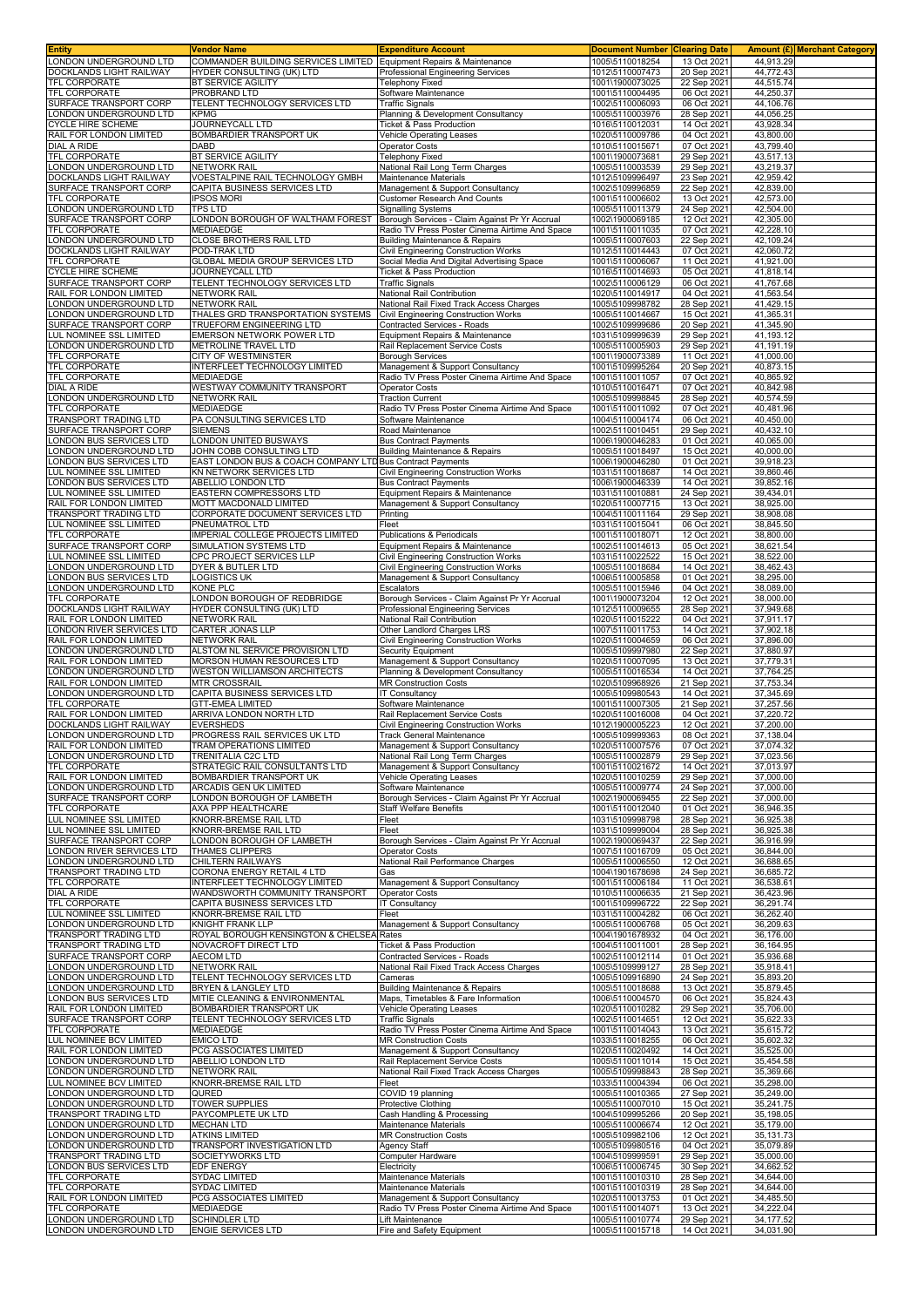| <b>Entity</b>                                       | Vendor Name                                                         | <b>Expenditure Account</b>                                                       | <b>Document Number</b>             | <b>Clearing Date</b>       |                         | Amount (£) Merchant Category |
|-----------------------------------------------------|---------------------------------------------------------------------|----------------------------------------------------------------------------------|------------------------------------|----------------------------|-------------------------|------------------------------|
| LONDON UNDERGROUND LTD                              | COMMANDER BUILDING SERVICES LIMITED Equipment Repairs & Maintenance |                                                                                  | 1005\5110018254                    | 13 Oct 2021                | 44,913.29               |                              |
| DOCKLANDS LIGHT RAILWAY                             | HYDER CONSULTING (UK) LTD                                           | Professional Engineering Services                                                | 1012\5110007473                    | 20 Sep 2021                | 44,772.43               |                              |
| TFL CORPORATE<br><b>TFL CORPORATE</b>               | BT SERVICE AGILITY                                                  | <b>Telephony Fixed</b>                                                           | 1001\1900073025                    | 22 Sep 2021                | 44,515.74               |                              |
| SURFACE TRANSPORT CORP                              | PROBRAND LTD<br>TELENT TECHNOLOGY SERVICES LTD                      | Software Maintenance<br><b>Traffic Signals</b>                                   | 1001\5110004495<br>1002\5110006093 | 06 Oct 2021<br>06 Oct 2021 | 44,250.37<br>44,106.76  |                              |
| ONDON UNDERGROUND LTD                               | <b>KPMG</b>                                                         | Planning & Development Consultancy                                               | 1005\5110003976                    | 28 Sep 2021                | 44,056.25               |                              |
| <b>CYCLE HIRE SCHEME</b>                            | JOURNEYCALL LTD                                                     | <b>Ticket &amp; Pass Production</b>                                              | 1016\5110012031                    | 14 Oct 2021                | 43,928.34               |                              |
| RAIL FOR LONDON LIMITED                             | BOMBARDIER TRANSPORT UK                                             | Vehicle Operating Leases                                                         | 1020\5110009786                    | 04 Oct 2021                | 43,800.00               |                              |
| <b>DIAL A RIDE</b>                                  | <b>DABD</b>                                                         | <b>Operator Costs</b>                                                            | 1010\5110015671                    | 07 Oct 2021                | 43,799.40               |                              |
| TFL CORPORATE                                       | BT SERVICE AGILITY                                                  | <b>Telephony Fixed</b>                                                           | 1001\1900073681                    | 29 Sep 2021                | 43,517.13               |                              |
| ONDON UNDERGROUND LTD                               | NETWORK RAIL                                                        | National Rail Long Term Charges                                                  | 1005\5110003539                    | 29 Sep 2021                | 43,219.37               |                              |
| DOCKLANDS LIGHT RAILWAY                             | VOESTALPINE RAIL TECHNOLOGY GMBH                                    | Maintenance Materials                                                            | 1012\5109996497                    | 23 Sep 2021                | 42,959.42               |                              |
| SURFACE TRANSPORT CORP                              | CAPITA BUSINESS SERVICES LTD                                        | Management & Support Consultancy                                                 | 1002\5109996859                    | 22 Sep 2021                | 42,839.00               |                              |
| TFL CORPORATE                                       | <b>IPSOS MORI</b><br><b>TPS LTD</b>                                 | Customer Research And Counts                                                     | 1001\5110006602                    | 13 Oct 2021                | 42,573.00<br>42,504.00  |                              |
| ONDON UNDERGROUND LTD<br>SURFACE TRANSPORT CORP     | LONDON BOROUGH OF WALTHAM FOREST                                    | <b>Signalling Systems</b><br>Borough Services - Claim Against Pr Yr Accrual      | 1005\5110011379<br>1002\1900069185 | 24 Sep 2021<br>12 Oct 2021 | 42,305.00               |                              |
| TFL CORPORATE                                       | MEDIAEDGE                                                           | Radio TV Press Poster Cinema Airtime And Space                                   | 1001\5110011035                    | 07 Oct 2021                | 42,228.10               |                              |
| ONDON UNDERGROUND LTD                               | CLOSE BROTHERS RAIL LTD                                             | <b>Building Maintenance &amp; Repairs</b>                                        | 1005\5110007603                    | 22 Sep 2021                | 42,109.24               |                              |
| DOCKLANDS LIGHT RAILWAY                             | POD-TRAK LTD                                                        | Civil Engineering Construction Works                                             | 1012\5110014443                    | 07 Oct 2021                | 42.060.72               |                              |
| <b>TFL CORPORATE</b>                                | GLOBAL MEDIA GROUP SERVICES LTD                                     | Social Media And Digital Advertising Space                                       | 1001\5110006067                    | 11 Oct 2021                | 41,921.00               |                              |
| <b>CYCLE HIRE SCHEME</b>                            | JOURNEYCALL LTD                                                     | <b>Ticket &amp; Pass Production</b>                                              | 1016\5110014693                    | 05 Oct 2021                | 41,818.14               |                              |
| SURFACE TRANSPORT CORP                              | TELENT TECHNOLOGY SERVICES LTD                                      | <b>Traffic Signals</b>                                                           | 1002\5110006129                    | 06 Oct 2021                | 41,767.68               |                              |
| RAIL FOR LONDON LIMITED<br>LONDON UNDERGROUND LTD   | <b>NETWORK RAIL</b><br><b>NETWORK RAIL</b>                          | National Rail Contribution                                                       | 1020\5110014917                    | 04 Oct 2021<br>28 Sep 2021 | 41,563.54<br>41,429.15  |                              |
| ONDON UNDERGROUND LTD                               | THALES GRD TRANSPORTATION SYSTEMS                                   | National Rail Fixed Track Access Charges<br>Civil Engineering Construction Works | 1005\5109998782<br>1005\5110014667 | 15 Oct 2021                | 41,365.31               |                              |
| SURFACE TRANSPORT CORP                              | TRUEFORM ENGINEERING LTD                                            | Contracted Services - Roads                                                      | 1002\5109999686                    | 20 Sep 2021                | 41,345.90               |                              |
| UL NOMINEE SSL LIMITED                              | <b>EMERSON NETWORK POWER LTD</b>                                    | Equipment Repairs & Maintenance                                                  | 1031\5109999639                    | 29 Sep 2021                | 41,193.12               |                              |
| LONDON UNDERGROUND LTD                              | METROLINE TRAVEL LTD                                                | Rail Replacement Service Costs                                                   | 1005\5110005903                    | 29 Sep 2021                | 41,191.19               |                              |
| <b>TFL CORPORATE</b>                                | CITY OF WESTMINSTER                                                 | <b>Borough Services</b>                                                          | 1001\1900073389                    | 11 Oct 2021                | 41,000.00               |                              |
| <b>TFL CORPORATE</b>                                | INTERFLEET TECHNOLOGY LIMITED                                       | Management & Support Consultancy                                                 | 1001\5109995264                    | 20 Sep 2021                | 40,873.15               |                              |
| <b>TFL CORPORATE</b>                                | <b>MEDIAEDGE</b>                                                    | Radio TV Press Poster Cinema Airtime And Space                                   | 1001\5110011057                    | 07 Oct 2021                | 40,865.92               |                              |
| <b>DIAL A RIDE</b>                                  | WESTWAY COMMUNITY TRANSPORT                                         | <b>Operator Costs</b>                                                            | 1010\5110016471                    | 07 Oct 2021                | 40,842.98               |                              |
| ONDON UNDERGROUND LTD<br><b>TFL CORPORATE</b>       | <b>NETWORK RAIL</b><br><b>MEDIAEDGE</b>                             | <b>Traction Current</b>                                                          | 1005\5109998845                    | 28 Sep 2021                | 40.574.59               |                              |
| TRANSPORT TRADING LTD                               | PA CONSULTING SERVICES LTD                                          | Radio TV Press Poster Cinema Airtime And Space<br>Software Maintenance           | 1001\5110011092<br>1004\5110004174 | 07 Oct 2021<br>06 Oct 2021 | 40,481.96<br>40,450.00  |                              |
| SURFACE TRANSPORT CORP                              | <b>SIEMENS</b>                                                      | Road Maintenance                                                                 | 1002\5110010451                    | 29 Sep 2021                | 40,432.10               |                              |
| ONDON BUS SERVICES LTD                              | LONDON UNITED BUSWAYS                                               | <b>Bus Contract Payments</b>                                                     | 1006\1900046283                    | 01 Oct 2021                | 40,065.00               |                              |
| ONDON UNDERGROUND LTD                               | JOHN COBB CONSULTING LTD                                            | Building Maintenance & Repairs                                                   | 1005\5110018497                    | 15 Oct 2021                | 40,000.00               |                              |
| ONDON BUS SERVICES LTD                              | EAST LONDON BUS & COACH COMPANY LTD Bus Contract Payments           |                                                                                  | 1006\1900046280                    | 01 Oct 2021                | 39,918.23               |                              |
| UL NOMINEE SSL LIMITED                              | KN NETWORK SERVICES LTD                                             | Civil Engineering Construction Works                                             | 1031\5110018687                    | 14 Oct 2021                | 39,860.46               |                              |
| ONDON BUS SERVICES LTD                              | <b>ABELLIO LONDON LTD</b>                                           | <b>Bus Contract Payments</b>                                                     | 1006\1900046339                    | 14 Oct 2021                | 39.852.16               |                              |
| <b>UL NOMINEE SSL LIMITED</b>                       | EASTERN COMPRESSORS LTD                                             | Equipment Repairs & Maintenance                                                  | 1031\5110010881                    | 24 Sep 2021                | 39.434.01               |                              |
| RAIL FOR LONDON LIMITED                             | MOTT MACDONALD LIMITED                                              | Management & Support Consultancy                                                 | 1020\5110007715                    | 13 Oct 2021                | 38,925.00               |                              |
| TRANSPORT TRADING LTD<br>LUL NOMINEE SSL LIMITED    | CORPORATE DOCUMENT SERVICES LTD<br>PNEUMATROL LTD                   | Printing<br>Fleet                                                                | 1004\5110011164                    | 29 Sep 2021<br>06 Oct 2021 | 38,908.08<br>38,845.50  |                              |
| TFL CORPORATE                                       | IMPERIAL COLLEGE PROJECTS LIMITED                                   | Publications & Periodicals                                                       | 1031\5110015041<br>1001\5110018071 | 12 Oct 2021                | 38,800.00               |                              |
| SURFACE TRANSPORT CORP                              | SIMULATION SYSTEMS LTD                                              | Equipment Repairs & Maintenance                                                  | 1002\5110014613                    | 05 Oct 2021                | 38,621.54               |                              |
| UL NOMINEE SSL LIMITED                              | CPC PROJECT SERVICES LLP                                            | Civil Engineering Construction Works                                             | 1031\5110022522                    | 15 Oct 2021                | 38,522.00               |                              |
| ONDON UNDERGROUND LTD                               | DYER & BUTLER LTD                                                   | <b>Civil Engineering Construction Works</b>                                      | 1005\5110018684                    | 14 Oct 2021                | 38,462.43               |                              |
| ONDON BUS SERVICES LTD                              | LOGISTICS UK                                                        | Management & Support Consultancy                                                 | 1006\5110005858                    | 01 Oct 2021                | 38,295.00               |                              |
| LONDON UNDERGROUND LTD                              | KONE PLC                                                            | Escalators                                                                       | 1005\5110015946                    | 04 Oct 2021                | 38,089.00               |                              |
| TFL CORPORATE                                       | LONDON BOROUGH OF REDBRIDGE                                         | Borough Services - Claim Against Pr Yr Accrual                                   | 1001\1900073204                    | 12 Oct 2021                | 38,000.00               |                              |
| DOCKLANDS LIGHT RAILWAY                             | HYDER CONSULTING (UK) LTD                                           | Professional Engineering Services                                                | 1012\5110009655                    | 28 Sep 2021                | 37,949.68               |                              |
| RAIL FOR LONDON LIMITED                             | NETWORK RAIL                                                        | National Rail Contribution                                                       | 1020\5110015222                    | 04 Oct 2021                | 37,911.17               |                              |
| ONDON RIVER SERVICES LTD<br>RAIL FOR LONDON LIMITED | CARTER JONAS LLP<br>NETWORK RAIL                                    | Other Landlord Charges LRS<br>Civil Engineering Construction Works               | 1007\5110011753<br>1020\5110004659 | 14 Oct 2021<br>06 Oct 2021 | 37,902.18<br>37,896.00  |                              |
| ONDON UNDERGROUND LTD                               | ALSTOM NL SERVICE PROVISION LTD                                     | Security Equipment                                                               | 1005\5109997980                    | 22 Sep 2021                | 37,880.97               |                              |
| RAIL FOR LONDON LIMITED                             | MORSON HUMAN RESOURCES LTD                                          | Management & Support Consultancy                                                 | 1020\5110007095                    | 13 Oct 2021                | 37,779.31               |                              |
| LONDON UNDERGROUND LTD                              | WESTON WILLIAMSON ARCHITECTS                                        | Planning & Development Consultancy                                               | 1005\5110016534                    | 14 Oct 2021                | 37,764.25               |                              |
| RAIL FOR LONDON LIMITED                             | <b>MTR CROSSRAIL</b>                                                | <b>MR Construction Costs</b>                                                     | 1020\5109968926                    | 21 Sep 2021                | 37,753.34               |                              |
| ONDON UNDERGROUND LTD                               | CAPITA BUSINESS SERVICES LTD                                        | <b>IT Consultancy</b>                                                            | 1005\5109980543                    | 14 Oct 2021                | 37,345.69               |                              |
| TFL CORPORATE                                       | <b>GTT-EMEA LIMITED</b>                                             | Software Maintenance                                                             | 1001\5110007305                    | 21 Sep 2021                | 37,257.56               |                              |
| RAIL FOR LONDON LIMITED                             | ARRIVA LONDON NORTH LTD                                             | Rail Replacement Service Costs                                                   | 1020\5110016008                    | 04 Oct 2021                | 37,220.72               |                              |
| DOCKLANDS LIGHT RAILWAY                             | EVERSHEDS<br>PROGRESS RAIL SERVICES UK LTD                          | Civil Engineering Construction Works<br>Track General Maintenance                | 1012\1900005223<br>1005\5109999363 | 12 Oct 2021<br>08 Oct 2021 | 37.200.00<br>37,138.04  |                              |
| LONDON UNDERGROUND LTD<br>RAIL FOR LONDON LIMITED   | TRAM OPERATIONS LIMITED                                             | Management & Support Consultancy                                                 | 1020\5110007576                    | 07 Oct 2021                | 37,074.32               |                              |
| LONDON UNDERGROUND LTD                              | TRENITALIA C2C LTD                                                  | National Rail Long Term Charges                                                  | 1005\5110002879                    | 29 Sep 2021                | 37,023.56               |                              |
| <b>TFL CORPORATE</b>                                | STRATEGIC RAIL CONSULTANTS LTD                                      | Management & Support Consultancy                                                 | 1001\5110021672                    | 14 Oct 2021                | 37,013.97               |                              |
| RAIL FOR LONDON LIMITED                             | BOMBARDIER TRANSPORT UK                                             | Vehicle Operating Leases                                                         | 1020\5110010259                    | 29 Sep 2021                | 37,000.00               |                              |
| LONDON UNDERGROUND LTD                              | ARCADIS GEN UK LIMITED                                              | Software Maintenance                                                             | 1005\5110009774                    | 24 Sep 2021                | 37,000.00               |                              |
| SURFACE TRANSPORT CORP                              | LONDON BOROUGH OF LAMBETH                                           | Borough Services - Claim Against Pr Yr Accrual                                   | 1002\1900069455                    | 22 Sep 2021                | 37,000.00               |                              |
| <b>TFL CORPORATE</b>                                | AXA PPP HEALTHCARE                                                  | <b>Staff Welfare Benefits</b>                                                    | 1001\5110012040                    | 01 Oct 2021                | 36.946.35               |                              |
| LUL NOMINEE SSL LIMITED                             | KNORR-BREMSE RAIL LTD                                               | Fleet                                                                            | 1031\5109998798                    | 28 Sep 2021                | 36,925.38               |                              |
| LUL NOMINEE SSL LIMITED                             | KNORR-BREMSE RAIL LTD<br>LONDON BOROUGH OF LAMBETH                  | Fleet<br>Borough Services - Claim Against Pr Yr Accrual                          | 1031\5109999004                    | 28 Sep 2021                | 36.925.38               |                              |
| SURFACE TRANSPORT CORP<br>ONDON RIVER SERVICES LTD  | THAMES CLIPPERS                                                     | <b>Operator Costs</b>                                                            | 1002\1900069437<br>1007\5110016709 | 22 Sep 2021<br>05 Oct 2021 | 36,916.99<br>36,844.00  |                              |
| ONDON UNDERGROUND LTD                               | CHILTERN RAILWAYS                                                   | National Rail Performance Charges                                                | 1005\5110006550                    | 12 Oct 2021                | 36,688.65               |                              |
| TRANSPORT TRADING LTD                               | CORONA ENERGY RETAIL 4 LTD                                          | Gas                                                                              | 1004\1901678698                    | 24 Sep 2021                | 36,685.72               |                              |
| <b>TFL CORPORATE</b>                                | INTERFLEET TECHNOLOGY LIMITED                                       | Management & Support Consultancy                                                 | 1001\5110006184                    | 11 Oct 2021                | 36,538.61               |                              |
| <b>DIAL A RIDE</b>                                  | WANDSWORTH COMMUNITY TRANSPORT                                      | <b>Operator Costs</b>                                                            | 1010\5110006635                    | 21 Sep 2021                | 36,423.96               |                              |
| TFL CORPORATE                                       | CAPITA BUSINESS SERVICES LTD                                        | <b>IT Consultancy</b>                                                            | 1001\5109996722                    | 22 Sep 2021                | 36.291.74               |                              |
| LUL NOMINEE SSL LIMITED                             | KNORR-BREMSE RAIL LTD                                               | Fleet                                                                            | 1031\5110004282                    | 06 Oct 2021                | 36,262.40               |                              |
| ONDON UNDERGROUND LTD                               | <b>KNIGHT FRANK LLP</b>                                             | Management & Support Consultancy                                                 | 1005\5110006768                    | 05 Oct 2021                | 36,209.63               |                              |
| TRANSPORT TRADING LTD<br>TRANSPORT TRADING LTD      | ROYAL BOROUGH KENSINGTON & CHELSEA Rates<br>NOVACROFT DIRECT LTD    | <b>Ticket &amp; Pass Production</b>                                              | 1004\1901678932<br>1004\5110011001 | 04 Oct 2021<br>28 Sep 2021 | 36,176.00<br>36, 164.95 |                              |
| SURFACE TRANSPORT CORP                              | <b>AECOM LTD</b>                                                    | Contracted Services - Roads                                                      | 1002\5110012114                    | 01 Oct 2021                | 35,936.68               |                              |
| ONDON UNDERGROUND LTD                               | <b>NETWORK RAIL</b>                                                 | National Rail Fixed Track Access Charges                                         | 1005\5109999127                    | 28 Sep 2021                | 35,918.41               |                              |
| ONDON UNDERGROUND LTD                               | TELENT TECHNOLOGY SERVICES LTD                                      | Cameras                                                                          | 1005\5109916890                    | 24 Sep 2021                | 35,893.20               |                              |
| LONDON UNDERGROUND LTD                              | <b>BRYEN &amp; LANGLEY LTD</b>                                      | <b>Building Maintenance &amp; Repairs</b>                                        | 1005\5110018688                    | 13 Oct 2021                | 35,879.45               |                              |
| ONDON BUS SERVICES LTD                              | MITIE CLEANING & ENVIRONMENTAL                                      | Maps, Timetables & Fare Information                                              | 1006\5110004570                    | 06 Oct 2021                | 35,824.43               |                              |
| RAIL FOR LONDON LIMITED                             | BOMBARDIER TRANSPORT UK                                             | Vehicle Operating Leases                                                         | 1020\5110010282                    | 29 Sep 2021                | 35,706.00               |                              |
| SURFACE TRANSPORT CORP                              | TELENT TECHNOLOGY SERVICES LTD                                      | <b>Traffic Signals</b>                                                           | 1002\5110014651                    | 12 Oct 2021                | 35,622.33               |                              |
| <b>TFL CORPORATE</b>                                | MEDIAEDGE                                                           | Radio TV Press Poster Cinema Airtime And Space                                   | 1001\5110014043                    | 13 Oct 2021                | 35,615.72               |                              |
| LUL NOMINEE BCV LIMITED<br>RAIL FOR LONDON LIMITED  | <b>EMICO LTD</b><br>PCG ASSOCIATES LIMITED                          | <b>MR Construction Costs</b><br>Management & Support Consultancy                 | 1033\5110018255<br>1020\5110020492 | 06 Oct 2021<br>14 Oct 2021 | 35,602.32<br>35,525.00  |                              |
| LONDON UNDERGROUND LTD                              | ABELLIO LONDON LTD                                                  | Rail Replacement Service Costs                                                   | 1005\5110011014                    | 15 Oct 2021                | 35,454.58               |                              |
| LONDON UNDERGROUND LTD                              | <b>NETWORK RAIL</b>                                                 | National Rail Fixed Track Access Charges                                         | 1005\5109998843                    | 28 Sep 2021                | 35,369.66               |                              |
| UL NOMINEE BCV LIMITED                              | KNORR-BREMSE RAIL LTD                                               | Fleet                                                                            | 1033\5110004394                    | 06 Oct 2021                | 35,298.00               |                              |
| ONDON UNDERGROUND LTD                               | QURED                                                               | COVID 19 planning                                                                | 1005\5110010365                    | 27 Sep 2021                | 35,249.00               |                              |
| ONDON UNDERGROUND LTD                               | TOWER SUPPLIES                                                      | Protective Clothing                                                              | 1005\5110007010                    | 15 Oct 2021                | 35,241.75               |                              |
| <b>FRANSPORT TRADING LTD</b>                        | PAYCOMPLETE UK LTD                                                  | Cash Handling & Processing                                                       | 1004\5109995266                    | 20 Sep 2021                | 35,198.05               |                              |
| ONDON UNDERGROUND LTD                               | <b>MECHAN LTD</b>                                                   | Maintenance Materials                                                            | 1005\5110006674                    | 12 Oct 2021                | 35,179.00               |                              |
| ONDON UNDERGROUND LTD                               | ATKINS LIMITED                                                      | <b>MR Construction Costs</b>                                                     | 1005\5109982106                    | 12 Oct 2021                | 35,131.73               |                              |
| ONDON UNDERGROUND LTD<br>TRANSPORT TRADING LTD      | TRANSPORT INVESTIGATION LTD<br>SOCIETYWORKS LTD                     | Agency Staff<br>Computer Hardware                                                | 1005\5109980516<br>1004\5109999591 | 04 Oct 2021<br>29 Sep 2021 | 35,079.89<br>35,000.00  |                              |
| ONDON BUS SERVICES LTD                              | <b>EDF ENERGY</b>                                                   | Electricity                                                                      | 1006\5110006745                    | 30 Sep 2021                | 34,662.52               |                              |
| TFL CORPORATE                                       | SYDAC LIMITED                                                       | Maintenance Materials                                                            | 1001\5110010310                    | 28 Sep 2021                | 34,644.00               |                              |
| TFL CORPORATE                                       | SYDAC LIMITED                                                       | Maintenance Materials                                                            | 1001\5110010319                    | 28 Sep 2021                | 34,644.00               |                              |
| RAIL FOR LONDON LIMITED                             | PCG ASSOCIATES LIMITED                                              | Management & Support Consultancy                                                 | 1020\5110013753                    | 01 Oct 2021                | 34,485.50               |                              |
| TFL CORPORATE                                       | MEDIAEDGE                                                           | Radio TV Press Poster Cinema Airtime And Space                                   | 1001\5110014071                    | 13 Oct 2021                | 34,222.04               |                              |
| ONDON UNDERGROUND LTD                               | <b>SCHINDLER LTD</b>                                                | Lift Maintenance                                                                 | 1005\5110010774                    | 29 Sep 2021                | 34,177.52               |                              |
| LONDON UNDERGROUND LTD                              | <b>ENGIE SERVICES LTD</b>                                           | Fire and Safety Equipment                                                        | 1005\5110015718                    | 14 Oct 2021                | 34,031.90               |                              |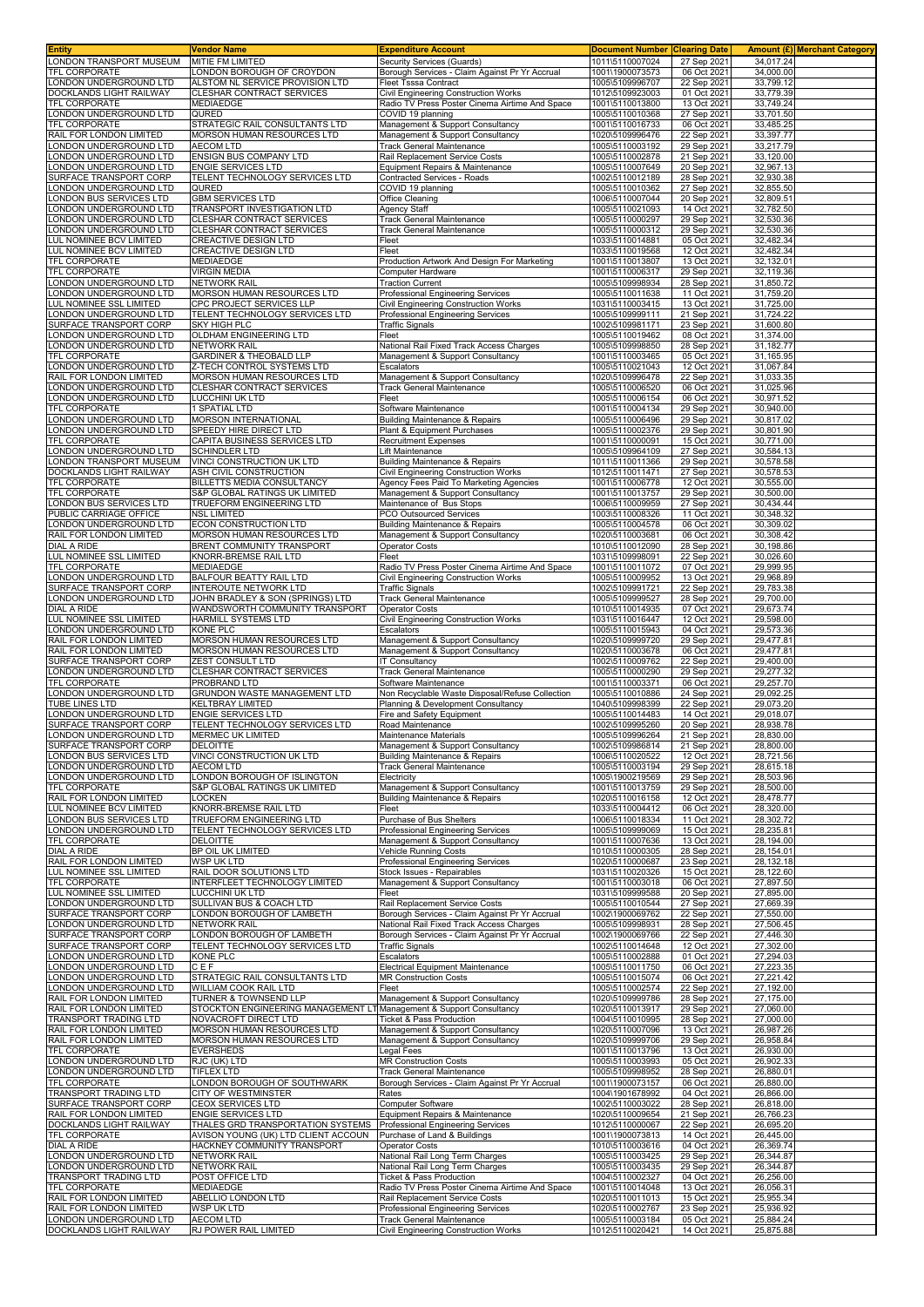| <b>Entity</b>                                           | <b>Vendor Name</b>                                                  | <b>Expenditure Account</b>                                                                 | <b>Document Number</b>             | <b>Clearing Date</b>       | Amount (£) Merchant Category |  |
|---------------------------------------------------------|---------------------------------------------------------------------|--------------------------------------------------------------------------------------------|------------------------------------|----------------------------|------------------------------|--|
| LONDON TRANSPORT MUSEUM                                 | MITIE FM LIMITED                                                    | Security Services (Guards)                                                                 | 1011\5110007024                    | 27 Sep 2021                | 34,017.24                    |  |
| TFL CORPORATE<br>ONDON UNDERGROUND LTD                  | LONDON BOROUGH OF CROYDON<br>ALSTOM NL SERVICE PROVISION LTD        | Borough Services - Claim Against Pr Yr Accrual<br>Fleet Tsssa Contract                     | 1001\1900073573<br>1005\5109996707 | 06 Oct 2021<br>22 Sep 2021 | 34,000.00<br>33,799.12       |  |
| DOCKLANDS LIGHT RAILWAY                                 | CLESHAR CONTRACT SERVICES                                           | Civil Engineering Construction Works                                                       | 1012\5109923003                    | 01 Oct 2021                | 33,779.39                    |  |
| TFL CORPORATE                                           | <b>MEDIAEDGE</b>                                                    | Radio TV Press Poster Cinema Airtime And Space                                             | 1001\5110013800                    | 13 Oct 2021                | 33,749.24                    |  |
| ONDON UNDERGROUND LTD                                   | QURED                                                               | COVID 19 planning                                                                          | 1005\5110010368                    | 27 Sep 2021                | 33,701.50                    |  |
| <b>TFL CORPORATE</b>                                    | STRATEGIC RAIL CONSULTANTS LTD                                      | Management & Support Consultancy                                                           | 1001\5110016733                    | 06 Oct 2021                | 33,485.25                    |  |
| RAIL FOR LONDON LIMITED<br>ONDON UNDERGROUND LTD        | MORSON HUMAN RESOURCES LTD                                          | Management & Support Consultancy                                                           | 1020\5109996476                    | 22 Sep 2021                | 33,397.77                    |  |
| ONDON UNDERGROUND LTD                                   | <b>AECOM LTD</b><br>ENSIGN BUS COMPANY LTD                          | Track General Maintenance<br>Rail Replacement Service Costs                                | 1005\5110003192<br>1005\5110002878 | 29 Sep 2021<br>21 Sep 2021 | 33,217.79<br>33,120.00       |  |
| ONDON UNDERGROUND LTD                                   | ENGIE SERVICES LTD                                                  | Equipment Repairs & Maintenance                                                            | 1005\5110007649                    | 20 Sep 2021                | 32,967.13                    |  |
| SURFACE TRANSPORT CORP                                  | TELENT TECHNOLOGY SERVICES LTD                                      | Contracted Services - Roads                                                                | 1002\5110012189                    | 28 Sep 2021                | 32,930.38                    |  |
| ONDON UNDERGROUND LTD                                   | QURED                                                               | COVID 19 planning                                                                          | 1005\5110010362                    | 27 Sep 2021                | 32,855.50                    |  |
| ONDON BUS SERVICES LTD                                  | <b>GBM SERVICES LTD</b>                                             | Office Cleaning                                                                            | 1006\5110007044                    | 20 Sep 2021                | 32,809.51                    |  |
| ONDON UNDERGROUND LTD<br>ONDON UNDERGROUND LTD          | TRANSPORT INVESTIGATION LTD<br>CLESHAR CONTRACT SERVICES            | Agency Staff<br>Track General Maintenance                                                  | 1005\5110021093<br>1005\5110000297 | 14 Oct 2021<br>29 Sep 2021 | 32,782.50<br>32,530.36       |  |
| ONDON UNDERGROUND LTD                                   | CLESHAR CONTRACT SERVICES                                           | Track General Maintenance                                                                  | 1005\5110000312                    | 29 Sep 2021                | 32,530.36                    |  |
| LUL NOMINEE BCV LIMITED                                 | <b>CREACTIVE DESIGN LTD</b>                                         | Fleet                                                                                      | 1033\5110014881                    | 05 Oct 2021                | 32,482.34                    |  |
| LUL NOMINEE BCV LIMITED                                 | CREACTIVE DESIGN LTD                                                | Fleet                                                                                      | 1033\5110019568                    | 12 Oct 2021                | 32,482.34                    |  |
| TFL CORPORATE                                           | <b>MEDIAEDGE</b>                                                    | Production Artwork And Design For Marketing                                                | 1001\5110013807                    | 13 Oct 2021                | 32,132.01                    |  |
| TFL CORPORATE<br>ONDON UNDERGROUND LTD                  | <b>VIRGIN MEDIA</b><br><b>NETWORK RAIL</b>                          | Computer Hardware<br><b>Traction Current</b>                                               | 1001\5110006317<br>1005\5109998934 | 29 Sep 2021<br>28 Sep 2021 | 32,119.36<br>31,850.72       |  |
| ONDON UNDERGROUND LTD                                   | MORSON HUMAN RESOURCES LTD                                          | Professional Engineering Services                                                          | 1005\5110011638                    | 11 Oct 2021                | 31,759.20                    |  |
| LUL NOMINEE SSL LIMITED                                 | CPC PROJECT SERVICES LLP                                            | Civil Engineering Construction Works                                                       | 1031\5110003415                    | 13 Oct 2021                | 31,725.00                    |  |
| ONDON UNDERGROUND LTD                                   | TELENT TECHNOLOGY SERVICES LTD                                      | Professional Engineering Services                                                          | 1005\5109999111                    | 21 Sep 2021                | 31,724.22                    |  |
| SURFACE TRANSPORT CORP                                  | <b>SKY HIGH PLC</b>                                                 | <b>Traffic Signals</b>                                                                     | 1002\5109981171                    | 23 Sep 2021                | 31,600.80                    |  |
| ONDON UNDERGROUND LTD<br>ONDON UNDERGROUND LTD          | OLDHAM ENGINEERING LTD<br><b>NETWORK RAIL</b>                       | Fleet<br>National Rail Fixed Track Access Charges                                          | 1005\5110019462<br>1005\5109998850 | 08 Oct 2021<br>28 Sep 2021 | 31,374.00<br>31,182.77       |  |
| TFL CORPORATE                                           | GARDINER & THEOBALD LLP                                             | Management & Support Consultancy                                                           | 1001\5110003465                    | 05 Oct 2021                | 31,165.95                    |  |
| ONDON UNDERGROUND LTD                                   | Z-TECH CONTROL SYSTEMS LTD                                          | Escalators                                                                                 | 1005\5110021043                    | 12 Oct 2021                | 31.067.84                    |  |
| RAIL FOR LONDON LIMITED                                 | MORSON HUMAN RESOURCES LTD                                          | Management & Support Consultancy                                                           | 1020\5109996478                    | 22 Sep 2021                | 31,033.35                    |  |
| ONDON UNDERGROUND LTD                                   | CLESHAR CONTRACT SERVICES                                           | <b>Track General Maintenance</b>                                                           | 1005\5110006520                    | 06 Oct 2021                | 31,025.96                    |  |
| ONDON UNDERGROUND LTD                                   | LUCCHINI UK LTD<br>1 SPATIAL LTD                                    | Fleet                                                                                      | 1005\5110006154                    | 06 Oct 2021<br>29 Sep 2021 | 30,971.52                    |  |
| <b>FEL CORPORATE</b><br>ONDON UNDERGROUND LTD.          | <b>MORSON INTERNATIONAL</b>                                         | Software Maintenance<br>Building Maintenance & Repairs                                     | 1001\5110004134<br>1005\5110006496 | 29 Sep 2021                | 30,940.00<br>30,817.02       |  |
| ONDON UNDERGROUND LTD                                   | SPEEDY HIRE DIRECT LTD                                              | Plant & Equipment Purchases                                                                | 1005\5110002376                    | 29 Sep 2021                | 30,801.90                    |  |
| <b>TFL CORPORATE</b>                                    | CAPITA BUSINESS SERVICES LTD                                        | <b>Recruitment Expenses</b>                                                                | 1001\5110000091                    | 15 Oct 2021                | 30,771.00                    |  |
| ONDON UNDERGROUND LTD                                   | SCHINDLER LTD                                                       | ift Maintenance                                                                            | 1005\5109964109                    | 27 Sep 2021                | 30,584.13                    |  |
| ONDON TRANSPORT MUSEUM.                                 | VINCI CONSTRUCTION UK LTD                                           | <b>Building Maintenance &amp; Repairs</b>                                                  | 1011\5110011366                    | 29 Sep 2021                | 30,578.58                    |  |
| DOCKLANDS LIGHT RAILWAY<br>TFL CORPORATE                | ASH CIVIL CONSTRUCTION<br>BILLETTS MEDIA CONSULTANCY                | <b>Civil Engineering Construction Works</b><br>Agency Fees Paid To Marketing Agencies      | 1012\5110011471<br>1001\5110006778 | 27 Sep 2021<br>12 Oct 2021 | 30,578.53<br>30,555.00       |  |
| TFL CORPORATE                                           | S&P GLOBAL RATINGS UK LIMITED                                       | Management & Support Consultancy                                                           | 1001\5110013757                    | 29 Sep 2021                | 30,500.00                    |  |
| LONDON BUS SERVICES LTD                                 | TRUEFORM ENGINEERING LTD                                            | Maintenance of Bus Stops                                                                   | 1006\5110009959                    | 27 Sep 2021                | 30,434.44                    |  |
| PUBLIC CARRIAGE OFFICE                                  | NSL LIMITED                                                         | PCO Outsourced Services                                                                    | 1003\5110008326                    | 11 Oct 2021                | 30,348.32                    |  |
| ONDON UNDERGROUND LTD                                   | <b>ECON CONSTRUCTION LTD</b>                                        | <b>Building Maintenance &amp; Repairs</b>                                                  | 1005\5110004578                    | 06 Oct 2021                | 30,309.02                    |  |
| RAIL FOR LONDON LIMITED                                 | MORSON HUMAN RESOURCES LTD                                          | Management & Support Consultancy                                                           | 1020\5110003681                    | 06 Oct 2021                | 30,308.42                    |  |
| DIAL A RIDE<br>LUL NOMINEE SSL LIMITED                  | BRENT COMMUNITY TRANSPORT<br>KNORR-BREMSE RAIL LTD                  | <b>Operator Costs</b><br>Fleet                                                             | 1010\5110012090<br>1031\5109998091 | 28 Sep 2021<br>22 Sep 2021 | 30,198.86<br>30,026.60       |  |
| TFL CORPORATE                                           | <b>MEDIAEDGE</b>                                                    | Radio TV Press Poster Cinema Airtime And Space                                             | 1001\5110011072                    | 07 Oct 2021                | 29,999.95                    |  |
| ONDON UNDERGROUND LTD                                   | BALFOUR BEATTY RAIL LTD                                             | Civil Engineering Construction Works                                                       | 1005\5110009952                    | 13 Oct 2021                | 29,968.89                    |  |
| SURFACE TRANSPORT CORP                                  | <b>INTEROUTE NETWORK LTD</b>                                        | <b>Traffic Signals</b>                                                                     | 1002\5109991721                    | 22 Sep 2021                | 29,783.38                    |  |
| ONDON UNDERGROUND LTD                                   | JOHN BRADLEY & SON (SPRINGS) LTD                                    | <b>Frack General Maintenance</b>                                                           | 1005\5109999527                    | 28 Sep 2021                | 29,700.00                    |  |
| DIAL A RIDE                                             | WANDSWORTH COMMUNITY TRANSPORT                                      | <b>Operator Costs</b>                                                                      | 1010\5110014935                    | 07 Oct 2021                | 29,673.74                    |  |
| <b>LUL NOMINEE SSL LIMITED</b><br>ONDON UNDERGROUND LTD | HARMILL SYSTEMS LTD<br>KONE PLC                                     | Civil Engineering Construction Works<br>Escalators                                         | 1031\5110016447<br>1005\5110015943 | 12 Oct 2021<br>04 Oct 2021 | 29,598.00<br>29,573.36       |  |
| RAIL FOR LONDON LIMITED                                 | MORSON HUMAN RESOURCES LTD                                          | Management & Support Consultancy                                                           | 1020\5109999720                    | 29 Sep 2021                | 29,477.81                    |  |
| RAIL FOR LONDON LIMITED                                 | MORSON HUMAN RESOURCES LTD                                          | Management & Support Consultancy                                                           | 1020\5110003678                    | 06 Oct 2021                | 29,477.81                    |  |
| SURFACE TRANSPORT CORP                                  | ZEST CONSULT LTD                                                    | <b>IT Consultancy</b>                                                                      | 1002\5110009762                    | 22 Sep 2021                | 29,400.00                    |  |
| ONDON UNDERGROUND LTD<br><b>TFL CORPORATE</b>           | <b>CLESHAR CONTRACT SERVICES</b><br>PROBRAND LTD                    | <b>Track General Maintenance</b><br>Software Maintenance                                   | 1005\5110000290<br>1001\5110003371 | 29 Sep 2021<br>06 Oct 2021 | 29,277.32<br>29,257.70       |  |
| ONDON UNDERGROUND LTD                                   | GRUNDON WASTE MANAGEMENT LTD                                        | Non Recyclable Waste Disposal/Refuse Collection                                            | 1005\5110010886                    | 24 Sep 2021                | 29,092.25                    |  |
| TUBE LINES LTD                                          | KELTBRAY LIMITED                                                    | Planning & Development Consultancy                                                         | 1040\5109998399                    | 22 Sep 2021                | 29,073.20                    |  |
| ONDON UNDERGROUND LTD                                   | <b>ENGIE SERVICES LTD</b>                                           | Fire and Safety Equipment                                                                  | 1005\5110014483                    | 14 Oct 2021                | 29,018.07                    |  |
| SURFACE TRANSPORT CORP                                  | TELENT TECHNOLOGY SERVICES LTD                                      | Road Maintenance                                                                           | 1002\5109995260                    | 20 Sep 2021                | 28,938.78                    |  |
| ONDON UNDERGROUND LTD                                   | <b>MERMEC UK LIMITED</b><br>DELOITTE                                | Maintenance Materials                                                                      | 1005\5109996264<br>1002\5109986814 | 21 Sep 2021                | 28,830.00<br>28,800.00       |  |
| SURFACE TRANSPORT CORP<br>LONDON BUS SERVICES LTD       | VINCI CONSTRUCTION UK LTD                                           | Management & Support Consultancy<br>Building Maintenance & Repairs                         | 1006\5110020522                    | 21 Sep 2021<br>12 Oct 2021 | 28,721.56                    |  |
| LONDON UNDERGROUND LTD                                  | <b>AECOM LTD</b>                                                    | Track General Maintenance                                                                  | 1005\5110003194                    | 29 Sep 2021                | 28,615.18                    |  |
| ONDON UNDERGROUND LTD                                   | LONDON BOROUGH OF ISLINGTON                                         | Electricity                                                                                | 1005\1900219569                    | 29 Sep 2021                | 28,503.96                    |  |
| TFL CORPORATE                                           | S&P GLOBAL RATINGS UK LIMITED                                       | Management & Support Consultancy                                                           | 1001\5110013759                    | 29 Sep 2021                | 28,500.00                    |  |
| RAIL FOR LONDON LIMITED<br>LUL NOMINEE BCV LIMITED      | <b>LOCKEN</b><br>KNORR-BREMSE RAIL LTD                              | Building Maintenance & Repairs<br>Fleet                                                    | 1020\5110016158<br>1033\5110004412 | 12 Oct 2021<br>06 Oct 2021 | 28,478.77<br>28,320.00       |  |
| LONDON BUS SERVICES LTD                                 | TRUEFORM ENGINEERING LTD                                            | Purchase of Bus Shelters                                                                   | 1006\5110018334                    | 11 Oct 2021                | 28,302.72                    |  |
| LONDON UNDERGROUND LTD                                  | TELENT TECHNOLOGY SERVICES LTD                                      | Professional Engineering Services                                                          | 1005\5109999069                    | 15 Oct 2021                | 28,235.81                    |  |
| TFL CORPORATE                                           | <b>DELOITTE</b>                                                     | Management & Support Consultancy                                                           | 1001\5110007636                    | 13 Oct 2021                | 28,194.00                    |  |
| DIAL A RIDE                                             | BP OIL UK LIMITED                                                   | Vehicle Running Costs                                                                      | 1010\5110000305                    | 28 Sep 2021                | 28,154.01                    |  |
| RAIL FOR LONDON LIMITED<br>LUL NOMINEE SSL LIMITED      | WSP UK LTD<br>RAIL DOOR SOLUTIONS LTD                               | Professional Engineering Services<br>Stock Issues - Repairables                            | 1020\5110000687<br>1031\5110020326 | 23 Sep 2021<br>15 Oct 2021 | 28,132.18<br>28,122.60       |  |
| TFL CORPORATE                                           | INTERFLEET TECHNOLOGY LIMITED                                       | Management & Support Consultancy                                                           | 1001\5110003018                    | 06 Oct 2021                | 27,897.50                    |  |
| LUL NOMINEE SSL LIMITED                                 | LUCCHINI UK LTD                                                     | Fleet                                                                                      | 1031\5109999588                    | 20 Sep 2021                | 27,895.00                    |  |
| ONDON UNDERGROUND LTD                                   | <b>SULLIVAN BUS &amp; COACH LTD</b>                                 | Rail Replacement Service Costs                                                             | 1005\5110010544                    | 27 Sep 2021                | 27,669.39                    |  |
| SURFACE TRANSPORT CORP                                  | LONDON BOROUGH OF LAMBETH                                           | Borough Services - Claim Against Pr Yr Accrual                                             | 1002\1900069762                    | 22 Sep 2021                | 27,550.00                    |  |
| ONDON UNDERGROUND LTD<br>SURFACE TRANSPORT CORP         | <b>NETWORK RAIL</b><br>LONDON BOROUGH OF LAMBETH                    | National Rail Fixed Track Access Charges<br>Borough Services - Claim Against Pr Yr Accrual | 1005\5109998931<br>1002\1900069766 | 28 Sep 2021<br>22 Sep 2021 | 27,506.45<br>27,446.30       |  |
| SURFACE TRANSPORT CORP                                  | TELENT TECHNOLOGY SERVICES LTD                                      | <b>Traffic Signals</b>                                                                     | 1002\5110014648                    | 12 Oct 2021                | 27,302.00                    |  |
| ONDON UNDERGROUND LTD                                   | KONE PLC                                                            | Escalators                                                                                 | 1005\5110002888                    | 01 Oct 2021                | 27,294.03                    |  |
| ONDON UNDERGROUND LTD                                   | CEF                                                                 | Electrical Equipment Maintenance                                                           | 1005\5110011750                    | 06 Oct 2021                | 27,223.35                    |  |
| ONDON UNDERGROUND LTD                                   | STRATEGIC RAIL CONSULTANTS LTD                                      | <b>MR Construction Costs</b>                                                               | 1005\5110015074                    | 06 Oct 2021                | 27,221.42                    |  |
| LONDON UNDERGROUND LTD<br>RAIL FOR LONDON LIMITED       | WILLIAM COOK RAIL LTD<br>TURNER & TOWNSEND LLP                      | Fleet<br>Management & Support Consultancy                                                  | 1005\5110002574<br>1020\5109999786 | 22 Sep 2021<br>28 Sep 2021 | 27,192.00<br>27,175.00       |  |
| RAIL FOR LONDON LIMITED                                 | STOCKTON ENGINEERING MANAGEMENT LT Management & Support Consultancy |                                                                                            | 1020\5110013917                    | 29 Sep 2021                | 27,060.00                    |  |
| TRANSPORT TRADING LTD                                   | NOVACROFT DIRECT LTD                                                | <b>Ticket &amp; Pass Production</b>                                                        | 1004\5110010995                    | 28 Sep 2021                | 27,000.00                    |  |
| RAIL FOR LONDON LIMITED                                 | MORSON HUMAN RESOURCES LTD                                          | Management & Support Consultancy                                                           | 1020\5110007096                    | 13 Oct 2021                | 26,987.26                    |  |
| RAIL FOR LONDON LIMITED<br>TFL CORPORATE                | MORSON HUMAN RESOURCES LTD                                          | Management & Support Consultancy<br>egal Fees                                              | 1020\5109999706<br>1001\5110013796 | 29 Sep 2021<br>13 Oct 2021 | 26,958.84<br>26,930.00       |  |
| LONDON UNDERGROUND LTD                                  | EVERSHEDS<br>RJC (UK) LTD                                           | <b>MR Construction Costs</b>                                                               | 1005\5110003993                    | 05 Oct 2021                | 26,902.33                    |  |
| LONDON UNDERGROUND LTD                                  | <b>TIFLEX LTD</b>                                                   | Track General Maintenance                                                                  | 1005\5109998952                    | 28 Sep 2021                | 26,880.01                    |  |
| TFL CORPORATE                                           | ONDON BOROUGH OF SOUTHWARK                                          | Borough Services - Claim Against Pr Yr Accrual                                             | 1001\1900073157                    | 06 Oct 2021                | 26,880.00                    |  |
| <b>TRANSPORT TRADING LTD</b>                            | CITY OF WESTMINSTER                                                 | Rates                                                                                      | 1004\1901678992                    | 04 Oct 2021                | 26,866.00                    |  |
| SURFACE TRANSPORT CORP                                  | CEOX SERVICES LTD                                                   | Computer Software                                                                          | 1002\5110003022                    | 28 Sep 2021                | 26,818.00                    |  |
| RAIL FOR LONDON LIMITED<br>DOCKLANDS LIGHT RAILWAY      | ENGIE SERVICES LTD<br>THALES GRD TRANSPORTATION SYSTEMS             | Equipment Repairs & Maintenance<br>Professional Engineering Services                       | 1020\5110009654<br>1012\5110000067 | 21 Sep 2021<br>22 Sep 2021 | 26,766.23<br>26,695.20       |  |
| TFL CORPORATE                                           | AVISON YOUNG (UK) LTD CLIENT ACCOUN                                 | Purchase of Land & Buildings                                                               | 1001\1900073813                    | 14 Oct 2021                | 26,445.00                    |  |
| DIAL A RIDE                                             | HACKNEY COMMUNITY TRANSPORT                                         | Operator Costs                                                                             | 1010\5110003616                    | 04 Oct 2021                | 26,369.74                    |  |
| LONDON UNDERGROUND LTD                                  | <b>NETWORK RAIL</b>                                                 | National Rail Long Term Charges                                                            | 1005\5110003425                    | 29 Sep 2021                | 26,344.87                    |  |
| ONDON UNDERGROUND LTD                                   | <b>NETWORK RAIL</b>                                                 | National Rail Long Term Charges                                                            | 1005\5110003435                    | 29 Sep 2021                | 26,344.87                    |  |
| <b>FRANSPORT TRADING LTD</b><br>TFL CORPORATE           | POST OFFICE LTD<br><b>MEDIAEDGE</b>                                 | <b>Ticket &amp; Pass Production</b><br>Radio TV Press Poster Cinema Airtime And Space      | 1004\5110002327<br>1001\5110014048 | 04 Oct 2021<br>13 Oct 2021 | 26,256.00<br>26,056.31       |  |
| RAIL FOR LONDON LIMITED                                 | ABELLIO LONDON LTD                                                  | Rail Replacement Service Costs                                                             | 1020\5110011013                    | 15 Oct 2021                | 25,955.34                    |  |
| RAIL FOR LONDON LIMITED                                 | WSP UK LTD                                                          | Professional Engineering Services                                                          | 1020\5110002767                    | 23 Sep 2021                | 25,936.92                    |  |
| ONDON UNDERGROUND LTD                                   | <b>AECOM LTD</b>                                                    | Track General Maintenance                                                                  | 1005\5110003184                    | 05 Oct 2021                | 25,884.24                    |  |
| DOCKLANDS LIGHT RAILWAY                                 | RJ POWER RAIL LIMITED                                               | Civil Engineering Construction Works                                                       | 1012\5110020421                    | 14 Oct 2021                | 25,875.88                    |  |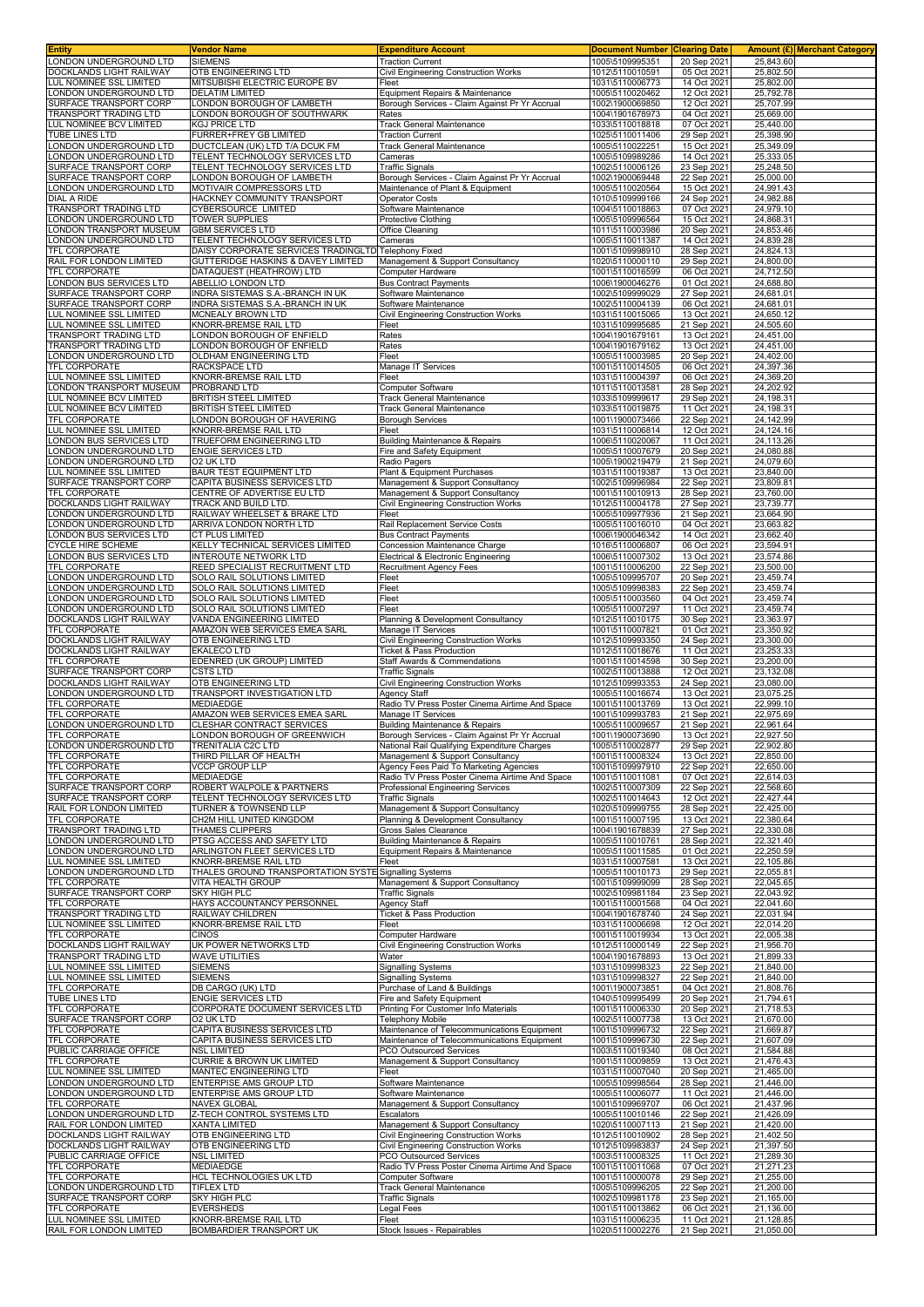| <b>Entity</b>                                        | <b>Vendor Name</b>                                                        | <b>Expenditure Account</b>                                                       | <b>Document Number</b>             | <b>Clearing Date</b>       |                        | <b>Amount (£) Merchant Category</b> |
|------------------------------------------------------|---------------------------------------------------------------------------|----------------------------------------------------------------------------------|------------------------------------|----------------------------|------------------------|-------------------------------------|
| LONDON UNDERGROUND LTD<br>DOCKLANDS LIGHT RAILWAY    | <b>SIEMENS</b>                                                            | <b>Traction Current</b>                                                          | 1005\5109995351<br>1012\5110010591 | 20 Sep 2021                | 25,843.60              |                                     |
| LUL NOMINEE SSL LIMITED                              | OTB ENGINEERING LTD<br>MITSUBISHI ELECTRIC EUROPE BV                      | Civil Engineering Construction Works<br>Fleet                                    | 1031\5110006773                    | 05 Oct 2021<br>14 Oct 2021 | 25,802.50<br>25,802.00 |                                     |
| ONDON UNDERGROUND LTD                                | <b>DELATIM LIMITED</b>                                                    | Equipment Repairs & Maintenance                                                  | 1005\5110020462                    | 12 Oct 2021                | 25,792.78              |                                     |
| SURFACE TRANSPORT CORP                               | LONDON BOROUGH OF LAMBETH                                                 | Borough Services - Claim Against Pr Yr Accrual                                   | 1002\1900069850                    | 12 Oct 2021                | 25.707.99              |                                     |
| RANSPORT TRADING LTD                                 | ONDON BOROUGH OF SOUTHWARK                                                | Rates                                                                            | 1004\1901678973                    | 04 Oct 2021                | 25,669.00              |                                     |
| LUL NOMINEE BCV LIMITED                              | KGJ PRICE LTD                                                             | <b>Track General Maintenance</b>                                                 | 1033\5110018818                    | 07 Oct 2021                | 25,440.00              |                                     |
| TUBE LINES LTD                                       | FURRER+FREY GB LIMITED                                                    | <b>Traction Current</b>                                                          | 1025\5110011406                    | 29 Sep 2021                | 25,398.90              |                                     |
| ONDON UNDERGROUND LTD<br>ONDON UNDERGROUND LTD       | DUCTCLEAN (UK) LTD T/A DCUK FM<br>TELENT TECHNOLOGY SERVICES LTD          | <b>Track General Maintenance</b><br>Cameras                                      | 1005\5110022251<br>1005\5109989286 | 15 Oct 2021<br>14 Oct 2021 | 25,349.09<br>25,333.05 |                                     |
| URFACE TRANSPORT CORP                                | TELENT TECHNOLOGY SERVICES LTD                                            | <b>Traffic Signals</b>                                                           | 1002\5110006126                    | 23 Sep 2021                | 25,248.50              |                                     |
| SURFACE TRANSPORT CORP                               | ONDON BOROUGH OF LAMBETH                                                  | Borough Services - Claim Against Pr Yr Accrual                                   | 1002\1900069448                    | 22 Sep 2021                | 25,000.00              |                                     |
| ONDON UNDERGROUND LTD                                | MOTIVAIR COMPRESSORS LTD                                                  | Maintenance of Plant & Equipment                                                 | 1005\5110020564                    | 15 Oct 2021                | 24,991.43              |                                     |
| <b>DIAL A RIDE</b>                                   | HACKNEY COMMUNITY TRANSPORT                                               | <b>Operator Costs</b>                                                            | 1010\5109999166                    | 24 Sep 2021                | 24,982.88              |                                     |
| <b>RANSPORT TRADING LTD</b><br>ONDON UNDERGROUND LTD | CYBERSOURCE LIMITED<br><b>TOWER SUPPLIES</b>                              | Software Maintenance<br>Protective Clothing                                      | 1004\5110018863<br>1005\5109996564 | 07 Oct 2021<br>15 Oct 2021 | 24,979.10<br>24,868.31 |                                     |
| ONDON TRANSPORT MUSEUM                               | <b>GBM SERVICES LTD</b>                                                   | Office Cleaning                                                                  | 1011\5110003986                    | 20 Sep 2021                | 24,853.46              |                                     |
| ONDON UNDERGROUND LTD                                | TELENT TECHNOLOGY SERVICES LTD                                            | Cameras                                                                          | 1005\5110011387                    | 14 Oct 2021                | 24,839.28              |                                     |
| TFL CORPORATE                                        | DAISY CORPORATE SERVICES TRADINGLTD Telephony Fixed                       |                                                                                  | 1001\5109998910                    | 28 Sep 2021                | 24,824.13              |                                     |
| RAIL FOR LONDON LIMITED                              | <b>GUTTERIDGE HASKINS &amp; DAVEY LIMITED</b><br>DATAQUEST (HEATHROW) LTD | Management & Support Consultancy                                                 | 1020\5110000110                    | 29 Sep 2021                | 24,800.00              |                                     |
| TFL CORPORATE<br>ONDON BUS SERVICES LTD              | ABELLIO LONDON LTD                                                        | Computer Hardware<br><b>Bus Contract Payments</b>                                | 1001\5110016599<br>1006\1900046276 | 06 Oct 2021<br>01 Oct 2021 | 24,712.50<br>24,688.80 |                                     |
| SURFACE TRANSPORT CORP                               | INDRA SISTEMAS S.A.-BRANCH IN UK                                          | Software Maintenance                                                             | 1002\5109999029                    | 27 Sep 2021                | 24,681.01              |                                     |
| SURFACE TRANSPORT CORP                               | INDRA SISTEMAS S.A.-BRANCH IN UK                                          | Software Maintenance                                                             | 1002\5110004139                    | 06 Oct 2021                | 24,681.01              |                                     |
| UL NOMINEE SSL LIMITED                               | MCNEALY BROWN LTD                                                         | Civil Engineering Construction Works                                             | 1031\5110015065                    | 13 Oct 2021                | 24,650.12              |                                     |
| UL NOMINEE SSL LIMITED                               | KNORR-BREMSE RAIL LTD                                                     | Fleet<br>Rates                                                                   | 1031\5109995685                    | 21 Sep 2021                | 24,505.60<br>24,451.00 |                                     |
| RANSPORT TRADING LTD<br>TRANSPORT TRADING LTD        | ONDON BOROUGH OF ENFIELD<br>ONDON BOROUGH OF ENFIELD                      | Rates                                                                            | 1004\1901679161<br>1004\1901679162 | 13 Oct 2021<br>13 Oct 2021 | 24,451.00              |                                     |
| ONDON UNDERGROUND LTD                                | OLDHAM ENGINEERING LTD                                                    | Fleet                                                                            | 1005\5110003985                    | 20 Sep 2021                | 24,402.00              |                                     |
| <b>TFL CORPORATE</b>                                 | RACKSPACE LTD                                                             | Manage IT Services                                                               | 1001\5110014505                    | 06 Oct 2021                | 24,397.36              |                                     |
| LUL NOMINEE SSL LIMITED                              | KNORR-BREMSE RAIL LTD                                                     | Fleet                                                                            | 1031\5110004397                    | 06 Oct 2021                | 24,369.20              |                                     |
| ONDON TRANSPORT MUSEUM<br>UL NOMINEE BCV LIMITED     | PROBRAND LTD<br>BRITISH STEEL LIMITED                                     | <b>Computer Software</b><br><b>Track General Maintenance</b>                     | 1011\5110013581<br>1033\5109999617 | 28 Sep 2021<br>29 Sep 2021 | 24,202.92<br>24,198.31 |                                     |
| LUL NOMINEE BCV LIMITED                              | BRITISH STEEL LIMITED                                                     | <b>Track General Maintenance</b>                                                 | 1033\5110019875                    | 11 Oct 2021                | 24,198.31              |                                     |
| <b>TFL CORPORATE</b>                                 | ONDON BOROUGH OF HAVERING                                                 | Borough Services                                                                 | 1001\1900073466                    | 22 Sep 2021                | 24,142.99              |                                     |
| LUL NOMINEE SSL LIMITED                              | KNORR-BREMSE RAIL LTD                                                     | Fleet                                                                            | 1031\5110006814                    | 12 Oct 2021                | 24,124.16              |                                     |
| ONDON BUS SERVICES LTD                               | TRUEFORM ENGINEERING LTD                                                  | Building Maintenance & Repairs                                                   | 1006\5110020067                    | 11 Oct 2021                | 24,113.26              |                                     |
| ONDON UNDERGROUND LTD<br>ONDON UNDERGROUND LTD       | ENGIE SERVICES LTD<br>O2 UK LTD                                           | Fire and Safety Equipment<br>Radio Pagers                                        | 1005\5110007679<br>1005\1900219479 | 20 Sep 2021<br>21 Sep 2021 | 24,080.88<br>24,079.60 |                                     |
| UL NOMINEE SSL LIMITED                               | <b>BAUR TEST EQUIPMENT LTD</b>                                            | Plant & Equipment Purchases                                                      | 1031\5110019387                    | 13 Oct 2021                | 23,840.00              |                                     |
| SURFACE TRANSPORT CORP                               | CAPITA BUSINESS SERVICES LTD                                              | Management & Support Consultancy                                                 | 1002\5109996984                    | 22 Sep 2021                | 23,809.81              |                                     |
| TFL CORPORATE                                        | CENTRE OF ADVERTISE EU LTD                                                | Management & Support Consultancy                                                 | 1001\5110010913                    | 28 Sep 2021                | 23,760.00              |                                     |
| <b>DOCKLANDS LIGHT RAILWAY</b>                       | TRACK AND BUILD LTD.                                                      | Civil Engineering Construction Works                                             | 1012\5110004178                    | 27 Sep 2021                | 23,739.77              |                                     |
| ONDON UNDERGROUND LTD<br>ONDON UNDERGROUND LTD       | RAILWAY WHEELSET & BRAKE LTD<br>ARRIVA LONDON NORTH LTD                   | Fleet<br>Rail Replacement Service Costs                                          | 1005\5109977936<br>1005\5110016010 | 21 Sep 2021<br>04 Oct 2021 | 23,664.90<br>23,663.82 |                                     |
| ONDON BUS SERVICES LTD                               | CT PLUS LIMITED                                                           | <b>Bus Contract Payments</b>                                                     | 1006\1900046342                    | 14 Oct 2021                | 23,662.40              |                                     |
| <b>CYCLE HIRE SCHEME</b>                             | KELLY TECHNICAL SERVICES LIMITED                                          | Concession Maintenance Charge                                                    | 1016\5110006807                    | 06 Oct 2021                | 23,594.91              |                                     |
| ONDON BUS SERVICES LTD                               | INTEROUTE NETWORK LTD                                                     | <b>Electrical &amp; Electronic Engineering</b>                                   | 1006\5110007302                    | 13 Oct 2021                | 23,574.86              |                                     |
| TFL CORPORATE<br>ONDON UNDERGROUND LTD               | REED SPECIALIST RECRUITMENT LTD<br>SOLO RAIL SOLUTIONS LIMITED            | <b>Recruitment Agency Fees</b><br>Fleet                                          | 1001\5110006200<br>1005\5109995707 | 22 Sep 2021<br>20 Sep 2021 | 23,500.00<br>23,459.74 |                                     |
| LONDON UNDERGROUND LTD                               | SOLO RAIL SOLUTIONS LIMITED                                               | Fleet                                                                            | 1005\5109998383                    | 22 Sep 2021                | 23,459.74              |                                     |
| ONDON UNDERGROUND LTD                                | SOLO RAIL SOLUTIONS LIMITED                                               | Fleet                                                                            | 1005\5110003560                    | 04 Oct 2021                | 23,459.74              |                                     |
| ONDON UNDERGROUND LTD                                | SOLO RAIL SOLUTIONS LIMITED                                               | Fleet                                                                            | 1005\5110007297                    | 11 Oct 2021                | 23,459.74              |                                     |
| DOCKLANDS LIGHT RAILWAY<br>TFL CORPORATE             | VANDA ENGINEERING LIMITED<br>AMAZON WEB SERVICES EMEA SARL                | Planning & Development Consultancy<br>Manage IT Services                         | 1012\5110010175<br>1001\5110007821 | 30 Sep 2021<br>01 Oct 2021 | 23,363.97<br>23,350.92 |                                     |
| DOCKLANDS LIGHT RAILWAY                              | OTB ENGINEERING LTD                                                       | Civil Engineering Construction Works                                             | 1012\5109993350                    | 24 Sep 2021                | 23,300.00              |                                     |
| DOCKLANDS LIGHT RAILWAY                              | EKALECO LTD                                                               | <b>Ticket &amp; Pass Production</b>                                              | 1012\5110018676                    | 11 Oct 2021                | 23,253.33              |                                     |
| <b>TFL CORPORATE</b>                                 | EDENRED (UK GROUP) LIMITED                                                | Staff Awards & Commendations                                                     | 1001\5110014598                    | 30 Sep 2021                | 23,200.00              |                                     |
| SURFACE TRANSPORT CORP<br>DOCKLANDS LIGHT RAILWAY    | <b>CSTS LTD</b><br>OTB ENGINEERING LTD                                    | <b>Traffic Signals</b><br>Civil Engineering Construction Works                   | 1002\5110013888<br>1012\5109993353 | 12 Oct 2021<br>24 Sep 2021 | 23,132.08<br>23,080.00 |                                     |
| ONDON UNDERGROUND LTD                                | TRANSPORT INVESTIGATION LTD                                               | <b>Agency Staff</b>                                                              | 1005\5110016674                    | 13 Oct 2021                | 23,075.25              |                                     |
| TFL CORPORATE                                        | <b>MEDIAEDGE</b>                                                          | Radio TV Press Poster Cinema Airtime And Space                                   | 1001\5110013769                    | 13 Oct 2021                | 22,999.10              |                                     |
| TFL CORPORATE                                        | AMAZON WEB SERVICES EMEA SARL                                             | Manage IT Services                                                               | 1001\5109993783                    | 21 Sep 2021                | 22,975.69              |                                     |
| ONDON UNDERGROUND LTD<br>TFL CORPORATE               | CLESHAR CONTRACT SERVICES<br>LONDON BOROUGH OF GREENWICH                  | Building Maintenance & Repairs<br>Borough Services - Claim Against Pr Yr Accrual | 1005\5110009657<br>1001\1900073690 | 21 Sep 2021<br>13 Oct 2021 | 22,961.64<br>22,927.50 |                                     |
| LONDON UNDERGROUND LTD                               | TRENITALIA C2C LTD                                                        | National Rail Qualifying Expenditure Charges                                     | 1005\5110002877                    | 29 Sep 2021                | 22.902.80              |                                     |
| <b>TFL CORPORATE</b>                                 | THIRD PILLAR OF HEALTH                                                    | Management & Support Consultancy                                                 | 1001\5110008324                    | 13 Oct 2021                | 22,850.00              |                                     |
| <b>TFL CORPORATE</b>                                 | VCCP GROUP LLP                                                            | Agency Fees Paid To Marketing Agencies                                           | 1001\5109997910                    | 22 Sep 2021                | 22.650.00              |                                     |
| TFL CORPORATE                                        | <b>MEDIAEDGE</b>                                                          | Radio TV Press Poster Cinema Airtime And Space                                   | 1001\5110011081                    | 07 Oct 2021                | 22,614.03              |                                     |
| SURFACE TRANSPORT CORP<br>SURFACE TRANSPORT CORP     | ROBERT WALPOLE & PARTNERS<br>TELENT TECHNOLOGY SERVICES LTD               | Professional Engineering Services<br><b>Traffic Signals</b>                      | 1002\5110007309<br>1002\5110014643 | 22 Sep 2021<br>12 Oct 2021 | 22,568.60<br>22,427.44 |                                     |
| RAIL FOR LONDON LIMITED                              | TURNER & TOWNSEND LLP                                                     | Management & Support Consultancy                                                 | 1020\5109999755                    | 28 Sep 2021                | 22,425.00              |                                     |
| TFL CORPORATE                                        | CH2M HILL UNITED KINGDOM                                                  | Planning & Development Consultancy                                               | 1001\5110007195                    | 13 Oct 2021                | 22,380.64              |                                     |
| TRANSPORT TRADING LTD                                | THAMES CLIPPERS                                                           | Gross Sales Clearance                                                            | 1004\1901678839                    | 27 Sep 2021                | 22.330.08              |                                     |
| ONDON UNDERGROUND LTD<br>ONDON UNDERGROUND LTD       | PTSG ACCESS AND SAFETY LTD<br>ARLINGTON FLEET SERVICES LTD                | Building Maintenance & Repairs                                                   | 1005\5110010761<br>1005\5110011585 | 28 Sep 2021<br>01 Oct 2021 | 22,321.40<br>22,250.59 |                                     |
| LUL NOMINEE SSL LIMITED                              | KNORR-BREMSE RAIL LTD                                                     | Equipment Repairs & Maintenance<br>Fleet                                         | 1031\5110007581                    | 13 Oct 2021                | 22,105.86              |                                     |
| LONDON UNDERGROUND LTD                               | THALES GROUND TRANSPORTATION SYSTE Signalling Systems                     |                                                                                  | 1005\5110010173                    | 29 Sep 2021                | 22,055.81              |                                     |
| TFL CORPORATE                                        | <b>VITA HEALTH GROUP</b>                                                  | Management & Support Consultancy                                                 | 1001\5109999099                    | 28 Sep 2021                | 22,045.65              |                                     |
| SURFACE TRANSPORT CORP<br><b>TFL CORPORATE</b>       | SKY HIGH PLC<br>HAYS ACCOUNTANCY PERSONNEL                                | <b>Traffic Signals</b><br>Agency Staff                                           | 1002\5109981184<br>1001\5110001568 | 23 Sep 2021<br>04 Oct 2021 | 22,043.92<br>22,041.60 |                                     |
| TRANSPORT TRADING LTD                                | RAILWAY CHILDREN                                                          | Ticket & Pass Production                                                         | 1004\1901678740                    | 24 Sep 2021                | 22,031.94              |                                     |
| LUL NOMINEE SSL LIMITED                              | KNORR-BREMSE RAIL LTD                                                     | Fleet                                                                            | 1031\5110006698                    | 12 Oct 2021                | 22,014.20              |                                     |
| <b>TFL CORPORATE</b>                                 | CINOS                                                                     | Computer Hardware                                                                | 1001\5110019934                    | 13 Oct 2021                | 22,005.38              |                                     |
| DOCKLANDS LIGHT RAILWAY<br>TRANSPORT TRADING LTD     | UK POWER NETWORKS LTD<br>WAVE UTILITIES                                   | Civil Engineering Construction Works<br>Water                                    | 1012\5110000149<br>1004\1901678893 | 22 Sep 2021<br>13 Oct 2021 | 21,956.70<br>21,899.33 |                                     |
| LUL NOMINEE SSL LIMITED                              | <b>SIEMENS</b>                                                            | <b>Signalling Systems</b>                                                        | 1031\5109998323                    | 22 Sep 2021                | 21,840.00              |                                     |
| LUL NOMINEE SSL LIMITED                              | <b>SIEMENS</b>                                                            | <b>Signalling Systems</b>                                                        | 1031\5109998327                    | 22 Sep 2021                | 21,840.00              |                                     |
| <b>TFL CORPORATE</b>                                 | DB CARGO (UK) LTD                                                         | Purchase of Land & Buildings                                                     | 1001\1900073851                    | 04 Oct 2021                | 21,808.76              |                                     |
| <b>TUBE LINES LTD</b><br><b>TFL CORPORATE</b>        | <b>ENGIE SERVICES LTD</b><br>CORPORATE DOCUMENT SERVICES LTD              | Fire and Safety Equipment<br>Printing For Customer Info Materials                | 1040\5109995499<br>1001\5110006330 | 20 Sep 2021<br>20 Sep 2021 | 21,794.61<br>21,718.53 |                                     |
| SURFACE TRANSPORT CORP                               | O2 UK LTD                                                                 | Telephony Mobile                                                                 | 1002\5110007738                    | 13 Oct 2021                | 21,670.00              |                                     |
| <b>TFL CORPORATE</b>                                 | CAPITA BUSINESS SERVICES LTD                                              | Maintenance of Telecommunications Equipment                                      | 1001\5109996732                    | 22 Sep 2021                | 21,669.87              |                                     |
| <b>TFL CORPORATE</b>                                 | CAPITA BUSINESS SERVICES LTD                                              | Maintenance of Telecommunications Equipment                                      | 1001\5109996730                    | 22 Sep 2021                | 21,607.09              |                                     |
| PUBLIC CARRIAGE OFFICE<br><b>TFL CORPORATE</b>       | NSL LIMITED<br><b>CURRIE &amp; BROWN UK LIMITED</b>                       | PCO Outsourced Services<br>Management & Support Consultancy                      | 1003\5110019340<br>1001\5110009859 | 08 Oct 2021<br>13 Oct 2021 | 21,584.88<br>21,476.43 |                                     |
| LUL NOMINEE SSL LIMITED                              | MANTEC ENGINEERING LTD                                                    | Fleet                                                                            | 1031\5110007040                    | 20 Sep 2021                | 21,465.00              |                                     |
| ONDON UNDERGROUND LTD                                | ENTERPISE AMS GROUP LTD                                                   | Software Maintenance                                                             | 1005\5109998564                    | 28 Sep 2021                | 21,446.00              |                                     |
| LONDON UNDERGROUND LTD                               | ENTERPISE AMS GROUP LTD                                                   | Software Maintenance                                                             | 1005\5110006077                    | 11 Oct 2021                | 21,446.00              |                                     |
| TFL CORPORATE<br>LONDON UNDERGROUND LTD              | <b>NAVEX GLOBAL</b><br>Z-TECH CONTROL SYSTEMS LTD                         | Management & Support Consultancy<br>Escalators                                   | 1001\5109969707<br>1005\5110010146 | 06 Oct 2021<br>22 Sep 2021 | 21,437.96<br>21,426.09 |                                     |
| RAIL FOR LONDON LIMITED                              | XANTA LIMITED                                                             | Management & Support Consultancy                                                 | 1020\5110007113                    | 21 Sep 2021                | 21,420.00              |                                     |
| DOCKLANDS LIGHT RAILWAY                              | OTB ENGINEERING LTD                                                       | Civil Engineering Construction Works                                             | 1012\5110010902                    | 28 Sep 2021                | 21,402.50              |                                     |
| DOCKLANDS LIGHT RAILWAY                              | OTB ENGINEERING LTD                                                       | Civil Engineering Construction Works                                             | 1012\5109983837                    | 24 Sep 2021                | 21,397.50              |                                     |
| PUBLIC CARRIAGE OFFICE<br><b>TFL CORPORATE</b>       | <b>NSL LIMITED</b><br>MEDIAEDGE                                           | PCO Outsourced Services<br>Radio TV Press Poster Cinema Airtime And Space        | 1003\5110008325<br>1001\5110011068 | 11 Oct 2021<br>07 Oct 2021 | 21,289.30<br>21,271.23 |                                     |
| TFL CORPORATE                                        | HCL TECHNOLOGIES UK LTD                                                   | Computer Software                                                                | 1001\5110000078                    | 29 Sep 2021                | 21,255.00              |                                     |
| LONDON UNDERGROUND LTD                               | <b>TIFLEX LTD</b>                                                         | Track General Maintenance                                                        | 1005\5109996205                    | 22 Sep 2021                | 21,200.00              |                                     |
| SURFACE TRANSPORT CORP<br>TFL CORPORATE              | SKY HIGH PLC                                                              | <b>Traffic Signals</b>                                                           | 1002\5109981178                    | 23 Sep 2021                | 21,165.00              |                                     |
| LUL NOMINEE SSL LIMITED                              | <b>EVERSHEDS</b><br>KNORR-BREMSE RAIL LTD                                 | egal Fees<br>Fleet                                                               | 1001\5110013862<br>1031\5110006235 | 06 Oct 2021<br>11 Oct 2021 | 21,136.00<br>21,128.85 |                                     |
| RAIL FOR LONDON LIMITED                              | BOMBARDIER TRANSPORT UK                                                   | Stock Issues - Repairables                                                       | 1020\5110002276                    | 21 Sep 2021                | 21,050.00              |                                     |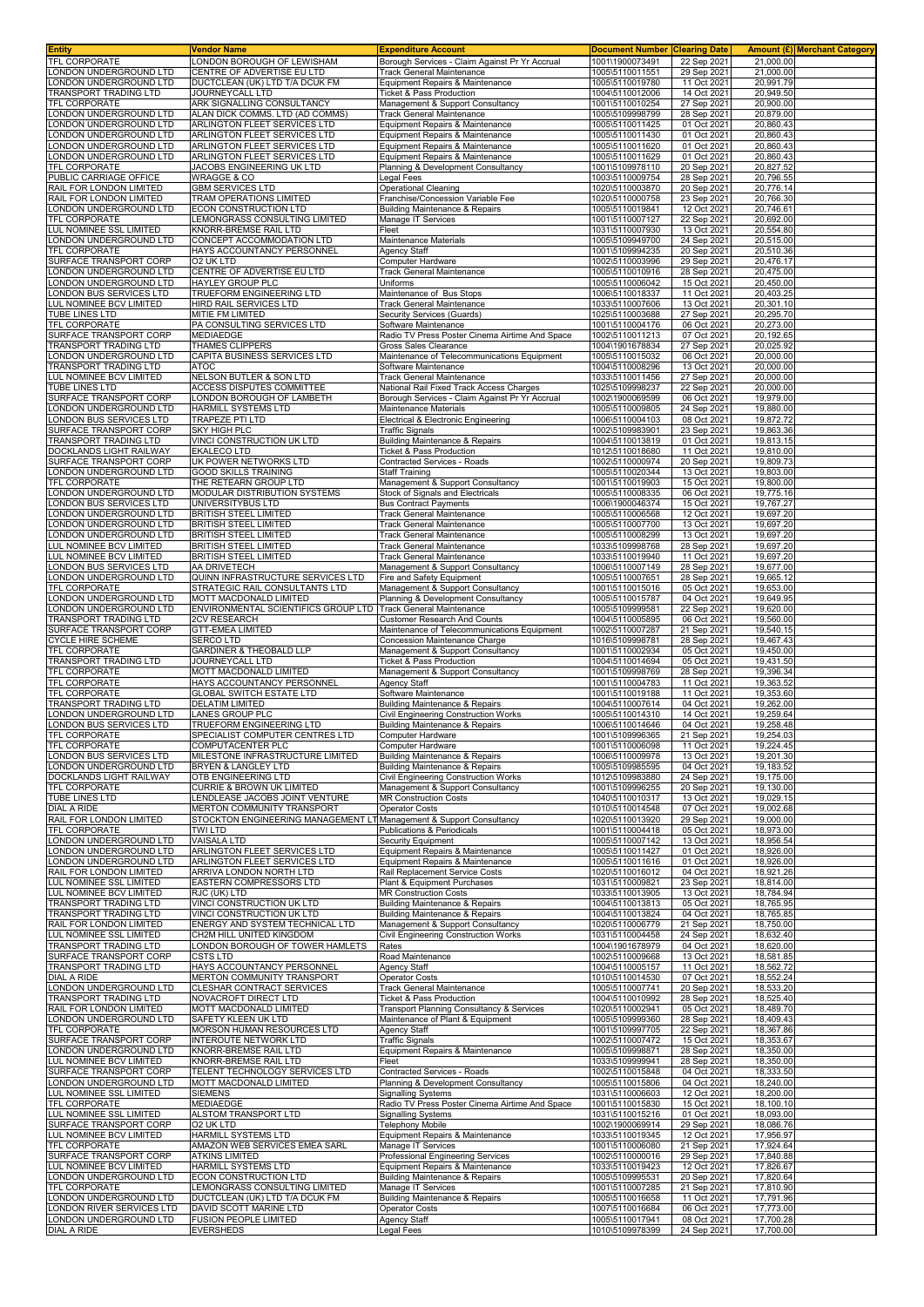| <b>Entity</b>                                            | Vendor Name                                                         | <b>Expenditure Account</b>                                                               | <b>Document Number</b>             | <b>Clearing Date</b>       |                        | <b>Amount (£)</b> Merchant Category |
|----------------------------------------------------------|---------------------------------------------------------------------|------------------------------------------------------------------------------------------|------------------------------------|----------------------------|------------------------|-------------------------------------|
| <b>TFL CORPORATE</b>                                     | LONDON BOROUGH OF LEWISHAM                                          | Borough Services - Claim Against Pr Yr Accrual                                           | 1001\1900073491                    | 22 Sep 2021                | 21,000.00<br>21.000.00 |                                     |
| LONDON UNDERGROUND LTD<br>LONDON UNDERGROUND LTD         | CENTRE OF ADVERTISE EU LTD<br>DUCTCLEAN (UK) LTD T/A DCUK FM        | Track General Maintenance<br>Equipment Repairs & Maintenance                             | 1005\5110011551<br>1005\5110019780 | 29 Sep 2021<br>11 Oct 2021 | 20,991.79              |                                     |
| <b>TRANSPORT TRADING LTD</b>                             | JOURNEYCALL LTD                                                     | Ticket & Pass Production                                                                 | 1004\5110012006                    | 14 Oct 2021                | 20,949.50              |                                     |
| TFL CORPORATE                                            | ARK SIGNALLING CONSULTANCY                                          | Management & Support Consultancy                                                         | 1001\5110010254                    | 27 Sep 2021                | 20,900.00              |                                     |
| LONDON UNDERGROUND LTD                                   | ALAN DICK COMMS. LTD (AD COMMS)                                     | Track General Maintenance                                                                | 1005\5109998799                    | 28 Sep 2021                | 20,879.00              |                                     |
| ONDON UNDERGROUND LTD                                    | ARLINGTON FLEET SERVICES LTD                                        | Equipment Repairs & Maintenance                                                          | 1005\5110011425                    | 01 Oct 2021                | 20,860.43              |                                     |
| ONDON UNDERGROUND LTD                                    | ARLINGTON FLEET SERVICES LTD                                        | Equipment Repairs & Maintenance                                                          | 1005\5110011430                    | 01 Oct 2021<br>01 Oct 2021 | 20,860.43              |                                     |
| ONDON UNDERGROUND LTD<br>ONDON UNDERGROUND LTD           | ARLINGTON FLEET SERVICES LTD<br>ARLINGTON FLEET SERVICES LTD        | Equipment Repairs & Maintenance<br>Equipment Repairs & Maintenance                       | 1005\5110011620<br>1005\5110011629 | 01 Oct 2021                | 20,860.43<br>20,860.43 |                                     |
| TFL CORPORATE                                            | JACOBS ENGINEERING UK LTD                                           | Planning & Development Consultancy                                                       | 1001\5109978110                    | 20 Sep 2021                | 20,827.52              |                                     |
| PUBLIC CARRIAGE OFFICE                                   | <b>WRAGGE &amp; CO</b>                                              | egal Fees                                                                                | 1003\5110009754                    | 28 Sep 2021                | 20,796.55              |                                     |
| RAIL FOR LONDON LIMITED                                  | <b>GBM SERVICES LTD</b>                                             | Operational Cleaning                                                                     | 1020\5110003870                    | 20 Sep 2021                | 20,776.14              |                                     |
| RAIL FOR LONDON LIMITED                                  | <b>TRAM OPERATIONS LIMITED</b>                                      | Franchise/Concession Variable Fee                                                        | 1020\5110000758                    | 23 Sep 2021                | 20,766.30              |                                     |
| ONDON UNDERGROUND LTD<br><b>TFL CORPORATE</b>            | ECON CONSTRUCTION LTD<br>LEMONGRASS CONSULTING LIMITED              | Building Maintenance & Repairs<br>Manage IT Services                                     | 1005\5110019841<br>1001\5110007127 | 12 Oct 2021<br>22 Sep 2021 | 20,746.61<br>20,692.00 |                                     |
| LUL NOMINEE SSL LIMITED                                  | KNORR-BREMSE RAIL LTD                                               | Fleet                                                                                    | 1031\5110007930                    | 13 Oct 2021                | 20,554.80              |                                     |
| LONDON UNDERGROUND LTD                                   | CONCEPT ACCOMMODATION LTD                                           | Maintenance Materials                                                                    | 1005\5109949700                    | 24 Sep 2021                | 20,515.00              |                                     |
| TFL CORPORATE                                            | HAYS ACCOUNTANCY PERSONNEL                                          | Agency Staff                                                                             | 1001\5109994235                    | 20 Sep 2021                | 20,510.36              |                                     |
| SURFACE TRANSPORT CORP                                   | O2 UK LTD                                                           | Computer Hardware                                                                        | 1002\5110003996                    | 29 Sep 2021                | 20,476.17              |                                     |
| ONDON UNDERGROUND LTD<br>LONDON UNDERGROUND LTD          | CENTRE OF ADVERTISE EU LTD<br>HAYLEY GROUP PLC                      | Track General Maintenance<br>Uniforms                                                    | 1005\5110010916<br>1005\5110006042 | 28 Sep 2021<br>15 Oct 2021 | 20,475.00<br>20,450.00 |                                     |
| ONDON BUS SERVICES LTD                                   | TRUEFORM ENGINEERING LTD                                            | Maintenance of Bus Stops                                                                 | 1006\5110018337                    | 11 Oct 2021                | 20,403.25              |                                     |
| LUL NOMINEE BCV LIMITED                                  | HIRD RAIL SERVICES LTD                                              | Track General Maintenance                                                                | 1033\5110007606                    | 13 Oct 2021                | 20,301.10              |                                     |
| TUBE LINES LTD                                           | MITIE FM LIMITED                                                    | <b>Security Services (Guards)</b>                                                        | 1025\5110003688                    | 27 Sep 2021                | 20,295.70              |                                     |
| TFL CORPORATE                                            | PA CONSULTING SERVICES LTD                                          | Software Maintenance                                                                     | 1001\5110004176                    | 06 Oct 2021                | 20,273.00              |                                     |
| SURFACE TRANSPORT CORP<br>TRANSPORT TRADING LTD          | MEDIAEDGE<br>THAMES CLIPPERS                                        | Radio TV Press Poster Cinema Airtime And Space<br>Gross Sales Clearance                  | 1002\5110011213<br>1004\1901678834 | 07 Oct 2021<br>27 Sep 2021 | 20,192.65<br>20,025.92 |                                     |
| ONDON UNDERGROUND LTD                                    | CAPITA BUSINESS SERVICES LTD                                        | Maintenance of Telecommunications Equipment                                              | 1005\5110015032                    | 06 Oct 2021                | 20,000.00              |                                     |
| <b>FRANSPORT TRADING LTD</b>                             | <b>ATOC</b>                                                         | Software Maintenance                                                                     | 1004\5110008296                    | 13 Oct 2021                | 20,000.00              |                                     |
| LUL NOMINEE BCV LIMITED                                  | NELSON BUTLER & SON LTD                                             | Track General Maintenance                                                                | 1033\5110011456                    | 27 Sep 2021                | 20,000.00              |                                     |
| TUBE LINES LTD                                           | ACCESS DISPUTES COMMITTEE                                           | National Rail Fixed Track Access Charges                                                 | 1025\5109998237                    | 22 Sep 2021                | 20,000.00              |                                     |
| SURFACE TRANSPORT CORP<br>ONDON UNDERGROUND LTD          | LONDON BOROUGH OF LAMBETH<br>HARMILL SYSTEMS LTD                    | Borough Services - Claim Against Pr Yr Accrual<br>Maintenance Materials                  | 1002\1900069599<br>1005\5110009805 | 06 Oct 2021<br>24 Sep 2021 | 19,979.00<br>19,880.00 |                                     |
| ONDON BUS SERVICES LTD.                                  | TRAPEZE PTI LTD                                                     | Electrical & Electronic Engineering                                                      | 1006\5110004103                    | 08 Oct 2021                | 19,872.72              |                                     |
| SURFACE TRANSPORT CORP                                   | SKY HIGH PLC                                                        | <b>Traffic Signals</b>                                                                   | 1002\5109983901                    | 23 Sep 2021                | 19,863.36              |                                     |
| TRANSPORT TRADING LTD                                    | VINCI CONSTRUCTION UK LTD                                           | Building Maintenance & Repairs                                                           | 1004\5110013819                    | 01 Oct 2021                | 19,813.15              |                                     |
| DOCKLANDS LIGHT RAILWAY<br>SURFACE TRANSPORT CORP        | <b>EKALECO LTD</b><br>UK POWER NETWORKS LTD                         | <b>Ticket &amp; Pass Production</b><br>Contracted Services - Roads                       | 1012\5110018680<br>1002\5110000974 | 11 Oct 2021<br>20 Sep 2021 | 19,810.00<br>19,809.73 |                                     |
| ONDON UNDERGROUND LTD                                    | <b>GOOD SKILLS TRAINING</b>                                         | <b>Staff Training</b>                                                                    | 1005\5110020344                    | 13 Oct 2021                | 19,803.00              |                                     |
| TFL CORPORATE                                            | THE RETEARN GROUP LTD                                               | Management & Support Consultancy                                                         | 1001\5110019903                    | 15 Oct 2021                | 19,800.00              |                                     |
| LONDON UNDERGROUND LTD                                   | MODULAR DISTRIBUTION SYSTEMS                                        | Stock of Signals and Electricals                                                         | 1005\5110008335                    | 06 Oct 2021                | 19,775.16              |                                     |
| LONDON BUS SERVICES LTD                                  | UNIVERSITYBUS LTD                                                   | <b>Bus Contract Payments</b>                                                             | 1006\1900046374                    | 15 Oct 2021                | 19,767.27              |                                     |
| LONDON UNDERGROUND LTD                                   | <b>BRITISH STEEL LIMITED</b>                                        | Track General Maintenance                                                                | 1005\5110006568                    | 12 Oct 2021<br>13 Oct 2021 | 19,697.20<br>19,697.20 |                                     |
| LONDON UNDERGROUND LTD<br>ONDON UNDERGROUND LTD          | BRITISH STEEL LIMITED<br>BRITISH STEEL LIMITED                      | Track General Maintenance<br>Track General Maintenance                                   | 1005\5110007700<br>1005\5110008299 | 13 Oct 2021                | 19,697.20              |                                     |
| LUL NOMINEE BCV LIMITED                                  | <b>BRITISH STEEL LIMITED</b>                                        | Track General Maintenance                                                                | 1033\5109998768                    | 28 Sep 2021                | 19,697.20              |                                     |
| <b>LUL NOMINEE BCV LIMITED</b>                           | <b>BRITISH STEEL LIMITED</b>                                        | Track General Maintenance                                                                | 1033\5110019940                    | 11 Oct 2021                | 19,697.20              |                                     |
| LONDON BUS SERVICES LTD                                  | AA DRIVETECH                                                        | Management & Support Consultancy                                                         | 1006\5110007149                    | 28 Sep 2021                | 19,677.00              |                                     |
| ONDON UNDERGROUND LTD                                    | QUINN INFRASTRUCTURE SERVICES LTD                                   | Fire and Safety Equipment                                                                | 1005\5110007651                    | 28 Sep 2021                | 19,665.12              |                                     |
| TFL CORPORATE<br>ONDON UNDERGROUND LTD                   | STRATEGIC RAIL CONSULTANTS LTD<br>MOTT MACDONALD LIMITED            | Management & Support Consultancy<br>Planning & Development Consultancy                   | 1001\5110015016<br>1005\5110015787 | 05 Oct 2021<br>04 Oct 2021 | 19,653.00<br>19,649.95 |                                     |
| ONDON UNDERGROUND LTD                                    | ENVIRONMENTAL SCIENTIFICS GROUP LTD Track General Maintenance       |                                                                                          | 1005\5109999581                    | 22 Sep 2021                | 19,620.00              |                                     |
| TRANSPORT TRADING LTD                                    | <b>2CV RESEARCH</b>                                                 | <b>Customer Research And Counts</b>                                                      | 1004\5110005895                    | 06 Oct 2021                | 19,560.00              |                                     |
| SURFACE TRANSPORT CORP                                   | GTT-EMEA LIMITED                                                    | Maintenance of Telecommunications Equipment                                              | 1002\5110007287                    | 21 Sep 2021                | 19,540.15              |                                     |
| CYCLE HIRE SCHEME                                        | SERCO LTD                                                           | Concession Maintenance Charge                                                            | 1016\5109998781                    | 28 Sep 2021                | 19,467.43              |                                     |
| TFL CORPORATE<br>TRANSPORT TRADING LTD                   | <b>GARDINER &amp; THEOBALD LLP</b><br>JOURNEYCALL LTD               | Management & Support Consultancy<br>Ticket & Pass Production                             | 1001\5110002934<br>1004\5110014694 | 05 Oct 2021<br>05 Oct 2021 | 19,450.00<br>19,431.50 |                                     |
| TFL CORPORATE                                            | MOTT MACDONALD LIMITED                                              | Management & Support Consultancy                                                         | 1001\5109998769                    | 28 Sep 2021                | 19,396.34              |                                     |
| TFL CORPORATE                                            | HAYS ACCOUNTANCY PERSONNEL                                          | Agency Staff                                                                             | 1001\5110004783                    | 11 Oct 2021                | 19,363.52              |                                     |
| TFL CORPORATE                                            | <b>GLOBAL SWITCH ESTATE LTD</b>                                     | Software Maintenance                                                                     | 1001\5110019188                    | 11 Oct 2021                | 19,353.60              |                                     |
| <b>TRANSPORT TRADING LTD</b>                             | <b>DELATIM LIMITED</b>                                              | <b>Building Maintenance &amp; Repairs</b>                                                | 1004\5110007614                    | 04 Oct 2021                | 19,262.00              |                                     |
| ONDON UNDERGROUND LTD<br>ONDON BUS SERVICES LTD          | LANES GROUP PLC<br>TRUEFORM ENGINEERING LTD                         | Civil Engineering Construction Works<br>Building Maintenance & Repairs                   | 1005\5110014310<br>1006\5110014646 | 14 Oct 2021<br>04 Oct 2021 | 19,259.64<br>19,258.48 |                                     |
| <b>TFL CORPORATE</b>                                     | SPECIALIST COMPUTER CENTRES LTD                                     | Computer Hardware                                                                        | 1001\5109996365                    | 21 Sep 2021                | 19,254.03              |                                     |
| <b>TFL CORPORATE</b>                                     | COMPUTACENTER PLC                                                   | Computer Hardware                                                                        | 1001\5110006098                    | 11 Oct 2021                | 19,224.45              |                                     |
| LONDON BUS SERVICES LTD                                  | MILESTONE INFRASTRUCTURE LIMITED                                    | <b>Building Maintenance &amp; Repairs</b>                                                | 1006\5110009978                    | 13 Oct 2021                | 19,201.30              |                                     |
| LONDON UNDERGROUND LTD<br>DOCKLANDS LIGHT RAILWAY        | BRYEN & LANGLEY LTD<br>OTB ENGINEERING LTD                          | <b>Building Maintenance &amp; Repairs</b><br><b>Civil Engineering Construction Works</b> | 1005\5109985595<br>1012\5109983880 | 04 Oct 2021<br>24 Sep 2021 | 19.183.52<br>19,175.00 |                                     |
| <b>TFL CORPORATE</b>                                     | <b>CURRIE &amp; BROWN UK LIMITED</b>                                | Management & Support Consultancy                                                         | 1001\5109996255                    | 20 Sep 2021                | 19.130.00              |                                     |
| <b>TUBE LINES LTD</b>                                    | LENDLEASE JACOBS JOINT VENTURE                                      | <b>MR Construction Costs</b>                                                             | 1040\5110010317                    | 13 Oct 2021                | 19,029.15              |                                     |
| DIAL A RIDE                                              | MERTON COMMUNITY TRANSPORT                                          | <b>Operator Costs</b>                                                                    | 1010\5110014548                    | 07 Oct 2021                | 19,002.68              |                                     |
| RAIL FOR LONDON LIMITED                                  | STOCKTON ENGINEERING MANAGEMENT LT Management & Support Consultancy |                                                                                          | 1020\5110013920                    | 29 Sep 2021                | 19,000.00              |                                     |
| TFL CORPORATE<br>LONDON UNDERGROUND LTD                  | TWI LTD<br><b>VAISALA LTD</b>                                       | <b>Publications &amp; Periodicals</b><br>Security Equipment                              | 1001\5110004418<br>1005\5110007142 | 05 Oct 2021<br>13 Oct 2021 | 18,973.00<br>18,956.54 |                                     |
| LONDON UNDERGROUND LTD                                   | ARLINGTON FLEET SERVICES LTD                                        | Equipment Repairs & Maintenance                                                          | 1005\5110011427                    | 01 Oct 2021                | 18,926.00              |                                     |
| ONDON UNDERGROUND LTD                                    | ARLINGTON FLEET SERVICES LTD                                        | Equipment Repairs & Maintenance                                                          | 1005\5110011616                    | 01 Oct 2021                | 18,926.00              |                                     |
| RAIL FOR LONDON LIMITED                                  | ARRIVA LONDON NORTH LTD                                             | Rail Replacement Service Costs                                                           | 1020\5110016012                    | 04 Oct 2021                | 18,921.26              |                                     |
| LUL NOMINEE SSL LIMITED<br>LUL NOMINEE BCV LIMITED       | EASTERN COMPRESSORS LTD                                             | Plant & Equipment Purchases<br><b>MR Construction Costs</b>                              | 1031\5110009821                    | 23 Sep 2021                | 18,814.00<br>18.784.94 |                                     |
| TRANSPORT TRADING LTD                                    | RJC (UK) LTD<br>VINCI CONSTRUCTION UK LTD                           | <b>Building Maintenance &amp; Repairs</b>                                                | 1033\5110013905<br>1004\5110013813 | 13 Oct 2021<br>05 Oct 2021 | 18,765.95              |                                     |
| TRANSPORT TRADING LTD                                    | VINCI CONSTRUCTION UK LTD                                           | <b>Building Maintenance &amp; Repairs</b>                                                | 1004\5110013824                    | 04 Oct 2021                | 18,765.85              |                                     |
| RAIL FOR LONDON LIMITED                                  | ENERGY AND SYSTEM TECHNICAL LTD                                     | Management & Support Consultancy                                                         | 1020\5110006779                    | 21 Sep 2021                | 18,750.00              |                                     |
| LUL NOMINEE SSL LIMITED                                  | CH2M HILL UNITED KINGDOM                                            | Civil Engineering Construction Works                                                     | 1031\5110004458                    | 24 Sep 2021                | 18,632.40              |                                     |
| TRANSPORT TRADING LTD<br>SURFACE TRANSPORT CORP          | LONDON BOROUGH OF TOWER HAMLETS<br><b>CSTS LTD</b>                  | Rates<br>Road Maintenance                                                                | 1004\1901678979<br>1002\5110009668 | 04 Oct 2021<br>13 Oct 2021 | 18,620.00<br>18,581.85 |                                     |
| TRANSPORT TRADING LTD                                    | HAYS ACCOUNTANCY PERSONNEL                                          | Agency Staff                                                                             | 1004\5110005157                    | 11 Oct 2021                | 18,562.72              |                                     |
| DIAL A RIDE                                              | MERTON COMMUNITY TRANSPORT                                          | <b>Operator Costs</b>                                                                    | 1010\5110014530                    | 07 Oct 2021                | 18,552.24              |                                     |
| LONDON UNDERGROUND LTD                                   | CLESHAR CONTRACT SERVICES                                           | Track General Maintenance                                                                | 1005\5110007741                    | 20 Sep 2021                | 18,533.20              |                                     |
| TRANSPORT TRADING LTD                                    | NOVACROFT DIRECT LTD                                                | <b>Ticket &amp; Pass Production</b>                                                      | 1004\5110010992                    | 28 Sep 2021                | 18,525.40              |                                     |
| RAIL FOR LONDON LIMITED<br>LONDON UNDERGROUND LTD        | MOTT MACDONALD LIMITED<br>SAFETY KLEEN UK LTD                       | Transport Planning Consultancy & Services<br>Maintenance of Plant & Equipment            | 1020\5110002941<br>1005\5109999360 | 05 Oct 2021<br>28 Sep 2021 | 18,489.70<br>18,409.43 |                                     |
| TFL CORPORATE                                            | MORSON HUMAN RESOURCES LTD                                          | <b>Agency Staff</b>                                                                      | 1001\5109997705                    | 22 Sep 2021                | 18,367.86              |                                     |
| SURFACE TRANSPORT CORP                                   | <b>INTEROUTE NETWORK LTD</b>                                        | <b>Traffic Signals</b>                                                                   | 1002\5110007472                    | 15 Oct 2021                | 18,353.67              |                                     |
| LONDON UNDERGROUND LTD                                   | KNORR-BREMSE RAIL LTD                                               | Equipment Repairs & Maintenance                                                          | 1005\5109998871                    | 28 Sep 2021                | 18,350.00              |                                     |
| <b>LUL NOMINEE BCV LIMITED</b><br>SURFACE TRANSPORT CORP | KNORR-BREMSE RAIL LTD<br>TELENT TECHNOLOGY SERVICES LTD             | Fleet<br>Contracted Services - Roads                                                     | 1033\5109999941<br>1002\5110015848 | 28 Sep 2021<br>04 Oct 2021 | 18,350.00<br>18,333.50 |                                     |
| LONDON UNDERGROUND LTD                                   | MOTT MACDONALD LIMITED                                              | Planning & Development Consultancy                                                       | 1005\5110015806                    | 04 Oct 2021                | 18,240.00              |                                     |
| LUL NOMINEE SSL LIMITED                                  | <b>SIEMENS</b>                                                      | <b>Signalling Systems</b>                                                                | 1031\5110006603                    | 12 Oct 2021                | 18,200.00              |                                     |
| TFL CORPORATE                                            | <b>MEDIAEDGE</b>                                                    | Radio TV Press Poster Cinema Airtime And Space                                           | 1001\5110015830                    | 15 Oct 2021                | 18,100.10              |                                     |
| LUL NOMINEE SSL LIMITED                                  | ALSTOM TRANSPORT LTD                                                | <b>Signalling Systems</b>                                                                | 1031\5110015216                    | 01 Oct 2021                | 18,093.00              |                                     |
| SURFACE TRANSPORT CORP                                   | O <sub>2</sub> UK LTD<br><b>HARMILL SYSTEMS LTD</b>                 | <b>Telephony Mobile</b>                                                                  | 1002\1900069914                    | 29 Sep 2021                | 18,086.76              |                                     |
| LUL NOMINEE BCV LIMITED<br>TFL CORPORATE                 | AMAZON WEB SERVICES EMEA SARL                                       | Equipment Repairs & Maintenance<br>Manage IT Services                                    | 1033\5110019345<br>1001\5110006080 | 12 Oct 2021<br>21 Sep 2021 | 17,956.97<br>17,924.64 |                                     |
| SURFACE TRANSPORT CORP                                   | ATKINS LIMITED                                                      | Professional Engineering Services                                                        | 1002\5110000016                    | 29 Sep 2021                | 17,840.88              |                                     |
| LUL NOMINEE BCV LIMITED                                  | HARMILL SYSTEMS LTD                                                 | Equipment Repairs & Maintenance                                                          | 1033\5110019423                    | 12 Oct 2021                | 17,826.67              |                                     |
| LONDON UNDERGROUND LTD                                   | ECON CONSTRUCTION LTD                                               | Building Maintenance & Repairs                                                           | 1005\5109995531                    | 20 Sep 2021                | 17,820.64              |                                     |
| TFL CORPORATE<br>LONDON UNDERGROUND LTD                  | LEMONGRASS CONSULTING LIMITED<br>DUCTCLEAN (UK) LTD T/A DCUK FM     | Manage IT Services<br><b>Building Maintenance &amp; Repairs</b>                          | 1001\5110007285<br>1005\5110016658 | 21 Sep 2021<br>11 Oct 2021 | 17,810.90<br>17,791.96 |                                     |
| ONDON RIVER SERVICES LTD                                 | DAVID SCOTT MARINE LTD                                              | <b>Operator Costs</b>                                                                    | 1007\5110016684                    | 06 Oct 2021                | 17,773.00              |                                     |
| ONDON UNDERGROUND LTD                                    | <b>FUSION PEOPLE LIMITED</b>                                        | Agency Staff                                                                             | 1005\5110017941                    | 08 Oct 2021                | 17,700.28              |                                     |
| <b>DIAL A RIDE</b>                                       | <b>EVERSHEDS</b>                                                    | Legal Fees                                                                               | 1010\5109978399                    | 24 Sep 2021                | 17,700.00              |                                     |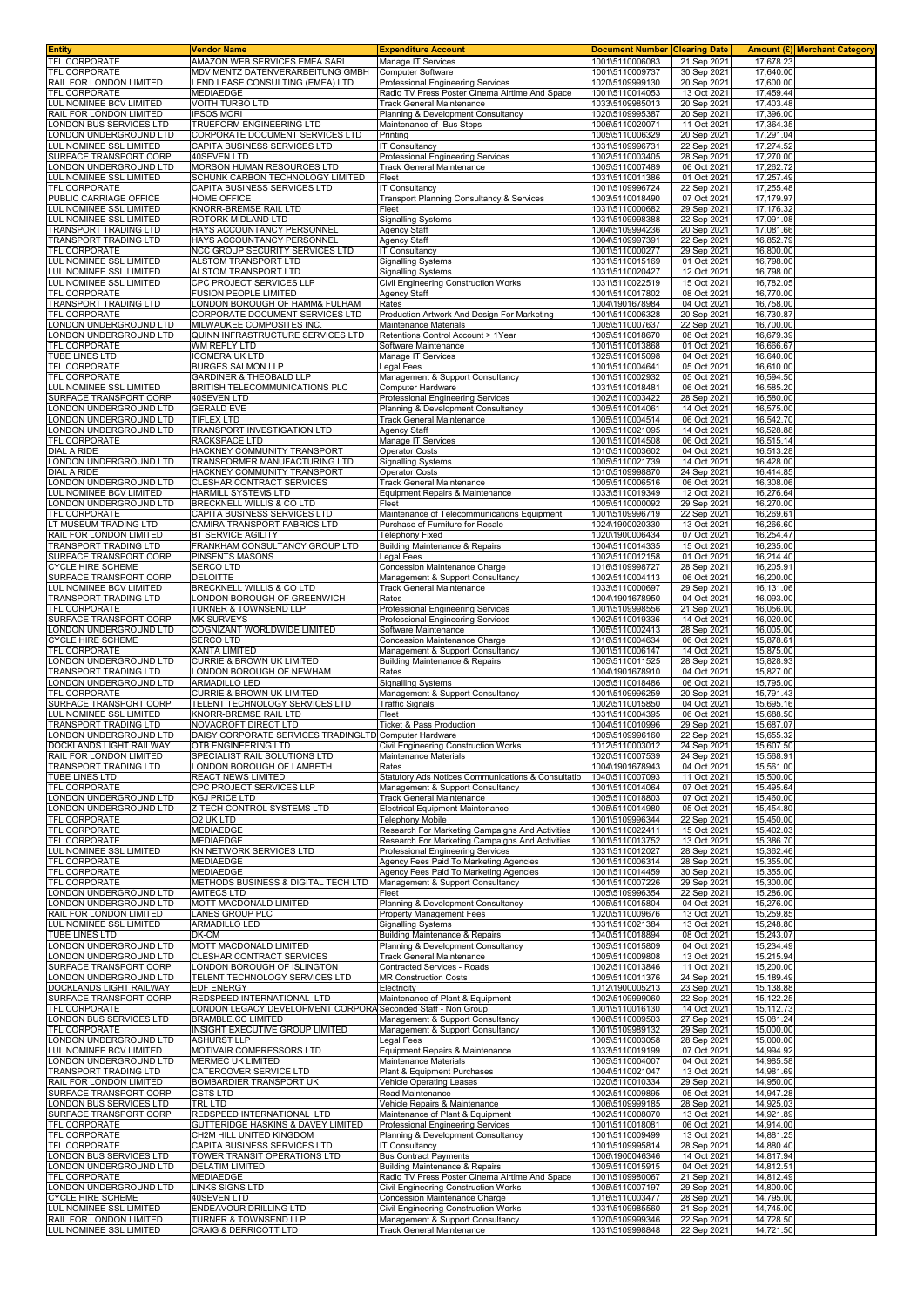| <b>Entity</b>                                      | Vendor Name                                                          | <b>Expenditure Account</b>                                                      | <b>Document Number</b>             | <b>Clearing Date</b>       |                        | Amount (£) Merchant Category |
|----------------------------------------------------|----------------------------------------------------------------------|---------------------------------------------------------------------------------|------------------------------------|----------------------------|------------------------|------------------------------|
| <b>TFL CORPORATE</b><br><b>TFL CORPORATE</b>       | AMAZON WEB SERVICES EMEA SARL<br>MDV MENTZ DATENVERARBEITUNG GMBH    | Manage IT Services<br>Computer Software                                         | 1001\5110006083<br>1001\5110009737 | 21 Sep 2021<br>30 Sep 2021 | 17,678.23<br>17,640.00 |                              |
| RAIL FOR LONDON LIMITED                            | LEND LEASE CONSULTING (EMEA) LTD                                     | Professional Engineering Services                                               | 1020\5109999130                    | 20 Sep 2021                | 17,600.00              |                              |
| TFL CORPORATE                                      | MEDIAEDGE                                                            | Radio TV Press Poster Cinema Airtime And Space                                  | 1001\5110014053                    | 13 Oct 2021                | 17,459.44              |                              |
| LUL NOMINEE BCV LIMITED                            | <b>VOITH TURBO LTD</b>                                               | <b>Track General Maintenance</b>                                                | 1033\5109985013                    | 20 Sep 2021                | 17,403.48              |                              |
| RAIL FOR LONDON LIMITED                            | <b>IPSOS MORI</b>                                                    | Planning & Development Consultancy                                              | 1020\5109995387                    | 20 Sep 2021                | 17,396.00              |                              |
| LONDON BUS SERVICES LTD<br>ONDON UNDERGROUND LTD   | TRUEFORM ENGINEERING LTD<br>CORPORATE DOCUMENT SERVICES LTD          | Maintenance of Bus Stops<br>Printing                                            | 1006\5110020071<br>1005\5110006329 | 11 Oct 2021<br>20 Sep 2021 | 17,364.35<br>17,291.04 |                              |
| UL NOMINEE SSL LIMITED                             | CAPITA BUSINESS SERVICES LTD                                         | <b>IT Consultancy</b>                                                           | 1031\5109996731                    | 22 Sep 2021                | 17,274.52              |                              |
| SURFACE TRANSPORT CORP                             | 40SEVEN LTD                                                          | <b>Professional Engineering Services</b>                                        | 1002\5110003405                    | 28 Sep 2021                | 17,270.00              |                              |
| ONDON UNDERGROUND LTD                              | MORSON HUMAN RESOURCES LTD                                           | Track General Maintenance                                                       | 1005\5110007489                    | 06 Oct 2021                | 17,262.72              |                              |
| UL NOMINEE SSL LIMITED                             | SCHUNK CARBON TECHNOLOGY LIMITED                                     | Fleet                                                                           | 1031\5110011386                    | 01 Oct 2021                | 17,257.49              |                              |
| TFL CORPORATE<br>PUBLIC CARRIAGE OFFICE            | CAPITA BUSINESS SERVICES LTD<br>HOME OFFICE                          | IT Consultancy<br>Transport Planning Consultancy & Services                     | 1001\5109996724<br>1003\5110018490 | 22 Sep 2021<br>07 Oct 2021 | 17,255.48<br>17,179.97 |                              |
| LUL NOMINEE SSL LIMITED                            | KNORR-BREMSE RAIL LTD                                                | Fleet                                                                           | 1031\5110000682                    | 29 Sep 2021                | 17,176.32              |                              |
| LUL NOMINEE SSL LIMITED                            | ROTORK MIDLAND LTD                                                   | <b>Signalling Systems</b>                                                       | 1031\5109998388                    | 22 Sep 2021                | 17,091.08              |                              |
| TRANSPORT TRADING LTD                              | HAYS ACCOUNTANCY PERSONNEL                                           | Agency Staff                                                                    | 1004\5109994236                    | 20 Sep 2021                | 17,081.66              |                              |
| TRANSPORT TRADING LTD<br><b>TFL CORPORATE</b>      | HAYS ACCOUNTANCY PERSONNEL<br>NCC GROUP SECURITY SERVICES LTD        | <b>Agency Staff</b><br>IT Consultancy                                           | 1004\5109997391<br>1001\5110000277 | 22 Sep 2021<br>29 Sep 2021 | 16,852.79<br>16,800.00 |                              |
| <b>LUL NOMINEE SSL LIMITED</b>                     | <b>ALSTOM TRANSPORT LTD</b>                                          | <b>Signalling Systems</b>                                                       | 1031\5110015169                    | 01 Oct 2021                | 16,798.00              |                              |
| LUL NOMINEE SSL LIMITED                            | ALSTOM TRANSPORT LTD                                                 | <b>Signalling Systems</b>                                                       | 1031\5110020427                    | 12 Oct 2021                | 16,798.00              |                              |
| LUL NOMINEE SSL LIMITED                            | CPC PROJECT SERVICES LLP                                             | <b>Civil Engineering Construction Works</b>                                     | 1031\5110022519                    | 15 Oct 2021                | 16,782.05              |                              |
| TFL CORPORATE                                      | FUSION PEOPLE LIMITED                                                | Agency Staff                                                                    | 1001\5110017802                    | 08 Oct 2021                | 16,770.00              |                              |
| TRANSPORT TRADING LTD<br><b>TFL CORPORATE</b>      | LONDON BOROUGH OF HAMM& FULHAM<br>CORPORATE DOCUMENT SERVICES LTD    | Rates<br>Production Artwork And Design For Marketing                            | 1004\1901678984<br>1001\5110006328 | 04 Oct 2021<br>20 Sep 2021 | 16,758.00<br>16,730.87 |                              |
| LONDON UNDERGROUND LTD                             | MILWAUKEE COMPOSITES INC                                             | Maintenance Materials                                                           | 1005\5110007637                    | 22 Sep 2021                | 16,700.00              |                              |
| ONDON UNDERGROUND LTD                              | QUINN INFRASTRUCTURE SERVICES LTD                                    | Retentions Control Account > 1Year                                              | 1005\5110018670                    | 08 Oct 2021                | 16,679.39              |                              |
| <b>TFL CORPORATE</b>                               | WM REPLY LTD                                                         | Software Maintenance                                                            | 1001\5110013868                    | 01 Oct 2021                | 16,666.67              |                              |
| TUBE LINES LTD                                     | <b>ICOMERA UK LTD</b>                                                | Manage IT Services                                                              | 1025\5110015098                    | 04 Oct 2021                | 16,640.00              |                              |
| TFL CORPORATE<br><b>TFL CORPORATE</b>              | <b>BURGES SALMON LLP</b>                                             | Legal Fees                                                                      | 1001\5110004641                    | 05 Oct 2021                | 16,610.00              |                              |
| LUL NOMINEE SSL LIMITED                            | <b>GARDINER &amp; THEOBALD LLP</b><br>BRITISH TELECOMMUNICATIONS PLC | Management & Support Consultancy<br>Computer Hardware                           | 1001\5110002932<br>1031\5110018481 | 05 Oct 2021<br>06 Oct 2021 | 16,594.50<br>16,585.20 |                              |
| SURFACE TRANSPORT CORP                             | 40SEVEN LTD                                                          | Professional Engineering Services                                               | 1002\5110003422                    | 28 Sep 2021                | 16,580.00              |                              |
| ONDON UNDERGROUND LTD                              | <b>GERALD EVE</b>                                                    | Planning & Development Consultancy                                              | 1005\5110014061                    | 14 Oct 2021                | 16,575.00              |                              |
| ONDON UNDERGROUND LTD                              | <b>TIFLEX LTD</b>                                                    | <b>Track General Maintenance</b>                                                | 1005\5110004514                    | 06 Oct 2021                | 16,542.70              |                              |
| ONDON UNDERGROUND LTD                              | TRANSPORT INVESTIGATION LTD<br>RACKSPACE LTD                         | Agency Staff                                                                    | 1005\5110021095                    | 14 Oct 2021                | 16,528.88              |                              |
| TFL CORPORATE<br><b>DIAL A RIDE</b>                | HACKNEY COMMUNITY TRANSPORT                                          | Manage IT Services<br><b>Operator Costs</b>                                     | 1001\5110014508<br>1010\5110003602 | 06 Oct 2021<br>04 Oct 2021 | 16,515.14<br>16,513.28 |                              |
| ONDON UNDERGROUND LTD                              | TRANSFORMER MANUFACTURING LTD                                        | <b>Signalling Systems</b>                                                       | 1005\5110021739                    | 14 Oct 2021                | 16,428.00              |                              |
| <b>DIAL A RIDE</b>                                 | HACKNEY COMMUNITY TRANSPORT                                          | <b>Operator Costs</b>                                                           | 1010\5109998870                    | 24 Sep 2021                | 16,414.85              |                              |
| ONDON UNDERGROUND LTD                              | CLESHAR CONTRACT SERVICES                                            | Track General Maintenance                                                       | 1005\5110006516                    | 06 Oct 2021                | 16,308.06              |                              |
| UL NOMINEE BCV LIMITED                             | HARMILL SYSTEMS LTD                                                  | Equipment Repairs & Maintenance                                                 | 1033\5110019349                    | 12 Oct 2021                | 16,276.64              |                              |
| LONDON UNDERGROUND LTD                             | BRECKNELL WILLIS & CO LTD                                            | Fleet                                                                           | 1005\5110000092                    | 29 Sep 2021                | 16,270.00              |                              |
| TFL CORPORATE<br>T MUSEUM TRADING LTD              | CAPITA BUSINESS SERVICES LTD<br>CAMIRA TRANSPORT FABRICS LTD         | Maintenance of Telecommunications Equipment<br>Purchase of Furniture for Resale | 1001\5109996719<br>1024\1900020330 | 22 Sep 2021<br>13 Oct 2021 | 16,269.61<br>16,266.60 |                              |
| RAIL FOR LONDON LIMITED                            | <b>BT SERVICE AGILITY</b>                                            | <b>Telephony Fixed</b>                                                          | 1020\1900006434                    | 07 Oct 2021                | 16,254.47              |                              |
| TRANSPORT TRADING LTD                              | FRANKHAM CONSULTANCY GROUP LTD                                       | <b>Building Maintenance &amp; Repairs</b>                                       | 1004\5110014335                    | 15 Oct 2021                | 16,235.00              |                              |
| SURFACE TRANSPORT CORP                             | PINSENTS MASONS                                                      | Legal Fees                                                                      | 1002\5110012158                    | 01 Oct 2021                | 16,214.40              |                              |
| <b>CYCLE HIRE SCHEME</b>                           | <b>SERCO LTD</b>                                                     | Concession Maintenance Charge                                                   | 1016\5109998727                    | 28 Sep 2021                | 16,205.91              |                              |
| SURFACE TRANSPORT CORP                             | <b>DELOITTE</b>                                                      | Management & Support Consultancy<br><b>Track General Maintenance</b>            | 1002\5110004113                    | 06 Oct 2021                | 16,200.00<br>16,131.06 |                              |
| LUL NOMINEE BCV LIMITED<br>TRANSPORT TRADING LTD   | BRECKNELL WILLIS & CO LTD<br>LONDON BOROUGH OF GREENWICH             | Rates                                                                           | 1033\5110000697<br>1004\1901678950 | 29 Sep 2021<br>04 Oct 2021 | 16,093.00              |                              |
| TFL CORPORATE                                      | TURNER & TOWNSEND LLP                                                | Professional Engineering Services                                               | 1001\5109998556                    | 21 Sep 2021                | 16,056.00              |                              |
| SURFACE TRANSPORT CORP                             | <b>MK SURVEYS</b>                                                    | Professional Engineering Services                                               | 1002\5110019336                    | 14 Oct 2021                | 16,020.00              |                              |
| ONDON UNDERGROUND LTD                              | COGNIZANT WORLDWIDE LIMITED                                          | Software Maintenance                                                            | 1005\5110002413                    | 28 Sep 2021                | 16,005.00              |                              |
| <b>CYCLE HIRE SCHEME</b><br>TFL CORPORATE          | <b>SERCO LTD</b>                                                     | Concession Maintenance Charge                                                   | 1016\5110004634                    | 06 Oct 2021                | 15,878.61              |                              |
| LONDON UNDERGROUND LTD                             | XANTA LIMITED<br>CURRIE & BROWN UK LIMITED                           | Management & Support Consultancy<br>Building Maintenance & Repairs              | 1001\5110006147<br>1005\5110011525 | 14 Oct 2021<br>28 Sep 2021 | 15,875.00<br>15,828.93 |                              |
| TRANSPORT TRADING LTD                              | LONDON BOROUGH OF NEWHAM                                             | Rates                                                                           | 1004\1901678910                    | 04 Oct 2021                | 15,827.00              |                              |
| ONDON UNDERGROUND LTD                              | <b>ARMADILLO LED</b>                                                 | Signalling Systems                                                              | 1005\5110018486                    | 06 Oct 2021                | 15,795.00              |                              |
| <b>TFL CORPORATE</b>                               | CURRIE & BROWN UK LIMITED                                            | Management & Support Consultancy                                                | 1001\5109996259                    | 20 Sep 2021                | 15,791.43              |                              |
| SURFACE TRANSPORT CORP                             | TELENT TECHNOLOGY SERVICES LTD                                       | Traffic Signals                                                                 | 1002\5110015850                    | 04 Oct 2021                | 15,695.16              |                              |
| UL NOMINEE SSL LIMITED                             | KNORR-BREMSE RAIL LTD<br>NOVACROFT DIRECT LTD                        | Fleet                                                                           | 1031\5110004395                    | 06 Oct 2021                | 15,688.50              |                              |
| TRANSPORT TRADING LTD<br>LONDON UNDERGROUND LTD    | DAISY CORPORATE SERVICES TRADINGLTD Computer Hardware                | Ticket & Pass Production                                                        | 1004\5110010996<br>1005\5109996160 | 29 Sep 2021<br>22 Sep 2021 | 15,687.07<br>15,655.32 |                              |
| DOCKLANDS LIGHT RAILWAY                            | OTB ENGINEERING LTD                                                  | Civil Engineering Construction Works                                            | 1012\5110003012                    | 24 Sep 2021                | 15,607.50              |                              |
| RAIL FOR LONDON LIMITED                            | SPECIALIST RAIL SOLUTIONS LTD                                        | Maintenance Materials                                                           | 1020\5110007539                    | 24 Sep 2021                | 15,568.91              |                              |
| TRANSPORT TRADING LTD                              | LONDON BOROUGH OF LAMBETH                                            | Rates                                                                           | 1004\1901678943                    | 04 Oct 2021                | 15,561.00              |                              |
| <b>TUBE LINES LTD</b>                              | REACT NEWS LIMITED                                                   | Statutory Ads Notices Communications & Consultatio                              | 1040\5110007093                    | 11 Oct 2021                | 15,500.00              |                              |
| <b>TFL CORPORATE</b><br>ONDON UNDERGROUND LTD      | CPC PROJECT SERVICES LLP<br>KGJ PRICE LTD                            | Management & Support Consultancy<br><b>Track General Maintenance</b>            | 1001\5110014064<br>1005\5110018803 | 07 Oct 2021<br>07 Oct 2021 | 15,495.64<br>15,460.00 |                              |
| ONDON UNDERGROUND LTD                              | Z-TECH CONTROL SYSTEMS LTD                                           | Electrical Equipment Maintenance                                                | 1005\5110014980                    | 05 Oct 2021                | 15,454.80              |                              |
| TFL CORPORATE                                      | O2 UK LTD                                                            | <b>Telephony Mobile</b>                                                         | 1001\5109996344                    | 22 Sep 2021                | 15,450.00              |                              |
| TFL CORPORATE                                      | <b>MEDIAEDGE</b>                                                     | Research For Marketing Campaigns And Activities                                 | 1001\5110022411                    | 15 Oct 2021                | 15.402.03              |                              |
| <b>TFL CORPORATE</b>                               | MEDIAEDGE                                                            | Research For Marketing Campaigns And Activities                                 | 1001\5110013752                    | 13 Oct 2021                | 15,386.70              |                              |
| LUL NOMINEE SSL LIMITED<br><b>TFL CORPORATE</b>    | KN NETWORK SERVICES LTD<br>MEDIAEDGE                                 | Professional Engineering Services<br>Agency Fees Paid To Marketing Agencies     | 1031\5110012027<br>1001\5110006314 | 28 Sep 2021<br>28 Sep 2021 | 15,362.46<br>15,355.00 |                              |
| TFL CORPORATE                                      | <b>MEDIAEDGE</b>                                                     | Agency Fees Paid To Marketing Agencies                                          | 1001\5110014459                    | 30 Sep 2021                | 15,355.00              |                              |
| <b>TFL CORPORATE</b>                               | METHODS BUSINESS & DIGITAL TECH LTD                                  | Management & Support Consultancy                                                | 1001\5110007226                    | 29 Sep 2021                | 15,300.00              |                              |
| LONDON UNDERGROUND LTD                             | AMTECS LTD                                                           | Fleet                                                                           | 1005\5109996354                    | 22 Sep 2021                | 15,286.00              |                              |
| LONDON UNDERGROUND LTD                             | MOTT MACDONALD LIMITED<br>LANES GROUP PLC                            | Planning & Development Consultancy                                              | 1005\5110015804                    | 04 Oct 2021                | 15,276.00              |                              |
| RAIL FOR LONDON LIMITED<br>LUL NOMINEE SSL LIMITED | ARMADILLO LED                                                        | Property Management Fees<br><b>Signalling Systems</b>                           | 1020\5110009676<br>1031\5110021384 | 13 Oct 2021<br>13 Oct 2021 | 15,259.85<br>15,248.80 |                              |
| TUBE LINES LTD                                     | DK-CM                                                                | <b>Building Maintenance &amp; Repairs</b>                                       | 1040\5110018894                    | 08 Oct 2021                | 15,243.07              |                              |
| ONDON UNDERGROUND LTD                              | MOTT MACDONALD LIMITED                                               | Planning & Development Consultancy                                              | 1005\5110015809                    | 04 Oct 2021                | 15,234.49              |                              |
| ONDON UNDERGROUND LTD                              | CLESHAR CONTRACT SERVICES                                            | Track General Maintenance                                                       | 1005\5110009808                    | 13 Oct 2021                | 15,215.94              |                              |
| URFACE TRANSPORT CORP                              | LONDON BOROUGH OF ISLINGTON                                          | <b>Contracted Services - Roads</b>                                              | 1002\5110013846                    | 11 Oct 2021                | 15,200.00              |                              |
| ONDON UNDERGROUND LTD<br>DOCKLANDS LIGHT RAILWAY   | TELENT TECHNOLOGY SERVICES LTD<br><b>EDF ENERGY</b>                  | <b>MR Construction Costs</b><br>Electricity                                     | 1005\5110011376<br>1012\1900005213 | 24 Sep 2021<br>23 Sep 2021 | 15,189.49<br>15,138.88 |                              |
| SURFACE TRANSPORT CORP                             | REDSPEED INTERNATIONAL LTD                                           | Maintenance of Plant & Equipment                                                | 1002\5109999060                    | 22 Sep 2021                | 15,122.25              |                              |
| <b>TFL CORPORATE</b>                               | LONDON LEGACY DEVELOPMENT CORPORA Seconded Staff - Non Group         |                                                                                 | 1001\5110016130                    | 14 Oct 2021                | 15,112.73              |                              |
| LONDON BUS SERVICES LTD                            | BRAMBLE.CC LIMITED                                                   | Management & Support Consultancy                                                | 1006\5110009503                    | 27 Sep 2021                | 15,081.24              |                              |
| TFL CORPORATE                                      | INSIGHT EXECUTIVE GROUP LIMITED                                      | Management & Support Consultancy                                                | 1001\5109989132                    | 29 Sep 2021                | 15,000.00              |                              |
| ONDON UNDERGROUND LTD<br>LUL NOMINEE BCV LIMITED   | <b>ASHURST LLP</b><br>MOTIVAIR COMPRESSORS LTD                       | Legal Fees<br>Equipment Repairs & Maintenance                                   | 1005\5110003058<br>1033\5110019199 | 28 Sep 2021<br>07 Oct 2021 | 15,000.00<br>14,994.92 |                              |
| ONDON UNDERGROUND LTD                              | MERMEC UK LIMITED                                                    | Maintenance Materials                                                           | 1005\5110004007                    | 04 Oct 2021                | 14,985.58              |                              |
| TRANSPORT TRADING LTD                              | CATERCOVER SERVICE LTD                                               | Plant & Equipment Purchases                                                     | 1004\5110021047                    | 13 Oct 2021                | 14,981.69              |                              |
| RAIL FOR LONDON LIMITED                            | BOMBARDIER TRANSPORT UK                                              | Vehicle Operating Leases                                                        | 1020\5110010334                    | 29 Sep 2021                | 14,950.00              |                              |
| SURFACE TRANSPORT CORP                             | <b>CSTS LTD</b>                                                      | Road Maintenance                                                                | 1002\5110009895                    | 05 Oct 2021                | 14,947.28              |                              |
| ONDON BUS SERVICES LTD                             | TRL LTD                                                              | Vehicle Repairs & Maintenance                                                   | 1006\5109999185                    | 28 Sep 2021                | 14,925.03              |                              |
| SURFACE TRANSPORT CORP                             | REDSPEED INTERNATIONAL LTD                                           | Maintenance of Plant & Equipment                                                | 1002\5110008070<br>1001\5110018081 | 13 Oct 2021                | 14,921.89<br>14,914.00 |                              |
| TFL CORPORATE<br>TFL CORPORATE                     | GUTTERIDGE HASKINS & DAVEY LIMITED<br>CH2M HILL UNITED KINGDOM       | Professional Engineering Services<br>Planning & Development Consultancy         | 1001\5110009499                    | 06 Oct 2021<br>13 Oct 2021 | 14,881.25              |                              |
| <b>TFL CORPORATE</b>                               | CAPITA BUSINESS SERVICES LTD                                         | <b>IT Consultancy</b>                                                           | 1001\5109995814                    | 28 Sep 2021                | 14,880.40              |                              |
| LONDON BUS SERVICES LTD                            | TOWER TRANSIT OPERATIONS LTD                                         | <b>Bus Contract Payments</b>                                                    | 1006\1900046346                    | 14 Oct 2021                | 14,817.94              |                              |
| ONDON UNDERGROUND LTD                              | <b>DELATIM LIMITED</b>                                               | Building Maintenance & Repairs                                                  | 1005\5110015915                    | 04 Oct 2021                | 14,812.51              |                              |
| TFL CORPORATE                                      | MEDIAEDGE                                                            | Radio TV Press Poster Cinema Airtime And Space                                  | 1001\5109980067                    | 21 Sep 2021                | 14,812.49              |                              |
| LONDON UNDERGROUND LTD<br><b>CYCLE HIRE SCHEME</b> | LINKS SIGNS LTD<br>40SEVEN LTD                                       | Civil Engineering Construction Works<br>Concession Maintenance Charge           | 1005\5110007197<br>1016\5110003477 | 29 Sep 2021<br>28 Sep 2021 | 14,800.00<br>14,795.00 |                              |
| LUL NOMINEE SSL LIMITED                            | ENDEAVOUR DRILLING LTD                                               | Civil Engineering Construction Works                                            | 1031\5109985560                    | 21 Sep 2021                | 14,745.00              |                              |
| RAIL FOR LONDON LIMITED                            | TURNER & TOWNSEND LLP                                                | Management & Support Consultancy                                                | 1020\5109999346                    | 22 Sep 2021                | 14,728.50              |                              |
| LUL NOMINEE SSL LIMITED                            | CRAIG & DERRICOTT LTD                                                | Track General Maintenance                                                       | 1031\5109998848                    | 22 Sep 2021                | 14,721.50              |                              |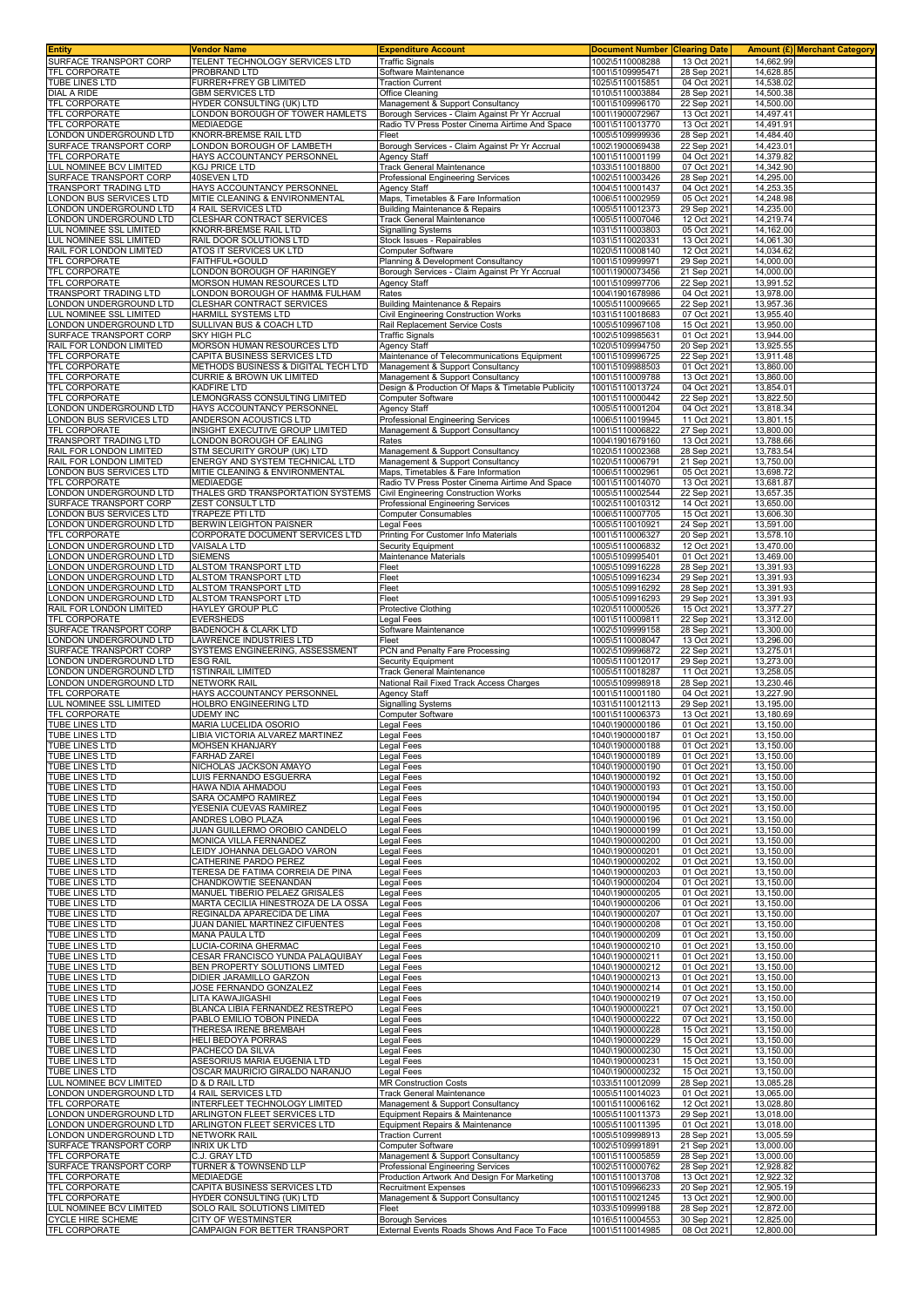| <b>Entity</b>                                      | Vendor Name                                                         | <b>Expenditure Account</b>                                                             | <b>Document Number Clearing Date</b> |                            |                        | <b>Amount (£) Merchant Category</b> |
|----------------------------------------------------|---------------------------------------------------------------------|----------------------------------------------------------------------------------------|--------------------------------------|----------------------------|------------------------|-------------------------------------|
| SURFACE TRANSPORT CORP<br>TFL CORPORATE            | TELENT TECHNOLOGY SERVICES LTD<br>PROBRAND LTD                      | <b>Traffic Signals</b><br>Software Maintenance                                         | 1002\5110008288<br>1001\5109995471   | 13 Oct 2021<br>28 Sep 2021 | 14.662.99<br>14,628.85 |                                     |
| <b>TUBE LINES LTD</b>                              | <b>FURRER+FREY GB LIMITED</b>                                       | <b>Traction Current</b>                                                                | 1025\5110015851                      | 04 Oct 2021                | 14,538.02              |                                     |
| <b>DIAL A RIDE</b>                                 | <b>GBM SERVICES LTD</b>                                             | Office Cleaning                                                                        | 1010\5110003884                      | 28 Sep 2021                | 14,500.38              |                                     |
| TFL CORPORATE<br>TFL CORPORATE                     | HYDER CONSULTING (UK) LTD<br>ONDON BOROUGH OF TOWER HAMLETS         | Management & Support Consultancy<br>Borough Services - Claim Against Pr Yr Accrual     | 1001\5109996170<br>1001\1900072967   | 22 Sep 2021<br>13 Oct 2021 | 14,500.00<br>14,497.41 |                                     |
| TFL CORPORATE                                      | MEDIAEDGE                                                           | Radio TV Press Poster Cinema Airtime And Space                                         | 1001\5110013770                      | 13 Oct 2021                | 14,491.91              |                                     |
| LONDON UNDERGROUND LTD<br>SURFACE TRANSPORT CORP   | KNORR-BREMSE RAIL LTD<br>LONDON BOROUGH OF LAMBETH                  | Fleet<br>Borough Services - Claim Against Pr Yr Accrual                                | 1005\5109999936<br>1002\1900069438   | 28 Sep 2021<br>22 Sep 2021 | 14,484.40<br>14,423.01 |                                     |
| TFL CORPORATE                                      | HAYS ACCOUNTANCY PERSONNEL                                          | Agency Staff                                                                           | 1001\5110001199                      | 04 Oct 2021                | 14,379.82              |                                     |
| LUL NOMINEE BCV LIMITED                            | KGJ PRICE LTD                                                       | <b>Track General Maintenance</b>                                                       | 1033\5110018800                      | 07 Oct 2021                | 14,342.90              |                                     |
| SURFACE TRANSPORT CORP                             | 40SEVEN LTD                                                         | Professional Engineering Services                                                      | 1002\5110003426                      | 28 Sep 2021                | 14,295.00              |                                     |
| TRANSPORT TRADING LTD<br>ONDON BUS SERVICES LTD    | HAYS ACCOUNTANCY PERSONNEL<br>MITIE CLEANING & ENVIRONMENTAL        | Agency Staff<br>Maps, Timetables & Fare Information                                    | 1004\5110001437<br>1006\5110002959   | 04 Oct 2021<br>05 Oct 2021 | 14,253.35<br>14,248.98 |                                     |
| ONDON UNDERGROUND LTD                              | 4 RAIL SERVICES LTD                                                 | <b>Building Maintenance &amp; Repairs</b>                                              | 1005\5110012373                      | 29 Sep 2021                | 14,235.00              |                                     |
| ONDON UNDERGROUND LTD                              | CLESHAR CONTRACT SERVICES                                           | <b>Track General Maintenance</b>                                                       | 1005\5110007046                      | 12 Oct 202                 | 14,219.74              |                                     |
| LUL NOMINEE SSL LIMITED<br>LUL NOMINEE SSL LIMITED | KNORR-BREMSE RAIL LTD<br>RAIL DOOR SOLUTIONS LTD                    | <b>Signalling Systems</b><br>Stock Issues - Repairables                                | 1031\5110003803<br>1031\5110020331   | 05 Oct 2021<br>13 Oct 2021 | 14,162.00<br>14,061.30 |                                     |
| RAIL FOR LONDON LIMITED                            | ATOS IT SERVICES UK LTD                                             | Computer Software                                                                      | 1020\5110008140                      | 12 Oct 2021                | 14,034.62              |                                     |
| <b>TFL CORPORATE</b>                               | FAITHFUL+GOULD                                                      | Planning & Development Consultancy                                                     | 1001\5109999971                      | 29 Sep 2021                | 14,000.00              |                                     |
| TFL CORPORATE<br><b>TFL CORPORATE</b>              | LONDON BOROUGH OF HARINGEY<br>MORSON HUMAN RESOURCES LTD            | Borough Services - Claim Against Pr Yr Accrual<br>Agency Staff                         | 1001\1900073456<br>1001\5109997706   | 21 Sep 2021<br>22 Sep 2021 | 14,000.00<br>13,991.52 |                                     |
| TRANSPORT TRADING LTD                              | LONDON BOROUGH OF HAMM& FULHAM                                      | Rates                                                                                  | 1004\1901678986                      | 04 Oct 2021                | 13,978.00              |                                     |
| ONDON UNDERGROUND LTD                              | CLESHAR CONTRACT SERVICES                                           | <b>Building Maintenance &amp; Repairs</b>                                              | 1005\5110009665                      | 22 Sep 2021                | 13,957.36              |                                     |
| LUL NOMINEE SSL LIMITED<br>LONDON UNDERGROUND LTD  | HARMILL SYSTEMS LTD<br>SULLIVAN BUS & COACH LTD                     | Civil Engineering Construction Works<br>Rail Replacement Service Costs                 | 1031\5110018683<br>1005\5109967108   | 07 Oct 2021<br>15 Oct 2021 | 13,955.40<br>13,950.00 |                                     |
| SURFACE TRANSPORT CORP                             | SKY HIGH PLC                                                        | <b>Traffic Signals</b>                                                                 | 1002\5109985631                      | 01 Oct 2021                | 13,944.00              |                                     |
| RAIL FOR LONDON LIMITED                            | MORSON HUMAN RESOURCES LTD                                          | Agency Staff                                                                           | 1020\5109994750                      | 20 Sep 2021                | 13,925.55              |                                     |
| TFL CORPORATE<br>TFL CORPORATE                     | CAPITA BUSINESS SERVICES LTD<br>METHODS BUSINESS & DIGITAL TECH LTD | Maintenance of Telecommunications Equipment<br>Management & Support Consultancy        | 1001\5109996725<br>1001\5109988503   | 22 Sep 2021<br>01 Oct 2021 | 13,911.48<br>13,860.00 |                                     |
| TFL CORPORATE                                      | CURRIE & BROWN UK LIMITED                                           | Management & Support Consultancy                                                       | 1001\5110009788                      | 13 Oct 2021                | 13,860.00              |                                     |
| TFL CORPORATE                                      | KADFIRE LTD                                                         | Design & Production Of Maps & Timetable Publicity                                      | 1001\5110013724                      | 04 Oct 2021                | 13,854.01              |                                     |
| TFL CORPORATE<br>LONDON UNDERGROUND LTD            | LEMONGRASS CONSULTING LIMITED<br>HAYS ACCOUNTANCY PERSONNEL         | Computer Software<br><b>Agency Staff</b>                                               | 1001\5110000442<br>1005\5110001204   | 22 Sep 2021<br>04 Oct 2021 | 13,822.50<br>13,818.34 |                                     |
| ONDON BUS SERVICES LTD                             | ANDERSON ACOUSTICS LTD                                              | Professional Engineering Services                                                      | 1006\5110019945                      | 11 Oct 2021                | 13,801.15              |                                     |
| TFL CORPORATE                                      | INSIGHT EXECUTIVE GROUP LIMITED                                     | Management & Support Consultancy                                                       | 1001\5110006822                      | 27 Sep 2021                | 13,800.00              |                                     |
| TRANSPORT TRADING LTD<br>RAIL FOR LONDON LIMITED   | LONDON BOROUGH OF EALING<br>STM SECURITY GROUP (UK) LTD             | Rates<br>Management & Support Consultancy                                              | 1004\1901679160<br>1020\5110002368   | 13 Oct 2021<br>28 Sep 2021 | 13,788.66<br>13,783.54 |                                     |
| RAIL FOR LONDON LIMITED                            | ENERGY AND SYSTEM TECHNICAL LTD                                     | Management & Support Consultancy                                                       | 1020\5110006791                      | 21 Sep 2021                | 13,750.00              |                                     |
| ONDON BUS SERVICES LTD                             | MITIE CLEANING & ENVIRONMENTAL                                      | Maps, Timetables & Fare Information                                                    | 1006\5110002961                      | 05 Oct 2021                | 13,698.72              |                                     |
| TFL CORPORATE<br>LONDON UNDERGROUND LTD            | MEDIAEDGE<br>THALES GRD TRANSPORTATION SYSTEMS                      | Radio TV Press Poster Cinema Airtime And Space<br>Civil Engineering Construction Works | 1001\5110014070<br>1005\5110002544   | 13 Oct 2021<br>22 Sep 2021 | 13,681.87<br>13,657.35 |                                     |
| SURFACE TRANSPORT CORP                             | ZEST CONSULT LTD                                                    | Professional Engineering Services                                                      | 1002\5110010312                      | 14 Oct 2021                | 13,650.00              |                                     |
| ONDON BUS SERVICES LTD                             | TRAPEZE PTI LTD                                                     | Computer Consumables                                                                   | 1006\5110007705                      | 15 Oct 2021                | 13,606.30              |                                     |
| ONDON UNDERGROUND LTD<br>TFL CORPORATE             | <b>BERWIN LEIGHTON PAISNER</b><br>CORPORATE DOCUMENT SERVICES LTD   | Legal Fees<br>Printing For Customer Info Materials                                     | 1005\5110010921<br>1001\5110006327   | 24 Sep 2021<br>20 Sep 2021 | 13,591.00<br>13,578.10 |                                     |
| ONDON UNDERGROUND LTD                              | <b>VAISALA LTD</b>                                                  | <b>Security Equipment</b>                                                              | 1005\5110006832                      | 12 Oct 2021                | 13,470.00              |                                     |
| ONDON UNDERGROUND LTD                              | <b>SIEMENS</b>                                                      | Maintenance Materials                                                                  | 1005\5109995401                      | 01 Oct 2021                | 13,469.00              |                                     |
| ONDON UNDERGROUND LTD                              | ALSTOM TRANSPORT LTD<br>ALSTOM TRANSPORT LTD                        | Fleet                                                                                  | 1005\5109916228                      | 28 Sep 2021                | 13,391.93              |                                     |
| ONDON UNDERGROUND LTD<br>ONDON UNDERGROUND LTD     | ALSTOM TRANSPORT LTD                                                | Fleet<br>Fleet                                                                         | 1005\5109916234<br>1005\5109916292   | 29 Sep 2021<br>28 Sep 2021 | 13,391.93<br>13,391.93 |                                     |
| ONDON UNDERGROUND LTD                              | ALSTOM TRANSPORT LTD                                                | Fleet                                                                                  | 1005\5109916293                      | 29 Sep 2021                | 13,391.93              |                                     |
| RAIL FOR LONDON LIMITED                            | HAYLEY GROUP PLC                                                    | Protective Clothing                                                                    | 1020\5110000526                      | 15 Oct 2021                | 13,377.27              |                                     |
| TFL CORPORATE<br>SURFACE TRANSPORT CORP            | EVERSHEDS<br><b>BADENOCH &amp; CLARK LTD</b>                        | egal Fees<br>Software Maintenance                                                      | 1001\5110009811<br>1002\5109999158   | 22 Sep 202<br>28 Sep 2021  | 13,312.00<br>13,300.00 |                                     |
| ONDON UNDERGROUND LTD                              | LAWRENCE INDUSTRIES LTD                                             | Fleet                                                                                  | 1005\5110008047                      | 13 Oct 2021                | 13,296.00              |                                     |
| SURFACE TRANSPORT CORP                             | SYSTEMS ENGINEERING, ASSESSMENT                                     | PCN and Penalty Fare Processing                                                        | 1002\5109996872                      | 22 Sep 2021                | 13,275.01              |                                     |
| ONDON UNDERGROUND LTD<br>ONDON UNDERGROUND LTD     | <b>ESG RAIL</b><br><b>1STINRAIL LIMITED</b>                         | <b>Security Equipment</b><br>Track General Maintenance                                 | 1005\5110012017<br>1005\5110018287   | 29 Sep 2021<br>11 Oct 2021 | 13,273.00<br>13,258.05 |                                     |
| ONDON UNDERGROUND LTD                              | <b>NETWORK RAIL</b>                                                 | National Rail Fixed Track Access Charges                                               | 1005\5109998918                      | 28 Sep 2021                | 13,230.46              |                                     |
| TFL CORPORATE                                      | HAYS ACCOUNTANCY PERSONNEL                                          | <b>Agency Staff</b>                                                                    | 1001\5110001180                      | 04 Oct 2021                | 13,227.90              |                                     |
| LUL NOMINEE SSL LIMITED<br>TFL CORPORATE           | HOLBRO ENGINEERING LTD<br><b>UDEMY INC</b>                          | <b>Signalling Systems</b><br>Computer Software                                         | 1031\5110012113<br>1001\5110006373   | 29 Sep 2021<br>13 Oct 2021 | 13,195.00<br>13,180.69 |                                     |
| TUBE LINES LTD                                     | MARIA LUCELIDA OSORIO                                               | egal Fees                                                                              | 1040\1900000186                      | 01 Oct 2021                | 13.150.00              |                                     |
| TUBE LINES LTD                                     | LIBIA VICTORIA ALVAREZ MARTINEZ                                     | Legal Fees                                                                             | 1040\1900000187                      | 01 Oct 2021                | 13,150.00              |                                     |
| TUBE LINES LTD<br>TUBE LINES LTD                   | MOHSEN KHANJARY<br>FARHAD ZAREI                                     | ∟egal Fees<br>egal Fees                                                                | 1040\1900000188<br>1040\1900000189   | 01 Oct 2021<br>01 Oct 2021 | 13.150.00<br>13,150.00 |                                     |
| <b>TUBE LINES LTD</b>                              | NICHOLAS JACKSON AMAYO                                              | egal Fees                                                                              | 1040\1900000190                      | 01 Oct 2021                | 13,150.00              |                                     |
| TUBE LINES LTD                                     | LUIS FERNANDO ESGUERRA                                              | Legal Fees                                                                             | 1040\1900000192                      | 01 Oct 2021                | 13,150.00              |                                     |
| <b>TUBE LINES LTD</b><br><b>TUBE LINES LTD</b>     | HAWA NDIA AHMADOU<br>SARA OCAMPO RAMIREZ                            | Legal Fees<br>Legal Fees                                                               | 1040\1900000193<br>1040\1900000194   | 01 Oct 2021<br>01 Oct 2021 | 13,150.00<br>13,150.00 |                                     |
| TUBE LINES LTD                                     | YESENIA CUEVAS RAMIREZ                                              | Legal Fees                                                                             | 1040\1900000195                      | 01 Oct 2021                | 13,150.00              |                                     |
| TUBE LINES LTD                                     | ANDRES LOBO PLAZA                                                   | egal Fees                                                                              | 1040\1900000196                      | 01 Oct 2021                | 13,150.00              |                                     |
| TUBE LINES LTD<br>TUBE LINES LTD                   | JUAN GUILLERMO OROBIO CANDELO<br>MONICA VILLA FERNANDEZ             | egal Fees<br>egal Fees                                                                 | 1040\1900000199<br>1040\1900000200   | 01 Oct 2021<br>01 Oct 2021 | 13,150.00<br>13,150.00 |                                     |
| TUBE LINES LTD                                     | EIDY JOHANNA DELGADO VARON                                          | Legal Fees                                                                             | 1040\1900000201                      | 01 Oct 2021                | 13,150.00              |                                     |
| <b>TUBE LINES LTD</b>                              | CATHERINE PARDO PEREZ                                               | Legal Fees                                                                             | 1040\1900000202                      | 01 Oct 2021                | 13,150.00              |                                     |
| TUBE LINES LTD<br>TUBE LINES LTD                   | TERESA DE FATIMA CORREIA DE PINA<br>CHANDKOWTIE SEENANDAN           | Legal Fees<br>Legal Fees                                                               | 1040\1900000203<br>1040\1900000204   | 01 Oct 2021<br>01 Oct 2021 | 13,150.00<br>13,150.00 |                                     |
| <b>TUBE LINES LTD</b>                              | MANUEL TIBERIO PELAEZ GRISALES                                      | Legal Fees                                                                             | 1040\1900000205                      | 01 Oct 2021                | 13,150.00              |                                     |
| TUBE LINES LTD                                     | MARTA CECILIA HINESTROZA DE LA OSSA                                 | Legal Fees                                                                             | 1040\1900000206                      | 01 Oct 2021                | 13,150.00              |                                     |
| TUBE LINES LTD<br>TUBE LINES LTD                   | REGINALDA APARECIDA DE LIMA<br>JUAN DANIEL MARTINEZ CIFUENTES       | egal Fees<br>egal Fees                                                                 | 1040\1900000207<br>1040\1900000208   | 01 Oct 2021<br>01 Oct 2021 | 13,150.00<br>13,150.00 |                                     |
| TUBE LINES LTD                                     | <b>MANA PAULA LTD</b>                                               | egal Fees                                                                              | 1040\1900000209                      | 01 Oct 2021                | 13,150.00              |                                     |
| TUBE LINES LTD                                     | LUCIA-CORINA GHERMAC                                                | Legal Fees                                                                             | 1040\1900000210                      | 01 Oct 2021                | 13,150.00              |                                     |
| TUBE LINES LTD<br>TUBE LINES LTD                   | CESAR FRANCISCO YUNDA PALAQUIBAY<br>BEN PROPERTY SOLUTIONS LIMTED   | Legal Fees<br>egal Fees                                                                | 1040\1900000211<br>1040\1900000212   | 01 Oct 2021<br>01 Oct 2021 | 13,150.00<br>13,150.00 |                                     |
| TUBE LINES LTD                                     | DIDIER JARAMILLO GARZON                                             | egal Fees                                                                              | 1040\1900000213                      | 01 Oct 2021                | 13,150.00              |                                     |
| TUBE LINES LTD                                     | JOSE FERNANDO GONZALEZ                                              | egal Fees                                                                              | 1040\1900000214                      | 01 Oct 2021                | 13,150.00              |                                     |
| TUBE LINES LTD<br>TUBE LINES LTD                   | LITA KAWAJIGASHI<br>BLANCA LIBIA FERNANDEZ RESTREPO                 | egal Fees<br>Legal Fees                                                                | 1040\1900000219<br>1040\1900000221   | 07 Oct 2021<br>07 Oct 2021 | 13,150.00<br>13,150.00 |                                     |
| TUBE LINES LTD                                     | PABLO EMILIO TOBON PINEDA                                           | Legal Fees                                                                             | 1040\1900000222                      | 07 Oct 2021                | 13,150.00              |                                     |
| TUBE LINES LTD                                     | THERESA IRENE BREMBAH                                               | Legal Fees                                                                             | 1040\1900000228                      | 15 Oct 2021                | 13,150.00              |                                     |
| TUBE LINES LTD<br>TUBE LINES LTD                   | HELI BEDOYA PORRAS<br>PACHECO DA SILVA                              | Legal Fees<br>Legal Fees                                                               | 1040\1900000229<br>1040\1900000230   | 15 Oct 2021<br>15 Oct 2021 | 13,150.00<br>13,150.00 |                                     |
| TUBE LINES LTD                                     | ASESORIUS MARIA EUGENIA LTD                                         | egal Fees                                                                              | 1040\1900000231                      | 15 Oct 2021                | 13,150.00              |                                     |
| TUBE LINES LTD                                     | OSCAR MAURICIO GIRALDO NARANJO                                      | Legal Fees                                                                             | 1040\1900000232                      | 15 Oct 2021                | 13,150.00              |                                     |
| LUL NOMINEE BCV LIMITED<br>LONDON UNDERGROUND LTD  | D & D RAIL LTD<br>4 RAIL SERVICES LTD                               | <b>MR Construction Costs</b><br>Track General Maintenance                              | 1033\5110012099<br>1005\5110014023   | 28 Sep 2021<br>01 Oct 2021 | 13,085.28<br>13,065.00 |                                     |
| TFL CORPORATE                                      | INTERFLEET TECHNOLOGY LIMITED                                       | Management & Support Consultancy                                                       | 1001\5110006162                      | 12 Oct 2021                | 13,028.80              |                                     |
| LONDON UNDERGROUND LTD                             | ARLINGTON FLEET SERVICES LTD                                        | Equipment Repairs & Maintenance                                                        | 1005\5110011373                      | 29 Sep 2021                | 13,018.00              |                                     |
| ONDON UNDERGROUND LTD<br>ONDON UNDERGROUND LTD     | ARLINGTON FLEET SERVICES LTD<br><b>NETWORK RAIL</b>                 | Equipment Repairs & Maintenance<br><b>Traction Current</b>                             | 1005\5110011395<br>1005\5109998913   | 01 Oct 2021<br>28 Sep 2021 | 13,018.00<br>13,005.59 |                                     |
| SURFACE TRANSPORT CORP                             | <b>INRIX UK LTD</b>                                                 | Computer Software                                                                      | 1002\5109991891                      | 21 Sep 2021                | 13,000.00              |                                     |
| TFL CORPORATE                                      | C.J. GRAY LTD                                                       | Management & Support Consultancy                                                       | 1001\5110005859                      | 28 Sep 2021                | 13,000.00              |                                     |
| SURFACE TRANSPORT CORP<br>TFL CORPORATE            | <b>TURNER &amp; TOWNSEND LLP</b><br>MEDIAEDGE                       | Professional Engineering Services                                                      | 1002\5110000762                      | 28 Sep 2021                | 12,928.82              |                                     |
| TFL CORPORATE                                      | CAPITA BUSINESS SERVICES LTD                                        | Production Artwork And Design For Marketing<br>Recruitment Expenses                    | 1001\5110013708<br>1001\5109966233   | 13 Oct 2021<br>20 Sep 2021 | 12,922.32<br>12,905.19 |                                     |
| TFL CORPORATE                                      | HYDER CONSULTING (UK) LTD                                           | Management & Support Consultancy                                                       | 1001\5110021245                      | 13 Oct 2021                | 12,900.00              |                                     |
| LUL NOMINEE BCV LIMITED                            | SOLO RAIL SOLUTIONS LIMITED                                         | Fleet                                                                                  | 1033\5109999188                      | 28 Sep 2021                | 12,872.00              |                                     |
| <b>CYCLE HIRE SCHEME</b><br>TFL CORPORATE          | CITY OF WESTMINSTER<br>CAMPAIGN FOR BETTER TRANSPORT                | <b>Borough Services</b><br>External Events Roads Shows And Face To Face                | 1016\5110004553<br>1001\5110014985   | 30 Sep 2021<br>08 Oct 2021 | 12,825.00<br>12,800.00 |                                     |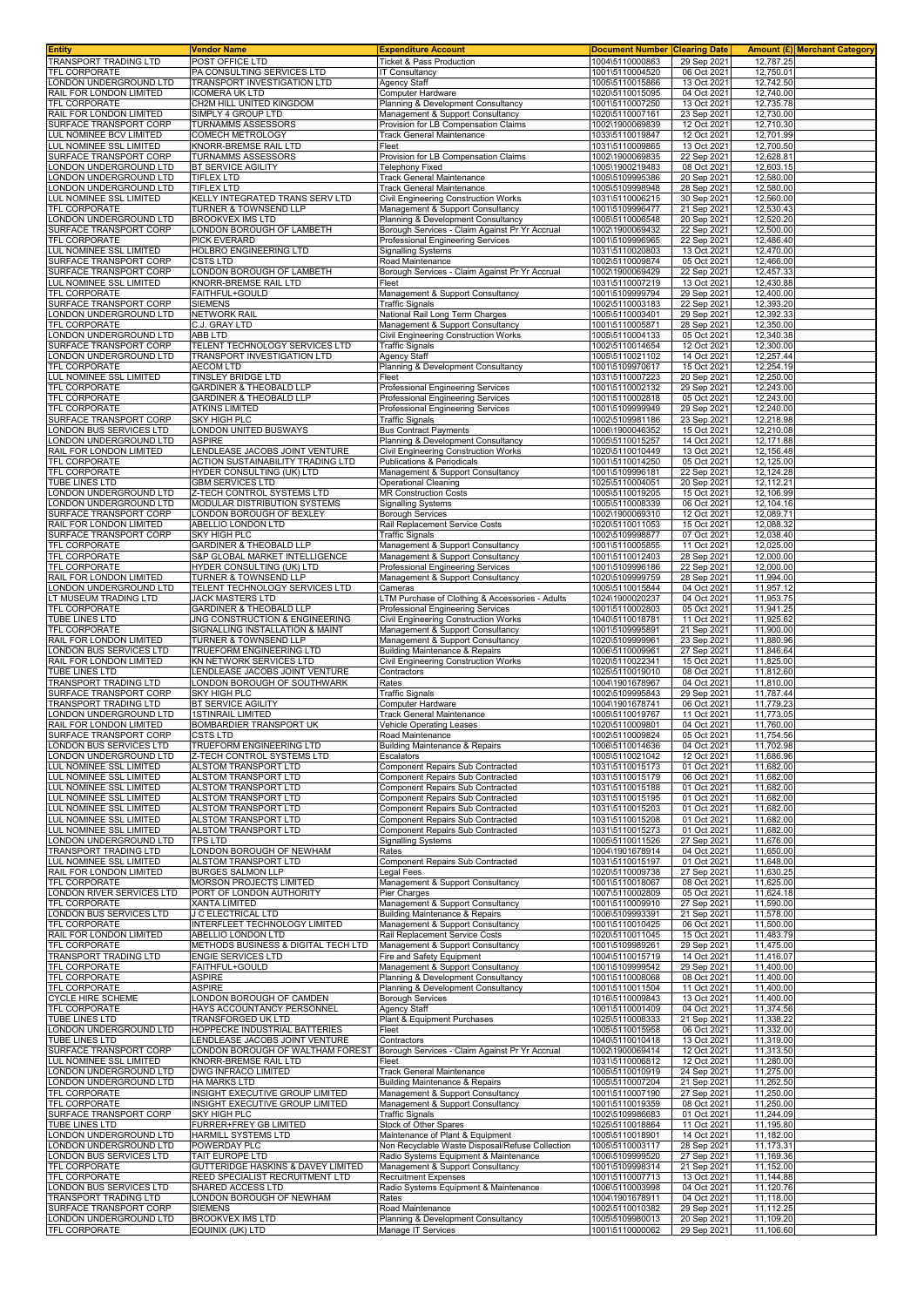| <b>Entity</b>                                         | <b>Vendor Name</b>                                                        | <b>Expenditure Account</b><br><b>Ticket &amp; Pass Production</b>        | <b>Document Number Clearing Date</b><br>1004\5110000863 |                            | <b>Amount (£)</b> Merchant Category<br>12.787.25 |
|-------------------------------------------------------|---------------------------------------------------------------------------|--------------------------------------------------------------------------|---------------------------------------------------------|----------------------------|--------------------------------------------------|
| TRANSPORT TRADING LTD<br>TFL CORPORATE                | POST OFFICE LTD<br>PA CONSULTING SERVICES LTD                             | <b>IT Consultancy</b>                                                    | 1001\5110004520                                         | 29 Sep 2021<br>06 Oct 2021 | 12,750.01                                        |
| LONDON UNDERGROUND LTD                                | TRANSPORT INVESTIGATION LTD                                               | Agency Staff                                                             | 1005\5110015866                                         | 13 Oct 2021                | 12,742.50                                        |
| RAIL FOR LONDON LIMITED                               | <b>ICOMERA UK LTD</b>                                                     | Computer Hardware                                                        | 1020\5110015095                                         | 04 Oct 2021                | 12,740.00                                        |
| TFL CORPORATE                                         | CH2M HILL UNITED KINGDOM                                                  | Planning & Development Consultancy                                       | 1001\5110007250                                         | 13 Oct 2021                | 12,735.78                                        |
| RAIL FOR LONDON LIMITED                               | SIMPLY 4 GROUP LTD                                                        | Management & Support Consultancy                                         | 1020\5110007161                                         | 23 Sep 2021                | 12,730.00                                        |
| SURFACE TRANSPORT CORP<br>LUL NOMINEE BCV LIMITED     | TURNAMMS ASSESSORS<br>COMECH METROLOGY                                    | Provision for LB Compensation Claims                                     | 1002\1900069839                                         | 12 Oct 2021                | 12,710.30<br>12,701.99                           |
| LUL NOMINEE SSL LIMITED                               | KNORR-BREMSE RAIL LTD                                                     | Track General Maintenance<br>Fleet                                       | 1033\5110019847<br>1031\5110009865                      | 12 Oct 2021<br>13 Oct 2021 | 12,700.50                                        |
| SURFACE TRANSPORT CORP                                | TURNAMMS ASSESSORS                                                        | Provision for LB Compensation Claims                                     | 1002\1900069835                                         | 22 Sep 2021                | 12,628.81                                        |
| ONDON UNDERGROUND LTD                                 | BT SERVICE AGILITY                                                        | <b>Felephony Fixed</b>                                                   | 1005\1900219483                                         | 08 Oct 2021                | 12,603.15                                        |
| ONDON UNDERGROUND LTD                                 | <b>TIFLEX LTD</b>                                                         | Track General Maintenance                                                | 1005\5109995386                                         | 20 Sep 2021                | 12,580.00                                        |
| ONDON UNDERGROUND LTD                                 | TIFLEX LTD                                                                | Track General Maintenance                                                | 1005\5109998948                                         | 28 Sep 2021                | 12,580.00                                        |
| UL NOMINEE SSL LIMITED<br>TFL CORPORATE               | <b>KELLY INTEGRATED TRANS SERV LTD</b><br>TURNER & TOWNSEND LLP           | Civil Engineering Construction Works<br>Management & Support Consultancy | 1031\5110006215<br>1001\5109996477                      | 30 Sep 2021<br>21 Sep 2021 | 12,560.00<br>12,530.43                           |
| ONDON UNDERGROUND LTD                                 | <b>BROOKVEX IMS LTD</b>                                                   | Planning & Development Consultancy                                       | 1005\5110006548                                         | 20 Sep 2021                | 12,520.20                                        |
| SURFACE TRANSPORT CORP                                | ONDON BOROUGH OF LAMBETH                                                  | Borough Services - Claim Against Pr Yr Accrual                           | 1002\1900069432                                         | 22 Sep 2021                | 12,500.00                                        |
| TFL CORPORATE                                         | PICK EVERARD                                                              | Professional Engineering Services                                        | 1001\5109996965                                         | 22 Sep 2021                | 12,486.40                                        |
| LUL NOMINEE SSL LIMITED                               | HOLBRO ENGINEERING LTD                                                    | <b>Signalling Systems</b>                                                | 1031\5110020803                                         | 13 Oct 2021                | 12.470.00                                        |
| SURFACE TRANSPORT CORP<br>SURFACE TRANSPORT CORP      | CSTS LTD<br>ONDON BOROUGH OF LAMBETH                                      | Road Maintenance<br>Borough Services - Claim Against Pr Yr Accrual       | 1002\5110009874<br>1002\1900069429                      | 05 Oct 2021<br>22 Sep 2021 | 12,466.00<br>12,457.33                           |
| LUL NOMINEE SSL LIMITED                               | <b>KNORR-BREMSE RAIL LTD</b>                                              | Fleet                                                                    | 1031\5110007219                                         | 13 Oct 2021                | 12,430.88                                        |
| TFL CORPORATE                                         | FAITHFUL+GOULD                                                            | Management & Support Consultancy                                         | 1001\5109999794                                         | 29 Sep 2021                | 12,400.00                                        |
| SURFACE TRANSPORT CORP                                | <b>SIEMENS</b>                                                            | Traffic Signals                                                          | 1002\5110003183                                         | 22 Sep 2021                | 12,393.20                                        |
| ONDON UNDERGROUND LTD                                 | <b>NETWORK RAIL</b>                                                       | National Rail Long Term Charges                                          | 1005\5110003401                                         | 29 Sep 2021                | 12,392.33                                        |
| TFL CORPORATE<br>ONDON UNDERGROUND LTD                | C.J. GRAY LTD<br>ABB LTD                                                  | Management & Support Consultancy<br>Civil Engineering Construction Works | 1001\5110005871<br>1005\5110004133                      | 28 Sep 2021<br>05 Oct 2021 | 12,350.00<br>12,340.38                           |
| SURFACE TRANSPORT CORP                                | TELENT TECHNOLOGY SERVICES LTD                                            | <b>Traffic Signals</b>                                                   | 1002\5110014654                                         | 12 Oct 2021                | 12,300.00                                        |
| ONDON UNDERGROUND LTD                                 | TRANSPORT INVESTIGATION LTD                                               | Agency Staff                                                             | 1005\5110021102                                         | 14 Oct 2021                | 12,257.44                                        |
| <b>TFL CORPORATE</b>                                  | <b>AECOM LTD</b>                                                          | Planning & Development Consultancy                                       | 1001\5109970617                                         | 15 Oct 2021                | 12,254.19                                        |
| LUL NOMINEE SSL LIMITED                               | <b>TINSLEY BRIDGE LTD</b>                                                 | Fleet                                                                    | 1031\5110007223                                         | 20 Sep 202                 | 12,250.00                                        |
| <b>TFL CORPORATE</b><br>TFL CORPORATE                 | <b>GARDINER &amp; THEOBALD LLP</b><br><b>GARDINER &amp; THEOBALD LLP</b>  | Professional Engineering Services<br>Professional Engineering Services   | 1001\5110002132<br>1001\5110002818                      | 29 Sep 2021<br>05 Oct 2021 | 12,243.00<br>12,243.00                           |
| TFL CORPORATE                                         | <b>ATKINS LIMITED</b>                                                     | Professional Engineering Services                                        | 1001\5109999949                                         | 29 Sep 2021                | 12,240.00                                        |
| SURFACE TRANSPORT CORP                                | SKY HIGH PLC                                                              | Traffic Signals                                                          | 1002\5109981186                                         | 23 Sep 202                 | 12,218.98                                        |
| LONDON BUS SERVICES LTD                               | ONDON UNITED BUSWAYS                                                      | <b>Bus Contract Payments</b>                                             | 1006\1900046352                                         | 15 Oct 2021                | 12,210.08                                        |
| ONDON UNDERGROUND LTD                                 | <b>ASPIRE</b>                                                             | Planning & Development Consultancy                                       | 1005\5110015257                                         | 14 Oct 2021                | 12,171.88                                        |
| RAIL FOR LONDON LIMITED<br>TFL CORPORATE              | ENDLEASE JACOBS JOINT VENTURE<br><b>ACTION SUSTAINABILITY TRADING LTD</b> | Civil Engineering Construction Works<br>Publications & Periodicals       | 1020\5110010449<br>1001\5110014250                      | 13 Oct 2021<br>05 Oct 2021 | 12,156.48<br>12,125.00                           |
| TFL CORPORATE                                         | HYDER CONSULTING (UK) LTD                                                 | Management & Support Consultancy                                         | 1001\5109996181                                         | 22 Sep 2021                | 12,124.28                                        |
| <b>TUBE LINES LTD</b>                                 | <b>GBM SERVICES LTD</b>                                                   | <b>Operational Cleaning</b>                                              | 1025\5110004051                                         | 20 Sep 2021                | 12,112.21                                        |
| ONDON UNDERGROUND LTD                                 | Z-TECH CONTROL SYSTEMS LTD                                                | <b>MR Construction Costs</b>                                             | 1005\5110019205                                         | 15 Oct 2021                | 12,106.99                                        |
| ONDON UNDERGROUND LTD                                 | MODULAR DISTRIBUTION SYSTEMS                                              | Signalling Systems                                                       | 1005\5110008339                                         | 06 Oct 202                 | 12,104.16                                        |
| SURFACE TRANSPORT CORP<br>RAIL FOR LONDON LIMITED     | LONDON BOROUGH OF BEXLEY<br>ABELLIO LONDON LTD                            | <b>Borough Services</b><br>Rail Replacement Service Costs                | 1002\1900069310<br>1020\5110011053                      | 12 Oct 2021<br>15 Oct 2021 | 12,089.71<br>12,088.32                           |
| SURFACE TRANSPORT CORP                                | SKY HIGH PLC                                                              | <b>Traffic Signals</b>                                                   | 1002\5109998877                                         | 07 Oct 2021                | 12,038.40                                        |
| TFL CORPORATE                                         | GARDINER & THEOBALD LLP                                                   | Management & Support Consultancy                                         | 1001\5110005855                                         | 11 Oct 2021                | 12,025.00                                        |
| TFL CORPORATE                                         | S&P GLOBAL MARKET INTELLIGENCE                                            | Management & Support Consultancy                                         | 1001\5110012403                                         | 28 Sep 2021                | 12,000.00                                        |
| TFL CORPORATE                                         | HYDER CONSULTING (UK) LTD                                                 | Professional Engineering Services                                        | 1001\5109996186                                         | 22 Sep 2021                | 12,000.00                                        |
| RAIL FOR LONDON LIMITED                               | <b>TURNER &amp; TOWNSEND LLP</b>                                          | Management & Support Consultancy                                         | 1020\5109999759                                         | 28 Sep 2021                | 11,994.00                                        |
| LONDON UNDERGROUND LTD<br>T MUSEUM TRADING LTD        | TELENT TECHNOLOGY SERVICES LTD<br>JACK MASTERS LTD                        | Cameras<br>LTM Purchase of Clothing & Accessories - Adults               | 1005\5110015844<br>1024\1900020237                      | 04 Oct 2021<br>04 Oct 2021 | 11,957.12<br>11,953.75                           |
| TFL CORPORATE                                         | <b>GARDINER &amp; THEOBALD LLP</b>                                        | Professional Engineering Services                                        | 1001\5110002803                                         | 05 Oct 2021                | 11,941.25                                        |
| TUBE LINES LTD                                        | JNG CONSTRUCTION & ENGINEERING                                            | Civil Engineering Construction Works                                     | 1040\5110018781                                         | 11 Oct 2021                | 11,925.62                                        |
| TFL CORPORATE                                         | SIGNALLING INSTALLATION & MAINT                                           | Management & Support Consultancy                                         | 1001\5109995891                                         | 21 Sep 2021                | 11,900.00                                        |
| RAIL FOR LONDON LIMITED                               | <b>TURNER &amp; TOWNSEND LLP</b><br>TRUEFORM ENGINEERING LTD              | Management & Support Consultancy<br>Building Maintenance & Repairs       | 1020\5109999961<br>1006\5110009961                      | 23 Sep 2021<br>27 Sep 2021 | 11,880.96<br>11.846.64                           |
| LONDON BUS SERVICES LTD<br>RAIL FOR LONDON LIMITED    | KN NETWORK SERVICES LTD                                                   | Civil Engineering Construction Works                                     | 1020\5110022341                                         | 15 Oct 2021                | 11,825.00                                        |
| TUBE LINES LTD                                        | ENDLEASE JACOBS JOINT VENTURE                                             | Contractors                                                              | 1025\5110019010                                         | 08 Oct 2021                | 11,812.60                                        |
| TRANSPORT TRADING LTD                                 | ONDON BOROUGH OF SOUTHWARK                                                | Rates                                                                    | 1004\1901678967                                         | 04 Oct 2021                | 11,810.00                                        |
| SURFACE TRANSPORT CORP                                | SKY HIGH PLC                                                              | Traffic Signals                                                          | 1002\5109995843                                         | 29 Sep 2021                | 11.787.44                                        |
| <b>TRANSPORT TRADING LTD</b><br>ONDON UNDERGROUND LTD | BT SERVICE AGILITY<br><b>1STINRAIL LIMITED</b>                            | Computer Hardware                                                        | 1004\1901678741                                         | 06 Oct 202<br>11 Oct 202   | 11,779.23<br>11,773.05                           |
| RAIL FOR LONDON LIMITED                               | <b>BOMBARDIER TRANSPORT UK</b>                                            | Track General Maintenance<br>Vehicle Operating Leases                    | 1005\5110019767<br>1020\5110009801                      | 04 Oct 2021                | 11.760.00                                        |
| SURFACE TRANSPORT CORP                                | CSTS LTD                                                                  | Road Maintenance                                                         | 1002\5110009824                                         | 05 Oct 2021                | 11,754.56                                        |
| LONDON BUS SERVICES LTD                               | TRUEFORM ENGINEERING LTD                                                  | Building Maintenance & Repairs                                           | 1006\5110014636                                         | 04 Oct 2021                | 11,702.98                                        |
| LONDON UNDERGROUND LTD                                | Z-TECH CONTROL SYSTEMS LTD                                                | Escalators                                                               | 1005\5110021042                                         | 12 Oct 2021                | 11,686.96                                        |
| LUL NOMINEE SSL LIMITED<br>LUL NOMINEE SSL LIMITED    | ALSTOM TRANSPORT LTD<br>ALSTOM TRANSPORT LTD                              | Component Repairs Sub Contracted<br>Component Repairs Sub Contracted     | 1031\5110015173<br>1031\5110015179                      | 01 Oct 2021<br>06 Oct 2021 | 11,682.00<br>11,682.00                           |
| LUL NOMINEE SSL LIMITED                               | <b>ALSTOM TRANSPORT LTD</b>                                               | <b>Component Repairs Sub Contracted</b>                                  | 1031\5110015188                                         | 01 Oct 202                 | 11,682.00                                        |
| LUL NOMINEE SSL LIMITED                               | ALSTOM TRANSPORT LTD                                                      | Component Repairs Sub Contracted                                         | 1031\5110015195                                         | 01 Oct 2021                | 11,682.00                                        |
| LUL NOMINEE SSL LIMITED                               | ALSTOM TRANSPORT LTD                                                      | Component Repairs Sub Contracted                                         | 1031\5110015203                                         | 01 Oct 2021                | 11,682.00                                        |
| LUL NOMINEE SSL LIMITED                               | ALSTOM TRANSPORT LTD                                                      | Component Repairs Sub Contracted                                         | 1031\5110015208                                         | 01 Oct 2021                | 11,682.00                                        |
| LUL NOMINEE SSL LIMITED<br>LONDON UNDERGROUND LTD     | ALSTOM TRANSPORT LTD<br><b>TPS LTD</b>                                    | Component Repairs Sub Contracted<br><b>Signalling Systems</b>            | 1031\5110015273<br>1005\5110011526                      | 01 Oct 2021<br>27 Sep 2021 | 11,682.00<br>11,676.00                           |
| TRANSPORT TRADING LTD                                 | ONDON BOROUGH OF NEWHAM                                                   | Rates                                                                    | 1004\1901678914                                         | 04 Oct 2021                | 11,650.00                                        |
| LUL NOMINEE SSL LIMITED                               | ALSTOM TRANSPORT LTD                                                      | Component Repairs Sub Contracted                                         | 1031\5110015197                                         | 01 Oct 2021                | 11,648.00                                        |
| RAIL FOR LONDON LIMITED                               | BURGES SALMON LLP                                                         | Legal Fees                                                               | 1020\5110009738                                         | 27 Sep 2021                | 11,630.25                                        |
| TFL CORPORATE<br>LONDON RIVER SERVICES LTD            | MORSON PROJECTS LIMITED<br>PORT OF LONDON AUTHORITY                       | Management & Support Consultancy<br>Pier Charges                         | 1001\5110018067<br>1007\5110002809                      | 08 Oct 2021<br>05 Oct 2021 | 11,625.00<br>11.624.18                           |
| TFL CORPORATE                                         | XANTA LIMITED                                                             | Management & Support Consultancy                                         | 1001\5110009910                                         | 27 Sep 2021                | 11,590.00                                        |
| LONDON BUS SERVICES LTD                               | J C ELECTRICAL LTD                                                        | <b>Building Maintenance &amp; Repairs</b>                                | 1006\5109993391                                         | 21 Sep 2021                | 11,578.00                                        |
| TFL CORPORATE                                         | INTERFLEET TECHNOLOGY LIMITED                                             | Management & Support Consultancy                                         | 1001\5110010425                                         | 06 Oct 2021                | 11,500.00                                        |
| RAIL FOR LONDON LIMITED                               | ABELLIO LONDON LTD                                                        | Rail Replacement Service Costs                                           | 1020\5110011045                                         | 15 Oct 2021                | 11,483.79                                        |
| TFL CORPORATE<br>TRANSPORT TRADING LTD                | METHODS BUSINESS & DIGITAL TECH LTD<br>ENGIE SERVICES LTD                 | Management & Support Consultancy<br>Fire and Safety Equipment            | 1001\5109989261<br>1004\5110015719                      | 29 Sep 2021<br>14 Oct 2021 | 11,475.00<br>11,416.07                           |
| TFL CORPORATE                                         | FAITHFUL+GOULD                                                            | Management & Support Consultancy                                         | 1001\5109999542                                         | 29 Sep 2021                | 11,400.00                                        |
| TFL CORPORATE                                         | <b>ASPIRE</b>                                                             | Planning & Development Consultancy                                       | 1001\5110008068                                         | 08 Oct 2021                | 11,400.00                                        |
| TFL CORPORATE                                         | ASPIRE                                                                    | Planning & Development Consultancy                                       | 1001\5110011504                                         | 11 Oct 2021                | 11,400.00                                        |
| <b>CYCLE HIRE SCHEME</b><br><b>TFL CORPORATE</b>      | ONDON BOROUGH OF CAMDEN                                                   | <b>Borough Services</b>                                                  | 1016\5110009843                                         | 13 Oct 2021                | 11,400.00                                        |
| TUBE LINES LTD                                        | HAYS ACCOUNTANCY PERSONNEL<br>TRANSFORGED UK LTD                          | Agency Staff<br>Plant & Equipment Purchases                              | 1001\5110001409<br>1025\5110008333                      | 04 Oct 2021<br>21 Sep 2021 | 11,374.56<br>11,338.22                           |
| LONDON UNDERGROUND LTD                                | HOPPECKE INDUSTRIAL BATTERIES                                             | Fleet                                                                    | 1005\5110015958                                         | 06 Oct 2021                | 11,332.00                                        |
| TUBE LINES LTD                                        | LENDLEASE JACOBS JOINT VENTURE                                            | Contractors                                                              | 1040\5110010418                                         | 13 Oct 2021                | 11,319.00                                        |
| SURFACE TRANSPORT CORP                                | ONDON BOROUGH OF WALTHAM FOREST                                           | Borough Services - Claim Against Pr Yr Accrual                           | 1002\1900069414                                         | 12 Oct 2021                | 11,313.50                                        |
| LUL NOMINEE SSL LIMITED<br>LONDON UNDERGROUND LTD     | KNORR-BREMSE RAIL LTD<br>DWG INFRACO LIMITED                              | Fleet<br><b>Track General Maintenance</b>                                | 1031\5110006812<br>1005\5110010919                      | 12 Oct 2021<br>24 Sep 2021 | 11,280.00<br>11,275.00                           |
| ONDON UNDERGROUND LTD                                 | HA MARKS LTD                                                              | <b>Building Maintenance &amp; Repairs</b>                                | 1005\5110007204                                         | 21 Sep 2021                | 11,262.50                                        |
| TFL CORPORATE                                         | INSIGHT EXECUTIVE GROUP LIMITED                                           | Management & Support Consultancy                                         | 1001\5110007190                                         | 27 Sep 2021                | 11,250.00                                        |
| TFL CORPORATE                                         | INSIGHT EXECUTIVE GROUP LIMITED                                           | Management & Support Consultancy                                         | 1001\5110019359                                         | 08 Oct 2021                | 11,250.00                                        |
| SURFACE TRANSPORT CORP                                | SKY HIGH PLC                                                              | Traffic Signals                                                          | 1002\5109986683                                         | 01 Oct 2021                | 11,244.09                                        |
| TUBE LINES LTD<br>LONDON UNDERGROUND LTD              | <b>FURRER+FREY GB LIMITED</b><br>HARMILL SYSTEMS LTD                      | Stock of Other Spares<br>Maintenance of Plant & Equipment                | 1025\5110018864<br>1005\5110018901                      | 11 Oct 2021<br>14 Oct 2021 | 11,195.80<br>11,182.00                           |
| LONDON UNDERGROUND LTD                                | POWERDAY PLC                                                              | Non Recyclable Waste Disposal/Refuse Collection                          | 1005\5110003117                                         | 28 Sep 2021                | 11,173.31                                        |
| LONDON BUS SERVICES LTD                               | TAIT EUROPE LTD                                                           | Radio Systems Equipment & Maintenance                                    | 1006\5109999520                                         | 27 Sep 2021                | 11,169.36                                        |
| TFL CORPORATE                                         | GUTTERIDGE HASKINS & DAVEY LIMITED                                        | Management & Support Consultancy                                         | 1001\5109998314                                         | 21 Sep 2021                | 11,152.00                                        |
| <b>TFL CORPORATE</b>                                  | REED SPECIALIST RECRUITMENT LTD                                           | <b>Recruitment Expenses</b>                                              | 1001\5110007713                                         | 13 Oct 2021                | 11,144.88                                        |
| LONDON BUS SERVICES LTD<br>TRANSPORT TRADING LTD      | SHARED ACCESS LTD<br>ONDON BOROUGH OF NEWHAM                              | Radio Systems Equipment & Maintenance<br>Rates                           | 1006\5110003998<br>1004\1901678911                      | 04 Oct 2021<br>04 Oct 2021 | 11,120.76<br>11,118.00                           |
| SURFACE TRANSPORT CORP                                | <b>SIEMENS</b>                                                            | Road Maintenance                                                         | 1002\5110010382                                         | 29 Sep 2021                | 11,112.25                                        |
| ONDON UNDERGROUND LTD                                 | <b>BROOKVEX IMS LTD</b>                                                   | Planning & Development Consultancy                                       | 1005\5109980013                                         | 20 Sep 2021                | 11,109.20                                        |
| TFL CORPORATE                                         | EQUINIX (UK) LTD                                                          | Manage IT Services                                                       | 1001\5110000062                                         | 29 Sep 2021                | 11,106.60                                        |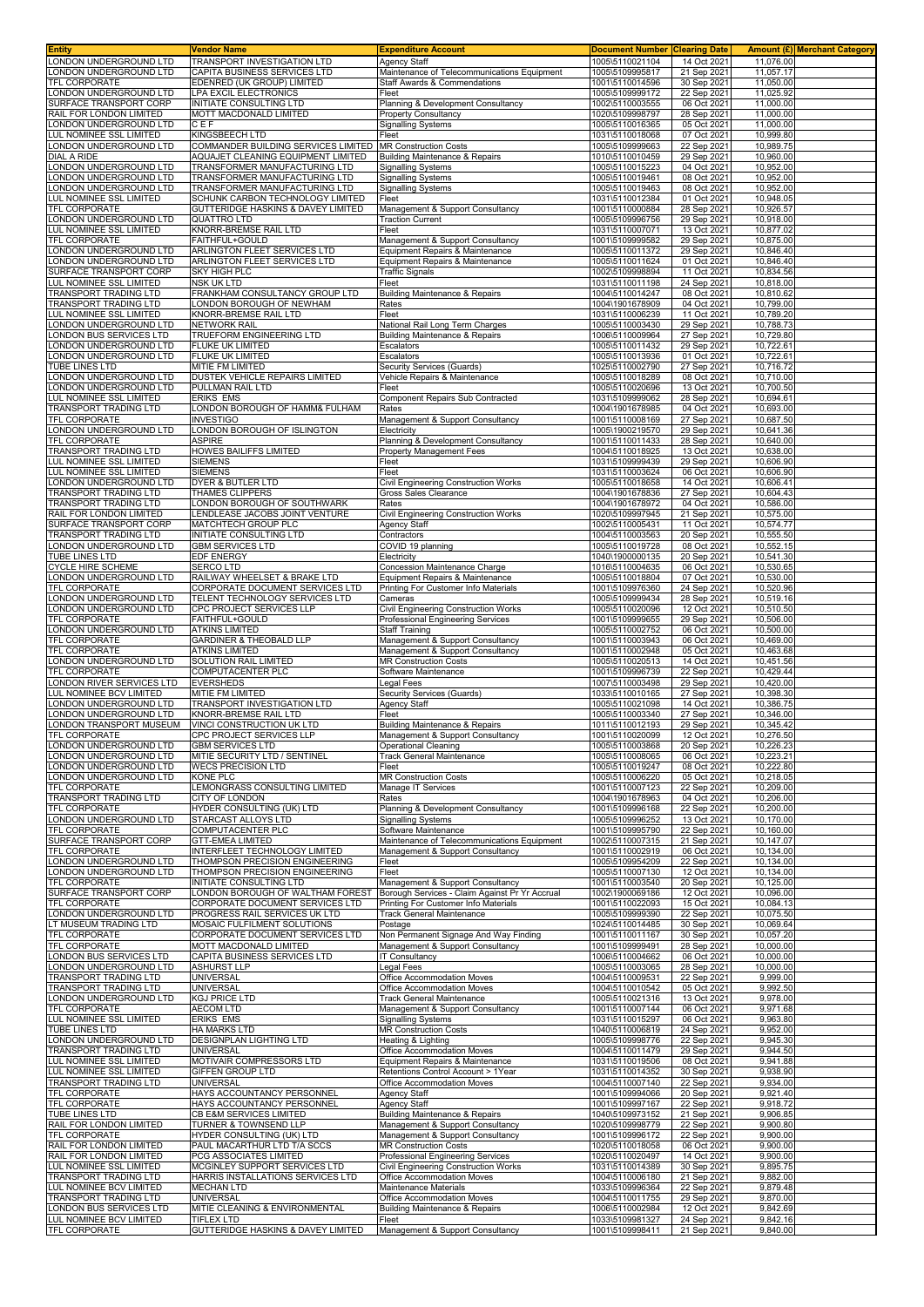| <b>Entity</b>                                      | <b>Vendor Name</b>                                                        | <b>Expenditure Account</b>                                                  | <b>Document Number</b>             | <b>Clearing Date</b>       |                        | Amount (£) Merchant Category |
|----------------------------------------------------|---------------------------------------------------------------------------|-----------------------------------------------------------------------------|------------------------------------|----------------------------|------------------------|------------------------------|
| LONDON UNDERGROUND LTD                             | TRANSPORT INVESTIGATION LTD                                               | Agency Staff                                                                | 1005\5110021104                    | 14 Oct 2021                | 11,076.00              |                              |
| ONDON UNDERGROUND LTD<br><b>TFL CORPORATE</b>      | CAPITA BUSINESS SERVICES LTD<br>EDENRED (UK GROUP) LIMITED                | Maintenance of Telecommunications Equipment<br>Staff Awards & Commendations | 1005\5109995817<br>1001\5110014596 | 21 Sep 2021<br>30 Sep 2021 | 11,057.17<br>11,050.00 |                              |
| ONDON UNDERGROUND LTD                              | LPA EXCIL ELECTRONICS                                                     | Fleet                                                                       | 1005\5109999172                    | 22 Sep 2021                | 11,025.92              |                              |
| SURFACE TRANSPORT CORP                             | <b>INITIATE CONSULTING LTD</b>                                            | Planning & Development Consultancy                                          | 1002\5110003555                    | 06 Oct 2021                | 11,000.00              |                              |
| RAIL FOR LONDON LIMITED                            | MOTT MACDONALD LIMITED                                                    | <b>Property Consultancy</b>                                                 | 1020\5109998797                    | 28 Sep 2021                | 11,000.00              |                              |
| ONDON UNDERGROUND LTD                              | CEF                                                                       | <b>Signalling Systems</b>                                                   | 1005\5110016365                    | 05 Oct 2021                | 11,000.00              |                              |
| UL NOMINEE SSL LIMITED                             | KINGSBEECH LTD                                                            | Fleet                                                                       | 1031\5110018068                    | 07 Oct 2021                | 10,999.80              |                              |
| ONDON UNDERGROUND LTD<br>DIAL A RIDE               | COMMANDER BUILDING SERVICES LIMITED<br>AQUAJET CLEANING EQUIPMENT LIMITED | <b>MR Construction Costs</b><br>Building Maintenance & Repairs              | 1005\5109999663<br>1010\5110010459 | 22 Sep 2021<br>29 Sep 2021 | 10,989.75<br>10,960.00 |                              |
| ONDON UNDERGROUND LTD                              | TRANSFORMER MANUFACTURING LTD                                             | Signalling Systems                                                          | 1005\5110015223                    | 04 Oct 2021                | 10,952.00              |                              |
| ONDON UNDERGROUND LTD                              | TRANSFORMER MANUFACTURING LTD                                             | Signalling Systems                                                          | 1005\5110019461                    | 08 Oct 2021                | 10,952.00              |                              |
| ONDON UNDERGROUND LTD                              | TRANSFORMER MANUFACTURING LTD                                             | Signalling Systems                                                          | 1005\5110019463                    | 08 Oct 2021                | 10,952.00              |                              |
| <b>UL NOMINEE SSL LIMITED</b>                      | SCHUNK CARBON TECHNOLOGY LIMITED                                          | Fleet                                                                       | 1031\5110012384                    | 01 Oct 2021                | 10,948.05              |                              |
| TFL CORPORATE<br>ONDON UNDERGROUND LTD             | GUTTERIDGE HASKINS & DAVEY LIMITED<br><b>QUATTRO LTD</b>                  | Management & Support Consultancy<br><b>Traction Current</b>                 | 1001\5110000884<br>1005\5109996756 | 28 Sep 2021<br>29 Sep 2021 | 10,926.57<br>10,918.00 |                              |
| LUL NOMINEE SSL LIMITED                            | KNORR-BREMSE RAIL LTD                                                     | Fleet                                                                       | 1031\5110007071                    | 13 Oct 2021                | 10,877.02              |                              |
| TFL CORPORATE                                      | <b>FAITHFUL+GOULD</b>                                                     | Management & Support Consultancy                                            | 1001\5109999582                    | 29 Sep 2021                | 10,875.00              |                              |
| ONDON UNDERGROUND LTD                              | ARLINGTON FLEET SERVICES LTD                                              | Equipment Repairs & Maintenance                                             | 1005\5110011372                    | 29 Sep 2021                | 10,846.40              |                              |
| LONDON UNDERGROUND LTD<br>SURFACE TRANSPORT CORP   | ARLINGTON FLEET SERVICES LTD<br><b>SKY HIGH PLC</b>                       | Equipment Repairs & Maintenance                                             | 1005\5110011624<br>1002\5109998894 | 01 Oct 2021<br>11 Oct 2021 | 10,846.40<br>10,834.56 |                              |
| LUL NOMINEE SSL LIMITED                            | <b>NSK UK LTD</b>                                                         | <b>Traffic Signals</b><br>Fleet                                             | 1031\5110011198                    | 24 Sep 2021                | 10,818.00              |                              |
| TRANSPORT TRADING LTD                              | FRANKHAM CONSULTANCY GROUP LTD                                            | Building Maintenance & Repairs                                              | 1004\5110014247                    | 08 Oct 2021                | 10,810.62              |                              |
| <b>TRANSPORT TRADING LTD</b>                       | LONDON BOROUGH OF NEWHAM                                                  | Rates                                                                       | 1004\1901678909                    | 04 Oct 2021                | 10,799.00              |                              |
| LUL NOMINEE SSL LIMITED                            | KNORR-BREMSE RAIL LTD                                                     | Fleet                                                                       | 1031\5110006239                    | 11 Oct 2021                | 10,789.20              |                              |
| LONDON UNDERGROUND LTD<br>ONDON BUS SERVICES LTD   | <b>NETWORK RAIL</b><br>TRUEFORM ENGINEERING LTD                           | National Rail Long Term Charges<br>Building Maintenance & Repairs           | 1005\5110003430<br>1006\5110009964 | 29 Sep 2021<br>27 Sep 2021 | 10,788.73<br>10,729.80 |                              |
| LONDON UNDERGROUND LTD                             | FLUKE UK LIMITED                                                          | Escalators                                                                  | 1005\5110011432                    | 29 Sep 2021                | 10,722.61              |                              |
| ONDON UNDERGROUND LTD                              | FLUKE UK LIMITED                                                          | Escalators                                                                  | 1005\5110013936                    | 01 Oct 2021                | 10,722.61              |                              |
| TUBE LINES LTD                                     | MITIE FM LIMITED                                                          | Security Services (Guards)                                                  | 1025\5110002790                    | 27 Sep 2021                | 10.716.72              |                              |
| ONDON UNDERGROUND LTD                              | DUSTEK VEHICLE REPAIRS LIMITED                                            | Vehicle Repairs & Maintenance                                               | 1005\5110018289                    | 08 Oct 2021                | 10,710.00              |                              |
| ONDON UNDERGROUND LTD<br>UL NOMINEE SSL LIMITED    | PULLMAN RAIL LTD<br><b>ERIKS EMS</b>                                      | Fleet<br>Component Repairs Sub Contracted                                   | 1005\5110020696<br>1031\5109999062 | 13 Oct 2021<br>28 Sep 2021 | 10,700.50<br>10,694.61 |                              |
| TRANSPORT TRADING LTD                              | ONDON BOROUGH OF HAMM& FULHAM                                             | Rates                                                                       | 1004\1901678985                    | 04 Oct 2021                | 10.693.00              |                              |
| <b>TFL CORPORATE</b>                               | <b>INVESTIGO</b>                                                          | Management & Support Consultancy                                            | 1001\5110008169                    | 27 Sep 2021                | 10,687.50              |                              |
| LONDON UNDERGROUND LTD                             | LONDON BOROUGH OF ISLINGTON                                               | Electricity                                                                 | 1005\1900219570                    | 29 Sep 2021                | 10,641.36              |                              |
| TFL CORPORATE<br>TRANSPORT TRADING LTD             | <b>ASPIRE</b><br><b>HOWES BAILIFFS LIMITED</b>                            | Planning & Development Consultancy<br>Property Management Fees              | 1001\5110011433<br>1004\5110018925 | 28 Sep 2021<br>13 Oct 2021 | 10,640.00<br>10,638.00 |                              |
| LUL NOMINEE SSL LIMITED                            | <b>SIEMENS</b>                                                            | Fleet                                                                       | 1031\5109999439                    | 29 Sep 2021                | 10,606.90              |                              |
| LUL NOMINEE SSL LIMITED                            | <b>SIEMENS</b>                                                            | Fleet                                                                       | 1031\5110003624                    | 06 Oct 2021                | 10,606.90              |                              |
| ONDON UNDERGROUND LTD                              | <b>DYER &amp; BUTLER LTD</b>                                              | Civil Engineering Construction Works                                        | 1005\5110018658                    | 14 Oct 2021                | 10,606.41              |                              |
| TRANSPORT TRADING LTD                              | THAMES CLIPPERS                                                           | Gross Sales Clearance                                                       | 1004\1901678836                    | 27 Sep 2021                | 10,604.43              |                              |
| TRANSPORT TRADING LTD<br>RAIL FOR LONDON LIMITED   | LONDON BOROUGH OF SOUTHWARK<br>ENDLEASE JACOBS JOINT VENTURE              | Rates<br>Civil Engineering Construction Works                               | 1004\1901678972<br>1020\5109997945 | 04 Oct 2021<br>21 Sep 2021 | 10,586.00<br>10,575.00 |                              |
| SURFACE TRANSPORT CORP                             | MATCHTECH GROUP PLC                                                       | Agency Staff                                                                | 1002\5110005431                    | 11 Oct 2021                | 10,574.77              |                              |
| TRANSPORT TRADING LTD                              | INITIATE CONSULTING LTD                                                   | Contractors                                                                 | 1004\5110003563                    | 20 Sep 2021                | 10,555.50              |                              |
| ONDON UNDERGROUND LTD                              | <b>GBM SERVICES LTD</b>                                                   | COVID 19 planning                                                           | 1005\5110019728                    | 08 Oct 2021                | 10,552.15              |                              |
| TUBE LINES LTD<br><b>CYCLE HIRE SCHEME</b>         | <b>EDF ENERGY</b><br><b>SERCO LTD</b>                                     | Electricity<br>Concession Maintenance Charge                                | 1040\1900000135<br>1016\5110004635 | 20 Sep 2021<br>06 Oct 2021 | 10,541.30<br>10,530.65 |                              |
| ONDON UNDERGROUND LTD                              | RAILWAY WHEELSET & BRAKE LTD                                              | Equipment Repairs & Maintenance                                             | 1005\5110018804                    | 07 Oct 2021                | 10,530.00              |                              |
| TFL CORPORATE                                      | CORPORATE DOCUMENT SERVICES LTD                                           | Printing For Customer Info Materials                                        | 1001\5109976360                    | 24 Sep 2021                | 10,520.96              |                              |
| ONDON UNDERGROUND LTD                              | TELENT TECHNOLOGY SERVICES LTD                                            | Cameras                                                                     | 1005\5109999434                    | 28 Sep 2021                | 10,519.16              |                              |
| ONDON UNDERGROUND LTD<br>TFL CORPORATE             | CPC PROJECT SERVICES LLP<br>FAITHFUL+GOULD                                | Civil Engineering Construction Works<br>Professional Engineering Services   | 1005\5110020096<br>1001\5109999655 | 12 Oct 2021<br>29 Sep 2021 | 10,510.50<br>10,506.00 |                              |
| LONDON UNDERGROUND LTD                             | <b>ATKINS LIMITED</b>                                                     | <b>Staff Training</b>                                                       | 1005\5110002752                    | 06 Oct 2021                | 10,500.00              |                              |
| TFL CORPORATE                                      | <b>GARDINER &amp; THEOBALD LLP</b>                                        | Management & Support Consultancy                                            | 1001\5110003943                    | 06 Oct 2021                | 10,469.00              |                              |
| TFL CORPORATE                                      | <b>ATKINS LIMITED</b>                                                     | Management & Support Consultancy                                            | 1001\5110002948                    | 05 Oct 2021                | 10,463.68              |                              |
| ONDON UNDERGROUND LTD<br>TFL CORPORATE             | SOLUTION RAIL LIMITED<br>COMPUTACENTER PLC                                | <b>MR Construction Costs</b><br>Software Maintenance                        | 1005\5110020513<br>1001\5109996739 | 14 Oct 2021<br>22 Sep 2021 | 10,451.56<br>10,429.44 |                              |
| LONDON RIVER SERVICES LTD                          | <b>EVERSHEDS</b>                                                          | Legal Fees                                                                  | 1007\5110003498                    | 29 Sep 2021                | 10,420.00              |                              |
| LUL NOMINEE BCV LIMITED                            | MITIE FM LIMITED                                                          | Security Services (Guards)                                                  | 1033\5110010165                    | 27 Sep 2021                | 10,398.30              |                              |
| ONDON UNDERGROUND LTD<br>ONDON UNDERGROUND LTD     | TRANSPORT INVESTIGATION LTD<br>KNORR-BREMSE RAIL LTD                      | Agency Staff<br>Fleet                                                       | 1005\5110021098<br>1005\5110003340 | 14 Oct 2021<br>27 Sep 2021 | 10,386.75<br>10,346.00 |                              |
| ONDON TRANSPORT MUSEUM                             | VINCI CONSTRUCTION UK LTD                                                 | Building Maintenance & Repairs                                              | 1011\5110012193                    | 29 Sep 2021                | 10.345.42              |                              |
| TFL CORPORATE                                      | CPC PROJECT SERVICES LLP                                                  | Management & Support Consultancy                                            | 1001\5110020099                    | 12 Oct 2021                | 10,276.50              |                              |
| LONDON UNDERGROUND LTD                             | <b>IGBM SERVICES LTD</b><br>MITIE SECURITY LTD / SENTINEL                 | Operational Cleaning                                                        | 1005\5110003868<br>1005\5110008065 | 20 Sep 2021                | 10,226.23              |                              |
| LONDON UNDERGROUND LTD<br>LONDON UNDERGROUND LTD   | <b>WECS PRECISION LTD</b>                                                 | Track General Maintenance<br>Fleet                                          | 1005\5110019247                    | 06 Oct 2021<br>08 Oct 2021 | 10,223.21<br>10,222.80 |                              |
| ONDON UNDERGROUND LTD                              | <b>KONE PLC</b>                                                           | <b>MR Construction Costs</b>                                                | 1005\5110006220                    | 05 Oct 2021                | 10,218.05              |                              |
| TFL CORPORATE                                      | LEMONGRASS CONSULTING LIMITED                                             | Manage IT Services                                                          | 1001\5110007123                    | 22 Sep 2021                | 10,209.00              |                              |
| TRANSPORT TRADING LTD<br>TFL CORPORATE             | CITY OF LONDON<br>HYDER CONSULTING (UK) LTD                               | Rates<br>Planning & Development Consultancy                                 | 1004\1901678963<br>1001\5109996168 | 04 Oct 2021<br>22 Sep 2021 | 10,206.00<br>10,200.00 |                              |
| LONDON UNDERGROUND LTD                             | STARCAST ALLOYS LTD                                                       | <b>Signalling Systems</b>                                                   | 1005\5109996252                    | 13 Oct 2021                | 10,170.00              |                              |
| TFL CORPORATE                                      | <b>COMPUTACENTER PLC</b>                                                  | Software Maintenance                                                        | 1001\5109995790                    | 22 Sep 2021                | 10,160.00              |                              |
| SURFACE TRANSPORT CORP                             | <b>GTT-EMEA LIMITED</b>                                                   | Maintenance of Telecommunications Equipment                                 | 1002\5110007315                    | 21 Sep 2021                | 10,147.07              |                              |
| TFL CORPORATE<br>ONDON UNDERGROUND LTD             | INTERFLEET TECHNOLOGY LIMITED                                             | Management & Support Consultancy                                            | 1001\5110002919                    | 06 Oct 2021<br>22 Sep 2021 | 10,134.00              |                              |
| ONDON UNDERGROUND LTD                              | THOMPSON PRECISION ENGINEERING<br>THOMPSON PRECISION ENGINEERING          | Fleet<br>Fleet                                                              | 1005\5109954209<br>1005\5110007130 | 12 Oct 2021                | 10,134.00<br>10,134.00 |                              |
| TFL CORPORATE                                      | INITIATE CONSULTING LTD                                                   | Management & Support Consultancy                                            | 1001\5110003540                    | 20 Sep 2021                | 10,125.00              |                              |
| SURFACE TRANSPORT CORP                             | LONDON BOROUGH OF WALTHAM FOREST                                          | Borough Services - Claim Against Pr Yr Accrual                              | 1002\1900069186                    | 12 Oct 2021                | 10.096.00              |                              |
| TFL CORPORATE                                      | CORPORATE DOCUMENT SERVICES LTD<br>PROGRESS RAIL SERVICES UK LTD          | Printing For Customer Info Materials                                        | 1001\5110022093                    | 15 Oct 2021                | 10,084.13              |                              |
| LONDON UNDERGROUND LTD<br>T MUSEUM TRADING LTD     | MOSAIC FULFILMENT SOLUTIONS                                               | Track General Maintenance<br>Postage                                        | 1005\5109999390<br>1024\5110014485 | 22 Sep 2021<br>30 Sep 2021 | 10,075.50<br>10,069.64 |                              |
| TFL CORPORATE                                      | CORPORATE DOCUMENT SERVICES LTD                                           | Non Permanent Signage And Way Finding                                       | 1001\5110011167                    | 30 Sep 2021                | 10,057.20              |                              |
| TFL CORPORATE                                      | MOTT MACDONALD LIMITED                                                    | Management & Support Consultancy                                            | 1001\5109999491                    | 28 Sep 2021                | 10,000.00              |                              |
| LONDON BUS SERVICES LTD<br>ONDON UNDERGROUND LTD   | CAPITA BUSINESS SERVICES LTD<br><b>ASHURST LLP</b>                        | <b>IT Consultancy</b><br>Legal Fees                                         | 1006\5110004662<br>1005\5110003065 | 06 Oct 2021<br>28 Sep 2021 | 10,000.00<br>10,000.00 |                              |
| TRANSPORT TRADING LTD                              | <b>UNIVERSAL</b>                                                          | Office Accommodation Moves                                                  | 1004\5110009531                    | 22 Sep 2021                | 9,999.00               |                              |
| TRANSPORT TRADING LTD                              | <b>UNIVERSAL</b>                                                          | Office Accommodation Moves                                                  | 1004\5110010542                    | 05 Oct 2021                | 9,992.50               |                              |
| LONDON UNDERGROUND LTD                             | <b>KGJ PRICE LTD</b>                                                      | Track General Maintenance                                                   | 1005\5110021316                    | 13 Oct 2021                | 9,978.00               |                              |
| TFL CORPORATE<br>LUL NOMINEE SSL LIMITED           | <b>AECOM LTD</b><br><b>ERIKS EMS</b>                                      | Management & Support Consultancy<br>Signalling Systems                      | 1001\5110007144<br>1031\5110015297 | 06 Oct 2021<br>06 Oct 2021 | 9,971.68<br>9,963.80   |                              |
| TUBE LINES LTD                                     | <b>HA MARKS LTD</b>                                                       | <b>MR Construction Costs</b>                                                | 1040\5110006819                    | 24 Sep 2021                | 9,952.00               |                              |
| ONDON UNDERGROUND LTD                              | DESIGNPLAN LIGHTING LTD                                                   | Heating & Lighting                                                          | 1005\5109998776                    | 22 Sep 2021                | 9,945.30               |                              |
| TRANSPORT TRADING LTD                              | <b>UNIVERSAL</b><br>MOTIVAIR COMPRESSORS LTD                              | Office Accommodation Moves                                                  | 1004\5110011479<br>1031\5110019506 | 29 Sep 2021                | 9,944.50<br>9,941.88   |                              |
| LUL NOMINEE SSL LIMITED<br>LUL NOMINEE SSL LIMITED | <b>GIFFEN GROUP LTD</b>                                                   | Equipment Repairs & Maintenance<br>Retentions Control Account > 1Year       | 1031\5110014352                    | 08 Oct 2021<br>30 Sep 2021 | 9,938.90               |                              |
| <b>TRANSPORT TRADING LTD</b>                       | <b>UNIVERSAL</b>                                                          | Office Accommodation Moves                                                  | 1004\5110007140                    | 22 Sep 2021                | 9,934.00               |                              |
| TFL CORPORATE                                      | HAYS ACCOUNTANCY PERSONNEL                                                | Agency Staff                                                                | 1001\5109994066                    | 20 Sep 2021                | 9,921.40               |                              |
| <b>TFL CORPORATE</b><br>TUBE LINES LTD             | HAYS ACCOUNTANCY PERSONNEL<br><b>CB E&amp;M SERVICES LIMITED</b>          | Agency Staff<br><b>Building Maintenance &amp; Repairs</b>                   | 1001\5109997167<br>1040\5109973152 | 22 Sep 2021<br>21 Sep 2021 | 9,918.72<br>9,906.85   |                              |
| RAIL FOR LONDON LIMITED                            | TURNER & TOWNSEND LLP                                                     | Management & Support Consultancy                                            | 1020\5109998779                    | 22 Sep 2021                | 9,900.80               |                              |
| TFL CORPORATE                                      | HYDER CONSULTING (UK) LTD                                                 | Management & Support Consultancy                                            | 1001\5109996172                    | 22 Sep 2021                | 9,900.00               |                              |
| RAIL FOR LONDON LIMITED                            | PAUL MACARTHUR LTD T/A SCCS                                               | <b>MR Construction Costs</b>                                                | 1020\5110018058                    | 06 Oct 2021                | 9,900.00               |                              |
| RAIL FOR LONDON LIMITED<br>LUL NOMINEE SSL LIMITED | PCG ASSOCIATES LIMITED<br>MCGINLEY SUPPORT SERVICES LTD                   | Professional Engineering Services<br>Civil Engineering Construction Works   | 1020\5110020497<br>1031\5110014389 | 14 Oct 2021<br>30 Sep 2021 | 9,900.00<br>9,895.75   |                              |
| TRANSPORT TRADING LTD                              | HARRIS INSTALLATIONS SERVICES LTD                                         | Office Accommodation Moves                                                  | 1004\5110006180                    | 21 Sep 2021                | 9,882.00               |                              |
| LUL NOMINEE BCV LIMITED                            | <b>MECHAN LTD</b>                                                         | Maintenance Materials                                                       | 1033\5109996364                    | 22 Sep 2021                | 9,879.48               |                              |
| TRANSPORT TRADING LTD                              | <b>UNIVERSAL</b>                                                          | Office Accommodation Moves                                                  | 1004\5110011755                    | 29 Sep 2021                | 9,870.00               |                              |
| LONDON BUS SERVICES LTD                            | MITIE CLEANING & ENVIRONMENTAL<br><b>TIFLEX LTD</b>                       | Building Maintenance & Repairs<br>Fleet                                     | 1006\5110002984                    | 12 Oct 2021                | 9,842.69               |                              |
| LUL NOMINEE BCV LIMITED<br>TFL CORPORATE           | GUTTERIDGE HASKINS & DAVEY LIMITED                                        | Management & Support Consultancy                                            | 1033\5109981327<br>1001\5109998411 | 24 Sep 2021<br>21 Sep 2021 | 9,842.16<br>9,840.00   |                              |
|                                                    |                                                                           |                                                                             |                                    |                            |                        |                              |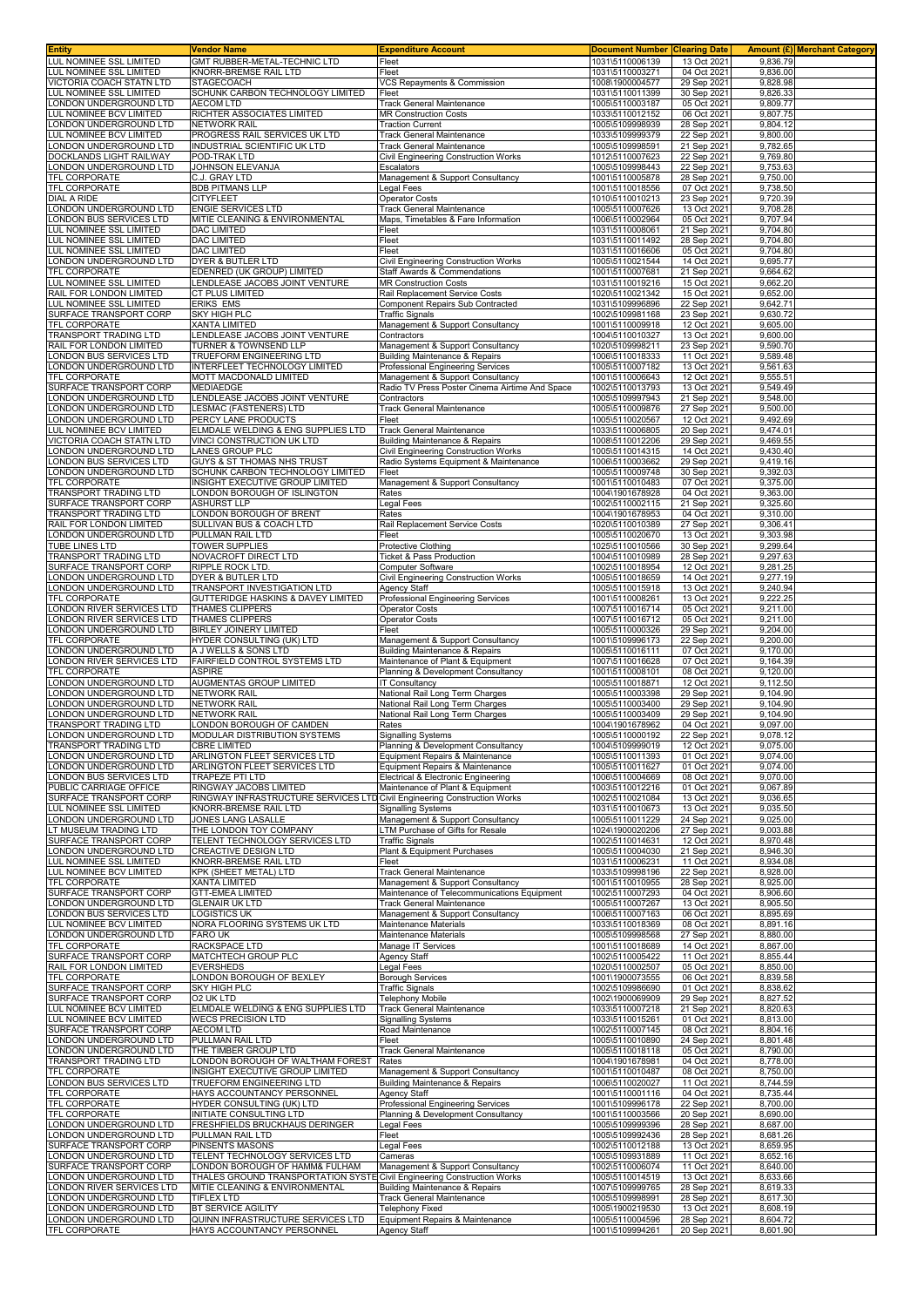| <b>Entity</b>                                       | Vendor Name                                                                                               | <b>Expenditure Account</b>                                                      | <b>Document Number Clearing Date</b> |                            |                      | Amount (£) Merchant Category |
|-----------------------------------------------------|-----------------------------------------------------------------------------------------------------------|---------------------------------------------------------------------------------|--------------------------------------|----------------------------|----------------------|------------------------------|
| LUL NOMINEE SSL LIMITED                             | GMT RUBBER-METAL-TECHNIC LTD                                                                              | Fleet                                                                           | 1031\5110006139                      | 13 Oct 2021                | 9,836.79             |                              |
| LUL NOMINEE SSL LIMITED<br>VICTORIA COACH STATN LTD | KNORR-BREMSE RAIL LTD<br><b>STAGECOACH</b>                                                                | Fleet<br>VCS Repayments & Commission                                            | 1031\5110003271<br>1008\1900004577   | 04 Oct 2021<br>29 Sep 2021 | 9,836.00<br>9,828.98 |                              |
| LUL NOMINEE SSL LIMITED                             | SCHUNK CARBON TECHNOLOGY LIMITED                                                                          | Fleet                                                                           | 1031\5110011399                      | 30 Sep 2021                | 9,826.33             |                              |
| LONDON UNDERGROUND LTD                              | <b>AECOM LTD</b>                                                                                          | Track General Maintenance                                                       | 1005\5110003187                      | 05 Oct 2021                | 9,809.77             |                              |
| LUL NOMINEE BCV LIMITED                             | RICHTER ASSOCIATES LIMITED                                                                                | <b>MR Construction Costs</b>                                                    | 1033\5110012152                      | 06 Oct 2021                | 9,807.75             |                              |
| LONDON UNDERGROUND LTD                              | <b>NETWORK RAIL</b>                                                                                       | <b>Traction Current</b>                                                         | 1005\5109998939                      | 28 Sep 2021                | 9,804.12             |                              |
| LUL NOMINEE BCV LIMITED<br>LONDON UNDERGROUND LTD   | PROGRESS RAIL SERVICES UK LTD<br>INDUSTRIAL SCIENTIFIC UK LTD                                             | Track General Maintenance<br>Track General Maintenance                          | 1033\5109999379<br>1005\5109998591   | 22 Sep 2021<br>21 Sep 2021 | 9,800.00<br>9,782.65 |                              |
| DOCKLANDS LIGHT RAILWAY                             | POD-TRAK LTD                                                                                              | Civil Engineering Construction Works                                            | 1012\5110007623                      | 22 Sep 2021                | 9,769.80             |                              |
| LONDON UNDERGROUND LTD                              | JOHNSON ELEVANJA                                                                                          | Escalators                                                                      | 1005\5109998443                      | 22 Sep 2021                | 9,753.63             |                              |
| TFL CORPORATE                                       | C.J. GRAY LTD                                                                                             | Management & Support Consultancy                                                | 1001\5110005878                      | 28 Sep 2021                | 9,750.00             |                              |
| TFL CORPORATE                                       | <b>BDB PITMANS LLP</b>                                                                                    | Legal Fees                                                                      | 1001\5110018556                      | 07 Oct 2021                | 9,738.50             |                              |
| DIAL A RIDE<br>LONDON UNDERGROUND LTD               | <b>CITYFLEET</b><br><b>ENGIE SERVICES LTD</b>                                                             | <b>Operator Costs</b><br><b>Track General Maintenance</b>                       | 1010\5110010213<br>1005\5110007626   | 23 Sep 2021<br>13 Oct 2021 | 9,720.39<br>9,708.28 |                              |
| LONDON BUS SERVICES LTD                             | MITIE CLEANING & ENVIRONMENTAL                                                                            | Maps, Timetables & Fare Information                                             | 1006\5110002964                      | 05 Oct 2021                | 9.707.94             |                              |
| LUL NOMINEE SSL LIMITED                             | <b>DAC LIMITED</b>                                                                                        | Fleet                                                                           | 1031\5110008061                      | 21 Sep 2021                | 9,704.80             |                              |
| LUL NOMINEE SSL LIMITED                             | <b>DAC LIMITED</b>                                                                                        | Fleet                                                                           | 1031\5110011492                      | 28 Sep 2021                | 9,704.80             |                              |
| LUL NOMINEE SSL LIMITED<br>LONDON UNDERGROUND LTD   | <b>DAC LIMITED</b><br><b>DYER &amp; BUTLER LTD</b>                                                        | Fleet<br>Civil Engineering Construction Works                                   | 1031\5110016606                      | 05 Oct 2021<br>14 Oct 2021 | 9,704.80<br>9,695.77 |                              |
| TFL CORPORATE                                       | EDENRED (UK GROUP) LIMITED                                                                                | <b>Staff Awards &amp; Commendations</b>                                         | 1005\5110021544<br>1001\5110007681   | 21 Sep 2021                | 9,664.62             |                              |
| LUL NOMINEE SSL LIMITED                             | LENDLEASE JACOBS JOINT VENTURE                                                                            | <b>MR Construction Costs</b>                                                    | 1031\5110019216                      | 15 Oct 2021                | 9,662.20             |                              |
| RAIL FOR LONDON LIMITED                             | CT PLUS LIMITED                                                                                           | Rail Replacement Service Costs                                                  | 1020\5110021342                      | 15 Oct 2021                | 9,652.00             |                              |
| LUL NOMINEE SSL LIMITED                             | <b>ERIKS EMS</b>                                                                                          | Component Repairs Sub Contracted                                                | 1031\5109996896                      | 22 Sep 2021                | 9,642.71             |                              |
| SURFACE TRANSPORT CORP<br>TFL CORPORATE             | SKY HIGH PLC<br><b>XANTA LIMITED</b>                                                                      | Traffic Signals<br>Management & Support Consultancy                             | 1002\5109981168<br>1001\5110009918   | 23 Sep 2021<br>12 Oct 2021 | 9,630.72<br>9,605.00 |                              |
| TRANSPORT TRADING LTD                               | LENDLEASE JACOBS JOINT VENTURE                                                                            | Contractors                                                                     | 1004\5110010327                      | 13 Oct 2021                | 9,600.00             |                              |
| RAIL FOR LONDON LIMITED                             | TURNER & TOWNSEND LLP                                                                                     | Management & Support Consultancy                                                | 1020\5109998211                      | 23 Sep 2021                | 9,590.70             |                              |
| LONDON BUS SERVICES LTD                             | TRUEFORM ENGINEERING LTD                                                                                  | Building Maintenance & Repairs                                                  | 1006\5110018333                      | 11 Oct 2021                | 9,589.48             |                              |
| LONDON UNDERGROUND LTD<br>TFL CORPORATE             | INTERFLEET TECHNOLOGY LIMITED                                                                             | Professional Engineering Services<br>Management & Support Consultancy           | 1005\5110007182<br>1001\5110006643   | 13 Oct 2021                | 9,561.63             |                              |
| SURFACE TRANSPORT CORP                              | MOTT MACDONALD LIMITED<br><b>MEDIAEDGE</b>                                                                | Radio TV Press Poster Cinema Airtime And Space                                  | 1002\5110013793                      | 12 Oct 2021<br>13 Oct 2021 | 9,555.51<br>9,549.49 |                              |
| LONDON UNDERGROUND LTD                              | LENDLEASE JACOBS JOINT VENTURE                                                                            | Contractors                                                                     | 1005\5109997943                      | 21 Sep 2021                | 9,548.00             |                              |
| LONDON UNDERGROUND LTD                              | LESMAC (FASTENERS) LTD                                                                                    | Track General Maintenance                                                       | 1005\5110009876                      | 27 Sep 2021                | 9,500.00             |                              |
| LONDON UNDERGROUND LTD                              | PERCY LANE PRODUCTS<br>ELMDALE WELDING & ENG SUPPLIES LTD                                                 | Fleet                                                                           | 1005\5110020567                      | 12 Oct 2021                | 9,492.69             |                              |
| LUL NOMINEE BCV LIMITED<br>VICTORIA COACH STATN LTD | VINCI CONSTRUCTION UK LTD                                                                                 | Track General Maintenance<br>Building Maintenance & Repairs                     | 1033\5110006805<br>1008\5110012206   | 20 Sep 2021<br>29 Sep 2021 | 9,474.01<br>9,469.55 |                              |
| LONDON UNDERGROUND LTD                              | LANES GROUP PLC                                                                                           | Civil Engineering Construction Works                                            | 1005\5110014315                      | 14 Oct 2021                | 9,430.40             |                              |
| LONDON BUS SERVICES LTD                             | GUYS & ST THOMAS NHS TRUST                                                                                | Radio Systems Equipment & Maintenance                                           | 1006\5110003662                      | 29 Sep 2021                | 9,419.16             |                              |
| LONDON UNDERGROUND LTD                              | SCHUNK CARBON TECHNOLOGY LIMITED                                                                          | Fleet                                                                           | 1005\5110009748                      | 30 Sep 2021                | 9,392.03             |                              |
| TFL CORPORATE<br>TRANSPORT TRADING LTD              | INSIGHT EXECUTIVE GROUP LIMITED<br>LONDON BOROUGH OF ISLINGTON                                            | Management & Support Consultancy<br>Rates                                       | 1001\5110010483<br>1004\1901678928   | 07 Oct 2021<br>04 Oct 2021 | 9,375.00<br>9,363.00 |                              |
| SURFACE TRANSPORT CORP                              | <b>ASHURST LLP</b>                                                                                        | Legal Fees                                                                      | 1002\5110002115                      | 21 Sep 2021                | 9,325.60             |                              |
| TRANSPORT TRADING LTD                               | LONDON BOROUGH OF BRENT                                                                                   | Rates                                                                           | 1004\1901678953                      | 04 Oct 2021                | 9,310.00             |                              |
| RAIL FOR LONDON LIMITED<br>LONDON UNDERGROUND LTD   | SULLIVAN BUS & COACH LTD<br>PULLMAN RAIL LTD                                                              | Rail Replacement Service Costs<br>Fleet                                         | 1020\5110010389                      | 27 Sep 2021                | 9,306.41<br>9,303.98 |                              |
| TUBE LINES LTD                                      | TOWER SUPPLIES                                                                                            | <b>Protective Clothing</b>                                                      | 1005\5110020670<br>1025\5110010566   | 13 Oct 2021<br>30 Sep 2021 | 9,299.64             |                              |
| TRANSPORT TRADING LTD                               | NOVACROFT DIRECT LTD                                                                                      | Ticket & Pass Production                                                        | 1004\5110010989                      | 28 Sep 2021                | 9,297.63             |                              |
| SURFACE TRANSPORT CORP                              | RIPPLE ROCK LTD.                                                                                          | Computer Software                                                               | 1002\5110018954                      | 12 Oct 2021                | 9,281.25             |                              |
| LONDON UNDERGROUND LTD<br>LONDON UNDERGROUND LTD    | <b>DYER &amp; BUTLER LTD</b><br>TRANSPORT INVESTIGATION LTD                                               | Civil Engineering Construction Works<br><b>Agency Staff</b>                     | 1005\5110018659<br>1005\5110015918   | 14 Oct 2021<br>13 Oct 2021 | 9,277.19<br>9,240.94 |                              |
| TFL CORPORATE                                       | <b>GUTTERIDGE HASKINS &amp; DAVEY LIMITED</b>                                                             | Professional Engineering Services                                               | 1001\5110008261                      | 13 Oct 2021                | 9,222.25             |                              |
| LONDON RIVER SERVICES LTD                           | THAMES CLIPPERS                                                                                           | <b>Operator Costs</b>                                                           | 1007\5110016714                      | 05 Oct 2021                | 9,211.00             |                              |
| LONDON RIVER SERVICES LTD                           | THAMES CLIPPERS                                                                                           | <b>Operator Costs</b>                                                           | 1007\5110016712                      | 05 Oct 2021                | 9,211.00             |                              |
| LONDON UNDERGROUND LTD<br>TFL CORPORATE             | BIRLEY JOINERY LIMITED<br>HYDER CONSULTING (UK) LTD                                                       | Fleet<br>Management & Support Consultancy                                       | 1005\5110000326<br>1001\5109996173   | 29 Sep 2021<br>22 Sep 2021 | 9,204.00<br>9,200.00 |                              |
| LONDON UNDERGROUND LTD                              | A J WELLS & SONS LTD                                                                                      | Building Maintenance & Repairs                                                  | 1005\5110016111                      | 07 Oct 2021                | 9,170.00             |                              |
| LONDON RIVER SERVICES LTD                           | FAIRFIELD CONTROL SYSTEMS LTD                                                                             | Maintenance of Plant & Equipment                                                | 1007\5110016628                      | 07 Oct 2021                | 9,164.39             |                              |
| <b>TFL CORPORATE</b>                                | <b>ASPIRE</b>                                                                                             | Planning & Development Consultancy                                              | 1001\5110008101                      | 08 Oct 2021                | 9,120.00             |                              |
| LONDON UNDERGROUND LTD<br>LONDON UNDERGROUND LTD    | AUGMENTAS GROUP LIMITED<br><b>NETWORK RAIL</b>                                                            | IT Consultancy<br>National Rail Long Term Charges                               | 1005\5110018871<br>1005\5110003398   | 12 Oct 2021<br>29 Sep 2021 | 9,112.50<br>9,104.90 |                              |
| LONDON UNDERGROUND LTD                              | NETWORK RAIL                                                                                              | National Rail Long Term Charges                                                 | 1005\5110003400                      | 29 Sep 2021                | 9.104.90             |                              |
| LONDON UNDERGROUND LTD                              | NETWORK RAIL                                                                                              | National Rail Long Term Charges                                                 | 1005\5110003409                      | 29 Sep 2021                | 9,104.90             |                              |
| TRANSPORT TRADING LTD                               | LONDON BOROUGH OF CAMDEN                                                                                  | Rates                                                                           | 1004\1901678962                      | 04 Oct 2021                | 9,097.00<br>9,078.12 |                              |
| LONDON UNDERGROUND LTD<br>TRANSPORT TRADING LTD     | MODULAR DISTRIBUTION SYSTEMS<br><b>CBRE LIMITED</b>                                                       | <b>Signalling Systems</b><br>Planning & Development Consultancy                 | 1005\5110000192<br>1004\5109999019   | 22 Sep 2021<br>12 Oct 2021 | 9,075.00             |                              |
| LONDON UNDERGROUND LTD                              | ARLINGTON FLEET SERVICES LTD                                                                              | Equipment Repairs & Maintenance                                                 | 1005\5110011393                      | 01 Oct 2021                | 9,074.00             |                              |
| LONDON UNDERGROUND LTD                              | ARLINGTON FLEET SERVICES LTD                                                                              | Equipment Repairs & Maintenance                                                 | 1005\5110011627                      | 01 Oct 2021                | 9,074.00             |                              |
| LONDON BUS SERVICES LTD                             | TRAPEZE PTI LTD                                                                                           | Electrical & Electronic Engineering                                             | 1006\5110004669                      | 08 Oct 2021                | 9.070.00             |                              |
| PUBLIC CARRIAGE OFFICE<br>SURFACE TRANSPORT CORP    | RINGWAY JACOBS LIMITED<br>RINGWAY INFRASTRUCTURE SERVICES LTD Civil Engineering Construction Works        | Maintenance of Plant & Equipment                                                | 1003\5110012216<br>1002\5110021084   | 01 Oct 2021<br>13 Oct 2021 | 9,067.89<br>9,036.65 |                              |
| LUL NOMINEE SSL LIMITED                             | KNORR-BREMSE RAIL LTD                                                                                     | <b>Signalling Systems</b>                                                       | 1031\5110010673                      | 13 Oct 2021                | 9,035.50             |                              |
| LONDON UNDERGROUND LTD                              | JONES LANG LASALLE                                                                                        | Management & Support Consultancy                                                | 1005\5110011229                      | 24 Sep 2021                | 9,025.00             |                              |
| LT MUSEUM TRADING LTD                               | THE LONDON TOY COMPANY                                                                                    | LTM Purchase of Gifts for Resale                                                | 1024\1900020206                      | 27 Sep 2021                | 9,003.88             |                              |
| SURFACE TRANSPORT CORP<br>LONDON UNDERGROUND LTD    | TELENT TECHNOLOGY SERVICES LTD<br>CREACTIVE DESIGN LTD                                                    | Traffic Signals<br>Plant & Equipment Purchases                                  | 1002\5110014631<br>1005\5110004030   | 12 Oct 2021<br>21 Sep 2021 | 8,970.48<br>8.946.30 |                              |
| LUL NOMINEE SSL LIMITED                             | KNORR-BREMSE RAIL LTD                                                                                     | Fleet                                                                           | 1031\5110006231                      | 11 Oct 2021                | 8,934.08             |                              |
| LUL NOMINEE BCV LIMITED                             | KPK (SHEET METAL) LTD                                                                                     | Track General Maintenance                                                       | 1033\5109998196                      | 22 Sep 2021                | 8,928.00             |                              |
| TFL CORPORATE<br>SURFACE TRANSPORT CORP             | XANTA LIMITED<br><b>GTT-EMEA LIMITED</b>                                                                  | Management & Support Consultancy<br>Maintenance of Telecommunications Equipment | 1001\5110010955<br>1002\5110007293   | 28 Sep 2021<br>04 Oct 2021 | 8,925.00<br>8,906.60 |                              |
| LONDON UNDERGROUND LTD                              | <b>GLENAIR UK LTD</b>                                                                                     | Track General Maintenance                                                       | 1005\5110007267                      | 13 Oct 2021                | 8,905.50             |                              |
| LONDON BUS SERVICES LTD                             | LOGISTICS UK                                                                                              | Management & Support Consultancy                                                | 1006\5110007163                      | 06 Oct 2021                | 8,895.69             |                              |
| LUL NOMINEE BCV LIMITED                             | NORA FLOORING SYSTEMS UK LTD                                                                              | Maintenance Materials                                                           | 1033\5110018369                      | 08 Oct 2021                | 8,891.16             |                              |
| LONDON UNDERGROUND LTD<br>TFL CORPORATE             | <b>FARO UK</b><br>RACKSPACE LTD                                                                           | Maintenance Materials<br>Manage IT Services                                     | 1005\5109998568<br>1001\5110018689   | 27 Sep 2021<br>14 Oct 2021 | 8,880.00<br>8,867.00 |                              |
| SURFACE TRANSPORT CORP                              | MATCHTECH GROUP PLC                                                                                       | Agency Staff                                                                    | 1002\5110005422                      | 11 Oct 2021                | 8,855.44             |                              |
| RAIL FOR LONDON LIMITED                             | EVERSHEDS                                                                                                 | Legal Fees                                                                      | 1020\5110002507                      | 05 Oct 2021                | 8,850.00             |                              |
| TFL CORPORATE                                       | LONDON BOROUGH OF BEXLEY                                                                                  | <b>Borough Services</b>                                                         | 1001\1900073555                      | 06 Oct 2021                | 8,839.58             |                              |
| SURFACE TRANSPORT CORP<br>SURFACE TRANSPORT CORP    | <b>SKY HIGH PLC</b><br>O2 UK LTD                                                                          | Traffic Signals<br>Telephony Mobile                                             | 1002\5109986690<br>1002\1900069909   | 01 Oct 2021<br>29 Sep 2021 | 8,838.62<br>8,827.52 |                              |
| LUL NOMINEE BCV LIMITED                             | ELMDALE WELDING & ENG SUPPLIES LTD                                                                        | <b>Track General Maintenance</b>                                                | 1033\5110007218                      | 21 Sep 2021                | 8,820.63             |                              |
| LUL NOMINEE BCV LIMITED                             | <b>WECS PRECISION LTD</b>                                                                                 | <b>Signalling Systems</b>                                                       | 1033\5110015261                      | 01 Oct 2021                | 8,813.00             |                              |
| SURFACE TRANSPORT CORP<br>LONDON UNDERGROUND LTD    | <b>AECOM LTD</b><br>PULLMAN RAIL LTD                                                                      | Road Maintenance<br>Fleet                                                       | 1002\5110007145<br>1005\5110010890   | 08 Oct 2021<br>24 Sep 2021 | 8,804.16<br>8,801.48 |                              |
| LONDON UNDERGROUND LTD                              | THE TIMBER GROUP LTD                                                                                      | <b>Track General Maintenance</b>                                                | 1005\5110018118                      | 05 Oct 2021                | 8,790.00             |                              |
| TRANSPORT TRADING LTD                               | LONDON BOROUGH OF WALTHAM FOREST                                                                          | Rates                                                                           | 1004\1901678981                      | 04 Oct 2021                | 8,778.00             |                              |
| TFL CORPORATE                                       | INSIGHT EXECUTIVE GROUP LIMITED                                                                           | Management & Support Consultancy                                                | 1001\5110010487                      | 08 Oct 2021                | 8,750.00             |                              |
| LONDON BUS SERVICES LTD<br>TFL CORPORATE            | TRUEFORM ENGINEERING LTD<br>HAYS ACCOUNTANCY PERSONNEL                                                    | Building Maintenance & Repairs<br>Agency Staff                                  | 1006\5110020027<br>1001\5110001116   | 11 Oct 2021<br>04 Oct 2021 | 8,744.59<br>8,735.44 |                              |
| <b>TFL CORPORATE</b>                                | HYDER CONSULTING (UK) LTD                                                                                 | Professional Engineering Services                                               | 1001\5109996178                      | 22 Sep 2021                | 8,700.00             |                              |
| TFL CORPORATE                                       | INITIATE CONSULTING LTD                                                                                   | Planning & Development Consultancy                                              | 1001\5110003566                      | 20 Sep 2021                | 8,690.00             |                              |
| LONDON UNDERGROUND LTD<br>LONDON UNDERGROUND LTD    | FRESHFIELDS BRUCKHAUS DERINGER<br>PULLMAN RAIL LTD                                                        | Legal Fees<br>Fleet                                                             | 1005\5109999396<br>1005\5109992436   | 28 Sep 2021<br>28 Sep 2021 | 8,687.00<br>8,681.26 |                              |
| SURFACE TRANSPORT CORP                              | PINSENTS MASONS                                                                                           | Legal Fees                                                                      | 1002\5110012188                      | 13 Oct 2021                | 8,659.95             |                              |
| LONDON UNDERGROUND LTD                              | TELENT TECHNOLOGY SERVICES LTD                                                                            | Cameras                                                                         | 1005\5109931889                      | 11 Oct 2021                | 8,652.16             |                              |
| SURFACE TRANSPORT CORP                              | LONDON BOROUGH OF HAMM& FULHAM                                                                            | Management & Support Consultancy                                                | 1002\5110006074                      | 11 Oct 2021                | 8,640.00             |                              |
| LONDON UNDERGROUND LTD<br>LONDON RIVER SERVICES LTD | THALES GROUND TRANSPORTATION SYSTE Civil Engineering Construction Works<br>MITIE CLEANING & ENVIRONMENTAL | <b>Building Maintenance &amp; Repairs</b>                                       | 1005\5110014519<br>1007\5109999765   | 13 Oct 2021<br>28 Sep 2021 | 8,633.66<br>8,619.33 |                              |
| LONDON UNDERGROUND LTD                              | <b>TIFLEX LTD</b>                                                                                         | Track General Maintenance                                                       | 1005\5109998991                      | 28 Sep 2021                | 8,617.30             |                              |
| LONDON UNDERGROUND LTD                              | BT SERVICE AGILITY                                                                                        | Telephony Fixed                                                                 | 1005\1900219530                      | 13 Oct 2021                | 8,608.19             |                              |
| LONDON UNDERGROUND LTD                              | QUINN INFRASTRUCTURE SERVICES LTD                                                                         | Equipment Repairs & Maintenance                                                 | 1005\5110004596                      | 28 Sep 2021                | 8,604.72             |                              |
| TFL CORPORATE                                       | HAYS ACCOUNTANCY PERSONNEL                                                                                | <b>Agency Staff</b>                                                             | 1001\5109994261                      | 20 Sep 2021                | 8,601.90             |                              |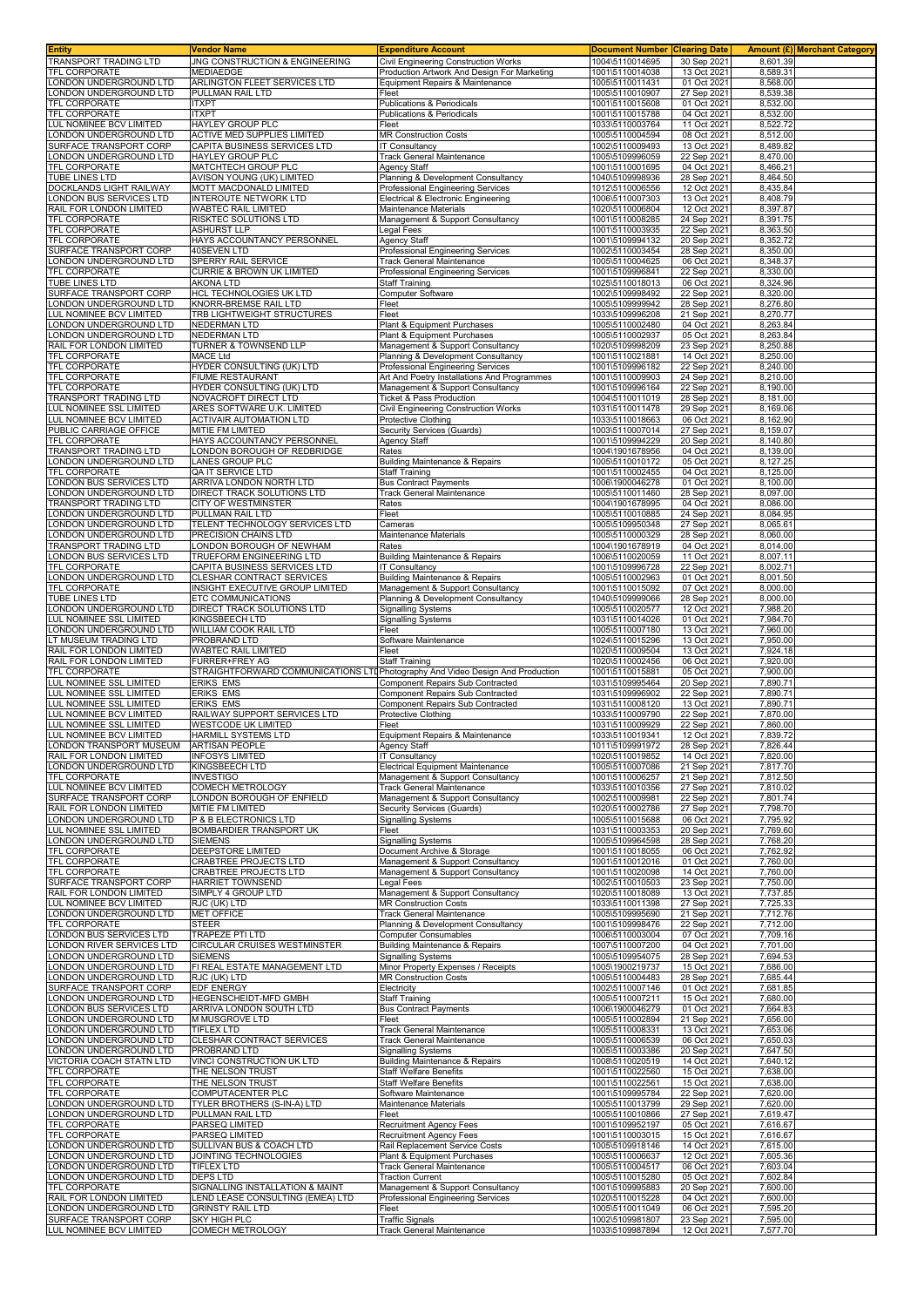| <b>Entity</b>                                      | Vendor Name                                                                                      | <b>Expenditure Account</b>                                                          | <b>Document Number</b>             | <b>Clearing Date</b>       |                      | <b>Amount (£) Merchant Category</b> |
|----------------------------------------------------|--------------------------------------------------------------------------------------------------|-------------------------------------------------------------------------------------|------------------------------------|----------------------------|----------------------|-------------------------------------|
| TRANSPORT TRADING LTD<br>TFL CORPORATE             | JNG CONSTRUCTION & ENGINEERING<br>MEDIAEDGE                                                      | Civil Engineering Construction Works<br>Production Artwork And Design For Marketing | 1004\5110014695<br>1001\5110014038 | 30 Sep 2021<br>13 Oct 2021 | 8,601.39<br>8,589.31 |                                     |
| ONDON UNDERGROUND LTD                              | ARLINGTON FLEET SERVICES LTD                                                                     | Equipment Repairs & Maintenance                                                     | 1005\5110011431                    | 01 Oct 2021                | 8,568.00             |                                     |
| ONDON UNDERGROUND LTD                              | PULLMAN RAIL LTD                                                                                 | Fleet                                                                               | 1005\5110010907                    | 27 Sep 2021                | 8,539.38             |                                     |
| TFL CORPORATE                                      | <b>ITXPT</b>                                                                                     | Publications & Periodicals                                                          | 1001\5110015608                    | 01 Oct 2021                | 8,532.00             |                                     |
| TFL CORPORATE                                      | <b>ITXPT</b>                                                                                     | Publications & Periodicals                                                          | 1001\5110015788                    | 04 Oct 2021                | 8,532.00             |                                     |
| LUL NOMINEE BCV LIMITED<br>ONDON UNDERGROUND LTD   | HAYLEY GROUP PLC<br><b>ACTIVE MED SUPPLIES LIMITED</b>                                           | Fleet<br><b>MR Construction Costs</b>                                               | 1033\5110003764<br>1005\5110004594 | 11 Oct 2021<br>08 Oct 2021 | 8,522.72<br>8,512.00 |                                     |
| SURFACE TRANSPORT CORP                             | CAPITA BUSINESS SERVICES LTD                                                                     | IT Consultancy                                                                      | 1002\5110009493                    | 13 Oct 2021                | 8,489.82             |                                     |
| ONDON UNDERGROUND LTD                              | HAYLEY GROUP PLC                                                                                 | <b>Track General Maintenance</b>                                                    | 1005\5109996059                    | 22 Sep 2021                | 8,470.00             |                                     |
| TFL CORPORATE                                      | MATCHTECH GROUP PLC                                                                              | <b>Agency Staff</b>                                                                 | 1001\5110001695                    | 04 Oct 2021                | 8,466.21             |                                     |
| TUBE LINES LTD                                     | AVISON YOUNG (UK) LIMITED                                                                        | Planning & Development Consultancy                                                  | 1040\5109998936                    | 28 Sep 2021                | 8,464.50             |                                     |
| DOCKLANDS LIGHT RAILWAY<br>ONDON BUS SERVICES LTD  | MOTT MACDONALD LIMITED<br><b>INTEROUTE NETWORK LTD</b>                                           | Professional Engineering Services<br>Electrical & Electronic Engineering            | 1012\5110006556<br>1006\5110007303 | 12 Oct 2021<br>13 Oct 2021 | 8,435.84<br>8,408.79 |                                     |
| RAIL FOR LONDON LIMITED                            | WABTEC RAIL LIMITED                                                                              | Maintenance Materials                                                               | 1020\5110006804                    | 12 Oct 2021                | 8,397.87             |                                     |
| TFL CORPORATE                                      | RISKTEC SOLUTIONS LTD                                                                            | Management & Support Consultancy                                                    | 1001\5110008285                    | 24 Sep 2021                | 8,391.75             |                                     |
| TFL CORPORATE                                      | <b>ASHURST LLP</b>                                                                               | Legal Fees                                                                          | 1001\5110003935                    | 22 Sep 2021                | 8,363.50             |                                     |
| TFL CORPORATE<br>SURFACE TRANSPORT CORP            | HAYS ACCOUNTANCY PERSONNEL<br>40SEVEN LTD                                                        | <b>Agency Staff</b><br>Professional Engineering Services                            | 1001\5109994132<br>1002\5110003454 | 20 Sep 2021<br>28 Sep 2021 | 8,352.72<br>8.350.00 |                                     |
| LONDON UNDERGROUND LTD                             | SPERRY RAIL SERVICE                                                                              | <b>Track General Maintenance</b>                                                    | 1005\5110004625                    | 06 Oct 2021                | 8,348.37             |                                     |
| TFL CORPORATE                                      | <b>CURRIE &amp; BROWN UK LIMITED</b>                                                             | Professional Engineering Services                                                   | 1001\5109996841                    | 22 Sep 2021                | 8,330.00             |                                     |
| TUBE LINES LTD                                     | <b>AKONA LTD</b>                                                                                 | <b>Staff Training</b>                                                               | 1025\5110018013                    | 06 Oct 2021                | 8,324.96             |                                     |
| SURFACE TRANSPORT CORP                             | HCL TECHNOLOGIES UK LTD                                                                          | Computer Software                                                                   | 1002\5109998492                    | 22 Sep 2021                | 8,320.00             |                                     |
| ONDON UNDERGROUND LTD<br>UL NOMINEE BCV LIMITED    | KNORR-BREMSE RAIL LTD<br>TRB LIGHTWEIGHT STRUCTURES                                              | Fleet<br>Fleet                                                                      | 1005\5109999942<br>1033\5109996208 | 28 Sep 2021<br>21 Sep 2021 | 8,276.80<br>8,270.77 |                                     |
| ONDON UNDERGROUND LTD                              | <b>NEDERMAN LTD</b>                                                                              | Plant & Equipment Purchases                                                         | 1005\5110002480                    | 04 Oct 2021                | 8,263.84             |                                     |
| ONDON UNDERGROUND LTD                              | <b>NEDERMAN LTD</b>                                                                              | Plant & Equipment Purchases                                                         | 1005\5110002937                    | 05 Oct 2021                | 8,263.84             |                                     |
| RAIL FOR LONDON LIMITED                            | TURNER & TOWNSEND LLP                                                                            | Management & Support Consultancy                                                    | 1020\5109998209                    | 23 Sep 2021                | 8,250.88             |                                     |
| TFL CORPORATE                                      | MACE Ltd                                                                                         | Planning & Development Consultancy                                                  | 1001\5110021881                    | 14 Oct 2021                | 8,250.00             |                                     |
| TFL CORPORATE<br>TFL CORPORATE                     | HYDER CONSULTING (UK) LTD<br>FIUME RESTAURANT                                                    | Professional Engineering Services<br>Art And Poetry Installations And Programmes    | 1001\5109996182<br>1001\5110009903 | 22 Sep 2021<br>24 Sep 2021 | 8,240.00<br>8,210.00 |                                     |
| TFL CORPORATE                                      | HYDER CONSULTING (UK) LTD                                                                        | Management & Support Consultancy                                                    | 1001\5109996164                    | 22 Sep 2021                | 8,190.00             |                                     |
| <b>TRANSPORT TRADING LTD</b>                       | NOVACROFT DIRECT LTD                                                                             | Ticket & Pass Production                                                            | 1004\5110011019                    | 28 Sep 2021                | 8,181.00             |                                     |
| LUL NOMINEE SSL LIMITED                            | ARES SOFTWARE U.K. LIMITED                                                                       | Civil Engineering Construction Works                                                | 1031\5110011478                    | 29 Sep 2021                | 8,169.06             |                                     |
| LUL NOMINEE BCV LIMITED<br>PUBLIC CARRIAGE OFFICE  | ACTIVAIR AUTOMATION LTD<br>MITIE FM LIMITED                                                      | Protective Clothing                                                                 | 1033\5110018663<br>1003\5110007014 | 06 Oct 2021<br>27 Sep 2021 | 8,162.90<br>8,159.07 |                                     |
| TFL CORPORATE                                      | HAYS ACCOUNTANCY PERSONNEL                                                                       | Security Services (Guards)<br>Agency Staff                                          | 1001\5109994229                    | 20 Sep 2021                | 8,140.80             |                                     |
| TRANSPORT TRADING LTD                              | ONDON BOROUGH OF REDBRIDGE                                                                       | Rates                                                                               | 1004\1901678956                    | 04 Oct 2021                | 8,139.00             |                                     |
| ONDON UNDERGROUND LTD                              | LANES GROUP PLC                                                                                  | <b>Building Maintenance &amp; Repairs</b>                                           | 1005\5110010172                    | 05 Oct 2021                | 8,127.25             |                                     |
| TFL CORPORATE                                      | QA IT SERVICE LTD                                                                                | <b>Staff Training</b>                                                               | 1001\5110002455                    | 04 Oct 2021                | 8,125.00             |                                     |
| ONDON BUS SERVICES LTD<br>ONDON UNDERGROUND LTD    | ARRIVA LONDON NORTH LTD<br>DIRECT TRACK SOLUTIONS LTD                                            | <b>Bus Contract Payments</b><br><b>Track General Maintenance</b>                    | 1006\1900046278<br>1005\5110011460 | 01 Oct 2021<br>28 Sep 2021 | 8,100.00<br>8,097.00 |                                     |
| TRANSPORT TRADING LTD                              | CITY OF WESTMINSTER                                                                              | Rates                                                                               | 1004\1901678995                    | 04 Oct 2021                | 8,086.00             |                                     |
| ONDON UNDERGROUND LTD                              | PULLMAN RAIL LTD                                                                                 | Fleet                                                                               | 1005\5110010885                    | 24 Sep 2021                | 8,084.95             |                                     |
| ONDON UNDERGROUND LTD                              | TELENT TECHNOLOGY SERVICES LTD                                                                   | Cameras                                                                             | 1005\5109950348                    | 27 Sep 2021                | 8,065.61             |                                     |
| ONDON UNDERGROUND LTD                              | PRECISION CHAINS LTD                                                                             | Maintenance Materials                                                               | 1005\5110000329                    | 28 Sep 2021                | 8,060.00             |                                     |
| TRANSPORT TRADING LTD<br>ONDON BUS SERVICES LTD    | ONDON BOROUGH OF NEWHAM<br>TRUEFORM ENGINEERING LTD                                              | Rates<br>Building Maintenance & Repairs                                             | 1004\1901678919<br>1006\5110020059 | 04 Oct 2021<br>11 Oct 2021 | 8,014.00<br>8,007.11 |                                     |
| TFL CORPORATE                                      | CAPITA BUSINESS SERVICES LTD                                                                     | IT Consultancy                                                                      | 1001\5109996728                    | 22 Sep 2021                | 8,002.71             |                                     |
| LONDON UNDERGROUND LTD                             | CLESHAR CONTRACT SERVICES                                                                        | <b>Building Maintenance &amp; Repairs</b>                                           | 1005\5110002963                    | 01 Oct 2021                | 8,001.50             |                                     |
| TFL CORPORATE                                      | INSIGHT EXECUTIVE GROUP LIMITED                                                                  | Management & Support Consultancy                                                    | 1001\5110015092                    | 07 Oct 2021                | 8,000.00             |                                     |
| TUBE LINES LTD<br>ONDON UNDERGROUND LTD            | ETC COMMUNICATIONS                                                                               | Planning & Development Consultancy                                                  | 1040\5109999066                    | 28 Sep 2021<br>12 Oct 2021 | 8,000.00<br>7,988.20 |                                     |
| LUL NOMINEE SSL LIMITED                            | DIRECT TRACK SOLUTIONS LTD<br>KINGSBEECH LTD                                                     | <b>Signalling Systems</b><br><b>Signalling Systems</b>                              | 1005\5110020577<br>1031\5110014026 | 01 Oct 2021                | 7,984.70             |                                     |
| ONDON UNDERGROUND LTD                              | WILLIAM COOK RAIL LTD                                                                            | Fleet                                                                               | 1005\5110007180                    | 13 Oct 2021                | 7,960.00             |                                     |
| T MUSEUM TRADING LTD                               | PROBRAND LTD                                                                                     | Software Maintenance                                                                | 1024\5110015296                    | 13 Oct 2021                | 7,950.00             |                                     |
| RAIL FOR LONDON LIMITED<br>RAIL FOR LONDON LIMITED | WABTEC RAIL LIMITED                                                                              | Fleet<br>Staff Training                                                             | 1020\5110009504<br>1020\5110002456 | 13 Oct 2021<br>06 Oct 2021 | 7,924.18<br>7,920.00 |                                     |
| TFL CORPORATE                                      | FURRER+FREY AG<br>STRAIGHTFORWARD COMMUNICATIONS LTI Photography And Video Design And Production |                                                                                     | 1001\5110015881                    | 05 Oct 2021                | 7,900.00             |                                     |
| LUL NOMINEE SSL LIMITED                            | ERIKS EMS                                                                                        | Component Repairs Sub Contracted                                                    | 1031\5109995464                    | 20 Sep 2021                | 7,890.71             |                                     |
| LUL NOMINEE SSL LIMITED                            | ERIKS EMS                                                                                        | Component Repairs Sub Contracted                                                    | 1031\5109996902                    | 22 Sep 2021                | 7,890.71             |                                     |
| LUL NOMINEE SSL LIMITED                            | ERIKS EMS                                                                                        | <b>Component Repairs Sub Contracted</b>                                             | 1031\5110008120                    | 13 Oct 2021                | 7,890.71             |                                     |
| LUL NOMINEE BCV LIMITED<br>LUL NOMINEE SSL LIMITED | RAILWAY SUPPORT SERVICES LTD<br><b>WESTCODE UK LIMITED</b>                                       | Protective Clothing<br>Fleet                                                        | 1033\5110009790<br>1031\5110009929 | 22 Sep 2021<br>22 Sep 2021 | 7,870.00<br>7,860.00 |                                     |
| LUL NOMINEE BCV LIMITED                            | HARMILL SYSTEMS LTD                                                                              | Equipment Repairs & Maintenance                                                     | 1033\5110019341                    | 12 Oct 2021                | 7,839.72             |                                     |
| LONDON TRANSPORT MUSEUM                            | <b>ARTISAN PEOPLE</b>                                                                            | Agency Staff                                                                        | 1011\5109991972                    | 28 Sep 2021                | 7.826.44             |                                     |
| RAIL FOR LONDON LIMITED                            | <b>INFOSYS LIMITED</b>                                                                           | <b>IT Consultancy</b>                                                               | 1020\5110019852                    | 14 Oct 2021                | 7,820.00             |                                     |
| LONDON UNDERGROUND LTD                             | KINGSBEECH LTD                                                                                   | <b>Electrical Equipment Maintenance</b>                                             | 1005\5110007086                    | 21 Sep 2021                | 7,817.70             |                                     |
| TFL CORPORATE<br>LUL NOMINEE BCV LIMITED           | <b>INVESTIGO</b><br>COMECH METROLOGY                                                             | Management & Support Consultancy<br><b>Track General Maintenance</b>                | 1001\5110006257<br>1033\5110010356 | 21 Sep 2021<br>27 Sep 2021 | 7,812.50<br>7.810.02 |                                     |
| SURFACE TRANSPORT CORP                             | LONDON BOROUGH OF ENFIELD                                                                        | Management & Support Consultancy                                                    | 1002\5110009981                    | 22 Sep 2021                | 7,801.74             |                                     |
| RAIL FOR LONDON LIMITED                            | MITIE FM LIMITED                                                                                 | Security Services (Guards)                                                          | 1020\5110002786                    | 27 Sep 2021                | 7,798.70             |                                     |
| LONDON UNDERGROUND LTD                             | P & B ELECTRONICS LTD                                                                            | <b>Signalling Systems</b>                                                           | 1005\5110015688                    | 06 Oct 2021                | 7,795.92             |                                     |
| LUL NOMINEE SSL LIMITED<br>LONDON UNDERGROUND LTD  | BOMBARDIER TRANSPORT UK<br><b>SIEMENS</b>                                                        | Fleet<br><b>Signalling Systems</b>                                                  | 1031\5110003353<br>1005\5109964598 | 20 Sep 2021                | 7.769.60<br>7,768.20 |                                     |
| TFL CORPORATE                                      | DEEPSTORE LIMITED                                                                                | Document Archive & Storage                                                          | 1001\5110018055                    | 28 Sep 2021<br>06 Oct 2021 | 7,762.92             |                                     |
| TFL CORPORATE                                      | CRABTREE PROJECTS LTD                                                                            | Management & Support Consultancy                                                    | 1001\5110012016                    | 01 Oct 2021                | 7,760.00             |                                     |
| TFL CORPORATE                                      | CRABTREE PROJECTS LTD                                                                            | Management & Support Consultancy                                                    | 1001\5110020098                    | 14 Oct 2021                | 7,760.00             |                                     |
| SURFACE TRANSPORT CORP                             | HARRIET TOWNSEND                                                                                 | Legal Fees                                                                          | 1002\5110010503                    | 23 Sep 2021                | 7,750.00             |                                     |
| RAIL FOR LONDON LIMITED<br>LUL NOMINEE BCV LIMITED | SIMPLY 4 GROUP LTD<br>RJC (UK) LTD                                                               | Management & Support Consultancy<br><b>MR Construction Costs</b>                    | 1020\5110018089<br>1033\5110011398 | 13 Oct 2021<br>27 Sep 2021 | 7,737.85<br>7,725.33 |                                     |
| LONDON UNDERGROUND LTD                             | <b>MET OFFICE</b>                                                                                | <b>Track General Maintenance</b>                                                    | 1005\5109995690                    | 21 Sep 2021                | 7,712.76             |                                     |
| TFL CORPORATE                                      | <b>STEER</b>                                                                                     | Planning & Development Consultancy                                                  | 1001\5109998476                    | 22 Sep 2021                | 7,712.00             |                                     |
| LONDON BUS SERVICES LTD                            | TRAPEZE PTI LTD                                                                                  | <b>Computer Consumables</b>                                                         | 1006\5110003004                    | 07 Oct 2021                | 7,709.16             |                                     |
| ONDON RIVER SERVICES LTD<br>ONDON UNDERGROUND LTD  | CIRCULAR CRUISES WESTMINSTER<br><b>SIEMENS</b>                                                   | <b>Building Maintenance &amp; Repairs</b>                                           | 1007\5110007200<br>1005\5109954075 | 04 Oct 2021                | 7,701.00<br>7,694.53 |                                     |
| ONDON UNDERGROUND LTD                              | FI REAL ESTATE MANAGEMENT LTD                                                                    | <b>Signalling Systems</b><br>Minor Property Expenses / Receipts                     | 1005\1900219737                    | 28 Sep 2021<br>15 Oct 2021 | 7,686.00             |                                     |
| ONDON UNDERGROUND LTD                              | RJC (UK) LTD                                                                                     | <b>MR Construction Costs</b>                                                        | 1005\5110004483                    | 28 Sep 2021                | 7,685.44             |                                     |
| SURFACE TRANSPORT CORP                             | EDF ENERGY                                                                                       | Electricity                                                                         | 1002\5110007146                    | 01 Oct 2021                | 7,681.85             |                                     |
| ONDON UNDERGROUND LTD                              | HEGENSCHEIDT-MFD GMBH                                                                            | <b>Staff Training</b>                                                               | 1005\5110007211                    | 15 Oct 2021                | 7,680.00             |                                     |
| ONDON BUS SERVICES LTD<br>ONDON UNDERGROUND LTD    | ARRIVA LONDON SOUTH LTD<br>M MUSGROVE LTD                                                        | <b>Bus Contract Payments</b><br>Fleet                                               | 1006\1900046279<br>1005\5110002894 | 01 Oct 2021<br>21 Sep 2021 | 7,664.83<br>7,656.00 |                                     |
| ONDON UNDERGROUND LTD                              | <b>TIFLEX LTD</b>                                                                                | <b>Track General Maintenance</b>                                                    | 1005\5110008331                    | 13 Oct 2021                | 7,653.06             |                                     |
| ONDON UNDERGROUND LTD                              | CLESHAR CONTRACT SERVICES                                                                        | <b>Track General Maintenance</b>                                                    | 1005\5110006539                    | 06 Oct 2021                | 7,650.03             |                                     |
| ONDON UNDERGROUND LTD.                             | PROBRAND LTD                                                                                     | <b>Signalling Systems</b>                                                           | 1005\5110003386                    | 20 Sep 2021                | 7,647.50             |                                     |
| VICTORIA COACH STATN LTD                           | VINCI CONSTRUCTION UK LTD                                                                        | Building Maintenance & Repairs                                                      | 1008\5110020519                    | 14 Oct 2021                | 7,640.12             |                                     |
| TFL CORPORATE<br>TFL CORPORATE                     | THE NELSON TRUST<br>THE NELSON TRUST                                                             | <b>Staff Welfare Benefits</b><br><b>Staff Welfare Benefits</b>                      | 1001\5110022560<br>1001\5110022561 | 15 Oct 2021<br>15 Oct 2021 | 7,638.00<br>7,638.00 |                                     |
| TFL CORPORATE                                      | COMPUTACENTER PLC                                                                                | Software Maintenance                                                                | 1001\5109995784                    | 22 Sep 2021                | 7,620.00             |                                     |
| LONDON UNDERGROUND LTD                             | TYLER BROTHERS (S-IN-A) LTD                                                                      | Maintenance Materials                                                               | 1005\5110013799                    | 29 Sep 2021                | 7,620.00             |                                     |
| LONDON UNDERGROUND LTD                             | PULLMAN RAIL LTD                                                                                 | Fleet                                                                               | 1005\5110010866                    | 27 Sep 2021                | 7,619.47             |                                     |
| TFL CORPORATE<br>TFL CORPORATE                     | PARSEQ LIMITED<br>PARSEQ LIMITED                                                                 | Recruitment Agency Fees<br>Recruitment Agency Fees                                  | 1001\5109952197<br>1001\5110003015 | 05 Oct 2021<br>15 Oct 2021 | 7,616.67<br>7,616.67 |                                     |
| LONDON UNDERGROUND LTD                             | SULLIVAN BUS & COACH LTD                                                                         | Rail Replacement Service Costs                                                      | 1005\5109918146                    | 14 Oct 2021                | 7,615.00             |                                     |
| LONDON UNDERGROUND LTD                             | JOINTING TECHNOLOGIES                                                                            | Plant & Equipment Purchases                                                         | 1005\5110006637                    | 12 Oct 2021                | 7,605.36             |                                     |
| ONDON UNDERGROUND LTD                              | <b>TIFLEX LTD</b>                                                                                | Track General Maintenance                                                           | 1005\5110004517                    | 06 Oct 2021                | 7,603.04             |                                     |
| ONDON UNDERGROUND LTD                              | DEPS LTD                                                                                         | <b>Traction Current</b>                                                             | 1005\5110015280                    | 05 Oct 2021                | 7,602.84             |                                     |
| TFL CORPORATE<br>RAIL FOR LONDON LIMITED           | SIGNALLING INSTALLATION & MAINT<br>LEND LEASE CONSULTING (EMEA) LTD                              | Management & Support Consultancy<br>Professional Engineering Services               | 1001\5109995883<br>1020\5110015228 | 20 Sep 2021<br>04 Oct 2021 | 7,600.00<br>7,600.00 |                                     |
| ONDON UNDERGROUND LTD                              | <b>GRINSTY RAIL LTD</b>                                                                          | Fleet                                                                               | 1005\5110011049                    | 06 Oct 2021                | 7,595.20             |                                     |
| SURFACE TRANSPORT CORP                             | SKY HIGH PLC                                                                                     | <b>Traffic Signals</b>                                                              | 1002\5109981807                    | 23 Sep 2021                | 7,595.00             |                                     |
| LUL NOMINEE BCV LIMITED                            | <b>COMECH METROLOGY</b>                                                                          | <b>Track General Maintenance</b>                                                    | 1033\5109987894                    | 12 Oct 2021                | 7,577.70             |                                     |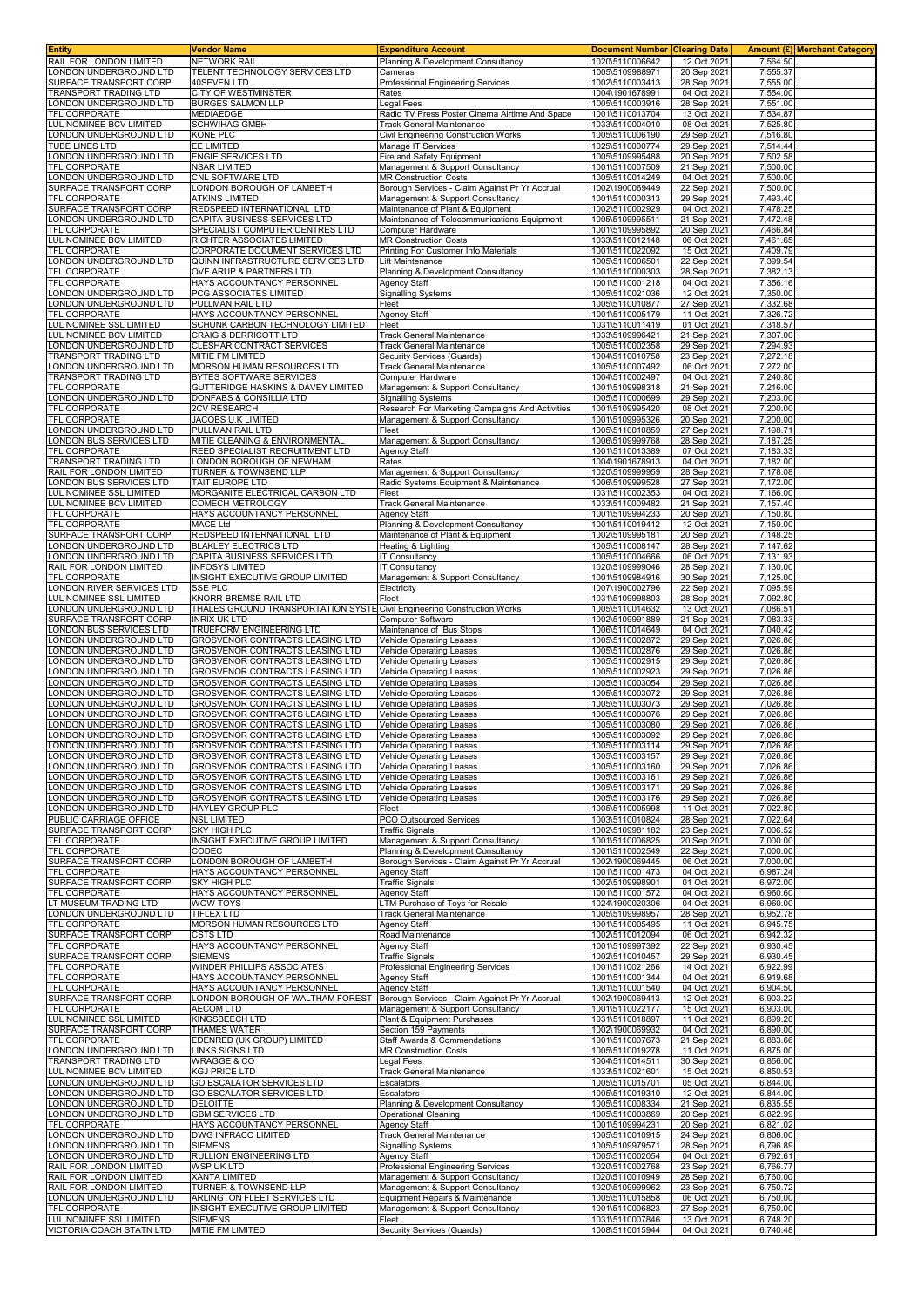| <b>Entity</b>                                           | Vendor Name                                                               | <b>Expenditure Account</b>                                                         | <b>Document Number</b>             | <b>Clearing Date</b>       |                      | Amount (£) Merchant Category |
|---------------------------------------------------------|---------------------------------------------------------------------------|------------------------------------------------------------------------------------|------------------------------------|----------------------------|----------------------|------------------------------|
| RAIL FOR LONDON LIMITED<br>ONDON UNDERGROUND LTD        | <b>NETWORK RAIL</b><br>TELENT TECHNOLOGY SERVICES LTD                     | Planning & Development Consultancy<br>Cameras                                      | 1020\5110006642<br>1005\5109988971 | 12 Oct 2021<br>20 Sep 2021 | 7,564.50<br>7,555.37 |                              |
| SURFACE TRANSPORT CORP                                  | 40SEVEN LTD                                                               | Professional Engineering Services                                                  | 1002\5110003413                    | 28 Sep 2021                | 7,555.00             |                              |
| RANSPORT TRADING LTD                                    | CITY OF WESTMINSTER                                                       | Rates                                                                              | 1004\1901678991                    | 04 Oct 2021                | 7,554.00             |                              |
| LONDON UNDERGROUND LTD                                  | <b>BURGES SALMON LLP</b>                                                  | Legal Fees                                                                         | 1005\5110003916                    | 28 Sep 2021                | 7,551.00             |                              |
| <b>TFL CORPORATE</b><br>LUL NOMINEE BCV LIMITED         | MEDIAEDGE<br><b>SCHWIHAG GMBH</b>                                         | Radio TV Press Poster Cinema Airtime And Space<br><b>Track General Maintenance</b> | 1001\5110013704<br>1033\5110004010 | 13 Oct 2021<br>08 Oct 2021 | 7,534.87<br>7,525.80 |                              |
| ONDON UNDERGROUND LTD.                                  | KONE PLC                                                                  | Civil Engineering Construction Works                                               | 1005\5110006190                    | 29 Sep 2021                | 7,516.80             |                              |
| TUBE LINES LTD                                          | EE LIMITED                                                                | Manage IT Services                                                                 | 1025\5110000774                    | 29 Sep 2021                | 7,514.44             |                              |
| ONDON UNDERGROUND LTD<br><b>TFL CORPORATE</b>           | <b>ENGIE SERVICES LTD</b><br>NSAR LIMITED                                 | Fire and Safety Equipment<br>Management & Support Consultancy                      | 1005\5109995488<br>1001\5110007509 | 20 Sep 2021<br>21 Sep 2021 | 7,502.58<br>7,500.00 |                              |
| ONDON UNDERGROUND LTD.                                  | CNL SOFTWARE LTD                                                          | <b>MR Construction Costs</b>                                                       | 1005\5110014249                    | 04 Oct 2021                | 7,500.00             |                              |
| SURFACE TRANSPORT CORP                                  | LONDON BOROUGH OF LAMBETH                                                 | Borough Services - Claim Against Pr Yr Accrual                                     | 1002\1900069449                    | 22 Sep 2021                | 7,500.00             |                              |
| TFL CORPORATE                                           | <b>ATKINS LIMITED</b>                                                     | Management & Support Consultancy                                                   | 1001\5110000313                    | 29 Sep 2021                | 7,493.40             |                              |
| SURFACE TRANSPORT CORP<br>ONDON UNDERGROUND LTD         | REDSPEED INTERNATIONAL LTD<br>CAPITA BUSINESS SERVICES LTD                | Maintenance of Plant & Equipment<br>Maintenance of Telecommunications Equipment    | 1002\5110002929<br>1005\5109995511 | 04 Oct 2021<br>21 Sep 2021 | 7,478.25<br>7,472.48 |                              |
| TFL CORPORATE                                           | SPECIALIST COMPUTER CENTRES LTD                                           | Computer Hardware                                                                  | 1001\5109995892                    | 20 Sep 2021                | 7,466.84             |                              |
| LUL NOMINEE BCV LIMITED                                 | RICHTER ASSOCIATES LIMITED                                                | <b>MR Construction Costs</b><br>Printing For Customer Info Materials               | 1033\5110012148                    | 06 Oct 2021                | 7,461.65             |                              |
| TFL CORPORATE<br>LONDON UNDERGROUND LTD                 | CORPORATE DOCUMENT SERVICES LTD<br>QUINN INFRASTRUCTURE SERVICES LTD      | Lift Maintenance                                                                   | 1001\5110022092<br>1005\5110006501 | 15 Oct 2021<br>22 Sep 2021 | 7,409.79<br>7,399.54 |                              |
| TFL CORPORATE                                           | OVE ARUP & PARTNERS LTD                                                   | Planning & Development Consultancy                                                 | 1001\5110000303                    | 28 Sep 2021                | 7,382.13             |                              |
| <b>TFL CORPORATE</b>                                    | HAYS ACCOUNTANCY PERSONNEL                                                | <b>Agency Staff</b>                                                                | 1001\5110001218                    | 04 Oct 2021                | 7,356.16             |                              |
| LONDON UNDERGROUND LTD<br>LONDON UNDERGROUND LTD        | PCG ASSOCIATES LIMITED<br>PULLMAN RAIL LTD                                | <b>Signalling Systems</b><br>Fleet                                                 | 1005\5110021036<br>1005\5110010877 | 12 Oct 2021<br>27 Sep 2021 | 7,350.00<br>7,332.68 |                              |
| TFL CORPORATE                                           | HAYS ACCOUNTANCY PERSONNEL                                                | <b>Agency Staff</b>                                                                | 1001\5110005179                    | 11 Oct 2021                | 7,326.72             |                              |
| LUL NOMINEE SSL LIMITED                                 | SCHUNK CARBON TECHNOLOGY LIMITED                                          | Fleet                                                                              | 1031\5110011419                    | 01 Oct 2021                | 7,318.57             |                              |
| <b>UL NOMINEE BCV LIMITED</b><br>LONDON UNDERGROUND LTD | <b>CRAIG &amp; DERRICOTT LTD</b><br>CLESHAR CONTRACT SERVICES             | Track General Maintenance<br>Track General Maintenance                             | 1033\5109996421<br>1005\5110002358 | 21 Sep 2021<br>29 Sep 2021 | 7,307.00<br>7,294.93 |                              |
| TRANSPORT TRADING LTD                                   | MITIE FM LIMITED                                                          | Security Services (Guards)                                                         | 1004\5110010758                    | 23 Sep 2021                | 7,272.18             |                              |
| ONDON UNDERGROUND LTD                                   | MORSON HUMAN RESOURCES LTD                                                | Track General Maintenance                                                          | 1005\5110007492                    | 06 Oct 2021                | 7,272.00             |                              |
| FRANSPORT TRADING LTD<br>TFL CORPORATE                  | BYTES SOFTWARE SERVICES<br>GUTTERIDGE HASKINS & DAVEY LIMITED             | Computer Hardware<br>Management & Support Consultancy                              | 1004\5110002497<br>1001\5109998318 | 04 Oct 2021<br>21 Sep 2021 | 7,240.80<br>7,216.00 |                              |
| ONDON UNDERGROUND LTD                                   | DONFABS & CONSILLIA LTD                                                   | Signalling Systems                                                                 | 1005\5110000699                    | 29 Sep 2021                | 7,203.00             |                              |
| TFL CORPORATE                                           | 2CV RESEARCH                                                              | Research For Marketing Campaigns And Activities                                    | 1001\5109995420                    | 08 Oct 2021                | 7,200.00             |                              |
| TFL CORPORATE<br>LONDON UNDERGROUND LTD                 | JACOBS U.K LIMITED<br>PULLMAN RAIL LTD                                    | Management & Support Consultancy<br>Fleet                                          | 1001\5109995326<br>1005\5110010859 | 20 Sep 2021<br>27 Sep 2021 | 7,200.00<br>7,198.71 |                              |
| ONDON BUS SERVICES LTD                                  | MITIE CLEANING & ENVIRONMENTAL                                            | Management & Support Consultancy                                                   | 1006\5109999768                    | 28 Sep 2021                | 7,187.25             |                              |
| <b>TFL CORPORATE</b>                                    | REED SPECIALIST RECRUITMENT LTD                                           | Agency Staff                                                                       | 1001\5110013389                    | 07 Oct 2021                | 7,183.33             |                              |
| TRANSPORT TRADING LTD<br>RAIL FOR LONDON LIMITED        | LONDON BOROUGH OF NEWHAM<br><b>TURNER &amp; TOWNSEND LLP</b>              | Rates<br>Management & Support Consultancy                                          | 1004\1901678913<br>1020\5109999959 | 04 Oct 2021<br>28 Sep 2021 | 7,182.00<br>7,178.08 |                              |
| ONDON BUS SERVICES LTD                                  | TAIT EUROPE LTD                                                           | Radio Systems Equipment & Maintenance                                              | 1006\5109999528                    | 27 Sep 2021                | 7.172.00             |                              |
| UL NOMINEE SSL LIMITED                                  | MORGANITE ELECTRICAL CARBON LTD                                           | Fleet                                                                              | 1031\5110002353                    | 04 Oct 2021                | 7,166.00             |                              |
| LUL NOMINEE BCV LIMITED<br>TFL CORPORATE                | <b>COMECH METROLOGY</b><br>HAYS ACCOUNTANCY PERSONNEL                     | Track General Maintenance<br>Agency Staff                                          | 1033\5110009482<br>1001\5109994233 | 21 Sep 2021<br>20 Sep 2021 | 7,157.40<br>7,150.80 |                              |
| <b>TFL CORPORATE</b>                                    | <b>MACE Ltd</b>                                                           | Planning & Development Consultancy                                                 | 1001\5110019412                    | 12 Oct 2021                | 7,150.00             |                              |
| SURFACE TRANSPORT CORP<br>LONDON UNDERGROUND LTD        | REDSPEED INTERNATIONAL LTD<br><b>BLAKLEY ELECTRICS LTD</b>                | Maintenance of Plant & Equipment                                                   | 1002\5109995181                    | 20 Sep 2021                | 7,148.25<br>7,147.62 |                              |
| ONDON UNDERGROUND LTD                                   | CAPITA BUSINESS SERVICES LTD                                              | Heating & Lighting<br><b>IT Consultancy</b>                                        | 1005\5110008147<br>1005\5110004666 | 28 Sep 2021<br>06 Oct 2021 | 7,131.93             |                              |
| RAIL FOR LONDON LIMITED                                 | <b>INFOSYS LIMITED</b>                                                    | <b>T Consultancy</b>                                                               | 1020\5109999046                    | 28 Sep 2021                | 7,130.00             |                              |
| <b>TFL CORPORATE</b>                                    | INSIGHT EXECUTIVE GROUP LIMITED<br><b>SSE PLC</b>                         | Management & Support Consultancy                                                   | 1001\5109984916                    | 30 Sep 2021                | 7,125.00<br>7,095.59 |                              |
| LONDON RIVER SERVICES LTD<br>UL NOMINEE SSL LIMITED     | KNORR-BREMSE RAIL LTD                                                     | Electricity<br>Fleet                                                               | 1007\1900002796<br>1031\5109998803 | 22 Sep 2021<br>28 Sep 2021 | 7,092.80             |                              |
| ONDON UNDERGROUND LTD                                   | THALES GROUND TRANSPORTATION SYSTE Civil Engineering Construction Works   |                                                                                    | 1005\5110014632                    | 13 Oct 2021                | 7,086.51             |                              |
| SURFACE TRANSPORT CORP<br>ONDON BUS SERVICES LTD        | <b>INRIX UK LTD</b><br>TRUEFORM ENGINEERING LTD                           | Computer Software<br>Maintenance of Bus Stops                                      | 1002\5109991889<br>1006\5110014649 | 21 Sep 2021<br>04 Oct 2021 | 7,083.33<br>7,040.42 |                              |
| ONDON UNDERGROUND LTD                                   | GROSVENOR CONTRACTS LEASING LTD                                           | Vehicle Operating Leases                                                           | 1005\5110002872                    | 29 Sep 2021                | 7,026.86             |                              |
| ONDON UNDERGROUND LTD                                   | GROSVENOR CONTRACTS LEASING LTD                                           | Vehicle Operating Leases                                                           | 1005\5110002876                    | 29 Sep 2021                | 7,026.86             |                              |
| ONDON UNDERGROUND LTD<br>ONDON UNDERGROUND LTD          | <b>GROSVENOR CONTRACTS LEASING LTD</b><br>GROSVENOR CONTRACTS LEASING LTD | Vehicle Operating Leases<br>Vehicle Operating Leases                               | 1005\5110002915<br>1005\5110002923 | 29 Sep 2021<br>29 Sep 2021 | 7,026.86<br>7,026.86 |                              |
| ONDON UNDERGROUND LTD                                   | GROSVENOR CONTRACTS LEASING LTD                                           | Vehicle Operating Leases                                                           | 1005\5110003054                    | 29 Sep 2021                | 7,026.86             |                              |
| ONDON UNDERGROUND LTD                                   | GROSVENOR CONTRACTS LEASING LTD                                           | Vehicle Operating Leases                                                           | 1005\5110003072                    | 29 Sep 2021                | 7,026.86             |                              |
| ONDON UNDERGROUND LTD<br>ONDON UNDERGROUND LTD          | <b>GROSVENOR CONTRACTS LEASING LTD</b><br>GROSVENOR CONTRACTS LEASING LTD | Vehicle Operating Leases<br><b>Vehicle Operating Leases</b>                        | 1005\5110003073<br>1005\5110003076 | 29 Sep 2021<br>29 Sep 2021 | 7,026.86<br>7,026.86 |                              |
| ONDON UNDERGROUND LTD                                   | GROSVENOR CONTRACTS LEASING LTD                                           | Vehicle Operating Leases                                                           | 1005\5110003080                    | 29 Sep 2021                | 7,026.86             |                              |
| ONDON UNDERGROUND LTD                                   | GROSVENOR CONTRACTS LEASING LTD                                           | <b>Vehicle Operating Leases</b>                                                    | 1005\5110003092                    | 29 Sep 2021                | 7,026.86             |                              |
| LONDON UNDERGROUND LTD<br>LONDON UNDERGROUND LTD        | <b>GROSVENOR CONTRACTS LEASING LTD</b><br>GROSVENOR CONTRACTS LEASING LTD | Vehicle Operating Leases<br><b>Vehicle Operating Leases</b>                        | 1005\5110003114<br>1005\5110003157 | 29 Sep 2021<br>29 Sep 2021 | 7,026.86<br>7,026.86 |                              |
| LONDON UNDERGROUND LTD                                  | GROSVENOR CONTRACTS LEASING LTD                                           | <b>Vehicle Operating Leases</b>                                                    | 1005\5110003160                    | 29 Sep 2021                | 7,026.86             |                              |
| ONDON UNDERGROUND LTD<br>LONDON UNDERGROUND LTD         | GROSVENOR CONTRACTS LEASING LTD                                           | Vehicle Operating Leases<br><b>Vehicle Operating Leases</b>                        | 1005\5110003161                    | 29 Sep 2021                | 7,026.86<br>7,026.86 |                              |
| ONDON UNDERGROUND LTD                                   | <b>GROSVENOR CONTRACTS LEASING LTD</b><br>GROSVENOR CONTRACTS LEASING LTD | <b>Vehicle Operating Leases</b>                                                    | 1005\5110003171<br>1005\5110003176 | 29 Sep 2021<br>29 Sep 2021 | 7,026.86             |                              |
| ONDON UNDERGROUND LTD.                                  | HAYLEY GROUP PLC                                                          | Fleet                                                                              | 1005\5110005998                    | 11 Oct 2021                | 7,022.80             |                              |
| PUBLIC CARRIAGE OFFICE                                  | <b>NSL LIMITED</b>                                                        | PCO Outsourced Services                                                            | 1003\5110010824                    | 28 Sep 2021                | 7,022.64             |                              |
| SURFACE TRANSPORT CORP<br><b>TFL CORPORATE</b>          | <b>SKY HIGH PLC</b><br>INSIGHT EXECUTIVE GROUP LIMITED                    | Traffic Signals<br>Management & Support Consultancy                                | 1002\5109981182<br>1001\5110006825 | 23 Sep 2021<br>20 Sep 2021 | 7,006.52<br>7,000.00 |                              |
| TFL CORPORATE                                           | CODEC                                                                     | Planning & Development Consultancy                                                 | 1001\5110002549                    | 22 Sep 2021                | 7,000.00             |                              |
| SURFACE TRANSPORT CORP<br><b>TFL CORPORATE</b>          | LONDON BOROUGH OF LAMBETH<br>HAYS ACCOUNTANCY PERSONNEL                   | Borough Services - Claim Against Pr Yr Accrual                                     | 1002\1900069445                    | 06 Oct 2021                | 7,000.00             |                              |
| SURFACE TRANSPORT CORP                                  | <b>SKY HIGH PLC</b>                                                       | Agency Staff<br><b>Traffic Signals</b>                                             | 1001\5110001473<br>1002\5109998901 | 04 Oct 2021<br>01 Oct 2021 | 6,987.24<br>6,972.00 |                              |
| TFL CORPORATE                                           | HAYS ACCOUNTANCY PERSONNEL                                                | Agency Staff                                                                       | 1001\5110001572                    | 04 Oct 2021                | 6,960.60             |                              |
| LT MUSEUM TRADING LTD<br>LONDON UNDERGROUND LTD         | WOW TOYS<br><b>TIFLEX LTD</b>                                             | TM Purchase of Toys for Resale<br><b>Track General Maintenance</b>                 | 1024\1900020306<br>1005\5109998957 | 04 Oct 2021<br>28 Sep 2021 | 6,960.00<br>6,952.78 |                              |
| <b>TFL CORPORATE</b>                                    | MORSON HUMAN RESOURCES LTD                                                | Agency Staff                                                                       | 1001\5110005495                    | 11 Oct 2021                | 6,945.75             |                              |
| SURFACE TRANSPORT CORP                                  | CSTS LTD                                                                  | Road Maintenance                                                                   | 1002\5110012094                    | 06 Oct 2021                | 6,942.32             |                              |
| TFL CORPORATE<br>SURFACE TRANSPORT CORP                 | HAYS ACCOUNTANCY PERSONNEL<br><b>SIEMENS</b>                              | Agency Staff<br><b>Traffic Signals</b>                                             | 1001\5109997392<br>1002\5110010457 | 22 Sep 2021<br>29 Sep 2021 | 6,930.45<br>6,930.45 |                              |
| TFL CORPORATE                                           | WINDER PHILLIPS ASSOCIATES                                                | Professional Engineering Services                                                  | 1001\5110021266                    | 14 Oct 2021                | 6,922.99             |                              |
| TFL CORPORATE                                           | HAYS ACCOUNTANCY PERSONNEL                                                | Agency Staff                                                                       | 1001\5110001344                    | 04 Oct 2021                | 6,919.68             |                              |
| <b>TFL CORPORATE</b><br>SURFACE TRANSPORT CORP          | HAYS ACCOUNTANCY PERSONNEL<br>LONDON BOROUGH OF WALTHAM FOREST            | <b>Agency Staff</b><br>Borough Services - Claim Against Pr Yr Accrual              | 1001\5110001540<br>1002\1900069413 | 04 Oct 2021<br>12 Oct 2021 | 6,904.50<br>6,903.22 |                              |
| <b>TFL CORPORATE</b>                                    | AECOM LTD                                                                 | Management & Support Consultancy                                                   | 1001\5110022177                    | 15 Oct 2021                | 6,903.00             |                              |
| LUL NOMINEE SSL LIMITED<br>SURFACE TRANSPORT CORP       | KINGSBEECH LTD                                                            | Plant & Equipment Purchases                                                        | 1031\5110018897<br>1002\1900069932 | 11 Oct 2021                | 6,899.20             |                              |
| TFL CORPORATE                                           | THAMES WATER<br>EDENRED (UK GROUP) LIMITED                                | Section 159 Payments<br>Staff Awards & Commendations                               | 1001\5110007673                    | 04 Oct 2021<br>21 Sep 2021 | 6,890.00<br>6,883.66 |                              |
| ONDON UNDERGROUND LTD                                   | LINKS SIGNS LTD                                                           | <b>MR Construction Costs</b>                                                       | 1005\5110019278                    | 11 Oct 2021                | 6,875.00             |                              |
| TRANSPORT TRADING LTD<br>LUL NOMINEE BCV LIMITED        | <b>WRAGGE &amp; CO</b><br>KGJ PRICE LTD                                   | egal Fees<br><b>Track General Maintenance</b>                                      | 1004\5110014511<br>1033\5110021601 | 30 Sep 2021<br>15 Oct 2021 | 6,856.00<br>6,850.53 |                              |
| ONDON UNDERGROUND LTD                                   | <b>GO ESCALATOR SERVICES LTD</b>                                          | Escalators                                                                         | 1005\5110015701                    | 05 Oct 2021                | 6,844.00             |                              |
| ONDON UNDERGROUND LTD                                   | GO ESCALATOR SERVICES LTD                                                 | Escalators                                                                         | 1005\5110019310                    | 12 Oct 2021                | 6,844.00             |                              |
| ONDON UNDERGROUND LTD<br>ONDON UNDERGROUND LTD          | DELOITTE<br><b>GBM SERVICES LTD</b>                                       | Planning & Development Consultancy<br><b>Operational Cleaning</b>                  | 1005\5110008334<br>1005\5110003869 | 21 Sep 2021<br>20 Sep 2021 | 6,835.55<br>6,822.99 |                              |
| <b>TFL CORPORATE</b>                                    | HAYS ACCOUNTANCY PERSONNEL                                                | Agency Staff                                                                       | 1001\5109994231                    | 20 Sep 2021                | 6,821.02             |                              |
| ONDON UNDERGROUND LTD                                   | DWG INFRACO LIMITED                                                       | Track General Maintenance                                                          | 1005\5110010915                    | 24 Sep 2021                | 6,806.00             |                              |
| LONDON UNDERGROUND LTD<br>LONDON UNDERGROUND LTD        | <b>SIEMENS</b><br>RULLION ENGINEERING LTD                                 | Signalling Systems<br>Agency Staff                                                 | 1005\5109979571<br>1005\5110002054 | 28 Sep 2021<br>04 Oct 2021 | 6,796.89<br>6,792.61 |                              |
| RAIL FOR LONDON LIMITED                                 | WSP UK LTD                                                                | Professional Engineering Services                                                  | 1020\5110002768                    | 23 Sep 2021                | 6,766.77             |                              |
| RAIL FOR LONDON LIMITED                                 | XANTA LIMITED                                                             | Management & Support Consultancy                                                   | 1020\5110010949                    | 28 Sep 2021                | 6,760.00             |                              |
| RAIL FOR LONDON LIMITED<br>ONDON UNDERGROUND LTD        | TURNER & TOWNSEND LLP<br>ARLINGTON FLEET SERVICES LTD                     | Management & Support Consultancy<br>Equipment Repairs & Maintenance                | 1020\5109999962<br>1005\5110015858 | 23 Sep 2021<br>06 Oct 2021 | 6,750.72<br>6,750.00 |                              |
| TFL CORPORATE                                           | INSIGHT EXECUTIVE GROUP LIMITED                                           | Management & Support Consultancy                                                   | 1001\5110006823                    | 27 Sep 2021                | 6,750.00             |                              |
| LUL NOMINEE SSL LIMITED                                 | <b>SIEMENS</b>                                                            | Fleet                                                                              | 1031\5110007846                    | 13 Oct 2021                | 6,748.20             |                              |
| VICTORIA COACH STATN LTD                                | MITIE FM LIMITED                                                          | Security Services (Guards)                                                         | 1008\5110015944                    | 04 Oct 2021                | 6,740.48             |                              |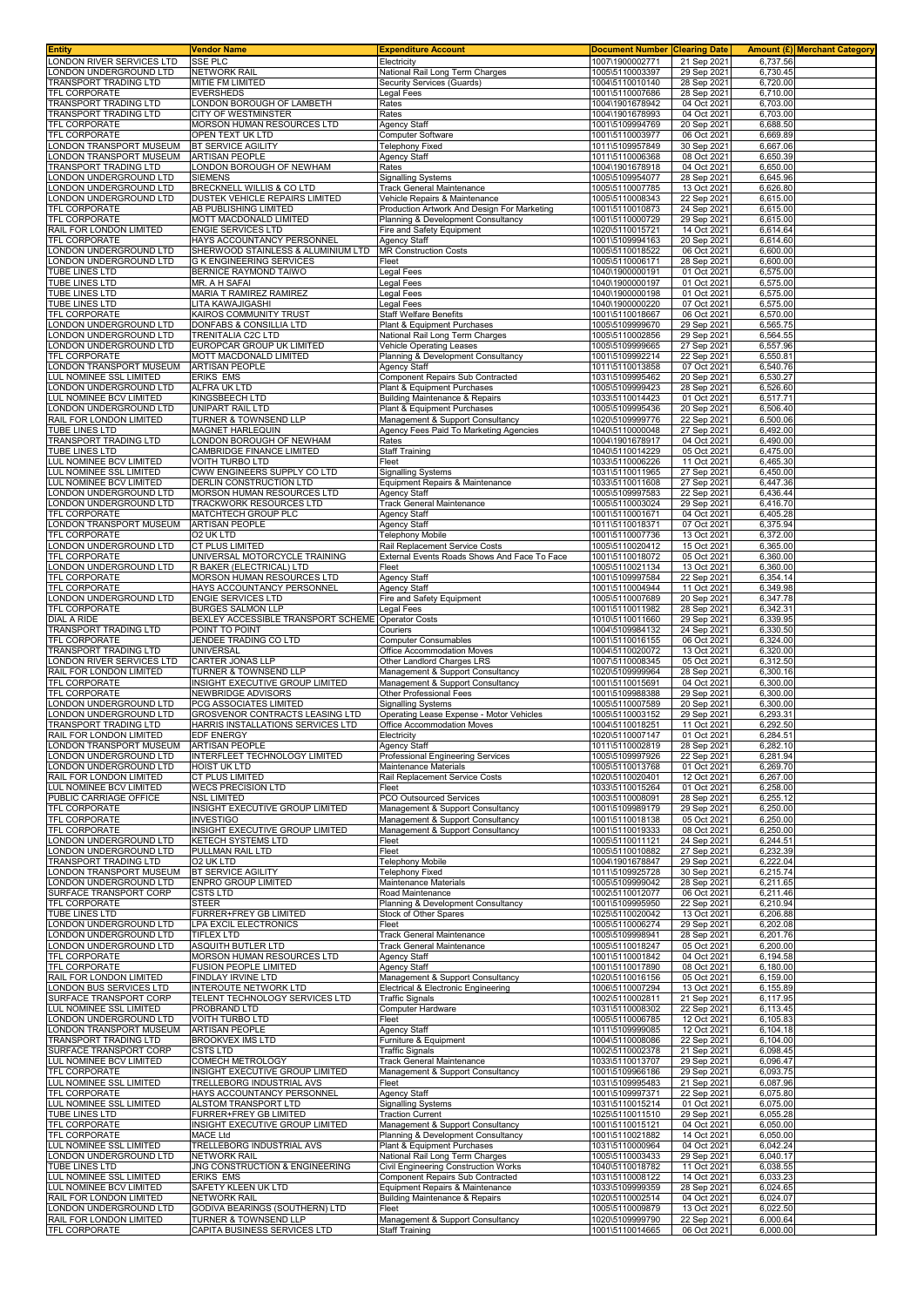| Entity                                                | <b>Vendor Name</b>                                           | <b>Expenditure Account</b>                                                   | <b>Document Number Clearing Date</b> |                            |                      | Amount (£) Merchant Category |
|-------------------------------------------------------|--------------------------------------------------------------|------------------------------------------------------------------------------|--------------------------------------|----------------------------|----------------------|------------------------------|
| ONDON RIVER SERVICES LTD<br>ONDON UNDERGROUND LTD     | <b>SSE PLC</b><br><b>NETWORK RAIL</b>                        | Electricity<br>National Rail Long Term Charges                               | 1007\1900002771<br>1005\5110003397   | 21 Sep 2021<br>29 Sep 202  | 6,737.56<br>6,730.45 |                              |
| TRANSPORT TRADING LTD                                 | MITIE FM LIMITED                                             | <b>Security Services (Guards)</b>                                            | 1004\5110010140                      | 28 Sep 2021                | 6,720.00             |                              |
| TFL CORPORATE                                         | <b>EVERSHEDS</b>                                             | Legal Fees                                                                   | 1001\5110007686                      | 28 Sep 2021                | 6,710.00             |                              |
| TRANSPORT TRADING LTD<br>TRANSPORT TRADING LTD        | LONDON BOROUGH OF LAMBETH<br>CITY OF WESTMINSTER             | Rates                                                                        | 1004\1901678942<br>1004\1901678993   | 04 Oct 2021<br>04 Oct 2021 | 6,703.00<br>6,703.00 |                              |
| TFL CORPORATE                                         | MORSON HUMAN RESOURCES LTD                                   | Rates<br>Agency Staff                                                        | 1001\5109994769                      | 20 Sep 2021                | 6,688.50             |                              |
| TFL CORPORATE                                         | OPEN TEXT UK LTD                                             | Computer Software                                                            | 1001\5110003977                      | 06 Oct 202                 | 6,669.89             |                              |
| ONDON TRANSPORT MUSEUM<br>ONDON TRANSPORT MUSEUM      | <b>BT SERVICE AGILITY</b><br>ARTISAN PEOPLE                  | Telephony Fixed<br>Agency Staff                                              | 1011\5109957849<br>1011\5110006368   | 30 Sep 2021<br>08 Oct 2021 | 6,667.06<br>6,650.39 |                              |
| <b>FRANSPORT TRADING LTD</b>                          | ONDON BOROUGH OF NEWHAM                                      | Rates                                                                        | 1004\1901678918                      | 04 Oct 2021                | 6,650.00             |                              |
| ONDON UNDERGROUND LTD                                 | <b>SIEMENS</b>                                               | Signalling Systems                                                           | 1005\5109954077                      | 28 Sep 202                 | 6,645.96             |                              |
| ONDON UNDERGROUND LTD<br>ONDON UNDERGROUND LTD        | BRECKNELL WILLIS & CO LTD<br>DUSTEK VEHICLE REPAIRS LIMITED  | Track General Maintenance<br>Vehicle Repairs & Maintenance                   | 1005\5110007785<br>1005\5110008343   | 13 Oct 2021<br>22 Sep 2021 | 6,626.80<br>6,615.00 |                              |
| TFL CORPORATE                                         | AB PUBLISHING LIMITED                                        | Production Artwork And Design For Marketing                                  | 1001\5110010873                      | 24 Sep 2021                | 6,615.00             |                              |
| TFL CORPORATE                                         | MOTT MACDONALD LIMITED                                       | Planning & Development Consultancy                                           | 1001\5110000729                      | 29 Sep 202                 | 6,615.00             |                              |
| RAIL FOR LONDON LIMITED<br><b>TFL CORPORATE</b>       | <b>ENGIE SERVICES LTD</b><br>HAYS ACCOUNTANCY PERSONNEL      | Fire and Safety Equipment<br><b>Agency Staff</b>                             | 1020\5110015721<br>1001\5109994163   | 14 Oct 2021<br>20 Sep 2021 | 6,614.64<br>6,614.60 |                              |
| ONDON UNDERGROUND LTD                                 | SHERWOOD STAINLESS & ALUMINIUM LTD                           | <b>MR Construction Costs</b>                                                 | 1005\5110018522                      | 06 Oct 202                 | 6,600.00             |                              |
| ONDON UNDERGROUND LTD.<br><b>TUBE LINES LTD</b>       | <b>G K ENGINEERING SERVICES</b><br>BERNICE RAYMOND TAIWO     | Fleet                                                                        | 1005\5110006171<br>1040\1900000191   | 28 Sep 202<br>01 Oct 2021  | 6,600.00<br>6,575.00 |                              |
| TUBE LINES LTD                                        | MR. A H SAFAI                                                | egal Fees_<br>Legal Fees                                                     | 1040\1900000197                      | 01 Oct 2021                | 6,575.00             |                              |
| TUBE LINES LTD                                        | MARIA T RAMIREZ RAMIREZ                                      | Legal Fees                                                                   | 1040\1900000198                      | 01 Oct 2021                | 6,575.00             |                              |
| TUBE LINES LTD<br><b>TFL CORPORATE</b>                | LITA KAWAJIGASHI<br>KAIROS COMMUNITY TRUST                   | Legal Fees<br>Staff Welfare Benefits                                         | 1040\1900000220<br>1001\5110018667   | 07 Oct 202<br>06 Oct 202   | 6,575.00<br>6,570.00 |                              |
| ONDON UNDERGROUND LTD                                 | DONFABS & CONSILLIA LTD                                      | Plant & Equipment Purchases                                                  | 1005\5109999670                      | 29 Sep 2021                | 6,565.75             |                              |
| ONDON UNDERGROUND LTD                                 | TRENITALIA C2C LTD                                           | National Rail Long Term Charges                                              | 1005\5110002856                      | 29 Sep 202                 | 6,564.55             |                              |
| ONDON UNDERGROUND LTD<br>TFL CORPORATE                | EUROPCAR GROUP UK LIMITED<br>MOTT MACDONALD LIMITED          | <b>Vehicle Operating Leases</b><br>Planning & Development Consultancy        | 1005\5109999665<br>1001\5109992214   | 27 Sep 2021<br>22 Sep 2021 | 6,557.96<br>6,550.81 |                              |
| ONDON TRANSPORT MUSEUM                                | ARTISAN PEOPLE                                               | Agency Staff                                                                 | 1011\5110013858                      | 07 Oct 2021                | 6,540.76             |                              |
| UL NOMINEE SSL LIMITED<br>ONDON UNDERGROUND LTD       | ERIKS EMS<br>ALFRA UK LTD                                    | <b>Component Repairs Sub Contracted</b><br>Plant & Equipment Purchases       | 1031\5109995462<br>1005\5109999423   | 20 Sep 202<br>28 Sep 2021  | 6,530.27<br>6,526.60 |                              |
| UL NOMINEE BCV LIMITED                                | KINGSBEECH LTD                                               | <b>Building Maintenance &amp; Repairs</b>                                    | 1033\5110014423                      | 01 Oct 2021                | 6,517.71             |                              |
| ONDON UNDERGROUND LTD                                 | UNIPART RAIL LTD                                             | Plant & Equipment Purchases                                                  | 1005\5109995436                      | 20 Sep 2021                | 6,506.40             |                              |
| RAIL FOR LONDON LIMITED<br>TUBE LINES LTD             | <b>TURNER &amp; TOWNSEND LLP</b><br>MAGNET HARLEQUIN         | Management & Support Consultancy<br>Agency Fees Paid To Marketing Agencies   | 1020\5109999776<br>1040\5110000048   | 22 Sep 202<br>27 Sep 2021  | 6,500.06<br>6,492.00 |                              |
| TRANSPORT TRADING LTD                                 | ONDON BOROUGH OF NEWHAM                                      | Rates                                                                        | 1004\1901678917                      | 04 Oct 2021                | 6,490.00             |                              |
| TUBE LINES LTD                                        | CAMBRIDGE FINANCE LIMITED                                    | <b>Staff Training</b>                                                        | 1040\5110014229                      | 05 Oct 2021                | 6,475.00             |                              |
| UL NOMINEE BCV LIMITED<br>UL NOMINEE SSL LIMITED      | VOITH TURBO LTD<br>CWW ENGINEERS SUPPLY CO LTD               | Fleet<br><b>Signalling Systems</b>                                           | 1033\5110006226<br>1031\5110011965   | 11 Oct 2021<br>27 Sep 202  | 6,465.30<br>6,450.00 |                              |
| UL NOMINEE BCV LIMITED                                | <b>DERLIN CONSTRUCTION LTD</b>                               | Equipment Repairs & Maintenance                                              | 1033\5110011608                      | 27 Sep 2021                | 6,447.36             |                              |
| ONDON UNDERGROUND LTD<br>ONDON UNDERGROUND LTD.       | MORSON HUMAN RESOURCES LTD<br>TRACKWORK RESOURCES LTD        | Agency Staff                                                                 | 1005\5109997583<br>1005\5110003024   | 22 Sep 2021<br>29 Sep 202  | 6,436.44<br>6,416.70 |                              |
| TFL CORPORATE                                         | MATCHTECH GROUP PLC                                          | <b>Track General Maintenance</b><br>Agency Staff                             | 1001\5110001671                      | 04 Oct 2021                | 6,405.28             |                              |
| ONDON TRANSPORT MUSEUM                                | ARTISAN PEOPLE                                               | <b>Agency Staff</b>                                                          | 1011\5110018371                      | 07 Oct 2021                | 6,375.94             |                              |
| TFL CORPORATE<br>ONDON UNDERGROUND LTD                | O2 UK LTD<br>CT PLUS LIMITED                                 | Telephony Mobile<br>Rail Replacement Service Costs                           | 1001\5110007736<br>1005\5110020412   | 13 Oct 2021<br>15 Oct 2021 | 6,372.00<br>6,365.00 |                              |
| TFL CORPORATE                                         | UNIVERSAL MOTORCYCLE TRAINING                                | External Events Roads Shows And Face To Face                                 | 1001\5110018072                      | 05 Oct 202                 | 6,360.00             |                              |
| ONDON UNDERGROUND LTD                                 | R BAKER (ELECTRICAL) LTD                                     | Fleet                                                                        | 1005\5110021134                      | 13 Oct 2021                | 6,360.00             |                              |
| TFL CORPORATE<br>TFL CORPORATE                        | MORSON HUMAN RESOURCES LTD<br>HAYS ACCOUNTANCY PERSONNEL     | <b>Agency Staff</b><br><b>Agency Staff</b>                                   | 1001\5109997584<br>1001\5110004944   | 22 Sep 202<br>11 Oct 2021  | 6,354.14<br>6,349.98 |                              |
| ONDON UNDERGROUND LTD                                 | <b>ENGIE SERVICES LTD</b>                                    | Fire and Safety Equipment                                                    | 1005\5110007689                      | 20 Sep 2021                | 6,347.78             |                              |
| TFL CORPORATE                                         | <b>BURGES SALMON LLP</b>                                     | egal Fees                                                                    | 1001\5110011982                      | 28 Sep 2021                | 6,342.31             |                              |
| <b>DIAL A RIDE</b><br>TRANSPORT TRADING LTD           | BEXLEY ACCESSIBLE TRANSPORT SCHEME<br>POINT TO POINT         | <b>Operator Costs</b><br>Couriers                                            | 1010\5110011660<br>1004\5109984132   | 29 Sep 202<br>24 Sep 2021  | 6,339.95<br>6,330.50 |                              |
| TFL CORPORATE                                         | JENDEE TRADING CO LTD                                        | Computer Consumables                                                         | 1001\5110016155                      | 06 Oct 2021                | 6,324.00             |                              |
| TRANSPORT TRADING LTD<br>ONDON RIVER SERVICES LTD.    | UNIVERSAL<br>CARTER JONAS LLP                                | Office Accommodation Moves<br>Other Landlord Charges LRS                     | 1004\5110020072<br>1007\5110008345   | 13 Oct 2021<br>05 Oct 202  | 6,320.00<br>6,312.50 |                              |
| RAIL FOR LONDON LIMITED                               | TURNER & TOWNSEND LLP                                        | Management & Support Consultancy                                             | 1020\5109999964                      | 28 Sep 2021                | 6,300.16             |                              |
| <b>TFL CORPORATE</b>                                  | INSIGHT EXECUTIVE GROUP LIMITED                              | Management & Support Consultancy                                             | 1001\5110015691                      | 04 Oct 2021                | 6,300.00             |                              |
| TFL CORPORATE<br>ONDON UNDERGROUND LTD.               | NEWBRIDGE ADVISORS<br>PCG ASSOCIATES LIMITED                 | Other Professional Fees<br><b>Signalling Systems</b>                         | 1001\5109988388<br>1005\5110007589   | 29 Sep 2021<br>20 Sep 202  | 6,300.00<br>6.300.00 |                              |
| ONDON UNDERGROUND LTD                                 | GROSVENOR CONTRACTS LEASING LTD                              | Operating Lease Expense - Motor Vehicles                                     | 1005\5110003152                      | 29 Sep 2021                | 6,293.31             |                              |
| <b>FRANSPORT TRADING LTD</b>                          | HARRIS INSTALLATIONS SERVICES LTD                            | Office Accommodation Moves                                                   | 1004\5110018251                      | 11 Oct 2021                | 6,292.50             |                              |
| RAIL FOR LONDON LIMITED<br>LONDON TRANSPORT MUSEUM    | <b>EDF ENERGY</b><br><b>ARTISAN PEOPLE</b>                   | Electricity<br>Agency Staff                                                  | 1020\5110007147<br>1011\5110002819   | 01 Oct 2021<br>28 Sep 2021 | 6,284.51<br>6,282.10 |                              |
| ONDON UNDERGROUND LTD                                 | INTERFLEET TECHNOLOGY LIMITED                                | <b>Professional Engineering Services</b>                                     | 1005\5109997926                      | 22 Sep 2021                | 6,281.94             |                              |
| ONDON UNDERGROUND LTD<br>RAIL FOR LONDON LIMITED      | <b>HOIST UK LTD</b><br>CT PLUS LIMITED                       | <b>Maintenance Materials</b><br>Rail Replacement Service Costs               | 1005\5110013768<br>1020\5110020401   | 01 Oct 2021<br>12 Oct 2021 | 6.269.70<br>6,267.00 |                              |
| LUL NOMINEE BCV LIMITED                               | <b>WECS PRECISION LTD</b>                                    | Fleet                                                                        | 1033\5110015264                      | 01 Oct 2021                | 6,258.00             |                              |
| PUBLIC CARRIAGE OFFICE                                | <b>NSL LIMITED</b>                                           | PCO Outsourced Services                                                      | 1003\5110008091                      | 28 Sep 202                 | 6,255.12             |                              |
| <b>TFL CORPORATE</b><br><b>TFL CORPORATE</b>          | INSIGHT EXECUTIVE GROUP LIMITED<br><b>INVESTIGO</b>          | Management & Support Consultancy<br>Management & Support Consultancy         | 1001\5109989179<br>1001\5110018138   | 29 Sep 2021<br>05 Oct 2021 | 6,250.00<br>6,250.00 |                              |
| TFL CORPORATE                                         | INSIGHT EXECUTIVE GROUP LIMITED                              | Management & Support Consultancy                                             | 1001\5110019333                      | 08 Oct 2021                | 6,250.00             |                              |
| ONDON UNDERGROUND LTD                                 | <b>KETECH SYSTEMS LTD</b>                                    | Fleet                                                                        | 1005\5110011121                      | 24 Sep 2021                | 6,244.51             |                              |
| ONDON UNDERGROUND LTD<br><b>FRANSPORT TRADING LTD</b> | PULLMAN RAIL LTD<br>02 UK LTD                                | Fleet<br><b>Telephony Mobile</b>                                             | 1005\5110010882<br>1004\1901678847   | 27 Sep 2021<br>29 Sep 2021 | 6,232.39<br>6,222.04 |                              |
| ONDON TRANSPORT MUSEUM                                | BT SERVICE AGILITY                                           | <b>Telephony Fixed</b>                                                       | 1011\5109925728                      | 30 Sep 2021                | 6,215.74             |                              |
| ONDON UNDERGROUND LTD<br>SURFACE TRANSPORT CORP       | <b>ENPRO GROUP LIMITED</b><br>CSTS LTD                       | Maintenance Materials<br>Road Maintenance                                    | 1005\5109999042<br>1002\5110012077   | 28 Sep 2021<br>06 Oct 2021 | 6,211.65<br>6,211.46 |                              |
| TFL CORPORATE                                         | STEER                                                        | Planning & Development Consultancy                                           | 1001\5109995950                      | 22 Sep 2021                | 6,210.94             |                              |
| TUBE LINES LTD<br>ONDON UNDERGROUND LTD               | FURRER+FREY GB LIMITED                                       | Stock of Other Spares                                                        | 1025\5110020042<br>1005\5110006274   | 13 Oct 2021                | 6,206.88             |                              |
| ONDON UNDERGROUND LTD                                 | LPA EXCIL ELECTRONICS<br><b>TIFLEX LTD</b>                   | Fleet<br>Track General Maintenance                                           | 1005\5109998941                      | 29 Sep 2021<br>28 Sep 2021 | 6,202.08<br>6,201.76 |                              |
| ONDON UNDERGROUND LTD                                 | ASQUITH BUTLER LTD                                           | Track General Maintenance                                                    | 1005\5110018247                      | 05 Oct 2021                | 6,200.00             |                              |
| TFL CORPORATE<br>TFL CORPORATE                        | MORSON HUMAN RESOURCES LTD<br><b>FUSION PEOPLE LIMITED</b>   | <b>Agency Staff</b><br><b>Agency Staff</b>                                   | 1001\5110001842<br>1001\5110017890   | 04 Oct 2021<br>08 Oct 2021 | 6,194.58<br>6,180.00 |                              |
| RAIL FOR LONDON LIMITED                               | FINDLAY IRVINE LTD                                           | Management & Support Consultancy                                             | 1020\5110016156                      | 05 Oct 2021                | 6,159.00             |                              |
| ONDON BUS SERVICES LTD                                | <b>INTEROUTE NETWORK LTD</b>                                 | Electrical & Electronic Engineering                                          | 1006\5110007294                      | 13 Oct 2021                | 6,155.89             |                              |
| SURFACE TRANSPORT CORP<br>LUL NOMINEE SSL LIMITED     | TELENT TECHNOLOGY SERVICES LTD<br>PROBRAND LTD               | <b>Traffic Signals</b><br>Computer Hardware                                  | 1002\5110002811<br>1031\5110008302   | 21 Sep 2021<br>22 Sep 2021 | 6,117.95<br>6,113.45 |                              |
| ONDON UNDERGROUND LTD                                 | VOITH TURBO LTD                                              | Fleet                                                                        | 1005\5110006785                      | 12 Oct 2021                | 6,105.83             |                              |
| ONDON TRANSPORT MUSEUM<br>TRANSPORT TRADING LTD       | <b>ARTISAN PEOPLE</b><br><b>BROOKVEX IMS LTD</b>             | <b>Agency Staff</b><br>Furniture & Equipment                                 | 1011\5109999085<br>1004\5110008086   | 12 Oct 2021<br>22 Sep 202  | 6,104.18<br>6,104.00 |                              |
| SURFACE TRANSPORT CORP                                | <b>CSTS LTD</b>                                              | Traffic Signals                                                              | 1002\5110002378                      | 21 Sep 2021                | 6,098.45             |                              |
| LUL NOMINEE BCV LIMITED                               | COMECH METROLOGY                                             | Track General Maintenance                                                    | 1033\5110013707                      | 29 Sep 2021                | 6,096.47             |                              |
| TFL CORPORATE<br>LUL NOMINEE SSL LIMITED              | INSIGHT EXECUTIVE GROUP LIMITED<br>TRELLEBORG INDUSTRIAL AVS | Management & Support Consultancy<br>Fleet                                    | 1001\5109966186<br>1031\5109995483   | 29 Sep 2021<br>21 Sep 2021 | 6,093.75<br>6,087.96 |                              |
| <b>TFL CORPORATE</b>                                  | HAYS ACCOUNTANCY PERSONNEL                                   | Agency Staff                                                                 | 1001\5109997371                      | 22 Sep 2021                | 6,075.80             |                              |
| LUL NOMINEE SSL LIMITED                               | ALSTOM TRANSPORT LTD                                         | <b>Signalling Systems</b>                                                    | 1031\5110015214                      | 01 Oct 202                 | 6,075.00             |                              |
| TUBE LINES LTD<br>TFL CORPORATE                       | FURRER+FREY GB LIMITED<br>INSIGHT EXECUTIVE GROUP LIMITED    | <b>Traction Current</b><br>Management & Support Consultancy                  | 1025\5110011510<br>1001\5110015121   | 29 Sep 2021<br>04 Oct 2021 | 6,055.28<br>6,050.00 |                              |
| TFL CORPORATE                                         | MACE Ltd                                                     | Planning & Development Consultancy                                           | 1001\5110021882                      | 14 Oct 2021                | 6,050.00             |                              |
| LUL NOMINEE SSL LIMITED                               | TRELLEBORG INDUSTRIAL AVS                                    | Plant & Equipment Purchases                                                  | 1031\5110000964                      | 04 Oct 202                 | 6,042.24             |                              |
| ONDON UNDERGROUND LTD<br>TUBE LINES LTD               | <b>NETWORK RAIL</b><br>JNG CONSTRUCTION & ENGINEERING        | National Rail Long Term Charges<br>Civil Engineering Construction Works      | 1005\5110003433<br>1040\5110018782   | 29 Sep 2021<br>11 Oct 2021 | 6,040.17<br>6,038.55 |                              |
| <b>LUL NOMINEE SSL LIMITED</b>                        | ERIKS EMS                                                    | Component Repairs Sub Contracted                                             | 1031\5110008122                      | 14 Oct 2021                | 6,033.23             |                              |
| LUL NOMINEE BCV LIMITED<br>RAIL FOR LONDON LIMITED    | SAFETY KLEEN UK LTD<br><b>NETWORK RAIL</b>                   | Equipment Repairs & Maintenance<br><b>Building Maintenance &amp; Repairs</b> | 1033\5109999359<br>1020\5110002514   | 28 Sep 2021<br>04 Oct 2021 | 6,024.65<br>6,024.07 |                              |
| ONDON UNDERGROUND LTD                                 | <b>GODIVA BEARINGS (SOUTHERN) LTD</b>                        | Fleet                                                                        | 1005\5110009879                      | 13 Oct 2021                | 6,022.50             |                              |
| RAIL FOR LONDON LIMITED                               | TURNER & TOWNSEND LLP                                        | Management & Support Consultancy                                             | 1020\5109999790                      | 22 Sep 2021                | 6,000.64             |                              |
| TFL CORPORATE                                         | CAPITA BUSINESS SERVICES LTD                                 | <b>Staff Training</b>                                                        | 1001\5110014665                      | 06 Oct 2021                | 6,000.00             |                              |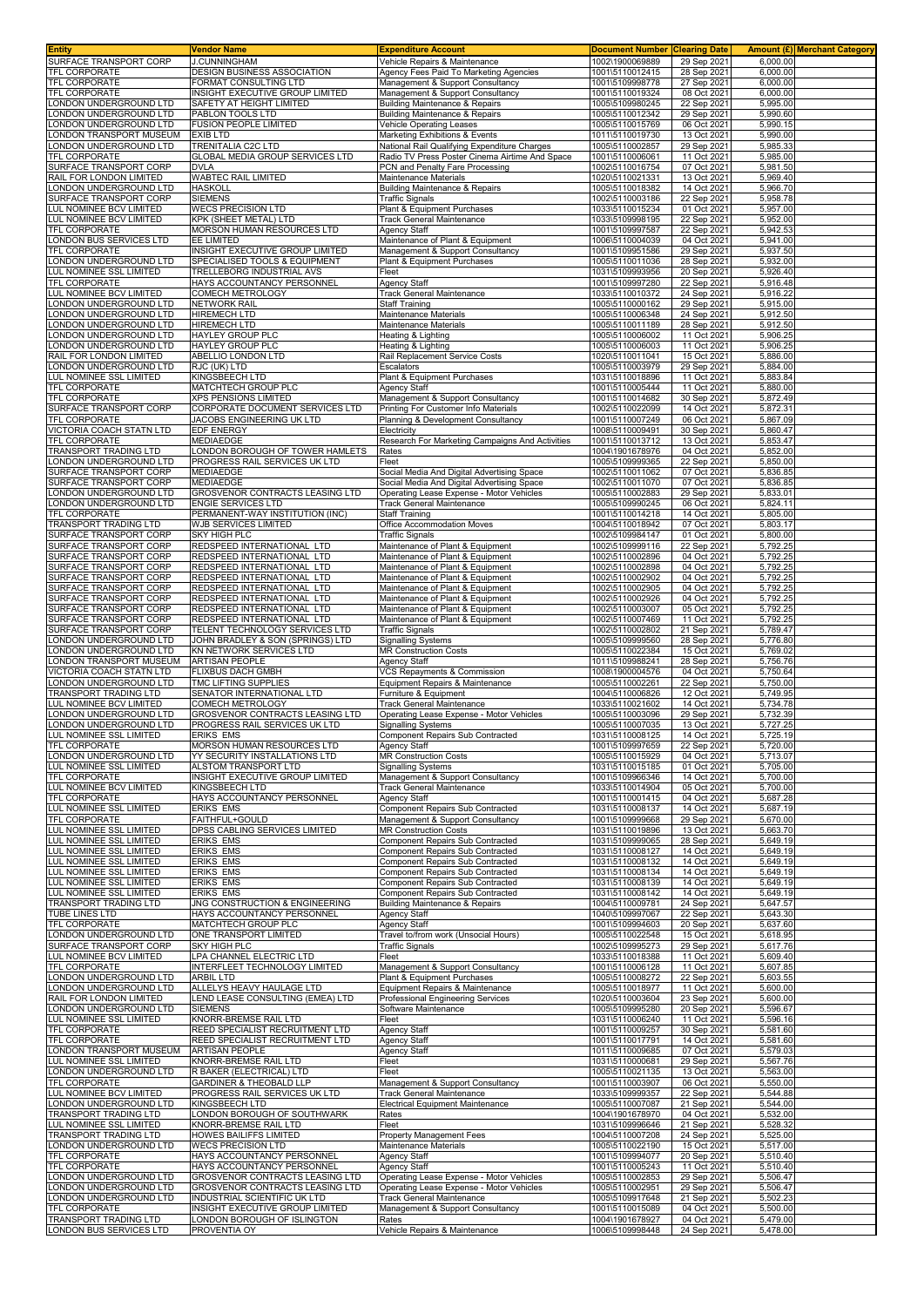| <b>Entity</b>                                      | <b>Vendor Name</b>                                            | <b>Expenditure Account</b>                                                             | <b>Document Number</b>             | <b>Clearing Date</b>       |                      | <b>Amount (£) Merchant Category</b> |
|----------------------------------------------------|---------------------------------------------------------------|----------------------------------------------------------------------------------------|------------------------------------|----------------------------|----------------------|-------------------------------------|
| SURFACE TRANSPORT CORP                             | <b>J.CUNNINGHAM</b>                                           | Vehicle Repairs & Maintenance                                                          | 1002\1900069889                    | 29 Sep 2021                | 6,000.00             |                                     |
| TFL CORPORATE                                      | DESIGN BUSINESS ASSOCIATION                                   | Agency Fees Paid To Marketing Agencies                                                 | 1001\5110012415                    | 28 Sep 2021                | 6,000.00             |                                     |
| TFL CORPORATE                                      | FORMAT CONSULTING LTD                                         | Management & Support Consultancy                                                       | 1001\5109998778                    | 27 Sep 2021                | 6,000.00             |                                     |
| TFL CORPORATE                                      | INSIGHT EXECUTIVE GROUP LIMITED                               | Management & Support Consultancy                                                       | 1001\5110019324                    | 08 Oct 2021                | 6,000.00             |                                     |
| LONDON UNDERGROUND LTD<br>ONDON UNDERGROUND LTD    | SAFETY AT HEIGHT LIMITED<br>PABLON TOOLS LTD                  | <b>Building Maintenance &amp; Repairs</b><br><b>Building Maintenance &amp; Repairs</b> | 1005\5109980245<br>1005\5110012342 | 22 Sep 2021<br>29 Sep 2021 | 5.995.00<br>5,990.60 |                                     |
|                                                    | <b>FUSION PEOPLE LIMITED</b>                                  |                                                                                        |                                    |                            |                      |                                     |
| ONDON UNDERGROUND LTD<br>ONDON TRANSPORT MUSEUM    | EXIB LTD                                                      | Vehicle Operating Leases                                                               | 1005\5110015769                    | 06 Oct 2021<br>13 Oct 2021 | 5,990.15<br>5.990.00 |                                     |
| ONDON UNDERGROUND LTD                              | TRENITALIA C2C LTD                                            | Marketing Exhibitions & Events<br>National Rail Qualifying Expenditure Charges         | 1011\5110019730<br>1005\5110002857 | 29 Sep 2021                | 5,985.33             |                                     |
| TFL CORPORATE                                      | GLOBAL MEDIA GROUP SERVICES LTD                               | Radio TV Press Poster Cinema Airtime And Space                                         | 1001\5110006061                    | 11 Oct 2021                | 5,985.00             |                                     |
| SURFACE TRANSPORT CORP                             | <b>DVLA</b>                                                   | PCN and Penalty Fare Processing                                                        | 1002\5110016754                    | 07 Oct 2021                | 5,981.50             |                                     |
| RAIL FOR LONDON LIMITED                            | WABTEC RAIL LIMITED                                           | Maintenance Materials                                                                  | 1020\5110021331                    | 13 Oct 2021                | 5,969.40             |                                     |
| LONDON UNDERGROUND LTD                             | <b>HASKOLL</b>                                                | <b>Building Maintenance &amp; Repairs</b>                                              | 1005\5110018382                    | 14 Oct 2021                | 5,966.70             |                                     |
| SURFACE TRANSPORT CORP                             | <b>SIEMENS</b>                                                | <b>Traffic Signals</b>                                                                 | 1002\5110003186                    | 22 Sep 2021                | 5,958.78             |                                     |
| LUL NOMINEE BCV LIMITED                            | <b>WECS PRECISION LTD</b>                                     | Plant & Equipment Purchases                                                            | 1033\5110015234                    | 01 Oct 2021                | 5,957.00             |                                     |
| LUL NOMINEE BCV LIMITED                            | KPK (SHEET METAL) LTD                                         | <b>Track General Maintenance</b>                                                       | 1033\5109998195                    | 22 Sep 2021                | 5,952.00             |                                     |
| TFL CORPORATE                                      | MORSON HUMAN RESOURCES LTD                                    | <b>Agency Staff</b>                                                                    | 1001\5109997587                    | 22 Sep 2021                | 5,942.53             |                                     |
| LONDON BUS SERVICES LTD                            | EE LIMITED                                                    | Maintenance of Plant & Equipment                                                       | 1006\5110004039                    | 04 Oct 2021                | 5,941.00             |                                     |
| TFL CORPORATE                                      | INSIGHT EXECUTIVE GROUP LIMITED                               | Management & Support Consultancy                                                       | 1001\5109951586                    | 29 Sep 2021                | 5,937.50             |                                     |
| LONDON UNDERGROUND LTD                             | SPECIALISED TOOLS & EQUIPMENT                                 | Plant & Equipment Purchases                                                            | 1005\5110011036                    | 28 Sep 2021                | 5,932.00             |                                     |
| LUL NOMINEE SSL LIMITED                            | TRELLEBORG INDUSTRIAL AVS                                     | Fleet                                                                                  | 1031\5109993956                    | 20 Sep 2021                | 5,926.40             |                                     |
| TFL CORPORATE                                      | HAYS ACCOUNTANCY PERSONNEL                                    | <b>Agency Staff</b>                                                                    | 1001\5109997280                    | 22 Sep 2021                | 5,916.48             |                                     |
| LUL NOMINEE BCV LIMITED                            | COMECH METROLOGY                                              | <b>Track General Maintenance</b>                                                       | 1033\5110010372                    | 24 Sep 2021                | 5,916.22             |                                     |
| ONDON UNDERGROUND LTD                              | <b>NETWORK RAIL</b>                                           | <b>Staff Training</b>                                                                  | 1005\5110000162                    | 29 Sep 2021                | 5,915.00             |                                     |
| ONDON UNDERGROUND LTD                              | <b>HIREMECH LTD</b>                                           | Maintenance Materials                                                                  | 1005\5110006348                    | 24 Sep 2021                | 5,912.50             |                                     |
| ONDON UNDERGROUND LTD                              | HIREMECH LTD                                                  | Maintenance Materials                                                                  | 1005\5110011189                    | 28 Sep 2021                | 5,912.50             |                                     |
| ONDON UNDERGROUND LTD                              | HAYLEY GROUP PLC                                              | Heating & Lighting                                                                     | 1005\5110006002                    | 11 Oct 2021                | 5,906.25             |                                     |
| ONDON UNDERGROUND LTD                              | HAYLEY GROUP PLC                                              | Heating & Lighting                                                                     | 1005\5110006003                    | 11 Oct 2021                | 5,906.25             |                                     |
| RAIL FOR LONDON LIMITED                            | ABELLIO LONDON LTD                                            | Rail Replacement Service Costs                                                         | 1020\5110011041                    | 15 Oct 2021                | 5,886.00             |                                     |
| ONDON UNDERGROUND LTD                              | RJC (UK) LTD                                                  | Escalators                                                                             | 1005\5110003979                    | 29 Sep 2021                | 5,884.00             |                                     |
| LUL NOMINEE SSL LIMITED                            | <b>KINGSBEECH LTD</b>                                         | Plant & Equipment Purchases                                                            | 1031\5110018896                    | 11 Oct 2021                | 5,883.84             |                                     |
| TFL CORPORATE                                      | MATCHTECH GROUP PLC                                           | Agency Staff                                                                           | 1001\5110005444                    | 11 Oct 2021                | 5,880.00             |                                     |
| TFL CORPORATE                                      | XPS PENSIONS LIMITED                                          | Management & Support Consultancy                                                       | 1001\5110014682                    | 30 Sep 2021                | 5,872.49             |                                     |
| SURFACE TRANSPORT CORP                             | CORPORATE DOCUMENT SERVICES LTD                               | Printing For Customer Info Materials                                                   | 1002\5110022099                    | 14 Oct 2021                | 5,872.31             |                                     |
| TFL CORPORATE                                      | JACOBS ENGINEERING UK LTD                                     | Planning & Development Consultancy                                                     | 1001\5110007249                    | 06 Oct 2021                | 5,867.09             |                                     |
| VICTORIA COACH STATN LTD                           | <b>EDF ENERGY</b>                                             | Electricity                                                                            | 1008\5110009491                    | 30 Sep 2021                | 5,860.47             |                                     |
| <b>TFL CORPORATE</b>                               | MEDIAEDGE                                                     | Research For Marketing Campaigns And Activities                                        | 1001\5110013712                    | 13 Oct 2021                | 5,853.47             |                                     |
| TRANSPORT TRADING LTD                              | ONDON BOROUGH OF TOWER HAMLETS                                | Rates                                                                                  | 1004\1901678976                    | 04 Oct 2021                | 5,852.00             |                                     |
| ONDON UNDERGROUND LTD                              | PROGRESS RAIL SERVICES UK LTD                                 | Fleet                                                                                  | 1005\5109999365                    | 22 Sep 2021                | 5,850.00             |                                     |
| SURFACE TRANSPORT CORP                             | MEDIAEDGE                                                     | Social Media And Digital Advertising Space                                             | 1002\5110011062<br>1002\5110011070 | 07 Oct 2021                | 5,836.85<br>5.836.85 |                                     |
| SURFACE TRANSPORT CORP                             | MEDIAEDGE<br>GROSVENOR CONTRACTS LEASING LTD                  | Social Media And Digital Advertising Space                                             | 1005\5110002883                    | 07 Oct 2021                |                      |                                     |
| ONDON UNDERGROUND LTD<br>ONDON UNDERGROUND LTD     | ENGIE SERVICES LTD                                            | Operating Lease Expense - Motor Vehicles                                               |                                    | 29 Sep 2021<br>06 Oct 2021 | 5,833.01<br>5,824.11 |                                     |
| TFL CORPORATE                                      | PERMANENT-WAY INSTITUTION (INC)                               | <b>Track General Maintenance</b><br><b>Staff Training</b>                              | 1005\5109990245<br>1001\5110014218 | 14 Oct 2021                | 5,805.00             |                                     |
| TRANSPORT TRADING LTD                              | WJB SERVICES LIMITED                                          | Office Accommodation Moves                                                             | 1004\5110018942                    | 07 Oct 2021                | 5,803.17             |                                     |
| SURFACE TRANSPORT CORP                             | SKY HIGH PLC                                                  | <b>Traffic Signals</b>                                                                 | 1002\5109984147                    | 01 Oct 2021                | 5,800.00             |                                     |
| SURFACE TRANSPORT CORP                             | REDSPEED INTERNATIONAL LTD                                    | Maintenance of Plant & Equipment                                                       | 1002\5109999116                    | 22 Sep 2021                | 5,792.25             |                                     |
| SURFACE TRANSPORT CORP                             | REDSPEED INTERNATIONAL LTD                                    | Maintenance of Plant & Equipment                                                       | 1002\5110002896                    | 04 Oct 2021                | 5,792.25             |                                     |
| SURFACE TRANSPORT CORP                             | REDSPEED INTERNATIONAL LTD                                    | Maintenance of Plant & Equipment                                                       | 1002\5110002898                    | 04 Oct 2021                | 5,792.25             |                                     |
| SURFACE TRANSPORT CORP                             | REDSPEED INTERNATIONAL LTD                                    | Maintenance of Plant & Equipment                                                       | 1002\5110002902                    | 04 Oct 2021                | 5,792.25             |                                     |
| SURFACE TRANSPORT CORP                             | REDSPEED INTERNATIONAL LTD                                    | Maintenance of Plant & Equipment                                                       | 1002\5110002905                    | 04 Oct 2021                | 5,792.25             |                                     |
| SURFACE TRANSPORT CORP                             | REDSPEED INTERNATIONAL LTD                                    | Maintenance of Plant & Equipment                                                       | 1002\5110002926                    | 04 Oct 2021                | 5,792.25             |                                     |
| SURFACE TRANSPORT CORP                             | REDSPEED INTERNATIONAL LTD                                    | Maintenance of Plant & Equipment                                                       | 1002\5110003007                    | 05 Oct 2021                | 5,792.25             |                                     |
| SURFACE TRANSPORT CORP                             | REDSPEED INTERNATIONAL LTD                                    | Maintenance of Plant & Equipment                                                       | 1002\5110007469                    | 11 Oct 2021                | 5,792.25             |                                     |
| SURFACE TRANSPORT CORP                             | TELENT TECHNOLOGY SERVICES LTD                                | <b>Traffic Signals</b>                                                                 | 1002\5110002802                    | 21 Sep 2021                | 5,789.47             |                                     |
| ONDON UNDERGROUND LTD                              | JOHN BRADLEY & SON (SPRINGS) LTD                              | <b>Signalling Systems</b>                                                              | 1005\5109999560                    | 28 Sep 2021                | 5,776.80             |                                     |
| ONDON UNDERGROUND LTD                              | KN NETWORK SERVICES LTD                                       | <b>MR Construction Costs</b>                                                           | 1005\5110022384                    | 15 Oct 2021                | 5,769.02             |                                     |
| ONDON TRANSPORT MUSEUM                             | <b>ARTISAN PEOPLE</b>                                         | Agency Staff                                                                           | 1011\5109988241                    | 28 Sep 2021                | 5,756.76             |                                     |
| VICTORIA COACH STATN LTD                           | <b>FLIXBUS DACH GMBH</b>                                      | VCS Repayments & Commission                                                            | 1008\1900004576                    | 04 Oct 2021                | 5,750.64             |                                     |
| ONDON UNDERGROUND LTD                              | TMC LIFTING SUPPLIES                                          | Equipment Repairs & Maintenance                                                        | 1005\5110002261                    | 22 Sep 2021                | 5,750.00             |                                     |
| TRANSPORT TRADING LTD                              | SENATOR INTERNATIONAL LTD                                     | Furniture & Equipment                                                                  | 1004\5110006826                    | 12 Oct 2021                | 5,749.95             |                                     |
| LUL NOMINEE BCV LIMITED                            | COMECH METROLOGY                                              | <b>Track General Maintenance</b>                                                       | 1033\5110021602                    | 14 Oct 2021                | 5,734.78             |                                     |
| ONDON UNDERGROUND LTD                              | GROSVENOR CONTRACTS LEASING LTD                               | Operating Lease Expense - Motor Vehicles                                               | 1005\5110003096                    | 29 Sep 2021                | 5,732.39             |                                     |
| ONDON UNDERGROUND LTD                              | PROGRESS RAIL SERVICES UK LTD                                 | <b>Signalling Systems</b>                                                              | 1005\5110007035                    | 13 Oct 2021                | 5.727.25             |                                     |
| LUL NOMINEE SSL LIMITED                            | ERIKS EMS                                                     | Component Repairs Sub Contracted                                                       | 1031\5110008125                    | 14 Oct 2021                | 5,725.19             |                                     |
| TFL CORPORATE                                      | <b>MORSON HUMAN RESOURCES LTD</b>                             | Agency Staff                                                                           | 1001\5109997659                    | 22 Sep 2021                | 5,720.00             |                                     |
| LONDON UNDERGROUND LTD                             | YY SECURITY INSTALLATIONS LTD                                 | <b>MR Construction Costs</b>                                                           | 1005\5110015929                    | 04 Oct 2021                | 5,713.07             |                                     |
| LUL NOMINEE SSL LIMITED                            | ALSTOM TRANSPORT LTD                                          | <b>Signalling Systems</b>                                                              | 1031\5110015185                    | 01 Oct 2021                | 5,705.00             |                                     |
| <b>TFL CORPORATE</b>                               | INSIGHT EXECUTIVE GROUP LIMITED                               | Management & Support Consultancy                                                       | 1001\5109966346                    | 14 Oct 2021                | 5,700.00             |                                     |
| LUL NOMINEE BCV LIMITED                            | <b>KINGSBEECH LTD</b>                                         | <b>Track General Maintenance</b>                                                       | 1033\5110014904                    | 05 Oct 2021                | 5.700.00             |                                     |
| TFL CORPORATE                                      | HAYS ACCOUNTANCY PERSONNEL                                    | <b>Agency Staff</b>                                                                    | 1001\5110001415                    | 04 Oct 2021                | 5,687.28             |                                     |
| LUL NOMINEE SSL LIMITED                            | ERIKS EMS                                                     | <b>Component Repairs Sub Contracted</b>                                                | 1031\5110008137                    | 14 Oct 2021                | 5,687.19             |                                     |
| TFL CORPORATE                                      | FAITHFUL+GOULD                                                | Management & Support Consultancy                                                       | 1001\5109999668                    | 29 Sep 2021                | 5,670.00             |                                     |
| LUL NOMINEE SSL LIMITED                            | DPSS CABLING SERVICES LIMITED                                 | <b>MR Construction Costs</b>                                                           | 1031\5110019896                    | 13 Oct 2021                | 5,663.70             |                                     |
| LUL NOMINEE SSL LIMITED                            | <b>ERIKS EMS</b>                                              | Component Repairs Sub Contracted                                                       | 1031\5109999065                    | 28 Sep 2021                | 5,649.19             |                                     |
| LUL NOMINEE SSL LIMITED                            | ERIKS EMS                                                     | Component Repairs Sub Contracted                                                       | 1031\5110008127                    | 14 Oct 2021                | 5,649.19             |                                     |
| LUL NOMINEE SSL LIMITED                            | <b>ERIKS EMS</b>                                              | <b>Component Repairs Sub Contracted</b>                                                | 1031\5110008132                    | 14 Oct 2021                | 5.649.19             |                                     |
| LUL NOMINEE SSL LIMITED<br>LUL NOMINEE SSL LIMITED | ERIKS EMS                                                     | Component Repairs Sub Contracted                                                       | 1031\5110008134                    | 14 Oct 2021                | 5,649.19<br>5,649.19 |                                     |
| LUL NOMINEE SSL LIMITED                            | ERIKS EMS<br>ERIKS EMS                                        | Component Repairs Sub Contracted<br>Component Repairs Sub Contracted                   | 1031\5110008139<br>1031\5110008142 | 14 Oct 2021<br>14 Oct 2021 | 5,649.19             |                                     |
| TRANSPORT TRADING LTD                              | JNG CONSTRUCTION & ENGINEERING                                | <b>Building Maintenance &amp; Repairs</b>                                              | 1004\5110009781                    | 24 Sep 2021                | 5,647.57             |                                     |
| TUBE LINES LTD                                     | HAYS ACCOUNTANCY PERSONNEL                                    | <b>Agency Staff</b>                                                                    | 1040\5109997067                    | 22 Sep 2021                | 5,643.30             |                                     |
| TFL CORPORATE                                      | MATCHTECH GROUP PLC                                           | <b>Agency Staff</b>                                                                    | 1001\5109994603                    | 20 Sep 2021                | 5,637.60             |                                     |
| LONDON UNDERGROUND LTD                             | ONE TRANSPORT LIMITED                                         | Travel to/from work (Unsocial Hours)                                                   | 1005\5110022548                    | 15 Oct 2021                | 5,618.95             |                                     |
| SURFACE TRANSPORT CORP                             | SKY HIGH PLC                                                  | <b>Traffic Signals</b>                                                                 | 1002\5109995273                    | 29 Sep 2021                | 5,617.76             |                                     |
| LUL NOMINEE BCV LIMITED                            | <b>LPA CHANNEL ELECTRIC LTD</b>                               | Fleet                                                                                  | 1033\5110018388                    | 11 Oct 2021                | 5,609.40             |                                     |
| TFL CORPORATE                                      | INTERFLEET TECHNOLOGY LIMITED                                 | Management & Support Consultancy                                                       | 1001\5110006128                    | 11 Oct 2021                | 5,607.85             |                                     |
| LONDON UNDERGROUND LTD                             | ARBIL LTD                                                     | Plant & Equipment Purchases                                                            | 1005\5110008272                    | 22 Sep 2021                | 5,603.55             |                                     |
| LONDON UNDERGROUND LTD                             | ALLELYS HEAVY HAULAGE LTD                                     | Equipment Repairs & Maintenance                                                        | 1005\5110018977                    | 11 Oct 2021                | 5,600.00             |                                     |
| RAIL FOR LONDON LIMITED                            | LEND LEASE CONSULTING (EMEA) LTD                              | Professional Engineering Services                                                      | 1020\5110003604                    | 23 Sep 2021                | 5,600.00             |                                     |
| LONDON UNDERGROUND LTD                             | <b>SIEMENS</b>                                                | Software Maintenance                                                                   | 1005\5109995280                    | 20 Sep 2021                | 5,596.67             |                                     |
| LUL NOMINEE SSL LIMITED                            | KNORR-BREMSE RAIL LTD                                         | Fleet                                                                                  | 1031\5110006240                    | 11 Oct 2021                | 5,596.16             |                                     |
| TFL CORPORATE                                      | REED SPECIALIST RECRUITMENT LTD                               | <b>Agency Staff</b>                                                                    | 1001\5110009257                    | 30 Sep 2021                | 5,581.60             |                                     |
| TFL CORPORATE                                      | REED SPECIALIST RECRUITMENT LTD                               | <b>Agency Staff</b>                                                                    | 1001\5110017791                    | 14 Oct 2021                | 5,581.60             |                                     |
| LONDON TRANSPORT MUSEUM                            | <b>ARTISAN PEOPLE</b>                                         | Agency Staff                                                                           | 1011\5110009685                    | 07 Oct 2021                | 5,579.03             |                                     |
| LUL NOMINEE SSL LIMITED                            | KNORR-BREMSE RAIL LTD                                         | Fleet                                                                                  | 1031\5110000681                    | 29 Sep 2021                | 5,567.76             |                                     |
| LONDON UNDERGROUND LTD                             | R BAKER (ELECTRICAL) LTD                                      | Fleet                                                                                  | 1005\5110021135                    | 13 Oct 2021                | 5,563.00             |                                     |
| TFL CORPORATE                                      | <b>GARDINER &amp; THEOBALD LLP</b>                            | Management & Support Consultancy                                                       | 1001\5110003907                    | 06 Oct 2021                | 5,550.00             |                                     |
| LUL NOMINEE BCV LIMITED                            | PROGRESS RAIL SERVICES UK LTD                                 | <b>Track General Maintenance</b>                                                       | 1033\5109999357                    | 22 Sep 2021                | 5,544.88             |                                     |
| LONDON UNDERGROUND LTD                             | KINGSBEECH LTD                                                | <b>Electrical Equipment Maintenance</b>                                                | 1005\5110007087                    | 21 Sep 2021                | 5,544.00             |                                     |
| TRANSPORT TRADING LTD                              | LONDON BOROUGH OF SOUTHWARK                                   | Rates                                                                                  | 1004\1901678970                    | 04 Oct 2021                | 5,532.00             |                                     |
| LUL NOMINEE SSL LIMITED                            | KNORR-BREMSE RAIL LTD                                         | Fleet                                                                                  | 1031\5109996646                    | 21 Sep 2021                | 5,528.32             |                                     |
| TRANSPORT TRADING LTD                              | HOWES BAILIFFS LIMITED                                        | Property Management Fees                                                               | 1004\5110007208                    | 24 Sep 2021                | 5,525.00             |                                     |
| LONDON UNDERGROUND LTD                             | <b>WECS PRECISION LTD</b>                                     | Maintenance Materials                                                                  | 1005\5110022190                    | 15 Oct 2021                | 5,517.00             |                                     |
| TFL CORPORATE                                      | HAYS ACCOUNTANCY PERSONNEL                                    | <b>Agency Staff</b>                                                                    | 1001\5109994077                    | 20 Sep 2021                | 5,510.40             |                                     |
| TFL CORPORATE                                      | HAYS ACCOUNTANCY PERSONNEL                                    | <b>Agency Staff</b>                                                                    | 1001\5110005243                    | 11 Oct 2021                | 5,510.40             |                                     |
| LONDON UNDERGROUND LTD                             | <b>GROSVENOR CONTRACTS LEASING LTD</b>                        | Operating Lease Expense - Motor Vehicles                                               | 1005\5110002853                    | 29 Sep 2021                | 5,506.47             |                                     |
| ONDON UNDERGROUND LTD                              | GROSVENOR CONTRACTS LEASING LTD                               | Operating Lease Expense - Motor Vehicles                                               | 1005\5110002951                    | 29 Sep 2021                | 5,506.47             |                                     |
| ONDON UNDERGROUND LTD                              | INDUSTRIAL SCIENTIFIC UK LTD                                  | <b>Track General Maintenance</b>                                                       | 1005\5109917648                    | 21 Sep 2021                | 5,502.23             |                                     |
| TFL CORPORATE<br>TRANSPORT TRADING LTD             | INSIGHT EXECUTIVE GROUP LIMITED<br>ONDON BOROUGH OF ISLINGTON | Management & Support Consultancy<br>Rates                                              | 1001\5110015089<br>1004\1901678927 | 04 Oct 2021<br>04 Oct 2021 | 5,500.00<br>5,479.00 |                                     |
| LONDON BUS SERVICES LTD                            | PROVENTIA OY                                                  | Vehicle Repairs & Maintenance                                                          | 1006\5109998448                    | 24 Sep 2021                | 5,478.00             |                                     |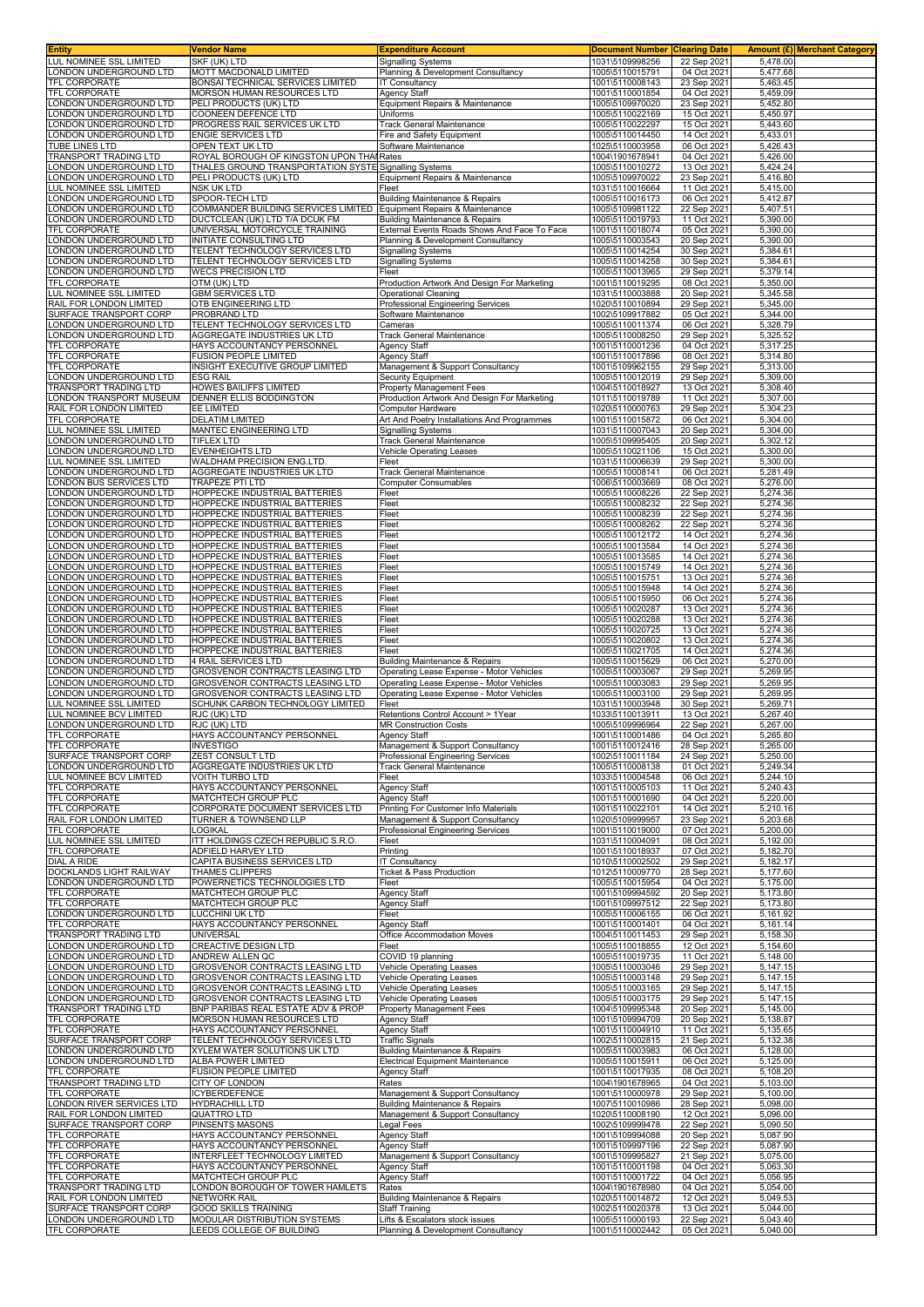| Entity                                                | <b>Vendor Name</b>                                                  | <b>Expenditure Account</b>                                                                | <b>Document Number</b>             | <b>Clearing Date</b>       |                      | Amount (£) Merchant Category |
|-------------------------------------------------------|---------------------------------------------------------------------|-------------------------------------------------------------------------------------------|------------------------------------|----------------------------|----------------------|------------------------------|
| LUL NOMINEE SSL LIMITED                               | SKF (UK) LTD                                                        | <b>Signalling Systems</b>                                                                 | 1031\5109998256                    | 22 Sep 2021                | 5,478.00             |                              |
| ONDON UNDERGROUND LTD<br><b>TFL CORPORATE</b>         | MOTT MACDONALD LIMITED<br>BONSAI TECHNICAL SERVICES LIMITED         | Planning & Development Consultancy<br><b>IT Consultancy</b>                               | 1005\5110015791<br>1001\5110008143 | 04 Oct 2021<br>23 Sep 2021 | 5,477.68<br>5,463.45 |                              |
| <b>TFL CORPORATE</b>                                  | MORSON HUMAN RESOURCES LTD                                          | <b>Agency Staff</b>                                                                       | 1001\5110001854                    | 04 Oct 2021                | 5,459.09             |                              |
| ONDON UNDERGROUND LTD                                 | PELI PRODUCTS (UK) LTD                                              | Equipment Repairs & Maintenance                                                           | 1005\5109970020                    | 23 Sep 2021                | 5,452.80             |                              |
| ONDON UNDERGROUND LTD                                 | COONEEN DEFENCE LTD                                                 | Uniforms                                                                                  | 1005\5110022169                    | 15 Oct 2021                | 5,450.97             |                              |
| ONDON UNDERGROUND LTD                                 | PROGRESS RAIL SERVICES UK LTD                                       | Track General Maintenance                                                                 | 1005\5110022297                    | 15 Oct 2021                | 5,443.60             |                              |
| ONDON UNDERGROUND LTD                                 | <b>ENGIE SERVICES LTD</b>                                           | Fire and Safety Equipment                                                                 | 1005\5110014450                    | 14 Oct 2021                | 5,433.01             |                              |
| <b>TUBE LINES LTD</b><br><b>FRANSPORT TRADING LTD</b> | OPEN TEXT UK LTD<br>ROYAL BOROUGH OF KINGSTON UPON THA              | Software Maintenance<br><b>Rates</b>                                                      | 1025\5110003958<br>1004\1901678941 | 06 Oct 2021<br>04 Oct 2021 | 5,426.43<br>5,426.00 |                              |
| ONDON UNDERGROUND LTD                                 | THALES GROUND TRANSPORTATION SYSTE Signalling Systems               |                                                                                           | 1005\5110010272                    | 13 Oct 2021                | 5,424.24             |                              |
| ONDON UNDERGROUND LTD.                                | PELI PRODUCTS (UK) LTD                                              | Equipment Repairs & Maintenance                                                           | 1005\5109970022                    | 23 Sep 202                 | 5,416.80             |                              |
| UL NOMINEE SSL LIMITED                                | NSK UK LTD                                                          | Fleet                                                                                     | 1031\5110016664                    | 11 Oct 2021                | 5,415.00             |                              |
| ONDON UNDERGROUND LTD                                 | SPOOR-TECH LTD                                                      | Building Maintenance & Repairs                                                            | 1005\5110016173                    | 06 Oct 2021                | 5,412.87             |                              |
| ONDON UNDERGROUND LTD                                 | COMMANDER BUILDING SERVICES LIMITED Equipment Repairs & Maintenance |                                                                                           | 1005\5109981122                    | 22 Sep 2021                | 5,407.51             |                              |
| ONDON UNDERGROUND LTD<br><b>TFL CORPORATE</b>         | DUCTCLEAN (UK) LTD T/A DCUK FM<br>UNIVERSAL MOTORCYCLE TRAINING     | <b>Building Maintenance &amp; Repairs</b><br>External Events Roads Shows And Face To Face | 1005\5110019793<br>1001\5110018074 | 11 Oct 2021<br>05 Oct 2021 | 5,390.00<br>5,390.00 |                              |
| ONDON UNDERGROUND LTD                                 | INITIATE CONSULTING LTD                                             | Planning & Development Consultancy                                                        | 1005\5110003543                    | 20 Sep 2021                | 5.390.00             |                              |
| ONDON UNDERGROUND LTD                                 | TELENT TECHNOLOGY SERVICES LTD                                      | <b>Signalling Systems</b>                                                                 | 1005\5110014254                    | 30 Sep 2021                | 5,384.61             |                              |
| ONDON UNDERGROUND LTD.                                | TELENT TECHNOLOGY SERVICES LTD                                      | <b>Signalling Systems</b>                                                                 | 1005\5110014258                    | 30 Sep 2021                | 5,384.61             |                              |
| ONDON UNDERGROUND LTD                                 | <b>WECS PRECISION LTD</b>                                           | Fleet                                                                                     | 1005\5110013965                    | 29 Sep 2021                | 5,379.14             |                              |
| <b>TFL CORPORATE</b><br>UL NOMINEE SSL LIMITED        | OTM (UK) LTD<br><b>GBM SERVICES LTD</b>                             | Production Artwork And Design For Marketing<br><b>Operational Cleaning</b>                | 1001\5110019295<br>1031\5110003888 | 08 Oct 2021<br>20 Sep 2021 | 5,350.00<br>5,345.58 |                              |
| RAIL FOR LONDON LIMITED                               | OTB ENGINEERING LTD                                                 | Professional Engineering Services                                                         | 1020\5110010894                    | 29 Sep 2021                | 5,345.00             |                              |
| SURFACE TRANSPORT CORP                                | PROBRAND LTD                                                        | Software Maintenance                                                                      | 1002\5109917882                    | 05 Oct 2021                | 5,344.00             |                              |
| ONDON UNDERGROUND LTD                                 | TELENT TECHNOLOGY SERVICES LTD                                      | Cameras                                                                                   | 1005\5110011374                    | 06 Oct 2021                | 5,328.79             |                              |
| ONDON UNDERGROUND LTD                                 | AGGREGATE INDUSTRIES UK LTD                                         | Track General Maintenance                                                                 | 1005\5110008250                    | 29 Sep 2021                | 5,325.52             |                              |
| <b>TFL CORPORATE</b>                                  | HAYS ACCOUNTANCY PERSONNEL                                          | <b>Agency Staff</b>                                                                       | 1001\5110001236                    | 04 Oct 202                 | 5,317.25             |                              |
| TFL CORPORATE<br><b>FEL CORPORATE</b>                 | FUSION PEOPLE LIMITED<br>INSIGHT EXECUTIVE GROUP LIMITED            | Agency Staff<br>Management & Support Consultancy                                          | 1001\5110017896<br>1001\5109962155 | 08 Oct 2021<br>29 Sep 2021 | 5,314.80<br>5,313.00 |                              |
| ONDON UNDERGROUND LTD.                                | ESG RAIL                                                            | <b>Security Equipment</b>                                                                 | 1005\5110012019                    | 29 Sep 2021                | 5,309.00             |                              |
| <b>FRANSPORT TRADING LTD</b>                          | HOWES BAILIFFS LIMITED                                              | <b>Property Management Fees</b>                                                           | 1004\5110018927                    | 13 Oct 2021                | 5,308.40             |                              |
| ONDON TRANSPORT MUSEUM                                | DENNER ELLIS BODDINGTON                                             | Production Artwork And Design For Marketing                                               | 1011\5110019789                    | 11 Oct 2021                | 5,307.00             |                              |
| RAIL FOR LONDON LIMITED                               | EE LIMITED                                                          | Computer Hardware                                                                         | 1020\5110000763                    | 29 Sep 2021                | 5,304.23             |                              |
| TFL CORPORATE<br>UL NOMINEE SSL LIMITED               | DELATIM LIMITED<br>MANTEC ENGINEERING LTD                           | Art And Poetry Installations And Programmes<br>Signalling Systems                         | 1001\5110015872<br>1031\5110007043 | 06 Oct 202<br>20 Sep 202   | 5,304.00<br>5,304.00 |                              |
| ONDON UNDERGROUND LTD                                 | TIFLEX LTD                                                          | Track General Maintenance                                                                 | 1005\5109995405                    | 20 Sep 2021                | 5,302.12             |                              |
| ONDON UNDERGROUND LTD                                 | <b>EVENHEIGHTS LTD</b>                                              | Vehicle Operating Leases                                                                  | 1005\5110021106                    | 15 Oct 2021                | 5,300.00             |                              |
| UL NOMINEE SSL LIMITED                                | WALDHAM PRECISION ENG.LTD                                           | Fleet                                                                                     | 1031\5110006639                    | 29 Sep 2021                | 5,300.00             |                              |
| ONDON UNDERGROUND LTD                                 | AGGREGATE INDUSTRIES UK LTD                                         | <b>Track General Maintenance</b>                                                          | 1005\5110008141                    | 06 Oct 2021                | 5,281.49             |                              |
| ONDON BUS SERVICES LTD                                | <b>TRAPEZE PTI LTD</b>                                              | <b>Computer Consumables</b>                                                               | 1006\5110003669                    | 08 Oct 2021                | 5.276.00             |                              |
| ONDON UNDERGROUND LTD                                 | HOPPECKE INDUSTRIAL BATTERIES<br>HOPPECKE INDUSTRIAL BATTERIES      | Fleet<br>Fleet                                                                            | 1005\5110008226<br>1005\5110008232 | 22 Sep 2021                | 5,274.36<br>5,274.36 |                              |
| ONDON UNDERGROUND LTD.<br>ONDON UNDERGROUND LTD       | HOPPECKE INDUSTRIAL BATTERIES                                       | Fleet                                                                                     | 1005\5110008239                    | 22 Sep 2021<br>22 Sep 2021 | 5,274.36             |                              |
| ONDON UNDERGROUND LTD                                 | HOPPECKE INDUSTRIAL BATTERIES                                       | Fleet                                                                                     | 1005\5110008262                    | 22 Sep 2021                | 5,274.36             |                              |
| ONDON UNDERGROUND LTD                                 | HOPPECKE INDUSTRIAL BATTERIES                                       | Fleet                                                                                     | 1005\5110012172                    | 14 Oct 2021                | 5,274.36             |                              |
| ONDON UNDERGROUND LTD.                                | HOPPECKE INDUSTRIAL BATTERIES                                       | Fleet                                                                                     | 1005\5110013584                    | 14 Oct 2021                | 5,274.36             |                              |
| ONDON UNDERGROUND LTD                                 | HOPPECKE INDUSTRIAL BATTERIES                                       | Fleet                                                                                     | 1005\5110013585                    | 14 Oct 2021                | 5,274.36             |                              |
| ONDON UNDERGROUND LTD                                 | HOPPECKE INDUSTRIAL BATTERIES                                       | Fleet                                                                                     | 1005\5110015749                    | 14 Oct 2021                | 5,274.36             |                              |
| ONDON UNDERGROUND LTD<br>ONDON UNDERGROUND LTD        | HOPPECKE INDUSTRIAL BATTERIES<br>HOPPECKE INDUSTRIAL BATTERIES      | Fleet<br>Fleet                                                                            | 1005\5110015751<br>1005\5110015948 | 13 Oct 2021<br>14 Oct 2021 | 5,274.36<br>5,274.36 |                              |
| ONDON UNDERGROUND LTD                                 | HOPPECKE INDUSTRIAL BATTERIES                                       | Fleet                                                                                     | 1005\5110015950                    | 06 Oct 2021                | 5,274.36             |                              |
| ONDON UNDERGROUND LTD                                 | HOPPECKE INDUSTRIAL BATTERIES                                       | Fleet                                                                                     | 1005\5110020287                    | 13 Oct 2021                | 5,274.36             |                              |
| ONDON UNDERGROUND LTD.                                | HOPPECKE INDUSTRIAL BATTERIES                                       | Fleet                                                                                     | 1005\5110020288                    | 13 Oct 2021                | 5,274.36             |                              |
| ONDON UNDERGROUND LTD                                 | HOPPECKE INDUSTRIAL BATTERIES                                       | Fleet                                                                                     | 1005\5110020725                    | 13 Oct 2021                | 5,274.36             |                              |
| ONDON UNDERGROUND LTD.                                | HOPPECKE INDUSTRIAL BATTERIES                                       | Fleet                                                                                     | 1005\5110020802                    | 13 Oct 2021                | 5,274.36             |                              |
| ONDON UNDERGROUND LTD<br>ONDON UNDERGROUND LTD        | HOPPECKE INDUSTRIAL BATTERIES<br>4 RAIL SERVICES LTD                | Fleet<br><b>Building Maintenance &amp; Repairs</b>                                        | 1005\5110021705<br>1005\5110015629 | 14 Oct 2021<br>06 Oct 2021 | 5,274.36<br>5,270.00 |                              |
| ONDON UNDERGROUND LTD                                 | GROSVENOR CONTRACTS LEASING LTD                                     | Operating Lease Expense - Motor Vehicles                                                  | 1005\5110003067                    | 29 Sep 2021                | 5,269.95             |                              |
| ONDON UNDERGROUND LTD                                 | <b>GROSVENOR CONTRACTS LEASING LTD</b>                              | Operating Lease Expense - Motor Vehicles                                                  | 1005\5110003083                    | 29 Sep 2021                | 5,269.95             |                              |
| ONDON UNDERGROUND LTD                                 | GROSVENOR CONTRACTS LEASING LTD                                     | Operating Lease Expense - Motor Vehicles                                                  | 1005\5110003100                    | 29 Sep 2021                | 5,269.95             |                              |
| UL NOMINEE SSL LIMITED                                | SCHUNK CARBON TECHNOLOGY LIMITED                                    | Fleet                                                                                     | 1031\5110003948                    | 30 Sep 2021                | 5,269.71             |                              |
| UL NOMINEE BCV LIMITED<br>ONDON UNDERGROUND LTD       | RJC (UK) LTD<br>RJC (UK) LTD                                        | Retentions Control Account > 1Year                                                        | 1033\5110013911<br>1005\5109996964 | 13 Oct 2021                | 5,267.40<br>5,267.00 |                              |
| <b>TFL CORPORATE</b>                                  | HAYS ACCOUNTANCY PERSONNEL                                          | <b>MR Construction Costs</b><br>Agency Staff                                              | 1001\5110001486                    | 22 Sep 2021<br>04 Oct 2021 | 5,265.80             |                              |
| TFL CORPORATE                                         | INVESTIGO                                                           | Management & Support Consultancy                                                          | 1001\5110012416                    | 28 Sep 2021                | 5,265.00             |                              |
| SURFACE TRANSPORT CORP                                | <b>ZEST CONSULT LTD</b>                                             | Professional Engineering Services                                                         | 1002\5110011184                    | 24 Sep 2021                | 5,250.00             |                              |
| ONDON UNDERGROUND LTD                                 | AGGREGATE INDUSTRIES UK LTD                                         | Track General Maintenance                                                                 | 1005\5110008138                    | 01 Oct 2021                | 5.249.34             |                              |
| LUL NOMINEE BCV LIMITED                               | <b>VOITH TURBO LTD</b>                                              | Fleet                                                                                     | 1033\5110004548                    | 06 Oct 2021                | 5,244.10             |                              |
| TFL CORPORATE<br>TFL CORPORATE                        | HAYS ACCOUNTANCY PERSONNEL<br>MATCHTECH GROUP PLC                   | <b>Agency Staff</b><br>Agency Staff                                                       | 1001\5110005103<br>1001\5110001690 | 11 Oct 2021<br>04 Oct 2021 | 5,240.43<br>5,220.00 |                              |
| TFL CORPORATE                                         | CORPORATE DOCUMENT SERVICES LTD                                     | Printing For Customer Info Materials                                                      | 1001\5110022101                    | 14 Oct 2021                | 5,210.16             |                              |
| RAIL FOR LONDON LIMITED                               | <b>TURNER &amp; TOWNSEND LLP</b>                                    | Management & Support Consultancy                                                          | 1020\5109999957                    | 23 Sep 2021                | 5,203.68             |                              |
| TFL CORPORATE                                         | LOGIKAL                                                             | Professional Engineering Services                                                         | 1001\5110019000                    | 07 Oct 2021                | 5,200.00             |                              |
| LUL NOMINEE SSL LIMITED                               | ITT HOLDINGS CZECH REPUBLIC S.R.O.                                  | Fleet                                                                                     | 1031\5110004091                    | 08 Oct 2021                | 5,192.00             |                              |
| TFL CORPORATE<br>DIAL A RIDE                          | ADFIELD HARVEY LTD<br>CAPITA BUSINESS SERVICES LTD                  | Printing<br>IT Consultancy                                                                | 1001\5110018937<br>1010\5110002502 | 07 Oct 2021<br>29 Sep 2021 | 5,182.70<br>5,182.17 |                              |
| DOCKLANDS LIGHT RAILWAY                               | THAMES CLIPPERS                                                     | <b>Ticket &amp; Pass Production</b>                                                       | 1012\5110009770                    | 28 Sep 2021                | 5,177.60             |                              |
| ONDON UNDERGROUND LTD                                 | POWERNETICS TECHNOLOGIES LTD                                        | Fleet                                                                                     | 1005\5110015954                    | 04 Oct 2021                | 5,175.00             |                              |
| TFL CORPORATE                                         | MATCHTECH GROUP PLC                                                 | Agency Staff                                                                              | 1001\5109994592                    | 20 Sep 2021                | 5,173.80             |                              |
| TFL CORPORATE                                         | MATCHTECH GROUP PLC                                                 | <b>Agency Staff</b>                                                                       | 1001\5109997512                    | 22 Sep 2021                | 5,173.80             |                              |
| ONDON UNDERGROUND LTD<br>TFL CORPORATE                | LUCCHINI UK LTD<br>HAYS ACCOUNTANCY PERSONNEL                       | Fleet<br>Agency Staff                                                                     | 1005\5110006155<br>1001\5110001401 | 06 Oct 2021<br>04 Oct 2021 | 5,161.92<br>5,161.14 |                              |
| TRANSPORT TRADING LTD                                 | UNIVERSAL                                                           | Office Accommodation Moves                                                                | 1004\5110011453                    | 29 Sep 2021                | 5,158.30             |                              |
| ONDON UNDERGROUND LTD                                 | CREACTIVE DESIGN LTD                                                | Fleet                                                                                     | 1005\5110018855                    | 12 Oct 2021                | 5,154.60             |                              |
| ONDON UNDERGROUND LTD                                 | ANDREW ALLEN QC                                                     | COVID 19 planning                                                                         | 1005\5110019735                    | 11 Oct 2021                | 5,148.00             |                              |
| ONDON UNDERGROUND LTD                                 | GROSVENOR CONTRACTS LEASING LTD                                     | <b>Vehicle Operating Leases</b>                                                           | 1005\5110003046                    | 29 Sep 2021                | 5,147.15             |                              |
| ONDON UNDERGROUND LTD<br>ONDON UNDERGROUND LTD        | GROSVENOR CONTRACTS LEASING LTD<br>GROSVENOR CONTRACTS LEASING LTD  | Vehicle Operating Leases                                                                  | 1005\5110003148<br>1005\5110003165 | 29 Sep 2021                | 5,147.15<br>5,147.15 |                              |
| ONDON UNDERGROUND LTD                                 | GROSVENOR CONTRACTS LEASING LTD                                     | <b>Vehicle Operating Leases</b><br>Vehicle Operating Leases                               | 1005\5110003175                    | 29 Sep 2021<br>29 Sep 2021 | 5,147.15             |                              |
| TRANSPORT TRADING LTD                                 | BNP PARIBAS REAL ESTATE ADV & PROP                                  | <b>Property Management Fees</b>                                                           | 1004\5109995348                    | 20 Sep 2021                | 5,145.00             |                              |
| TFL CORPORATE                                         | MORSON HUMAN RESOURCES LTD                                          | Agency Staff                                                                              | 1001\5109994709                    | 20 Sep 2021                | 5,138.87             |                              |
| TFL CORPORATE                                         | HAYS ACCOUNTANCY PERSONNEL                                          | <b>Agency Staff</b>                                                                       | 1001\5110004910                    | 11 Oct 2021                | 5,135.65             |                              |
| SURFACE TRANSPORT CORP                                | TELENT TECHNOLOGY SERVICES LTD                                      | <b>Traffic Signals</b>                                                                    | 1002\5110002815                    | 21 Sep 2021                | 5,132.38             |                              |
| ONDON UNDERGROUND LTD<br>ONDON UNDERGROUND LTD        | XYLEM WATER SOLUTIONS UK LTD<br>ALBA POWER LIMITED                  | Building Maintenance & Repairs<br><b>Electrical Equipment Maintenance</b>                 | 1005\5110003983<br>1005\5110015911 | 06 Oct 2021<br>06 Oct 2021 | 5,128.00<br>5,125.00 |                              |
| TFL CORPORATE                                         | <b>FUSION PEOPLE LIMITED</b>                                        | Agency Staff                                                                              | 1001\5110017935                    | 08 Oct 2021                | 5,108.20             |                              |
| TRANSPORT TRADING LTD                                 | CITY OF LONDON                                                      | Rates                                                                                     | 1004\1901678965                    | 04 Oct 2021                | 5,103.00             |                              |
| TFL CORPORATE                                         | <b>ICYBERDEFENCE</b>                                                | Management & Support Consultancy                                                          | 1001\5110000978                    | 29 Sep 2021                | 5,100.00             |                              |
| ONDON RIVER SERVICES LTD                              | HYDRACHILL LTD                                                      | <b>Building Maintenance &amp; Repairs</b>                                                 | 1007\5110010986                    | 28 Sep 2021                | 5,098.00             |                              |
| RAIL FOR LONDON LIMITED                               | <b>QUATTRO LTD</b>                                                  | Management & Support Consultancy<br>Legal Fees                                            | 1020\5110008190                    | 12 Oct 2021                | 5,096.00<br>5,090.50 |                              |
| SURFACE TRANSPORT CORP<br>TFL CORPORATE               | PINSENTS MASONS<br>HAYS ACCOUNTANCY PERSONNEL                       | <b>Agency Staff</b>                                                                       | 1002\5109999478<br>1001\5109994088 | 22 Sep 2021<br>20 Sep 2021 | 5,087.90             |                              |
| TFL CORPORATE                                         | HAYS ACCOUNTANCY PERSONNEL                                          | <b>Agency Staff</b>                                                                       | 1001\5109997196                    | 22 Sep 2021                | 5,087.90             |                              |
| TFL CORPORATE                                         | INTERFLEET TECHNOLOGY LIMITED                                       | Management & Support Consultancy                                                          | 1001\5109995827                    | 21 Sep 2021                | 5,075.00             |                              |
| TFL CORPORATE                                         | HAYS ACCOUNTANCY PERSONNEL                                          | <b>Agency Staff</b>                                                                       | 1001\5110001198                    | 04 Oct 2021                | 5,063.30             |                              |
| TFL CORPORATE                                         | MATCHTECH GROUP PLC                                                 | Agency Staff                                                                              | 1001\5110001722                    | 04 Oct 2021                | 5,056.95             |                              |
| TRANSPORT TRADING LTD<br>RAIL FOR LONDON LIMITED      | ONDON BOROUGH OF TOWER HAMLETS<br>NETWORK RAIL                      | Rates<br><b>Building Maintenance &amp; Repairs</b>                                        | 1004\1901678980<br>1020\5110014872 | 04 Oct 2021<br>12 Oct 2021 | 5,054.00<br>5,049.53 |                              |
| SURFACE TRANSPORT CORP                                | GOOD SKILLS TRAINING                                                | <b>Staff Training</b>                                                                     | 1002\5110020378                    | 13 Oct 2021                | 5,044.00             |                              |
| ONDON UNDERGROUND LTD                                 | MODULAR DISTRIBUTION SYSTEMS                                        | Lifts & Escalators stock issues                                                           | 1005\5110000193                    | 22 Sep 2021                | 5,043.40             |                              |
| TFL CORPORATE                                         | LEEDS COLLEGE OF BUILDING                                           | Planning & Development Consultancy                                                        | 1001\5110002442                    | 05 Oct 2021                | 5,040.00             |                              |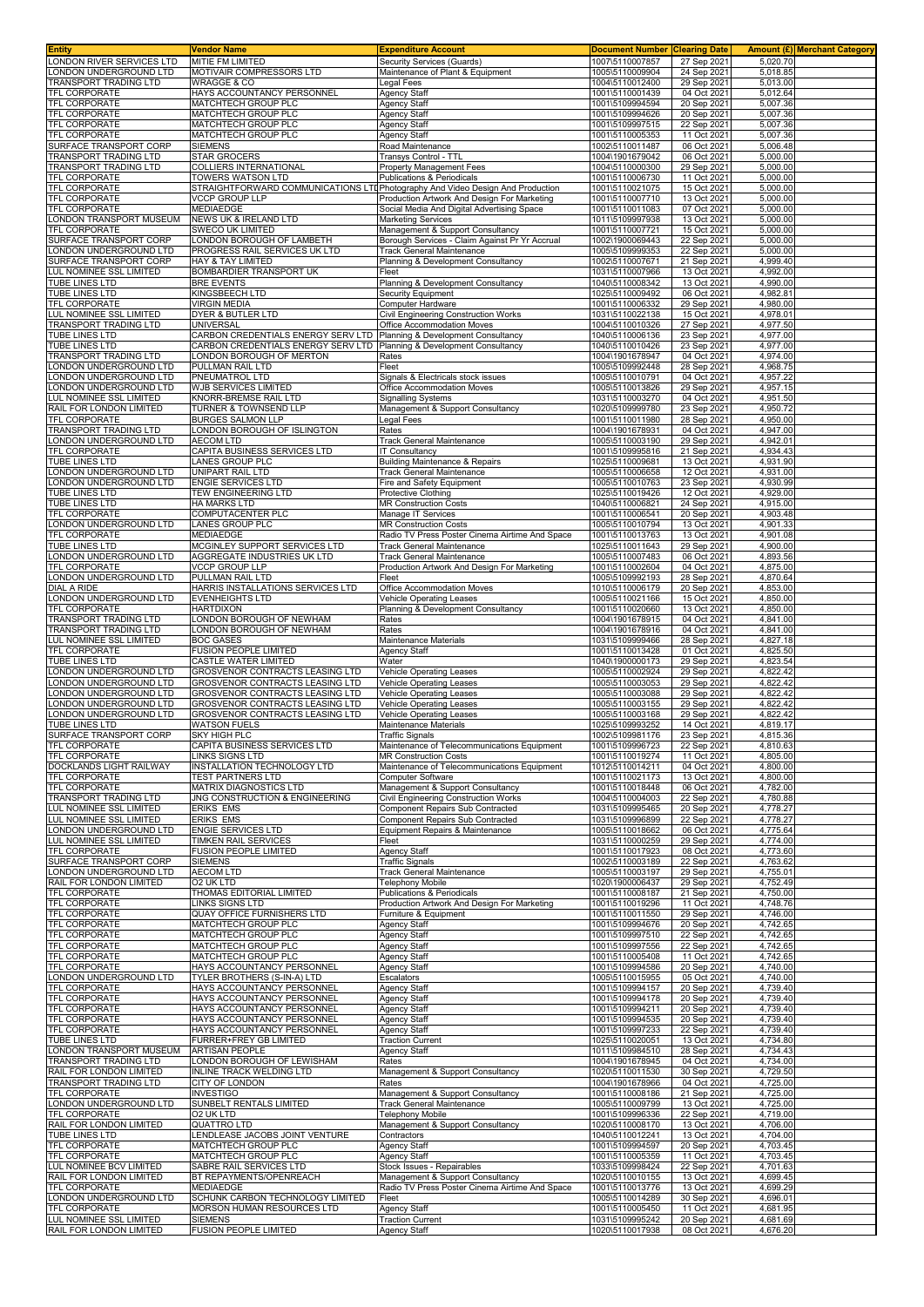| <b>Entity</b>                                      | Vendor Name                                                                   | <b>Expenditure Account</b>                                                                | <b>Document Number</b>             | <b>Clearing Date</b>       |                                   | Amount (£) Merchant Category |
|----------------------------------------------------|-------------------------------------------------------------------------------|-------------------------------------------------------------------------------------------|------------------------------------|----------------------------|-----------------------------------|------------------------------|
| LONDON RIVER SERVICES LTD                          | MITIE FM LIMITED<br>MOTIVAIR COMPRESSORS LTD                                  | Security Services (Guards)                                                                | 1007\5110007857<br>1005\5110009904 | 27 Sep 2021                | 5,020.70                          |                              |
| LONDON UNDERGROUND LTD<br>TRANSPORT TRADING LTD    | <b>WRAGGE &amp; CO</b>                                                        | Maintenance of Plant & Equipment<br>Legal Fees                                            | 1004\5110012400                    | 24 Sep 2021<br>29 Sep 2021 | 5,018.85<br>$5,013.\overline{00}$ |                              |
| TFL CORPORATE                                      | HAYS ACCOUNTANCY PERSONNEL                                                    | <b>Agency Staff</b>                                                                       | 1001\5110001439                    | 04 Oct 2021                | 5,012.64                          |                              |
| TFL CORPORATE                                      | MATCHTECH GROUP PLC                                                           | Agency Staff                                                                              | 1001\5109994594                    | 20 Sep 2021                | 5,007.36                          |                              |
| TFL CORPORATE                                      | MATCHTECH GROUP PLC                                                           | Agency Staff                                                                              | 1001\5109994626                    | 20 Sep 2021                | 5,007.36                          |                              |
| <b>TFL CORPORATE</b>                               | MATCHTECH GROUP PLC                                                           | Agency Staff                                                                              | 1001\5109997515                    | 22 Sep 2021                | 5,007.36                          |                              |
| TFL CORPORATE<br>SURFACE TRANSPORT CORP            | MATCHTECH GROUP PLC<br><b>SIEMENS</b>                                         | Agency Staff<br>Road Maintenance                                                          | 1001\5110005353<br>1002\5110011487 | 11 Oct 2021<br>06 Oct 2021 | 5,007.36<br>5,006.48              |                              |
| TRANSPORT TRADING LTD                              | <b>STAR GROCERS</b>                                                           | <b>Transys Control - TTL</b>                                                              | 1004\1901679042                    | 06 Oct 2021                | 5,000.00                          |                              |
| TRANSPORT TRADING LTD                              | COLLIERS INTERNATIONAL                                                        | <b>Property Management Fees</b>                                                           | 1004\5110000300                    | 29 Sep 2021                | 5,000.00                          |                              |
| TFL CORPORATE                                      | TOWERS WATSON LTD                                                             | <b>Publications &amp; Periodicals</b>                                                     | 1001\5110006730                    | 11 Oct 2021                | 5,000.00                          |                              |
| TFL CORPORATE                                      | STRAIGHTFORWARD COMMUNICATIONS LTDPhotography And Video Design And Production |                                                                                           | 1001\5110021075                    | 15 Oct 2021                | 5,000.00                          |                              |
| TFL CORPORATE<br>TFL CORPORATE                     | <b>VCCP GROUP LLP</b><br>MEDIAEDGE                                            | Production Artwork And Design For Marketing<br>Social Media And Digital Advertising Space | 1001\5110007710<br>1001\5110011083 | 13 Oct 2021<br>07 Oct 2021 | 5,000.00<br>5,000.00              |                              |
| ONDON TRANSPORT MUSEUM                             | NEWS UK & IRELAND LTD                                                         | <b>Marketing Services</b>                                                                 | 1011\5109997938                    | 13 Oct 2021                | 5,000.00                          |                              |
| TFL CORPORATE                                      | <b>SWECO UK LIMITED</b>                                                       | Management & Support Consultancy                                                          | 1001\5110007721                    | 15 Oct 2021                | 5,000.00                          |                              |
| SURFACE TRANSPORT CORP                             | LONDON BOROUGH OF LAMBETH                                                     | Borough Services - Claim Against Pr Yr Accrual                                            | 1002\1900069443                    | 22 Sep 2021                | 5.000.00                          |                              |
| LONDON UNDERGROUND LTD<br>SURFACE TRANSPORT CORP   | PROGRESS RAIL SERVICES UK LTD<br><b>HAY &amp; TAY LIMITED</b>                 | <b>Track General Maintenance</b>                                                          | 1005\5109999353                    | 22 Sep 2021                | 5,000.00<br>4,999.40              |                              |
| LUL NOMINEE SSL LIMITED                            | BOMBARDIER TRANSPORT UK                                                       | Planning & Development Consultancy<br>Fleet                                               | 1002\5110007671<br>1031\5110007966 | 21 Sep 2021<br>13 Oct 2021 | 4,992.00                          |                              |
| TUBE LINES LTD                                     | <b>BRE EVENTS</b>                                                             | Planning & Development Consultancy                                                        | 1040\5110008342                    | 13 Oct 2021                | 4,990.00                          |                              |
| TUBE LINES LTD                                     | KINGSBEECH LTD                                                                | Security Equipment                                                                        | 1025\5110009492                    | 06 Oct 2021                | 4,982.81                          |                              |
| TFL CORPORATE                                      | <b>VIRGIN MEDIA</b>                                                           | <b>Computer Hardware</b>                                                                  | 1001\5110006332                    | 29 Sep 2021                | 4,980.00                          |                              |
| LUL NOMINEE SSL LIMITED<br>TRANSPORT TRADING LTD   | DYER & BUTLER LTD<br>UNIVERSAL                                                | Civil Engineering Construction Works<br>Office Accommodation Moves                        | 1031\5110022138<br>1004\5110010326 | 15 Oct 2021<br>27 Sep 2021 | 4,978.01<br>4,977.50              |                              |
| TUBE LINES LTD                                     | CARBON CREDENTIALS ENERGY SERV LTD                                            | Planning & Development Consultancy                                                        | 1040\5110006136                    | 23 Sep 2021                | 4,977.00                          |                              |
| TUBE LINES LTD                                     | CARBON CREDENTIALS ENERGY SERV LTD                                            | Planning & Development Consultancy                                                        | 1040\5110010426                    | 23 Sep 2021                | 4,977.00                          |                              |
| TRANSPORT TRADING LTD                              | LONDON BOROUGH OF MERTON                                                      | Rates                                                                                     | 1004\1901678947                    | 04 Oct 2021                | 4.974.00                          |                              |
| ONDON UNDERGROUND LTD<br>ONDON UNDERGROUND LTD     | PULLMAN RAIL LTD<br>PNEUMATROL LTD                                            | Fleet<br>Signals & Electricals stock issues                                               | 1005\5109992448<br>1005\5110010791 | 28 Sep 2021<br>04 Oct 2021 | 4,968.75<br>4,957.22              |                              |
| ONDON UNDERGROUND LTD                              | WJB SERVICES LIMITED                                                          | Office Accommodation Moves                                                                | 1005\5110013826                    | 29 Sep 2021                | 4,957.15                          |                              |
| <b>LUL NOMINEE SSL LIMITED</b>                     | KNORR-BREMSE RAIL LTD                                                         | Signalling Systems                                                                        | 1031\5110003270                    | 04 Oct 2021                | 4,951.50                          |                              |
| RAIL FOR LONDON LIMITED                            | TURNER & TOWNSEND LLP                                                         | Management & Support Consultancy                                                          | 1020\5109999780                    | 23 Sep 2021                | 4,950.72                          |                              |
| <b>TFL CORPORATE</b><br>TRANSPORT TRADING LTD      | BURGES SALMON LLP<br>LONDON BOROUGH OF ISLINGTON                              | Legal Fees<br>Rates                                                                       | 1001\5110011980<br>1004\1901678931 | 28 Sep 2021<br>04 Oct 2021 | 4,950.00<br>4,947.00              |                              |
| ONDON UNDERGROUND LTD                              | <b>AECOM LTD</b>                                                              | Track General Maintenance                                                                 | 1005\5110003190                    | 29 Sep 2021                | 4,942.01                          |                              |
| TFL CORPORATE                                      | CAPITA BUSINESS SERVICES LTD                                                  | <b>IT Consultancy</b>                                                                     | 1001\5109995816                    | 21 Sep 2021                | 4,934.43                          |                              |
| TUBE LINES LTD                                     | LANES GROUP PLC                                                               | Building Maintenance & Repairs                                                            | 1025\5110009681                    | 13 Oct 2021                | 4,931.90                          |                              |
| ONDON UNDERGROUND LTD                              | UNIPART RAIL LTD                                                              | Track General Maintenance                                                                 | 1005\5110006658                    | 12 Oct 2021                | 4,931.00                          |                              |
| ONDON UNDERGROUND LTD.<br><b>TUBE LINES LTD</b>    | <b>ENGIE SERVICES LTD</b><br>TEW ENGINEERING LTD                              | Fire and Safety Equipment<br>Protective Clothing                                          | 1005\5110010763<br>1025\5110019426 | 23 Sep 2021<br>12 Oct 2021 | 4,930.99<br>4,929.00              |                              |
| TUBE LINES LTD                                     | <b>HA MARKS LTD</b>                                                           | <b>MR Construction Costs</b>                                                              | 1040\5110006821                    | 24 Sep 2021                | 4,915.00                          |                              |
| TFL CORPORATE                                      | COMPUTACENTER PLC                                                             | Manage IT Services                                                                        | 1001\5110006541                    | 20 Sep 2021                | 4,903.48                          |                              |
| LONDON UNDERGROUND LTD                             | LANES GROUP PLC                                                               | <b>MR Construction Costs</b>                                                              | 1005\5110010794                    | 13 Oct 2021                | 4,901.33                          |                              |
| TFL CORPORATE<br>TUBE LINES LTD                    | <b>MEDIAEDGE</b><br>MCGINLEY SUPPORT SERVICES LTD                             | Radio TV Press Poster Cinema Airtime And Space<br>Track General Maintenance               | 1001\5110013763<br>1025\5110011643 | 13 Oct 2021<br>29 Sep 2021 | 4,901.08<br>4,900.00              |                              |
| LONDON UNDERGROUND LTD                             | AGGREGATE INDUSTRIES UK LTD                                                   | Track General Maintenance                                                                 | 1005\5110007483                    | 06 Oct 2021                | 4,893.56                          |                              |
| TFL CORPORATE                                      | <b>VCCP GROUP LLP</b>                                                         | Production Artwork And Design For Marketing                                               | 1001\5110002604                    | 04 Oct 2021                | 4,875.00                          |                              |
| LONDON UNDERGROUND LTD                             | PULLMAN RAIL LTD                                                              | Fleet                                                                                     | 1005\5109992193                    | 28 Sep 2021                | 4,870.64                          |                              |
| DIAL A RIDE                                        | HARRIS INSTALLATIONS SERVICES LTD                                             | Office Accommodation Moves                                                                | 1010\5110006179                    | 20 Sep 2021                | 4,853.00                          |                              |
| ONDON UNDERGROUND LTD<br>TFL CORPORATE             | <b>EVENHEIGHTS LTD</b><br><b>HARTDIXON</b>                                    | Vehicle Operating Leases<br>Planning & Development Consultancy                            | 1005\5110021166<br>1001\5110020660 | 15 Oct 2021<br>13 Oct 2021 | 4,850.00<br>4,850.00              |                              |
| TRANSPORT TRADING LTD                              | LONDON BOROUGH OF NEWHAM                                                      | Rates                                                                                     | 1004\1901678915                    | 04 Oct 2021                | 4,841.00                          |                              |
| TRANSPORT TRADING LTD                              | LONDON BOROUGH OF NEWHAM                                                      | Rates                                                                                     | 1004\1901678916                    | 04 Oct 202                 | 4,841.00                          |                              |
| LUL NOMINEE SSL LIMITED<br><b>TFL CORPORATE</b>    | <b>BOC GASES</b>                                                              | Maintenance Materials                                                                     | 1031\5109999466                    | 28 Sep 2021                | 4,827.18                          |                              |
| TUBE LINES LTD                                     | FUSION PEOPLE LIMITED<br>CASTLE WATER LIMITED                                 | Agency Staff<br>Water                                                                     | 1001\5110013428<br>1040\1900000173 | 01 Oct 2021<br>29 Sep 202  | 4,825.50<br>4,823.54              |                              |
| LONDON UNDERGROUND LTD                             | <b>GROSVENOR CONTRACTS LEASING LTD</b>                                        | Vehicle Operating Leases                                                                  | 1005\5110002924                    | 29 Sep 2021                | 4,822.42                          |                              |
| ONDON UNDERGROUND LTD                              | GROSVENOR CONTRACTS LEASING LTD                                               | Vehicle Operating Leases                                                                  | 1005\5110003053                    | 29 Sep 2021                | 4,822.42                          |                              |
| ONDON UNDERGROUND LTD                              | GROSVENOR CONTRACTS LEASING LTD                                               | <b>Vehicle Operating Leases</b>                                                           | 1005\5110003088                    | 29 Sep 2021                | 4,822.42                          |                              |
| ONDON UNDERGROUND LTD.<br>ONDON UNDERGROUND LTD    | <b>GROSVENOR CONTRACTS LEASING LTD</b><br>GROSVENOR CONTRACTS LEASING LTD     | Vehicle Operating Leases<br><b>Vehicle Operating Leases</b>                               | 1005\5110003155<br>1005\5110003168 | 29 Sep 2021<br>29 Sep 2021 | 4,822.42<br>4.822.42              |                              |
| TUBE LINES LTD                                     | WATSON FUELS                                                                  | Maintenance Materials                                                                     | 1025\5109993252                    | 14 Oct 2021                | 4,819.17                          |                              |
| SURFACE TRANSPORT CORP                             | <b>SKY HIGH PLC</b>                                                           | Traffic Signals                                                                           | 1002\5109981176                    | 23 Sep 2021                | 4,815.36                          |                              |
| TFL CORPORATE                                      | CAPITA BUSINESS SERVICES LTD                                                  | Maintenance of Telecommunications Equipment                                               | 1001\5109996723                    | 22 Sep 2021                | 4,810.63                          |                              |
| <b>TFL CORPORATE</b><br>DOCKLANDS LIGHT RAILWAY    | <b>LINKS SIGNS LTD</b><br>INSTALLATION TECHNOLOGY LTD                         | <b>MR Construction Costs</b><br>Maintenance of Telecommunications Equipment               | 1001\5110019274<br>1012\5110014211 | 11 Oct 2021<br>04 Oct 2021 | 4,805.00<br>4,800.00              |                              |
| TFL CORPORATE                                      | <b>TEST PARTNERS LTD</b>                                                      | Computer Software                                                                         | 1001\5110021173                    | 13 Oct 2021                | 4,800.00                          |                              |
| <b>TFL CORPORATE</b>                               | <b>MATRIX DIAGNOSTICS LTD</b>                                                 | Management & Support Consultancy                                                          | 1001\5110018448                    | 06 Oct 2021                | 4.782.00                          |                              |
| TRANSPORT TRADING LTD                              | JNG CONSTRUCTION & ENGINEERING                                                | Civil Engineering Construction Works                                                      | 1004\5110004003                    | 22 Sep 2021                | 4,780.88                          |                              |
| LUL NOMINEE SSL LIMITED<br>LUL NOMINEE SSL LIMITED | ERIKS EMS<br><b>ERIKS EMS</b>                                                 | Component Repairs Sub Contracted<br>Component Repairs Sub Contracted                      | 1031\5109995465<br>1031\5109996899 | 20 Sep 2021<br>22 Sep 2021 | 4,778.27<br>4,778.27              |                              |
| LONDON UNDERGROUND LTD                             | <b>ENGIE SERVICES LTD</b>                                                     | Equipment Repairs & Maintenance                                                           | 1005\5110018662                    | 06 Oct 2021                | 4,775.64                          |                              |
| LUL NOMINEE SSL LIMITED                            | <b>TIMKEN RAIL SERVICES</b>                                                   | Fleet                                                                                     | 1031\5110000259                    | 29 Sep 2021                | 4,774.00                          |                              |
| TFL CORPORATE                                      | <b>FUSION PEOPLE LIMITED</b>                                                  | Agency Staff                                                                              | 1001\5110017923                    | 08 Oct 2021                | 4,773.60                          |                              |
| SURFACE TRANSPORT CORP<br>LONDON UNDERGROUND LTD   | <b>SIEMENS</b><br><b>AECOM LTD</b>                                            | <b>Traffic Signals</b><br><b>Track General Maintenance</b>                                | 1002\5110003189<br>1005\5110003197 | 22 Sep 2021<br>29 Sep 2021 | 4,763.62<br>4,755.01              |                              |
| RAIL FOR LONDON LIMITED                            | O2 UK LTD                                                                     | <b>Telephony Mobile</b>                                                                   | 1020\1900006437                    | 29 Sep 2021                | 4,752.49                          |                              |
| TFL CORPORATE                                      | THOMAS EDITORIAL LIMITED                                                      | Publications & Periodicals                                                                | 1001\5110008187                    | 21 Sep 2021                | 4.750.00                          |                              |
| TFL CORPORATE                                      | LINKS SIGNS LTD                                                               | Production Artwork And Design For Marketing                                               | 1001\5110019296                    | 11 Oct 2021                | 4,748.76                          |                              |
| TFL CORPORATE<br>TFL CORPORATE                     | QUAY OFFICE FURNISHERS LTD<br>MATCHTECH GROUP PLC                             | Furniture & Equipment<br>Agency Staff                                                     | 1001\5110011550<br>1001\5109994676 | 29 Sep 2021<br>20 Sep 2021 | 4,746.00<br>4,742.65              |                              |
| TFL CORPORATE                                      | MATCHTECH GROUP PLC                                                           | Agency Staff                                                                              | 1001\5109997510                    | 22 Sep 2021                | 4,742.65                          |                              |
| TFL CORPORATE                                      | MATCHTECH GROUP PLC                                                           | Agency Staff                                                                              | 1001\5109997556                    | 22 Sep 2021                | 4,742.65                          |                              |
| TFL CORPORATE                                      | MATCHTECH GROUP PLC                                                           | Agency Staff                                                                              | 1001\5110005408                    | 11 Oct 2021                | 4,742.65                          |                              |
| TFL CORPORATE<br>LONDON UNDERGROUND LTD            | HAYS ACCOUNTANCY PERSONNEL<br>TYLER BROTHERS (S-IN-A) LTD                     | Agency Staff<br>Escalators                                                                | 1001\5109994586<br>1005\5110015955 | 20 Sep 2021<br>05 Oct 2021 | 4,740.00<br>4,740.00              |                              |
| TFL CORPORATE                                      | HAYS ACCOUNTANCY PERSONNEL                                                    | Agency Staff                                                                              | 1001\5109994157                    | 20 Sep 2021                | 4,739.40                          |                              |
| TFL CORPORATE                                      | HAYS ACCOUNTANCY PERSONNEL                                                    | <b>Agency Staff</b>                                                                       | 1001\5109994178                    | 20 Sep 2021                | 4,739.40                          |                              |
| <b>TFL CORPORATE</b>                               | HAYS ACCOUNTANCY PERSONNEL                                                    | Agency Staff                                                                              | 1001\5109994211                    | 20 Sep 2021                | 4,739.40                          |                              |
| TFL CORPORATE<br>TFL CORPORATE                     | HAYS ACCOUNTANCY PERSONNEL<br>HAYS ACCOUNTANCY PERSONNEL                      | <b>Agency Staff</b><br>Agency Staff                                                       | 1001\5109994535<br>1001\5109997233 | 20 Sep 2021<br>22 Sep 2021 | 4,739.40<br>4,739.40              |                              |
| TUBE LINES LTD                                     | FURRER+FREY GB LIMITED                                                        | <b>Traction Current</b>                                                                   | 1025\5110020051                    | 13 Oct 2021                | 4,734.80                          |                              |
| LONDON TRANSPORT MUSEUM                            | <b>ARTISAN PEOPLE</b>                                                         | Agency Staff                                                                              | 1011\5109984510                    | 28 Sep 2021                | 4,734.43                          |                              |
| TRANSPORT TRADING LTD                              | LONDON BOROUGH OF LEWISHAM                                                    | Rates                                                                                     | 1004\1901678945                    | 04 Oct 2021                | 4,734.00                          |                              |
| RAIL FOR LONDON LIMITED<br>TRANSPORT TRADING LTD   | <b>INLINE TRACK WELDING LTD</b><br>CITY OF LONDON                             | Management & Support Consultancy<br>Rates                                                 | 1020\5110011530<br>1004\1901678966 | 30 Sep 2021<br>04 Oct 2021 | 4,729.50<br>4,725.00              |                              |
| TFL CORPORATE                                      | <b>INVESTIGO</b>                                                              | Management & Support Consultancy                                                          | 1001\5110008186                    | 21 Sep 2021                | 4,725.00                          |                              |
| LONDON UNDERGROUND LTD                             | SUNBELT RENTALS LIMITED                                                       | Track General Maintenance                                                                 | 1005\5110009799                    | 13 Oct 2021                | 4,725.00                          |                              |
| TFL CORPORATE                                      | O2 UK LTD                                                                     | <b>Telephony Mobile</b>                                                                   | 1001\5109996336                    | 22 Sep 2021                | 4,719.00                          |                              |
| RAIL FOR LONDON LIMITED<br>TUBE LINES LTD          | <b>QUATTRO LTD</b><br>LENDLEASE JACOBS JOINT VENTURE                          | Management & Support Consultancy<br>Contractors                                           | 1020\5110008170<br>1040\5110012241 | 13 Oct 2021<br>13 Oct 2021 | 4,706.00<br>4,704.00              |                              |
| TFL CORPORATE                                      | MATCHTECH GROUP PLC                                                           | Agency Staff                                                                              | 1001\5109994597                    | 20 Sep 2021                | 4,703.45                          |                              |
| TFL CORPORATE                                      | MATCHTECH GROUP PLC                                                           | Agency Staff                                                                              | 1001\5110005359                    | 11 Oct 2021                | 4,703.45                          |                              |
| LUL NOMINEE BCV LIMITED                            | SABRE RAIL SERVICES LTD                                                       | Stock Issues - Repairables                                                                | 1033\5109998424                    | 22 Sep 2021                | 4,701.63                          |                              |
| RAIL FOR LONDON LIMITED<br>TFL CORPORATE           | BT REPAYMENTS/OPENREACH<br><b>MEDIAEDGE</b>                                   | Management & Support Consultancy<br>Radio TV Press Poster Cinema Airtime And Space        | 1020\5110010155<br>1001\5110013776 | 13 Oct 2021<br>13 Oct 2021 | 4,699.45<br>4,699.29              |                              |
| LONDON UNDERGROUND LTD                             | SCHUNK CARBON TECHNOLOGY LIMITED                                              | Fleet                                                                                     | 1005\5110014289                    | 30 Sep 2021                | 4,696.01                          |                              |
| TFL CORPORATE                                      | MORSON HUMAN RESOURCES LTD                                                    | Agency Staff                                                                              | 1001\5110005450                    | 11 Oct 2021                | 4,681.95                          |                              |
| LUL NOMINEE SSL LIMITED                            | <b>SIEMENS</b>                                                                | <b>Traction Current</b>                                                                   | 1031\5109995242                    | 20 Sep 2021                | 4,681.69                          |                              |
| RAIL FOR LONDON LIMITED                            | <b>FUSION PEOPLE LIMITED</b>                                                  | Agency Staff                                                                              | 1020\5110017938                    | 08 Oct 2021                | 4,676.20                          |                              |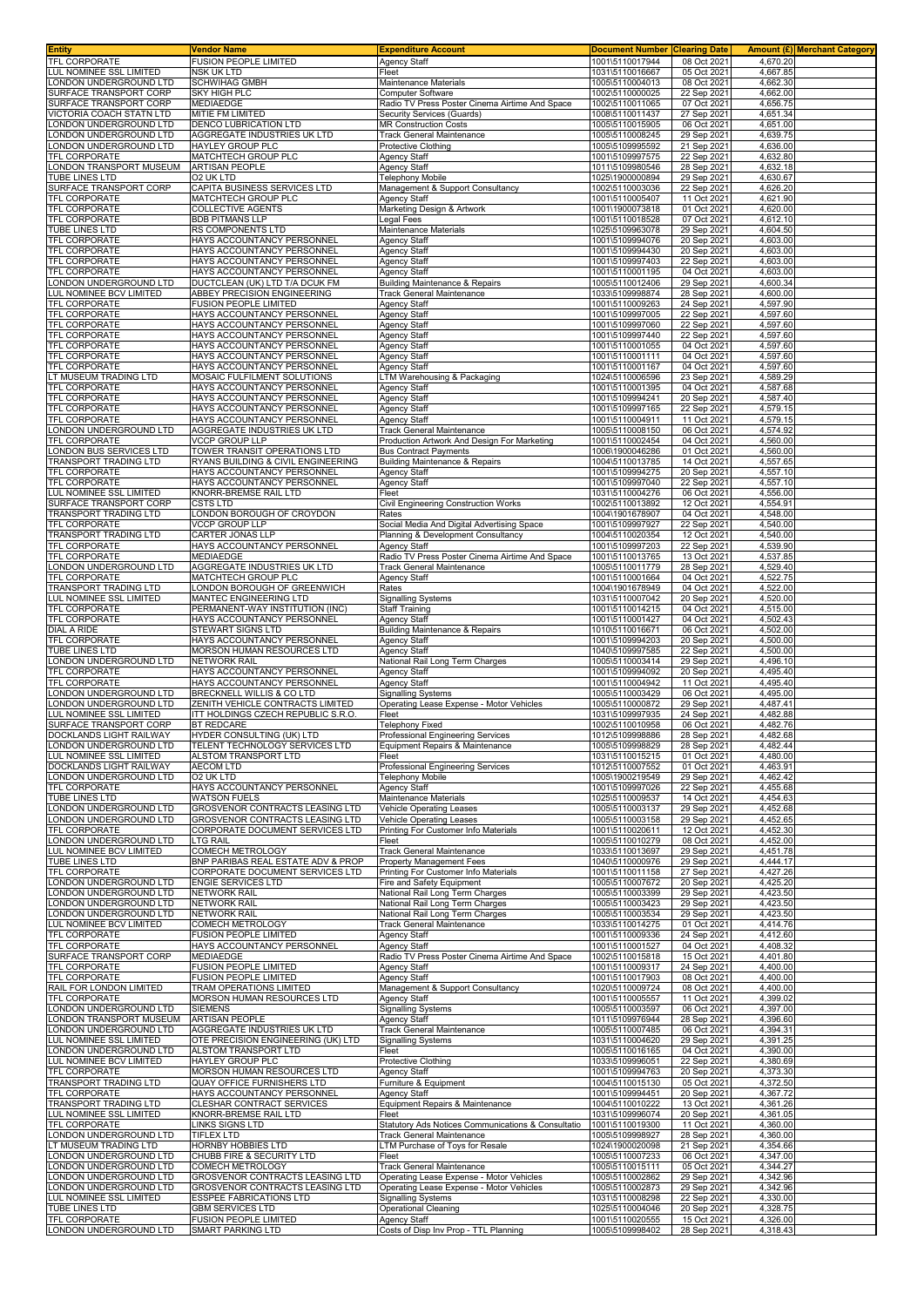| Entity                                                  | <b>Vendor Name</b>                                                               | <b>Expenditure Account</b>                                                           | <b>Document Number</b>             | <b>Clearing Date</b>       |                      | Amount (£)  Merchant Category |
|---------------------------------------------------------|----------------------------------------------------------------------------------|--------------------------------------------------------------------------------------|------------------------------------|----------------------------|----------------------|-------------------------------|
| <b>TFL CORPORATE</b>                                    | <b>FUSION PEOPLE LIMITED</b>                                                     | Agency Staff                                                                         | 1001\5110017944                    | 08 Oct 2021                | 4.670.20             |                               |
| LUL NOMINEE SSL LIMITED<br>ONDON UNDERGROUND LTD        | <b>NSK UK LTD</b><br><b>SCHWIHAG GMBH</b>                                        | Fleet<br>Maintenance Materials                                                       | 1031\5110016667<br>1005\5110004013 | 05 Oct 2021<br>08 Oct 2021 | 4,667.85<br>4,662.30 |                               |
| SURFACE TRANSPORT CORP                                  | <b>SKY HIGH PLC</b>                                                              | Computer Software                                                                    | 1002\5110000025                    | 22 Sep 2021                | 4,662.00             |                               |
| SURFACE TRANSPORT CORP                                  | <b>MEDIAEDGE</b>                                                                 | Radio TV Press Poster Cinema Airtime And Space                                       | 1002\5110011065                    | 07 Oct 2021                | 4,656.75             |                               |
| <b>/ICTORIA COACH STATN LTD</b>                         | MITIE FM LIMITED                                                                 | Security Services (Guards)                                                           | 1008\5110011437                    | 27 Sep 2021                | 4,651.34             |                               |
| ONDON UNDERGROUND LTD                                   | DENCO LUBRICATION LTD                                                            | <b>MR Construction Costs</b>                                                         | 1005\5110015905                    | 06 Oct 2021                | 4.651.00             |                               |
| ONDON UNDERGROUND LTD<br>ONDON UNDERGROUND LTD          | AGGREGATE INDUSTRIES UK LTD<br><b>HAYLEY GROUP PLC</b>                           | Track General Maintenance<br><b>Protective Clothing</b>                              | 1005\5110008245<br>1005\5109995592 | 29 Sep 2021<br>21 Sep 2021 | 4,639.75<br>4,636.00 |                               |
| <b>FEL CORPORATE</b>                                    | MATCHTECH GROUP PLC                                                              | Agency Staff                                                                         | 1001\5109997575                    | 22 Sep 2021                | 4,632.80             |                               |
| ONDON TRANSPORT MUSEUM                                  | <b>ARTISAN PEOPLE</b>                                                            | Agency Staff                                                                         | 1011\5109980546                    | 28 Sep 2021                | 4,632.18             |                               |
| TUBE LINES LTD                                          | O2 UK LTD                                                                        | <b>Telephony Mobile</b>                                                              | 1025\1900000894                    | 29 Sep 2021                | 4,630.67             |                               |
| SURFACE TRANSPORT CORP                                  | CAPITA BUSINESS SERVICES LTD                                                     | Management & Support Consultancy                                                     | 1002\5110003036                    | 22 Sep 2021                | 4,626.20             |                               |
| <b>FL CORPORATE</b><br><b>FEL CORPORATE</b>             | MATCHTECH GROUP PLC<br><b>COLLECTIVE AGENTS</b>                                  | Agency Staff<br>Marketing Design & Artwork                                           | 1001\5110005407<br>1001\1900073818 | 11 Oct 2021<br>01 Oct 2021 | 4,621.90<br>4,620.00 |                               |
| <b>TFL CORPORATE</b>                                    | <b>BDB PITMANS LLP</b>                                                           | Legal Fees                                                                           | 1001\5110018528                    | 07 Oct 2021                | 4,612.10             |                               |
| <b>TUBE LINES LTD</b>                                   | RS COMPONENTS LTD                                                                | Maintenance Materials                                                                | 1025\5109963078                    | 29 Sep 2021                | 4,604.50             |                               |
| <b>FEL CORPORATE</b>                                    | HAYS ACCOUNTANCY PERSONNEL                                                       | Agency Staff                                                                         | 1001\5109994076                    | 20 Sep 2021                | 4,603.00             |                               |
| <b>TFL CORPORATE</b>                                    | HAYS ACCOUNTANCY PERSONNEL                                                       | Agency Staff                                                                         | 1001\5109994430                    | 20 Sep 2021                | 4,603.00<br>4,603.00 |                               |
| <b>TFL CORPORATE</b><br><b>TFL CORPORATE</b>            | HAYS ACCOUNTANCY PERSONNEL<br>HAYS ACCOUNTANCY PERSONNEL                         | Agency Staff<br>Agency Staff                                                         | 1001\5109997403<br>1001\5110001195 | 22 Sep 2021<br>04 Oct 2021 | 4,603.00             |                               |
| ONDON UNDERGROUND LTD.                                  | DUCTCLEAN (UK) LTD T/A DCUK FM                                                   | <b>Building Maintenance &amp; Repairs</b>                                            | 1005\5110012406                    | 29 Sep 2021                | 4,600.34             |                               |
| <b>LUL NOMINEE BCV LIMITED</b>                          | ABBEY PRECISION ENGINEERING                                                      | Track General Maintenance                                                            | 1033\5109998874                    | 28 Sep 2021                | 4,600.00             |                               |
| <b>TFL CORPORATE</b>                                    | <b>FUSION PEOPLE LIMITED</b>                                                     | Agency Staff                                                                         | 1001\5110009263                    | 24 Sep 2021                | 4,597.90             |                               |
| TFL CORPORATE<br><b>TFL CORPORATE</b>                   | HAYS ACCOUNTANCY PERSONNEL<br>HAYS ACCOUNTANCY PERSONNEL                         | <b>Agency Staff</b><br>Agency Staff                                                  | 1001\5109997005<br>1001\5109997060 | 22 Sep 2021<br>22 Sep 2021 | 4,597.60<br>4,597.60 |                               |
| <b>TFL CORPORATE</b>                                    | HAYS ACCOUNTANCY PERSONNEL                                                       | Agency Staff                                                                         | 1001\5109997440                    | 22 Sep 2021                | 4,597.60             |                               |
| <b>TFL CORPORATE</b>                                    | HAYS ACCOUNTANCY PERSONNEL                                                       | <b>Agency Staff</b>                                                                  | 1001\5110001055                    | 04 Oct 2021                | 4,597.60             |                               |
| <b>FL CORPORATE</b>                                     | HAYS ACCOUNTANCY PERSONNEL                                                       | Agency Staff                                                                         | 1001\5110001111                    | 04 Oct 2021                | 4,597.60             |                               |
| <b>FEL CORPORATE</b><br>T MUSEUM TRADING LTD            | HAYS ACCOUNTANCY PERSONNEL<br>MOSAIC FULFILMENT SOLUTIONS                        | Agency Staff<br>LTM Warehousing & Packaging                                          | 1001\5110001167<br>1024\5110006596 | 04 Oct 2021<br>23 Sep 2021 | 4,597.60<br>4.589.29 |                               |
| <b>TFL CORPORATE</b>                                    | HAYS ACCOUNTANCY PERSONNEL                                                       | Agency Staff                                                                         | 1001\5110001395                    | 04 Oct 2021                | 4,587.68             |                               |
| <b>TFL CORPORATE</b>                                    | HAYS ACCOUNTANCY PERSONNEL                                                       | Agency Staff                                                                         | 1001\5109994241                    | 20 Sep 2021                | 4,587.40             |                               |
| <b>FEL CORPORATE</b>                                    | HAYS ACCOUNTANCY PERSONNEL                                                       | Agency Staff                                                                         | 1001\5109997165                    | 22 Sep 2021                | 4,579.15             |                               |
| TFL CORPORATE<br>ONDON UNDERGROUND LTD                  | HAYS ACCOUNTANCY PERSONNEL<br>AGGREGATE INDUSTRIES UK LTD                        | Agency Staff<br>Track General Maintenance                                            | 1001\5110004911<br>1005\5110008150 | 11 Oct 2021<br>06 Oct 2021 | 4,579.15<br>4,574.92 |                               |
| <b>TFL CORPORATE</b>                                    | <b>VCCP GROUP LLP</b>                                                            | Production Artwork And Design For Marketing                                          | 1001\5110002454                    | 04 Oct 2021                | 4,560.00             |                               |
| ONDON BUS SERVICES LTD                                  | TOWER TRANSIT OPERATIONS LTD                                                     | <b>Bus Contract Payments</b>                                                         | 1006\1900046286                    | 01 Oct 2021                | 4,560.00             |                               |
| TRANSPORT TRADING LTD                                   | RYANS BUILDING & CIVIL ENGINEERING                                               | <b>Building Maintenance &amp; Repairs</b>                                            | 1004\5110013785                    | 14 Oct 2021                | 4,557.65             |                               |
| <b>TFL CORPORATE</b>                                    | HAYS ACCOUNTANCY PERSONNEL                                                       | Agency Staff                                                                         | 1001\5109994275                    | 20 Sep 2021                | 4,557.10             |                               |
| <b>TFL CORPORATE</b><br><b>LUL NOMINEE SSL LIMITED</b>  | HAYS ACCOUNTANCY PERSONNEL<br>KNORR-BREMSE RAIL LTD                              | Agency Staff<br>Fleet                                                                | 1001\5109997040<br>1031\5110004276 | 22 Sep 2021<br>06 Oct 2021 | 4,557.10<br>4,556.00 |                               |
| SURFACE TRANSPORT CORP                                  | <b>CSTS LTD</b>                                                                  | Civil Engineering Construction Works                                                 | 1002\5110013892                    | 12 Oct 2021                | 4,554.91             |                               |
| <b>FRANSPORT TRADING LTD</b>                            | ONDON BOROUGH OF CROYDON.                                                        | Rates                                                                                | 1004\1901678907                    | 04 Oct 2021                | 4,548.00             |                               |
| <b>FEL CORPORATE</b>                                    | <b>VCCP GROUP LLP</b>                                                            | Social Media And Digital Advertising Space                                           | 1001\5109997927                    | 22 Sep 2021                | 4,540.00             |                               |
| <b>FRANSPORT TRADING LTD</b><br><b>TFL CORPORATE</b>    | CARTER JONAS LLP<br>HAYS ACCOUNTANCY PERSONNEL                                   | Planning & Development Consultancy<br>Agency Staff                                   | 1004\5110020354<br>1001\5109997203 | 12 Oct 2021<br>22 Sep 2021 | 4,540.00<br>4,539.90 |                               |
| <b>TFL CORPORATE</b>                                    | <b>MEDIAEDGE</b>                                                                 | Radio TV Press Poster Cinema Airtime And Space                                       | 1001\5110013765                    | 13 Oct 2021                | 4,537.85             |                               |
| ONDON UNDERGROUND LTD                                   | AGGREGATE INDUSTRIES UK LTD                                                      | <b>Track General Maintenance</b>                                                     | 1005\5110011779                    | 28 Sep 2021                | 4,529.40             |                               |
| <b>TFL CORPORATE</b>                                    | MATCHTECH GROUP PLC                                                              | Agency Staff                                                                         | 1001\5110001664                    | 04 Oct 2021                | 4,522.75             |                               |
| <b>FRANSPORT TRADING LTD</b>                            | LONDON BOROUGH OF GREENWICH                                                      | Rates                                                                                | 1004\1901678949                    | 04 Oct 202                 | 4,522.00             |                               |
| UL NOMINEE SSL LIMITED<br><b>FEL CORPORATE</b>          | MANTEC ENGINEERING LTD<br>PERMANENT-WAY INSTITUTION (INC)                        | <b>Signalling Systems</b><br><b>Staff Training</b>                                   | 1031\5110007042<br>1001\5110014215 | 20 Sep 2021<br>04 Oct 2021 | 4,520.00<br>4,515.00 |                               |
| <b>TFL CORPORATE</b>                                    | HAYS ACCOUNTANCY PERSONNEL                                                       | Agency Staff                                                                         | 1001\5110001427                    | 04 Oct 2021                | 4,502.43             |                               |
| DIAL A RIDE                                             | STEWART SIGNS LTD                                                                | <b>Building Maintenance &amp; Repairs</b>                                            | 1010\5110016671                    | 06 Oct 2021                | 4,502.00             |                               |
| <b>TFL CORPORATE</b>                                    | HAYS ACCOUNTANCY PERSONNEL                                                       | Agency Staff                                                                         | 1001\5109994203                    | 20 Sep 2021                | 4,500.00             |                               |
| <b>TUBE LINES LTD</b><br>ONDON UNDERGROUND LTD          | MORSON HUMAN RESOURCES LTD<br><b>NETWORK RAIL</b>                                | Agency Staff<br>National Rail Long Term Charges                                      | 1040\5109997585<br>1005\5110003414 | 22 Sep 2021<br>29 Sep 2021 | 4,500.00<br>4,496.10 |                               |
| <b>TFL CORPORATE</b>                                    | HAYS ACCOUNTANCY PERSONNEL                                                       | Agency Staff                                                                         | 1001\5109994092                    | 20 Sep 2021                | 4,495.40             |                               |
| <b>TFL CORPORATE</b>                                    | HAYS ACCOUNTANCY PERSONNEL                                                       | Agency Staff                                                                         | 1001\5110004942                    | 11 Oct 2021                | 4,495.40             |                               |
| ONDON UNDERGROUND LTD                                   | BRECKNELL WILLIS & CO LTD                                                        | <b>Signalling Systems</b>                                                            | 1005\5110003429                    | 06 Oct 2021                | 4,495.00             |                               |
| ONDON UNDERGROUND LTD.<br>UL NOMINEE SSL LIMITED        | ZENITH VEHICLE CONTRACTS LIMITED<br>ITT HOLDINGS CZECH REPUBLIC S.R.O            | Operating Lease Expense - Motor Vehicles<br>Fleet                                    | 1005\5110000872<br>1031\5109997935 | 29 Sep 2021<br>24 Sep 2021 | 4,487.41<br>4,482.88 |                               |
| SURFACE TRANSPORT CORP                                  | <b>BT REDCARE</b>                                                                | Telephony Fixed                                                                      | 1002\5110010958                    | 06 Oct 2021                | 4,482.76             |                               |
| DOCKLANDS LIGHT RAILWAY                                 | <b>HYDER CONSULTING (UK) LTD</b>                                                 | Professional Engineering Services                                                    | 1012\5109998886                    | 28 Sep 2021                | 4,482.68             |                               |
| LONDON UNDERGROUND LTD                                  | TELENT TECHNOLOGY SERVICES LTD                                                   | Equipment Repairs & Maintenance                                                      | 1005\5109998829                    | 28 Sep 2021                | 4,482.44             |                               |
| LUL NOMINEE SSL LIMITED<br>DOCKLANDS LIGHT RAILWAY      | ALSTOM TRANSPORT LTD<br><b>AECOM LTD</b>                                         | Fleet<br>Professional Engineering Services                                           | 1031\5110015215<br>1012\5110007552 | 01 Oct 2021<br>01 Oct 2021 | 4,480.00<br>4,463.91 |                               |
| ONDON UNDERGROUND LTD                                   | O2 UK LTD                                                                        | Telephony Mobile                                                                     | 1005\1900219549                    | 29 Sep 2021                | 4,462.42             |                               |
| <b>TFL CORPORATE</b>                                    | HAYS ACCOUNTANCY PERSONNEL                                                       | Agency Staff                                                                         | 1001\5109997026                    | 22 Sep 2021                | 4,455.68             |                               |
| <b>TUBE LINES LTD</b>                                   | <b>WATSON FUELS</b>                                                              | Maintenance Materials                                                                | 1025\5110009537                    | 14 Oct 2021                | 4,454.63             |                               |
| ONDON UNDERGROUND LTD                                   | <b>GROSVENOR CONTRACTS LEASING LTD</b><br><b>GROSVENOR CONTRACTS LEASING LTD</b> | <b>Vehicle Operating Leases</b>                                                      | 1005\5110003137                    | 29 Sep 2021                | 4,452.68             |                               |
| ONDON UNDERGROUND LTD<br><b>TFL CORPORATE</b>           | CORPORATE DOCUMENT SERVICES LTD                                                  | Vehicle Operating Leases<br>Printing For Customer Info Materials                     | 1005\5110003158<br>1001\5110020611 | 29 Sep 2021<br>12 Oct 2021 | 4,452.65<br>4,452.30 |                               |
| ONDON UNDERGROUND LTD                                   | <b>LTG RAIL</b>                                                                  | Fleet                                                                                | 1005\5110010279                    | 08 Oct 2021                | 4,452.00             |                               |
| LUL NOMINEE BCV LIMITED                                 | <b>COMECH METROLOGY</b>                                                          | <b>Track General Maintenance</b>                                                     | 1033\5110013697                    | 29 Sep 2021                | 4,451.78             |                               |
| <b>TUBE LINES LTD</b><br><b>TFL CORPORATE</b>           | BNP PARIBAS REAL ESTATE ADV & PROP<br>CORPORATE DOCUMENT SERVICES LTD            | <b>Property Management Fees</b><br>Printing For Customer Info Materials              | 1040\5110000976<br>1001\5110011158 | 29 Sep 2021<br>27 Sep 2021 | 4,444.17<br>4,427.26 |                               |
| ONDON UNDERGROUND LTD                                   | <b>ENGIE SERVICES LTD</b>                                                        | Fire and Safety Equipment                                                            | 1005\5110007672                    | 20 Sep 2021                | 4,425.20             |                               |
| ONDON UNDERGROUND LTD                                   | <b>NETWORK RAIL</b>                                                              | National Rail Long Term Charges                                                      | 1005\5110003399                    | 29 Sep 2021                | 4,423.50             |                               |
| ONDON UNDERGROUND LTD                                   | <b>NETWORK RAIL</b>                                                              | National Rail Long Term Charges                                                      | 1005\5110003423                    | 29 Sep 2021                | 4.423.50             |                               |
| ONDON UNDERGROUND LTD<br><b>LUL NOMINEE BCV LIMITED</b> | <b>NETWORK RAIL</b><br><b>COMECH METROLOGY</b>                                   | National Rail Long Term Charges<br>Track General Maintenance                         | 1005\5110003534<br>1033\5110014275 | 29 Sep 2021<br>01 Oct 2021 | 4,423.50<br>4,414.76 |                               |
| <b>TFL CORPORATE</b>                                    | FUSION PEOPLE LIMITED                                                            | Agency Staff                                                                         | 1001\5110009336                    | 24 Sep 2021                | 4,412.60             |                               |
| TFL CORPORATE                                           | HAYS ACCOUNTANCY PERSONNEL                                                       | Agency Staff                                                                         | 1001\5110001527                    | 04 Oct 2021                | 4,408.32             |                               |
| SURFACE TRANSPORT CORP                                  | <b>MEDIAEDGE</b>                                                                 | Radio TV Press Poster Cinema Airtime And Space                                       | 1002\5110015818                    | 15 Oct 2021                | 4,401.80             |                               |
| <b>TFL CORPORATE</b><br><b>TFL CORPORATE</b>            | <b>FUSION PEOPLE LIMITED</b><br>FUSION PEOPLE LIMITED                            | Agency Staff<br>Agency Staff                                                         | 1001\5110009317<br>1001\5110017903 | 24 Sep 2021<br>08 Oct 2021 | 4,400.00<br>4,400.00 |                               |
| RAIL FOR LONDON LIMITED                                 | TRAM OPERATIONS LIMITED                                                          | Management & Support Consultancy                                                     | 1020\5110009724                    | 08 Oct 2021                | 4,400.00             |                               |
| TFL CORPORATE                                           | MORSON HUMAN RESOURCES LTD                                                       | Agency Staff                                                                         | 1001\5110005557                    | 11 Oct 2021                | 4,399.02             |                               |
| ONDON UNDERGROUND LTD                                   | <b>SIEMENS</b>                                                                   | <b>Signalling Systems</b>                                                            | 1005\5110003597                    | 06 Oct 2021                | 4,397.00             |                               |
| ONDON TRANSPORT MUSEUM<br>ONDON UNDERGROUND LTD         | <b>ARTISAN PEOPLE</b><br>AGGREGATE INDUSTRIES UK LTD                             | Agency Staff<br>Track General Maintenance                                            | 1011\5109976944<br>1005\5110007485 | 28 Sep 2021<br>06 Oct 2021 | 4,396.60<br>4,394.31 |                               |
| LUL NOMINEE SSL LIMITED                                 | OTE PRECISION ENGINEERING (UK) LTD                                               | <b>Signalling Systems</b>                                                            | 1031\5110004620                    | 29 Sep 2021                | 4,391.25             |                               |
| ONDON UNDERGROUND LTD.                                  | ALSTOM TRANSPORT LTD                                                             | Fleet                                                                                | 1005\5110016165                    | 04 Oct 2021                | 4,390.00             |                               |
| LUL NOMINEE BCV LIMITED                                 | <b>HAYLEY GROUP PLC</b>                                                          | Protective Clothing                                                                  | 1033\5109996051                    | 22 Sep 2021                | 4,380.69             |                               |
| <b>TFL CORPORATE</b><br><b>TRANSPORT TRADING LTD</b>    | MORSON HUMAN RESOURCES LTD<br>QUAY OFFICE FURNISHERS LTD                         | Agency Staff<br>Furniture & Equipment                                                | 1001\5109994763<br>1004\5110015130 | 20 Sep 2021<br>05 Oct 2021 | 4,373.30<br>4,372.50 |                               |
| <b>FEL CORPORATE</b>                                    | HAYS ACCOUNTANCY PERSONNEL                                                       | Agency Staff                                                                         | 1001\5109994451                    | 20 Sep 2021                | 4,367.72             |                               |
| <b>FRANSPORT TRADING LTD</b>                            | CLESHAR CONTRACT SERVICES                                                        | Equipment Repairs & Maintenance                                                      | 1004\5110010222                    | 13 Oct 2021                | 4,361.26             |                               |
| LUL NOMINEE SSL LIMITED                                 | KNORR-BREMSE RAIL LTD                                                            | Fleet                                                                                | 1031\5109996074                    | 20 Sep 2021                | 4,361.05             |                               |
| <b>TFL CORPORATE</b><br>ONDON UNDERGROUND LTD           | LINKS SIGNS LTD<br>TIFLEX LTD                                                    | Statutory Ads Notices Communications & Consultatio<br>Track General Maintenance      | 1001\5110019300<br>1005\5109998927 | 11 Oct 2021<br>28 Sep 2021 | 4,360.00<br>4,360.00 |                               |
| T MUSEUM TRADING LTD.                                   | <b>HORNBY HOBBIES LTD</b>                                                        | TM Purchase of Toys for Resale                                                       | 1024\1900020098                    | 21 Sep 2021                | 4,354.66             |                               |
| ONDON UNDERGROUND LTD                                   | CHUBB FIRE & SECURITY LTD                                                        | Fleet                                                                                | 1005\5110007233                    | 06 Oct 2021                | 4,347.00             |                               |
| ONDON UNDERGROUND LTD                                   | <b>COMECH METROLOGY</b>                                                          | Track General Maintenance                                                            | 1005\5110015111                    | 05 Oct 2021                | 4,344.27             |                               |
| ONDON UNDERGROUND LTD<br>ONDON UNDERGROUND LTD.         | GROSVENOR CONTRACTS LEASING LTD<br><b>GROSVENOR CONTRACTS LEASING LTD</b>        | Operating Lease Expense - Motor Vehicles<br>Operating Lease Expense - Motor Vehicles | 1005\5110002862<br>1005\5110002873 | 29 Sep 2021<br>29 Sep 2021 | 4,342.96<br>4,342.96 |                               |
| LUL NOMINEE SSL LIMITED                                 | <b>ESSPEE FABRICATIONS LTD</b>                                                   | <b>Signalling Systems</b>                                                            | 1031\5110008298                    | 22 Sep 2021                | 4,330.00             |                               |
| <b>TUBE LINES LTD</b>                                   | <b>GBM SERVICES LTD</b>                                                          | <b>Operational Cleaning</b>                                                          | 1025\5110004046                    | 20 Sep 2021                | 4,328.75             |                               |
| <b>TFL CORPORATE</b>                                    | <b>FUSION PEOPLE LIMITED</b>                                                     | Agency Staff                                                                         | 1001\5110020555                    | 15 Oct 2021                | 4,326.00             |                               |
| LONDON UNDERGROUND LTD                                  | <b>SMART PARKING LTD</b>                                                         | Costs of Disp Inv Prop - TTL Planning                                                | 1005\5109998402                    | 28 Sep 2021                | 4,318.43             |                               |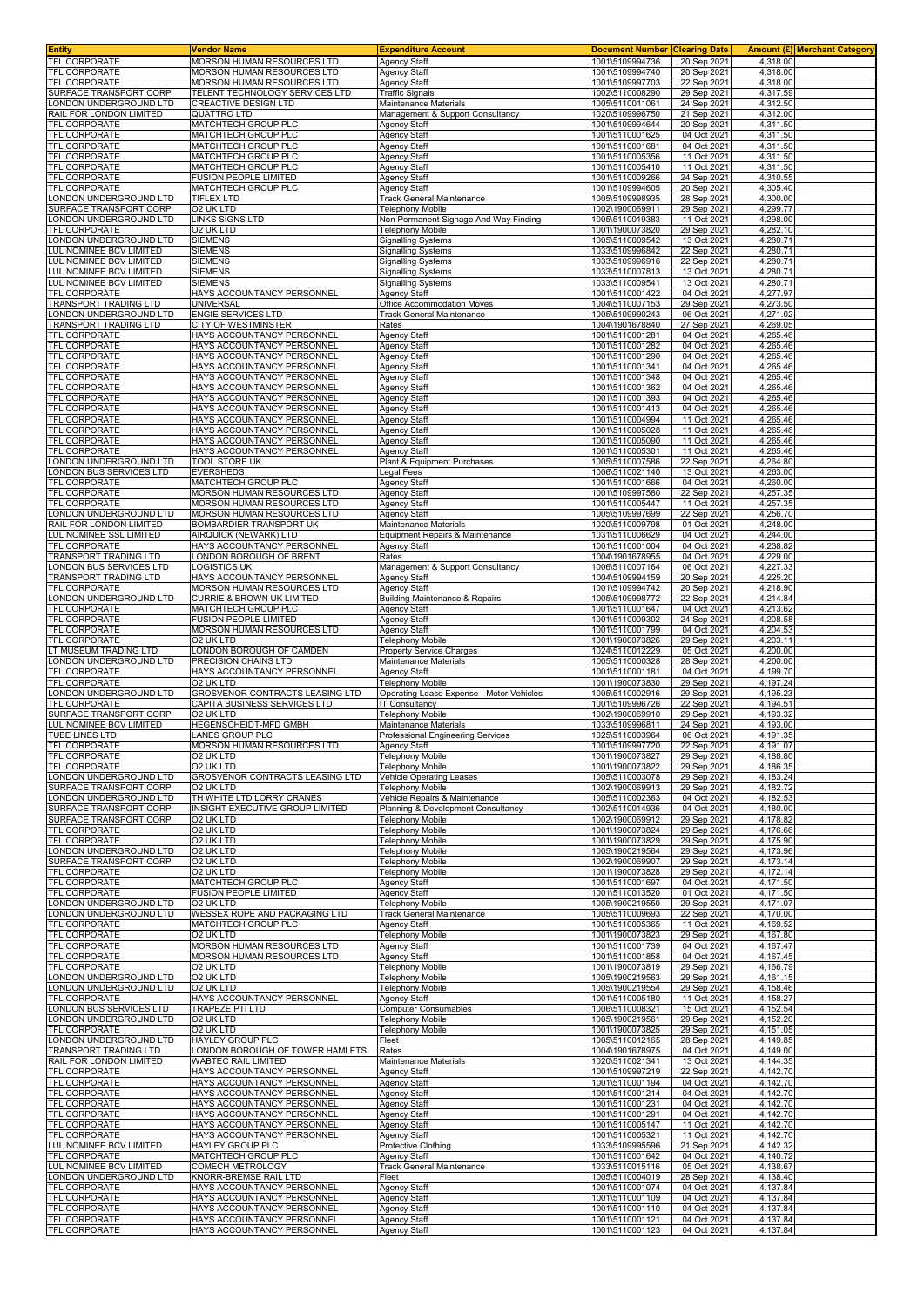| <b>Entity</b>                                                 | Vendor Name                                                                            | <b>Expenditure Account</b>                                          | <b>Document Number Clearing Date</b>                  |                                           | Amount (£) Merchant Category     |
|---------------------------------------------------------------|----------------------------------------------------------------------------------------|---------------------------------------------------------------------|-------------------------------------------------------|-------------------------------------------|----------------------------------|
| <b>TFL CORPORATE</b><br><b>TFL CORPORATE</b>                  | MORSON HUMAN RESOURCES LTD<br><b>MORSON HUMAN RESOURCES LTD</b>                        | <b>Agency Staff</b><br><b>Agency Staff</b>                          | 1001\5109994736<br>1001\5109994740                    | 20 Sep 2021<br>20 Sep 2021                | 4,318.00<br>4,318.00             |
| <b>TFL CORPORATE</b>                                          | MORSON HUMAN RESOURCES LTD                                                             | <b>Agency Staff</b>                                                 | 1001\5109997703                                       | 22 Sep 202                                | 4,318.00                         |
| SURFACE TRANSPORT CORP                                        | TELENT TECHNOLOGY SERVICES LTD                                                         | <b>Traffic Signals</b>                                              | 1002\5110008290                                       | 29 Sep 2021                               | 4,317.59                         |
| ONDON UNDERGROUND LTD                                         | CREACTIVE DESIGN LTD                                                                   | Maintenance Materials                                               | 1005\5110011061                                       | 24 Sep 202                                | 4,312.50                         |
| RAIL FOR LONDON LIMITED<br>TFL CORPORATE                      | <b>QUATTRO LTD</b><br>MATCHTECH GROUP PLC                                              | Management & Support Consultancy                                    | 1020\5109996750                                       | 21 Sep 2021                               | 4,312.00<br>4,311.50             |
| TFL CORPORATE                                                 | MATCHTECH GROUP PLC                                                                    | Agency Staff<br>Agency Staff                                        | 1001\5109994644<br>1001\5110001625                    | 20 Sep 202<br>04 Oct 2021                 | 4,311.50                         |
| TFL CORPORATE                                                 | MATCHTECH GROUP PLC                                                                    | <b>Agency Staff</b>                                                 | 1001\5110001681                                       | 04 Oct 2021                               | 4,311.50                         |
| TFL CORPORATE                                                 | MATCHTECH GROUP PLC                                                                    | <b>Agency Staff</b>                                                 | 1001\5110005356                                       | 11 Oct 2021                               | 4.311.50                         |
| <b>TFL CORPORATE</b>                                          | <b>MATCHTECH GROUP PLC</b>                                                             | <b>Agency Staff</b>                                                 | 1001\5110005410                                       | 11 Oct 202                                | 4,311.50                         |
| TFL CORPORATE<br>TFL CORPORATE                                | FUSION PEOPLE LIMITED<br>MATCHTECH GROUP PLC                                           | Agency Staff<br><b>Agency Staff</b>                                 | 1001\5110009266<br>1001\5109994605                    | 24 Sep 202<br>20 Sep 2021                 | 4,310.55<br>4,305.40             |
| ONDON UNDERGROUND LTD                                         | <b>TIFLEX LTD</b>                                                                      | Track General Maintenance                                           | 1005\5109998935                                       | 28 Sep 2021                               | 4,300.00                         |
| SURFACE TRANSPORT CORP                                        | O2 UK LTD                                                                              | Telephony Mobile                                                    | 1002\1900069911                                       | 29 Sep 202                                | 4,299.77                         |
| ONDON UNDERGROUND LTD                                         | LINKS SIGNS LTD                                                                        | Non Permanent Signage And Way Finding                               | 1005\5110019383                                       | 11 Oct 2021                               | 4,298.00                         |
| TFL CORPORATE<br>ONDON UNDERGROUND LTD                        | O2 UK LTD<br><b>SIEMENS</b>                                                            | Telephony Mobile<br><b>Signalling Systems</b>                       | 1001\1900073820<br>1005\5110009542                    | 29 Sep 2021<br>13 Oct 2021                | 4,282.10<br>4,280.71             |
| LUL NOMINEE BCV LIMITED                                       | <b>SIEMENS</b>                                                                         | <b>Signalling Systems</b>                                           | 1033\5109996842                                       | 22 Sep 202                                | 4,280.71                         |
| UL NOMINEE BCV LIMITED                                        | <b>SIEMENS</b>                                                                         | <b>Signalling Systems</b>                                           | 1033\5109996916                                       | 22 Sep 2021                               | 4,280.71                         |
| LUL NOMINEE BCV LIMITED                                       | <b>SIEMENS</b>                                                                         | <b>Signalling Systems</b>                                           | 1033\5110007813                                       | 13 Oct 2021                               | 4,280.71                         |
| LUL NOMINEE BCV LIMITED<br><b>TFL CORPORATE</b>               | SIEMENS<br>HAYS ACCOUNTANCY PERSONNEL                                                  | <b>Signalling Systems</b><br><b>Agency Staff</b>                    | 1033\5110009541<br>1001\5110001422                    | 13 Oct 2021<br>04 Oct 2021                | 4,280.71<br>4,277.97             |
| TRANSPORT TRADING LTD                                         | <b>UNIVERSAL</b>                                                                       | Office Accommodation Moves                                          | 1004\5110007153                                       | 29 Sep 2021                               | 4,273.50                         |
| ONDON UNDERGROUND LTD                                         | <b>ENGIE SERVICES LTD</b>                                                              | Track General Maintenance                                           | 1005\5109990243                                       | 06 Oct 202                                | 4,271.02                         |
| TRANSPORT TRADING LTD                                         | <b>CITY OF WESTMINSTER</b>                                                             | Rates                                                               | 1004\1901678840                                       | 27 Sep 202                                | 4,269.05                         |
| TFL CORPORATE<br>TFL CORPORATE                                | HAYS ACCOUNTANCY PERSONNEI<br>HAYS ACCOUNTANCY PERSONNEI                               | <b>Agency Staff</b><br><b>Agency Staff</b>                          | 1001\5110001281<br>1001\5110001282                    | 04 Oct 202<br>04 Oct 2021                 | 4,265.46<br>4,265.46             |
| TFL CORPORATE                                                 | HAYS ACCOUNTANCY PERSONNEL                                                             | <b>Agency Staff</b>                                                 | 1001\5110001290                                       | 04 Oct 2021                               | 4,265.46                         |
| <b>TFL CORPORATE</b>                                          | HAYS ACCOUNTANCY PERSONNEL                                                             | <b>Agency Staff</b>                                                 | 1001\5110001341                                       | 04 Oct 2021                               | 4,265.46                         |
| <b>TFL CORPORATE</b>                                          | HAYS ACCOUNTANCY PERSONNEL                                                             | <b>Agency Staff</b>                                                 | 1001\5110001348                                       | 04 Oct 2021                               | 4,265.46                         |
| <b>TFL CORPORATE</b>                                          | HAYS ACCOUNTANCY PERSONNEL                                                             | <b>Agency Staff</b>                                                 | 1001\5110001362                                       | 04 Oct 2021                               | 4,265.46                         |
| TFL CORPORATE<br>TFL CORPORATE                                | HAYS ACCOUNTANCY PERSONNEL<br>HAYS ACCOUNTANCY PERSONNEL                               | <b>Agency Staff</b><br><b>Agency Staff</b>                          | 1001\5110001393<br>1001\5110001413                    | 04 Oct 2021<br>04 Oct 202                 | 4,265.46<br>4,265.46             |
| <b>TFL CORPORATE</b>                                          | HAYS ACCOUNTANCY PERSONNEL                                                             | <b>Agency Staff</b>                                                 | 1001\5110004994                                       | 11 Oct 2021                               | 4,265.46                         |
| TFL CORPORATE                                                 | HAYS ACCOUNTANCY PERSONNEL                                                             | <b>Agency Staff</b>                                                 | 1001\5110005028                                       | 11 Oct 2021                               | 4,265.46                         |
| <b>TFL CORPORATE</b>                                          | HAYS ACCOUNTANCY PERSONNEL                                                             | <b>Agency Staff</b>                                                 | 1001\5110005090                                       | 11 Oct 2021                               | 4,265.46                         |
| TFL CORPORATE                                                 | HAYS ACCOUNTANCY PERSONNEL                                                             | <b>Agency Staff</b>                                                 | 1001\5110005301                                       | 11 Oct 2021                               | 4,265.46                         |
| ONDON UNDERGROUND LTD<br>ONDON BUS SERVICES LTD               | TOOL STORE UK<br><b>EVERSHEDS</b>                                                      | Plant & Equipment Purchases<br>egal Fees                            | 1005\5110007586<br>1006\5110021140                    | 22 Sep 2021<br>13 Oct 2021                | 4,264.80<br>4,263.00             |
| TFL CORPORATE                                                 | MATCHTECH GROUP PLC                                                                    | Agency Staff                                                        | 1001\5110001666                                       | 04 Oct 2021                               | 4,260.00                         |
| <b>TFL CORPORATE</b>                                          | <b>MORSON HUMAN RESOURCES LTD</b>                                                      | <b>Agency Staff</b>                                                 | 1001\5109997580                                       | 22 Sep 202                                | 4,257.35                         |
| TFL CORPORATE                                                 | MORSON HUMAN RESOURCES LTD                                                             | <b>Agency Staff</b>                                                 | 1001\5110005447                                       | 11 Oct 2021                               | 4,257.35                         |
| ONDON UNDERGROUND LTD<br>RAIL FOR LONDON LIMITED              | MORSON HUMAN RESOURCES LTD<br>BOMBARDIER TRANSPORT UK                                  | <b>Agency Staff</b>                                                 | 1005\5109997699<br>1020\5110009798                    | 22 Sep 2021<br>01 Oct 2021                | 4,256.70<br>4,248.00             |
| LUL NOMINEE SSL LIMITED                                       | AIRQUICK (NEWARK) LTD                                                                  | Maintenance Materials<br>Equipment Repairs & Maintenance            | 1031\5110006629                                       | 04 Oct 2021                               | 4,244.00                         |
| <b>TFL CORPORATE</b>                                          | HAYS ACCOUNTANCY PERSONNEL                                                             | <b>Agency Staff</b>                                                 | 1001\5110001004                                       | 04 Oct 202                                | 4,238.82                         |
| TRANSPORT TRADING LTD                                         | LONDON BOROUGH OF BRENT                                                                | Rates                                                               | 1004\1901678955                                       | 04 Oct 202                                | 4,229.00                         |
| ONDON BUS SERVICES LTD                                        | <b>LOGISTICS UK</b>                                                                    | Management & Support Consultancy                                    | 1006\5110007164                                       | 06 Oct 2021                               | 4,227.33                         |
| TRANSPORT TRADING LTD<br><b>TFL CORPORATE</b>                 | HAYS ACCOUNTANCY PERSONNEL<br>MORSON HUMAN RESOURCES LTD                               | <b>Agency Staff</b><br><b>Agency Staff</b>                          | 1004\5109994159<br>1001\5109994742                    | 20 Sep 202<br>20 Sep 2021                 | 4,225.20<br>4,218.90             |
| ONDON UNDERGROUND LTD                                         | CURRIE & BROWN UK LIMITED                                                              | <b>Building Maintenance &amp; Repairs</b>                           | 1005\5109998772                                       | 22 Sep 2021                               | 4,214.84                         |
| TFL CORPORATE                                                 | MATCHTECH GROUP PLC                                                                    | Agency Staff                                                        | 1001\5110001647                                       | 04 Oct 202                                | 4,213.62                         |
| TFL CORPORATE                                                 | FUSION PEOPLE LIMITED                                                                  | <b>Agency Staff</b>                                                 | 1001\5110009302                                       | 24 Sep 202                                | 4,208.58                         |
| TFL CORPORATE<br>TFL CORPORATE                                | MORSON HUMAN RESOURCES LTD<br>O2 UK LTD                                                | <b>Agency Staff</b><br>Telephony Mobile                             | 1001\5110001799<br>1001\1900073826                    | 04 Oct 2021<br>29 Sep 2021                | 4,204.53<br>4,203.11             |
| LT MUSEUM TRADING LTD                                         | <b>LONDON BOROUGH OF CAMDEN</b>                                                        | <b>Property Service Charges</b>                                     | 1024\5110012229                                       | 05 Oct 202                                | 4,200.00                         |
| ONDON UNDERGROUND LTD                                         | PRECISION CHAINS LTD                                                                   | Maintenance Materials                                               | 1005\5110000328                                       | 28 Sep 2021                               | 4,200.00                         |
| <b>TFL CORPORATE</b>                                          | HAYS ACCOUNTANCY PERSONNEL                                                             | <b>Agency Staff</b>                                                 | 1001\5110001181                                       | 04 Oct 2021                               | 4,199.70                         |
| <b>TFL CORPORATE</b><br>ONDON UNDERGROUND LTD                 | 02 UK LTD                                                                              | Telephony Mobile                                                    | 1001\1900073830                                       | 29 Sep 2021                               | 4,197.24                         |
| TFL CORPORATE                                                 | GROSVENOR CONTRACTS LEASING LTD<br>CAPITA BUSINESS SERVICES LTD                        | Operating Lease Expense - Motor Vehicles<br><b>IT Consultancy</b>   | 1005\5110002916<br>1001\5109996726                    | 29 Sep 2021<br>22 Sep 202                 | 4,195.23<br>4,194.51             |
| SURFACE TRANSPORT CORP                                        | O2 UK LTD                                                                              | Telephony Mobile                                                    | 1002\1900069910                                       | 29 Sep 2021                               | 4,193.32                         |
| UL NOMINEE BCV LIMITED                                        | HEGENSCHEIDT-MFD GMBH                                                                  | Maintenance Materials                                               | 1033\5109996811                                       | 24 Sep 2021                               | 4,193.00                         |
| TUBE LINES LTD                                                | LANES GROUP PLC                                                                        | Professional Engineering Services                                   | 1025\5110003964                                       | 06 Oct 2021                               | 4.191.35                         |
| <b>TFL CORPORATE</b><br><b>TFL CORPORATE</b>                  | MORSON HUMAN RESOURCES LTD<br>O2 UK LTD                                                | <b>Agency Staff</b><br>Telephony Mobile                             | 1001\5109997720<br>1001\1900073827                    | 22 Sep 2021<br>29 Sep 2021                | 4,191.07<br>4,188.80             |
| <b>TFL CORPORATE</b>                                          | O2 UK LTD                                                                              | <b>Telephony Mobile</b>                                             | 1001\1900073822                                       | 29 Sep 2021                               | 4,186.35                         |
| LONDON UNDERGROUND LTD                                        | <b>GROSVENOR CONTRACTS LEASING LTD</b>                                                 | <b>Vehicle Operating Leases</b>                                     | 1005\5110003078                                       | 29 Sep 2021                               | 4,183.24                         |
| SURFACE TRANSPORT CORP                                        | O2 UK LTD                                                                              | <b>Telephony Mobile</b>                                             | 1002\1900069913                                       | 29 Sep 202                                | 4,182.72                         |
| ONDON UNDERGROUND LTD<br>SURFACE TRANSPORT CORP               | TH WHITE LTD LORRY CRANES<br>INSIGHT EXECUTIVE GROUP LIMITED                           | Vehicle Repairs & Maintenance<br>Planning & Development Consultancy | 1005\5110002363<br>1002\5110014936                    | 04 Oct 2021<br>04 Oct 2021                | 4.182.53<br>4,180.00             |
| SURFACE TRANSPORT CORP                                        | O2 UK LTD                                                                              | <b>Telephony Mobile</b>                                             | 1002\1900069912                                       | 29 Sep 2021                               | 4.178.82                         |
| TFL CORPORATE                                                 | <b>O2 UK LTD</b>                                                                       | <b>Telephony Mobile</b>                                             | 1001\1900073824                                       | 29 Sep 2021                               | 4,176.66                         |
| <b>TFL CORPORATE</b>                                          | O2 UK LTD                                                                              | Telephony Mobile                                                    | 1001\1900073829                                       | 29 Sep 2021                               | 4,175.90                         |
| ONDON UNDERGROUND LTD                                         | O2 UK LTD                                                                              | <b>Telephony Mobile</b>                                             | 1005\1900219564                                       | 29 Sep 2021                               | 4,173.96                         |
| SURFACE TRANSPORT CORP<br>TFL CORPORATE                       | O2 UK LTD<br><b>O2 UK LTD</b>                                                          | Telephony Mobile<br><b>Telephony Mobile</b>                         | 1002\1900069907<br>1001\1900073828                    | 29 Sep 2021<br>29 Sep 2021                | 4,173.14<br>4,172.14             |
| TFL CORPORATE                                                 | MATCHTECH GROUP PLC                                                                    | <b>Agency Staff</b>                                                 | 1001\5110001697                                       | 04 Oct 2021                               | 4,171.50                         |
| TFL CORPORATE                                                 | <b>FUSION PEOPLE LIMITED</b>                                                           | Agency Staff                                                        | 1001\5110013520                                       | 01 Oct 2021                               | 4,171.50                         |
| ONDON UNDERGROUND LTD<br>ONDON UNDERGROUND LTD                | O2 UK LTD<br>WESSEX ROPE AND PACKAGING LTD                                             | <b>Telephony Mobile</b><br><b>Track General Maintenance</b>         | 1005\1900219550<br>1005\5110009693                    | 29 Sep 2021<br>22 Sep 2021                | 4,171.07<br>4,170.00             |
| TFL CORPORATE                                                 | MATCHTECH GROUP PLC                                                                    | Agency Staff                                                        | 1001\5110005365                                       | 11 Oct 2021                               | 4,169.52                         |
| TFL CORPORATE                                                 | O2 UK LTD                                                                              | <b>Telephony Mobile</b>                                             | 1001\1900073823                                       | 29 Sep 2021                               | 4,167.80                         |
| TFL CORPORATE                                                 | MORSON HUMAN RESOURCES LTD                                                             | <b>Agency Staff</b>                                                 | 1001\5110001739                                       | 04 Oct 2021                               | 4,167.47                         |
| TFL CORPORATE                                                 | MORSON HUMAN RESOURCES LTD                                                             | Agency Staff                                                        | 1001\5110001858                                       | 04 Oct 2021                               | 4,167.45                         |
| TFL CORPORATE<br>ONDON UNDERGROUND LTD                        | O2 UK LTD<br>O2 UK LTD                                                                 | <b>Telephony Mobile</b><br>Telephony Mobile                         | 1001\1900073819<br>1005\1900219563                    | 29 Sep 2021<br>29 Sep 2021                | 4,166.79<br>4,161.15             |
| ONDON UNDERGROUND LTD                                         | O2 UK LTD                                                                              | <b>Telephony Mobile</b>                                             | 1005\1900219554                                       | 29 Sep 2021                               | 4,158.46                         |
| TFL CORPORATE                                                 | HAYS ACCOUNTANCY PERSONNEL                                                             | <b>Agency Staff</b>                                                 | 1001\5110005180                                       | 11 Oct 2021                               | 4,158.27                         |
| ONDON BUS SERVICES LTD                                        | TRAPEZE PTI LTD                                                                        | <b>Computer Consumables</b>                                         | 1006\5110008321                                       | 15 Oct 2021                               | 4,152.54                         |
| ONDON UNDERGROUND LTD<br>TFL CORPORATE                        | O2 UK LTD<br>O2 UK LTD                                                                 | <b>Telephony Mobile</b><br><b>Telephony Mobile</b>                  | 1005\1900219561<br>1001\1900073825                    | 29 Sep 2021<br>29 Sep 2021                | 4,152.20<br>4,151.05             |
| ONDON UNDERGROUND LTD                                         | <b>HAYLEY GROUP PLC</b>                                                                | Fleet                                                               | 1005\5110012165                                       | 28 Sep 2021                               | 4,149.85                         |
| TRANSPORT TRADING LTD                                         | LONDON BOROUGH OF TOWER HAMLETS                                                        | Rates                                                               | 1004\1901678975                                       | 04 Oct 2021                               | 4,149.00                         |
| RAIL FOR LONDON LIMITED                                       | <b>WABTEC RAIL LIMITED</b>                                                             | Maintenance Materials                                               | 1020\5110021341                                       | 13 Oct 2021                               | 4,144.35                         |
| TFL CORPORATE<br><b>TFL CORPORATE</b>                         | HAYS ACCOUNTANCY PERSONNEL<br>HAYS ACCOUNTANCY PERSONNEL                               | <b>Agency Staff</b><br>Agency Staff                                 | 1001\5109997219<br>1001\5110001194                    | 22 Sep 2021<br>04 Oct 2021                | 4,142.70<br>4,142.70             |
| <b>TFL CORPORATE</b>                                          |                                                                                        | <b>Agency Staff</b>                                                 | 1001\5110001214                                       | 04 Oct 2021                               | 4,142.70                         |
|                                                               |                                                                                        |                                                                     | 1001\5110001231                                       |                                           |                                  |
| TFL CORPORATE                                                 | HAYS ACCOUNTANCY PERSONNEL<br>HAYS ACCOUNTANCY PERSONNEL                               | Agency Staff                                                        |                                                       | 04 Oct 2021                               | 4,142.70                         |
| TFL CORPORATE                                                 | HAYS ACCOUNTANCY PERSONNEL                                                             | <b>Agency Staff</b>                                                 | 1001\5110001291                                       | 04 Oct 2021                               | 4,142.70                         |
| TFL CORPORATE                                                 | HAYS ACCOUNTANCY PERSONNEL                                                             | <b>Agency Staff</b>                                                 | 1001\5110005147                                       | 11 Oct 2021                               | 4,142.70                         |
| TFL CORPORATE                                                 | HAYS ACCOUNTANCY PERSONNEL                                                             | <b>Agency Staff</b>                                                 | 1001\5110005321                                       | 11 Oct 2021                               | 4,142.70                         |
| LUL NOMINEE BCV LIMITED<br>TFL CORPORATE                      | HAYLEY GROUP PLC<br>MATCHTECH GROUP PLC                                                | Protective Clothing<br>Agency Staff                                 | 1033\5109995596<br>1001\5110001642                    | 21 Sep 2021<br>04 Oct 2021                | 4,142.32<br>4,140.72             |
| LUL NOMINEE BCV LIMITED                                       | COMECH METROLOGY                                                                       | <b>Track General Maintenance</b>                                    | 1033\5110015116                                       | 05 Oct 2021                               | 4,138.67                         |
| ONDON UNDERGROUND LTD                                         | KNORR-BREMSE RAIL LTD                                                                  | Fleet                                                               | 1005\5110004019                                       | 28 Sep 2021                               | 4,138.40                         |
| TFL CORPORATE                                                 | HAYS ACCOUNTANCY PERSONNEL                                                             | <b>Agency Staff</b>                                                 | 1001\5110001074                                       | 04 Oct 2021                               | 4,137.84                         |
| <b>TFL CORPORATE</b>                                          | HAYS ACCOUNTANCY PERSONNEL                                                             | <b>Agency Staff</b>                                                 | 1001\5110001109                                       | 04 Oct 2021                               | 4,137.84                         |
| TFL CORPORATE<br><b>TFL CORPORATE</b><br><b>TFL CORPORATE</b> | HAYS ACCOUNTANCY PERSONNEL<br>HAYS ACCOUNTANCY PERSONNEL<br>HAYS ACCOUNTANCY PERSONNEL | <b>Agency Staff</b><br><b>Agency Staff</b><br><b>Agency Staff</b>   | 1001\5110001110<br>1001\5110001121<br>1001\5110001123 | 04 Oct 2021<br>04 Oct 2021<br>04 Oct 2021 | 4,137.84<br>4,137.84<br>4,137.84 |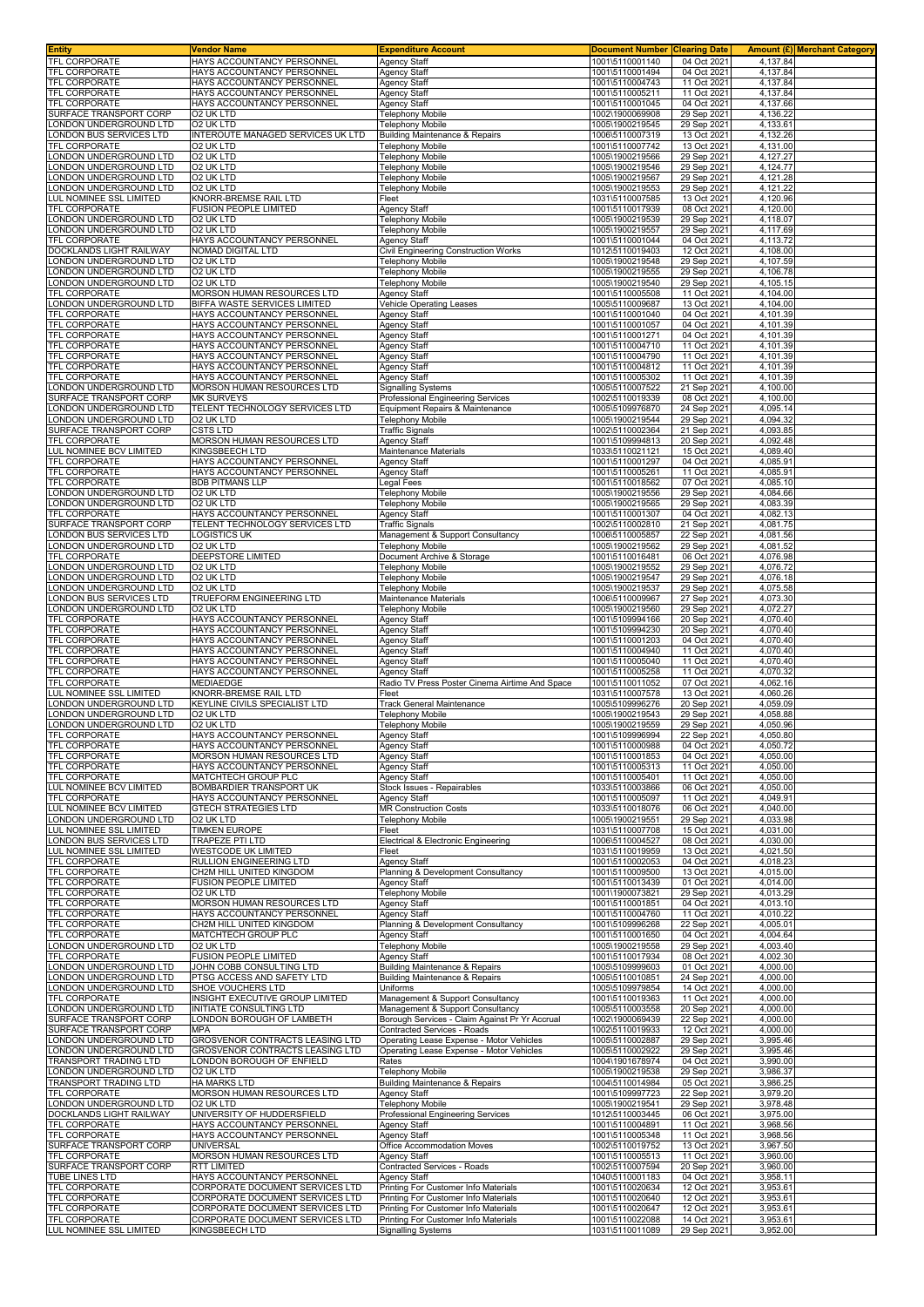| Entity                                                 | <b>Vendor Name</b>                                       | <b>Expenditure Account</b>                           | <b>Document Number</b>             | <b>Clearing Date</b>       |                      | Amount (£)  Merchant Category |
|--------------------------------------------------------|----------------------------------------------------------|------------------------------------------------------|------------------------------------|----------------------------|----------------------|-------------------------------|
| TFL CORPORATE                                          | HAYS ACCOUNTANCY PERSONNEL                               | Agency Staff                                         | 1001\5110001140                    | 04 Oct 2021                | 4,137.84             |                               |
| <b>TFL CORPORATE</b>                                   | HAYS ACCOUNTANCY PERSONNEL                               | Agency Staff                                         | 1001\5110001494                    | 04 Oct 2021                | 4,137.84             |                               |
| <b>TFL CORPORATE</b>                                   | HAYS ACCOUNTANCY PERSONNEL                               | Agency Staff                                         | 1001\5110004743                    | 11 Oct 2021                | 4,137.84             |                               |
| <b>TFL CORPORATE</b>                                   | HAYS ACCOUNTANCY PERSONNEL                               | Agency Staff                                         | 1001\5110005211                    | 11 Oct 2021                | 4,137.84             |                               |
| <b><i>TFL CORPORATE</i></b>                            | HAYS ACCOUNTANCY PERSONNEL                               | Agency Staff                                         | 1001\5110001045                    | 04 Oct 2021                | 4,137.66             |                               |
| SURFACE TRANSPORT CORP<br>ONDON UNDERGROUND LTD        | O2 UK LTD<br><b>O2 UK LTD</b>                            | Telephony Mobile                                     | 1002\1900069908                    | 29 Sep 2021                | 4,136.22             |                               |
| ONDON BUS SERVICES LTD.                                | INTEROUTE MANAGED SERVICES UK LTD                        | Telephony Mobile<br>Building Maintenance & Repairs   | 1005\1900219545<br>1006\5110007319 | 29 Sep 2021<br>13 Oct 2021 | 4,133.61<br>4,132.26 |                               |
| <b>TFL CORPORATE</b>                                   | O2 UK LTD                                                | Telephony Mobile                                     | 1001\5110007742                    | 13 Oct 2021                | 4,131.00             |                               |
| ONDON UNDERGROUND LTD                                  | O2 UK LTD                                                | Telephony Mobile                                     | 1005\1900219566                    | 29 Sep 2021                | 4,127.27             |                               |
| ONDON UNDERGROUND LTD                                  | O2 UK LTD                                                | <b>Telephony Mobile</b>                              | 1005\1900219546                    | 29 Sep 2021                | 4,124.77             |                               |
| ONDON UNDERGROUND LTD                                  | O2 UK LTD                                                | Telephony Mobile                                     | 1005\1900219567                    | 29 Sep 2021                | 4,121.28             |                               |
| ONDON UNDERGROUND LTD                                  | O2 UK LTD                                                | <b>Telephony Mobile</b>                              | 1005\1900219553                    | 29 Sep 2021                | 4,121.22             |                               |
| <b>UL NOMINEE SSL LIMITED</b>                          | KNORR-BREMSE RAIL LTD                                    | Fleet                                                | 1031\5110007585                    | 13 Oct 2021                | 4,120.96             |                               |
| <b>FL CORPORATE</b>                                    | FUSION PEOPLE LIMITED<br>O2 UK LTD                       | <b>Agency Staff</b><br><b>Telephony Mobile</b>       | 1001\5110017939<br>1005\1900219539 | 08 Oct 2021                | 4,120.00<br>4,118.07 |                               |
| ONDON UNDERGROUND LTD<br>ONDON UNDERGROUND LTD         | O2 UK LTD                                                | <b>Telephony Mobile</b>                              | 1005\1900219557                    | 29 Sep 2021<br>29 Sep 2021 | 4,117.69             |                               |
| <b>FEL CORPORATE</b>                                   | HAYS ACCOUNTANCY PERSONNEL                               | Agency Staff                                         | 1001\5110001044                    | 04 Oct 2021                | 4,113.72             |                               |
| <b>DOCKLANDS LIGHT RAILWAY</b>                         | NOMAD DIGITAL LTD                                        | Civil Engineering Construction Works                 | 1012\5110019403                    | 12 Oct 2021                | 4,108.00             |                               |
| ONDON UNDERGROUND LTD                                  | O2 UK LTD                                                | <b>Telephony Mobile</b>                              | 1005\1900219548                    | 29 Sep 2021                | 4,107.59             |                               |
| ONDON UNDERGROUND LTD                                  | O2 UK LTD                                                | <b>Telephony Mobile</b>                              | 1005\1900219555                    | 29 Sep 2021                | 4,106.78             |                               |
| ONDON UNDERGROUND LTD.                                 | O2 UK LTD<br>MORSON HUMAN RESOURCES LTD                  | Telephony Mobile                                     | 1005\1900219540                    | 29 Sep 2021                | 4,105.15<br>4,104.00 |                               |
| <b>TFL CORPORATE</b><br>ONDON UNDERGROUND LTD          | BIFFA WASTE SERVICES LIMITED                             | Agency Staff<br>Vehicle Operating Leases             | 1001\5110005508<br>1005\5110009687 | 11 Oct 2021<br>13 Oct 2021 | 4,104.00             |                               |
| <b>TFL CORPORATE</b>                                   | HAYS ACCOUNTANCY PERSONNEL                               | Agency Staff                                         | 1001\5110001040                    | 04 Oct 2021                | 4,101.39             |                               |
| <b>TFL CORPORATE</b>                                   | HAYS ACCOUNTANCY PERSONNEL                               | Agency Staff                                         | 1001\5110001057                    | 04 Oct 2021                | 4,101.39             |                               |
| <b>TFL CORPORATE</b>                                   | HAYS ACCOUNTANCY PERSONNEL                               | Agency Staff                                         | 1001\5110001271                    | 04 Oct 2021                | 4,101.39             |                               |
| <b>TFL CORPORATE</b>                                   | HAYS ACCOUNTANCY PERSONNEL                               | Agency Staff                                         | 1001\5110004710                    | 11 Oct 2021                | 4,101.39             |                               |
| <b>TFL CORPORATE</b>                                   | HAYS ACCOUNTANCY PERSONNEL                               | Agency Staff                                         | 1001\5110004790                    | 11 Oct 2021                | 4,101.39             |                               |
| <b>FEL CORPORATE</b><br><b>TFL CORPORATE</b>           | HAYS ACCOUNTANCY PERSONNEL<br>HAYS ACCOUNTANCY PERSONNEL | Agency Staff                                         | 1001\5110004812                    | 11 Oct 2021                | 4,101.39<br>4,101.39 |                               |
| ONDON UNDERGROUND LTD                                  | MORSON HUMAN RESOURCES LTD                               | Agency Staff<br><b>Signalling Systems</b>            | 1001\5110005302<br>1005\5110007522 | 11 Oct 2021<br>21 Sep 2021 | 4,100.00             |                               |
| SURFACE TRANSPORT CORP                                 | <b>MK SURVEYS</b>                                        | Professional Engineering Services                    | 1002\5110019339                    | 08 Oct 2021                | 4,100.00             |                               |
| ONDON UNDERGROUND LTD                                  | TELENT TECHNOLOGY SERVICES LTD                           | Equipment Repairs & Maintenance                      | 1005\5109976870                    | 24 Sep 2021                | 4,095.14             |                               |
| ONDON UNDERGROUND LTD                                  | O2 UK LTD                                                | Telephony Mobile                                     | 1005\1900219544                    | 29 Sep 2021                | 4.094.32             |                               |
| SURFACE TRANSPORT CORP                                 | <b>CSTS LTD</b>                                          | <b>Traffic Signals</b>                               | 1002\5110002364                    | 21 Sep 2021                | 4,093.85             |                               |
| <b>TFL CORPORATE</b>                                   | MORSON HUMAN RESOURCES LTD                               | Agency Staff                                         | 1001\5109994813                    | 20 Sep 2021                | 4,092.48             |                               |
| <b>UL NOMINEE BCV LIMITED</b><br><b>TFL CORPORATE</b>  | KINGSBEECH LTD<br>HAYS ACCOUNTANCY PERSONNEL             | <b>Maintenance Materials</b><br>Agency Staff         | 1033\5110021121<br>1001\5110001297 | 15 Oct 2021<br>04 Oct 2021 | 4,089.40<br>4,085.91 |                               |
| TFL CORPORATE                                          | HAYS ACCOUNTANCY PERSONNEL                               | <b>Agency Staff</b>                                  | 1001\5110005261                    | 11 Oct 2021                | 4,085.91             |                               |
| <b><i>TFL CORPORATE</i></b>                            | <b>BDB PITMANS LLP</b>                                   | Legal Fees                                           | 1001\5110018562                    | 07 Oct 2021                | 4,085.10             |                               |
| ONDON UNDERGROUND LTD                                  | O2 UK LTD                                                | <b>Telephony Mobile</b>                              | 1005\1900219556                    | 29 Sep 2021                | 4,084.66             |                               |
| ONDON UNDERGROUND LTD.                                 | O2 UK LTD                                                | Telephony Mobile                                     | 1005\1900219565                    | 29 Sep 2021                | 4,083.39             |                               |
| TFL CORPORATE                                          | HAYS ACCOUNTANCY PERSONNEL                               | Agency Staff                                         | 1001\5110001307                    | 04 Oct 2021                | 4,082.13             |                               |
| SURFACE TRANSPORT CORP                                 | TELENT TECHNOLOGY SERVICES LTD                           | Traffic Signals                                      | 1002\5110002810                    | 21 Sep 2021                | 4,081.75             |                               |
| ONDON BUS SERVICES LTD<br>ONDON UNDERGROUND LTD        | LOGISTICS UK<br>O2 UK LTD                                | Management & Support Consultancy<br>Telephony Mobile | 1006\5110005857<br>1005\1900219562 | 22 Sep 2021<br>29 Sep 2021 | 4,081.56<br>4,081.52 |                               |
| <b>TFL CORPORATE</b>                                   | DEEPSTORE LIMITED                                        | Document Archive & Storage                           | 1001\5110016481                    | 06 Oct 2021                | 4,076.98             |                               |
| ONDON UNDERGROUND LTD                                  | O2 UK LTD                                                | Telephony Mobile                                     | 1005\1900219552                    | 29 Sep 2021                | 4,076.72             |                               |
| ONDON UNDERGROUND LTD                                  | O2 UK LTD                                                | <b>Telephony Mobile</b>                              | 1005\1900219547                    | 29 Sep 2021                | 4,076.18             |                               |
| ONDON UNDERGROUND LTD                                  | O2 UK LTD                                                | <b>Telephony Mobile</b>                              | 1005\1900219537                    | 29 Sep 2021                | 4,075.58             |                               |
| ONDON BUS SERVICES LTD                                 | TRUEFORM ENGINEERING LTD                                 | Maintenance Materials                                | 1006\5110009967                    | 27 Sep 2021                | 4,073.30             |                               |
| ONDON UNDERGROUND LTD                                  | O2 UK LTD                                                | Telephony Mobile                                     | 1005\1900219560                    | 29 Sep 2021                | 4,072.27             |                               |
| <b>TFL CORPORATE</b><br><b>TFL CORPORATE</b>           | HAYS ACCOUNTANCY PERSONNEL<br>HAYS ACCOUNTANCY PERSONNEL | Agency Staff<br>Agency Staff                         | 1001\5109994166<br>1001\5109994230 | 20 Sep 2021<br>20 Sep 2021 | 4,070.40<br>4,070.40 |                               |
| <b>TFL CORPORATE</b>                                   | HAYS ACCOUNTANCY PERSONNEL                               | Agency Staff                                         | 1001\5110001203                    | 04 Oct 2021                | 4,070.40             |                               |
| <b>TFL CORPORATE</b>                                   | HAYS ACCOUNTANCY PERSONNEL                               | Agency Staff                                         | 1001\5110004940                    | 11 Oct 2021                | 4,070.40             |                               |
| TFL CORPORATE                                          | HAYS ACCOUNTANCY PERSONNEL                               | Agency Staff                                         | 1001\5110005040                    | 11 Oct 2021                | 4.070.40             |                               |
| <b>TFL CORPORATE</b>                                   | HAYS ACCOUNTANCY PERSONNEL                               | Agency Staff                                         | 1001\5110005258                    | 11 Oct 2021                | 4,070.32             |                               |
| <b>TFL CORPORATE</b>                                   | <b>MEDIAEDGE</b>                                         | Radio TV Press Poster Cinema Airtime And Space       | 1001\5110011052                    | 07 Oct 2021                | 4,062.16             |                               |
| <b>UL NOMINEE SSL LIMITED</b><br>ONDON UNDERGROUND LTD | KNORR-BREMSE RAIL LTD                                    | Fleet                                                | 1031\5110007578                    | 13 Oct 2021                | 4,060.26<br>4,059.09 |                               |
| ONDON UNDERGROUND LTD                                  | KEYLINE CIVILS SPECIALIST LTD<br>O2 UK LTD               | Track General Maintenance<br><b>Telephony Mobile</b> | 1005\5109996276<br>1005\1900219543 | 20 Sep 2021<br>29 Sep 2021 | 4,058.88             |                               |
| ONDON UNDERGROUND LTD                                  | O2 UK LTD                                                | Telephony Mobile                                     | 1005\1900219559                    | 29 Sep 2021                | 4,050.96             |                               |
| <b>TFL CORPORATE</b>                                   | HAYS ACCOUNTANCY PERSONNEL                               | Agency Staff                                         | 1001\5109996994                    | 22 Sep 2021                | 4,050.80             |                               |
| TFL CORPORATE                                          | HAYS ACCOUNTANCY PERSONNEL                               | <b>Agency Staff</b>                                  | 1001\5110000988                    | 04 Oct 2021                | 4,050.72             |                               |
| TFL CORPORATE                                          | MORSON HUMAN RESOURCES LTD                               | <b>Agency Staff</b>                                  | 1001\5110001853                    | 04 Oct 2021                | 4,050.00             |                               |
| <b><i>TFL CORPORATE</i></b><br><b>TFL CORPORATE</b>    | HAYS ACCOUNTANCY PERSONNEL<br>MATCHTECH GROUP PLC        | Agency Staff<br><b>Agency Staff</b>                  | 1001\5110005313<br>1001\5110005401 | 11 Oct 2021<br>11 Oct 2021 | 4,050.00<br>4.050.00 |                               |
| LUL NOMINEE BCV LIMITED                                | <b>BOMBARDIER TRANSPORT UK</b>                           | Stock Issues - Repairables                           | 1033\5110003866                    | 06 Oct 2021                | 4.050.00             |                               |
| TFL CORPORATE                                          | HAYS ACCOUNTANCY PERSONNEL                               | Agency Staff                                         | 1001\5110005097                    | 11 Oct 2021                | 4,049.91             |                               |
| <b>UL NOMINEE BCV LIMITED</b>                          | <b>GTECH STRATEGIES LTD</b>                              | <b>MR Construction Costs</b>                         | 1033\5110018076                    | 06 Oct 2021                | 4,040.00             |                               |
| ONDON UNDERGROUND LTD                                  | O2 UK LTD                                                | Telephony Mobile                                     | 1005\1900219551                    | 29 Sep 2021                | 4,033.98             |                               |
| LUL NOMINEE SSL LIMITED                                | <b>TIMKEN EUROPE</b>                                     | Fleet                                                | 1031\5110007708                    | 15 Oct 2021                | 4,031.00             |                               |
| ONDON BUS SERVICES LTD                                 | TRAPEZE PTI LTD                                          | Electrical & Electronic Engineering<br>Fleet         | 1006\5110004527<br>1031\5110019959 | 08 Oct 2021<br>13 Oct 2021 | 4.030.00<br>4,021.50 |                               |
| UL NOMINEE SSL LIMITED<br><b>TFL CORPORATE</b>         | WESTCODE UK LIMITED<br>RULLION ENGINEERING LTD           | Agency Staff                                         | 1001\5110002053                    | 04 Oct 2021                | 4,018.23             |                               |
| TFL CORPORATE                                          | CH2M HILL UNITED KINGDOM                                 | Planning & Development Consultancy                   | 1001\5110009500                    | 13 Oct 2021                | 4,015.00             |                               |
| <b>TFL CORPORATE</b>                                   | <b>FUSION PEOPLE LIMITED</b>                             | Agency Staff                                         | 1001\5110013439                    | 01 Oct 2021                | 4,014.00             |                               |
| <b>TFL CORPORATE</b>                                   | O2 UK LTD                                                | Telephony Mobile                                     | 1001\1900073821                    | 29 Sep 2021                | 4.013.29             |                               |
| TFL CORPORATE                                          | MORSON HUMAN RESOURCES LTD                               | Agency Staff                                         | 1001\5110001851                    | 04 Oct 2021                | 4,013.10             |                               |
| TFL CORPORATE<br><b>TFL CORPORATE</b>                  | HAYS ACCOUNTANCY PERSONNEL<br>CH2M HILL UNITED KINGDOM   | Agency Staff<br>Planning & Development Consultancy   | 1001\5110004760<br>1001\5109996268 | 11 Oct 2021<br>22 Sep 2021 | 4,010.22<br>4,005.01 |                               |
| <b>TFL CORPORATE</b>                                   | MATCHTECH GROUP PLC                                      | Agency Staff                                         | 1001\5110001650                    | 04 Oct 2021                | 4,004.64             |                               |
| ONDON UNDERGROUND LTD                                  | O2 UK LTD                                                | <b>Telephony Mobile</b>                              | 1005\1900219558                    | 29 Sep 2021                | 4,003.40             |                               |
| <b>TFL CORPORATE</b>                                   | <b>FUSION PEOPLE LIMITED</b>                             | Agency Staff                                         | 1001\5110017934                    | 08 Oct 2021                | 4,002.30             |                               |
| ONDON UNDERGROUND LTD                                  | JOHN COBB CONSULTING LTD                                 | <b>Building Maintenance &amp; Repairs</b>            | 1005\5109999603                    | 01 Oct 2021                | 4,000.00             |                               |
| ONDON UNDERGROUND LTD                                  | PTSG ACCESS AND SAFETY LTD                               | Building Maintenance & Repairs                       | 1005\5110010851                    | 24 Sep 2021                | 4,000.00             |                               |
| ONDON UNDERGROUND LTD<br>TFL CORPORATE                 | SHOE VOUCHERS LTD<br>INSIGHT EXECUTIVE GROUP LIMITED     | Uniforms<br>Management & Support Consultancy         | 1005\5109979854<br>1001\5110019363 | 14 Oct 2021<br>11 Oct 2021 | 4,000.00<br>4,000.00 |                               |
| ONDON UNDERGROUND LTD                                  | <b>INITIATE CONSULTING LTD</b>                           | Management & Support Consultancy                     | 1005\5110003558                    | 20 Sep 2021                | 4,000.00             |                               |
| SURFACE TRANSPORT CORP                                 | LONDON BOROUGH OF LAMBETH                                | Borough Services - Claim Against Pr Yr Accrual       | 1002\1900069439                    | 22 Sep 2021                | 4,000.00             |                               |
| SURFACE TRANSPORT CORP                                 | <b>MPA</b>                                               | Contracted Services - Roads                          | 1002\5110019933                    | 12 Oct 2021                | 4,000.00             |                               |
| ONDON UNDERGROUND LTD                                  | GROSVENOR CONTRACTS LEASING LTD                          | Operating Lease Expense - Motor Vehicles             | 1005\5110002887                    | 29 Sep 2021                | 3,995.46             |                               |
| ONDON UNDERGROUND LTD.                                 | GROSVENOR CONTRACTS LEASING LTD                          | Operating Lease Expense - Motor Vehicles             | 1005\5110002922                    | 29 Sep 2021                | 3,995.46             |                               |
| <b>FRANSPORT TRADING LTD</b><br>ONDON UNDERGROUND LTD  | LONDON BOROUGH OF ENFIELD<br>O2 UK LTD                   | Rates<br><b>Telephony Mobile</b>                     | 1004\1901678974<br>1005\1900219538 | 04 Oct 2021<br>29 Sep 2021 | 3,990.00<br>3,986.37 |                               |
| <b>TRANSPORT TRADING LTD</b>                           | HA MARKS LTD                                             | Building Maintenance & Repairs                       | 1004\5110014984                    | 05 Oct 2021                | 3,986.25             |                               |
| <b>FEL CORPORATE</b>                                   | MORSON HUMAN RESOURCES LTD                               | Agency Staff                                         | 1001\5109997723                    | 22 Sep 2021                | 3,979.20             |                               |
| ONDON UNDERGROUND LTD                                  | 02 UK LTD                                                | Telephony Mobile                                     | 1005\1900219541                    | 29 Sep 2021                | 3,978.48             |                               |
| DOCKLANDS LIGHT RAILWAY                                | UNIVERSITY OF HUDDERSFIELD                               | Professional Engineering Services                    | 1012\5110003445                    | 06 Oct 2021                | 3,975.00             |                               |
| <b>TFL CORPORATE</b>                                   | HAYS ACCOUNTANCY PERSONNEL                               | Agency Staff                                         | 1001\5110004891                    | 11 Oct 2021                | 3,968.56             |                               |
| <b>TFL CORPORATE</b>                                   | HAYS ACCOUNTANCY PERSONNEL                               | Agency Staff                                         | 1001\5110005348                    | 11 Oct 2021                | 3,968.56             |                               |
| SURFACE TRANSPORT CORP<br>TFL CORPORATE                | <b>UNIVERSAL</b><br>MORSON HUMAN RESOURCES LTD           | Office Accommodation Moves<br>Agency Staff           | 1002\5110019752<br>1001\5110005513 | 13 Oct 2021<br>11 Oct 2021 | 3,967.50<br>3,960.00 |                               |
| SURFACE TRANSPORT CORP                                 | RTT LIMITED                                              | Contracted Services - Roads                          | 1002\5110007594                    | 20 Sep 2021                | 3,960.00             |                               |
| <b>TUBE LINES LTD</b>                                  | HAYS ACCOUNTANCY PERSONNEL                               | Agency Staff                                         | 1040\5110001183                    | 04 Oct 2021                | 3,958.11             |                               |
| TFL CORPORATE                                          | CORPORATE DOCUMENT SERVICES LTD                          | Printing For Customer Info Materials                 | 1001\5110020634                    | 12 Oct 2021                | 3,953.61             |                               |
| TFL CORPORATE                                          | CORPORATE DOCUMENT SERVICES LTD                          | Printing For Customer Info Materials                 | 1001\5110020640                    | 12 Oct 2021                | 3,953.61             |                               |
| <b>TFL CORPORATE</b>                                   | CORPORATE DOCUMENT SERVICES LTD                          | Printing For Customer Info Materials                 | 1001\5110020647                    | 12 Oct 2021                | 3,953.61             |                               |
| <b>TFL CORPORATE</b><br>LUL NOMINEE SSL LIMITED        | CORPORATE DOCUMENT SERVICES LTD                          | Printing For Customer Info Materials                 | 1001\5110022088                    | 14 Oct 2021                | 3,953.61<br>3,952.00 |                               |
|                                                        | KINGSBEECH LTD                                           | <b>Signalling Systems</b>                            | 1031\5110011089                    | 29 Sep 2021                |                      |                               |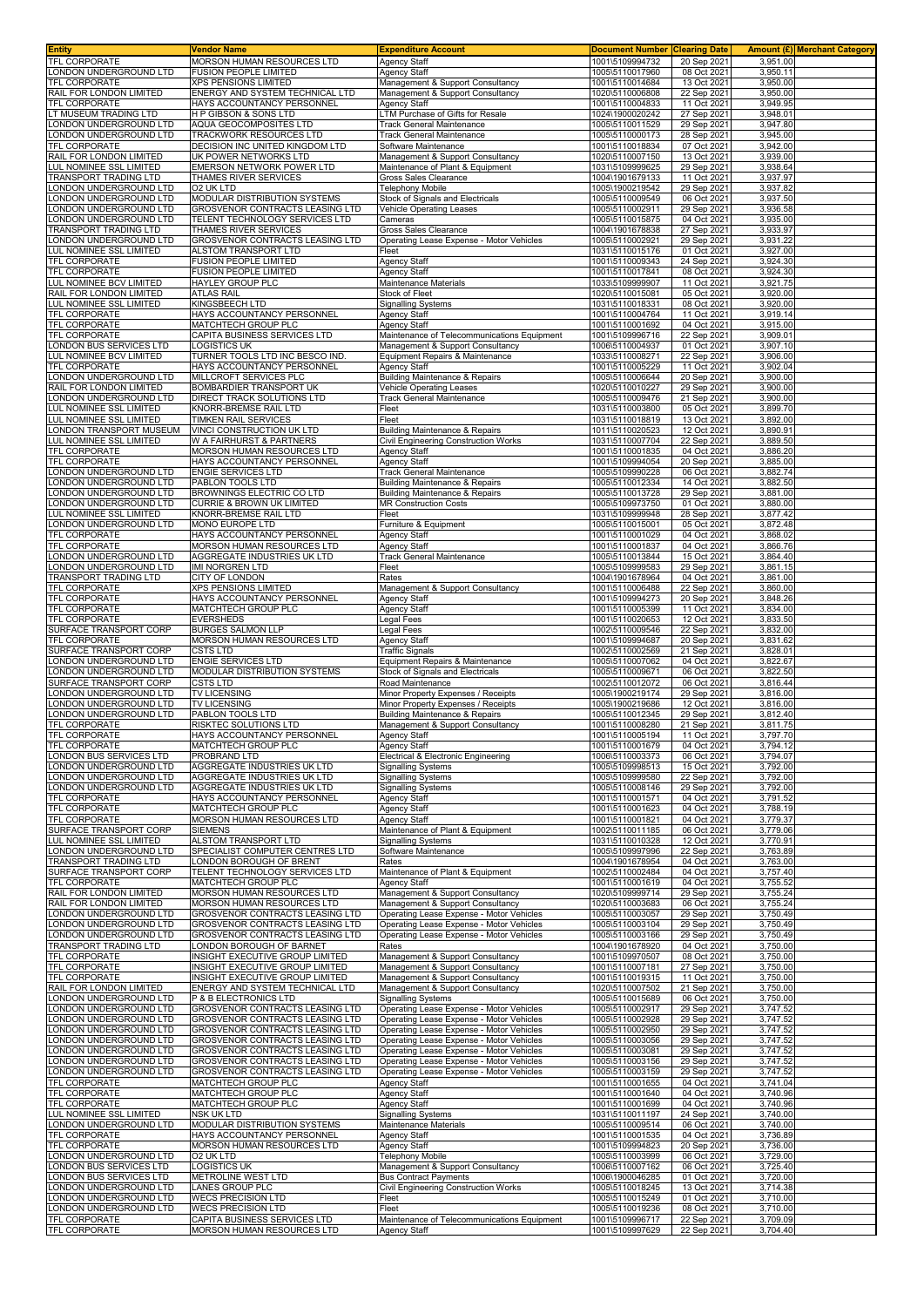| <b>Entity</b>                                            | Vendor Name                                                               | <b>Expenditure Account</b>                                                           | <b>Document Number</b>             | <b>Clearing Date</b>       |                      | Amount (£) Merchant Category |
|----------------------------------------------------------|---------------------------------------------------------------------------|--------------------------------------------------------------------------------------|------------------------------------|----------------------------|----------------------|------------------------------|
| <b>TFL CORPORATE</b><br>ONDON UNDERGROUND LTD            | MORSON HUMAN RESOURCES LTD<br><b>FUSION PEOPLE LIMITED</b>                | <b>Agency Staff</b><br><b>Agency Staff</b>                                           | 1001\5109994732<br>1005\5110017960 | 20 Sep 2021<br>08 Oct 202  | 3,951.00<br>3,950.11 |                              |
| <b>TFL CORPORATE</b>                                     | <b>XPS PENSIONS LIMITED</b>                                               | Management & Support Consultancy                                                     | 1001\5110014684                    | 13 Oct 2021                | 3,950.00             |                              |
| RAIL FOR LONDON LIMITED                                  | ENERGY AND SYSTEM TECHNICAL LTD                                           | Management & Support Consultancy                                                     | 1020\5110006808                    | 22 Sep 2021                | 3,950.00             |                              |
| <b>TFL CORPORATE</b><br>T MUSEUM TRADING LTD             | HAYS ACCOUNTANCY PERSONNEL<br>H P GIBSON & SONS LTD                       | Agency Staff<br>TM Purchase of Gifts for Resale                                      | 1001\5110004833<br>1024\1900020242 | 11 Oct 202<br>27 Sep 202   | 3,949.95<br>3,948.01 |                              |
| ONDON UNDERGROUND LTD                                    | AQUA GEOCOMPOSITES LTD                                                    | Track General Maintenance                                                            | 1005\5110011529                    | 29 Sep 2021                | 3,947.80             |                              |
| ONDON UNDERGROUND LTD                                    | TRACKWORK RESOURCES LTD                                                   | Track General Maintenance                                                            | 1005\5110000173                    | 28 Sep 2021                | 3,945.00             |                              |
| <b>TFL CORPORATE</b><br>RAIL FOR LONDON LIMITED          | DECISION INC UNITED KINGDOM LTD<br>UK POWER NETWORKS LTD                  | Software Maintenance<br>Management & Support Consultancy                             | 1001\5110018834<br>1020\5110007150 | 07 Oct 2021<br>13 Oct 2021 | 3,942.00<br>3,939.00 |                              |
| UL NOMINEE SSL LIMITED                                   | EMERSON NETWORK POWER LTD                                                 | Maintenance of Plant & Equipment                                                     | 1031\5109999625                    | 29 Sep 2021                | 3,938.64             |                              |
| TRANSPORT TRADING LTD                                    | THAMES RIVER SERVICES                                                     | Gross Sales Clearance                                                                | 1004\1901679133                    | 11 Oct 2021                | 3,937.97             |                              |
| ONDON UNDERGROUND LTD<br>ONDON UNDERGROUND LTD           | O2 UK LTD<br>MODULAR DISTRIBUTION SYSTEMS                                 | Telephony Mobile<br>Stock of Signals and Electricals                                 | 1005\1900219542<br>1005\5110009549 | 29 Sep 2021<br>06 Oct 2021 | 3,937.82<br>3,937.50 |                              |
| ONDON UNDERGROUND LTD                                    | GROSVENOR CONTRACTS LEASING LTD                                           | Vehicle Operating Leases                                                             | 1005\5110002911                    | 29 Sep 2021                | 3,936.58             |                              |
| ONDON UNDERGROUND LTD                                    | TELENT TECHNOLOGY SERVICES LTD<br>THAMES RIVER SERVICES                   | Cameras                                                                              | 1005\5110015875                    | 04 Oct 202                 | 3,935.00             |                              |
| <b>FRANSPORT TRADING LTD</b><br>ONDON UNDERGROUND LTD    | GROSVENOR CONTRACTS LEASING LTD                                           | Gross Sales Clearance<br>Operating Lease Expense - Motor Vehicles                    | 1004\1901678838<br>1005\5110002921 | 27 Sep 2021<br>29 Sep 2021 | 3,933.97<br>3,931.22 |                              |
| UL NOMINEE SSL LIMITED                                   | ALSTOM TRANSPORT LTD                                                      | Fleet                                                                                | 1031\5110015176                    | 01 Oct 2021                | 3,927.00             |                              |
| TFL CORPORATE<br>TFL CORPORATE                           | <b>FUSION PEOPLE LIMITED</b><br>FUSION PEOPLE LIMITED                     | <b>Agency Staff</b><br><b>Agency Staff</b>                                           | 1001\5110009343<br>1001\5110017841 | 24 Sep 2021<br>08 Oct 2021 | 3,924.30<br>3,924.30 |                              |
| LUL NOMINEE BCV LIMITED                                  | HAYLEY GROUP PLC                                                          | Maintenance Materials                                                                | 1033\5109999907                    | 11 Oct 2021                | 3,921.75             |                              |
| RAIL FOR LONDON LIMITED                                  | <b>ATLAS RAIL</b>                                                         | <b>Stock of Fleet</b>                                                                | 1020\5110015081                    | 05 Oct 2021                | 3,920.00             |                              |
| LUL NOMINEE SSL LIMITED<br>TFL CORPORATE                 | <b>KINGSBEECH LTD</b><br>HAYS ACCOUNTANCY PERSONNEL                       | <b>Signalling Systems</b><br><b>Agency Staff</b>                                     | 1031\5110018331<br>1001\5110004764 | 08 Oct 202<br>11 Oct 2021  | 3,920.00<br>3,919.14 |                              |
| <b>TFL CORPORATE</b>                                     | MATCHTECH GROUP PLC                                                       | Agency Staff                                                                         | 1001\5110001692                    | 04 Oct 2021                | 3,915.00             |                              |
| TFL CORPORATE                                            | CAPITA BUSINESS SERVICES LTD                                              | Maintenance of Telecommunications Equipment                                          | 1001\5109996716                    | 22 Sep 2021                | 3,909.01             |                              |
| LONDON BUS SERVICES LTD<br>UL NOMINEE BCV LIMITED        | <b>LOGISTICS UK</b><br>TURNER TOOLS LTD INC BESCO IND.                    | Management & Support Consultancy<br>Equipment Repairs & Maintenance                  | 1006\5110004937<br>1033\5110008271 | 01 Oct 2021<br>22 Sep 2021 | 3,907.10<br>3,906.00 |                              |
| TFL CORPORATE                                            | HAYS ACCOUNTANCY PERSONNEL                                                | Agency Staff                                                                         | 1001\5110005229                    | 11 Oct 2021                | 3,902.04             |                              |
| ONDON UNDERGROUND LTD<br>RAIL FOR LONDON LIMITED         | MILLCROFT SERVICES PLC<br>BOMBARDIER TRANSPORT UK                         | Building Maintenance & Repairs<br>Vehicle Operating Leases                           | 1005\5110006644<br>1020\5110010227 | 20 Sep 2021<br>29 Sep 202  | 3,900.00<br>3,900.00 |                              |
| ONDON UNDERGROUND LTD                                    | DIRECT TRACK SOLUTIONS LTD                                                | Track General Maintenance                                                            | 1005\5110009476                    | 21 Sep 2021                | 3,900.00             |                              |
| <b>UL NOMINEE SSL LIMITED</b>                            | KNORR-BREMSE RAIL LTD                                                     | Fleet                                                                                | 1031\5110003800                    | 05 Oct 2021                | 3,899.70             |                              |
| <b>LUL NOMINEE SSL LIMITED</b><br>ONDON TRANSPORT MUSEUM | TIMKEN RAIL SERVICES<br>VINCI CONSTRUCTION UK LTD                         | Fleet<br><b>Building Maintenance &amp; Repairs</b>                                   | 1031\5110018819<br>1011\5110020523 | 13 Oct 2021<br>12 Oct 2021 | 3.892.00<br>3,890.91 |                              |
| UL NOMINEE SSL LIMITED                                   | W A FAIRHURST & PARTNERS                                                  | Civil Engineering Construction Works                                                 | 1031\5110007704                    | 22 Sep 2021                | 3,889.50             |                              |
| TFL CORPORATE<br><b>TFL CORPORATE</b>                    | MORSON HUMAN RESOURCES LTD                                                | Agency Staff                                                                         | 1001\5110001835                    | 04 Oct 2021                | 3,886.20             |                              |
| ONDON UNDERGROUND LTD                                    | HAYS ACCOUNTANCY PERSONNEL<br><b>ENGIE SERVICES LTD</b>                   | <b>Agency Staff</b><br><b>Track General Maintenance</b>                              | 1001\5109994054<br>1005\5109990228 | 20 Sep 2021<br>06 Oct 2021 | 3,885.00<br>3,882.74 |                              |
| ONDON UNDERGROUND LTD                                    | PABLON TOOLS LTD                                                          | Building Maintenance & Repairs                                                       | 1005\5110012334                    | 14 Oct 2021                | 3,882.50             |                              |
| ONDON UNDERGROUND LTD<br>ONDON UNDERGROUND LTD           | BROWNINGS ELECTRIC CO LTD<br><b>CURRIE &amp; BROWN UK LIMITED</b>         | <b>Building Maintenance &amp; Repairs</b><br><b>MR Construction Costs</b>            | 1005\5110013728<br>1005\5109973750 | 29 Sep 2021<br>01 Oct 202  | 3,881.00<br>3,880.00 |                              |
| UL NOMINEE SSL LIMITED                                   | KNORR-BREMSE RAIL LTD                                                     | Fleet                                                                                | 1031\5109999948                    | 28 Sep 2021                | 3,877.42             |                              |
| ONDON UNDERGROUND LTD                                    | MONO EUROPE LTD                                                           | Furniture & Equipment                                                                | 1005\5110015001                    | 05 Oct 2021                | 3,872.48             |                              |
| TFL CORPORATE<br><b>TFL CORPORATE</b>                    | HAYS ACCOUNTANCY PERSONNEL<br>MORSON HUMAN RESOURCES LTD                  | <b>Agency Staff</b><br>Agency Staff                                                  | 1001\5110001029<br>1001\5110001837 | 04 Oct 2021<br>04 Oct 202  | 3,868.02<br>3,866.76 |                              |
| ONDON UNDERGROUND LTD                                    | AGGREGATE INDUSTRIES UK LTD                                               | <b>Track General Maintenance</b>                                                     | 1005\5110013844                    | 15 Oct 2021                | 3,864.40             |                              |
| ONDON UNDERGROUND LTD                                    | <b>IMI NORGREN LTD</b>                                                    | Fleet                                                                                | 1005\5109999583                    | 29 Sep 2021                | 3,861.15             |                              |
| TRANSPORT TRADING LTD<br>TFL CORPORATE                   | CITY OF LONDON<br><b>XPS PENSIONS LIMITED</b>                             | Rates<br>Management & Support Consultancy                                            | 1004\1901678964<br>1001\5110006488 | 04 Oct 2021<br>22 Sep 2021 | 3,861.00<br>3,860.00 |                              |
| TFL CORPORATE                                            | HAYS ACCOUNTANCY PERSONNEL                                                | <b>Agency Staff</b>                                                                  | 1001\5109994273                    | 20 Sep 2021                | 3,848.26             |                              |
| TFL CORPORATE                                            | MATCHTECH GROUP PLC                                                       | Agency Staff                                                                         | 1001\5110005399                    | 11 Oct 2021                | 3,834.00             |                              |
| TFL CORPORATE<br>SURFACE TRANSPORT CORP                  | EVERSHEDS<br><b>BURGES SALMON LLP</b>                                     | Legal Fees<br>Legal Fees                                                             | 1001\5110020653<br>1002\5110009546 | 12 Oct 2021<br>22 Sep 2021 | 3,833.50<br>3,832.00 |                              |
| TFL CORPORATE                                            | MORSON HUMAN RESOURCES LTD                                                | Agency Staff                                                                         | 1001\5109994687                    | 20 Sep 2021                | 3,831.62             |                              |
| SURFACE TRANSPORT CORP<br>ONDON UNDERGROUND LTD          | <b>CSTS LTD</b><br><b>ENGIE SERVICES LTD</b>                              | <b>Traffic Signals</b><br>Equipment Repairs & Maintenance                            | 1002\5110002569<br>1005\5110007062 | 21 Sep 2021<br>04 Oct 2021 | 3,828.01<br>3,822.67 |                              |
| ONDON UNDERGROUND LTD                                    | MODULAR DISTRIBUTION SYSTEMS                                              | Stock of Signals and Electricals                                                     | 1005\5110009671                    | 06 Oct 2021                | 3,822.50             |                              |
| SURFACE TRANSPORT CORP                                   | <b>CSTS LTD</b>                                                           | Road Maintenance                                                                     | 1002\5110012072                    | 06 Oct 2021                | 3,816.44             |                              |
| ONDON UNDERGROUND LTD<br>ONDON UNDERGROUND LTD           | <b>TV LICENSING</b><br>TV LICENSING                                       | Minor Property Expenses / Receipts<br>Minor Property Expenses / Receipts             | 1005\1900219174<br>1005\1900219686 | 29 Sep 2021<br>12 Oct 2021 | 3,816.00<br>3,816.00 |                              |
| ONDON UNDERGROUND LTD                                    | PABLON TOOLS LTD                                                          | Building Maintenance & Repairs                                                       | 1005\5110012345                    | 29 Sep 202                 | 3,812.40             |                              |
| TFL CORPORATE                                            | <b>RISKTEC SOLUTIONS LTD</b>                                              | Management & Support Consultancy                                                     | 1001\5110008280<br>1001\5110005194 | 21 Sep 2021                | 3,811.75             |                              |
| TFL CORPORATE<br><b>TFL CORPORATE</b>                    | HAYS ACCOUNTANCY PERSONNEL<br><b>MATCHTECH GROUP PLC</b>                  | Agency Staff<br>Agency Staff                                                         | 1001\5110001679                    | 11 Oct 2021<br>04 Oct 2021 | 3,797.70<br>3.794.12 |                              |
| ONDON BUS SERVICES LTD                                   | PROBRAND LTD                                                              | Electrical & Electronic Engineering                                                  | 1006\5110003373                    | 06 Oct 2021                | 3,794.07             |                              |
| ONDON UNDERGROUND LTD<br>ONDON UNDERGROUND LTD           | AGGREGATE INDUSTRIES UK LTD<br>AGGREGATE INDUSTRIES UK LTD                | <b>Signalling Systems</b><br><b>Signalling Systems</b>                               | 1005\5109998513<br>1005\5109999580 | 15 Oct 2021<br>22 Sep 2021 | 3,792.00<br>3,792.00 |                              |
| ONDON UNDERGROUND LTD                                    | AGGREGATE INDUSTRIES UK LTD                                               | <b>Signalling Systems</b>                                                            | 1005\5110008146                    | 29 Sep 2021                | 3.792.00             |                              |
| TFL CORPORATE                                            | HAYS ACCOUNTANCY PERSONNEL                                                | <b>Agency Staff</b>                                                                  | 1001\5110001571                    | 04 Oct 2021                | 3,791.52             |                              |
| TFL CORPORATE<br><b>TFL CORPORATE</b>                    | MATCHTECH GROUP PLC<br>MORSON HUMAN RESOURCES LTD                         | Agency Staff<br>Agency Staff                                                         | 1001\5110001623<br>1001\5110001821 | 04 Oct 2021<br>04 Oct 2021 | 3,788.19<br>3.779.37 |                              |
| SURFACE TRANSPORT CORP                                   | <b>SIEMENS</b>                                                            | Maintenance of Plant & Equipment                                                     | 1002\5110011185                    | 06 Oct 2021                | 3,779.06             |                              |
| UL NOMINEE SSL LIMITED<br>ONDON UNDERGROUND LTD          | ALSTOM TRANSPORT LTD                                                      | <b>Signalling Systems</b>                                                            | 1031\5110010328                    | 12 Oct 2021                | 3,770.91             |                              |
| <b>TRANSPORT TRADING LTD</b>                             | SPECIALIST COMPUTER CENTRES LTD<br>LONDON BOROUGH OF BRENT                | Software Maintenance<br>Rates                                                        | 1005\5109997996<br>1004\1901678954 | 22 Sep 2021<br>04 Oct 2021 | 3,763.89<br>3,763.00 |                              |
| SURFACE TRANSPORT CORP                                   | TELENT TECHNOLOGY SERVICES LTD                                            | Maintenance of Plant & Equipment                                                     | 1002\5110002484                    | 04 Oct 2021                | 3,757.40             |                              |
| TFL CORPORATE<br>RAIL FOR LONDON LIMITED                 | MATCHTECH GROUP PLC<br>MORSON HUMAN RESOURCES LTD                         | <b>Agency Staff</b><br>Management & Support Consultancy                              | 1001\5110001619<br>1020\5109999714 | 04 Oct 2021<br>29 Sep 2021 | 3,755.52<br>3,755.24 |                              |
| RAIL FOR LONDON LIMITED                                  | MORSON HUMAN RESOURCES LTD                                                | Management & Support Consultancy                                                     | 1020\5110003683                    | 06 Oct 2021                | 3,755.24             |                              |
| ONDON UNDERGROUND LTD<br>ONDON UNDERGROUND LTD           | GROSVENOR CONTRACTS LEASING LTD<br>GROSVENOR CONTRACTS LEASING LTD        | Operating Lease Expense - Motor Vehicles<br>Operating Lease Expense - Motor Vehicles | 1005\5110003057<br>1005\5110003104 | 29 Sep 2021<br>29 Sep 2021 | 3,750.49<br>3,750.49 |                              |
| ONDON UNDERGROUND LTD                                    | GROSVENOR CONTRACTS LEASING LTD                                           | Operating Lease Expense - Motor Vehicles                                             | 1005\5110003166                    | 29 Sep 2021                | 3,750.49             |                              |
| TRANSPORT TRADING LTD                                    | LONDON BOROUGH OF BARNET                                                  | Rates                                                                                | 1004\1901678920                    | 04 Oct 2021                | 3,750.00             |                              |
| TFL CORPORATE<br>TFL CORPORATE                           | INSIGHT EXECUTIVE GROUP LIMITED<br>INSIGHT EXECUTIVE GROUP LIMITED        | Management & Support Consultancy<br>Management & Support Consultancy                 | 1001\5109970507<br>1001\5110007181 | 08 Oct 2021<br>27 Sep 2021 | 3,750.00<br>3,750.00 |                              |
| TFL CORPORATE                                            | INSIGHT EXECUTIVE GROUP LIMITED                                           | Management & Support Consultancy                                                     | 1001\5110019315                    | 11 Oct 2021                | 3,750.00             |                              |
| RAIL FOR LONDON LIMITED                                  | ENERGY AND SYSTEM TECHNICAL LTD                                           | Management & Support Consultancy                                                     | 1020\5110007502                    | 21 Sep 2021                | 3,750.00             |                              |
| ONDON UNDERGROUND LTD<br>ONDON UNDERGROUND LTD           | P & B ELECTRONICS LTD<br>GROSVENOR CONTRACTS LEASING LTD                  | <b>Signalling Systems</b><br>Operating Lease Expense - Motor Vehicles                | 1005\5110015689<br>1005\5110002917 | 06 Oct 2021<br>29 Sep 2021 | 3,750.00<br>3,747.52 |                              |
| ONDON UNDERGROUND LTD                                    | GROSVENOR CONTRACTS LEASING LTD                                           | Operating Lease Expense - Motor Vehicles                                             | 1005\5110002928                    | 29 Sep 2021                | 3,747.52             |                              |
| ONDON UNDERGROUND LTD<br>ONDON UNDERGROUND LTD           | <b>GROSVENOR CONTRACTS LEASING LTD</b><br>GROSVENOR CONTRACTS LEASING LTD | Operating Lease Expense - Motor Vehicles<br>Operating Lease Expense - Motor Vehicles | 1005\5110002950<br>1005\5110003056 | 29 Sep 2021<br>29 Sep 2021 | 3,747.52<br>3,747.52 |                              |
| ONDON UNDERGROUND LTD                                    | GROSVENOR CONTRACTS LEASING LTD                                           | Operating Lease Expense - Motor Vehicles                                             | 1005\5110003081                    | 29 Sep 2021                | 3,747.52             |                              |
| ONDON UNDERGROUND LTD                                    | GROSVENOR CONTRACTS LEASING LTD                                           | Operating Lease Expense - Motor Vehicles                                             | 1005\5110003156                    | 29 Sep 2021                | 3,747.52             |                              |
| ONDON UNDERGROUND LTD<br>TFL CORPORATE                   | GROSVENOR CONTRACTS LEASING LTD<br>MATCHTECH GROUP PLC                    | Operating Lease Expense - Motor Vehicles<br><b>Agency Staff</b>                      | 1005\5110003159<br>1001\5110001655 | 29 Sep 2021<br>04 Oct 2021 | 3,747.52<br>3,741.04 |                              |
| TFL CORPORATE                                            | MATCHTECH GROUP PLC                                                       | Agency Staff                                                                         | 1001\5110001640                    | 04 Oct 2021                | 3,740.96             |                              |
| TFL CORPORATE                                            | MATCHTECH GROUP PLC                                                       | <b>Agency Staff</b>                                                                  | 1001\5110001699                    | 04 Oct 2021                | 3,740.96             |                              |
| LUL NOMINEE SSL LIMITED<br>ONDON UNDERGROUND LTD         | NSK UK LTD<br>MODULAR DISTRIBUTION SYSTEMS                                | Signalling Systems<br>Maintenance Materials                                          | 1031\5110011197<br>1005\5110009514 | 24 Sep 2021<br>06 Oct 2021 | 3,740.00<br>3,740.00 |                              |
| TFL CORPORATE                                            | HAYS ACCOUNTANCY PERSONNEL                                                | <b>Agency Staff</b>                                                                  | 1001\5110001535                    | 04 Oct 2021                | 3,736.89             |                              |
| TFL CORPORATE<br>ONDON UNDERGROUND LTD                   | MORSON HUMAN RESOURCES LTD<br>O2 UK LTD                                   | <b>Agency Staff</b><br><b>Telephony Mobile</b>                                       | 1001\5109994823<br>1005\5110003999 | 20 Sep 202<br>06 Oct 2021  | 3,736.00<br>3,729.00 |                              |
| ONDON BUS SERVICES LTD                                   | <b>LOGISTICS UK</b>                                                       | Management & Support Consultancy                                                     | 1006\5110007162                    | 06 Oct 2021                | 3,725.40             |                              |
| ONDON BUS SERVICES LTD                                   | METROLINE WEST LTD                                                        | <b>Bus Contract Payments</b>                                                         | 1006\1900046285                    | 01 Oct 2021                | 3,720.00             |                              |
| ONDON UNDERGROUND LTD<br>ONDON UNDERGROUND LTD           | LANES GROUP PLC<br><b>WECS PRECISION LTD</b>                              | Civil Engineering Construction Works<br>Fleet                                        | 1005\5110018245<br>1005\5110015249 | 13 Oct 2021<br>01 Oct 2021 | 3,714.38<br>3,710.00 |                              |
| ONDON UNDERGROUND LTD                                    | <b>WECS PRECISION LTD</b>                                                 | Fleet                                                                                | 1005\5110019236                    | 08 Oct 2021                | 3,710.00             |                              |
| TFL CORPORATE<br>TFL CORPORATE                           | CAPITA BUSINESS SERVICES LTD<br>MORSON HUMAN RESOURCES LTD                | Maintenance of Telecommunications Equipment                                          | 1001\5109996717                    | 22 Sep 2021                | 3,709.09             |                              |
|                                                          |                                                                           | <b>Agency Staff</b>                                                                  | 1001\5109997629                    | 22 Sep 2021                | 3,704.40             |                              |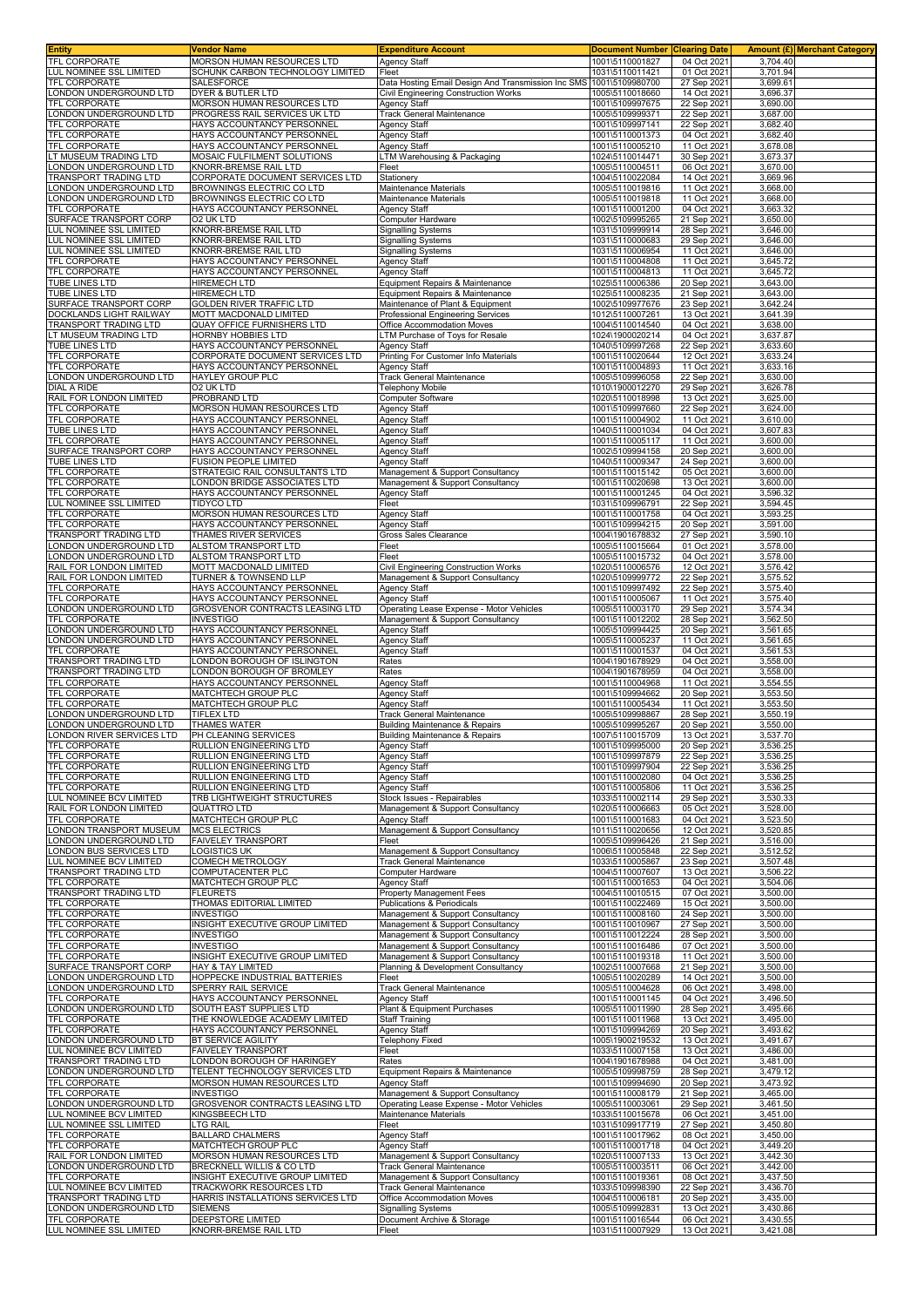| <b>Entity</b>                                           | Vendor Name                                                    | <b>Expenditure Account</b>                                                      | <b>Document Number Clearing Date</b> |                            | Amount (£) Merchant Category |
|---------------------------------------------------------|----------------------------------------------------------------|---------------------------------------------------------------------------------|--------------------------------------|----------------------------|------------------------------|
| TFL CORPORATE<br><b>UL NOMINEE SSL LIMITED</b>          | MORSON HUMAN RESOURCES LTD<br>SCHUNK CARBON TECHNOLOGY LIMITED | Agency Staff<br>Fleet                                                           | 1001\5110001827<br>1031\5110011421   | 04 Oct 2021<br>01 Oct 2021 | 3,704.40<br>3,701.94         |
| TFL CORPORATE                                           | SALESFORCE                                                     | Data Hosting Email Design And Transmission Inc SMS                              | 1001\5109980700                      | 27 Sep 2021                | 3,699.61                     |
| ONDON UNDERGROUND LTD                                   | <b>DYER &amp; BUTLER LTD</b>                                   | Civil Engineering Construction Works                                            | 1005\5110018660                      | 14 Oct 2021                | 3,696.37                     |
| TFL CORPORATE<br>ONDON UNDERGROUND LTD                  | MORSON HUMAN RESOURCES LTD<br>PROGRESS RAIL SERVICES UK LTD    | <b>Agency Staff</b><br><b>Track General Maintenance</b>                         | 1001\5109997675<br>1005\5109999371   | 22 Sep 2021<br>22 Sep 2021 | 3,690.00<br>3,687.00         |
| TFL CORPORATE                                           | HAYS ACCOUNTANCY PERSONNEL                                     | <b>Agency Staff</b>                                                             | 1001\5109997141                      | 22 Sep 2021                | 3,682.40                     |
| TFL CORPORATE                                           | HAYS ACCOUNTANCY PERSONNEL                                     | <b>Agency Staff</b>                                                             | 1001\5110001373                      | 04 Oct 202                 | 3.682.40                     |
| <b>TFL CORPORATE</b><br>T MUSEUM TRADING LTD            | HAYS ACCOUNTANCY PERSONNEL<br>MOSAIC FULFILMENT SOLUTIONS      | <b>Agency Staff</b><br>LTM Warehousing & Packaging                              | 1001\5110005210<br>1024\5110014471   | 11 Oct 2021<br>30 Sep 2021 | 3,678.08<br>3,673.37         |
| ONDON UNDERGROUND LTD                                   | KNORR-BREMSE RAIL LTD                                          | Fleet                                                                           | 1005\5110004511                      | 06 Oct 2021                | 3,670.00                     |
| TRANSPORT TRADING LTD                                   | CORPORATE DOCUMENT SERVICES LTD                                | Stationery                                                                      | 1004\5110022084                      | 14 Oct 2021                | 3,669.96                     |
| ONDON UNDERGROUND LTD<br>ONDON UNDERGROUND LTD          | BROWNINGS ELECTRIC CO LTD<br>BROWNINGS ELECTRIC CO LTD         | Maintenance Materials<br>Maintenance Materials                                  | 1005\5110019816<br>1005\5110019818   | 11 Oct 2021<br>11 Oct 2021 | 3,668.00<br>3,668.00         |
| TFL CORPORATE                                           | HAYS ACCOUNTANCY PERSONNEL                                     | <b>Agency Staff</b>                                                             | 1001\5110001200                      | 04 Oct 2021                | 3,663.32                     |
| SURFACE TRANSPORT CORP                                  | O2 UK LTD                                                      | Computer Hardware                                                               | 1002\5109995265                      | 21 Sep 202                 | 3,650.00                     |
| UL NOMINEE SSL LIMITED<br><b>UL NOMINEE SSL LIMITED</b> | KNORR-BREMSE RAIL LTD<br>KNORR-BREMSE RAIL LTD                 | <b>Signalling Systems</b><br><b>Signalling Systems</b>                          | 1031\5109999914<br>1031\5110000683   | 28 Sep 202<br>29 Sep 2021  | 3,646.00<br>3,646.00         |
| LUL NOMINEE SSL LIMITED                                 | KNORR-BREMSE RAIL LTD                                          | <b>Signalling Systems</b>                                                       | 1031\5110006954                      | 11 Oct 2021                | 3,646.00                     |
| TFL CORPORATE                                           | HAYS ACCOUNTANCY PERSONNEL<br>HAYS ACCOUNTANCY PERSONNEL       | <b>Agency Staff</b>                                                             | 1001\5110004808                      | 11 Oct 2021                | 3,645.72                     |
| TFL CORPORATE<br>TUBE LINES LTD                         | <b>HIREMECH LTD</b>                                            | <b>Agency Staff</b><br>Equipment Repairs & Maintenance                          | 1001\5110004813<br>1025\5110006386   | 11 Oct 2021<br>20 Sep 2021 | 3,645.72<br>3,643.00         |
| TUBE LINES LTD                                          | <b>HIREMECH LTD</b>                                            | Equipment Repairs & Maintenance                                                 | 1025\5110008235                      | 21 Sep 2021                | 3,643.00                     |
| SURFACE TRANSPORT CORP                                  | GOLDEN RIVER TRAFFIC LTD<br>MOTT MACDONALD LIMITED             | Maintenance of Plant & Equipment                                                | 1002\5109977676<br>1012\5110007261   | 23 Sep 2021<br>13 Oct 2021 | 3,642.24<br>3,641.39         |
| DOCKLANDS LIGHT RAILWAY<br>TRANSPORT TRADING LTD        | QUAY OFFICE FURNISHERS LTD                                     | Professional Engineering Services<br>Office Accommodation Moves                 | 1004\5110014540                      | 04 Oct 2021                | 3,638.00                     |
| T MUSEUM TRADING LTD                                    | HORNBY HOBBIES LTD                                             | LTM Purchase of Toys for Resale                                                 | 1024\1900020214                      | 04 Oct 202                 | 3,637.87                     |
| TUBE LINES LTD<br>TFL CORPORATE                         | HAYS ACCOUNTANCY PERSONNEL<br>CORPORATE DOCUMENT SERVICES LTD  | <b>Agency Staff</b><br>Printing For Customer Info Materials                     | 1040\5109997268<br>1001\5110020644   | 22 Sep 2021<br>12 Oct 2021 | 3,633.60<br>3,633.24         |
| TFL CORPORATE                                           | HAYS ACCOUNTANCY PERSONNEL                                     | <b>Agency Staff</b>                                                             | 1001\5110004893                      | 11 Oct 2021                | 3,633.16                     |
| ONDON UNDERGROUND LTD                                   | <b>HAYLEY GROUP PLC</b>                                        | <b>Track General Maintenance</b>                                                | 1005\5109996058                      | 22 Sep 202                 | 3,630.00                     |
| <b>DIAL A RIDE</b><br>RAIL FOR LONDON LIMITED           | O2 UK LTD<br>PROBRAND LTD                                      | <b>Telephony Mobile</b><br><b>Computer Software</b>                             | 1010\1900012270<br>1020\5110018998   | 29 Sep 202<br>13 Oct 2021  | 3,626.78<br>3,625.00         |
| TFL CORPORATE                                           | MORSON HUMAN RESOURCES LTD                                     | <b>Agency Staff</b>                                                             | 1001\5109997660                      | 22 Sep 2021                | 3,624.00                     |
| <b>TFL CORPORATE</b>                                    | HAYS ACCOUNTANCY PERSONNEL                                     | <b>Agency Staff</b>                                                             | 1001\5110004902                      | 11 Oct 2021                | 3,610.00                     |
| <b>TUBE LINES LTD</b><br><b>TFL CORPORATE</b>           | HAYS ACCOUNTANCY PERSONNEL<br>HAYS ACCOUNTANCY PERSONNEL       | <b>Agency Staff</b><br>Agency Staff                                             | 1040\5110001034<br>1001\5110005117   | 04 Oct 2021<br>11 Oct 2021 | 3,607.83<br>3,600.00         |
| SURFACE TRANSPORT CORP                                  | HAYS ACCOUNTANCY PERSONNEL                                     | <b>Agency Staff</b>                                                             | 1002\5109994158                      | 20 Sep 202                 | 3,600.00                     |
| <b>TUBE LINES LTD</b>                                   | <b>FUSION PEOPLE LIMITED</b>                                   | <b>Agency Staff</b>                                                             | 1040\5110009347                      | 24 Sep 2021                | 3,600.00                     |
| TFL CORPORATE<br>TFL CORPORATE                          | STRATEGIC RAIL CONSULTANTS LTD<br>LONDON BRIDGE ASSOCIATES LTD | Management & Support Consultancy<br>Management & Support Consultancy            | 1001\5110015142<br>1001\5110020698   | 05 Oct 2021<br>13 Oct 2021 | 3,600.00<br>3,600.00         |
| TFL CORPORATE                                           | HAYS ACCOUNTANCY PERSONNEL                                     | <b>Agency Staff</b>                                                             | 1001\5110001245                      | 04 Oct 2021                | 3,596.32                     |
| LUL NOMINEE SSL LIMITED                                 | TIDYCO LTD                                                     | Fleet                                                                           | 1031\5109996791                      | 22 Sep 2021                | 3,594.45                     |
| TFL CORPORATE<br><b>TFL CORPORATE</b>                   | MORSON HUMAN RESOURCES LTD<br>HAYS ACCOUNTANCY PERSONNEL       | <b>Agency Staff</b><br><b>Agency Staff</b>                                      | 1001\5110001758<br>1001\5109994215   | 04 Oct 2021<br>20 Sep 2021 | 3,593.25<br>3,591.00         |
| TRANSPORT TRADING LTD                                   | THAMES RIVER SERVICES                                          | Gross Sales Clearance                                                           | 1004\1901678832                      | 27 Sep 202                 | 3,590.10                     |
| ONDON UNDERGROUND LTD                                   | ALSTOM TRANSPORT LTD                                           | Fleet                                                                           | 1005\5110015664                      | 01 Oct 2021                | 3,578.00                     |
| ONDON UNDERGROUND LTD                                   | ALSTOM TRANSPORT LTD                                           | Fleet                                                                           | 1005\5110015732                      | 04 Oct 2021                | 3,578.00                     |
| RAIL FOR LONDON LIMITED<br>RAIL FOR LONDON LIMITED      | MOTT MACDONALD LIMITED<br>TURNER & TOWNSEND LLP                | <b>Civil Engineering Construction Works</b><br>Management & Support Consultancy | 1020\5110006576<br>1020\5109999772   | 12 Oct 2021<br>22 Sep 2021 | 3,576.42<br>3,575.52         |
| TFL CORPORATE                                           | HAYS ACCOUNTANCY PERSONNEL                                     | <b>Agency Staff</b>                                                             | 1001\5109997492                      | 22 Sep 2021                | 3,575.40                     |
| TFL CORPORATE<br>ONDON UNDERGROUND LTD                  | HAYS ACCOUNTANCY PERSONNEL                                     | <b>Agency Staff</b>                                                             | 1001\5110005067                      | 11 Oct 2021                | 3,575.40                     |
| TFL CORPORATE                                           | GROSVENOR CONTRACTS LEASING LTD<br><b>INVESTIGO</b>            | Operating Lease Expense - Motor Vehicles<br>Management & Support Consultancy    | 1005\5110003170<br>1001\5110012202   | 29 Sep 2021<br>28 Sep 202  | 3,574.34<br>3,562.50         |
| ONDON UNDERGROUND LTD                                   | HAYS ACCOUNTANCY PERSONNEL                                     | <b>Agency Staff</b>                                                             | 1005\5109994425                      | 20 Sep 202                 | 3,561.65                     |
| ONDON UNDERGROUND LTD<br>TFL CORPORATE                  | HAYS ACCOUNTANCY PERSONNEL<br>HAYS ACCOUNTANCY PERSONNEL       | Agency Staff<br><b>Agency Staff</b>                                             | 1005\5110005237<br>1001\5110001537   | 11 Oct 2021<br>04 Oct 2021 | 3,561.65<br>3,561.53         |
| TRANSPORT TRADING LTD                                   | LONDON BOROUGH OF ISLINGTON                                    | Rates                                                                           | 1004\1901678929                      | 04 Oct 2021                | 3,558.00                     |
| TRANSPORT TRADING LTD                                   | LONDON BOROUGH OF BROMLEY                                      | Rates                                                                           | 1004\1901678959                      | 04 Oct 2021                | 3,558.00                     |
| TFL CORPORATE<br>TFL CORPORATE                          | HAYS ACCOUNTANCY PERSONNEL<br>MATCHTECH GROUP PLC              | <b>Agency Staff</b><br><b>Agency Staff</b>                                      | 1001\5110004968<br>1001\5109994662   | 11 Oct 2021<br>20 Sep 202  | 3,554.55<br>3,553.50         |
| TFL CORPORATE                                           | MATCHTECH GROUP PLC                                            | <b>Agency Staff</b>                                                             | 1001\5110005434                      | 11 Oct 2021                | 3,553.50                     |
| ONDON UNDERGROUND LTD                                   | <b>TIFLEX LTD</b>                                              | <b>Track General Maintenance</b>                                                | 1005\5109998867                      | 28 Sep 2021                | 3,550.19                     |
| ONDON UNDERGROUND LTD<br>ONDON RIVER SERVICES LTD       | THAMES WATER<br>PH CLEANING SERVICES                           | <b>Building Maintenance &amp; Repairs</b><br>Building Maintenance & Repairs     | 1005\5109995267<br>1007\5110015709   | 20 Sep 2021<br>13 Oct 2021 | 3,550.00<br>3,537.70         |
| <b>TFL CORPORATE</b>                                    | RULLION ENGINEERING LTD                                        | <b>Agency Staff</b>                                                             | 1001\5109995000                      | 20 Sep 2021                | 3,536.25                     |
| <b>TFL CORPORATE</b>                                    | RULLION ENGINEERING LTD                                        | <b>Agency Staff</b>                                                             | 1001\5109997879                      | 22 Sep 2021                | 3,536.25                     |
| <b>TFL CORPORATE</b><br><b>TFL CORPORATE</b>            | RULLION ENGINEERING LTD<br>RULLION ENGINEERING LTD             | <b>Agency Staff</b><br><b>Agency Staff</b>                                      | 1001\5109997904<br>1001\5110002080   | 22 Sep 2021<br>04 Oct 202  | 3,536.25<br>3,536.25         |
| TFL CORPORATE                                           | <b>RULLION ENGINEERING LTD</b>                                 | <b>Agency Staff</b>                                                             | 1001\5110005806                      | 11 Oct 2021                | 3,536.25                     |
| <b>UL NOMINEE BCV LIMITED</b>                           | TRB LIGHTWEIGHT STRUCTURES                                     | Stock Issues - Repairables                                                      | 1033\5110002114                      | 29 Sep 2021                | 3,530.33                     |
| RAIL FOR LONDON LIMITED<br>TFL CORPORATE                | <b>QUATTRO LTD</b><br>MATCHTECH GROUP PLC                      | Management & Support Consultancy<br><b>Agency Staff</b>                         | 1020\5110006663<br>1001\5110001683   | 05 Oct 2021<br>04 Oct 2021 | 3,528.00<br>3,523.50         |
| ONDON TRANSPORT MUSEUM                                  | <b>MCS ELECTRICS</b>                                           | Management & Support Consultancy                                                | 1011\5110020656                      | 12 Oct 2021                | 3,520.85                     |
| ONDON UNDERGROUND LTD                                   | <b>FAIVELEY TRANSPORT</b>                                      | Fleet                                                                           | 1005\5109996426                      | 21 Sep 2021                | 3,516.00                     |
| ONDON BUS SERVICES LTD<br>LUL NOMINEE BCV LIMITED       | LOGISTICS UK<br>COMECH METROLOGY                               | Management & Support Consultancy                                                | 1006\5110005848                      | 22 Sep 2021                | 3,512.52<br>3,507.48         |
| TRANSPORT TRADING LTD                                   | COMPUTACENTER PLC                                              | <b>Track General Maintenance</b><br>Computer Hardware                           | 1033\5110005867<br>1004\5110007607   | 23 Sep 2021<br>13 Oct 2021 | 3,506.22                     |
| TFL CORPORATE                                           | MATCHTECH GROUP PLC                                            | <b>Agency Staff</b>                                                             | 1001\5110001653                      | 04 Oct 2021                | 3,504.06                     |
| TRANSPORT TRADING LTD<br><b>TFL CORPORATE</b>           | <b>FLEURETS</b><br>THOMAS EDITORIAL LIMITED                    | <b>Property Management Fees</b><br><b>Publications &amp; Periodicals</b>        | 1004\5110010515<br>1001\5110022469   | 07 Oct 2021<br>15 Oct 2021 | 3,500.00<br>3,500.00         |
| TFL CORPORATE                                           | <b>INVESTIGO</b>                                               | Management & Support Consultancy                                                | 1001\5110008160                      | 24 Sep 2021                | 3,500.00                     |
| TFL CORPORATE                                           | INSIGHT EXECUTIVE GROUP LIMITED                                | Management & Support Consultancy                                                | 1001\5110010967                      | 27 Sep 2021                | 3,500.00                     |
| TFL CORPORATE<br>TFL CORPORATE                          | <b>INVESTIGO</b><br><b>INVESTIGO</b>                           | Management & Support Consultancy<br>Management & Support Consultancy            | 1001\5110012224<br>1001\5110016486   | 28 Sep 2021<br>07 Oct 2021 | 3,500.00<br>3,500.00         |
| TFL CORPORATE                                           | INSIGHT EXECUTIVE GROUP LIMITED                                | Management & Support Consultancy                                                | 1001\5110019318                      | 11 Oct 2021                | 3,500.00                     |
| SURFACE TRANSPORT CORP                                  | <b>HAY &amp; TAY LIMITED</b>                                   | Planning & Development Consultancy                                              | 1002\5110007668                      | 21 Sep 2021                | 3,500.00                     |
| ONDON UNDERGROUND LTD<br>ONDON UNDERGROUND LTD          | HOPPECKE INDUSTRIAL BATTERIES<br>SPERRY RAIL SERVICE           | Fleet<br>Track General Maintenance                                              | 1005\5110020289<br>1005\5110004628   | 14 Oct 2021<br>06 Oct 2021 | 3,500.00<br>3,498.00         |
| TFL CORPORATE                                           | HAYS ACCOUNTANCY PERSONNEL                                     | <b>Agency Staff</b>                                                             | 1001\5110001145                      | 04 Oct 2021                | 3,496.50                     |
| ONDON UNDERGROUND LTD                                   | SOUTH EAST SUPPLIES LTD                                        | Plant & Equipment Purchases                                                     | 1005\5110011990                      | 28 Sep 2021                | 3,495.66                     |
| TFL CORPORATE<br>TFL CORPORATE                          | THE KNOWLEDGE ACADEMY LIMITED<br>HAYS ACCOUNTANCY PERSONNEL    | Staff Training<br><b>Agency Staff</b>                                           | 1001\5110011968<br>1001\5109994269   | 13 Oct 2021<br>20 Sep 2021 | 3,495.00<br>3,493.62         |
| ONDON UNDERGROUND LTD                                   | BT SERVICE AGILITY                                             | <b>Telephony Fixed</b>                                                          | 1005\1900219532                      | 13 Oct 2021                | 3,491.67                     |
| UL NOMINEE BCV LIMITED                                  | <b>FAIVELEY TRANSPORT</b>                                      | Fleet                                                                           | 1033\5110007158                      | 13 Oct 2021                | 3,486.00                     |
| TRANSPORT TRADING LTD<br>ONDON UNDERGROUND LTD          | LONDON BOROUGH OF HARINGEY<br>TELENT TECHNOLOGY SERVICES LTD   | Rates<br>Equipment Repairs & Maintenance                                        | 1004\1901678988<br>1005\5109998759   | 04 Oct 202<br>28 Sep 2021  | 3,481.00<br>3,479.12         |
| TFL CORPORATE                                           | MORSON HUMAN RESOURCES LTD                                     | <b>Agency Staff</b>                                                             | 1001\5109994690                      | 20 Sep 2021                | 3,473.92                     |
| TFL CORPORATE                                           | <b>INVESTIGO</b>                                               | Management & Support Consultancy                                                | 1001\5110008179                      | 21 Sep 2021                | 3,465.00                     |
| ONDON UNDERGROUND LTD<br>UL NOMINEE BCV LIMITED         | GROSVENOR CONTRACTS LEASING LTD<br>KINGSBEECH LTD              | Operating Lease Expense - Motor Vehicles<br>Maintenance Materials               | 1005\5110003061<br>1033\5110015678   | 29 Sep 2021<br>06 Oct 2021 | 3,461.50<br>3,451.00         |
| LUL NOMINEE SSL LIMITED                                 | LTG RAIL                                                       | Fleet                                                                           | 1031\5109917719                      | 27 Sep 2021                | 3,450.80                     |
| TFL CORPORATE                                           | <b>BALLARD CHALMERS</b>                                        | Agency Staff                                                                    | 1001\5110017962                      | 08 Oct 2021                | 3,450.00                     |
| <b>TFL CORPORATE</b><br>RAIL FOR LONDON LIMITED         | MATCHTECH GROUP PLC<br>MORSON HUMAN RESOURCES LTD              | <b>Agency Staff</b><br>Management & Support Consultancy                         | 1001\5110001718<br>1020\5110007133   | 04 Oct 2021<br>13 Oct 2021 | 3,449.20<br>3,442.30         |
| ONDON UNDERGROUND LTD                                   | BRECKNELL WILLIS & CO LTD                                      | Track General Maintenance                                                       | 1005\5110003511                      | 06 Oct 2021                | 3,442.00                     |
| <b>TFL CORPORATE</b>                                    | INSIGHT EXECUTIVE GROUP LIMITED                                | Management & Support Consultancy                                                | 1001\5110019361                      | 08 Oct 2021                | 3,437.50                     |
| LUL NOMINEE BCV LIMITED<br>TRANSPORT TRADING LTD        | TRACKWORK RESOURCES LTD<br>HARRIS INSTALLATIONS SERVICES LTD   | <b>Track General Maintenance</b><br>Office Accommodation Moves                  | 1033\5109998390<br>1004\5110006181   | 22 Sep 2021<br>20 Sep 202  | 3,436.70<br>3,435.00         |
| ONDON UNDERGROUND LTD                                   | <b>SIEMENS</b>                                                 | <b>Signalling Systems</b>                                                       | 1005\5109992831                      | 13 Oct 2021                | 3,430.86                     |
| TFL CORPORATE                                           | DEEPSTORE LIMITED                                              | Document Archive & Storage                                                      | 1001\5110016544                      | 06 Oct 2021                | 3,430.55                     |
| LUL NOMINEE SSL LIMITED                                 | KNORR-BREMSE RAIL LTD                                          | Fleet                                                                           | 1031\5110007929                      | 13 Oct 2021                | 3,421.08                     |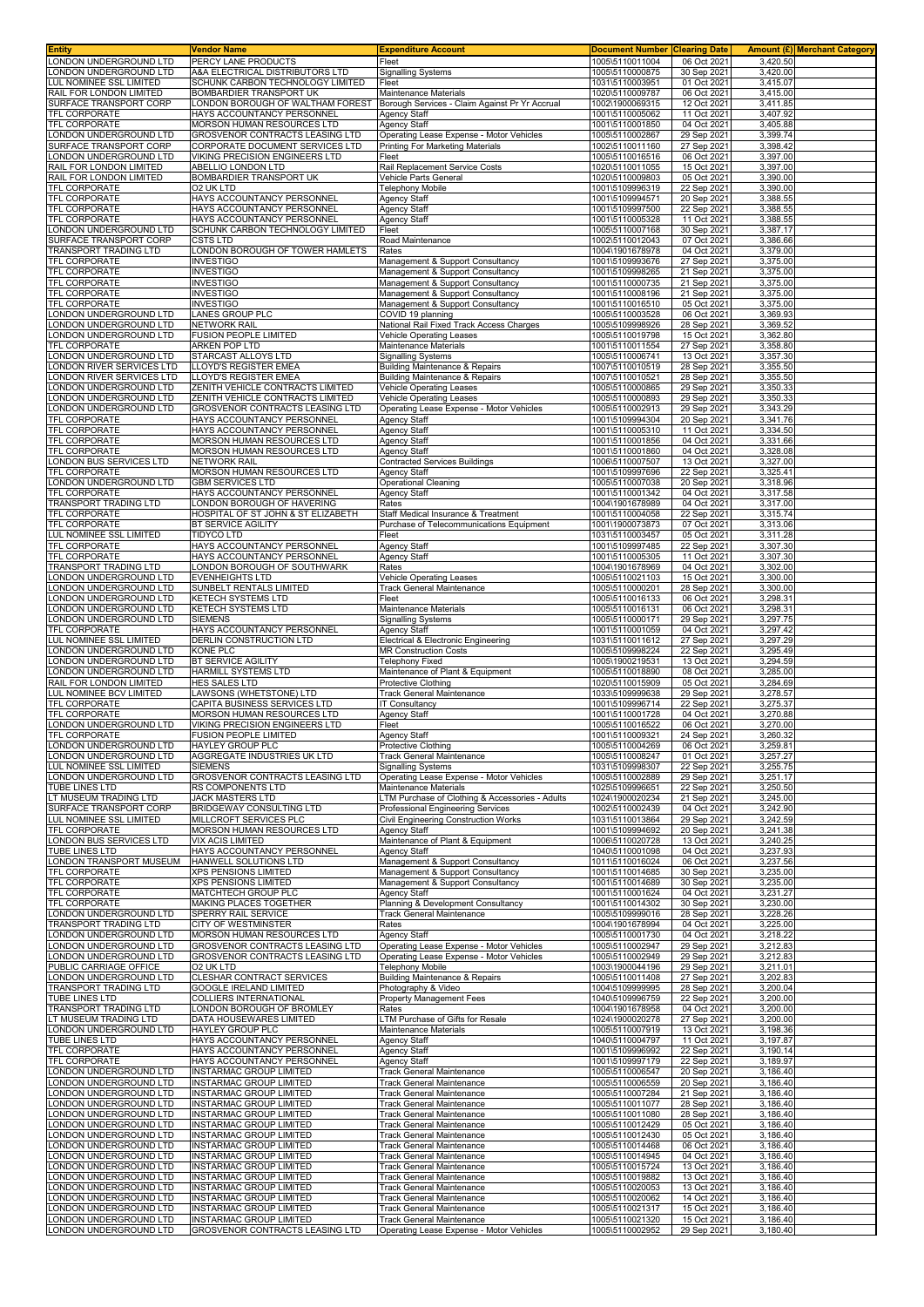| ONDON UNDERGROUND LTD<br>Fleet<br>1005\5110011004<br>06 Oct 2021<br>3,420.50<br>PERCY LANE PRODUCTS<br>ONDON UNDERGROUND LTD<br>A&A ELECTRICAL DISTRIBUTORS LTD<br><b>Signalling Systems</b><br>1005\5110000875<br>30 Sep 2021<br>3,420.00<br>LUL NOMINEE SSL LIMITED<br>SCHUNK CARBON TECHNOLOGY LIMITED<br>1031\5110003951<br>01 Oct 2021<br>3,415.07<br>Fleet<br>RAIL FOR LONDON LIMITED<br>BOMBARDIER TRANSPORT UK<br>Maintenance Materials<br>1020\5110009787<br>06 Oct 2021<br>3,415.00<br>SURFACE TRANSPORT CORP<br>LONDON BOROUGH OF WALTHAM FOREST<br>Borough Services - Claim Against Pr Yr Accrual<br>1002\1900069315<br>12 Oct 2021<br>3,411.85<br>TFL CORPORATE<br>HAYS ACCOUNTANCY PERSONNEL<br>Agency Staff<br>1001\5110005062<br>11 Oct 2021<br>3,407.92<br>MORSON HUMAN RESOURCES LTD<br>04 Oct 2021<br>3,405.88<br><b>Agency Staff</b><br>1001\5110001850<br>ONDON UNDERGROUND LTD<br>GROSVENOR CONTRACTS LEASING LTD<br>Operating Lease Expense - Motor Vehicles<br>1005\5110002867<br>29 Sep 2021<br>3,399.74<br>SURFACE TRANSPORT CORP<br>CORPORATE DOCUMENT SERVICES LTD<br>1002\5110011160<br>27 Sep 2021<br>3.398.42<br>Printing For Marketing Materials<br>ONDON UNDERGROUND LTD<br>VIKING PRECISION ENGINEERS LTD<br>1005\5110016516<br>06 Oct 2021<br>3,397.00<br>Fleet<br>1020\5110011055<br>RAIL FOR LONDON LIMITED<br>ABELLIO LONDON LTD<br>Rail Replacement Service Costs<br>15 Oct 2021<br>3,397.00<br>BOMBARDIER TRANSPORT UK<br>Vehicle Parts General<br>1020\5110009803<br>05 Oct 2021<br>3,390.00<br>3,390.00<br>O2 UK LTD<br>Telephony Mobile<br>1001\5109996319<br>22 Sep 2021<br>TFL CORPORATE<br>HAYS ACCOUNTANCY PERSONNEL<br><b>Agency Staff</b><br>1001\5109994571<br>20 Sep 2021<br>3,388.55<br>TFL CORPORATE<br>HAYS ACCOUNTANCY PERSONNEL<br><b>Agency Staff</b><br>1001\5109997500<br>22 Sep 2021<br>3,388.55<br>3,388.55<br>TFL CORPORATE<br>HAYS ACCOUNTANCY PERSONNEI<br><b>Agency Staff</b><br>1001\5110005328<br>11 Oct 2021<br>LONDON UNDERGROUND LTD<br>SCHUNK CARBON TECHNOLOGY LIMITED<br>1005\5110007168<br>30 Sep 2021<br>3,387.17<br>Fleet<br>1002\5110012043<br>3,386.66<br>CSTS LTD<br>Road Maintenance<br>07 Oct 2021<br>LONDON BOROUGH OF TOWER HAMLETS<br>1004\1901678978<br>04 Oct 2021<br>3,379.00<br>Rates<br>TFL CORPORATE<br><b>INVESTIGO</b><br>1001\5109993676<br>3,375.00<br>Management & Support Consultancy<br>27 Sep 2021<br>TFL CORPORATE<br>INVESTIGO<br>21 Sep 2021<br>3,375.00<br>Management & Support Consultancy<br>1001\5109998265<br><b>INVESTIGO</b><br>3,375.00<br>TFL CORPORATE<br>Management & Support Consultancy<br>1001\5110000735<br>21 Sep 2021<br>TFL CORPORATE<br><b>INVESTIGO</b><br>Management & Support Consultancy<br>1001\5110008196<br>21 Sep 2021<br>3,375.00<br><b>INVESTIGO</b><br>1001\5110016510<br>05 Oct 2021<br>3,375.00<br>Management & Support Consultancy<br>LONDON UNDERGROUND LTD<br>LANES GROUP PLC<br>1005\5110003528<br>06 Oct 2021<br>3,369.93<br>COVID 19 planning<br>ONDON UNDERGROUND LTD<br>NETWORK RAIL<br>1005\5109998926<br>3,369.52<br>National Rail Fixed Track Access Charges<br>28 Sep 2021<br>FUSION PEOPLE LIMITED<br>ONDON UNDERGROUND LTD<br>Vehicle Operating Leases<br>1005\5110019798<br>15 Oct 2021<br>3,362.80<br>TFL CORPORATE<br>ARKEN POP LTD<br>Maintenance Materials<br>1001\5110011554<br>27 Sep 2021<br>3,358.80<br>ONDON UNDERGROUND LTD<br>STARCAST ALLOYS LTD<br>Signalling Systems<br>1005\5110006741<br>13 Oct 2021<br>3,357.30<br>LLOYD'S REGISTER EMEA<br>ONDON RIVER SERVICES LTD<br><b>Building Maintenance &amp; Repairs</b><br>1007\5110010519<br>28 Sep 2021<br>3,355.50<br>3,355.50<br>ONDON RIVER SERVICES LTD<br>LLOYD'S REGISTER EMEA<br>Building Maintenance & Repairs<br>1007\5110010521<br>28 Sep 2021<br>ONDON UNDERGROUND LTD<br>ZENITH VEHICLE CONTRACTS LIMITED<br>1005\5110000865<br>29 Sep 2021<br>3.350.33<br>Vehicle Operating Leases<br>ONDON UNDERGROUND LTD<br>ZENITH VEHICLE CONTRACTS LIMITED<br>Vehicle Operating Leases<br>1005\5110000893<br>29 Sep 2021<br>3,350.33<br><b>GROSVENOR CONTRACTS LEASING LTD</b><br>Operating Lease Expense - Motor Vehicles<br>1005\5110002913<br>29 Sep 2021<br>3,343.29<br>HAYS ACCOUNTANCY PERSONNEL<br><b>Agency Staff</b><br>1001\5109994304<br>20 Sep 2021<br>3,341.76<br>3,334.50<br>HAYS ACCOUNTANCY PERSONNEL<br><b>Agency Staff</b><br>1001\5110005310<br>11 Oct 2021<br>04 Oct 2021<br>3,331.66<br>MORSON HUMAN RESOURCES LTD<br><b>Agency Staff</b><br>1001\5110001856<br><b>TFL CORPORATE</b><br><b>MORSON HUMAN RESOURCES LTD</b><br><b>Agency Staff</b><br>1001\5110001860<br>04 Oct 2021<br>3,328.08<br>3,327.00<br>ONDON BUS SERVICES LTD<br><b>NETWORK RAIL</b><br><b>Contracted Services Buildings</b><br>1006\5110007507<br>13 Oct 2021<br>MORSON HUMAN RESOURCES LTD<br>Agency Staff<br>1001\5109997696<br>22 Sep 2021<br>3,325.41<br><b>GBM SERVICES LTD</b><br><b>Operational Cleaning</b><br>3,318.96<br>1005\5110007038<br>20 Sep 2021<br>TFL CORPORATE<br>HAYS ACCOUNTANCY PERSONNEL<br><b>Agency Staff</b><br>1001\5110001342<br>04 Oct 2021<br>3,317.58<br>TRANSPORT TRADING LTD<br>LONDON BOROUGH OF HAVERING<br>Rates<br>1004\1901678989<br>04 Oct 2021<br>3,317.00<br>TFL CORPORATE<br>HOSPITAL OF ST JOHN & ST ELIZABETH<br>1001\5110004058<br>22 Sep 2021<br>3,315.74<br>Staff Medical Insurance & Treatment<br>3,313.06<br>BT SERVICE AGILITY<br>Purchase of Telecommunications Equipment<br>1001\1900073873<br>07 Oct 2021<br><b>TIDYCO LTD</b><br>Fleet<br>1031\5110003457<br>05 Oct 2021<br>3,311.28<br>TFL CORPORATE<br>HAYS ACCOUNTANCY PERSONNEL<br>Agency Staff<br>1001\5109997485<br>22 Sep 2021<br>3,307.30<br>TFL CORPORATE<br>HAYS ACCOUNTANCY PERSONNEL<br><b>Agency Staff</b><br>1001\5110005305<br>11 Oct 2021<br>3,307.30<br>TRANSPORT TRADING LTD<br>ONDON BOROUGH OF SOUTHWARK<br>1004\1901678969<br>04 Oct 2021<br>3,302.00<br>Rates<br>ONDON UNDERGROUND LTD<br>EVENHEIGHTS LTD<br><b>Vehicle Operating Leases</b><br>1005\5110021103<br>15 Oct 2021<br>3,300.00<br>ONDON UNDERGROUND LTD<br>SUNBELT RENTALS LIMITED<br>1005\5110000201<br>28 Sep 2021<br>3,300.00<br>Track General Maintenance<br>ONDON UNDERGROUND LTD<br>KETECH SYSTEMS LTD<br>Fleet<br>1005\5110016133<br>06 Oct 2021<br>3,298.31<br>ONDON UNDERGROUND LTD<br><b>KETECH SYSTEMS LTD</b><br>Maintenance Materials<br>1005\5110016131<br>06 Oct 2021<br>3,298.31<br>ONDON UNDERGROUND LTD<br><b>SIEMENS</b><br><b>Signalling Systems</b><br>1005\5110000171<br>29 Sep 2021<br>3,297.75<br>HAYS ACCOUNTANCY PERSONNEL<br>3,297.42<br><b>Agency Staff</b><br>1001\5110001059<br>04 Oct 2021<br>LUL NOMINEE SSL LIMITED<br>DERLIN CONSTRUCTION LTD<br>1031\5110011612<br>27 Sep 2021<br>3,297.29<br>Electrical & Electronic Engineering<br>LONDON UNDERGROUND LTD<br><b>KONE PLC</b><br><b>MR Construction Costs</b><br>1005\5109998224<br>22 Sep 2021<br>3,295.49<br>ONDON UNDERGROUND LTD<br><b>BT SERVICE AGILITY</b><br><b>Telephony Fixed</b><br>1005\1900219531<br>13 Oct 2021<br>3,294.59<br>HARMILL SYSTEMS LTD<br>Maintenance of Plant & Equipment<br>3,285.00<br>ONDON UNDERGROUND LTD<br>1005\5110018890<br>08 Oct 2021<br>3,284.69<br>HES SALES LTD<br>Protective Clothing<br>1020\5110015909<br>05 Oct 2021<br>LUL NOMINEE BCV LIMITED<br>LAWSONS (WHETSTONE) LTD<br><b>Track General Maintenance</b><br>1033\5109999638<br>29 Sep 2021<br>3,278.57<br>3,275.37<br>TFL CORPORATE<br>CAPITA BUSINESS SERVICES LTD<br>1001\5109996714<br>22 Sep 2021<br>T Consultancy<br>MORSON HUMAN RESOURCES LTD<br>Agency Staff<br>1001\5110001728<br>04 Oct 2021<br>3,270.88<br>VIKING PRECISION ENGINEERS LTD<br>3,270.00<br>Fleet<br>1005\5110016522<br>06 Oct 2021<br>TFL CORPORATE<br>FUSION PEOPLE LIMITED<br>1001\5110009321<br>3,260.32<br>Agency Staff<br>24 Sep 2021<br>HAYLEY GROUP PLC<br><b>Protective Clothing</b><br>1005\5110004269<br>06 Oct 2021<br>3,259.81<br>LONDON UNDERGROUND LTD<br>AGGREGATE INDUSTRIES UK LTD<br><b>Track General Maintenance</b><br>1005\5110008247<br>01 Oct 2021<br>3,257.27<br>LONDON UNDERGROUND LTD<br>1031\5109998307<br>3,255.75<br>SIEMENS<br><b>Signalling Systems</b><br>22 Sep 2021<br>GROSVENOR CONTRACTS LEASING LTD<br>Operating Lease Expense - Motor Vehicles<br>1005\5110002889<br>29 Sep 2021<br>3,251.17<br>1025\5109996651<br>TUBE LINES LTD<br>RS COMPONENTS LTD<br>22 Sep 2021<br>3,250.50<br><b>Maintenance Materials</b><br>LT MUSEUM TRADING LTD<br>JACK MASTERS LTD<br>LTM Purchase of Clothing & Accessories - Adults<br>1024\1900020234<br>21 Sep 2021<br>3,245.00<br>Professional Engineering Services<br>3.242.90<br>BRIDGEWAY CONSULTING LTD<br>1002\5110002439<br>04 Oct 2021<br>MILLCROFT SERVICES PLC<br><b>Civil Engineering Construction Works</b><br>3,242.59<br>1031\5110013864<br>29 Sep 2021<br>MORSON HUMAN RESOURCES LTD<br>1001\5109994692<br>20 Sep 2021<br>3,241.38<br><b>Agency Staff</b><br>LONDON BUS SERVICES LTD<br>Maintenance of Plant & Equipment<br><b>VIX ACIS LIMITED</b><br>1006\5110020728<br>13 Oct 2021<br>3,240.25<br>TUBE LINES LTD<br>HAYS ACCOUNTANCY PERSONNEL<br>3.237.93<br><b>Agency Staff</b><br>1040\5110001098<br>04 Oct 2021<br>HANWELL SOLUTIONS LTD<br>Management & Support Consultancy<br>1011\5110016024<br>06 Oct 2021<br>3,237.56<br>Management & Support Consultancy<br>1001\5110014685<br>3,235.00<br>XPS PENSIONS LIMITED<br>30 Sep 2021<br>XPS PENSIONS LIMITED<br>Management & Support Consultancy<br>1001\5110014689<br>30 Sep 2021<br>3,235.00<br>TFL CORPORATE<br>MATCHTECH GROUP PLC<br><b>Agency Staff</b><br>1001\5110001624<br>04 Oct 2021<br>3,231.27<br>TFL CORPORATE<br>MAKING PLACES TOGETHER<br>Planning & Development Consultancy<br>1001\5110014302<br>30 Sep 2021<br>3,230.00<br>1005\5109999016<br>3,228.26<br>SPERRY RAIL SERVICE<br><b>Track General Maintenance</b><br>28 Sep 2021<br>Rates<br>1004\1901678994<br>04 Oct 2021<br>3,225.00<br>CITY OF WESTMINSTER<br>ONDON UNDERGROUND LTD<br>MORSON HUMAN RESOURCES LTD<br>Agency Staff<br>1005\5110001730<br>04 Oct 2021<br>3,218.22<br>1005\5110002947<br>3,212.83<br>ONDON UNDERGROUND LTD<br>GROSVENOR CONTRACTS LEASING LTD<br>Operating Lease Expense - Motor Vehicles<br>29 Sep 2021<br>ONDON UNDERGROUND LTD<br>GROSVENOR CONTRACTS LEASING LTD<br>Operating Lease Expense - Motor Vehicles<br>1005\5110002949<br>29 Sep 2021<br>3,212.83<br>02 UK LTD<br>1003\1900044196<br>3,211.01<br><b>Telephony Mobile</b><br>29 Sep 2021<br>CLESHAR CONTRACT SERVICES<br><b>Building Maintenance &amp; Repairs</b><br>1005\5110011408<br>27 Sep 2021<br>3,202.83<br>TRANSPORT TRADING LTD<br><b>GOOGLE IRELAND LIMITED</b><br>Photography & Video<br>1004\5109999995<br>28 Sep 2021<br>3,200.04<br>TUBE LINES LTD<br>COLLIERS INTERNATIONAL<br>Property Management Fees<br>1040\5109996759<br>22 Sep 2021<br>3,200.00<br>LONDON BOROUGH OF BROMLEY<br>1004\1901678958<br>3,200.00<br>Rates<br>04 Oct 2021<br>DATA HOUSEWARES LIMITED<br>LTM Purchase of Gifts for Resale<br>1024\1900020278<br>27 Sep 2021<br>3,200.00<br>3,198.36<br>ONDON UNDERGROUND LTD<br>Maintenance Materials<br>1005\5110007919<br>13 Oct 2021<br>HAYLEY GROUP PLC<br>TUBE LINES LTD<br>HAYS ACCOUNTANCY PERSONNEL<br><b>Agency Staff</b><br>1040\5110004797<br>11 Oct 2021<br>3,197.87<br>HAYS ACCOUNTANCY PERSONNEL<br>1001\5109996992<br>22 Sep 2021<br>3,190.14<br><b>Agency Staff</b><br>HAYS ACCOUNTANCY PERSONNEL<br><b>Agency Staff</b><br>1001\5109997179<br>22 Sep 2021<br>3,189.97<br>ONDON UNDERGROUND LTD<br>INSTARMAC GROUP LIMITED<br><b>Track General Maintenance</b><br>1005\5110006547<br>20 Sep 2021<br>3,186.40<br>ONDON UNDERGROUND LTD<br>INSTARMAC GROUP LIMITED<br><b>Track General Maintenance</b><br>1005\5110006559<br>20 Sep 2021<br>3,186.40<br>ONDON UNDERGROUND LTD<br><b>INSTARMAC GROUP LIMITED</b><br>3,186.40<br><b>Track General Maintenance</b><br>1005\5110007284<br>21 Sep 2021<br>ONDON UNDERGROUND LTD<br><b>INSTARMAC GROUP LIMITED</b><br><b>Track General Maintenance</b><br>1005\5110011077<br>28 Sep 2021<br>3,186.40<br>ONDON UNDERGROUND LTD<br><b>INSTARMAC GROUP LIMITED</b><br>1005\5110011080<br>3,186.40<br>Track General Maintenance<br>28 Sep 2021<br>ONDON UNDERGROUND LTD<br><b>INSTARMAC GROUP LIMITED</b><br>Track General Maintenance<br>1005\5110012429<br>05 Oct 2021<br>3,186.40<br>LONDON UNDERGROUND LTD<br><b>INSTARMAC GROUP LIMITED</b><br><b>Track General Maintenance</b><br>1005\5110012430<br>05 Oct 2021<br>3,186.40<br>ONDON UNDERGROUND LTD<br><b>INSTARMAC GROUP LIMITED</b><br>Track General Maintenance<br>1005\5110014468<br>06 Oct 2021<br>3,186.40<br><b>INSTARMAC GROUP LIMITED</b><br>3,186.40<br>ONDON UNDERGROUND LTD<br>Track General Maintenance<br>1005\5110014945<br>04 Oct 2021<br>ONDON UNDERGROUND LTD<br>INSTARMAC GROUP LIMITED<br>1005\5110015724<br>3,186.40<br>Track General Maintenance<br>13 Oct 2021<br>ONDON UNDERGROUND LTD<br><b>INSTARMAC GROUP LIMITED</b><br><b>Track General Maintenance</b><br>1005\5110019882<br>13 Oct 2021<br>3,186.40<br>ONDON UNDERGROUND LTD<br>1005\5110020053<br>3,186.40<br><b>INSTARMAC GROUP LIMITED</b><br><b>Track General Maintenance</b><br>13 Oct 2021<br>ONDON UNDERGROUND LTD<br><b>INSTARMAC GROUP LIMITED</b><br><b>Track General Maintenance</b><br>1005\5110020062<br>14 Oct 2021<br>3,186.40<br>ONDON UNDERGROUND LTD<br><b>INSTARMAC GROUP LIMITED</b><br>1005\5110021317<br>3,186.40<br><b>Track General Maintenance</b><br>15 Oct 2021<br>LONDON UNDERGROUND LTD<br><b>INSTARMAC GROUP LIMITED</b><br>1005\5110021320<br>15 Oct 2021<br>3,186.40<br><b>Track General Maintenance</b><br>LONDON UNDERGROUND LTD<br>GROSVENOR CONTRACTS LEASING LTD<br>Operating Lease Expense - Motor Vehicles<br>3,180.40<br>1005\5110002952<br>29 Sep 2021 | <b>Entity</b>           | <b>Vendor Name</b> | <b>Expenditure Account</b> | <b>Document Number Clearing Date</b> | <b>Amount (£) Merchant Category</b> |
|----------------------------------------------------------------------------------------------------------------------------------------------------------------------------------------------------------------------------------------------------------------------------------------------------------------------------------------------------------------------------------------------------------------------------------------------------------------------------------------------------------------------------------------------------------------------------------------------------------------------------------------------------------------------------------------------------------------------------------------------------------------------------------------------------------------------------------------------------------------------------------------------------------------------------------------------------------------------------------------------------------------------------------------------------------------------------------------------------------------------------------------------------------------------------------------------------------------------------------------------------------------------------------------------------------------------------------------------------------------------------------------------------------------------------------------------------------------------------------------------------------------------------------------------------------------------------------------------------------------------------------------------------------------------------------------------------------------------------------------------------------------------------------------------------------------------------------------------------------------------------------------------------------------------------------------------------------------------------------------------------------------------------------------------------------------------------------------------------------------------------------------------------------------------------------------------------------------------------------------------------------------------------------------------------------------------------------------------------------------------------------------------------------------------------------------------------------------------------------------------------------------------------------------------------------------------------------------------------------------------------------------------------------------------------------------------------------------------------------------------------------------------------------------------------------------------------------------------------------------------------------------------------------------------------------------------------------------------------------------------------------------------------------------------------------------------------------------------------------------------------------------------------------------------------------------------------------------------------------------------------------------------------------------------------------------------------------------------------------------------------------------------------------------------------------------------------------------------------------------------------------------------------------------------------------------------------------------------------------------------------------------------------------------------------------------------------------------------------------------------------------------------------------------------------------------------------------------------------------------------------------------------------------------------------------------------------------------------------------------------------------------------------------------------------------------------------------------------------------------------------------------------------------------------------------------------------------------------------------------------------------------------------------------------------------------------------------------------------------------------------------------------------------------------------------------------------------------------------------------------------------------------------------------------------------------------------------------------------------------------------------------------------------------------------------------------------------------------------------------------------------------------------------------------------------------------------------------------------------------------------------------------------------------------------------------------------------------------------------------------------------------------------------------------------------------------------------------------------------------------------------------------------------------------------------------------------------------------------------------------------------------------------------------------------------------------------------------------------------------------------------------------------------------------------------------------------------------------------------------------------------------------------------------------------------------------------------------------------------------------------------------------------------------------------------------------------------------------------------------------------------------------------------------------------------------------------------------------------------------------------------------------------------------------------------------------------------------------------------------------------------------------------------------------------------------------------------------------------------------------------------------------------------------------------------------------------------------------------------------------------------------------------------------------------------------------------------------------------------------------------------------------------------------------------------------------------------------------------------------------------------------------------------------------------------------------------------------------------------------------------------------------------------------------------------------------------------------------------------------------------------------------------------------------------------------------------------------------------------------------------------------------------------------------------------------------------------------------------------------------------------------------------------------------------------------------------------------------------------------------------------------------------------------------------------------------------------------------------------------------------------------------------------------------------------------------------------------------------------------------------------------------------------------------------------------------------------------------------------------------------------------------------------------------------------------------------------------------------------------------------------------------------------------------------------------------------------------------------------------------------------------------------------------------------------------------------------------------------------------------------------------------------------------------------------------------------------------------------------------------------------------------------------------------------------------------------------------------------------------------------------------------------------------------------------------------------------------------------------------------------------------------------------------------------------------------------------------------------------------------------------------------------------------------------------------------------------------------------------------------------------------------------------------------------------------------------------------------------------------------------------------------------------------------------------------------------------------------------------------------------------------------------------------------------------------------------------------------------------------------------------------------------------------------------------------------------------------------------------------------------------------------------------------------------------------------------------------------------------------------------------------------------------------------------------------------------------------------------------------------------------------------------------------------------------------------------------------------------------------------------------------------------------------------------------------------------------------------------------------------------------------------------------------------------------------------------------------------------------------------------------------------------------------------------------------------------------------------------------------------------------------------------------------------------------------------------------------------------------------------------------------------------------------------------------------------------------------------------------------------------------------------------------------------------------------------------------------------------------------------------------------------------------------------------------------------------------------------------------------------------------------------------------------------------------------------------------------------------------------------------------------------------------------------------------------------------------------------------------------------------------------------------------------------------------------------------------------------------------------------------------------------------------------------------------------------------------------------------------------------------------------------------------------------------------------------------------------------------------------------------------------------------------------------------------------------------------------------------------------------------------------------------------------------------------------------------------------------------------------------------------------------------------------------------------------------------------------------------------------------------------------------------------------------------------------------------------------------------------------------------------------------------------------------------------------------------------------------------------------------------------------------------------------------------------------------------------------------------------------------------------------------------------------------------------------------------------------------------------------------------------------------------------------------------------------------------------------------------------------------------------------------------------------------------------------------------------------------------------------------------------------------------------------------------------------------------------------------------------------------------------------------------------------------------------------------------------------------------------------------------------------------------------------------------------------------------------------------------------------------------------------------------------------------------------------------------------------------------------------------------------------------------------------------------------------------------------------------------------------------------------------------------------------------------------------------------------------------------------------------------------------------------------------------------------------------------------------------------------------------------------------------------------------------------------------------------------------------------------------------------------------------------------------------------------------------------------------------------------------------------------------------------------------------------------------------------------------------------------------------------------------------------------------------------------------------------------------------------------------------------------------------------------------------------------------------------------------------------------------------------------------------------------------------------------------------------------------------------------------------------------------------------------------------------------------------------------------------------------------------------------------------------------------------------------------|-------------------------|--------------------|----------------------------|--------------------------------------|-------------------------------------|
|                                                                                                                                                                                                                                                                                                                                                                                                                                                                                                                                                                                                                                                                                                                                                                                                                                                                                                                                                                                                                                                                                                                                                                                                                                                                                                                                                                                                                                                                                                                                                                                                                                                                                                                                                                                                                                                                                                                                                                                                                                                                                                                                                                                                                                                                                                                                                                                                                                                                                                                                                                                                                                                                                                                                                                                                                                                                                                                                                                                                                                                                                                                                                                                                                                                                                                                                                                                                                                                                                                                                                                                                                                                                                                                                                                                                                                                                                                                                                                                                                                                                                                                                                                                                                                                                                                                                                                                                                                                                                                                                                                                                                                                                                                                                                                                                                                                                                                                                                                                                                                                                                                                                                                                                                                                                                                                                                                                                                                                                                                                                                                                                                                                                                                                                                                                                                                                                                                                                                                                                                                                                                                                                                                                                                                                                                                                                                                                                                                                                                                                                                                                                                                                                                                                                                                                                                                                                                                                                                                                                                                                                                                                                                                                                                                                                                                                                                                                                                                                                                                                                                                                                                                                                                                                                                                                                                                                                                                                                                                                                                                                                                                                                                                                                                                                                                                                                                                                                                                                                                                                                                                                                                                                                                                                                                                                                                                                                                                                                                                                                                                                                                                                                                                                                                                                                                                                                                                                                                                                                                                                                                                                                                                                                                                                                                                                                                                                                                                                                                                                                                                                                                                                                                                                                                                                                                                                                                                                                                                                                                                                                                                                                                                                                                                                                                                                                                                                                                                                                                                                                                                                                                                                                                                                                                                                                                                                                                                                                                                                                                                                                                                                                                                                                                                                                                                                                                                                                                                                                                                                                                                                                                                                                                                                                                                                                                                                                                                                                                                                                                                                                                                                                                                                                                                                                                                                                                                                                                                                                                                                                                                                                                                                                                                                                                                                                                                                                                                                                                                                                                                                                                                                                                                                                                                                                                                                                                |                         |                    |                            |                                      |                                     |
|                                                                                                                                                                                                                                                                                                                                                                                                                                                                                                                                                                                                                                                                                                                                                                                                                                                                                                                                                                                                                                                                                                                                                                                                                                                                                                                                                                                                                                                                                                                                                                                                                                                                                                                                                                                                                                                                                                                                                                                                                                                                                                                                                                                                                                                                                                                                                                                                                                                                                                                                                                                                                                                                                                                                                                                                                                                                                                                                                                                                                                                                                                                                                                                                                                                                                                                                                                                                                                                                                                                                                                                                                                                                                                                                                                                                                                                                                                                                                                                                                                                                                                                                                                                                                                                                                                                                                                                                                                                                                                                                                                                                                                                                                                                                                                                                                                                                                                                                                                                                                                                                                                                                                                                                                                                                                                                                                                                                                                                                                                                                                                                                                                                                                                                                                                                                                                                                                                                                                                                                                                                                                                                                                                                                                                                                                                                                                                                                                                                                                                                                                                                                                                                                                                                                                                                                                                                                                                                                                                                                                                                                                                                                                                                                                                                                                                                                                                                                                                                                                                                                                                                                                                                                                                                                                                                                                                                                                                                                                                                                                                                                                                                                                                                                                                                                                                                                                                                                                                                                                                                                                                                                                                                                                                                                                                                                                                                                                                                                                                                                                                                                                                                                                                                                                                                                                                                                                                                                                                                                                                                                                                                                                                                                                                                                                                                                                                                                                                                                                                                                                                                                                                                                                                                                                                                                                                                                                                                                                                                                                                                                                                                                                                                                                                                                                                                                                                                                                                                                                                                                                                                                                                                                                                                                                                                                                                                                                                                                                                                                                                                                                                                                                                                                                                                                                                                                                                                                                                                                                                                                                                                                                                                                                                                                                                                                                                                                                                                                                                                                                                                                                                                                                                                                                                                                                                                                                                                                                                                                                                                                                                                                                                                                                                                                                                                                                                                                                                                                                                                                                                                                                                                                                                                                                                                                                                                                                |                         |                    |                            |                                      |                                     |
|                                                                                                                                                                                                                                                                                                                                                                                                                                                                                                                                                                                                                                                                                                                                                                                                                                                                                                                                                                                                                                                                                                                                                                                                                                                                                                                                                                                                                                                                                                                                                                                                                                                                                                                                                                                                                                                                                                                                                                                                                                                                                                                                                                                                                                                                                                                                                                                                                                                                                                                                                                                                                                                                                                                                                                                                                                                                                                                                                                                                                                                                                                                                                                                                                                                                                                                                                                                                                                                                                                                                                                                                                                                                                                                                                                                                                                                                                                                                                                                                                                                                                                                                                                                                                                                                                                                                                                                                                                                                                                                                                                                                                                                                                                                                                                                                                                                                                                                                                                                                                                                                                                                                                                                                                                                                                                                                                                                                                                                                                                                                                                                                                                                                                                                                                                                                                                                                                                                                                                                                                                                                                                                                                                                                                                                                                                                                                                                                                                                                                                                                                                                                                                                                                                                                                                                                                                                                                                                                                                                                                                                                                                                                                                                                                                                                                                                                                                                                                                                                                                                                                                                                                                                                                                                                                                                                                                                                                                                                                                                                                                                                                                                                                                                                                                                                                                                                                                                                                                                                                                                                                                                                                                                                                                                                                                                                                                                                                                                                                                                                                                                                                                                                                                                                                                                                                                                                                                                                                                                                                                                                                                                                                                                                                                                                                                                                                                                                                                                                                                                                                                                                                                                                                                                                                                                                                                                                                                                                                                                                                                                                                                                                                                                                                                                                                                                                                                                                                                                                                                                                                                                                                                                                                                                                                                                                                                                                                                                                                                                                                                                                                                                                                                                                                                                                                                                                                                                                                                                                                                                                                                                                                                                                                                                                                                                                                                                                                                                                                                                                                                                                                                                                                                                                                                                                                                                                                                                                                                                                                                                                                                                                                                                                                                                                                                                                                                                                                                                                                                                                                                                                                                                                                                                                                                                                                                                                                |                         |                    |                            |                                      |                                     |
|                                                                                                                                                                                                                                                                                                                                                                                                                                                                                                                                                                                                                                                                                                                                                                                                                                                                                                                                                                                                                                                                                                                                                                                                                                                                                                                                                                                                                                                                                                                                                                                                                                                                                                                                                                                                                                                                                                                                                                                                                                                                                                                                                                                                                                                                                                                                                                                                                                                                                                                                                                                                                                                                                                                                                                                                                                                                                                                                                                                                                                                                                                                                                                                                                                                                                                                                                                                                                                                                                                                                                                                                                                                                                                                                                                                                                                                                                                                                                                                                                                                                                                                                                                                                                                                                                                                                                                                                                                                                                                                                                                                                                                                                                                                                                                                                                                                                                                                                                                                                                                                                                                                                                                                                                                                                                                                                                                                                                                                                                                                                                                                                                                                                                                                                                                                                                                                                                                                                                                                                                                                                                                                                                                                                                                                                                                                                                                                                                                                                                                                                                                                                                                                                                                                                                                                                                                                                                                                                                                                                                                                                                                                                                                                                                                                                                                                                                                                                                                                                                                                                                                                                                                                                                                                                                                                                                                                                                                                                                                                                                                                                                                                                                                                                                                                                                                                                                                                                                                                                                                                                                                                                                                                                                                                                                                                                                                                                                                                                                                                                                                                                                                                                                                                                                                                                                                                                                                                                                                                                                                                                                                                                                                                                                                                                                                                                                                                                                                                                                                                                                                                                                                                                                                                                                                                                                                                                                                                                                                                                                                                                                                                                                                                                                                                                                                                                                                                                                                                                                                                                                                                                                                                                                                                                                                                                                                                                                                                                                                                                                                                                                                                                                                                                                                                                                                                                                                                                                                                                                                                                                                                                                                                                                                                                                                                                                                                                                                                                                                                                                                                                                                                                                                                                                                                                                                                                                                                                                                                                                                                                                                                                                                                                                                                                                                                                                                                                                                                                                                                                                                                                                                                                                                                                                                                                                                                                                |                         |                    |                            |                                      |                                     |
|                                                                                                                                                                                                                                                                                                                                                                                                                                                                                                                                                                                                                                                                                                                                                                                                                                                                                                                                                                                                                                                                                                                                                                                                                                                                                                                                                                                                                                                                                                                                                                                                                                                                                                                                                                                                                                                                                                                                                                                                                                                                                                                                                                                                                                                                                                                                                                                                                                                                                                                                                                                                                                                                                                                                                                                                                                                                                                                                                                                                                                                                                                                                                                                                                                                                                                                                                                                                                                                                                                                                                                                                                                                                                                                                                                                                                                                                                                                                                                                                                                                                                                                                                                                                                                                                                                                                                                                                                                                                                                                                                                                                                                                                                                                                                                                                                                                                                                                                                                                                                                                                                                                                                                                                                                                                                                                                                                                                                                                                                                                                                                                                                                                                                                                                                                                                                                                                                                                                                                                                                                                                                                                                                                                                                                                                                                                                                                                                                                                                                                                                                                                                                                                                                                                                                                                                                                                                                                                                                                                                                                                                                                                                                                                                                                                                                                                                                                                                                                                                                                                                                                                                                                                                                                                                                                                                                                                                                                                                                                                                                                                                                                                                                                                                                                                                                                                                                                                                                                                                                                                                                                                                                                                                                                                                                                                                                                                                                                                                                                                                                                                                                                                                                                                                                                                                                                                                                                                                                                                                                                                                                                                                                                                                                                                                                                                                                                                                                                                                                                                                                                                                                                                                                                                                                                                                                                                                                                                                                                                                                                                                                                                                                                                                                                                                                                                                                                                                                                                                                                                                                                                                                                                                                                                                                                                                                                                                                                                                                                                                                                                                                                                                                                                                                                                                                                                                                                                                                                                                                                                                                                                                                                                                                                                                                                                                                                                                                                                                                                                                                                                                                                                                                                                                                                                                                                                                                                                                                                                                                                                                                                                                                                                                                                                                                                                                                                                                                                                                                                                                                                                                                                                                                                                                                                                                                                                                                |                         |                    |                            |                                      |                                     |
|                                                                                                                                                                                                                                                                                                                                                                                                                                                                                                                                                                                                                                                                                                                                                                                                                                                                                                                                                                                                                                                                                                                                                                                                                                                                                                                                                                                                                                                                                                                                                                                                                                                                                                                                                                                                                                                                                                                                                                                                                                                                                                                                                                                                                                                                                                                                                                                                                                                                                                                                                                                                                                                                                                                                                                                                                                                                                                                                                                                                                                                                                                                                                                                                                                                                                                                                                                                                                                                                                                                                                                                                                                                                                                                                                                                                                                                                                                                                                                                                                                                                                                                                                                                                                                                                                                                                                                                                                                                                                                                                                                                                                                                                                                                                                                                                                                                                                                                                                                                                                                                                                                                                                                                                                                                                                                                                                                                                                                                                                                                                                                                                                                                                                                                                                                                                                                                                                                                                                                                                                                                                                                                                                                                                                                                                                                                                                                                                                                                                                                                                                                                                                                                                                                                                                                                                                                                                                                                                                                                                                                                                                                                                                                                                                                                                                                                                                                                                                                                                                                                                                                                                                                                                                                                                                                                                                                                                                                                                                                                                                                                                                                                                                                                                                                                                                                                                                                                                                                                                                                                                                                                                                                                                                                                                                                                                                                                                                                                                                                                                                                                                                                                                                                                                                                                                                                                                                                                                                                                                                                                                                                                                                                                                                                                                                                                                                                                                                                                                                                                                                                                                                                                                                                                                                                                                                                                                                                                                                                                                                                                                                                                                                                                                                                                                                                                                                                                                                                                                                                                                                                                                                                                                                                                                                                                                                                                                                                                                                                                                                                                                                                                                                                                                                                                                                                                                                                                                                                                                                                                                                                                                                                                                                                                                                                                                                                                                                                                                                                                                                                                                                                                                                                                                                                                                                                                                                                                                                                                                                                                                                                                                                                                                                                                                                                                                                                                                                                                                                                                                                                                                                                                                                                                                                                                                                                                                                | TFL CORPORATE           |                    |                            |                                      |                                     |
|                                                                                                                                                                                                                                                                                                                                                                                                                                                                                                                                                                                                                                                                                                                                                                                                                                                                                                                                                                                                                                                                                                                                                                                                                                                                                                                                                                                                                                                                                                                                                                                                                                                                                                                                                                                                                                                                                                                                                                                                                                                                                                                                                                                                                                                                                                                                                                                                                                                                                                                                                                                                                                                                                                                                                                                                                                                                                                                                                                                                                                                                                                                                                                                                                                                                                                                                                                                                                                                                                                                                                                                                                                                                                                                                                                                                                                                                                                                                                                                                                                                                                                                                                                                                                                                                                                                                                                                                                                                                                                                                                                                                                                                                                                                                                                                                                                                                                                                                                                                                                                                                                                                                                                                                                                                                                                                                                                                                                                                                                                                                                                                                                                                                                                                                                                                                                                                                                                                                                                                                                                                                                                                                                                                                                                                                                                                                                                                                                                                                                                                                                                                                                                                                                                                                                                                                                                                                                                                                                                                                                                                                                                                                                                                                                                                                                                                                                                                                                                                                                                                                                                                                                                                                                                                                                                                                                                                                                                                                                                                                                                                                                                                                                                                                                                                                                                                                                                                                                                                                                                                                                                                                                                                                                                                                                                                                                                                                                                                                                                                                                                                                                                                                                                                                                                                                                                                                                                                                                                                                                                                                                                                                                                                                                                                                                                                                                                                                                                                                                                                                                                                                                                                                                                                                                                                                                                                                                                                                                                                                                                                                                                                                                                                                                                                                                                                                                                                                                                                                                                                                                                                                                                                                                                                                                                                                                                                                                                                                                                                                                                                                                                                                                                                                                                                                                                                                                                                                                                                                                                                                                                                                                                                                                                                                                                                                                                                                                                                                                                                                                                                                                                                                                                                                                                                                                                                                                                                                                                                                                                                                                                                                                                                                                                                                                                                                                                                                                                                                                                                                                                                                                                                                                                                                                                                                                                                                                |                         |                    |                            |                                      |                                     |
|                                                                                                                                                                                                                                                                                                                                                                                                                                                                                                                                                                                                                                                                                                                                                                                                                                                                                                                                                                                                                                                                                                                                                                                                                                                                                                                                                                                                                                                                                                                                                                                                                                                                                                                                                                                                                                                                                                                                                                                                                                                                                                                                                                                                                                                                                                                                                                                                                                                                                                                                                                                                                                                                                                                                                                                                                                                                                                                                                                                                                                                                                                                                                                                                                                                                                                                                                                                                                                                                                                                                                                                                                                                                                                                                                                                                                                                                                                                                                                                                                                                                                                                                                                                                                                                                                                                                                                                                                                                                                                                                                                                                                                                                                                                                                                                                                                                                                                                                                                                                                                                                                                                                                                                                                                                                                                                                                                                                                                                                                                                                                                                                                                                                                                                                                                                                                                                                                                                                                                                                                                                                                                                                                                                                                                                                                                                                                                                                                                                                                                                                                                                                                                                                                                                                                                                                                                                                                                                                                                                                                                                                                                                                                                                                                                                                                                                                                                                                                                                                                                                                                                                                                                                                                                                                                                                                                                                                                                                                                                                                                                                                                                                                                                                                                                                                                                                                                                                                                                                                                                                                                                                                                                                                                                                                                                                                                                                                                                                                                                                                                                                                                                                                                                                                                                                                                                                                                                                                                                                                                                                                                                                                                                                                                                                                                                                                                                                                                                                                                                                                                                                                                                                                                                                                                                                                                                                                                                                                                                                                                                                                                                                                                                                                                                                                                                                                                                                                                                                                                                                                                                                                                                                                                                                                                                                                                                                                                                                                                                                                                                                                                                                                                                                                                                                                                                                                                                                                                                                                                                                                                                                                                                                                                                                                                                                                                                                                                                                                                                                                                                                                                                                                                                                                                                                                                                                                                                                                                                                                                                                                                                                                                                                                                                                                                                                                                                                                                                                                                                                                                                                                                                                                                                                                                                                                                                                                                |                         |                    |                            |                                      |                                     |
|                                                                                                                                                                                                                                                                                                                                                                                                                                                                                                                                                                                                                                                                                                                                                                                                                                                                                                                                                                                                                                                                                                                                                                                                                                                                                                                                                                                                                                                                                                                                                                                                                                                                                                                                                                                                                                                                                                                                                                                                                                                                                                                                                                                                                                                                                                                                                                                                                                                                                                                                                                                                                                                                                                                                                                                                                                                                                                                                                                                                                                                                                                                                                                                                                                                                                                                                                                                                                                                                                                                                                                                                                                                                                                                                                                                                                                                                                                                                                                                                                                                                                                                                                                                                                                                                                                                                                                                                                                                                                                                                                                                                                                                                                                                                                                                                                                                                                                                                                                                                                                                                                                                                                                                                                                                                                                                                                                                                                                                                                                                                                                                                                                                                                                                                                                                                                                                                                                                                                                                                                                                                                                                                                                                                                                                                                                                                                                                                                                                                                                                                                                                                                                                                                                                                                                                                                                                                                                                                                                                                                                                                                                                                                                                                                                                                                                                                                                                                                                                                                                                                                                                                                                                                                                                                                                                                                                                                                                                                                                                                                                                                                                                                                                                                                                                                                                                                                                                                                                                                                                                                                                                                                                                                                                                                                                                                                                                                                                                                                                                                                                                                                                                                                                                                                                                                                                                                                                                                                                                                                                                                                                                                                                                                                                                                                                                                                                                                                                                                                                                                                                                                                                                                                                                                                                                                                                                                                                                                                                                                                                                                                                                                                                                                                                                                                                                                                                                                                                                                                                                                                                                                                                                                                                                                                                                                                                                                                                                                                                                                                                                                                                                                                                                                                                                                                                                                                                                                                                                                                                                                                                                                                                                                                                                                                                                                                                                                                                                                                                                                                                                                                                                                                                                                                                                                                                                                                                                                                                                                                                                                                                                                                                                                                                                                                                                                                                                                                                                                                                                                                                                                                                                                                                                                                                                                                                                                                |                         |                    |                            |                                      |                                     |
|                                                                                                                                                                                                                                                                                                                                                                                                                                                                                                                                                                                                                                                                                                                                                                                                                                                                                                                                                                                                                                                                                                                                                                                                                                                                                                                                                                                                                                                                                                                                                                                                                                                                                                                                                                                                                                                                                                                                                                                                                                                                                                                                                                                                                                                                                                                                                                                                                                                                                                                                                                                                                                                                                                                                                                                                                                                                                                                                                                                                                                                                                                                                                                                                                                                                                                                                                                                                                                                                                                                                                                                                                                                                                                                                                                                                                                                                                                                                                                                                                                                                                                                                                                                                                                                                                                                                                                                                                                                                                                                                                                                                                                                                                                                                                                                                                                                                                                                                                                                                                                                                                                                                                                                                                                                                                                                                                                                                                                                                                                                                                                                                                                                                                                                                                                                                                                                                                                                                                                                                                                                                                                                                                                                                                                                                                                                                                                                                                                                                                                                                                                                                                                                                                                                                                                                                                                                                                                                                                                                                                                                                                                                                                                                                                                                                                                                                                                                                                                                                                                                                                                                                                                                                                                                                                                                                                                                                                                                                                                                                                                                                                                                                                                                                                                                                                                                                                                                                                                                                                                                                                                                                                                                                                                                                                                                                                                                                                                                                                                                                                                                                                                                                                                                                                                                                                                                                                                                                                                                                                                                                                                                                                                                                                                                                                                                                                                                                                                                                                                                                                                                                                                                                                                                                                                                                                                                                                                                                                                                                                                                                                                                                                                                                                                                                                                                                                                                                                                                                                                                                                                                                                                                                                                                                                                                                                                                                                                                                                                                                                                                                                                                                                                                                                                                                                                                                                                                                                                                                                                                                                                                                                                                                                                                                                                                                                                                                                                                                                                                                                                                                                                                                                                                                                                                                                                                                                                                                                                                                                                                                                                                                                                                                                                                                                                                                                                                                                                                                                                                                                                                                                                                                                                                                                                                                                                                                                | RAIL FOR LONDON LIMITED |                    |                            |                                      |                                     |
|                                                                                                                                                                                                                                                                                                                                                                                                                                                                                                                                                                                                                                                                                                                                                                                                                                                                                                                                                                                                                                                                                                                                                                                                                                                                                                                                                                                                                                                                                                                                                                                                                                                                                                                                                                                                                                                                                                                                                                                                                                                                                                                                                                                                                                                                                                                                                                                                                                                                                                                                                                                                                                                                                                                                                                                                                                                                                                                                                                                                                                                                                                                                                                                                                                                                                                                                                                                                                                                                                                                                                                                                                                                                                                                                                                                                                                                                                                                                                                                                                                                                                                                                                                                                                                                                                                                                                                                                                                                                                                                                                                                                                                                                                                                                                                                                                                                                                                                                                                                                                                                                                                                                                                                                                                                                                                                                                                                                                                                                                                                                                                                                                                                                                                                                                                                                                                                                                                                                                                                                                                                                                                                                                                                                                                                                                                                                                                                                                                                                                                                                                                                                                                                                                                                                                                                                                                                                                                                                                                                                                                                                                                                                                                                                                                                                                                                                                                                                                                                                                                                                                                                                                                                                                                                                                                                                                                                                                                                                                                                                                                                                                                                                                                                                                                                                                                                                                                                                                                                                                                                                                                                                                                                                                                                                                                                                                                                                                                                                                                                                                                                                                                                                                                                                                                                                                                                                                                                                                                                                                                                                                                                                                                                                                                                                                                                                                                                                                                                                                                                                                                                                                                                                                                                                                                                                                                                                                                                                                                                                                                                                                                                                                                                                                                                                                                                                                                                                                                                                                                                                                                                                                                                                                                                                                                                                                                                                                                                                                                                                                                                                                                                                                                                                                                                                                                                                                                                                                                                                                                                                                                                                                                                                                                                                                                                                                                                                                                                                                                                                                                                                                                                                                                                                                                                                                                                                                                                                                                                                                                                                                                                                                                                                                                                                                                                                                                                                                                                                                                                                                                                                                                                                                                                                                                                                                                                                                | TFL CORPORATE           |                    |                            |                                      |                                     |
|                                                                                                                                                                                                                                                                                                                                                                                                                                                                                                                                                                                                                                                                                                                                                                                                                                                                                                                                                                                                                                                                                                                                                                                                                                                                                                                                                                                                                                                                                                                                                                                                                                                                                                                                                                                                                                                                                                                                                                                                                                                                                                                                                                                                                                                                                                                                                                                                                                                                                                                                                                                                                                                                                                                                                                                                                                                                                                                                                                                                                                                                                                                                                                                                                                                                                                                                                                                                                                                                                                                                                                                                                                                                                                                                                                                                                                                                                                                                                                                                                                                                                                                                                                                                                                                                                                                                                                                                                                                                                                                                                                                                                                                                                                                                                                                                                                                                                                                                                                                                                                                                                                                                                                                                                                                                                                                                                                                                                                                                                                                                                                                                                                                                                                                                                                                                                                                                                                                                                                                                                                                                                                                                                                                                                                                                                                                                                                                                                                                                                                                                                                                                                                                                                                                                                                                                                                                                                                                                                                                                                                                                                                                                                                                                                                                                                                                                                                                                                                                                                                                                                                                                                                                                                                                                                                                                                                                                                                                                                                                                                                                                                                                                                                                                                                                                                                                                                                                                                                                                                                                                                                                                                                                                                                                                                                                                                                                                                                                                                                                                                                                                                                                                                                                                                                                                                                                                                                                                                                                                                                                                                                                                                                                                                                                                                                                                                                                                                                                                                                                                                                                                                                                                                                                                                                                                                                                                                                                                                                                                                                                                                                                                                                                                                                                                                                                                                                                                                                                                                                                                                                                                                                                                                                                                                                                                                                                                                                                                                                                                                                                                                                                                                                                                                                                                                                                                                                                                                                                                                                                                                                                                                                                                                                                                                                                                                                                                                                                                                                                                                                                                                                                                                                                                                                                                                                                                                                                                                                                                                                                                                                                                                                                                                                                                                                                                                                                                                                                                                                                                                                                                                                                                                                                                                                                                                                                                                |                         |                    |                            |                                      |                                     |
|                                                                                                                                                                                                                                                                                                                                                                                                                                                                                                                                                                                                                                                                                                                                                                                                                                                                                                                                                                                                                                                                                                                                                                                                                                                                                                                                                                                                                                                                                                                                                                                                                                                                                                                                                                                                                                                                                                                                                                                                                                                                                                                                                                                                                                                                                                                                                                                                                                                                                                                                                                                                                                                                                                                                                                                                                                                                                                                                                                                                                                                                                                                                                                                                                                                                                                                                                                                                                                                                                                                                                                                                                                                                                                                                                                                                                                                                                                                                                                                                                                                                                                                                                                                                                                                                                                                                                                                                                                                                                                                                                                                                                                                                                                                                                                                                                                                                                                                                                                                                                                                                                                                                                                                                                                                                                                                                                                                                                                                                                                                                                                                                                                                                                                                                                                                                                                                                                                                                                                                                                                                                                                                                                                                                                                                                                                                                                                                                                                                                                                                                                                                                                                                                                                                                                                                                                                                                                                                                                                                                                                                                                                                                                                                                                                                                                                                                                                                                                                                                                                                                                                                                                                                                                                                                                                                                                                                                                                                                                                                                                                                                                                                                                                                                                                                                                                                                                                                                                                                                                                                                                                                                                                                                                                                                                                                                                                                                                                                                                                                                                                                                                                                                                                                                                                                                                                                                                                                                                                                                                                                                                                                                                                                                                                                                                                                                                                                                                                                                                                                                                                                                                                                                                                                                                                                                                                                                                                                                                                                                                                                                                                                                                                                                                                                                                                                                                                                                                                                                                                                                                                                                                                                                                                                                                                                                                                                                                                                                                                                                                                                                                                                                                                                                                                                                                                                                                                                                                                                                                                                                                                                                                                                                                                                                                                                                                                                                                                                                                                                                                                                                                                                                                                                                                                                                                                                                                                                                                                                                                                                                                                                                                                                                                                                                                                                                                                                                                                                                                                                                                                                                                                                                                                                                                                                                                                                                                |                         |                    |                            |                                      |                                     |
|                                                                                                                                                                                                                                                                                                                                                                                                                                                                                                                                                                                                                                                                                                                                                                                                                                                                                                                                                                                                                                                                                                                                                                                                                                                                                                                                                                                                                                                                                                                                                                                                                                                                                                                                                                                                                                                                                                                                                                                                                                                                                                                                                                                                                                                                                                                                                                                                                                                                                                                                                                                                                                                                                                                                                                                                                                                                                                                                                                                                                                                                                                                                                                                                                                                                                                                                                                                                                                                                                                                                                                                                                                                                                                                                                                                                                                                                                                                                                                                                                                                                                                                                                                                                                                                                                                                                                                                                                                                                                                                                                                                                                                                                                                                                                                                                                                                                                                                                                                                                                                                                                                                                                                                                                                                                                                                                                                                                                                                                                                                                                                                                                                                                                                                                                                                                                                                                                                                                                                                                                                                                                                                                                                                                                                                                                                                                                                                                                                                                                                                                                                                                                                                                                                                                                                                                                                                                                                                                                                                                                                                                                                                                                                                                                                                                                                                                                                                                                                                                                                                                                                                                                                                                                                                                                                                                                                                                                                                                                                                                                                                                                                                                                                                                                                                                                                                                                                                                                                                                                                                                                                                                                                                                                                                                                                                                                                                                                                                                                                                                                                                                                                                                                                                                                                                                                                                                                                                                                                                                                                                                                                                                                                                                                                                                                                                                                                                                                                                                                                                                                                                                                                                                                                                                                                                                                                                                                                                                                                                                                                                                                                                                                                                                                                                                                                                                                                                                                                                                                                                                                                                                                                                                                                                                                                                                                                                                                                                                                                                                                                                                                                                                                                                                                                                                                                                                                                                                                                                                                                                                                                                                                                                                                                                                                                                                                                                                                                                                                                                                                                                                                                                                                                                                                                                                                                                                                                                                                                                                                                                                                                                                                                                                                                                                                                                                                                                                                                                                                                                                                                                                                                                                                                                                                                                                                                                                                |                         |                    |                            |                                      |                                     |
|                                                                                                                                                                                                                                                                                                                                                                                                                                                                                                                                                                                                                                                                                                                                                                                                                                                                                                                                                                                                                                                                                                                                                                                                                                                                                                                                                                                                                                                                                                                                                                                                                                                                                                                                                                                                                                                                                                                                                                                                                                                                                                                                                                                                                                                                                                                                                                                                                                                                                                                                                                                                                                                                                                                                                                                                                                                                                                                                                                                                                                                                                                                                                                                                                                                                                                                                                                                                                                                                                                                                                                                                                                                                                                                                                                                                                                                                                                                                                                                                                                                                                                                                                                                                                                                                                                                                                                                                                                                                                                                                                                                                                                                                                                                                                                                                                                                                                                                                                                                                                                                                                                                                                                                                                                                                                                                                                                                                                                                                                                                                                                                                                                                                                                                                                                                                                                                                                                                                                                                                                                                                                                                                                                                                                                                                                                                                                                                                                                                                                                                                                                                                                                                                                                                                                                                                                                                                                                                                                                                                                                                                                                                                                                                                                                                                                                                                                                                                                                                                                                                                                                                                                                                                                                                                                                                                                                                                                                                                                                                                                                                                                                                                                                                                                                                                                                                                                                                                                                                                                                                                                                                                                                                                                                                                                                                                                                                                                                                                                                                                                                                                                                                                                                                                                                                                                                                                                                                                                                                                                                                                                                                                                                                                                                                                                                                                                                                                                                                                                                                                                                                                                                                                                                                                                                                                                                                                                                                                                                                                                                                                                                                                                                                                                                                                                                                                                                                                                                                                                                                                                                                                                                                                                                                                                                                                                                                                                                                                                                                                                                                                                                                                                                                                                                                                                                                                                                                                                                                                                                                                                                                                                                                                                                                                                                                                                                                                                                                                                                                                                                                                                                                                                                                                                                                                                                                                                                                                                                                                                                                                                                                                                                                                                                                                                                                                                                                                                                                                                                                                                                                                                                                                                                                                                                                                                                                                                | SURFACE TRANSPORT CORP  |                    |                            |                                      |                                     |
|                                                                                                                                                                                                                                                                                                                                                                                                                                                                                                                                                                                                                                                                                                                                                                                                                                                                                                                                                                                                                                                                                                                                                                                                                                                                                                                                                                                                                                                                                                                                                                                                                                                                                                                                                                                                                                                                                                                                                                                                                                                                                                                                                                                                                                                                                                                                                                                                                                                                                                                                                                                                                                                                                                                                                                                                                                                                                                                                                                                                                                                                                                                                                                                                                                                                                                                                                                                                                                                                                                                                                                                                                                                                                                                                                                                                                                                                                                                                                                                                                                                                                                                                                                                                                                                                                                                                                                                                                                                                                                                                                                                                                                                                                                                                                                                                                                                                                                                                                                                                                                                                                                                                                                                                                                                                                                                                                                                                                                                                                                                                                                                                                                                                                                                                                                                                                                                                                                                                                                                                                                                                                                                                                                                                                                                                                                                                                                                                                                                                                                                                                                                                                                                                                                                                                                                                                                                                                                                                                                                                                                                                                                                                                                                                                                                                                                                                                                                                                                                                                                                                                                                                                                                                                                                                                                                                                                                                                                                                                                                                                                                                                                                                                                                                                                                                                                                                                                                                                                                                                                                                                                                                                                                                                                                                                                                                                                                                                                                                                                                                                                                                                                                                                                                                                                                                                                                                                                                                                                                                                                                                                                                                                                                                                                                                                                                                                                                                                                                                                                                                                                                                                                                                                                                                                                                                                                                                                                                                                                                                                                                                                                                                                                                                                                                                                                                                                                                                                                                                                                                                                                                                                                                                                                                                                                                                                                                                                                                                                                                                                                                                                                                                                                                                                                                                                                                                                                                                                                                                                                                                                                                                                                                                                                                                                                                                                                                                                                                                                                                                                                                                                                                                                                                                                                                                                                                                                                                                                                                                                                                                                                                                                                                                                                                                                                                                                                                                                                                                                                                                                                                                                                                                                                                                                                                                                                                                                | TRANSPORT TRADING LTD   |                    |                            |                                      |                                     |
|                                                                                                                                                                                                                                                                                                                                                                                                                                                                                                                                                                                                                                                                                                                                                                                                                                                                                                                                                                                                                                                                                                                                                                                                                                                                                                                                                                                                                                                                                                                                                                                                                                                                                                                                                                                                                                                                                                                                                                                                                                                                                                                                                                                                                                                                                                                                                                                                                                                                                                                                                                                                                                                                                                                                                                                                                                                                                                                                                                                                                                                                                                                                                                                                                                                                                                                                                                                                                                                                                                                                                                                                                                                                                                                                                                                                                                                                                                                                                                                                                                                                                                                                                                                                                                                                                                                                                                                                                                                                                                                                                                                                                                                                                                                                                                                                                                                                                                                                                                                                                                                                                                                                                                                                                                                                                                                                                                                                                                                                                                                                                                                                                                                                                                                                                                                                                                                                                                                                                                                                                                                                                                                                                                                                                                                                                                                                                                                                                                                                                                                                                                                                                                                                                                                                                                                                                                                                                                                                                                                                                                                                                                                                                                                                                                                                                                                                                                                                                                                                                                                                                                                                                                                                                                                                                                                                                                                                                                                                                                                                                                                                                                                                                                                                                                                                                                                                                                                                                                                                                                                                                                                                                                                                                                                                                                                                                                                                                                                                                                                                                                                                                                                                                                                                                                                                                                                                                                                                                                                                                                                                                                                                                                                                                                                                                                                                                                                                                                                                                                                                                                                                                                                                                                                                                                                                                                                                                                                                                                                                                                                                                                                                                                                                                                                                                                                                                                                                                                                                                                                                                                                                                                                                                                                                                                                                                                                                                                                                                                                                                                                                                                                                                                                                                                                                                                                                                                                                                                                                                                                                                                                                                                                                                                                                                                                                                                                                                                                                                                                                                                                                                                                                                                                                                                                                                                                                                                                                                                                                                                                                                                                                                                                                                                                                                                                                                                                                                                                                                                                                                                                                                                                                                                                                                                                                                                                                                |                         |                    |                            |                                      |                                     |
|                                                                                                                                                                                                                                                                                                                                                                                                                                                                                                                                                                                                                                                                                                                                                                                                                                                                                                                                                                                                                                                                                                                                                                                                                                                                                                                                                                                                                                                                                                                                                                                                                                                                                                                                                                                                                                                                                                                                                                                                                                                                                                                                                                                                                                                                                                                                                                                                                                                                                                                                                                                                                                                                                                                                                                                                                                                                                                                                                                                                                                                                                                                                                                                                                                                                                                                                                                                                                                                                                                                                                                                                                                                                                                                                                                                                                                                                                                                                                                                                                                                                                                                                                                                                                                                                                                                                                                                                                                                                                                                                                                                                                                                                                                                                                                                                                                                                                                                                                                                                                                                                                                                                                                                                                                                                                                                                                                                                                                                                                                                                                                                                                                                                                                                                                                                                                                                                                                                                                                                                                                                                                                                                                                                                                                                                                                                                                                                                                                                                                                                                                                                                                                                                                                                                                                                                                                                                                                                                                                                                                                                                                                                                                                                                                                                                                                                                                                                                                                                                                                                                                                                                                                                                                                                                                                                                                                                                                                                                                                                                                                                                                                                                                                                                                                                                                                                                                                                                                                                                                                                                                                                                                                                                                                                                                                                                                                                                                                                                                                                                                                                                                                                                                                                                                                                                                                                                                                                                                                                                                                                                                                                                                                                                                                                                                                                                                                                                                                                                                                                                                                                                                                                                                                                                                                                                                                                                                                                                                                                                                                                                                                                                                                                                                                                                                                                                                                                                                                                                                                                                                                                                                                                                                                                                                                                                                                                                                                                                                                                                                                                                                                                                                                                                                                                                                                                                                                                                                                                                                                                                                                                                                                                                                                                                                                                                                                                                                                                                                                                                                                                                                                                                                                                                                                                                                                                                                                                                                                                                                                                                                                                                                                                                                                                                                                                                                                                                                                                                                                                                                                                                                                                                                                                                                                                                                                                                                |                         |                    |                            |                                      |                                     |
|                                                                                                                                                                                                                                                                                                                                                                                                                                                                                                                                                                                                                                                                                                                                                                                                                                                                                                                                                                                                                                                                                                                                                                                                                                                                                                                                                                                                                                                                                                                                                                                                                                                                                                                                                                                                                                                                                                                                                                                                                                                                                                                                                                                                                                                                                                                                                                                                                                                                                                                                                                                                                                                                                                                                                                                                                                                                                                                                                                                                                                                                                                                                                                                                                                                                                                                                                                                                                                                                                                                                                                                                                                                                                                                                                                                                                                                                                                                                                                                                                                                                                                                                                                                                                                                                                                                                                                                                                                                                                                                                                                                                                                                                                                                                                                                                                                                                                                                                                                                                                                                                                                                                                                                                                                                                                                                                                                                                                                                                                                                                                                                                                                                                                                                                                                                                                                                                                                                                                                                                                                                                                                                                                                                                                                                                                                                                                                                                                                                                                                                                                                                                                                                                                                                                                                                                                                                                                                                                                                                                                                                                                                                                                                                                                                                                                                                                                                                                                                                                                                                                                                                                                                                                                                                                                                                                                                                                                                                                                                                                                                                                                                                                                                                                                                                                                                                                                                                                                                                                                                                                                                                                                                                                                                                                                                                                                                                                                                                                                                                                                                                                                                                                                                                                                                                                                                                                                                                                                                                                                                                                                                                                                                                                                                                                                                                                                                                                                                                                                                                                                                                                                                                                                                                                                                                                                                                                                                                                                                                                                                                                                                                                                                                                                                                                                                                                                                                                                                                                                                                                                                                                                                                                                                                                                                                                                                                                                                                                                                                                                                                                                                                                                                                                                                                                                                                                                                                                                                                                                                                                                                                                                                                                                                                                                                                                                                                                                                                                                                                                                                                                                                                                                                                                                                                                                                                                                                                                                                                                                                                                                                                                                                                                                                                                                                                                                                                                                                                                                                                                                                                                                                                                                                                                                                                                                                                                                |                         |                    |                            |                                      |                                     |
|                                                                                                                                                                                                                                                                                                                                                                                                                                                                                                                                                                                                                                                                                                                                                                                                                                                                                                                                                                                                                                                                                                                                                                                                                                                                                                                                                                                                                                                                                                                                                                                                                                                                                                                                                                                                                                                                                                                                                                                                                                                                                                                                                                                                                                                                                                                                                                                                                                                                                                                                                                                                                                                                                                                                                                                                                                                                                                                                                                                                                                                                                                                                                                                                                                                                                                                                                                                                                                                                                                                                                                                                                                                                                                                                                                                                                                                                                                                                                                                                                                                                                                                                                                                                                                                                                                                                                                                                                                                                                                                                                                                                                                                                                                                                                                                                                                                                                                                                                                                                                                                                                                                                                                                                                                                                                                                                                                                                                                                                                                                                                                                                                                                                                                                                                                                                                                                                                                                                                                                                                                                                                                                                                                                                                                                                                                                                                                                                                                                                                                                                                                                                                                                                                                                                                                                                                                                                                                                                                                                                                                                                                                                                                                                                                                                                                                                                                                                                                                                                                                                                                                                                                                                                                                                                                                                                                                                                                                                                                                                                                                                                                                                                                                                                                                                                                                                                                                                                                                                                                                                                                                                                                                                                                                                                                                                                                                                                                                                                                                                                                                                                                                                                                                                                                                                                                                                                                                                                                                                                                                                                                                                                                                                                                                                                                                                                                                                                                                                                                                                                                                                                                                                                                                                                                                                                                                                                                                                                                                                                                                                                                                                                                                                                                                                                                                                                                                                                                                                                                                                                                                                                                                                                                                                                                                                                                                                                                                                                                                                                                                                                                                                                                                                                                                                                                                                                                                                                                                                                                                                                                                                                                                                                                                                                                                                                                                                                                                                                                                                                                                                                                                                                                                                                                                                                                                                                                                                                                                                                                                                                                                                                                                                                                                                                                                                                                                                                                                                                                                                                                                                                                                                                                                                                                                                                                                                                                | TFL CORPORATE           |                    |                            |                                      |                                     |
|                                                                                                                                                                                                                                                                                                                                                                                                                                                                                                                                                                                                                                                                                                                                                                                                                                                                                                                                                                                                                                                                                                                                                                                                                                                                                                                                                                                                                                                                                                                                                                                                                                                                                                                                                                                                                                                                                                                                                                                                                                                                                                                                                                                                                                                                                                                                                                                                                                                                                                                                                                                                                                                                                                                                                                                                                                                                                                                                                                                                                                                                                                                                                                                                                                                                                                                                                                                                                                                                                                                                                                                                                                                                                                                                                                                                                                                                                                                                                                                                                                                                                                                                                                                                                                                                                                                                                                                                                                                                                                                                                                                                                                                                                                                                                                                                                                                                                                                                                                                                                                                                                                                                                                                                                                                                                                                                                                                                                                                                                                                                                                                                                                                                                                                                                                                                                                                                                                                                                                                                                                                                                                                                                                                                                                                                                                                                                                                                                                                                                                                                                                                                                                                                                                                                                                                                                                                                                                                                                                                                                                                                                                                                                                                                                                                                                                                                                                                                                                                                                                                                                                                                                                                                                                                                                                                                                                                                                                                                                                                                                                                                                                                                                                                                                                                                                                                                                                                                                                                                                                                                                                                                                                                                                                                                                                                                                                                                                                                                                                                                                                                                                                                                                                                                                                                                                                                                                                                                                                                                                                                                                                                                                                                                                                                                                                                                                                                                                                                                                                                                                                                                                                                                                                                                                                                                                                                                                                                                                                                                                                                                                                                                                                                                                                                                                                                                                                                                                                                                                                                                                                                                                                                                                                                                                                                                                                                                                                                                                                                                                                                                                                                                                                                                                                                                                                                                                                                                                                                                                                                                                                                                                                                                                                                                                                                                                                                                                                                                                                                                                                                                                                                                                                                                                                                                                                                                                                                                                                                                                                                                                                                                                                                                                                                                                                                                                                                                                                                                                                                                                                                                                                                                                                                                                                                                                                                                                |                         |                    |                            |                                      |                                     |
|                                                                                                                                                                                                                                                                                                                                                                                                                                                                                                                                                                                                                                                                                                                                                                                                                                                                                                                                                                                                                                                                                                                                                                                                                                                                                                                                                                                                                                                                                                                                                                                                                                                                                                                                                                                                                                                                                                                                                                                                                                                                                                                                                                                                                                                                                                                                                                                                                                                                                                                                                                                                                                                                                                                                                                                                                                                                                                                                                                                                                                                                                                                                                                                                                                                                                                                                                                                                                                                                                                                                                                                                                                                                                                                                                                                                                                                                                                                                                                                                                                                                                                                                                                                                                                                                                                                                                                                                                                                                                                                                                                                                                                                                                                                                                                                                                                                                                                                                                                                                                                                                                                                                                                                                                                                                                                                                                                                                                                                                                                                                                                                                                                                                                                                                                                                                                                                                                                                                                                                                                                                                                                                                                                                                                                                                                                                                                                                                                                                                                                                                                                                                                                                                                                                                                                                                                                                                                                                                                                                                                                                                                                                                                                                                                                                                                                                                                                                                                                                                                                                                                                                                                                                                                                                                                                                                                                                                                                                                                                                                                                                                                                                                                                                                                                                                                                                                                                                                                                                                                                                                                                                                                                                                                                                                                                                                                                                                                                                                                                                                                                                                                                                                                                                                                                                                                                                                                                                                                                                                                                                                                                                                                                                                                                                                                                                                                                                                                                                                                                                                                                                                                                                                                                                                                                                                                                                                                                                                                                                                                                                                                                                                                                                                                                                                                                                                                                                                                                                                                                                                                                                                                                                                                                                                                                                                                                                                                                                                                                                                                                                                                                                                                                                                                                                                                                                                                                                                                                                                                                                                                                                                                                                                                                                                                                                                                                                                                                                                                                                                                                                                                                                                                                                                                                                                                                                                                                                                                                                                                                                                                                                                                                                                                                                                                                                                                                                                                                                                                                                                                                                                                                                                                                                                                                                                                                                                                |                         |                    |                            |                                      |                                     |
|                                                                                                                                                                                                                                                                                                                                                                                                                                                                                                                                                                                                                                                                                                                                                                                                                                                                                                                                                                                                                                                                                                                                                                                                                                                                                                                                                                                                                                                                                                                                                                                                                                                                                                                                                                                                                                                                                                                                                                                                                                                                                                                                                                                                                                                                                                                                                                                                                                                                                                                                                                                                                                                                                                                                                                                                                                                                                                                                                                                                                                                                                                                                                                                                                                                                                                                                                                                                                                                                                                                                                                                                                                                                                                                                                                                                                                                                                                                                                                                                                                                                                                                                                                                                                                                                                                                                                                                                                                                                                                                                                                                                                                                                                                                                                                                                                                                                                                                                                                                                                                                                                                                                                                                                                                                                                                                                                                                                                                                                                                                                                                                                                                                                                                                                                                                                                                                                                                                                                                                                                                                                                                                                                                                                                                                                                                                                                                                                                                                                                                                                                                                                                                                                                                                                                                                                                                                                                                                                                                                                                                                                                                                                                                                                                                                                                                                                                                                                                                                                                                                                                                                                                                                                                                                                                                                                                                                                                                                                                                                                                                                                                                                                                                                                                                                                                                                                                                                                                                                                                                                                                                                                                                                                                                                                                                                                                                                                                                                                                                                                                                                                                                                                                                                                                                                                                                                                                                                                                                                                                                                                                                                                                                                                                                                                                                                                                                                                                                                                                                                                                                                                                                                                                                                                                                                                                                                                                                                                                                                                                                                                                                                                                                                                                                                                                                                                                                                                                                                                                                                                                                                                                                                                                                                                                                                                                                                                                                                                                                                                                                                                                                                                                                                                                                                                                                                                                                                                                                                                                                                                                                                                                                                                                                                                                                                                                                                                                                                                                                                                                                                                                                                                                                                                                                                                                                                                                                                                                                                                                                                                                                                                                                                                                                                                                                                                                                                                                                                                                                                                                                                                                                                                                                                                                                                                                                                                                |                         |                    |                            |                                      |                                     |
|                                                                                                                                                                                                                                                                                                                                                                                                                                                                                                                                                                                                                                                                                                                                                                                                                                                                                                                                                                                                                                                                                                                                                                                                                                                                                                                                                                                                                                                                                                                                                                                                                                                                                                                                                                                                                                                                                                                                                                                                                                                                                                                                                                                                                                                                                                                                                                                                                                                                                                                                                                                                                                                                                                                                                                                                                                                                                                                                                                                                                                                                                                                                                                                                                                                                                                                                                                                                                                                                                                                                                                                                                                                                                                                                                                                                                                                                                                                                                                                                                                                                                                                                                                                                                                                                                                                                                                                                                                                                                                                                                                                                                                                                                                                                                                                                                                                                                                                                                                                                                                                                                                                                                                                                                                                                                                                                                                                                                                                                                                                                                                                                                                                                                                                                                                                                                                                                                                                                                                                                                                                                                                                                                                                                                                                                                                                                                                                                                                                                                                                                                                                                                                                                                                                                                                                                                                                                                                                                                                                                                                                                                                                                                                                                                                                                                                                                                                                                                                                                                                                                                                                                                                                                                                                                                                                                                                                                                                                                                                                                                                                                                                                                                                                                                                                                                                                                                                                                                                                                                                                                                                                                                                                                                                                                                                                                                                                                                                                                                                                                                                                                                                                                                                                                                                                                                                                                                                                                                                                                                                                                                                                                                                                                                                                                                                                                                                                                                                                                                                                                                                                                                                                                                                                                                                                                                                                                                                                                                                                                                                                                                                                                                                                                                                                                                                                                                                                                                                                                                                                                                                                                                                                                                                                                                                                                                                                                                                                                                                                                                                                                                                                                                                                                                                                                                                                                                                                                                                                                                                                                                                                                                                                                                                                                                                                                                                                                                                                                                                                                                                                                                                                                                                                                                                                                                                                                                                                                                                                                                                                                                                                                                                                                                                                                                                                                                                                                                                                                                                                                                                                                                                                                                                                                                                                                                                                                                |                         |                    |                            |                                      |                                     |
|                                                                                                                                                                                                                                                                                                                                                                                                                                                                                                                                                                                                                                                                                                                                                                                                                                                                                                                                                                                                                                                                                                                                                                                                                                                                                                                                                                                                                                                                                                                                                                                                                                                                                                                                                                                                                                                                                                                                                                                                                                                                                                                                                                                                                                                                                                                                                                                                                                                                                                                                                                                                                                                                                                                                                                                                                                                                                                                                                                                                                                                                                                                                                                                                                                                                                                                                                                                                                                                                                                                                                                                                                                                                                                                                                                                                                                                                                                                                                                                                                                                                                                                                                                                                                                                                                                                                                                                                                                                                                                                                                                                                                                                                                                                                                                                                                                                                                                                                                                                                                                                                                                                                                                                                                                                                                                                                                                                                                                                                                                                                                                                                                                                                                                                                                                                                                                                                                                                                                                                                                                                                                                                                                                                                                                                                                                                                                                                                                                                                                                                                                                                                                                                                                                                                                                                                                                                                                                                                                                                                                                                                                                                                                                                                                                                                                                                                                                                                                                                                                                                                                                                                                                                                                                                                                                                                                                                                                                                                                                                                                                                                                                                                                                                                                                                                                                                                                                                                                                                                                                                                                                                                                                                                                                                                                                                                                                                                                                                                                                                                                                                                                                                                                                                                                                                                                                                                                                                                                                                                                                                                                                                                                                                                                                                                                                                                                                                                                                                                                                                                                                                                                                                                                                                                                                                                                                                                                                                                                                                                                                                                                                                                                                                                                                                                                                                                                                                                                                                                                                                                                                                                                                                                                                                                                                                                                                                                                                                                                                                                                                                                                                                                                                                                                                                                                                                                                                                                                                                                                                                                                                                                                                                                                                                                                                                                                                                                                                                                                                                                                                                                                                                                                                                                                                                                                                                                                                                                                                                                                                                                                                                                                                                                                                                                                                                                                                                                                                                                                                                                                                                                                                                                                                                                                                                                                                                                                |                         |                    |                            |                                      |                                     |
|                                                                                                                                                                                                                                                                                                                                                                                                                                                                                                                                                                                                                                                                                                                                                                                                                                                                                                                                                                                                                                                                                                                                                                                                                                                                                                                                                                                                                                                                                                                                                                                                                                                                                                                                                                                                                                                                                                                                                                                                                                                                                                                                                                                                                                                                                                                                                                                                                                                                                                                                                                                                                                                                                                                                                                                                                                                                                                                                                                                                                                                                                                                                                                                                                                                                                                                                                                                                                                                                                                                                                                                                                                                                                                                                                                                                                                                                                                                                                                                                                                                                                                                                                                                                                                                                                                                                                                                                                                                                                                                                                                                                                                                                                                                                                                                                                                                                                                                                                                                                                                                                                                                                                                                                                                                                                                                                                                                                                                                                                                                                                                                                                                                                                                                                                                                                                                                                                                                                                                                                                                                                                                                                                                                                                                                                                                                                                                                                                                                                                                                                                                                                                                                                                                                                                                                                                                                                                                                                                                                                                                                                                                                                                                                                                                                                                                                                                                                                                                                                                                                                                                                                                                                                                                                                                                                                                                                                                                                                                                                                                                                                                                                                                                                                                                                                                                                                                                                                                                                                                                                                                                                                                                                                                                                                                                                                                                                                                                                                                                                                                                                                                                                                                                                                                                                                                                                                                                                                                                                                                                                                                                                                                                                                                                                                                                                                                                                                                                                                                                                                                                                                                                                                                                                                                                                                                                                                                                                                                                                                                                                                                                                                                                                                                                                                                                                                                                                                                                                                                                                                                                                                                                                                                                                                                                                                                                                                                                                                                                                                                                                                                                                                                                                                                                                                                                                                                                                                                                                                                                                                                                                                                                                                                                                                                                                                                                                                                                                                                                                                                                                                                                                                                                                                                                                                                                                                                                                                                                                                                                                                                                                                                                                                                                                                                                                                                                                                                                                                                                                                                                                                                                                                                                                                                                                                                                                                                |                         |                    |                            |                                      |                                     |
|                                                                                                                                                                                                                                                                                                                                                                                                                                                                                                                                                                                                                                                                                                                                                                                                                                                                                                                                                                                                                                                                                                                                                                                                                                                                                                                                                                                                                                                                                                                                                                                                                                                                                                                                                                                                                                                                                                                                                                                                                                                                                                                                                                                                                                                                                                                                                                                                                                                                                                                                                                                                                                                                                                                                                                                                                                                                                                                                                                                                                                                                                                                                                                                                                                                                                                                                                                                                                                                                                                                                                                                                                                                                                                                                                                                                                                                                                                                                                                                                                                                                                                                                                                                                                                                                                                                                                                                                                                                                                                                                                                                                                                                                                                                                                                                                                                                                                                                                                                                                                                                                                                                                                                                                                                                                                                                                                                                                                                                                                                                                                                                                                                                                                                                                                                                                                                                                                                                                                                                                                                                                                                                                                                                                                                                                                                                                                                                                                                                                                                                                                                                                                                                                                                                                                                                                                                                                                                                                                                                                                                                                                                                                                                                                                                                                                                                                                                                                                                                                                                                                                                                                                                                                                                                                                                                                                                                                                                                                                                                                                                                                                                                                                                                                                                                                                                                                                                                                                                                                                                                                                                                                                                                                                                                                                                                                                                                                                                                                                                                                                                                                                                                                                                                                                                                                                                                                                                                                                                                                                                                                                                                                                                                                                                                                                                                                                                                                                                                                                                                                                                                                                                                                                                                                                                                                                                                                                                                                                                                                                                                                                                                                                                                                                                                                                                                                                                                                                                                                                                                                                                                                                                                                                                                                                                                                                                                                                                                                                                                                                                                                                                                                                                                                                                                                                                                                                                                                                                                                                                                                                                                                                                                                                                                                                                                                                                                                                                                                                                                                                                                                                                                                                                                                                                                                                                                                                                                                                                                                                                                                                                                                                                                                                                                                                                                                                                                                                                                                                                                                                                                                                                                                                                                                                                                                                                                                                |                         |                    |                            |                                      |                                     |
|                                                                                                                                                                                                                                                                                                                                                                                                                                                                                                                                                                                                                                                                                                                                                                                                                                                                                                                                                                                                                                                                                                                                                                                                                                                                                                                                                                                                                                                                                                                                                                                                                                                                                                                                                                                                                                                                                                                                                                                                                                                                                                                                                                                                                                                                                                                                                                                                                                                                                                                                                                                                                                                                                                                                                                                                                                                                                                                                                                                                                                                                                                                                                                                                                                                                                                                                                                                                                                                                                                                                                                                                                                                                                                                                                                                                                                                                                                                                                                                                                                                                                                                                                                                                                                                                                                                                                                                                                                                                                                                                                                                                                                                                                                                                                                                                                                                                                                                                                                                                                                                                                                                                                                                                                                                                                                                                                                                                                                                                                                                                                                                                                                                                                                                                                                                                                                                                                                                                                                                                                                                                                                                                                                                                                                                                                                                                                                                                                                                                                                                                                                                                                                                                                                                                                                                                                                                                                                                                                                                                                                                                                                                                                                                                                                                                                                                                                                                                                                                                                                                                                                                                                                                                                                                                                                                                                                                                                                                                                                                                                                                                                                                                                                                                                                                                                                                                                                                                                                                                                                                                                                                                                                                                                                                                                                                                                                                                                                                                                                                                                                                                                                                                                                                                                                                                                                                                                                                                                                                                                                                                                                                                                                                                                                                                                                                                                                                                                                                                                                                                                                                                                                                                                                                                                                                                                                                                                                                                                                                                                                                                                                                                                                                                                                                                                                                                                                                                                                                                                                                                                                                                                                                                                                                                                                                                                                                                                                                                                                                                                                                                                                                                                                                                                                                                                                                                                                                                                                                                                                                                                                                                                                                                                                                                                                                                                                                                                                                                                                                                                                                                                                                                                                                                                                                                                                                                                                                                                                                                                                                                                                                                                                                                                                                                                                                                                                                                                                                                                                                                                                                                                                                                                                                                                                                                                                                                                | LONDON UNDERGROUND LTD  |                    |                            |                                      |                                     |
|                                                                                                                                                                                                                                                                                                                                                                                                                                                                                                                                                                                                                                                                                                                                                                                                                                                                                                                                                                                                                                                                                                                                                                                                                                                                                                                                                                                                                                                                                                                                                                                                                                                                                                                                                                                                                                                                                                                                                                                                                                                                                                                                                                                                                                                                                                                                                                                                                                                                                                                                                                                                                                                                                                                                                                                                                                                                                                                                                                                                                                                                                                                                                                                                                                                                                                                                                                                                                                                                                                                                                                                                                                                                                                                                                                                                                                                                                                                                                                                                                                                                                                                                                                                                                                                                                                                                                                                                                                                                                                                                                                                                                                                                                                                                                                                                                                                                                                                                                                                                                                                                                                                                                                                                                                                                                                                                                                                                                                                                                                                                                                                                                                                                                                                                                                                                                                                                                                                                                                                                                                                                                                                                                                                                                                                                                                                                                                                                                                                                                                                                                                                                                                                                                                                                                                                                                                                                                                                                                                                                                                                                                                                                                                                                                                                                                                                                                                                                                                                                                                                                                                                                                                                                                                                                                                                                                                                                                                                                                                                                                                                                                                                                                                                                                                                                                                                                                                                                                                                                                                                                                                                                                                                                                                                                                                                                                                                                                                                                                                                                                                                                                                                                                                                                                                                                                                                                                                                                                                                                                                                                                                                                                                                                                                                                                                                                                                                                                                                                                                                                                                                                                                                                                                                                                                                                                                                                                                                                                                                                                                                                                                                                                                                                                                                                                                                                                                                                                                                                                                                                                                                                                                                                                                                                                                                                                                                                                                                                                                                                                                                                                                                                                                                                                                                                                                                                                                                                                                                                                                                                                                                                                                                                                                                                                                                                                                                                                                                                                                                                                                                                                                                                                                                                                                                                                                                                                                                                                                                                                                                                                                                                                                                                                                                                                                                                                                                                                                                                                                                                                                                                                                                                                                                                                                                                                                                                                | TFL CORPORATE           |                    |                            |                                      |                                     |
|                                                                                                                                                                                                                                                                                                                                                                                                                                                                                                                                                                                                                                                                                                                                                                                                                                                                                                                                                                                                                                                                                                                                                                                                                                                                                                                                                                                                                                                                                                                                                                                                                                                                                                                                                                                                                                                                                                                                                                                                                                                                                                                                                                                                                                                                                                                                                                                                                                                                                                                                                                                                                                                                                                                                                                                                                                                                                                                                                                                                                                                                                                                                                                                                                                                                                                                                                                                                                                                                                                                                                                                                                                                                                                                                                                                                                                                                                                                                                                                                                                                                                                                                                                                                                                                                                                                                                                                                                                                                                                                                                                                                                                                                                                                                                                                                                                                                                                                                                                                                                                                                                                                                                                                                                                                                                                                                                                                                                                                                                                                                                                                                                                                                                                                                                                                                                                                                                                                                                                                                                                                                                                                                                                                                                                                                                                                                                                                                                                                                                                                                                                                                                                                                                                                                                                                                                                                                                                                                                                                                                                                                                                                                                                                                                                                                                                                                                                                                                                                                                                                                                                                                                                                                                                                                                                                                                                                                                                                                                                                                                                                                                                                                                                                                                                                                                                                                                                                                                                                                                                                                                                                                                                                                                                                                                                                                                                                                                                                                                                                                                                                                                                                                                                                                                                                                                                                                                                                                                                                                                                                                                                                                                                                                                                                                                                                                                                                                                                                                                                                                                                                                                                                                                                                                                                                                                                                                                                                                                                                                                                                                                                                                                                                                                                                                                                                                                                                                                                                                                                                                                                                                                                                                                                                                                                                                                                                                                                                                                                                                                                                                                                                                                                                                                                                                                                                                                                                                                                                                                                                                                                                                                                                                                                                                                                                                                                                                                                                                                                                                                                                                                                                                                                                                                                                                                                                                                                                                                                                                                                                                                                                                                                                                                                                                                                                                                                                                                                                                                                                                                                                                                                                                                                                                                                                                                                                                                | TFL CORPORATE           |                    |                            |                                      |                                     |
|                                                                                                                                                                                                                                                                                                                                                                                                                                                                                                                                                                                                                                                                                                                                                                                                                                                                                                                                                                                                                                                                                                                                                                                                                                                                                                                                                                                                                                                                                                                                                                                                                                                                                                                                                                                                                                                                                                                                                                                                                                                                                                                                                                                                                                                                                                                                                                                                                                                                                                                                                                                                                                                                                                                                                                                                                                                                                                                                                                                                                                                                                                                                                                                                                                                                                                                                                                                                                                                                                                                                                                                                                                                                                                                                                                                                                                                                                                                                                                                                                                                                                                                                                                                                                                                                                                                                                                                                                                                                                                                                                                                                                                                                                                                                                                                                                                                                                                                                                                                                                                                                                                                                                                                                                                                                                                                                                                                                                                                                                                                                                                                                                                                                                                                                                                                                                                                                                                                                                                                                                                                                                                                                                                                                                                                                                                                                                                                                                                                                                                                                                                                                                                                                                                                                                                                                                                                                                                                                                                                                                                                                                                                                                                                                                                                                                                                                                                                                                                                                                                                                                                                                                                                                                                                                                                                                                                                                                                                                                                                                                                                                                                                                                                                                                                                                                                                                                                                                                                                                                                                                                                                                                                                                                                                                                                                                                                                                                                                                                                                                                                                                                                                                                                                                                                                                                                                                                                                                                                                                                                                                                                                                                                                                                                                                                                                                                                                                                                                                                                                                                                                                                                                                                                                                                                                                                                                                                                                                                                                                                                                                                                                                                                                                                                                                                                                                                                                                                                                                                                                                                                                                                                                                                                                                                                                                                                                                                                                                                                                                                                                                                                                                                                                                                                                                                                                                                                                                                                                                                                                                                                                                                                                                                                                                                                                                                                                                                                                                                                                                                                                                                                                                                                                                                                                                                                                                                                                                                                                                                                                                                                                                                                                                                                                                                                                                                                                                                                                                                                                                                                                                                                                                                                                                                                                                                                                                                | TFL CORPORATE           |                    |                            |                                      |                                     |
|                                                                                                                                                                                                                                                                                                                                                                                                                                                                                                                                                                                                                                                                                                                                                                                                                                                                                                                                                                                                                                                                                                                                                                                                                                                                                                                                                                                                                                                                                                                                                                                                                                                                                                                                                                                                                                                                                                                                                                                                                                                                                                                                                                                                                                                                                                                                                                                                                                                                                                                                                                                                                                                                                                                                                                                                                                                                                                                                                                                                                                                                                                                                                                                                                                                                                                                                                                                                                                                                                                                                                                                                                                                                                                                                                                                                                                                                                                                                                                                                                                                                                                                                                                                                                                                                                                                                                                                                                                                                                                                                                                                                                                                                                                                                                                                                                                                                                                                                                                                                                                                                                                                                                                                                                                                                                                                                                                                                                                                                                                                                                                                                                                                                                                                                                                                                                                                                                                                                                                                                                                                                                                                                                                                                                                                                                                                                                                                                                                                                                                                                                                                                                                                                                                                                                                                                                                                                                                                                                                                                                                                                                                                                                                                                                                                                                                                                                                                                                                                                                                                                                                                                                                                                                                                                                                                                                                                                                                                                                                                                                                                                                                                                                                                                                                                                                                                                                                                                                                                                                                                                                                                                                                                                                                                                                                                                                                                                                                                                                                                                                                                                                                                                                                                                                                                                                                                                                                                                                                                                                                                                                                                                                                                                                                                                                                                                                                                                                                                                                                                                                                                                                                                                                                                                                                                                                                                                                                                                                                                                                                                                                                                                                                                                                                                                                                                                                                                                                                                                                                                                                                                                                                                                                                                                                                                                                                                                                                                                                                                                                                                                                                                                                                                                                                                                                                                                                                                                                                                                                                                                                                                                                                                                                                                                                                                                                                                                                                                                                                                                                                                                                                                                                                                                                                                                                                                                                                                                                                                                                                                                                                                                                                                                                                                                                                                                                                                                                                                                                                                                                                                                                                                                                                                                                                                                                                                                                |                         |                    |                            |                                      |                                     |
|                                                                                                                                                                                                                                                                                                                                                                                                                                                                                                                                                                                                                                                                                                                                                                                                                                                                                                                                                                                                                                                                                                                                                                                                                                                                                                                                                                                                                                                                                                                                                                                                                                                                                                                                                                                                                                                                                                                                                                                                                                                                                                                                                                                                                                                                                                                                                                                                                                                                                                                                                                                                                                                                                                                                                                                                                                                                                                                                                                                                                                                                                                                                                                                                                                                                                                                                                                                                                                                                                                                                                                                                                                                                                                                                                                                                                                                                                                                                                                                                                                                                                                                                                                                                                                                                                                                                                                                                                                                                                                                                                                                                                                                                                                                                                                                                                                                                                                                                                                                                                                                                                                                                                                                                                                                                                                                                                                                                                                                                                                                                                                                                                                                                                                                                                                                                                                                                                                                                                                                                                                                                                                                                                                                                                                                                                                                                                                                                                                                                                                                                                                                                                                                                                                                                                                                                                                                                                                                                                                                                                                                                                                                                                                                                                                                                                                                                                                                                                                                                                                                                                                                                                                                                                                                                                                                                                                                                                                                                                                                                                                                                                                                                                                                                                                                                                                                                                                                                                                                                                                                                                                                                                                                                                                                                                                                                                                                                                                                                                                                                                                                                                                                                                                                                                                                                                                                                                                                                                                                                                                                                                                                                                                                                                                                                                                                                                                                                                                                                                                                                                                                                                                                                                                                                                                                                                                                                                                                                                                                                                                                                                                                                                                                                                                                                                                                                                                                                                                                                                                                                                                                                                                                                                                                                                                                                                                                                                                                                                                                                                                                                                                                                                                                                                                                                                                                                                                                                                                                                                                                                                                                                                                                                                                                                                                                                                                                                                                                                                                                                                                                                                                                                                                                                                                                                                                                                                                                                                                                                                                                                                                                                                                                                                                                                                                                                                                                                                                                                                                                                                                                                                                                                                                                                                                                                                                                                                | TFL CORPORATE           |                    |                            |                                      |                                     |
|                                                                                                                                                                                                                                                                                                                                                                                                                                                                                                                                                                                                                                                                                                                                                                                                                                                                                                                                                                                                                                                                                                                                                                                                                                                                                                                                                                                                                                                                                                                                                                                                                                                                                                                                                                                                                                                                                                                                                                                                                                                                                                                                                                                                                                                                                                                                                                                                                                                                                                                                                                                                                                                                                                                                                                                                                                                                                                                                                                                                                                                                                                                                                                                                                                                                                                                                                                                                                                                                                                                                                                                                                                                                                                                                                                                                                                                                                                                                                                                                                                                                                                                                                                                                                                                                                                                                                                                                                                                                                                                                                                                                                                                                                                                                                                                                                                                                                                                                                                                                                                                                                                                                                                                                                                                                                                                                                                                                                                                                                                                                                                                                                                                                                                                                                                                                                                                                                                                                                                                                                                                                                                                                                                                                                                                                                                                                                                                                                                                                                                                                                                                                                                                                                                                                                                                                                                                                                                                                                                                                                                                                                                                                                                                                                                                                                                                                                                                                                                                                                                                                                                                                                                                                                                                                                                                                                                                                                                                                                                                                                                                                                                                                                                                                                                                                                                                                                                                                                                                                                                                                                                                                                                                                                                                                                                                                                                                                                                                                                                                                                                                                                                                                                                                                                                                                                                                                                                                                                                                                                                                                                                                                                                                                                                                                                                                                                                                                                                                                                                                                                                                                                                                                                                                                                                                                                                                                                                                                                                                                                                                                                                                                                                                                                                                                                                                                                                                                                                                                                                                                                                                                                                                                                                                                                                                                                                                                                                                                                                                                                                                                                                                                                                                                                                                                                                                                                                                                                                                                                                                                                                                                                                                                                                                                                                                                                                                                                                                                                                                                                                                                                                                                                                                                                                                                                                                                                                                                                                                                                                                                                                                                                                                                                                                                                                                                                                                                                                                                                                                                                                                                                                                                                                                                                                                                                                                                                | LONDON UNDERGROUND LTD  |                    |                            |                                      |                                     |
|                                                                                                                                                                                                                                                                                                                                                                                                                                                                                                                                                                                                                                                                                                                                                                                                                                                                                                                                                                                                                                                                                                                                                                                                                                                                                                                                                                                                                                                                                                                                                                                                                                                                                                                                                                                                                                                                                                                                                                                                                                                                                                                                                                                                                                                                                                                                                                                                                                                                                                                                                                                                                                                                                                                                                                                                                                                                                                                                                                                                                                                                                                                                                                                                                                                                                                                                                                                                                                                                                                                                                                                                                                                                                                                                                                                                                                                                                                                                                                                                                                                                                                                                                                                                                                                                                                                                                                                                                                                                                                                                                                                                                                                                                                                                                                                                                                                                                                                                                                                                                                                                                                                                                                                                                                                                                                                                                                                                                                                                                                                                                                                                                                                                                                                                                                                                                                                                                                                                                                                                                                                                                                                                                                                                                                                                                                                                                                                                                                                                                                                                                                                                                                                                                                                                                                                                                                                                                                                                                                                                                                                                                                                                                                                                                                                                                                                                                                                                                                                                                                                                                                                                                                                                                                                                                                                                                                                                                                                                                                                                                                                                                                                                                                                                                                                                                                                                                                                                                                                                                                                                                                                                                                                                                                                                                                                                                                                                                                                                                                                                                                                                                                                                                                                                                                                                                                                                                                                                                                                                                                                                                                                                                                                                                                                                                                                                                                                                                                                                                                                                                                                                                                                                                                                                                                                                                                                                                                                                                                                                                                                                                                                                                                                                                                                                                                                                                                                                                                                                                                                                                                                                                                                                                                                                                                                                                                                                                                                                                                                                                                                                                                                                                                                                                                                                                                                                                                                                                                                                                                                                                                                                                                                                                                                                                                                                                                                                                                                                                                                                                                                                                                                                                                                                                                                                                                                                                                                                                                                                                                                                                                                                                                                                                                                                                                                                                                                                                                                                                                                                                                                                                                                                                                                                                                                                                                                                                |                         |                    |                            |                                      |                                     |
|                                                                                                                                                                                                                                                                                                                                                                                                                                                                                                                                                                                                                                                                                                                                                                                                                                                                                                                                                                                                                                                                                                                                                                                                                                                                                                                                                                                                                                                                                                                                                                                                                                                                                                                                                                                                                                                                                                                                                                                                                                                                                                                                                                                                                                                                                                                                                                                                                                                                                                                                                                                                                                                                                                                                                                                                                                                                                                                                                                                                                                                                                                                                                                                                                                                                                                                                                                                                                                                                                                                                                                                                                                                                                                                                                                                                                                                                                                                                                                                                                                                                                                                                                                                                                                                                                                                                                                                                                                                                                                                                                                                                                                                                                                                                                                                                                                                                                                                                                                                                                                                                                                                                                                                                                                                                                                                                                                                                                                                                                                                                                                                                                                                                                                                                                                                                                                                                                                                                                                                                                                                                                                                                                                                                                                                                                                                                                                                                                                                                                                                                                                                                                                                                                                                                                                                                                                                                                                                                                                                                                                                                                                                                                                                                                                                                                                                                                                                                                                                                                                                                                                                                                                                                                                                                                                                                                                                                                                                                                                                                                                                                                                                                                                                                                                                                                                                                                                                                                                                                                                                                                                                                                                                                                                                                                                                                                                                                                                                                                                                                                                                                                                                                                                                                                                                                                                                                                                                                                                                                                                                                                                                                                                                                                                                                                                                                                                                                                                                                                                                                                                                                                                                                                                                                                                                                                                                                                                                                                                                                                                                                                                                                                                                                                                                                                                                                                                                                                                                                                                                                                                                                                                                                                                                                                                                                                                                                                                                                                                                                                                                                                                                                                                                                                                                                                                                                                                                                                                                                                                                                                                                                                                                                                                                                                                                                                                                                                                                                                                                                                                                                                                                                                                                                                                                                                                                                                                                                                                                                                                                                                                                                                                                                                                                                                                                                                                                                                                                                                                                                                                                                                                                                                                                                                                                                                                                                                |                         |                    |                            |                                      |                                     |
|                                                                                                                                                                                                                                                                                                                                                                                                                                                                                                                                                                                                                                                                                                                                                                                                                                                                                                                                                                                                                                                                                                                                                                                                                                                                                                                                                                                                                                                                                                                                                                                                                                                                                                                                                                                                                                                                                                                                                                                                                                                                                                                                                                                                                                                                                                                                                                                                                                                                                                                                                                                                                                                                                                                                                                                                                                                                                                                                                                                                                                                                                                                                                                                                                                                                                                                                                                                                                                                                                                                                                                                                                                                                                                                                                                                                                                                                                                                                                                                                                                                                                                                                                                                                                                                                                                                                                                                                                                                                                                                                                                                                                                                                                                                                                                                                                                                                                                                                                                                                                                                                                                                                                                                                                                                                                                                                                                                                                                                                                                                                                                                                                                                                                                                                                                                                                                                                                                                                                                                                                                                                                                                                                                                                                                                                                                                                                                                                                                                                                                                                                                                                                                                                                                                                                                                                                                                                                                                                                                                                                                                                                                                                                                                                                                                                                                                                                                                                                                                                                                                                                                                                                                                                                                                                                                                                                                                                                                                                                                                                                                                                                                                                                                                                                                                                                                                                                                                                                                                                                                                                                                                                                                                                                                                                                                                                                                                                                                                                                                                                                                                                                                                                                                                                                                                                                                                                                                                                                                                                                                                                                                                                                                                                                                                                                                                                                                                                                                                                                                                                                                                                                                                                                                                                                                                                                                                                                                                                                                                                                                                                                                                                                                                                                                                                                                                                                                                                                                                                                                                                                                                                                                                                                                                                                                                                                                                                                                                                                                                                                                                                                                                                                                                                                                                                                                                                                                                                                                                                                                                                                                                                                                                                                                                                                                                                                                                                                                                                                                                                                                                                                                                                                                                                                                                                                                                                                                                                                                                                                                                                                                                                                                                                                                                                                                                                                                                                                                                                                                                                                                                                                                                                                                                                                                                                                                                                                | TFL CORPORATE           |                    |                            |                                      |                                     |
|                                                                                                                                                                                                                                                                                                                                                                                                                                                                                                                                                                                                                                                                                                                                                                                                                                                                                                                                                                                                                                                                                                                                                                                                                                                                                                                                                                                                                                                                                                                                                                                                                                                                                                                                                                                                                                                                                                                                                                                                                                                                                                                                                                                                                                                                                                                                                                                                                                                                                                                                                                                                                                                                                                                                                                                                                                                                                                                                                                                                                                                                                                                                                                                                                                                                                                                                                                                                                                                                                                                                                                                                                                                                                                                                                                                                                                                                                                                                                                                                                                                                                                                                                                                                                                                                                                                                                                                                                                                                                                                                                                                                                                                                                                                                                                                                                                                                                                                                                                                                                                                                                                                                                                                                                                                                                                                                                                                                                                                                                                                                                                                                                                                                                                                                                                                                                                                                                                                                                                                                                                                                                                                                                                                                                                                                                                                                                                                                                                                                                                                                                                                                                                                                                                                                                                                                                                                                                                                                                                                                                                                                                                                                                                                                                                                                                                                                                                                                                                                                                                                                                                                                                                                                                                                                                                                                                                                                                                                                                                                                                                                                                                                                                                                                                                                                                                                                                                                                                                                                                                                                                                                                                                                                                                                                                                                                                                                                                                                                                                                                                                                                                                                                                                                                                                                                                                                                                                                                                                                                                                                                                                                                                                                                                                                                                                                                                                                                                                                                                                                                                                                                                                                                                                                                                                                                                                                                                                                                                                                                                                                                                                                                                                                                                                                                                                                                                                                                                                                                                                                                                                                                                                                                                                                                                                                                                                                                                                                                                                                                                                                                                                                                                                                                                                                                                                                                                                                                                                                                                                                                                                                                                                                                                                                                                                                                                                                                                                                                                                                                                                                                                                                                                                                                                                                                                                                                                                                                                                                                                                                                                                                                                                                                                                                                                                                                                                                                                                                                                                                                                                                                                                                                                                                                                                                                                                                                                | LUL NOMINEE SSL LIMITED |                    |                            |                                      |                                     |
|                                                                                                                                                                                                                                                                                                                                                                                                                                                                                                                                                                                                                                                                                                                                                                                                                                                                                                                                                                                                                                                                                                                                                                                                                                                                                                                                                                                                                                                                                                                                                                                                                                                                                                                                                                                                                                                                                                                                                                                                                                                                                                                                                                                                                                                                                                                                                                                                                                                                                                                                                                                                                                                                                                                                                                                                                                                                                                                                                                                                                                                                                                                                                                                                                                                                                                                                                                                                                                                                                                                                                                                                                                                                                                                                                                                                                                                                                                                                                                                                                                                                                                                                                                                                                                                                                                                                                                                                                                                                                                                                                                                                                                                                                                                                                                                                                                                                                                                                                                                                                                                                                                                                                                                                                                                                                                                                                                                                                                                                                                                                                                                                                                                                                                                                                                                                                                                                                                                                                                                                                                                                                                                                                                                                                                                                                                                                                                                                                                                                                                                                                                                                                                                                                                                                                                                                                                                                                                                                                                                                                                                                                                                                                                                                                                                                                                                                                                                                                                                                                                                                                                                                                                                                                                                                                                                                                                                                                                                                                                                                                                                                                                                                                                                                                                                                                                                                                                                                                                                                                                                                                                                                                                                                                                                                                                                                                                                                                                                                                                                                                                                                                                                                                                                                                                                                                                                                                                                                                                                                                                                                                                                                                                                                                                                                                                                                                                                                                                                                                                                                                                                                                                                                                                                                                                                                                                                                                                                                                                                                                                                                                                                                                                                                                                                                                                                                                                                                                                                                                                                                                                                                                                                                                                                                                                                                                                                                                                                                                                                                                                                                                                                                                                                                                                                                                                                                                                                                                                                                                                                                                                                                                                                                                                                                                                                                                                                                                                                                                                                                                                                                                                                                                                                                                                                                                                                                                                                                                                                                                                                                                                                                                                                                                                                                                                                                                                                                                                                                                                                                                                                                                                                                                                                                                                                                                                                                                |                         |                    |                            |                                      |                                     |
|                                                                                                                                                                                                                                                                                                                                                                                                                                                                                                                                                                                                                                                                                                                                                                                                                                                                                                                                                                                                                                                                                                                                                                                                                                                                                                                                                                                                                                                                                                                                                                                                                                                                                                                                                                                                                                                                                                                                                                                                                                                                                                                                                                                                                                                                                                                                                                                                                                                                                                                                                                                                                                                                                                                                                                                                                                                                                                                                                                                                                                                                                                                                                                                                                                                                                                                                                                                                                                                                                                                                                                                                                                                                                                                                                                                                                                                                                                                                                                                                                                                                                                                                                                                                                                                                                                                                                                                                                                                                                                                                                                                                                                                                                                                                                                                                                                                                                                                                                                                                                                                                                                                                                                                                                                                                                                                                                                                                                                                                                                                                                                                                                                                                                                                                                                                                                                                                                                                                                                                                                                                                                                                                                                                                                                                                                                                                                                                                                                                                                                                                                                                                                                                                                                                                                                                                                                                                                                                                                                                                                                                                                                                                                                                                                                                                                                                                                                                                                                                                                                                                                                                                                                                                                                                                                                                                                                                                                                                                                                                                                                                                                                                                                                                                                                                                                                                                                                                                                                                                                                                                                                                                                                                                                                                                                                                                                                                                                                                                                                                                                                                                                                                                                                                                                                                                                                                                                                                                                                                                                                                                                                                                                                                                                                                                                                                                                                                                                                                                                                                                                                                                                                                                                                                                                                                                                                                                                                                                                                                                                                                                                                                                                                                                                                                                                                                                                                                                                                                                                                                                                                                                                                                                                                                                                                                                                                                                                                                                                                                                                                                                                                                                                                                                                                                                                                                                                                                                                                                                                                                                                                                                                                                                                                                                                                                                                                                                                                                                                                                                                                                                                                                                                                                                                                                                                                                                                                                                                                                                                                                                                                                                                                                                                                                                                                                                                                                                                                                                                                                                                                                                                                                                                                                                                                                                                                                                                |                         |                    |                            |                                      |                                     |
|                                                                                                                                                                                                                                                                                                                                                                                                                                                                                                                                                                                                                                                                                                                                                                                                                                                                                                                                                                                                                                                                                                                                                                                                                                                                                                                                                                                                                                                                                                                                                                                                                                                                                                                                                                                                                                                                                                                                                                                                                                                                                                                                                                                                                                                                                                                                                                                                                                                                                                                                                                                                                                                                                                                                                                                                                                                                                                                                                                                                                                                                                                                                                                                                                                                                                                                                                                                                                                                                                                                                                                                                                                                                                                                                                                                                                                                                                                                                                                                                                                                                                                                                                                                                                                                                                                                                                                                                                                                                                                                                                                                                                                                                                                                                                                                                                                                                                                                                                                                                                                                                                                                                                                                                                                                                                                                                                                                                                                                                                                                                                                                                                                                                                                                                                                                                                                                                                                                                                                                                                                                                                                                                                                                                                                                                                                                                                                                                                                                                                                                                                                                                                                                                                                                                                                                                                                                                                                                                                                                                                                                                                                                                                                                                                                                                                                                                                                                                                                                                                                                                                                                                                                                                                                                                                                                                                                                                                                                                                                                                                                                                                                                                                                                                                                                                                                                                                                                                                                                                                                                                                                                                                                                                                                                                                                                                                                                                                                                                                                                                                                                                                                                                                                                                                                                                                                                                                                                                                                                                                                                                                                                                                                                                                                                                                                                                                                                                                                                                                                                                                                                                                                                                                                                                                                                                                                                                                                                                                                                                                                                                                                                                                                                                                                                                                                                                                                                                                                                                                                                                                                                                                                                                                                                                                                                                                                                                                                                                                                                                                                                                                                                                                                                                                                                                                                                                                                                                                                                                                                                                                                                                                                                                                                                                                                                                                                                                                                                                                                                                                                                                                                                                                                                                                                                                                                                                                                                                                                                                                                                                                                                                                                                                                                                                                                                                                                                                                                                                                                                                                                                                                                                                                                                                                                                                                                                                                |                         |                    |                            |                                      |                                     |
|                                                                                                                                                                                                                                                                                                                                                                                                                                                                                                                                                                                                                                                                                                                                                                                                                                                                                                                                                                                                                                                                                                                                                                                                                                                                                                                                                                                                                                                                                                                                                                                                                                                                                                                                                                                                                                                                                                                                                                                                                                                                                                                                                                                                                                                                                                                                                                                                                                                                                                                                                                                                                                                                                                                                                                                                                                                                                                                                                                                                                                                                                                                                                                                                                                                                                                                                                                                                                                                                                                                                                                                                                                                                                                                                                                                                                                                                                                                                                                                                                                                                                                                                                                                                                                                                                                                                                                                                                                                                                                                                                                                                                                                                                                                                                                                                                                                                                                                                                                                                                                                                                                                                                                                                                                                                                                                                                                                                                                                                                                                                                                                                                                                                                                                                                                                                                                                                                                                                                                                                                                                                                                                                                                                                                                                                                                                                                                                                                                                                                                                                                                                                                                                                                                                                                                                                                                                                                                                                                                                                                                                                                                                                                                                                                                                                                                                                                                                                                                                                                                                                                                                                                                                                                                                                                                                                                                                                                                                                                                                                                                                                                                                                                                                                                                                                                                                                                                                                                                                                                                                                                                                                                                                                                                                                                                                                                                                                                                                                                                                                                                                                                                                                                                                                                                                                                                                                                                                                                                                                                                                                                                                                                                                                                                                                                                                                                                                                                                                                                                                                                                                                                                                                                                                                                                                                                                                                                                                                                                                                                                                                                                                                                                                                                                                                                                                                                                                                                                                                                                                                                                                                                                                                                                                                                                                                                                                                                                                                                                                                                                                                                                                                                                                                                                                                                                                                                                                                                                                                                                                                                                                                                                                                                                                                                                                                                                                                                                                                                                                                                                                                                                                                                                                                                                                                                                                                                                                                                                                                                                                                                                                                                                                                                                                                                                                                                                                                                                                                                                                                                                                                                                                                                                                                                                                                                                                                                |                         |                    |                            |                                      |                                     |
|                                                                                                                                                                                                                                                                                                                                                                                                                                                                                                                                                                                                                                                                                                                                                                                                                                                                                                                                                                                                                                                                                                                                                                                                                                                                                                                                                                                                                                                                                                                                                                                                                                                                                                                                                                                                                                                                                                                                                                                                                                                                                                                                                                                                                                                                                                                                                                                                                                                                                                                                                                                                                                                                                                                                                                                                                                                                                                                                                                                                                                                                                                                                                                                                                                                                                                                                                                                                                                                                                                                                                                                                                                                                                                                                                                                                                                                                                                                                                                                                                                                                                                                                                                                                                                                                                                                                                                                                                                                                                                                                                                                                                                                                                                                                                                                                                                                                                                                                                                                                                                                                                                                                                                                                                                                                                                                                                                                                                                                                                                                                                                                                                                                                                                                                                                                                                                                                                                                                                                                                                                                                                                                                                                                                                                                                                                                                                                                                                                                                                                                                                                                                                                                                                                                                                                                                                                                                                                                                                                                                                                                                                                                                                                                                                                                                                                                                                                                                                                                                                                                                                                                                                                                                                                                                                                                                                                                                                                                                                                                                                                                                                                                                                                                                                                                                                                                                                                                                                                                                                                                                                                                                                                                                                                                                                                                                                                                                                                                                                                                                                                                                                                                                                                                                                                                                                                                                                                                                                                                                                                                                                                                                                                                                                                                                                                                                                                                                                                                                                                                                                                                                                                                                                                                                                                                                                                                                                                                                                                                                                                                                                                                                                                                                                                                                                                                                                                                                                                                                                                                                                                                                                                                                                                                                                                                                                                                                                                                                                                                                                                                                                                                                                                                                                                                                                                                                                                                                                                                                                                                                                                                                                                                                                                                                                                                                                                                                                                                                                                                                                                                                                                                                                                                                                                                                                                                                                                                                                                                                                                                                                                                                                                                                                                                                                                                                                                                                                                                                                                                                                                                                                                                                                                                                                                                                                                                                                |                         |                    |                            |                                      |                                     |
|                                                                                                                                                                                                                                                                                                                                                                                                                                                                                                                                                                                                                                                                                                                                                                                                                                                                                                                                                                                                                                                                                                                                                                                                                                                                                                                                                                                                                                                                                                                                                                                                                                                                                                                                                                                                                                                                                                                                                                                                                                                                                                                                                                                                                                                                                                                                                                                                                                                                                                                                                                                                                                                                                                                                                                                                                                                                                                                                                                                                                                                                                                                                                                                                                                                                                                                                                                                                                                                                                                                                                                                                                                                                                                                                                                                                                                                                                                                                                                                                                                                                                                                                                                                                                                                                                                                                                                                                                                                                                                                                                                                                                                                                                                                                                                                                                                                                                                                                                                                                                                                                                                                                                                                                                                                                                                                                                                                                                                                                                                                                                                                                                                                                                                                                                                                                                                                                                                                                                                                                                                                                                                                                                                                                                                                                                                                                                                                                                                                                                                                                                                                                                                                                                                                                                                                                                                                                                                                                                                                                                                                                                                                                                                                                                                                                                                                                                                                                                                                                                                                                                                                                                                                                                                                                                                                                                                                                                                                                                                                                                                                                                                                                                                                                                                                                                                                                                                                                                                                                                                                                                                                                                                                                                                                                                                                                                                                                                                                                                                                                                                                                                                                                                                                                                                                                                                                                                                                                                                                                                                                                                                                                                                                                                                                                                                                                                                                                                                                                                                                                                                                                                                                                                                                                                                                                                                                                                                                                                                                                                                                                                                                                                                                                                                                                                                                                                                                                                                                                                                                                                                                                                                                                                                                                                                                                                                                                                                                                                                                                                                                                                                                                                                                                                                                                                                                                                                                                                                                                                                                                                                                                                                                                                                                                                                                                                                                                                                                                                                                                                                                                                                                                                                                                                                                                                                                                                                                                                                                                                                                                                                                                                                                                                                                                                                                                                                                                                                                                                                                                                                                                                                                                                                                                                                                                                                                                                |                         |                    |                            |                                      |                                     |
|                                                                                                                                                                                                                                                                                                                                                                                                                                                                                                                                                                                                                                                                                                                                                                                                                                                                                                                                                                                                                                                                                                                                                                                                                                                                                                                                                                                                                                                                                                                                                                                                                                                                                                                                                                                                                                                                                                                                                                                                                                                                                                                                                                                                                                                                                                                                                                                                                                                                                                                                                                                                                                                                                                                                                                                                                                                                                                                                                                                                                                                                                                                                                                                                                                                                                                                                                                                                                                                                                                                                                                                                                                                                                                                                                                                                                                                                                                                                                                                                                                                                                                                                                                                                                                                                                                                                                                                                                                                                                                                                                                                                                                                                                                                                                                                                                                                                                                                                                                                                                                                                                                                                                                                                                                                                                                                                                                                                                                                                                                                                                                                                                                                                                                                                                                                                                                                                                                                                                                                                                                                                                                                                                                                                                                                                                                                                                                                                                                                                                                                                                                                                                                                                                                                                                                                                                                                                                                                                                                                                                                                                                                                                                                                                                                                                                                                                                                                                                                                                                                                                                                                                                                                                                                                                                                                                                                                                                                                                                                                                                                                                                                                                                                                                                                                                                                                                                                                                                                                                                                                                                                                                                                                                                                                                                                                                                                                                                                                                                                                                                                                                                                                                                                                                                                                                                                                                                                                                                                                                                                                                                                                                                                                                                                                                                                                                                                                                                                                                                                                                                                                                                                                                                                                                                                                                                                                                                                                                                                                                                                                                                                                                                                                                                                                                                                                                                                                                                                                                                                                                                                                                                                                                                                                                                                                                                                                                                                                                                                                                                                                                                                                                                                                                                                                                                                                                                                                                                                                                                                                                                                                                                                                                                                                                                                                                                                                                                                                                                                                                                                                                                                                                                                                                                                                                                                                                                                                                                                                                                                                                                                                                                                                                                                                                                                                                                                                                                                                                                                                                                                                                                                                                                                                                                                                                                                                                                | TFL CORPORATE           |                    |                            |                                      |                                     |
|                                                                                                                                                                                                                                                                                                                                                                                                                                                                                                                                                                                                                                                                                                                                                                                                                                                                                                                                                                                                                                                                                                                                                                                                                                                                                                                                                                                                                                                                                                                                                                                                                                                                                                                                                                                                                                                                                                                                                                                                                                                                                                                                                                                                                                                                                                                                                                                                                                                                                                                                                                                                                                                                                                                                                                                                                                                                                                                                                                                                                                                                                                                                                                                                                                                                                                                                                                                                                                                                                                                                                                                                                                                                                                                                                                                                                                                                                                                                                                                                                                                                                                                                                                                                                                                                                                                                                                                                                                                                                                                                                                                                                                                                                                                                                                                                                                                                                                                                                                                                                                                                                                                                                                                                                                                                                                                                                                                                                                                                                                                                                                                                                                                                                                                                                                                                                                                                                                                                                                                                                                                                                                                                                                                                                                                                                                                                                                                                                                                                                                                                                                                                                                                                                                                                                                                                                                                                                                                                                                                                                                                                                                                                                                                                                                                                                                                                                                                                                                                                                                                                                                                                                                                                                                                                                                                                                                                                                                                                                                                                                                                                                                                                                                                                                                                                                                                                                                                                                                                                                                                                                                                                                                                                                                                                                                                                                                                                                                                                                                                                                                                                                                                                                                                                                                                                                                                                                                                                                                                                                                                                                                                                                                                                                                                                                                                                                                                                                                                                                                                                                                                                                                                                                                                                                                                                                                                                                                                                                                                                                                                                                                                                                                                                                                                                                                                                                                                                                                                                                                                                                                                                                                                                                                                                                                                                                                                                                                                                                                                                                                                                                                                                                                                                                                                                                                                                                                                                                                                                                                                                                                                                                                                                                                                                                                                                                                                                                                                                                                                                                                                                                                                                                                                                                                                                                                                                                                                                                                                                                                                                                                                                                                                                                                                                                                                                                                                                                                                                                                                                                                                                                                                                                                                                                                                                                                                                                |                         |                    |                            |                                      |                                     |
|                                                                                                                                                                                                                                                                                                                                                                                                                                                                                                                                                                                                                                                                                                                                                                                                                                                                                                                                                                                                                                                                                                                                                                                                                                                                                                                                                                                                                                                                                                                                                                                                                                                                                                                                                                                                                                                                                                                                                                                                                                                                                                                                                                                                                                                                                                                                                                                                                                                                                                                                                                                                                                                                                                                                                                                                                                                                                                                                                                                                                                                                                                                                                                                                                                                                                                                                                                                                                                                                                                                                                                                                                                                                                                                                                                                                                                                                                                                                                                                                                                                                                                                                                                                                                                                                                                                                                                                                                                                                                                                                                                                                                                                                                                                                                                                                                                                                                                                                                                                                                                                                                                                                                                                                                                                                                                                                                                                                                                                                                                                                                                                                                                                                                                                                                                                                                                                                                                                                                                                                                                                                                                                                                                                                                                                                                                                                                                                                                                                                                                                                                                                                                                                                                                                                                                                                                                                                                                                                                                                                                                                                                                                                                                                                                                                                                                                                                                                                                                                                                                                                                                                                                                                                                                                                                                                                                                                                                                                                                                                                                                                                                                                                                                                                                                                                                                                                                                                                                                                                                                                                                                                                                                                                                                                                                                                                                                                                                                                                                                                                                                                                                                                                                                                                                                                                                                                                                                                                                                                                                                                                                                                                                                                                                                                                                                                                                                                                                                                                                                                                                                                                                                                                                                                                                                                                                                                                                                                                                                                                                                                                                                                                                                                                                                                                                                                                                                                                                                                                                                                                                                                                                                                                                                                                                                                                                                                                                                                                                                                                                                                                                                                                                                                                                                                                                                                                                                                                                                                                                                                                                                                                                                                                                                                                                                                                                                                                                                                                                                                                                                                                                                                                                                                                                                                                                                                                                                                                                                                                                                                                                                                                                                                                                                                                                                                                                                                                                                                                                                                                                                                                                                                                                                                                                                                                                                                                                |                         |                    |                            |                                      |                                     |
|                                                                                                                                                                                                                                                                                                                                                                                                                                                                                                                                                                                                                                                                                                                                                                                                                                                                                                                                                                                                                                                                                                                                                                                                                                                                                                                                                                                                                                                                                                                                                                                                                                                                                                                                                                                                                                                                                                                                                                                                                                                                                                                                                                                                                                                                                                                                                                                                                                                                                                                                                                                                                                                                                                                                                                                                                                                                                                                                                                                                                                                                                                                                                                                                                                                                                                                                                                                                                                                                                                                                                                                                                                                                                                                                                                                                                                                                                                                                                                                                                                                                                                                                                                                                                                                                                                                                                                                                                                                                                                                                                                                                                                                                                                                                                                                                                                                                                                                                                                                                                                                                                                                                                                                                                                                                                                                                                                                                                                                                                                                                                                                                                                                                                                                                                                                                                                                                                                                                                                                                                                                                                                                                                                                                                                                                                                                                                                                                                                                                                                                                                                                                                                                                                                                                                                                                                                                                                                                                                                                                                                                                                                                                                                                                                                                                                                                                                                                                                                                                                                                                                                                                                                                                                                                                                                                                                                                                                                                                                                                                                                                                                                                                                                                                                                                                                                                                                                                                                                                                                                                                                                                                                                                                                                                                                                                                                                                                                                                                                                                                                                                                                                                                                                                                                                                                                                                                                                                                                                                                                                                                                                                                                                                                                                                                                                                                                                                                                                                                                                                                                                                                                                                                                                                                                                                                                                                                                                                                                                                                                                                                                                                                                                                                                                                                                                                                                                                                                                                                                                                                                                                                                                                                                                                                                                                                                                                                                                                                                                                                                                                                                                                                                                                                                                                                                                                                                                                                                                                                                                                                                                                                                                                                                                                                                                                                                                                                                                                                                                                                                                                                                                                                                                                                                                                                                                                                                                                                                                                                                                                                                                                                                                                                                                                                                                                                                                                                                                                                                                                                                                                                                                                                                                                                                                                                                                                                                |                         |                    |                            |                                      |                                     |
|                                                                                                                                                                                                                                                                                                                                                                                                                                                                                                                                                                                                                                                                                                                                                                                                                                                                                                                                                                                                                                                                                                                                                                                                                                                                                                                                                                                                                                                                                                                                                                                                                                                                                                                                                                                                                                                                                                                                                                                                                                                                                                                                                                                                                                                                                                                                                                                                                                                                                                                                                                                                                                                                                                                                                                                                                                                                                                                                                                                                                                                                                                                                                                                                                                                                                                                                                                                                                                                                                                                                                                                                                                                                                                                                                                                                                                                                                                                                                                                                                                                                                                                                                                                                                                                                                                                                                                                                                                                                                                                                                                                                                                                                                                                                                                                                                                                                                                                                                                                                                                                                                                                                                                                                                                                                                                                                                                                                                                                                                                                                                                                                                                                                                                                                                                                                                                                                                                                                                                                                                                                                                                                                                                                                                                                                                                                                                                                                                                                                                                                                                                                                                                                                                                                                                                                                                                                                                                                                                                                                                                                                                                                                                                                                                                                                                                                                                                                                                                                                                                                                                                                                                                                                                                                                                                                                                                                                                                                                                                                                                                                                                                                                                                                                                                                                                                                                                                                                                                                                                                                                                                                                                                                                                                                                                                                                                                                                                                                                                                                                                                                                                                                                                                                                                                                                                                                                                                                                                                                                                                                                                                                                                                                                                                                                                                                                                                                                                                                                                                                                                                                                                                                                                                                                                                                                                                                                                                                                                                                                                                                                                                                                                                                                                                                                                                                                                                                                                                                                                                                                                                                                                                                                                                                                                                                                                                                                                                                                                                                                                                                                                                                                                                                                                                                                                                                                                                                                                                                                                                                                                                                                                                                                                                                                                                                                                                                                                                                                                                                                                                                                                                                                                                                                                                                                                                                                                                                                                                                                                                                                                                                                                                                                                                                                                                                                                                                                                                                                                                                                                                                                                                                                                                                                                                                                                                                                                | RAIL FOR LONDON LIMITED |                    |                            |                                      |                                     |
|                                                                                                                                                                                                                                                                                                                                                                                                                                                                                                                                                                                                                                                                                                                                                                                                                                                                                                                                                                                                                                                                                                                                                                                                                                                                                                                                                                                                                                                                                                                                                                                                                                                                                                                                                                                                                                                                                                                                                                                                                                                                                                                                                                                                                                                                                                                                                                                                                                                                                                                                                                                                                                                                                                                                                                                                                                                                                                                                                                                                                                                                                                                                                                                                                                                                                                                                                                                                                                                                                                                                                                                                                                                                                                                                                                                                                                                                                                                                                                                                                                                                                                                                                                                                                                                                                                                                                                                                                                                                                                                                                                                                                                                                                                                                                                                                                                                                                                                                                                                                                                                                                                                                                                                                                                                                                                                                                                                                                                                                                                                                                                                                                                                                                                                                                                                                                                                                                                                                                                                                                                                                                                                                                                                                                                                                                                                                                                                                                                                                                                                                                                                                                                                                                                                                                                                                                                                                                                                                                                                                                                                                                                                                                                                                                                                                                                                                                                                                                                                                                                                                                                                                                                                                                                                                                                                                                                                                                                                                                                                                                                                                                                                                                                                                                                                                                                                                                                                                                                                                                                                                                                                                                                                                                                                                                                                                                                                                                                                                                                                                                                                                                                                                                                                                                                                                                                                                                                                                                                                                                                                                                                                                                                                                                                                                                                                                                                                                                                                                                                                                                                                                                                                                                                                                                                                                                                                                                                                                                                                                                                                                                                                                                                                                                                                                                                                                                                                                                                                                                                                                                                                                                                                                                                                                                                                                                                                                                                                                                                                                                                                                                                                                                                                                                                                                                                                                                                                                                                                                                                                                                                                                                                                                                                                                                                                                                                                                                                                                                                                                                                                                                                                                                                                                                                                                                                                                                                                                                                                                                                                                                                                                                                                                                                                                                                                                                                                                                                                                                                                                                                                                                                                                                                                                                                                                                                                                                |                         |                    |                            |                                      |                                     |
|                                                                                                                                                                                                                                                                                                                                                                                                                                                                                                                                                                                                                                                                                                                                                                                                                                                                                                                                                                                                                                                                                                                                                                                                                                                                                                                                                                                                                                                                                                                                                                                                                                                                                                                                                                                                                                                                                                                                                                                                                                                                                                                                                                                                                                                                                                                                                                                                                                                                                                                                                                                                                                                                                                                                                                                                                                                                                                                                                                                                                                                                                                                                                                                                                                                                                                                                                                                                                                                                                                                                                                                                                                                                                                                                                                                                                                                                                                                                                                                                                                                                                                                                                                                                                                                                                                                                                                                                                                                                                                                                                                                                                                                                                                                                                                                                                                                                                                                                                                                                                                                                                                                                                                                                                                                                                                                                                                                                                                                                                                                                                                                                                                                                                                                                                                                                                                                                                                                                                                                                                                                                                                                                                                                                                                                                                                                                                                                                                                                                                                                                                                                                                                                                                                                                                                                                                                                                                                                                                                                                                                                                                                                                                                                                                                                                                                                                                                                                                                                                                                                                                                                                                                                                                                                                                                                                                                                                                                                                                                                                                                                                                                                                                                                                                                                                                                                                                                                                                                                                                                                                                                                                                                                                                                                                                                                                                                                                                                                                                                                                                                                                                                                                                                                                                                                                                                                                                                                                                                                                                                                                                                                                                                                                                                                                                                                                                                                                                                                                                                                                                                                                                                                                                                                                                                                                                                                                                                                                                                                                                                                                                                                                                                                                                                                                                                                                                                                                                                                                                                                                                                                                                                                                                                                                                                                                                                                                                                                                                                                                                                                                                                                                                                                                                                                                                                                                                                                                                                                                                                                                                                                                                                                                                                                                                                                                                                                                                                                                                                                                                                                                                                                                                                                                                                                                                                                                                                                                                                                                                                                                                                                                                                                                                                                                                                                                                                                                                                                                                                                                                                                                                                                                                                                                                                                                                                                                                | <b>TFL CORPORATE</b>    |                    |                            |                                      |                                     |
|                                                                                                                                                                                                                                                                                                                                                                                                                                                                                                                                                                                                                                                                                                                                                                                                                                                                                                                                                                                                                                                                                                                                                                                                                                                                                                                                                                                                                                                                                                                                                                                                                                                                                                                                                                                                                                                                                                                                                                                                                                                                                                                                                                                                                                                                                                                                                                                                                                                                                                                                                                                                                                                                                                                                                                                                                                                                                                                                                                                                                                                                                                                                                                                                                                                                                                                                                                                                                                                                                                                                                                                                                                                                                                                                                                                                                                                                                                                                                                                                                                                                                                                                                                                                                                                                                                                                                                                                                                                                                                                                                                                                                                                                                                                                                                                                                                                                                                                                                                                                                                                                                                                                                                                                                                                                                                                                                                                                                                                                                                                                                                                                                                                                                                                                                                                                                                                                                                                                                                                                                                                                                                                                                                                                                                                                                                                                                                                                                                                                                                                                                                                                                                                                                                                                                                                                                                                                                                                                                                                                                                                                                                                                                                                                                                                                                                                                                                                                                                                                                                                                                                                                                                                                                                                                                                                                                                                                                                                                                                                                                                                                                                                                                                                                                                                                                                                                                                                                                                                                                                                                                                                                                                                                                                                                                                                                                                                                                                                                                                                                                                                                                                                                                                                                                                                                                                                                                                                                                                                                                                                                                                                                                                                                                                                                                                                                                                                                                                                                                                                                                                                                                                                                                                                                                                                                                                                                                                                                                                                                                                                                                                                                                                                                                                                                                                                                                                                                                                                                                                                                                                                                                                                                                                                                                                                                                                                                                                                                                                                                                                                                                                                                                                                                                                                                                                                                                                                                                                                                                                                                                                                                                                                                                                                                                                                                                                                                                                                                                                                                                                                                                                                                                                                                                                                                                                                                                                                                                                                                                                                                                                                                                                                                                                                                                                                                                                                                                                                                                                                                                                                                                                                                                                                                                                                                                                                                                | LONDON UNDERGROUND LTD  |                    |                            |                                      |                                     |
|                                                                                                                                                                                                                                                                                                                                                                                                                                                                                                                                                                                                                                                                                                                                                                                                                                                                                                                                                                                                                                                                                                                                                                                                                                                                                                                                                                                                                                                                                                                                                                                                                                                                                                                                                                                                                                                                                                                                                                                                                                                                                                                                                                                                                                                                                                                                                                                                                                                                                                                                                                                                                                                                                                                                                                                                                                                                                                                                                                                                                                                                                                                                                                                                                                                                                                                                                                                                                                                                                                                                                                                                                                                                                                                                                                                                                                                                                                                                                                                                                                                                                                                                                                                                                                                                                                                                                                                                                                                                                                                                                                                                                                                                                                                                                                                                                                                                                                                                                                                                                                                                                                                                                                                                                                                                                                                                                                                                                                                                                                                                                                                                                                                                                                                                                                                                                                                                                                                                                                                                                                                                                                                                                                                                                                                                                                                                                                                                                                                                                                                                                                                                                                                                                                                                                                                                                                                                                                                                                                                                                                                                                                                                                                                                                                                                                                                                                                                                                                                                                                                                                                                                                                                                                                                                                                                                                                                                                                                                                                                                                                                                                                                                                                                                                                                                                                                                                                                                                                                                                                                                                                                                                                                                                                                                                                                                                                                                                                                                                                                                                                                                                                                                                                                                                                                                                                                                                                                                                                                                                                                                                                                                                                                                                                                                                                                                                                                                                                                                                                                                                                                                                                                                                                                                                                                                                                                                                                                                                                                                                                                                                                                                                                                                                                                                                                                                                                                                                                                                                                                                                                                                                                                                                                                                                                                                                                                                                                                                                                                                                                                                                                                                                                                                                                                                                                                                                                                                                                                                                                                                                                                                                                                                                                                                                                                                                                                                                                                                                                                                                                                                                                                                                                                                                                                                                                                                                                                                                                                                                                                                                                                                                                                                                                                                                                                                                                                                                                                                                                                                                                                                                                                                                                                                                                                                                                                                                |                         |                    |                            |                                      |                                     |
|                                                                                                                                                                                                                                                                                                                                                                                                                                                                                                                                                                                                                                                                                                                                                                                                                                                                                                                                                                                                                                                                                                                                                                                                                                                                                                                                                                                                                                                                                                                                                                                                                                                                                                                                                                                                                                                                                                                                                                                                                                                                                                                                                                                                                                                                                                                                                                                                                                                                                                                                                                                                                                                                                                                                                                                                                                                                                                                                                                                                                                                                                                                                                                                                                                                                                                                                                                                                                                                                                                                                                                                                                                                                                                                                                                                                                                                                                                                                                                                                                                                                                                                                                                                                                                                                                                                                                                                                                                                                                                                                                                                                                                                                                                                                                                                                                                                                                                                                                                                                                                                                                                                                                                                                                                                                                                                                                                                                                                                                                                                                                                                                                                                                                                                                                                                                                                                                                                                                                                                                                                                                                                                                                                                                                                                                                                                                                                                                                                                                                                                                                                                                                                                                                                                                                                                                                                                                                                                                                                                                                                                                                                                                                                                                                                                                                                                                                                                                                                                                                                                                                                                                                                                                                                                                                                                                                                                                                                                                                                                                                                                                                                                                                                                                                                                                                                                                                                                                                                                                                                                                                                                                                                                                                                                                                                                                                                                                                                                                                                                                                                                                                                                                                                                                                                                                                                                                                                                                                                                                                                                                                                                                                                                                                                                                                                                                                                                                                                                                                                                                                                                                                                                                                                                                                                                                                                                                                                                                                                                                                                                                                                                                                                                                                                                                                                                                                                                                                                                                                                                                                                                                                                                                                                                                                                                                                                                                                                                                                                                                                                                                                                                                                                                                                                                                                                                                                                                                                                                                                                                                                                                                                                                                                                                                                                                                                                                                                                                                                                                                                                                                                                                                                                                                                                                                                                                                                                                                                                                                                                                                                                                                                                                                                                                                                                                                                                                                                                                                                                                                                                                                                                                                                                                                                                                                                                                                                |                         |                    |                            |                                      |                                     |
|                                                                                                                                                                                                                                                                                                                                                                                                                                                                                                                                                                                                                                                                                                                                                                                                                                                                                                                                                                                                                                                                                                                                                                                                                                                                                                                                                                                                                                                                                                                                                                                                                                                                                                                                                                                                                                                                                                                                                                                                                                                                                                                                                                                                                                                                                                                                                                                                                                                                                                                                                                                                                                                                                                                                                                                                                                                                                                                                                                                                                                                                                                                                                                                                                                                                                                                                                                                                                                                                                                                                                                                                                                                                                                                                                                                                                                                                                                                                                                                                                                                                                                                                                                                                                                                                                                                                                                                                                                                                                                                                                                                                                                                                                                                                                                                                                                                                                                                                                                                                                                                                                                                                                                                                                                                                                                                                                                                                                                                                                                                                                                                                                                                                                                                                                                                                                                                                                                                                                                                                                                                                                                                                                                                                                                                                                                                                                                                                                                                                                                                                                                                                                                                                                                                                                                                                                                                                                                                                                                                                                                                                                                                                                                                                                                                                                                                                                                                                                                                                                                                                                                                                                                                                                                                                                                                                                                                                                                                                                                                                                                                                                                                                                                                                                                                                                                                                                                                                                                                                                                                                                                                                                                                                                                                                                                                                                                                                                                                                                                                                                                                                                                                                                                                                                                                                                                                                                                                                                                                                                                                                                                                                                                                                                                                                                                                                                                                                                                                                                                                                                                                                                                                                                                                                                                                                                                                                                                                                                                                                                                                                                                                                                                                                                                                                                                                                                                                                                                                                                                                                                                                                                                                                                                                                                                                                                                                                                                                                                                                                                                                                                                                                                                                                                                                                                                                                                                                                                                                                                                                                                                                                                                                                                                                                                                                                                                                                                                                                                                                                                                                                                                                                                                                                                                                                                                                                                                                                                                                                                                                                                                                                                                                                                                                                                                                                                                                                                                                                                                                                                                                                                                                                                                                                                                                                                                                                                | LUL NOMINEE SSL LIMITED |                    |                            |                                      |                                     |
|                                                                                                                                                                                                                                                                                                                                                                                                                                                                                                                                                                                                                                                                                                                                                                                                                                                                                                                                                                                                                                                                                                                                                                                                                                                                                                                                                                                                                                                                                                                                                                                                                                                                                                                                                                                                                                                                                                                                                                                                                                                                                                                                                                                                                                                                                                                                                                                                                                                                                                                                                                                                                                                                                                                                                                                                                                                                                                                                                                                                                                                                                                                                                                                                                                                                                                                                                                                                                                                                                                                                                                                                                                                                                                                                                                                                                                                                                                                                                                                                                                                                                                                                                                                                                                                                                                                                                                                                                                                                                                                                                                                                                                                                                                                                                                                                                                                                                                                                                                                                                                                                                                                                                                                                                                                                                                                                                                                                                                                                                                                                                                                                                                                                                                                                                                                                                                                                                                                                                                                                                                                                                                                                                                                                                                                                                                                                                                                                                                                                                                                                                                                                                                                                                                                                                                                                                                                                                                                                                                                                                                                                                                                                                                                                                                                                                                                                                                                                                                                                                                                                                                                                                                                                                                                                                                                                                                                                                                                                                                                                                                                                                                                                                                                                                                                                                                                                                                                                                                                                                                                                                                                                                                                                                                                                                                                                                                                                                                                                                                                                                                                                                                                                                                                                                                                                                                                                                                                                                                                                                                                                                                                                                                                                                                                                                                                                                                                                                                                                                                                                                                                                                                                                                                                                                                                                                                                                                                                                                                                                                                                                                                                                                                                                                                                                                                                                                                                                                                                                                                                                                                                                                                                                                                                                                                                                                                                                                                                                                                                                                                                                                                                                                                                                                                                                                                                                                                                                                                                                                                                                                                                                                                                                                                                                                                                                                                                                                                                                                                                                                                                                                                                                                                                                                                                                                                                                                                                                                                                                                                                                                                                                                                                                                                                                                                                                                                                                                                                                                                                                                                                                                                                                                                                                                                                                                                                                                | LONDON UNDERGROUND LTD  |                    |                            |                                      |                                     |
|                                                                                                                                                                                                                                                                                                                                                                                                                                                                                                                                                                                                                                                                                                                                                                                                                                                                                                                                                                                                                                                                                                                                                                                                                                                                                                                                                                                                                                                                                                                                                                                                                                                                                                                                                                                                                                                                                                                                                                                                                                                                                                                                                                                                                                                                                                                                                                                                                                                                                                                                                                                                                                                                                                                                                                                                                                                                                                                                                                                                                                                                                                                                                                                                                                                                                                                                                                                                                                                                                                                                                                                                                                                                                                                                                                                                                                                                                                                                                                                                                                                                                                                                                                                                                                                                                                                                                                                                                                                                                                                                                                                                                                                                                                                                                                                                                                                                                                                                                                                                                                                                                                                                                                                                                                                                                                                                                                                                                                                                                                                                                                                                                                                                                                                                                                                                                                                                                                                                                                                                                                                                                                                                                                                                                                                                                                                                                                                                                                                                                                                                                                                                                                                                                                                                                                                                                                                                                                                                                                                                                                                                                                                                                                                                                                                                                                                                                                                                                                                                                                                                                                                                                                                                                                                                                                                                                                                                                                                                                                                                                                                                                                                                                                                                                                                                                                                                                                                                                                                                                                                                                                                                                                                                                                                                                                                                                                                                                                                                                                                                                                                                                                                                                                                                                                                                                                                                                                                                                                                                                                                                                                                                                                                                                                                                                                                                                                                                                                                                                                                                                                                                                                                                                                                                                                                                                                                                                                                                                                                                                                                                                                                                                                                                                                                                                                                                                                                                                                                                                                                                                                                                                                                                                                                                                                                                                                                                                                                                                                                                                                                                                                                                                                                                                                                                                                                                                                                                                                                                                                                                                                                                                                                                                                                                                                                                                                                                                                                                                                                                                                                                                                                                                                                                                                                                                                                                                                                                                                                                                                                                                                                                                                                                                                                                                                                                                                                                                                                                                                                                                                                                                                                                                                                                                                                                                                                                                |                         |                    |                            |                                      |                                     |
|                                                                                                                                                                                                                                                                                                                                                                                                                                                                                                                                                                                                                                                                                                                                                                                                                                                                                                                                                                                                                                                                                                                                                                                                                                                                                                                                                                                                                                                                                                                                                                                                                                                                                                                                                                                                                                                                                                                                                                                                                                                                                                                                                                                                                                                                                                                                                                                                                                                                                                                                                                                                                                                                                                                                                                                                                                                                                                                                                                                                                                                                                                                                                                                                                                                                                                                                                                                                                                                                                                                                                                                                                                                                                                                                                                                                                                                                                                                                                                                                                                                                                                                                                                                                                                                                                                                                                                                                                                                                                                                                                                                                                                                                                                                                                                                                                                                                                                                                                                                                                                                                                                                                                                                                                                                                                                                                                                                                                                                                                                                                                                                                                                                                                                                                                                                                                                                                                                                                                                                                                                                                                                                                                                                                                                                                                                                                                                                                                                                                                                                                                                                                                                                                                                                                                                                                                                                                                                                                                                                                                                                                                                                                                                                                                                                                                                                                                                                                                                                                                                                                                                                                                                                                                                                                                                                                                                                                                                                                                                                                                                                                                                                                                                                                                                                                                                                                                                                                                                                                                                                                                                                                                                                                                                                                                                                                                                                                                                                                                                                                                                                                                                                                                                                                                                                                                                                                                                                                                                                                                                                                                                                                                                                                                                                                                                                                                                                                                                                                                                                                                                                                                                                                                                                                                                                                                                                                                                                                                                                                                                                                                                                                                                                                                                                                                                                                                                                                                                                                                                                                                                                                                                                                                                                                                                                                                                                                                                                                                                                                                                                                                                                                                                                                                                                                                                                                                                                                                                                                                                                                                                                                                                                                                                                                                                                                                                                                                                                                                                                                                                                                                                                                                                                                                                                                                                                                                                                                                                                                                                                                                                                                                                                                                                                                                                                                                                                                                                                                                                                                                                                                                                                                                                                                                                                                                                                                                | SURFACE TRANSPORT CORP  |                    |                            |                                      |                                     |
|                                                                                                                                                                                                                                                                                                                                                                                                                                                                                                                                                                                                                                                                                                                                                                                                                                                                                                                                                                                                                                                                                                                                                                                                                                                                                                                                                                                                                                                                                                                                                                                                                                                                                                                                                                                                                                                                                                                                                                                                                                                                                                                                                                                                                                                                                                                                                                                                                                                                                                                                                                                                                                                                                                                                                                                                                                                                                                                                                                                                                                                                                                                                                                                                                                                                                                                                                                                                                                                                                                                                                                                                                                                                                                                                                                                                                                                                                                                                                                                                                                                                                                                                                                                                                                                                                                                                                                                                                                                                                                                                                                                                                                                                                                                                                                                                                                                                                                                                                                                                                                                                                                                                                                                                                                                                                                                                                                                                                                                                                                                                                                                                                                                                                                                                                                                                                                                                                                                                                                                                                                                                                                                                                                                                                                                                                                                                                                                                                                                                                                                                                                                                                                                                                                                                                                                                                                                                                                                                                                                                                                                                                                                                                                                                                                                                                                                                                                                                                                                                                                                                                                                                                                                                                                                                                                                                                                                                                                                                                                                                                                                                                                                                                                                                                                                                                                                                                                                                                                                                                                                                                                                                                                                                                                                                                                                                                                                                                                                                                                                                                                                                                                                                                                                                                                                                                                                                                                                                                                                                                                                                                                                                                                                                                                                                                                                                                                                                                                                                                                                                                                                                                                                                                                                                                                                                                                                                                                                                                                                                                                                                                                                                                                                                                                                                                                                                                                                                                                                                                                                                                                                                                                                                                                                                                                                                                                                                                                                                                                                                                                                                                                                                                                                                                                                                                                                                                                                                                                                                                                                                                                                                                                                                                                                                                                                                                                                                                                                                                                                                                                                                                                                                                                                                                                                                                                                                                                                                                                                                                                                                                                                                                                                                                                                                                                                                                                                                                                                                                                                                                                                                                                                                                                                                                                                                                                                                                | LUL NOMINEE SSL LIMITED |                    |                            |                                      |                                     |
|                                                                                                                                                                                                                                                                                                                                                                                                                                                                                                                                                                                                                                                                                                                                                                                                                                                                                                                                                                                                                                                                                                                                                                                                                                                                                                                                                                                                                                                                                                                                                                                                                                                                                                                                                                                                                                                                                                                                                                                                                                                                                                                                                                                                                                                                                                                                                                                                                                                                                                                                                                                                                                                                                                                                                                                                                                                                                                                                                                                                                                                                                                                                                                                                                                                                                                                                                                                                                                                                                                                                                                                                                                                                                                                                                                                                                                                                                                                                                                                                                                                                                                                                                                                                                                                                                                                                                                                                                                                                                                                                                                                                                                                                                                                                                                                                                                                                                                                                                                                                                                                                                                                                                                                                                                                                                                                                                                                                                                                                                                                                                                                                                                                                                                                                                                                                                                                                                                                                                                                                                                                                                                                                                                                                                                                                                                                                                                                                                                                                                                                                                                                                                                                                                                                                                                                                                                                                                                                                                                                                                                                                                                                                                                                                                                                                                                                                                                                                                                                                                                                                                                                                                                                                                                                                                                                                                                                                                                                                                                                                                                                                                                                                                                                                                                                                                                                                                                                                                                                                                                                                                                                                                                                                                                                                                                                                                                                                                                                                                                                                                                                                                                                                                                                                                                                                                                                                                                                                                                                                                                                                                                                                                                                                                                                                                                                                                                                                                                                                                                                                                                                                                                                                                                                                                                                                                                                                                                                                                                                                                                                                                                                                                                                                                                                                                                                                                                                                                                                                                                                                                                                                                                                                                                                                                                                                                                                                                                                                                                                                                                                                                                                                                                                                                                                                                                                                                                                                                                                                                                                                                                                                                                                                                                                                                                                                                                                                                                                                                                                                                                                                                                                                                                                                                                                                                                                                                                                                                                                                                                                                                                                                                                                                                                                                                                                                                                                                                                                                                                                                                                                                                                                                                                                                                                                                                                                                                | TFL CORPORATE           |                    |                            |                                      |                                     |
|                                                                                                                                                                                                                                                                                                                                                                                                                                                                                                                                                                                                                                                                                                                                                                                                                                                                                                                                                                                                                                                                                                                                                                                                                                                                                                                                                                                                                                                                                                                                                                                                                                                                                                                                                                                                                                                                                                                                                                                                                                                                                                                                                                                                                                                                                                                                                                                                                                                                                                                                                                                                                                                                                                                                                                                                                                                                                                                                                                                                                                                                                                                                                                                                                                                                                                                                                                                                                                                                                                                                                                                                                                                                                                                                                                                                                                                                                                                                                                                                                                                                                                                                                                                                                                                                                                                                                                                                                                                                                                                                                                                                                                                                                                                                                                                                                                                                                                                                                                                                                                                                                                                                                                                                                                                                                                                                                                                                                                                                                                                                                                                                                                                                                                                                                                                                                                                                                                                                                                                                                                                                                                                                                                                                                                                                                                                                                                                                                                                                                                                                                                                                                                                                                                                                                                                                                                                                                                                                                                                                                                                                                                                                                                                                                                                                                                                                                                                                                                                                                                                                                                                                                                                                                                                                                                                                                                                                                                                                                                                                                                                                                                                                                                                                                                                                                                                                                                                                                                                                                                                                                                                                                                                                                                                                                                                                                                                                                                                                                                                                                                                                                                                                                                                                                                                                                                                                                                                                                                                                                                                                                                                                                                                                                                                                                                                                                                                                                                                                                                                                                                                                                                                                                                                                                                                                                                                                                                                                                                                                                                                                                                                                                                                                                                                                                                                                                                                                                                                                                                                                                                                                                                                                                                                                                                                                                                                                                                                                                                                                                                                                                                                                                                                                                                                                                                                                                                                                                                                                                                                                                                                                                                                                                                                                                                                                                                                                                                                                                                                                                                                                                                                                                                                                                                                                                                                                                                                                                                                                                                                                                                                                                                                                                                                                                                                                                                                                                                                                                                                                                                                                                                                                                                                                                                                                                                                                                |                         |                    |                            |                                      |                                     |
|                                                                                                                                                                                                                                                                                                                                                                                                                                                                                                                                                                                                                                                                                                                                                                                                                                                                                                                                                                                                                                                                                                                                                                                                                                                                                                                                                                                                                                                                                                                                                                                                                                                                                                                                                                                                                                                                                                                                                                                                                                                                                                                                                                                                                                                                                                                                                                                                                                                                                                                                                                                                                                                                                                                                                                                                                                                                                                                                                                                                                                                                                                                                                                                                                                                                                                                                                                                                                                                                                                                                                                                                                                                                                                                                                                                                                                                                                                                                                                                                                                                                                                                                                                                                                                                                                                                                                                                                                                                                                                                                                                                                                                                                                                                                                                                                                                                                                                                                                                                                                                                                                                                                                                                                                                                                                                                                                                                                                                                                                                                                                                                                                                                                                                                                                                                                                                                                                                                                                                                                                                                                                                                                                                                                                                                                                                                                                                                                                                                                                                                                                                                                                                                                                                                                                                                                                                                                                                                                                                                                                                                                                                                                                                                                                                                                                                                                                                                                                                                                                                                                                                                                                                                                                                                                                                                                                                                                                                                                                                                                                                                                                                                                                                                                                                                                                                                                                                                                                                                                                                                                                                                                                                                                                                                                                                                                                                                                                                                                                                                                                                                                                                                                                                                                                                                                                                                                                                                                                                                                                                                                                                                                                                                                                                                                                                                                                                                                                                                                                                                                                                                                                                                                                                                                                                                                                                                                                                                                                                                                                                                                                                                                                                                                                                                                                                                                                                                                                                                                                                                                                                                                                                                                                                                                                                                                                                                                                                                                                                                                                                                                                                                                                                                                                                                                                                                                                                                                                                                                                                                                                                                                                                                                                                                                                                                                                                                                                                                                                                                                                                                                                                                                                                                                                                                                                                                                                                                                                                                                                                                                                                                                                                                                                                                                                                                                                                                                                                                                                                                                                                                                                                                                                                                                                                                                                                                                                | LONDON TRANSPORT MUSEUM |                    |                            |                                      |                                     |
|                                                                                                                                                                                                                                                                                                                                                                                                                                                                                                                                                                                                                                                                                                                                                                                                                                                                                                                                                                                                                                                                                                                                                                                                                                                                                                                                                                                                                                                                                                                                                                                                                                                                                                                                                                                                                                                                                                                                                                                                                                                                                                                                                                                                                                                                                                                                                                                                                                                                                                                                                                                                                                                                                                                                                                                                                                                                                                                                                                                                                                                                                                                                                                                                                                                                                                                                                                                                                                                                                                                                                                                                                                                                                                                                                                                                                                                                                                                                                                                                                                                                                                                                                                                                                                                                                                                                                                                                                                                                                                                                                                                                                                                                                                                                                                                                                                                                                                                                                                                                                                                                                                                                                                                                                                                                                                                                                                                                                                                                                                                                                                                                                                                                                                                                                                                                                                                                                                                                                                                                                                                                                                                                                                                                                                                                                                                                                                                                                                                                                                                                                                                                                                                                                                                                                                                                                                                                                                                                                                                                                                                                                                                                                                                                                                                                                                                                                                                                                                                                                                                                                                                                                                                                                                                                                                                                                                                                                                                                                                                                                                                                                                                                                                                                                                                                                                                                                                                                                                                                                                                                                                                                                                                                                                                                                                                                                                                                                                                                                                                                                                                                                                                                                                                                                                                                                                                                                                                                                                                                                                                                                                                                                                                                                                                                                                                                                                                                                                                                                                                                                                                                                                                                                                                                                                                                                                                                                                                                                                                                                                                                                                                                                                                                                                                                                                                                                                                                                                                                                                                                                                                                                                                                                                                                                                                                                                                                                                                                                                                                                                                                                                                                                                                                                                                                                                                                                                                                                                                                                                                                                                                                                                                                                                                                                                                                                                                                                                                                                                                                                                                                                                                                                                                                                                                                                                                                                                                                                                                                                                                                                                                                                                                                                                                                                                                                                                                                                                                                                                                                                                                                                                                                                                                                                                                                                                                                                | TFL CORPORATE           |                    |                            |                                      |                                     |
|                                                                                                                                                                                                                                                                                                                                                                                                                                                                                                                                                                                                                                                                                                                                                                                                                                                                                                                                                                                                                                                                                                                                                                                                                                                                                                                                                                                                                                                                                                                                                                                                                                                                                                                                                                                                                                                                                                                                                                                                                                                                                                                                                                                                                                                                                                                                                                                                                                                                                                                                                                                                                                                                                                                                                                                                                                                                                                                                                                                                                                                                                                                                                                                                                                                                                                                                                                                                                                                                                                                                                                                                                                                                                                                                                                                                                                                                                                                                                                                                                                                                                                                                                                                                                                                                                                                                                                                                                                                                                                                                                                                                                                                                                                                                                                                                                                                                                                                                                                                                                                                                                                                                                                                                                                                                                                                                                                                                                                                                                                                                                                                                                                                                                                                                                                                                                                                                                                                                                                                                                                                                                                                                                                                                                                                                                                                                                                                                                                                                                                                                                                                                                                                                                                                                                                                                                                                                                                                                                                                                                                                                                                                                                                                                                                                                                                                                                                                                                                                                                                                                                                                                                                                                                                                                                                                                                                                                                                                                                                                                                                                                                                                                                                                                                                                                                                                                                                                                                                                                                                                                                                                                                                                                                                                                                                                                                                                                                                                                                                                                                                                                                                                                                                                                                                                                                                                                                                                                                                                                                                                                                                                                                                                                                                                                                                                                                                                                                                                                                                                                                                                                                                                                                                                                                                                                                                                                                                                                                                                                                                                                                                                                                                                                                                                                                                                                                                                                                                                                                                                                                                                                                                                                                                                                                                                                                                                                                                                                                                                                                                                                                                                                                                                                                                                                                                                                                                                                                                                                                                                                                                                                                                                                                                                                                                                                                                                                                                                                                                                                                                                                                                                                                                                                                                                                                                                                                                                                                                                                                                                                                                                                                                                                                                                                                                                                                                                                                                                                                                                                                                                                                                                                                                                                                                                                                                                                                | TFL CORPORATE           |                    |                            |                                      |                                     |
|                                                                                                                                                                                                                                                                                                                                                                                                                                                                                                                                                                                                                                                                                                                                                                                                                                                                                                                                                                                                                                                                                                                                                                                                                                                                                                                                                                                                                                                                                                                                                                                                                                                                                                                                                                                                                                                                                                                                                                                                                                                                                                                                                                                                                                                                                                                                                                                                                                                                                                                                                                                                                                                                                                                                                                                                                                                                                                                                                                                                                                                                                                                                                                                                                                                                                                                                                                                                                                                                                                                                                                                                                                                                                                                                                                                                                                                                                                                                                                                                                                                                                                                                                                                                                                                                                                                                                                                                                                                                                                                                                                                                                                                                                                                                                                                                                                                                                                                                                                                                                                                                                                                                                                                                                                                                                                                                                                                                                                                                                                                                                                                                                                                                                                                                                                                                                                                                                                                                                                                                                                                                                                                                                                                                                                                                                                                                                                                                                                                                                                                                                                                                                                                                                                                                                                                                                                                                                                                                                                                                                                                                                                                                                                                                                                                                                                                                                                                                                                                                                                                                                                                                                                                                                                                                                                                                                                                                                                                                                                                                                                                                                                                                                                                                                                                                                                                                                                                                                                                                                                                                                                                                                                                                                                                                                                                                                                                                                                                                                                                                                                                                                                                                                                                                                                                                                                                                                                                                                                                                                                                                                                                                                                                                                                                                                                                                                                                                                                                                                                                                                                                                                                                                                                                                                                                                                                                                                                                                                                                                                                                                                                                                                                                                                                                                                                                                                                                                                                                                                                                                                                                                                                                                                                                                                                                                                                                                                                                                                                                                                                                                                                                                                                                                                                                                                                                                                                                                                                                                                                                                                                                                                                                                                                                                                                                                                                                                                                                                                                                                                                                                                                                                                                                                                                                                                                                                                                                                                                                                                                                                                                                                                                                                                                                                                                                                                                                                                                                                                                                                                                                                                                                                                                                                                                                                                                                                                |                         |                    |                            |                                      |                                     |
|                                                                                                                                                                                                                                                                                                                                                                                                                                                                                                                                                                                                                                                                                                                                                                                                                                                                                                                                                                                                                                                                                                                                                                                                                                                                                                                                                                                                                                                                                                                                                                                                                                                                                                                                                                                                                                                                                                                                                                                                                                                                                                                                                                                                                                                                                                                                                                                                                                                                                                                                                                                                                                                                                                                                                                                                                                                                                                                                                                                                                                                                                                                                                                                                                                                                                                                                                                                                                                                                                                                                                                                                                                                                                                                                                                                                                                                                                                                                                                                                                                                                                                                                                                                                                                                                                                                                                                                                                                                                                                                                                                                                                                                                                                                                                                                                                                                                                                                                                                                                                                                                                                                                                                                                                                                                                                                                                                                                                                                                                                                                                                                                                                                                                                                                                                                                                                                                                                                                                                                                                                                                                                                                                                                                                                                                                                                                                                                                                                                                                                                                                                                                                                                                                                                                                                                                                                                                                                                                                                                                                                                                                                                                                                                                                                                                                                                                                                                                                                                                                                                                                                                                                                                                                                                                                                                                                                                                                                                                                                                                                                                                                                                                                                                                                                                                                                                                                                                                                                                                                                                                                                                                                                                                                                                                                                                                                                                                                                                                                                                                                                                                                                                                                                                                                                                                                                                                                                                                                                                                                                                                                                                                                                                                                                                                                                                                                                                                                                                                                                                                                                                                                                                                                                                                                                                                                                                                                                                                                                                                                                                                                                                                                                                                                                                                                                                                                                                                                                                                                                                                                                                                                                                                                                                                                                                                                                                                                                                                                                                                                                                                                                                                                                                                                                                                                                                                                                                                                                                                                                                                                                                                                                                                                                                                                                                                                                                                                                                                                                                                                                                                                                                                                                                                                                                                                                                                                                                                                                                                                                                                                                                                                                                                                                                                                                                                                                                                                                                                                                                                                                                                                                                                                                                                                                                                                                                                                | LONDON UNDERGROUND LTD  |                    |                            |                                      |                                     |
|                                                                                                                                                                                                                                                                                                                                                                                                                                                                                                                                                                                                                                                                                                                                                                                                                                                                                                                                                                                                                                                                                                                                                                                                                                                                                                                                                                                                                                                                                                                                                                                                                                                                                                                                                                                                                                                                                                                                                                                                                                                                                                                                                                                                                                                                                                                                                                                                                                                                                                                                                                                                                                                                                                                                                                                                                                                                                                                                                                                                                                                                                                                                                                                                                                                                                                                                                                                                                                                                                                                                                                                                                                                                                                                                                                                                                                                                                                                                                                                                                                                                                                                                                                                                                                                                                                                                                                                                                                                                                                                                                                                                                                                                                                                                                                                                                                                                                                                                                                                                                                                                                                                                                                                                                                                                                                                                                                                                                                                                                                                                                                                                                                                                                                                                                                                                                                                                                                                                                                                                                                                                                                                                                                                                                                                                                                                                                                                                                                                                                                                                                                                                                                                                                                                                                                                                                                                                                                                                                                                                                                                                                                                                                                                                                                                                                                                                                                                                                                                                                                                                                                                                                                                                                                                                                                                                                                                                                                                                                                                                                                                                                                                                                                                                                                                                                                                                                                                                                                                                                                                                                                                                                                                                                                                                                                                                                                                                                                                                                                                                                                                                                                                                                                                                                                                                                                                                                                                                                                                                                                                                                                                                                                                                                                                                                                                                                                                                                                                                                                                                                                                                                                                                                                                                                                                                                                                                                                                                                                                                                                                                                                                                                                                                                                                                                                                                                                                                                                                                                                                                                                                                                                                                                                                                                                                                                                                                                                                                                                                                                                                                                                                                                                                                                                                                                                                                                                                                                                                                                                                                                                                                                                                                                                                                                                                                                                                                                                                                                                                                                                                                                                                                                                                                                                                                                                                                                                                                                                                                                                                                                                                                                                                                                                                                                                                                                                                                                                                                                                                                                                                                                                                                                                                                                                                                                                                                                | TRANSPORT TRADING LTD   |                    |                            |                                      |                                     |
|                                                                                                                                                                                                                                                                                                                                                                                                                                                                                                                                                                                                                                                                                                                                                                                                                                                                                                                                                                                                                                                                                                                                                                                                                                                                                                                                                                                                                                                                                                                                                                                                                                                                                                                                                                                                                                                                                                                                                                                                                                                                                                                                                                                                                                                                                                                                                                                                                                                                                                                                                                                                                                                                                                                                                                                                                                                                                                                                                                                                                                                                                                                                                                                                                                                                                                                                                                                                                                                                                                                                                                                                                                                                                                                                                                                                                                                                                                                                                                                                                                                                                                                                                                                                                                                                                                                                                                                                                                                                                                                                                                                                                                                                                                                                                                                                                                                                                                                                                                                                                                                                                                                                                                                                                                                                                                                                                                                                                                                                                                                                                                                                                                                                                                                                                                                                                                                                                                                                                                                                                                                                                                                                                                                                                                                                                                                                                                                                                                                                                                                                                                                                                                                                                                                                                                                                                                                                                                                                                                                                                                                                                                                                                                                                                                                                                                                                                                                                                                                                                                                                                                                                                                                                                                                                                                                                                                                                                                                                                                                                                                                                                                                                                                                                                                                                                                                                                                                                                                                                                                                                                                                                                                                                                                                                                                                                                                                                                                                                                                                                                                                                                                                                                                                                                                                                                                                                                                                                                                                                                                                                                                                                                                                                                                                                                                                                                                                                                                                                                                                                                                                                                                                                                                                                                                                                                                                                                                                                                                                                                                                                                                                                                                                                                                                                                                                                                                                                                                                                                                                                                                                                                                                                                                                                                                                                                                                                                                                                                                                                                                                                                                                                                                                                                                                                                                                                                                                                                                                                                                                                                                                                                                                                                                                                                                                                                                                                                                                                                                                                                                                                                                                                                                                                                                                                                                                                                                                                                                                                                                                                                                                                                                                                                                                                                                                                                                                                                                                                                                                                                                                                                                                                                                                                                                                                                                                                                |                         |                    |                            |                                      |                                     |
|                                                                                                                                                                                                                                                                                                                                                                                                                                                                                                                                                                                                                                                                                                                                                                                                                                                                                                                                                                                                                                                                                                                                                                                                                                                                                                                                                                                                                                                                                                                                                                                                                                                                                                                                                                                                                                                                                                                                                                                                                                                                                                                                                                                                                                                                                                                                                                                                                                                                                                                                                                                                                                                                                                                                                                                                                                                                                                                                                                                                                                                                                                                                                                                                                                                                                                                                                                                                                                                                                                                                                                                                                                                                                                                                                                                                                                                                                                                                                                                                                                                                                                                                                                                                                                                                                                                                                                                                                                                                                                                                                                                                                                                                                                                                                                                                                                                                                                                                                                                                                                                                                                                                                                                                                                                                                                                                                                                                                                                                                                                                                                                                                                                                                                                                                                                                                                                                                                                                                                                                                                                                                                                                                                                                                                                                                                                                                                                                                                                                                                                                                                                                                                                                                                                                                                                                                                                                                                                                                                                                                                                                                                                                                                                                                                                                                                                                                                                                                                                                                                                                                                                                                                                                                                                                                                                                                                                                                                                                                                                                                                                                                                                                                                                                                                                                                                                                                                                                                                                                                                                                                                                                                                                                                                                                                                                                                                                                                                                                                                                                                                                                                                                                                                                                                                                                                                                                                                                                                                                                                                                                                                                                                                                                                                                                                                                                                                                                                                                                                                                                                                                                                                                                                                                                                                                                                                                                                                                                                                                                                                                                                                                                                                                                                                                                                                                                                                                                                                                                                                                                                                                                                                                                                                                                                                                                                                                                                                                                                                                                                                                                                                                                                                                                                                                                                                                                                                                                                                                                                                                                                                                                                                                                                                                                                                                                                                                                                                                                                                                                                                                                                                                                                                                                                                                                                                                                                                                                                                                                                                                                                                                                                                                                                                                                                                                                                                                                                                                                                                                                                                                                                                                                                                                                                                                                                                                                                |                         |                    |                            |                                      |                                     |
|                                                                                                                                                                                                                                                                                                                                                                                                                                                                                                                                                                                                                                                                                                                                                                                                                                                                                                                                                                                                                                                                                                                                                                                                                                                                                                                                                                                                                                                                                                                                                                                                                                                                                                                                                                                                                                                                                                                                                                                                                                                                                                                                                                                                                                                                                                                                                                                                                                                                                                                                                                                                                                                                                                                                                                                                                                                                                                                                                                                                                                                                                                                                                                                                                                                                                                                                                                                                                                                                                                                                                                                                                                                                                                                                                                                                                                                                                                                                                                                                                                                                                                                                                                                                                                                                                                                                                                                                                                                                                                                                                                                                                                                                                                                                                                                                                                                                                                                                                                                                                                                                                                                                                                                                                                                                                                                                                                                                                                                                                                                                                                                                                                                                                                                                                                                                                                                                                                                                                                                                                                                                                                                                                                                                                                                                                                                                                                                                                                                                                                                                                                                                                                                                                                                                                                                                                                                                                                                                                                                                                                                                                                                                                                                                                                                                                                                                                                                                                                                                                                                                                                                                                                                                                                                                                                                                                                                                                                                                                                                                                                                                                                                                                                                                                                                                                                                                                                                                                                                                                                                                                                                                                                                                                                                                                                                                                                                                                                                                                                                                                                                                                                                                                                                                                                                                                                                                                                                                                                                                                                                                                                                                                                                                                                                                                                                                                                                                                                                                                                                                                                                                                                                                                                                                                                                                                                                                                                                                                                                                                                                                                                                                                                                                                                                                                                                                                                                                                                                                                                                                                                                                                                                                                                                                                                                                                                                                                                                                                                                                                                                                                                                                                                                                                                                                                                                                                                                                                                                                                                                                                                                                                                                                                                                                                                                                                                                                                                                                                                                                                                                                                                                                                                                                                                                                                                                                                                                                                                                                                                                                                                                                                                                                                                                                                                                                                                                                                                                                                                                                                                                                                                                                                                                                                                                                                                                                                | PUBLIC CARRIAGE OFFICE  |                    |                            |                                      |                                     |
|                                                                                                                                                                                                                                                                                                                                                                                                                                                                                                                                                                                                                                                                                                                                                                                                                                                                                                                                                                                                                                                                                                                                                                                                                                                                                                                                                                                                                                                                                                                                                                                                                                                                                                                                                                                                                                                                                                                                                                                                                                                                                                                                                                                                                                                                                                                                                                                                                                                                                                                                                                                                                                                                                                                                                                                                                                                                                                                                                                                                                                                                                                                                                                                                                                                                                                                                                                                                                                                                                                                                                                                                                                                                                                                                                                                                                                                                                                                                                                                                                                                                                                                                                                                                                                                                                                                                                                                                                                                                                                                                                                                                                                                                                                                                                                                                                                                                                                                                                                                                                                                                                                                                                                                                                                                                                                                                                                                                                                                                                                                                                                                                                                                                                                                                                                                                                                                                                                                                                                                                                                                                                                                                                                                                                                                                                                                                                                                                                                                                                                                                                                                                                                                                                                                                                                                                                                                                                                                                                                                                                                                                                                                                                                                                                                                                                                                                                                                                                                                                                                                                                                                                                                                                                                                                                                                                                                                                                                                                                                                                                                                                                                                                                                                                                                                                                                                                                                                                                                                                                                                                                                                                                                                                                                                                                                                                                                                                                                                                                                                                                                                                                                                                                                                                                                                                                                                                                                                                                                                                                                                                                                                                                                                                                                                                                                                                                                                                                                                                                                                                                                                                                                                                                                                                                                                                                                                                                                                                                                                                                                                                                                                                                                                                                                                                                                                                                                                                                                                                                                                                                                                                                                                                                                                                                                                                                                                                                                                                                                                                                                                                                                                                                                                                                                                                                                                                                                                                                                                                                                                                                                                                                                                                                                                                                                                                                                                                                                                                                                                                                                                                                                                                                                                                                                                                                                                                                                                                                                                                                                                                                                                                                                                                                                                                                                                                                                                                                                                                                                                                                                                                                                                                                                                                                                                                                                                                                | LONDON UNDERGROUND LTD  |                    |                            |                                      |                                     |
|                                                                                                                                                                                                                                                                                                                                                                                                                                                                                                                                                                                                                                                                                                                                                                                                                                                                                                                                                                                                                                                                                                                                                                                                                                                                                                                                                                                                                                                                                                                                                                                                                                                                                                                                                                                                                                                                                                                                                                                                                                                                                                                                                                                                                                                                                                                                                                                                                                                                                                                                                                                                                                                                                                                                                                                                                                                                                                                                                                                                                                                                                                                                                                                                                                                                                                                                                                                                                                                                                                                                                                                                                                                                                                                                                                                                                                                                                                                                                                                                                                                                                                                                                                                                                                                                                                                                                                                                                                                                                                                                                                                                                                                                                                                                                                                                                                                                                                                                                                                                                                                                                                                                                                                                                                                                                                                                                                                                                                                                                                                                                                                                                                                                                                                                                                                                                                                                                                                                                                                                                                                                                                                                                                                                                                                                                                                                                                                                                                                                                                                                                                                                                                                                                                                                                                                                                                                                                                                                                                                                                                                                                                                                                                                                                                                                                                                                                                                                                                                                                                                                                                                                                                                                                                                                                                                                                                                                                                                                                                                                                                                                                                                                                                                                                                                                                                                                                                                                                                                                                                                                                                                                                                                                                                                                                                                                                                                                                                                                                                                                                                                                                                                                                                                                                                                                                                                                                                                                                                                                                                                                                                                                                                                                                                                                                                                                                                                                                                                                                                                                                                                                                                                                                                                                                                                                                                                                                                                                                                                                                                                                                                                                                                                                                                                                                                                                                                                                                                                                                                                                                                                                                                                                                                                                                                                                                                                                                                                                                                                                                                                                                                                                                                                                                                                                                                                                                                                                                                                                                                                                                                                                                                                                                                                                                                                                                                                                                                                                                                                                                                                                                                                                                                                                                                                                                                                                                                                                                                                                                                                                                                                                                                                                                                                                                                                                                                                                                                                                                                                                                                                                                                                                                                                                                                                                                                                                                |                         |                    |                            |                                      |                                     |
|                                                                                                                                                                                                                                                                                                                                                                                                                                                                                                                                                                                                                                                                                                                                                                                                                                                                                                                                                                                                                                                                                                                                                                                                                                                                                                                                                                                                                                                                                                                                                                                                                                                                                                                                                                                                                                                                                                                                                                                                                                                                                                                                                                                                                                                                                                                                                                                                                                                                                                                                                                                                                                                                                                                                                                                                                                                                                                                                                                                                                                                                                                                                                                                                                                                                                                                                                                                                                                                                                                                                                                                                                                                                                                                                                                                                                                                                                                                                                                                                                                                                                                                                                                                                                                                                                                                                                                                                                                                                                                                                                                                                                                                                                                                                                                                                                                                                                                                                                                                                                                                                                                                                                                                                                                                                                                                                                                                                                                                                                                                                                                                                                                                                                                                                                                                                                                                                                                                                                                                                                                                                                                                                                                                                                                                                                                                                                                                                                                                                                                                                                                                                                                                                                                                                                                                                                                                                                                                                                                                                                                                                                                                                                                                                                                                                                                                                                                                                                                                                                                                                                                                                                                                                                                                                                                                                                                                                                                                                                                                                                                                                                                                                                                                                                                                                                                                                                                                                                                                                                                                                                                                                                                                                                                                                                                                                                                                                                                                                                                                                                                                                                                                                                                                                                                                                                                                                                                                                                                                                                                                                                                                                                                                                                                                                                                                                                                                                                                                                                                                                                                                                                                                                                                                                                                                                                                                                                                                                                                                                                                                                                                                                                                                                                                                                                                                                                                                                                                                                                                                                                                                                                                                                                                                                                                                                                                                                                                                                                                                                                                                                                                                                                                                                                                                                                                                                                                                                                                                                                                                                                                                                                                                                                                                                                                                                                                                                                                                                                                                                                                                                                                                                                                                                                                                                                                                                                                                                                                                                                                                                                                                                                                                                                                                                                                                                                                                                                                                                                                                                                                                                                                                                                                                                                                                                                                                                                | TRANSPORT TRADING LTD   |                    |                            |                                      |                                     |
|                                                                                                                                                                                                                                                                                                                                                                                                                                                                                                                                                                                                                                                                                                                                                                                                                                                                                                                                                                                                                                                                                                                                                                                                                                                                                                                                                                                                                                                                                                                                                                                                                                                                                                                                                                                                                                                                                                                                                                                                                                                                                                                                                                                                                                                                                                                                                                                                                                                                                                                                                                                                                                                                                                                                                                                                                                                                                                                                                                                                                                                                                                                                                                                                                                                                                                                                                                                                                                                                                                                                                                                                                                                                                                                                                                                                                                                                                                                                                                                                                                                                                                                                                                                                                                                                                                                                                                                                                                                                                                                                                                                                                                                                                                                                                                                                                                                                                                                                                                                                                                                                                                                                                                                                                                                                                                                                                                                                                                                                                                                                                                                                                                                                                                                                                                                                                                                                                                                                                                                                                                                                                                                                                                                                                                                                                                                                                                                                                                                                                                                                                                                                                                                                                                                                                                                                                                                                                                                                                                                                                                                                                                                                                                                                                                                                                                                                                                                                                                                                                                                                                                                                                                                                                                                                                                                                                                                                                                                                                                                                                                                                                                                                                                                                                                                                                                                                                                                                                                                                                                                                                                                                                                                                                                                                                                                                                                                                                                                                                                                                                                                                                                                                                                                                                                                                                                                                                                                                                                                                                                                                                                                                                                                                                                                                                                                                                                                                                                                                                                                                                                                                                                                                                                                                                                                                                                                                                                                                                                                                                                                                                                                                                                                                                                                                                                                                                                                                                                                                                                                                                                                                                                                                                                                                                                                                                                                                                                                                                                                                                                                                                                                                                                                                                                                                                                                                                                                                                                                                                                                                                                                                                                                                                                                                                                                                                                                                                                                                                                                                                                                                                                                                                                                                                                                                                                                                                                                                                                                                                                                                                                                                                                                                                                                                                                                                                                                                                                                                                                                                                                                                                                                                                                                                                                                                                                                                                | LT MUSEUM TRADING LTD   |                    |                            |                                      |                                     |
|                                                                                                                                                                                                                                                                                                                                                                                                                                                                                                                                                                                                                                                                                                                                                                                                                                                                                                                                                                                                                                                                                                                                                                                                                                                                                                                                                                                                                                                                                                                                                                                                                                                                                                                                                                                                                                                                                                                                                                                                                                                                                                                                                                                                                                                                                                                                                                                                                                                                                                                                                                                                                                                                                                                                                                                                                                                                                                                                                                                                                                                                                                                                                                                                                                                                                                                                                                                                                                                                                                                                                                                                                                                                                                                                                                                                                                                                                                                                                                                                                                                                                                                                                                                                                                                                                                                                                                                                                                                                                                                                                                                                                                                                                                                                                                                                                                                                                                                                                                                                                                                                                                                                                                                                                                                                                                                                                                                                                                                                                                                                                                                                                                                                                                                                                                                                                                                                                                                                                                                                                                                                                                                                                                                                                                                                                                                                                                                                                                                                                                                                                                                                                                                                                                                                                                                                                                                                                                                                                                                                                                                                                                                                                                                                                                                                                                                                                                                                                                                                                                                                                                                                                                                                                                                                                                                                                                                                                                                                                                                                                                                                                                                                                                                                                                                                                                                                                                                                                                                                                                                                                                                                                                                                                                                                                                                                                                                                                                                                                                                                                                                                                                                                                                                                                                                                                                                                                                                                                                                                                                                                                                                                                                                                                                                                                                                                                                                                                                                                                                                                                                                                                                                                                                                                                                                                                                                                                                                                                                                                                                                                                                                                                                                                                                                                                                                                                                                                                                                                                                                                                                                                                                                                                                                                                                                                                                                                                                                                                                                                                                                                                                                                                                                                                                                                                                                                                                                                                                                                                                                                                                                                                                                                                                                                                                                                                                                                                                                                                                                                                                                                                                                                                                                                                                                                                                                                                                                                                                                                                                                                                                                                                                                                                                                                                                                                                                                                                                                                                                                                                                                                                                                                                                                                                                                                                                                                                |                         |                    |                            |                                      |                                     |
|                                                                                                                                                                                                                                                                                                                                                                                                                                                                                                                                                                                                                                                                                                                                                                                                                                                                                                                                                                                                                                                                                                                                                                                                                                                                                                                                                                                                                                                                                                                                                                                                                                                                                                                                                                                                                                                                                                                                                                                                                                                                                                                                                                                                                                                                                                                                                                                                                                                                                                                                                                                                                                                                                                                                                                                                                                                                                                                                                                                                                                                                                                                                                                                                                                                                                                                                                                                                                                                                                                                                                                                                                                                                                                                                                                                                                                                                                                                                                                                                                                                                                                                                                                                                                                                                                                                                                                                                                                                                                                                                                                                                                                                                                                                                                                                                                                                                                                                                                                                                                                                                                                                                                                                                                                                                                                                                                                                                                                                                                                                                                                                                                                                                                                                                                                                                                                                                                                                                                                                                                                                                                                                                                                                                                                                                                                                                                                                                                                                                                                                                                                                                                                                                                                                                                                                                                                                                                                                                                                                                                                                                                                                                                                                                                                                                                                                                                                                                                                                                                                                                                                                                                                                                                                                                                                                                                                                                                                                                                                                                                                                                                                                                                                                                                                                                                                                                                                                                                                                                                                                                                                                                                                                                                                                                                                                                                                                                                                                                                                                                                                                                                                                                                                                                                                                                                                                                                                                                                                                                                                                                                                                                                                                                                                                                                                                                                                                                                                                                                                                                                                                                                                                                                                                                                                                                                                                                                                                                                                                                                                                                                                                                                                                                                                                                                                                                                                                                                                                                                                                                                                                                                                                                                                                                                                                                                                                                                                                                                                                                                                                                                                                                                                                                                                                                                                                                                                                                                                                                                                                                                                                                                                                                                                                                                                                                                                                                                                                                                                                                                                                                                                                                                                                                                                                                                                                                                                                                                                                                                                                                                                                                                                                                                                                                                                                                                                                                                                                                                                                                                                                                                                                                                                                                                                                                                                                                                | TFL CORPORATE           |                    |                            |                                      |                                     |
|                                                                                                                                                                                                                                                                                                                                                                                                                                                                                                                                                                                                                                                                                                                                                                                                                                                                                                                                                                                                                                                                                                                                                                                                                                                                                                                                                                                                                                                                                                                                                                                                                                                                                                                                                                                                                                                                                                                                                                                                                                                                                                                                                                                                                                                                                                                                                                                                                                                                                                                                                                                                                                                                                                                                                                                                                                                                                                                                                                                                                                                                                                                                                                                                                                                                                                                                                                                                                                                                                                                                                                                                                                                                                                                                                                                                                                                                                                                                                                                                                                                                                                                                                                                                                                                                                                                                                                                                                                                                                                                                                                                                                                                                                                                                                                                                                                                                                                                                                                                                                                                                                                                                                                                                                                                                                                                                                                                                                                                                                                                                                                                                                                                                                                                                                                                                                                                                                                                                                                                                                                                                                                                                                                                                                                                                                                                                                                                                                                                                                                                                                                                                                                                                                                                                                                                                                                                                                                                                                                                                                                                                                                                                                                                                                                                                                                                                                                                                                                                                                                                                                                                                                                                                                                                                                                                                                                                                                                                                                                                                                                                                                                                                                                                                                                                                                                                                                                                                                                                                                                                                                                                                                                                                                                                                                                                                                                                                                                                                                                                                                                                                                                                                                                                                                                                                                                                                                                                                                                                                                                                                                                                                                                                                                                                                                                                                                                                                                                                                                                                                                                                                                                                                                                                                                                                                                                                                                                                                                                                                                                                                                                                                                                                                                                                                                                                                                                                                                                                                                                                                                                                                                                                                                                                                                                                                                                                                                                                                                                                                                                                                                                                                                                                                                                                                                                                                                                                                                                                                                                                                                                                                                                                                                                                                                                                                                                                                                                                                                                                                                                                                                                                                                                                                                                                                                                                                                                                                                                                                                                                                                                                                                                                                                                                                                                                                                                                                                                                                                                                                                                                                                                                                                                                                                                                                                                                                                | TFL CORPORATE           |                    |                            |                                      |                                     |
|                                                                                                                                                                                                                                                                                                                                                                                                                                                                                                                                                                                                                                                                                                                                                                                                                                                                                                                                                                                                                                                                                                                                                                                                                                                                                                                                                                                                                                                                                                                                                                                                                                                                                                                                                                                                                                                                                                                                                                                                                                                                                                                                                                                                                                                                                                                                                                                                                                                                                                                                                                                                                                                                                                                                                                                                                                                                                                                                                                                                                                                                                                                                                                                                                                                                                                                                                                                                                                                                                                                                                                                                                                                                                                                                                                                                                                                                                                                                                                                                                                                                                                                                                                                                                                                                                                                                                                                                                                                                                                                                                                                                                                                                                                                                                                                                                                                                                                                                                                                                                                                                                                                                                                                                                                                                                                                                                                                                                                                                                                                                                                                                                                                                                                                                                                                                                                                                                                                                                                                                                                                                                                                                                                                                                                                                                                                                                                                                                                                                                                                                                                                                                                                                                                                                                                                                                                                                                                                                                                                                                                                                                                                                                                                                                                                                                                                                                                                                                                                                                                                                                                                                                                                                                                                                                                                                                                                                                                                                                                                                                                                                                                                                                                                                                                                                                                                                                                                                                                                                                                                                                                                                                                                                                                                                                                                                                                                                                                                                                                                                                                                                                                                                                                                                                                                                                                                                                                                                                                                                                                                                                                                                                                                                                                                                                                                                                                                                                                                                                                                                                                                                                                                                                                                                                                                                                                                                                                                                                                                                                                                                                                                                                                                                                                                                                                                                                                                                                                                                                                                                                                                                                                                                                                                                                                                                                                                                                                                                                                                                                                                                                                                                                                                                                                                                                                                                                                                                                                                                                                                                                                                                                                                                                                                                                                                                                                                                                                                                                                                                                                                                                                                                                                                                                                                                                                                                                                                                                                                                                                                                                                                                                                                                                                                                                                                                                                                                                                                                                                                                                                                                                                                                                                                                                                                                                                                                                |                         |                    |                            |                                      |                                     |
|                                                                                                                                                                                                                                                                                                                                                                                                                                                                                                                                                                                                                                                                                                                                                                                                                                                                                                                                                                                                                                                                                                                                                                                                                                                                                                                                                                                                                                                                                                                                                                                                                                                                                                                                                                                                                                                                                                                                                                                                                                                                                                                                                                                                                                                                                                                                                                                                                                                                                                                                                                                                                                                                                                                                                                                                                                                                                                                                                                                                                                                                                                                                                                                                                                                                                                                                                                                                                                                                                                                                                                                                                                                                                                                                                                                                                                                                                                                                                                                                                                                                                                                                                                                                                                                                                                                                                                                                                                                                                                                                                                                                                                                                                                                                                                                                                                                                                                                                                                                                                                                                                                                                                                                                                                                                                                                                                                                                                                                                                                                                                                                                                                                                                                                                                                                                                                                                                                                                                                                                                                                                                                                                                                                                                                                                                                                                                                                                                                                                                                                                                                                                                                                                                                                                                                                                                                                                                                                                                                                                                                                                                                                                                                                                                                                                                                                                                                                                                                                                                                                                                                                                                                                                                                                                                                                                                                                                                                                                                                                                                                                                                                                                                                                                                                                                                                                                                                                                                                                                                                                                                                                                                                                                                                                                                                                                                                                                                                                                                                                                                                                                                                                                                                                                                                                                                                                                                                                                                                                                                                                                                                                                                                                                                                                                                                                                                                                                                                                                                                                                                                                                                                                                                                                                                                                                                                                                                                                                                                                                                                                                                                                                                                                                                                                                                                                                                                                                                                                                                                                                                                                                                                                                                                                                                                                                                                                                                                                                                                                                                                                                                                                                                                                                                                                                                                                                                                                                                                                                                                                                                                                                                                                                                                                                                                                                                                                                                                                                                                                                                                                                                                                                                                                                                                                                                                                                                                                                                                                                                                                                                                                                                                                                                                                                                                                                                                                                                                                                                                                                                                                                                                                                                                                                                                                                                                                                                |                         |                    |                            |                                      |                                     |
|                                                                                                                                                                                                                                                                                                                                                                                                                                                                                                                                                                                                                                                                                                                                                                                                                                                                                                                                                                                                                                                                                                                                                                                                                                                                                                                                                                                                                                                                                                                                                                                                                                                                                                                                                                                                                                                                                                                                                                                                                                                                                                                                                                                                                                                                                                                                                                                                                                                                                                                                                                                                                                                                                                                                                                                                                                                                                                                                                                                                                                                                                                                                                                                                                                                                                                                                                                                                                                                                                                                                                                                                                                                                                                                                                                                                                                                                                                                                                                                                                                                                                                                                                                                                                                                                                                                                                                                                                                                                                                                                                                                                                                                                                                                                                                                                                                                                                                                                                                                                                                                                                                                                                                                                                                                                                                                                                                                                                                                                                                                                                                                                                                                                                                                                                                                                                                                                                                                                                                                                                                                                                                                                                                                                                                                                                                                                                                                                                                                                                                                                                                                                                                                                                                                                                                                                                                                                                                                                                                                                                                                                                                                                                                                                                                                                                                                                                                                                                                                                                                                                                                                                                                                                                                                                                                                                                                                                                                                                                                                                                                                                                                                                                                                                                                                                                                                                                                                                                                                                                                                                                                                                                                                                                                                                                                                                                                                                                                                                                                                                                                                                                                                                                                                                                                                                                                                                                                                                                                                                                                                                                                                                                                                                                                                                                                                                                                                                                                                                                                                                                                                                                                                                                                                                                                                                                                                                                                                                                                                                                                                                                                                                                                                                                                                                                                                                                                                                                                                                                                                                                                                                                                                                                                                                                                                                                                                                                                                                                                                                                                                                                                                                                                                                                                                                                                                                                                                                                                                                                                                                                                                                                                                                                                                                                                                                                                                                                                                                                                                                                                                                                                                                                                                                                                                                                                                                                                                                                                                                                                                                                                                                                                                                                                                                                                                                                                                                                                                                                                                                                                                                                                                                                                                                                                                                                                                                                |                         |                    |                            |                                      |                                     |
|                                                                                                                                                                                                                                                                                                                                                                                                                                                                                                                                                                                                                                                                                                                                                                                                                                                                                                                                                                                                                                                                                                                                                                                                                                                                                                                                                                                                                                                                                                                                                                                                                                                                                                                                                                                                                                                                                                                                                                                                                                                                                                                                                                                                                                                                                                                                                                                                                                                                                                                                                                                                                                                                                                                                                                                                                                                                                                                                                                                                                                                                                                                                                                                                                                                                                                                                                                                                                                                                                                                                                                                                                                                                                                                                                                                                                                                                                                                                                                                                                                                                                                                                                                                                                                                                                                                                                                                                                                                                                                                                                                                                                                                                                                                                                                                                                                                                                                                                                                                                                                                                                                                                                                                                                                                                                                                                                                                                                                                                                                                                                                                                                                                                                                                                                                                                                                                                                                                                                                                                                                                                                                                                                                                                                                                                                                                                                                                                                                                                                                                                                                                                                                                                                                                                                                                                                                                                                                                                                                                                                                                                                                                                                                                                                                                                                                                                                                                                                                                                                                                                                                                                                                                                                                                                                                                                                                                                                                                                                                                                                                                                                                                                                                                                                                                                                                                                                                                                                                                                                                                                                                                                                                                                                                                                                                                                                                                                                                                                                                                                                                                                                                                                                                                                                                                                                                                                                                                                                                                                                                                                                                                                                                                                                                                                                                                                                                                                                                                                                                                                                                                                                                                                                                                                                                                                                                                                                                                                                                                                                                                                                                                                                                                                                                                                                                                                                                                                                                                                                                                                                                                                                                                                                                                                                                                                                                                                                                                                                                                                                                                                                                                                                                                                                                                                                                                                                                                                                                                                                                                                                                                                                                                                                                                                                                                                                                                                                                                                                                                                                                                                                                                                                                                                                                                                                                                                                                                                                                                                                                                                                                                                                                                                                                                                                                                                                                                                                                                                                                                                                                                                                                                                                                                                                                                                                                                                                |                         |                    |                            |                                      |                                     |
|                                                                                                                                                                                                                                                                                                                                                                                                                                                                                                                                                                                                                                                                                                                                                                                                                                                                                                                                                                                                                                                                                                                                                                                                                                                                                                                                                                                                                                                                                                                                                                                                                                                                                                                                                                                                                                                                                                                                                                                                                                                                                                                                                                                                                                                                                                                                                                                                                                                                                                                                                                                                                                                                                                                                                                                                                                                                                                                                                                                                                                                                                                                                                                                                                                                                                                                                                                                                                                                                                                                                                                                                                                                                                                                                                                                                                                                                                                                                                                                                                                                                                                                                                                                                                                                                                                                                                                                                                                                                                                                                                                                                                                                                                                                                                                                                                                                                                                                                                                                                                                                                                                                                                                                                                                                                                                                                                                                                                                                                                                                                                                                                                                                                                                                                                                                                                                                                                                                                                                                                                                                                                                                                                                                                                                                                                                                                                                                                                                                                                                                                                                                                                                                                                                                                                                                                                                                                                                                                                                                                                                                                                                                                                                                                                                                                                                                                                                                                                                                                                                                                                                                                                                                                                                                                                                                                                                                                                                                                                                                                                                                                                                                                                                                                                                                                                                                                                                                                                                                                                                                                                                                                                                                                                                                                                                                                                                                                                                                                                                                                                                                                                                                                                                                                                                                                                                                                                                                                                                                                                                                                                                                                                                                                                                                                                                                                                                                                                                                                                                                                                                                                                                                                                                                                                                                                                                                                                                                                                                                                                                                                                                                                                                                                                                                                                                                                                                                                                                                                                                                                                                                                                                                                                                                                                                                                                                                                                                                                                                                                                                                                                                                                                                                                                                                                                                                                                                                                                                                                                                                                                                                                                                                                                                                                                                                                                                                                                                                                                                                                                                                                                                                                                                                                                                                                                                                                                                                                                                                                                                                                                                                                                                                                                                                                                                                                                                                                                                                                                                                                                                                                                                                                                                                                                                                                                                                                                |                         |                    |                            |                                      |                                     |
|                                                                                                                                                                                                                                                                                                                                                                                                                                                                                                                                                                                                                                                                                                                                                                                                                                                                                                                                                                                                                                                                                                                                                                                                                                                                                                                                                                                                                                                                                                                                                                                                                                                                                                                                                                                                                                                                                                                                                                                                                                                                                                                                                                                                                                                                                                                                                                                                                                                                                                                                                                                                                                                                                                                                                                                                                                                                                                                                                                                                                                                                                                                                                                                                                                                                                                                                                                                                                                                                                                                                                                                                                                                                                                                                                                                                                                                                                                                                                                                                                                                                                                                                                                                                                                                                                                                                                                                                                                                                                                                                                                                                                                                                                                                                                                                                                                                                                                                                                                                                                                                                                                                                                                                                                                                                                                                                                                                                                                                                                                                                                                                                                                                                                                                                                                                                                                                                                                                                                                                                                                                                                                                                                                                                                                                                                                                                                                                                                                                                                                                                                                                                                                                                                                                                                                                                                                                                                                                                                                                                                                                                                                                                                                                                                                                                                                                                                                                                                                                                                                                                                                                                                                                                                                                                                                                                                                                                                                                                                                                                                                                                                                                                                                                                                                                                                                                                                                                                                                                                                                                                                                                                                                                                                                                                                                                                                                                                                                                                                                                                                                                                                                                                                                                                                                                                                                                                                                                                                                                                                                                                                                                                                                                                                                                                                                                                                                                                                                                                                                                                                                                                                                                                                                                                                                                                                                                                                                                                                                                                                                                                                                                                                                                                                                                                                                                                                                                                                                                                                                                                                                                                                                                                                                                                                                                                                                                                                                                                                                                                                                                                                                                                                                                                                                                                                                                                                                                                                                                                                                                                                                                                                                                                                                                                                                                                                                                                                                                                                                                                                                                                                                                                                                                                                                                                                                                                                                                                                                                                                                                                                                                                                                                                                                                                                                                                                                                                                                                                                                                                                                                                                                                                                                                                                                                                                                                                                |                         |                    |                            |                                      |                                     |
|                                                                                                                                                                                                                                                                                                                                                                                                                                                                                                                                                                                                                                                                                                                                                                                                                                                                                                                                                                                                                                                                                                                                                                                                                                                                                                                                                                                                                                                                                                                                                                                                                                                                                                                                                                                                                                                                                                                                                                                                                                                                                                                                                                                                                                                                                                                                                                                                                                                                                                                                                                                                                                                                                                                                                                                                                                                                                                                                                                                                                                                                                                                                                                                                                                                                                                                                                                                                                                                                                                                                                                                                                                                                                                                                                                                                                                                                                                                                                                                                                                                                                                                                                                                                                                                                                                                                                                                                                                                                                                                                                                                                                                                                                                                                                                                                                                                                                                                                                                                                                                                                                                                                                                                                                                                                                                                                                                                                                                                                                                                                                                                                                                                                                                                                                                                                                                                                                                                                                                                                                                                                                                                                                                                                                                                                                                                                                                                                                                                                                                                                                                                                                                                                                                                                                                                                                                                                                                                                                                                                                                                                                                                                                                                                                                                                                                                                                                                                                                                                                                                                                                                                                                                                                                                                                                                                                                                                                                                                                                                                                                                                                                                                                                                                                                                                                                                                                                                                                                                                                                                                                                                                                                                                                                                                                                                                                                                                                                                                                                                                                                                                                                                                                                                                                                                                                                                                                                                                                                                                                                                                                                                                                                                                                                                                                                                                                                                                                                                                                                                                                                                                                                                                                                                                                                                                                                                                                                                                                                                                                                                                                                                                                                                                                                                                                                                                                                                                                                                                                                                                                                                                                                                                                                                                                                                                                                                                                                                                                                                                                                                                                                                                                                                                                                                                                                                                                                                                                                                                                                                                                                                                                                                                                                                                                                                                                                                                                                                                                                                                                                                                                                                                                                                                                                                                                                                                                                                                                                                                                                                                                                                                                                                                                                                                                                                                                                                                                                                                                                                                                                                                                                                                                                                                                                                                                                                                                |                         |                    |                            |                                      |                                     |
|                                                                                                                                                                                                                                                                                                                                                                                                                                                                                                                                                                                                                                                                                                                                                                                                                                                                                                                                                                                                                                                                                                                                                                                                                                                                                                                                                                                                                                                                                                                                                                                                                                                                                                                                                                                                                                                                                                                                                                                                                                                                                                                                                                                                                                                                                                                                                                                                                                                                                                                                                                                                                                                                                                                                                                                                                                                                                                                                                                                                                                                                                                                                                                                                                                                                                                                                                                                                                                                                                                                                                                                                                                                                                                                                                                                                                                                                                                                                                                                                                                                                                                                                                                                                                                                                                                                                                                                                                                                                                                                                                                                                                                                                                                                                                                                                                                                                                                                                                                                                                                                                                                                                                                                                                                                                                                                                                                                                                                                                                                                                                                                                                                                                                                                                                                                                                                                                                                                                                                                                                                                                                                                                                                                                                                                                                                                                                                                                                                                                                                                                                                                                                                                                                                                                                                                                                                                                                                                                                                                                                                                                                                                                                                                                                                                                                                                                                                                                                                                                                                                                                                                                                                                                                                                                                                                                                                                                                                                                                                                                                                                                                                                                                                                                                                                                                                                                                                                                                                                                                                                                                                                                                                                                                                                                                                                                                                                                                                                                                                                                                                                                                                                                                                                                                                                                                                                                                                                                                                                                                                                                                                                                                                                                                                                                                                                                                                                                                                                                                                                                                                                                                                                                                                                                                                                                                                                                                                                                                                                                                                                                                                                                                                                                                                                                                                                                                                                                                                                                                                                                                                                                                                                                                                                                                                                                                                                                                                                                                                                                                                                                                                                                                                                                                                                                                                                                                                                                                                                                                                                                                                                                                                                                                                                                                                                                                                                                                                                                                                                                                                                                                                                                                                                                                                                                                                                                                                                                                                                                                                                                                                                                                                                                                                                                                                                                                                                                                                                                                                                                                                                                                                                                                                                                                                                                                                                                                |                         |                    |                            |                                      |                                     |
|                                                                                                                                                                                                                                                                                                                                                                                                                                                                                                                                                                                                                                                                                                                                                                                                                                                                                                                                                                                                                                                                                                                                                                                                                                                                                                                                                                                                                                                                                                                                                                                                                                                                                                                                                                                                                                                                                                                                                                                                                                                                                                                                                                                                                                                                                                                                                                                                                                                                                                                                                                                                                                                                                                                                                                                                                                                                                                                                                                                                                                                                                                                                                                                                                                                                                                                                                                                                                                                                                                                                                                                                                                                                                                                                                                                                                                                                                                                                                                                                                                                                                                                                                                                                                                                                                                                                                                                                                                                                                                                                                                                                                                                                                                                                                                                                                                                                                                                                                                                                                                                                                                                                                                                                                                                                                                                                                                                                                                                                                                                                                                                                                                                                                                                                                                                                                                                                                                                                                                                                                                                                                                                                                                                                                                                                                                                                                                                                                                                                                                                                                                                                                                                                                                                                                                                                                                                                                                                                                                                                                                                                                                                                                                                                                                                                                                                                                                                                                                                                                                                                                                                                                                                                                                                                                                                                                                                                                                                                                                                                                                                                                                                                                                                                                                                                                                                                                                                                                                                                                                                                                                                                                                                                                                                                                                                                                                                                                                                                                                                                                                                                                                                                                                                                                                                                                                                                                                                                                                                                                                                                                                                                                                                                                                                                                                                                                                                                                                                                                                                                                                                                                                                                                                                                                                                                                                                                                                                                                                                                                                                                                                                                                                                                                                                                                                                                                                                                                                                                                                                                                                                                                                                                                                                                                                                                                                                                                                                                                                                                                                                                                                                                                                                                                                                                                                                                                                                                                                                                                                                                                                                                                                                                                                                                                                                                                                                                                                                                                                                                                                                                                                                                                                                                                                                                                                                                                                                                                                                                                                                                                                                                                                                                                                                                                                                                                                                                                                                                                                                                                                                                                                                                                                                                                                                                                                                                                |                         |                    |                            |                                      |                                     |
|                                                                                                                                                                                                                                                                                                                                                                                                                                                                                                                                                                                                                                                                                                                                                                                                                                                                                                                                                                                                                                                                                                                                                                                                                                                                                                                                                                                                                                                                                                                                                                                                                                                                                                                                                                                                                                                                                                                                                                                                                                                                                                                                                                                                                                                                                                                                                                                                                                                                                                                                                                                                                                                                                                                                                                                                                                                                                                                                                                                                                                                                                                                                                                                                                                                                                                                                                                                                                                                                                                                                                                                                                                                                                                                                                                                                                                                                                                                                                                                                                                                                                                                                                                                                                                                                                                                                                                                                                                                                                                                                                                                                                                                                                                                                                                                                                                                                                                                                                                                                                                                                                                                                                                                                                                                                                                                                                                                                                                                                                                                                                                                                                                                                                                                                                                                                                                                                                                                                                                                                                                                                                                                                                                                                                                                                                                                                                                                                                                                                                                                                                                                                                                                                                                                                                                                                                                                                                                                                                                                                                                                                                                                                                                                                                                                                                                                                                                                                                                                                                                                                                                                                                                                                                                                                                                                                                                                                                                                                                                                                                                                                                                                                                                                                                                                                                                                                                                                                                                                                                                                                                                                                                                                                                                                                                                                                                                                                                                                                                                                                                                                                                                                                                                                                                                                                                                                                                                                                                                                                                                                                                                                                                                                                                                                                                                                                                                                                                                                                                                                                                                                                                                                                                                                                                                                                                                                                                                                                                                                                                                                                                                                                                                                                                                                                                                                                                                                                                                                                                                                                                                                                                                                                                                                                                                                                                                                                                                                                                                                                                                                                                                                                                                                                                                                                                                                                                                                                                                                                                                                                                                                                                                                                                                                                                                                                                                                                                                                                                                                                                                                                                                                                                                                                                                                                                                                                                                                                                                                                                                                                                                                                                                                                                                                                                                                                                                                                                                                                                                                                                                                                                                                                                                                                                                                                                                                                                |                         |                    |                            |                                      |                                     |
|                                                                                                                                                                                                                                                                                                                                                                                                                                                                                                                                                                                                                                                                                                                                                                                                                                                                                                                                                                                                                                                                                                                                                                                                                                                                                                                                                                                                                                                                                                                                                                                                                                                                                                                                                                                                                                                                                                                                                                                                                                                                                                                                                                                                                                                                                                                                                                                                                                                                                                                                                                                                                                                                                                                                                                                                                                                                                                                                                                                                                                                                                                                                                                                                                                                                                                                                                                                                                                                                                                                                                                                                                                                                                                                                                                                                                                                                                                                                                                                                                                                                                                                                                                                                                                                                                                                                                                                                                                                                                                                                                                                                                                                                                                                                                                                                                                                                                                                                                                                                                                                                                                                                                                                                                                                                                                                                                                                                                                                                                                                                                                                                                                                                                                                                                                                                                                                                                                                                                                                                                                                                                                                                                                                                                                                                                                                                                                                                                                                                                                                                                                                                                                                                                                                                                                                                                                                                                                                                                                                                                                                                                                                                                                                                                                                                                                                                                                                                                                                                                                                                                                                                                                                                                                                                                                                                                                                                                                                                                                                                                                                                                                                                                                                                                                                                                                                                                                                                                                                                                                                                                                                                                                                                                                                                                                                                                                                                                                                                                                                                                                                                                                                                                                                                                                                                                                                                                                                                                                                                                                                                                                                                                                                                                                                                                                                                                                                                                                                                                                                                                                                                                                                                                                                                                                                                                                                                                                                                                                                                                                                                                                                                                                                                                                                                                                                                                                                                                                                                                                                                                                                                                                                                                                                                                                                                                                                                                                                                                                                                                                                                                                                                                                                                                                                                                                                                                                                                                                                                                                                                                                                                                                                                                                                                                                                                                                                                                                                                                                                                                                                                                                                                                                                                                                                                                                                                                                                                                                                                                                                                                                                                                                                                                                                                                                                                                                                                                                                                                                                                                                                                                                                                                                                                                                                                                                                                                |                         |                    |                            |                                      |                                     |
|                                                                                                                                                                                                                                                                                                                                                                                                                                                                                                                                                                                                                                                                                                                                                                                                                                                                                                                                                                                                                                                                                                                                                                                                                                                                                                                                                                                                                                                                                                                                                                                                                                                                                                                                                                                                                                                                                                                                                                                                                                                                                                                                                                                                                                                                                                                                                                                                                                                                                                                                                                                                                                                                                                                                                                                                                                                                                                                                                                                                                                                                                                                                                                                                                                                                                                                                                                                                                                                                                                                                                                                                                                                                                                                                                                                                                                                                                                                                                                                                                                                                                                                                                                                                                                                                                                                                                                                                                                                                                                                                                                                                                                                                                                                                                                                                                                                                                                                                                                                                                                                                                                                                                                                                                                                                                                                                                                                                                                                                                                                                                                                                                                                                                                                                                                                                                                                                                                                                                                                                                                                                                                                                                                                                                                                                                                                                                                                                                                                                                                                                                                                                                                                                                                                                                                                                                                                                                                                                                                                                                                                                                                                                                                                                                                                                                                                                                                                                                                                                                                                                                                                                                                                                                                                                                                                                                                                                                                                                                                                                                                                                                                                                                                                                                                                                                                                                                                                                                                                                                                                                                                                                                                                                                                                                                                                                                                                                                                                                                                                                                                                                                                                                                                                                                                                                                                                                                                                                                                                                                                                                                                                                                                                                                                                                                                                                                                                                                                                                                                                                                                                                                                                                                                                                                                                                                                                                                                                                                                                                                                                                                                                                                                                                                                                                                                                                                                                                                                                                                                                                                                                                                                                                                                                                                                                                                                                                                                                                                                                                                                                                                                                                                                                                                                                                                                                                                                                                                                                                                                                                                                                                                                                                                                                                                                                                                                                                                                                                                                                                                                                                                                                                                                                                                                                                                                                                                                                                                                                                                                                                                                                                                                                                                                                                                                                                                                                                                                                                                                                                                                                                                                                                                                                                                                                                                                                                                |                         |                    |                            |                                      |                                     |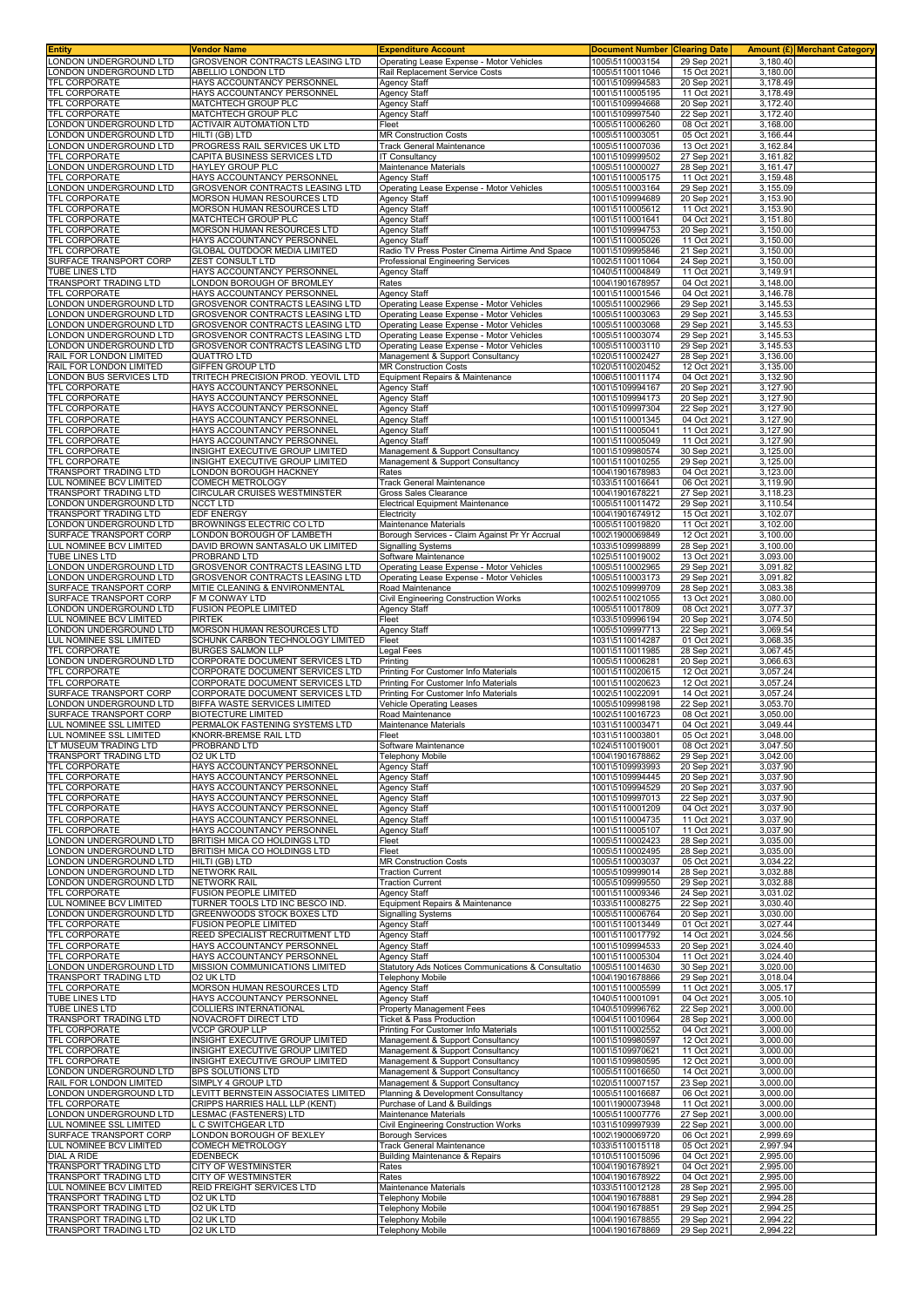| <b>Entity</b>                                      | Vendor Name                                                           | <b>Expenditure Account</b>                                         | <b>Document Number</b>             | <b>Clearing Date</b>       |                      | <b>Amount (£) Merchant Category</b> |
|----------------------------------------------------|-----------------------------------------------------------------------|--------------------------------------------------------------------|------------------------------------|----------------------------|----------------------|-------------------------------------|
| LONDON UNDERGROUND LTD                             | GROSVENOR CONTRACTS LEASING LTD                                       | Operating Lease Expense - Motor Vehicles                           | 1005\5110003154                    | 29 Sep 2021                | 3,180.40             |                                     |
| ONDON UNDERGROUND LTD                              | ABELLIO LONDON LTD                                                    | Rail Replacement Service Costs                                     | 1005\5110011046                    | 15 Oct 2021                | 3,180.00             |                                     |
| TFL CORPORATE                                      | HAYS ACCOUNTANCY PERSONNEL                                            | <b>Agency Staff</b>                                                | 1001\5109994583                    | 20 Sep 2021                | 3,178.49<br>3.178.49 |                                     |
| TFL CORPORATE<br>TFL CORPORATE                     | HAYS ACCOUNTANCY PERSONNEL<br>MATCHTECH GROUP PLC                     | <b>Agency Staff</b><br>Agency Staff                                | 1001\5110005195<br>1001\5109994668 | 11 Oct 2021<br>20 Sep 2021 | 3,172.40             |                                     |
| TFL CORPORATE                                      | MATCHTECH GROUP PLC                                                   | Agency Staff                                                       | 1001\5109997540                    | 22 Sep 2021                | 3,172.40             |                                     |
| LONDON UNDERGROUND LTD                             | <b>ACTIVAIR AUTOMATION LTD</b>                                        | Fleet                                                              | 1005\5110006260                    | 08 Oct 2021                | 3,168.00             |                                     |
| ONDON UNDERGROUND LTD                              | HILTI (GB) LTD                                                        | <b>MR Construction Costs</b>                                       | 1005\5110003051                    | 05 Oct 2021                | 3,166.44             |                                     |
| ONDON UNDERGROUND LTD                              | PROGRESS RAIL SERVICES UK LTD                                         | <b>Track General Maintenance</b>                                   | 1005\5110007036                    | 13 Oct 2021                | 3,162.84             |                                     |
| TFL CORPORATE                                      | CAPITA BUSINESS SERVICES LTD                                          | <b>IT Consultancy</b>                                              | 1001\5109999502                    | 27 Sep 2021                | 3,161.82             |                                     |
| ONDON UNDERGROUND LTD                              | HAYLEY GROUP PLC                                                      | Maintenance Materials                                              | 1005\5110000027                    | 28 Sep 2021                | 3,161.47             |                                     |
| TFL CORPORATE                                      | HAYS ACCOUNTANCY PERSONNEL                                            | <b>Agency Staff</b>                                                | 1001\5110005175                    | 11 Oct 2021                | 3,159.48             |                                     |
| LONDON UNDERGROUND LTD                             | GROSVENOR CONTRACTS LEASING LTD                                       | Operating Lease Expense - Motor Vehicles                           | 1005\5110003164                    | 29 Sep 2021                | 3,155.09             |                                     |
| TFL CORPORATE                                      | MORSON HUMAN RESOURCES LTD                                            | <b>Agency Staff</b>                                                | 1001\5109994689                    | 20 Sep 2021                | 3,153.90             |                                     |
| TFL CORPORATE                                      | MORSON HUMAN RESOURCES LTD                                            | <b>Agency Staff</b>                                                | 1001\5110005612                    | 11 Oct 2021                | 3,153.90             |                                     |
| TFL CORPORATE<br>TFL CORPORATE                     | MATCHTECH GROUP PLC<br>MORSON HUMAN RESOURCES LTD                     | <b>Agency Staff</b><br>Agency Staff                                | 1001\5110001641<br>1001\5109994753 | 04 Oct 2021<br>20 Sep 2021 | 3,151.80<br>3,150.00 |                                     |
| TFL CORPORATE                                      | HAYS ACCOUNTANCY PERSONNEL                                            | <b>Agency Staff</b>                                                | 1001\5110005026                    | 11 Oct 2021                | 3.150.00             |                                     |
| TFL CORPORATE                                      | GLOBAL OUTDOOR MEDIA LIMITED                                          | Radio TV Press Poster Cinema Airtime And Space                     | 1001\5109995846                    | 21 Sep 2021                | 3,150.00             |                                     |
| SURFACE TRANSPORT CORP                             | ZEST CONSULT LTD                                                      | <b>Professional Engineering Services</b>                           | 1002\5110011064                    | 24 Sep 2021                | 3,150.00             |                                     |
| TUBE LINES LTD                                     | HAYS ACCOUNTANCY PERSONNEL                                            | <b>Agency Staff</b>                                                | 1040\5110004849                    | 11 Oct 2021                | 3,149.91             |                                     |
| TRANSPORT TRADING LTD                              | LONDON BOROUGH OF BROMLEY                                             | Rates                                                              | 1004\1901678957                    | 04 Oct 2021                | 3,148.00             |                                     |
| TFL CORPORATE                                      | HAYS ACCOUNTANCY PERSONNEL                                            | <b>Agency Staff</b>                                                | 1001\5110001546                    | 04 Oct 2021                | 3,146.78             |                                     |
| ONDON UNDERGROUND LTD.                             | GROSVENOR CONTRACTS LEASING LTD                                       | Operating Lease Expense - Motor Vehicles                           | 1005\5110002966                    | 29 Sep 2021                | 3,145.53             |                                     |
| ONDON UNDERGROUND LTD                              | GROSVENOR CONTRACTS LEASING LTD                                       | Operating Lease Expense - Motor Vehicles                           | 1005\5110003063                    | 29 Sep 202                 | 3,145.53             |                                     |
| ONDON UNDERGROUND LTD                              | GROSVENOR CONTRACTS LEASING LTD                                       | Operating Lease Expense - Motor Vehicles                           | 1005\5110003068                    | 29 Sep 2021                | 3,145.53             |                                     |
| ONDON UNDERGROUND LTD                              | GROSVENOR CONTRACTS LEASING LTD                                       | Operating Lease Expense - Motor Vehicles                           | 1005\5110003074                    | 29 Sep 2021                | 3,145.53             |                                     |
| ONDON UNDERGROUND LTD                              | GROSVENOR CONTRACTS LEASING LTD                                       | Operating Lease Expense - Motor Vehicles                           | 1005\5110003110                    | 29 Sep 2021                | 3,145.53             |                                     |
| RAIL FOR LONDON LIMITED<br>RAIL FOR LONDON LIMITED | QUATTRO LTD<br>GIFFEN GROUP LTD                                       | Management & Support Consultancy                                   | 1020\5110002427                    | 28 Sep 2021<br>12 Oct 2021 | 3,136.00<br>3,135.00 |                                     |
| LONDON BUS SERVICES LTD                            | TRITECH PRECISION PROD. YEOVIL LTD                                    | <b>MR Construction Costs</b><br>Equipment Repairs & Maintenance    | 1020\5110020452<br>1006\5110011174 | 04 Oct 2021                | 3,132.90             |                                     |
| TFL CORPORATE                                      | HAYS ACCOUNTANCY PERSONNEL                                            | <b>Agency Staff</b>                                                | 1001\5109994167                    | 20 Sep 2021                | 3,127.90             |                                     |
| TFL CORPORATE                                      | HAYS ACCOUNTANCY PERSONNEL                                            | <b>Agency Staff</b>                                                | 1001\5109994173                    | 20 Sep 2021                | 3,127.90             |                                     |
| TFL CORPORATE                                      | HAYS ACCOUNTANCY PERSONNEL                                            | <b>Agency Staff</b>                                                | 1001\5109997304                    | 22 Sep 2021                | 3,127.90             |                                     |
| TFL CORPORATE                                      | HAYS ACCOUNTANCY PERSONNEL                                            | <b>Agency Staff</b>                                                | 1001\5110001345                    | 04 Oct 2021                | 3,127.90             |                                     |
| TFL CORPORATE                                      | HAYS ACCOUNTANCY PERSONNEL                                            | <b>Agency Staff</b>                                                | 1001\5110005041                    | 11 Oct 2021                | 3,127.90             |                                     |
| <b>TFL CORPORATE</b>                               | HAYS ACCOUNTANCY PERSONNEL                                            | <b>Agency Staff</b>                                                | 1001\5110005049                    | 11 Oct 2021                | 3,127.90             |                                     |
| TFL CORPORATE                                      | INSIGHT EXECUTIVE GROUP LIMITED                                       | Management & Support Consultancy                                   | 1001\5109980574                    | 30 Sep 2021                | 3,125.00             |                                     |
| TFL CORPORATE                                      | INSIGHT EXECUTIVE GROUP LIMITED                                       | Management & Support Consultancy                                   | 1001\5110010255                    | 29 Sep 2021                | 3,125.00             |                                     |
| TRANSPORT TRADING LTD                              | LONDON BOROUGH HACKNEY                                                | Rates                                                              | 1004\1901678983                    | 04 Oct 2021                | 3,123.00             |                                     |
| UL NOMINEE BCV LIMITED                             | COMECH METROLOGY                                                      | <b>Track General Maintenance</b>                                   | 1033\5110016641                    | 06 Oct 2021                | 3,119.90             |                                     |
| TRANSPORT TRADING LTD                              | CIRCULAR CRUISES WESTMINSTER                                          | Gross Sales Clearance                                              | 1004\1901678221                    | 27 Sep 2021                | 3,118.23             |                                     |
| LONDON UNDERGROUND LTD<br>TRANSPORT TRADING LTD    | <b>NCCT LTD</b><br>EDF ENERGY                                         | <b>Electrical Equipment Maintenance</b><br>Electricity             | 1005\5110011472<br>1004\1901674912 | 29 Sep 2021<br>15 Oct 2021 | 3,110.54<br>3,102.07 |                                     |
| ONDON UNDERGROUND LTD                              | BROWNINGS ELECTRIC CO LTD                                             | Maintenance Materials                                              | 1005\5110019820                    | 11 Oct 2021                | 3,102.00             |                                     |
| SURFACE TRANSPORT CORP                             | LONDON BOROUGH OF LAMBETH                                             | Borough Services - Claim Against Pr Yr Accrual                     | 1002\1900069849                    | 12 Oct 2021                | 3,100.00             |                                     |
| LUL NOMINEE BCV LIMITED                            | DAVID BROWN SANTASALO UK LIMITED                                      | <b>Signalling Systems</b>                                          | 1033\5109998899                    | 28 Sep 2021                | 3,100.00             |                                     |
| TUBE LINES LTD                                     | PROBRAND LTD                                                          | Software Maintenance                                               | 1025\5110019002                    | 13 Oct 2021                | 3,093.00             |                                     |
| ONDON UNDERGROUND LTD                              | GROSVENOR CONTRACTS LEASING LTD                                       | Operating Lease Expense - Motor Vehicles                           | 1005\5110002965                    | 29 Sep 2021                | 3,091.82             |                                     |
| ONDON UNDERGROUND LTD                              | GROSVENOR CONTRACTS LEASING LTD                                       | Operating Lease Expense - Motor Vehicles                           | 1005\5110003173                    | 29 Sep 2021                | 3,091.82             |                                     |
| SURFACE TRANSPORT CORP                             | MITIE CLEANING & ENVIRONMENTAL                                        | Road Maintenance                                                   | 1002\5109999709                    | 28 Sep 2021                | 3,083.38             |                                     |
| SURFACE TRANSPORT CORP                             | F M CONWAY LTD                                                        | Civil Engineering Construction Works                               | 1002\5110021055                    | 13 Oct 2021                | 3,080.00             |                                     |
| ONDON UNDERGROUND LTD                              | FUSION PEOPLE LIMITED                                                 | Agency Staff                                                       | 1005\5110017809                    | 08 Oct 2021                | 3,077.37             |                                     |
| LUL NOMINEE BCV LIMITED                            | PIRTEK                                                                | Fleet                                                              | 1033\5109996194                    | 20 Sep 2021                | 3,074.50             |                                     |
| ONDON UNDERGROUND LTD                              | MORSON HUMAN RESOURCES LTD                                            | <b>Agency Staff</b>                                                | 1005\5109997713                    | 22 Sep 2021                | 3,069.54             |                                     |
| UL NOMINEE SSL LIMITED<br>TFL CORPORATE            | SCHUNK CARBON TECHNOLOGY LIMITED<br>BURGES SALMON LLP                 | Fleet                                                              | 1031\5110014287<br>1001\5110011985 | 01 Oct 2021<br>28 Sep 2021 | 3,068.35<br>3,067.45 |                                     |
| LONDON UNDERGROUND LTD                             | CORPORATE DOCUMENT SERVICES LTD                                       | Legal Fees<br>Printing                                             | 1005\5110006281                    | 20 Sep 2021                | 3,066.63             |                                     |
| TFL CORPORATE                                      | CORPORATE DOCUMENT SERVICES LTD                                       | Printing For Customer Info Materials                               | 1001\5110020615                    | 12 Oct 2021                | 3,057.24             |                                     |
| TFL CORPORATE                                      | CORPORATE DOCUMENT SERVICES LTD                                       | Printing For Customer Info Materials                               | 1001\5110020623                    | 12 Oct 2021                | 3,057.24             |                                     |
| SURFACE TRANSPORT CORP                             | CORPORATE DOCUMENT SERVICES LTD                                       | Printing For Customer Info Materials                               | 1002\5110022091                    | 14 Oct 2021                | 3,057.24             |                                     |
| ONDON UNDERGROUND LTD                              | BIFFA WASTE SERVICES LIMITED                                          | Vehicle Operating Leases                                           | 1005\5109998198                    | 22 Sep 2021                | 3,053.70             |                                     |
| SURFACE TRANSPORT CORP                             | <b>BIOTECTURE LIMITED</b>                                             | Road Maintenance                                                   | 1002\5110016723                    | 08 Oct 2021                | 3,050.00             |                                     |
| LUL NOMINEE SSL LIMITED                            | PERMALOK FASTENING SYSTEMS LTD                                        | Maintenance Materials                                              | 1031\5110003471                    | 04 Oct 2021                | 3,049.44             |                                     |
| LUL NOMINEE SSL LIMITED                            | KNORR-BREMSE RAIL LTD                                                 | Fleet                                                              | 1031\5110003801                    | 05 Oct 2021                | 3,048.00             |                                     |
| LT MUSEUM TRADING LTD                              | PROBRAND LTD                                                          | Software Maintenance                                               | 1024\5110019001                    | 08 Oct 2021                | 3.047.50             |                                     |
| TRANSPORT TRADING LTD<br><b>TFL CORPORATE</b>      | O2 UK LTD<br>HAYS ACCOUNTANCY PERSONNEL                               | <b>Telephony Mobile</b><br><b>Agency Staff</b>                     | 1004\1901678862<br>1001\5109993993 | 29 Sep 2021<br>20 Sep 2021 | 3,042.00<br>3,037.90 |                                     |
| TFL CORPORATE                                      | HAYS ACCOUNTANCY PERSONNEL                                            | <b>Agency Staff</b>                                                | 1001\5109994445                    | 20 Sep 2021                | 3,037.90             |                                     |
| TFL CORPORATE                                      | HAYS ACCOUNTANCY PERSONNEL                                            | <b>Agency Staff</b>                                                | 1001\5109994529                    | 20 Sep 2021                | 3,037.90             |                                     |
| TFL CORPORATE                                      | HAYS ACCOUNTANCY PERSONNEL                                            | <b>Agency Staff</b>                                                | 1001\5109997013                    | 22 Sep 2021                | 3,037.90             |                                     |
| TFL CORPORATE                                      | HAYS ACCOUNTANCY PERSONNEL                                            | <b>Agency Staff</b>                                                | 1001\5110001209                    | 04 Oct 2021                | 3,037.90             |                                     |
| TFL CORPORATE                                      | HAYS ACCOUNTANCY PERSONNEL                                            | <b>Agency Staff</b>                                                | 1001\5110004735                    | 11 Oct 2021                | 3,037.90             |                                     |
| TFL CORPORATE                                      | HAYS ACCOUNTANCY PERSONNEL                                            | Agency Staff                                                       | 1001\5110005107                    | 11 Oct 2021                | 3,037.90             |                                     |
| LONDON UNDERGROUND LTD                             | BRITISH MICA CO HOLDINGS LTD                                          | Fleet                                                              | 1005\5110002423                    | 28 Sep 2021                | 3,035.00             |                                     |
| ONDON UNDERGROUND LTD                              | BRITISH MICA CO HOLDINGS LTD                                          | Fleet                                                              | 1005\5110002495                    | 28 Sep 2021                | 3,035.00             |                                     |
| ONDON UNDERGROUND LTD<br>ONDON UNDERGROUND LTD     | HILTI (GB) LTD<br><b>NETWORK RAIL</b>                                 | <b>MR Construction Costs</b><br><b>Traction Current</b>            | 1005\5110003037<br>1005\5109999014 | 05 Oct 2021<br>28 Sep 2021 | 3.034.22<br>3,032.88 |                                     |
| ONDON UNDERGROUND LTD                              | <b>NETWORK RAIL</b>                                                   | <b>Traction Current</b>                                            | 1005\5109999550                    | 29 Sep 2021                | 3,032.88             |                                     |
| <b>TFL CORPORATE</b>                               | <b>FUSION PEOPLE LIMITED</b>                                          | Agency Staff                                                       | 1001\5110009346                    | 24 Sep 2021                | 3.031.02             |                                     |
| LUL NOMINEE BCV LIMITED                            | TURNER TOOLS LTD INC BESCO IND.                                       | Equipment Repairs & Maintenance                                    | 1033\5110008275                    | 22 Sep 2021                | 3.030.40             |                                     |
| LONDON UNDERGROUND LTD                             | GREENWOODS STOCK BOXES LTD                                            | <b>Signalling Systems</b>                                          | 1005\5110006764                    | 20 Sep 2021                | 3,030.00             |                                     |
| <b>TFL CORPORATE</b>                               | FUSION PEOPLE LIMITED                                                 | <b>Agency Staff</b>                                                | 1001\5110013449                    | 01 Oct 2021                | 3,027.44             |                                     |
| TFL CORPORATE                                      | REED SPECIALIST RECRUITMENT LTD                                       | <b>Agency Staff</b>                                                | 1001\5110017792                    | 14 Oct 2021                | 3,024.56             |                                     |
| TFL CORPORATE                                      | HAYS ACCOUNTANCY PERSONNEL                                            | <b>Agency Staff</b>                                                | 1001\5109994533                    | 20 Sep 2021                | 3,024.40             |                                     |
| TFL CORPORATE                                      | HAYS ACCOUNTANCY PERSONNEL                                            | <b>Agency Staff</b>                                                | 1001\5110005304                    | 11 Oct 2021                | 3,024.40             |                                     |
| LONDON UNDERGROUND LTD                             | MISSION COMMUNICATIONS LIMITED                                        | Statutory Ads Notices Communications & Consultatio                 | 1005\5110014630                    | 30 Sep 2021                | 3,020.00             |                                     |
| TRANSPORT TRADING LTD<br>TFL CORPORATE             | 02 UK LTD<br>MORSON HUMAN RESOURCES LTD                               | <b>Telephony Mobile</b>                                            | 1004\1901678866<br>1001\5110005599 | 29 Sep 2021                | 3,018.04<br>3,005.17 |                                     |
| TUBE LINES LTD                                     | HAYS ACCOUNTANCY PERSONNEL                                            | <b>Agency Staff</b><br><b>Agency Staff</b>                         | 1040\5110001091                    | 11 Oct 2021<br>04 Oct 2021 | 3,005.10             |                                     |
| TUBE LINES LTD                                     | COLLIERS INTERNATIONAL                                                | Property Management Fees                                           | 1040\5109996762                    | 22 Sep 2021                | 3,000.00             |                                     |
| TRANSPORT TRADING LTD                              | NOVACROFT DIRECT LTD                                                  | Ticket & Pass Production                                           | 1004\5110010964                    | 28 Sep 2021                | 3,000.00             |                                     |
| TFL CORPORATE                                      | <b>VCCP GROUP LLP</b>                                                 | Printing For Customer Info Materials                               | 1001\5110002552                    | 04 Oct 2021                | 3,000.00             |                                     |
| TFL CORPORATE                                      | INSIGHT EXECUTIVE GROUP LIMITED                                       | Management & Support Consultancy                                   | 1001\5109980597                    | 12 Oct 2021                | 3,000.00             |                                     |
| TFL CORPORATE                                      | INSIGHT EXECUTIVE GROUP LIMITED                                       | Management & Support Consultancy                                   | 1001\5109970621                    | 11 Oct 2021                | 3,000.00             |                                     |
| TFL CORPORATE                                      | INSIGHT EXECUTIVE GROUP LIMITED                                       | Management & Support Consultancy                                   | 1001\5109980595                    | 12 Oct 2021                | 3,000.00             |                                     |
| LONDON UNDERGROUND LTD                             | BPS SOLUTIONS LTD                                                     | Management & Support Consultancy                                   | 1005\5110016650                    | 14 Oct 2021                | 3,000.00             |                                     |
| RAIL FOR LONDON LIMITED                            | SIMPLY 4 GROUP LTD                                                    | Management & Support Consultancy                                   | 1020\5110007157                    | 23 Sep 2021                | 3,000.00             |                                     |
| LONDON UNDERGROUND LTD<br>TFL CORPORATE            | LEVITT BERNSTEIN ASSOCIATES LIMITED<br>CRIPPS HARRIES HALL LLP (KENT) | Planning & Development Consultancy<br>Purchase of Land & Buildings | 1005\5110016687<br>1001\1900073948 | 06 Oct 2021<br>11 Oct 2021 | 3,000.00<br>3,000.00 |                                     |
| LONDON UNDERGROUND LTD                             | LESMAC (FASTENERS) LTD                                                | Maintenance Materials                                              | 1005\5110007776                    | 27 Sep 2021                | 3,000.00             |                                     |
| UL NOMINEE SSL LIMITED                             | L C SWITCHGEAR LTD                                                    | Civil Engineering Construction Works                               | 1031\5109997939                    | 22 Sep 2021                | 3,000.00             |                                     |
| SURFACE TRANSPORT CORP                             | ONDON BOROUGH OF BEXLEY                                               | <b>Borough Services</b>                                            | 1002\1900069720                    | 06 Oct 2021                | 2,999.69             |                                     |
| LUL NOMINEE BCV LIMITED                            | COMECH METROLOGY                                                      | <b>Track General Maintenance</b>                                   | 1033\5110015118                    | 05 Oct 2021                | 2,997.94             |                                     |
| <b>DIAL A RIDE</b>                                 | EDENBECK                                                              | <b>Building Maintenance &amp; Repairs</b>                          | 1010\5110015096                    | 04 Oct 2021                | 2,995.00             |                                     |
| TRANSPORT TRADING LTD                              | CITY OF WESTMINSTER                                                   | Rates                                                              | 1004\1901678921                    | 04 Oct 2021                | 2,995.00             |                                     |
| TRANSPORT TRADING LTD                              | CITY OF WESTMINSTER                                                   | Rates                                                              | 1004\1901678922                    | 04 Oct 2021                | 2,995.00             |                                     |
| LUL NOMINEE BCV LIMITED                            | REID FREIGHT SERVICES LTD                                             | Maintenance Materials                                              | 1033\5110012128                    | 28 Sep 2021                | 2,995.00             |                                     |
| TRANSPORT TRADING LTD                              | O2 UK LTD                                                             | <b>Telephony Mobile</b>                                            | 1004\1901678881                    | 29 Sep 2021                | 2,994.28             |                                     |
| TRANSPORT TRADING LTD<br>TRANSPORT TRADING LTD     | O2 UK LTD<br>02 UK LTD                                                | <b>Telephony Mobile</b><br><b>Telephony Mobile</b>                 | 1004\1901678851<br>1004\1901678855 | 29 Sep 2021<br>29 Sep 2021 | 2,994.25<br>2,994.22 |                                     |
| TRANSPORT TRADING LTD                              | O2 UK LTD                                                             | <b>Telephony Mobile</b>                                            | 1004\1901678869                    | 29 Sep 2021                | 2,994.22             |                                     |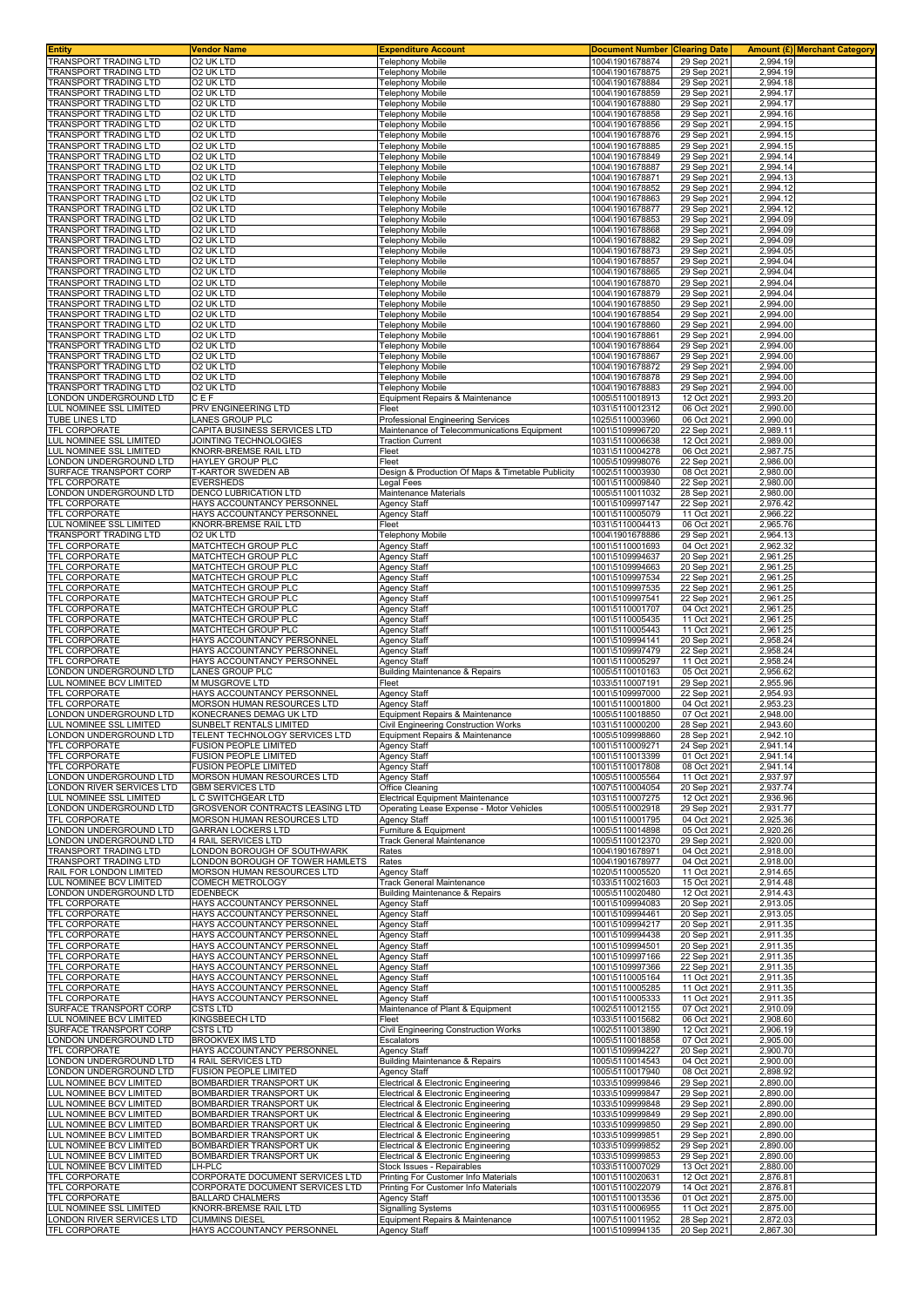| Entity                                                 | <b>Vendor Name</b>                                       | <b>Expenditure Account</b>                                                          | <b>Document Number</b>             | <b>Clearing Date</b>       | Amount (£) Merchant Category |
|--------------------------------------------------------|----------------------------------------------------------|-------------------------------------------------------------------------------------|------------------------------------|----------------------------|------------------------------|
| TRANSPORT TRADING LTD                                  | O2 UK LTD                                                | Telephony Mobile                                                                    | 1004\1901678874                    | 29 Sep 2021                | 2,994.19                     |
| TRANSPORT TRADING LTD                                  | <b>O2 UK LTD</b>                                         | Telephony Mobile                                                                    | 1004\1901678875                    | 29 Sep 202                 | 2,994.19                     |
| <b>FRANSPORT TRADING LTD</b>                           | O2 UK LTD                                                | <b>Telephony Mobile</b>                                                             | 1004\1901678884                    | 29 Sep 2021                | 2,994.18                     |
| TRANSPORT TRADING LTD                                  | O2 UK LTD                                                | <b>Telephony Mobile</b>                                                             | 1004\1901678859                    | 29 Sep 2021                | 2,994.17                     |
| TRANSPORT TRADING LTD                                  | O2 UK LTD                                                | Telephony Mobile                                                                    | 1004\1901678880                    | 29 Sep 2021                | 2,994.17                     |
| TRANSPORT TRADING LTD<br><b>FRANSPORT TRADING LTD</b>  | O2 UK LTD<br><b>O2 UK LTD</b>                            | Telephony Mobile<br>Telephony Mobile                                                | 1004\1901678858<br>1004\1901678856 | 29 Sep 202<br>29 Sep 2021  | 2,994.16<br>2,994.15         |
| TRANSPORT TRADING LTD                                  | O <sub>2</sub> UK LTD                                    | Telephony Mobile                                                                    | 1004\1901678876                    | 29 Sep 202                 | 2,994.15                     |
| FRANSPORT TRADING LTD                                  | O2 UK LTD                                                | <b>Telephony Mobile</b>                                                             | 1004\1901678885                    | 29 Sep 2021                | 2,994.15                     |
| TRANSPORT TRADING LTD                                  | O2 UK LTD                                                | Telephony Mobile                                                                    | 1004\1901678849                    | 29 Sep 2021                | 2,994.14                     |
| <b>RANSPORT TRADING LTD</b>                            | O2 UK LTD                                                | Felephony Mobile                                                                    | 1004\1901678887                    | 29 Sep 2021                | 2,994.14                     |
| TRANSPORT TRADING LTD                                  | 02 UK LTD                                                | Telephony Mobile                                                                    | 1004\1901678871                    | 29 Sep 202                 | 2,994.13                     |
| TRANSPORT TRADING LTD                                  | O2 UK LTD                                                | Telephony Mobile                                                                    | 1004\1901678852                    | 29 Sep 202                 | 2,994.12                     |
| <b>TRANSPORT TRADING LTD</b>                           | O2 UK LTD                                                | Telephony Mobile                                                                    | 1004\1901678863                    | 29 Sep 2021                | 2,994.12                     |
| <b>FRANSPORT TRADING LTD</b>                           | 02 UK LTD                                                | Telephony Mobile                                                                    | 1004\1901678877                    | 29 Sep 2021                | 2,994.12                     |
| TRANSPORT TRADING LTD<br><b>TRANSPORT TRADING LTD</b>  | O2 UK LTD<br>O2 UK LTD                                   | Telephony Mobile<br><b>Telephony Mobile</b>                                         | 1004\1901678853<br>1004\1901678868 | 29 Sep 2021<br>29 Sep 2021 | 2.994.09<br>2,994.09         |
| FRANSPORT TRADING LTD                                  | O2 UK LTD                                                | Telephony Mobile                                                                    | 1004\1901678882                    | 29 Sep 2021                | 2.994.09                     |
| TRANSPORT TRADING LTD                                  | O2 UK LTD                                                | <b>Telephony Mobile</b>                                                             | 1004\1901678873                    | 29 Sep 2021                | 2,994.05                     |
| TRANSPORT TRADING LTD                                  | O2 UK LTD                                                | Telephony Mobile                                                                    | 1004\1901678857                    | 29 Sep 202                 | 2.994.04                     |
| TRANSPORT TRADING LTD                                  | O2 UK LTD                                                | <b>Telephony Mobile</b>                                                             | 1004\1901678865                    | 29 Sep 202                 | 2,994.04                     |
| <b>FRANSPORT TRADING LTD</b>                           | O2 UK LTD                                                | Telephony Mobile                                                                    | 1004\1901678870                    | 29 Sep 2021                | 2,994.04                     |
| TRANSPORT TRADING LTD                                  | O2 UK LTD<br>O <sub>2</sub> UK LTD                       | Telephony Mobile                                                                    | 1004\1901678879                    | 29 Sep 202                 | 2,994.04                     |
| TRANSPORT TRADING LTD<br><b>FRANSPORT TRADING LTD</b>  | O2 UK LTD                                                | Telephony Mobile<br><b>Telephony Mobile</b>                                         | 1004\1901678850<br>1004\1901678854 | 29 Sep 202<br>29 Sep 202   | 2,994.00<br>2,994.00         |
| <b>FRANSPORT TRADING LTD</b>                           | O2 UK LTD                                                | <b>Telephony Mobile</b>                                                             | 1004\1901678860                    | 29 Sep 2021                | 2,994.00                     |
| TRANSPORT TRADING LTD                                  | O2 UK LTD                                                | <b>Telephony Mobile</b>                                                             | 1004\1901678861                    | 29 Sep 2021                | 2,994.00                     |
| TRANSPORT TRADING LTD                                  | O2 UK LTD                                                | Telephony Mobile                                                                    | 1004\1901678864                    | 29 Sep 202                 | 2,994.00                     |
| TRANSPORT TRADING LTD                                  | O2 UK LTD                                                | Telephony Mobile                                                                    | 1004\1901678867                    | 29 Sep 202                 | 2,994.00                     |
| <b>RANSPORT TRADING LTD</b>                            | O2 UK LTD                                                | Telephony Mobile                                                                    | 1004\1901678872                    | 29 Sep 2021                | 2,994.00                     |
| TRANSPORT TRADING LTD                                  | 02 UK LTD                                                | Telephony Mobile                                                                    | 1004\1901678878                    | 29 Sep 202                 | 2,994.00                     |
| FRANSPORT TRADING LTD<br>ONDON UNDERGROUND LTD         | O2 UK LTD<br>CEF                                         | Telephony Mobile                                                                    | 1004\1901678883<br>1005\5110018913 | 29 Sep 2021<br>12 Oct 2021 | 2,994.00<br>2,993.20         |
| UL NOMINEE SSL LIMITED                                 | PRV ENGINEERING LTD                                      | Equipment Repairs & Maintenance<br>Fleet                                            | 1031\5110012312                    | 06 Oct 2021                | 2,990.00                     |
| TUBE LINES LTD                                         | LANES GROUP PLC                                          | <b>Professional Engineering Services</b>                                            | 1025\5110003960                    | 06 Oct 202                 | 2,990.00                     |
| <b>TFL CORPORATE</b>                                   | CAPITA BUSINESS SERVICES LTD                             | Maintenance of Telecommunications Equipment                                         | 1001\5109996720                    | 22 Sep 2021                | 2,989.11                     |
| UL NOMINEE SSL LIMITED                                 | JOINTING TECHNOLOGIES                                    | Traction Current                                                                    | 1031\5110006638                    | 12 Oct 2021                | 2,989.00                     |
| UL NOMINEE SSL LIMITED                                 | KNORR-BREMSE RAIL LTD                                    | Fleet                                                                               | 1031\5110004278                    | 06 Oct 2021                | 2,987.75                     |
| ONDON UNDERGROUND LTD                                  | HAYLEY GROUP PLC                                         | Fleet                                                                               | 1005\5109998076                    | 22 Sep 2021                | 2,986.00                     |
| SURFACE TRANSPORT CORP                                 | T-KARTOR SWEDEN AB                                       | Design & Production Of Maps & Timetable Publicity                                   | 1002\5110003930                    | 08 Oct 2021                | 2,980.00                     |
| <b>TFL CORPORATE</b><br>ONDON UNDERGROUND LTD          | <b>EVERSHEDS</b><br><b>DENCO LUBRICATION LTD</b>         | Legal Fees<br>Maintenance Materials                                                 | 1001\5110009840<br>1005\5110011032 | 22 Sep 2021                | 2,980.00<br>2,980.00         |
| TFL CORPORATE                                          | HAYS ACCOUNTANCY PERSONNEL                               | Agency Staff                                                                        | 1001\5109997147                    | 28 Sep 2021<br>22 Sep 202  | 2,976.42                     |
| TFL CORPORATE                                          | HAYS ACCOUNTANCY PERSONNEL                               | <b>Agency Staff</b>                                                                 | 1001\5110005079                    | 11 Oct 202                 | 2,966.22                     |
| UL NOMINEE SSL LIMITED                                 | KNORR-BREMSE RAIL LTD                                    | Fleet                                                                               | 1031\5110004413                    | 06 Oct 2021                | 2,965.76                     |
| TRANSPORT TRADING LTD                                  | O2 UK LTD                                                | Telephony Mobile                                                                    | 1004\1901678886                    | 29 Sep 2021                | 2,964.13                     |
| TFL CORPORATE                                          | MATCHTECH GROUP PLC                                      | Agency Staff                                                                        | 1001\5110001693                    | 04 Oct 202                 | 2,962.32                     |
| TFL CORPORATE                                          | MATCHTECH GROUP PLC                                      | Agency Staff                                                                        | 1001\5109994637                    | 20 Sep 202                 | 2,961.25                     |
| <b>TFL CORPORATE</b>                                   | MATCHTECH GROUP PLC                                      | Agency Staff                                                                        | 1001\5109994663                    | 20 Sep 2021                | 2,961.25                     |
| TFL CORPORATE                                          | MATCHTECH GROUP PLC                                      | Agency Staff                                                                        | 1001\5109997534                    | 22 Sep 2021                | 2,961.25                     |
| TFL CORPORATE                                          | MATCHTECH GROUP PLC<br><b>MATCHTECH GROUP PLC</b>        | Agency Staff                                                                        | 1001\5109997535                    | 22 Sep 202                 | 2,961.25                     |
| TFL CORPORATE<br><b>TFL CORPORATE</b>                  | MATCHTECH GROUP PLC                                      | Agency Staff<br>Agency Staff                                                        | 1001\5109997541<br>1001\5110001707 | 22 Sep 2021<br>04 Oct 2021 | 2,961.25<br>2,961.25         |
| TFL CORPORATE                                          | MATCHTECH GROUP PLC                                      | Agency Staff                                                                        | 1001\5110005435                    | 11 Oct 2021                | 2,961.25                     |
| TFL CORPORATE                                          | MATCHTECH GROUP PLC                                      | Agency Staff                                                                        | 1001\5110005443                    | 11 Oct 2021                | 2,961.25                     |
| TFL CORPORATE                                          | HAYS ACCOUNTANCY PERSONNEL                               | Agency Staff                                                                        | 1001\5109994141                    | 20 Sep 2021                | 2,958.24                     |
| <b>TFL CORPORATE</b>                                   | HAYS ACCOUNTANCY PERSONNEL                               | Agency Staff                                                                        | 1001\5109997479                    | 22 Sep 2021                | 2,958.24                     |
| TFL CORPORATE                                          | HAYS ACCOUNTANCY PERSONNEL                               | Agency Staff                                                                        | 1001\5110005297                    | 11 Oct 2021                | 2,958.24                     |
| ONDON UNDERGROUND LTD                                  | LANES GROUP PLC                                          | Building Maintenance & Repairs                                                      | 1005\5110010163                    | 05 Oct 2021                | 2,956.62                     |
| <b>UL NOMINEE BCV LIMITED</b>                          | M MUSGROVE LTD                                           | Fleet                                                                               | 1033\5110007191                    | 29 Sep 2021                | 2,955.96                     |
| TFL CORPORATE                                          | HAYS ACCOUNTANCY PERSONNEL                               | Agency Staff                                                                        | 1001\5109997000                    | 22 Sep 2021                | 2,954.93<br>2.953.23         |
| TFL CORPORATE<br>ONDON UNDERGROUND LTD                 | MORSON HUMAN RESOURCES LTD<br>KONECRANES DEMAG UK LTD    | Agency Staff<br>Equipment Repairs & Maintenance                                     | 1001\5110001800<br>1005\5110018850 | 04 Oct 2021<br>07 Oct 2021 | 2,948.00                     |
| <b>UL NOMINEE SSL LIMITED</b>                          | SUNBELT RENTALS LIMITED                                  | Civil Engineering Construction Works                                                | 1031\5110000200                    | 28 Sep 2021                | 2,943.60                     |
| ONDON UNDERGROUND LTD                                  | TELENT TECHNOLOGY SERVICES LTD                           | Equipment Repairs & Maintenance                                                     | 1005\5109998860                    | 28 Sep 2021                | 2,942.10                     |
| TFL CORPORATE                                          | <b>FUSION PEOPLE LIMITED</b>                             | Agency Staff                                                                        | 1001\5110009271                    | 24 Sep 2021                | 2,941.14                     |
| TFL CORPORATE                                          | <b>FUSION PEOPLE LIMITED</b>                             | <b>Agency Staff</b>                                                                 | 1001\5110013399                    | 01 Oct 2021                | 2,941.14                     |
| TFL CORPORATE                                          | FUSION PEOPLE LIMITED                                    | Agency Staff                                                                        | 1001\5110017808                    | 08 Oct 2021                | 2,941.14                     |
| ONDON UNDERGROUND LTD                                  | MORSON HUMAN RESOURCES LTD                               | Agency Staff                                                                        | 1005\5110005564                    | 11 Oct 2021                | 2,937.97                     |
| ONDON RIVER SERVICES LTD.                              | <b>GBM SERVICES LTD</b>                                  | Office Cleaning                                                                     | 1007\5110004054                    | 20 Sep 2021<br>12 Oct 2021 | 2,937.74                     |
| UL NOMINEE SSL LIMITED<br>ONDON UNDERGROUND LTD.       | . C SWITCHGEAR LTD<br>GROSVENOR CONTRACTS LEASING LTD    | <b>Electrical Equipment Maintenance</b><br>Operating Lease Expense - Motor Vehicles | 1031\5110007275<br>1005\5110002918 | 29 Sep 2021                | 2,936.96<br>2.931.77         |
| TFL CORPORATE                                          | MORSON HUMAN RESOURCES LTD                               | Agency Staff                                                                        | 1001\5110001795                    | 04 Oct 2021                | 2,925.36                     |
| ONDON UNDERGROUND LTD                                  | <b>GARRAN LOCKERS LTD</b>                                | Furniture & Equipment                                                               | 1005\5110014898                    | 05 Oct 2021                | 2,920.26                     |
| ONDON UNDERGROUND LTD                                  | 4 RAIL SERVICES LTD                                      | <b>Track General Maintenance</b>                                                    | 1005\5110012370                    | 29 Sep 2021                | 2,920.00                     |
| <b>FRANSPORT TRADING LTD</b>                           | ONDON BOROUGH OF SOUTHWARK                               | Rates                                                                               | 1004\1901678971                    | 04 Oct 2021                | 2,918.00                     |
| TRANSPORT TRADING LTD                                  | ONDON BOROUGH OF TOWER HAMLETS                           | Rates                                                                               | 1004\1901678977                    | 04 Oct 2021                | 2,918.00                     |
| RAIL FOR LONDON LIMITED                                | MORSON HUMAN RESOURCES LTD                               | Agency Staff<br><b>Track General Maintenance</b>                                    | 1020\5110005520                    | 11 Oct 2021                | 2,914.65<br>2,914.48         |
| <b>UL NOMINEE BCV LIMITED</b><br>ONDON UNDERGROUND LTD | COMECH METROLOGY<br>EDENBECK                             | Building Maintenance & Repairs                                                      | 1033\5110021603<br>1005\5110020480 | 15 Oct 2021<br>12 Oct 2021 | 2,914.43                     |
| TFL CORPORATE                                          | HAYS ACCOUNTANCY PERSONNEL                               | Agency Staff                                                                        | 1001\5109994083                    | 20 Sep 2021                | 2.913.05                     |
| TFL CORPORATE                                          | HAYS ACCOUNTANCY PERSONNEL                               | Agency Staff                                                                        | 1001\5109994461                    | 20 Sep 2021                | 2,913.05                     |
| TFL CORPORATE                                          | HAYS ACCOUNTANCY PERSONNEL                               | Agency Staff                                                                        | 1001\5109994217                    | 20 Sep 2021                | 2,911.35                     |
| TFL CORPORATE                                          | HAYS ACCOUNTANCY PERSONNEL                               | Agency Staff                                                                        | 1001\5109994438                    | 20 Sep 2021                | 2,911.35                     |
| TFL CORPORATE                                          | HAYS ACCOUNTANCY PERSONNEL                               | Agency Staff                                                                        | 1001\5109994501                    | 20 Sep 2021                | 2,911.35                     |
| TFL CORPORATE                                          | HAYS ACCOUNTANCY PERSONNEL                               | Agency Staff                                                                        | 1001\5109997166                    | 22 Sep 2021                | 2,911.35                     |
| TFL CORPORATE<br>TFL CORPORATE                         | HAYS ACCOUNTANCY PERSONNEL<br>HAYS ACCOUNTANCY PERSONNEL | Agency Staff<br>Agency Staff                                                        | 1001\5109997366<br>1001\5110005164 | 22 Sep 2021<br>11 Oct 2021 | 2,911.35<br>2,911.35         |
| TFL CORPORATE                                          | HAYS ACCOUNTANCY PERSONNEL                               | Agency Staff                                                                        | 1001\5110005285                    | 11 Oct 2021                | 2,911.35                     |
| TFL CORPORATE                                          | HAYS ACCOUNTANCY PERSONNEL                               | Agency Staff                                                                        | 1001\5110005333                    | 11 Oct 2021                | 2,911.35                     |
| SURFACE TRANSPORT CORP                                 | CSTS LTD                                                 | Maintenance of Plant & Equipment                                                    | 1002\5110012155                    | 07 Oct 2021                | 2,910.09                     |
| UL NOMINEE BCV LIMITED                                 | KINGSBEECH LTD                                           | Fleet                                                                               | 1033\5110015682                    | 06 Oct 2021                | 2,908.60                     |
| SURFACE TRANSPORT CORP                                 | <b>CSTS LTD</b>                                          | Civil Engineering Construction Works                                                | 1002\5110013890                    | 12 Oct 2021                | 2,906.19                     |
| ONDON UNDERGROUND LTD                                  | <b>BROOKVEX IMS LTD</b>                                  | Escalators                                                                          | 1005\5110018858                    | 07 Oct 2021                | 2,905.00                     |
| TFL CORPORATE                                          | HAYS ACCOUNTANCY PERSONNEL                               | Agency Staff                                                                        | 1001\5109994227                    | 20 Sep 2021                | 2,900.70                     |
| ONDON UNDERGROUND LTD<br>ONDON UNDERGROUND LTD         | 4 RAIL SERVICES LTD<br><b>FUSION PEOPLE LIMITED</b>      | <b>Building Maintenance &amp; Repairs</b><br>Agency Staff                           | 1005\5110014543<br>1005\5110017940 | 04 Oct 2021<br>08 Oct 2021 | 2,900.00<br>2,898.92         |
| UL NOMINEE BCV LIMITED                                 | BOMBARDIER TRANSPORT UK                                  | Electrical & Electronic Engineering                                                 | 1033\5109999846                    | 29 Sep 2021                | 2,890.00                     |
| UL NOMINEE BCV LIMITED                                 | BOMBARDIER TRANSPORT UK                                  | Electrical & Electronic Engineering                                                 | 1033\5109999847                    | 29 Sep 2021                | 2,890.00                     |
| UL NOMINEE BCV LIMITED                                 | BOMBARDIER TRANSPORT UK                                  | Electrical & Electronic Engineering                                                 | 1033\5109999848                    | 29 Sep 2021                | 2,890.00                     |
| <b>UL NOMINEE BCV LIMITED</b>                          | BOMBARDIER TRANSPORT UK                                  | Electrical & Electronic Engineering                                                 | 1033\5109999849                    | 29 Sep 2021                | 2,890.00                     |
| UL NOMINEE BCV LIMITED                                 | BOMBARDIER TRANSPORT UK                                  | Electrical & Electronic Engineering                                                 | 1033\5109999850                    | 29 Sep 2021                | 2,890.00                     |
| UL NOMINEE BCV LIMITED                                 | BOMBARDIER TRANSPORT UK                                  | Electrical & Electronic Engineering                                                 | 1033\5109999851                    | 29 Sep 2021                | 2,890.00                     |
| <b>UL NOMINEE BCV LIMITED</b>                          | BOMBARDIER TRANSPORT UK<br>BOMBARDIER TRANSPORT UK       | Electrical & Electronic Engineering                                                 | 1033\5109999852                    | 29 Sep 202                 | 2,890.00                     |
| LUL NOMINEE BCV LIMITED<br>LUL NOMINEE BCV LIMITED     | H-PLC                                                    | Electrical & Electronic Engineering<br>Stock Issues - Repairables                   | 1033\5109999853<br>1033\5110007029 | 29 Sep 2021<br>13 Oct 2021 | 2,890.00<br>2,880.00         |
| TFL CORPORATE                                          | CORPORATE DOCUMENT SERVICES LTD                          | Printing For Customer Info Materials                                                | 1001\5110020631                    | 12 Oct 2021                | 2,876.81                     |
| TFL CORPORATE                                          | CORPORATE DOCUMENT SERVICES LTD                          | Printing For Customer Info Materials                                                | 1001\5110022079                    | 14 Oct 2021                | 2,876.81                     |
| TFL CORPORATE                                          |                                                          |                                                                                     |                                    |                            |                              |
|                                                        | <b>BALLARD CHALMERS</b>                                  | Agency Staff                                                                        | 1001\5110013536                    | 01 Oct 2021                | 2,875.00                     |
| LUL NOMINEE SSL LIMITED                                | KNORR-BREMSE RAIL LTD                                    | <b>Signalling Systems</b>                                                           | 1031\5110006955                    | 11 Oct 2021                | 2,875.00                     |
| ONDON RIVER SERVICES LTD<br>TFL CORPORATE              | <b>CUMMINS DIESEL</b><br>HAYS ACCOUNTANCY PERSONNEL      | Equipment Repairs & Maintenance<br>Agency Staff                                     | 1007\5110011952<br>1001\5109994135 | 28 Sep 2021<br>20 Sep 2021 | 2,872.03<br>2,867.30         |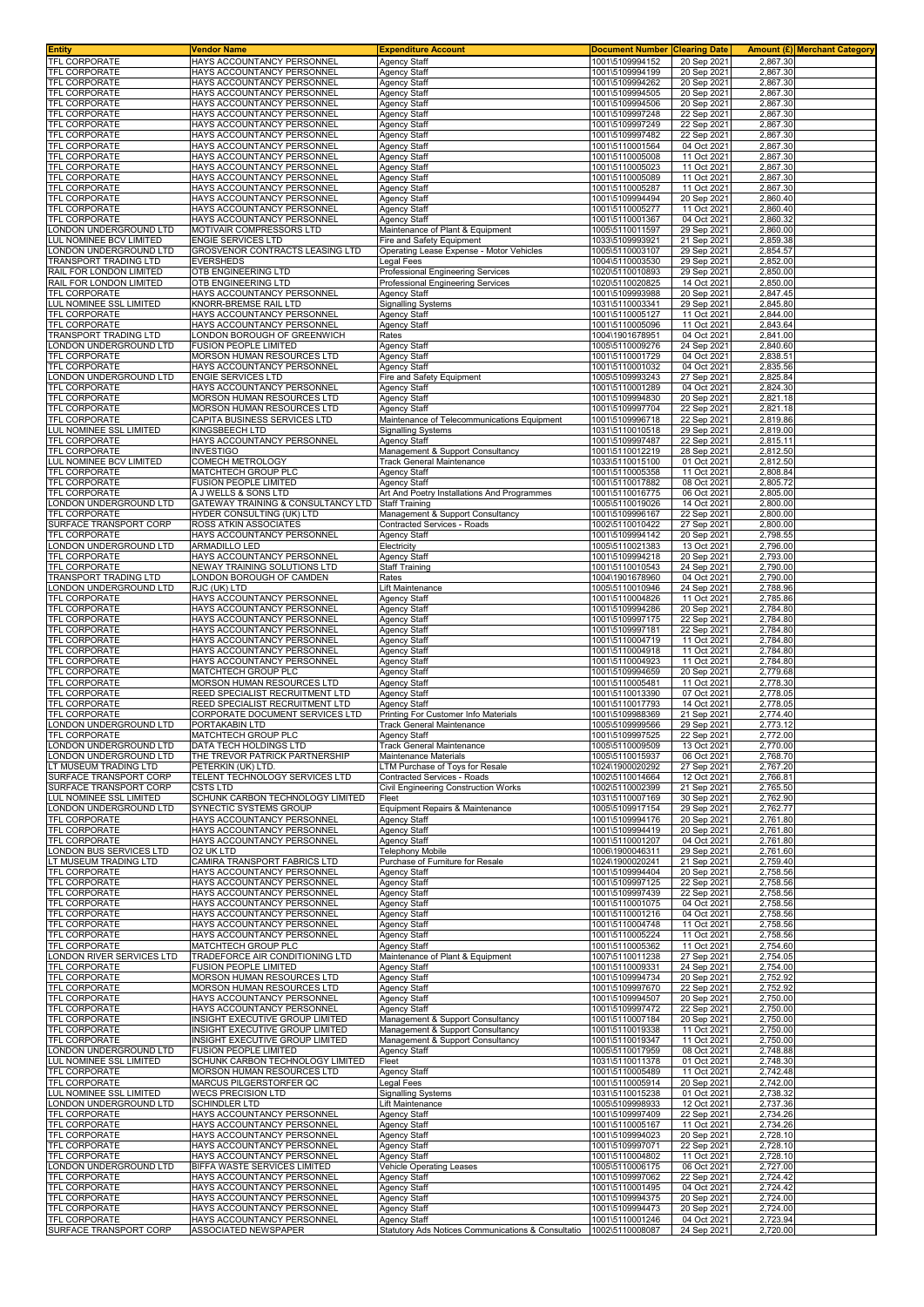| <b>Entity</b>                                    | Vendor Name                                                        | <b>Expenditure Account</b>                                           | <b>Document Number Clearing Date</b> |                            |                      | Amount (£) Merchant Category |
|--------------------------------------------------|--------------------------------------------------------------------|----------------------------------------------------------------------|--------------------------------------|----------------------------|----------------------|------------------------------|
| <b>TFL CORPORATE</b>                             | HAYS ACCOUNTANCY PERSONNEL                                         | <b>Agency Staff</b>                                                  | 1001\5109994152                      | 20 Sep 2021                | 2,867.30             |                              |
| <b>TFL CORPORATE</b>                             | HAYS ACCOUNTANCY PERSONNEL                                         | <b>Agency Staff</b>                                                  | 1001\5109994199                      | 20 Sep 2021                | 2,867.30             |                              |
| TFL CORPORATE                                    | HAYS ACCOUNTANCY PERSONNEL                                         | <b>Agency Staff</b>                                                  | 1001\5109994262                      | 20 Sep 2021                | 2,867.30             |                              |
| TFL CORPORATE                                    | HAYS ACCOUNTANCY PERSONNEI                                         | <b>Agency Staff</b>                                                  | 1001\5109994505                      | 20 Sep 2021                | 2,867.30             |                              |
| <b>TFL CORPORATE</b>                             | HAYS ACCOUNTANCY PERSONNEI                                         | <b>Agency Staff</b>                                                  | 1001\5109994506                      | 20 Sep 2021                | 2,867.30             |                              |
| <b>TFL CORPORATE</b>                             | HAYS ACCOUNTANCY PERSONNEL                                         | Agency Staff                                                         | 1001\5109997248                      | 22 Sep 2021                | 2,867.30             |                              |
| <b>TFL CORPORATE</b>                             | HAYS ACCOUNTANCY PERSONNEL<br>HAYS ACCOUNTANCY PERSONNEL           | <b>Agency Staff</b>                                                  | 1001\5109997249                      | 22 Sep 2021                | 2,867.30             |                              |
| TFL CORPORATE<br><b>TFL CORPORATE</b>            |                                                                    | Agency Staff                                                         | 1001\5109997482                      | 22 Sep 2021                | 2,867.30<br>2,867.30 |                              |
| TFL CORPORATE                                    | HAYS ACCOUNTANCY PERSONNEI<br>HAYS ACCOUNTANCY PERSONNEL           | <b>Agency Staff</b><br><b>Agency Staff</b>                           | 1001\5110001564<br>1001\5110005008   | 04 Oct 2021<br>11 Oct 2021 | 2,867.30             |                              |
| <b>TFL CORPORATE</b>                             | HAYS ACCOUNTANCY PERSONNEL                                         | <b>Agency Staff</b>                                                  | 1001\5110005023                      | 11 Oct 2021                | 2,867.30             |                              |
| <b>TFL CORPORATE</b>                             | HAYS ACCOUNTANCY PERSONNEI                                         | Agency Staff                                                         | 1001\5110005089                      | 11 Oct 2021                | 2,867.30             |                              |
| TFL CORPORATE                                    | HAYS ACCOUNTANCY PERSONNEI                                         | <b>Agency Staff</b>                                                  | 1001\5110005287                      | 11 Oct 2021                | 2,867.30             |                              |
| <b>TFL CORPORATE</b>                             | HAYS ACCOUNTANCY PERSONNEL                                         | <b>Agency Staff</b>                                                  | 1001\5109994494                      | 20 Sep 2021                | 2,860.40             |                              |
| TFL CORPORATE                                    | HAYS ACCOUNTANCY PERSONNEL                                         | <b>Agency Staff</b>                                                  | 1001\5110005277                      | 11 Oct 2021                | 2,860.40             |                              |
| <b>TFL CORPORATE</b>                             | HAYS ACCOUNTANCY PERSONNEL                                         | <b>Agency Staff</b>                                                  | 1001\5110001367                      | 04 Oct 2021                | 2,860.32             |                              |
| ONDON UNDERGROUND LTD                            | MOTIVAIR COMPRESSORS LTD                                           | Maintenance of Plant & Equipment                                     | 1005\5110011597                      | 29 Sep 2021                | 2,860.00             |                              |
| UL NOMINEE BCV LIMITED                           | <b>ENGIE SERVICES LTD</b>                                          | Fire and Safety Equipment                                            | 1033\5109993921                      | 21 Sep 2021                | 2,859.38             |                              |
| ONDON UNDERGROUND LTD                            | GROSVENOR CONTRACTS LEASING LTD                                    | Operating Lease Expense - Motor Vehicles                             | 1005\5110003107                      | 29 Sep 2021                | 2,854.57             |                              |
| TRANSPORT TRADING LTD                            | <b>EVERSHEDS</b>                                                   | Legal Fees                                                           | 1004\5110003530                      | 29 Sep 2021                | 2,852.00             |                              |
| RAIL FOR LONDON LIMITED                          | OTB ENGINEERING LTD                                                | Professional Engineering Services                                    | 1020\5110010893                      | 29 Sep 2021                | 2,850.00             |                              |
| RAIL FOR LONDON LIMITED                          | OTB ENGINEERING LTD                                                | Professional Engineering Services                                    | 1020\5110020825                      | 14 Oct 2021                | 2,850.00             |                              |
| <b>TFL CORPORATE</b><br>LUL NOMINEE SSL LIMITED  | HAYS ACCOUNTANCY PERSONNEL                                         | <b>Agency Staff</b>                                                  | 1001\5109993988                      | 20 Sep 2021                | 2,847.45<br>2,845.80 |                              |
| TFL CORPORATE                                    | KNORR-BREMSE RAIL LTD<br>HAYS ACCOUNTANCY PERSONNEL                | <b>Signalling Systems</b><br><b>Agency Staff</b>                     | 1031\5110003341<br>1001\5110005127   | 29 Sep 2021<br>11 Oct 2021 | 2,844.00             |                              |
| <b>TFL CORPORATE</b>                             | HAYS ACCOUNTANCY PERSONNEL                                         | <b>Agency Staff</b>                                                  | 1001\5110005096                      | 11 Oct 2021                | 2,843.64             |                              |
| <b>TRANSPORT TRADING LTD</b>                     | LONDON BOROUGH OF GREENWICH                                        | Rates                                                                | 1004\1901678951                      | 04 Oct 2021                | 2,841.00             |                              |
| LONDON UNDERGROUND LTD                           | <b>FUSION PEOPLE LIMITED</b>                                       | <b>Agency Staff</b>                                                  | 1005\5110009276                      | 24 Sep 2021                | 2,840.60             |                              |
| <b>TFL CORPORATE</b>                             | MORSON HUMAN RESOURCES LTD                                         | Agency Staff                                                         | 1001\5110001729                      | 04 Oct 2021                | 2,838.51             |                              |
| <b>TFL CORPORATE</b>                             | HAYS ACCOUNTANCY PERSONNEL                                         | <b>Agency Staff</b>                                                  | 1001\5110001032                      | 04 Oct 2021                | 2,835.56             |                              |
| LONDON UNDERGROUND LTD                           | <b>ENGIE SERVICES LTD</b>                                          | Fire and Safety Equipment                                            | 1005\5109993243                      | 27 Sep 2021                | 2,825.84             |                              |
| <b>TFL CORPORATE</b>                             | HAYS ACCOUNTANCY PERSONNEL                                         | <b>Agency Staff</b>                                                  | 1001\5110001289                      | 04 Oct 2021                | 2,824.30             |                              |
| <b>TFL CORPORATE</b>                             | MORSON HUMAN RESOURCES LTD                                         | Agency Staff                                                         | 1001\5109994830                      | 20 Sep 2021                | 2,821.18             |                              |
| TFL CORPORATE                                    | MORSON HUMAN RESOURCES LTD                                         | Agency Staff                                                         | 1001\5109997704                      | 22 Sep 2021                | 2,821.18             |                              |
| <b>TFL CORPORATE</b>                             | CAPITA BUSINESS SERVICES LTD                                       | Maintenance of Telecommunications Equipment                          | 1001\5109996718                      | 22 Sep 2021                | 2,819.86             |                              |
| LUL NOMINEE SSL LIMITED                          | KINGSBEECH LTD                                                     | Signalling Systems                                                   | 1031\5110010518                      | 29 Sep 2021                | 2,819.00             |                              |
| <b>TFL CORPORATE</b>                             | HAYS ACCOUNTANCY PERSONNEL                                         | Agency Staff                                                         | 1001\5109997487                      | 22 Sep 2021                | 2,815.11             |                              |
| TFL CORPORATE                                    | <b>INVESTIGO</b>                                                   | Management & Support Consultancy                                     | 1001\5110012219                      | 28 Sep 2021                | 2,812.50             |                              |
| LUL NOMINEE BCV LIMITED<br>TFL CORPORATE         | COMECH METROLOGY                                                   | <b>Track General Maintenance</b>                                     | 1033\5110015100                      | 01 Oct 2021                | 2.812.50             |                              |
| TFL CORPORATE                                    | MATCHTECH GROUP PLC<br><b>FUSION PEOPLE LIMITED</b>                | <b>Agency Staff</b>                                                  | 1001\5110005358<br>1001\5110017882   | 11 Oct 2021                | 2,808.84<br>2,805.72 |                              |
| TFL CORPORATE                                    | A J WELLS & SONS LTD                                               | <b>Agency Staff</b><br>Art And Poetry Installations And Programmes   | 1001\5110016775                      | 08 Oct 2021<br>06 Oct 2021 | 2,805.00             |                              |
| LONDON UNDERGROUND LTD                           | GATEWAY TRAINING & CONSULTANCY LTD                                 | <b>Staff Training</b>                                                | 1005\5110019026                      | 14 Oct 2021                | 2,800.00             |                              |
| TFL CORPORATE                                    | HYDER CONSULTING (UK) LTD                                          | Management & Support Consultancy                                     | 1001\5109996167                      | 22 Sep 2021                | 2,800.00             |                              |
| SURFACE TRANSPORT CORP                           | ROSS ATKIN ASSOCIATES                                              | Contracted Services - Roads                                          | 1002\5110010422                      | 27 Sep 2021                | 2,800.00             |                              |
| <b>TFL CORPORATE</b>                             | HAYS ACCOUNTANCY PERSONNEL                                         | Agency Staff                                                         | 1001\5109994142                      | 20 Sep 2021                | 2,798.55             |                              |
| LONDON UNDERGROUND LTD                           | <b>ARMADILLO LED</b>                                               | Electricity                                                          | 1005\5110021383                      | 13 Oct 2021                | 2,796.00             |                              |
| TFL CORPORATE                                    | HAYS ACCOUNTANCY PERSONNEL                                         | <b>Agency Staff</b>                                                  | 1001\5109994218                      | 20 Sep 2021                | 2,793.00             |                              |
| TFL CORPORATE                                    | NEWAY TRAINING SOLUTIONS LTD                                       | <b>Staff Training</b>                                                | 1001\5110010543                      | 24 Sep 2021                | 2,790.00             |                              |
| <b>TRANSPORT TRADING LTD</b>                     | LONDON BOROUGH OF CAMDEN                                           | Rates                                                                | 1004\1901678960                      | 04 Oct 2021                | 2,790.00             |                              |
| LONDON UNDERGROUND LTD                           | RJC (UK) LTD                                                       | Lift Maintenance                                                     | 1005\5110010946                      | 24 Sep 2021                | 2,788.96             |                              |
| <b>TFL CORPORATE</b>                             | HAYS ACCOUNTANCY PERSONNEL                                         | Agency Staff                                                         | 1001\5110004826                      | 11 Oct 2021                | 2,785.86             |                              |
| TFL CORPORATE                                    | HAYS ACCOUNTANCY PERSONNEL                                         | <b>Agency Staff</b>                                                  | 1001\5109994286                      | 20 Sep 2021                | 2,784.80             |                              |
| <b>TFL CORPORATE</b>                             | HAYS ACCOUNTANCY PERSONNEL                                         | <b>Agency Staff</b>                                                  | 1001\5109997175                      | 22 Sep 2021                | 2,784.80             |                              |
| TFL CORPORATE<br><b>TFL CORPORATE</b>            | HAYS ACCOUNTANCY PERSONNEI<br>HAYS ACCOUNTANCY PERSONNEL           | <b>Agency Staff</b>                                                  | 1001\5109997181<br>1001\5110004719   | 22 Sep 2021<br>11 Oct 2021 | 2,784.80<br>2,784.80 |                              |
| TFL CORPORATE                                    | HAYS ACCOUNTANCY PERSONNEL                                         | Agency Staff<br><b>Agency Staff</b>                                  | 1001\5110004918                      | 11 Oct 2021                | 2,784.80             |                              |
| <b>TFL CORPORATE</b>                             | HAYS ACCOUNTANCY PERSONNEL                                         | Agency Staff                                                         | 1001\5110004923                      | 11 Oct 2021                | 2,784.80             |                              |
| TFL CORPORATE                                    | MATCHTECH GROUP PLC                                                | Agency Staff                                                         | 1001\5109994659                      | 20 Sep 2021                | 2,779.68             |                              |
| <b>TFL CORPORATE</b>                             | MORSON HUMAN RESOURCES LTD                                         | <b>Agency Staff</b>                                                  | 1001\5110005481                      | 11 Oct 2021                | 2,778.30             |                              |
| TFL CORPORATE                                    | REED SPECIALIST RECRUITMENT LTD                                    | <b>Agency Staff</b>                                                  | 1001\5110013390                      | 07 Oct 2021                | 2,778.05             |                              |
| TFL CORPORATE                                    | REED SPECIALIST RECRUITMENT LTD                                    | <b>Agency Staff</b>                                                  | 1001\5110017793                      | 14 Oct 2021                | 2,778.05             |                              |
| <b>TFL CORPORATE</b>                             | CORPORATE DOCUMENT SERVICES LTD                                    | Printing For Customer Info Materials                                 | 1001\5109988369                      | 21 Sep 2021                | 2,774.40             |                              |
| ONDON UNDERGROUND LTD                            | PORTAKABIN LTD                                                     | <b>Frack General Maintenance</b>                                     | 1005\5109999566                      | 29 Sep 2021                | 2.773.12             |                              |
| TFL CORPORATE                                    | MATCHTECH GROUP PLC                                                | Agency Staff                                                         | 1001\5109997525                      | 22 Sep 2021                | 2,772.00             |                              |
| LONDON UNDERGROUND LTD                           | DATA TECH HOLDINGS LTD                                             | Track General Maintenance                                            | 1005\5110009509                      | 13 Oct 2021                | 2,770.00             |                              |
| LONDON UNDERGROUND LTD                           | THE TREVOR PATRICK PARTNERSHIP                                     | Maintenance Materials                                                | 1005\5110015937                      | 06 Oct 2021                | 2,768.70             |                              |
| LT MUSEUM TRADING LTD                            | PETERKIN (UK) LTD.                                                 | LTM Purchase of Toys for Resale                                      | 1024\1900020292                      | 27 Sep 2021                | 2,767.20             |                              |
| SURFACE TRANSPORT CORP<br>SURFACE TRANSPORT CORP | TELENT TECHNOLOGY SERVICES LTD<br><b>CSTS LTD</b>                  | Contracted Services - Roads<br>Civil Engineering Construction Works  | 1002\5110014664<br>1002\5110002399   | 12 Oct 2021<br>21 Sep 2021 | 2,766.81<br>2,765.50 |                              |
| LUL NOMINEE SSL LIMITED                          | SCHUNK CARBON TECHNOLOGY LIMITED                                   | Fleet                                                                | 1031\5110007169                      | 30 Sep 2021                | 2,762.90             |                              |
| ONDON UNDERGROUND LTD.                           | SYNECTIC SYSTEMS GROUP                                             | Equipment Repairs & Maintenance                                      | 1005\5109917154                      | 29 Sep 2021                | 2,762.77             |                              |
| TFL CORPORATE                                    | HAYS ACCOUNTANCY PERSONNEL                                         | <b>Agency Staff</b>                                                  | 1001\5109994176                      | 20 Sep 2021                | 2.761.80             |                              |
| <b>TFL CORPORATE</b>                             | HAYS ACCOUNTANCY PERSONNEL                                         | <b>Agency Staff</b>                                                  | 1001\5109994419                      | 20 Sep 2021                | 2,761.80             |                              |
| <b>TFL CORPORATE</b>                             | HAYS ACCOUNTANCY PERSONNEL                                         | <b>Agency Staff</b>                                                  | 1001\5110001207                      | 04 Oct 2021                | 2,761.80             |                              |
| LONDON BUS SERVICES LTD                          | O2 UK LTD                                                          | <b>Telephony Mobile</b>                                              | 1006\1900046311                      | 29 Sep 2021                | 2,761.60             |                              |
| LT MUSEUM TRADING LTD                            | CAMIRA TRANSPORT FABRICS LTD                                       | Purchase of Furniture for Resale                                     | 1024\1900020241                      | 21 Sep 2021                | 2,759.40             |                              |
| TFL CORPORATE                                    | HAYS ACCOUNTANCY PERSONNEL                                         | <b>Agency Staff</b>                                                  | 1001\5109994404                      | 20 Sep 2021                | 2,758.56             |                              |
| TFL CORPORATE                                    | HAYS ACCOUNTANCY PERSONNEL                                         | <b>Agency Staff</b>                                                  | 1001\5109997125                      | 22 Sep 2021                | 2,758.56             |                              |
| TFL CORPORATE<br><b>TFL CORPORATE</b>            | HAYS ACCOUNTANCY PERSONNEL                                         | <b>Agency Staff</b>                                                  | 1001\5109997439                      | 22 Sep 2021                | 2,758.56             |                              |
| <b>TFL CORPORATE</b>                             | HAYS ACCOUNTANCY PERSONNEL<br>HAYS ACCOUNTANCY PERSONNEL           | <b>Agency Staff</b><br><b>Agency Staff</b>                           | 1001\5110001075<br>1001\5110001216   | 04 Oct 2021<br>04 Oct 2021 | 2,758.56<br>2,758.56 |                              |
| TFL CORPORATE                                    | HAYS ACCOUNTANCY PERSONNEL                                         | <b>Agency Staff</b>                                                  | 1001\5110004748                      | 11 Oct 2021                | 2,758.56             |                              |
| <b>TFL CORPORATE</b>                             | HAYS ACCOUNTANCY PERSONNEL                                         | <b>Agency Staff</b>                                                  | 1001\5110005224                      | 11 Oct 2021                | 2,758.56             |                              |
| TFL CORPORATE                                    | MATCHTECH GROUP PLC                                                | <b>Agency Staff</b>                                                  | 1001\5110005362                      | 11 Oct 2021                | 2,754.60             |                              |
| LONDON RIVER SERVICES LTD                        | TRADEFORCE AIR CONDITIONING LTD                                    | Maintenance of Plant & Equipment                                     | 1007\5110011238                      | 27 Sep 2021                | 2,754.05             |                              |
| TFL CORPORATE                                    | <b>FUSION PEOPLE LIMITED</b>                                       | <b>Agency Staff</b>                                                  | 1001\5110009331                      | 24 Sep 2021                | 2,754.00             |                              |
| TFL CORPORATE                                    | MORSON HUMAN RESOURCES LTD                                         | <b>Agency Staff</b>                                                  | 1001\5109994734                      | 20 Sep 2021                | 2,752.92             |                              |
| <b>TFL CORPORATE</b>                             | <b>MORSON HUMAN RESOURCES LTD</b>                                  | <b>Agency Staff</b>                                                  | 1001\5109997670                      | 22 Sep 2021                | 2,752.92             |                              |
| <b>TFL CORPORATE</b>                             | HAYS ACCOUNTANCY PERSONNEL                                         | <b>Agency Staff</b>                                                  | 1001\5109994507                      | 20 Sep 2021                | 2,750.00             |                              |
| <b>TFL CORPORATE</b>                             | HAYS ACCOUNTANCY PERSONNEL                                         | <b>Agency Staff</b>                                                  | 1001\5109997472                      | 22 Sep 2021                | 2,750.00             |                              |
| TFL CORPORATE                                    | INSIGHT EXECUTIVE GROUP LIMITED                                    | Management & Support Consultancy                                     | 1001\5110007184                      | 20 Sep 2021                | 2,750.00             |                              |
| <b>TFL CORPORATE</b><br><b>TFL CORPORATE</b>     | INSIGHT EXECUTIVE GROUP LIMITED<br>INSIGHT EXECUTIVE GROUP LIMITED | Management & Support Consultancy<br>Management & Support Consultancy | 1001\5110019338<br>1001\5110019347   | 11 Oct 2021<br>11 Oct 2021 | 2,750.00<br>2,750.00 |                              |
| LONDON UNDERGROUND LTD                           | <b>FUSION PEOPLE LIMITED</b>                                       | <b>Agency Staff</b>                                                  | 1005\5110017959                      | 08 Oct 2021                | 2,748.88             |                              |
| <b>LUL NOMINEE SSL LIMITED</b>                   | SCHUNK CARBON TECHNOLOGY LIMITED                                   | Fleet                                                                | 1031\5110011378                      | 01 Oct 2021                | 2,748.30             |                              |
| TFL CORPORATE                                    | MORSON HUMAN RESOURCES LTD                                         | <b>Agency Staff</b>                                                  | 1001\5110005489                      | 11 Oct 2021                | 2,742.48             |                              |
| <b>TFL CORPORATE</b>                             | MARCUS PILGERSTORFER QC                                            | egal Fees                                                            | 1001\5110005914                      | 20 Sep 2021                | 2,742.00             |                              |
| LUL NOMINEE SSL LIMITED                          | <b>WECS PRECISION LTD</b>                                          | <b>Signalling Systems</b>                                            | 1031\5110015238                      | 01 Oct 2021                | 2,738.32             |                              |
| LONDON UNDERGROUND LTD                           | <b>SCHINDLER LTD</b>                                               | Lift Maintenance                                                     | 1005\5109998933                      | 12 Oct 2021                | 2,737.36             |                              |
| TFL CORPORATE                                    | HAYS ACCOUNTANCY PERSONNEL                                         | <b>Agency Staff</b>                                                  | 1001\5109997409                      | 22 Sep 2021                | 2,734.26             |                              |
| TFL CORPORATE                                    | HAYS ACCOUNTANCY PERSONNEL                                         | <b>Agency Staff</b>                                                  | 1001\5110005167                      | 11 Oct 2021                | 2,734.26             |                              |
| TFL CORPORATE                                    | HAYS ACCOUNTANCY PERSONNEL                                         | <b>Agency Staff</b>                                                  | 1001\5109994023                      | 20 Sep 2021                | 2,728.10             |                              |
| <b>TFL CORPORATE</b>                             | HAYS ACCOUNTANCY PERSONNEL                                         | <b>Agency Staff</b>                                                  | 1001\5109997071                      | 22 Sep 2021                | 2,728.10             |                              |
| TFL CORPORATE<br>LONDON UNDERGROUND LTD          | HAYS ACCOUNTANCY PERSONNEL<br>BIFFA WASTE SERVICES LIMITED         | Agency Staff<br><b>Vehicle Operating Leases</b>                      | 1001\5110004802<br>1005\5110006175   | 11 Oct 2021<br>06 Oct 2021 | 2,728.10<br>2,727.00 |                              |
| TFL CORPORATE                                    | HAYS ACCOUNTANCY PERSONNEL                                         | <b>Agency Staff</b>                                                  | 1001\5109997062                      | 22 Sep 2021                | 2,724.42             |                              |
| TFL CORPORATE                                    | HAYS ACCOUNTANCY PERSONNEL                                         | <b>Agency Staff</b>                                                  | 1001\5110001495                      | 04 Oct 2021                | 2,724.42             |                              |
| TFL CORPORATE                                    | HAYS ACCOUNTANCY PERSONNEL                                         | <b>Agency Staff</b>                                                  | 1001\5109994375                      | 20 Sep 2021                | 2,724.00             |                              |
| TFL CORPORATE                                    | HAYS ACCOUNTANCY PERSONNEL                                         | Agency Staff                                                         | 1001\5109994473                      | 20 Sep 2021                | 2,724.00             |                              |
| TFL CORPORATE                                    | HAYS ACCOUNTANCY PERSONNEL                                         | <b>Agency Staff</b>                                                  | 1001\5110001246                      | 04 Oct 2021                | 2,723.94             |                              |
| SURFACE TRANSPORT CORP                           | ASSOCIATED NEWSPAPER                                               | Statutory Ads Notices Communications & Consultatio                   | 1002\5110008087                      | 24 Sep 2021                | 2,720.00             |                              |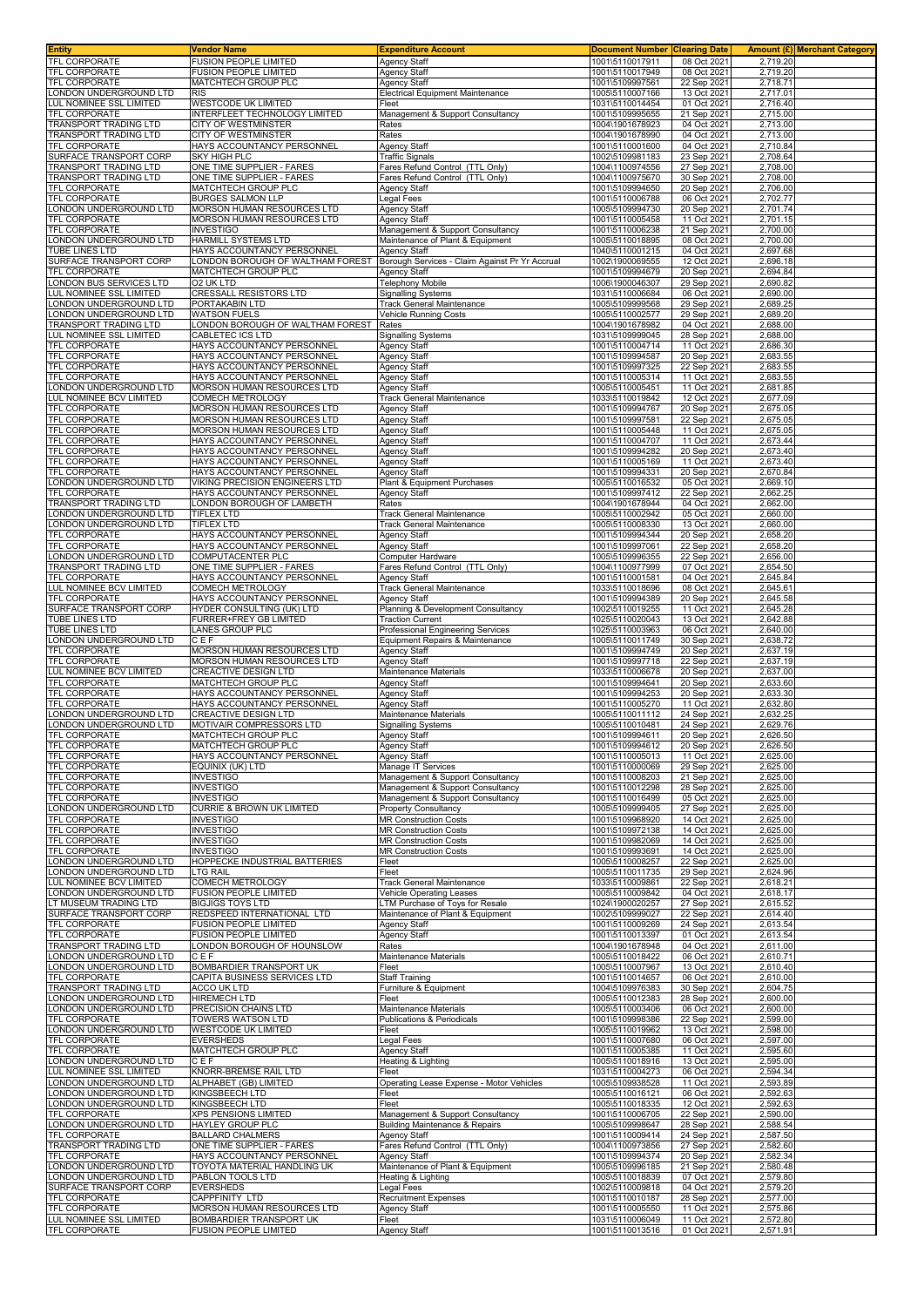| Entity                                                 | <b>Vendor Name</b>                                           | <b>Expenditure Account</b>                                           | <b>Document Number</b>             | <b>Clearing Date</b>       |                      | <b>Amount (£)</b> Merchant Category |
|--------------------------------------------------------|--------------------------------------------------------------|----------------------------------------------------------------------|------------------------------------|----------------------------|----------------------|-------------------------------------|
| TFL CORPORATE<br>TFL CORPORATE                         | <b>FUSION PEOPLE LIMITED</b><br><b>FUSION PEOPLE LIMITED</b> | <b>Agency Staff</b><br><b>Agency Staff</b>                           | 1001\5110017911<br>1001\5110017949 | 08 Oct 2021<br>08 Oct 2021 | 2,719.20<br>2,719.20 |                                     |
| TFL CORPORATE                                          | MATCHTECH GROUP PLC                                          | Agency Staff                                                         | 1001\5109997561                    | 22 Sep 2021                | 2,718.71             |                                     |
| ONDON UNDERGROUND LTD                                  | <b>RIS</b>                                                   | <b>Electrical Equipment Maintenance</b>                              | 1005\5110007166                    | 13 Oct 2021                | 2,717.01             |                                     |
| UL NOMINEE SSL LIMITED<br>TFL CORPORATE                | <b>WESTCODE UK LIMITED</b><br>INTERFLEET TECHNOLOGY LIMITED  | Fleet                                                                | 1031\5110014454<br>1001\5109995655 | 01 Oct 2021<br>21 Sep 2021 | 2,716.40<br>2,715.00 |                                     |
| <b>FRANSPORT TRADING LTD</b>                           | CITY OF WESTMINSTER                                          | Management & Support Consultancy<br>Rates                            | 1004\1901678923                    | 04 Oct 2021                | 2,713.00             |                                     |
| TRANSPORT TRADING LTD                                  | CITY OF WESTMINSTER                                          | Rates                                                                | 1004\1901678990                    | 04 Oct 2021                | 2,713.00             |                                     |
| <b>TFL CORPORATE</b><br>SURFACE TRANSPORT CORP         | HAYS ACCOUNTANCY PERSONNEL<br>SKY HIGH PLC                   | Agency Staff<br><b>Traffic Signals</b>                               | 1001\5110001600<br>1002\5109981183 | 04 Oct 2021<br>23 Sep 2021 | 2,710.84<br>2,708.64 |                                     |
| <b>FRANSPORT TRADING LTD</b>                           | ONE TIME SUPPLIER - FARES                                    | Fares Refund Control (TTL Only)                                      | 1004\1100974556                    | 27 Sep 2021                | 2,708.00             |                                     |
| TRANSPORT TRADING LTD                                  | ONE TIME SUPPLIER - FARES                                    | Fares Refund Control (TTL Only)                                      | 1004\1100975670                    | 30 Sep 202                 | 2,708.00             |                                     |
| TFL CORPORATE<br>TFL CORPORATE                         | MATCHTECH GROUP PLC<br>BURGES SALMON LLP                     | Agency Staff<br>Legal Fees                                           | 1001\5109994650<br>1001\5110006788 | 20 Sep 2021<br>06 Oct 2021 | 2,706.00<br>2,702.77 |                                     |
| ONDON UNDERGROUND LTD                                  | MORSON HUMAN RESOURCES LTD                                   | <b>Agency Staff</b>                                                  | 1005\5109994730                    | 20 Sep 2021                | 2,701.74             |                                     |
| <b>TFL CORPORATE</b>                                   | MORSON HUMAN RESOURCES LTD                                   | <b>Agency Staff</b>                                                  | 1001\5110005458                    | 11 Oct 2021                | 2,701.15             |                                     |
| TFL CORPORATE<br>ONDON UNDERGROUND LTD                 | <b>INVESTIGO</b><br>HARMILL SYSTEMS LTD                      | Management & Support Consultancy<br>Maintenance of Plant & Equipment | 1001\5110006238<br>1005\5110018895 | 21 Sep 2021<br>08 Oct 2021 | 2,700.00<br>2.700.00 |                                     |
| <b>TUBE LINES LTD</b>                                  | HAYS ACCOUNTANCY PERSONNEL                                   | <b>Agency Staff</b>                                                  | 1040\5110001215                    | 04 Oct 2021                | 2,697.68             |                                     |
| SURFACE TRANSPORT CORP<br>TFL CORPORATE                | LONDON BOROUGH OF WALTHAM FOREST<br>MATCHTECH GROUP PLC      | Borough Services - Claim Against Pr Yr Accrual                       | 1002\1900069555                    | 12 Oct 2021<br>20 Sep 2021 | 2,696.18<br>2,694.84 |                                     |
| ONDON BUS SERVICES LTD                                 | 02 UK LTD                                                    | Agency Staff<br>Telephony Mobile                                     | 1001\5109994679<br>1006\1900046307 | 29 Sep 2021                | 2,690.82             |                                     |
| UL NOMINEE SSL LIMITED                                 | CRESSALL RESISTORS LTD                                       | Signalling Systems                                                   | 1031\5110006684                    | 06 Oct 2021                | 2,690.00             |                                     |
| ONDON UNDERGROUND LTD<br>ONDON UNDERGROUND LTD         | PORTAKABIN LTD<br><b>WATSON FUELS</b>                        | Track General Maintenance<br>Vehicle Running Costs                   | 1005\5109999568<br>1005\5110002577 | 29 Sep 2021<br>29 Sep 2021 | 2,689.25<br>2,689.20 |                                     |
| <b>FRANSPORT TRADING LTD</b>                           | ONDON BOROUGH OF WALTHAM FOREST                              | Rates                                                                | 1004\1901678982                    | 04 Oct 2021                | 2,688.00             |                                     |
| UL NOMINEE SSL LIMITED                                 | CABLETEC ICS LTD                                             | <b>Signalling Systems</b>                                            | 1031\5109999045                    | 28 Sep 2021                | 2,688.00             |                                     |
| TFL CORPORATE<br>TFL CORPORATE                         | HAYS ACCOUNTANCY PERSONNEL<br>HAYS ACCOUNTANCY PERSONNEL     | <b>Agency Staff</b><br>Agency Staff                                  | 1001\5110004714<br>1001\5109994587 | 11 Oct 2021<br>20 Sep 2021 | 2,686.30<br>2,683.55 |                                     |
| <b>FEL CORPORATE</b>                                   | HAYS ACCOUNTANCY PERSONNEL                                   | <b>Agency Staff</b>                                                  | 1001\5109997325                    | 22 Sep 2021                | 2,683.55             |                                     |
| TFL CORPORATE                                          | HAYS ACCOUNTANCY PERSONNEL                                   | Agency Staff                                                         | 1001\5110005314                    | 11 Oct 2021                | 2,683.55             |                                     |
| ONDON UNDERGROUND LTD<br>UL NOMINEE BCV LIMITED        | MORSON HUMAN RESOURCES LTD<br>COMECH METROLOGY               | Agency Staff<br><b>Track General Maintenance</b>                     | 1005\5110005451<br>1033\5110019842 | 11 Oct 2021<br>12 Oct 2021 | 2,681.85<br>2,677.09 |                                     |
| <b>TFL CORPORATE</b>                                   | MORSON HUMAN RESOURCES LTD                                   | Agency Staff                                                         | 1001\5109994767                    | 20 Sep 2021                | 2,675.05             |                                     |
| <b>TFL CORPORATE</b>                                   | MORSON HUMAN RESOURCES LTD                                   | Agency Staff                                                         | 1001\5109997581<br>1001\5110005448 | 22 Sep 202                 | 2,675.05             |                                     |
| TFL CORPORATE<br><b>TFL CORPORATE</b>                  | MORSON HUMAN RESOURCES LTD<br>HAYS ACCOUNTANCY PERSONNEL     | <b>Agency Staff</b><br><b>Agency Staff</b>                           | 1001\5110004707                    | 11 Oct 2021<br>11 Oct 2021 | 2,675.05<br>2,673.44 |                                     |
| TFL CORPORATE                                          | HAYS ACCOUNTANCY PERSONNEL                                   | <b>Agency Staff</b>                                                  | 1001\5109994282                    | 20 Sep 2021                | 2,673.40             |                                     |
| <b>TFL CORPORATE</b>                                   | HAYS ACCOUNTANCY PERSONNEL                                   | <b>Agency Staff</b>                                                  | 1001\5110005169                    | 11 Oct 2021                | 2,673.40             |                                     |
| TFL CORPORATE<br>ONDON UNDERGROUND LTD.                | HAYS ACCOUNTANCY PERSONNEL<br>VIKING PRECISION ENGINEERS LTD | <b>Agency Staff</b><br>Plant & Equipment Purchases                   | 1001\5109994331<br>1005\5110016532 | 20 Sep 2021<br>05 Oct 2021 | 2,670.84<br>2,669.10 |                                     |
| TFL CORPORATE                                          | HAYS ACCOUNTANCY PERSONNEL                                   | <b>Agency Staff</b>                                                  | 1001\5109997412                    | 22 Sep 2021                | 2,662.25             |                                     |
| <b>TRANSPORT TRADING LTD</b>                           | LONDON BOROUGH OF LAMBETH                                    | Rates                                                                | 1004\1901678944                    | 04 Oct 2021                | 2,662.00             |                                     |
| ONDON UNDERGROUND LTD<br>ONDON UNDERGROUND LTD         | <b>TIFLEX LTD</b><br><b>TIFLEX LTD</b>                       | Track General Maintenance<br>Track General Maintenance               | 1005\5110002942<br>1005\5110008330 | 05 Oct 2021<br>13 Oct 2021 | 2,660.00<br>2,660.00 |                                     |
| <b>TFL CORPORATE</b>                                   | HAYS ACCOUNTANCY PERSONNEL                                   | Agency Staff                                                         | 1001\5109994344                    | 20 Sep 2021                | 2,658.20             |                                     |
| TFL CORPORATE<br>ONDON UNDERGROUND LTD                 | HAYS ACCOUNTANCY PERSONNEL<br>COMPUTACENTER PLC              | <b>Agency Staff</b><br>Computer Hardware                             | 1001\5109997061<br>1005\5109996355 | 22 Sep 2021<br>22 Sep 2021 | 2,658.20<br>2,656.00 |                                     |
| <b>FRANSPORT TRADING LTD</b>                           | ONE TIME SUPPLIER - FARES                                    | Fares Refund Control (TTL Only)                                      | 1004\1100977999                    | 07 Oct 2021                | 2,654.50             |                                     |
| TFL CORPORATE                                          | HAYS ACCOUNTANCY PERSONNEL                                   | Agency Staff                                                         | 1001\5110001581                    | 04 Oct 2021                | 2,645.84             |                                     |
| LUL NOMINEE BCV LIMITED                                | COMECH METROLOGY                                             | <b>Track General Maintenance</b>                                     | 1033\5110018696                    | 08 Oct 2021                | 2,645.61             |                                     |
| TFL CORPORATE<br>SURFACE TRANSPORT CORP                | HAYS ACCOUNTANCY PERSONNEL<br>HYDER CONSULTING (UK) LTD      | Agency Staff<br>Planning & Development Consultancy                   | 1001\5109994389<br>1002\5110019255 | 20 Sep 2021<br>11 Oct 2021 | 2,645.58<br>2,645.28 |                                     |
| TUBE LINES LTD                                         | <b>FURRER+FREY GB LIMITED</b>                                | <b>Traction Current</b>                                              | 1025\5110020043                    | 13 Oct 2021                | 2,642.88             |                                     |
| <b>TUBE LINES LTD</b><br>ONDON UNDERGROUND LTD         | LANES GROUP PLC<br>CEF                                       | Professional Engineering Services                                    | 1025\5110003963                    | 06 Oct 2021                | 2,640.00<br>2,638.72 |                                     |
| TFL CORPORATE                                          | MORSON HUMAN RESOURCES LTD                                   | Equipment Repairs & Maintenance<br><b>Agency Staff</b>               | 1005\5110011749<br>1001\5109994749 | 30 Sep 2021<br>20 Sep 2021 | 2,637.19             |                                     |
| TFL CORPORATE                                          | MORSON HUMAN RESOURCES LTD                                   | Agency Staff                                                         | 1001\5109997718                    | 22 Sep 2021                | 2,637.19             |                                     |
| <b>UL NOMINEE BCV LIMITED</b><br><b>TFL CORPORATE</b>  | CREACTIVE DESIGN LTD<br>MATCHTECH GROUP PLC                  | Maintenance Materials<br>Agency Staff                                | 1033\5110006678<br>1001\5109994641 | 20 Sep 202<br>20 Sep 2021  | 2,637.00<br>2,633.60 |                                     |
| TFL CORPORATE                                          | HAYS ACCOUNTANCY PERSONNEL                                   | <b>Agency Staff</b>                                                  | 1001\5109994253                    | 20 Sep 2021                | 2,633.30             |                                     |
| TFL CORPORATE                                          | HAYS ACCOUNTANCY PERSONNEL                                   | <b>Agency Staff</b>                                                  | 1001\5110005270                    | 11 Oct 2021                | 2,632.80             |                                     |
| ONDON UNDERGROUND LTD<br>ONDON UNDERGROUND LTD         | CREACTIVE DESIGN LTD<br>MOTIVAIR COMPRESSORS LTD             | Maintenance Materials<br><b>Signalling Systems</b>                   | 1005\5110011112<br>1005\5110010481 | 24 Sep 2021<br>24 Sep 2021 | 2,632.25<br>2,629.76 |                                     |
| <b>TFL CORPORATE</b>                                   | MATCHTECH GROUP PLC                                          | Agency Staff                                                         | 1001\5109994611                    | 20 Sep 2021                | 2,626.50             |                                     |
| TFL CORPORATE                                          | MATCHTECH GROUP PLC                                          | Agency Staff                                                         | 1001\5109994612                    | 20 Sep 2021                | 2,626.50             |                                     |
| TFL CORPORATE<br>TFL CORPORATE                         | HAYS ACCOUNTANCY PERSONNEL<br>EQUINIX (UK) LTD               | <b>Agency Staff</b><br>Manage IT Services                            | 1001\5110005013<br>1001\5110000069 | 11 Oct 2021<br>29 Sep 2021 | 2,625.00<br>2,625.00 |                                     |
| TFL CORPORATE                                          | <b>INVESTIGO</b>                                             | Management & Support Consultancy                                     | 1001\5110008203                    | 21 Sep 2021                | 2,625.00             |                                     |
| TFL CORPORATE                                          | INVESTIGO                                                    | Management & Support Consultancy                                     | 1001\5110012298                    | 28 Sep 2021                | 2.625.00             |                                     |
| TFL CORPORATE<br>ONDON UNDERGROUND LTD                 | <b>INVESTIGO</b><br><b>CURRIE &amp; BROWN UK LIMITED</b>     | Management & Support Consultancy<br><b>Property Consultancy</b>      | 1001\5110016499<br>1005\5109999405 | 05 Oct 2021<br>27 Sep 2021 | 2,625.00<br>2,625.00 |                                     |
| TFL CORPORATE                                          | <b>INVESTIGO</b>                                             | <b>MR Construction Costs</b>                                         | 1001\5109968920                    | 14 Oct 2021                | 2,625.00             |                                     |
| TFL CORPORATE                                          | <b>INVESTIGO</b>                                             | <b>MR Construction Costs</b>                                         | 1001\5109972138                    | 14 Oct 2021                | 2,625.00             |                                     |
| TFL CORPORATE<br><b>FL CORPORATE</b>                   | <b>INVESTIGO</b><br><b>INVESTIGO</b>                         | <b>MR Construction Costs</b><br><b>MR Construction Costs</b>         | 1001\5109982069<br>1001\5109993691 | 14 Oct 2021<br>14 Oct 2021 | 2,625.00<br>2,625.00 |                                     |
| ONDON UNDERGROUND LTD                                  | HOPPECKE INDUSTRIAL BATTERIES                                | Fleet                                                                | 1005\5110008257                    | 22 Sep 2021                | 2,625.00             |                                     |
| ONDON UNDERGROUND LTD<br><b>UL NOMINEE BCV LIMITED</b> | <b>LTG RAIL</b><br>COMECH METROLOGY                          | Fleet<br>Track General Maintenance                                   | 1005\5110011735<br>1033\5110009861 | 29 Sep 2021<br>22 Sep 2021 | 2,624.96<br>2,618.21 |                                     |
| ONDON UNDERGROUND LTD                                  | <b>FUSION PEOPLE LIMITED</b>                                 | Vehicle Operating Leases                                             | 1005\5110009842                    | 04 Oct 2021                | 2,618.17             |                                     |
| T MUSEUM TRADING LTD                                   | BIGJIGS TOYS LTD                                             | TM Purchase of Toys for Resale                                       | 1024\1900020257                    | 27 Sep 2021                | 2,615.52             |                                     |
| SURFACE TRANSPORT CORP<br>TFL CORPORATE                | REDSPEED INTERNATIONAL LTD<br>FUSION PEOPLE LIMITED          | Maintenance of Plant & Equipment<br>Agency Staff                     | 1002\5109999027<br>1001\5110009269 | 22 Sep 2021<br>24 Sep 2021 | 2,614.40<br>2,613.54 |                                     |
| TFL CORPORATE                                          | FUSION PEOPLE LIMITED                                        | Agency Staff                                                         | 1001\5110013397                    | 01 Oct 2021                | 2,613.54             |                                     |
| TRANSPORT TRADING LTD                                  | LONDON BOROUGH OF HOUNSLOW                                   | Rates                                                                | 1004\1901678948                    | 04 Oct 2021                | 2,611.00             |                                     |
| ONDON UNDERGROUND LTD<br>ONDON UNDERGROUND LTD         | CEF<br>BOMBARDIER TRANSPORT UK                               | Maintenance Materials<br>Fleet                                       | 1005\5110018422<br>1005\5110007967 | 06 Oct 2021<br>13 Oct 2021 | 2,610.71<br>2,610.40 |                                     |
| TFL CORPORATE                                          | CAPITA BUSINESS SERVICES LTD                                 | <b>Staff Training</b>                                                | 1001\5110014657                    | 06 Oct 2021                | 2,610.00             |                                     |
| TRANSPORT TRADING LTD                                  | ACCO UK LTD                                                  | Furniture & Equipment                                                | 1004\5109976383                    | 30 Sep 2021                | 2,604.75             |                                     |
| ONDON UNDERGROUND LTD<br>ONDON UNDERGROUND LTD         | <b>HIREMECH LTD</b><br>PRECISION CHAINS LTD                  | Fleet<br>Maintenance Materials                                       | 1005\5110012383<br>1005\5110003406 | 28 Sep 2021<br>06 Oct 2021 | 2,600.00<br>2,600.00 |                                     |
| <b>TFL CORPORATE</b>                                   | TOWERS WATSON LTD                                            | Publications & Periodicals                                           | 1001\5109998386                    | 22 Sep 2021                | 2,599.00             |                                     |
| ONDON UNDERGROUND LTD<br>TFL CORPORATE                 | <b>WESTCODE UK LIMITED</b><br>EVERSHEDS                      | Fleet                                                                | 1005\5110019962<br>1001\5110007680 | 13 Oct 2021<br>06 Oct 2021 | 2,598.00<br>2,597.00 |                                     |
| TFL CORPORATE                                          | MATCHTECH GROUP PLC                                          | Legal Fees<br><b>Agency Staff</b>                                    | 1001\5110005385                    | 11 Oct 2021                | 2,595.60             |                                     |
| ONDON UNDERGROUND LTD                                  | CEF                                                          | Heating & Lighting                                                   | 1005\5110018916                    | 13 Oct 2021                | 2,595.00             |                                     |
| UL NOMINEE SSL LIMITED<br>ONDON UNDERGROUND LTD        | KNORR-BREMSE RAIL LTD<br>ALPHABET (GB) LIMITED               | Fleet<br>Operating Lease Expense - Motor Vehicles                    | 1031\5110004273<br>1005\5109938528 | 06 Oct 2021<br>11 Oct 2021 | 2,594.34<br>2,593.89 |                                     |
| ONDON UNDERGROUND LTD                                  | KINGSBEECH LTD                                               | Fleet                                                                | 1005\5110016121                    | 06 Oct 2021                | 2,592.63             |                                     |
| ONDON UNDERGROUND LTD                                  | KINGSBEECH LTD                                               | Fleet                                                                | 1005\5110018335                    | 12 Oct 2021                | 2,592.63             |                                     |
| <b>TFL CORPORATE</b><br>ONDON UNDERGROUND LTD          | <b>XPS PENSIONS LIMITED</b><br>HAYLEY GROUP PLC              | Management & Support Consultancy<br>Building Maintenance & Repairs   | 1001\5110006705<br>1005\5109998647 | 22 Sep 2021<br>28 Sep 2021 | 2,590.00<br>2,588.54 |                                     |
| TFL CORPORATE                                          | <b>BALLARD CHALMERS</b>                                      | Agency Staff                                                         | 1001\5110009414                    | 24 Sep 2021                | 2,587.50             |                                     |
| TRANSPORT TRADING LTD                                  | ONE TIME SUPPLIER - FARES                                    | Fares Refund Control (TTL Only)                                      | 1004\1100973856                    | 27 Sep 2021                | 2,582.60             |                                     |
| TFL CORPORATE<br>ONDON UNDERGROUND LTD                 | HAYS ACCOUNTANCY PERSONNEL<br>TOYOTA MATERIAL HANDLING UK    | Agency Staff<br>Maintenance of Plant & Equipment                     | 1001\5109994374<br>1005\5109996185 | 20 Sep 2021<br>21 Sep 2021 | 2,582.34<br>2,580.48 |                                     |
| ONDON UNDERGROUND LTD                                  | PABLON TOOLS LTD                                             | Heating & Lighting                                                   | 1005\5110018839                    | 07 Oct 2021                | 2,579.80             |                                     |
| SURFACE TRANSPORT CORP                                 | <b>EVERSHEDS</b>                                             | Legal Fees                                                           | 1002\5110009818                    | 04 Oct 2021                | 2,579.20             |                                     |
| TFL CORPORATE<br>TFL CORPORATE                         | CAPPFINITY LTD<br>MORSON HUMAN RESOURCES LTD                 | <b>Recruitment Expenses</b><br>Agency Staff                          | 1001\5110010187<br>1001\5110005550 | 28 Sep 2021<br>11 Oct 2021 | 2,577.00<br>2,575.86 |                                     |
| UL NOMINEE SSL LIMITED                                 | BOMBARDIER TRANSPORT UK                                      | Fleet                                                                | 1031\5110006049                    | 11 Oct 2021                | 2,572.80             |                                     |
| TFL CORPORATE                                          | <b>FUSION PEOPLE LIMITED</b>                                 | <b>Agency Staff</b>                                                  | 1001\5110013516                    | 01 Oct 2021                | 2,571.91             |                                     |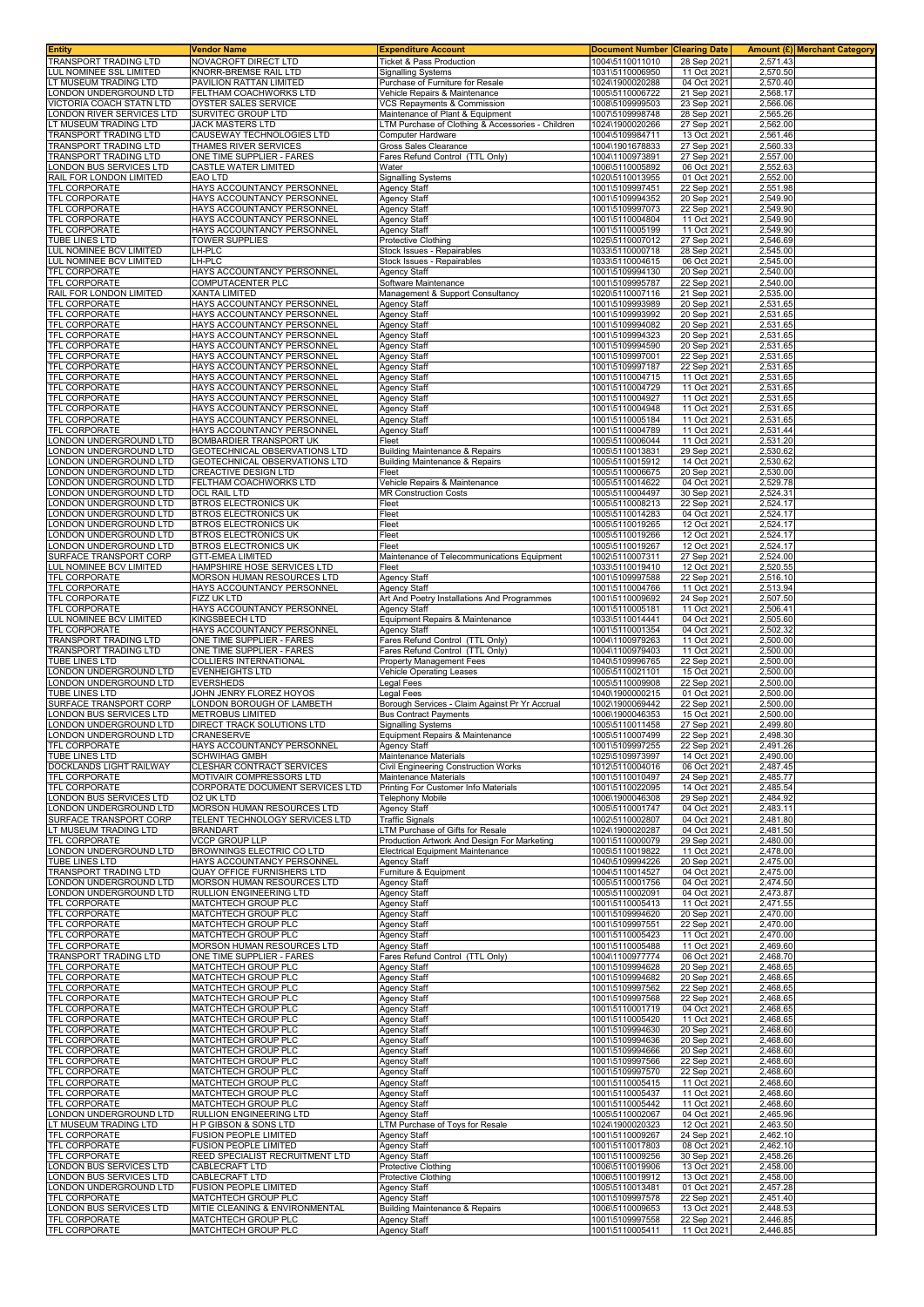| Entity                                                 | <b>Vendor Name</b>                                             | <b>Expenditure Account</b>                                                      | <b>Document Number</b>             | <b>Clearing Date</b>       |                      | Amount (£)  Merchant Category |
|--------------------------------------------------------|----------------------------------------------------------------|---------------------------------------------------------------------------------|------------------------------------|----------------------------|----------------------|-------------------------------|
| <b>TRANSPORT TRADING LTD</b>                           | NOVACROFT DIRECT LTD                                           | Ticket & Pass Production                                                        | 1004\5110011010                    | 28 Sep 2021                | 2,571.43             |                               |
| LUL NOMINEE SSL LIMITED<br>T MUSEUM TRADING LTD        | KNORR-BREMSE RAIL LTD<br>PAVILION RATTAN LIMITED               | Signalling Systems<br>Purchase of Furniture for Resale                          | 1031\5110006950<br>1024\1900020288 | 11 Oct 2021<br>04 Oct 2021 | 2,570.50<br>2,570.40 |                               |
| ONDON UNDERGROUND LTD                                  | FELTHAM COACHWORKS LTD                                         | Vehicle Repairs & Maintenance                                                   | 1005\5110006722                    | 21 Sep 2021                | 2,568.17             |                               |
| <b>/ICTORIA COACH STATN LTD</b>                        | OYSTER SALES SERVICE                                           | VCS Repayments & Commission                                                     | 1008\5109999503                    | 23 Sep 2021                | 2,566.06             |                               |
| ONDON RIVER SERVICES LTD                               | SURVITEC GROUP LTD                                             | Maintenance of Plant & Equipment                                                | 1007\5109998748                    | 28 Sep 2021                | 2,565.26             |                               |
| T MUSEUM TRADING LTD                                   | JACK MASTERS LTD                                               | TM Purchase of Clothing & Accessories - Children                                | 1024\1900020266                    | 27 Sep 2021                | 2,562.00             |                               |
| FRANSPORT TRADING LTD<br><b>FRANSPORT TRADING LTD</b>  | CAUSEWAY TECHNOLOGIES LTD<br>THAMES RIVER SERVICES             | Computer Hardware<br>Gross Sales Clearance                                      | 1004\5109984711<br>1004\1901678833 | 13 Oct 2021<br>27 Sep 202  | 2,561.46<br>2,560.33 |                               |
| <b>FRANSPORT TRADING LTD</b>                           | ONE TIME SUPPLIER - FARES                                      | Fares Refund Control (TTL Only)                                                 | 1004\1100973891                    | 27 Sep 2021                | 2,557.00             |                               |
| ONDON BUS SERVICES LTD                                 | CASTLE WATER LIMITED                                           | Water                                                                           | 1006\5110005892                    | 06 Oct 2021                | 2,552.63             |                               |
| RAIL FOR LONDON LIMITED                                | EAO LTD                                                        | Signalling Systems                                                              | 1020\5110013955                    | 01 Oct 2021                | 2,552.00             |                               |
| <b>TFL CORPORATE</b>                                   | HAYS ACCOUNTANCY PERSONNEL                                     | Agency Staff                                                                    | 1001\5109997451                    | 22 Sep 2021                | 2,551.98             |                               |
| <b>TFL CORPORATE</b><br><b>TFL CORPORATE</b>           | HAYS ACCOUNTANCY PERSONNEL<br>HAYS ACCOUNTANCY PERSONNEL       | Agency Staff<br>Agency Staff                                                    | 1001\5109994352<br>1001\5109997073 | 20 Sep 2021<br>22 Sep 2021 | 2,549.90<br>2,549.90 |                               |
| <b>TFL CORPORATE</b>                                   | <b>HAYS ACCOUNTANCY PERSONNEL</b>                              | Agency Staff                                                                    | 1001\5110004804                    | 11 Oct 2021                | 2,549.90             |                               |
| <b>TFL CORPORATE</b>                                   | HAYS ACCOUNTANCY PERSONNEL                                     | <b>Agency Staff</b>                                                             | 1001\5110005199                    | 11 Oct 2021                | 2,549.90             |                               |
| <b>TUBE LINES LTD</b><br><b>UL NOMINEE BCV LIMITED</b> | TOWER SUPPLIES<br>LH-PLC                                       | Protective Clothing<br>Stock Issues - Repairables                               | 1025\5110007012<br>1033\5110000718 | 27 Sep 2021<br>28 Sep 2021 | 2,546.69<br>2,545.00 |                               |
| LUL NOMINEE BCV LIMITED                                | LH-PLC                                                         | Stock Issues - Repairables                                                      | 1033\5110004615                    | 06 Oct 2021                | 2.545.00             |                               |
| <b>TFL CORPORATE</b>                                   | HAYS ACCOUNTANCY PERSONNEL                                     | Agency Staff                                                                    | 1001\5109994130                    | 20 Sep 2021                | 2,540.00             |                               |
| <b>FEL CORPORATE</b>                                   | <b>COMPUTACENTER PLC</b>                                       | Software Maintenance                                                            | 1001\5109995787                    | 22 Sep 2021                | 2,540.00             |                               |
| RAIL FOR LONDON LIMITED<br>TFL CORPORATE               | <b>XANTA LIMITED</b><br>HAYS ACCOUNTANCY PERSONNEL             | Management & Support Consultancy<br>Agency Staff                                | 1020\5110007116<br>1001\5109993989 | 21 Sep 2021<br>20 Sep 2021 | 2,535.00<br>2,531.65 |                               |
| TFL CORPORATE                                          | HAYS ACCOUNTANCY PERSONNEL                                     | <b>Agency Staff</b>                                                             | 1001\5109993992                    | 20 Sep 2021                | 2,531.65             |                               |
| <b>TFL CORPORATE</b>                                   | HAYS ACCOUNTANCY PERSONNEL                                     | Agency Staff                                                                    | 1001\5109994082                    | 20 Sep 2021                | 2,531.65             |                               |
| <b>TFL CORPORATE</b>                                   | HAYS ACCOUNTANCY PERSONNEL                                     | Agency Staff                                                                    | 1001\5109994323                    | 20 Sep 2021                | 2,531.65             |                               |
| <b>TFL CORPORATE</b><br><b>TFL CORPORATE</b>           | HAYS ACCOUNTANCY PERSONNEL<br>HAYS ACCOUNTANCY PERSONNEL       | <b>Agency Staff</b><br>Agency Staff                                             | 1001\5109994590<br>1001\5109997001 | 20 Sep 2021<br>22 Sep 2021 | 2,531.65<br>2,531.65 |                               |
| <b>FEL CORPORATE</b>                                   | HAYS ACCOUNTANCY PERSONNEL                                     | Agency Staff                                                                    | 1001\5109997187                    | 22 Sep 2021                | 2,531.65             |                               |
| <b>TFL CORPORATE</b>                                   | HAYS ACCOUNTANCY PERSONNEL                                     | Agency Staff                                                                    | 1001\5110004715                    | 11 Oct 2021                | 2,531.65             |                               |
| <b>TFL CORPORATE</b>                                   | HAYS ACCOUNTANCY PERSONNEL                                     | Agency Staff                                                                    | 1001\5110004729                    | 11 Oct 2021                | 2,531.65             |                               |
| <b>TFL CORPORATE</b><br><b>FEL CORPORATE</b>           | HAYS ACCOUNTANCY PERSONNEL<br>HAYS ACCOUNTANCY PERSONNEL       | Agency Staff<br><b>Agency Staff</b>                                             | 1001\5110004927<br>1001\5110004948 | 11 Oct 2021<br>11 Oct 2021 | 2,531.65<br>2,531.65 |                               |
| <b>TFL CORPORATE</b>                                   | HAYS ACCOUNTANCY PERSONNEL                                     | Agency Staff                                                                    | 1001\5110005184                    | 11 Oct 2021                | 2,531.65             |                               |
| <b>TFL CORPORATE</b>                                   | HAYS ACCOUNTANCY PERSONNEL                                     | Agency Staff                                                                    | 1001\5110004789                    | 11 Oct 2021                | 2,531.44             |                               |
| ONDON UNDERGROUND LTD                                  | <b>BOMBARDIER TRANSPORT UK</b>                                 | Fleet                                                                           | 1005\5110006044                    | 11 Oct 2021                | 2,531.20             |                               |
| ONDON UNDERGROUND LTD<br>ONDON UNDERGROUND LTD.        | GEOTECHNICAL OBSERVATIONS LTD<br>GEOTECHNICAL OBSERVATIONS LTD | <b>Building Maintenance &amp; Repairs</b><br>Building Maintenance & Repairs     | 1005\5110013831<br>1005\5110015912 | 29 Sep 2021<br>14 Oct 2021 | 2,530.62<br>2.530.62 |                               |
| ONDON UNDERGROUND LTD                                  | <b>CREACTIVE DESIGN LTD</b>                                    | Fleet                                                                           | 1005\5110006675                    | 20 Sep 2021                | 2,530.00             |                               |
| ONDON UNDERGROUND LTD.                                 | FELTHAM COACHWORKS LTD                                         | Vehicle Repairs & Maintenance                                                   | 1005\5110014622                    | 04 Oct 2021                | 2,529.78             |                               |
| ONDON UNDERGROUND LTD                                  | <b>OCL RAIL LTD</b>                                            | <b>MR Construction Costs</b>                                                    | 1005\5110004497                    | 30 Sep 2021                | 2,524.31             |                               |
| ONDON UNDERGROUND LTD<br>ONDON UNDERGROUND LTD         | <b>BTROS ELECTRONICS UK</b><br><b>BTROS ELECTRONICS UK</b>     | Fleet<br>Fleet                                                                  | 1005\5110008213<br>1005\5110014283 | 22 Sep 2021<br>04 Oct 2021 | 2,524.17<br>2,524.17 |                               |
| ONDON UNDERGROUND LTD                                  | <b>BTROS ELECTRONICS UK</b>                                    | Fleet                                                                           | 1005\5110019265                    | 12 Oct 2021                | 2,524.17             |                               |
| ONDON UNDERGROUND LTD                                  | <b>BTROS ELECTRONICS UK</b>                                    | Fleet                                                                           | 1005\5110019266                    | 12 Oct 2021                | 2,524.17             |                               |
| ONDON UNDERGROUND LTD.                                 | <b>BTROS ELECTRONICS UK</b>                                    | Fleet                                                                           | 1005\5110019267                    | 12 Oct 2021                | 2,524.17             |                               |
| SURFACE TRANSPORT CORP                                 | <b>GTT-EMEA LIMITED</b>                                        | Maintenance of Telecommunications Equipment                                     | 1002\5110007311                    | 27 Sep 2021                | 2,524.00             |                               |
| LUL NOMINEE BCV LIMITED<br><b>TFL CORPORATE</b>        | HAMPSHIRE HOSE SERVICES LTD<br>MORSON HUMAN RESOURCES LTD      | Fleet<br>Agency Staff                                                           | 1033\5110019410<br>1001\5109997588 | 12 Oct 2021<br>22 Sep 2021 | 2,520.55<br>2,516.10 |                               |
| <b>TFL CORPORATE</b>                                   | HAYS ACCOUNTANCY PERSONNEL                                     | Agency Staff                                                                    | 1001\5110004766                    | 11 Oct 2021                | 2,513.94             |                               |
| <b>FEL CORPORATE</b>                                   | FIZZ UK LTD                                                    | Art And Poetry Installations And Programmes                                     | 1001\5110009692                    | 24 Sep 2021                | 2,507.50             |                               |
| <b>FEL CORPORATE</b>                                   | HAYS ACCOUNTANCY PERSONNEL                                     | Agency Staff                                                                    | 1001\5110005181                    | 11 Oct 2021                | 2,506.41             |                               |
| LUL NOMINEE BCV LIMITED<br><b><i>TFL CORPORATE</i></b> | KINGSBEECH LTD<br>HAYS ACCOUNTANCY PERSONNEL                   | Equipment Repairs & Maintenance<br>Agency Staff                                 | 1033\5110014441<br>1001\5110001354 | 04 Oct 2021<br>04 Oct 2021 | 2,505.60<br>2,502.32 |                               |
| <b>TRANSPORT TRADING LTD</b>                           | ONE TIME SUPPLIER - FARES                                      | Fares Refund Control (TTL Only)                                                 | 1004\1100979263                    | 11 Oct 2021                | 2,500.00             |                               |
| <b>FRANSPORT TRADING LTD</b>                           | ONE TIME SUPPLIER - FARES                                      | Fares Refund Control (TTL Only)                                                 | 1004\1100979403                    | 11 Oct 2021                | 2,500.00             |                               |
| <b>TUBE LINES LTD</b>                                  | COLLIERS INTERNATIONAL                                         | Property Management Fees                                                        | 1040\5109996765                    | 22 Sep 2021                | 2,500.00             |                               |
| ONDON UNDERGROUND LTD<br>ONDON UNDERGROUND LTD         | <b>EVENHEIGHTS LTD</b><br><b>EVERSHEDS</b>                     | <b>Vehicle Operating Leases</b><br>Legal Fees                                   | 1005\5110021101<br>1005\5110009908 | 15 Oct 2021<br>22 Sep 2021 | 2,500.00<br>2,500.00 |                               |
| <b>TUBE LINES LTD</b>                                  | JOHN JENRY FLOREZ HOYOS                                        | Legal Fees                                                                      | 1040\1900000215                    | 01 Oct 2021                | 2,500.00             |                               |
| SURFACE TRANSPORT CORP                                 | LONDON BOROUGH OF LAMBETH                                      | Borough Services - Claim Against Pr Yr Accrual                                  | 1002\1900069442                    | 22 Sep 2021                | 2,500.00             |                               |
| ONDON BUS SERVICES LTD                                 | METROBUS LIMITED                                               | <b>Bus Contract Payments</b>                                                    | 1006\1900046353                    | 15 Oct 2021                | 2,500.00             |                               |
| ONDON UNDERGROUND LTD<br>ONDON UNDERGROUND LTD         | <b>DIRECT TRACK SOLUTIONS LTD</b><br>CRANESERVE                | <b>Signalling Systems</b><br>Equipment Repairs & Maintenance                    | 1005\5110011458<br>1005\5110007499 | 27 Sep 2021<br>22 Sep 2021 | 2,499.80<br>2,498.30 |                               |
| TFL CORPORATE                                          | HAYS ACCOUNTANCY PERSONNEL                                     | Agency Staff                                                                    | 1001\5109997255                    | 22 Sep 2021                | 2,491.26             |                               |
| TUBE LINES LTD                                         | <b>SCHWIHAG GMBH</b>                                           | Maintenance Materials                                                           | 1025\5109973997                    | 14 Oct 2021                | 2,490.00             |                               |
| DOCKLANDS LIGHT RAILWAY                                | CLESHAR CONTRACT SERVICES                                      | <b>Civil Engineering Construction Works</b>                                     | 1012\5110004016                    | 06 Oct 2021                | 2,487.45             |                               |
| <b>TFL CORPORATE</b><br><b>TFL CORPORATE</b>           | MOTIVAIR COMPRESSORS LTD<br>CORPORATE DOCUMENT SERVICES LTD    | Maintenance Materials<br>Printing For Customer Info Materials                   | 1001\5110010497<br>1001\5110022095 | 24 Sep 2021<br>14 Oct 2021 | 2,485.77<br>2,485.54 |                               |
| ONDON BUS SERVICES LTD                                 | O2 UK LTD                                                      | <b>Telephony Mobile</b>                                                         | 1006\1900046308                    | 29 Sep 2021                | 2,484.92             |                               |
| ONDON UNDERGROUND LTD.                                 | <b>MORSON HUMAN RESOURCES LTD</b>                              | Agency Staff                                                                    | 1005\5110001747                    | 04 Oct 2021                | 2,483.11             |                               |
| SURFACE TRANSPORT CORP                                 | TELENT TECHNOLOGY SERVICES LTD                                 | <b>Traffic Signals</b>                                                          | 1002\5110002807                    | 04 Oct 2021                | 2,481.80             |                               |
| T MUSEUM TRADING LTD<br><b>TFL CORPORATE</b>           | <b>BRANDART</b><br><b>VCCP GROUP LLP</b>                       | LTM Purchase of Gifts for Resale<br>Production Artwork And Design For Marketing | 1024\1900020287<br>1001\5110000079 | 04 Oct 2021<br>29 Sep 2021 | 2,481.50<br>2,480.00 |                               |
| ONDON UNDERGROUND LTD                                  | BROWNINGS ELECTRIC CO LTD                                      | Electrical Equipment Maintenance                                                | 1005\5110019822                    | 11 Oct 2021                | 2,478.00             |                               |
| <b>TUBE LINES LTD</b>                                  | HAYS ACCOUNTANCY PERSONNEL                                     | Agency Staff                                                                    | 1040\5109994226                    | 20 Sep 2021                | 2,475.00             |                               |
| <b>FRANSPORT TRADING LTD</b>                           | <b>QUAY OFFICE FURNISHERS LTD</b>                              | Furniture & Equipment                                                           | 1004\5110014527                    | 04 Oct 2021                | 2,475.00             |                               |
| ONDON UNDERGROUND LTD<br>ONDON UNDERGROUND LTD         | MORSON HUMAN RESOURCES LTD<br>RULLION ENGINEERING LTD          | Agency Staff<br>Agency Staff                                                    | 1005\5110001756<br>1005\5110002091 | 04 Oct 2021<br>04 Oct 2021 | 2,474.50<br>2,473.87 |                               |
| <b>TFL CORPORATE</b>                                   | MATCHTECH GROUP PLC                                            | Agency Staff                                                                    | 1001\5110005413                    | 11 Oct 2021                | 2,471.55             |                               |
| <b>TFL CORPORATE</b>                                   | MATCHTECH GROUP PLC                                            | Agency Staff                                                                    | 1001\5109994620                    | 20 Sep 2021                | 2,470.00             |                               |
| <b>TFL CORPORATE</b><br><b>TFL CORPORATE</b>           | MATCHTECH GROUP PLC<br>MATCHTECH GROUP PLC                     | Agency Staff<br>Agency Staff                                                    | 1001\5109997551<br>1001\5110005423 | 22 Sep 2021<br>11 Oct 2021 | 2,470.00<br>2,470.00 |                               |
| <b>TFL CORPORATE</b>                                   | MORSON HUMAN RESOURCES LTD                                     | <b>Agency Staff</b>                                                             | 1001\5110005488                    | 11 Oct 2021                | 2,469.60             |                               |
| <b>TRANSPORT TRADING LTD</b>                           | ONE TIME SUPPLIER - FARES                                      | Fares Refund Control (TTL Only)                                                 | 1004\1100977774                    | 06 Oct 2021                | 2,468.70             |                               |
| <b>TFL CORPORATE</b>                                   | MATCHTECH GROUP PLC                                            | Agency Staff                                                                    | 1001\5109994628                    | 20 Sep 2021                | 2,468.65             |                               |
| <b>TFL CORPORATE</b><br><b>TFL CORPORATE</b>           | MATCHTECH GROUP PLC<br><b>MATCHTECH GROUP PLC</b>              | Agency Staff<br>Agency Staff                                                    | 1001\5109994682<br>1001\5109997562 | 20 Sep 2021<br>22 Sep 2021 | 2,468.65<br>2,468.65 |                               |
| TFL CORPORATE                                          | MATCHTECH GROUP PLC                                            | Agency Staff                                                                    | 1001\5109997568                    | 22 Sep 2021                | 2,468.65             |                               |
| <b>FEL CORPORATE</b>                                   | MATCHTECH GROUP PLC                                            | Agency Staff                                                                    | 1001\5110001719                    | 04 Oct 2021                | 2,468.65             |                               |
| <b>TFL CORPORATE</b>                                   | MATCHTECH GROUP PLC                                            | Agency Staff                                                                    | 1001\5110005420                    | 11 Oct 2021                | 2,468.65             |                               |
| <b>TFL CORPORATE</b><br>TFL CORPORATE                  | <b>MATCHTECH GROUP PLC</b><br>MATCHTECH GROUP PLC              | Agency Staff<br>Agency Staff                                                    | 1001\5109994630<br>1001\5109994636 | 20 Sep 2021<br>20 Sep 2021 | 2,468.60<br>2,468.60 |                               |
| <b><i>FEL CORPORATE</i></b>                            | <b>MATCHTECH GROUP PLC</b>                                     | Agency Staff                                                                    | 1001\5109994666                    | 20 Sep 2021                | 2,468.60             |                               |
| TFL CORPORATE                                          | MATCHTECH GROUP PLC                                            | <b>Agency Staff</b>                                                             | 1001\5109997566                    | 22 Sep 2021                | 2,468.60             |                               |
| TFL CORPORATE                                          | MATCHTECH GROUP PLC                                            | Agency Staff                                                                    | 1001\5109997570                    | 22 Sep 2021                | 2,468.60             |                               |
| <b>TFL CORPORATE</b><br><b>FEL CORPORATE</b>           | MATCHTECH GROUP PLC<br>MATCHTECH GROUP PLC                     | <b>Agency Staff</b><br>Agency Staff                                             | 1001\5110005415<br>1001\5110005437 | 11 Oct 2021<br>11 Oct 2021 | 2,468.60<br>2,468.60 |                               |
| <b>TFL CORPORATE</b>                                   | MATCHTECH GROUP PLC                                            | Agency Staff                                                                    | 1001\5110005442                    | 11 Oct 2021                | 2,468.60             |                               |
| LONDON UNDERGROUND LTD                                 | RULLION ENGINEERING LTD                                        | Agency Staff                                                                    | 1005\5110002067                    | 04 Oct 2021                | 2,465.96             |                               |
| T MUSEUM TRADING LTD                                   | H P GIBSON & SONS LTD                                          | LTM Purchase of Toys for Resale                                                 | 1024\1900020323                    | 12 Oct 2021                | 2,463.50             |                               |
| <b>TFL CORPORATE</b><br>TFL CORPORATE                  | FUSION PEOPLE LIMITED<br><b>FUSION PEOPLE LIMITED</b>          | Agency Staff<br>Agency Staff                                                    | 1001\5110009267<br>1001\5110017803 | 24 Sep 2021<br>08 Oct 2021 | 2,462.10<br>2,462.10 |                               |
| <b>TFL CORPORATE</b>                                   | REED SPECIALIST RECRUITMENT LTD                                | Agency Staff                                                                    | 1001\5110009256                    | 30 Sep 2021                | 2,458.26             |                               |
| ONDON BUS SERVICES LTD                                 | CABLECRAFT LTD                                                 | Protective Clothing                                                             | 1006\5110019906                    | 13 Oct 2021                | 2,458.00             |                               |
| ONDON BUS SERVICES LTD                                 | CABLECRAFT LTD                                                 | Protective Clothing                                                             | 1006\5110019912                    | 13 Oct 2021                | 2,458.00             |                               |
| ONDON UNDERGROUND LTD<br><b>TFL CORPORATE</b>          | <b>FUSION PEOPLE LIMITED</b><br>MATCHTECH GROUP PLC            | Agency Staff<br>Agency Staff                                                    | 1005\5110013481<br>1001\5109997578 | 01 Oct 2021<br>22 Sep 2021 | 2,457.28<br>2,451.40 |                               |
| ONDON BUS SERVICES LTD                                 | MITIE CLEANING & ENVIRONMENTAL                                 | Building Maintenance & Repairs                                                  | 1006\5110009653                    | 13 Oct 2021                | 2,448.53             |                               |
| <b>TFL CORPORATE</b>                                   | MATCHTECH GROUP PLC                                            | Agency Staff                                                                    | 1001\5109997558                    | 22 Sep 2021                | 2,446.85             |                               |
| <b>TFL CORPORATE</b>                                   | MATCHTECH GROUP PLC                                            | Agency Staff                                                                    | 1001\5110005411                    | 11 Oct 2021                | 2,446.85             |                               |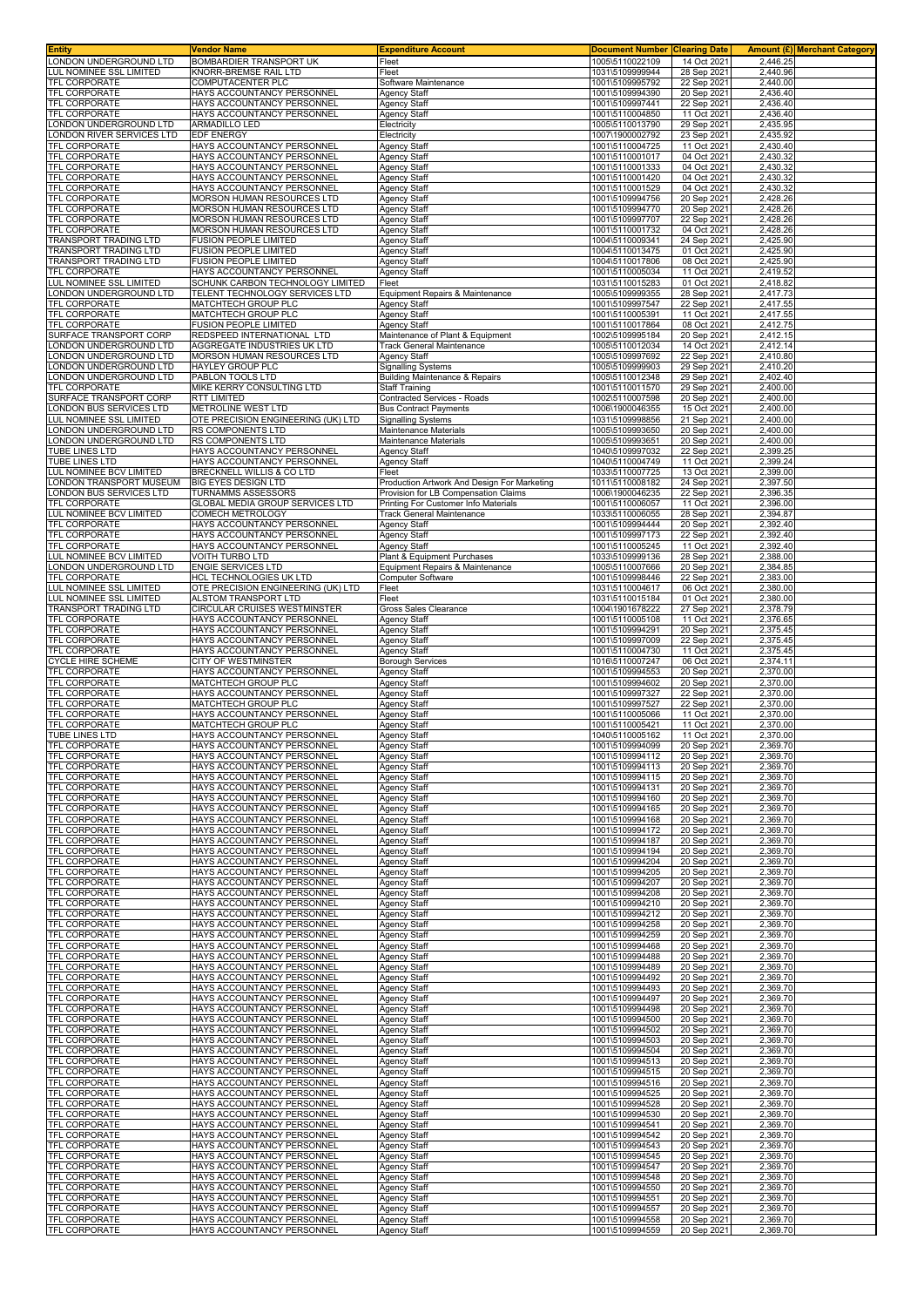| <b>Entity</b>                                    | Vendor Name                                               | <b>Expenditure Account</b>                                               | <b>Document Number</b>             | <b>Clearing Date</b>       |                      | <b>Amount (£) Merchant Category</b> |
|--------------------------------------------------|-----------------------------------------------------------|--------------------------------------------------------------------------|------------------------------------|----------------------------|----------------------|-------------------------------------|
| LONDON UNDERGROUND LTD                           | BOMBARDIER TRANSPORT UK                                   | Fleet                                                                    | 1005\5110022109                    | 14 Oct 2021                | 2.446.25             |                                     |
| LUL NOMINEE SSL LIMITED<br>TFL CORPORATE         | KNORR-BREMSE RAIL LTD<br>COMPUTACENTER PLC                | Fleet<br>Software Maintenance                                            | 1031\5109999944<br>1001\5109995792 | 28 Sep 2021<br>22 Sep 2021 | 2,440.96<br>2,440.00 |                                     |
| TFL CORPORATE                                    | HAYS ACCOUNTANCY PERSONNEI                                | <b>Agency Staff</b>                                                      | 1001\5109994390                    | 20 Sep 2021                | 2,436.40             |                                     |
| TFL CORPORATE                                    | HAYS ACCOUNTANCY PERSONNEL                                | Agency Staff                                                             | 1001\5109997441                    | 22 Sep 2021                | 2,436.40             |                                     |
| TFL CORPORATE                                    | HAYS ACCOUNTANCY PERSONNEL                                | <b>Agency Staff</b>                                                      | 1001\5110004850                    | 11 Oct 2021                | 2,436.40             |                                     |
| LONDON UNDERGROUND LTD                           | ARMADILLO LED                                             | Electricity                                                              | 1005\5110013790                    | 29 Sep 2021                | 2,435.95             |                                     |
| ONDON RIVER SERVICES LTD<br>TFL CORPORATE        | EDF ENERGY<br>HAYS ACCOUNTANCY PERSONNEL                  | Electricity<br><b>Agency Staff</b>                                       | 1007\1900002792<br>1001\5110004725 | 23 Sep 2021<br>11 Oct 2021 | 2,435.92<br>2,430.40 |                                     |
| TFL CORPORATE                                    | HAYS ACCOUNTANCY PERSONNEL                                | <b>Agency Staff</b>                                                      | 1001\5110001017                    | 04 Oct 2021                | 2,430.32             |                                     |
| TFL CORPORATE                                    | HAYS ACCOUNTANCY PERSONNEL                                | <b>Agency Staff</b>                                                      | 1001\5110001333                    | 04 Oct 2021                | 2,430.32             |                                     |
| TFL CORPORATE                                    | HAYS ACCOUNTANCY PERSONNEL                                | <b>Agency Staff</b>                                                      | 1001\5110001420                    | 04 Oct 2021                | 2,430.32             |                                     |
| TFL CORPORATE<br><b>TFL CORPORATE</b>            | HAYS ACCOUNTANCY PERSONNEL                                | <b>Agency Staff</b><br>Agency Staff                                      | 1001\5110001529<br>1001\5109994756 | 04 Oct 2021                | 2,430.32<br>2,428.26 |                                     |
| TFL CORPORATE                                    | MORSON HUMAN RESOURCES LTD<br>MORSON HUMAN RESOURCES LTD  | Agency Staff                                                             | 1001\5109994770                    | 20 Sep 2021<br>20 Sep 2021 | 2,428.26             |                                     |
| TFL CORPORATE                                    | MORSON HUMAN RESOURCES LTD                                | <b>Agency Staff</b>                                                      | 1001\5109997707                    | 22 Sep 2021                | 2,428.26             |                                     |
| TFL CORPORATE                                    | MORSON HUMAN RESOURCES LTD                                | <b>Agency Staff</b>                                                      | 1001\5110001732                    | 04 Oct 2021                | 2,428.26             |                                     |
| TRANSPORT TRADING LTD                            | <b>FUSION PEOPLE LIMITED</b>                              | <b>Agency Staff</b>                                                      | 1004\5110009341                    | 24 Sep 2021                | 2,425.90             |                                     |
| TRANSPORT TRADING LTD<br>TRANSPORT TRADING LTD   | FUSION PEOPLE LIMITED<br><b>FUSION PEOPLE LIMITED</b>     | Agency Staff<br><b>Agency Staff</b>                                      | 1004\5110013475<br>1004\5110017806 | 01 Oct 2021<br>08 Oct 2021 | 2,425.90<br>2,425.90 |                                     |
| TFL CORPORATE                                    | HAYS ACCOUNTANCY PERSONNEL                                | Agency Staff                                                             | 1001\5110005034                    | 11 Oct 2021                | 2,419.52             |                                     |
| LUL NOMINEE SSL LIMITED                          | SCHUNK CARBON TECHNOLOGY LIMITED                          | Fleet                                                                    | 1031\5110015283                    | 01 Oct 2021                | 2,418.82             |                                     |
| LONDON UNDERGROUND LTD<br>TFL CORPORATE          | TELENT TECHNOLOGY SERVICES LTD<br>MATCHTECH GROUP PLC     | Equipment Repairs & Maintenance<br><b>Agency Staff</b>                   | 1005\5109999355<br>1001\5109997547 | 28 Sep 2021<br>22 Sep 2021 | 2,417.73<br>2,417.55 |                                     |
| TFL CORPORATE                                    | MATCHTECH GROUP PLC                                       | <b>Agency Staff</b>                                                      | 1001\5110005391                    | 11 Oct 2021                | 2,417.55             |                                     |
| TFL CORPORATE                                    | FUSION PEOPLE LIMITED                                     | Agency Staff                                                             | 1001\5110017864                    | 08 Oct 2021                | 2,412.75             |                                     |
| SURFACE TRANSPORT CORP                           | REDSPEED INTERNATIONAL LTD                                | Maintenance of Plant & Equipment                                         | 1002\5109995184                    | 20 Sep 2021                | 2,412.15             |                                     |
| LONDON UNDERGROUND LTD<br>ONDON UNDERGROUND LTD  | AGGREGATE INDUSTRIES UK LTD<br>MORSON HUMAN RESOURCES LTD | <b>Track General Maintenance</b><br><b>Agency Staff</b>                  | 1005\5110012034<br>1005\5109997692 | 14 Oct 2021<br>22 Sep 2021 | 2,412.14<br>2,410.80 |                                     |
| ONDON UNDERGROUND LTD                            | HAYLEY GROUP PLC                                          | <b>Signalling Systems</b>                                                | 1005\5109999903                    | 29 Sep 2021                | 2,410.20             |                                     |
| ONDON UNDERGROUND LTD                            | PABLON TOOLS LTD                                          | <b>Building Maintenance &amp; Repairs</b>                                | 1005\5110012348                    | 29 Sep 2021                | 2,402.40             |                                     |
| <b>TFL CORPORATE</b>                             | MIKE KERRY CONSULTING LTD                                 | <b>Staff Training</b>                                                    | 1001\5110011570                    | 29 Sep 2021                | 2,400.00             |                                     |
| SURFACE TRANSPORT CORP<br>ONDON BUS SERVICES LTD | <b>RTT LIMITED</b><br>METROLINE WEST LTD                  | <b>Contracted Services - Roads</b><br><b>Bus Contract Payments</b>       | 1002\5110007598<br>1006\1900046355 | 20 Sep 2021<br>15 Oct 2021 | 2,400.00<br>2,400.00 |                                     |
| LUL NOMINEE SSL LIMITED                          | OTE PRECISION ENGINEERING (UK) LTD                        | <b>Signalling Systems</b>                                                | 1031\5109998856                    | 21 Sep 2021                | 2,400.00             |                                     |
| ONDON UNDERGROUND LTD                            | RS COMPONENTS LTD                                         | Maintenance Materials                                                    | 1005\5109993650                    | 20 Sep 2021                | 2,400.00             |                                     |
| ONDON UNDERGROUND LTD                            | RS COMPONENTS LTD                                         | Maintenance Materials                                                    | 1005\5109993651                    | 20 Sep 2021                | 2,400.00             |                                     |
| TUBE LINES LTD<br>TUBE LINES LTD                 | HAYS ACCOUNTANCY PERSONNEL<br>HAYS ACCOUNTANCY PERSONNEL  | <b>Agency Staff</b><br><b>Agency Staff</b>                               | 1040\5109997032                    | 22 Sep 2021<br>11 Oct 2021 | 2,399.25<br>2,399.24 |                                     |
| LUL NOMINEE BCV LIMITED                          | <b>BRECKNELL WILLIS &amp; CO LTD</b>                      | Fleet                                                                    | 1040\5110004749<br>1033\5110007725 | 13 Oct 2021                | 2,399.00             |                                     |
| ONDON TRANSPORT MUSEUM                           | <b>BIG EYES DESIGN LTD</b>                                | Production Artwork And Design For Marketing                              | 1011\5110008182                    | 24 Sep 2021                | 2.397.50             |                                     |
| ONDON BUS SERVICES LTD                           | TURNAMMS ASSESSORS                                        | Provision for LB Compensation Claims                                     | 1006\1900046235                    | 22 Sep 2021                | 2,396.35             |                                     |
| TFL CORPORATE<br>LUL NOMINEE BCV LIMITED         | GLOBAL MEDIA GROUP SERVICES LTD<br>COMECH METROLOGY       | Printing For Customer Info Materials<br><b>Track General Maintenance</b> | 1001\5110006057<br>1033\5110006055 | 11 Oct 2021<br>28 Sep 2021 | 2,396.00<br>2,394.87 |                                     |
| TFL CORPORATE                                    | HAYS ACCOUNTANCY PERSONNEL                                | <b>Agency Staff</b>                                                      | 1001\5109994444                    | 20 Sep 2021                | 2,392.40             |                                     |
| TFL CORPORATE                                    | HAYS ACCOUNTANCY PERSONNEL                                | <b>Agency Staff</b>                                                      | 1001\5109997173                    | 22 Sep 2021                | 2,392.40             |                                     |
| TFL CORPORATE                                    | HAYS ACCOUNTANCY PERSONNEL                                | <b>Agency Staff</b>                                                      | 1001\5110005245                    | 11 Oct 2021                | 2,392.40             |                                     |
| LUL NOMINEE BCV LIMITED                          | VOITH TURBO LTD                                           | Plant & Equipment Purchases                                              | 1033\5109999136                    | 28 Sep 2021                | 2,388.00             |                                     |
| ONDON UNDERGROUND LTD<br>TFL CORPORATE           | ENGIE SERVICES LTD<br>HCL TECHNOLOGIES UK LTD             | Equipment Repairs & Maintenance<br>Computer Software                     | 1005\5110007666<br>1001\5109998446 | 20 Sep 2021<br>22 Sep 2021 | 2,384.85<br>2,383.00 |                                     |
| LUL NOMINEE SSL LIMITED                          | OTE PRECISION ENGINEERING (UK) LTD                        | Fleet                                                                    | 1031\5110004617                    | 06 Oct 2021                | 2,380.00             |                                     |
| LUL NOMINEE SSL LIMITED                          | ALSTOM TRANSPORT LTD                                      | Fleet                                                                    | 1031\5110015184                    | 01 Oct 2021                | 2,380.00             |                                     |
| TRANSPORT TRADING LTD                            | CIRCULAR CRUISES WESTMINSTER                              | Gross Sales Clearance                                                    | 1004\1901678222                    | 27 Sep 2021                | 2,378.79             |                                     |
| TFL CORPORATE<br>TFL CORPORATE                   | HAYS ACCOUNTANCY PERSONNEL<br>HAYS ACCOUNTANCY PERSONNEL  | <b>Agency Staff</b><br><b>Agency Staff</b>                               | 1001\5110005108<br>1001\5109994291 | 11 Oct 2021<br>20 Sep 2021 | 2,376.65<br>2,375.45 |                                     |
| TFL CORPORATE                                    | HAYS ACCOUNTANCY PERSONNEL                                | <b>Agency Staff</b>                                                      | 1001\5109997009                    | 22 Sep 2021                | 2,375.45             |                                     |
| TFL CORPORATE                                    | HAYS ACCOUNTANCY PERSONNEL                                | <b>Agency Staff</b>                                                      | 1001\5110004730                    | 11 Oct 2021                | 2,375.45             |                                     |
| <b>CYCLE HIRE SCHEME</b>                         | CITY OF WESTMINSTER                                       | <b>Borough Services</b>                                                  | 1016\5110007247                    | 06 Oct 2021                | 2,374.11             |                                     |
| TFL CORPORATE<br>TFL CORPORATE                   | HAYS ACCOUNTANCY PERSONNEL<br>MATCHTECH GROUP PLC         | Agency Staff<br><b>Agency Staff</b>                                      | 1001\5109994553<br>1001\5109994602 | 20 Sep 2021<br>20 Sep 2021 | 2,370.00<br>2,370.00 |                                     |
| TFL CORPORATE                                    | HAYS ACCOUNTANCY PERSONNEL                                | <b>Agency Staff</b>                                                      | 1001\5109997327                    | 22 Sep 2021                | 2,370.00             |                                     |
| TFL CORPORATE                                    | MATCHTECH GROUP PLC                                       | <b>Agency Staff</b>                                                      | 1001\5109997527                    | 22 Sep 2021                | 2,370.00             |                                     |
| TFL CORPORATE                                    | HAYS ACCOUNTANCY PERSONNEL                                | <b>Agency Staff</b>                                                      | 1001\5110005066                    | 11 Oct 2021                | 2,370.00             |                                     |
| TFL CORPORATE<br><b>TUBE LINES LTD</b>           | MATCHTECH GROUP PLC<br>HAYS ACCOUNTANCY PERSONNEL         | Agency Staff<br><b>Agency Staff</b>                                      | 1001\5110005421<br>1040\5110005162 | 11 Oct 2021<br>11 Oct 2021 | 2.370.00<br>2,370.00 |                                     |
| TFL CORPORATE                                    | HAYS ACCOUNTANCY PERSONNEL                                | Agency Staff                                                             | 1001\5109994099                    | 20 Sep 2021                | 2.369.70             |                                     |
| TFL CORPORATE                                    | HAYS ACCOUNTANCY PERSONNEL                                | <b>Agency Staff</b>                                                      | 1001\5109994112                    | 20 Sep 2021                | 2,369.70             |                                     |
| TFL CORPORATE                                    | HAYS ACCOUNTANCY PERSONNEL                                | <b>Agency Staff</b>                                                      | 1001\5109994113                    | 20 Sep 2021                | 2.369.70             |                                     |
| TFL CORPORATE<br>TFL CORPORATE                   | HAYS ACCOUNTANCY PERSONNEL<br>HAYS ACCOUNTANCY PERSONNEL  | <b>Agency Staff</b><br><b>Agency Staff</b>                               | 1001\5109994115<br>1001\5109994131 | 20 Sep 2021<br>20 Sep 2021 | 2,369.70<br>2,369.70 |                                     |
| TFL CORPORATE                                    | HAYS ACCOUNTANCY PERSONNEL                                | <b>Agency Staff</b>                                                      | 1001\5109994160                    | 20 Sep 2021                | 2,369.70             |                                     |
| TFL CORPORATE                                    | HAYS ACCOUNTANCY PERSONNEL                                | <b>Agency Staff</b>                                                      | 1001\5109994165                    | 20 Sep 2021                | 2,369.70             |                                     |
| TFL CORPORATE                                    | HAYS ACCOUNTANCY PERSONNEL                                | <b>Agency Staff</b>                                                      | 1001\5109994168                    | 20 Sep 2021                | 2,369.70             |                                     |
| TFL CORPORATE<br>TFL CORPORATE                   | HAYS ACCOUNTANCY PERSONNEL<br>HAYS ACCOUNTANCY PERSONNEL  | <b>Agency Staff</b><br>Agency Staff                                      | 1001\5109994172<br>1001\5109994187 | 20 Sep 2021<br>20 Sep 2021 | 2,369.70<br>2,369.70 |                                     |
| TFL CORPORATE                                    | HAYS ACCOUNTANCY PERSONNEL                                | Agency Staff                                                             | 1001\5109994194                    | 20 Sep 2021                | 2,369.70             |                                     |
| TFL CORPORATE                                    | HAYS ACCOUNTANCY PERSONNEL                                | <b>Agency Staff</b>                                                      | 1001\5109994204                    | 20 Sep 2021                | 2,369.70             |                                     |
| TFL CORPORATE<br>TFL CORPORATE                   | HAYS ACCOUNTANCY PERSONNEL<br>HAYS ACCOUNTANCY PERSONNEL  | <b>Agency Staff</b>                                                      | 1001\5109994205<br>1001\5109994207 | 20 Sep 2021<br>20 Sep 2021 | 2,369.70<br>2,369.70 |                                     |
| TFL CORPORATE                                    | HAYS ACCOUNTANCY PERSONNEL                                | <b>Agency Staff</b><br><b>Agency Staff</b>                               | 1001\5109994208                    | 20 Sep 2021                | 2,369.70             |                                     |
| TFL CORPORATE                                    | HAYS ACCOUNTANCY PERSONNEL                                | <b>Agency Staff</b>                                                      | 1001\5109994210                    | 20 Sep 2021                | 2,369.70             |                                     |
| TFL CORPORATE                                    | HAYS ACCOUNTANCY PERSONNEL                                | <b>Agency Staff</b>                                                      | 1001\5109994212                    | 20 Sep 2021                | 2,369.70             |                                     |
| <b>TFL CORPORATE</b><br>TFL CORPORATE            | HAYS ACCOUNTANCY PERSONNEL<br>HAYS ACCOUNTANCY PERSONNEL  | <b>Agency Staff</b><br><b>Agency Staff</b>                               | 1001\5109994258<br>1001\5109994259 | 20 Sep 2021<br>20 Sep 2021 | 2,369.70<br>2,369.70 |                                     |
| TFL CORPORATE                                    | HAYS ACCOUNTANCY PERSONNEL                                | <b>Agency Staff</b>                                                      | 1001\5109994468                    | 20 Sep 2021                | 2,369.70             |                                     |
| TFL CORPORATE                                    | HAYS ACCOUNTANCY PERSONNEL                                | <b>Agency Staff</b>                                                      | 1001\5109994488                    | 20 Sep 2021                | 2,369.70             |                                     |
| TFL CORPORATE                                    | HAYS ACCOUNTANCY PERSONNEL                                | <b>Agency Staff</b>                                                      | 1001\5109994489                    | 20 Sep 2021                | 2,369.70             |                                     |
| TFL CORPORATE<br>TFL CORPORATE                   | HAYS ACCOUNTANCY PERSONNEL<br>HAYS ACCOUNTANCY PERSONNEL  | <b>Agency Staff</b><br><b>Agency Staff</b>                               | 1001\5109994492<br>1001\5109994493 | 20 Sep 2021<br>20 Sep 2021 | 2,369.70<br>2,369.70 |                                     |
| TFL CORPORATE                                    | HAYS ACCOUNTANCY PERSONNEL                                | <b>Agency Staff</b>                                                      | 1001\5109994497                    | 20 Sep 2021                | 2,369.70             |                                     |
| TFL CORPORATE                                    | HAYS ACCOUNTANCY PERSONNEL                                | <b>Agency Staff</b>                                                      | 1001\5109994498                    | 20 Sep 2021                | 2,369.70             |                                     |
| TFL CORPORATE                                    | HAYS ACCOUNTANCY PERSONNEL<br>HAYS ACCOUNTANCY PERSONNEL  | <b>Agency Staff</b>                                                      | 1001\5109994500                    | 20 Sep 2021                | 2,369.70             |                                     |
| TFL CORPORATE<br>TFL CORPORATE                   | HAYS ACCOUNTANCY PERSONNEL                                | <b>Agency Staff</b><br><b>Agency Staff</b>                               | 1001\5109994502<br>1001\5109994503 | 20 Sep 2021<br>20 Sep 2021 | 2,369.70<br>2,369.70 |                                     |
| TFL CORPORATE                                    | HAYS ACCOUNTANCY PERSONNEL                                | <b>Agency Staff</b>                                                      | 1001\5109994504                    | 20 Sep 2021                | 2,369.70             |                                     |
| TFL CORPORATE                                    | HAYS ACCOUNTANCY PERSONNEL                                | <b>Agency Staff</b>                                                      | 1001\5109994513                    | 20 Sep 2021                | 2,369.70             |                                     |
| TFL CORPORATE<br>TFL CORPORATE                   | HAYS ACCOUNTANCY PERSONNEL<br>HAYS ACCOUNTANCY PERSONNEL  | <b>Agency Staff</b><br>Agency Staff                                      | 1001\5109994515<br>1001\5109994516 | 20 Sep 2021<br>20 Sep 2021 | 2,369.70<br>2,369.70 |                                     |
| TFL CORPORATE                                    | HAYS ACCOUNTANCY PERSONNEL                                | Agency Staff                                                             | 1001\5109994525                    | 20 Sep 2021                | 2,369.70             |                                     |
| TFL CORPORATE                                    | HAYS ACCOUNTANCY PERSONNEL                                | <b>Agency Staff</b>                                                      | 1001\5109994528                    | 20 Sep 2021                | 2,369.70             |                                     |
| TFL CORPORATE                                    | HAYS ACCOUNTANCY PERSONNEL                                | <b>Agency Staff</b>                                                      | 1001\5109994530                    | 20 Sep 2021                | 2,369.70             |                                     |
| TFL CORPORATE<br>TFL CORPORATE                   | HAYS ACCOUNTANCY PERSONNEL<br>HAYS ACCOUNTANCY PERSONNEL  | <b>Agency Staff</b><br><b>Agency Staff</b>                               | 1001\5109994541<br>1001\5109994542 | 20 Sep 2021<br>20 Sep 2021 | 2,369.70<br>2,369.70 |                                     |
| TFL CORPORATE                                    | HAYS ACCOUNTANCY PERSONNEL                                | <b>Agency Staff</b>                                                      | 1001\5109994543                    | 20 Sep 2021                | 2,369.70             |                                     |
| TFL CORPORATE                                    | HAYS ACCOUNTANCY PERSONNEL                                | <b>Agency Staff</b>                                                      | 1001\5109994545                    | 20 Sep 2021                | 2,369.70             |                                     |
| <b>TFL CORPORATE</b>                             | HAYS ACCOUNTANCY PERSONNEL                                | <b>Agency Staff</b>                                                      | 1001\5109994547                    | 20 Sep 2021                | 2,369.70             |                                     |
| TFL CORPORATE<br>TFL CORPORATE                   | HAYS ACCOUNTANCY PERSONNEL<br>HAYS ACCOUNTANCY PERSONNEL  | <b>Agency Staff</b><br><b>Agency Staff</b>                               | 1001\5109994548<br>1001\5109994550 | 20 Sep 2021<br>20 Sep 2021 | 2,369.70<br>2,369.70 |                                     |
| TFL CORPORATE                                    | HAYS ACCOUNTANCY PERSONNEL                                | <b>Agency Staff</b>                                                      | 1001\5109994551                    | 20 Sep 2021                | 2,369.70             |                                     |
| TFL CORPORATE<br>TFL CORPORATE                   | HAYS ACCOUNTANCY PERSONNEL                                | <b>Agency Staff</b>                                                      | 1001\5109994557                    | 20 Sep 2021                | 2,369.70             |                                     |
|                                                  | HAYS ACCOUNTANCY PERSONNEL                                | <b>Agency Staff</b>                                                      | 1001\5109994558                    | 20 Sep 2021                | 2,369.70             |                                     |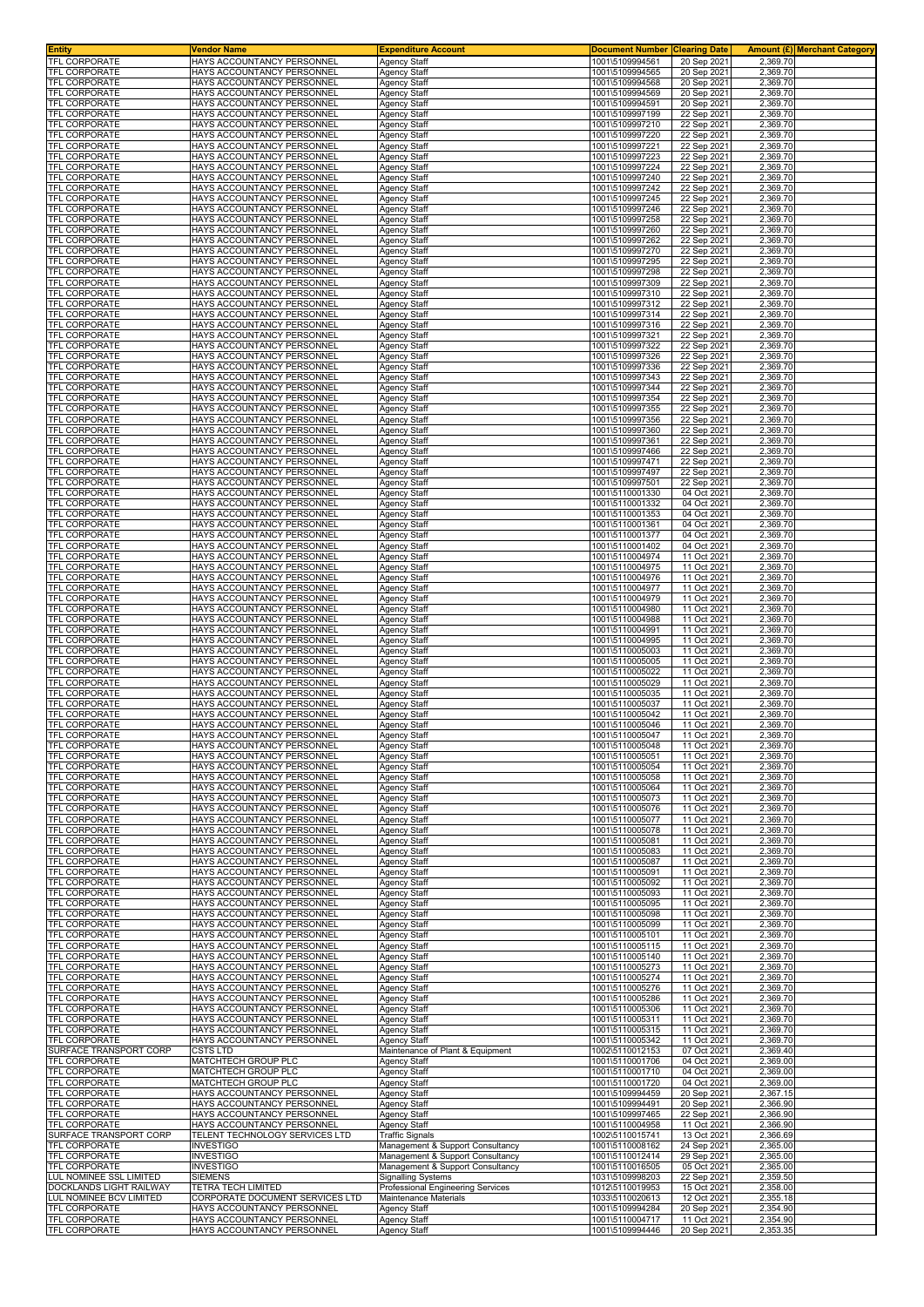| <b>Entity</b>                                | Vendor Name                                                  | <b>Expenditure Account</b>                                    | <b>Document Number</b>             | <b>Clearing Date</b>       | Amount (£) Merchant Category |
|----------------------------------------------|--------------------------------------------------------------|---------------------------------------------------------------|------------------------------------|----------------------------|------------------------------|
| <b>TFL CORPORATE</b>                         | HAYS ACCOUNTANCY PERSONNEL                                   | <b>Agency Staff</b>                                           | 1001\5109994561                    | 20 Sep 2021                | 2.369.70                     |
| TFL CORPORATE<br><b>TFL CORPORATE</b>        | HAYS ACCOUNTANCY PERSONNEL<br>HAYS ACCOUNTANCY PERSONNEL     | Agency Staff<br>Agency Staff                                  | 1001\5109994565<br>1001\5109994568 | 20 Sep 2021<br>20 Sep 2021 | 2,369.70<br>2,369.70         |
| TFL CORPORATE                                | HAYS ACCOUNTANCY PERSONNEI                                   | Agency Staff                                                  | 1001\5109994569                    | 20 Sep 2021                | 2,369.70                     |
| <b>TFL CORPORATE</b>                         | HAYS ACCOUNTANCY PERSONNEI                                   | Agency Staff                                                  | 1001\5109994591                    | 20 Sep 2021                | 2,369.70                     |
| TFL CORPORATE                                | HAYS ACCOUNTANCY PERSONNEL                                   | Agency Staff                                                  | 1001\5109997199                    | 22 Sep 2021                | 2,369.70                     |
| TFL CORPORATE                                | HAYS ACCOUNTANCY PERSONNEL                                   | Agency Staff                                                  | 1001\5109997210                    | 22 Sep 2021                | 2,369.70                     |
| TFL CORPORATE<br>TFL CORPORATE               | HAYS ACCOUNTANCY PERSONNEI<br>HAYS ACCOUNTANCY PERSONNEL     | Agency Staff<br>Agency Staff                                  | 1001\5109997220<br>1001\5109997221 | 22 Sep 2021<br>22 Sep 2021 | 2,369.70<br>2,369.70         |
| <b>TFL CORPORATE</b>                         | HAYS ACCOUNTANCY PERSONNEL                                   | Agency Staff                                                  | 1001\5109997223                    | 22 Sep 2021                | 2,369.70                     |
| TFL CORPORATE                                | HAYS ACCOUNTANCY PERSONNEL                                   | Agency Staff                                                  | 1001\5109997224                    | 22 Sep 2021                | 2,369.70                     |
| <b>TFL CORPORATE</b>                         | HAYS ACCOUNTANCY PERSONNEI                                   | Agency Staff                                                  | 1001\5109997240                    | 22 Sep 2021                | 2,369.70                     |
| TFL CORPORATE                                | HAYS ACCOUNTANCY PERSONNEL                                   | Agency Staff                                                  | 1001\5109997242                    | 22 Sep 2021                | 2,369.70                     |
| TFL CORPORATE<br><b>TFL CORPORATE</b>        | HAYS ACCOUNTANCY PERSONNEL<br>HAYS ACCOUNTANCY PERSONNEL     | Agency Staff<br><b>Agency Staff</b>                           | 1001\5109997245<br>1001\5109997246 | 22 Sep 2021<br>22 Sep 2021 | 2,369.70<br>2,369.70         |
| <b>TFL CORPORATE</b>                         | HAYS ACCOUNTANCY PERSONNEI                                   | <b>Agency Staff</b>                                           | 1001\5109997258                    | 22 Sep 2021                | 2,369.70                     |
| TFL CORPORATE                                | HAYS ACCOUNTANCY PERSONNEL                                   | Agency Staff                                                  | 1001\5109997260                    | 22 Sep 2021                | 2,369.70                     |
| <b>TFL CORPORATE</b>                         | HAYS ACCOUNTANCY PERSONNEL                                   | Agency Staff                                                  | 1001\5109997262                    | 22 Sep 2021                | 2,369.70                     |
| <b>TFL CORPORATE</b>                         | HAYS ACCOUNTANCY PERSONNEL<br>HAYS ACCOUNTANCY PERSONNEL     | <b>Agency Staff</b>                                           | 1001\5109997270<br>1001\5109997295 | 22 Sep 2021<br>22 Sep 2021 | 2,369.70<br>2,369.70         |
| <b>TFL CORPORATE</b><br>TFL CORPORATE        | HAYS ACCOUNTANCY PERSONNEL                                   | Agency Staff<br>Agency Staff                                  | 1001\5109997298                    | 22 Sep 2021                | 2,369.70                     |
| TFL CORPORATE                                | HAYS ACCOUNTANCY PERSONNEL                                   | Agency Staff                                                  | 1001\5109997309                    | 22 Sep 2021                | 2,369.70                     |
| TFL CORPORATE                                | HAYS ACCOUNTANCY PERSONNEL                                   | <b>Agency Staff</b>                                           | 1001\5109997310                    | 22 Sep 2021                | 2,369.70                     |
| <b>TFL CORPORATE</b>                         | HAYS ACCOUNTANCY PERSONNEL                                   | <b>Agency Staff</b>                                           | 1001\5109997312                    | 22 Sep 2021                | 2,369.70                     |
| <b>TFL CORPORATE</b><br><b>TFL CORPORATE</b> | HAYS ACCOUNTANCY PERSONNEI<br>HAYS ACCOUNTANCY PERSONNEL     | Agency Staff<br><b>Agency Staff</b>                           | 1001\5109997314<br>1001\5109997316 | 22 Sep 2021                | 2,369.70<br>2,369.70         |
| TFL CORPORATE                                | HAYS ACCOUNTANCY PERSONNEI                                   | Agency Staff                                                  | 1001\5109997321                    | 22 Sep 2021<br>22 Sep 2021 | 2,369.70                     |
| <b>TFL CORPORATE</b>                         | HAYS ACCOUNTANCY PERSONNEI                                   | Agency Staff                                                  | 1001\5109997322                    | 22 Sep 2021                | 2,369.70                     |
| TFL CORPORATE                                | HAYS ACCOUNTANCY PERSONNEL                                   | Agency Staff                                                  | 1001\5109997326                    | 22 Sep 2021                | 2,369.70                     |
| TFL CORPORATE                                | HAYS ACCOUNTANCY PERSONNEL                                   | Agency Staff                                                  | 1001\5109997336                    | 22 Sep 2021                | 2,369.70                     |
| TFL CORPORATE<br>TFL CORPORATE               | HAYS ACCOUNTANCY PERSONNEI<br>HAYS ACCOUNTANCY PERSONNEL     | Agency Staff<br>Agency Staff                                  | 1001\5109997343<br>1001\5109997344 | 22 Sep 2021<br>22 Sep 2021 | 2,369.70<br>2,369.70         |
| TFL CORPORATE                                | HAYS ACCOUNTANCY PERSONNEL                                   | Agency Staff                                                  | 1001\5109997354                    | 22 Sep 2021                | 2,369.70                     |
| TFL CORPORATE                                | HAYS ACCOUNTANCY PERSONNEL                                   | Agency Staff                                                  | 1001\5109997355                    | 22 Sep 2021                | 2,369.70                     |
| <b>TFL CORPORATE</b>                         | HAYS ACCOUNTANCY PERSONNEI                                   | Agency Staff                                                  | 1001\5109997356                    | 22 Sep 2021                | 2,369.70                     |
| <b>TFL CORPORATE</b>                         | HAYS ACCOUNTANCY PERSONNEL                                   | Agency Staff                                                  | 1001\5109997360                    | 22 Sep 2021                | 2,369.70                     |
| <b>TFL CORPORATE</b><br><b>TFL CORPORATE</b> | HAYS ACCOUNTANCY PERSONNEL<br>HAYS ACCOUNTANCY PERSONNEL     | <b>Agency Staff</b><br>Agency Staff                           | 1001\5109997361<br>1001\5109997466 | 22 Sep 2021<br>22 Sep 2021 | 2,369.70<br>2,369.70         |
| <b>TFL CORPORATE</b>                         | HAYS ACCOUNTANCY PERSONNEI                                   | Agency Staff                                                  | 1001\5109997471                    | 22 Sep 2021                | 2.369.70                     |
| TFL CORPORATE                                | HAYS ACCOUNTANCY PERSONNEI                                   | Agency Staff                                                  | 1001\5109997497                    | 22 Sep 2021                | 2,369.70                     |
| <b>TFL CORPORATE</b>                         | HAYS ACCOUNTANCY PERSONNEL                                   | Agency Staff                                                  | 1001\5109997501                    | 22 Sep 2021                | 2.369.70                     |
| TFL CORPORATE<br><b>TFL CORPORATE</b>        | HAYS ACCOUNTANCY PERSONNEL<br>HAYS ACCOUNTANCY PERSONNEL     | <b>Agency Staff</b><br>Agency Staff                           | 1001\5110001330<br>1001\5110001332 | 04 Oct 2021<br>04 Oct 2021 | 2,369.70<br>2,369.70         |
| TFL CORPORATE                                | HAYS ACCOUNTANCY PERSONNEL                                   | Agency Staff                                                  | 1001\5110001353                    | 04 Oct 2021                | 2,369.70                     |
| TFL CORPORATE                                | HAYS ACCOUNTANCY PERSONNEL                                   | Agency Staff                                                  | 1001\5110001361                    | 04 Oct 2021                | 2,369.70                     |
| TFL CORPORATE                                | HAYS ACCOUNTANCY PERSONNEL                                   | <b>Agency Staff</b>                                           | 1001\5110001377                    | 04 Oct 2021                | 2,369.70                     |
| TFL CORPORATE<br><b>TFL CORPORATE</b>        | HAYS ACCOUNTANCY PERSONNEL<br>HAYS ACCOUNTANCY PERSONNEI     | <b>Agency Staff</b><br>Agency Staff                           | 1001\5110001402<br>1001\5110004974 | 04 Oct 2021<br>11 Oct 2021 | 2,369.70<br>2,369.70         |
| <b>TFL CORPORATE</b>                         | HAYS ACCOUNTANCY PERSONNEL                                   | <b>Agency Staff</b>                                           | 1001\5110004975                    | 11 Oct 2021                | 2,369.70                     |
| TFL CORPORATE                                | HAYS ACCOUNTANCY PERSONNEI                                   | Agency Staff                                                  | 1001\5110004976                    | 11 Oct 2021                | 2,369.70                     |
| <b>TFL CORPORATE</b>                         | HAYS ACCOUNTANCY PERSONNEI                                   | Agency Staff                                                  | 1001\5110004977                    | 11 Oct 2021                | 2,369.70                     |
| TFL CORPORATE<br><b>TFL CORPORATE</b>        | HAYS ACCOUNTANCY PERSONNEL<br>HAYS ACCOUNTANCY PERSONNEL     | Agency Staff<br>Agency Staff                                  | 1001\5110004979<br>1001\5110004980 | 11 Oct 2021<br>11 Oct 2021 | 2,369.70<br>2,369.70         |
| <b>TFL CORPORATE</b>                         | HAYS ACCOUNTANCY PERSONNEL                                   | Agency Staff                                                  | 1001\5110004988                    | 11 Oct 2021                | 2,369.70                     |
| TFL CORPORATE                                | HAYS ACCOUNTANCY PERSONNEL                                   | Agency Staff                                                  | 1001\5110004991                    | 11 Oct 2021                | 2,369.70                     |
| TFL CORPORATE                                | HAYS ACCOUNTANCY PERSONNEL                                   | Agency Staff                                                  | 1001\5110004995                    | 11 Oct 2021                | 2,369.70                     |
| <b>TFL CORPORATE</b><br><b>TFL CORPORATE</b> | HAYS ACCOUNTANCY PERSONNEL<br>HAYS ACCOUNTANCY PERSONNEI     | Agency Staff<br>Agency Staff                                  | 1001\5110005003<br>1001\5110005005 | 11 Oct 2021<br>11 Oct 2021 | 2,369.70<br>2,369.70         |
| <b>TFL CORPORATE</b>                         | HAYS ACCOUNTANCY PERSONNEL                                   | Agency Staff                                                  | 1001\5110005022                    | 11 Oct 2021                | 2,369.70                     |
| TFL CORPORATE                                | HAYS ACCOUNTANCY PERSONNEL                                   | <b>Agency Staff</b>                                           | 1001\5110005029                    | 11 Oct 2021                | 2,369.70                     |
| <b>TFL CORPORATE</b>                         | HAYS ACCOUNTANCY PERSONNEL                                   | <b>Agency Staff</b>                                           | 1001\5110005035                    | 11 Oct 2021                | 2,369.70                     |
| <b>TFL CORPORATE</b><br>TFL CORPORATE        | HAYS ACCOUNTANCY PERSONNEI<br>HAYS ACCOUNTANCY PERSONNEI     | Agency Staff<br>Agency Staff                                  | 1001\5110005037<br>1001\5110005042 | 11 Oct 2021<br>11 Oct 2021 | 2.369.70<br>2,369.70         |
| <b>TFL CORPORATE</b>                         | HAYS ACCOUNTANCY PERSONNEL                                   | Agency Staff                                                  | 1001\5110005046                    | 11 Oct 2021                | 2.369.70                     |
| <b>TFL CORPORATE</b>                         | HAYS ACCOUNTANCY PERSONNEL                                   | <b>Agency Staff</b>                                           | 1001\5110005047                    | 11 Oct 2021                | 2,369.70                     |
| <b>TFL CORPORATE</b>                         | HAYS ACCOUNTANCY PERSONNEL                                   | <b>Agency Staff</b>                                           | 1001\5110005048                    | 11 Oct 2021                | 2,369.70                     |
| <b>TFL CORPORATE</b><br><b>TFL CORPORATE</b> | HAYS ACCOUNTANCY PERSONNEL<br>HAYS ACCOUNTANCY PERSONNEL     | <b>Agency Staff</b><br>Agency Staff                           | 1001\5110005051<br>1001\5110005054 | 11 Oct 2021<br>11 Oct 2021 | 2,369.70<br>2,369.70         |
| TFL CORPORATE                                | HAYS ACCOUNTANCY PERSONNEL                                   | <b>Agency Staff</b>                                           | 1001\5110005058                    | 11 Oct 2021                | 2,369.70                     |
| <b>TFL CORPORATE</b>                         | HAYS ACCOUNTANCY PERSONNEL                                   | <b>Agency Staff</b>                                           | 1001\5110005064                    | 11 Oct 2021                | 2.369.70                     |
| TFL CORPORATE                                | HAYS ACCOUNTANCY PERSONNEL                                   | Agency Staff                                                  | 1001\5110005073                    | 11 Oct 2021                | 2,369.70                     |
| <b>TFL CORPORATE</b><br>TFL CORPORATE        | HAYS ACCOUNTANCY PERSONNEL<br>HAYS ACCOUNTANCY PERSONNEL     | <b>Agency Staff</b><br>Agency Staff                           | 1001\5110005076<br>1001\5110005077 | 11 Oct 2021<br>11 Oct 2021 | 2,369.70<br>2,369.70         |
| TFL CORPORATE                                | HAYS ACCOUNTANCY PERSONNEL                                   | Agency Staff                                                  | 1001\5110005078                    | 11 Oct 2021                | 2,369.70                     |
| TFL CORPORATE                                | HAYS ACCOUNTANCY PERSONNEL                                   | Agency Staff                                                  | 1001\5110005081                    | 11 Oct 2021                | 2,369.70                     |
| TFL CORPORATE                                | HAYS ACCOUNTANCY PERSONNEL                                   | Agency Staff                                                  | 1001\5110005083                    | 11 Oct 2021                | 2,369.70                     |
| TFL CORPORATE<br>TFL CORPORATE               | HAYS ACCOUNTANCY PERSONNEL<br>HAYS ACCOUNTANCY PERSONNEL     | Agency Staff<br>Agency Staff                                  | 1001\5110005087<br>1001\5110005091 | 11 Oct 2021<br>11 Oct 2021 | 2,369.70<br>2,369.70         |
| TFL CORPORATE                                | HAYS ACCOUNTANCY PERSONNEL                                   | Agency Staff                                                  | 1001\5110005092                    | 11 Oct 2021                | 2,369.70                     |
| TFL CORPORATE                                | HAYS ACCOUNTANCY PERSONNEL                                   | Agency Staff                                                  | 1001\5110005093                    | 11 Oct 2021                | 2,369.70                     |
| TFL CORPORATE                                | HAYS ACCOUNTANCY PERSONNEL                                   | Agency Staff                                                  | 1001\5110005095                    | 11 Oct 2021                | 2,369.70                     |
| TFL CORPORATE<br>TFL CORPORATE               | HAYS ACCOUNTANCY PERSONNEL<br>HAYS ACCOUNTANCY PERSONNEL     | Agency Staff<br>Agency Staff                                  | 1001\5110005098<br>1001\5110005099 | 11 Oct 2021<br>11 Oct 2021 | 2,369.70<br>2,369.70         |
| <b>TFL CORPORATE</b>                         | HAYS ACCOUNTANCY PERSONNEL                                   | Agency Staff                                                  | 1001\5110005101                    | 11 Oct 2021                | 2,369.70                     |
| <b>TFL CORPORATE</b>                         | HAYS ACCOUNTANCY PERSONNEI                                   | <b>Agency Staff</b>                                           | 1001\5110005115                    | 11 Oct 2021                | 2,369.70                     |
| TFL CORPORATE                                | HAYS ACCOUNTANCY PERSONNEL                                   | Agency Staff                                                  | 1001\5110005140                    | 11 Oct 2021                | 2,369.70                     |
| <b>TFL CORPORATE</b><br>TFL CORPORATE        | HAYS ACCOUNTANCY PERSONNEL<br>HAYS ACCOUNTANCY PERSONNEL     | Agency Staff<br><b>Agency Staff</b>                           | 1001\5110005273<br>1001\5110005274 | 11 Oct 2021<br>11 Oct 2021 | 2,369.70<br>2,369.70         |
| <b>TFL CORPORATE</b>                         | HAYS ACCOUNTANCY PERSONNEL                                   | <b>Agency Staff</b>                                           | 1001\5110005276                    | 11 Oct 2021                | 2,369.70                     |
| TFL CORPORATE                                | HAYS ACCOUNTANCY PERSONNEL                                   | <b>Agency Staff</b>                                           | 1001\5110005286                    | 11 Oct 2021                | 2,369.70                     |
| TFL CORPORATE                                | HAYS ACCOUNTANCY PERSONNEL                                   | Agency Staff                                                  | 1001\5110005306                    | 11 Oct 2021                | 2,369.70                     |
| TFL CORPORATE<br>TFL CORPORATE               | HAYS ACCOUNTANCY PERSONNEL<br>HAYS ACCOUNTANCY PERSONNEL     | Agency Staff<br><b>Agency Staff</b>                           | 1001\5110005311<br>1001\5110005315 | 11 Oct 2021<br>11 Oct 2021 | 2,369.70<br>2,369.70         |
| TFL CORPORATE                                | HAYS ACCOUNTANCY PERSONNEL                                   | Agency Staff                                                  | 1001\5110005342                    | 11 Oct 2021                | 2,369.70                     |
| SURFACE TRANSPORT CORP                       | CSTS LTD                                                     | Maintenance of Plant & Equipment                              | 1002\5110012153                    | 07 Oct 2021                | 2,369.40                     |
| TFL CORPORATE                                | MATCHTECH GROUP PLC                                          | Agency Staff                                                  | 1001\5110001706                    | 04 Oct 2021                | 2,369.00                     |
| TFL CORPORATE<br>TFL CORPORATE               | MATCHTECH GROUP PLC<br>MATCHTECH GROUP PLC                   | Agency Staff<br>Agency Staff                                  | 1001\5110001710<br>1001\5110001720 | 04 Oct 2021<br>04 Oct 2021 | 2,369.00<br>2,369.00         |
| TFL CORPORATE                                | HAYS ACCOUNTANCY PERSONNEL                                   | Agency Staff                                                  | 1001\5109994459                    | 20 Sep 2021                | 2,367.15                     |
| TFL CORPORATE                                | HAYS ACCOUNTANCY PERSONNEL                                   | Agency Staff                                                  | 1001\5109994491                    | 20 Sep 2021                | 2,366.90                     |
| TFL CORPORATE                                | HAYS ACCOUNTANCY PERSONNEL                                   | Agency Staff                                                  | 1001\5109997465                    | 22 Sep 2021                | 2,366.90                     |
| TFL CORPORATE<br>SURFACE TRANSPORT CORP      | HAYS ACCOUNTANCY PERSONNEL<br>TELENT TECHNOLOGY SERVICES LTD | Agency Staff<br><b>Traffic Signals</b>                        | 1001\5110004958<br>1002\5110015741 | 11 Oct 2021<br>13 Oct 2021 | 2,366.90<br>2,366.69         |
| <b>TFL CORPORATE</b>                         | INVESTIGO                                                    | Management & Support Consultancy                              | 1001\5110008162                    | 24 Sep 2021                | 2,365.00                     |
| TFL CORPORATE                                | <b>INVESTIGO</b>                                             | Management & Support Consultancy                              | 1001\5110012414                    | 29 Sep 2021                | 2,365.00                     |
| TFL CORPORATE<br>LUL NOMINEE SSL LIMITED     | INVESTIGO<br>SIEMENS                                         | Management & Support Consultancy<br><b>Signalling Systems</b> | 1001\5110016505<br>1031\5109998203 | 05 Oct 2021<br>22 Sep 2021 | 2,365.00<br>2,359.50         |
| DOCKLANDS LIGHT RAILWAY                      | TETRA TECH LIMITED                                           | Professional Engineering Services                             | 1012\5110019953                    | 15 Oct 2021                | 2,358.00                     |
| <b>UL NOMINEE BCV LIMITED</b>                | CORPORATE DOCUMENT SERVICES LTD                              | Maintenance Materials                                         | 1033\5110020613                    | 12 Oct 2021                | 2,355.18                     |
| TFL CORPORATE                                | HAYS ACCOUNTANCY PERSONNEL                                   | Agency Staff                                                  | 1001\5109994284                    | 20 Sep 2021                | 2,354.90                     |
| TFL CORPORATE<br><b>TFL CORPORATE</b>        | HAYS ACCOUNTANCY PERSONNEL<br>HAYS ACCOUNTANCY PERSONNEL     | <b>Agency Staff</b><br><b>Agency Staff</b>                    | 1001\5110004717<br>1001\5109994446 | 11 Oct 2021<br>20 Sep 2021 | 2,354.90<br>2,353.35         |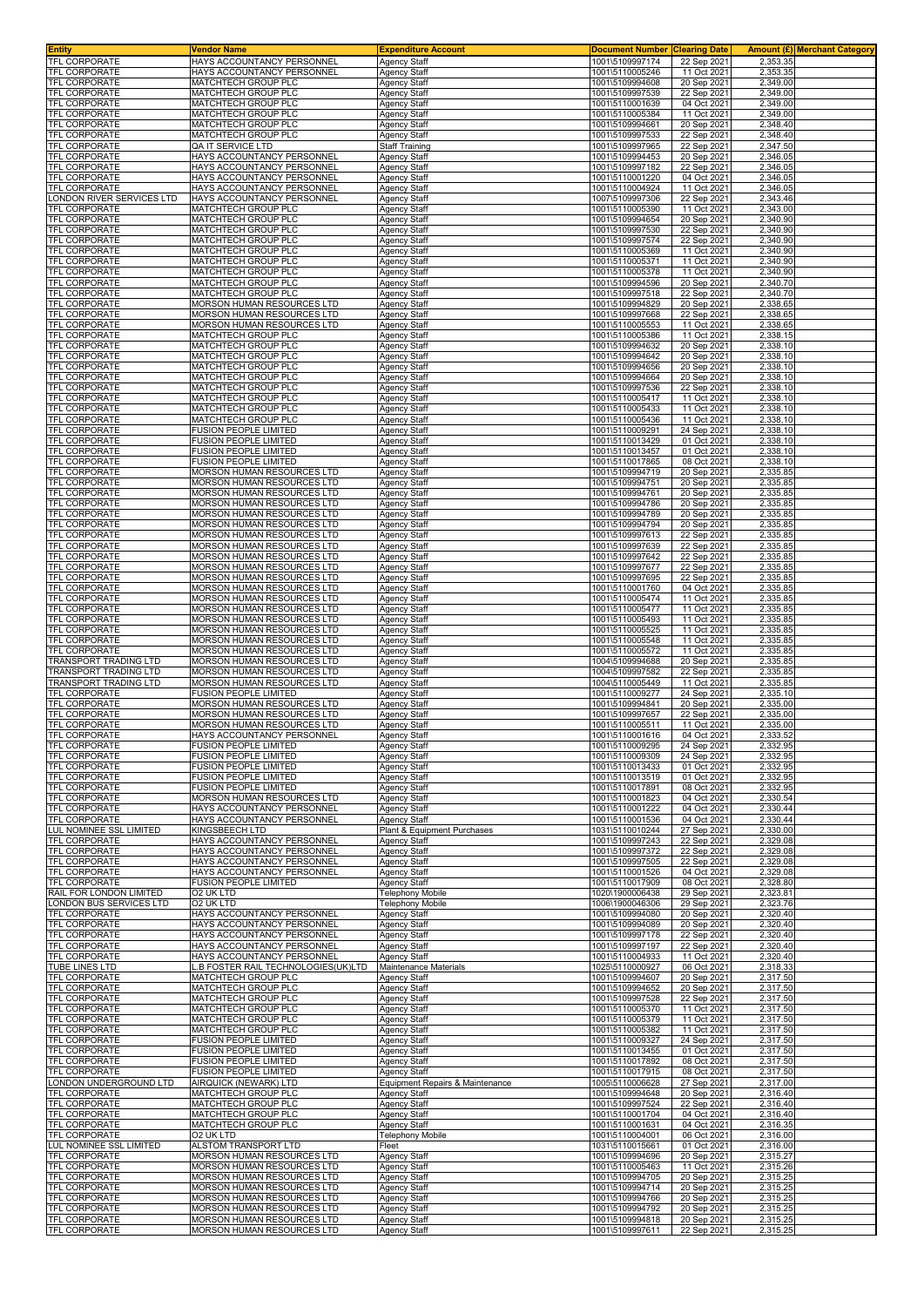| <b>Entity</b>                                     | Vendor Name                                                  | <b>Expenditure Account</b>                         | <b>Document Number</b>             | <b>Clearing Date</b>       |                      | Amount (£) Merchant Category |
|---------------------------------------------------|--------------------------------------------------------------|----------------------------------------------------|------------------------------------|----------------------------|----------------------|------------------------------|
| <b>TFL CORPORATE</b>                              | HAYS ACCOUNTANCY PERSONNEL                                   | <b>Agency Staff</b>                                | 1001\5109997174                    | 22 Sep 2021                | 2.353.35             |                              |
| <b>TFL CORPORATE</b><br><b>TFL CORPORATE</b>      | HAYS ACCOUNTANCY PERSONNEL<br>MATCHTECH GROUP PLC            | <b>Agency Staff</b>                                | 1001\5110005246                    | 11 Oct 202                 | 2,353.35             |                              |
| TFL CORPORATE                                     | MATCHTECH GROUP PLC                                          | <b>Agency Staff</b><br><b>Agency Staff</b>         | 1001\5109994608<br>1001\5109997539 | 20 Sep 202<br>22 Sep 2021  | 2,349.00<br>2,349.00 |                              |
| TFL CORPORATE                                     | MATCHTECH GROUP PLC                                          | <b>Agency Staff</b>                                | 1001\5110001639                    | 04 Oct 2021                | 2,349.00             |                              |
| TFL CORPORATE                                     | MATCHTECH GROUP PLC                                          | <b>Agency Staff</b>                                | 1001\5110005384                    | 11 Oct 2021                | 2,349.00             |                              |
| TFL CORPORATE                                     | MATCHTECH GROUP PLC                                          | Agency Staff                                       | 1001\5109994661                    | 20 Sep 2021                | 2,348.40             |                              |
| TFL CORPORATE                                     | MATCHTECH GROUP PLC                                          | Agency Staff                                       | 1001\5109997533                    | 22 Sep 2021                | 2,348.40             |                              |
| TFL CORPORATE                                     | QA IT SERVICE LTD                                            | <b>Staff Training</b>                              | 1001\5109997965                    | 22 Sep 202                 | 2,347.50             |                              |
| <b>TFL CORPORATE</b><br>TFL CORPORATE             | HAYS ACCOUNTANCY PERSONNEL<br>HAYS ACCOUNTANCY PERSONNEL     | Agency Staff                                       | 1001\5109994453                    | 20 Sep 2021<br>22 Sep 2021 | 2,346.05<br>2,346.05 |                              |
| <b>TFL CORPORATE</b>                              | HAYS ACCOUNTANCY PERSONNEL                                   | <b>Agency Staff</b><br>Agency Staff                | 1001\5109997182<br>1001\5110001220 | 04 Oct 2021                | 2,346.05             |                              |
| TFL CORPORATE                                     | HAYS ACCOUNTANCY PERSONNEL                                   | <b>Agency Staff</b>                                | 1001\5110004924                    | 11 Oct 2021                | 2,346.05             |                              |
| ONDON RIVER SERVICES LTD                          | HAYS ACCOUNTANCY PERSONNEL                                   | <b>Agency Staff</b>                                | 1007\5109997306                    | 22 Sep 2021                | 2,343.46             |                              |
| TFL CORPORATE                                     | MATCHTECH GROUP PLC                                          | <b>Agency Staff</b>                                | 1001\5110005390                    | 11 Oct 2021                | 2,343.00             |                              |
| <b>TFL CORPORATE</b>                              | <b>MATCHTECH GROUP PLC</b>                                   | <b>Agency Staff</b>                                | 1001\5109994654                    | 20 Sep 2021                | 2,340.90             |                              |
| TFL CORPORATE                                     | MATCHTECH GROUP PLC                                          | Agency Staff                                       | 1001\5109997530                    | 22 Sep 202                 | 2,340.90             |                              |
| <b>TFL CORPORATE</b><br>TFL CORPORATE             | <b>MATCHTECH GROUP PLC</b><br>MATCHTECH GROUP PLC            | <b>Agency Staff</b><br><b>Agency Staff</b>         | 1001\5109997574<br>1001\5110005369 | 22 Sep 2021<br>11 Oct 2021 | 2,340.90<br>2,340.90 |                              |
| <b>TFL CORPORATE</b>                              | <b>MATCHTECH GROUP PLC</b>                                   | <b>Agency Staff</b>                                | 1001\5110005371                    | 11 Oct 202                 | 2,340.90             |                              |
| <b>TFL CORPORATE</b>                              | MATCHTECH GROUP PLC                                          | Agency Staff                                       | 1001\5110005378                    | 11 Oct 2021                | 2,340.90             |                              |
| TFL CORPORATE                                     | MATCHTECH GROUP PLC                                          | <b>Agency Staff</b>                                | 1001\5109994596                    | 20 Sep 2021                | 2,340.70             |                              |
| TFL CORPORATE                                     | MATCHTECH GROUP PLC                                          | <b>Agency Staff</b>                                | 1001\5109997518                    | 22 Sep 2021                | 2,340.70             |                              |
| <b>TFL CORPORATE</b>                              | MORSON HUMAN RESOURCES LTD                                   | <b>Agency Staff</b>                                | 1001\5109994829                    | 20 Sep 202                 | 2,338.65             |                              |
| TFL CORPORATE<br><b>TFL CORPORATE</b>             | MORSON HUMAN RESOURCES LTD<br>MORSON HUMAN RESOURCES LTD     | <b>Agency Staff</b><br><b>Agency Staff</b>         | 1001\5109997668<br>1001\5110005553 | 22 Sep 2021<br>11 Oct 2021 | 2,338.65<br>2,338.65 |                              |
| TFL CORPORATE                                     | MATCHTECH GROUP PLC                                          | <b>Agency Staff</b>                                | 1001\5110005386                    | 11 Oct 2021                | 2,338.15             |                              |
| <b>TFL CORPORATE</b>                              | MATCHTECH GROUP PLC                                          | <b>Agency Staff</b>                                | 1001\5109994632                    | 20 Sep 202                 | 2,338.10             |                              |
| TFL CORPORATE                                     | MATCHTECH GROUP PLC                                          | <b>Agency Staff</b>                                | 1001\5109994642                    | 20 Sep 202                 | 2,338.10             |                              |
| <b>TFL CORPORATE</b>                              | MATCHTECH GROUP PLC                                          | Agency Staff                                       | 1001\5109994656                    | 20 Sep 2021                | 2,338.10             |                              |
| <b>TFL CORPORATE</b>                              | MATCHTECH GROUP PLC                                          | Agency Staff                                       | 1001\5109994664                    | 20 Sep 202                 | 2,338.10             |                              |
| TFL CORPORATE                                     | MATCHTECH GROUP PLC                                          | Agency Staff                                       | 1001\5109997536                    | 22 Sep 2021                | 2,338.10             |                              |
| TFL CORPORATE<br>TFL CORPORATE                    | MATCHTECH GROUP PLC<br>MATCHTECH GROUP PLC                   | <b>Agency Staff</b><br>Agency Staff                | 1001\5110005417<br>1001\5110005433 | 11 Oct 2021<br>11 Oct 2021 | 2,338.10<br>2,338.10 |                              |
| <b>TFL CORPORATE</b>                              | MATCHTECH GROUP PLC                                          | Agency Staff                                       | 1001\5110005436                    | 11 Oct 202                 | 2,338.10             |                              |
| TFL CORPORATE                                     | <b>FUSION PEOPLE LIMITED</b>                                 | <b>Agency Staff</b>                                | 1001\5110009291                    | 24 Sep 2021                | 2,338.10             |                              |
| TFL CORPORATE                                     | FUSION PEOPLE LIMITED                                        | Agency Staff                                       | 1001\5110013429                    | 01 Oct 2021                | 2,338.10             |                              |
| TFL CORPORATE                                     | FUSION PEOPLE LIMITED                                        | <b>Agency Staff</b>                                | 1001\5110013457                    | 01 Oct 2021                | 2,338.10             |                              |
| <b>TFL CORPORATE</b>                              | <b>FUSION PEOPLE LIMITED</b>                                 | <b>Agency Staff</b>                                | 1001\5110017865                    | 08 Oct 202                 | 2.338.10             |                              |
| TFL CORPORATE                                     | MORSON HUMAN RESOURCES LTD                                   | <b>Agency Staff</b>                                | 1001\5109994719                    | 20 Sep 202                 | 2,335.85             |                              |
| <b>TFL CORPORATE</b><br>TFL CORPORATE             | MORSON HUMAN RESOURCES LTD<br>MORSON HUMAN RESOURCES LTD     | <b>Agency Staff</b>                                | 1001\5109994751<br>1001\5109994761 | 20 Sep 2021<br>20 Sep 2021 | 2,335.85<br>2,335.85 |                              |
| <b>TFL CORPORATE</b>                              | MORSON HUMAN RESOURCES LTD                                   | <b>Agency Staff</b><br><b>Agency Staff</b>         | 1001\5109994786                    | 20 Sep 202                 | 2,335.85             |                              |
| <b>TFL CORPORATE</b>                              | MORSON HUMAN RESOURCES LTD                                   | <b>Agency Staff</b>                                | 1001\5109994789                    | 20 Sep 2021                | 2,335.85             |                              |
| TFL CORPORATE                                     | MORSON HUMAN RESOURCES LTD                                   | <b>Agency Staff</b>                                | 1001\5109994794                    | 20 Sep 2021                | 2,335.85             |                              |
| <b>TFL CORPORATE</b>                              | MORSON HUMAN RESOURCES LTD                                   | <b>Agency Staff</b>                                | 1001\5109997613                    | 22 Sep 202                 | 2,335.85             |                              |
| <b>TFL CORPORATE</b>                              | MORSON HUMAN RESOURCES LTD                                   | <b>Agency Staff</b>                                | 1001\5109997639                    | 22 Sep 202                 | 2,335.85             |                              |
| TFL CORPORATE                                     | MORSON HUMAN RESOURCES LTD                                   | <b>Agency Staff</b>                                | 1001\5109997642                    | 22 Sep 2021                | 2,335.85             |                              |
| <b>TFL CORPORATE</b>                              | MORSON HUMAN RESOURCES LTD                                   | <b>Agency Staff</b>                                | 1001\5109997677                    | 22 Sep 202                 | 2,335.85             |                              |
| TFL CORPORATE<br><b>TFL CORPORATE</b>             | MORSON HUMAN RESOURCES LTD<br>MORSON HUMAN RESOURCES LTD     | <b>Agency Staff</b><br><b>Agency Staff</b>         | 1001\5109997695<br>1001\5110001760 | 22 Sep 202<br>04 Oct 2021  | 2,335.85<br>2,335.85 |                              |
| TFL CORPORATE                                     | MORSON HUMAN RESOURCES LTD                                   | <b>Agency Staff</b>                                | 1001\5110005474                    | 11 Oct 2021                | 2,335.85             |                              |
| TFL CORPORATE                                     | MORSON HUMAN RESOURCES LTD                                   | Agency Staff                                       | 1001\5110005477                    | 11 Oct 2021                | 2,335.85             |                              |
| <b>TFL CORPORATE</b>                              | MORSON HUMAN RESOURCES LTD                                   | Agency Staff                                       | 1001\5110005493                    | 11 Oct 2021                | 2,335.85             |                              |
| TFL CORPORATE                                     | MORSON HUMAN RESOURCES LTD                                   | <b>Agency Staff</b>                                | 1001\5110005525                    | 11 Oct 2021                | 2,335.85             |                              |
| TFL CORPORATE                                     | MORSON HUMAN RESOURCES LTD                                   | <b>Agency Staff</b>                                | 1001\5110005548                    | 11 Oct 2021                | 2,335.85             |                              |
| TFL CORPORATE                                     | MORSON HUMAN RESOURCES LTD                                   | <b>Agency Staff</b>                                | 1001\5110005572                    | 11 Oct 2021<br>20 Sep 202  | 2,335.85             |                              |
| TRANSPORT TRADING LTD<br>TRANSPORT TRADING LTD    | MORSON HUMAN RESOURCES LTD<br>MORSON HUMAN RESOURCES LTD     | Agency Staff<br><b>Agency Staff</b>                | 1004\5109994688<br>1004\5109997582 | 22 Sep 2021                | 2,335.85<br>2,335.85 |                              |
| TRANSPORT TRADING LTD                             | MORSON HUMAN RESOURCES LTD                                   | <b>Agency Staff</b>                                | 1004\5110005449                    | 11 Oct 2021                | 2,335.85             |                              |
| TFL CORPORATE                                     | FUSION PEOPLE LIMITED                                        | <b>Agency Staff</b>                                | 1001\5110009277                    | 24 Sep 2021                | 2,335.10             |                              |
| <b>TFL CORPORATE</b>                              | MORSON HUMAN RESOURCES LTD                                   | <b>Agency Staff</b>                                | 1001\5109994841                    | 20 Sep 202                 | 2,335.00             |                              |
| TFL CORPORATE                                     | MORSON HUMAN RESOURCES LTD                                   | <b>Agency Staff</b>                                | 1001\5109997657                    | 22 Sep 2021                | 2,335.00             |                              |
| <b>TFL CORPORATE</b>                              | MORSON HUMAN RESOURCES LTD                                   | <b>Agency Staff</b>                                | 1001\5110005511                    | 11 Oct 2021                | 2,335.00             |                              |
| <b>TFL CORPORATE</b>                              | HAYS ACCOUNTANCY PERSONNEL                                   | <b>Agency Staff</b>                                | 1001\5110001616                    | 04 Oct 2021                | 2,333.52             |                              |
| <b>TFL CORPORATE</b><br><b>TFL CORPORATE</b>      | FUSION PEOPLE LIMITED<br><b>FUSION PEOPLE LIMITED</b>        | Agency Staff<br><b>Agency Staff</b>                | 1001\5110009295<br>1001\5110009309 | 24 Sep 2021<br>24 Sep 2021 | 2,332.95<br>2,332.95 |                              |
| <b>TFL CORPORATE</b>                              | <b>FUSION PEOPLE LIMITED</b>                                 | <b>Agency Staff</b>                                | 1001\5110013433                    | 01 Oct 2021                | 2,332.95             |                              |
| <b>TFL CORPORATE</b>                              | FUSION PEOPLE LIMITED                                        | Agency Staff                                       | 1001\5110013519                    | 01 Oct 2021                | 2,332.95             |                              |
| TFL CORPORATE                                     | <b>FUSION PEOPLE LIMITED</b>                                 | <b>Agency Staff</b>                                | 1001\5110017891                    | 08 Oct 2021                | 2.332.95             |                              |
| TFL CORPORATE                                     | MORSON HUMAN RESOURCES LTD                                   | <b>Agency Staff</b>                                | 1001\5110001823                    | 04 Oct 2021                | 2,330.54             |                              |
| TFL CORPORATE                                     | HAYS ACCOUNTANCY PERSONNEL                                   | <b>Agency Staff</b>                                | 1001\5110001222                    | 04 Oct 2021                | 2,330.44             |                              |
| TFL CORPORATE<br>LUL NOMINEE SSL LIMITED          | HAYS ACCOUNTANCY PERSONNEL<br>KINGSBEECH LTD                 | Agency Staff<br>Plant & Equipment Purchases        | 1001\5110001536<br>1031\5110010244 | 04 Oct 2021<br>27 Sep 2021 | 2,330.44<br>2,330.00 |                              |
| TFL CORPORATE                                     | HAYS ACCOUNTANCY PERSONNEL                                   | <b>Agency Staff</b>                                | 1001\5109997243                    | 22 Sep 202                 | 2,329.08             |                              |
| TFL CORPORATE                                     | HAYS ACCOUNTANCY PERSONNEL                                   | <b>Agency Staff</b>                                | 1001\5109997372                    | 22 Sep 2021                | 2,329.08             |                              |
| <b>TFL CORPORATE</b>                              | HAYS ACCOUNTANCY PERSONNEL                                   | <b>Agency Staff</b>                                | 1001\5109997505                    | 22 Sep 202                 | 2,329.08             |                              |
| <b>TFL CORPORATE</b>                              | HAYS ACCOUNTANCY PERSONNEL                                   | <b>Agency Staff</b>                                | 1001\5110001526                    | 04 Oct 2021                | 2,329.08             |                              |
| TFL CORPORATE                                     | FUSION PEOPLE LIMITED                                        | <b>Agency Staff</b>                                | 1001\5110017909                    | 08 Oct 2021                | 2,328.80             |                              |
| RAIL FOR LONDON LIMITED<br>ONDON BUS SERVICES LTD | 02 UK LTD<br>O2 UK LTD                                       | <b>Telephony Mobile</b><br><b>Telephony Mobile</b> | 1020\1900006438<br>1006\1900046306 | 29 Sep 2021                | 2,323.81<br>2,323.76 |                              |
| TFL CORPORATE                                     | HAYS ACCOUNTANCY PERSONNEL                                   | <b>Agency Staff</b>                                | 1001\5109994080                    | 29 Sep 2021<br>20 Sep 2021 | 2,320.40             |                              |
| TFL CORPORATE                                     | HAYS ACCOUNTANCY PERSONNEL                                   | <b>Agency Staff</b>                                | 1001\5109994089                    | 20 Sep 2021                | 2,320.40             |                              |
| <b>TFL CORPORATE</b>                              | HAYS ACCOUNTANCY PERSONNEL                                   | <b>Agency Staff</b>                                | 1001\5109997178                    | 22 Sep 2021                | 2,320.40             |                              |
| <b>TFL CORPORATE</b>                              | HAYS ACCOUNTANCY PERSONNEL                                   | <b>Agency Staff</b>                                | 1001\5109997197                    | 22 Sep 2021                | 2,320.40             |                              |
| TFL CORPORATE                                     | HAYS ACCOUNTANCY PERSONNEL                                   | <b>Agency Staff</b>                                | 1001\5110004933                    | 11 Oct 2021                | 2,320.40             |                              |
| TUBE LINES LTD                                    | L.B FOSTER RAIL TECHNOLOGIES(UK)LTD                          | Maintenance Materials                              | 1025\5110000927                    | 06 Oct 2021                | 2,318.33             |                              |
| TFL CORPORATE<br><b>TFL CORPORATE</b>             | MATCHTECH GROUP PLC<br>MATCHTECH GROUP PLC                   | <b>Agency Staff</b><br><b>Agency Staff</b>         | 1001\5109994607<br>1001\5109994652 | 20 Sep 2021<br>20 Sep 2021 | 2,317.50<br>2,317.50 |                              |
| TFL CORPORATE                                     | MATCHTECH GROUP PLC                                          | <b>Agency Staff</b>                                | 1001\5109997528                    | 22 Sep 202                 | 2,317.50             |                              |
| TFL CORPORATE                                     | MATCHTECH GROUP PLC                                          | <b>Agency Staff</b>                                | 1001\5110005370                    | 11 Oct 2021                | 2,317.50             |                              |
| TFL CORPORATE                                     | MATCHTECH GROUP PLC                                          | <b>Agency Staff</b>                                | 1001\5110005379                    | 11 Oct 2021                | 2,317.50             |                              |
| <b>TFL CORPORATE</b>                              | MATCHTECH GROUP PLC                                          | <b>Agency Staff</b>                                | 1001\5110005382                    | 11 Oct 2021                | 2,317.50             |                              |
| TFL CORPORATE                                     | FUSION PEOPLE LIMITED                                        | <b>Agency Staff</b>                                | 1001\5110009327                    | 24 Sep 202                 | 2,317.50             |                              |
| <b>TFL CORPORATE</b>                              | <b>FUSION PEOPLE LIMITED</b>                                 | <b>Agency Staff</b><br>Agency Staff                | 1001\5110013455<br>1001\5110017892 | 01 Oct 2021                | 2,317.50<br>2,317.50 |                              |
| TFL CORPORATE<br><b>TFL CORPORATE</b>             | <b>FUSION PEOPLE LIMITED</b><br><b>FUSION PEOPLE LIMITED</b> | <b>Agency Staff</b>                                | 1001\5110017915                    | 08 Oct 2021<br>08 Oct 2021 | 2,317.50             |                              |
| ONDON UNDERGROUND LTD                             | AIRQUICK (NEWARK) LTD                                        | Equipment Repairs & Maintenance                    | 1005\5110006628                    | 27 Sep 2021                | 2,317.00             |                              |
| TFL CORPORATE                                     | MATCHTECH GROUP PLC                                          | <b>Agency Staff</b>                                | 1001\5109994648                    | 20 Sep 2021                | 2,316.40             |                              |
| TFL CORPORATE                                     | MATCHTECH GROUP PLC                                          | <b>Agency Staff</b>                                | 1001\5109997524                    | 22 Sep 2021                | 2,316.40             |                              |
| TFL CORPORATE                                     | MATCHTECH GROUP PLC                                          | <b>Agency Staff</b>                                | 1001\5110001704                    | 04 Oct 2021                | 2,316.40             |                              |
| TFL CORPORATE                                     | MATCHTECH GROUP PLC                                          | <b>Agency Staff</b>                                | 1001\5110001631                    | 04 Oct 2021                | 2,316.35             |                              |
| TFL CORPORATE                                     | O2 UK LTD                                                    | <b>Telephony Mobile</b>                            | 1001\5110004001                    | 06 Oct 2021                | 2,316.00             |                              |
| LUL NOMINEE SSL LIMITED<br>TFL CORPORATE          | ALSTOM TRANSPORT LTD<br>MORSON HUMAN RESOURCES LTD           | Fleet<br><b>Agency Staff</b>                       | 1031\5110015661<br>1001\5109994696 | 01 Oct 2021<br>20 Sep 2021 | 2,316.00<br>2,315.27 |                              |
| TFL CORPORATE                                     | MORSON HUMAN RESOURCES LTD                                   | <b>Agency Staff</b>                                | 1001\5110005463                    | 11 Oct 2021                | 2,315.26             |                              |
| TFL CORPORATE                                     | MORSON HUMAN RESOURCES LTD                                   | <b>Agency Staff</b>                                | 1001\5109994705                    | 20 Sep 2021                | 2,315.25             |                              |
| <b>TFL CORPORATE</b>                              | MORSON HUMAN RESOURCES LTD                                   | <b>Agency Staff</b>                                | 1001\5109994714                    | 20 Sep 2021                | 2,315.25             |                              |
| TFL CORPORATE                                     | MORSON HUMAN RESOURCES LTD                                   | <b>Agency Staff</b>                                | 1001\5109994766                    | 20 Sep 2021                | 2,315.25             |                              |
| <b>TFL CORPORATE</b>                              | MORSON HUMAN RESOURCES LTD                                   | <b>Agency Staff</b>                                | 1001\5109994792                    | 20 Sep 2021                | 2,315.25             |                              |
| TFL CORPORATE                                     | MORSON HUMAN RESOURCES LTD                                   | <b>Agency Staff</b>                                | 1001\5109994818                    | 20 Sep 2021                | 2,315.25             |                              |
| <b>TFL CORPORATE</b>                              | MORSON HUMAN RESOURCES LTD                                   | Agency Staff                                       | 1001\5109997611                    | 22 Sep 2021                | 2,315.25             |                              |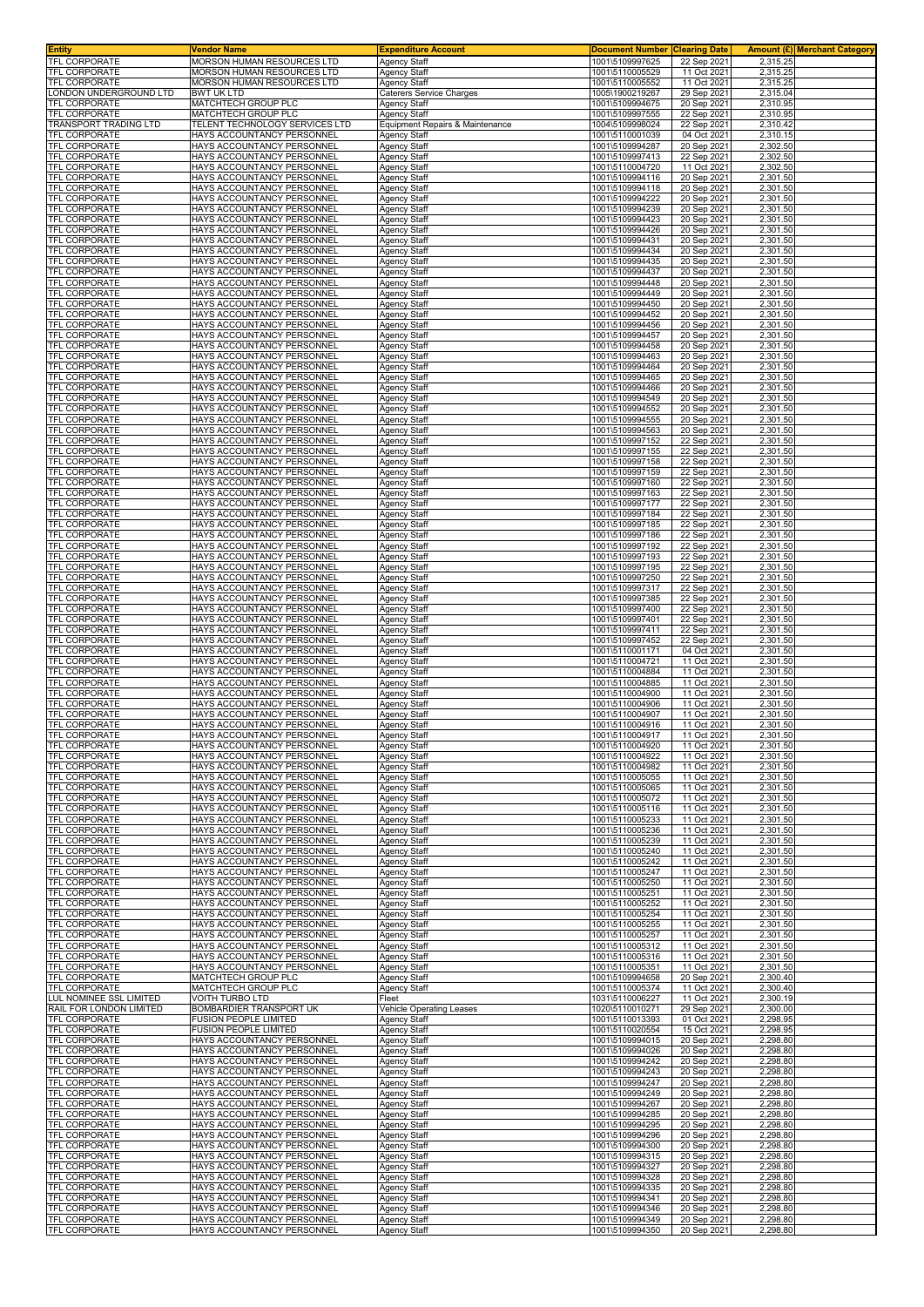| <b>Entity</b>                                 | Vendor Name                                                  | <b>Expenditure Account</b>                 | <b>Document Number Clearing Date</b> |                            | Amount (£) Merchant Category |
|-----------------------------------------------|--------------------------------------------------------------|--------------------------------------------|--------------------------------------|----------------------------|------------------------------|
| TFL CORPORATE                                 | MORSON HUMAN RESOURCES LTD                                   | Agency Staff                               | 1001\5109997625                      | 22 Sep 2021                | 2,315.25                     |
| TFL CORPORATE                                 | MORSON HUMAN RESOURCES LTD                                   | Agency Staff                               | 1001\5110005529                      | 11 Oct 2021                | 2,315.25                     |
| <b>TFL CORPORATE</b><br>ONDON UNDERGROUND LTD | MORSON HUMAN RESOURCES LTD<br><b>BWT UK LTD</b>              | Agency Staff<br>Caterers Service Charges   | 1001\5110005552<br>1005\1900219267   | 11 Oct 2021<br>29 Sep 202  | 2,315.25<br>2,315.04         |
| TFL CORPORATE                                 | MATCHTECH GROUP PLC                                          | Agency Staff                               | 1001\5109994675                      | 20 Sep 202                 | 2,310.95                     |
| <b>TFL CORPORATE</b>                          | MATCHTECH GROUP PLC                                          | <b>Agency Staff</b>                        | 1001\5109997555                      | 22 Sep 2021                | 2,310.95                     |
| TRANSPORT TRADING LTD                         | TELENT TECHNOLOGY SERVICES LTD                               | Equipment Repairs & Maintenance            | 1004\5109998024                      | 22 Sep 202                 | 2,310.42                     |
| TFL CORPORATE                                 | HAYS ACCOUNTANCY PERSONNEL                                   | Agency Staff                               | 1001\5110001039                      | 04 Oct 2021                | 2,310.15                     |
| <b>TFL CORPORATE</b>                          | HAYS ACCOUNTANCY PERSONNEL                                   | Agency Staff                               | 1001\5109994287                      | 20 Sep 202                 | 2,302.50                     |
| <b>TFL CORPORATE</b>                          | HAYS ACCOUNTANCY PERSONNEL                                   | Agency Staff                               | 1001\5109997413                      | 22 Sep 202                 | 2,302.50                     |
| TFL CORPORATE                                 | HAYS ACCOUNTANCY PERSONNEL                                   | Agency Staff                               | 1001\5110004720                      | 11 Oct 2021                | 2,302.50                     |
| TFL CORPORATE<br><b>TFL CORPORATE</b>         | HAYS ACCOUNTANCY PERSONNEL<br>HAYS ACCOUNTANCY PERSONNEL     | Agency Staff<br>Agency Staff               | 1001\5109994116<br>1001\5109994118   | 20 Sep 202<br>20 Sep 202   | 2,301.50<br>2,301.50         |
| TFL CORPORATE                                 | HAYS ACCOUNTANCY PERSONNEL                                   | <b>Agency Staff</b>                        | 1001\5109994222                      | 20 Sep 2021                | 2,301.50                     |
| <b>TFL CORPORATE</b>                          | HAYS ACCOUNTANCY PERSONNEI                                   | Agency Staff                               | 1001\5109994239                      | 20 Sep 202                 | 2,301.50                     |
| <b>TFL CORPORATE</b>                          | HAYS ACCOUNTANCY PERSONNEI                                   | Agency Staff                               | 1001\5109994423                      | 20 Sep 202                 | 2,301.50                     |
| <b>TFL CORPORATE</b>                          | HAYS ACCOUNTANCY PERSONNEI                                   | Agency Staff                               | 1001\5109994426                      | 20 Sep 202                 | 2,301.50                     |
| <b>TFL CORPORATE</b>                          | <b>HAYS ACCOUNTANCY PERSONNEL</b>                            | Agency Staff                               | 1001\5109994431                      | 20 Sep 2021                | 2,301.50                     |
| TFL CORPORATE                                 | HAYS ACCOUNTANCY PERSONNEI                                   | Agency Staff                               | 1001\5109994434                      | 20 Sep 202                 | 2,301.50                     |
| <b>TFL CORPORATE</b>                          | HAYS ACCOUNTANCY PERSONNEL<br>HAYS ACCOUNTANCY PERSONNEL     | Agency Staff                               | 1001\5109994435                      | 20 Sep 2021                | 2,301.50                     |
| TFL CORPORATE<br>TFL CORPORATE                | HAYS ACCOUNTANCY PERSONNEL                                   | Agency Staff<br>Agency Staff               | 1001\5109994437<br>1001\5109994448   | 20 Sep 2021<br>20 Sep 2021 | 2,301.50<br>2,301.50         |
| TFL CORPORATE                                 | HAYS ACCOUNTANCY PERSONNEI                                   | Agency Staff                               | 1001\5109994449                      | 20 Sep 202                 | 2,301.50                     |
| <b>TFL CORPORATE</b>                          | HAYS ACCOUNTANCY PERSONNEI                                   | Agency Staff                               | 1001\5109994450                      | 20 Sep 202                 | 2,301.50                     |
| TFL CORPORATE                                 | HAYS ACCOUNTANCY PERSONNEL                                   | Agency Staff                               | 1001\5109994452                      | 20 Sep 2021                | 2,301.50                     |
| <b>TFL CORPORATE</b>                          | HAYS ACCOUNTANCY PERSONNEI                                   | Agency Staff                               | 1001\5109994456                      | 20 Sep 2021                | 2,301.50                     |
| TFL CORPORATE                                 | HAYS ACCOUNTANCY PERSONNEI                                   | Agency Staff                               | 1001\5109994457                      | 20 Sep 202                 | 2,301.50                     |
| TFL CORPORATE                                 | HAYS ACCOUNTANCY PERSONNEI                                   | Agency Staff                               | 1001\5109994458                      | 20 Sep 202                 | 2,301.50                     |
| TFL CORPORATE                                 | HAYS ACCOUNTANCY PERSONNEL                                   | Agency Staff                               | 1001\5109994463                      | 20 Sep 2021                | 2,301.50                     |
| TFL CORPORATE                                 | HAYS ACCOUNTANCY PERSONNEL                                   | Agency Staff                               | 1001\5109994464                      | 20 Sep 2021                | 2,301.50                     |
| <b>TFL CORPORATE</b><br><b>TFL CORPORATE</b>  | HAYS ACCOUNTANCY PERSONNEL<br>HAYS ACCOUNTANCY PERSONNEI     | <b>Agency Staff</b><br>Agency Staff        | 1001\5109994465<br>1001\5109994466   | 20 Sep 202<br>20 Sep 202   | 2,301.50<br>2,301.50         |
| TFL CORPORATE                                 | HAYS ACCOUNTANCY PERSONNEL                                   | Agency Staff                               | 1001\5109994549                      | 20 Sep 202                 | 2,301.50                     |
| TFL CORPORATE                                 | HAYS ACCOUNTANCY PERSONNEL                                   | Agency Staff                               | 1001\5109994552                      | 20 Sep 2021                | 2,301.50                     |
| TFL CORPORATE                                 | HAYS ACCOUNTANCY PERSONNEL                                   | Agency Staff                               | 1001\5109994555                      | 20 Sep 202                 | 2.301.50                     |
| <b>TFL CORPORATE</b>                          | HAYS ACCOUNTANCY PERSONNEL                                   | Agency Staff                               | 1001\5109994563                      | 20 Sep 202                 | 2,301.50                     |
| <b>TFL CORPORATE</b>                          | HAYS ACCOUNTANCY PERSONNEL                                   | Agency Staff                               | 1001\5109997152                      | 22 Sep 2021                | 2,301.50                     |
| <b>TFL CORPORATE</b>                          | HAYS ACCOUNTANCY PERSONNEI                                   | Agency Staff                               | 1001\5109997155                      | 22 Sep 202                 | 2,301.50                     |
| <b>TFL CORPORATE</b>                          | HAYS ACCOUNTANCY PERSONNEI                                   | Agency Staff                               | 1001\5109997158                      | 22 Sep 202                 | 2,301.50                     |
| <b>TFL CORPORATE</b>                          | HAYS ACCOUNTANCY PERSONNEI                                   | Agency Staff                               | 1001\5109997159                      | 22 Sep 202                 | 2,301.50                     |
| TFL CORPORATE<br>TFL CORPORATE                | HAYS ACCOUNTANCY PERSONNEL<br>HAYS ACCOUNTANCY PERSONNEI     | Agency Staff                               | 1001\5109997160<br>1001\5109997163   | 22 Sep 2021<br>22 Sep 202  | 2,301.50<br>2,301.50         |
| <b>TFL CORPORATE</b>                          | HAYS ACCOUNTANCY PERSONNEL                                   | Agency Staff                               | 1001\5109997177                      | 22 Sep 2021                | 2,301.50                     |
| TFL CORPORATE                                 | HAYS ACCOUNTANCY PERSONNEL                                   | Agency Staff<br>Agency Staff               | 1001\5109997184                      | 22 Sep 2021                | 2,301.50                     |
| TFL CORPORATE                                 | HAYS ACCOUNTANCY PERSONNEL                                   | Agency Staff                               | 1001\5109997185                      | 22 Sep 2021                | 2,301.50                     |
| TFL CORPORATE                                 | HAYS ACCOUNTANCY PERSONNEI                                   | Agency Staff                               | 1001\5109997186                      | 22 Sep 202                 | 2,301.50                     |
| TFL CORPORATE                                 | HAYS ACCOUNTANCY PERSONNEL                                   | Agency Staff                               | 1001\5109997192                      | 22 Sep 202                 | 2,301.50                     |
| TFL CORPORATE                                 | HAYS ACCOUNTANCY PERSONNEL                                   | Agency Staff                               | 1001\5109997193                      | 22 Sep 2021                | 2,301.50                     |
| <b>TFL CORPORATE</b>                          | HAYS ACCOUNTANCY PERSONNEL                                   | Agency Staff                               | 1001\5109997195                      | 22 Sep 2021                | 2,301.50                     |
| TFL CORPORATE                                 | HAYS ACCOUNTANCY PERSONNEI                                   | Agency Staff                               | 1001\5109997250                      | 22 Sep 202                 | 2,301.50                     |
| TFL CORPORATE                                 | HAYS ACCOUNTANCY PERSONNEL                                   | Agency Staff                               | 1001\5109997317                      | 22 Sep 202                 | 2,301.50                     |
| TFL CORPORATE                                 | HAYS ACCOUNTANCY PERSONNEL                                   | Agency Staff                               | 1001\5109997385                      | 22 Sep 2021                | 2,301.50                     |
| TFL CORPORATE<br>TFL CORPORATE                | HAYS ACCOUNTANCY PERSONNEL<br>HAYS ACCOUNTANCY PERSONNEL     | <b>Agency Staff</b><br><b>Agency Staff</b> | 1001\5109997400<br>1001\5109997401   | 22 Sep 202<br>22 Sep 202   | 2,301.50<br>2,301.50         |
| <b>TFL CORPORATE</b>                          | HAYS ACCOUNTANCY PERSONNEL                                   | Agency Staff                               | 1001\5109997411                      | 22 Sep 2021                | 2,301.50                     |
| TFL CORPORATE                                 | HAYS ACCOUNTANCY PERSONNEL                                   | Agency Staff                               | 1001\5109997452                      | 22 Sep 2021                | 2,301.50                     |
| TFL CORPORATE                                 | HAYS ACCOUNTANCY PERSONNEL                                   | <b>Agency Staff</b>                        | 1001\5110001171                      | 04 Oct 202                 | 2,301.50                     |
| TFL CORPORATE                                 | HAYS ACCOUNTANCY PERSONNEL                                   | Agency Staff                               | 1001\5110004721                      | 11 Oct 2021                | 2,301.50                     |
| <b>TFL CORPORATE</b>                          | HAYS ACCOUNTANCY PERSONNEL                                   | Agency Staff                               | 1001\5110004884                      | 11 Oct 2021                | 2,301.50                     |
| TFL CORPORATE                                 | HAYS ACCOUNTANCY PERSONNEL                                   | Agency Staff                               | 1001\5110004885                      | 11 Oct 2021                | 2,301.50                     |
| <b>TFL CORPORATE</b>                          | HAYS ACCOUNTANCY PERSONNEL                                   | Agency Staff                               | 1001\5110004900                      | 11 Oct 2021                | 2,301.50                     |
| <b>TFL CORPORATE</b>                          | HAYS ACCOUNTANCY PERSONNEI                                   | <b>Agency Staff</b>                        | 1001\5110004906                      | 11 Oct 2021                | 2,301.50                     |
| <b>TFL CORPORATE</b><br>TFL CORPORATE         | HAYS ACCOUNTANCY PERSONNEI<br>HAYS ACCOUNTANCY PERSONNEL     | Agency Staff                               | 1001\5110004907<br>1001\5110004916   | 11 Oct 2021<br>11 Oct 2021 | 2,301.50<br>2,301.50         |
| <b>TFL CORPORATE</b>                          | HAYS ACCOUNTANCY PERSONNEL                                   | Agency Staff<br>Agency Staff               | 1001\5110004917                      | 11 Oct 2021                | 2,301.50                     |
| <b>TFL CORPORATE</b>                          | HAYS ACCOUNTANCY PERSONNEL                                   | <b>Agency Staff</b>                        | 1001\5110004920                      | 11 Oct 2021                | 2,301.50                     |
| <b>TFL CORPORATE</b>                          | HAYS ACCOUNTANCY PERSONNEL                                   | Agency Staff                               | 1001\5110004922                      | 11 Oct 2021                | 2,301.50                     |
| <b>TFL CORPORATE</b>                          | HAYS ACCOUNTANCY PERSONNEL                                   | Agency Staff                               | 1001\5110004982                      | 11 Oct 2021                | 2,301.50                     |
| TFL CORPORATE                                 | HAYS ACCOUNTANCY PERSONNEL                                   | Agency Staff                               | 1001\5110005055                      | 11 Oct 2021                | 2.301.50                     |
| <b>TFL CORPORATE</b>                          | HAYS ACCOUNTANCY PERSONNEL                                   | Agency Staff                               | 1001\5110005065                      | 11 Oct 2021                | 2,301.50                     |
| TFL CORPORATE                                 | HAYS ACCOUNTANCY PERSONNEL                                   | Agency Staff                               | 1001\5110005072                      | 11 Oct 2021                | 2,301.50                     |
| TFL CORPORATE                                 | HAYS ACCOUNTANCY PERSONNEL                                   | Agency Staff                               | 1001\5110005116                      | 11 Oct 2021                | 2,301.50                     |
| TFL CORPORATE                                 | HAYS ACCOUNTANCY PERSONNEI                                   | Agency Staff<br>Agency Staff               | 1001\5110005233                      | 11 Oct 202<br>11 Oct 2021  | 2,301.50<br>2,301.50         |
| TFL CORPORATE<br><b>TFL CORPORATE</b>         | HAYS ACCOUNTANCY PERSONNEL<br>HAYS ACCOUNTANCY PERSONNEL     | Agency Staff                               | 1001\5110005236<br>1001\5110005239   | 11 Oct 2021                | 2,301.50                     |
| <b>TFL CORPORATE</b>                          | HAYS ACCOUNTANCY PERSONNEL                                   | Agency Staff                               | 1001\5110005240                      | 11 Oct 2021                | 2,301.50                     |
| TFL CORPORATE                                 | <b>HAYS ACCOUNTANCY PERSONNEL</b>                            | <b>Agency Staff</b>                        | 1001\5110005242                      | 11 Oct 2021                | 2,301.50                     |
| TFL CORPORATE                                 | HAYS ACCOUNTANCY PERSONNEL                                   | <b>Agency Staff</b>                        | 1001\5110005247                      | 11 Oct 2021                | 2,301.50                     |
| TFL CORPORATE                                 | HAYS ACCOUNTANCY PERSONNEL                                   | Agency Staff                               | 1001\5110005250                      | 11 Oct 2021                | 2,301.50                     |
| TFL CORPORATE                                 | HAYS ACCOUNTANCY PERSONNEL                                   | <b>Agency Staff</b>                        | 1001\5110005251                      | 11 Oct 2021                | 2,301.50                     |
| TFL CORPORATE                                 | HAYS ACCOUNTANCY PERSONNEL                                   | <b>Agency Staff</b>                        | 1001\5110005252                      | 11 Oct 2021                | 2.301.50                     |
| TFL CORPORATE                                 | HAYS ACCOUNTANCY PERSONNEL                                   | Agency Staff                               | 1001\5110005254                      | 11 Oct 2021                | 2,301.50                     |
| TFL CORPORATE<br>TFL CORPORATE                | HAYS ACCOUNTANCY PERSONNEL<br>HAYS ACCOUNTANCY PERSONNEL     | Agency Staff                               | 1001\5110005255<br>1001\5110005257   | 11 Oct 2021<br>11 Oct 2021 | 2,301.50<br>2,301.50         |
| TFL CORPORATE                                 | HAYS ACCOUNTANCY PERSONNEL                                   | Agency Staff<br><b>Agency Staff</b>        | 1001\5110005312                      | 11 Oct 2021                | 2,301.50                     |
| TFL CORPORATE                                 | HAYS ACCOUNTANCY PERSONNEI                                   | Agency Staff                               | 1001\5110005316                      | 11 Oct 202                 | 2,301.50                     |
| TFL CORPORATE                                 | HAYS ACCOUNTANCY PERSONNEL                                   | Agency Staff                               | 1001\5110005351                      | 11 Oct 2021                | 2,301.50                     |
| TFL CORPORATE                                 | MATCHTECH GROUP PLC                                          | Agency Staff                               | 1001\5109994658                      | 20 Sep 2021                | 2,300.40                     |
| TFL CORPORATE                                 | MATCHTECH GROUP PLC                                          | Agency Staff                               | 1001\5110005374                      | 11 Oct 2021                | 2,300.40                     |
| <b>LUL NOMINEE SSL LIMITED</b>                | <b>VOITH TURBO LTD</b>                                       | Fleet                                      | 1031\5110006227                      | 11 Oct 2021                | 2,300.19                     |
| RAIL FOR LONDON LIMITED                       | BOMBARDIER TRANSPORT UK                                      | Vehicle Operating Leases                   | 1020\5110010271                      | 29 Sep 2021                | 2,300.00<br>2,298.95         |
| TFL CORPORATE<br>TFL CORPORATE                | <b>FUSION PEOPLE LIMITED</b><br><b>FUSION PEOPLE LIMITED</b> | Agency Staff<br>Agency Staff               | 1001\5110013393<br>1001\5110020554   | 01 Oct 2021<br>15 Oct 2021 | 2,298.95                     |
| TFL CORPORATE                                 | HAYS ACCOUNTANCY PERSONNEL                                   | Agency Staff                               | 1001\5109994015                      | 20 Sep 2021                | 2,298.80                     |
| TFL CORPORATE                                 | HAYS ACCOUNTANCY PERSONNEL                                   | Agency Staff                               | 1001\5109994026                      | 20 Sep 2021                | 2,298.80                     |
| TFL CORPORATE                                 | HAYS ACCOUNTANCY PERSONNEI                                   | Agency Staff                               | 1001\5109994242                      | 20 Sep 2021                | 2,298.80                     |
| TFL CORPORATE                                 | HAYS ACCOUNTANCY PERSONNEL                                   | Agency Staff                               | 1001\5109994243                      | 20 Sep 2021                | 2,298.80                     |
| TFL CORPORATE                                 | HAYS ACCOUNTANCY PERSONNEL                                   | Agency Staff                               | 1001\5109994247                      | 20 Sep 2021                | 2,298.80                     |
| TFL CORPORATE                                 | HAYS ACCOUNTANCY PERSONNEL                                   | Agency Staff                               | 1001\5109994249                      | 20 Sep 2021                | 2,298.80                     |
| TFL CORPORATE                                 | HAYS ACCOUNTANCY PERSONNEL                                   | <b>Agency Staff</b>                        | 1001\5109994267                      | 20 Sep 202                 | 2,298.80                     |
| TFL CORPORATE                                 | HAYS ACCOUNTANCY PERSONNEL                                   | Agency Staff                               | 1001\5109994285                      | 20 Sep 202                 | 2,298.80                     |
| TFL CORPORATE                                 | HAYS ACCOUNTANCY PERSONNEL                                   | Agency Staff                               | 1001\5109994295                      | 20 Sep 2021                | 2,298.80                     |
| TFL CORPORATE<br>TFL CORPORATE                | HAYS ACCOUNTANCY PERSONNEL<br>HAYS ACCOUNTANCY PERSONNEL     | <b>Agency Staff</b><br><b>Agency Staff</b> | 1001\5109994296<br>1001\5109994300   | 20 Sep 2021<br>20 Sep 202  | 2,298.80<br>2,298.80         |
| TFL CORPORATE                                 | HAYS ACCOUNTANCY PERSONNEL                                   | Agency Staff                               | 1001\5109994315                      | 20 Sep 202                 | 2,298.80                     |
| TFL CORPORATE                                 | HAYS ACCOUNTANCY PERSONNEL                                   | Agency Staff                               | 1001\5109994327                      | 20 Sep 2021                | 2,298.80                     |
| TFL CORPORATE                                 | HAYS ACCOUNTANCY PERSONNEL                                   | <b>Agency Staff</b>                        | 1001\5109994328                      | 20 Sep 2021                | 2,298.80                     |
| TFL CORPORATE                                 | HAYS ACCOUNTANCY PERSONNEL                                   | <b>Agency Staff</b>                        | 1001\5109994335                      | 20 Sep 2021                | 2,298.80                     |
| TFL CORPORATE                                 | HAYS ACCOUNTANCY PERSONNEL                                   | Agency Staff                               | 1001\5109994341                      | 20 Sep 2021                | 2,298.80                     |
| TFL CORPORATE                                 | HAYS ACCOUNTANCY PERSONNEL                                   | <b>Agency Staff</b>                        | 1001\5109994346                      | 20 Sep 2021                | 2,298.80                     |
| TFL CORPORATE<br>TFL CORPORATE                | HAYS ACCOUNTANCY PERSONNEL                                   | Agency Staff                               | 1001\5109994349                      | 20 Sep 2021                | 2,298.80                     |
|                                               | HAYS ACCOUNTANCY PERSONNEL                                   | <b>Agency Staff</b>                        | 1001\5109994350                      | 20 Sep 2021                | 2,298.80                     |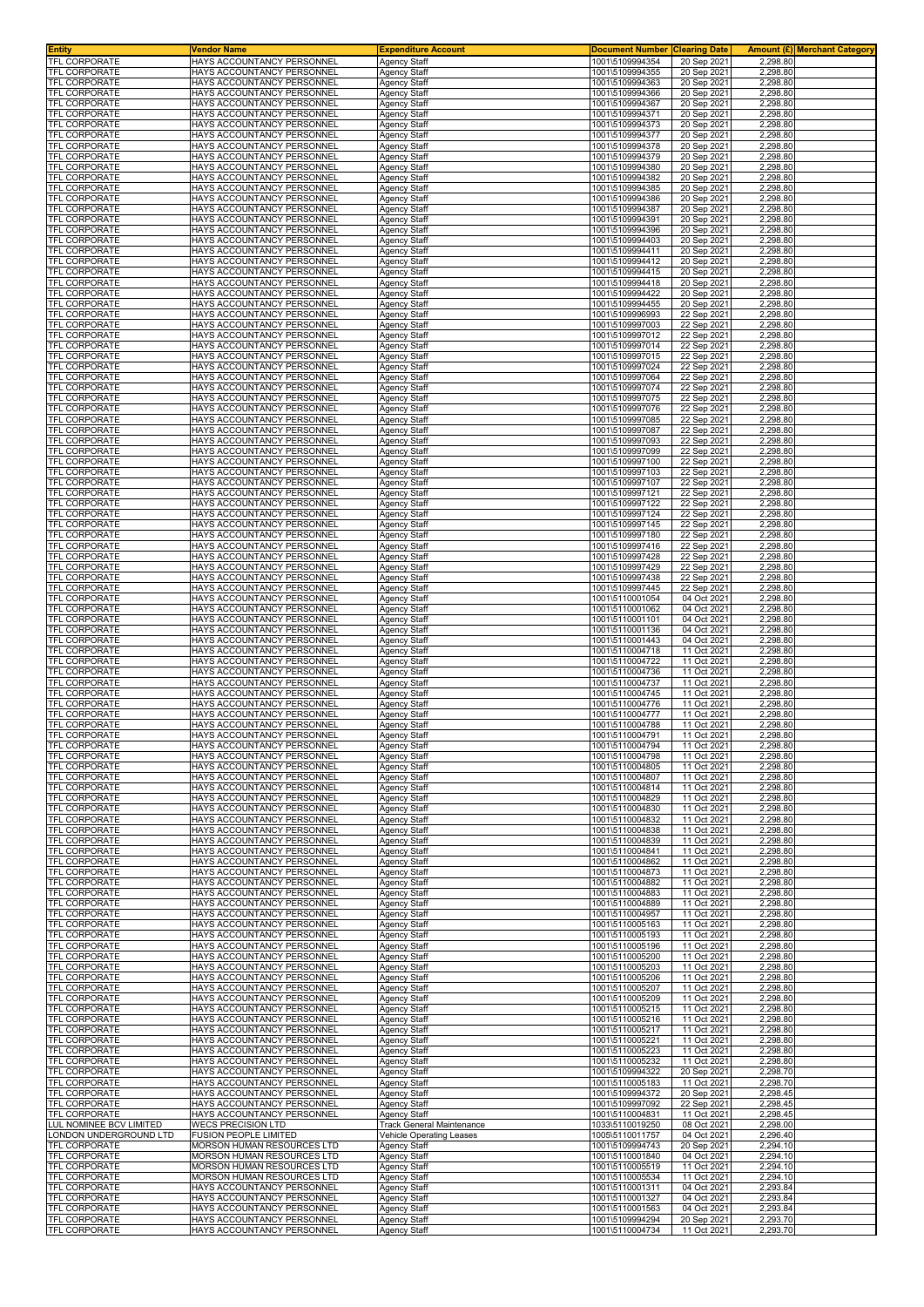| <b>Entity</b>                                | Vendor Name                                              | <b>Expenditure Account</b>          | <b>Document Number</b>             | <b>Clearing Date</b>       |                      | Amount (£) Merchant Category |
|----------------------------------------------|----------------------------------------------------------|-------------------------------------|------------------------------------|----------------------------|----------------------|------------------------------|
| <b>TFL CORPORATE</b>                         | HAYS ACCOUNTANCY PERSONNEL                               | <b>Agency Staff</b>                 | 1001\5109994354                    | 20 Sep 2021                | 2.298.80             |                              |
| <b>TFL CORPORATE</b>                         | HAYS ACCOUNTANCY PERSONNEI                               | Agency Staff                        | 1001\5109994355                    | 20 Sep 202                 | 2,298.80             |                              |
| TFL CORPORATE                                | HAYS ACCOUNTANCY PERSONNEL                               | <b>Agency Staff</b>                 | 1001\5109994363                    | 20 Sep 2021                | 2,298.80             |                              |
| TFL CORPORATE<br>TFL CORPORATE               | HAYS ACCOUNTANCY PERSONNEI<br>HAYS ACCOUNTANCY PERSONNEI | Agency Staff<br>Agency Staff        | 1001\5109994366<br>1001\5109994367 | 20 Sep 2021<br>20 Sep 202  | 2,298.80<br>2,298.80 |                              |
| TFL CORPORATE                                | HAYS ACCOUNTANCY PERSONNEI                               | Agency Staff                        | 1001\5109994371                    | 20 Sep 202                 | 2,298.80             |                              |
| TFL CORPORATE                                | HAYS ACCOUNTANCY PERSONNEL                               | Agency Staff                        | 1001\5109994373                    | 20 Sep 2021                | 2,298.80             |                              |
| TFL CORPORATE                                | HAYS ACCOUNTANCY PERSONNEI                               | Agency Staff                        | 1001\5109994377                    | 20 Sep 202                 | 2,298.80             |                              |
| <b>TFL CORPORATE</b>                         | HAYS ACCOUNTANCY PERSONNEI                               | Agency Staff                        | 1001\5109994378                    | 20 Sep 202                 | 2,298.80             |                              |
| <b>TFL CORPORATE</b>                         | HAYS ACCOUNTANCY PERSONNEI                               | Agency Staff                        | 1001\5109994379                    | 20 Sep 2021                | 2,298.80             |                              |
| TFL CORPORATE                                | HAYS ACCOUNTANCY PERSONNEI                               | Agency Staff                        | 1001\5109994380                    | 20 Sep 2021                | 2,298.80             |                              |
| TFL CORPORATE                                | HAYS ACCOUNTANCY PERSONNEI                               | Agency Staff                        | 1001\5109994382                    | 20 Sep 202                 | 2,298.80             |                              |
| TFL CORPORATE                                | HAYS ACCOUNTANCY PERSONNEI                               | Agency Staff                        | 1001\5109994385                    | 20 Sep 202                 | 2,298.80             |                              |
| TFL CORPORATE                                | HAYS ACCOUNTANCY PERSONNEL                               | Agency Staff                        | 1001\5109994386                    | 20 Sep 2021                | 2,298.80             |                              |
| <b>TFL CORPORATE</b><br>TFL CORPORATE        | HAYS ACCOUNTANCY PERSONNEI<br>HAYS ACCOUNTANCY PERSONNEI | <b>Agency Staff</b><br>Agency Staff | 1001\5109994387<br>1001\5109994391 | 20 Sep 2021<br>20 Sep 202  | 2,298.80<br>2,298.80 |                              |
| TFL CORPORATE                                | HAYS ACCOUNTANCY PERSONNEI                               | Agency Staff                        | 1001\5109994396                    | 20 Sep 202                 | 2,298.80             |                              |
| TFL CORPORATE                                | HAYS ACCOUNTANCY PERSONNEL                               | Agency Staff                        | 1001\5109994403                    | 20 Sep 202                 | 2,298.80             |                              |
| TFL CORPORATE                                | HAYS ACCOUNTANCY PERSONNEL                               | <b>Agency Staff</b>                 | 1001\5109994411                    | 20 Sep 2021                | 2,298.80             |                              |
| <b>TFL CORPORATE</b>                         | HAYS ACCOUNTANCY PERSONNEL                               | <b>Agency Staff</b>                 | 1001\5109994412                    | 20 Sep 202                 | 2,298.80             |                              |
| <b>TFL CORPORATE</b>                         | HAYS ACCOUNTANCY PERSONNEL                               | Agency Staff                        | 1001\5109994415                    | 20 Sep 202                 | 2,298.80             |                              |
| TFL CORPORATE                                | HAYS ACCOUNTANCY PERSONNEL                               | Agency Staff                        | 1001\5109994418                    | 20 Sep 2021                | 2,298.80             |                              |
| TFL CORPORATE                                | HAYS ACCOUNTANCY PERSONNEL                               | Agency Staff                        | 1001\5109994422                    | 20 Sep 2021                | 2,298.80             |                              |
| TFL CORPORATE<br>TFL CORPORATE               | HAYS ACCOUNTANCY PERSONNEL<br>HAYS ACCOUNTANCY PERSONNEL | Agency Staff                        | 1001\5109994455<br>1001\5109996993 | 20 Sep 202                 | 2,298.80<br>2,298.80 |                              |
| TFL CORPORATE                                | HAYS ACCOUNTANCY PERSONNEL                               | Agency Staff<br><b>Agency Staff</b> | 1001\5109997003                    | 22 Sep 202<br>22 Sep 202   | 2,298.80             |                              |
| TFL CORPORATE                                | HAYS ACCOUNTANCY PERSONNEI                               | Agency Staff                        | 1001\5109997012                    | 22 Sep 202                 | 2,298.80             |                              |
| TFL CORPORATE                                | HAYS ACCOUNTANCY PERSONNEI                               | Agency Staff                        | 1001\5109997014                    | 22 Sep 202                 | 2,298.80             |                              |
| <b>TFL CORPORATE</b>                         | HAYS ACCOUNTANCY PERSONNEI                               | Agency Staff                        | 1001\5109997015                    | 22 Sep 202                 | 2,298.80             |                              |
| TFL CORPORATE                                | HAYS ACCOUNTANCY PERSONNEL                               | Agency Staff                        | 1001\5109997024                    | 22 Sep 2021                | 2,298.80             |                              |
| TFL CORPORATE                                | HAYS ACCOUNTANCY PERSONNEI                               | Agency Staff                        | 1001\5109997064                    | 22 Sep 202                 | 2,298.80             |                              |
| <b>TFL CORPORATE</b>                         | HAYS ACCOUNTANCY PERSONNEL                               | Agency Staff                        | 1001\5109997074                    | 22 Sep 202                 | 2,298.80             |                              |
| TFL CORPORATE                                | HAYS ACCOUNTANCY PERSONNEL                               | Agency Staff                        | 1001\5109997075                    | 22 Sep 2021                | 2,298.80             |                              |
| TFL CORPORATE                                | HAYS ACCOUNTANCY PERSONNEL                               | Agency Staff                        | 1001\5109997076                    | 22 Sep 2021                | 2,298.80             |                              |
| TFL CORPORATE<br>TFL CORPORATE               | HAYS ACCOUNTANCY PERSONNEI<br>HAYS ACCOUNTANCY PERSONNEL | Agency Staff<br>Agency Staff        | 1001\5109997085<br>1001\5109997087 | 22 Sep 202<br>22 Sep 202   | 2,298.80<br>2,298.80 |                              |
| TFL CORPORATE                                | HAYS ACCOUNTANCY PERSONNEL                               | Agency Staff                        | 1001\5109997093                    | 22 Sep 2021                | 2,298.80             |                              |
| <b>TFL CORPORATE</b>                         | HAYS ACCOUNTANCY PERSONNEL                               | <b>Agency Staff</b>                 | 1001\5109997099                    | 22 Sep 2021                | 2,298.80             |                              |
| TFL CORPORATE                                | HAYS ACCOUNTANCY PERSONNEI                               | Agency Staff                        | 1001\5109997100                    | 22 Sep 202                 | 2,298.80             |                              |
| TFL CORPORATE                                | HAYS ACCOUNTANCY PERSONNEL                               | Agency Staff                        | 1001\5109997103                    | 22 Sep 202                 | 2,298.80             |                              |
| TFL CORPORATE                                | HAYS ACCOUNTANCY PERSONNEL                               | Agency Staff                        | 1001\5109997107                    | 22 Sep 2021                | 2.298.80             |                              |
| <b>TFL CORPORATE</b>                         | HAYS ACCOUNTANCY PERSONNEL                               | <b>Agency Staff</b>                 | 1001\5109997121                    | 22 Sep 202                 | 2,298.80             |                              |
| TFL CORPORATE                                | HAYS ACCOUNTANCY PERSONNEL                               | <b>Agency Staff</b>                 | 1001\5109997122                    | 22 Sep 202                 | 2,298.80             |                              |
| <b>TFL CORPORATE</b>                         | HAYS ACCOUNTANCY PERSONNEL                               | Agency Staff                        | 1001\5109997124                    | 22 Sep 2021                | 2,298.80             |                              |
| <b>TFL CORPORATE</b><br><b>TFL CORPORATE</b> | HAYS ACCOUNTANCY PERSONNEL<br>HAYS ACCOUNTANCY PERSONNEL | Agency Staff                        | 1001\5109997145<br>1001\5109997180 | 22 Sep 2021                | 2,298.80<br>2,298.80 |                              |
| TFL CORPORATE                                | HAYS ACCOUNTANCY PERSONNEL                               | Agency Staff<br><b>Agency Staff</b> | 1001\5109997416                    | 22 Sep 202<br>22 Sep 202   | 2,298.80             |                              |
| TFL CORPORATE                                | HAYS ACCOUNTANCY PERSONNEL                               | Agency Staff                        | 1001\5109997428                    | 22 Sep 2021                | 2,298.80             |                              |
| TFL CORPORATE                                | HAYS ACCOUNTANCY PERSONNEL                               | <b>Agency Staff</b>                 | 1001\5109997429                    | 22 Sep 2021                | 2,298.80             |                              |
| TFL CORPORATE                                | HAYS ACCOUNTANCY PERSONNEI                               | Agency Staff                        | 1001\5109997438                    | 22 Sep 202                 | 2,298.80             |                              |
| TFL CORPORATE                                | HAYS ACCOUNTANCY PERSONNEI                               | <b>Agency Staff</b>                 | 1001\5109997445                    | 22 Sep 2021                | 2,298.80             |                              |
| TFL CORPORATE                                | HAYS ACCOUNTANCY PERSONNEL                               | Agency Staff                        | 1001\5110001054                    | 04 Oct 2021                | 2,298.80             |                              |
| TFL CORPORATE                                | HAYS ACCOUNTANCY PERSONNEL                               | Agency Staff                        | 1001\5110001062                    | 04 Oct 2021                | 2,298.80             |                              |
| TFL CORPORATE                                | HAYS ACCOUNTANCY PERSONNEI                               | Agency Staff                        | 1001\5110001101                    | 04 Oct 202                 | 2,298.80             |                              |
| <b>TFL CORPORATE</b>                         | HAYS ACCOUNTANCY PERSONNEI                               | Agency Staff                        | 1001\5110001136                    | 04 Oct 2021                | 2,298.80<br>2,298.80 |                              |
| <b>TFL CORPORATE</b><br><b>TFL CORPORATE</b> | HAYS ACCOUNTANCY PERSONNEL<br>HAYS ACCOUNTANCY PERSONNEL | Agency Staff<br>Agency Staff        | 1001\5110001443<br>1001\5110004718 | 04 Oct 2021<br>11 Oct 2021 | 2,298.80             |                              |
| TFL CORPORATE                                | HAYS ACCOUNTANCY PERSONNEI                               | Agency Staff                        | 1001\5110004722                    | 11 Oct 202                 | 2,298.80             |                              |
| <b>TFL CORPORATE</b>                         | HAYS ACCOUNTANCY PERSONNEI                               | Agency Staff                        | 1001\5110004736                    | 11 Oct 202                 | 2,298.80             |                              |
| <b>TFL CORPORATE</b>                         | HAYS ACCOUNTANCY PERSONNEL                               | Agency Staff                        | 1001\5110004737                    | 11 Oct 2021                | 2,298.80             |                              |
| <b>TFL CORPORATE</b>                         | HAYS ACCOUNTANCY PERSONNEI                               | Agency Staff                        | 1001\5110004745                    | 11 Oct 2021                | 2,298.80             |                              |
| TFL CORPORATE                                | HAYS ACCOUNTANCY PERSONNEI                               | <b>Agency Staff</b>                 | 1001\5110004776                    | 11 Oct 2021                | 2,298.80             |                              |
| TFL CORPORATE                                | HAYS ACCOUNTANCY PERSONNEI                               | Agency Staff                        | 1001\5110004777                    | 11 Oct 202                 | 2,298.80             |                              |
| <b>TFL CORPORATE</b>                         | HAYS ACCOUNTANCY PERSONNEL                               | Agency Staff                        | 1001\5110004788                    | 11 Oct 2021                | 2.298.80             |                              |
| TFL CORPORATE                                | HAYS ACCOUNTANCY PERSONNEL                               | Agency Staff                        | 1001\5110004791                    | 11 Oct 2021<br>11 Oct 2021 | 2,298.80             |                              |
| <b>TFL CORPORATE</b><br><b>TFL CORPORATE</b> | HAYS ACCOUNTANCY PERSONNEL<br>HAYS ACCOUNTANCY PERSONNEL | Agency Staff<br><b>Agency Staff</b> | 1001\5110004794<br>1001\5110004798 | 11 Oct 2021                | 2,298.80<br>2,298.80 |                              |
| TFL CORPORATE                                | HAYS ACCOUNTANCY PERSONNEL                               | Agency Staff                        | 1001\5110004805                    | 11 Oct 2021                | 2.298.80             |                              |
| <b>TFL CORPORATE</b>                         | HAYS ACCOUNTANCY PERSONNEL                               | <b>Agency Staff</b>                 | 1001\5110004807                    | 11 Oct 2021                | 2,298.80             |                              |
| TFL CORPORATE                                | HAYS ACCOUNTANCY PERSONNEL                               | <b>Agency Staff</b>                 | 1001\5110004814                    | 11 Oct 2021                | 2,298.80             |                              |
| TFL CORPORATE                                | HAYS ACCOUNTANCY PERSONNEL                               | <b>Agency Staff</b>                 | 1001\5110004829                    | 11 Oct 2021                | 2,298.80             |                              |
| TFL CORPORATE                                | HAYS ACCOUNTANCY PERSONNEL                               | <b>Agency Staff</b>                 | 1001\5110004830                    | 11 Oct 2021                | 2.298.80             |                              |
| TFL CORPORATE                                | HAYS ACCOUNTANCY PERSONNEL                               | Agency Staff                        | 1001\5110004832                    | 11 Oct 2021                | 2,298.80             |                              |
| TFL CORPORATE                                | HAYS ACCOUNTANCY PERSONNEL                               | Agency Staff                        | 1001\5110004838                    | 11 Oct 2021                | 2,298.80             |                              |
| <b>TFL CORPORATE</b>                         | HAYS ACCOUNTANCY PERSONNEL                               | Agency Staff                        | 1001\5110004839                    | 11 Oct 2021                | 2,298.80             |                              |
| TFL CORPORATE<br><b>TFL CORPORATE</b>        | HAYS ACCOUNTANCY PERSONNEL<br>HAYS ACCOUNTANCY PERSONNEL | Agency Staff<br>Agency Staff        | 1001\5110004841<br>1001\5110004862 | 11 Oct 2021<br>11 Oct 202  | 2,298.80<br>2,298.80 |                              |
| <b>TFL CORPORATE</b>                         | HAYS ACCOUNTANCY PERSONNEL                               | Agency Staff                        | 1001\5110004873                    | 11 Oct 2021                | 2,298.80             |                              |
| TFL CORPORATE                                | HAYS ACCOUNTANCY PERSONNEL                               | Agency Staff                        | 1001\5110004882                    | 11 Oct 2021                | 2,298.80             |                              |
| TFL CORPORATE                                | HAYS ACCOUNTANCY PERSONNEL                               | Agency Staff                        | 1001\5110004883                    | 11 Oct 2021                | 2,298.80             |                              |
| TFL CORPORATE                                | HAYS ACCOUNTANCY PERSONNEI                               | Agency Staff                        | 1001\5110004889                    | 11 Oct 202                 | 2,298.80             |                              |
| TFL CORPORATE                                | HAYS ACCOUNTANCY PERSONNEL                               | Agency Staff                        | 1001\5110004957                    | 11 Oct 2021                | 2,298.80             |                              |
| TFL CORPORATE                                | HAYS ACCOUNTANCY PERSONNEL                               | Agency Staff                        | 1001\5110005163                    | 11 Oct 2021                | 2,298.80             |                              |
| TFL CORPORATE                                | HAYS ACCOUNTANCY PERSONNEL                               | Agency Staff                        | 1001\5110005193                    | 11 Oct 2021                | 2,298.80             |                              |
| TFL CORPORATE<br>TFL CORPORATE               | HAYS ACCOUNTANCY PERSONNEL<br>HAYS ACCOUNTANCY PERSONNEL | Agency Staff<br>Agency Staff        | 1001\5110005196<br>1001\5110005200 | 11 Oct 2021<br>11 Oct 2021 | 2,298.80<br>2,298.80 |                              |
| TFL CORPORATE                                | HAYS ACCOUNTANCY PERSONNEL                               | Agency Staff                        | 1001\5110005203                    | 11 Oct 2021                | 2,298.80             |                              |
| TFL CORPORATE                                | HAYS ACCOUNTANCY PERSONNEL                               | <b>Agency Staff</b>                 | 1001\5110005206                    | 11 Oct 2021                | 2,298.80             |                              |
| TFL CORPORATE                                | HAYS ACCOUNTANCY PERSONNEL                               | Agency Staff                        | 1001\5110005207                    | 11 Oct 2021                | 2,298.80             |                              |
| TFL CORPORATE                                | HAYS ACCOUNTANCY PERSONNEL                               | Agency Staff                        | 1001\5110005209                    | 11 Oct 2021                | 2,298.80             |                              |
| TFL CORPORATE                                | HAYS ACCOUNTANCY PERSONNEL                               | Agency Staff                        | 1001\5110005215                    | 11 Oct 2021                | 2,298.80             |                              |
| TFL CORPORATE                                | HAYS ACCOUNTANCY PERSONNEL                               | Agency Staff                        | 1001\5110005216                    | 11 Oct 2021                | 2,298.80             |                              |
| TFL CORPORATE                                | HAYS ACCOUNTANCY PERSONNEL                               | <b>Agency Staff</b>                 | 1001\5110005217                    | 11 Oct 2021                | 2,298.80             |                              |
| TFL CORPORATE                                | HAYS ACCOUNTANCY PERSONNEL                               | <b>Agency Staff</b>                 | 1001\5110005221                    | 11 Oct 2021                | 2,298.80<br>2,298.80 |                              |
| TFL CORPORATE<br>TFL CORPORATE               | HAYS ACCOUNTANCY PERSONNEL<br>HAYS ACCOUNTANCY PERSONNEL | Agency Staff<br>Agency Staff        | 1001\5110005223<br>1001\5110005232 | 11 Oct 2021<br>11 Oct 2021 | 2,298.80             |                              |
| TFL CORPORATE                                | HAYS ACCOUNTANCY PERSONNEL                               | <b>Agency Staff</b>                 | 1001\5109994322                    | 20 Sep 2021                | 2,298.70             |                              |
| TFL CORPORATE                                | HAYS ACCOUNTANCY PERSONNEL                               | Agency Staff                        | 1001\5110005183                    | 11 Oct 2021                | 2,298.70             |                              |
| TFL CORPORATE                                | HAYS ACCOUNTANCY PERSONNEL                               | Agency Staff                        | 1001\5109994372                    | 20 Sep 2021                | 2,298.45             |                              |
| TFL CORPORATE                                | HAYS ACCOUNTANCY PERSONNEL                               | Agency Staff                        | 1001\5109997092                    | 22 Sep 202                 | 2,298.45             |                              |
| TFL CORPORATE                                | HAYS ACCOUNTANCY PERSONNEL                               | Agency Staff                        | 1001\5110004831                    | 11 Oct 2021                | 2,298.45             |                              |
| UL NOMINEE BCV LIMITED                       | <b>WECS PRECISION LTD</b>                                | Track General Maintenance           | 1033\5110019250                    | 08 Oct 2021                | 2,298.00             |                              |
| ONDON UNDERGROUND LTD                        | FUSION PEOPLE LIMITED                                    | Vehicle Operating Leases            | 1005\5110011757                    | 04 Oct 2021                | 2,296.40             |                              |
| TFL CORPORATE                                | MORSON HUMAN RESOURCES LTD                               | Agency Staff                        | 1001\5109994743                    | 20 Sep 202                 | 2,294.10             |                              |
| TFL CORPORATE<br>TFL CORPORATE               | MORSON HUMAN RESOURCES LTD<br>MORSON HUMAN RESOURCES LTD | Agency Staff<br>Agency Staff        | 1001\5110001840<br>1001\5110005519 | 04 Oct 2021<br>11 Oct 2021 | 2,294.10<br>2,294.10 |                              |
| TFL CORPORATE                                | MORSON HUMAN RESOURCES LTD                               | <b>Agency Staff</b>                 | 1001\5110005534                    | 11 Oct 2021                | 2,294.10             |                              |
| TFL CORPORATE                                | HAYS ACCOUNTANCY PERSONNEL                               | <b>Agency Staff</b>                 | 1001\5110001311                    | 04 Oct 2021                | 2,293.84             |                              |
| TFL CORPORATE                                | HAYS ACCOUNTANCY PERSONNEL                               | <b>Agency Staff</b>                 | 1001\5110001327                    | 04 Oct 2021                | 2,293.84             |                              |
| TFL CORPORATE                                | HAYS ACCOUNTANCY PERSONNEL                               | Agency Staff                        | 1001\5110001563                    | 04 Oct 2021                | 2,293.84             |                              |
| TFL CORPORATE                                | HAYS ACCOUNTANCY PERSONNEL                               | <b>Agency Staff</b>                 | 1001\5109994294                    | 20 Sep 2021                | 2,293.70             |                              |
| <b>TFL CORPORATE</b>                         | HAYS ACCOUNTANCY PERSONNEL                               | <b>Agency Staff</b>                 | 1001\5110004734                    | 11 Oct 2021                | 2,293.70             |                              |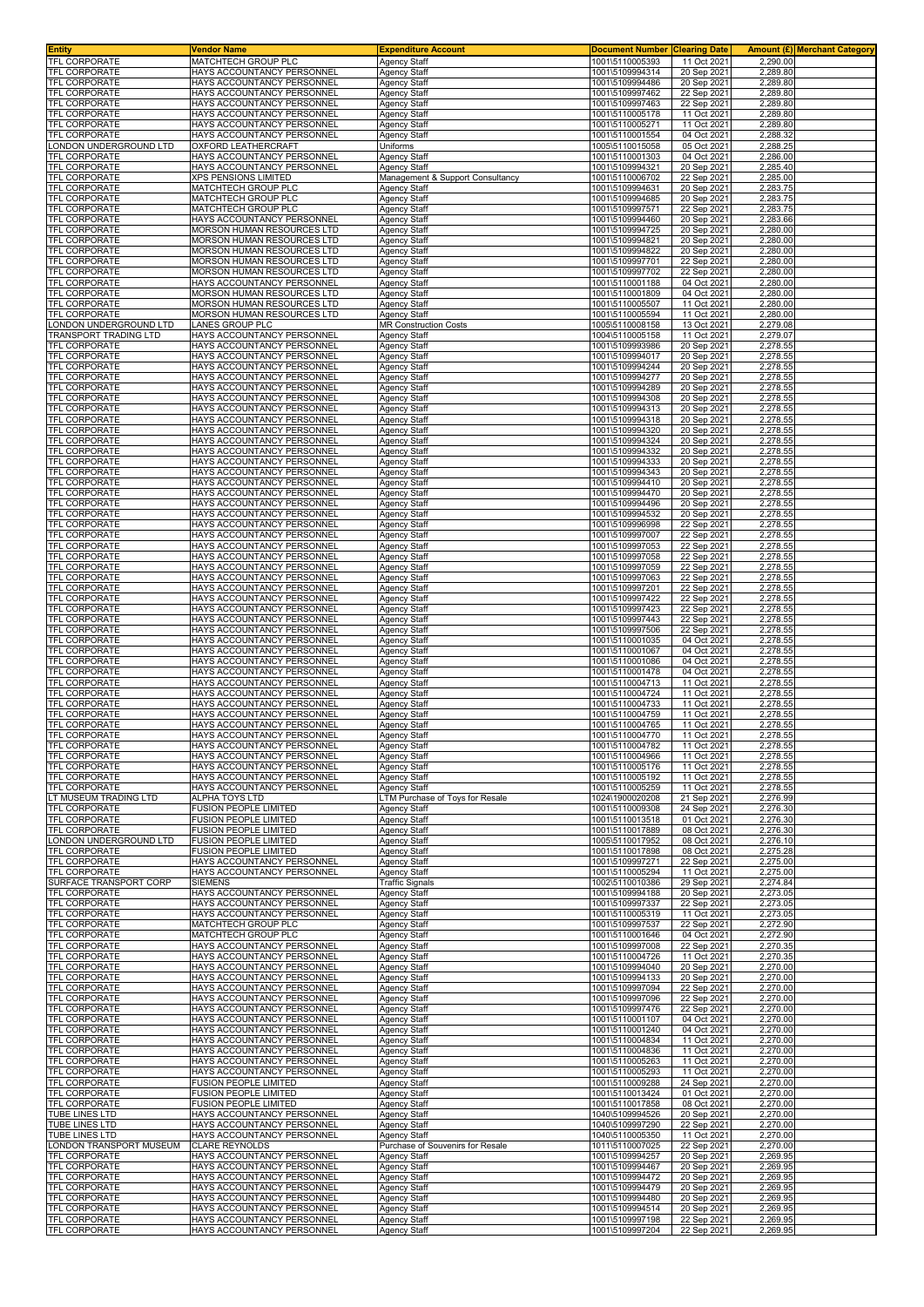| <b>Entity</b>                                | Vendor Name                                                     | <b>Expenditure Account</b>                                   | <b>Document Number</b>             | <b>Clearing Date</b>       | Amount (£) Merchant Category |
|----------------------------------------------|-----------------------------------------------------------------|--------------------------------------------------------------|------------------------------------|----------------------------|------------------------------|
| TFL CORPORATE<br><b>TFL CORPORATE</b>        | MATCHTECH GROUP PLC<br>HAYS ACCOUNTANCY PERSONNEL               | Agency Staff<br>Agency Staff                                 | 1001\5110005393<br>1001\5109994314 | 11 Oct 2021<br>20 Sep 2021 | 2,290.00<br>2,289.80         |
| TFL CORPORATE                                | HAYS ACCOUNTANCY PERSONNEL                                      | Agency Staff                                                 | 1001\5109994486                    | 20 Sep 2021                | 2,289.80                     |
| TFL CORPORATE                                | HAYS ACCOUNTANCY PERSONNEI                                      | <b>Agency Staff</b>                                          | 1001\5109997462                    | 22 Sep 2021                | 2,289.80                     |
| TFL CORPORATE                                | HAYS ACCOUNTANCY PERSONNEL                                      | Agency Staff                                                 | 1001\5109997463                    | 22 Sep 2021                | 2,289.80                     |
| TFL CORPORATE<br>TFL CORPORATE               | HAYS ACCOUNTANCY PERSONNEL<br>HAYS ACCOUNTANCY PERSONNEL        | Agency Staff<br>Agency Staff                                 | 1001\5110005178<br>1001\5110005271 | 11 Oct 2021<br>11 Oct 2021 | 2,289.80<br>2,289.80         |
| <b>TFL CORPORATE</b>                         | HAYS ACCOUNTANCY PERSONNEL                                      | Agency Staff                                                 | 1001\5110001554                    | 04 Oct 2021                | 2,288.32                     |
| ONDON UNDERGROUND LTD                        | <b>OXFORD LEATHERCRAFT</b>                                      | Uniforms                                                     | 1005\5110015058                    | 05 Oct 2021                | 2,288.25                     |
| TFL CORPORATE                                | HAYS ACCOUNTANCY PERSONNEL                                      | Agency Staff                                                 | 1001\5110001303                    | 04 Oct 2021                | 2,286.00                     |
| TFL CORPORATE<br>TFL CORPORATE               | HAYS ACCOUNTANCY PERSONNEL<br><b>XPS PENSIONS LIMITED</b>       | Agency Staff<br><u> Management &amp; Support Consultancy</u> | 1001\5109994321<br>1001\5110006702 | 20 Sep 2021<br>22 Sep 2021 | 2,285.40<br>2,285.00         |
| TFL CORPORATE                                | MATCHTECH GROUP PLC                                             | Agency Staff                                                 | 1001\5109994631                    | 20 Sep 2021                | 2,283.75                     |
| TFL CORPORATE                                | MATCHTECH GROUP PLC                                             | <b>Agency Staff</b>                                          | 1001\5109994685                    | 20 Sep 2021                | 2,283.75                     |
| <b>TFL CORPORATE</b><br>TFL CORPORATE        | MATCHTECH GROUP PLC<br>HAYS ACCOUNTANCY PERSONNEI               | <b>Agency Staff</b>                                          | 1001\5109997571                    | 22 Sep 2021                | 2,283.75<br>2,283.66         |
| TFL CORPORATE                                | MORSON HUMAN RESOURCES LTD                                      | Agency Staff<br>Agency Staff                                 | 1001\5109994460<br>1001\5109994725 | 20 Sep 2021<br>20 Sep 2021 | 2,280.00                     |
| TFL CORPORATE                                | MORSON HUMAN RESOURCES LTD                                      | Agency Staff                                                 | 1001\5109994821                    | 20 Sep 2021                | 2,280.00                     |
| TFL CORPORATE                                | MORSON HUMAN RESOURCES LTD                                      | Agency Staff                                                 | 1001\5109994822                    | 20 Sep 2021                | 2,280.00                     |
| TFL CORPORATE<br><b>TFL CORPORATE</b>        | <b>MORSON HUMAN RESOURCES LTD</b><br>MORSON HUMAN RESOURCES LTD | Agency Staff<br>Agency Staff                                 | 1001\5109997701<br>1001\5109997702 | 22 Sep 2021<br>22 Sep 2021 | 2,280.00<br>2,280.00         |
| <b>TFL CORPORATE</b>                         | HAYS ACCOUNTANCY PERSONNEL                                      | <b>Agency Staff</b>                                          | 1001\5110001188                    | 04 Oct 2021                | 2,280.00                     |
| <b>TFL CORPORATE</b>                         | MORSON HUMAN RESOURCES LTD                                      | Agency Staff                                                 | 1001\5110001809                    | 04 Oct 2021                | 2,280.00                     |
| TFL CORPORATE<br>TFL CORPORATE               | MORSON HUMAN RESOURCES LTD<br>MORSON HUMAN RESOURCES LTD        | Agency Staff                                                 | 1001\5110005507<br>1001\5110005594 | 11 Oct 2021<br>11 Oct 2021 | 2,280.00<br>2,280.00         |
| ONDON UNDERGROUND LTD                        | LANES GROUP PLC                                                 | Agency Staff<br><b>MR Construction Costs</b>                 | 1005\5110008158                    | 13 Oct 2021                | 2,279.08                     |
| TRANSPORT TRADING LTD                        | HAYS ACCOUNTANCY PERSONNEL                                      | Agency Staff                                                 | 1004\5110005158                    | 11 Oct 2021                | 2,279.07                     |
| <b>TFL CORPORATE</b>                         | HAYS ACCOUNTANCY PERSONNEI                                      | <b>Agency Staff</b>                                          | 1001\5109993986                    | 20 Sep 2021                | 2,278.55                     |
| TFL CORPORATE<br>TFL CORPORATE               | HAYS ACCOUNTANCY PERSONNEL<br>HAYS ACCOUNTANCY PERSONNEL        | Agency Staff<br>Agency Staff                                 | 1001\5109994017<br>1001\5109994244 | 20 Sep 2021<br>20 Sep 2021 | 2,278.55<br>2,278.55         |
| TFL CORPORATE                                | HAYS ACCOUNTANCY PERSONNEL                                      | Agency Staff                                                 | 1001\5109994277                    | 20 Sep 2021                | 2,278.55                     |
| <b>TFL CORPORATE</b>                         | HAYS ACCOUNTANCY PERSONNEI                                      | Agency Staff                                                 | 1001\5109994289                    | 20 Sep 2021                | 2,278.55                     |
| <b>TFL CORPORATE</b>                         | HAYS ACCOUNTANCY PERSONNEL                                      | Agency Staff                                                 | 1001\5109994308                    | 20 Sep 2021                | 2,278.55                     |
| <b>TFL CORPORATE</b><br><b>TFL CORPORATE</b> | HAYS ACCOUNTANCY PERSONNEL<br>HAYS ACCOUNTANCY PERSONNEI        | Agency Staff<br>Agency Staff                                 | 1001\5109994313<br>1001\5109994318 | 20 Sep 2021<br>20 Sep 2021 | 2,278.55<br>2,278.55         |
| <b>TFL CORPORATE</b>                         | HAYS ACCOUNTANCY PERSONNEI                                      | Agency Staff                                                 | 1001\5109994320                    | 20 Sep 2021                | 2,278.55                     |
| TFL CORPORATE                                | HAYS ACCOUNTANCY PERSONNEL                                      | Agency Staff                                                 | 1001\5109994324                    | 20 Sep 2021                | 2,278.55                     |
| <b>TFL CORPORATE</b>                         | HAYS ACCOUNTANCY PERSONNEI<br>HAYS ACCOUNTANCY PERSONNEL        | <b>Agency Staff</b>                                          | 1001\5109994332                    | 20 Sep 2021                | 2,278.55<br>2,278.55         |
| TFL CORPORATE<br>TFL CORPORATE               | HAYS ACCOUNTANCY PERSONNEI                                      | Agency Staff<br>Agency Staff                                 | 1001\5109994333<br>1001\5109994343 | 20 Sep 2021<br>20 Sep 2021 | 2,278.55                     |
| TFL CORPORATE                                | HAYS ACCOUNTANCY PERSONNEL                                      | Agency Staff                                                 | 1001\5109994410                    | 20 Sep 2021                | 2,278.55                     |
| TFL CORPORATE                                | HAYS ACCOUNTANCY PERSONNEL                                      | Agency Staff                                                 | 1001\5109994470                    | 20 Sep 2021                | 2,278.55                     |
| TFL CORPORATE<br><b>TFL CORPORATE</b>        | HAYS ACCOUNTANCY PERSONNEL<br>HAYS ACCOUNTANCY PERSONNEL        | Agency Staff<br>Agency Staff                                 | 1001\5109994496<br>1001\5109994532 | 20 Sep 2021<br>20 Sep 2021 | 2,278.55<br>2,278.55         |
| TFL CORPORATE                                | HAYS ACCOUNTANCY PERSONNEL                                      | Agency Staff                                                 | 1001\5109996998                    | 22 Sep 2021                | 2,278.55                     |
| TFL CORPORATE                                | HAYS ACCOUNTANCY PERSONNEL                                      | Agency Staff                                                 | 1001\5109997007                    | 22 Sep 2021                | 2,278.55                     |
| TFL CORPORATE                                | HAYS ACCOUNTANCY PERSONNEL                                      | Agency Staff                                                 | 1001\5109997053                    | 22 Sep 2021                | 2,278.55                     |
| TFL CORPORATE<br>TFL CORPORATE               | HAYS ACCOUNTANCY PERSONNEL<br>HAYS ACCOUNTANCY PERSONNEL        | Agency Staff<br><b>Agency Staff</b>                          | 1001\5109997058<br>1001\5109997059 | 22 Sep 2021<br>22 Sep 2021 | 2,278.55<br>2,278.55         |
| TFL CORPORATE                                | HAYS ACCOUNTANCY PERSONNEL                                      | Agency Staff                                                 | 1001\5109997063                    | 22 Sep 2021                | 2,278.55                     |
| TFL CORPORATE                                | HAYS ACCOUNTANCY PERSONNEL                                      | <b>Agency Staff</b>                                          | 1001\5109997201                    | 22 Sep 2021                | 2,278.55                     |
| TFL CORPORATE                                | HAYS ACCOUNTANCY PERSONNEL                                      | Agency Staff                                                 | 1001\5109997422                    | 22 Sep 2021                | 2,278.55                     |
| TFL CORPORATE<br>TFL CORPORATE               | HAYS ACCOUNTANCY PERSONNEL<br>HAYS ACCOUNTANCY PERSONNEL        | Agency Staff<br>Agency Staff                                 | 1001\5109997423<br>1001\5109997443 | 22 Sep 2021<br>22 Sep 2021 | 2,278.55<br>2,278.55         |
| TFL CORPORATE                                | HAYS ACCOUNTANCY PERSONNEL                                      | Agency Staff                                                 | 1001\5109997506                    | 22 Sep 2021                | 2,278.55                     |
| TFL CORPORATE                                | HAYS ACCOUNTANCY PERSONNEL                                      | Agency Staff                                                 | 1001\5110001035                    | 04 Oct 2021                | 2,278.55                     |
| <b>TFL CORPORATE</b><br>TFL CORPORATE        | HAYS ACCOUNTANCY PERSONNEL<br>HAYS ACCOUNTANCY PERSONNEL        | Agency Staff                                                 | 1001\5110001067<br>1001\5110001086 | 04 Oct 2021<br>04 Oct 2021 | 2,278.55<br>2,278.55         |
| TFL CORPORATE                                | HAYS ACCOUNTANCY PERSONNEL                                      | Agency Staff<br>Agency Staff                                 | 1001\5110001478                    | 04 Oct 2021                | 2,278.55                     |
| <b>TFL CORPORATE</b>                         | HAYS ACCOUNTANCY PERSONNEL                                      | Agency Staff                                                 | 1001\5110004713                    | 11 Oct 2021                | 2,278.55                     |
| <b>TFL CORPORATE</b>                         | HAYS ACCOUNTANCY PERSONNEL                                      | <b>Agency Staff</b>                                          | 1001\5110004724                    | 11 Oct 2021                | 2,278.55                     |
| TFL CORPORATE<br>TFL CORPORATE               | HAYS ACCOUNTANCY PERSONNEL<br>HAYS ACCOUNTANCY PERSONNEI        | Agency Staff<br>Agency Staff                                 | 1001\5110004733<br>1001\5110004759 | 11 Oct 2021<br>11 Oct 2021 | 2.278.55<br>2,278.55         |
| <b>TFL CORPORATE</b>                         | HAYS ACCOUNTANCY PERSONNEL                                      | Agency Staff                                                 | 1001\5110004765                    | 11 Oct 2021                | 2,278.55                     |
| TFL CORPORATE                                | HAYS ACCOUNTANCY PERSONNEL                                      | Agency Staff                                                 | 1001\5110004770                    | 11 Oct 2021                | 2,278.55                     |
| <b>TFL CORPORATE</b>                         | HAYS ACCOUNTANCY PERSONNEL                                      | Agency Staff                                                 | 1001\5110004782                    | 11 Oct 2021                | 2,278.55                     |
| <b>TFL CORPORATE</b><br>TFL CORPORATE        | HAYS ACCOUNTANCY PERSONNEL<br>HAYS ACCOUNTANCY PERSONNEL        | Agency Staff<br>Agency Staff                                 | 1001\5110004966<br>1001\5110005176 | 11 Oct 2021<br>11 Oct 2021 | 2,278.55<br>2,278.55         |
| TFL CORPORATE                                | HAYS ACCOUNTANCY PERSONNEL                                      | Agency Staff                                                 | 1001\5110005192                    | 11 Oct 2021                | 2,278.55                     |
| TFL CORPORATE                                | HAYS ACCOUNTANCY PERSONNEL                                      | Agency Staff                                                 | 1001\5110005259                    | 11 Oct 2021                | 2.278.55                     |
| T MUSEUM TRADING LTD<br>TFL CORPORATE        | <b>ALPHA TOYS LTD</b><br><b>FUSION PEOPLE LIMITED</b>           | LTM Purchase of Toys for Resale<br><b>Agency Staff</b>       | 1024\1900020208<br>1001\5110009308 | 21 Sep 2021<br>24 Sep 2021 | 2,276.99<br>2.276.30         |
| TFL CORPORATE                                | <b>FUSION PEOPLE LIMITED</b>                                    | Agency Staff                                                 | 1001\5110013518                    | 01 Oct 2021                | 2,276.30                     |
| TFL CORPORATE                                | <b>FUSION PEOPLE LIMITED</b>                                    | Agency Staff                                                 | 1001\5110017889                    | 08 Oct 2021                | 2,276.30                     |
| ONDON UNDERGROUND LTD                        | <b>FUSION PEOPLE LIMITED</b>                                    | Agency Staff                                                 | 1005\5110017952                    | 08 Oct 2021                | 2,276.10                     |
| TFL CORPORATE<br><b>TFL CORPORATE</b>        | <b>FUSION PEOPLE LIMITED</b><br>HAYS ACCOUNTANCY PERSONNEL      | Agency Staff<br>Agency Staff                                 | 1001\5110017898<br>1001\5109997271 | 08 Oct 2021<br>22 Sep 2021 | 2,275.28<br>2,275.00         |
| <b>TFL CORPORATE</b>                         | HAYS ACCOUNTANCY PERSONNEL                                      | Agency Staff                                                 | 1001\5110005294                    | 11 Oct 2021                | 2,275.00                     |
| SURFACE TRANSPORT CORP                       | <b>SIEMENS</b>                                                  | <b>Traffic Signals</b>                                       | 1002\5110010386                    | 29 Sep 2021                | 2,274.84                     |
| TFL CORPORATE<br>TFL CORPORATE               | HAYS ACCOUNTANCY PERSONNEL<br>HAYS ACCOUNTANCY PERSONNEL        | Agency Staff<br><b>Agency Staff</b>                          | 1001\5109994188<br>1001\5109997337 | 20 Sep 2021<br>22 Sep 2021 | 2,273.05<br>2,273.05         |
| TFL CORPORATE                                | HAYS ACCOUNTANCY PERSONNEL                                      | Agency Staff                                                 | 1001\5110005319                    | 11 Oct 2021                | 2,273.05                     |
| TFL CORPORATE                                | MATCHTECH GROUP PLC                                             | Agency Staff                                                 | 1001\5109997537                    | 22 Sep 2021                | 2,272.90                     |
| TFL CORPORATE<br>TFL CORPORATE               | MATCHTECH GROUP PLC<br>HAYS ACCOUNTANCY PERSONNEL               | <b>Agency Staff</b><br><b>Agency Staff</b>                   | 1001\5110001646<br>1001\5109997008 | 04 Oct 2021<br>22 Sep 2021 | 2,272.90<br>2,270.35         |
| TFL CORPORATE                                | HAYS ACCOUNTANCY PERSONNEL                                      | <b>Agency Staff</b>                                          | 1001\5110004726                    | 11 Oct 2021                | 2,270.35                     |
| TFL CORPORATE                                | HAYS ACCOUNTANCY PERSONNEL                                      | Agency Staff                                                 | 1001\5109994040                    | 20 Sep 2021                | 2,270.00                     |
| TFL CORPORATE                                | HAYS ACCOUNTANCY PERSONNEL                                      | <b>Agency Staff</b>                                          | 1001\5109994133                    | 20 Sep 2021                | 2,270.00                     |
| TFL CORPORATE<br>TFL CORPORATE               | HAYS ACCOUNTANCY PERSONNEL<br>HAYS ACCOUNTANCY PERSONNEL        | Agency Staff<br><b>Agency Staff</b>                          | 1001\5109997094<br>1001\5109997096 | 22 Sep 2021<br>22 Sep 2021 | 2,270.00<br>2,270.00         |
| TFL CORPORATE                                | HAYS ACCOUNTANCY PERSONNEL                                      | Agency Staff                                                 | 1001\5109997476                    | 22 Sep 2021                | 2,270.00                     |
| TFL CORPORATE                                | HAYS ACCOUNTANCY PERSONNEL                                      | Agency Staff                                                 | 1001\5110001107                    | 04 Oct 2021                | 2,270.00                     |
| TFL CORPORATE<br>TFL CORPORATE               | HAYS ACCOUNTANCY PERSONNEL<br>HAYS ACCOUNTANCY PERSONNEL        | <b>Agency Staff</b><br><b>Agency Staff</b>                   | 1001\5110001240<br>1001\5110004834 | 04 Oct 2021<br>11 Oct 2021 | 2,270.00<br>2,270.00         |
| TFL CORPORATE                                | HAYS ACCOUNTANCY PERSONNEL                                      | Agency Staff                                                 | 1001\5110004836                    | 11 Oct 2021                | 2,270.00                     |
| TFL CORPORATE                                | HAYS ACCOUNTANCY PERSONNEL                                      | Agency Staff                                                 | 1001\5110005263                    | 11 Oct 2021                | 2,270.00                     |
| <b>TFL CORPORATE</b>                         | HAYS ACCOUNTANCY PERSONNEL                                      | <b>Agency Staff</b>                                          | 1001\5110005293                    | 11 Oct 2021                | 2,270.00                     |
| TFL CORPORATE<br>TFL CORPORATE               | FUSION PEOPLE LIMITED<br><b>FUSION PEOPLE LIMITED</b>           | <b>Agency Staff</b><br>Agency Staff                          | 1001\5110009288<br>1001\5110013424 | 24 Sep 2021<br>01 Oct 2021 | 2,270.00<br>2,270.00         |
| <b>TFL CORPORATE</b>                         | <b>FUSION PEOPLE LIMITED</b>                                    | Agency Staff                                                 | 1001\5110017858                    | 08 Oct 2021                | 2,270.00                     |
| TUBE LINES LTD                               | HAYS ACCOUNTANCY PERSONNEL                                      | <b>Agency Staff</b>                                          | 1040\5109994526                    | 20 Sep 2021                | 2,270.00                     |
| TUBE LINES LTD<br>TUBE LINES LTD             | HAYS ACCOUNTANCY PERSONNEL<br>HAYS ACCOUNTANCY PERSONNEL        | Agency Staff                                                 | 1040\5109997290<br>1040\5110005350 | 22 Sep 2021<br>11 Oct 2021 | 2,270.00<br>2,270.00         |
| ONDON TRANSPORT MUSEUM                       | <b>CLARE REYNOLDS</b>                                           | <b>Agency Staff</b><br>Purchase of Souvenirs for Resale      | 1011\5110007025                    | 22 Sep 2021                | 2,270.00                     |
| TFL CORPORATE                                | HAYS ACCOUNTANCY PERSONNEL                                      | Agency Staff                                                 | 1001\5109994257                    | 20 Sep 2021                | 2,269.95                     |
| TFL CORPORATE                                | HAYS ACCOUNTANCY PERSONNEL                                      | Agency Staff                                                 | 1001\5109994467                    | 20 Sep 2021                | 2,269.95                     |
| TFL CORPORATE<br>TFL CORPORATE               | HAYS ACCOUNTANCY PERSONNEL<br>HAYS ACCOUNTANCY PERSONNEL        | Agency Staff<br><b>Agency Staff</b>                          | 1001\5109994472<br>1001\5109994479 | 20 Sep 2021<br>20 Sep 2021 | 2,269.95<br>2,269.95         |
| TFL CORPORATE                                | HAYS ACCOUNTANCY PERSONNEL                                      | Agency Staff                                                 | 1001\5109994480                    | 20 Sep 2021                | 2,269.95                     |
| TFL CORPORATE                                | HAYS ACCOUNTANCY PERSONNEL                                      | Agency Staff                                                 | 1001\5109994514                    | 20 Sep 2021                | 2,269.95                     |
| TFL CORPORATE                                | HAYS ACCOUNTANCY PERSONNEL<br>HAYS ACCOUNTANCY PERSONNEL        | <b>Agency Staff</b><br>Agency Staff                          | 1001\5109997198<br>1001\5109997204 | 22 Sep 2021<br>22 Sep 2021 | 2,269.95<br>2,269.95         |
| <b>TFL CORPORATE</b>                         |                                                                 |                                                              |                                    |                            |                              |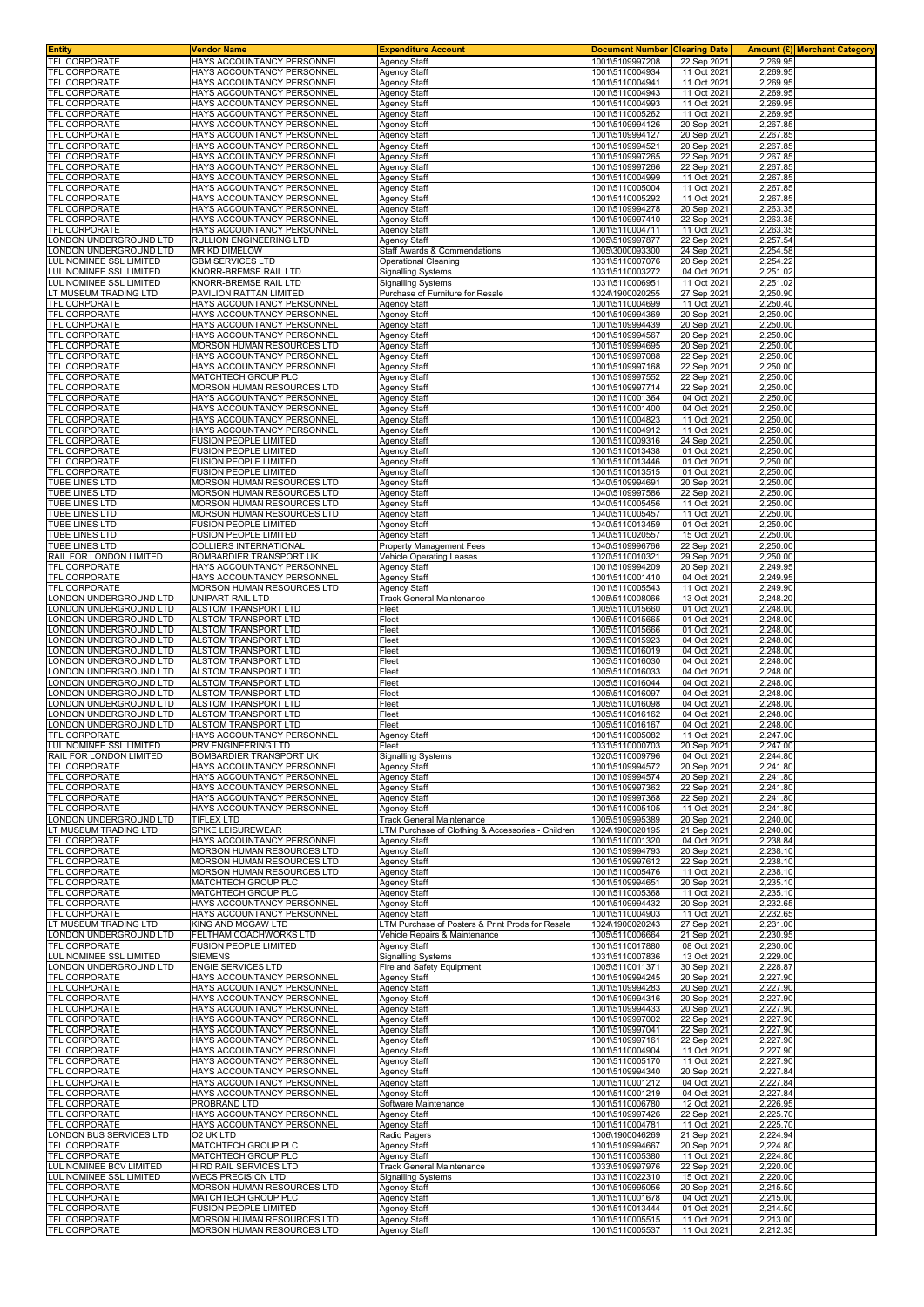| <b>Entity</b>                                                                                                                                         | Vendor Name                                                     | <b>Expenditure Account</b>                                                        | <b>Document Number</b>             | <b>Clearing Date</b>       |                      | Amount (£)  Merchant Category |
|-------------------------------------------------------------------------------------------------------------------------------------------------------|-----------------------------------------------------------------|-----------------------------------------------------------------------------------|------------------------------------|----------------------------|----------------------|-------------------------------|
| TFL CORPORATE                                                                                                                                         | HAYS ACCOUNTANCY PERSONNEL<br>HAYS ACCOUNTANCY PERSONNEL        | <b>Agency Staff</b>                                                               | 1001\5109997208<br>1001\5110004934 | 22 Sep 2021                | 2,269.95             |                               |
| TFL CORPORATE<br>TFL CORPORATE                                                                                                                        | HAYS ACCOUNTANCY PERSONNEL                                      | <b>Agency Staff</b><br><b>Agency Staff</b>                                        | 1001\5110004941                    | 11 Oct 2021<br>11 Oct 2021 | 2,269.95<br>2,269.95 |                               |
| TFL CORPORATE                                                                                                                                         | HAYS ACCOUNTANCY PERSONNEI                                      | <b>Agency Staff</b>                                                               | 1001\5110004943                    | 11 Oct 2021                | 2,269.95             |                               |
| TFL CORPORATE                                                                                                                                         | HAYS ACCOUNTANCY PERSONNEI                                      | <b>Agency Staff</b>                                                               | 1001\5110004993                    | 11 Oct 2021                | 2,269.95             |                               |
| TFL CORPORATE                                                                                                                                         | HAYS ACCOUNTANCY PERSONNEL                                      | Agency Staff                                                                      | 1001\5110005262                    | 11 Oct 2021                | 2,269.95             |                               |
| <b>TFL CORPORATE</b>                                                                                                                                  | HAYS ACCOUNTANCY PERSONNEL                                      | Agency Staff                                                                      | 1001\5109994126                    | 20 Sep 2021                | 2,267.85             |                               |
| TFL CORPORATE<br>TFL CORPORATE                                                                                                                        | HAYS ACCOUNTANCY PERSONNEL<br>HAYS ACCOUNTANCY PERSONNEL        | Agency Staff<br><b>Agency Staff</b>                                               | 1001\5109994127<br>1001\5109994521 | 20 Sep 2021                | 2,267.85<br>2,267.85 |                               |
| <b>TFL CORPORATE</b>                                                                                                                                  | HAYS ACCOUNTANCY PERSONNEL                                      | <b>Agency Staff</b>                                                               | 1001\5109997265                    | 20 Sep 2021<br>22 Sep 2021 | 2,267.85             |                               |
| TFL CORPORATE                                                                                                                                         | HAYS ACCOUNTANCY PERSONNEL                                      | Agency Staff                                                                      | 1001\5109997266                    | 22 Sep 2021                | 2,267.85             |                               |
| TFL CORPORATE                                                                                                                                         | HAYS ACCOUNTANCY PERSONNEL                                      | Agency Staff                                                                      | 1001\5110004999                    | 11 Oct 2021                | 2,267.85             |                               |
| TFL CORPORATE                                                                                                                                         | HAYS ACCOUNTANCY PERSONNEL                                      | <b>Agency Staff</b>                                                               | 1001\5110005004                    | 11 Oct 2021                | 2,267.85             |                               |
| TFL CORPORATE<br>TFL CORPORATE                                                                                                                        | HAYS ACCOUNTANCY PERSONNEL<br>HAYS ACCOUNTANCY PERSONNEL        | <b>Agency Staff</b><br><b>Agency Staff</b>                                        | 1001\5110005292<br>1001\5109994278 | 11 Oct 2021<br>20 Sep 2021 | 2,267.85<br>2,263.35 |                               |
| <b>TFL CORPORATE</b>                                                                                                                                  | HAYS ACCOUNTANCY PERSONNEL                                      | <b>Agency Staff</b>                                                               | 1001\5109997410                    | 22 Sep 2021                | 2,263.35             |                               |
| TFL CORPORATE                                                                                                                                         | HAYS ACCOUNTANCY PERSONNEL                                      | <b>Agency Staff</b>                                                               | 1001\5110004711                    | 11 Oct 2021                | 2,263.35             |                               |
| ONDON UNDERGROUND LTD                                                                                                                                 | RULLION ENGINEERING LTD                                         | <b>Agency Staff</b>                                                               | 1005\5109997877                    | 22 Sep 2021                | 2,257.54             |                               |
| LONDON UNDERGROUND LTD<br>LUL NOMINEE SSL LIMITED                                                                                                     | MR KD DIMELOW<br><b>GBM SERVICES LTD</b>                        | Staff Awards & Commendations                                                      | 1005\3000093300                    | 24 Sep 2021                | 2,254.58<br>2.254.22 |                               |
| LUL NOMINEE SSL LIMITED                                                                                                                               | KNORR-BREMSE RAIL LTD                                           | <b>Operational Cleaning</b><br><b>Signalling Systems</b>                          | 1031\5110007076<br>1031\5110003272 | 20 Sep 2021<br>04 Oct 2021 | 2,251.02             |                               |
| LUL NOMINEE SSL LIMITED                                                                                                                               | KNORR-BREMSE RAIL LTD                                           | <b>Signalling Systems</b>                                                         | 1031\5110006951                    | 11 Oct 2021                | 2,251.02             |                               |
| LT MUSEUM TRADING LTD                                                                                                                                 | PAVILION RATTAN LIMITED                                         | Purchase of Furniture for Resale                                                  | 1024\1900020255                    | 27 Sep 2021                | 2,250.90             |                               |
| TFL CORPORATE                                                                                                                                         | HAYS ACCOUNTANCY PERSONNEL                                      | <b>Agency Staff</b>                                                               | 1001\5110004699                    | 11 Oct 2021                | 2,250.40             |                               |
| TFL CORPORATE<br>TFL CORPORATE                                                                                                                        | HAYS ACCOUNTANCY PERSONNEL<br>HAYS ACCOUNTANCY PERSONNEL        | Agency Staff<br><b>Agency Staff</b>                                               | 1001\5109994369<br>1001\5109994439 | 20 Sep 2021<br>20 Sep 2021 | 2,250.00<br>2,250.00 |                               |
| TFL CORPORATE                                                                                                                                         | HAYS ACCOUNTANCY PERSONNEI                                      | <b>Agency Staff</b>                                                               | 1001\5109994567                    | 20 Sep 2021                | 2,250.00             |                               |
| TFL CORPORATE                                                                                                                                         | MORSON HUMAN RESOURCES LTD                                      | <b>Agency Staff</b>                                                               | 1001\5109994695                    | 20 Sep 2021                | 2,250.00             |                               |
| TFL CORPORATE                                                                                                                                         | HAYS ACCOUNTANCY PERSONNEL                                      | Agency Staff                                                                      | 1001\5109997088                    | 22 Sep 2021                | 2,250.00             |                               |
| <b>TFL CORPORATE</b>                                                                                                                                  | HAYS ACCOUNTANCY PERSONNEL                                      | Agency Staff                                                                      | 1001\5109997168                    | 22 Sep 2021                | 2,250.00             |                               |
| TFL CORPORATE<br>TFL CORPORATE                                                                                                                        | MATCHTECH GROUP PLC<br>MORSON HUMAN RESOURCES LTD               | Agency Staff<br>Agency Staff                                                      | 1001\5109997552<br>1001\5109997714 | 22 Sep 2021<br>22 Sep 2021 | 2,250.00<br>2,250.00 |                               |
| <b>TFL CORPORATE</b>                                                                                                                                  | HAYS ACCOUNTANCY PERSONNEL                                      | <b>Agency Staff</b>                                                               | 1001\5110001364                    | 04 Oct 2021                | 2,250.00             |                               |
| TFL CORPORATE                                                                                                                                         | HAYS ACCOUNTANCY PERSONNEL                                      | Agency Staff                                                                      | 1001\5110001400                    | 04 Oct 2021                | 2,250.00             |                               |
| TFL CORPORATE                                                                                                                                         | HAYS ACCOUNTANCY PERSONNEL                                      | Agency Staff                                                                      | 1001\5110004823                    | 11 Oct 2021                | 2,250.00             |                               |
| TFL CORPORATE                                                                                                                                         | HAYS ACCOUNTANCY PERSONNEL                                      | <b>Agency Staff</b>                                                               | 1001\5110004912                    | 11 Oct 2021                | 2,250.00             |                               |
| <b>TFL CORPORATE</b><br>TFL CORPORATE                                                                                                                 | FUSION PEOPLE LIMITED<br>FUSION PEOPLE LIMITED                  | Agency Staff<br><b>Agency Staff</b>                                               | 1001\5110009316<br>1001\5110013438 | 24 Sep 2021<br>01 Oct 2021 | 2,250.00<br>2,250.00 |                               |
| TFL CORPORATE                                                                                                                                         | <b>FUSION PEOPLE LIMITED</b>                                    | Agency Staff                                                                      | 1001\5110013446                    | 01 Oct 2021                | 2,250.00             |                               |
| TFL CORPORATE                                                                                                                                         | FUSION PEOPLE LIMITED                                           | <b>Agency Staff</b>                                                               | 1001\5110013515                    | 01 Oct 2021                | 2,250.00             |                               |
| TUBE LINES LTD                                                                                                                                        | MORSON HUMAN RESOURCES LTD                                      | <b>Agency Staff</b>                                                               | 1040\5109994691                    | 20 Sep 2021                | 2,250.00             |                               |
| <b>TUBE LINES LTD</b><br>TUBE LINES LTD                                                                                                               | MORSON HUMAN RESOURCES LTD<br>MORSON HUMAN RESOURCES LTD        | <b>Agency Staff</b><br><b>Agency Staff</b>                                        | 1040\5109997586<br>1040\5110005456 | 22 Sep 2021<br>11 Oct 2021 | 2,250.00<br>2,250.00 |                               |
| TUBE LINES LTD                                                                                                                                        | MORSON HUMAN RESOURCES LTD                                      | Agency Staff                                                                      | 1040\5110005457                    | 11 Oct 2021                | 2,250.00             |                               |
| TUBE LINES LTD                                                                                                                                        | <b>FUSION PEOPLE LIMITED</b>                                    | <b>Agency Staff</b>                                                               | 1040\5110013459                    | 01 Oct 2021                | 2,250.00             |                               |
| TUBE LINES LTD                                                                                                                                        | FUSION PEOPLE LIMITED                                           | Agency Staff                                                                      | 1040\5110020557                    | 15 Oct 2021                | 2,250.00             |                               |
| TUBE LINES LTD<br>RAIL FOR LONDON LIMITED                                                                                                             | COLLIERS INTERNATIONAL<br>BOMBARDIER TRANSPORT UK               | <b>Property Management Fees</b><br>Vehicle Operating Leases                       | 1040\5109996766<br>1020\5110010321 | 22 Sep 2021<br>29 Sep 202  | 2,250.00<br>2,250.00 |                               |
| TFL CORPORATE                                                                                                                                         | HAYS ACCOUNTANCY PERSONNEL                                      | <b>Agency Staff</b>                                                               | 1001\5109994209                    | 20 Sep 2021                | 2,249.95             |                               |
| TFL CORPORATE                                                                                                                                         | HAYS ACCOUNTANCY PERSONNEI                                      | <b>Agency Staff</b>                                                               | 1001\5110001410                    | 04 Oct 2021                | 2,249.95             |                               |
| TFL CORPORATE                                                                                                                                         | MORSON HUMAN RESOURCES LTD                                      | Agency Staff                                                                      | 1001\5110005543                    | 11 Oct 2021                | 2,249.90             |                               |
| ONDON UNDERGROUND LTD<br>ONDON UNDERGROUND LTD                                                                                                        | UNIPART RAIL LTD<br>ALSTOM TRANSPORT LTD                        | Track General Maintenance<br>Fleet                                                | 1005\5110008066<br>1005\5110015660 | 13 Oct 2021<br>01 Oct 2021 | 2,248.20<br>2,248.00 |                               |
| ONDON UNDERGROUND LTD                                                                                                                                 | ALSTOM TRANSPORT LTD                                            | Fleet                                                                             | 1005\5110015665                    | 01 Oct 2021                | 2,248.00             |                               |
| ONDON UNDERGROUND LTD                                                                                                                                 | ALSTOM TRANSPORT LTD                                            | Fleet                                                                             | 1005\5110015666                    | 01 Oct 2021                | 2,248.00             |                               |
| ONDON UNDERGROUND LTD                                                                                                                                 | ALSTOM TRANSPORT LTD                                            | Fleet                                                                             | 1005\5110015923                    | 04 Oct 2021                | 2,248.00<br>2.248.00 |                               |
| ONDON UNDERGROUND LTD<br>ONDON UNDERGROUND LTD.                                                                                                       | ALSTOM TRANSPORT LTD<br>ALSTOM TRANSPORT LTD                    | Fleet<br>Fleet                                                                    | 1005\5110016019<br>1005\5110016030 | 04 Oct 2021<br>04 Oct 2021 | 2,248.00             |                               |
| ONDON UNDERGROUND LTD                                                                                                                                 | ALSTOM TRANSPORT LTD                                            | Fleet                                                                             | 1005\5110016033                    | 04 Oct 2021                | 2,248.00             |                               |
| ONDON UNDERGROUND LTD                                                                                                                                 | ALSTOM TRANSPORT LTD                                            | Fleet                                                                             | 1005\5110016044                    | 04 Oct 2021                | 2,248.00             |                               |
| ONDON UNDERGROUND LTD                                                                                                                                 | ALSTOM TRANSPORT LTD                                            | Fleet                                                                             | 1005\5110016097                    | 04 Oct 2021                | 2,248.00             |                               |
| ONDON UNDERGROUND LTD<br>ONDON UNDERGROUND LTD                                                                                                        | ALSTOM TRANSPORT LTD<br>ALSTOM TRANSPORT LTD                    | Fleet<br>Fleet                                                                    | 1005\5110016098<br>1005\5110016162 | 04 Oct 2021<br>04 Oct 2021 | 2,248.00<br>2,248.00 |                               |
| ONDON UNDERGROUND LTD.                                                                                                                                | <b>ALSTOM TRANSPORT LTD</b>                                     | Fleet                                                                             | 1005\5110016167                    | 04 Oct 2021                | 2,248.00             |                               |
| TFL CORPORATE                                                                                                                                         | HAYS ACCOUNTANCY PERSONNEL                                      | <b>Agency Staff</b>                                                               | 1001\5110005082                    | 11 Oct 2021                | 2,247.00             |                               |
| LUL NOMINEE SSL LIMITED<br>RAIL FOR LONDON LIMITED                                                                                                    | PRV ENGINEERING LTD                                             | Fleet                                                                             | 1031\5110000703<br>1020\5110009796 | 20 Sep 2021                | 2,247.00<br>2,244.80 |                               |
| <b>TFL CORPORATE</b>                                                                                                                                  | BOMBARDIER TRANSPORT UK<br>HAYS ACCOUNTANCY PERSONNEL           | <b>Signalling Systems</b><br><b>Agency Staff</b>                                  | 1001\5109994572                    | 04 Oct 2021<br>20 Sep 2021 | 2.241.80             |                               |
| TFL CORPORATE                                                                                                                                         | HAYS ACCOUNTANCY PERSONNEL                                      | <b>Agency Staff</b>                                                               | 1001\5109994574                    | 20 Sep 2021                | 2,241.80             |                               |
| TFL CORPORATE                                                                                                                                         | <b>HAYS ACCOUNTANCY PERSONNEL</b>                               | <b>Agency Staff</b>                                                               | 1001\5109997362                    | 22 Sep 2021                | 2,241.80             |                               |
| TFL CORPORATE                                                                                                                                         | HAYS ACCOUNTANCY PERSONNEL                                      | <b>Agency Staff</b>                                                               | 1001\5109997368                    | 22 Sep 2021                | 2,241.80             |                               |
| TFL CORPORATE<br>LONDON UNDERGROUND LTD                                                                                                               | HAYS ACCOUNTANCY PERSONNEL<br><b>TIFLEX LTD</b>                 | <b>Agency Staff</b><br><b>Track General Maintenance</b>                           | 1001\5110005105<br>1005\5109995389 | 11 Oct 2021<br>20 Sep 2021 | 2,241.80<br>2,240.00 |                               |
| LT MUSEUM TRADING LTD                                                                                                                                 | SPIKE LEISUREWEAR                                               | LTM Purchase of Clothing & Accessories - Children                                 | 1024\1900020195                    | 21 Sep 2021                | 2,240.00             |                               |
| TFL CORPORATE                                                                                                                                         | HAYS ACCOUNTANCY PERSONNEL                                      | Agency Staff                                                                      | 1001\5110001320                    | 04 Oct 2021                | 2,238.84             |                               |
| TFL CORPORATE                                                                                                                                         | MORSON HUMAN RESOURCES LTD                                      | <b>Agency Staff</b>                                                               | 1001\5109994793                    | 20 Sep 2021                | 2,238.10             |                               |
| TFL CORPORATE<br>TFL CORPORATE                                                                                                                        | MORSON HUMAN RESOURCES LTD<br>MORSON HUMAN RESOURCES LTD        | <b>Agency Staff</b><br><b>Agency Staff</b>                                        | 1001\5109997612<br>1001\5110005476 | 22 Sep 2021<br>11 Oct 2021 | 2,238.10<br>2,238.10 |                               |
| TFL CORPORATE                                                                                                                                         | MATCHTECH GROUP PLC                                             | <b>Agency Staff</b>                                                               | 1001\5109994651                    | 20 Sep 2021                | 2,235.10             |                               |
| TFL CORPORATE                                                                                                                                         | MATCHTECH GROUP PLC                                             | Agency Staff                                                                      | 1001\5110005368                    | 11 Oct 2021                | 2,235.10             |                               |
| TFL CORPORATE                                                                                                                                         | HAYS ACCOUNTANCY PERSONNEL<br><b>HAYS ACCOUNTANCY PERSONNEL</b> | <b>Agency Staff</b><br><b>Agency Staff</b>                                        | 1001\5109994432                    | 20 Sep 2021                | 2,232.65             |                               |
| TFL CORPORATE                                                                                                                                         |                                                                 |                                                                                   |                                    |                            |                      |                               |
|                                                                                                                                                       |                                                                 |                                                                                   | 1001\5110004903                    | 11 Oct 2021                | 2,232.65             |                               |
| LT MUSEUM TRADING LTD<br>LONDON UNDERGROUND LTD                                                                                                       | KING AND MCGAW LTD<br>FELTHAM COACHWORKS LTD                    | LTM Purchase of Posters & Print Prods for Resale<br>Vehicle Repairs & Maintenance | 1024\1900020243<br>1005\5110006664 | 27 Sep 2021<br>21 Sep 2021 | 2,231.00<br>2,230.95 |                               |
| TFL CORPORATE                                                                                                                                         | FUSION PEOPLE LIMITED                                           | <b>Agency Staff</b>                                                               | 1001\5110017880                    | 08 Oct 2021                | 2,230.00             |                               |
| LUL NOMINEE SSL LIMITED                                                                                                                               | <b>SIEMENS</b>                                                  | <b>Signalling Systems</b>                                                         | 1031\5110007836                    | 13 Oct 2021                | 2,229.00             |                               |
| LONDON UNDERGROUND LTD<br>TFL CORPORATE                                                                                                               | <b>ENGIE SERVICES LTD</b><br>HAYS ACCOUNTANCY PERSONNEL         | Fire and Safety Equipment<br>Agency Staff                                         | 1005\5110011371<br>1001\5109994245 | 30 Sep 2021<br>20 Sep 2021 | 2,228.87<br>2,227.90 |                               |
| <b>TFL CORPORATE</b>                                                                                                                                  | HAYS ACCOUNTANCY PERSONNEL                                      | <b>Agency Staff</b>                                                               | 1001\5109994283                    | 20 Sep 2021                | 2,227.90             |                               |
| TFL CORPORATE                                                                                                                                         | HAYS ACCOUNTANCY PERSONNEL                                      | <b>Agency Staff</b>                                                               | 1001\5109994316                    | 20 Sep 2021                | 2,227.90             |                               |
| <b>TFL CORPORATE</b>                                                                                                                                  | HAYS ACCOUNTANCY PERSONNEL                                      | <b>Agency Staff</b>                                                               | 1001\5109994433                    | 20 Sep 2021                | 2,227.90             |                               |
|                                                                                                                                                       | HAYS ACCOUNTANCY PERSONNEL<br>HAYS ACCOUNTANCY PERSONNEL        | <b>Agency Staff</b><br><b>Agency Staff</b>                                        | 1001\5109997002<br>1001\5109997041 | 22 Sep 2021<br>22 Sep 2021 | 2,227.90<br>2,227.90 |                               |
| TFL CORPORATE<br>TFL CORPORATE<br>TFL CORPORATE                                                                                                       | HAYS ACCOUNTANCY PERSONNEL                                      | <b>Agency Staff</b>                                                               | 1001\5109997161                    | 22 Sep 2021                | 2,227.90             |                               |
| TFL CORPORATE                                                                                                                                         | HAYS ACCOUNTANCY PERSONNEL                                      | <b>Agency Staff</b>                                                               | 1001\5110004904                    | 11 Oct 2021                | 2,227.90             |                               |
| TFL CORPORATE<br>TFL CORPORATE                                                                                                                        | HAYS ACCOUNTANCY PERSONNEL<br>HAYS ACCOUNTANCY PERSONNEL        | <b>Agency Staff</b><br><b>Agency Staff</b>                                        | 1001\5110005170<br>1001\5109994340 | 11 Oct 2021<br>20 Sep 2021 | 2,227.90<br>2,227.84 |                               |
|                                                                                                                                                       | HAYS ACCOUNTANCY PERSONNEL                                      | <b>Agency Staff</b>                                                               | 1001\5110001212                    | 04 Oct 2021                | 2,227.84             |                               |
|                                                                                                                                                       | HAYS ACCOUNTANCY PERSONNEL                                      | Agency Staff                                                                      | 1001\5110001219                    | 04 Oct 2021                | 2,227.84             |                               |
|                                                                                                                                                       | PROBRAND LTD                                                    | Software Maintenance                                                              | 1001\5110006780                    | 12 Oct 2021                | 2,226.95             |                               |
|                                                                                                                                                       | HAYS ACCOUNTANCY PERSONNEL<br>HAYS ACCOUNTANCY PERSONNEL        | <b>Agency Staff</b><br><b>Agency Staff</b>                                        | 1001\5109997426<br>1001\5110004781 | 22 Sep 2021<br>11 Oct 2021 | 2,225.70<br>2,225.70 |                               |
|                                                                                                                                                       | 02 UK LTD                                                       | Radio Pagers                                                                      | 1006\1900046269                    | 21 Sep 2021                | 2,224.94             |                               |
|                                                                                                                                                       | MATCHTECH GROUP PLC                                             | <b>Agency Staff</b>                                                               | 1001\5109994667                    | 20 Sep 2021                | 2,224.80             |                               |
| TFL CORPORATE<br>TFL CORPORATE<br><b>TFL CORPORATE</b><br>TFL CORPORATE<br>TFL CORPORATE<br>LONDON BUS SERVICES LTD<br>TFL CORPORATE<br>TFL CORPORATE | MATCHTECH GROUP PLC                                             | Agency Staff                                                                      | 1001\5110005380                    | 11 Oct 2021                | 2,224.80             |                               |
| LUL NOMINEE BCV LIMITED<br>LUL NOMINEE SSL LIMITED                                                                                                    | HIRD RAIL SERVICES LTD<br><b>WECS PRECISION LTD</b>             | <b>Track General Maintenance</b><br><b>Signalling Systems</b>                     | 1033\5109997976<br>1031\5110022310 | 22 Sep 2021<br>15 Oct 2021 | 2,220.00<br>2,220.00 |                               |
| TFL CORPORATE                                                                                                                                         | MORSON HUMAN RESOURCES LTD                                      | <b>Agency Staff</b>                                                               | 1001\5109995056                    | 20 Sep 2021                | 2,215.50             |                               |
| TFL CORPORATE                                                                                                                                         | MATCHTECH GROUP PLC                                             | Agency Staff                                                                      | 1001\5110001678                    | 04 Oct 2021                | 2,215.00             |                               |
| TFL CORPORATE<br>TFL CORPORATE                                                                                                                        | FUSION PEOPLE LIMITED<br>MORSON HUMAN RESOURCES LTD             | Agency Staff<br><b>Agency Staff</b>                                               | 1001\5110013444<br>1001\5110005515 | 01 Oct 2021<br>11 Oct 2021 | 2,214.50<br>2,213.00 |                               |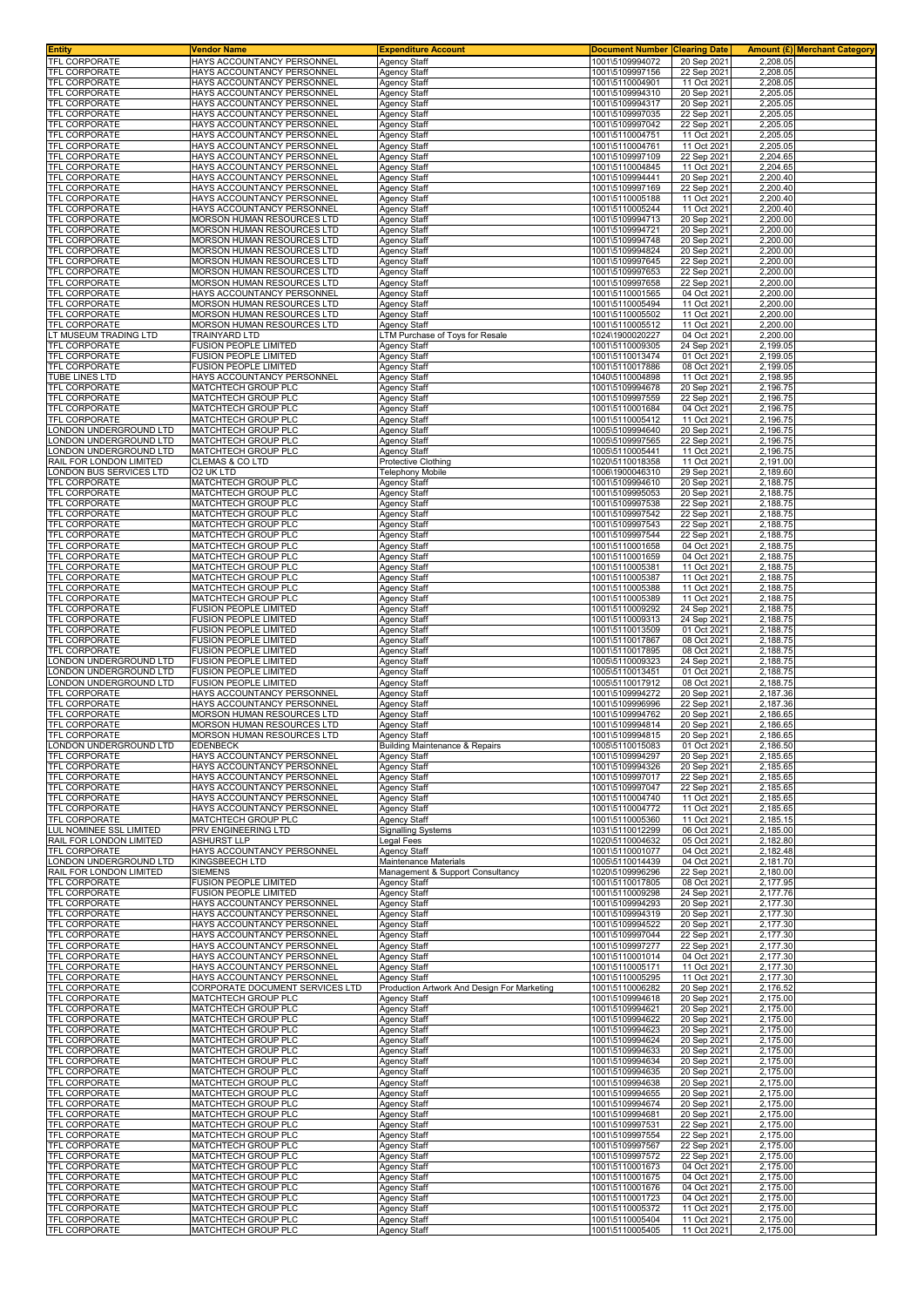| <b>Entity</b>                                            | Vendor Name                                              | <b>Expenditure Account</b>                                  | <b>Document Number Clearing Date</b> |                            | Amount (£) Merchant Category |
|----------------------------------------------------------|----------------------------------------------------------|-------------------------------------------------------------|--------------------------------------|----------------------------|------------------------------|
| TFL CORPORATE                                            | HAYS ACCOUNTANCY PERSONNEL                               | <b>Agency Staff</b>                                         | 1001\5109994072                      | 20 Sep 2021                | 2,208.05                     |
| <b>TFL CORPORATE</b>                                     | HAYS ACCOUNTANCY PERSONNEL                               | Agency Staff                                                | 1001\5109997156                      | 22 Sep 2021                | 2,208.05                     |
| TFL CORPORATE                                            | HAYS ACCOUNTANCY PERSONNEL                               | Agency Staff                                                | 1001\5110004901                      | 11 Oct 2021                | 2,208.05                     |
| TFL CORPORATE                                            | HAYS ACCOUNTANCY PERSONNEI                               | Agency Staff                                                | 1001\5109994310                      | 20 Sep 202                 | 2,205.05                     |
| TFL CORPORATE                                            | HAYS ACCOUNTANCY PERSONNEI                               | Agency Staff                                                | 1001\5109994317                      | 20 Sep 2021                | 2,205.05                     |
| TFL CORPORATE<br><b>TFL CORPORATE</b>                    | HAYS ACCOUNTANCY PERSONNEL<br>HAYS ACCOUNTANCY PERSONNEL | Agency Staff<br><b>Agency Staff</b>                         | 1001\5109997035                      | 22 Sep 2021<br>22 Sep 2021 | 2,205.05<br>2,205.05         |
| TFL CORPORATE                                            | HAYS ACCOUNTANCY PERSONNEL                               | <b>Agency Staff</b>                                         | 1001\5109997042<br>1001\5110004751   | 11 Oct 2021                | 2,205.05                     |
| <b>TFL CORPORATE</b>                                     | HAYS ACCOUNTANCY PERSONNEL                               | Agency Staff                                                | 1001\5110004761                      | 11 Oct 202                 | 2,205.05                     |
| TFL CORPORATE                                            | HAYS ACCOUNTANCY PERSONNEL                               | Agency Staff                                                | 1001\5109997109                      | 22 Sep 202                 | 2.204.65                     |
| TFL CORPORATE                                            | HAYS ACCOUNTANCY PERSONNEL                               | <b>Agency Staff</b>                                         | 1001\5110004845                      | 11 Oct 2021                | 2,204.65                     |
| TFL CORPORATE                                            | HAYS ACCOUNTANCY PERSONNEL                               | Agency Staff                                                | 1001\5109994441                      | 20 Sep 202                 | 2,200.40                     |
| <b>TFL CORPORATE</b>                                     | HAYS ACCOUNTANCY PERSONNEL                               | Agency Staff                                                | 1001\5109997169                      | 22 Sep 202                 | 2,200.40                     |
| TFL CORPORATE                                            | HAYS ACCOUNTANCY PERSONNEL                               | <b>Agency Staff</b>                                         | 1001\5110005188                      | 11 Oct 2021                | 2,200.40                     |
| <b>TFL CORPORATE</b>                                     | HAYS ACCOUNTANCY PERSONNEI                               | Agency Staff                                                | 1001\5110005244                      | 11 Oct 2021                | 2,200.40                     |
| <b>TFL CORPORATE</b>                                     | MORSON HUMAN RESOURCES LTD                               | Agency Staff                                                | 1001\5109994713                      | 20 Sep 202                 | 2,200.00                     |
| <b>TFL CORPORATE</b>                                     | MORSON HUMAN RESOURCES LTD                               | Agency Staff                                                | 1001\5109994721                      | 20 Sep 202                 | 2,200.00                     |
| TFL CORPORATE                                            | MORSON HUMAN RESOURCES LTD                               | Agency Staff                                                | 1001\5109994748                      | 20 Sep 2021                | 2,200.00                     |
| TFL CORPORATE                                            | MORSON HUMAN RESOURCES LTD                               | Agency Staff                                                | 1001\5109994824                      | 20 Sep 202                 | 2,200.00                     |
| TFL CORPORATE<br>TFL CORPORATE                           | MORSON HUMAN RESOURCES LTD<br>MORSON HUMAN RESOURCES LTD | Agency Staff                                                | 1001\5109997645<br>1001\5109997653   | 22 Sep 2021                | 2,200.00<br>2,200.00         |
| TFL CORPORATE                                            | MORSON HUMAN RESOURCES LTD                               | Agency Staff<br>Agency Staff                                | 1001\5109997658                      | 22 Sep 2021<br>22 Sep 2021 | 2,200.00                     |
| TFL CORPORATE                                            | HAYS ACCOUNTANCY PERSONNEL                               | Agency Staff                                                | 1001\5110001565                      | 04 Oct 2021                | 2,200.00                     |
| TFL CORPORATE                                            | MORSON HUMAN RESOURCES LTD                               | Agency Staff                                                | 1001\5110005494                      | 11 Oct 202                 | 2,200.00                     |
| TFL CORPORATE                                            | MORSON HUMAN RESOURCES LTD                               | Agency Staff                                                | 1001\5110005502                      | 11 Oct 2021                | 2,200.00                     |
| TFL CORPORATE                                            | MORSON HUMAN RESOURCES LTD                               | Agency Staff                                                | 1001\5110005512                      | 11 Oct 2021                | 2,200.00                     |
| T MUSEUM TRADING LTD                                     | <b>TRAINYARD LTD</b>                                     | TM Purchase of Toys for Resale                              | 1024\1900020227                      | 04 Oct 202                 | 2,200.00                     |
| TFL CORPORATE                                            | <b>FUSION PEOPLE LIMITED</b>                             | Agency Staff                                                | 1001\5110009305                      | 24 Sep 2021                | 2,199.05                     |
| TFL CORPORATE                                            | <b>FUSION PEOPLE LIMITED</b>                             | Agency Staff                                                | 1001\5110013474                      | 01 Oct 2021                | 2.199.05                     |
| TFL CORPORATE                                            | <b>FUSION PEOPLE LIMITED</b>                             | Agency Staff                                                | 1001\5110017886                      | 08 Oct 2021                | 2,199.05                     |
| TUBE LINES LTD                                           | HAYS ACCOUNTANCY PERSONNEL                               | <b>Agency Staff</b>                                         | 1040\5110004898                      | 11 Oct 202                 | 2,198.95                     |
| <b>TFL CORPORATE</b>                                     | MATCHTECH GROUP PLC                                      | Agency Staff                                                | 1001\5109994678                      | 20 Sep 202                 | 2,196.75                     |
| TFL CORPORATE                                            | MATCHTECH GROUP PLC                                      | Agency Staff                                                | 1001\5109997559                      | 22 Sep 2021                | 2,196.75                     |
| TFL CORPORATE                                            | MATCHTECH GROUP PLC                                      | <b>Agency Staff</b>                                         | 1001\5110001684                      | 04 Oct 2021                | 2,196.75                     |
| TFL CORPORATE                                            | MATCHTECH GROUP PLC                                      | Agency Staff                                                | 1001\5110005412                      | 11 Oct 202                 | 2,196.75                     |
| ONDON UNDERGROUND LTD                                    | MATCHTECH GROUP PLC                                      | Agency Staff                                                | 1005\5109994640                      | 20 Sep 2021                | 2,196.75                     |
| ONDON UNDERGROUND LTD.                                   | MATCHTECH GROUP PLC                                      | Agency Staff                                                | 1005\5109997565                      | 22 Sep 2021                | 2.196.75                     |
| ONDON UNDERGROUND LTD                                    | MATCHTECH GROUP PLC                                      | <b>Agency Staff</b>                                         | 1005\5110005441                      | 11 Oct 2021                | 2,196.75                     |
| RAIL FOR LONDON LIMITED<br>ONDON BUS SERVICES LTD        | <b>CLEMAS &amp; CO LTD</b><br>O2 UK LTD                  | <b>Protective Clothing</b>                                  | 1020\5110018358<br>1006\1900046310   | 11 Oct 2021<br>29 Sep 2021 | 2,191.00<br>2,189.60         |
|                                                          |                                                          | Telephony Mobile                                            |                                      |                            |                              |
| TFL CORPORATE<br><b>TFL CORPORATE</b>                    | MATCHTECH GROUP PLC<br>MATCHTECH GROUP PLC               | Agency Staff<br>Agency Staff                                | 1001\5109994610<br>1001\5109995053   | 20 Sep 2021<br>20 Sep 2021 | 2,188.75<br>2,188.75         |
| TFL CORPORATE                                            | MATCHTECH GROUP PLC                                      | Agency Staff                                                | 1001\5109997538                      | 22 Sep 2021                | 2,188.75                     |
| TFL CORPORATE                                            | MATCHTECH GROUP PLC                                      | Agency Staff                                                | 1001\5109997542                      | 22 Sep 2021                | 2,188.75                     |
| TFL CORPORATE                                            | MATCHTECH GROUP PLC                                      | Agency Staff                                                | 1001\5109997543                      | 22 Sep 2021                | 2,188.75                     |
| TFL CORPORATE                                            | MATCHTECH GROUP PLC                                      | Agency Staff                                                | 1001\5109997544                      | 22 Sep 2021                | 2,188.75                     |
| TFL CORPORATE                                            | MATCHTECH GROUP PLC                                      | Agency Staff                                                | 1001\5110001658                      | 04 Oct 2021                | 2,188.75                     |
| TFL CORPORATE                                            | MATCHTECH GROUP PLC                                      | Agency Staff                                                | 1001\5110001659                      | 04 Oct 2021                | 2,188.75                     |
| TFL CORPORATE                                            | MATCHTECH GROUP PLC                                      | Agency Staff                                                | 1001\5110005381                      | 11 Oct 2021                | 2,188.75                     |
| TFL CORPORATE                                            | MATCHTECH GROUP PLC                                      | Agency Staff                                                | 1001\5110005387                      | 11 Oct 2021                | 2,188.75                     |
| TFL CORPORATE                                            | MATCHTECH GROUP PLC                                      | <b>Agency Staff</b>                                         | 1001\5110005388                      | 11 Oct 2021                | 2,188.75                     |
| TFL CORPORATE                                            | MATCHTECH GROUP PLC                                      | <b>Agency Staff</b>                                         | 1001\5110005389                      | 11 Oct 2021                | 2,188.75                     |
| TFL CORPORATE                                            | FUSION PEOPLE LIMITED                                    | <b>Agency Staff</b>                                         | 1001\5110009292                      | 24 Sep 2021                | 2,188.75                     |
| TFL CORPORATE                                            | <b>FUSION PEOPLE LIMITED</b>                             | <b>Agency Staff</b>                                         | 1001\5110009313                      | 24 Sep 2021                | 2,188.75                     |
| TFL CORPORATE                                            | <b>FUSION PEOPLE LIMITED</b>                             | Agency Staff                                                | 1001\5110013509                      | 01 Oct 2021                | 2,188.75                     |
| TFL CORPORATE                                            | <b>FUSION PEOPLE LIMITED</b>                             | Agency Staff                                                | 1001\5110017867                      | 08 Oct 2021                | 2,188.75                     |
| TFL CORPORATE<br>ONDON UNDERGROUND LTD.                  | FUSION PEOPLE LIMITED<br><b>FUSION PEOPLE LIMITED</b>    | <b>Agency Staff</b>                                         | 1001\5110017895<br>1005\5110009323   | 08 Oct 2021<br>24 Sep 2021 | 2,188.75<br>2,188.75         |
| ONDON UNDERGROUND LTD                                    | <b>FUSION PEOPLE LIMITED</b>                             | Agency Staff<br>Agency Staff                                | 1005\5110013451                      | 01 Oct 2021                | 2,188.75                     |
| ONDON UNDERGROUND LTD.                                   | <b>FUSION PEOPLE LIMITED</b>                             | Agency Staff                                                | 1005\5110017912                      | 08 Oct 2021                | 2,188.75                     |
| TFL CORPORATE                                            | HAYS ACCOUNTANCY PERSONNEI                               | Agency Staff                                                | 1001\5109994272                      | 20 Sep 202                 | 2,187.36                     |
| <b>TFL CORPORATE</b>                                     | HAYS ACCOUNTANCY PERSONNEI                               | Agency Staff                                                | 1001\5109996996                      | 22 Sep 202                 | 2,187.36                     |
| <b>TFL CORPORATE</b>                                     | MORSON HUMAN RESOURCES LTD                               | Agency Staff                                                | 1001\5109994762                      | 20 Sep 202                 | 2,186.65                     |
| TFL CORPORATE                                            | MORSON HUMAN RESOURCES LTD                               | Agency Staff                                                | 1001\5109994814                      | 20 Sep 2021                | 2.186.65                     |
| <b>TFL CORPORATE</b>                                     | MORSON HUMAN RESOURCES LTD                               | Agency Staff                                                | 1001\5109994815                      | 20 Sep 2021                | 2,186.65                     |
| ONDON UNDERGROUND LTD                                    | <b>EDENBECK</b>                                          | Building Maintenance & Repairs                              | 1005\5110015083                      | 01 Oct 2021                | 2,186.50                     |
| TFL CORPORATE                                            | HAYS ACCOUNTANCY PERSONNEL                               | Agency Staff                                                | 1001\5109994297                      | 20 Sep 2021                | 2,185.65                     |
| <b>TFL CORPORATE</b>                                     | HAYS ACCOUNTANCY PERSONNEL                               | Agency Staff                                                | 1001\5109994326                      | 20 Sep 2021                | 2,185.65                     |
| TFL CORPORATE                                            | HAYS ACCOUNTANCY PERSONNEL                               | Agency Staff                                                | 1001\5109997017                      | 22 Sep 202                 | 2,185.65                     |
| TFL CORPORATE                                            | HAYS ACCOUNTANCY PERSONNEL                               | Agency Staff                                                | 1001\5109997047                      | 22 Sep 2021                | 2,185.65                     |
| TFL CORPORATE                                            | HAYS ACCOUNTANCY PERSONNEL                               | Agency Staff                                                | 1001\5110004740                      | 11 Oct 2021                | 2,185.65                     |
| TFL CORPORATE                                            | HAYS ACCOUNTANCY PERSONNEL                               | <b>Agency Staff</b>                                         | 1001\5110004772                      | 11 Oct 2021                | 2,185.65                     |
| TFL CORPORATE                                            | MATCHTECH GROUP PLC                                      | Agency Staff                                                | 1001\5110005360                      | 11 Oct 202                 | 2,185.15                     |
| <b>UL NOMINEE SSL LIMITED</b><br>RAIL FOR LONDON LIMITED | PRV ENGINEERING LTD<br><b>ASHURST LLP</b>                | <b>Signalling Systems</b><br>Legal Fees                     | 1031\5110012299<br>1020\5110004632   | 06 Oct 2021<br>05 Oct 2021 | 2,185.00<br>2,182.80         |
| TFL CORPORATE                                            | HAYS ACCOUNTANCY PERSONNEL                               | Agency Staff                                                | 1001\5110001077                      | 04 Oct 2021                | 2,182.48                     |
| LONDON UNDERGROUND LTD                                   | <b>KINGSBEECH LTD</b>                                    | Maintenance Materials                                       | 1005\5110014439                      | 04 Oct 2021                | 2,181.70                     |
| RAIL FOR LONDON LIMITED                                  | <b>SIEMENS</b>                                           | Management & Support Consultancy                            | 1020\5109996296                      | 22 Sep 2021                | 2,180.00                     |
| TFL CORPORATE                                            | <b>FUSION PEOPLE LIMITED</b>                             | Agency Staff                                                | 1001\5110017805                      | 08 Oct 2021                | 2,177.95                     |
| TFL CORPORATE                                            | <b>FUSION PEOPLE LIMITED</b>                             | <b>Agency Staff</b>                                         | 1001\5110009298                      | 24 Sep 2021                | 2,177.76                     |
| TFL CORPORATE                                            | HAYS ACCOUNTANCY PERSONNEL                               | Agency Staff                                                | 1001\5109994293                      | 20 Sep 2021                | 2.177.30                     |
| TFL CORPORATE                                            | HAYS ACCOUNTANCY PERSONNEL                               | Agency Staff                                                | 1001\5109994319                      | 20 Sep 202                 | 2,177.30                     |
| TFL CORPORATE                                            | HAYS ACCOUNTANCY PERSONNEL                               | Agency Staff                                                | 1001\5109994522                      | 20 Sep 2021                | 2,177.30                     |
| TFL CORPORATE                                            | HAYS ACCOUNTANCY PERSONNEL                               | Agency Staff                                                | 1001\5109997044                      | 22 Sep 2021                | 2,177.30                     |
| TFL CORPORATE                                            | HAYS ACCOUNTANCY PERSONNEL                               | <b>Agency Staff</b>                                         | 1001\5109997277                      | 22 Sep 2021                | 2,177.30                     |
| <b>TFL CORPORATE</b>                                     | HAYS ACCOUNTANCY PERSONNEL                               | Agency Staff                                                | 1001\5110001014                      | 04 Oct 2021                | 2,177.30<br>2,177.30         |
| TFL CORPORATE<br>TFL CORPORATE                           | HAYS ACCOUNTANCY PERSONNEL                               | Agency Staff<br>Agency Staff                                | 1001\5110005171                      | 11 Oct 2021                |                              |
| TFL CORPORATE                                            |                                                          |                                                             |                                      |                            |                              |
| TFL CORPORATE                                            | HAYS ACCOUNTANCY PERSONNEL                               |                                                             | 1001\5110005295                      | 11 Oct 2021                | 2,177.30                     |
|                                                          | CORPORATE DOCUMENT SERVICES LTD<br>MATCHTECH GROUP PLC   | Production Artwork And Design For Marketing<br>Agency Staff | 1001\5110006282<br>1001\5109994618   | 20 Sep 2021<br>20 Sep 2021 | 2,176.52<br>2,175.00         |
| TFL CORPORATE                                            | MATCHTECH GROUP PLC                                      | Agency Staff                                                | 1001\5109994621                      | 20 Sep 2021                | 2,175.00                     |
| <b>TFL CORPORATE</b>                                     | MATCHTECH GROUP PLC                                      | Agency Staff                                                | 1001\5109994622                      | 20 Sep 2021                | 2,175.00                     |
| TFL CORPORATE                                            | MATCHTECH GROUP PLC                                      | Agency Staff                                                | 1001\5109994623                      | 20 Sep 2021                | 2,175.00                     |
| TFL CORPORATE                                            | MATCHTECH GROUP PLC                                      | Agency Staff                                                | 1001\5109994624                      | 20 Sep 2021                | 2,175.00                     |
| TFL CORPORATE                                            | MATCHTECH GROUP PLC                                      | Agency Staff                                                | 1001\5109994633                      | 20 Sep 2021                | 2,175.00                     |
| <b>TFL CORPORATE</b>                                     | MATCHTECH GROUP PLC                                      | Agency Staff                                                | 1001\5109994634                      | 20 Sep 2021                | 2,175.00                     |
| TFL CORPORATE                                            | MATCHTECH GROUP PLC                                      | Agency Staff                                                | 1001\5109994635                      | 20 Sep 2021                | 2,175.00                     |
| TFL CORPORATE                                            | MATCHTECH GROUP PLC                                      | Agency Staff                                                | 1001\5109994638                      | 20 Sep 2021                | 2,175.00                     |
| TFL CORPORATE                                            | MATCHTECH GROUP PLC                                      | Agency Staff                                                | 1001\5109994655                      | 20 Sep 2021                | 2,175.00                     |
| TFL CORPORATE                                            | MATCHTECH GROUP PLC                                      | <b>Agency Staff</b>                                         | 1001\5109994674                      | 20 Sep 2021                | 2,175.00                     |
| TFL CORPORATE                                            | MATCHTECH GROUP PLC                                      | <b>Agency Staff</b>                                         | 1001\5109994681                      | 20 Sep 202                 | 2,175.00                     |
| TFL CORPORATE                                            | MATCHTECH GROUP PLC                                      | <b>Agency Staff</b>                                         | 1001\5109997531                      | 22 Sep 2021                | 2,175.00                     |
| TFL CORPORATE<br>TFL CORPORATE                           | MATCHTECH GROUP PLC<br>MATCHTECH GROUP PLC               | Agency Staff<br><b>Agency Staff</b>                         | 1001\5109997554<br>1001\5109997567   | 22 Sep 2021<br>22 Sep 2021 | 2,175.00<br>2,175.00         |
| TFL CORPORATE                                            | MATCHTECH GROUP PLC                                      | Agency Staff                                                | 1001\5109997572                      | 22 Sep 2021                | 2,175.00                     |
| TFL CORPORATE                                            | MATCHTECH GROUP PLC                                      | Agency Staff                                                | 1001\5110001673                      | 04 Oct 2021                | 2,175.00                     |
| TFL CORPORATE                                            | MATCHTECH GROUP PLC                                      | <b>Agency Staff</b>                                         | 1001\5110001675                      | 04 Oct 2021                | 2,175.00                     |
| TFL CORPORATE                                            | MATCHTECH GROUP PLC                                      | <b>Agency Staff</b>                                         | 1001\5110001676                      | 04 Oct 2021                | 2,175.00                     |
| TFL CORPORATE                                            | MATCHTECH GROUP PLC                                      | Agency Staff                                                | 1001\5110001723                      | 04 Oct 2021                | 2,175.00                     |
| TFL CORPORATE                                            | MATCHTECH GROUP PLC                                      | Agency Staff                                                | 1001\5110005372                      | 11 Oct 2021                | 2,175.00                     |
| TFL CORPORATE<br>TFL CORPORATE                           | MATCHTECH GROUP PLC<br>MATCHTECH GROUP PLC               | <b>Agency Staff</b><br>Agency Staff                         | 1001\5110005404<br>1001\5110005405   | 11 Oct 2021<br>11 Oct 2021 | 2,175.00<br>2,175.00         |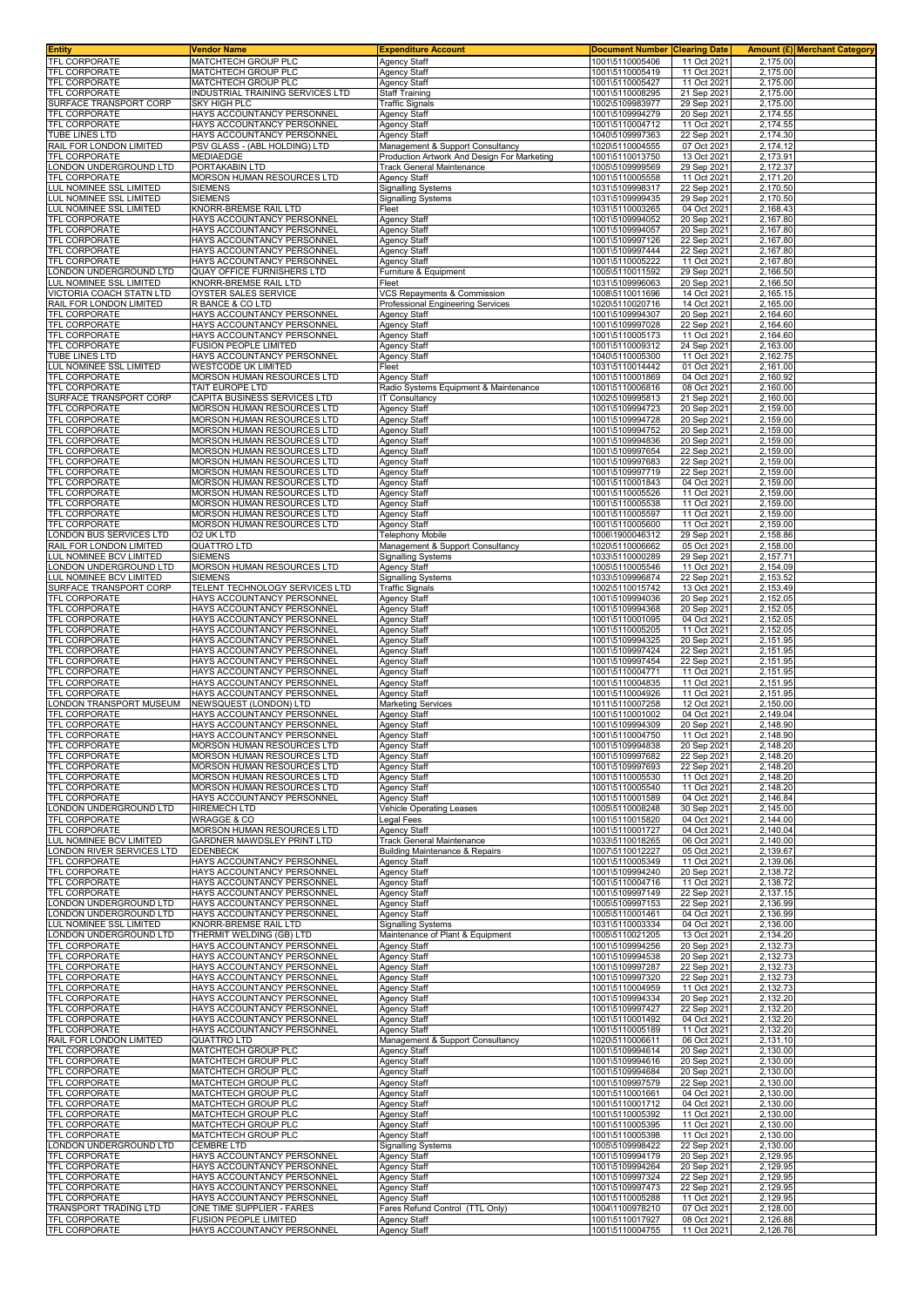| <b>Entity</b>                                      | Vendor Name                                                     | <b>Expenditure Account</b>                             | <b>Document Number Clearing Date</b> |                            |                      | Amount (£) Merchant Category |
|----------------------------------------------------|-----------------------------------------------------------------|--------------------------------------------------------|--------------------------------------|----------------------------|----------------------|------------------------------|
| <b>TFL CORPORATE</b><br><b>TFL CORPORATE</b>       | MATCHTECH GROUP PLC                                             | Agency Staff                                           | 1001\5110005406                      | 11 Oct 2021                | 2,175.00             |                              |
| TFL CORPORATE                                      | <b>MATCHTECH GROUP PLC</b><br>MATCHTECH GROUP PLC               | <b>Agency Staff</b><br><b>Agency Staff</b>             | 1001\5110005419<br>1001\5110005427   | 11 Oct 2021<br>11 Oct 2021 | 2,175.00<br>2,175.00 |                              |
| <b>TFL CORPORATE</b>                               | INDUSTRIAL TRAINING SERVICES LTD                                | <b>Staff Training</b>                                  | 1001\5110008295                      | 21 Sep 2021                | 2,175.00             |                              |
| SURFACE TRANSPORT CORP                             | SKY HIGH PLC                                                    | Traffic Signals                                        | 1002\5109983977                      | 29 Sep 2021                | 2,175.00             |                              |
|                                                    | HAYS ACCOUNTANCY PERSONNEL                                      | Agency Staff                                           | 1001\5109994279                      | 20 Sep 2021                | 2,174.55             |                              |
| <b>TFL CORPORATE</b>                               | HAYS ACCOUNTANCY PERSONNEL                                      | <b>Agency Staff</b>                                    | 1001\5110004712                      | 11 Oct 202                 | 2,174.55             |                              |
| TUBE LINES LTD<br>RAIL FOR LONDON LIMITED          | HAYS ACCOUNTANCY PERSONNEL<br>PSV GLASS - (ABL HOLDING) LTD     | Agency Staff<br>Management & Support Consultancy       | 1040\5109997363<br>1020\5110004555   | 22 Sep 2021<br>07 Oct 2021 | 2,174.30<br>2,174.12 |                              |
| TFL CORPORATE                                      | MEDIAEDGE                                                       | Production Artwork And Design For Marketing            | 1001\5110013750                      | 13 Oct 2021                | 2,173.91             |                              |
| LONDON UNDERGROUND LTD                             | PORTAKABIN LTD                                                  | Track General Maintenance                              | 1005\5109999569                      | 29 Sep 2021                | 2,172.37             |                              |
| TFL CORPORATE                                      | MORSON HUMAN RESOURCES LTD                                      | Agency Staff                                           | 1001\5110005558                      | 11 Oct 2021                | 2,171.20             |                              |
| LUL NOMINEE SSL LIMITED                            | SIEMENS                                                         | Signalling Systems                                     | 1031\5109998317                      | 22 Sep 2021                | 2,170.50             |                              |
| LUL NOMINEE SSL LIMITED<br>LUL NOMINEE SSL LIMITED | SIEMENS<br>KNORR-BREMSE RAIL LTD                                | <b>Signalling Systems</b><br>Fleet                     | 1031\5109999435<br>1031\5110003265   | 29 Sep 2021<br>04 Oct 2021 | 2,170.50<br>2,168.43 |                              |
| TFL CORPORATE                                      | HAYS ACCOUNTANCY PERSONNEI                                      | <b>Agency Staff</b>                                    | 1001\5109994052                      | 20 Sep 2021                | 2,167.80             |                              |
| TFL CORPORATE                                      | HAYS ACCOUNTANCY PERSONNEL                                      | Agency Staff                                           | 1001\5109994057                      | 20 Sep 2021                | 2,167.80             |                              |
| TFL CORPORATE                                      | HAYS ACCOUNTANCY PERSONNEL                                      | <b>Agency Staff</b>                                    | 1001\5109997126                      | 22 Sep 2021                | 2,167.80             |                              |
| <b>TFL CORPORATE</b><br><b>TFL CORPORATE</b>       | HAYS ACCOUNTANCY PERSONNEL<br>HAYS ACCOUNTANCY PERSONNEL        | Agency Staff                                           | 1001\5109997444<br>1001\5110005222   | 22 Sep 2021<br>11 Oct 2021 | 2.167.80<br>2,167.80 |                              |
| ONDON UNDERGROUND LTD.                             | QUAY OFFICE FURNISHERS LTD                                      | Agency Staff<br>Furniture & Equipment                  | 1005\5110011592                      | 29 Sep 2021                | 2,166.50             |                              |
| UL NOMINEE SSL LIMITED                             | KNORR-BREMSE RAIL LTD                                           | Fleet                                                  | 1031\5109996063                      | 20 Sep 2021                | 2,166.50             |                              |
| VICTORIA COACH STATN LTD                           | OYSTER SALES SERVICE                                            | VCS Repayments & Commission                            | 1008\5110011696                      | 14 Oct 202                 | 2,165.15             |                              |
| RAIL FOR LONDON LIMITED                            | R BANCE & CO LTD                                                | Professional Engineering Services                      | 1020\5110020716                      | 14 Oct 2021                | 2,165.00             |                              |
| TFL CORPORATE<br><b>TFL CORPORATE</b>              | HAYS ACCOUNTANCY PERSONNEL<br>HAYS ACCOUNTANCY PERSONNEL        | Agency Staff<br>Agency Staff                           | 1001\5109994307<br>1001\5109997028   | 20 Sep 2021<br>22 Sep 2021 | 2,164.60<br>2,164.60 |                              |
| <b>TFL CORPORATE</b>                               | HAYS ACCOUNTANCY PERSONNEL                                      | <b>Agency Staff</b>                                    | 1001\5110005173                      | 11 Oct 2021                | 2,164.60             |                              |
| <b>TFL CORPORATE</b>                               | FUSION PEOPLE LIMITED                                           | Agency Staff                                           | 1001\5110009312                      | 24 Sep 2021                | 2,163.00             |                              |
| <b>TUBE LINES LTD</b>                              | HAYS ACCOUNTANCY PERSONNEL                                      | Agency Staff                                           | 1040\5110005300                      | 11 Oct 2021                | 2,162.75             |                              |
| LUL NOMINEE SSL LIMITED                            | WESTCODE UK LIMITED                                             | Fleet                                                  | 1031\5110014442                      | 01 Oct 2021                | 2,161.00             |                              |
| <b>TFL CORPORATE</b><br><b>TFL CORPORATE</b>       | MORSON HUMAN RESOURCES LTD<br>TAIT EUROPE LTD                   | Agency Staff<br>Radio Systems Equipment & Maintenance  | 1001\5110001869<br>1001\5110006816   | 04 Oct 2021<br>08 Oct 2021 | 2,160.92<br>2,160.00 |                              |
| SURFACE TRANSPORT CORP                             | CAPITA BUSINESS SERVICES LTD                                    | <b>IT Consultancy</b>                                  | 1002\5109995813                      | 21 Sep 2021                | 2,160.00             |                              |
| <b>TFL CORPORATE</b>                               | MORSON HUMAN RESOURCES LTD                                      | Agency Staff                                           | 1001\5109994723                      | 20 Sep 2021                | 2,159.00             |                              |
| TFL CORPORATE                                      | MORSON HUMAN RESOURCES LTD                                      | Agency Staff                                           | 1001\5109994728                      | 20 Sep 2021                | 2,159.00             |                              |
| <b>TFL CORPORATE</b><br><b>TFL CORPORATE</b>       | MORSON HUMAN RESOURCES LTD<br>MORSON HUMAN RESOURCES LTD        | Agency Staff<br><b>Agency Staff</b>                    | 1001\5109994752<br>1001\5109994836   | 20 Sep 2021<br>20 Sep 2021 | 2,159.00<br>2,159.00 |                              |
| TFL CORPORATE                                      | <b>MORSON HUMAN RESOURCES LTD</b>                               | <b>Agency Staff</b>                                    | 1001\5109997654                      | 22 Sep 2021                | 2,159.00             |                              |
| <b>TFL CORPORATE</b>                               | MORSON HUMAN RESOURCES LTD                                      | <b>Agency Staff</b>                                    | 1001\5109997683                      | 22 Sep 2021                | 2,159.00             |                              |
| TFL CORPORATE                                      | MORSON HUMAN RESOURCES LTD                                      | Agency Staff                                           | 1001\5109997719                      | 22 Sep 2021                | 2,159.00             |                              |
| TFL CORPORATE<br><b>TFL CORPORATE</b>              | <b>MORSON HUMAN RESOURCES LTD</b><br>MORSON HUMAN RESOURCES LTD | <b>Agency Staff</b><br><b>Agency Staff</b>             | 1001\5110001843<br>1001\5110005526   | 04 Oct 2021<br>11 Oct 2021 | 2,159.00<br>2,159.00 |                              |
| <b>TFL CORPORATE</b>                               | MORSON HUMAN RESOURCES LTD                                      | <b>Agency Staff</b>                                    | 1001\5110005538                      | 11 Oct 2021                | 2,159.00             |                              |
| <b>TFL CORPORATE</b>                               | MORSON HUMAN RESOURCES LTD                                      | Agency Staff                                           | 1001\5110005597                      | 11 Oct 2021                | 2,159.00             |                              |
| TFL CORPORATE                                      | MORSON HUMAN RESOURCES LTD                                      | Agency Staff                                           | 1001\5110005600                      | 11 Oct 2021                | 2,159.00             |                              |
| LONDON BUS SERVICES LTD<br>RAIL FOR LONDON LIMITED | O2 UK LTD<br>QUATTRO LTD                                        | Telephony Mobile<br>Management & Support Consultancy   | 1006\1900046312<br>1020\5110006662   | 29 Sep 2021<br>05 Oct 2021 | 2,158.86<br>2,158.00 |                              |
| UL NOMINEE BCV LIMITED                             | SIEMENS                                                         | Signalling Systems                                     | 1033\5110000289                      | 29 Sep 2021                | 2,157.71             |                              |
| ONDON UNDERGROUND LTD                              | MORSON HUMAN RESOURCES LTD                                      | Agency Staff                                           | 1005\5110005546                      | 11 Oct 2021                | 2,154.09             |                              |
| LUL NOMINEE BCV LIMITED                            | <b>SIEMENS</b>                                                  | Signalling Systems                                     | 1033\5109996874                      | 22 Sep 2021                | 2,153.52             |                              |
| SURFACE TRANSPORT CORP                             | TELENT TECHNOLOGY SERVICES LTD                                  | Traffic Signals                                        | 1002\5110015742                      | 13 Oct 2021                | 2,153.49             |                              |
| <b>TFL CORPORATE</b><br><b>TFL CORPORATE</b>       | HAYS ACCOUNTANCY PERSONNEL<br>HAYS ACCOUNTANCY PERSONNEL        | Agency Staff<br>Agency Staff                           | 1001\5109994036<br>1001\5109994368   | 20 Sep 2021<br>20 Sep 2021 | 2,152.05<br>2,152.05 |                              |
| TFL CORPORATE                                      | HAYS ACCOUNTANCY PERSONNEI                                      | Agency Staff                                           | 1001\5110001095                      | 04 Oct 2021                | 2,152.05             |                              |
| <b>TFL CORPORATE</b>                               | HAYS ACCOUNTANCY PERSONNEL                                      | Agency Staff                                           | 1001\5110005205                      | 11 Oct 2021                | 2,152.05             |                              |
| TFL CORPORATE<br><b>TFL CORPORATE</b>              | HAYS ACCOUNTANCY PERSONNEL                                      | <b>Agency Staff</b>                                    | 1001\5109994325                      | 20 Sep 2021                | 2,151.95             |                              |
| TFL CORPORATE                                      | HAYS ACCOUNTANCY PERSONNEL<br>HAYS ACCOUNTANCY PERSONNEL        | Agency Staff<br>Agency Staff                           | 1001\5109997424<br>1001\5109997454   | 22 Sep 2021<br>22 Sep 2021 | 2,151.95<br>2,151.95 |                              |
| <b>TFL CORPORATE</b>                               | HAYS ACCOUNTANCY PERSONNEL                                      | <b>Agency Staff</b>                                    | 1001\5110004771                      | 11 Oct 2021                | 2,151.95             |                              |
| <b>TFL CORPORATE</b>                               | HAYS ACCOUNTANCY PERSONNEL                                      | Agency Staff                                           | 1001\5110004835                      | 11 Oct 2021                | 2,151.95             |                              |
| TFL CORPORATE<br>ONDON TRANSPORT MUSEUM            | HAYS ACCOUNTANCY PERSONNEL<br>NEWSQUEST (LONDON) LTD            | <b>Agency Staff</b>                                    | 1001\5110004926<br>1011\5110007258   | 11 Oct 2021<br>12 Oct 2021 | 2,151.95<br>2,150.00 |                              |
| TFL CORPORATE                                      | HAYS ACCOUNTANCY PERSONNEL                                      | <b>Marketing Services</b><br>Agency Staff              | 1001\5110001002                      | 04 Oct 2021                | 2,149.04             |                              |
| TFL CORPORATE                                      | HAYS ACCOUNTANCY PERSONNEL                                      | Agency Staff                                           | 1001\5109994309                      | 20 Sep 2021                | 2,148.90             |                              |
| TFL CORPORATE                                      | HAYS ACCOUNTANCY PERSONNEL                                      | <b>Agency Staff</b>                                    | 1001\5110004750                      | 11 Oct 2021                | 2.148.90             |                              |
| <b>TFL CORPORATE</b><br><b>TFL CORPORATE</b>       | MORSON HUMAN RESOURCES LTD<br><b>MORSON HUMAN RESOURCES LTD</b> | <b>Agency Staff</b><br>Agency Staff                    | 1001\5109994838<br>1001\5109997682   | 20 Sep 2021<br>22 Sep 2021 | 2,148.20<br>2,148.20 |                              |
| <b>TFL CORPORATE</b>                               | MORSON HUMAN RESOURCES LTD                                      | <b>Agency Staff</b>                                    | 1001\5109997693                      | 22 Sep 2021                | 2,148.20             |                              |
| <b>TFL CORPORATE</b>                               | MORSON HUMAN RESOURCES LTD                                      | <b>Agency Staff</b>                                    | 1001\5110005530                      | 11 Oct 2021                | 2,148.20             |                              |
| TFL CORPORATE                                      | MORSON HUMAN RESOURCES LTD                                      | <b>Agency Staff</b>                                    | 1001\5110005540                      | 11 Oct 2021                | 2,148.20             |                              |
| <b>TFL CORPORATE</b><br>LONDON UNDERGROUND LTD     | HAYS ACCOUNTANCY PERSONNEL                                      | <b>Agency Staff</b>                                    | 1001\5110001589                      | 04 Oct 2021<br>30 Sep 2021 | 2.146.84             |                              |
| <b>TFL CORPORATE</b>                               | <b>HIREMECH LTD</b><br><b>WRAGGE &amp; CO</b>                   | Vehicle Operating Leases<br>Legal Fees                 | 1005\5110008248<br>1001\5110015820   | 04 Oct 2021                | 2,145.00<br>2,144.00 |                              |
| TFL CORPORATE                                      | <b>MORSON HUMAN RESOURCES LTD</b>                               | Agency Staff                                           | 1001\5110001727                      | 04 Oct 2021                | 2,140.04             |                              |
| LUL NOMINEE BCV LIMITED                            | GARDNER MAWDSLEY PRINT LTD                                      | Track General Maintenance                              | 1033\5110018265                      | 06 Oct 2021                | 2,140.00             |                              |
| LONDON RIVER SERVICES LTD<br><b>TFL CORPORATE</b>  | <b>EDENBECK</b><br>HAYS ACCOUNTANCY PERSONNEL                   | Building Maintenance & Repairs                         | 1007\5110012227<br>1001\5110005349   | 05 Oct 2021<br>11 Oct 2021 | 2,139.67<br>2,139.06 |                              |
| TFL CORPORATE                                      | HAYS ACCOUNTANCY PERSONNEL                                      | Agency Staff<br>Agency Staff                           | 1001\5109994240                      | 20 Sep 2021                | 2,138.72             |                              |
| TFL CORPORATE                                      | HAYS ACCOUNTANCY PERSONNEL                                      | <b>Agency Staff</b>                                    | 1001\5110004716                      | 11 Oct 2021                | 2,138.72             |                              |
| <b>TFL CORPORATE</b>                               | HAYS ACCOUNTANCY PERSONNEL                                      | <b>Agency Staff</b>                                    | 1001\5109997149                      | 22 Sep 2021                | 2,137.15             |                              |
| LONDON UNDERGROUND LTD<br>LONDON UNDERGROUND LTD   | HAYS ACCOUNTANCY PERSONNEL<br>HAYS ACCOUNTANCY PERSONNEL        | Agency Staff<br><b>Agency Staff</b>                    | 1005\5109997153<br>1005\5110001461   | 22 Sep 2021<br>04 Oct 2021 | 2,136.99<br>2,136.99 |                              |
| LUL NOMINEE SSL LIMITED                            | KNORR-BREMSE RAIL LTD                                           | Signalling Systems                                     | 1031\5110003334                      | 04 Oct 2021                | 2,136.00             |                              |
| LONDON UNDERGROUND LTD                             | THERMIT WELDING (GB) LTD                                        | Maintenance of Plant & Equipment                       | 1005\5110021205                      | 13 Oct 2021                | 2.134.20             |                              |
| TFL CORPORATE                                      | HAYS ACCOUNTANCY PERSONNEL                                      | <b>Agency Staff</b>                                    | 1001\5109994256                      | 20 Sep 2021                | 2,132.73             |                              |
| TFL CORPORATE<br>TFL CORPORATE                     | HAYS ACCOUNTANCY PERSONNEL<br>HAYS ACCOUNTANCY PERSONNEL        | <b>Agency Staff</b><br><b>Agency Staff</b>             | 1001\5109994538<br>1001\5109997287   | 20 Sep 2021<br>22 Sep 2021 | 2,132.73<br>2,132.73 |                              |
| TFL CORPORATE                                      | HAYS ACCOUNTANCY PERSONNEL                                      | <b>Agency Staff</b>                                    | 1001\5109997320                      | 22 Sep 2021                | 2,132.73             |                              |
| <b>TFL CORPORATE</b>                               | HAYS ACCOUNTANCY PERSONNEL                                      | Agency Staff                                           | 1001\5110004959                      | 11 Oct 2021                | 2,132.73             |                              |
| <b>TFL CORPORATE</b>                               | HAYS ACCOUNTANCY PERSONNEL                                      | Agency Staff                                           | 1001\5109994334                      | 20 Sep 2021                | 2,132.20             |                              |
| TFL CORPORATE<br><b>TFL CORPORATE</b>              | HAYS ACCOUNTANCY PERSONNEL<br>HAYS ACCOUNTANCY PERSONNEL        | Agency Staff<br><b>Agency Staff</b>                    | 1001\5109997427<br>1001\5110001492   | 22 Sep 2021<br>04 Oct 2021 | 2,132.20<br>2,132.20 |                              |
| <b>TFL CORPORATE</b>                               | HAYS ACCOUNTANCY PERSONNEL                                      | <b>Agency Staff</b>                                    | 1001\5110005189                      | 11 Oct 2021                | 2,132.20             |                              |
| RAIL FOR LONDON LIMITED                            | <b>QUATTRO LTD</b>                                              | Management & Support Consultancy                       | 1020\5110006611                      | 06 Oct 2021                | 2,131.10             |                              |
| TFL CORPORATE<br><b>TFL CORPORATE</b>              | MATCHTECH GROUP PLC<br>MATCHTECH GROUP PLC                      | <b>Agency Staff</b><br>Agency Staff                    | 1001\5109994614<br>1001\5109994616   | 20 Sep 2021<br>20 Sep 2021 | 2,130.00<br>2,130.00 |                              |
| <b>TFL CORPORATE</b>                               | MATCHTECH GROUP PLC                                             | Agency Staff                                           | 1001\5109994684                      | 20 Sep 2021                | 2,130.00             |                              |
| TFL CORPORATE                                      | MATCHTECH GROUP PLC                                             | Agency Staff                                           | 1001\5109997579                      | 22 Sep 2021                | 2,130.00             |                              |
| <b>TFL CORPORATE</b>                               | MATCHTECH GROUP PLC                                             | <b>Agency Staff</b>                                    | 1001\5110001661                      | 04 Oct 2021                | 2,130.00             |                              |
| <b>TFL CORPORATE</b><br>TFL CORPORATE              | MATCHTECH GROUP PLC<br>MATCHTECH GROUP PLC                      | <b>Agency Staff</b><br>Agency Staff                    | 1001\5110001712<br>1001\5110005392   | 04 Oct 2021<br>11 Oct 2021 | 2,130.00<br>2,130.00 |                              |
| <b>TFL CORPORATE</b>                               | MATCHTECH GROUP PLC                                             | <b>Agency Staff</b>                                    | 1001\5110005395                      | 11 Oct 2021                | 2,130.00             |                              |
| <b>TFL CORPORATE</b>                               | MATCHTECH GROUP PLC                                             | <b>Agency Staff</b>                                    | 1001\5110005398                      | 11 Oct 2021                | 2,130.00             |                              |
| LONDON UNDERGROUND LTD                             | <b>CEMBRE LTD</b>                                               | <b>Signalling Systems</b>                              | 1005\5109998422                      | 22 Sep 2021                | 2,130.00             |                              |
| <b>TFL CORPORATE</b><br><b>TFL CORPORATE</b>       | HAYS ACCOUNTANCY PERSONNEL<br>HAYS ACCOUNTANCY PERSONNEL        | Agency Staff<br><b>Agency Staff</b>                    | 1001\5109994179<br>1001\5109994264   | 20 Sep 2021<br>20 Sep 2021 | 2,129.95<br>2,129.95 |                              |
| TFL CORPORATE                                      | HAYS ACCOUNTANCY PERSONNEL                                      | <b>Agency Staff</b>                                    | 1001\5109997324                      | 22 Sep 2021                | 2,129.95             |                              |
| TFL CORPORATE                                      | HAYS ACCOUNTANCY PERSONNEL                                      | <b>Agency Staff</b>                                    | 1001\5109997473                      | 22 Sep 2021                | 2,129.95             |                              |
| TFL CORPORATE                                      | HAYS ACCOUNTANCY PERSONNEL                                      | Agency Staff                                           | 1001\5110005288                      | 11 Oct 2021                | 2,129.95             |                              |
| TRANSPORT TRADING LTD<br>TFL CORPORATE             | ONE TIME SUPPLIER - FARES<br>FUSION PEOPLE LIMITED              | Fares Refund Control (TTL Only)<br><b>Agency Staff</b> | 1004\1100978210<br>1001\5110017927   | 07 Oct 2021<br>08 Oct 2021 | 2,128.00<br>2,126.88 |                              |
| TFL CORPORATE                                      | HAYS ACCOUNTANCY PERSONNEL                                      | Agency Staff                                           | 1001\5110004755                      | 11 Oct 2021                | 2,126.76             |                              |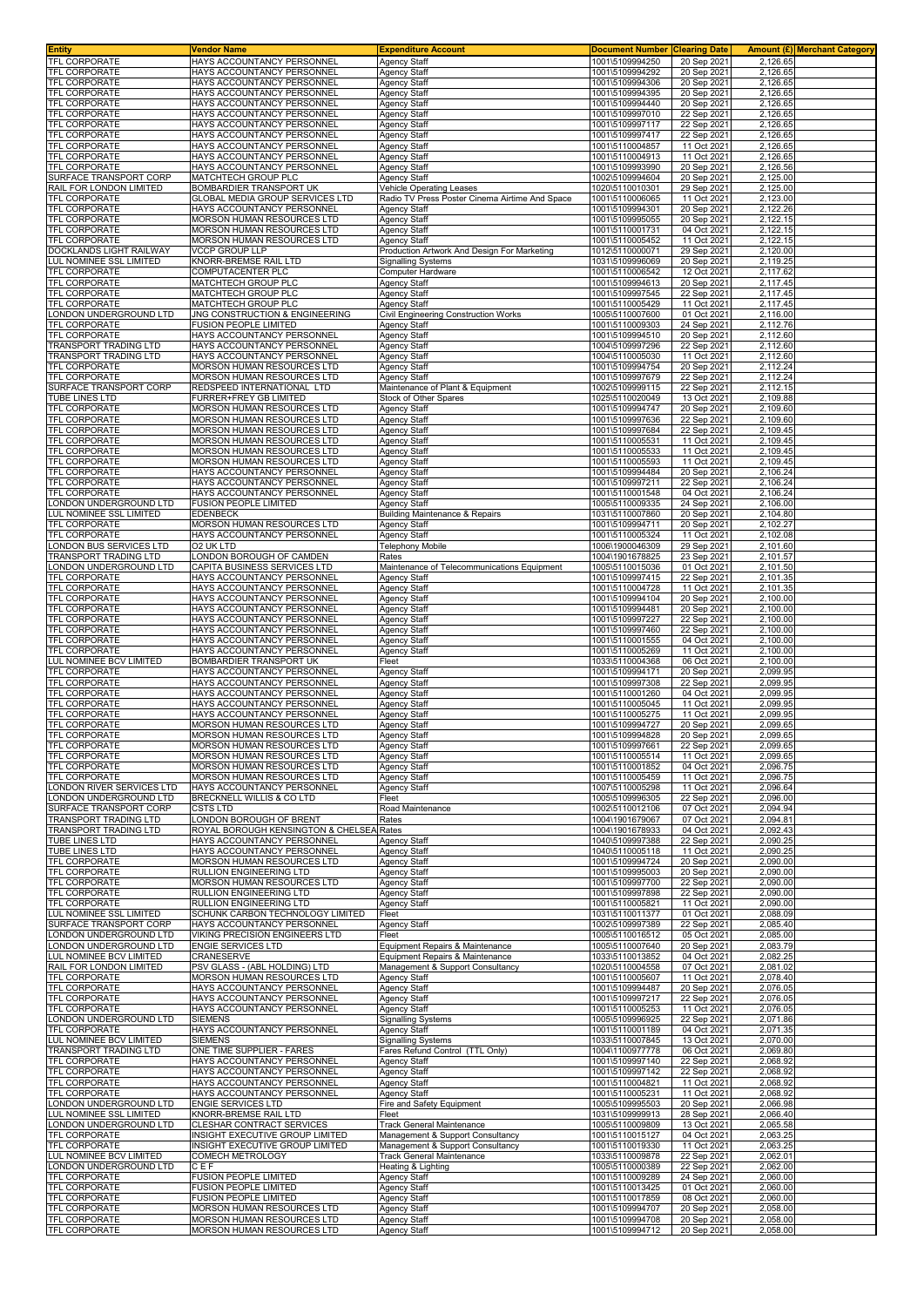| <b>Entity</b>                                      | Vendor Name                                              | <b>Expenditure Account</b>                                  | <b>Document Number</b>             | <b>Clearing Date</b>       |                                   | Amount (£)  Merchant Category |
|----------------------------------------------------|----------------------------------------------------------|-------------------------------------------------------------|------------------------------------|----------------------------|-----------------------------------|-------------------------------|
| <b>TFL CORPORATE</b>                               | HAYS ACCOUNTANCY PERSONNEL                               | <b>Agency Staff</b>                                         | 1001\5109994250                    | 20 Sep 2021                | 2.126.65                          |                               |
| <b>TFL CORPORATE</b>                               | HAYS ACCOUNTANCY PERSONNEL                               | Agency Staff                                                | 1001\5109994292                    | 20 Sep 202                 | 2,126.65                          |                               |
| TFL CORPORATE                                      | HAYS ACCOUNTANCY PERSONNEL                               | <b>Agency Staff</b>                                         | 1001\5109994306                    | 20 Sep 2021                | 2,126.65                          |                               |
| TFL CORPORATE                                      | HAYS ACCOUNTANCY PERSONNEI                               | <b>Agency Staff</b>                                         | 1001\5109994395                    | 20 Sep 2021                | 2,126.65                          |                               |
| <b>TFL CORPORATE</b>                               | HAYS ACCOUNTANCY PERSONNEI                               | <b>Agency Staff</b>                                         | 1001\5109994440                    | 20 Sep 202                 | 2,126.65                          |                               |
| <b>TFL CORPORATE</b>                               | HAYS ACCOUNTANCY PERSONNEL                               | Agency Staff                                                | 1001\5109997010                    | 22 Sep 202                 | 2,126.65                          |                               |
| <b>TFL CORPORATE</b>                               | HAYS ACCOUNTANCY PERSONNEL                               | Agency Staff                                                | 1001\5109997117                    | 22 Sep 2021                | 2,126.65                          |                               |
| TFL CORPORATE<br>TFL CORPORATE                     | HAYS ACCOUNTANCY PERSONNEL<br>HAYS ACCOUNTANCY PERSONNEI | Agency Staff                                                | 1001\5109997417<br>1001\5110004857 | 22 Sep 202<br>11 Oct 2021  | 2,126.65<br>2,126.65              |                               |
| TFL CORPORATE                                      | HAYS ACCOUNTANCY PERSONNEL                               | Agency Staff<br>Agency Staff                                | 1001\5110004913                    | 11 Oct 2021                | 2,126.65                          |                               |
| TFL CORPORATE                                      | HAYS ACCOUNTANCY PERSONNEL                               | Agency Staff                                                | 1001\5109993990                    | 20 Sep 2021                | 2,126.56                          |                               |
| SURFACE TRANSPORT CORP                             | MATCHTECH GROUP PLC                                      | Agency Staff                                                | 1002\5109994604                    | 20 Sep 202                 | 2,125.00                          |                               |
| RAIL FOR LONDON LIMITED                            | BOMBARDIER TRANSPORT UK                                  | Vehicle Operating Leases                                    | 1020\5110010301                    | 29 Sep 2021                | 2,125.00                          |                               |
| TFL CORPORATE                                      | GLOBAL MEDIA GROUP SERVICES LTD                          | Radio TV Press Poster Cinema Airtime And Space              | 1001\5110006065                    | 11 Oct 2021                | 2,123.00                          |                               |
| TFL CORPORATE                                      | HAYS ACCOUNTANCY PERSONNEL                               | Agency Staff                                                | 1001\5109994301                    | 20 Sep 2021                | 2,122.26                          |                               |
| TFL CORPORATE                                      | MORSON HUMAN RESOURCES LTD                               | <b>Agency Staff</b>                                         | 1001\5109995055                    | 20 Sep 2021                | 2,122.15                          |                               |
| TFL CORPORATE                                      | MORSON HUMAN RESOURCES LTD                               | Agency Staff                                                | 1001\5110001731                    | 04 Oct 2021                | 2,122.15                          |                               |
| TFL CORPORATE                                      | MORSON HUMAN RESOURCES LTD                               | <b>Agency Staff</b>                                         | 1001\5110005452                    | 11 Oct 2021                | 2.122.15                          |                               |
| DOCKLANDS LIGHT RAILWAY                            | <b>VCCP GROUP LLP</b>                                    | Production Artwork And Design For Marketing                 | 1012\5110000071                    | 29 Sep 2021                | 2,120.00                          |                               |
| LUL NOMINEE SSL LIMITED                            | KNORR-BREMSE RAIL LTD                                    | <b>Signalling Systems</b>                                   | 1031\5109996069                    | 20 Sep 2021                | 2.119.25                          |                               |
| <b>TFL CORPORATE</b>                               | COMPUTACENTER PLC                                        | Computer Hardware                                           | 1001\5110006542                    | 12 Oct 2021                | 2,117.62                          |                               |
| TFL CORPORATE                                      | MATCHTECH GROUP PLC                                      | Agency Staff                                                | 1001\5109994613                    | 20 Sep 2021                | 2,117.45                          |                               |
| TFL CORPORATE<br><b>TFL CORPORATE</b>              | MATCHTECH GROUP PLC                                      | Agency Staff                                                | 1001\5109997545                    | 22 Sep 2021                | 2,117.45<br>2,117.45              |                               |
| ONDON UNDERGROUND LTD                              | MATCHTECH GROUP PLC<br>JNG CONSTRUCTION & ENGINEERING    | <b>Agency Staff</b><br>Civil Engineering Construction Works | 1001\5110005429<br>1005\5110007600 | 11 Oct 2021<br>01 Oct 2021 | 2,116.00                          |                               |
| TFL CORPORATE                                      | FUSION PEOPLE LIMITED                                    | <b>Agency Staff</b>                                         | 1001\5110009303                    | 24 Sep 2021                | 2,112.76                          |                               |
| <b>TFL CORPORATE</b>                               | HAYS ACCOUNTANCY PERSONNEI                               | <b>Agency Staff</b>                                         | 1001\5109994510                    | 20 Sep 2021                | 2,112.60                          |                               |
| <b>TRANSPORT TRADING LTD</b>                       | HAYS ACCOUNTANCY PERSONNEI                               | <b>Agency Staff</b>                                         | 1004\5109997296                    | 22 Sep 202                 | 2,112.60                          |                               |
| TRANSPORT TRADING LTD                              | HAYS ACCOUNTANCY PERSONNEL                               | Agency Staff                                                | 1004\5110005030                    | 11 Oct 2021                | 2,112.60                          |                               |
| TFL CORPORATE                                      | MORSON HUMAN RESOURCES LTD                               | Agency Staff                                                | 1001\5109994754                    | 20 Sep 2021                | 2,112.24                          |                               |
| <b>TFL CORPORATE</b>                               | MORSON HUMAN RESOURCES LTD                               | Agency Staff                                                | 1001\5109997679                    | 22 Sep 202                 | 2,112.24                          |                               |
| SURFACE TRANSPORT CORP                             | REDSPEED INTERNATIONAL LTD                               | Maintenance of Plant & Equipment                            | 1002\5109999115                    | 22 Sep 2021                | 2,112.15                          |                               |
| <b>TUBE LINES LTD</b>                              | FURRER+FREY GB LIMITED                                   | Stock of Other Spares                                       | 1025\5110020049                    | 13 Oct 2021                | 2,109.88                          |                               |
| <b>TFL CORPORATE</b>                               | MORSON HUMAN RESOURCES LTD                               | Agency Staff                                                | 1001\5109994747                    | 20 Sep 2021                | 2,109.60                          |                               |
| <b>TFL CORPORATE</b>                               | MORSON HUMAN RESOURCES LTD                               | <b>Agency Staff</b>                                         | 1001\5109997636                    | 22 Sep 202                 | 2,109.60                          |                               |
| TFL CORPORATE                                      | MORSON HUMAN RESOURCES LTD                               | Agency Staff                                                | 1001\5109997684                    | 22 Sep 2021                | 2,109.45                          |                               |
| TFL CORPORATE                                      | MORSON HUMAN RESOURCES LTD                               | Agency Staff                                                | 1001\5110005531                    | 11 Oct 2021                | 2,109.45                          |                               |
| TFL CORPORATE                                      | <b>MORSON HUMAN RESOURCES LTD</b>                        | <b>Agency Staff</b>                                         | 1001\5110005533                    | 11 Oct 2021                | 2,109.45                          |                               |
| TFL CORPORATE                                      | MORSON HUMAN RESOURCES LTD                               | <b>Agency Staff</b>                                         | 1001\5110005593                    | 11 Oct 2021                | 2,109.45                          |                               |
| TFL CORPORATE<br>TFL CORPORATE                     | HAYS ACCOUNTANCY PERSONNEL                               | <b>Agency Staff</b>                                         | 1001\5109994484                    | 20 Sep 2021                | 2,106.24<br>$2,106.\overline{24}$ |                               |
| <b>TFL CORPORATE</b>                               | HAYS ACCOUNTANCY PERSONNEL<br>HAYS ACCOUNTANCY PERSONNEL | Agency Staff                                                | 1001\5109997211<br>1001\5110001548 | 22 Sep 2021<br>04 Oct 2021 | 2,106.24                          |                               |
| LONDON UNDERGROUND LTD                             | FUSION PEOPLE LIMITED                                    | <b>Agency Staff</b><br><b>Agency Staff</b>                  | 1005\5110009335                    | 24 Sep 2021                | 2,106.00                          |                               |
| UL NOMINEE SSL LIMITED                             | EDENBECK                                                 | <b>Building Maintenance &amp; Repairs</b>                   | 1031\5110007860                    | 20 Sep 2021                | 2,104.80                          |                               |
| TFL CORPORATE                                      | MORSON HUMAN RESOURCES LTD                               | Agency Staff                                                | 1001\5109994711                    | 20 Sep 2021                | 2,102.27                          |                               |
| TFL CORPORATE                                      | HAYS ACCOUNTANCY PERSONNEL                               | Agency Staff                                                | 1001\5110005324                    | 11 Oct 2021                | 2,102.08                          |                               |
| LONDON BUS SERVICES LTD                            | 02 UK LTD                                                | Telephony Mobile                                            | 1006\1900046309                    | 29 Sep 202                 | 2,101.60                          |                               |
| TRANSPORT TRADING LTD                              | LONDON BOROUGH OF CAMDEN                                 | Rates                                                       | 1004\1901678825                    | 23 Sep 2021                | 2,101.57                          |                               |
| ONDON UNDERGROUND LTD                              | CAPITA BUSINESS SERVICES LTD                             | Maintenance of Telecommunications Equipment                 | 1005\5110015036                    | 01 Oct 2021                | 2,101.50                          |                               |
| <b>TFL CORPORATE</b>                               | HAYS ACCOUNTANCY PERSONNEI                               | Agency Staff                                                | 1001\5109997415                    | 22 Sep 2021                | 2,101.35                          |                               |
| <b>TFL CORPORATE</b>                               | HAYS ACCOUNTANCY PERSONNEL                               | <b>Agency Staff</b>                                         | 1001\5110004728                    | 11 Oct 2021                | 2,101.35                          |                               |
| <b>TFL CORPORATE</b>                               | HAYS ACCOUNTANCY PERSONNEL                               | Agency Staff                                                | 1001\5109994104                    | 20 Sep 2021                | 2,100.00                          |                               |
| <b>TFL CORPORATE</b>                               | HAYS ACCOUNTANCY PERSONNEL                               | Agency Staff                                                | 1001\5109994481                    | 20 Sep 2021                | 2,100.00                          |                               |
| TFL CORPORATE                                      | HAYS ACCOUNTANCY PERSONNEL                               | Agency Staff                                                | 1001\5109997227                    | 22 Sep 202                 | 2,100.00                          |                               |
| <b>TFL CORPORATE</b>                               | HAYS ACCOUNTANCY PERSONNEL                               | Agency Staff                                                | 1001\5109997460                    | 22 Sep 2021                | 2,100.00                          |                               |
| TFL CORPORATE                                      | HAYS ACCOUNTANCY PERSONNEL                               | Agency Staff                                                | 1001\5110001555                    | 04 Oct 2021                | 2,100.00                          |                               |
| TFL CORPORATE                                      | HAYS ACCOUNTANCY PERSONNEL                               | <b>Agency Staff</b>                                         | 1001\5110005269                    | 11 Oct 2021                | 2,100.00                          |                               |
| LUL NOMINEE BCV LIMITED<br><b>TFL CORPORATE</b>    | BOMBARDIER TRANSPORT UK<br>HAYS ACCOUNTANCY PERSONNEL    | Fleet                                                       | 1033\5110004368<br>1001\5109994171 | 06 Oct 202                 | 2,100.00                          |                               |
| <b>TFL CORPORATE</b>                               | HAYS ACCOUNTANCY PERSONNEL                               | Agency Staff                                                |                                    | 20 Sep 2021                | 2,099.95<br>2,099.95              |                               |
| TFL CORPORATE                                      | HAYS ACCOUNTANCY PERSONNEL                               | Agency Staff<br><b>Agency Staff</b>                         | 1001\5109997308                    | 22 Sep 2021<br>04 Oct 2021 | 2,099.95                          |                               |
| TFL CORPORATE                                      | HAYS ACCOUNTANCY PERSONNEI                               | <b>Agency Staff</b>                                         | 1001\5110001260<br>1001\5110005045 | 11 Oct 2021                | 2.099.95                          |                               |
| <b>TFL CORPORATE</b>                               | HAYS ACCOUNTANCY PERSONNEI                               | <b>Agency Staff</b>                                         | 1001\5110005275                    | 11 Oct 2021                | 2,099.95                          |                               |
| TFL CORPORATE                                      | MORSON HUMAN RESOURCES LTD                               | Agency Staff                                                | 1001\5109994727                    | 20 Sep 2021                | 2,099.65                          |                               |
| TFL CORPORATE                                      | MORSON HUMAN RESOURCES LTD                               | <b>Agency Staff</b>                                         | 1001\5109994828                    | 20 Sep 2021                | 2,099.65                          |                               |
| <b>TFL CORPORATE</b>                               | <b>MORSON HUMAN RESOURCES LTD</b>                        | Agency Staff                                                | 1001\5109997661                    | 22 Sep 2021                | 2.099.65                          |                               |
| TFL CORPORATE                                      | MORSON HUMAN RESOURCES LTD                               | <b>Agency Staff</b>                                         | 1001\5110005514                    | 11 Oct 2021                | 2,099.65                          |                               |
| <b>TFL CORPORATE</b>                               | MORSON HUMAN RESOURCES LTD                               | <b>Agency Staff</b>                                         | 1001\5110001852                    | 04 Oct 2021                | 2,096.75                          |                               |
| TFL CORPORATE                                      | MORSON HUMAN RESOURCES LTD                               | <b>Agency Staff</b>                                         | 1001\5110005459                    | 11 Oct 2021                | 2,096.75                          |                               |
| LONDON RIVER SERVICES LTD                          | HAYS ACCOUNTANCY PERSONNEL                               | <b>Agency Staff</b>                                         | 1007\5110005298                    | 11 Oct 2021                | 2,096.64                          |                               |
| ONDON UNDERGROUND LTD                              | BRECKNELL WILLIS & CO LTD                                | Fleet                                                       | 1005\5109996305                    | 22 Sep 2021                | 2,096.00                          |                               |
| SURFACE TRANSPORT CORP                             | <b>CSTS LTD</b>                                          | Road Maintenance                                            | 1002\5110012106                    | 07 Oct 2021                | 2,094.94                          |                               |
| <b>TRANSPORT TRADING LTD</b>                       | ONDON BOROUGH OF BRENT                                   | Rates                                                       | 1004\1901679067                    | 07 Oct 2021                | 2.094.81                          |                               |
| TRANSPORT TRADING LTD<br><b>TUBE LINES LTD</b>     | ROYAL BOROUGH KENSINGTON & CHELSEA                       | Rates                                                       | 1004\1901678933                    | 04 Oct 2021<br>22 Sep 2021 | 2,092.43<br>2,090.25              |                               |
| <b>TUBE LINES LTD</b>                              | HAYS ACCOUNTANCY PERSONNEL<br>HAYS ACCOUNTANCY PERSONNEL | Agency Staff<br><b>Agency Staff</b>                         | 1040\5109997388<br>1040\5110005118 | 11 Oct 2021                | 2,090.25                          |                               |
| <b>TFL CORPORATE</b>                               | MORSON HUMAN RESOURCES LTD                               | <b>Agency Staff</b>                                         | 1001\5109994724                    | 20 Sep 2021                | 2,090.00                          |                               |
| TFL CORPORATE                                      | RULLION ENGINEERING LTD                                  | <b>Agency Staff</b>                                         | 1001\5109995003                    | 20 Sep 2021                | 2,090.00                          |                               |
| <b>TFL CORPORATE</b>                               | MORSON HUMAN RESOURCES LTD                               | Agency Staff                                                | 1001\5109997700                    | 22 Sep 2021                | 2,090.00                          |                               |
| TFL CORPORATE                                      | RULLION ENGINEERING LTD                                  | <b>Agency Staff</b>                                         | 1001\5109997898                    | 22 Sep 2021                | 2,090.00                          |                               |
| <b>TFL CORPORATE</b>                               | <b>RULLION ENGINEERING LTD</b>                           | Agency Staff                                                | 1001\5110005821                    | 11 Oct 2021                | 2,090.00                          |                               |
| LUL NOMINEE SSL LIMITED                            | SCHUNK CARBON TECHNOLOGY LIMITED                         | Fleet                                                       | 1031\5110011377                    | 01 Oct 2021                | 2,088.09                          |                               |
| SURFACE TRANSPORT CORP                             | HAYS ACCOUNTANCY PERSONNEL                               | Agency Staff                                                | 1002\5109997389                    | 22 Sep 2021                | 2,085.40                          |                               |
| ONDON UNDERGROUND LTD                              | VIKING PRECISION ENGINEERS LTD                           | Fleet                                                       | 1005\5110016512                    | 05 Oct 2021                | 2,085.00                          |                               |
| ONDON UNDERGROUND LTD                              | <b>ENGIE SERVICES LTD</b>                                | Equipment Repairs & Maintenance                             | 1005\5110007640                    | 20 Sep 2021                | 2,083.79                          |                               |
| LUL NOMINEE BCV LIMITED<br>RAIL FOR LONDON LIMITED | CRANESERVE<br>PSV GLASS - (ABL HOLDING) LTD              | Equipment Repairs & Maintenance                             | 1033\5110013852<br>1020\5110004558 | 04 Oct 2021<br>07 Oct 2021 | 2,082.25<br>2,081.02              |                               |
| TFL CORPORATE                                      | MORSON HUMAN RESOURCES LTD                               | Management & Support Consultancy<br>Agency Staff            | 1001\5110005607                    | 11 Oct 2021                | 2,078.40                          |                               |
| <b>TFL CORPORATE</b>                               | HAYS ACCOUNTANCY PERSONNEL                               | <b>Agency Staff</b>                                         | 1001\5109994487                    | 20 Sep 2021                | 2,076.05                          |                               |
| <b>TFL CORPORATE</b>                               | HAYS ACCOUNTANCY PERSONNEL                               | <b>Agency Staff</b>                                         | 1001\5109997217                    | 22 Sep 2021                | 2,076.05                          |                               |
| <b>TFL CORPORATE</b>                               | HAYS ACCOUNTANCY PERSONNEL                               | Agency Staff                                                | 1001\5110005253                    | 11 Oct 2021                | 2,076.05                          |                               |
| LONDON UNDERGROUND LTD                             | <b>SIEMENS</b>                                           | <b>Signalling Systems</b>                                   | 1005\5109996925                    | 22 Sep 2021                | 2,071.86                          |                               |
| <b>TFL CORPORATE</b>                               | HAYS ACCOUNTANCY PERSONNEL                               | <b>Agency Staff</b>                                         | 1001\5110001189                    | 04 Oct 2021                | 2,071.35                          |                               |
| LUL NOMINEE BCV LIMITED                            | <b>SIEMENS</b>                                           | <b>Signalling Systems</b>                                   | 1033\5110007845                    | 13 Oct 2021                | 2,070.00                          |                               |
| TRANSPORT TRADING LTD                              | ONE TIME SUPPLIER - FARES                                | Fares Refund Control (TTL Only)                             | 1004\1100977778                    | 06 Oct 2021                | 2,069.80                          |                               |
| TFL CORPORATE                                      | HAYS ACCOUNTANCY PERSONNEL                               | <b>Agency Staff</b>                                         | 1001\5109997140                    | 22 Sep 2021                | 2,068.92                          |                               |
| <b>TFL CORPORATE</b>                               | HAYS ACCOUNTANCY PERSONNEL                               | <b>Agency Staff</b>                                         | 1001\5109997142                    | 22 Sep 2021                | 2,068.92                          |                               |
| <b>TFL CORPORATE</b>                               | HAYS ACCOUNTANCY PERSONNEL                               | Agency Staff                                                | 1001\5110004821                    | 11 Oct 2021                | 2,068.92                          |                               |
| TFL CORPORATE                                      | HAYS ACCOUNTANCY PERSONNEL                               | <b>Agency Staff</b>                                         | 1001\5110005231                    | 11 Oct 2021                | 2,068.92                          |                               |
| LONDON UNDERGROUND LTD                             | ENGIE SERVICES LTD                                       | Fire and Safety Equipment                                   | 1005\5109995503                    | 20 Sep 2021                | 2,066.98                          |                               |
| LUL NOMINEE SSL LIMITED<br>ONDON UNDERGROUND LTD   | KNORR-BREMSE RAIL LTD<br>CLESHAR CONTRACT SERVICES       | Fleet<br>Track General Maintenance                          | 1031\5109999913<br>1005\5110009809 | 28 Sep 2021<br>13 Oct 2021 | 2,066.40<br>2,065.58              |                               |
| TFL CORPORATE                                      | INSIGHT EXECUTIVE GROUP LIMITED                          | Management & Support Consultancy                            | 1001\5110015127                    | 04 Oct 2021                | 2,063.25                          |                               |
| <b>TFL CORPORATE</b>                               | INSIGHT EXECUTIVE GROUP LIMITED                          | Management & Support Consultancy                            | 1001\5110019330                    | 11 Oct 2021                | 2,063.25                          |                               |
| LUL NOMINEE BCV LIMITED                            | COMECH METROLOGY                                         | <b>Track General Maintenance</b>                            | 1033\5110009878                    | 22 Sep 2021                | 2,062.01                          |                               |
| LONDON UNDERGROUND LTD                             | CEF                                                      | Heating & Lighting                                          | 1005\5110000389                    | 22 Sep 2021                | 2,062.00                          |                               |
| TFL CORPORATE                                      | FUSION PEOPLE LIMITED                                    | Agency Staff                                                | 1001\5110009289                    | 24 Sep 2021                | 2,060.00                          |                               |
| TFL CORPORATE                                      | <b>FUSION PEOPLE LIMITED</b>                             | <b>Agency Staff</b>                                         | 1001\5110013425                    | 01 Oct 2021                | 2,060.00                          |                               |
| TFL CORPORATE                                      | FUSION PEOPLE LIMITED                                    | <b>Agency Staff</b>                                         | 1001\5110017859                    | 08 Oct 2021                | 2,060.00                          |                               |
| TFL CORPORATE                                      | MORSON HUMAN RESOURCES LTD                               | <b>Agency Staff</b>                                         | 1001\5109994707                    | 20 Sep 2021                | 2,058.00                          |                               |
| TFL CORPORATE                                      | MORSON HUMAN RESOURCES LTD                               | <b>Agency Staff</b>                                         | 1001\5109994708                    | 20 Sep 2021                | 2,058.00                          |                               |
| <b>TFL CORPORATE</b>                               | MORSON HUMAN RESOURCES LTD                               | <b>Agency Staff</b>                                         | 1001\5109994712                    | 20 Sep 2021                | 2,058.00                          |                               |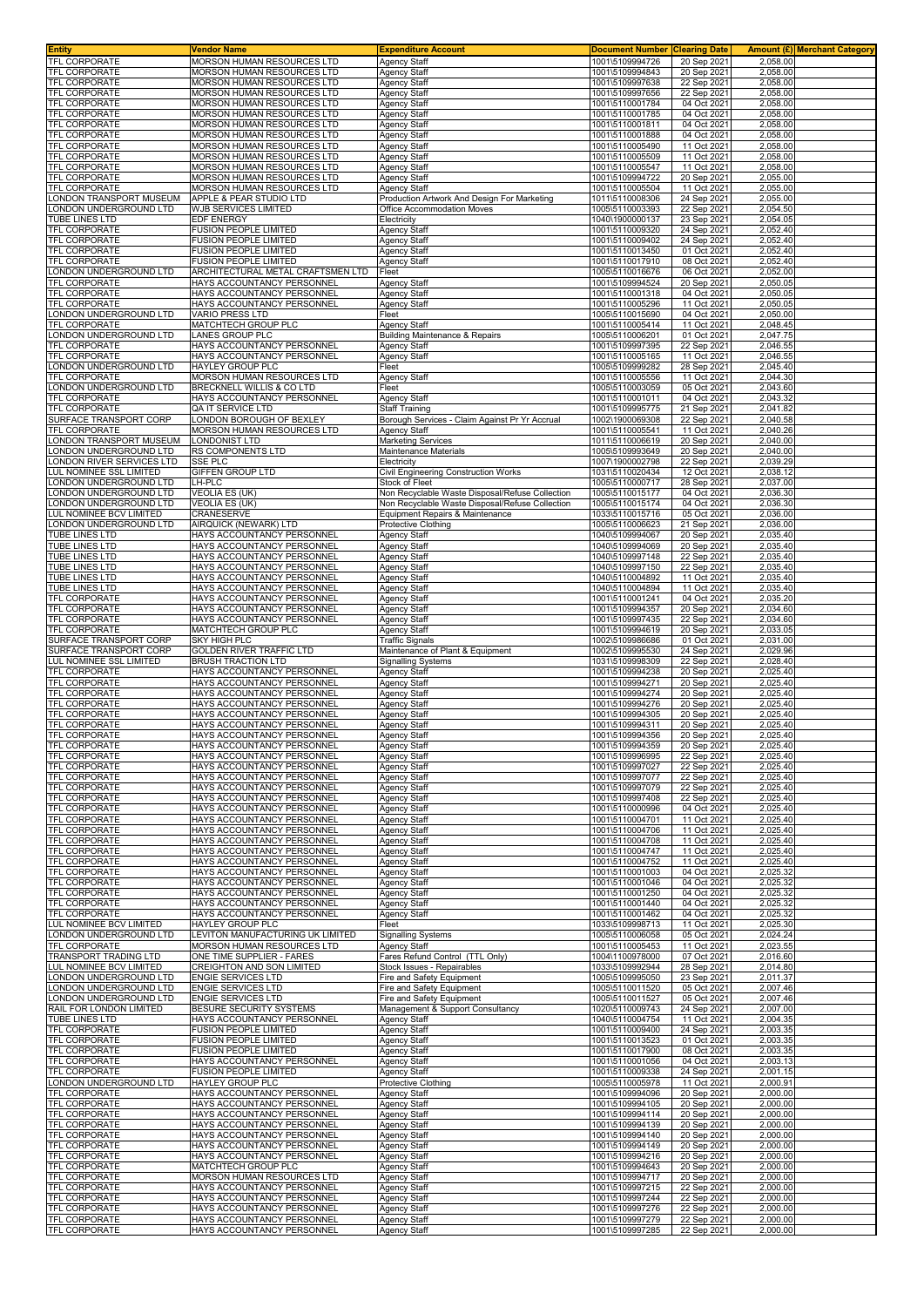| <b>Entity</b>                                                                                       | Vendor Name                                                    | <b>Expenditure Account</b>                                        | <b>Document Number</b>             | <b>Clearing Date</b>       | Amount (£) Merchant Category |  |
|-----------------------------------------------------------------------------------------------------|----------------------------------------------------------------|-------------------------------------------------------------------|------------------------------------|----------------------------|------------------------------|--|
| <b>TFL CORPORATE</b>                                                                                | <b>MORSON HUMAN RESOURCES LTD</b>                              | <b>Agency Staff</b>                                               | 1001\5109994726                    | 20 Sep 2021                | 2.058.00                     |  |
| <b>TFL CORPORATE</b>                                                                                | MORSON HUMAN RESOURCES LTD                                     | <b>Agency Staff</b>                                               | 1001\5109994843                    | 20 Sep 202                 | 2,058.00                     |  |
| <b>TFL CORPORATE</b>                                                                                | MORSON HUMAN RESOURCES LTD                                     | <b>Agency Staff</b>                                               | 1001\5109997638                    | 22 Sep 2021                | 2,058.00                     |  |
| TFL CORPORATE                                                                                       | MORSON HUMAN RESOURCES LTD                                     | <b>Agency Staff</b>                                               | 1001\5109997656                    | 22 Sep 2021                | 2,058.00                     |  |
| <b>TFL CORPORATE</b>                                                                                | MORSON HUMAN RESOURCES LTD<br>MORSON HUMAN RESOURCES LTD       | <b>Agency Staff</b>                                               | 1001\5110001784                    | 04 Oct 2021                | 2,058.00                     |  |
| <b>TFL CORPORATE</b><br>TFL CORPORATE                                                               | MORSON HUMAN RESOURCES LTD                                     | <b>Agency Staff</b><br><b>Agency Staff</b>                        | 1001\5110001785<br>1001\5110001811 | 04 Oct 2021<br>04 Oct 2021 | 2,058.00<br>2,058.00         |  |
| <b>TFL CORPORATE</b>                                                                                | MORSON HUMAN RESOURCES LTD                                     | <b>Agency Staff</b>                                               | 1001\5110001888                    | 04 Oct 2021                | 2,058.00                     |  |
| <b>TFL CORPORATE</b>                                                                                | MORSON HUMAN RESOURCES LTD                                     | <b>Agency Staff</b>                                               | 1001\5110005490                    | 11 Oct 202                 | 2,058.00                     |  |
| <b>TFL CORPORATE</b>                                                                                | MORSON HUMAN RESOURCES LTD                                     | <b>Agency Staff</b>                                               | 1001\5110005509                    | 11 Oct 2021                | 2,058.00                     |  |
| TFL CORPORATE                                                                                       | MORSON HUMAN RESOURCES LTD                                     | <b>Agency Staff</b>                                               | 1001\5110005547                    | 11 Oct 2021                | 2,058.00                     |  |
| <b>TFL CORPORATE</b>                                                                                | MORSON HUMAN RESOURCES LTD                                     | Agency Staff                                                      | 1001\5109994722                    | 20 Sep 202                 | 2,055.00                     |  |
| TFL CORPORATE                                                                                       | MORSON HUMAN RESOURCES LTD                                     | <b>Agency Staff</b>                                               | 1001\5110005504                    | 11 Oct 2021                | 2,055.00                     |  |
| ONDON TRANSPORT MUSEUM<br>ONDON UNDERGROUND LTD                                                     | APPLE & PEAR STUDIO LTD<br><b>WJB SERVICES LIMITED</b>         | Production Artwork And Design For Marketing                       | 1011\5110008306                    | 24 Sep 2021                | 2,055.00                     |  |
| TUBE LINES LTD                                                                                      | <b>EDF ENERGY</b>                                              | Office Accommodation Moves<br>Electricity                         | 1005\5110003393<br>1040\1900000137 | 22 Sep 2021<br>23 Sep 202  | 2,054.50<br>2,054.05         |  |
| TFL CORPORATE                                                                                       | <b>FUSION PEOPLE LIMITED</b>                                   | Agency Staff                                                      | 1001\5110009320                    | 24 Sep 2021                | 2,052.40                     |  |
| TFL CORPORATE                                                                                       | <b>FUSION PEOPLE LIMITED</b>                                   | <b>Agency Staff</b>                                               | 1001\5110009402                    | 24 Sep 2021                | 2.052.40                     |  |
| TFL CORPORATE                                                                                       | FUSION PEOPLE LIMITED                                          | Agency Staff                                                      | 1001\5110013450                    | 01 Oct 202                 | 2,052.40                     |  |
| <b>TFL CORPORATE</b>                                                                                | <b>FUSION PEOPLE LIMITED</b>                                   | <b>Agency Staff</b>                                               | 1001\5110017910                    | 08 Oct 2021                | 2,052.40                     |  |
| ONDON UNDERGROUND LTD                                                                               | ARCHITECTURAL METAL CRAFTSMEN LTD                              | Fleet                                                             | 1005\5110016676                    | 06 Oct 202                 | 2,052.00                     |  |
| TFL CORPORATE                                                                                       | HAYS ACCOUNTANCY PERSONNEL                                     | <b>Agency Staff</b>                                               | 1001\5109994524                    | 20 Sep 2021                | 2,050.05                     |  |
| TFL CORPORATE<br>TFL CORPORATE                                                                      | HAYS ACCOUNTANCY PERSONNEL<br>HAYS ACCOUNTANCY PERSONNEL       | <b>Agency Staff</b><br><b>Agency Staff</b>                        | 1001\5110001318<br>1001\5110005296 | 04 Oct 2021<br>11 Oct 2021 | 2,050.05<br>2,050.05         |  |
| ONDON UNDERGROUND LTD                                                                               | <b>VARIO PRESS LTD</b>                                         | Fleet                                                             | 1005\5110015690                    | 04 Oct 202                 | 2,050.00                     |  |
| <b>TFL CORPORATE</b>                                                                                | MATCHTECH GROUP PLC                                            | <b>Agency Staff</b>                                               | 1001\5110005414                    | 11 Oct 2021                | 2,048.45                     |  |
| ONDON UNDERGROUND LTD                                                                               | LANES GROUP PLC                                                | Building Maintenance & Repairs                                    | 1005\5110006201                    | 01 Oct 2021                | 2,047.75                     |  |
| TFL CORPORATE                                                                                       | HAYS ACCOUNTANCY PERSONNEL                                     | <b>Agency Staff</b>                                               | 1001\5109997395                    | 22 Sep 2021                | 2,046.55                     |  |
| TFL CORPORATE                                                                                       | HAYS ACCOUNTANCY PERSONNEL                                     | <b>Agency Staff</b>                                               | 1001\5110005165                    | 11 Oct 2021                | 2,046.55                     |  |
| ONDON UNDERGROUND LTD                                                                               | HAYLEY GROUP PLC                                               | Fleet                                                             | 1005\5109999282                    | 28 Sep 2021                | 2,045.40                     |  |
| TFL CORPORATE                                                                                       | MORSON HUMAN RESOURCES LTD                                     | <b>Agency Staff</b>                                               | 1001\5110005556                    | 11 Oct 202                 | 2,044.30                     |  |
| ONDON UNDERGROUND LTD<br><b>TFL CORPORATE</b>                                                       | BRECKNELL WILLIS & CO LTD<br>HAYS ACCOUNTANCY PERSONNEL        | Fleet<br>Agency Staff                                             | 1005\5110003059<br>1001\5110001011 | 05 Oct 2021<br>04 Oct 2021 | 2,043.60<br>2,043.32         |  |
| TFL CORPORATE                                                                                       | QA IT SERVICE LTD                                              | Staff Training                                                    | 1001\5109995775                    | 21 Sep 2021                | 2,041.82                     |  |
| SURFACE TRANSPORT CORP                                                                              | LONDON BOROUGH OF BEXLEY                                       | Borough Services - Claim Against Pr Yr Accrual                    | 1002\1900069308                    | 22 Sep 202                 | 2,040.58                     |  |
| <b>TFL CORPORATE</b>                                                                                | MORSON HUMAN RESOURCES LTD                                     | <b>Agency Staff</b>                                               | 1001\5110005541                    | 11 Oct 2021                | 2,040.26                     |  |
| ONDON TRANSPORT MUSEUM                                                                              | LONDONIST LTD                                                  | <b>Marketing Services</b>                                         | 1011\5110006619                    | 20 Sep 2021                | 2,040.00                     |  |
| ONDON UNDERGROUND LTD                                                                               | RS COMPONENTS LTD                                              | Maintenance Materials                                             | 1005\5109993649                    | 20 Sep 2021                | 2,040.00                     |  |
| ONDON RIVER SERVICES LTD                                                                            | <b>SSE PLC</b>                                                 | Electricity                                                       | 1007\1900002798                    | 22 Sep 2021                | 2,039.29                     |  |
| UL NOMINEE SSL LIMITED                                                                              | <b>GIFFEN GROUP LTD</b>                                        | Civil Engineering Construction Works                              | 1031\5110020434                    | 12 Oct 2021                | 2,038.12<br>2.037.00         |  |
| ONDON UNDERGROUND LTD<br>ONDON UNDERGROUND LTD                                                      | LH-PLC<br>VEOLIA ES (UK)                                       | Stock of Fleet<br>Non Recyclable Waste Disposal/Refuse Collection | 1005\5110000717<br>1005\5110015177 | 28 Sep 2021<br>04 Oct 2021 | 2,036.30                     |  |
| ONDON UNDERGROUND LTD.                                                                              | <b>VEOLIA ES (UK)</b>                                          | Non Recyclable Waste Disposal/Refuse Collection                   | 1005\5110015174                    | 04 Oct 202                 | 2,036.30                     |  |
| UL NOMINEE BCV LIMITED                                                                              | CRANESERVE                                                     | Equipment Repairs & Maintenance                                   | 1033\5110015716                    | 05 Oct 2021                | 2,036.00                     |  |
| ONDON UNDERGROUND LTD                                                                               | AIRQUICK (NEWARK) LTD                                          | <b>Protective Clothing</b>                                        | 1005\5110006623                    | 21 Sep 2021                | 2,036.00                     |  |
| TUBE LINES LTD                                                                                      | HAYS ACCOUNTANCY PERSONNEL                                     | <b>Agency Staff</b>                                               | 1040\5109994067                    | 20 Sep 2021                | 2,035.40                     |  |
| TUBE LINES LTD                                                                                      | HAYS ACCOUNTANCY PERSONNEL                                     | <b>Agency Staff</b>                                               | 1040\5109994069                    | 20 Sep 202                 | 2,035.40                     |  |
| TUBE LINES LTD                                                                                      | HAYS ACCOUNTANCY PERSONNEL                                     | <b>Agency Staff</b>                                               | 1040\5109997148                    | 22 Sep 202                 | 2,035.40                     |  |
| TUBE LINES LTD                                                                                      | HAYS ACCOUNTANCY PERSONNEL                                     | <b>Agency Staff</b>                                               | 1040\5109997150                    | 22 Sep 2021                | 2,035.40                     |  |
| TUBE LINES LTD<br><b>TUBE LINES LTD</b>                                                             | HAYS ACCOUNTANCY PERSONNEL<br>HAYS ACCOUNTANCY PERSONNEL       | <b>Agency Staff</b><br><b>Agency Staff</b>                        | 1040\5110004892<br>1040\5110004894 | 11 Oct 2021<br>11 Oct 202  | 2,035.40<br>2,035.40         |  |
| <b>TFL CORPORATE</b>                                                                                | HAYS ACCOUNTANCY PERSONNEL                                     | <b>Agency Staff</b>                                               | 1001\5110001241                    | 04 Oct 2021                | 2,035.20                     |  |
| <b>TFL CORPORATE</b>                                                                                | HAYS ACCOUNTANCY PERSONNEL                                     | <b>Agency Staff</b>                                               | 1001\5109994357                    | 20 Sep 2021                | 2,034.60                     |  |
| TFL CORPORATE                                                                                       | HAYS ACCOUNTANCY PERSONNEL                                     | <b>Agency Staff</b>                                               | 1001\5109997435                    | 22 Sep 202                 | 2,034.60                     |  |
| TFL CORPORATE                                                                                       | MATCHTECH GROUP PLC                                            | Agency Staff                                                      | 1001\5109994619                    | 20 Sep 2021                | 2,033.05                     |  |
| SURFACE TRANSPORT CORP                                                                              | SKY HIGH PLC                                                   | Traffic Signals                                                   | 1002\5109986686                    | 01 Oct 2021                | 2,031.00                     |  |
| SURFACE TRANSPORT CORP                                                                              | GOLDEN RIVER TRAFFIC LTD                                       | Maintenance of Plant & Equipment                                  | 1002\5109995530                    | 24 Sep 2021                | 2,029.96                     |  |
| LUL NOMINEE SSL LIMITED                                                                             | <b>BRUSH TRACTION LTD</b>                                      | <b>Signalling Systems</b>                                         | 1031\5109998309                    | 22 Sep 202                 | 2,028.40                     |  |
| <b>TFL CORPORATE</b><br>TFL CORPORATE                                                               | HAYS ACCOUNTANCY PERSONNEL<br>HAYS ACCOUNTANCY PERSONNEL       | <b>Agency Staff</b><br>Agency Staff                               | 1001\5109994238<br>1001\5109994271 | 20 Sep 202<br>20 Sep 2021  | 2,025.40<br>2,025.40         |  |
| <b>TFL CORPORATE</b>                                                                                | HAYS ACCOUNTANCY PERSONNEL                                     | <b>Agency Staff</b>                                               | 1001\5109994274                    | 20 Sep 2021                | 2,025.40                     |  |
| <b>TFL CORPORATE</b>                                                                                | HAYS ACCOUNTANCY PERSONNEI                                     | <b>Agency Staff</b>                                               | 1001\5109994276                    | 20 Sep 202                 | 2,025.40                     |  |
| TFL CORPORATE                                                                                       | HAYS ACCOUNTANCY PERSONNEI                                     | <b>Agency Staff</b>                                               | 1001\5109994305                    | 20 Sep 202                 | 2,025.40                     |  |
| <b>TFL CORPORATE</b>                                                                                | HAYS ACCOUNTANCY PERSONNEL                                     | <b>Agency Staff</b>                                               | 1001\5109994311                    | 20 Sep 2021                | 2,025.40                     |  |
| <b>TFL CORPORATE</b>                                                                                | HAYS ACCOUNTANCY PERSONNEL                                     | <b>Agency Staff</b>                                               | 1001\5109994356                    | 20 Sep 2021                | 2,025.40                     |  |
| <b>TFL CORPORATE</b>                                                                                | HAYS ACCOUNTANCY PERSONNEL                                     | Agency Staff                                                      | 1001\5109994359                    | 20 Sep 2021                | 2,025.40                     |  |
| <b>TFL CORPORATE</b><br>TFL CORPORATE                                                               | HAYS ACCOUNTANCY PERSONNEL<br>HAYS ACCOUNTANCY PERSONNEL       | <b>Agency Staff</b>                                               | 1001\5109996995<br>1001\5109997027 | 22 Sep 2021                | 2,025.40<br>2,025.40         |  |
| TFL CORPORATE                                                                                       | HAYS ACCOUNTANCY PERSONNEL                                     | <b>Agency Staff</b><br><b>Agency Staff</b>                        | 1001\5109997077                    | 22 Sep 2021<br>22 Sep 2021 | 2,025.40                     |  |
| <b>TFL CORPORATE</b>                                                                                | <b>HAYS ACCOUNTANCY PERSONNEL</b>                              | <b>Agency Staff</b>                                               | 1001\5109997079                    | 22 Sep 2021                | 2,025.40                     |  |
| TFL CORPORATE                                                                                       | HAYS ACCOUNTANCY PERSONNEL                                     | <b>Agency Staff</b>                                               | 1001\5109997408                    | 22 Sep 202                 | 2,025.40                     |  |
| TFL CORPORATE                                                                                       | HAYS ACCOUNTANCY PERSONNEL                                     | <b>Agency Staff</b>                                               | 1001\5110000996                    | 04 Oct 2021                | 2,025.40                     |  |
| TFL CORPORATE                                                                                       | HAYS ACCOUNTANCY PERSONNEL                                     | Agency Staff                                                      | 1001\5110004701                    | 11 Oct 2021                | 2,025.40                     |  |
| TFL CORPORATE                                                                                       | HAYS ACCOUNTANCY PERSONNEL                                     | <b>Agency Staff</b>                                               | 1001\5110004706                    | 11 Oct 2021                | 2,025.40                     |  |
| TFL CORPORATE                                                                                       | HAYS ACCOUNTANCY PERSONNEL                                     | <b>Agency Staff</b>                                               | 1001\5110004708                    | 11 Oct 2021                | 2,025.40                     |  |
| TFL CORPORATE<br><b>TFL CORPORATE</b>                                                               | HAYS ACCOUNTANCY PERSONNEL<br>HAYS ACCOUNTANCY PERSONNEL       | Agency Staff<br><b>Agency Staff</b>                               | 1001\5110004747<br>1001\5110004752 | 11 Oct 2021<br>11 Oct 2021 | 2,025.40<br>2,025.40         |  |
| TFL CORPORATE                                                                                       | HAYS ACCOUNTANCY PERSONNEL                                     | <b>Agency Staff</b>                                               | 1001\5110001003                    | 04 Oct 2021                | 2,025.32                     |  |
| TFL CORPORATE                                                                                       | HAYS ACCOUNTANCY PERSONNEL                                     | <b>Agency Staff</b>                                               | 1001\5110001046                    | 04 Oct 2021                | 2,025.32                     |  |
| TFL CORPORATE                                                                                       | HAYS ACCOUNTANCY PERSONNEL                                     | Agency Staff                                                      | 1001\5110001250                    | 04 Oct 2021                | 2,025.32                     |  |
| <b>TFL CORPORATE</b>                                                                                | HAYS ACCOUNTANCY PERSONNEL                                     | <b>Agency Staff</b>                                               | 1001\5110001440                    | 04 Oct 2021                | 2,025.32                     |  |
| TFL CORPORATE                                                                                       | HAYS ACCOUNTANCY PERSONNEL                                     | <b>Agency Staff</b>                                               | 1001\5110001462                    | 04 Oct 2021                | 2,025.32                     |  |
| LUL NOMINEE BCV LIMITED<br>ONDON UNDERGROUND LTD                                                    | HAYLEY GROUP PLC                                               | Fleet                                                             | 1033\5109998713<br>1005\5110006058 | 11 Oct 2021                | 2,025.30                     |  |
| TFL CORPORATE                                                                                       | LEVITON MANUFACTURING UK LIMITED<br>MORSON HUMAN RESOURCES LTD | <b>Signalling Systems</b><br><b>Agency Staff</b>                  | 1001\5110005453                    | 05 Oct 2021<br>11 Oct 2021 | 2,024.24<br>2,023.55         |  |
| TRANSPORT TRADING LTD                                                                               | ONE TIME SUPPLIER - FARES                                      | Fares Refund Control (TTL Only)                                   | 1004\1100978000                    | 07 Oct 2021                | 2,016.60                     |  |
| UL NOMINEE BCV LIMITED                                                                              | CREIGHTON AND SON LIMITED                                      | Stock Issues - Repairables                                        | 1033\5109992944                    | 28 Sep 2021                | 2,014.80                     |  |
| ONDON UNDERGROUND LTD                                                                               |                                                                | Fire and Safety Equipment                                         |                                    |                            |                              |  |
|                                                                                                     | <b>ENGIE SERVICES LTD</b>                                      |                                                                   | 1005\5109995050                    | 23 Sep 2021                | 2,011.37                     |  |
| ONDON UNDERGROUND LTD                                                                               | <b>ENGIE SERVICES LTD</b>                                      | Fire and Safety Equipment                                         | 1005\5110011520                    | 05 Oct 2021                | 2,007.46                     |  |
| ONDON UNDERGROUND LTD                                                                               | <b>ENGIE SERVICES LTD</b>                                      | Fire and Safety Equipment                                         | 1005\5110011527                    | 05 Oct 2021                | 2,007.46                     |  |
|                                                                                                     | BESURE SECURITY SYSTEMS                                        | Management & Support Consultancy                                  | 1020\5110009743                    | 24 Sep 2021                | 2,007.00                     |  |
|                                                                                                     | HAYS ACCOUNTANCY PERSONNEL                                     | <b>Agency Staff</b>                                               | 1040\5110004754                    | 11 Oct 2021                | 2,004.35                     |  |
| TFL CORPORATE                                                                                       | <b>FUSION PEOPLE LIMITED</b><br>FUSION PEOPLE LIMITED          | <b>Agency Staff</b><br><b>Agency Staff</b>                        | 1001\5110009400<br>1001\5110013523 | 24 Sep 2021<br>01 Oct 2021 | 2,003.35<br>2,003.35         |  |
|                                                                                                     | <b>FUSION PEOPLE LIMITED</b>                                   | Agency Staff                                                      | 1001\5110017900                    | 08 Oct 2021                | 2,003.35                     |  |
| RAIL FOR LONDON LIMITED<br>TUBE LINES LTD<br>TFL CORPORATE<br><b>TFL CORPORATE</b><br>TFL CORPORATE | HAYS ACCOUNTANCY PERSONNEL                                     | <b>Agency Staff</b>                                               | 1001\5110001056                    | 04 Oct 2021                | 2,003.13                     |  |
| TFL CORPORATE                                                                                       | <b>FUSION PEOPLE LIMITED</b>                                   | <b>Agency Staff</b>                                               | 1001\5110009338                    | 24 Sep 2021                | 2,001.15                     |  |
| ONDON UNDERGROUND LTD                                                                               | HAYLEY GROUP PLC                                               | Protective Clothing                                               | 1005\5110005978                    | 11 Oct 2021                | 2,000.91                     |  |
|                                                                                                     | HAYS ACCOUNTANCY PERSONNEL                                     | Agency Staff                                                      | 1001\5109994096                    | 20 Sep 2021                | 2,000.00                     |  |
| TFL CORPORATE                                                                                       | HAYS ACCOUNTANCY PERSONNEL                                     | <b>Agency Staff</b>                                               | 1001\5109994105                    | 20 Sep 202                 | 2,000.00                     |  |
|                                                                                                     | HAYS ACCOUNTANCY PERSONNEL                                     | <b>Agency Staff</b>                                               | 1001\5109994114                    | 20 Sep 2021                | 2,000.00                     |  |
| TFL CORPORATE                                                                                       | HAYS ACCOUNTANCY PERSONNEL<br>HAYS ACCOUNTANCY PERSONNEL       | <b>Agency Staff</b><br><b>Agency Staff</b>                        | 1001\5109994139<br>1001\5109994140 | 20 Sep 2021<br>20 Sep 2021 | 2,000.00<br>2,000.00         |  |
| TFL CORPORATE                                                                                       | HAYS ACCOUNTANCY PERSONNEL                                     | <b>Agency Staff</b>                                               | 1001\5109994149                    | 20 Sep 202                 | 2,000.00                     |  |
|                                                                                                     | HAYS ACCOUNTANCY PERSONNEL                                     | <b>Agency Staff</b>                                               | 1001\5109994216                    | 20 Sep 2021                | 2,000.00                     |  |
|                                                                                                     | MATCHTECH GROUP PLC                                            | Agency Staff                                                      | 1001\5109994643                    | 20 Sep 2021                | 2,000.00                     |  |
| TFL CORPORATE<br>TFL CORPORATE<br>TFL CORPORATE<br>TFL CORPORATE<br>TFL CORPORATE<br>TFL CORPORATE  | MORSON HUMAN RESOURCES LTD                                     | <b>Agency Staff</b>                                               | 1001\5109994717                    | 20 Sep 2021                | 2,000.00                     |  |
| <b>TFL CORPORATE</b>                                                                                | HAYS ACCOUNTANCY PERSONNEL                                     | <b>Agency Staff</b>                                               | 1001\5109997215                    | 22 Sep 2021                | 2,000.00                     |  |
| TFL CORPORATE                                                                                       | HAYS ACCOUNTANCY PERSONNEL                                     | <b>Agency Staff</b>                                               | 1001\5109997244                    | 22 Sep 2021                | 2,000.00                     |  |
| TFL CORPORATE<br>TFL CORPORATE                                                                      | HAYS ACCOUNTANCY PERSONNEL<br>HAYS ACCOUNTANCY PERSONNEL       | <b>Agency Staff</b><br><b>Agency Staff</b>                        | 1001\5109997276<br>1001\5109997279 | 22 Sep 2021<br>22 Sep 2021 | 2,000.00<br>2,000.00         |  |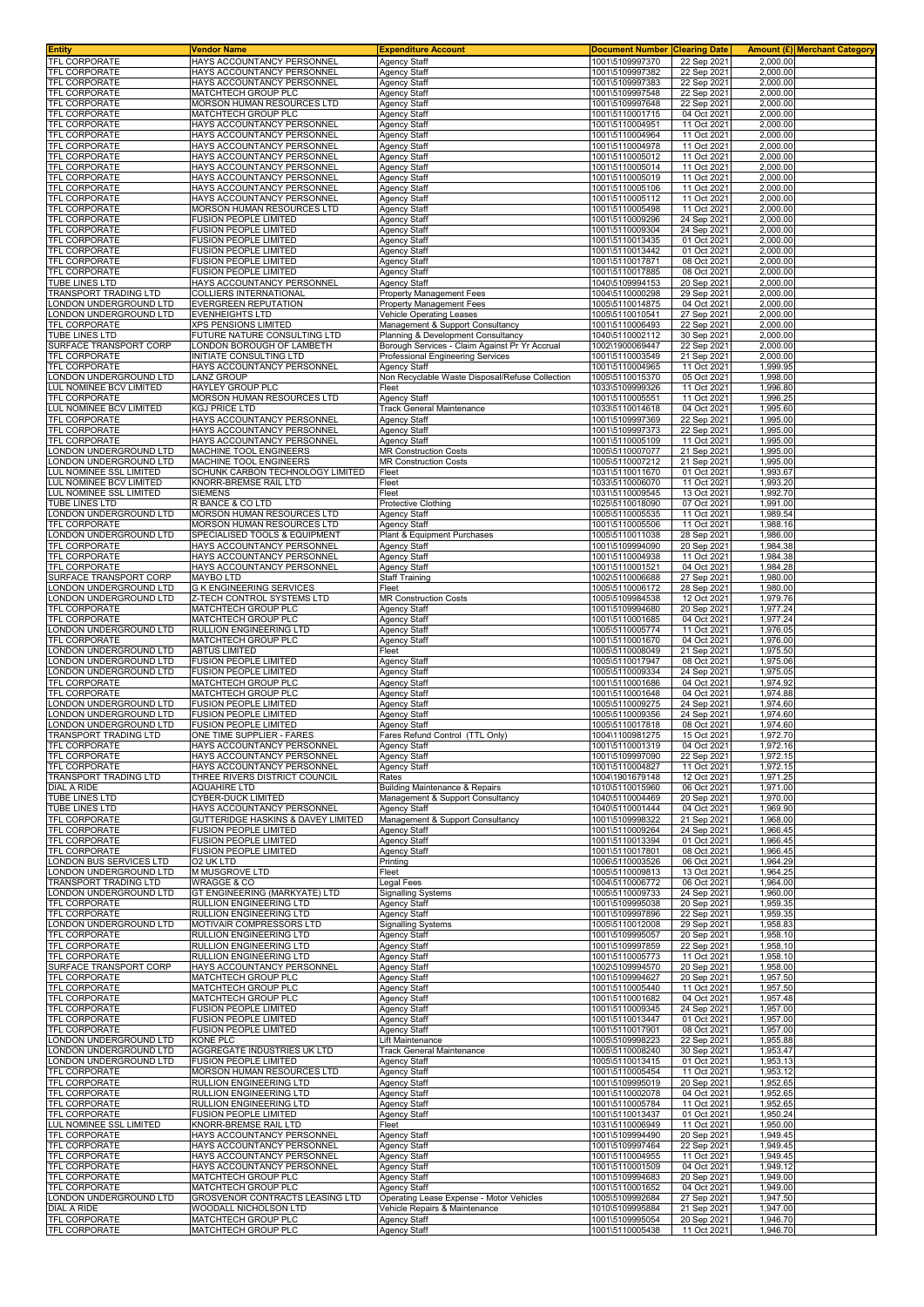| <b>Entity</b>                                    | Vendor Name                                                  | <b>Expenditure Account</b>                         | <b>Document Number Clearing Date</b> |                            |                      | Amount (£) Merchant Category |
|--------------------------------------------------|--------------------------------------------------------------|----------------------------------------------------|--------------------------------------|----------------------------|----------------------|------------------------------|
| <b>TFL CORPORATE</b><br><b>TFL CORPORATE</b>     | HAYS ACCOUNTANCY PERSONNEL                                   | <b>Agency Staff</b>                                | 1001\5109997370                      | 22 Sep 2021                | 2,000.00             |                              |
| TFL CORPORATE                                    | HAYS ACCOUNTANCY PERSONNEL<br>HAYS ACCOUNTANCY PERSONNEL     | <b>Agency Staff</b><br><b>Agency Staff</b>         | 1001\5109997382<br>1001\5109997383   | 22 Sep 2021                | 2,000.00<br>2,000.00 |                              |
| TFL CORPORATE                                    | MATCHTECH GROUP PLC                                          | <b>Agency Staff</b>                                | 1001\5109997548                      | 22 Sep 2021<br>22 Sep 2021 | 2,000.00             |                              |
| <b>TFL CORPORATE</b>                             | MORSON HUMAN RESOURCES LTD                                   | <b>Agency Staff</b>                                | 1001\5109997648                      | 22 Sep 2021                | 2,000.00             |                              |
| <b>TFL CORPORATE</b>                             | MATCHTECH GROUP PLC                                          | Agency Staff                                       | 1001\5110001715                      | 04 Oct 2021                | 2,000.00             |                              |
| <b>TFL CORPORATE</b>                             | HAYS ACCOUNTANCY PERSONNEL                                   | <b>Agency Staff</b>                                | 1001\5110004951                      | 11 Oct 2021                | 2,000.00             |                              |
| TFL CORPORATE                                    | HAYS ACCOUNTANCY PERSONNEL                                   | Agency Staff                                       | 1001\5110004964                      | 11 Oct 2021                | 2,000.00             |                              |
| TFL CORPORATE<br>TFL CORPORATE                   | HAYS ACCOUNTANCY PERSONNEL<br>HAYS ACCOUNTANCY PERSONNEL     | <b>Agency Staff</b><br><b>Agency Staff</b>         | 1001\5110004978<br>1001\5110005012   | 11 Oct 2021<br>11 Oct 2021 | 2,000.00<br>2,000.00 |                              |
| <b>TFL CORPORATE</b>                             | HAYS ACCOUNTANCY PERSONNEL                                   | <b>Agency Staff</b>                                | 1001\5110005014                      | 11 Oct 2021                | 2,000.00             |                              |
| <b>TFL CORPORATE</b>                             | HAYS ACCOUNTANCY PERSONNEL                                   | Agency Staff                                       | 1001\5110005019                      | 11 Oct 2021                | 2,000.00             |                              |
| TFL CORPORATE                                    | HAYS ACCOUNTANCY PERSONNEL                                   | <b>Agency Staff</b>                                | 1001\5110005106                      | 11 Oct 2021                | 2,000.00             |                              |
| TFL CORPORATE                                    | HAYS ACCOUNTANCY PERSONNEL                                   | <b>Agency Staff</b>                                | 1001\5110005112                      | 11 Oct 2021                | 2,000.00             |                              |
| TFL CORPORATE<br><b>TFL CORPORATE</b>            | MORSON HUMAN RESOURCES LTD                                   | <b>Agency Staff</b>                                | 1001\5110005498                      | 11 Oct 2021                | 2,000.00             |                              |
| <b>TFL CORPORATE</b>                             | <b>FUSION PEOPLE LIMITED</b><br><b>FUSION PEOPLE LIMITED</b> | <b>Agency Staff</b><br><b>Agency Staff</b>         | 1001\5110009296<br>1001\5110009304   | 24 Sep 2021<br>24 Sep 2021 | 2,000.00<br>2,000.00 |                              |
| TFL CORPORATE                                    | FUSION PEOPLE LIMITED                                        | Agency Staff                                       | 1001\5110013435                      | 01 Oct 2021                | 2.000.00             |                              |
| <b>TFL CORPORATE</b>                             | FUSION PEOPLE LIMITED                                        | Agency Staff                                       | 1001\5110013442                      | 01 Oct 2021                | 2,000.00             |                              |
| <b>TFL CORPORATE</b>                             | <b>FUSION PEOPLE LIMITED</b>                                 | Agency Staff                                       | 1001\5110017871                      | 08 Oct 2021                | 2,000.00             |                              |
| <b>TFL CORPORATE</b><br><b>TUBE LINES LTD</b>    | FUSION PEOPLE LIMITED                                        | Agency Staff                                       | 1001\5110017885                      | 08 Oct 2021                | 2,000.00             |                              |
| TRANSPORT TRADING LTD                            | HAYS ACCOUNTANCY PERSONNEL<br>COLLIERS INTERNATIONAL         | <b>Agency Staff</b><br>Property Management Fees    | 1040\5109994153<br>1004\5110000298   | 20 Sep 2021<br>29 Sep 2021 | 2,000.00<br>2,000.00 |                              |
| ONDON UNDERGROUND LTD.                           | <b>EVERGREEN REPUTATION</b>                                  | Property Management Fees                           | 1005\5110014875                      | 04 Oct 2021                | 2,000.00             |                              |
| ONDON UNDERGROUND LTD                            | <b>EVENHEIGHTS LTD</b>                                       | Vehicle Operating Leases                           | 1005\5110010541                      | 27 Sep 2021                | 2,000.00             |                              |
| TFL CORPORATE                                    | <b>XPS PENSIONS LIMITED</b>                                  | Management & Support Consultancy                   | 1001\5110006493                      | 22 Sep 2021                | 2,000.00             |                              |
| <b>TUBE LINES LTD</b>                            | FUTURE NATURE CONSULTING LTD                                 | Planning & Development Consultancy                 | 1040\5110002112                      | 30 Sep 2021                | 2,000.00             |                              |
| SURFACE TRANSPORT CORP                           | LONDON BOROUGH OF LAMBETH<br>INITIATE CONSULTING LTD         | Borough Services - Claim Against Pr Yr Accrual     | 1002\1900069447                      | 22 Sep 2021                | 2,000.00             |                              |
| TFL CORPORATE<br><b>TFL CORPORATE</b>            | HAYS ACCOUNTANCY PERSONNEL                                   | Professional Engineering Services<br>Agency Staff  | 1001\5110003549<br>1001\5110004965   | 21 Sep 2021<br>11 Oct 2021 | 2,000.00<br>1,999.95 |                              |
| LONDON UNDERGROUND LTD                           | LANZ GROUP                                                   | Non Recyclable Waste Disposal/Refuse Collection    | 1005\5110015370                      | 05 Oct 2021                | 1,998.00             |                              |
| LUL NOMINEE BCV LIMITED                          | HAYLEY GROUP PLC                                             | Fleet                                              | 1033\5109999326                      | 11 Oct 2021                | 1,996.80             |                              |
| <b>TFL CORPORATE</b>                             | MORSON HUMAN RESOURCES LTD                                   | Agency Staff                                       | 1001\5110005551                      | 11 Oct 2021                | 1,996.25             |                              |
| LUL NOMINEE BCV LIMITED                          | <b>KGJ PRICE LTD</b>                                         | <b>Track General Maintenance</b>                   | 1033\5110014618                      | 04 Oct 2021                | 1,995.60             |                              |
| <b>TFL CORPORATE</b>                             | HAYS ACCOUNTANCY PERSONNEI<br>HAYS ACCOUNTANCY PERSONNEL     | Agency Staff                                       | 1001\5109997369                      | 22 Sep 2021                | 1,995.00             |                              |
| TFL CORPORATE<br><b>TFL CORPORATE</b>            | HAYS ACCOUNTANCY PERSONNEL                                   | Agency Staff<br><b>Agency Staff</b>                | 1001\5109997373<br>1001\5110005109   | 22 Sep 2021<br>11 Oct 2021 | 1,995.00<br>1,995.00 |                              |
| ONDON UNDERGROUND LTD                            | MACHINE TOOL ENGINEERS                                       | <b>MR Construction Costs</b>                       | 1005\5110007077                      | 21 Sep 2021                | 1,995.00             |                              |
| ONDON UNDERGROUND LTD                            | MACHINE TOOL ENGINEERS                                       | <b>MR Construction Costs</b>                       | 1005\5110007212                      | 21 Sep 2021                | 1,995.00             |                              |
| UL NOMINEE SSL LIMITED                           | SCHUNK CARBON TECHNOLOGY LIMITED                             | Fleet                                              | 1031\5110011670                      | 01 Oct 2021                | 1,993.67             |                              |
| UL NOMINEE BCV LIMITED                           | KNORR-BREMSE RAIL LTD                                        | Fleet                                              | 1033\5110006070                      | 11 Oct 2021                | 1,993.20             |                              |
| LUL NOMINEE SSL LIMITED<br>TUBE LINES LTD        | <b>SIEMENS</b><br>R BANCE & CO LTD                           | Fleet                                              | 1031\5110009545                      | 13 Oct 2021<br>07 Oct 2021 | 1,992.70<br>1,991.00 |                              |
| ONDON UNDERGROUND LTD                            | MORSON HUMAN RESOURCES LTD                                   | <b>Protective Clothing</b><br><b>Agency Staff</b>  | 1025\5110018090<br>1005\5110005535   | 11 Oct 2021                | 1,989.54             |                              |
| <b>TFL CORPORATE</b>                             | MORSON HUMAN RESOURCES LTD                                   | Agency Staff                                       | 1001\5110005506                      | 11 Oct 2021                | 1,988.16             |                              |
| LONDON UNDERGROUND LTD                           | SPECIALISED TOOLS & EQUIPMENT                                | Plant & Equipment Purchases                        | 1005\5110011038                      | 28 Sep 2021                | 1,986.00             |                              |
| <b>TFL CORPORATE</b>                             | HAYS ACCOUNTANCY PERSONNEL                                   | <b>Agency Staff</b>                                | 1001\5109994090                      | 20 Sep 2021                | 1,984.38             |                              |
| TFL CORPORATE                                    | HAYS ACCOUNTANCY PERSONNEL                                   | <b>Agency Staff</b>                                | 1001\5110004938                      | 11 Oct 2021                | 1,984.38             |                              |
| TFL CORPORATE                                    | HAYS ACCOUNTANCY PERSONNEL                                   | <b>Agency Staff</b>                                | 1001\5110001521                      | 04 Oct 2021                | 1,984.28             |                              |
| SURFACE TRANSPORT CORP<br>LONDON UNDERGROUND LTD | <b>MAYBO LTD</b><br><b>G K ENGINEERING SERVICES</b>          | <b>Staff Training</b><br>Fleet                     | 1002\5110006688<br>1005\5110006172   | 27 Sep 2021<br>28 Sep 2021 | 1,980.00<br>1,980.00 |                              |
| ONDON UNDERGROUND LTD                            | Z-TECH CONTROL SYSTEMS LTD                                   | <b>MR Construction Costs</b>                       | 1005\5109984538                      | 12 Oct 2021                | 1,979.76             |                              |
| TFL CORPORATE                                    | MATCHTECH GROUP PLC                                          | Agency Staff                                       | 1001\5109994680                      | 20 Sep 2021                | 1,977.24             |                              |
| <b>TFL CORPORATE</b>                             | MATCHTECH GROUP PLC                                          | Agency Staff                                       | 1001\5110001685                      | 04 Oct 2021                | 1,977.24             |                              |
| LONDON UNDERGROUND LTD                           | RULLION ENGINEERING LTD                                      | Agency Staff                                       | 1005\5110005774                      | 11 Oct 2021                | 1,976.05             |                              |
| <b>TFL CORPORATE</b><br>ONDON UNDERGROUND LTD    | MATCHTECH GROUP PLC                                          | Agency Staff<br>Fleet                              | 1001\5110001670<br>1005\5110008049   | 04 Oct 2021<br>21 Sep 2021 | 1,976.00<br>1,975.50 |                              |
| ONDON UNDERGROUND LTD.                           | ABTUS LIMITED<br><b>FUSION PEOPLE LIMITED</b>                | Agency Staff                                       | 1005\5110017947                      | 08 Oct 2021                | 1,975.06             |                              |
| LONDON UNDERGROUND LTD                           | <b>FUSION PEOPLE LIMITED</b>                                 | Agency Staff                                       | 1005\5110009334                      | 24 Sep 2021                | 1,975.05             |                              |
| <b>TFL CORPORATE</b>                             | MATCHTECH GROUP PLC                                          | <b>Agency Staff</b>                                | 1001\5110001686                      | 04 Oct 2021                | 1,974.92             |                              |
| TFL CORPORATE                                    | MATCHTECH GROUP PLC                                          | <b>Agency Staff</b>                                | 1001\5110001648                      | 04 Oct 2021                | 1,974.88             |                              |
| ONDON UNDERGROUND LTD                            | <b>FUSION PEOPLE LIMITED</b>                                 | <b>Agency Staff</b>                                | 1005\5110009275                      | 24 Sep 2021                | 1,974.60             |                              |
| ONDON UNDERGROUND LTD<br>ONDON UNDERGROUND LTD   | <b>FUSION PEOPLE LIMITED</b><br><b>FUSION PEOPLE LIMITED</b> | <b>Agency Staff</b><br><b>Agency Staff</b>         | 1005\5110009356<br>1005\5110017818   | 24 Sep 2021<br>08 Oct 2021 | 1,974.60<br>1,974.60 |                              |
| TRANSPORT TRADING LTD                            | ONE TIME SUPPLIER - FARES                                    | Fares Refund Control (TTL Only)                    | 1004\1100981275                      | 15 Oct 2021                | 1,972.70             |                              |
| <b>TFL CORPORATE</b>                             | HAYS ACCOUNTANCY PERSONNEL                                   | Agency Staff                                       | 1001\5110001319                      | 04 Oct 2021                | 1,972.16             |                              |
| <b>TFL CORPORATE</b>                             | HAYS ACCOUNTANCY PERSONNEL                                   | <b>Agency Staff</b>                                | 1001\5109997090                      | 22 Sep 2021                | 1,972.15             |                              |
| <b>TFL CORPORATE</b>                             | HAYS ACCOUNTANCY PERSONNEL                                   | Agency Staff                                       | 1001\5110004827                      | 11 Oct 2021                | 1,972.15             |                              |
| TRANSPORT TRADING LTD                            | THREE RIVERS DISTRICT COUNCIL                                | Rates<br><b>Building Maintenance &amp; Repairs</b> | 1004\1901679148                      | 12 Oct 2021                | 1,971.25             |                              |
| <b>DIAL A RIDE</b><br><b>TUBE LINES LTD</b>      | <b>AQUAHIRE LTD</b><br>CYBER-DUCK LIMITED                    | Management & Support Consultancy                   | 1010\5110015960<br>1040\5110004469   | 06 Oct 2021<br>20 Sep 2021 | 1,971.00<br>1,970.00 |                              |
| <b>TUBE LINES LTD</b>                            | HAYS ACCOUNTANCY PERSONNEL                                   | <b>Agency Staff</b>                                | 1040\5110001444                      | 04 Oct 2021                | 1,969.90             |                              |
| <b>TFL CORPORATE</b>                             | GUTTERIDGE HASKINS & DAVEY LIMITED                           | Management & Support Consultancy                   | 1001\5109998322                      | 21 Sep 2021                | 1,968.00             |                              |
| TFL CORPORATE                                    | <b>FUSION PEOPLE LIMITED</b>                                 | <b>Agency Staff</b>                                | 1001\5110009264                      | 24 Sep 2021                | 1,966.45             |                              |
| <b>TFL CORPORATE</b>                             | FUSION PEOPLE LIMITED                                        | <b>Agency Staff</b>                                | 1001\5110013394                      | 01 Oct 2021                | 1,966.45             |                              |
| TFL CORPORATE<br><b>LONDON BUS SERVICES LTD</b>  | <b>FUSION PEOPLE LIMITED</b><br>O2 UK LTD                    | Agency Staff<br>Printing                           | 1001\5110017801<br>1006\5110003526   | 08 Oct 2021<br>06 Oct 2021 | 1,966.45<br>1,964.29 |                              |
| LONDON UNDERGROUND LTD                           | M MUSGROVE LTD                                               | Fleet                                              | 1005\5110009813                      | 13 Oct 2021                | 1,964.25             |                              |
| <b>TRANSPORT TRADING LTD</b>                     | <b>WRAGGE &amp; CO</b>                                       | egal Fees                                          | 1004\5110006772                      | 06 Oct 2021                | 1,964.00             |                              |
| LONDON UNDERGROUND LTD                           | GT ENGINEERING (MARKYATE) LTD                                | Signalling Systems                                 | 1005\5110009733                      | 24 Sep 2021                | 1,960.00             |                              |
| <b>TFL CORPORATE</b>                             | RULLION ENGINEERING LTD                                      | <b>Agency Staff</b>                                | 1001\5109995038                      | 20 Sep 2021                | 1,959.35             |                              |
| TFL CORPORATE<br>LONDON UNDERGROUND LTD          | RULLION ENGINEERING LTD<br>MOTIVAIR COMPRESSORS LTD          | Agency Staff<br><b>Signalling Systems</b>          | 1001\5109997896<br>1005\5110012008   | 22 Sep 2021<br>29 Sep 2021 | 1,959.35<br>1,958.83 |                              |
| TFL CORPORATE                                    | RULLION ENGINEERING LTD                                      | <b>Agency Staff</b>                                | 1001\5109995057                      | 20 Sep 2021                | 1,958.10             |                              |
| TFL CORPORATE                                    | RULLION ENGINEERING LTD                                      | Agency Staff                                       | 1001\5109997859                      | 22 Sep 2021                | 1,958.10             |                              |
| TFL CORPORATE                                    | RULLION ENGINEERING LTD                                      | Agency Staff                                       | 1001\5110005773                      | 11 Oct 2021                | 1,958.10             |                              |
| SURFACE TRANSPORT CORP                           | HAYS ACCOUNTANCY PERSONNEL                                   | <b>Agency Staff</b>                                | 1002\5109994570                      | 20 Sep 2021                | 1,958.00             |                              |
| TFL CORPORATE<br><b>TFL CORPORATE</b>            | MATCHTECH GROUP PLC<br>MATCHTECH GROUP PLC                   | <b>Agency Staff</b><br><b>Agency Staff</b>         | 1001\5109994627<br>1001\5110005440   | 20 Sep 2021<br>11 Oct 2021 | 1,957.50<br>1,957.50 |                              |
| <b>TFL CORPORATE</b>                             | MATCHTECH GROUP PLC                                          | <b>Agency Staff</b>                                | 1001\5110001682                      | 04 Oct 2021                | 1,957.48             |                              |
| <b>TFL CORPORATE</b>                             | <b>FUSION PEOPLE LIMITED</b>                                 | Agency Staff                                       | 1001\5110009345                      | 24 Sep 2021                | 1,957.00             |                              |
| TFL CORPORATE                                    | FUSION PEOPLE LIMITED                                        | <b>Agency Staff</b>                                | 1001\5110013447                      | 01 Oct 2021                | 1,957.00             |                              |
| <b>TFL CORPORATE</b>                             | <b>FUSION PEOPLE LIMITED</b>                                 | <b>Agency Staff</b>                                | 1001\5110017901                      | 08 Oct 2021                | 1,957.00             |                              |
| ONDON UNDERGROUND LTD<br>ONDON UNDERGROUND LTD   | <b>KONE PLC</b><br>AGGREGATE INDUSTRIES UK LTD               | Lift Maintenance<br>Track General Maintenance      | 1005\5109998223<br>1005\5110008240   | 22 Sep 2021<br>30 Sep 2021 | 1,955.88<br>1,953.47 |                              |
| LONDON UNDERGROUND LTD                           | <b>FUSION PEOPLE LIMITED</b>                                 | <b>Agency Staff</b>                                | 1005\5110013415                      | 01 Oct 2021                | 1,953.13             |                              |
| <b>TFL CORPORATE</b>                             | MORSON HUMAN RESOURCES LTD                                   | <b>Agency Staff</b>                                | 1001\5110005454                      | 11 Oct 2021                | 1,953.12             |                              |
| TFL CORPORATE                                    | RULLION ENGINEERING LTD                                      | Agency Staff                                       | 1001\5109995019                      | 20 Sep 2021                | 1,952.65             |                              |
| TFL CORPORATE                                    | RULLION ENGINEERING LTD                                      | Agency Staff                                       | 1001\5110002078                      | 04 Oct 2021                | 1,952.65             |                              |
| <b>TFL CORPORATE</b>                             | RULLION ENGINEERING LTD                                      | <b>Agency Staff</b>                                | 1001\5110005784                      | 11 Oct 2021                | 1,952.65             |                              |
| TFL CORPORATE<br>LUL NOMINEE SSL LIMITED         | <b>FUSION PEOPLE LIMITED</b><br>KNORR-BREMSE RAIL LTD        | <b>Agency Staff</b><br>Fleet                       | 1001\5110013437<br>1031\5110006949   | 01 Oct 2021<br>11 Oct 2021 | 1,950.24<br>1,950.00 |                              |
| TFL CORPORATE                                    | HAYS ACCOUNTANCY PERSONNEL                                   | Agency Staff                                       | 1001\5109994490                      | 20 Sep 2021                | 1,949.45             |                              |
| <b>TFL CORPORATE</b>                             | HAYS ACCOUNTANCY PERSONNEL                                   | <b>Agency Staff</b>                                | 1001\5109997464                      | 22 Sep 2021                | 1,949.45             |                              |
| TFL CORPORATE                                    | HAYS ACCOUNTANCY PERSONNEL                                   | <b>Agency Staff</b>                                | 1001\5110004955                      | 11 Oct 2021                | 1,949.45             |                              |
| <b>TFL CORPORATE</b>                             | HAYS ACCOUNTANCY PERSONNEL                                   | <b>Agency Staff</b>                                | 1001\5110001509                      | 04 Oct 2021                | 1,949.12             |                              |
| TFL CORPORATE<br>TFL CORPORATE                   | MATCHTECH GROUP PLC<br>MATCHTECH GROUP PLC                   | <b>Agency Staff</b><br><b>Agency Staff</b>         | 1001\5109994683<br>1001\5110001652   | 20 Sep 2021<br>04 Oct 2021 | 1,949.00<br>1,949.00 |                              |
| LONDON UNDERGROUND LTD                           | GROSVENOR CONTRACTS LEASING LTD                              | Operating Lease Expense - Motor Vehicles           | 1005\5109992684                      | 27 Sep 2021                | 1,947.50             |                              |
| <b>DIAL A RIDE</b>                               | WOODALL NICHOLSON LTD                                        | Vehicle Repairs & Maintenance                      | 1010\5109995884                      | 21 Sep 2021                | 1,947.00             |                              |
| TFL CORPORATE                                    | MATCHTECH GROUP PLC                                          | <b>Agency Staff</b>                                | 1001\5109995054                      | 20 Sep 2021                | 1,946.70             |                              |
| <b>TFL CORPORATE</b>                             | MATCHTECH GROUP PLC                                          | <b>Agency Staff</b>                                | 1001\5110005438                      | 11 Oct 2021                | 1,946.70             |                              |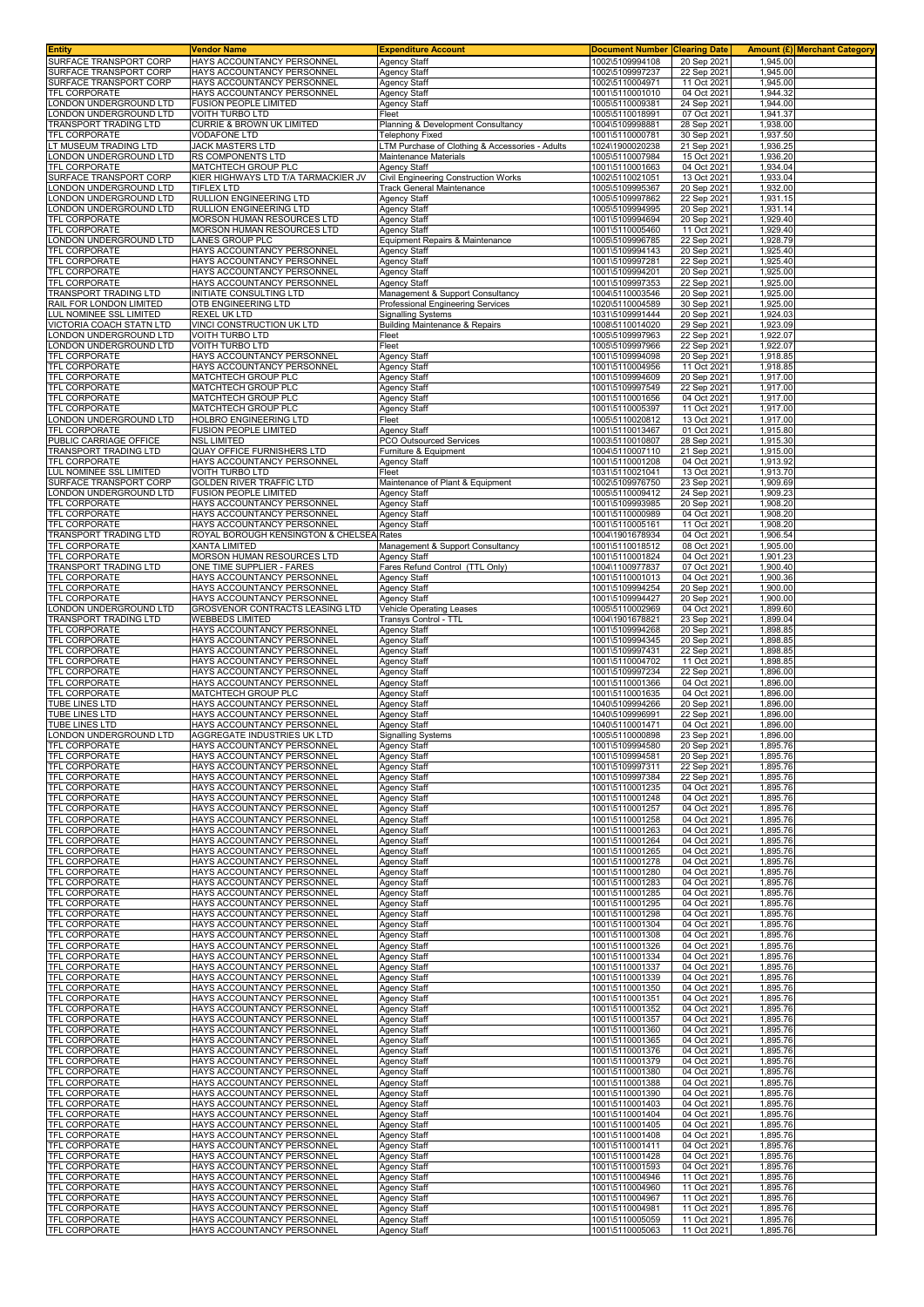| Entity                                | Vendor Name                                              | <b>Expenditure Account</b>                      | <b>Document Number Clearing Date</b> |                            |                      | <b>Amount (£) Merchant Category</b> |
|---------------------------------------|----------------------------------------------------------|-------------------------------------------------|--------------------------------------|----------------------------|----------------------|-------------------------------------|
| SURFACE TRANSPORT CORP                | HAYS ACCOUNTANCY PERSONNEL                               | <b>Agency Staff</b>                             | 1002\5109994108                      | 20 Sep 2021                | 1.945.00             |                                     |
| SURFACE TRANSPORT CORP                | HAYS ACCOUNTANCY PERSONNEL                               | Agency Staff                                    | 1002\5109997237                      | 22 Sep 202                 | 1,945.00             |                                     |
| SURFACE TRANSPORT CORP                | HAYS ACCOUNTANCY PERSONNEL                               | Agency Staff                                    | 1002\5110004971                      | 11 Oct 2021                | 1,945.00             |                                     |
| TFL CORPORATE                         | HAYS ACCOUNTANCY PERSONNEL                               | Agency Staff                                    | 1001\5110001010                      | 04 Oct 2021                | 1,944.32             |                                     |
| ONDON UNDERGROUND LTD                 | <b>FUSION PEOPLE LIMITED</b>                             | Agency Staff                                    | 1005\5110009381                      | 24 Sep 2021                | 1,944.00             |                                     |
| ONDON UNDERGROUND LTD                 | VOITH TURBO LTD                                          | Fleet                                           | 1005\5110018991                      | 07 Oct 2021                | 1,941.37             |                                     |
| RANSPORT TRADING LTD                  | CURRIE & BROWN UK LIMITED                                | Planning & Development Consultancy              | 1004\5109998881                      | 28 Sep 2021                | 1,938.00             |                                     |
| <b>TFL CORPORATE</b>                  | <b>VODAFONE LTD</b>                                      | Telephony Fixed                                 | 1001\5110000781                      | 30 Sep 202                 | 1,937.50             |                                     |
| T MUSEUM TRADING LTD                  | JACK MASTERS LTD                                         | LTM Purchase of Clothing & Accessories - Adults | 1024\1900020238                      | 21 Sep 2021                | 1,936.25             |                                     |
| ONDON UNDERGROUND LTD                 | <b>RS COMPONENTS LTD</b>                                 | Maintenance Materials                           | 1005\5110007984                      | 15 Oct 2021                | 1,936.20             |                                     |
| <b>TFL CORPORATE</b>                  | MATCHTECH GROUP PLC                                      | Agency Staff                                    | 1001\5110001663                      | 04 Oct 2021                | 1,934.04             |                                     |
| SURFACE TRANSPORT CORP                | KIER HIGHWAYS LTD T/A TARMACKIER JV                      | Civil Engineering Construction Works            | 1002\5110021051                      | 13 Oct 2021                | 1,933.04             |                                     |
| ONDON UNDERGROUND LTD                 | <b>TIFLEX LTD</b>                                        | Track General Maintenance                       | 1005\5109995367                      | 20 Sep 2021                | 1,932.00             |                                     |
| ONDON UNDERGROUND LTD                 | RULLION ENGINEERING LTD                                  | Agency Staff                                    | 1005\5109997862                      | 22 Sep 2021                | 1,931.15             |                                     |
| ONDON UNDERGROUND LTD                 | RULLION ENGINEERING LTD                                  | Agency Staff                                    | 1005\5109994995                      | 20 Sep 2021                | 1,931.14             |                                     |
| TFL CORPORATE                         | MORSON HUMAN RESOURCES LTD                               | Agency Staff                                    | 1001\5109994694                      | 20 Sep 2021                | 1,929.40             |                                     |
| TFL CORPORATE                         | MORSON HUMAN RESOURCES LTD                               | Agency Staff                                    | 1001\5110005460                      | 11 Oct 2021                | 1,929.40             |                                     |
| ONDON UNDERGROUND LTD.                | LANES GROUP PLC                                          | Equipment Repairs & Maintenance                 | 1005\5109996785                      | 22 Sep 2021                | 1,928.79             |                                     |
| TFL CORPORATE                         | HAYS ACCOUNTANCY PERSONNEL                               | Agency Staff                                    | 1001\5109994143                      | 20 Sep 2021                | 1,925.40             |                                     |
| TFL CORPORATE                         | HAYS ACCOUNTANCY PERSONNEL                               | Agency Staff                                    | 1001\5109997281                      | 22 Sep 202                 | 1,925.40             |                                     |
| <b>TFL CORPORATE</b>                  | HAYS ACCOUNTANCY PERSONNEL                               | <b>Agency Staff</b>                             | 1001\5109994201                      | 20 Sep 2021                | 1,925.00             |                                     |
| TFL CORPORATE                         | HAYS ACCOUNTANCY PERSONNEL                               | <b>Agency Staff</b>                             | 1001\5109997353                      | 22 Sep 2021                | 1,925.00             |                                     |
| TRANSPORT TRADING LTD                 | INITIATE CONSULTING LTD                                  | Management & Support Consultancy                | 1004\5110003546                      | 20 Sep 2021                | 1,925.00             |                                     |
| RAIL FOR LONDON LIMITED               | OTB ENGINEERING LTD                                      | Professional Engineering Services               | 1020\5110004589                      | 30 Sep 202                 | 1,925.00             |                                     |
| UL NOMINEE SSL LIMITED                | REXEL UK LTD                                             | Signalling Systems                              | 1031\5109991444                      | 20 Sep 202                 | 1,924.03             |                                     |
| VICTORIA COACH STATN LTD              | VINCI CONSTRUCTION UK LTD                                | <b>Building Maintenance &amp; Repairs</b>       | 1008\5110014020                      | 29 Sep 2021                | 1,923.09             |                                     |
| ONDON UNDERGROUND LTD                 | <b>VOITH TURBO LTD</b>                                   | Fleet                                           | 1005\5109997963                      | 22 Sep 2021                | 1,922.07             |                                     |
| ONDON UNDERGROUND LTD                 | <b>VOITH TURBO LTD</b>                                   | Fleet                                           | 1005\5109997966                      | 22 Sep 202                 | 1,922.07             |                                     |
| <b>TFL CORPORATE</b>                  | HAYS ACCOUNTANCY PERSONNEL                               | Agency Staff                                    | 1001\5109994098                      | 20 Sep 2021                | 1,918.85             |                                     |
| <b>TFL CORPORATE</b>                  | HAYS ACCOUNTANCY PERSONNEL                               | Agency Staff                                    | 1001\5110004956                      | 11 Oct 2021                | 1,918.85             |                                     |
| <b>TFL CORPORATE</b>                  | MATCHTECH GROUP PLC                                      | Agency Staff                                    | 1001\5109994609                      | 20 Sep 2021                | 1,917.00             |                                     |
| TFL CORPORATE                         | MATCHTECH GROUP PLC                                      | Agency Staff                                    | 1001\5109997549                      | 22 Sep 2021                | 1,917.00             |                                     |
| TFL CORPORATE                         | MATCHTECH GROUP PLC                                      | Agency Staff                                    | 1001\5110001656                      | 04 Oct 2021                | 1,917.00             |                                     |
| <b>TFL CORPORATE</b>                  | MATCHTECH GROUP PLC                                      | Agency Staff                                    | 1001\5110005397                      | 11 Oct 2021                | 1,917.00             |                                     |
| ONDON UNDERGROUND LTD                 | HOLBRO ENGINEERING LTD                                   | Fleet                                           | 1005\5110020812                      | 13 Oct 2021                | 1,917.00             |                                     |
| TFL CORPORATE                         | FUSION PEOPLE LIMITED                                    | Agency Staff                                    | 1001\5110013467                      | 01 Oct 2021                | 1,915.80             |                                     |
| PUBLIC CARRIAGE OFFICE                | <b>NSL LIMITED</b>                                       | PCO Outsourced Services                         | 1003\5110010807                      | 28 Sep 2021                | 1,915.30             |                                     |
| TRANSPORT TRADING LTD                 | QUAY OFFICE FURNISHERS LTD                               | Furniture & Equipment                           | 1004\5110007110                      | 21 Sep 2021                | 1,915.00             |                                     |
| TFL CORPORATE                         | HAYS ACCOUNTANCY PERSONNEL                               | Agency Staff                                    | 1001\5110001208                      | 04 Oct 2021                | 1,913.92             |                                     |
| UL NOMINEE SSL LIMITED                | VOITH TURBO LTD                                          | Fleet                                           | 1031\5110021041                      | 13 Oct 2021                | 1,913.70             |                                     |
| SURFACE TRANSPORT CORP                | <b>GOLDEN RIVER TRAFFIC LTD</b>                          | Maintenance of Plant & Equipment                | 1002\5109976750                      | 23 Sep 2021                | 1.909.69             |                                     |
| ONDON UNDERGROUND LTD                 | <b>FUSION PEOPLE LIMITED</b>                             | Agency Staff                                    | 1005\5110009412                      | 24 Sep 2021                | 1,909.23             |                                     |
| TFL CORPORATE                         | HAYS ACCOUNTANCY PERSONNEL                               | Agency Staff                                    | 1001\5109993985                      | 20 Sep 202                 | 1,908.20             |                                     |
| TFL CORPORATE                         | HAYS ACCOUNTANCY PERSONNEL                               | Agency Staff                                    | 1001\5110000989                      | 04 Oct 2021                | 1,908.20             |                                     |
| <b>TFL CORPORATE</b>                  | HAYS ACCOUNTANCY PERSONNEL                               | Agency Staff                                    | 1001\5110005161                      | 11 Oct 2021                | 1,908.20             |                                     |
| TRANSPORT TRADING LTD                 | ROYAL BOROUGH KENSINGTON & CHELSEA Rates                 |                                                 | 1004\1901678934                      | 04 Oct 2021                | 1,906.54             |                                     |
| TFL CORPORATE                         | <b>XANTA LIMITED</b>                                     | Management & Support Consultancy                | 1001\5110018512                      | 08 Oct 2021                | 1,905.00             |                                     |
| <b>TFL CORPORATE</b>                  | MORSON HUMAN RESOURCES LTD                               | Agency Staff                                    | 1001\5110001824                      | 04 Oct 2021                | 1,901.23             |                                     |
| TRANSPORT TRADING LTD                 | ONE TIME SUPPLIER - FARES                                | Fares Refund Control (TTL Only)                 | 1004\1100977837                      | 07 Oct 2021                | 1,900.40             |                                     |
| TFL CORPORATE                         | HAYS ACCOUNTANCY PERSONNEI                               | Agency Staff                                    | 1001\5110001013                      | 04 Oct 2021                | 1,900.36             |                                     |
| TFL CORPORATE                         | HAYS ACCOUNTANCY PERSONNEI                               | Agency Staff                                    | 1001\5109994254                      | 20 Sep 202                 | 1,900.00             |                                     |
| TFL CORPORATE                         | HAYS ACCOUNTANCY PERSONNEI                               | Agency Staff                                    | 1001\5109994427                      | 20 Sep 2021                | 1,900.00             |                                     |
| ONDON UNDERGROUND LTD                 | GROSVENOR CONTRACTS LEASING LTD                          | Vehicle Operating Leases                        | 1005\5110002969                      | 04 Oct 2021                | 1,899.60             |                                     |
| <b>FRANSPORT TRADING LTD</b>          | <b>WEBBEDS LIMITED</b>                                   | Transys Control - TTL                           | 1004\1901678821                      | 23 Sep 202                 | 1,899.04             |                                     |
| <b>TFL CORPORATE</b>                  | HAYS ACCOUNTANCY PERSONNEL                               | Agency Staff                                    | 1001\5109994268                      | 20 Sep 2021                | 1,898.85             |                                     |
| TFL CORPORATE                         | HAYS ACCOUNTANCY PERSONNEL                               | Agency Staff                                    | 1001\5109994345                      | 20 Sep 2021                | 1,898.85             |                                     |
| <b>TFL CORPORATE</b>                  | HAYS ACCOUNTANCY PERSONNEL                               | Agency Staff                                    | 1001\5109997431                      | 22 Sep 2021                | 1,898.85             |                                     |
| TFL CORPORATE                         | HAYS ACCOUNTANCY PERSONNEI                               | Agency Staff                                    | 1001\5110004702                      | 11 Oct 202                 | 1,898.85             |                                     |
| <b>TFL CORPORATE</b>                  | HAYS ACCOUNTANCY PERSONNEL                               | Agency Staff                                    | 1001\5109997234                      | 22 Sep 2021                | 1,896.00             |                                     |
| <b>TFL CORPORATE</b>                  | HAYS ACCOUNTANCY PERSONNEL                               | <b>Agency Staff</b>                             | 1001\5110001366                      | 04 Oct 2021                | 1,896.00             |                                     |
| <b>TFL CORPORATE</b>                  | MATCHTECH GROUP PLC                                      | <b>Agency Staff</b>                             | 1001\5110001635                      | 04 Oct 2021                | 1,896.00             |                                     |
| TUBE LINES LTD                        | HAYS ACCOUNTANCY PERSONNEI                               | Agency Staff                                    | 1040\5109994266                      | 20 Sep 202                 | 1.896.00             |                                     |
| <b>TUBE LINES LTD</b>                 | HAYS ACCOUNTANCY PERSONNEI                               | Agency Staff                                    | 1040\5109996991                      | 22 Sep 2021                | 1,896.00             |                                     |
| TUBE LINES LTD                        | HAYS ACCOUNTANCY PERSONNEL                               | Agency Staff                                    | 1040\5110001471                      | 04 Oct 2021                | 1,896.00             |                                     |
| LONDON UNDERGROUND LTD                | AGGREGATE INDUSTRIES UK LTD                              | Signalling Systems                              | 1005\5110000898                      | 23 Sep 2021                | 1,896.00             |                                     |
| <b>TFL CORPORATE</b>                  | HAYS ACCOUNTANCY PERSONNEL                               | Agency Staff                                    | 1001\5109994580                      | 20 Sep 2021                | 1,895.76             |                                     |
| <b>TFL CORPORATE</b>                  | HAYS ACCOUNTANCY PERSONNEL<br>HAYS ACCOUNTANCY PERSONNEL | <b>Agency Staff</b>                             | 1001\5109994581                      | 20 Sep 2021                | 1,895.76             |                                     |
| TFL CORPORATE<br><b>TFL CORPORATE</b> |                                                          | <b>Agency Staff</b>                             | 1001\5109997311                      | 22 Sep 2021                | 1,895.76             |                                     |
|                                       | HAYS ACCOUNTANCY PERSONNEL                               | <b>Agency Staff</b>                             | 1001\5109997384                      | 22 Sep 2021                | 1,895.76             |                                     |
| TFL CORPORATE<br><b>TFL CORPORATE</b> | HAYS ACCOUNTANCY PERSONNEL<br>HAYS ACCOUNTANCY PERSONNEL | <b>Agency Staff</b>                             | 1001\5110001235                      | 04 Oct 2021                | 1,895.76             |                                     |
|                                       |                                                          | Agency Staff                                    | 1001\5110001248                      | 04 Oct 2021                | 1,895.76<br>1.895.76 |                                     |
| TFL CORPORATE<br>TFL CORPORATE        | HAYS ACCOUNTANCY PERSONNEL<br>HAYS ACCOUNTANCY PERSONNEL | Agency Staff                                    | 1001\5110001257<br>1001\5110001258   | 04 Oct 2021<br>04 Oct 2021 |                      |                                     |
| TFL CORPORATE                         | HAYS ACCOUNTANCY PERSONNEL                               | Agency Staff<br>Agency Staff                    | 1001\5110001263                      | 04 Oct 2021                | 1,895.76<br>1,895.76 |                                     |
| TFL CORPORATE                         | HAYS ACCOUNTANCY PERSONNEL                               |                                                 |                                      |                            |                      |                                     |
|                                       |                                                          | Agency Staff                                    | 1001\5110001264                      | 04 Oct 2021                | 1,895.76             |                                     |
| TFL CORPORATE<br><b>TFL CORPORATE</b> | HAYS ACCOUNTANCY PERSONNEL<br>HAYS ACCOUNTANCY PERSONNEL | Agency Staff<br>Agency Staff                    | 1001\5110001265<br>1001\5110001278   | 04 Oct 2021<br>04 Oct 202  | 1,895.76<br>1,895.76 |                                     |
| TFL CORPORATE                         | HAYS ACCOUNTANCY PERSONNEL                               | Agency Staff                                    | 1001\5110001280                      | 04 Oct 2021                | 1,895.76             |                                     |
| TFL CORPORATE                         | HAYS ACCOUNTANCY PERSONNEL                               | Agency Staff                                    | 1001\5110001283                      | 04 Oct 2021                | 1,895.76             |                                     |
| TFL CORPORATE                         | HAYS ACCOUNTANCY PERSONNEL                               | Agency Staff                                    | 1001\5110001285                      | 04 Oct 2021                | 1,895.76             |                                     |
| <b>TFL CORPORATE</b>                  | HAYS ACCOUNTANCY PERSONNEI                               | Agency Staff                                    | 1001\5110001295                      | 04 Oct 202                 | 1,895.76             |                                     |
| <b>TFL CORPORATE</b>                  | HAYS ACCOUNTANCY PERSONNEL                               | Agency Staff                                    | 1001\5110001298                      | 04 Oct 2021                | 1,895.76             |                                     |
| TFL CORPORATE                         | HAYS ACCOUNTANCY PERSONNEL                               | Agency Staff                                    | 1001\5110001304                      | 04 Oct 2021                | 1,895.76             |                                     |
| TFL CORPORATE                         | HAYS ACCOUNTANCY PERSONNEL                               | Agency Staff                                    | 1001\5110001308                      | 04 Oct 2021                | 1,895.76             |                                     |
| TFL CORPORATE                         | HAYS ACCOUNTANCY PERSONNEL                               | Agency Staff                                    | 1001\5110001326                      | 04 Oct 2021                | 1,895.76             |                                     |
| TFL CORPORATE                         | HAYS ACCOUNTANCY PERSONNEL                               | Agency Staff                                    | 1001\5110001334                      | 04 Oct 2021                | 1,895.76             |                                     |
| TFL CORPORATE                         | HAYS ACCOUNTANCY PERSONNEL                               | Agency Staff                                    | 1001\5110001337                      | 04 Oct 2021                | 1,895.76             |                                     |
| TFL CORPORATE                         | HAYS ACCOUNTANCY PERSONNEL                               | <b>Agency Staff</b>                             | 1001\5110001339                      | 04 Oct 2021                | 1,895.76             |                                     |
| TFL CORPORATE                         | HAYS ACCOUNTANCY PERSONNEL                               | Agency Staff                                    | 1001\5110001350                      | 04 Oct 202                 | 1,895.76             |                                     |
| TFL CORPORATE                         | HAYS ACCOUNTANCY PERSONNEL                               | Agency Staff                                    | 1001\5110001351                      | 04 Oct 2021                | 1,895.76             |                                     |
| TFL CORPORATE                         | HAYS ACCOUNTANCY PERSONNEL                               | Agency Staff                                    | 1001\5110001352                      | 04 Oct 2021                | 1,895.76             |                                     |
| TFL CORPORATE                         | HAYS ACCOUNTANCY PERSONNEL                               | Agency Staff                                    | 1001\5110001357                      | 04 Oct 2021                | 1,895.76             |                                     |
| TFL CORPORATE                         | HAYS ACCOUNTANCY PERSONNEL                               | <b>Agency Staff</b>                             | 1001\5110001360                      | 04 Oct 2021                | 1,895.76             |                                     |
| TFL CORPORATE                         | HAYS ACCOUNTANCY PERSONNEL                               | <b>Agency Staff</b>                             | 1001\5110001365                      | 04 Oct 2021                | 1,895.76             |                                     |
| TFL CORPORATE                         | HAYS ACCOUNTANCY PERSONNEL                               | Agency Staff                                    | 1001\5110001376                      | 04 Oct 2021                | 1,895.76             |                                     |
| TFL CORPORATE                         | HAYS ACCOUNTANCY PERSONNEL                               | Agency Staff                                    | 1001\5110001379                      | 04 Oct 2021                | 1,895.76             |                                     |
| TFL CORPORATE                         | HAYS ACCOUNTANCY PERSONNEL                               | <b>Agency Staff</b>                             | 1001\5110001380                      | 04 Oct 2021                | 1,895.76             |                                     |
| TFL CORPORATE                         | HAYS ACCOUNTANCY PERSONNEL                               | Agency Staff                                    | 1001\5110001388                      | 04 Oct 2021                | 1,895.76             |                                     |
| TFL CORPORATE                         | HAYS ACCOUNTANCY PERSONNEL                               | Agency Staff                                    | 1001\5110001390                      | 04 Oct 2021                | 1,895.76             |                                     |
| TFL CORPORATE                         | HAYS ACCOUNTANCY PERSONNEL                               | Agency Staff                                    | 1001\5110001403                      | 04 Oct 2021                | 1,895.76             |                                     |
| TFL CORPORATE                         | HAYS ACCOUNTANCY PERSONNEL                               | Agency Staff                                    | 1001\5110001404                      | 04 Oct 2021                | 1,895.76             |                                     |
| TFL CORPORATE                         | HAYS ACCOUNTANCY PERSONNEL                               | Agency Staff                                    | 1001\5110001405                      | 04 Oct 2021                | 1,895.76             |                                     |
| TFL CORPORATE                         | HAYS ACCOUNTANCY PERSONNEL                               | Agency Staff                                    | 1001\5110001408                      | 04 Oct 2021                | 1,895.76             |                                     |
| TFL CORPORATE                         | HAYS ACCOUNTANCY PERSONNEL                               | Agency Staff                                    | 1001\5110001411                      | 04 Oct 202                 | 1,895.76             |                                     |
| TFL CORPORATE                         | HAYS ACCOUNTANCY PERSONNEL                               | Agency Staff                                    | 1001\5110001428                      | 04 Oct 2021                | 1,895.76             |                                     |
| TFL CORPORATE                         | HAYS ACCOUNTANCY PERSONNEL                               | Agency Staff                                    | 1001\5110001593                      | 04 Oct 2021                | 1,895.76             |                                     |
| TFL CORPORATE                         | HAYS ACCOUNTANCY PERSONNEL                               | <b>Agency Staff</b>                             | 1001\5110004946                      | 11 Oct 2021                | 1,895.76             |                                     |
| TFL CORPORATE                         | HAYS ACCOUNTANCY PERSONNEL                               | <b>Agency Staff</b>                             | 1001\5110004960                      | 11 Oct 2021                | 1,895.76             |                                     |
| TFL CORPORATE                         | HAYS ACCOUNTANCY PERSONNEL                               | <b>Agency Staff</b>                             | 1001\5110004967                      | 11 Oct 2021                | 1,895.76             |                                     |
| TFL CORPORATE                         | HAYS ACCOUNTANCY PERSONNEL                               | Agency Staff                                    | 1001\5110004981                      | 11 Oct 2021                | 1,895.76             |                                     |
| TFL CORPORATE                         | HAYS ACCOUNTANCY PERSONNEL                               | <b>Agency Staff</b>                             | 1001\5110005059                      | 11 Oct 2021                | 1,895.76             |                                     |
| <b>TFL CORPORATE</b>                  | HAYS ACCOUNTANCY PERSONNEL                               | <b>Agency Staff</b>                             | 1001\5110005063                      | 11 Oct 2021                | 1,895.76             |                                     |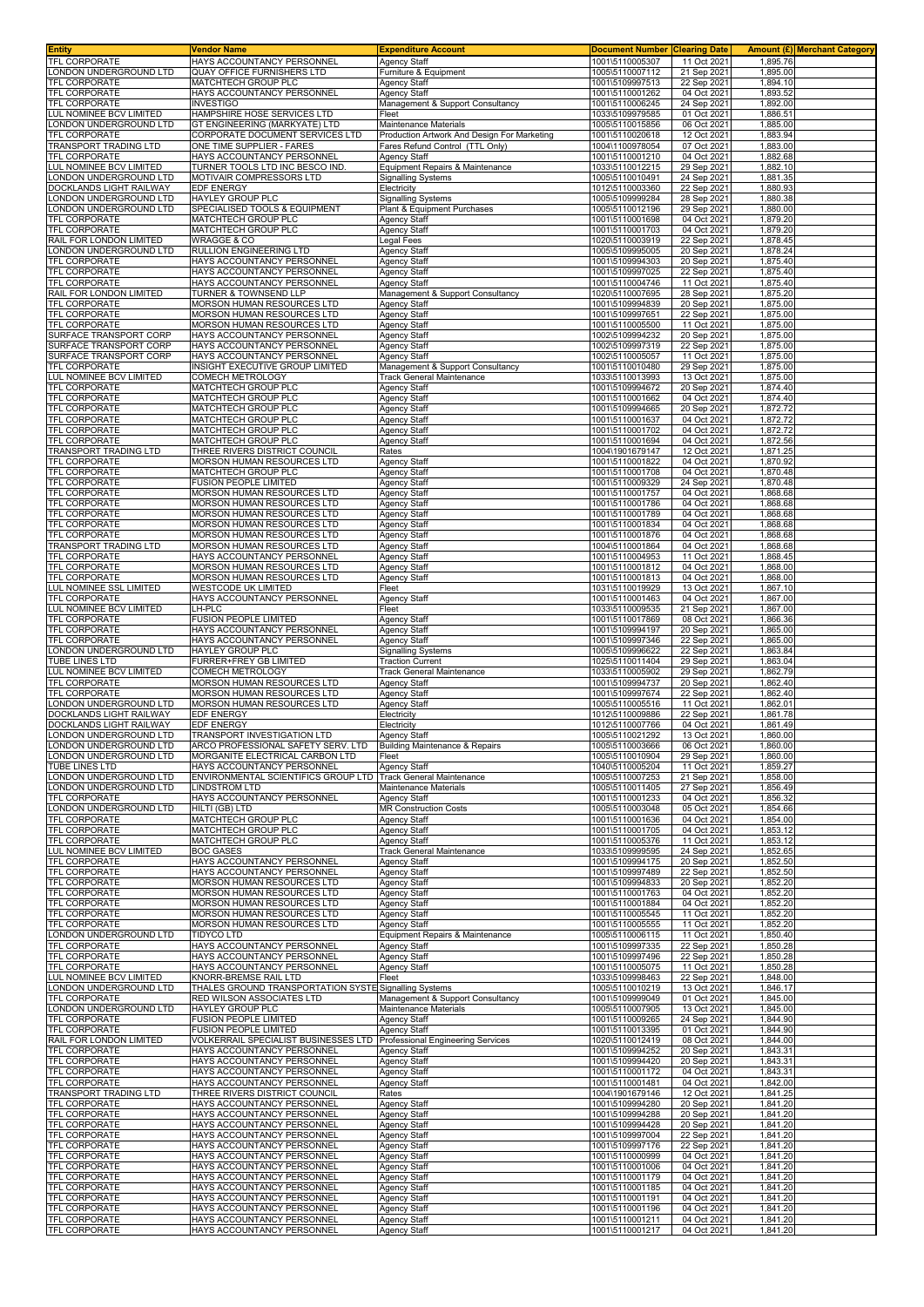|                                                   | Vendor Name                                                                        | <b>Expenditure Account</b>                                  | <b>Document Number Clearing Date</b> |                            |                      | Amount (£) Merchant Category |
|---------------------------------------------------|------------------------------------------------------------------------------------|-------------------------------------------------------------|--------------------------------------|----------------------------|----------------------|------------------------------|
| TFL CORPORATE                                     | HAYS ACCOUNTANCY PERSONNEL                                                         | Agency Staff                                                | 1001\5110005307<br>1005\5110007112   | 11 Oct 2021                | 1,895.76             |                              |
| ONDON UNDERGROUND LTD.<br>TFL CORPORATE           | QUAY OFFICE FURNISHERS LTD<br>MATCHTECH GROUP PLC                                  | Furniture & Equipment<br><b>Agency Staff</b>                | 1001\5109997513                      | 21 Sep 2021<br>22 Sep 2021 | 1,895.00<br>1,894.10 |                              |
| TFL CORPORATE                                     | HAYS ACCOUNTANCY PERSONNEL                                                         | <b>Agency Staff</b>                                         | 1001\5110001262                      | 04 Oct 2021                | 1,893.52             |                              |
| TFL CORPORATE                                     | <b>INVESTIGO</b>                                                                   | Management & Support Consultancy                            | 1001\5110006245                      | 24 Sep 2021                | 1,892.00             |                              |
| LUL NOMINEE BCV LIMITED<br>LONDON UNDERGROUND LTD | HAMPSHIRE HOSE SERVICES LTD<br>GT ENGINEERING (MARKYATE) LTD                       | Fleet<br>Maintenance Materials                              | 1033\5109979585<br>1005\5110015856   | 01 Oct 2021<br>06 Oct 2021 | 1,886.51<br>1,885.00 |                              |
| TFL CORPORATE                                     | CORPORATE DOCUMENT SERVICES LTD                                                    | Production Artwork And Design For Marketing                 | 1001\5110020618                      | 12 Oct 2021                | 1,883.94             |                              |
| TRANSPORT TRADING LTD<br>TFL CORPORATE            | ONE TIME SUPPLIER - FARES<br>HAYS ACCOUNTANCY PERSONNEL                            | Fares Refund Control (TTL Only)<br><b>Agency Staff</b>      | 1004\1100978054<br>1001\5110001210   | 07 Oct 2021<br>04 Oct 2021 | 1,883.00<br>1,882.68 |                              |
| LUL NOMINEE BCV LIMITED                           | TURNER TOOLS LTD INC BESCO IND.                                                    | Equipment Repairs & Maintenance                             | 1033\5110012215                      | 29 Sep 2021                | 1,882.10             |                              |
| LONDON UNDERGROUND LTD                            | MOTIVAIR COMPRESSORS LTD                                                           | <b>Signalling Systems</b>                                   | 1005\5110010491                      | 24 Sep 2021                | 1,881.35             |                              |
| DOCKLANDS LIGHT RAILWAY<br>ONDON UNDERGROUND LTD  | EDF ENERGY<br>HAYLEY GROUP PLC                                                     | Electricity<br><b>Signalling Systems</b>                    | 1012\5110003360<br>1005\5109999284   | 22 Sep 2021<br>28 Sep 2021 | 1,880.93<br>1,880.38 |                              |
| ONDON UNDERGROUND LTD                             | SPECIALISED TOOLS & EQUIPMENT                                                      | Plant & Equipment Purchases                                 | 1005\5110012196                      | 29 Sep 2021                | 1,880.00             |                              |
| TFL CORPORATE                                     | MATCHTECH GROUP PLC                                                                | <b>Agency Staff</b>                                         | 1001\5110001698                      | 04 Oct 2021                | 1,879.20             |                              |
| TFL CORPORATE<br>RAIL FOR LONDON LIMITED          | MATCHTECH GROUP PLC<br><b>WRAGGE &amp; CO</b>                                      | Agency Staff<br>Legal Fees                                  | 1001\5110001703<br>1020\5110003919   | 04 Oct 2021<br>22 Sep 2021 | 1,879.20<br>1,878.45 |                              |
| LONDON UNDERGROUND LTD                            | RULLION ENGINEERING LTD                                                            | <b>Agency Staff</b>                                         | 1005\5109995005                      | 20 Sep 2021                | 1,878.24             |                              |
| TFL CORPORATE<br>TFL CORPORATE                    | HAYS ACCOUNTANCY PERSONNEL<br>HAYS ACCOUNTANCY PERSONNEL                           | <b>Agency Staff</b><br>Agency Staff                         | 1001\5109994303<br>1001\5109997025   | 20 Sep 2021<br>22 Sep 2021 | 1,875.40<br>1,875.40 |                              |
| TFL CORPORATE                                     | HAYS ACCOUNTANCY PERSONNEL                                                         | <b>Agency Staff</b>                                         | 1001\5110004746                      | 11 Oct 2021                | 1,875.40             |                              |
| RAIL FOR LONDON LIMITED                           | TURNER & TOWNSEND LLP                                                              | Management & Support Consultancy                            | 1020\5110007695                      | 28 Sep 2021                | 1,875.20             |                              |
| TFL CORPORATE<br><b>TFL CORPORATE</b>             | MORSON HUMAN RESOURCES LTD<br>MORSON HUMAN RESOURCES LTD                           | <b>Agency Staff</b><br>Agency Staff                         | 1001\5109994839<br>1001\5109997651   | 20 Sep 2021<br>22 Sep 2021 | 1,875.00<br>1,875.00 |                              |
| TFL CORPORATE                                     | MORSON HUMAN RESOURCES LTD                                                         | <b>Agency Staff</b>                                         | 1001\5110005500                      | 11 Oct 2021                | 1,875.00             |                              |
| SURFACE TRANSPORT CORP                            | HAYS ACCOUNTANCY PERSONNEL                                                         | <b>Agency Staff</b>                                         | 1002\5109994232                      | 20 Sep 2021                | 1,875.00             |                              |
| SURFACE TRANSPORT CORP<br>SURFACE TRANSPORT CORP  | HAYS ACCOUNTANCY PERSONNEI<br>HAYS ACCOUNTANCY PERSONNEL                           | <b>Agency Staff</b><br><b>Agency Staff</b>                  | 1002\5109997319<br>1002\5110005057   | 22 Sep 2021<br>11 Oct 2021 | 1,875.00<br>1,875.00 |                              |
| TFL CORPORATE                                     | INSIGHT EXECUTIVE GROUP LIMITED                                                    | Management & Support Consultancy                            | 1001\5110010480                      | 29 Sep 2021                | 1,875.00             |                              |
| LUL NOMINEE BCV LIMITED                           | <b>COMECH METROLOGY</b><br><b>MATCHTECH GROUP PLC</b>                              | <b>Track General Maintenance</b>                            | 1033\5110013993<br>1001\5109994672   | 13 Oct 2021                | 1,875.00             |                              |
| TFL CORPORATE<br>TFL CORPORATE                    | MATCHTECH GROUP PLC                                                                | <b>Agency Staff</b><br><b>Agency Staff</b>                  | 1001\5110001662                      | 20 Sep 202<br>04 Oct 2021  | 1,874.40<br>1,874.40 |                              |
| TFL CORPORATE                                     | MATCHTECH GROUP PLC                                                                | Agency Staff                                                | 1001\5109994665                      | 20 Sep 2021                | 1,872.72             |                              |
| TFL CORPORATE<br>TFL CORPORATE                    | MATCHTECH GROUP PLC<br>MATCHTECH GROUP PLC                                         | <b>Agency Staff</b><br>Agency Staff                         | 1001\5110001637<br>1001\5110001702   | 04 Oct 2021<br>04 Oct 2021 | 1,872.72<br>1,872.72 |                              |
| <b>TFL CORPORATE</b>                              | MATCHTECH GROUP PLC                                                                | <b>Agency Staff</b>                                         | 1001\5110001694                      | 04 Oct 2021                | 1,872.56             |                              |
| TRANSPORT TRADING LTD                             | THREE RIVERS DISTRICT COUNCIL                                                      | Rates                                                       | 1004\1901679147                      | 12 Oct 2021                | 1,871.25             |                              |
| TFL CORPORATE<br>TFL CORPORATE                    | MORSON HUMAN RESOURCES LTD<br>MATCHTECH GROUP PLC                                  | Agency Staff<br><b>Agency Staff</b>                         | 1001\5110001822<br>1001\5110001708   | 04 Oct 2021<br>04 Oct 2021 | 1,870.92<br>1,870.48 |                              |
| TFL CORPORATE                                     | FUSION PEOPLE LIMITED                                                              | <b>Agency Staff</b>                                         | 1001\5110009329                      | 24 Sep 2021                | 1,870.48             |                              |
| TFL CORPORATE                                     | <b>MORSON HUMAN RESOURCES LTD</b>                                                  | <b>Agency Staff</b>                                         | 1001\5110001757                      | 04 Oct 2021                | 1,868.68             |                              |
| TFL CORPORATE<br>TFL CORPORATE                    | MORSON HUMAN RESOURCES LTD<br>MORSON HUMAN RESOURCES LTD                           | Agency Staff<br><b>Agency Staff</b>                         | 1001\5110001786<br>1001\5110001789   | 04 Oct 2021<br>04 Oct 2021 | 1,868.68<br>1,868.68 |                              |
| TFL CORPORATE                                     | <b>MORSON HUMAN RESOURCES LTD</b>                                                  | <b>Agency Staff</b>                                         | 1001\5110001834                      | 04 Oct 2021                | 1,868.68             |                              |
| <b>TFL CORPORATE</b>                              | MORSON HUMAN RESOURCES LTD                                                         | Agency Staff                                                | 1001\5110001876                      | 04 Oct 2021                | 1,868.68             |                              |
| TRANSPORT TRADING LTD<br><b>TFL CORPORATE</b>     | MORSON HUMAN RESOURCES LTD<br>HAYS ACCOUNTANCY PERSONNEL                           | Agency Staff<br>Agency Staff                                | 1004\5110001864<br>1001\5110004953   | 04 Oct 2021<br>11 Oct 2021 | 1,868.68<br>1,868.45 |                              |
| TFL CORPORATE                                     | MORSON HUMAN RESOURCES LTD                                                         | <b>Agency Staff</b>                                         | 1001\5110001812                      | 04 Oct 2021                | 1,868.00             |                              |
| <b>TFL CORPORATE</b>                              | MORSON HUMAN RESOURCES LTD                                                         | <b>Agency Staff</b>                                         | 1001\5110001813                      | 04 Oct 2021                | 1,868.00             |                              |
| LUL NOMINEE SSL LIMITED<br>TFL CORPORATE          | WESTCODE UK LIMITED<br>HAYS ACCOUNTANCY PERSONNEL                                  | Fleet<br>Agency Staff                                       | 1031\5110019929<br>1001\5110001463   | 13 Oct 2021<br>04 Oct 2021 | 1,867.10<br>1,867.00 |                              |
| LUL NOMINEE BCV LIMITED                           | LH-PLC                                                                             | Fleet                                                       | 1033\5110009535                      | 21 Sep 2021                | 1,867.00             |                              |
| <b>TFL CORPORATE</b><br>TFL CORPORATE             | FUSION PEOPLE LIMITED<br>HAYS ACCOUNTANCY PERSONNEL                                | Agency Staff<br><b>Agency Staff</b>                         | 1001\5110017869<br>1001\5109994197   | 08 Oct 2021<br>20 Sep 2021 | 1,866.36<br>1,865.00 |                              |
| TFL CORPORATE                                     | HAYS ACCOUNTANCY PERSONNEL                                                         | <b>Agency Staff</b>                                         | 1001\5109997346                      | 22 Sep 2021                | 1,865.00             |                              |
| LONDON UNDERGROUND LTD                            | HAYLEY GROUP PLC                                                                   | <b>Signalling Systems</b>                                   | 1005\5109996622                      | 22 Sep 2021                | 1,863.84             |                              |
| TUBE LINES LTD<br>LUL NOMINEE BCV LIMITED         | FURRER+FREY GB LIMITED<br>COMECH METROLOGY                                         | <b>Traction Current</b><br><b>Track General Maintenance</b> | 1025\5110011404<br>1033\5110005902   | 29 Sep 2021<br>29 Sep 2021 | 1,863.04<br>1,862.79 |                              |
| TFL CORPORATE                                     | MORSON HUMAN RESOURCES LTD                                                         | <b>Agency Staff</b>                                         | 1001\5109994737                      | 20 Sep 2021                | 1,862.40             |                              |
| TFL CORPORATE                                     | MORSON HUMAN RESOURCES LTD                                                         | Agency Staff                                                | 1001\5109997674                      | 22 Sep 2021                | 1,862.40             |                              |
| LONDON UNDERGROUND LTD<br>DOCKLANDS LIGHT RAILWAY | MORSON HUMAN RESOURCES LTD<br>EDF ENERGY                                           | <b>Agency Staff</b><br>Electricity                          | 1005\5110005516<br>1012\5110009886   | 11 Oct 2021<br>22 Sep 2021 | 1,862.01<br>1,861.78 |                              |
| DOCKLANDS LIGHT RAILWAY                           | EDF ENERGY                                                                         | Electricity                                                 | 1012\5110007766                      | 04 Oct 2021                | 1,861.49             |                              |
| LONDON UNDERGROUND LTD                            | TRANSPORT INVESTIGATION LTD                                                        | <b>Agency Staff</b>                                         | 1005\5110021292                      | 13 Oct 2021                | 1,860.00             |                              |
| LONDON UNDERGROUND LTD<br>LONDON UNDERGROUND LTD  | ARCO PROFESSIONAL SAFETY SERV. LTD<br>MORGANITE ELECTRICAL CARBON LTD              | <b>Building Maintenance &amp; Repairs</b><br>Fleet          | 1005\5110003666<br>1005\5110010904   | 06 Oct 2021                |                      |                              |
| TUBE LINES LTD                                    |                                                                                    |                                                             |                                      |                            | 1,860.00             |                              |
|                                                   | HAYS ACCOUNTANCY PERSONNEL                                                         | <b>Agency Staff</b>                                         | 1040\5110005204                      | 29 Sep 2021<br>11 Oct 2021 | 1,860.00<br>1,859.27 |                              |
| LONDON UNDERGROUND LTD                            | ENVIRONMENTAL SCIENTIFICS GROUP LTD Track General Maintenance                      |                                                             | 1005\5110007253                      | 21 Sep 2021                | 1,858.00             |                              |
| LONDON UNDERGROUND LTD                            | <b>LINDSTROM LTD</b>                                                               | Maintenance Materials                                       | 1005\5110011405                      | 27 Sep 2021                | 1,856.49             |                              |
| TFL CORPORATE<br>LONDON UNDERGROUND LTD           | HAYS ACCOUNTANCY PERSONNEL<br>HILTI (GB) LTD                                       | <b>Agency Staff</b><br><b>MR Construction Costs</b>         | 1001\5110001233<br>1005\5110003048   | 04 Oct 2021<br>05 Oct 2021 | 1,856.32<br>1.854.66 |                              |
| TFL CORPORATE                                     | MATCHTECH GROUP PLC                                                                | <b>Agency Staff</b>                                         | 1001\5110001636                      | 04 Oct 2021                | 1,854.00             |                              |
| TFL CORPORATE<br>TFL CORPORATE                    | MATCHTECH GROUP PLC<br>MATCHTECH GROUP PLC                                         | <b>Agency Staff</b><br>Agency Staff                         | 1001\5110001705<br>1001\5110005376   | 04 Oct 2021<br>11 Oct 2021 | 1,853.12<br>1,853.12 |                              |
| LUL NOMINEE BCV LIMITED                           | <b>BOC GASES</b>                                                                   | <b>Track General Maintenance</b>                            | 1033\5109999595                      | 24 Sep 2021                | 1,852.65             |                              |
| TFL CORPORATE                                     | HAYS ACCOUNTANCY PERSONNEL                                                         | <b>Agency Staff</b>                                         | 1001\5109994175                      | 20 Sep 2021                | 1,852.50             |                              |
| TFL CORPORATE<br>TFL CORPORATE                    | HAYS ACCOUNTANCY PERSONNEL<br>MORSON HUMAN RESOURCES LTD                           | <b>Agency Staff</b><br><b>Agency Staff</b>                  | 1001\5109997489<br>1001\5109994833   | 22 Sep 2021<br>20 Sep 2021 | 1,852.50<br>1,852.20 |                              |
| TFL CORPORATE                                     | MORSON HUMAN RESOURCES LTD                                                         | <b>Agency Staff</b>                                         | 1001\5110001763                      | 04 Oct 2021                | 1,852.20             |                              |
| TFL CORPORATE<br>TFL CORPORATE                    | MORSON HUMAN RESOURCES LTD<br>MORSON HUMAN RESOURCES LTD                           | <b>Agency Staff</b><br><b>Agency Staff</b>                  | 1001\5110001884<br>1001\5110005545   | 04 Oct 2021<br>11 Oct 2021 | 1,852.20<br>1,852.20 |                              |
| <b>TFL CORPORATE</b>                              | MORSON HUMAN RESOURCES LTD                                                         | <b>Agency Staff</b>                                         | 1001\5110005555                      | 11 Oct 2021                | 1,852.20             |                              |
| LONDON UNDERGROUND LTD                            | <b>TIDYCO LTD</b>                                                                  | Equipment Repairs & Maintenance                             | 1005\5110006115                      | 11 Oct 2021                | 1.850.40             |                              |
| TFL CORPORATE<br>TFL CORPORATE                    | HAYS ACCOUNTANCY PERSONNEL<br>HAYS ACCOUNTANCY PERSONNEL                           | <b>Agency Staff</b><br><b>Agency Staff</b>                  | 1001\5109997335<br>1001\5109997496   | 22 Sep 2021<br>22 Sep 2021 | 1,850.28<br>1,850.28 |                              |
| TFL CORPORATE                                     | HAYS ACCOUNTANCY PERSONNEL                                                         | <b>Agency Staff</b>                                         | 1001\5110005075                      | 11 Oct 2021                | 1,850.28             |                              |
| LUL NOMINEE BCV LIMITED                           | KNORR-BREMSE RAIL LTD                                                              | Fleet                                                       | 1033\5109998463                      | 22 Sep 2021                | 1,848.00             |                              |
| LONDON UNDERGROUND LTD<br>TFL CORPORATE           | THALES GROUND TRANSPORTATION SYSTE Signalling Systems<br>RED WILSON ASSOCIATES LTD | Management & Support Consultancy                            | 1005\5110010219<br>1001\5109999049   | 13 Oct 2021<br>01 Oct 2021 | 1,846.17<br>1,845.00 |                              |
| LONDON UNDERGROUND LTD                            | HAYLEY GROUP PLC                                                                   | Maintenance Materials                                       | 1005\5110007905                      | 13 Oct 2021                | 1,845.00             |                              |
| TFL CORPORATE<br>TFL CORPORATE                    | FUSION PEOPLE LIMITED<br>FUSION PEOPLE LIMITED                                     | <b>Agency Staff</b><br><b>Agency Staff</b>                  | 1001\5110009265<br>1001\5110013395   | 24 Sep 2021<br>01 Oct 2021 | 1,844.90<br>1,844.90 |                              |
| RAIL FOR LONDON LIMITED                           | VOLKERRAIL SPECIALIST BUSINESSES LTD                                               | Professional Engineering Services                           | 1020\5110012419                      | 08 Oct 2021                | 1,844.00             |                              |
| TFL CORPORATE                                     | HAYS ACCOUNTANCY PERSONNEL                                                         | <b>Agency Staff</b>                                         | 1001\5109994252                      | 20 Sep 2021                | 1,843.31             |                              |
| TFL CORPORATE<br>TFL CORPORATE                    | HAYS ACCOUNTANCY PERSONNEL<br>HAYS ACCOUNTANCY PERSONNEL                           | <b>Agency Staff</b><br><b>Agency Staff</b>                  | 1001\5109994420<br>1001\5110001172   | 20 Sep 2021<br>04 Oct 2021 | 1,843.31<br>1,843.31 |                              |
| TFL CORPORATE                                     | HAYS ACCOUNTANCY PERSONNEL                                                         | <b>Agency Staff</b>                                         | 1001\5110001481                      | 04 Oct 2021                | 1,842.00             |                              |
| TRANSPORT TRADING LTD                             | THREE RIVERS DISTRICT COUNCIL                                                      | Rates                                                       | 1004\1901679146                      | 12 Oct 2021                | 1,841.25             |                              |
| TFL CORPORATE<br>TFL CORPORATE                    | HAYS ACCOUNTANCY PERSONNEL<br>HAYS ACCOUNTANCY PERSONNEL                           | <b>Agency Staff</b><br><b>Agency Staff</b>                  | 1001\5109994280<br>1001\5109994288   | 20 Sep 2021<br>20 Sep 2021 | 1,841.20<br>1,841.20 |                              |
| TFL CORPORATE                                     | HAYS ACCOUNTANCY PERSONNEL                                                         | <b>Agency Staff</b>                                         | 1001\5109994428                      | 20 Sep 2021                | 1,841.20             |                              |
| TFL CORPORATE<br>TFL CORPORATE                    | HAYS ACCOUNTANCY PERSONNEL<br>HAYS ACCOUNTANCY PERSONNEL                           | <b>Agency Staff</b>                                         | 1001\5109997004<br>1001\5109997176   | 22 Sep 2021<br>22 Sep 2021 | 1,841.20<br>1,841.20 |                              |
| TFL CORPORATE                                     | HAYS ACCOUNTANCY PERSONNEL                                                         | <b>Agency Staff</b><br><b>Agency Staff</b>                  | 1001\5110000999                      | 04 Oct 2021                | 1,841.20             |                              |
| TFL CORPORATE                                     | HAYS ACCOUNTANCY PERSONNEL                                                         | <b>Agency Staff</b>                                         | 1001\5110001006                      | 04 Oct 2021                | 1,841.20             |                              |
| TFL CORPORATE<br>TFL CORPORATE                    | HAYS ACCOUNTANCY PERSONNEL<br>HAYS ACCOUNTANCY PERSONNEL                           | <b>Agency Staff</b><br><b>Agency Staff</b>                  | 1001\5110001179<br>1001\5110001185   | 04 Oct 2021<br>04 Oct 2021 | 1,841.20<br>1,841.20 |                              |
| TFL CORPORATE                                     | HAYS ACCOUNTANCY PERSONNEL                                                         | <b>Agency Staff</b>                                         | 1001\5110001191                      | 04 Oct 2021                | 1,841.20             |                              |
| TFL CORPORATE<br>TFL CORPORATE                    | HAYS ACCOUNTANCY PERSONNEL<br>HAYS ACCOUNTANCY PERSONNEL                           | <b>Agency Staff</b><br><b>Agency Staff</b>                  | 1001\5110001196<br>1001\5110001211   | 04 Oct 2021<br>04 Oct 2021 | 1,841.20<br>1,841.20 |                              |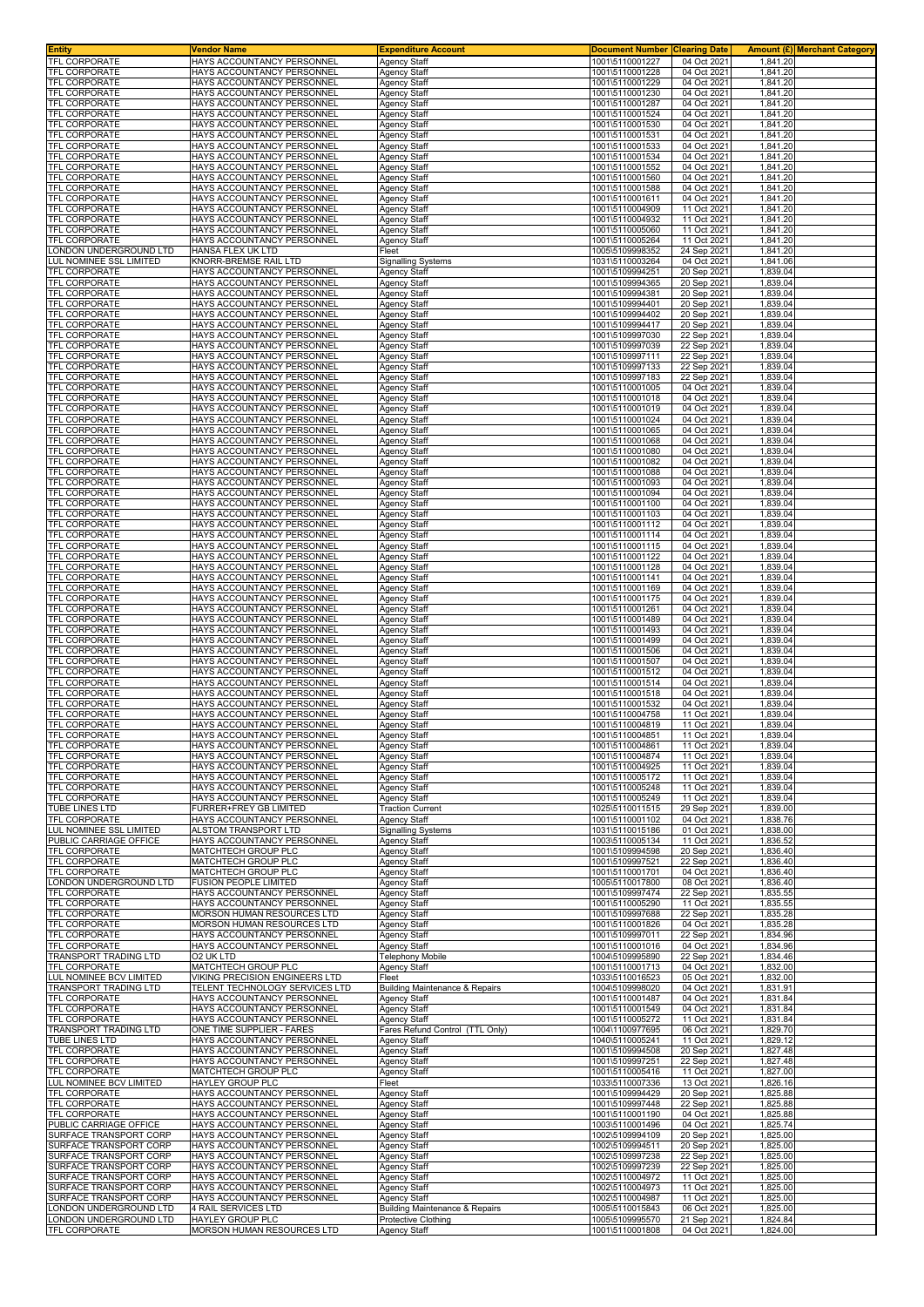| <b>Entity</b>                                    | Vendor Name                                                      | <b>Expenditure Account</b>                                       | <b>Document Number</b>             | <b>Clearing Date</b>       | <b>Amount (£)</b> Merchant Category |
|--------------------------------------------------|------------------------------------------------------------------|------------------------------------------------------------------|------------------------------------|----------------------------|-------------------------------------|
| TFL CORPORATE<br>TFL CORPORATE                   | HAYS ACCOUNTANCY PERSONNEL<br>HAYS ACCOUNTANCY PERSONNEI         | <b>Agency Staff</b><br><b>Agency Staff</b>                       | 1001\5110001227<br>1001\5110001228 | 04 Oct 2021<br>04 Oct 2021 | 1,841.20<br>1,841.20                |
| TFL CORPORATE                                    | HAYS ACCOUNTANCY PERSONNEL                                       | <b>Agency Staff</b>                                              | 1001\5110001229                    | 04 Oct 2021                | 1,841.20                            |
| TFL CORPORATE                                    | HAYS ACCOUNTANCY PERSONNEI                                       | <b>Agency Staff</b>                                              | 1001\5110001230                    | 04 Oct 2021                | 1,841.20                            |
| TFL CORPORATE                                    | HAYS ACCOUNTANCY PERSONNEI                                       | <b>Agency Staff</b>                                              | 1001\5110001287                    | 04 Oct 2021                | 1,841.20                            |
| TFL CORPORATE<br>TFL CORPORATE                   | HAYS ACCOUNTANCY PERSONNEL<br>HAYS ACCOUNTANCY PERSONNEL         | Agency Staff<br>Agency Staff                                     | 1001\5110001524<br>1001\5110001530 | 04 Oct 2021<br>04 Oct 2021 | 1,841.20<br>1,841.20                |
| TFL CORPORATE                                    | HAYS ACCOUNTANCY PERSONNEL                                       | <b>Agency Staff</b>                                              | 1001\5110001531                    | 04 Oct 2021                | 1.841.20                            |
| TFL CORPORATE<br><b>TFL CORPORATE</b>            | HAYS ACCOUNTANCY PERSONNEL                                       | <b>Agency Staff</b><br><b>Agency Staff</b>                       | 1001\5110001533<br>1001\5110001534 | 04 Oct 2021<br>04 Oct 2021 | 1,841.20<br>1,841.20                |
| TFL CORPORATE                                    | HAYS ACCOUNTANCY PERSONNEL<br>HAYS ACCOUNTANCY PERSONNEL         | <b>Agency Staff</b>                                              | 1001\5110001552                    | 04 Oct 2021                | 1,841.20                            |
| TFL CORPORATE                                    | HAYS ACCOUNTANCY PERSONNEI                                       | Agency Staff                                                     | 1001\5110001560                    | 04 Oct 2021                | 1,841.20                            |
| TFL CORPORATE<br>TFL CORPORATE                   | HAYS ACCOUNTANCY PERSONNEL<br>HAYS ACCOUNTANCY PERSONNEL         | <b>Agency Staff</b><br><b>Agency Staff</b>                       | 1001\5110001588<br>1001\5110001611 | 04 Oct 2021<br>04 Oct 2021 | 1,841.20<br>1,841.20                |
| TFL CORPORATE                                    | HAYS ACCOUNTANCY PERSONNEL                                       | <b>Agency Staff</b>                                              | 1001\5110004909                    | 11 Oct 2021                | 1,841.20                            |
| <b>TFL CORPORATE</b>                             | HAYS ACCOUNTANCY PERSONNEL                                       | <b>Agency Staff</b>                                              | 1001\5110004932                    | 11 Oct 2021                | 1,841.20                            |
| TFL CORPORATE<br>TFL CORPORATE                   | HAYS ACCOUNTANCY PERSONNEL<br>HAYS ACCOUNTANCY PERSONNEL         | <b>Agency Staff</b><br><b>Agency Staff</b>                       | 1001\5110005060<br>1001\5110005264 | 11 Oct 2021<br>11 Oct 2021 | 1,841.20<br>1,841.20                |
| LONDON UNDERGROUND LTD                           | HANSA FLEX UK LTD                                                | Fleet                                                            | 1005\5109998352                    | 24 Sep 2021                | 1,841.20                            |
| LUL NOMINEE SSL LIMITED<br>TFL CORPORATE         | KNORR-BREMSE RAIL LTD<br>HAYS ACCOUNTANCY PERSONNEL              | <b>Signalling Systems</b><br><b>Agency Staff</b>                 | 1031\5110003264<br>1001\5109994251 | 04 Oct 2021<br>20 Sep 2021 | 1,841.06<br>1,839.04                |
| TFL CORPORATE                                    | HAYS ACCOUNTANCY PERSONNEL                                       | <b>Agency Staff</b>                                              | 1001\5109994365                    | 20 Sep 2021                | 1,839.04                            |
| TFL CORPORATE                                    | HAYS ACCOUNTANCY PERSONNEL                                       | <b>Agency Staff</b>                                              | 1001\5109994381                    | 20 Sep 2021                | 1,839.04                            |
| TFL CORPORATE<br>TFL CORPORATE                   | HAYS ACCOUNTANCY PERSONNEL<br>HAYS ACCOUNTANCY PERSONNEI         | <b>Agency Staff</b><br><b>Agency Staff</b>                       | 1001\5109994401<br>1001\5109994402 | 20 Sep 2021<br>20 Sep 2021 | 1,839.04<br>1,839.04                |
| TFL CORPORATE                                    | HAYS ACCOUNTANCY PERSONNEL                                       | <b>Agency Staff</b>                                              | 1001\5109994417                    | 20 Sep 2021                | 1,839.04                            |
| TFL CORPORATE                                    | HAYS ACCOUNTANCY PERSONNEI                                       | <b>Agency Staff</b>                                              | 1001\5109997030                    | 22 Sep 2021                | 1,839.04                            |
| TFL CORPORATE<br>TFL CORPORATE                   | HAYS ACCOUNTANCY PERSONNEI<br>HAYS ACCOUNTANCY PERSONNEL         | <b>Agency Staff</b><br>Agency Staff                              | 1001\5109997039<br>1001\5109997111 | 22 Sep 2021<br>22 Sep 2021 | 1,839.04<br>1,839.04                |
| <b>TFL CORPORATE</b>                             | HAYS ACCOUNTANCY PERSONNEL                                       | Agency Staff                                                     | 1001\5109997133                    | 22 Sep 2021                | 1,839.04                            |
| TFL CORPORATE                                    | HAYS ACCOUNTANCY PERSONNEL                                       | Agency Staff                                                     | 1001\5109997183                    | 22 Sep 2021                | 1,839.04                            |
| TFL CORPORATE<br><b>TFL CORPORATE</b>            | HAYS ACCOUNTANCY PERSONNEL<br>HAYS ACCOUNTANCY PERSONNEL         | <b>Agency Staff</b><br><b>Agency Staff</b>                       | 1001\5110001005<br>1001\5110001018 | 04 Oct 2021<br>04 Oct 2021 | 1,839.04<br>1,839.04                |
| TFL CORPORATE                                    | HAYS ACCOUNTANCY PERSONNEL                                       | <b>Agency Staff</b>                                              | 1001\5110001019                    | 04 Oct 2021                | 1,839.04                            |
| TFL CORPORATE<br><b>TFL CORPORATE</b>            | HAYS ACCOUNTANCY PERSONNEI<br>HAYS ACCOUNTANCY PERSONNEL         | <b>Agency Staff</b><br>Agency Staff                              | 1001\5110001024<br>1001\5110001065 | 04 Oct 2021<br>04 Oct 2021 | 1,839.04<br>1,839.04                |
| <b>TFL CORPORATE</b>                             | HAYS ACCOUNTANCY PERSONNEL                                       | <b>Agency Staff</b>                                              | 1001\5110001068                    | 04 Oct 2021                | 1,839.04                            |
| TFL CORPORATE                                    | HAYS ACCOUNTANCY PERSONNEL                                       | <b>Agency Staff</b>                                              | 1001\5110001080                    | 04 Oct 2021                | 1,839.04                            |
| TFL CORPORATE<br>TFL CORPORATE                   | HAYS ACCOUNTANCY PERSONNEL<br>HAYS ACCOUNTANCY PERSONNEI         | <b>Agency Staff</b><br><b>Agency Staff</b>                       | 1001\5110001082<br>1001\5110001088 | 04 Oct 2021<br>04 Oct 2021 | 1,839.04<br>1,839.04                |
| TFL CORPORATE                                    | HAYS ACCOUNTANCY PERSONNEL                                       | <b>Agency Staff</b>                                              | 1001\5110001093                    | 04 Oct 2021                | 1,839.04                            |
| TFL CORPORATE                                    | HAYS ACCOUNTANCY PERSONNEL                                       | <b>Agency Staff</b>                                              | 1001\5110001094                    | 04 Oct 2021                | 1,839.04                            |
| TFL CORPORATE<br>TFL CORPORATE                   | HAYS ACCOUNTANCY PERSONNEL<br>HAYS ACCOUNTANCY PERSONNEL         | <b>Agency Staff</b><br><b>Agency Staff</b>                       | 1001\5110001100<br>1001\5110001103 | 04 Oct 2021<br>04 Oct 2021 | 1,839.04<br>1,839.04                |
| TFL CORPORATE                                    | HAYS ACCOUNTANCY PERSONNEL                                       | Agency Staff                                                     | 1001\5110001112                    | 04 Oct 2021                | 1,839.04                            |
| <b>TFL CORPORATE</b>                             | HAYS ACCOUNTANCY PERSONNEL                                       | <b>Agency Staff</b>                                              | 1001\5110001114                    | 04 Oct 2021                | 1,839.04                            |
| TFL CORPORATE<br>TFL CORPORATE                   | HAYS ACCOUNTANCY PERSONNEL<br>HAYS ACCOUNTANCY PERSONNEI         | <b>Agency Staff</b><br><b>Agency Staff</b>                       | 1001\5110001115<br>1001\5110001122 | 04 Oct 2021<br>04 Oct 2021 | 1,839.04<br>1,839.04                |
| TFL CORPORATE                                    | HAYS ACCOUNTANCY PERSONNEL                                       | <b>Agency Staff</b>                                              | 1001\5110001128                    | 04 Oct 2021                | 1,839.04                            |
| TFL CORPORATE                                    | HAYS ACCOUNTANCY PERSONNEI                                       | <b>Agency Staff</b>                                              | 1001\5110001141                    | 04 Oct 2021                | 1,839.04                            |
| TFL CORPORATE<br>TFL CORPORATE                   | HAYS ACCOUNTANCY PERSONNEI<br>HAYS ACCOUNTANCY PERSONNEL         | <b>Agency Staff</b><br>Agency Staff                              | 1001\5110001169<br>1001\5110001175 | 04 Oct 2021<br>04 Oct 2021 | 1,839.04<br>1,839.04                |
| <b>TFL CORPORATE</b>                             | HAYS ACCOUNTANCY PERSONNEL                                       | Agency Staff                                                     | 1001\5110001261                    | 04 Oct 2021                | 1,839.04                            |
| TFL CORPORATE<br>TFL CORPORATE                   | HAYS ACCOUNTANCY PERSONNEL<br>HAYS ACCOUNTANCY PERSONNEL         | Agency Staff                                                     | 1001\5110001489<br>1001\5110001493 | 04 Oct 2021<br>04 Oct 2021 | 1,839.04<br>1,839.04                |
| <b>TFL CORPORATE</b>                             | HAYS ACCOUNTANCY PERSONNEL                                       | <b>Agency Staff</b><br>Agency Staff                              | 1001\5110001499                    | 04 Oct 2021                | 1,839.04                            |
| TFL CORPORATE                                    | HAYS ACCOUNTANCY PERSONNEL                                       | <b>Agency Staff</b>                                              | 1001\5110001506                    | 04 Oct 2021                | 1,839.04                            |
| TFL CORPORATE<br><b>TFL CORPORATE</b>            | HAYS ACCOUNTANCY PERSONNEI<br>HAYS ACCOUNTANCY PERSONNEL         | Agency Staff<br>Agency Staff                                     | 1001\5110001507<br>1001\5110001512 | 04 Oct 2021<br>04 Oct 2021 | 1,839.04<br>1,839.04                |
| <b>TFL CORPORATE</b>                             | HAYS ACCOUNTANCY PERSONNEL                                       | <b>Agency Staff</b>                                              | 1001\5110001514                    | 04 Oct 2021                | 1,839.04                            |
| TFL CORPORATE                                    | HAYS ACCOUNTANCY PERSONNEL                                       | <b>Agency Staff</b>                                              | 1001\5110001518                    | 04 Oct 2021                | 1,839.04                            |
| <b>TFL CORPORATE</b><br>TFL CORPORATE            | HAYS ACCOUNTANCY PERSONNEL<br>HAYS ACCOUNTANCY PERSONNEI         | <b>Agency Staff</b><br><b>Agency Staff</b>                       | 1001\5110001532<br>1001\5110004758 | 04 Oct 2021<br>11 Oct 2021 | 1.839.04<br>1,839.04                |
| TFL CORPORATE                                    | HAYS ACCOUNTANCY PERSONNEL                                       | <b>Agency Staff</b>                                              | 1001\5110004819                    | 11 Oct 2021                | 1,839.04                            |
| TFL CORPORATE                                    | HAYS ACCOUNTANCY PERSONNEL                                       | <b>Agency Staff</b>                                              | 1001\5110004851                    | 11 Oct 2021                | 1,839.04                            |
| TFL CORPORATE<br><b>TFL CORPORATE</b>            | HAYS ACCOUNTANCY PERSONNEL<br>HAYS ACCOUNTANCY PERSONNEL         | Agency Staff<br><b>Agency Staff</b>                              | 1001\5110004861<br>1001\5110004874 | 11 Oct 2021<br>11 Oct 2021 | 1,839.04<br>1,839.04                |
| TFL CORPORATE                                    | HAYS ACCOUNTANCY PERSONNEL                                       | <b>Agency Staff</b>                                              | 1001\5110004925                    | 11 Oct 2021                | 1,839.04                            |
| TFL CORPORATE<br>TFL CORPORATE                   | HAYS ACCOUNTANCY PERSONNEL<br><b>HAYS ACCOUNTANCY PERSONNEL</b>  | <b>Agency Staff</b><br><b>Agency Staff</b>                       | 1001\5110005172<br>1001\5110005248 | 11 Oct 2021<br>11 Oct 2021 | 1,839.04<br>1.839.04                |
| TFL CORPORATE                                    | HAYS ACCOUNTANCY PERSONNEL                                       | <b>Agency Staff</b>                                              | 1001\5110005249                    | 11 Oct 2021                | 1,839.04                            |
| <b>TUBE LINES LTD</b>                            | FURRER+FREY GB LIMITED                                           | <b>Traction Current</b>                                          | 1025\5110011515                    | 29 Sep 2021                | 1,839.00                            |
| TFL CORPORATE<br>LUL NOMINEE SSL LIMITED         | HAYS ACCOUNTANCY PERSONNEL<br>ALSTOM TRANSPORT LTD               | Agency Staff<br><b>Signalling Systems</b>                        | 1001\5110001102<br>1031\5110015186 | 04 Oct 2021<br>01 Oct 2021 | 1,838.76<br>1,838.00                |
| PUBLIC CARRIAGE OFFICE                           | HAYS ACCOUNTANCY PERSONNEL                                       | <b>Agency Staff</b>                                              | 1003\5110005134                    | 11 Oct 2021                | 1,836.52                            |
| TFL CORPORATE                                    | MATCHTECH GROUP PLC                                              | <b>Agency Staff</b>                                              | 1001\5109994598                    | 20 Sep 2021                | 1,836.40                            |
| TFL CORPORATE<br>TFL CORPORATE                   | MATCHTECH GROUP PLC<br>MATCHTECH GROUP PLC                       | <b>Agency Staff</b><br><b>Agency Staff</b>                       | 1001\5109997521<br>1001\5110001701 | 22 Sep 2021<br>04 Oct 2021 | 1,836.40<br>1,836.40                |
| LONDON UNDERGROUND LTD                           | <b>FUSION PEOPLE LIMITED</b>                                     | <b>Agency Staff</b>                                              | 1005\5110017800                    | 08 Oct 2021                | 1,836.40                            |
| TFL CORPORATE<br>TFL CORPORATE                   | HAYS ACCOUNTANCY PERSONNEL<br>HAYS ACCOUNTANCY PERSONNEL         | <b>Agency Staff</b><br><b>Agency Staff</b>                       | 1001\5109997474<br>1001\5110005290 | 22 Sep 2021<br>11 Oct 2021 | 1,835.55<br>1,835.55                |
| TFL CORPORATE                                    | MORSON HUMAN RESOURCES LTD                                       | <b>Agency Staff</b>                                              | 1001\5109997688                    | 22 Sep 2021                | 1,835.28                            |
| <b>TFL CORPORATE</b>                             | MORSON HUMAN RESOURCES LTD                                       | <b>Agency Staff</b>                                              | 1001\5110001826                    | 04 Oct 2021                | 1,835.28                            |
| TFL CORPORATE<br>TFL CORPORATE                   | HAYS ACCOUNTANCY PERSONNEL<br>HAYS ACCOUNTANCY PERSONNEL         | <b>Agency Staff</b><br><b>Agency Staff</b>                       | 1001\5109997011<br>1001\5110001016 | 22 Sep 2021<br>04 Oct 2021 | 1,834.96<br>1,834.96                |
| TRANSPORT TRADING LTD                            | 02 UK LTD                                                        | <b>Telephony Mobile</b>                                          | 1004\5109995890                    | 22 Sep 2021                | 1,834.46                            |
| TFL CORPORATE                                    | MATCHTECH GROUP PLC                                              | Agency Staff<br>Fleet                                            | 1001\5110001713                    | 04 Oct 2021                | 1,832.00                            |
| LUL NOMINEE BCV LIMITED<br>TRANSPORT TRADING LTD | VIKING PRECISION ENGINEERS LTD<br>TELENT TECHNOLOGY SERVICES LTD | <b>Building Maintenance &amp; Repairs</b>                        | 1033\5110016523<br>1004\5109998020 | 05 Oct 2021<br>04 Oct 2021 | 1,832.00<br>1,831.91                |
| TFL CORPORATE                                    | HAYS ACCOUNTANCY PERSONNEL                                       | <b>Agency Staff</b>                                              | 1001\5110001487                    | 04 Oct 2021                | 1,831.84                            |
| <b>TFL CORPORATE</b><br>TFL CORPORATE            | HAYS ACCOUNTANCY PERSONNEL<br>HAYS ACCOUNTANCY PERSONNEL         | <b>Agency Staff</b><br><b>Agency Staff</b>                       | 1001\5110001549<br>1001\5110005272 | 04 Oct 2021<br>11 Oct 2021 | 1,831.84<br>1,831.84                |
| <b>TRANSPORT TRADING LTD</b>                     | ONE TIME SUPPLIER - FARES                                        | Fares Refund Control (TTL Only)                                  | 1004\1100977695                    | 06 Oct 2021                | 1,829.70                            |
| TUBE LINES LTD                                   | HAYS ACCOUNTANCY PERSONNEL                                       | <b>Agency Staff</b>                                              | 1040\5110005241                    | 11 Oct 2021                | 1,829.12                            |
| TFL CORPORATE<br>TFL CORPORATE                   | HAYS ACCOUNTANCY PERSONNEL<br>HAYS ACCOUNTANCY PERSONNEL         | <b>Agency Staff</b><br><b>Agency Staff</b>                       | 1001\5109994508<br>1001\5109997251 | 20 Sep 2021<br>22 Sep 2021 | 1,827.48<br>1,827.48                |
| TFL CORPORATE                                    | MATCHTECH GROUP PLC                                              | <b>Agency Staff</b>                                              | 1001\5110005416                    | 11 Oct 2021                | 1,827.00                            |
| LUL NOMINEE BCV LIMITED<br>TFL CORPORATE         | <b>HAYLEY GROUP PLC</b><br>HAYS ACCOUNTANCY PERSONNEL            | Fleet                                                            | 1033\5110007336<br>1001\5109994429 | 13 Oct 2021<br>20 Sep 2021 | 1,826.16<br>1,825.88                |
| TFL CORPORATE                                    | HAYS ACCOUNTANCY PERSONNEL                                       | <b>Agency Staff</b><br><b>Agency Staff</b>                       | 1001\5109997448                    | 22 Sep 2021                | 1,825.88                            |
| TFL CORPORATE                                    | HAYS ACCOUNTANCY PERSONNEL                                       | <b>Agency Staff</b>                                              | 1001\5110001190                    | 04 Oct 2021                | 1,825.88                            |
| PUBLIC CARRIAGE OFFICE<br>SURFACE TRANSPORT CORP | HAYS ACCOUNTANCY PERSONNEL<br>HAYS ACCOUNTANCY PERSONNEL         | <b>Agency Staff</b><br><b>Agency Staff</b>                       | 1003\5110001496<br>1002\5109994109 | 04 Oct 2021<br>20 Sep 2021 | 1,825.74<br>1,825.00                |
| SURFACE TRANSPORT CORP                           | HAYS ACCOUNTANCY PERSONNEL                                       | <b>Agency Staff</b>                                              | 1002\5109994511                    | 20 Sep 2021                | 1,825.00                            |
| SURFACE TRANSPORT CORP                           | HAYS ACCOUNTANCY PERSONNEL                                       | <b>Agency Staff</b>                                              | 1002\5109997238                    | 22 Sep 2021                | 1,825.00                            |
| SURFACE TRANSPORT CORP<br>SURFACE TRANSPORT CORP | HAYS ACCOUNTANCY PERSONNEL<br>HAYS ACCOUNTANCY PERSONNEL         | <b>Agency Staff</b><br><b>Agency Staff</b>                       | 1002\5109997239<br>1002\5110004972 | 22 Sep 2021<br>11 Oct 2021 | 1,825.00<br>1,825.00                |
| SURFACE TRANSPORT CORP                           | HAYS ACCOUNTANCY PERSONNEL                                       | <b>Agency Staff</b>                                              | 1002\5110004973                    | 11 Oct 2021                | 1,825.00                            |
| SURFACE TRANSPORT CORP                           | HAYS ACCOUNTANCY PERSONNEL                                       | <b>Agency Staff</b>                                              | 1002\5110004987                    | 11 Oct 2021                | 1,825.00                            |
| ONDON UNDERGROUND LTD<br>ONDON UNDERGROUND LTD   | 4 RAIL SERVICES LTD<br>HAYLEY GROUP PLC                          | <b>Building Maintenance &amp; Repairs</b><br>Protective Clothing | 1005\5110015843<br>1005\5109995570 | 06 Oct 2021<br>21 Sep 2021 | 1,825.00<br>1,824.84                |
| TFL CORPORATE                                    | MORSON HUMAN RESOURCES LTD                                       | <b>Agency Staff</b>                                              | 1001\5110001808                    | 04 Oct 2021                | 1,824.00                            |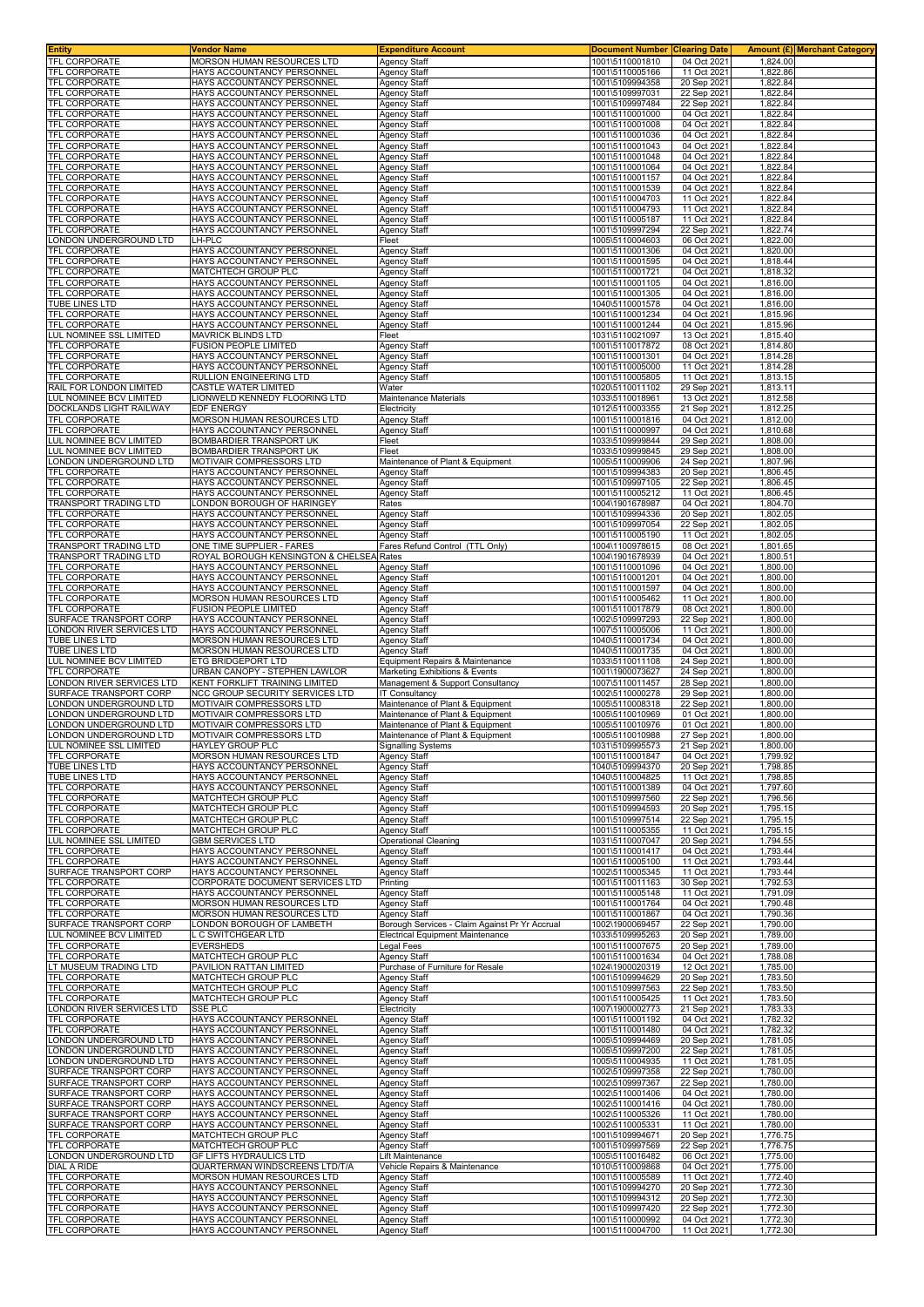| Entity                                                        | Vendor Name                                                                            | <b>Expenditure Account</b>                                                                | <b>Document Number Clearing Date</b>                  |                                           | Amount (£) Merchant Category     |  |
|---------------------------------------------------------------|----------------------------------------------------------------------------------------|-------------------------------------------------------------------------------------------|-------------------------------------------------------|-------------------------------------------|----------------------------------|--|
| <b>TFL CORPORATE</b><br><b>TFL CORPORATE</b>                  | MORSON HUMAN RESOURCES LTD<br>HAYS ACCOUNTANCY PERSONNEL                               | Agency Staff<br>Agency Staff                                                              | 1001\5110001810<br>1001\5110005166                    | 04 Oct 2021<br>11 Oct 2021                | 1,824.00<br>1,822.86             |  |
| <b>TFL CORPORATE</b>                                          | HAYS ACCOUNTANCY PERSONNEI                                                             | <b>Agency Staff</b>                                                                       | 1001\5109994358                                       | 20 Sep 2021                               | 1,822.84                         |  |
| TFL CORPORATE                                                 | HAYS ACCOUNTANCY PERSONNEL                                                             | <b>Agency Staff</b>                                                                       | 1001\5109997031                                       | 22 Sep 2021                               | 1,822.84                         |  |
| <b>TFL CORPORATE</b><br><b>TFL CORPORATE</b>                  | HAYS ACCOUNTANCY PERSONNEI<br>HAYS ACCOUNTANCY PERSONNEL                               | <b>Agency Staff</b><br>Agency Staff                                                       | 1001\5109997484<br>1001\5110001000                    | 22 Sep 2021<br>04 Oct 2021                | 1,822.84<br>1,822.84             |  |
| <b>TFL CORPORATE</b>                                          | HAYS ACCOUNTANCY PERSONNEL                                                             | Agency Staff                                                                              | 1001\5110001008                                       | 04 Oct 2021                               | 1,822.84                         |  |
| <b>TFL CORPORATE</b>                                          | HAYS ACCOUNTANCY PERSONNEL                                                             | <b>Agency Staff</b>                                                                       | 1001\5110001036                                       | 04 Oct 2021                               | 1,822.84                         |  |
| <b>TFL CORPORATE</b><br><b>FEL CORPORATE</b>                  | HAYS ACCOUNTANCY PERSONNEL<br>HAYS ACCOUNTANCY PERSONNEL                               | Agency Staff<br><b>Agency Staff</b>                                                       | 1001\5110001043<br>1001\5110001048                    | 04 Oct 2021<br>04 Oct 2021                | 1,822.84<br>1,822.84             |  |
| <b>TFL CORPORATE</b>                                          | HAYS ACCOUNTANCY PERSONNEL                                                             | Agency Staff                                                                              | 1001\5110001064                                       | 04 Oct 2021                               | 1,822.84                         |  |
| <b>TFL CORPORATE</b>                                          | HAYS ACCOUNTANCY PERSONNEL                                                             | <b>Agency Staff</b>                                                                       | 1001\5110001157                                       | 04 Oct 2021                               | 1,822.84                         |  |
| <b>TFL CORPORATE</b><br><b>TFL CORPORATE</b>                  | HAYS ACCOUNTANCY PERSONNEL<br>HAYS ACCOUNTANCY PERSONNEL                               | <b>Agency Staff</b><br><b>Agency Staff</b>                                                | 1001\5110001539<br>1001\5110004703                    | 04 Oct 2021<br>11 Oct 2021                | 1,822.84<br>1,822.84             |  |
| <b>TFL CORPORATE</b>                                          | HAYS ACCOUNTANCY PERSONNEI                                                             | <b>Agency Staff</b>                                                                       | 1001\5110004793                                       | 11 Oct 2021                               | 1,822.84                         |  |
| <b>TFL CORPORATE</b>                                          | HAYS ACCOUNTANCY PERSONNEI                                                             | <b>Agency Staff</b>                                                                       | 1001\5110005187                                       | 11 Oct 2021                               | 1,822.84                         |  |
| <b>TFL CORPORATE</b><br>ONDON UNDERGROUND LTD                 | HAYS ACCOUNTANCY PERSONNEL<br>.H-PLC                                                   | Agency Staff<br>Fleet                                                                     | 1001\5109997294<br>1005\5110004603                    | 22 Sep 2021<br>06 Oct 2021                | 1,822.74<br>1,822.00             |  |
| <b>TFL CORPORATE</b>                                          | HAYS ACCOUNTANCY PERSONNEL                                                             | Agency Staff                                                                              | 1001\5110001306                                       | 04 Oct 2021                               | 1,820.00                         |  |
| <b>TFL CORPORATE</b>                                          | HAYS ACCOUNTANCY PERSONNEL                                                             | Agency Staff                                                                              | 1001\5110001595                                       | 04 Oct 2021                               | 1,818.44                         |  |
| <b>TFL CORPORATE</b><br><b>FEL CORPORATE</b>                  | MATCHTECH GROUP PLC<br>HAYS ACCOUNTANCY PERSONNEL                                      | Agency Staff<br>Agency Staff                                                              | 1001\5110001721<br>1001\5110001105                    | 04 Oct 2021<br>04 Oct 2021                | 1,818.32<br>1,816.00             |  |
| <b>TFL CORPORATE</b>                                          | HAYS ACCOUNTANCY PERSONNEL                                                             | Agency Staff                                                                              | 1001\5110001305                                       | 04 Oct 2021                               | 1,816.00                         |  |
| <b>TUBE LINES LTD</b><br><b>TFL CORPORATE</b>                 | HAYS ACCOUNTANCY PERSONNEL<br>HAYS ACCOUNTANCY PERSONNEL                               | Agency Staff<br>Agency Staff                                                              | 1040\5110001578<br>1001\5110001234                    | 04 Oct 2021<br>04 Oct 2021                | 1,816.00<br>1,815.96             |  |
| <b>TFL CORPORATE</b>                                          | HAYS ACCOUNTANCY PERSONNEL                                                             | <b>Agency Staff</b>                                                                       | 1001\5110001244                                       | 04 Oct 2021                               | 1,815.96                         |  |
| LUL NOMINEE SSL LIMITED                                       | <b>MAVRICK BLINDS LTD</b>                                                              | Fleet                                                                                     | 1031\5110021097                                       | 13 Oct 2021                               | 1,815.40                         |  |
| <b>TFL CORPORATE</b><br><b>FEL CORPORATE</b>                  | FUSION PEOPLE LIMITED<br>HAYS ACCOUNTANCY PERSONNEL                                    | <b>Agency Staff</b><br>Agency Staff                                                       | 1001\5110017872<br>1001\5110001301                    | 08 Oct 2021<br>04 Oct 2021                | 1,814.80<br>1,814.28             |  |
| <b>TFL CORPORATE</b>                                          | HAYS ACCOUNTANCY PERSONNEL                                                             | Agency Staff                                                                              | 1001\5110005000                                       | 11 Oct 2021                               | 1,814.28                         |  |
| <b>TFL CORPORATE</b>                                          | RULLION ENGINEERING LTD                                                                | Agency Staff                                                                              | 1001\5110005805                                       | 11 Oct 2021                               | 1,813.15                         |  |
| RAIL FOR LONDON LIMITED<br>LUL NOMINEE BCV LIMITED            | CASTLE WATER LIMITED<br>LIONWELD KENNEDY FLOORING LTD                                  | Water<br>Maintenance Materials                                                            | 1020\5110011102<br>1033\5110018961                    | 29 Sep 2021<br>13 Oct 2021                | 1,813.11<br>1,812.58             |  |
| DOCKLANDS LIGHT RAILWAY                                       | EDF ENERGY                                                                             | Electricity                                                                               | 1012\5110003355                                       | 21 Sep 2021                               | 1,812.25                         |  |
| <b>TFL CORPORATE</b>                                          | MORSON HUMAN RESOURCES LTD                                                             | Agency Staff                                                                              | 1001\5110001816                                       | 04 Oct 2021                               | 1.812.00                         |  |
| TFL CORPORATE<br>LUL NOMINEE BCV LIMITED                      | HAYS ACCOUNTANCY PERSONNEL<br>BOMBARDIER TRANSPORT UK                                  | <b>Agency Staff</b><br>Fleet                                                              | 1001\5110000997<br>1033\5109999844                    | 04 Oct 2021<br>29 Sep 2021                | 1,810.68<br>1,808.00             |  |
| LUL NOMINEE BCV LIMITED                                       | BOMBARDIER TRANSPORT UK                                                                | Fleet                                                                                     | 1033\5109999845                                       | 29 Sep 2021                               | 1,808.00                         |  |
| ONDON UNDERGROUND LTD                                         | MOTIVAIR COMPRESSORS LTD                                                               | Maintenance of Plant & Equipment                                                          | 1005\5110009906                                       | 24 Sep 2021                               | 1,807.96                         |  |
| <b>TFL CORPORATE</b><br><b>TFL CORPORATE</b>                  | HAYS ACCOUNTANCY PERSONNEI<br>HAYS ACCOUNTANCY PERSONNEL                               | Agency Staff<br><b>Agency Staff</b>                                                       | 1001\5109994383<br>1001\5109997105                    | 20 Sep 2021<br>22 Sep 2021                | 1,806.45<br>1,806.45             |  |
| <b>TFL CORPORATE</b>                                          | HAYS ACCOUNTANCY PERSONNEI                                                             | Agency Staff                                                                              | 1001\5110005212                                       | 11 Oct 2021                               | 1,806.45                         |  |
| <b>FRANSPORT TRADING LTD</b>                                  | ONDON BOROUGH OF HARINGEY                                                              | Rates                                                                                     | 1004\1901678987                                       | 04 Oct 2021                               | 1,804.70                         |  |
| <b>TFL CORPORATE</b><br><b>FEL CORPORATE</b>                  | HAYS ACCOUNTANCY PERSONNEL<br>HAYS ACCOUNTANCY PERSONNEL                               | Agency Staff<br>Agency Staff                                                              | 1001\5109994336<br>1001\5109997054                    | 20 Sep 2021<br>22 Sep 2021                | 1,802.05<br>1,802.05             |  |
| <b>TFL CORPORATE</b>                                          | HAYS ACCOUNTANCY PERSONNEL                                                             | Agency Staff                                                                              | 1001\5110005190                                       | 11 Oct 2021                               | 1,802.05                         |  |
| TRANSPORT TRADING LTD                                         | ONE TIME SUPPLIER - FARES                                                              | Fares Refund Control (TTL Only)                                                           | 1004\1100978615                                       | 08 Oct 2021                               | 1,801.65                         |  |
| TRANSPORT TRADING LTD<br><b>TFL CORPORATE</b>                 | ROYAL BOROUGH KENSINGTON & CHELSE/<br>HAYS ACCOUNTANCY PERSONNEL                       | Rates<br><b>Agency Staff</b>                                                              | 1004\1901678939<br>1001\5110001096                    | 04 Oct 2021<br>04 Oct 2021                | $1,800.5^{\circ}$<br>1,800.00    |  |
| <b>TFL CORPORATE</b>                                          | HAYS ACCOUNTANCY PERSONNEL                                                             | <b>Agency Staff</b>                                                                       | 1001\5110001201                                       | 04 Oct 2021                               | 1,800.00                         |  |
| <b>TFL CORPORATE</b>                                          | HAYS ACCOUNTANCY PERSONNEL                                                             | <b>Agency Staff</b>                                                                       | 1001\5110001597                                       | 04 Oct 2021                               | 1,800.00                         |  |
| <b>FEL CORPORATE</b><br><b>TFL CORPORATE</b>                  | MORSON HUMAN RESOURCES LTD<br>FUSION PEOPLE LIMITED                                    | Agency Staff<br>Agency Staff                                                              | 1001\5110005462<br>1001\5110017879                    | 11 Oct 2021<br>08 Oct 2021                | 1,800.00<br>1,800.00             |  |
| SURFACE TRANSPORT CORP                                        | HAYS ACCOUNTANCY PERSONNEL                                                             | <b>Agency Staff</b>                                                                       | 1002\5109997293                                       | 22 Sep 2021                               | 1,800.00                         |  |
| ONDON RIVER SERVICES LTD                                      | HAYS ACCOUNTANCY PERSONNEL                                                             | <b>Agency Staff</b>                                                                       | 1007\5110005006                                       | 11 Oct 2021                               | 1,800.00                         |  |
| TUBE LINES LTD<br><b>TUBE LINES LTD</b>                       | MORSON HUMAN RESOURCES LTD<br>MORSON HUMAN RESOURCES LTD                               | Agency Staff<br><b>Agency Staff</b>                                                       | 1040\5110001734<br>1040\5110001735                    | 04 Oct 2021<br>04 Oct 2021                | 1,800.00<br>1,800.00             |  |
|                                                               |                                                                                        |                                                                                           |                                                       |                                           |                                  |  |
| UL NOMINEE BCV LIMITED                                        | <b>ETG BRIDGEPORT LTD</b>                                                              | Equipment Repairs & Maintenance                                                           | 1033\5110011108                                       | 24 Sep 2021                               | 1.800.00                         |  |
| <b>TFL CORPORATE</b>                                          | URBAN CANOPY - STEPHEN LAWLOR                                                          | Marketing Exhibitions & Events                                                            | 1001\1900073627                                       | 24 Sep 2021                               | 1,800.00                         |  |
| ONDON RIVER SERVICES LTD.                                     | KENT FORKLIFT TRAINING LIMITED                                                         | Management & Support Consultancy                                                          | 1007\5110011457                                       | 28 Sep 2021                               | 1,800.00                         |  |
| SURFACE TRANSPORT CORP<br>ONDON UNDERGROUND LTD               | NCC GROUP SECURITY SERVICES LTD<br>MOTIVAIR COMPRESSORS LTD                            | <b>IT Consultancy</b><br>Maintenance of Plant & Equipment                                 | 1002\5110000278<br>1005\5110008318                    | 29 Sep 2021<br>22 Sep 2021                | 1,800.00<br>1,800.00             |  |
| ONDON UNDERGROUND LTD                                         | MOTIVAIR COMPRESSORS LTD                                                               | Maintenance of Plant & Equipment                                                          | 1005\5110010969                                       | 01 Oct 2021                               | 1,800.00                         |  |
| ONDON UNDERGROUND LTD<br>ONDON UNDERGROUND LTD                | MOTIVAIR COMPRESSORS LTD<br>MOTIVAIR COMPRESSORS LTD                                   | Maintenance of Plant & Equipment                                                          | 1005\5110010976<br>1005\5110010988                    | 01 Oct 2021<br>27 Sep 2021                | 1,800.00<br>1,800.00             |  |
| LUL NOMINEE SSL LIMITED                                       | HAYLEY GROUP PLC                                                                       | Maintenance of Plant & Equipment<br><b>Signalling Systems</b>                             | 1031\5109995573                                       | 21 Sep 2021                               | 1,800.00                         |  |
| <b>TFL CORPORATE</b>                                          | MORSON HUMAN RESOURCES LTD                                                             | Agency Staff                                                                              | 1001\5110001847                                       | 04 Oct 2021                               | 1.799.92                         |  |
| <b>TUBE LINES LTD</b><br><b>TUBE LINES LTD</b>                | HAYS ACCOUNTANCY PERSONNEL<br>HAYS ACCOUNTANCY PERSONNEL                               | <b>Agency Staff</b><br><b>Agency Staff</b>                                                | 1040\5109994370<br>1040\5110004825                    | 20 Sep 2021<br>11 Oct 2021                | 1,798.85<br>1,798.85             |  |
| <b>TFL CORPORATE</b>                                          | HAYS ACCOUNTANCY PERSONNEL                                                             | <b>Agency Staff</b>                                                                       | 1001\5110001389                                       | 04 Oct 2021                               | 1,797.60                         |  |
| <b>TFL CORPORATE</b>                                          | MATCHTECH GROUP PLC                                                                    | Agency Staff                                                                              | 1001\5109997560                                       | 22 Sep 2021                               | 1,796.56                         |  |
| <b>TFL CORPORATE</b><br>TFL CORPORATE                         | MATCHTECH GROUP PLC<br>MATCHTECH GROUP PLC                                             | Agency Staff<br><b>Agency Staff</b>                                                       | 1001\5109994593<br>1001\5109997514                    | 20 Sep 2021<br>22 Sep 2021                | 1,795.15<br>1,795.15             |  |
| TFL CORPORATE                                                 | MATCHTECH GROUP PLC                                                                    | <b>Agency Staff</b>                                                                       | 1001\5110005355                                       | 11 Oct 2021                               | 1,795.15                         |  |
| <b>LUL NOMINEE SSL LIMITED</b><br><b>TFL CORPORATE</b>        | <b>GBM SERVICES LTD</b><br>HAYS ACCOUNTANCY PERSONNEL                                  | Operational Cleaning<br><b>Agency Staff</b>                                               | 1031\5110007047<br>1001\5110001417                    | 20 Sep 2021<br>04 Oct 2021                | 1,794.55<br>1,793.44             |  |
| <b>TFL CORPORATE</b>                                          | HAYS ACCOUNTANCY PERSONNEL                                                             | <b>Agency Staff</b>                                                                       | 1001\5110005100                                       | 11 Oct 2021                               | 1,793.44                         |  |
| SURFACE TRANSPORT CORP                                        | HAYS ACCOUNTANCY PERSONNEL                                                             | <b>Agency Staff</b>                                                                       | 1002\5110005345                                       | 11 Oct 2021                               | 1,793.44                         |  |
| <b>TFL CORPORATE</b><br><b>TFL CORPORATE</b>                  | CORPORATE DOCUMENT SERVICES LTD<br>HAYS ACCOUNTANCY PERSONNEL                          | Printing<br><b>Agency Staff</b>                                                           | 1001\5110011163<br>1001\5110005148                    | 30 Sep 2021<br>11 Oct 2021                | 1,792.53<br>1,791.09             |  |
| <b>TFL CORPORATE</b>                                          | MORSON HUMAN RESOURCES LTD                                                             | <b>Agency Staff</b>                                                                       | 1001\5110001764                                       | 04 Oct 2021                               | 1,790.48                         |  |
| TFL CORPORATE                                                 | MORSON HUMAN RESOURCES LTD                                                             | <b>Agency Staff</b>                                                                       | 1001\5110001867                                       | 04 Oct 2021                               | 1,790.36                         |  |
| SURFACE TRANSPORT CORP<br><b>UL NOMINEE BCV LIMITED</b>       | ONDON BOROUGH OF LAMBETH<br>. C SWITCHGEAR LTD                                         | Borough Services - Claim Against Pr Yr Accrual<br><b>Electrical Equipment Maintenance</b> | 1002\1900069457<br>1033\5109995263                    | 22 Sep 2021<br>20 Sep 2021                | 1,790.00<br>1.789.00             |  |
| <b>TFL CORPORATE</b>                                          | <b>EVERSHEDS</b>                                                                       | Legal Fees                                                                                | 1001\5110007675                                       | 20 Sep 2021                               | 1,789.00                         |  |
| TFL CORPORATE                                                 | MATCHTECH GROUP PLC<br>PAVILION RATTAN LIMITED                                         | Agency Staff<br>Purchase of Furniture for Resale                                          | 1001\5110001634                                       | 04 Oct 2021<br>12 Oct 2021                | 1,788.08                         |  |
| T MUSEUM TRADING LTD<br>TFL CORPORATE                         | MATCHTECH GROUP PLC                                                                    | <b>Agency Staff</b>                                                                       | 1024\1900020319<br>1001\5109994629                    | 20 Sep 2021                               | 1,785.00<br>1,783.50             |  |
| TFL CORPORATE                                                 | MATCHTECH GROUP PLC                                                                    | Agency Staff                                                                              | 1001\5109997563                                       | 22 Sep 2021                               | 1,783.50                         |  |
| <b>TFL CORPORATE</b><br>ONDON RIVER SERVICES LTD              | MATCHTECH GROUP PLC<br>SSE PLC                                                         | Agency Staff<br>Electricity                                                               | 1001\5110005425<br>1007\1900002773                    | 11 Oct 2021<br>21 Sep 2021                | 1,783.50<br>1,783.33             |  |
| <b>TFL CORPORATE</b>                                          | HAYS ACCOUNTANCY PERSONNEL                                                             | Agency Staff                                                                              | 1001\5110001192                                       | 04 Oct 2021                               | 1,782.32                         |  |
| <b>TFL CORPORATE</b>                                          | HAYS ACCOUNTANCY PERSONNEL                                                             | <b>Agency Staff</b>                                                                       | 1001\5110001480                                       | 04 Oct 2021                               | 1,782.32                         |  |
| ONDON UNDERGROUND LTD<br>ONDON UNDERGROUND LTD                | HAYS ACCOUNTANCY PERSONNEL<br>HAYS ACCOUNTANCY PERSONNEL                               | <b>Agency Staff</b><br><b>Agency Staff</b>                                                | 1005\5109994469<br>1005\5109997200                    | 20 Sep 2021<br>22 Sep 2021                | 1,781.05<br>1,781.05             |  |
| ONDON UNDERGROUND LTD                                         | HAYS ACCOUNTANCY PERSONNEL                                                             | <b>Agency Staff</b>                                                                       | 1005\5110004935                                       | 11 Oct 2021                               | 1,781.05                         |  |
| SURFACE TRANSPORT CORP                                        | HAYS ACCOUNTANCY PERSONNEL                                                             | <b>Agency Staff</b>                                                                       | 1002\5109997358                                       | 22 Sep 2021                               | 1,780.00                         |  |
| SURFACE TRANSPORT CORP<br>SURFACE TRANSPORT CORP              | HAYS ACCOUNTANCY PERSONNEL<br>HAYS ACCOUNTANCY PERSONNEL                               | Agency Staff<br><b>Agency Staff</b>                                                       | 1002\5109997367<br>1002\5110001406                    | 22 Sep 2021<br>04 Oct 2021                | 1,780.00<br>1,780.00             |  |
| SURFACE TRANSPORT CORP                                        | HAYS ACCOUNTANCY PERSONNEL                                                             | <b>Agency Staff</b>                                                                       | 1002\5110001416                                       | 04 Oct 2021                               | 1,780.00                         |  |
| SURFACE TRANSPORT CORP                                        | HAYS ACCOUNTANCY PERSONNEL                                                             | <b>Agency Staff</b>                                                                       | 1002\5110005326                                       | 11 Oct 2021                               | 1,780.00                         |  |
| SURFACE TRANSPORT CORP<br><b>TFL CORPORATE</b>                | HAYS ACCOUNTANCY PERSONNEL<br>MATCHTECH GROUP PLC                                      | <b>Agency Staff</b><br><b>Agency Staff</b>                                                | 1002\5110005331<br>1001\5109994671                    | 11 Oct 2021<br>20 Sep 2021                | 1,780.00<br>1,776.75             |  |
| <b>TFL CORPORATE</b>                                          | MATCHTECH GROUP PLC                                                                    | <b>Agency Staff</b>                                                                       | 1001\5109997569                                       | 22 Sep 2021                               | 1,776.75                         |  |
| LONDON UNDERGROUND LTD<br>DIAL A RIDE                         | GF LIFTS HYDRAULICS LTD                                                                | Lift Maintenance                                                                          | 1005\5110016482                                       | 06 Oct 2021                               | 1,775.00<br>1,775.00             |  |
| TFL CORPORATE                                                 | QUARTERMAN WINDSCREENS LTD/T/A<br><b>MORSON HUMAN RESOURCES LTD</b>                    | Vehicle Repairs & Maintenance<br><b>Agency Staff</b>                                      | 1010\5110009868<br>1001\5110005589                    | 04 Oct 2021<br>11 Oct 2021                | 1,772.40                         |  |
| TFL CORPORATE                                                 | HAYS ACCOUNTANCY PERSONNEL                                                             | <b>Agency Staff</b>                                                                       | 1001\5109994270                                       | 20 Sep 2021                               | 1,772.30                         |  |
| <b>TFL CORPORATE</b>                                          | HAYS ACCOUNTANCY PERSONNEI                                                             | <b>Agency Staff</b>                                                                       | 1001\5109994312                                       | 20 Sep 2021                               | 1,772.30                         |  |
| <b>TFL CORPORATE</b><br><b>TFL CORPORATE</b><br>TFL CORPORATE | HAYS ACCOUNTANCY PERSONNEL<br>HAYS ACCOUNTANCY PERSONNEL<br>HAYS ACCOUNTANCY PERSONNEL | <b>Agency Staff</b><br><b>Agency Staff</b><br>Agency Staff                                | 1001\5109997420<br>1001\5110000992<br>1001\5110004700 | 22 Sep 2021<br>04 Oct 2021<br>11 Oct 2021 | 1,772.30<br>1,772.30<br>1,772.30 |  |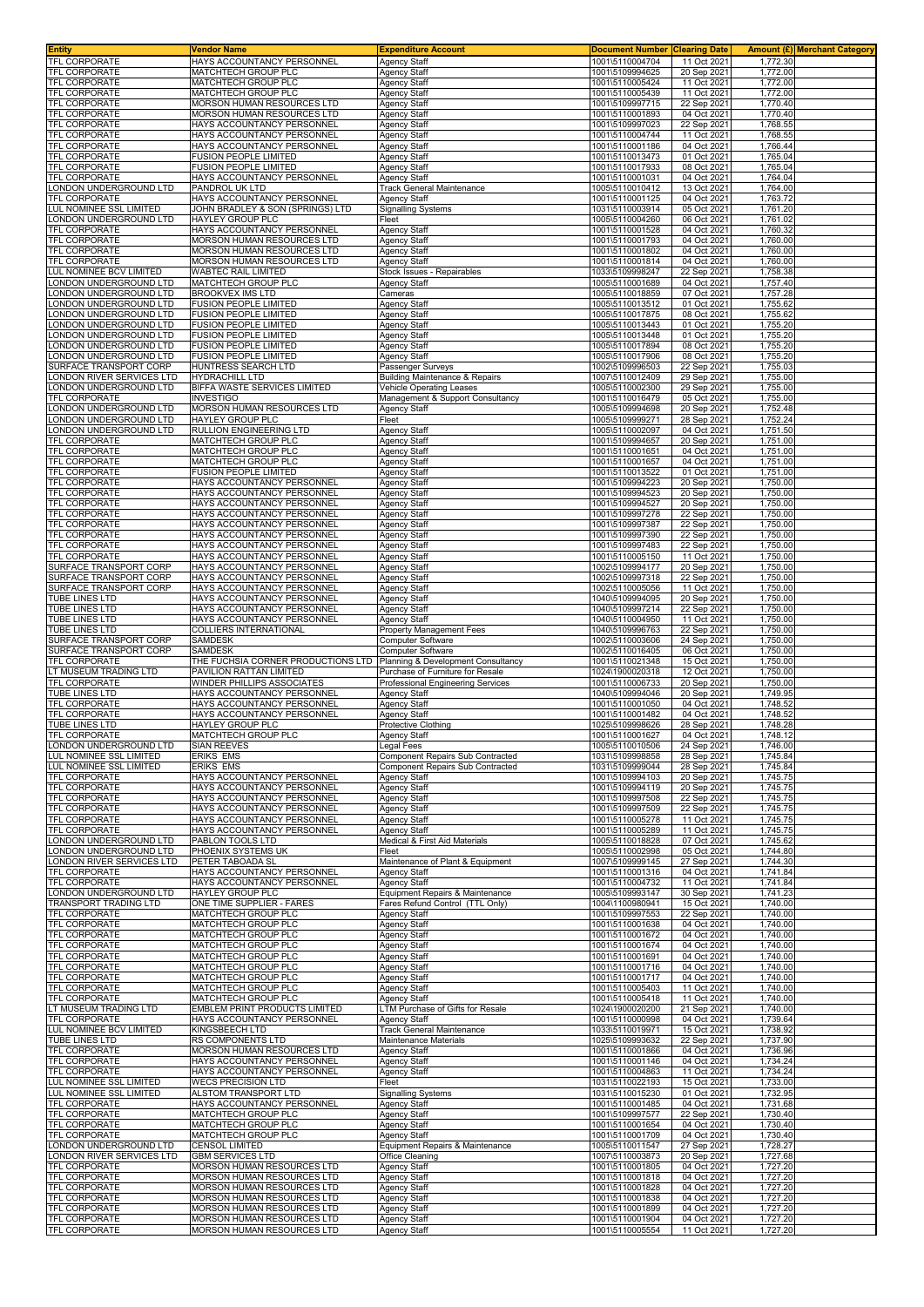| <b>Entity</b>                                       | Vendor Name                                                     | <b>Expenditure Account</b>                                     | <b>Document Number</b>             | <b>Clearing Date</b>       |                      | <b>Amount (£)</b> Merchant Category |
|-----------------------------------------------------|-----------------------------------------------------------------|----------------------------------------------------------------|------------------------------------|----------------------------|----------------------|-------------------------------------|
| TFL CORPORATE<br>TFL CORPORATE                      | HAYS ACCOUNTANCY PERSONNEL<br>MATCHTECH GROUP PLC               | <b>Agency Staff</b><br><b>Agency Staff</b>                     | 1001\5110004704<br>1001\5109994625 | 11 Oct 2021<br>20 Sep 2021 | 1.772.30<br>1,772.00 |                                     |
| TFL CORPORATE                                       | MATCHTECH GROUP PLC                                             | <b>Agency Staff</b>                                            | 1001\5110005424                    | 11 Oct 2021                | 1,772.00             |                                     |
| TFL CORPORATE                                       | MATCHTECH GROUP PLC                                             | <b>Agency Staff</b>                                            | 1001\5110005439                    | 11 Oct 2021                | 1,772.00             |                                     |
| TFL CORPORATE<br>TFL CORPORATE                      | <b>MORSON HUMAN RESOURCES LTD</b><br>MORSON HUMAN RESOURCES LTD | <b>Agency Staff</b><br><b>Agency Staff</b>                     | 1001\5109997715<br>1001\5110001893 | 22 Sep 2021<br>04 Oct 2021 | 1,770.40<br>1,770.40 |                                     |
| TFL CORPORATE                                       | HAYS ACCOUNTANCY PERSONNEL                                      | <b>Agency Staff</b>                                            | 1001\5109997023                    | 22 Sep 2021                | 1,768.55             |                                     |
| TFL CORPORATE                                       | HAYS ACCOUNTANCY PERSONNEL                                      | <b>Agency Staff</b>                                            | 1001\5110004744                    | 11 Oct 2021                | 1,768.55             |                                     |
| TFL CORPORATE<br>TFL CORPORATE                      | HAYS ACCOUNTANCY PERSONNEL<br>FUSION PEOPLE LIMITED             | <b>Agency Staff</b><br><b>Agency Staff</b>                     | 1001\5110001186<br>1001\5110013473 | 04 Oct 2021<br>01 Oct 2021 | 1,766.44<br>1,765.04 |                                     |
| TFL CORPORATE                                       | FUSION PEOPLE LIMITED                                           | Agency Staff                                                   | 1001\5110017933                    | 08 Oct 2021                | 1,765.04             |                                     |
| TFL CORPORATE                                       | HAYS ACCOUNTANCY PERSONNEL                                      | <b>Agency Staff</b>                                            | 1001\5110001031                    | 04 Oct 2021                | 1,764.04             |                                     |
| LONDON UNDERGROUND LTD<br>TFL CORPORATE             | PANDROL UK LTD<br>HAYS ACCOUNTANCY PERSONNEL                    | <b>Track General Maintenance</b><br><b>Agency Staff</b>        | 1005\5110010412<br>1001\5110001125 | 13 Oct 2021<br>04 Oct 2021 | 1,764.00<br>1,763.72 |                                     |
| LUL NOMINEE SSL LIMITED                             | JOHN BRADLEY & SON (SPRINGS) LTD                                | <b>Signalling Systems</b>                                      | 1031\5110003914                    | 05 Oct 2021                | 1,761.20             |                                     |
| LONDON UNDERGROUND LTD                              | HAYLEY GROUP PLC                                                | Fleet                                                          | 1005\5110004260                    | 06 Oct 2021                | 1,761.02             |                                     |
| TFL CORPORATE<br>TFL CORPORATE                      | HAYS ACCOUNTANCY PERSONNEL<br>MORSON HUMAN RESOURCES LTD        | <b>Agency Staff</b><br><b>Agency Staff</b>                     | 1001\5110001528<br>1001\5110001793 | 04 Oct 2021<br>04 Oct 2021 | 1,760.32<br>1,760.00 |                                     |
| TFL CORPORATE                                       | MORSON HUMAN RESOURCES LTD                                      | <b>Agency Staff</b>                                            | 1001\5110001802                    | 04 Oct 2021                | 1,760.00             |                                     |
| TFL CORPORATE<br>LUL NOMINEE BCV LIMITED            | <b>MORSON HUMAN RESOURCES LTD</b><br>WABTEC RAIL LIMITED        | <b>Agency Staff</b><br>Stock Issues - Repairables              | 1001\5110001814<br>1033\5109998247 | 04 Oct 2021<br>22 Sep 2021 | 1,760.00<br>1,758.38 |                                     |
| ONDON UNDERGROUND LTD                               | MATCHTECH GROUP PLC                                             | Agency Staff                                                   | 1005\5110001689                    | 04 Oct 2021                | 1,757.40             |                                     |
| ONDON UNDERGROUND LTD                               | BROOKVEX IMS LTD                                                | Cameras                                                        | 1005\5110018859                    | 07 Oct 2021                | 1,757.28             |                                     |
| ONDON UNDERGROUND LTD<br>ONDON UNDERGROUND LTD      | <b>FUSION PEOPLE LIMITED</b><br><b>FUSION PEOPLE LIMITED</b>    | <b>Agency Staff</b><br><b>Agency Staff</b>                     | 1005\5110013512<br>1005\5110017875 | 01 Oct 2021<br>08 Oct 2021 | 1,755.62<br>1,755.62 |                                     |
| ONDON UNDERGROUND LTD                               | <b>FUSION PEOPLE LIMITED</b>                                    | <b>Agency Staff</b>                                            | 1005\5110013443                    | 01 Oct 2021                | 1,755.20             |                                     |
| ONDON UNDERGROUND LTD<br>ONDON UNDERGROUND LTD      | <b>FUSION PEOPLE LIMITED</b><br><b>FUSION PEOPLE LIMITED</b>    | <b>Agency Staff</b><br><b>Agency Staff</b>                     | 1005\5110013448<br>1005\5110017894 | 01 Oct 2021<br>08 Oct 2021 | 1,755.20<br>1,755.20 |                                     |
| ONDON UNDERGROUND LTD                               | <b>FUSION PEOPLE LIMITED</b>                                    | Agency Staff                                                   | 1005\5110017906                    | 08 Oct 2021                | 1,755.20             |                                     |
| SURFACE TRANSPORT CORP                              | HUNTRESS SEARCH LTD                                             | Passenger Surveys                                              | 1002\5109996503                    | 22 Sep 2021                | 1,755.03             |                                     |
| ONDON RIVER SERVICES LTD<br>ONDON UNDERGROUND LTD   | <b>HYDRACHILL LTD</b><br>BIFFA WASTE SERVICES LIMITED           | Building Maintenance & Repairs<br>Vehicle Operating Leases     | 1007\5110012409<br>1005\5110002300 | 29 Sep 2021<br>29 Sep 2021 | 1,755.00<br>1,755.00 |                                     |
| <b>TFL CORPORATE</b>                                | <b>INVESTIGO</b>                                                | Management & Support Consultancy                               | 1001\5110016479                    | 05 Oct 2021                | 1,755.00             |                                     |
| ONDON UNDERGROUND LTD                               | MORSON HUMAN RESOURCES LTD                                      | Agency Staff                                                   | 1005\5109994698                    | 20 Sep 2021                | 1,752.48             |                                     |
| ONDON UNDERGROUND LTD<br>LONDON UNDERGROUND LTD     | HAYLEY GROUP PLC<br>RULLION ENGINEERING LTD                     | Fleet<br><b>Agency Staff</b>                                   | 1005\5109999271<br>1005\5110002097 | 28 Sep 2021<br>04 Oct 2021 | 1,752.24<br>1,751.50 |                                     |
| TFL CORPORATE                                       | MATCHTECH GROUP PLC                                             | <b>Agency Staff</b>                                            | 1001\5109994657                    | 20 Sep 2021                | 1,751.00             |                                     |
| TFL CORPORATE<br>TFL CORPORATE                      | MATCHTECH GROUP PLC<br>MATCHTECH GROUP PLC                      | <b>Agency Staff</b>                                            | 1001\5110001651<br>1001\5110001657 | 04 Oct 2021<br>04 Oct 2021 | 1,751.00<br>1,751.00 |                                     |
| TFL CORPORATE                                       | FUSION PEOPLE LIMITED                                           | Agency Staff<br><b>Agency Staff</b>                            | 1001\5110013522                    | 01 Oct 2021                | 1,751.00             |                                     |
| TFL CORPORATE                                       | HAYS ACCOUNTANCY PERSONNEL                                      | <b>Agency Staff</b>                                            | 1001\5109994223                    | 20 Sep 2021                | 1,750.00             |                                     |
| TFL CORPORATE<br><b>TFL CORPORATE</b>               | HAYS ACCOUNTANCY PERSONNEL<br>HAYS ACCOUNTANCY PERSONNEL        | <b>Agency Staff</b><br><b>Agency Staff</b>                     | 1001\5109994523<br>1001\5109994527 | 20 Sep 2021<br>20 Sep 2021 | 1,750.00<br>1,750.00 |                                     |
| TFL CORPORATE                                       | HAYS ACCOUNTANCY PERSONNEL                                      | Agency Staff                                                   | 1001\5109997278                    | 22 Sep 2021                | 1,750.00             |                                     |
| <b>TFL CORPORATE</b>                                | HAYS ACCOUNTANCY PERSONNEL                                      | Agency Staff                                                   | 1001\5109997387                    | 22 Sep 2021                | 1,750.00             |                                     |
| <b>TFL CORPORATE</b><br>TFL CORPORATE               | HAYS ACCOUNTANCY PERSONNEL<br>HAYS ACCOUNTANCY PERSONNEL        | <b>Agency Staff</b><br><b>Agency Staff</b>                     | 1001\5109997390<br>1001\5109997483 | 22 Sep 2021<br>22 Sep 2021 | 1,750.00<br>1,750.00 |                                     |
| TFL CORPORATE                                       | HAYS ACCOUNTANCY PERSONNEI                                      | <b>Agency Staff</b>                                            | 1001\5110005150                    | 11 Oct 2021                | 1,750.00             |                                     |
| SURFACE TRANSPORT CORP                              | HAYS ACCOUNTANCY PERSONNEL                                      | <b>Agency Staff</b>                                            | 1002\5109994177                    | 20 Sep 2021                | 1,750.00             |                                     |
| SURFACE TRANSPORT CORP<br>SURFACE TRANSPORT CORP    | HAYS ACCOUNTANCY PERSONNEI<br>HAYS ACCOUNTANCY PERSONNEI        | <b>Agency Staff</b><br><b>Agency Staff</b>                     | 1002\5109997318<br>1002\5110005056 | 22 Sep 2021<br>11 Oct 2021 | 1,750.00<br>1,750.00 |                                     |
| TUBE LINES LTD                                      | HAYS ACCOUNTANCY PERSONNEL                                      | <b>Agency Staff</b>                                            | 1040\5109994095                    | 20 Sep 2021                | 1,750.00             |                                     |
| TUBE LINES LTD<br>TUBE LINES LTD                    | HAYS ACCOUNTANCY PERSONNEL<br>HAYS ACCOUNTANCY PERSONNEL        | Agency Staff<br><b>Agency Staff</b>                            | 1040\5109997214<br>1040\5110004950 | 22 Sep 2021<br>11 Oct 2021 | 1,750.00<br>1,750.00 |                                     |
| TUBE LINES LTD                                      | COLLIERS INTERNATIONAL                                          | Property Management Fees                                       | 1040\5109996763                    | 22 Sep 2021                | 1,750.00             |                                     |
| SURFACE TRANSPORT CORP                              | SAMDESK                                                         | Computer Software                                              | 1002\5110003606                    | 24 Sep 2021                | 1,750.00             |                                     |
| SURFACE TRANSPORT CORP<br>TFL CORPORATE             | SAMDESK<br>THE FUCHSIA CORNER PRODUCTIONS LTD                   | Computer Software<br>Planning & Development Consultancy        | 1002\5110016405<br>1001\5110021348 | 06 Oct 2021<br>15 Oct 2021 | 1,750.00<br>1,750.00 |                                     |
| LT MUSEUM TRADING LTD                               | PAVILION RATTAN LIMITED                                         | Purchase of Furniture for Resale                               | 1024\1900020318                    | 12 Oct 2021                | 1,750.00             |                                     |
| <b>TFL CORPORATE</b>                                | WINDER PHILLIPS ASSOCIATES                                      | Professional Engineering Services                              | 1001\5110006733                    | 20 Sep 2021                | 1,750.00             |                                     |
| TUBE LINES LTD<br>TFL CORPORATE                     | HAYS ACCOUNTANCY PERSONNEL<br>HAYS ACCOUNTANCY PERSONNEL        | <b>Agency Staff</b><br><b>Agency Staff</b>                     | 1040\5109994046<br>1001\5110001050 | 20 Sep 2021<br>04 Oct 2021 | 1,749.95<br>1,748.52 |                                     |
| TFL CORPORATE                                       | HAYS ACCOUNTANCY PERSONNEL                                      | <b>Agency Staff</b>                                            | 1001\5110001482                    | 04 Oct 2021                | 1,748.52             |                                     |
| TUBE LINES LTD<br>TFL CORPORATE                     | HAYLEY GROUP PLC<br>MATCHTECH GROUP PLC                         | <b>Protective Clothing</b><br>Agency Staff                     | 1025\5109998626<br>1001\5110001627 | 28 Sep 2021<br>04 Oct 2021 | 1,748.28<br>1,748.12 |                                     |
| LONDON UNDERGROUND LTD                              | <b>SIAN REEVES</b>                                              | Legal Fees                                                     | 1005\5110010506                    | 24 Sep 2021                | 1,746.00             |                                     |
| LUL NOMINEE SSL LIMITED                             | ERIKS EMS                                                       | Component Repairs Sub Contracted                               | 1031\5109998858                    | 28 Sep 2021                | 1,745.84             |                                     |
| LUL NOMINEE SSL LIMITED<br>TFL CORPORATE            | ERIKS EMS<br>HAYS ACCOUNTANCY PERSONNEL                         | <b>Component Repairs Sub Contracted</b><br><b>Agency Staff</b> | 1031\5109999044<br>1001\5109994103 | 28 Sep 2021<br>20 Sep 2021 | 1,745.84<br>1,745.75 |                                     |
| TFL CORPORATE                                       | HAYS ACCOUNTANCY PERSONNEL                                      | <b>Agency Staff</b>                                            | 1001\5109994119                    | 20 Sep 2021                | 1,745.75             |                                     |
| TFL CORPORATE<br>TFL CORPORATE                      | HAYS ACCOUNTANCY PERSONNEL                                      | <b>Agency Staff</b><br><b>Agency Staff</b>                     | 1001\5109997508                    | 22 Sep 2021                | 1,745.75<br>1,745.75 |                                     |
| TFL CORPORATE                                       | HAYS ACCOUNTANCY PERSONNEL<br>HAYS ACCOUNTANCY PERSONNEL        | <b>Agency Staff</b>                                            | 1001\5109997509<br>1001\5110005278 | 22 Sep 2021<br>11 Oct 2021 | 1,745.75             |                                     |
| TFL CORPORATE                                       | HAYS ACCOUNTANCY PERSONNEL                                      | <b>Agency Staff</b>                                            | 1001\5110005289                    | 11 Oct 2021                | 1,745.75             |                                     |
| LONDON UNDERGROUND LTD<br>LONDON UNDERGROUND LTD    | PABLON TOOLS LTD<br>PHOENIX SYSTEMS UK                          | Medical & First Aid Materials<br>Fleet                         | 1005\5110018828<br>1005\5110002998 | 07 Oct 2021<br>05 Oct 2021 | 1,745.62<br>1,744.80 |                                     |
| ONDON RIVER SERVICES LTD                            | PETER TABOADA SL                                                | Maintenance of Plant & Equipment                               | 1007\5109999145                    | 27 Sep 2021                | 1.744.30             |                                     |
| TFL CORPORATE                                       | HAYS ACCOUNTANCY PERSONNEL                                      | <b>Agency Staff</b>                                            | 1001\5110001316<br>1001\5110004732 | 04 Oct 2021                | 1,741.84<br>1,741.84 |                                     |
| TFL CORPORATE<br>LONDON UNDERGROUND LTD             | HAYS ACCOUNTANCY PERSONNEL<br><b>HAYLEY GROUP PLC</b>           | <b>Agency Staff</b><br>Equipment Repairs & Maintenance         | 1005\5109993147                    | 11 Oct 2021<br>30 Sep 2021 | 1,741.23             |                                     |
| <b>TRANSPORT TRADING LTD</b>                        | ONE TIME SUPPLIER - FARES                                       | Fares Refund Control (TTL Only)                                | 1004\1100980941                    | 15 Oct 2021                | 1,740.00             |                                     |
| TFL CORPORATE<br>TFL CORPORATE                      | MATCHTECH GROUP PLC<br>MATCHTECH GROUP PLC                      | <b>Agency Staff</b><br><b>Agency Staff</b>                     | 1001\5109997553<br>1001\5110001638 | 22 Sep 2021<br>04 Oct 2021 | 1,740.00<br>1,740.00 |                                     |
| <b>TFL CORPORATE</b>                                | MATCHTECH GROUP PLC                                             | Agency Staff                                                   | 1001\5110001672                    | 04 Oct 2021                | 1,740.00             |                                     |
| TFL CORPORATE                                       | MATCHTECH GROUP PLC                                             | <b>Agency Staff</b>                                            | 1001\5110001674                    | 04 Oct 2021                | 1,740.00             |                                     |
| TFL CORPORATE<br>TFL CORPORATE                      | MATCHTECH GROUP PLC<br>MATCHTECH GROUP PLC                      | Agency Staff<br>Agency Staff                                   | 1001\5110001691<br>1001\5110001716 | 04 Oct 2021<br>04 Oct 2021 | 1,740.00<br>1,740.00 |                                     |
| TFL CORPORATE                                       | MATCHTECH GROUP PLC                                             | <b>Agency Staff</b>                                            | 1001\5110001717                    | 04 Oct 2021                | 1,740.00             |                                     |
| TFL CORPORATE<br>TFL CORPORATE                      | MATCHTECH GROUP PLC<br>MATCHTECH GROUP PLC                      | <b>Agency Staff</b><br><b>Agency Staff</b>                     | 1001\5110005403<br>1001\5110005418 | 11 Oct 2021<br>11 Oct 2021 | 1,740.00<br>1,740.00 |                                     |
| LT MUSEUM TRADING LTD                               | EMBLEM PRINT PRODUCTS LIMITED                                   | LTM Purchase of Gifts for Resale                               | 1024\1900020200                    | 21 Sep 2021                | 1,740.00             |                                     |
| TFL CORPORATE                                       | HAYS ACCOUNTANCY PERSONNEL                                      | <b>Agency Staff</b>                                            | 1001\5110000998                    | 04 Oct 2021                | 1,739.64             |                                     |
| LUL NOMINEE BCV LIMITED<br>TUBE LINES LTD           | KINGSBEECH LTD<br>RS COMPONENTS LTD                             | <b>Track General Maintenance</b><br>Maintenance Materials      | 1033\5110019971<br>1025\5109993632 | 15 Oct 2021<br>22 Sep 2021 | 1,738.92<br>1,737.90 |                                     |
| TFL CORPORATE                                       | MORSON HUMAN RESOURCES LTD                                      | <b>Agency Staff</b>                                            | 1001\5110001866                    | 04 Oct 2021                | 1,736.96             |                                     |
| TFL CORPORATE                                       | HAYS ACCOUNTANCY PERSONNEL                                      | <b>Agency Staff</b>                                            | 1001\5110001146                    | 04 Oct 2021                | 1,734.24             |                                     |
| TFL CORPORATE<br>LUL NOMINEE SSL LIMITED            | HAYS ACCOUNTANCY PERSONNEL<br><b>WECS PRECISION LTD</b>         | <b>Agency Staff</b><br>Fleet                                   | 1001\5110004863<br>1031\5110022193 | 11 Oct 2021<br>15 Oct 2021 | 1,734.24<br>1,733.00 |                                     |
| LUL NOMINEE SSL LIMITED                             | ALSTOM TRANSPORT LTD                                            | <b>Signalling Systems</b>                                      | 1031\5110015230                    | 01 Oct 2021                | 1,732.95             |                                     |
| <b>TFL CORPORATE</b><br>TFL CORPORATE               | HAYS ACCOUNTANCY PERSONNEL<br>MATCHTECH GROUP PLC               | <b>Agency Staff</b><br><b>Agency Staff</b>                     | 1001\5110001485<br>1001\5109997577 | 04 Oct 2021<br>22 Sep 2021 | 1,731.68<br>1,730.40 |                                     |
| TFL CORPORATE                                       | MATCHTECH GROUP PLC                                             | <b>Agency Staff</b>                                            | 1001\5110001654                    | 04 Oct 2021                | 1,730.40             |                                     |
| TFL CORPORATE                                       | MATCHTECH GROUP PLC                                             | <b>Agency Staff</b>                                            | 1001\5110001709                    | 04 Oct 2021                | 1,730.40             |                                     |
| LONDON UNDERGROUND LTD<br>LONDON RIVER SERVICES LTD | <b>CENSOL LIMITED</b><br><b>GBM SERVICES LTD</b>                | Equipment Repairs & Maintenance<br>Office Cleaning             | 1005\5110011547<br>1007\5110003873 | 27 Sep 2021<br>20 Sep 2021 | 1,728.27<br>1,727.68 |                                     |
| TFL CORPORATE                                       | MORSON HUMAN RESOURCES LTD                                      | Agency Staff                                                   | 1001\5110001805                    | 04 Oct 2021                | 1,727.20             |                                     |
| TFL CORPORATE<br>TFL CORPORATE                      | MORSON HUMAN RESOURCES LTD<br><b>MORSON HUMAN RESOURCES LTD</b> | <b>Agency Staff</b><br><b>Agency Staff</b>                     | 1001\5110001818<br>1001\5110001828 | 04 Oct 2021<br>04 Oct 2021 | 1,727.20<br>1,727.20 |                                     |
| TFL CORPORATE                                       | MORSON HUMAN RESOURCES LTD                                      | <b>Agency Staff</b>                                            | 1001\5110001838                    | 04 Oct 2021                | 1,727.20             |                                     |
| TFL CORPORATE                                       | MORSON HUMAN RESOURCES LTD                                      | <b>Agency Staff</b>                                            | 1001\5110001899                    | 04 Oct 2021                | 1,727.20             |                                     |
| TFL CORPORATE<br><b>TFL CORPORATE</b>               | MORSON HUMAN RESOURCES LTD<br><b>MORSON HUMAN RESOURCES LTD</b> | <b>Agency Staff</b><br><b>Agency Staff</b>                     | 1001\5110001904<br>1001\5110005554 | 04 Oct 2021<br>11 Oct 2021 | 1,727.20<br>1,727.20 |                                     |
|                                                     |                                                                 |                                                                |                                    |                            |                      |                                     |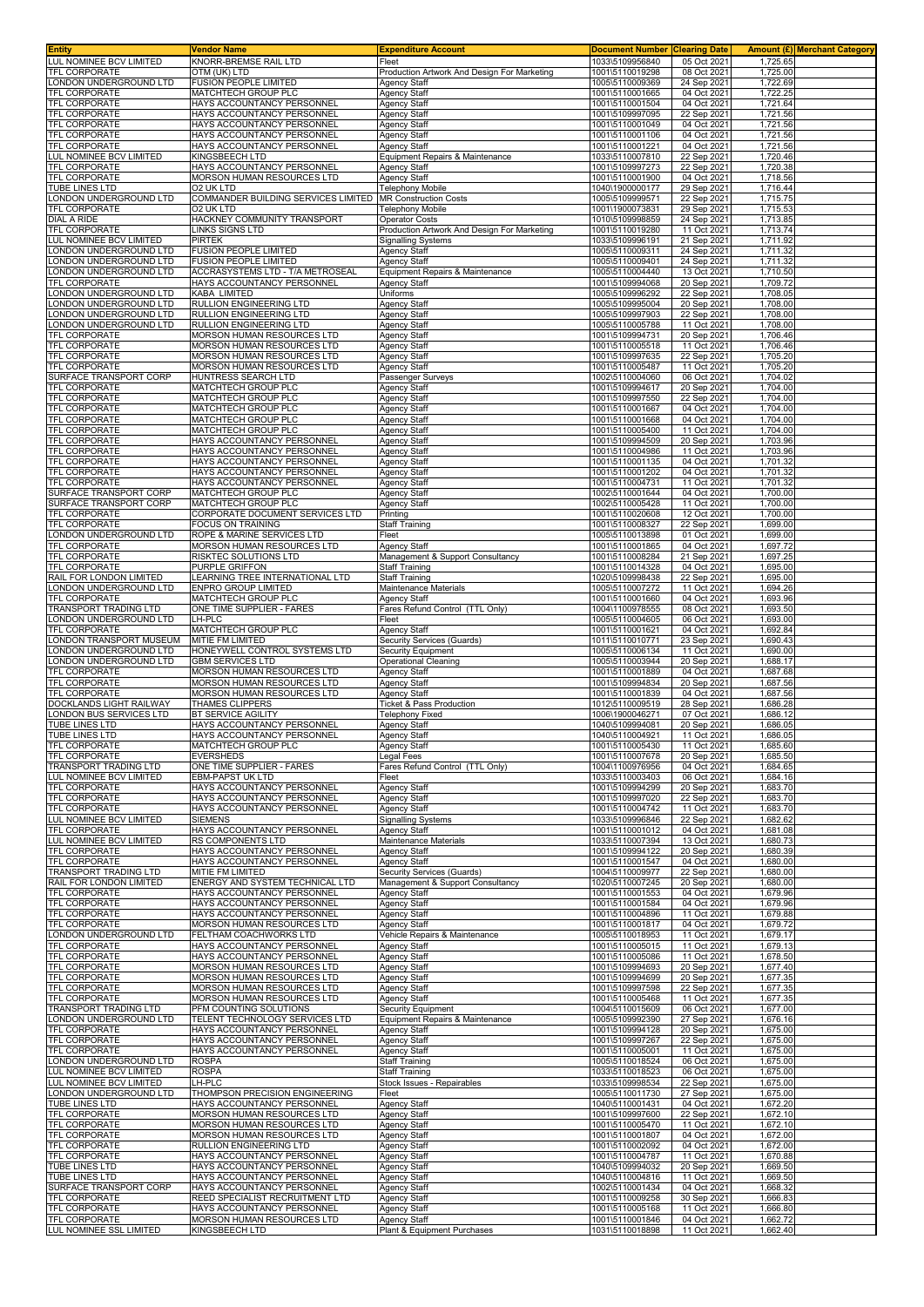| <b>Entity</b>                                     | Vendor Name                                                    | <b>Expenditure Account</b>                             | <b>Document Number Clearing Date</b> |                            |                      | Amount (£) Merchant Category |
|---------------------------------------------------|----------------------------------------------------------------|--------------------------------------------------------|--------------------------------------|----------------------------|----------------------|------------------------------|
| LUL NOMINEE BCV LIMITED<br>TFL CORPORATE          | KNORR-BREMSE RAIL LTD<br>OTM (UK) LTD                          | Fleet<br>Production Artwork And Design For Marketing   | 1033\5109956840<br>1001\5110019298   | 05 Oct 2021<br>08 Oct 2021 | 1,725.65<br>1,725.00 |                              |
| ONDON UNDERGROUND LTD                             | FUSION PEOPLE LIMITED                                          | Agency Staff                                           | 1005\5110009369                      | 24 Sep 2021                | 1,722.69             |                              |
| TFL CORPORATE                                     | MATCHTECH GROUP PLC                                            | Agency Staff                                           | 1001\5110001665                      | 04 Oct 2021                | 1,722.25             |                              |
| TFL CORPORATE                                     | HAYS ACCOUNTANCY PERSONNEI                                     | <b>Agency Staff</b>                                    | 1001\5110001504                      | 04 Oct 2021                | 1,721.64             |                              |
| TFL CORPORATE                                     | HAYS ACCOUNTANCY PERSONNEL                                     | <b>Agency Staff</b>                                    | 1001\5109997095                      | 22 Sep 2021                | 1,721.56             |                              |
| TFL CORPORATE                                     | HAYS ACCOUNTANCY PERSONNEL                                     | <b>Agency Staff</b>                                    | 1001\5110001049                      | 04 Oct 2021                | 1,721.56             |                              |
| <b>TFL CORPORATE</b>                              | HAYS ACCOUNTANCY PERSONNEL                                     | <b>Agency Staff</b>                                    | 1001\5110001106                      | 04 Oct 202                 | 1,721.56             |                              |
| TFL CORPORATE<br>LUL NOMINEE BCV LIMITED          | HAYS ACCOUNTANCY PERSONNEL<br>KINGSBEECH LTD                   | <b>Agency Staff</b><br>Equipment Repairs & Maintenance | 1001\5110001221<br>1033\5110007810   | 04 Oct 2021<br>22 Sep 2021 | 1,721.56<br>1,720.46 |                              |
| TFL CORPORATE                                     | HAYS ACCOUNTANCY PERSONNEL                                     | <b>Agency Staff</b>                                    | 1001\5109997273                      | 22 Sep 2021                | 1,720.38             |                              |
| TFL CORPORATE                                     | MORSON HUMAN RESOURCES LTD                                     | Agency Staff                                           | 1001\5110001900                      | 04 Oct 2021                | 1,718.56             |                              |
| TUBE LINES LTD                                    | O2 UK LTD                                                      | <b>Telephony Mobile</b>                                | 1040\1900000177                      | 29 Sep 2021                | 1,716.44             |                              |
| LONDON UNDERGROUND LTD                            | COMMANDER BUILDING SERVICES LIMITED MR Construction Costs      |                                                        | 1005\5109999571                      | 22 Sep 2021                | 1,715.75             |                              |
| TFL CORPORATE<br><b>DIAL A RIDE</b>               | O2 UK LTD<br>HACKNEY COMMUNITY TRANSPORT                       | <b>Telephony Mobile</b><br><b>Operator Costs</b>       | 1001\1900073831<br>1010\5109998859   | 29 Sep 2021<br>24 Sep 2021 | 1,715.53<br>1,713.85 |                              |
| TFL CORPORATE                                     | <b>LINKS SIGNS LTD</b>                                         | Production Artwork And Design For Marketing            | 1001\5110019280                      | 11 Oct 2021                | 1,713.74             |                              |
| LUL NOMINEE BCV LIMITED                           | PIRTEK                                                         | Signalling Systems                                     | 1033\5109996191                      | 21 Sep 2021                | 1,711.92             |                              |
| ONDON UNDERGROUND LTD                             | <b>FUSION PEOPLE LIMITED</b>                                   | Agency Staff                                           | 1005\5110009311                      | 24 Sep 202                 | 1,711.32             |                              |
| LONDON UNDERGROUND LTD                            | <b>FUSION PEOPLE LIMITED</b>                                   | Agency Staff                                           | 1005\5110009401                      | 24 Sep 202                 | 1,711.32             |                              |
| ONDON UNDERGROUND LTD<br><b>TFL CORPORATE</b>     | ACCRASYSTEMS LTD - T/A METROSEAL<br>HAYS ACCOUNTANCY PERSONNEL | Equipment Repairs & Maintenance<br>Agency Staff        | 1005\5110004440<br>1001\5109994068   | 13 Oct 2021<br>20 Sep 2021 | 1,710.50<br>1,709.72 |                              |
| ONDON UNDERGROUND LTD.                            | KABA LIMITED                                                   | Uniforms                                               | 1005\5109996292                      | 22 Sep 202                 | 1,708.05             |                              |
| ONDON UNDERGROUND LTD                             | RULLION ENGINEERING LTD                                        | Agency Staff                                           | 1005\5109995004                      | 20 Sep 2021                | 1,708.00             |                              |
| ONDON UNDERGROUND LTD                             | RULLION ENGINEERING LTD                                        | Agency Staff                                           | 1005\5109997903                      | 22 Sep 2021                | 1,708.00             |                              |
| ONDON UNDERGROUND LTD                             | RULLION ENGINEERING LTD                                        | Agency Staff                                           | 1005\5110005788                      | 11 Oct 2021                | 1,708.00             |                              |
| TFL CORPORATE<br>TFL CORPORATE                    | MORSON HUMAN RESOURCES LTD<br>MORSON HUMAN RESOURCES LTD       | <b>Agency Staff</b><br><b>Agency Staff</b>             | 1001\5109994731<br>1001\5110005518   | 20 Sep 2021<br>11 Oct 2021 | 1,706.46<br>1,706.46 |                              |
| TFL CORPORATE                                     | MORSON HUMAN RESOURCES LTD                                     | <b>Agency Staff</b>                                    | 1001\5109997635                      | 22 Sep 2021                | 1.705.20             |                              |
| TFL CORPORATE                                     | MORSON HUMAN RESOURCES LTD                                     | Agency Staff                                           | 1001\5110005487                      | 11 Oct 2021                | 1,705.20             |                              |
| SURFACE TRANSPORT CORP                            | HUNTRESS SEARCH LTD                                            | Passenger Surveys                                      | 1002\5110004060                      | 06 Oct 2021                | 1,704.02             |                              |
| TFL CORPORATE<br>TFL CORPORATE                    | MATCHTECH GROUP PLC<br>MATCHTECH GROUP PLC                     | <b>Agency Staff</b><br><b>Agency Staff</b>             | 1001\5109994617<br>1001\5109997550   | 20 Sep 2021<br>22 Sep 2021 | 1,704.00<br>1,704.00 |                              |
| TFL CORPORATE                                     | MATCHTECH GROUP PLC                                            | <b>Agency Staff</b>                                    | 1001\5110001667                      | 04 Oct 2021                | 1,704.00             |                              |
| <b>TFL CORPORATE</b>                              | <b>MATCHTECH GROUP PLC</b>                                     | <b>Agency Staff</b>                                    | 1001\5110001668                      | 04 Oct 2021                | 1,704.00             |                              |
| TFL CORPORATE                                     | MATCHTECH GROUP PLC                                            | <b>Agency Staff</b>                                    | 1001\5110005400                      | 11 Oct 2021                | 1,704.00             |                              |
| TFL CORPORATE                                     | HAYS ACCOUNTANCY PERSONNEL                                     | Agency Staff                                           | 1001\5109994509                      | 20 Sep 2021                | 1,703.96             |                              |
| TFL CORPORATE<br>TFL CORPORATE                    | HAYS ACCOUNTANCY PERSONNEL<br>HAYS ACCOUNTANCY PERSONNEI       | <b>Agency Staff</b><br><b>Agency Staff</b>             | 1001\5110004986<br>1001\5110001135   | 11 Oct 2021<br>04 Oct 2021 | 1,703.96<br>1,701.32 |                              |
| TFL CORPORATE                                     | HAYS ACCOUNTANCY PERSONNEI                                     | Agency Staff                                           | 1001\5110001202                      | 04 Oct 202                 | 1,701.32             |                              |
| TFL CORPORATE                                     | HAYS ACCOUNTANCY PERSONNEL                                     | <b>Agency Staff</b>                                    | 1001\5110004731                      | 11 Oct 2021                | 1,701.32             |                              |
| SURFACE TRANSPORT CORP                            | MATCHTECH GROUP PLC                                            | <b>Agency Staff</b>                                    | 1002\5110001644                      | 04 Oct 2021                | 1.700.00             |                              |
| SURFACE TRANSPORT CORP                            | MATCHTECH GROUP PLC                                            | <b>Agency Staff</b>                                    | 1002\5110005428                      | 11 Oct 2021                | 1,700.00             |                              |
| TFL CORPORATE<br>TFL CORPORATE                    | CORPORATE DOCUMENT SERVICES LTD<br>FOCUS ON TRAINING           | Printing<br>Staff Training                             | 1001\5110020608<br>1001\5110008327   | 12 Oct 2021<br>22 Sep 2021 | 1,700.00<br>1,699.00 |                              |
| LONDON UNDERGROUND LTD                            | ROPE & MARINE SERVICES LTD                                     | Fleet                                                  | 1005\5110013898                      | 01 Oct 202                 | 1,699.00             |                              |
| TFL CORPORATE                                     | MORSON HUMAN RESOURCES LTD                                     | Agency Staff                                           | 1001\5110001865                      | 04 Oct 2021                | 1,697.72             |                              |
| TFL CORPORATE                                     | RISKTEC SOLUTIONS LTD                                          | Management & Support Consultancy                       | 1001\5110008284                      | 21 Sep 2021                | 1,697.25             |                              |
| TFL CORPORATE                                     | PURPLE GRIFFON                                                 | Staff Training                                         | 1001\5110014328                      | 04 Oct 2021                | 1,695.00             |                              |
| RAIL FOR LONDON LIMITED<br>ONDON UNDERGROUND LTD  | <b>EARNING TREE INTERNATIONAL LTD</b><br>ENPRO GROUP LIMITED   | Staff Training<br>Maintenance Materials                | 1020\5109998438<br>1005\5110007272   | 22 Sep 202<br>11 Oct 2021  | 1,695.00<br>1,694.26 |                              |
| TFL CORPORATE                                     | MATCHTECH GROUP PLC                                            | Agency Staff                                           | 1001\5110001660                      | 04 Oct 2021                | 1,693.96             |                              |
| TRANSPORT TRADING LTD                             | ONE TIME SUPPLIER - FARES                                      | Fares Refund Control (TTL Only)                        | 1004\1100978555                      | 08 Oct 2021                | 1,693.50             |                              |
| ONDON UNDERGROUND LTD.                            | LH-PLC                                                         | Fleet                                                  | 1005\5110004605                      | 06 Oct 2021                | 1,693.00             |                              |
| TFL CORPORATE<br>ONDON TRANSPORT MUSEUM           | MATCHTECH GROUP PLC<br>MITIE FM LIMITED                        | Agency Staff<br>Security Services (Guards)             | 1001\5110001621<br>1011\5110010771   | 04 Oct 2021<br>23 Sep 2021 | 1,692.84<br>1,690.43 |                              |
| ONDON UNDERGROUND LTD                             | HONEYWELL CONTROL SYSTEMS LTD                                  | Security Equipment                                     | 1005\5110006134                      | 11 Oct 2021                | 1,690.00             |                              |
| LONDON UNDERGROUND LTD                            | <b>GBM SERVICES LTD</b>                                        | <b>Operational Cleaning</b>                            | 1005\5110003944                      | 20 Sep 2021                | 1,688.17             |                              |
| <b>TFL CORPORATE</b><br>TFL CORPORATE             | MORSON HUMAN RESOURCES LTD<br>MORSON HUMAN RESOURCES LTD       | <b>Agency Staff</b><br>Agency Staff                    | 1001\5110001889<br>1001\5109994834   | 04 Oct 202<br>20 Sep 2021  | 1,687.68<br>1,687.56 |                              |
| TFL CORPORATE                                     | <b>MORSON HUMAN RESOURCES LTD</b>                              | <b>Agency Staff</b>                                    | 1001\5110001839                      | 04 Oct 2021                | 1,687.56             |                              |
| DOCKLANDS LIGHT RAILWAY                           | <b>THAMES CLIPPERS</b>                                         | Ticket & Pass Production                               | 1012\5110009519                      | 28 Sep 2021                | 1,686.28             |                              |
| ONDON BUS SERVICES LTD                            | BT SERVICE AGILITY                                             | <b>Telephony Fixed</b>                                 | 1006\1900046271                      | 07 Oct 2021                | 1,686.12             |                              |
| TUBE LINES LTD<br>TUBE LINES LTD                  | HAYS ACCOUNTANCY PERSONNEL<br>HAYS ACCOUNTANCY PERSONNEL       | Agency Staff<br>Agency Staff                           | 1040\5109994081<br>1040\5110004921   | 20 Sep 2021<br>11 Oct 2021 | 1,686.05<br>1,686.05 |                              |
| TFL CORPORATE                                     | MATCHTECH GROUP PLC                                            | Agency Staff                                           | 1001\5110005430                      | 11 Oct 2021                | 1,685.60             |                              |
| <b>TFL CORPORATE</b>                              | <b>EVERSHEDS</b>                                               | egal Fees.                                             | 1001\5110007678                      | 20 Sep 2021                | 1,685.50             |                              |
| TRANSPORT TRADING LTD                             | ONE TIME SUPPLIER - FARES                                      | Fares Refund Control (TTL Only)                        | 1004\1100976956                      | 04 Oct 2021                | 1,684.65             |                              |
| LUL NOMINEE BCV LIMITED                           | <b>EBM-PAPST UK LTD</b>                                        | Fleet                                                  | 1033\5110003403                      | 06 Oct 2021                | 1,684.16             |                              |
| TFL CORPORATE<br>TFL CORPORATE                    | HAYS ACCOUNTANCY PERSONNEL<br>HAYS ACCOUNTANCY PERSONNEL       | <b>Agency Staff</b><br>Agency Staff                    | 1001\5109994299<br>1001\5109997020   | 20 Sep 2021<br>22 Sep 2021 | 1,683.70<br>1,683.70 |                              |
| TFL CORPORATE                                     | HAYS ACCOUNTANCY PERSONNEL                                     | Agency Staff                                           | 1001\5110004742                      | 11 Oct 2021                | 1,683.70             |                              |
| LUL NOMINEE BCV LIMITED                           | <b>SIEMENS</b>                                                 | <b>Signalling Systems</b>                              | 1033\5109996846                      | 22 Sep 2021                | 1,682.62             |                              |
| TFL CORPORATE                                     | HAYS ACCOUNTANCY PERSONNEL                                     | <b>Agency Staff</b>                                    | 1001\5110001012                      | 04 Oct 2021                | 1,681.08             |                              |
| LUL NOMINEE BCV LIMITED<br><b>TFL CORPORATE</b>   | RS COMPONENTS LTD<br>HAYS ACCOUNTANCY PERSONNEL                | Maintenance Materials<br>Agency Staff                  | 1033\5110007394<br>1001\5109994122   | 13 Oct 2021<br>20 Sep 2021 | 1,680.73<br>1,680.39 |                              |
| <b>TFL CORPORATE</b>                              | HAYS ACCOUNTANCY PERSONNEL                                     | <b>Agency Staff</b>                                    | 1001\5110001547                      | 04 Oct 2021                | 1.680.00             |                              |
| TRANSPORT TRADING LTD                             | MITIE FM LIMITED                                               | Security Services (Guards)                             | 1004\5110009977                      | 22 Sep 2021                | 1,680.00             |                              |
| RAIL FOR LONDON LIMITED                           | ENERGY AND SYSTEM TECHNICAL LTD                                | Management & Support Consultancy                       | 1020\5110007245                      | 20 Sep 2021                | 1,680.00             |                              |
| TFL CORPORATE<br>TFL CORPORATE                    | HAYS ACCOUNTANCY PERSONNEL<br>HAYS ACCOUNTANCY PERSONNEL       | <b>Agency Staff</b><br><b>Agency Staff</b>             | 1001\5110001553<br>1001\5110001584   | 04 Oct 2021<br>04 Oct 2021 | 1,679.96<br>1,679.96 |                              |
| TFL CORPORATE                                     | HAYS ACCOUNTANCY PERSONNEL                                     | <b>Agency Staff</b>                                    | 1001\5110004896                      | 11 Oct 2021                | 1,679.88             |                              |
| TFL CORPORATE                                     | MORSON HUMAN RESOURCES LTD                                     | <b>Agency Staff</b>                                    | 1001\5110001817                      | 04 Oct 2021                | 1.679.72             |                              |
| LONDON UNDERGROUND LTD                            | FELTHAM COACHWORKS LTD                                         | Vehicle Repairs & Maintenance                          | 1005\5110018953                      | 11 Oct 2021                | 1,679.17             |                              |
| TFL CORPORATE<br>TFL CORPORATE                    | HAYS ACCOUNTANCY PERSONNEL<br>HAYS ACCOUNTANCY PERSONNEL       | <b>Agency Staff</b><br>Agency Staff                    | 1001\5110005015<br>1001\5110005086   | 11 Oct 2021<br>11 Oct 2021 | 1,679.13<br>1,678.50 |                              |
| TFL CORPORATE                                     | <b>MORSON HUMAN RESOURCES LTD</b>                              | Agency Staff                                           | 1001\5109994693                      | 20 Sep 2021                | 1,677.40             |                              |
| TFL CORPORATE                                     | MORSON HUMAN RESOURCES LTD                                     | <b>Agency Staff</b>                                    | 1001\5109994699                      | 20 Sep 2021                | 1,677.35             |                              |
| TFL CORPORATE                                     | MORSON HUMAN RESOURCES LTD                                     | Agency Staff                                           | 1001\5109997598                      | 22 Sep 2021                | 1,677.35             |                              |
| <b>TFL CORPORATE</b>                              | MORSON HUMAN RESOURCES LTD                                     | Agency Staff                                           | 1001\5110005468                      | 11 Oct 2021                | 1,677.35             |                              |
| TRANSPORT TRADING LTD<br>LONDON UNDERGROUND LTD   | PFM COUNTING SOLUTIONS<br>TELENT TECHNOLOGY SERVICES LTD       | Security Equipment<br>Equipment Repairs & Maintenance  | 1004\5110015609<br>1005\5109992390   | 06 Oct 2021<br>27 Sep 2021 | 1,677.00<br>1,676.16 |                              |
| TFL CORPORATE                                     | HAYS ACCOUNTANCY PERSONNEL                                     | Agency Staff                                           | 1001\5109994128                      | 20 Sep 2021                | 1,675.00             |                              |
| TFL CORPORATE                                     | HAYS ACCOUNTANCY PERSONNEL                                     | Agency Staff                                           | 1001\5109997267                      | 22 Sep 2021                | 1,675.00             |                              |
| TFL CORPORATE                                     | HAYS ACCOUNTANCY PERSONNEL                                     | Agency Staff                                           | 1001\5110005001                      | 11 Oct 2021                | 1,675.00             |                              |
| LONDON UNDERGROUND LTD<br>LUL NOMINEE BCV LIMITED | <b>ROSPA</b><br><b>ROSPA</b>                                   | <b>Staff Training</b><br>Staff Training                | 1005\5110018524<br>1033\5110018523   | 06 Oct 2021<br>06 Oct 2021 | 1,675.00<br>1,675.00 |                              |
| LUL NOMINEE BCV LIMITED                           | LH-PLC                                                         | Stock Issues - Repairables                             | 1033\5109998534                      | 22 Sep 2021                | 1,675.00             |                              |
| LONDON UNDERGROUND LTD                            | THOMPSON PRECISION ENGINEERING                                 | Fleet                                                  | 1005\5110011730                      | 27 Sep 2021                | 1,675.00             |                              |
| TUBE LINES LTD<br>TFL CORPORATE                   | HAYS ACCOUNTANCY PERSONNEL<br>MORSON HUMAN RESOURCES LTD       | <b>Agency Staff</b><br><b>Agency Staff</b>             | 1040\5110001431<br>1001\5109997600   | 04 Oct 2021<br>22 Sep 2021 | 1,672.20<br>1,672.10 |                              |
| TFL CORPORATE                                     | MORSON HUMAN RESOURCES LTD                                     | <b>Agency Staff</b>                                    | 1001\5110005470                      | 11 Oct 2021                | 1,672.10             |                              |
| TFL CORPORATE                                     | MORSON HUMAN RESOURCES LTD                                     | <b>Agency Staff</b>                                    | 1001\5110001807                      | 04 Oct 2021                | 1,672.00             |                              |
| <b>TFL CORPORATE</b>                              | RULLION ENGINEERING LTD                                        | Agency Staff                                           | 1001\5110002092                      | 04 Oct 2021                | 1,672.00             |                              |
| TFL CORPORATE<br><b>TUBE LINES LTD</b>            | HAYS ACCOUNTANCY PERSONNEL<br>HAYS ACCOUNTANCY PERSONNEL       | <b>Agency Staff</b><br>Agency Staff                    | 1001\5110004787<br>1040\5109994032   | 11 Oct 2021<br>20 Sep 2021 | 1,670.88<br>1,669.50 |                              |
| TUBE LINES LTD                                    | HAYS ACCOUNTANCY PERSONNEL                                     | <b>Agency Staff</b>                                    | 1040\5110004816                      | 11 Oct 2021                | 1,669.50             |                              |
| SURFACE TRANSPORT CORP                            | HAYS ACCOUNTANCY PERSONNEL                                     | <b>Agency Staff</b>                                    | 1002\5110001434                      | 04 Oct 2021                | 1,668.32             |                              |
| TFL CORPORATE                                     | REED SPECIALIST RECRUITMENT LTD                                | <b>Agency Staff</b>                                    | 1001\5110009258                      | 30 Sep 2021                | 1,666.83             |                              |
| TFL CORPORATE<br>TFL CORPORATE                    | HAYS ACCOUNTANCY PERSONNEL<br>MORSON HUMAN RESOURCES LTD       | <b>Agency Staff</b><br><b>Agency Staff</b>             | 1001\5110005168<br>1001\5110001846   | 11 Oct 2021<br>04 Oct 2021 | 1,666.80<br>1,662.72 |                              |
| LUL NOMINEE SSL LIMITED                           | KINGSBEECH LTD                                                 | Plant & Equipment Purchases                            | 1031\5110018898                      | 11 Oct 2021                | 1,662.40             |                              |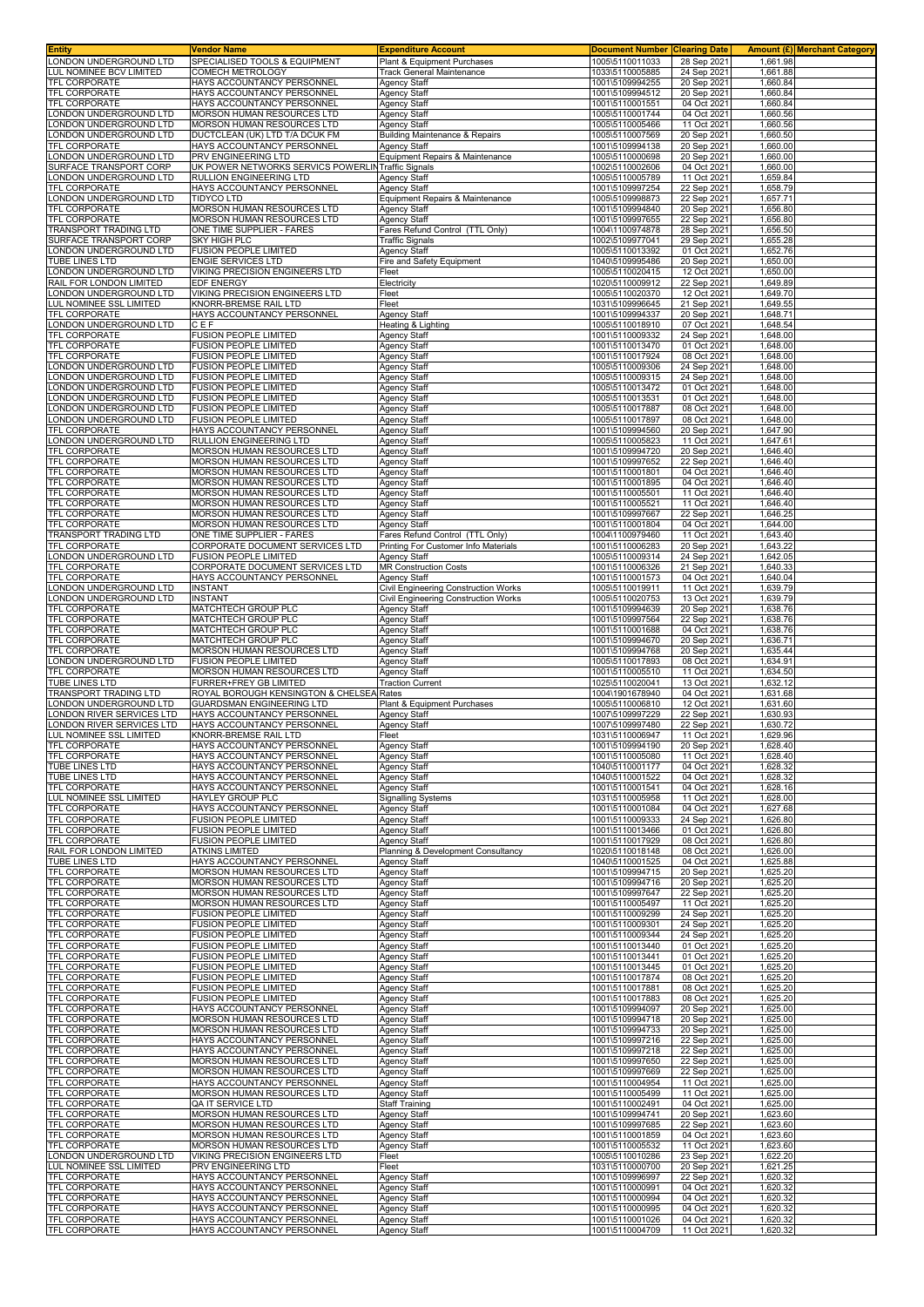| <b>Entity</b>                                                                                                                           | Vendor Name                                                              | <b>Expenditure Account</b>                                  | <b>Document Number</b>             | <b>Clearing Date</b>       |                      | <b>Amount (£) Merchant Category</b> |
|-----------------------------------------------------------------------------------------------------------------------------------------|--------------------------------------------------------------------------|-------------------------------------------------------------|------------------------------------|----------------------------|----------------------|-------------------------------------|
| LONDON UNDERGROUND LTD                                                                                                                  | SPECIALISED TOOLS & EQUIPMENT                                            | Plant & Equipment Purchases                                 | 1005\5110011033                    | 28 Sep 2021                | 1,661.98             |                                     |
| LUL NOMINEE BCV LIMITED<br>TFL CORPORATE                                                                                                | COMECH METROLOGY                                                         | <b>Track General Maintenance</b>                            | 1033\5110005885                    | 24 Sep 2021                | 1,661.88             |                                     |
| <b>TFL CORPORATE</b>                                                                                                                    | HAYS ACCOUNTANCY PERSONNEL<br>HAYS ACCOUNTANCY PERSONNEI                 | <b>Agency Staff</b><br><b>Agency Staff</b>                  | 1001\5109994255<br>1001\5109994512 | 20 Sep 2021<br>20 Sep 2021 | 1,660.84<br>1,660.84 |                                     |
| <b>TFL CORPORATE</b>                                                                                                                    | HAYS ACCOUNTANCY PERSONNEI                                               | <b>Agency Staff</b>                                         | 1001\5110001551                    | 04 Oct 2021                | 1,660.84             |                                     |
| ONDON UNDERGROUND LTD                                                                                                                   | MORSON HUMAN RESOURCES LTD                                               | <b>Agency Staff</b>                                         | 1005\5110001744                    | 04 Oct 2021                | 1,660.56             |                                     |
| ONDON UNDERGROUND LTD                                                                                                                   | MORSON HUMAN RESOURCES LTD                                               | <b>Agency Staff</b>                                         | 1005\5110005466                    | 11 Oct 2021                | 1,660.56             |                                     |
| ONDON UNDERGROUND LTD                                                                                                                   | DUCTCLEAN (UK) LTD T/A DCUK FM                                           | Building Maintenance & Repairs                              | 1005\5110007569                    | 20 Sep 2021                | 1,660.50             |                                     |
| <b>TFL CORPORATE</b>                                                                                                                    | HAYS ACCOUNTANCY PERSONNEL                                               | <b>Agency Staff</b>                                         | 1001\5109994138                    | 20 Sep 2021                | 1,660.00             |                                     |
| ONDON UNDERGROUND LTD<br>URFACE TRANSPORT CORP                                                                                          | PRV ENGINEERING LTD<br>UK POWER NETWORKS SERVICS POWERLINTraffic Signals | Equipment Repairs & Maintenance                             | 1005\5110000698<br>1002\5110002606 | 20 Sep 2021<br>04 Oct 2021 | 1,660.00<br>1,660.00 |                                     |
| ONDON UNDERGROUND LTD                                                                                                                   | RULLION ENGINEERING LTD                                                  | <b>Agency Staff</b>                                         | 1005\5110005789                    | 11 Oct 2021                | 1,659.84             |                                     |
| TFL CORPORATE                                                                                                                           | HAYS ACCOUNTANCY PERSONNEL                                               | Agency Staff                                                | 1001\5109997254                    | 22 Sep 2021                | 1,658.79             |                                     |
| ONDON UNDERGROUND LTD                                                                                                                   | <b>TIDYCO LTD</b>                                                        | Equipment Repairs & Maintenance                             | 1005\5109998873                    | 22 Sep 2021                | 1,657.71             |                                     |
| TFL CORPORATE                                                                                                                           | MORSON HUMAN RESOURCES LTD                                               | <b>Agency Staff</b>                                         | 1001\5109994840                    | 20 Sep 2021                | 1,656.80             |                                     |
| <b>TFL CORPORATE</b>                                                                                                                    | MORSON HUMAN RESOURCES LTD                                               | <b>Agency Staff</b>                                         | 1001\5109997655                    | 22 Sep 2021                | 1,656.80             |                                     |
| TRANSPORT TRADING LTD                                                                                                                   | ONE TIME SUPPLIER - FARES                                                | Fares Refund Control (TTL Only)                             | 1004\1100974878                    | 28 Sep 2021                | 1,656.50             |                                     |
| SURFACE TRANSPORT CORP<br>ONDON UNDERGROUND LTD                                                                                         | <b>SKY HIGH PLC</b><br><b>FUSION PEOPLE LIMITED</b>                      | <b>Traffic Signals</b><br>Agency Staff                      | 1002\5109977041<br>1005\5110013392 | 29 Sep 2021<br>01 Oct 2021 | 1,655.28<br>1,652.76 |                                     |
| TUBE LINES LTD                                                                                                                          | <b>ENGIE SERVICES LTD</b>                                                | Fire and Safety Equipment                                   | 1040\5109995486                    | 20 Sep 2021                | 1.650.00             |                                     |
| ONDON UNDERGROUND LTD                                                                                                                   | VIKING PRECISION ENGINEERS LTD                                           | Fleet                                                       | 1005\5110020415                    | 12 Oct 2021                | 1,650.00             |                                     |
| RAIL FOR LONDON LIMITED                                                                                                                 | EDF ENERGY                                                               | Electricity                                                 | 1020\5110009912                    | 22 Sep 2021                | 1,649.89             |                                     |
| ONDON UNDERGROUND LTD                                                                                                                   | VIKING PRECISION ENGINEERS LTD                                           | Fleet                                                       | 1005\5110020370                    | 12 Oct 2021                | 1,649.70             |                                     |
| LUL NOMINEE SSL LIMITED                                                                                                                 | KNORR-BREMSE RAIL LTD                                                    | Fleet                                                       | 1031\5109996645                    | 21 Sep 2021                | 1,649.55             |                                     |
| TFL CORPORATE                                                                                                                           | HAYS ACCOUNTANCY PERSONNEL                                               | <b>Agency Staff</b>                                         | 1001\5109994337                    | 20 Sep 2021                | 1,648.7'             |                                     |
| ONDON UNDERGROUND LTD<br><b>TFL CORPORATE</b>                                                                                           | CEF<br>FUSION PEOPLE LIMITED                                             | Heating & Lighting<br>Agency Staff                          | 1005\5110018910<br>1001\5110009332 | 07 Oct 2021<br>24 Sep 2021 | 1,648.54<br>1,648.00 |                                     |
| TFL CORPORATE                                                                                                                           | <b>FUSION PEOPLE LIMITED</b>                                             | <b>Agency Staff</b>                                         | 1001\5110013470                    | 01 Oct 2021                | 1,648.00             |                                     |
| <b>TFL CORPORATE</b>                                                                                                                    | FUSION PEOPLE LIMITED                                                    | <b>Agency Staff</b>                                         | 1001\5110017924                    | 08 Oct 2021                | 1,648.00             |                                     |
| LONDON UNDERGROUND LTD                                                                                                                  | <b>FUSION PEOPLE LIMITED</b>                                             | <b>Agency Staff</b>                                         | 1005\5110009306                    | 24 Sep 2021                | 1,648.00             |                                     |
| ONDON UNDERGROUND LTD.                                                                                                                  | FUSION PEOPLE LIMITED                                                    | <b>Agency Staff</b>                                         | 1005\5110009315                    | 24 Sep 2021                | 1,648.00             |                                     |
| ONDON UNDERGROUND LTD                                                                                                                   | <b>FUSION PEOPLE LIMITED</b>                                             | <b>Agency Staff</b>                                         | 1005\5110013472                    | 01 Oct 2021                | 1,648.00             |                                     |
| ONDON UNDERGROUND LTD<br>ONDON UNDERGROUND LTD                                                                                          | <b>FUSION PEOPLE LIMITED</b><br><b>FUSION PEOPLE LIMITED</b>             | <b>Agency Staff</b><br><b>Agency Staff</b>                  | 1005\5110013531<br>1005\5110017887 | 01 Oct 2021<br>08 Oct 2021 | 1,648.00<br>1,648.00 |                                     |
| ONDON UNDERGROUND LTD                                                                                                                   | <b>FUSION PEOPLE LIMITED</b>                                             | <b>Agency Staff</b>                                         | 1005\5110017897                    | 08 Oct 2021                | 1,648.00             |                                     |
| TFL CORPORATE                                                                                                                           | HAYS ACCOUNTANCY PERSONNEL                                               | <b>Agency Staff</b>                                         | 1001\5109994560                    | 20 Sep 2021                | 1,647.90             |                                     |
| ONDON UNDERGROUND LTD                                                                                                                   | RULLION ENGINEERING LTD                                                  | <b>Agency Staff</b>                                         | 1005\5110005823                    | 11 Oct 2021                | 1,647.61             |                                     |
| TFL CORPORATE                                                                                                                           | MORSON HUMAN RESOURCES LTD                                               | <b>Agency Staff</b>                                         | 1001\5109994720                    | 20 Sep 2021                | 1,646.40             |                                     |
| TFL CORPORATE                                                                                                                           | MORSON HUMAN RESOURCES LTD                                               | <b>Agency Staff</b>                                         | 1001\5109997652                    | 22 Sep 2021                | 1,646.40             |                                     |
| <b>TFL CORPORATE</b>                                                                                                                    | MORSON HUMAN RESOURCES LTD                                               | <b>Agency Staff</b>                                         | 1001\5110001801                    | 04 Oct 2021                | 1,646.40             |                                     |
| TFL CORPORATE<br>TFL CORPORATE                                                                                                          | MORSON HUMAN RESOURCES LTD<br>MORSON HUMAN RESOURCES LTD                 | <b>Agency Staff</b><br><b>Agency Staff</b>                  | 1001\5110001895<br>1001\5110005501 | 04 Oct 2021<br>11 Oct 2021 | 1,646.40<br>1,646.40 |                                     |
| <b>TFL CORPORATE</b>                                                                                                                    | MORSON HUMAN RESOURCES LTD                                               | <b>Agency Staff</b>                                         | 1001\5110005521                    | 11 Oct 2021                | 1,646.40             |                                     |
| <b>TFL CORPORATE</b>                                                                                                                    | MORSON HUMAN RESOURCES LTD                                               | <b>Agency Staff</b>                                         | 1001\5109997667                    | 22 Sep 2021                | 1,646.25             |                                     |
| <b>TFL CORPORATE</b>                                                                                                                    | MORSON HUMAN RESOURCES LTD                                               | Agency Staff                                                | 1001\5110001804                    | 04 Oct 2021                | 1,644.00             |                                     |
| TRANSPORT TRADING LTD                                                                                                                   | ONE TIME SUPPLIER - FARES                                                | Fares Refund Control (TTL Only)                             | 1004\1100979460                    | 11 Oct 2021                | 1,643.40             |                                     |
| <b>TFL CORPORATE</b>                                                                                                                    | CORPORATE DOCUMENT SERVICES LTD                                          | Printing For Customer Info Materials                        | 1001\5110006283                    | 20 Sep 2021                | 1,643.22             |                                     |
| ONDON UNDERGROUND LTD                                                                                                                   | <b>FUSION PEOPLE LIMITED</b>                                             | <b>Agency Staff</b>                                         | 1005\5110009314                    | 24 Sep 2021                | 1,642.05             |                                     |
| TFL CORPORATE<br>TFL CORPORATE                                                                                                          | CORPORATE DOCUMENT SERVICES LTD<br>HAYS ACCOUNTANCY PERSONNEL            | <b>MR Construction Costs</b>                                | 1001\5110006326<br>1001\5110001573 | 21 Sep 2021<br>04 Oct 2021 | 1,640.33<br>1,640.04 |                                     |
| LONDON UNDERGROUND LTD                                                                                                                  | <b>INSTANT</b>                                                           | <b>Agency Staff</b><br>Civil Engineering Construction Works | 1005\5110019911                    | 11 Oct 2021                | 1,639.79             |                                     |
| ONDON UNDERGROUND LTD                                                                                                                   | <b>INSTANT</b>                                                           | Civil Engineering Construction Works                        | 1005\5110020753                    | 13 Oct 2021                | 1,639.79             |                                     |
| TFL CORPORATE                                                                                                                           | MATCHTECH GROUP PLC                                                      | Agency Staff                                                | 1001\5109994639                    | 20 Sep 2021                | 1,638.76             |                                     |
| <b>TFL CORPORATE</b>                                                                                                                    | MATCHTECH GROUP PLC                                                      | <b>Agency Staff</b>                                         | 1001\5109997564                    | 22 Sep 2021                | 1,638.76             |                                     |
| TFL CORPORATE                                                                                                                           | MATCHTECH GROUP PLC                                                      | <b>Agency Staff</b>                                         | 1001\5110001688                    | 04 Oct 2021                | 1,638.76             |                                     |
| <b>TFL CORPORATE</b>                                                                                                                    | <b>MATCHTECH GROUP PLC</b>                                               | <b>Agency Staff</b>                                         | 1001\5109994670                    | 20 Sep 2021                | 1,636.71             |                                     |
| TFL CORPORATE<br>LONDON UNDERGROUND LTD                                                                                                 | MORSON HUMAN RESOURCES LTD<br>FUSION PEOPLE LIMITED                      | <b>Agency Staff</b><br><b>Agency Staff</b>                  | 1001\5109994768<br>1005\5110017893 | 20 Sep 2021<br>08 Oct 2021 | 1,635.44<br>1,634.91 |                                     |
| <b>TFL CORPORATE</b>                                                                                                                    | MORSON HUMAN RESOURCES LTD                                               | <b>Agency Staff</b>                                         | 1001\5110005510                    | 11 Oct 2021                | 1,634.50             |                                     |
| <b>TUBE LINES LTD</b>                                                                                                                   | FURRER+FREY GB LIMITED                                                   | <b>Traction Current</b>                                     | 1025\5110020041                    | 13 Oct 2021                | 1,632.12             |                                     |
| TRANSPORT TRADING LTD                                                                                                                   | ROYAL BOROUGH KENSINGTON & CHELSEA Rates                                 |                                                             | 1004\1901678940                    | 04 Oct 2021                | 1,631.68             |                                     |
| ONDON UNDERGROUND LTD                                                                                                                   | <b>GUARDSMAN ENGINEERING LTD</b>                                         | Plant & Equipment Purchases                                 | 1005\5110006810                    | 12 Oct 2021                | 1.631.60             |                                     |
| ONDON RIVER SERVICES LTD                                                                                                                | HAYS ACCOUNTANCY PERSONNEI                                               | <b>Agency Staff</b>                                         | 1007\5109997229                    | 22 Sep 2021                | 1,630.93             |                                     |
| ONDON RIVER SERVICES LTD                                                                                                                | HAYS ACCOUNTANCY PERSONNEL                                               | <b>Agency Staff</b>                                         | 1007\5109997480                    | 22 Sep 2021                | 1,630.72             |                                     |
| LUL NOMINEE SSL LIMITED<br><b>TFL CORPORATE</b>                                                                                         | KNORR-BREMSE RAIL LTD<br>HAYS ACCOUNTANCY PERSONNEL                      | Fleet<br><b>Agency Staff</b>                                | 1031\5110006947<br>1001\5109994190 | 11 Oct 2021<br>20 Sep 2021 | 1,629.96<br>1,628.40 |                                     |
| <b>TFL CORPORATE</b>                                                                                                                    | HAYS ACCOUNTANCY PERSONNEL                                               | <b>Agency Staff</b>                                         | 1001\5110005080                    | 11 Oct 2021                | 1,628.40             |                                     |
| <b>TUBE LINES LTD</b>                                                                                                                   | HAYS ACCOUNTANCY PERSONNEL                                               | Agency Staff                                                | 1040\5110001177                    | 04 Oct 2021                | 1,628.32             |                                     |
| <b>TUBE LINES LTD</b>                                                                                                                   | HAYS ACCOUNTANCY PERSONNEL                                               | Agency Staff                                                | 1040\5110001522                    | 04 Oct 2021                | 1,628.32             |                                     |
| <b>TFL CORPORATE</b>                                                                                                                    | HAYS ACCOUNTANCY PERSONNEL                                               | <b>Agency Staff</b>                                         | 1001\5110001541                    | 04 Oct 2021                | 1,628.16             |                                     |
| LUL NOMINEE SSL LIMITED<br>TFL CORPORATE                                                                                                | HAYLEY GROUP PLC                                                         | <b>Signalling Systems</b>                                   | 1031\5110005958<br>1001\5110001084 | 11 Oct 2021                | 1,628.00             |                                     |
| <b>TFL CORPORATE</b>                                                                                                                    | HAYS ACCOUNTANCY PERSONNEL<br>FUSION PEOPLE LIMITED                      | <b>Agency Staff</b><br><b>Agency Staff</b>                  | 1001\5110009333                    | 04 Oct 2021<br>24 Sep 2021 | 1,627.68<br>1,626.80 |                                     |
| <b>TFL CORPORATE</b>                                                                                                                    | <b>FUSION PEOPLE LIMITED</b>                                             | <b>Agency Staff</b>                                         | 1001\5110013466                    | 01 Oct 2021                | 1,626.80             |                                     |
| <b>TFL CORPORATE</b>                                                                                                                    | FUSION PEOPLE LIMITED                                                    | <b>Agency Staff</b>                                         | 1001\5110017929                    | 08 Oct 2021                | 1,626.80             |                                     |
| RAIL FOR LONDON LIMITED                                                                                                                 | <b>ATKINS LIMITED</b>                                                    | Planning & Development Consultancy                          | 1020\5110018148                    | 08 Oct 2021                | 1,626.00             |                                     |
| <b>TUBE LINES LTD</b>                                                                                                                   | HAYS ACCOUNTANCY PERSONNEL                                               | <b>Agency Staff</b>                                         | 1040\5110001525                    | 04 Oct 2021                | 1,625.88             |                                     |
| TFL CORPORATE                                                                                                                           | MORSON HUMAN RESOURCES LTD                                               | <b>Agency Staff</b>                                         | 1001\5109994715                    | 20 Sep 2021                | 1,625.20             |                                     |
| <b>TFL CORPORATE</b><br><b>TFL CORPORATE</b>                                                                                            | MORSON HUMAN RESOURCES LTD<br>MORSON HUMAN RESOURCES LTD                 | <b>Agency Staff</b><br><b>Agency Staff</b>                  | 1001\5109994716<br>1001\5109997647 | 20 Sep 2021<br>22 Sep 2021 | 1,625.20<br>1,625.20 |                                     |
| <b>TFL CORPORATE</b>                                                                                                                    | MORSON HUMAN RESOURCES LTD                                               | <b>Agency Staff</b>                                         | 1001\5110005497                    | 11 Oct 2021                | 1,625.20             |                                     |
| TFL CORPORATE                                                                                                                           | <b>FUSION PEOPLE LIMITED</b>                                             | Agency Staff                                                | 1001\5110009299                    | 24 Sep 2021                | 1,625.20             |                                     |
| <b>TFL CORPORATE</b>                                                                                                                    | <b>FUSION PEOPLE LIMITED</b>                                             | <b>Agency Staff</b>                                         | 1001\5110009301                    | 24 Sep 2021                | 1,625.20             |                                     |
| TFL CORPORATE                                                                                                                           | <b>FUSION PEOPLE LIMITED</b>                                             | <b>Agency Staff</b>                                         | 1001\5110009344                    | 24 Sep 2021                | 1,625.20             |                                     |
| TFL CORPORATE                                                                                                                           | <b>FUSION PEOPLE LIMITED</b>                                             | <b>Agency Staff</b>                                         | 1001\5110013440                    | 01 Oct 2021                | 1,625.20             |                                     |
| <b>TFL CORPORATE</b><br>TFL CORPORATE                                                                                                   | <b>FUSION PEOPLE LIMITED</b><br><b>FUSION PEOPLE LIMITED</b>             | <b>Agency Staff</b><br><b>Agency Staff</b>                  | 1001\5110013441<br>1001\5110013445 | 01 Oct 2021<br>01 Oct 2021 | 1,625.20<br>1,625.20 |                                     |
| TFL CORPORATE                                                                                                                           | FUSION PEOPLE LIMITED                                                    | <b>Agency Staff</b>                                         | 1001\5110017874                    | 08 Oct 2021                | 1,625.20             |                                     |
| <b>TFL CORPORATE</b>                                                                                                                    | <b>FUSION PEOPLE LIMITED</b>                                             | <b>Agency Staff</b>                                         | 1001\5110017881                    | 08 Oct 2021                | 1,625.20             |                                     |
| <b>TFL CORPORATE</b>                                                                                                                    | FUSION PEOPLE LIMITED                                                    | Agency Staff                                                | 1001\5110017883                    | 08 Oct 2021                | 1,625.20             |                                     |
| <b>TFL CORPORATE</b>                                                                                                                    | HAYS ACCOUNTANCY PERSONNEL                                               | Agency Staff                                                | 1001\5109994097                    | 20 Sep 2021                | 1,625.00             |                                     |
| TFL CORPORATE                                                                                                                           | MORSON HUMAN RESOURCES LTD                                               | Agency Staff                                                | 1001\5109994718                    | 20 Sep 2021                | 1,625.00             |                                     |
| <b>TFL CORPORATE</b><br><b>TFL CORPORATE</b>                                                                                            | MORSON HUMAN RESOURCES LTD<br>HAYS ACCOUNTANCY PERSONNEL                 | <b>Agency Staff</b><br><b>Agency Staff</b>                  | 1001\5109994733<br>1001\5109997216 | 20 Sep 2021<br>22 Sep 2021 | 1,625.00<br>1,625.00 |                                     |
| TFL CORPORATE                                                                                                                           | HAYS ACCOUNTANCY PERSONNEL                                               | <b>Agency Staff</b>                                         | 1001\5109997218                    | 22 Sep 2021                | 1,625.00             |                                     |
| <b>TFL CORPORATE</b>                                                                                                                    | MORSON HUMAN RESOURCES LTD                                               | <b>Agency Staff</b>                                         | 1001\5109997650                    | 22 Sep 2021                | 1,625.00             |                                     |
| <b>TFL CORPORATE</b>                                                                                                                    | MORSON HUMAN RESOURCES LTD                                               | <b>Agency Staff</b>                                         | 1001\5109997669                    | 22 Sep 2021                | 1,625.00             |                                     |
| <b>TFL CORPORATE</b>                                                                                                                    | HAYS ACCOUNTANCY PERSONNEL                                               | <b>Agency Staff</b>                                         | 1001\5110004954                    | 11 Oct 2021                | 1,625.00             |                                     |
| TFL CORPORATE                                                                                                                           | MORSON HUMAN RESOURCES LTD                                               | <b>Agency Staff</b>                                         | 1001\5110005499                    | 11 Oct 2021                | 1,625.00             |                                     |
| <b>TFL CORPORATE</b>                                                                                                                    | QA IT SERVICE LTD                                                        | <b>Staff Training</b>                                       | 1001\5110002491                    | 04 Oct 2021                | 1,625.00             |                                     |
| <b>TFL CORPORATE</b>                                                                                                                    |                                                                          | <b>Agency Staff</b>                                         | 1001\5109994741                    | 20 Sep 2021                | 1,623.60             |                                     |
|                                                                                                                                         | MORSON HUMAN RESOURCES LTD                                               |                                                             |                                    |                            |                      |                                     |
|                                                                                                                                         | MORSON HUMAN RESOURCES LTD                                               | <b>Agency Staff</b>                                         | 1001\5109997685                    | 22 Sep 2021                | 1,623.60             |                                     |
|                                                                                                                                         | MORSON HUMAN RESOURCES LTD<br>MORSON HUMAN RESOURCES LTD                 | <b>Agency Staff</b><br><b>Agency Staff</b>                  | 1001\5110001859<br>1001\5110005532 | 04 Oct 2021<br>11 Oct 2021 | 1,623.60<br>1,623.60 |                                     |
|                                                                                                                                         | VIKING PRECISION ENGINEERS LTD                                           | Fleet                                                       | 1005\5110010286                    | 23 Sep 2021                | 1,622.20             |                                     |
| LUL NOMINEE SSL LIMITED                                                                                                                 | PRV ENGINEERING LTD                                                      | Fleet                                                       | 1031\5110000700                    | 20 Sep 2021                | 1,621.25             |                                     |
|                                                                                                                                         | HAYS ACCOUNTANCY PERSONNEL                                               | <b>Agency Staff</b>                                         | 1001\5109996997                    | 22 Sep 2021                | 1,620.32             |                                     |
| <b>TFL CORPORATE</b><br><b>TFL CORPORATE</b><br><b>TFL CORPORATE</b><br>LONDON UNDERGROUND LTD<br><b>TFL CORPORATE</b><br>TFL CORPORATE | HAYS ACCOUNTANCY PERSONNEL                                               | <b>Agency Staff</b>                                         | 1001\5110000991                    | 04 Oct 2021                | 1,620.32             |                                     |
| TFL CORPORATE                                                                                                                           | HAYS ACCOUNTANCY PERSONNEL                                               | <b>Agency Staff</b>                                         | 1001\5110000994                    | 04 Oct 2021                | 1,620.32             |                                     |
| TFL CORPORATE<br>TFL CORPORATE                                                                                                          | HAYS ACCOUNTANCY PERSONNEL<br>HAYS ACCOUNTANCY PERSONNEL                 | <b>Agency Staff</b><br>Agency Staff                         | 1001\5110000995<br>1001\5110001026 | 04 Oct 2021<br>04 Oct 2021 | 1,620.32<br>1,620.32 |                                     |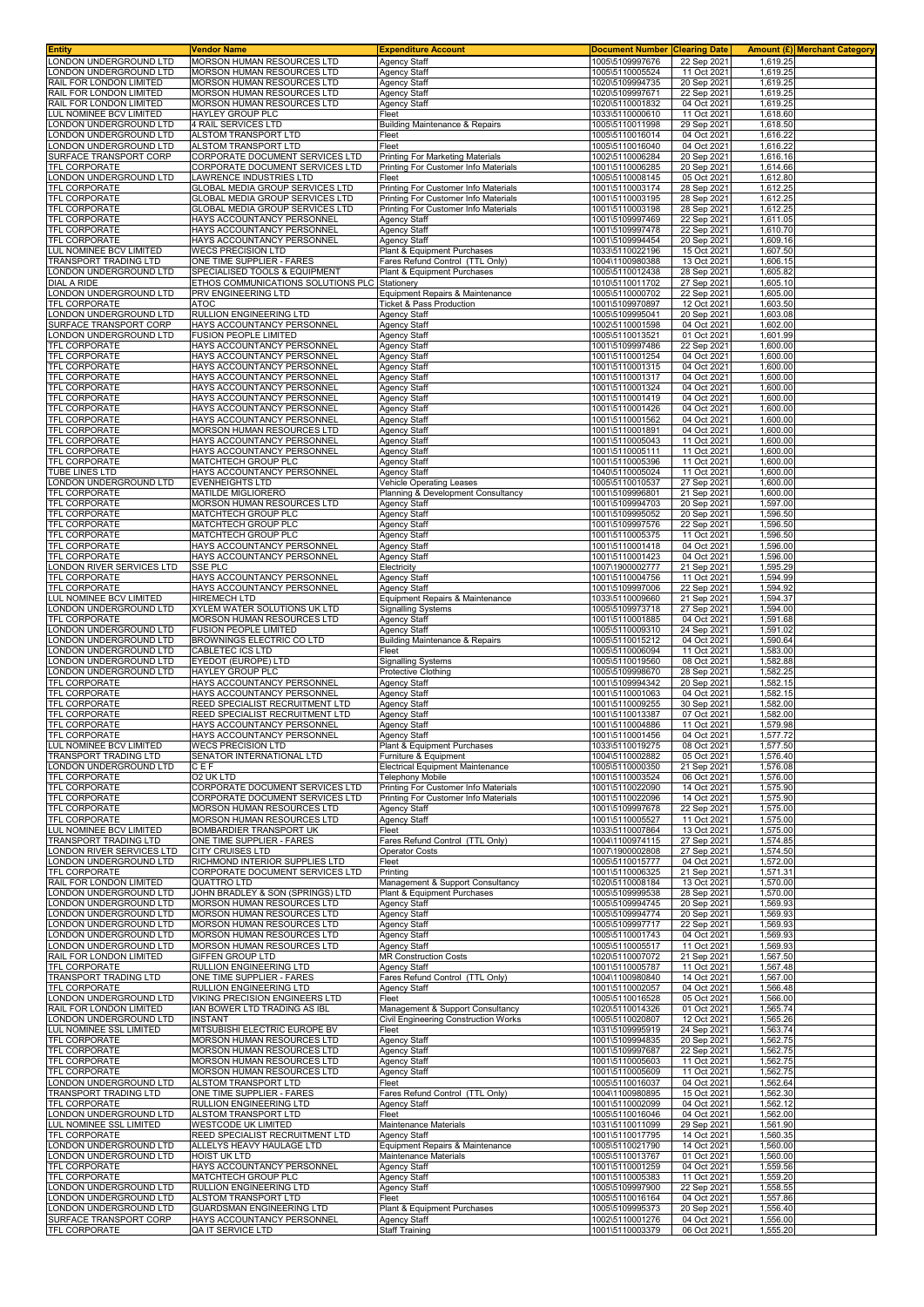| Entity                                          | Vendor Name                                                    | <b>Expenditure Account</b>                                            | <b>Document Number Clearing Date</b> |                            |                      | Amount (£) Merchant Category |
|-------------------------------------------------|----------------------------------------------------------------|-----------------------------------------------------------------------|--------------------------------------|----------------------------|----------------------|------------------------------|
| ONDON UNDERGROUND LTD                           | <b>MORSON HUMAN RESOURCES LTD</b>                              | <b>Agency Staff</b>                                                   | 1005\5109997676                      | 22 Sep 2021                | 1,619.25             |                              |
| ONDON UNDERGROUND LTD                           | MORSON HUMAN RESOURCES LTD                                     | <b>Agency Staff</b>                                                   | 1005\5110005524                      | 11 Oct 202                 | 1,619.25             |                              |
| RAIL FOR LONDON LIMITED                         | MORSON HUMAN RESOURCES LTD                                     | <b>Agency Staff</b>                                                   | 1020\5109994735                      | 20 Sep 2021                | 1,619.2              |                              |
| RAIL FOR LONDON LIMITED                         | MORSON HUMAN RESOURCES LTD                                     | <b>Agency Staff</b>                                                   | 1020\5109997671                      | 22 Sep 2021                | 1,619.25             |                              |
| RAIL FOR LONDON LIMITED                         | MORSON HUMAN RESOURCES LTD                                     | <b>Agency Staff</b>                                                   | 1020\5110001832                      | 04 Oct 2021                | 1,619.25             |                              |
| UL NOMINEE BCV LIMITED                          | HAYLEY GROUP PLC                                               | Fleet                                                                 | 1033\5110000610                      | 11 Oct 2021                | 1,618.60             |                              |
| ONDON UNDERGROUND LTD                           | 4 RAIL SERVICES LTD                                            | <b>Building Maintenance &amp; Repairs</b>                             | 1005\5110011998                      | 29 Sep 2021                | 1,618.50             |                              |
| ONDON UNDERGROUND LTD<br>ONDON UNDERGROUND LTD  | ALSTOM TRANSPORT LTD<br>ALSTOM TRANSPORT LTD                   | Fleet<br>Fleet                                                        | 1005\5110016014<br>1005\5110016040   | 04 Oct 2021<br>04 Oct 202  | 1,616.22<br>1,616.22 |                              |
| SURFACE TRANSPORT CORP                          | CORPORATE DOCUMENT SERVICES LTD                                | Printing For Marketing Materials                                      | 1002\5110006284                      | 20 Sep 2021                | 1,616.16             |                              |
| TFL CORPORATE                                   | CORPORATE DOCUMENT SERVICES LTD                                | Printing For Customer Info Materials                                  | 1001\5110006285                      | 20 Sep 2021                | 1,614.66             |                              |
| ONDON UNDERGROUND LTD.                          | LAWRENCE INDUSTRIES LTD                                        | Fleet                                                                 | 1005\5110008145                      | 05 Oct 202                 | 1,612.80             |                              |
| TFL CORPORATE                                   | GLOBAL MEDIA GROUP SERVICES LTD                                | Printing For Customer Info Materials                                  | 1001\5110003174                      | 28 Sep 2021                | 1,612.25             |                              |
| TFL CORPORATE                                   | GLOBAL MEDIA GROUP SERVICES LTD                                | Printing For Customer Info Materials                                  | 1001\5110003195                      | 28 Sep 2021                | 1,612.25             |                              |
| TFL CORPORATE                                   | GLOBAL MEDIA GROUP SERVICES LTD                                | Printing For Customer Info Materials                                  | 1001\5110003198                      | 28 Sep 2021                | 1,612.25             |                              |
| <b>TFL CORPORATE</b>                            | HAYS ACCOUNTANCY PERSONNEL                                     | <b>Agency Staff</b>                                                   | 1001\5109997469                      | 22 Sep 202                 | 1,611.05             |                              |
| TFL CORPORATE                                   | HAYS ACCOUNTANCY PERSONNEL                                     | <b>Agency Staff</b>                                                   | 1001\5109997478                      | 22 Sep 2021                | 1,610.70             |                              |
| <b>TFL CORPORATE</b>                            | HAYS ACCOUNTANCY PERSONNEL                                     | <b>Agency Staff</b>                                                   | 1001\5109994454                      | 20 Sep 2021                | 1,609.16             |                              |
| <b>UL NOMINEE BCV LIMITED</b>                   | <b>WECS PRECISION LTD</b>                                      | Plant & Equipment Purchases                                           | 1033\5110022196                      | 15 Oct 2021                | 1,607.50             |                              |
| TRANSPORT TRADING LTD                           | ONE TIME SUPPLIER - FARES                                      | Fares Refund Control (TTL Only)                                       | 1004\1100980388                      | 13 Oct 2021                | 1,606.15             |                              |
| ONDON UNDERGROUND LTD                           | SPECIALISED TOOLS & EQUIPMENT                                  | Plant & Equipment Purchases                                           | 1005\5110012438                      | 28 Sep 202                 | 1,605.82             |                              |
| <b>DIAL A RIDE</b>                              | ETHOS COMMUNICATIONS SOLUTIONS PLC                             | Stationery                                                            | 1010\5110011702                      | 27 Sep 2021                | 1,605.10             |                              |
| ONDON UNDERGROUND LTD                           | PRV ENGINEERING LTD<br>ATOC                                    | Equipment Repairs & Maintenance                                       | 1005\5110000702                      | 22 Sep 202                 | 1,605.00<br>1,603.50 |                              |
| TFL CORPORATE<br>ONDON UNDERGROUND LTD          | RULLION ENGINEERING LTD                                        | Ticket & Pass Production<br><b>Agency Staff</b>                       | 1001\5109970897<br>1005\5109995041   | 12 Oct 2021<br>20 Sep 202  | 1,603.08             |                              |
| SURFACE TRANSPORT CORP                          | HAYS ACCOUNTANCY PERSONNEL                                     | <b>Agency Staff</b>                                                   | 1002\5110001598                      | 04 Oct 2021                | 1,602.00             |                              |
| ONDON UNDERGROUND LTD                           | <b>FUSION PEOPLE LIMITED</b>                                   | <b>Agency Staff</b>                                                   | 1005\5110013521                      | 01 Oct 2021                | 1,601.99             |                              |
| TFL CORPORATE                                   | HAYS ACCOUNTANCY PERSONNEI                                     | <b>Agency Staff</b>                                                   | 1001\5109997486                      | 22 Sep 2021                | 1,600.00             |                              |
| TFL CORPORATE                                   | HAYS ACCOUNTANCY PERSONNEL                                     | <b>Agency Staff</b>                                                   | 1001\5110001254                      | 04 Oct 2021                | 1,600.00             |                              |
| TFL CORPORATE                                   | HAYS ACCOUNTANCY PERSONNEL                                     | <b>Agency Staff</b>                                                   | 1001\5110001315                      | 04 Oct 2021                | 1,600.00             |                              |
| TFL CORPORATE                                   | HAYS ACCOUNTANCY PERSONNEL                                     | <b>Agency Staff</b>                                                   | 1001\5110001317                      | 04 Oct 202                 | 1,600.00             |                              |
| TFL CORPORATE                                   | HAYS ACCOUNTANCY PERSONNEI                                     | <b>Agency Staff</b>                                                   | 1001\5110001324                      | 04 Oct 2021                | 1,600.00             |                              |
| <b>TFL CORPORATE</b>                            | HAYS ACCOUNTANCY PERSONNEL                                     | <b>Agency Staff</b>                                                   | 1001\5110001419                      | 04 Oct 2021                | 1,600.00             |                              |
| TFL CORPORATE                                   | HAYS ACCOUNTANCY PERSONNEL                                     | <b>Agency Staff</b>                                                   | 1001\5110001426                      | 04 Oct 2021                | 1,600.00             |                              |
| <b>TFL CORPORATE</b>                            | HAYS ACCOUNTANCY PERSONNEI                                     | <b>Agency Staff</b>                                                   | 1001\5110001562                      | 04 Oct 202                 | 1,600.00             |                              |
| TFL CORPORATE                                   | MORSON HUMAN RESOURCES LTD                                     | Agency Staff                                                          | 1001\5110001891                      | 04 Oct 2021                | 1,600.00             |                              |
| TFL CORPORATE                                   | HAYS ACCOUNTANCY PERSONNEL                                     | <b>Agency Staff</b>                                                   | 1001\5110005043                      | 11 Oct 2021                | 1,600.00             |                              |
| TFL CORPORATE                                   | HAYS ACCOUNTANCY PERSONNEL                                     | <b>Agency Staff</b>                                                   | 1001\5110005111                      | 11 Oct 2021                | 1,600.00             |                              |
| <b>TFL CORPORATE</b>                            | MATCHTECH GROUP PLC                                            | <b>Agency Staff</b>                                                   | 1001\5110005396                      | 11 Oct 2021                | 1,600.00             |                              |
| TUBE LINES LTD<br>ONDON UNDERGROUND LTD         | HAYS ACCOUNTANCY PERSONNEL                                     | <b>Agency Staff</b>                                                   | 1040\5110005024                      | 11 Oct 2021                | 1,600.00<br>1,600.00 |                              |
| TFL CORPORATE                                   | <b>EVENHEIGHTS LTD</b><br><b>MATILDE MIGLIORERO</b>            | <b>Vehicle Operating Leases</b><br>Planning & Development Consultancy | 1005\5110010537<br>1001\5109996801   | 27 Sep 2021<br>21 Sep 2021 | 1,600.00             |                              |
| <b>TFL CORPORATE</b>                            | MORSON HUMAN RESOURCES LTD                                     | <b>Agency Staff</b>                                                   | 1001\5109994703                      | 20 Sep 202                 | 1,597.00             |                              |
| TFL CORPORATE                                   | MATCHTECH GROUP PLC                                            | Agency Staff                                                          | 1001\5109995052                      | 20 Sep 2021                | 1,596.50             |                              |
| TFL CORPORATE                                   | MATCHTECH GROUP PLC                                            | <b>Agency Staff</b>                                                   | 1001\5109997576                      | 22 Sep 2021                | 1,596.50             |                              |
| TFL CORPORATE                                   | MATCHTECH GROUP PLC                                            | <b>Agency Staff</b>                                                   | 1001\5110005375                      | 11 Oct 2021                | 1,596.50             |                              |
| <b>TFL CORPORATE</b>                            | HAYS ACCOUNTANCY PERSONNEL                                     | <b>Agency Staff</b>                                                   | 1001\5110001418                      | 04 Oct 2021                | 1,596.00             |                              |
| TFL CORPORATE                                   | HAYS ACCOUNTANCY PERSONNEL                                     | <b>Agency Staff</b>                                                   | 1001\5110001423                      | 04 Oct 202                 | 1,596.00             |                              |
| ONDON RIVER SERVICES LTD                        | SSE PLC                                                        | Electricity                                                           | 1007\1900002777                      | 21 Sep 202                 | 1,595.29             |                              |
| TFL CORPORATE                                   | HAYS ACCOUNTANCY PERSONNEL                                     | <b>Agency Staff</b>                                                   | 1001\5110004756                      | 11 Oct 2021                | 1,594.99             |                              |
| <b>TFL CORPORATE</b>                            | HAYS ACCOUNTANCY PERSONNEI                                     | <b>Agency Staff</b>                                                   | 1001\5109997006                      | 22 Sep 202                 | 1,594.92             |                              |
| <b>UL NOMINEE BCV LIMITED</b>                   | <b>HIREMECH LTD</b>                                            | Equipment Repairs & Maintenance                                       | 1033\5110009660                      | 21 Sep 2021                | 1,594.37             |                              |
| ONDON UNDERGROUND LTD                           | XYLEM WATER SOLUTIONS UK LTD                                   | <b>Signalling Systems</b>                                             | 1005\5109973718                      | 27 Sep 2021                | 1,594.00             |                              |
| TFL CORPORATE                                   | MORSON HUMAN RESOURCES LTD                                     | Agency Staff                                                          | 1001\5110001885                      | 04 Oct 2021                | 1,591.68             |                              |
| ONDON UNDERGROUND LTD                           | FUSION PEOPLE LIMITED                                          | <b>Agency Staff</b>                                                   | 1005\5110009310                      | 24 Sep 2021                | 1,591.02             |                              |
| ONDON UNDERGROUND LTD                           | BROWNINGS ELECTRIC CO LTD                                      | <b>Building Maintenance &amp; Repairs</b>                             | 1005\5110015212                      | 04 Oct 2021                | 1,590.64             |                              |
| ONDON UNDERGROUND LTD<br>ONDON UNDERGROUND LTD  | CABLETEC ICS LTD<br>EYEDOT (EUROPE) LTD                        | Fleet                                                                 | 1005\5110006094                      | 11 Oct 2021                | 1,583.00<br>1,582.88 |                              |
| ONDON UNDERGROUND LTD                           | HAYLEY GROUP PLC                                               | Signalling Systems<br><b>Protective Clothing</b>                      | 1005\5110019560<br>1005\5109998670   | 08 Oct 202<br>28 Sep 2021  | 1,582.25             |                              |
| <b>TFL CORPORATE</b>                            | HAYS ACCOUNTANCY PERSONNEL                                     | <b>Agency Staff</b>                                                   | 1001\5109994342                      | 20 Sep 2021                | 1,582.15             |                              |
| TFL CORPORATE                                   | HAYS ACCOUNTANCY PERSONNEL                                     | <b>Agency Staff</b>                                                   | 1001\5110001063                      | 04 Oct 2021                | 1,582.15             |                              |
| <b>TFL CORPORATE</b>                            | REED SPECIALIST RECRUITMENT LTD                                | <b>Agency Staff</b>                                                   | 1001\5110009255                      | 30 Sep 202                 | 1,582.00             |                              |
| TFL CORPORATE                                   | REED SPECIALIST RECRUITMENT LTD                                | <b>Agency Staff</b>                                                   | 1001\5110013387                      | 07 Oct 2021                | 1,582.00             |                              |
| <b>TFL CORPORATE</b>                            | HAYS ACCOUNTANCY PERSONNEL                                     | <b>Agency Staff</b>                                                   | 1001\5110004886                      | 11 Oct 2021                | 1,579.98             |                              |
| <b>TFL CORPORATE</b>                            | HAYS ACCOUNTANCY PERSONNEL                                     | <b>Agency Staff</b>                                                   | 1001\5110001456                      | 04 Oct 2021                | 1,577.72             |                              |
| LUL NOMINEE BCV LIMITED                         | <b>WECS PRECISION LTD</b>                                      | Plant & Equipment Purchases                                           | 1033\5110019275                      | 08 Oct 2021                | 1,577.50             |                              |
| TRANSPORT TRADING LTD                           | SENATOR INTERNATIONAL LTD                                      | Furniture & Equipment                                                 | 1004\5110002882                      | 05 Oct 2021                | 1,576.40             |                              |
| LONDON UNDERGROUND LTD                          | CEF                                                            | <b>Electrical Equipment Maintenance</b>                               | 1005\5110000350                      | 21 Sep 2021                | 1,576.08             |                              |
| TFL CORPORATE                                   | <b>O2 UK LTD</b>                                               | <b>Telephony Mobile</b>                                               | 1001\5110003524                      | 06 Oct 2021                | 1,576.00             |                              |
| <b>TFL CORPORATE</b>                            | CORPORATE DOCUMENT SERVICES LTD                                | Printing For Customer Info Materials                                  | 1001\5110022090                      | 14 Oct 2021                | 1,575.90             |                              |
| TFL CORPORATE                                   | CORPORATE DOCUMENT SERVICES LTD                                | Printing For Customer Info Materials                                  | 1001\5110022096                      | 14 Oct 2021                | 1,575.90             |                              |
| TFL CORPORATE                                   | <b>MORSON HUMAN RESOURCES LTD</b>                              | <b>Agency Staff</b>                                                   | 1001\5109997678                      | 22 Sep 2021                | 1,575.00             |                              |
| TFL CORPORATE<br>LUL NOMINEE BCV LIMITED        | MORSON HUMAN RESOURCES LTD<br>BOMBARDIER TRANSPORT UK          | <b>Agency Staff</b><br>Fleet                                          | 1001\5110005527<br>1033\5110007864   | 11 Oct 2021<br>13 Oct 2021 | 1,575.00<br>1,575.00 |                              |
| TRANSPORT TRADING LTD                           | ONE TIME SUPPLIER - FARES                                      | Fares Refund Control (TTL Only)                                       | 1004\1100974115                      | 27 Sep 2021                | 1,574.85             |                              |
| ONDON RIVER SERVICES LTD                        | CITY CRUISES LTD                                               | Operator Costs                                                        | 1007\1900002808                      | 27 Sep 2021                | 1,574.50             |                              |
| ONDON UNDERGROUND LTD                           | RICHMOND INTERIOR SUPPLIES LTD                                 | Fleet                                                                 | 1005\5110015777                      | 04 Oct 202                 | 1,572.00             |                              |
| <b>TFL CORPORATE</b>                            | CORPORATE DOCUMENT SERVICES LTD                                | Printing                                                              | 1001\5110006325                      | 21 Sep 2021                | 1,571.31             |                              |
| RAIL FOR LONDON LIMITED                         | QUATTRO LTD                                                    | Management & Support Consultancy                                      | 1020\5110008184                      | 13 Oct 2021                | 1,570.00             |                              |
| ONDON UNDERGROUND LTD                           | JOHN BRADLEY & SON (SPRINGS) LTD                               | Plant & Equipment Purchases                                           | 1005\5109999538                      | 28 Sep 2021                | 1,570.00             |                              |
| ONDON UNDERGROUND LTD                           | <b>MORSON HUMAN RESOURCES LTD</b>                              | <b>Agency Staff</b>                                                   | 1005\5109994745                      | 20 Sep 2021                | 1,569.93             |                              |
| ONDON UNDERGROUND LTD                           | MORSON HUMAN RESOURCES LTD                                     | <b>Agency Staff</b>                                                   | 1005\5109994774<br>1005\5109997717   | 20 Sep 2021                | 1,569.93             |                              |
| ONDON UNDERGROUND LTD                           | MORSON HUMAN RESOURCES LTD                                     | Agency Staff                                                          |                                      | 22 Sep 2021                | 1,569.93             |                              |
|                                                 |                                                                |                                                                       |                                      |                            |                      |                              |
| ONDON UNDERGROUND LTD                           | MORSON HUMAN RESOURCES LTD                                     | <b>Agency Staff</b>                                                   | 1005\5110001743                      | 04 Oct 2021                | 1,569.93             |                              |
| ONDON UNDERGROUND LTD                           | MORSON HUMAN RESOURCES LTD                                     | <b>Agency Staff</b>                                                   | 1005\5110005517                      | 11 Oct 2021                | 1,569.93             |                              |
| RAIL FOR LONDON LIMITED                         | <b>GIFFEN GROUP LTD</b>                                        | <b>MR Construction Costs</b>                                          | 1020\5110007072                      | 21 Sep 2021                | 1,567.50             |                              |
| TFL CORPORATE                                   | RULLION ENGINEERING LTD                                        | <b>Agency Staff</b>                                                   | 1001\5110005787                      | 11 Oct 2021                | 1,567.48             |                              |
| TRANSPORT TRADING LTD<br><b>TFL CORPORATE</b>   | ONE TIME SUPPLIER - FARES<br>RULLION ENGINEERING LTD           | Fares Refund Control (TTL Only)<br><b>Agency Staff</b>                | 1004\1100980840<br>1001\5110002057   | 14 Oct 2021<br>04 Oct 2021 | 1,567.00<br>1,566.48 |                              |
| ONDON UNDERGROUND LTD                           | VIKING PRECISION ENGINEERS LTD                                 | Fleet                                                                 | 1005\5110016528                      | 05 Oct 2021                | 1,566.00             |                              |
| RAIL FOR LONDON LIMITED                         | IAN BOWER LTD TRADING AS IBL                                   | Management & Support Consultancy                                      | 1020\5110014326                      | 01 Oct 2021                | 1,565.74             |                              |
| ONDON UNDERGROUND LTD                           | <b>INSTANT</b>                                                 | Civil Engineering Construction Works                                  | 1005\5110020807                      | 12 Oct 2021                | 1,565.26             |                              |
| LUL NOMINEE SSL LIMITED                         | MITSUBISHI ELECTRIC EUROPE BV                                  | Fleet                                                                 | 1031\5109995919                      | 24 Sep 2021                | 1,563.74             |                              |
| TFL CORPORATE                                   | MORSON HUMAN RESOURCES LTD                                     | <b>Agency Staff</b>                                                   | 1001\5109994835                      | 20 Sep 2021                | 1,562.75             |                              |
| <b>TFL CORPORATE</b>                            | MORSON HUMAN RESOURCES LTD                                     | <b>Agency Staff</b>                                                   | 1001\5109997687                      | 22 Sep 2021                | 1,562.75             |                              |
|                                                 | <b>MORSON HUMAN RESOURCES LTD</b>                              | <b>Agency Staff</b>                                                   | 1001\5110005603                      | 11 Oct 2021                | 1,562.75             |                              |
| <b>TFL CORPORATE</b><br>TFL CORPORATE           | MORSON HUMAN RESOURCES LTD                                     | <b>Agency Staff</b>                                                   | 1001\5110005609                      | 11 Oct 2021                | 1,562.75             |                              |
| ONDON UNDERGROUND LTD                           | ALSTOM TRANSPORT LTD                                           | Fleet                                                                 | 1005\5110016037                      | 04 Oct 2021                | 1,562.64             |                              |
| TRANSPORT TRADING LTD                           | ONE TIME SUPPLIER - FARES                                      | Fares Refund Control (TTL Only)                                       | 1004\1100980895                      | 15 Oct 2021                | 1,562.30             |                              |
| TFL CORPORATE                                   | RULLION ENGINEERING LTD                                        | Agency Staff<br>Fleet                                                 | 1001\5110002099                      | 04 Oct 2021                | 1,562.12             |                              |
| ONDON UNDERGROUND LTD<br>UL NOMINEE SSL LIMITED | ALSTOM TRANSPORT LTD<br><b>WESTCODE UK LIMITED</b>             | Maintenance Materials                                                 | 1005\5110016046<br>1031\5110011099   | 04 Oct 2021<br>29 Sep 2021 | 1,562.00<br>1,561.90 |                              |
| TFL CORPORATE                                   | REED SPECIALIST RECRUITMENT LTD                                | Agency Staff                                                          | 1001\5110017795                      | 14 Oct 2021                | 1,560.35             |                              |
| ONDON UNDERGROUND LTD                           | ALLELYS HEAVY HAULAGE LTD                                      | Equipment Repairs & Maintenance                                       | 1005\5110021790                      | 14 Oct 2021                | 1,560.00             |                              |
| ONDON UNDERGROUND LTD                           | <b>HOIST UK LTD</b>                                            | Maintenance Materials                                                 | 1005\5110013767                      | 01 Oct 2021                | 1,560.00             |                              |
| TFL CORPORATE                                   | HAYS ACCOUNTANCY PERSONNEL                                     | <b>Agency Staff</b>                                                   | 1001\5110001259                      | 04 Oct 2021                | 1,559.56             |                              |
| TFL CORPORATE                                   | MATCHTECH GROUP PLC                                            | <b>Agency Staff</b>                                                   | 1001\5110005383                      | 11 Oct 2021                | 1,559.20             |                              |
| ONDON UNDERGROUND LTD                           | RULLION ENGINEERING LTD                                        | <b>Agency Staff</b>                                                   | 1005\5109997900                      | 22 Sep 2021                | 1,558.55             |                              |
| ONDON UNDERGROUND LTD                           | ALSTOM TRANSPORT LTD                                           | Fleet                                                                 | 1005\5110016164                      | 04 Oct 2021                | 1,557.86             |                              |
| ONDON UNDERGROUND LTD<br>SURFACE TRANSPORT CORP | <b>GUARDSMAN ENGINEERING LTD</b><br>HAYS ACCOUNTANCY PERSONNEL | Plant & Equipment Purchases<br>Agency Staff                           | 1005\5109995373<br>1002\5110001276   | 20 Sep 2021<br>04 Oct 2021 | 1,556.40<br>1,556.00 |                              |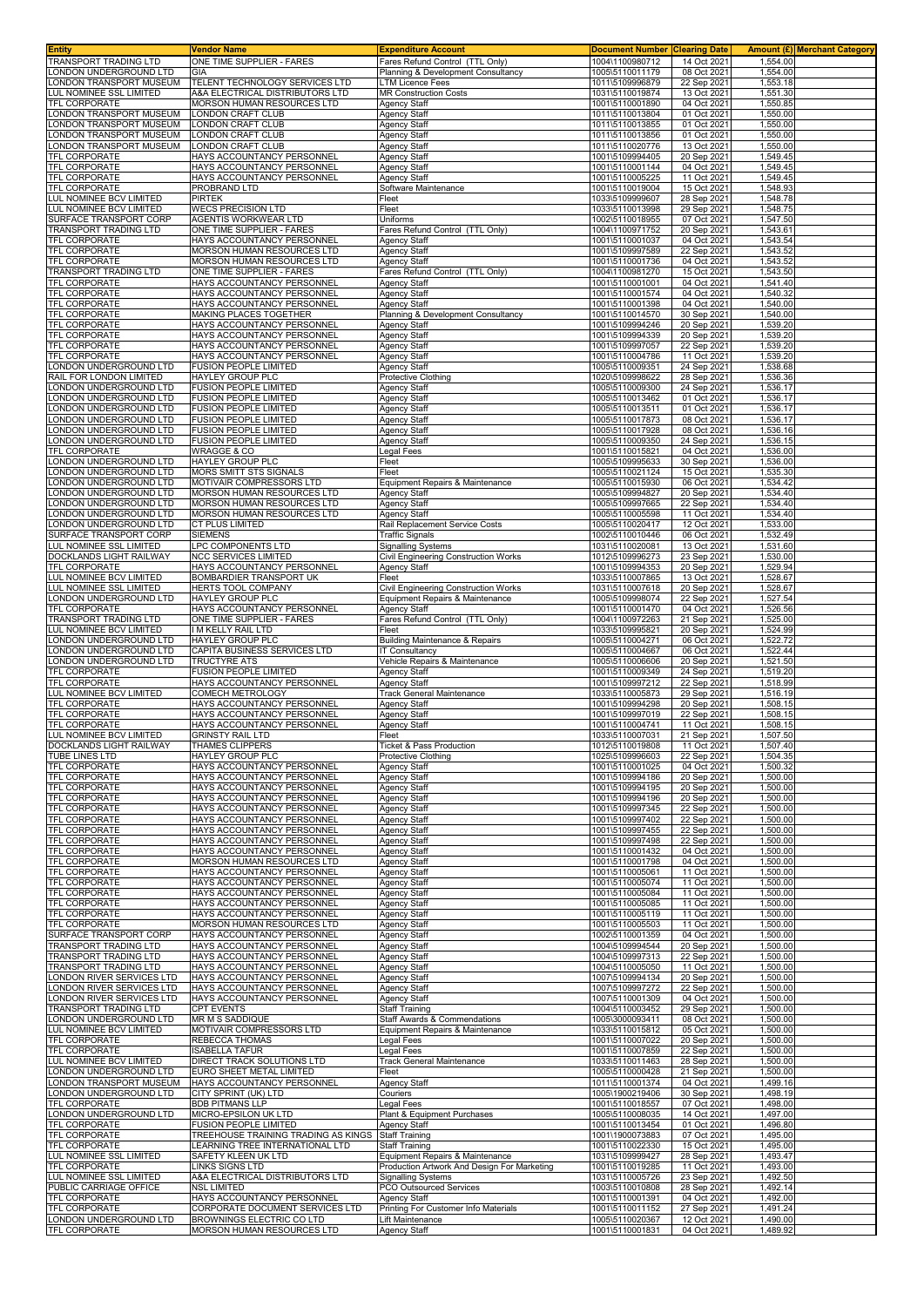| <b>Entity</b>                                     | Vendor Name                                                            | <b>Expenditure Account</b>                                            | <b>Document Number Clearing Date</b> |                            | Amount (£) Merchant Category |  |
|---------------------------------------------------|------------------------------------------------------------------------|-----------------------------------------------------------------------|--------------------------------------|----------------------------|------------------------------|--|
| <b>TRANSPORT TRADING LTD</b>                      | ONE TIME SUPPLIER - FARES<br>GIA                                       | Fares Refund Control (TTL Only)<br>Planning & Development Consultancy | 1004\1100980712                      | 14 Oct 2021                | 1,554.00                     |  |
| ONDON UNDERGROUND LTD<br>ONDON TRANSPORT MUSEUM   | TELENT TECHNOLOGY SERVICES LTD                                         | <b>LTM Licence Fees</b>                                               | 1005\5110011179<br>1011\5109996879   | 08 Oct 2021<br>22 Sep 2021 | 1,554.00<br>1,553.18         |  |
| UL NOMINEE SSL LIMITED                            | A&A ELECTRICAL DISTRIBUTORS LTD                                        | <b>MR Construction Costs</b>                                          | 1031\5110019874                      | 13 Oct 2021                | 1,551.30                     |  |
| TFL CORPORATE                                     | MORSON HUMAN RESOURCES LTD                                             | <b>Agency Staff</b>                                                   | 1001\5110001890                      | 04 Oct 2021                | 1,550.85                     |  |
| ONDON TRANSPORT MUSEUM                            | LONDON CRAFT CLUB                                                      | <b>Agency Staff</b>                                                   | 1011\5110013804                      | 01 Oct 2021                | 1,550.00                     |  |
| ONDON TRANSPORT MUSEUM                            | LONDON CRAFT CLUB                                                      | <b>Agency Staff</b>                                                   | 1011\5110013855                      | 01 Oct 2021                | 1,550.00                     |  |
| ONDON TRANSPORT MUSEUM<br>ONDON TRANSPORT MUSEUM  | LONDON CRAFT CLUB<br>LONDON CRAFT CLUB                                 | <b>Agency Staff</b><br>Agency Staff                                   | 1011\5110013856<br>1011\5110020776   | 01 Oct 2021<br>13 Oct 2021 | 1,550.00<br>1,550.00         |  |
| TFL CORPORATE                                     | HAYS ACCOUNTANCY PERSONNEL                                             | <b>Agency Staff</b>                                                   | 1001\5109994405                      | 20 Sep 2021                | 1,549.45                     |  |
| TFL CORPORATE                                     | HAYS ACCOUNTANCY PERSONNEL                                             | <b>Agency Staff</b>                                                   | 1001\5110001144                      | 04 Oct 2021                | 1,549.45                     |  |
| <b>TFL CORPORATE</b>                              | HAYS ACCOUNTANCY PERSONNEL                                             | Agency Staff                                                          | 1001\5110005225                      | 11 Oct 2021                | 1,549.45                     |  |
| TFL CORPORATE                                     | PROBRAND LTD                                                           | Software Maintenance                                                  | 1001\5110019004                      | 15 Oct 2021                | 1,548.93                     |  |
| LUL NOMINEE BCV LIMITED                           | <b>PIRTEK</b>                                                          | Fleet                                                                 | 1033\5109999607                      | 28 Sep 2021                | 1,548.78                     |  |
| LUL NOMINEE BCV LIMITED<br>SURFACE TRANSPORT CORP | <b>WECS PRECISION LTD</b><br>AGENTIS WORKWEAR LTD                      | Fleet<br>Uniforms                                                     | 1033\5110013998<br>1002\5110018955   | 29 Sep 2021<br>07 Oct 2021 | 1,548.75<br>1,547.50         |  |
| TRANSPORT TRADING LTD                             | ONE TIME SUPPLIER - FARES                                              | Fares Refund Control (TTL Only)                                       | 1004\1100971752                      | 20 Sep 2021                | 1,543.61                     |  |
| TFL CORPORATE                                     | HAYS ACCOUNTANCY PERSONNEL                                             | Agency Staff                                                          | 1001\5110001037                      | 04 Oct 2021                | 1,543.54                     |  |
| TFL CORPORATE                                     | MORSON HUMAN RESOURCES LTD                                             | <b>Agency Staff</b>                                                   | 1001\5109997589                      | 22 Sep 2021                | 1,543.52                     |  |
| <b>TFL CORPORATE</b>                              | <b>MORSON HUMAN RESOURCES LTD</b><br>ONE TIME SUPPLIER - FARES         | <b>Agency Staff</b><br>Fares Refund Control (TTL Only)                | 1001\5110001736                      | 04 Oct 2021                | 1,543.52<br>1,543.50         |  |
| TRANSPORT TRADING LTD<br>TFL CORPORATE            | HAYS ACCOUNTANCY PERSONNEL                                             | <b>Agency Staff</b>                                                   | 1004\1100981270<br>1001\5110001001   | 15 Oct 2021<br>04 Oct 2021 | 1,541.40                     |  |
| TFL CORPORATE                                     | HAYS ACCOUNTANCY PERSONNEL                                             | <b>Agency Staff</b>                                                   | 1001\5110001574                      | 04 Oct 2021                | 1,540.32                     |  |
| <b>TFL CORPORATE</b>                              | HAYS ACCOUNTANCY PERSONNEL                                             | <b>Agency Staff</b>                                                   | 1001\5110001398                      | 04 Oct 2021                | 1,540.00                     |  |
| TFL CORPORATE                                     | MAKING PLACES TOGETHER                                                 | Planning & Development Consultancy                                    | 1001\5110014570                      | 30 Sep 2021                | 1,540.00                     |  |
| TFL CORPORATE<br><b>TFL CORPORATE</b>             | HAYS ACCOUNTANCY PERSONNEL                                             | <b>Agency Staff</b>                                                   | 1001\5109994246                      | 20 Sep 2021                | 1,539.20                     |  |
| <b>TFL CORPORATE</b>                              | HAYS ACCOUNTANCY PERSONNEL<br>HAYS ACCOUNTANCY PERSONNEL               | <b>Agency Staff</b><br><b>Agency Staff</b>                            | 1001\5109994339<br>1001\5109997057   | 20 Sep 2021<br>22 Sep 2021 | 1,539.20<br>1,539.20         |  |
| <b>TFL CORPORATE</b>                              | HAYS ACCOUNTANCY PERSONNEL                                             | <b>Agency Staff</b>                                                   | 1001\5110004786                      | 11 Oct 2021                | 1,539.20                     |  |
| LONDON UNDERGROUND LTD                            | <b>FUSION PEOPLE LIMITED</b>                                           | Agency Staff                                                          | 1005\5110009351                      | 24 Sep 2021                | 1,538.68                     |  |
| RAIL FOR LONDON LIMITED                           | HAYLEY GROUP PLC                                                       | <b>Protective Clothing</b>                                            | 1020\5109998622                      | 28 Sep 2021                | 1,536.36                     |  |
| ONDON UNDERGROUND LTD<br>ONDON UNDERGROUND LTD    | <b>FUSION PEOPLE LIMITED</b><br><b>FUSION PEOPLE LIMITED</b>           | <b>Agency Staff</b><br><b>Agency Staff</b>                            | 1005\5110009300<br>1005\5110013462   | 24 Sep 2021<br>01 Oct 2021 | 1,536.17<br>1,536.17         |  |
| ONDON UNDERGROUND LTD                             | FUSION PEOPLE LIMITED                                                  | Agency Staff                                                          | 1005\5110013511                      | 01 Oct 2021                | 1,536.17                     |  |
| ONDON UNDERGROUND LTD                             | <b>FUSION PEOPLE LIMITED</b>                                           | <b>Agency Staff</b>                                                   | 1005\5110017873                      | 08 Oct 2021                | 1,536.17                     |  |
| ONDON UNDERGROUND LTD                             | <b>FUSION PEOPLE LIMITED</b>                                           | <b>Agency Staff</b>                                                   | 1005\5110017928                      | 08 Oct 2021                | 1,536.16                     |  |
| ONDON UNDERGROUND LTD                             | <b>FUSION PEOPLE LIMITED</b>                                           | Agency Staff                                                          | 1005\5110009350                      | 24 Sep 2021                | 1,536.15                     |  |
| TFL CORPORATE<br>ONDON UNDERGROUND LTD            | <b>WRAGGE &amp; CO</b><br>HAYLEY GROUP PLC                             | Legal Fees<br>Fleet                                                   | 1001\5110015821<br>1005\5109995633   | 04 Oct 2021<br>30 Sep 2021 | 1,536.00<br>1.536.00         |  |
| ONDON UNDERGROUND LTD                             | MORS SMITT STS SIGNALS                                                 | Fleet                                                                 | 1005\5110021124                      | 15 Oct 2021                | 1,535.30                     |  |
| ONDON UNDERGROUND LTD                             | MOTIVAIR COMPRESSORS LTD                                               | Equipment Repairs & Maintenance                                       | 1005\5110015930                      | 06 Oct 2021                | 1,534.42                     |  |
| ONDON UNDERGROUND LTD                             | MORSON HUMAN RESOURCES LTD                                             | <b>Agency Staff</b>                                                   | 1005\5109994827                      | 20 Sep 2021                | 1,534.40                     |  |
| ONDON UNDERGROUND LTD<br>ONDON UNDERGROUND LTD    | MORSON HUMAN RESOURCES LTD<br>MORSON HUMAN RESOURCES LTD               | <b>Agency Staff</b><br><b>Agency Staff</b>                            | 1005\5109997665<br>1005\5110005598   | 22 Sep 2021<br>11 Oct 2021 | 1,534.40<br>1,534.40         |  |
| ONDON UNDERGROUND LTD                             | <b>CT PLUS LIMITED</b>                                                 | Rail Replacement Service Costs                                        | 1005\5110020417                      | 12 Oct 2021                | 1,533.00                     |  |
| SURFACE TRANSPORT CORP                            | <b>SIEMENS</b>                                                         | <b>Traffic Signals</b>                                                | 1002\5110010446                      | 06 Oct 2021                | 1,532.49                     |  |
| LUL NOMINEE SSL LIMITED                           | LPC COMPONENTS LTD                                                     | <b>Signalling Systems</b>                                             | 1031\5110020081                      | 13 Oct 2021                | 1,531.60                     |  |
| DOCKLANDS LIGHT RAILWAY                           | NCC SERVICES LIMITED                                                   | Civil Engineering Construction Works                                  | 1012\5109996273                      | 23 Sep 2021                | 1,530.00                     |  |
| TFL CORPORATE<br>LUL NOMINEE BCV LIMITED          | HAYS ACCOUNTANCY PERSONNEL<br>BOMBARDIER TRANSPORT UK                  | <b>Agency Staff</b><br>Fleet                                          | 1001\5109994353<br>1033\5110007865   | 20 Sep 2021<br>13 Oct 2021 | 1,529.94<br>1,528.67         |  |
| LUL NOMINEE SSL LIMITED                           | HERTS TOOL COMPANY                                                     | Civil Engineering Construction Works                                  | 1031\5110007618                      | 20 Sep 2021                | 1,528.67                     |  |
| ONDON UNDERGROUND LTD                             | HAYLEY GROUP PLC                                                       | Equipment Repairs & Maintenance                                       | 1005\5109998074                      | 22 Sep 2021                | 1,527.54                     |  |
| TFL CORPORATE                                     | HAYS ACCOUNTANCY PERSONNEL                                             | Agency Staff                                                          | 1001\5110001470                      | 04 Oct 2021                | 1,526.56                     |  |
| TRANSPORT TRADING LTD<br>LUL NOMINEE BCV LIMITED  | ONE TIME SUPPLIER - FARES<br>I M KELLY RAIL LTD                        | Fares Refund Control (TTL Only)<br>Fleet                              | 1004\1100972263<br>1033\5109995821   | 21 Sep 2021<br>20 Sep 2021 | 1,525.00<br>1,524.99         |  |
| ONDON UNDERGROUND LTD                             | HAYLEY GROUP PLC                                                       | Building Maintenance & Repairs                                        | 1005\5110004271                      | 06 Oct 2021                | 1,522.72                     |  |
| ONDON UNDERGROUND LTD                             | CAPITA BUSINESS SERVICES LTD                                           | <b>IT Consultancy</b>                                                 | 1005\5110004667                      | 06 Oct 2021                | 1,522.44                     |  |
| ONDON UNDERGROUND LTD                             | <b>TRUCTYRE ATS</b>                                                    | Vehicle Repairs & Maintenance                                         | 1005\5110006606                      | 20 Sep 2021                | 1,521.50                     |  |
| TFL CORPORATE<br><b>TFL CORPORATE</b>             | <b>FUSION PEOPLE LIMITED</b><br>HAYS ACCOUNTANCY PERSONNEL             | <b>Agency Staff</b>                                                   | 1001\5110009349                      | 24 Sep 2021                | 1,519.20                     |  |
| LUL NOMINEE BCV LIMITED                           | COMECH METROLOGY                                                       | <b>Agency Staff</b><br><b>Track General Maintenance</b>               | 1001\5109997212<br>1033\5110005873   | 22 Sep 2021<br>29 Sep 2021 | 1,518.99<br>1,516.19         |  |
| TFL CORPORATE                                     | HAYS ACCOUNTANCY PERSONNEL                                             | <b>Agency Staff</b>                                                   | 1001\5109994298                      | 20 Sep 2021                | 1,508.15                     |  |
| <b>TFL CORPORATE</b>                              | HAYS ACCOUNTANCY PERSONNEL                                             | <b>Agency Staff</b>                                                   | 1001\5109997019                      | 22 Sep 2021                | 1,508.15                     |  |
| TFL CORPORATE                                     | HAYS ACCOUNTANCY PERSONNEL                                             | <b>Agency Staff</b>                                                   | 1001\5110004741                      | 11 Oct 2021                | 1,508.15                     |  |
| LUL NOMINEE BCV LIMITED                           | <b>GRINSTY RAIL LTD</b>                                                | Fleet                                                                 | 1033\5110007031                      | 21 Sep 2021                | 1,507.50                     |  |
| DOCKLANDS LIGHT RAILWAY<br><b>TUBE LINES LTD</b>  | THAMES CLIPPERS<br>HAYLEY GROUP PLC                                    | Ticket & Pass Production<br><b>Protective Clothing</b>                | 1012\5110019808<br>1025\5109996603   | 11 Oct 2021<br>22 Sep 2021 | 1,507.40<br>1,504.35         |  |
| <b>TFL CORPORATE</b>                              | HAYS ACCOUNTANCY PERSONNEL                                             | <b>Agency Staff</b>                                                   | 1001\5110001025                      | 04 Oct 2021                | 1,500.32                     |  |
| TFL CORPORATE                                     | HAYS ACCOUNTANCY PERSONNEL                                             | <b>Agency Staff</b>                                                   | 1001\5109994186                      | 20 Sep 2021                | 1,500.00                     |  |
| <b>TFL CORPORATE</b>                              | HAYS ACCOUNTANCY PERSONNEL                                             | <b>Agency Staff</b>                                                   | 1001\5109994195                      | 20 Sep 2021                | 1,500.00                     |  |
| <b>TFL CORPORATE</b><br>TFL CORPORATE             | HAYS ACCOUNTANCY PERSONNEL<br>HAYS ACCOUNTANCY PERSONNEL               | <b>Agency Staff</b><br><b>Agency Staff</b>                            | 1001\5109994196<br>1001\5109997345   | 20 Sep 2021<br>22 Sep 2021 | 1,500.00<br>1,500.00         |  |
| <b>TFL CORPORATE</b>                              | HAYS ACCOUNTANCY PERSONNEL                                             | <b>Agency Staff</b>                                                   | 1001\5109997402                      | 22 Sep 2021                | 1,500.00                     |  |
| <b>TFL CORPORATE</b>                              | HAYS ACCOUNTANCY PERSONNEL                                             | <b>Agency Staff</b>                                                   | 1001\5109997455                      | 22 Sep 2021                | 1,500.00                     |  |
| <b>TFL CORPORATE</b>                              | HAYS ACCOUNTANCY PERSONNEL                                             | <b>Agency Staff</b>                                                   | 1001\5109997498                      | 22 Sep 2021                | 1,500.00                     |  |
| TFL CORPORATE<br><b>TFL CORPORATE</b>             | HAYS ACCOUNTANCY PERSONNEL<br>MORSON HUMAN RESOURCES LTD               | <b>Agency Staff</b>                                                   | 1001\5110001432<br>1001\5110001798   | 04 Oct 2021<br>04 Oct 2021 | 1,500.00                     |  |
| <b>TFL CORPORATE</b>                              | HAYS ACCOUNTANCY PERSONNEL                                             | <b>Agency Staff</b><br><b>Agency Staff</b>                            | 1001\5110005061                      | 11 Oct 2021                | 1,500.00<br>1,500.00         |  |
| TFL CORPORATE                                     | HAYS ACCOUNTANCY PERSONNEL                                             | <b>Agency Staff</b>                                                   | 1001\5110005074                      | 11 Oct 2021                | 1,500.00                     |  |
| TFL CORPORATE                                     | HAYS ACCOUNTANCY PERSONNEL                                             | <b>Agency Staff</b>                                                   | 1001\5110005084                      | 11 Oct 2021                | 1,500.00                     |  |
| <b>TFL CORPORATE</b>                              | HAYS ACCOUNTANCY PERSONNEL                                             | <b>Agency Staff</b>                                                   | 1001\5110005085                      | 11 Oct 2021                | 1,500.00                     |  |
| TFL CORPORATE<br><b>TFL CORPORATE</b>             | HAYS ACCOUNTANCY PERSONNEL<br>MORSON HUMAN RESOURCES LTD               | <b>Agency Staff</b><br><b>Agency Staff</b>                            | 1001\5110005119<br>1001\5110005503   | 11 Oct 2021<br>11 Oct 2021 | 1,500.00<br>1,500.00         |  |
| SURFACE TRANSPORT CORP                            | HAYS ACCOUNTANCY PERSONNEL                                             | <b>Agency Staff</b>                                                   | 1002\5110001359                      | 04 Oct 2021                | 1,500.00                     |  |
| <b>FRANSPORT TRADING LTD</b>                      | HAYS ACCOUNTANCY PERSONNEL                                             | <b>Agency Staff</b>                                                   | 1004\5109994544                      | 20 Sep 2021                | 1,500.00                     |  |
| TRANSPORT TRADING LTD                             | HAYS ACCOUNTANCY PERSONNEL                                             | <b>Agency Staff</b>                                                   | 1004\5109997313                      | 22 Sep 2021                | 1,500.00                     |  |
| TRANSPORT TRADING LTD<br>ONDON RIVER SERVICES LTD | HAYS ACCOUNTANCY PERSONNEL<br>HAYS ACCOUNTANCY PERSONNEL               | <b>Agency Staff</b><br><b>Agency Staff</b>                            | 1004\5110005050<br>1007\5109994134   | 11 Oct 2021<br>20 Sep 2021 | 1,500.00<br>1,500.00         |  |
| LONDON RIVER SERVICES LTD                         | HAYS ACCOUNTANCY PERSONNEL                                             | <b>Agency Staff</b>                                                   | 1007\5109997272                      | 22 Sep 2021                | 1,500.00                     |  |
| ONDON RIVER SERVICES LTD                          | HAYS ACCOUNTANCY PERSONNEL                                             | <b>Agency Staff</b>                                                   | 1007\5110001309                      | 04 Oct 2021                | 1,500.00                     |  |
| <b>TRANSPORT TRADING LTD</b>                      | <b>CPT EVENTS</b>                                                      | Staff Training                                                        | 1004\5110003452                      | 29 Sep 2021                | 1,500.00                     |  |
| LONDON UNDERGROUND LTD<br>LUL NOMINEE BCV LIMITED | MR M S SADDIQUE<br>MOTIVAIR COMPRESSORS LTD                            | Staff Awards & Commendations<br>Equipment Repairs & Maintenance       | 1005\3000093411<br>1033\5110015812   | 08 Oct 2021<br>05 Oct 2021 | 1,500.00<br>1,500.00         |  |
| TFL CORPORATE                                     | REBECCA THOMAS                                                         | egal Fees                                                             | 1001\5110007022                      | 20 Sep 2021                | 1,500.00                     |  |
| TFL CORPORATE                                     | <b>ISABELLA TAFUR</b>                                                  | egal Fees                                                             | 1001\5110007859                      | 22 Sep 2021                | 1,500.00                     |  |
| LUL NOMINEE BCV LIMITED                           | DIRECT TRACK SOLUTIONS LTD                                             | Track General Maintenance                                             | 1033\5110011463                      | 28 Sep 2021                | 1,500.00                     |  |
| LONDON UNDERGROUND LTD                            | EURO SHEET METAL LIMITED                                               | Fleet                                                                 | 1005\5110000428                      | 21 Sep 2021                | 1,500.00                     |  |
| ONDON TRANSPORT MUSEUM<br>LONDON UNDERGROUND LTD  | HAYS ACCOUNTANCY PERSONNEL<br>CITY SPRINT (UK) LTD                     | Agency Staff<br>Couriers                                              | 1011\5110001374<br>1005\1900219406   | 04 Oct 2021<br>30 Sep 2021 | 1,499.16<br>1,498.19         |  |
| TFL CORPORATE                                     | <b>BDB PITMANS LLP</b>                                                 | Legal Fees                                                            | 1001\5110018557                      | 07 Oct 2021                | 1,498.00                     |  |
| LONDON UNDERGROUND LTD                            | MICRO-EPSILON UK LTD                                                   | Plant & Equipment Purchases                                           | 1005\5110008035                      | 14 Oct 2021                | 1,497.00                     |  |
| <b>TFL CORPORATE</b>                              | FUSION PEOPLE LIMITED                                                  | Agency Staff                                                          | 1001\5110013454                      | 01 Oct 2021                | 1,496.80                     |  |
| TFL CORPORATE<br>TFL CORPORATE                    | TREEHOUSE TRAINING TRADING AS KINGS<br>LEARNING TREE INTERNATIONAL LTD | <b>Staff Training</b><br>Staff Training                               | 1001\1900073883<br>1001\5110022330   | 07 Oct 2021<br>15 Oct 2021 | 1,495.00<br>1,495.00         |  |
| LUL NOMINEE SSL LIMITED                           | SAFETY KLEEN UK LTD                                                    | Equipment Repairs & Maintenance                                       | 1031\5109999427                      | 28 Sep 2021                | 1,493.47                     |  |
| <b>TFL CORPORATE</b>                              | LINKS SIGNS LTD                                                        | Production Artwork And Design For Marketing                           | 1001\5110019285                      | 11 Oct 2021                | 1,493.00                     |  |
| LUL NOMINEE SSL LIMITED                           | A&A ELECTRICAL DISTRIBUTORS LTD                                        | <b>Signalling Systems</b>                                             | 1031\5110005726                      | 23 Sep 2021                | 1,492.50                     |  |
| PUBLIC CARRIAGE OFFICE<br>TFL CORPORATE           | <b>NSL LIMITED</b><br>HAYS ACCOUNTANCY PERSONNEL                       | PCO Outsourced Services                                               | 1003\5110010808                      | 28 Sep 2021                | 1,492.14                     |  |
| TFL CORPORATE                                     | CORPORATE DOCUMENT SERVICES LTD                                        | <b>Agency Staff</b><br>Printing For Customer Info Materials           | 1001\5110001391<br>1001\5110011152   | 04 Oct 2021<br>27 Sep 2021 | 1,492.00<br>1,491.24         |  |
| LONDON UNDERGROUND LTD                            | BROWNINGS ELECTRIC CO LTD                                              | Lift Maintenance                                                      | 1005\5110020367                      | 12 Oct 2021                | 1,490.00                     |  |
| <b>TFL CORPORATE</b>                              | MORSON HUMAN RESOURCES LTD                                             | <b>Agency Staff</b>                                                   | 1001\5110001831                      | 04 Oct 2021                | 1,489.92                     |  |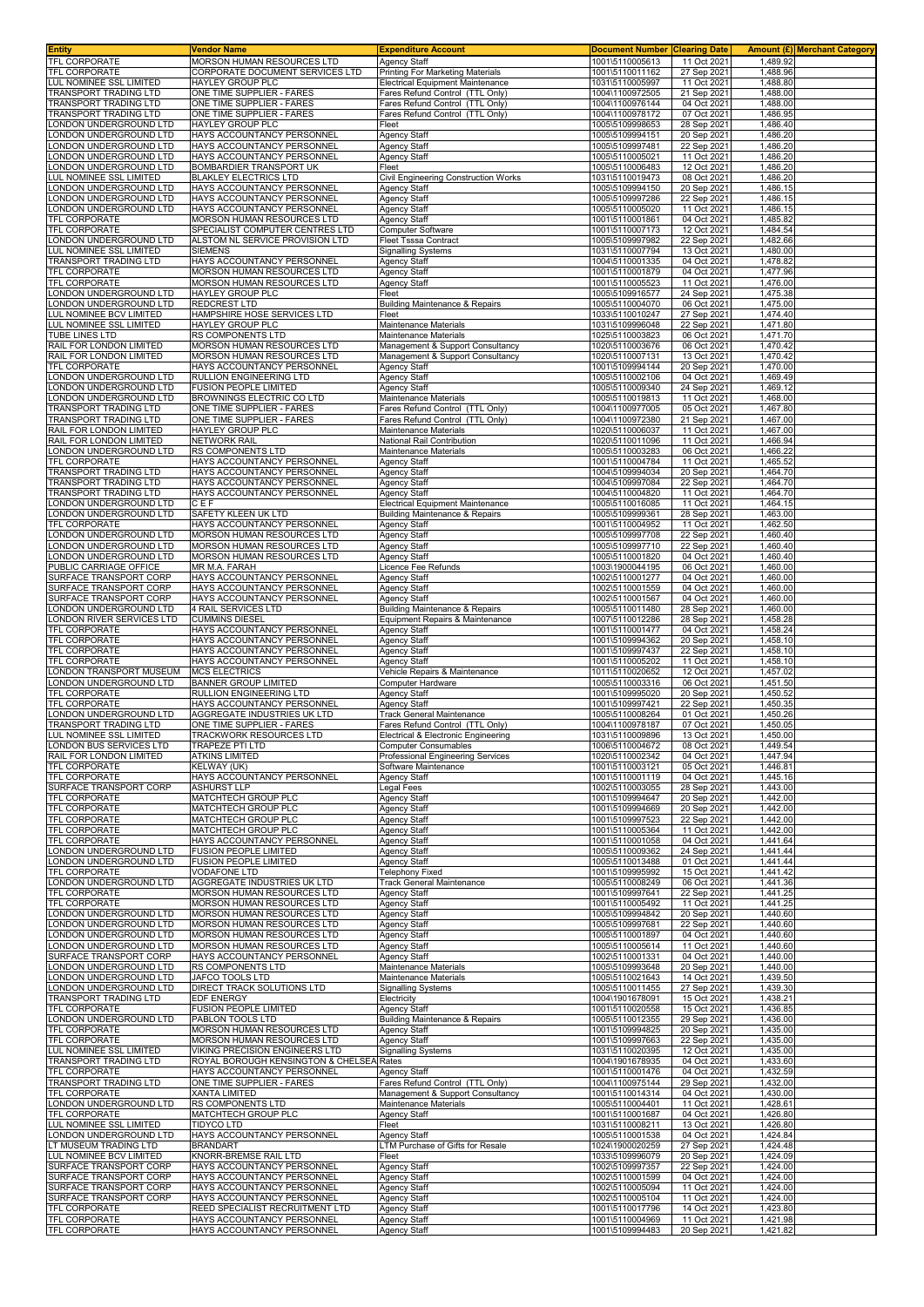| <b>Entity</b>                                      | Vendor Name                                                   | <b>Expenditure Account</b>                                         | <b>Document Number</b>             | <b>Clearing Date</b>       |                      | <b>Amount (£) Merchant Category</b> |
|----------------------------------------------------|---------------------------------------------------------------|--------------------------------------------------------------------|------------------------------------|----------------------------|----------------------|-------------------------------------|
| TFL CORPORATE<br>TFL CORPORATE                     | MORSON HUMAN RESOURCES LTD<br>CORPORATE DOCUMENT SERVICES LTD | <b>Agency Staff</b><br>Printing For Marketing Materials            | 1001\5110005613<br>1001\5110011162 | 11 Oct 2021<br>27 Sep 2021 | 1,489.92<br>1,488.96 |                                     |
| LUL NOMINEE SSL LIMITED                            | HAYLEY GROUP PLC                                              | Electrical Equipment Maintenance                                   | 1031\5110005997                    | 11 Oct 2021                | 1,488.80             |                                     |
| TRANSPORT TRADING LTD                              | ONE TIME SUPPLIER - FARES                                     | Fares Refund Control (TTL Only)                                    | 1004\1100972505                    | 21 Sep 2021                | 1,488.00             |                                     |
| TRANSPORT TRADING LTD<br>TRANSPORT TRADING LTD     | ONE TIME SUPPLIER - FARES<br>ONE TIME SUPPLIER - FARES        | Fares Refund Control (TTL Only)<br>Fares Refund Control (TTL Only) | 1004\1100976144<br>1004\1100978172 | 04 Oct 2021<br>07 Oct 2021 | 1,488.00<br>1,486.95 |                                     |
| LONDON UNDERGROUND LTD                             | HAYLEY GROUP PLC                                              | Fleet                                                              | 1005\5109998653                    | 28 Sep 2021                | 1,486.40             |                                     |
| ONDON UNDERGROUND LTD                              | HAYS ACCOUNTANCY PERSONNEL                                    | <b>Agency Staff</b>                                                | 1005\5109994151                    | 20 Sep 202                 | 1,486.20             |                                     |
| ONDON UNDERGROUND LTD<br>ONDON UNDERGROUND LTD     | HAYS ACCOUNTANCY PERSONNEL<br>HAYS ACCOUNTANCY PERSONNEL      | Agency Staff<br>Agency Staff                                       | 1005\5109997481<br>1005\5110005021 | 22 Sep 2021<br>11 Oct 2021 | 1,486.20<br>1,486.20 |                                     |
| ONDON UNDERGROUND LTD                              | BOMBARDIER TRANSPORT UK                                       | Fleet                                                              | 1005\5110006483                    | 12 Oct 2021                | 1,486.20             |                                     |
| UL NOMINEE SSL LIMITED                             | BLAKLEY ELECTRICS LTD                                         | Civil Engineering Construction Works                               | 1031\5110019473                    | 08 Oct 202                 | 1,486.20             |                                     |
| ONDON UNDERGROUND LTD                              | HAYS ACCOUNTANCY PERSONNEL                                    | Agency Staff                                                       | 1005\5109994150                    | 20 Sep 2021                | 1,486.15             |                                     |
| ONDON UNDERGROUND LTD<br>ONDON UNDERGROUND LTD     | HAYS ACCOUNTANCY PERSONNEL<br>HAYS ACCOUNTANCY PERSONNEL      | Agency Staff<br>Agency Staff                                       | 1005\5109997286<br>1005\5110005020 | 22 Sep 2021<br>11 Oct 2021 | 1,486.15<br>1,486.15 |                                     |
| TFL CORPORATE                                      | MORSON HUMAN RESOURCES LTD                                    | Agency Staff                                                       | 1001\5110001861                    | 04 Oct 2021                | 1,485.82             |                                     |
| TFL CORPORATE                                      | SPECIALIST COMPUTER CENTRES LTD                               | Computer Software                                                  | 1001\5110007173                    | 12 Oct 2021                | 1,484.54<br>1.482.66 |                                     |
| ONDON UNDERGROUND LTD<br>LUL NOMINEE SSL LIMITED   | ALSTOM NL SERVICE PROVISION LTD<br><b>SIEMENS</b>             | <b>Fleet Tsssa Contract</b><br><b>Signalling Systems</b>           | 1005\5109997982<br>1031\5110007794 | 22 Sep 2021<br>13 Oct 2021 | 1,480.00             |                                     |
| <b>TRANSPORT TRADING LTD</b>                       | HAYS ACCOUNTANCY PERSONNEL                                    | <b>Agency Staff</b>                                                | 1004\5110001335                    | 04 Oct 2021                | 1,478.82             |                                     |
| TFL CORPORATE                                      | MORSON HUMAN RESOURCES LTD                                    | Agency Staff                                                       | 1001\5110001879                    | 04 Oct 2021                | 1,477.96             |                                     |
| TFL CORPORATE<br>LONDON UNDERGROUND LTD            | <b>MORSON HUMAN RESOURCES LTD</b><br>HAYLEY GROUP PLC         | Agency Staff<br>Fleet                                              | 1001\5110005523<br>1005\5109916577 | 11 Oct 2021<br>24 Sep 2021 | 1,476.00<br>1,475.38 |                                     |
| LONDON UNDERGROUND LTD                             | <b>REDCREST LTD</b>                                           | Building Maintenance & Repairs                                     | 1005\5110004070                    | 06 Oct 2021                | 1,475.00             |                                     |
| LUL NOMINEE BCV LIMITED                            | HAMPSHIRE HOSE SERVICES LTD                                   | Fleet                                                              | 1033\5110010247                    | 27 Sep 2021                | 1,474.40             |                                     |
| LUL NOMINEE SSL LIMITED<br>TUBE LINES LTD          | HAYLEY GROUP PLC<br>RS COMPONENTS LTD                         | Maintenance Materials<br>Maintenance Materials                     | 1031\5109996048<br>1025\5110003823 | 22 Sep 2021<br>06 Oct 2021 | 1,471.80<br>1,471.70 |                                     |
| RAIL FOR LONDON LIMITED                            | MORSON HUMAN RESOURCES LTD                                    | Management & Support Consultancy                                   | 1020\5110003676                    | 06 Oct 2021                | 1,470.42             |                                     |
| RAIL FOR LONDON LIMITED                            | MORSON HUMAN RESOURCES LTD                                    | Management & Support Consultancy                                   | 1020\5110007131                    | 13 Oct 2021                | 1,470.42             |                                     |
| TFL CORPORATE<br>LONDON UNDERGROUND LTD            | HAYS ACCOUNTANCY PERSONNEL<br>RULLION ENGINEERING LTD         | <b>Agency Staff</b><br><b>Agency Staff</b>                         | 1001\5109994144<br>1005\5110002106 | 20 Sep 2021<br>04 Oct 2021 | 1,470.00<br>1,469.49 |                                     |
| ONDON UNDERGROUND LTD                              | <b>FUSION PEOPLE LIMITED</b>                                  | Agency Staff                                                       | 1005\5110009340                    | 24 Sep 2021                | 1,469.12             |                                     |
| ONDON UNDERGROUND LTD                              | BROWNINGS ELECTRIC CO LTD                                     | Maintenance Materials                                              | 1005\5110019813                    | 11 Oct 2021                | 1,468.00             |                                     |
| TRANSPORT TRADING LTD<br>TRANSPORT TRADING LTD     | ONE TIME SUPPLIER - FARES<br>ONE TIME SUPPLIER - FARES        | Fares Refund Control (TTL Only)<br>Fares Refund Control (TTL Only) | 1004\1100977005<br>1004\1100972380 | 05 Oct 2021<br>21 Sep 202  | 1,467.80<br>1,467.00 |                                     |
| RAIL FOR LONDON LIMITED                            | HAYLEY GROUP PLC                                              | Maintenance Materials                                              | 1020\5110006037                    | 11 Oct 2021                | 1,467.00             |                                     |
| RAIL FOR LONDON LIMITED                            | <b>NETWORK RAIL</b>                                           | National Rail Contribution                                         | 1020\5110011096                    | 11 Oct 2021                | 1,466.94             |                                     |
| ONDON UNDERGROUND LTD<br>TFL CORPORATE             | RS COMPONENTS LTD<br>HAYS ACCOUNTANCY PERSONNEI               | Maintenance Materials<br><b>Agency Staff</b>                       | 1005\5110003283<br>1001\5110004784 | 06 Oct 2021<br>11 Oct 2021 | 1,466.22<br>1,465.52 |                                     |
| TRANSPORT TRADING LTD                              | HAYS ACCOUNTANCY PERSONNEI                                    | Agency Staff                                                       | 1004\5109994034                    | 20 Sep 2021                | 1,464.70             |                                     |
| TRANSPORT TRADING LTD                              | HAYS ACCOUNTANCY PERSONNEL                                    | Agency Staff                                                       | 1004\5109997084                    | 22 Sep 2021                | 1,464.70             |                                     |
| TRANSPORT TRADING LTD<br>ONDON UNDERGROUND LTD.    | HAYS ACCOUNTANCY PERSONNEL<br>CEF                             | Agency Staff<br><b>Electrical Equipment Maintenance</b>            | 1004\5110004820<br>1005\5110016085 | 11 Oct 2021<br>11 Oct 2021 | 1.464.70<br>1,464.15 |                                     |
| ONDON UNDERGROUND LTD                              | SAFETY KLEEN UK LTD                                           | Building Maintenance & Repairs                                     | 1005\5109999361                    | 28 Sep 2021                | 1,463.00             |                                     |
| TFL CORPORATE                                      | HAYS ACCOUNTANCY PERSONNEL                                    | Agency Staff                                                       | 1001\5110004952                    | 11 Oct 2021                | 1,462.50             |                                     |
| ONDON UNDERGROUND LTD<br>ONDON UNDERGROUND LTD     | MORSON HUMAN RESOURCES LTD<br>MORSON HUMAN RESOURCES LTD      | Agency Staff<br>Agency Staff                                       | 1005\5109997708<br>1005\5109997710 | 22 Sep 2021<br>22 Sep 2021 | 1,460.40<br>1,460.40 |                                     |
| ONDON UNDERGROUND LTD                              | MORSON HUMAN RESOURCES LTD                                    | Agency Staff                                                       | 1005\5110001820                    | 04 Oct 2021                | 1,460.40             |                                     |
| PUBLIC CARRIAGE OFFICE                             | MR M.A. FARAH                                                 | Licence Fee Refunds                                                | 1003\1900044195                    | 06 Oct 2021                | 1,460.00             |                                     |
| SURFACE TRANSPORT CORP<br>SURFACE TRANSPORT CORP   | HAYS ACCOUNTANCY PERSONNEL<br>HAYS ACCOUNTANCY PERSONNEL      | Agency Staff<br>Agency Staff                                       | 1002\5110001277<br>1002\5110001559 | 04 Oct 2021<br>04 Oct 2021 | 1,460.00<br>1,460.00 |                                     |
| SURFACE TRANSPORT CORP                             | HAYS ACCOUNTANCY PERSONNEL                                    | Agency Staff                                                       | 1002\5110001567                    | 04 Oct 2021                | 1,460.00             |                                     |
| ONDON UNDERGROUND LTD                              | 4 RAIL SERVICES LTD                                           | <b>Building Maintenance &amp; Repairs</b>                          | 1005\5110011480                    | 28 Sep 2021                | 1,460.00             |                                     |
| ONDON RIVER SERVICES LTD<br>TFL CORPORATE          | <b>CUMMINS DIESEL</b><br>HAYS ACCOUNTANCY PERSONNEL           | Equipment Repairs & Maintenance<br>Agency Staff                    | 1007\5110012286<br>1001\5110001477 | 28 Sep 2021<br>04 Oct 2021 | 1,458.28<br>1,458.24 |                                     |
| TFL CORPORATE                                      | HAYS ACCOUNTANCY PERSONNEL                                    | Agency Staff                                                       | 1001\5109994362                    | 20 Sep 2021                | 1,458.10             |                                     |
| TFL CORPORATE                                      | HAYS ACCOUNTANCY PERSONNEL                                    | <b>Agency Staff</b>                                                | 1001\5109997437                    | 22 Sep 2021                | 1,458.10             |                                     |
| TFL CORPORATE<br>LONDON TRANSPORT MUSEUM           | HAYS ACCOUNTANCY PERSONNEL<br>MCS ELECTRICS                   | Agency Staff<br>Vehicle Repairs & Maintenance                      | 1001\5110005202<br>1011\5110020652 | 11 Oct 2021<br>12 Oct 2021 | 1,458.10<br>1,457.02 |                                     |
| ONDON UNDERGROUND LTD                              | BANNER GROUP LIMITED                                          | Computer Hardware                                                  | 1005\5110003316                    | 06 Oct 2021                | 1,451.50             |                                     |
| TFL CORPORATE                                      | RULLION ENGINEERING LTD                                       | Agency Staff                                                       | 1001\5109995020                    | 20 Sep 2021                | 1,450.52             |                                     |
| TFL CORPORATE<br>ONDON UNDERGROUND LTD             | HAYS ACCOUNTANCY PERSONNEL<br>AGGREGATE INDUSTRIES UK LTD     | <b>Agency Staff</b><br><b>Track General Maintenance</b>            | 1001\5109997421<br>1005\5110008264 | 22 Sep 2021<br>01 Oct 2021 | 1,450.35<br>1,450.26 |                                     |
| TRANSPORT TRADING LTD                              | ONE TIME SUPPLIER - FARES                                     | Fares Refund Control (TTL Only)                                    | 1004\1100978187                    | 07 Oct 2021                | 1,450.05             |                                     |
| LUL NOMINEE SSL LIMITED                            | TRACKWORK RESOURCES LTD                                       | Electrical & Electronic Engineering                                | 1031\5110009896                    | 13 Oct 2021                | 1,450.00             |                                     |
| LONDON BUS SERVICES LTD<br>RAIL FOR LONDON LIMITED | <b>TRAPEZE PTI LTD</b><br><b>ATKINS LIMITED</b>               | <b>Computer Consumables</b><br>Professional Engineering Services   | 1006\5110004672<br>1020\5110002342 | 08 Oct 2021<br>04 Oct 2021 | 1.449.54<br>1,447.94 |                                     |
| TFL CORPORATE                                      | KELWAY (UK)                                                   | Software Maintenance                                               | 1001\5110003121                    | 05 Oct 2021                | 1,446.81             |                                     |
| TFL CORPORATE                                      | HAYS ACCOUNTANCY PERSONNEL                                    | <b>Agency Staff</b>                                                | 1001\5110001119                    | 04 Oct 2021                | 1,445.16             |                                     |
| SURFACE TRANSPORT CORP<br>TFL CORPORATE            | <b>ASHURST LLP</b><br>MATCHTECH GROUP PLC                     | Legal Fees<br><b>Agency Staff</b>                                  | 1002\5110003055<br>1001\5109994647 | 28 Sep 2021<br>20 Sep 2021 | 1,443.00<br>1,442.00 |                                     |
| TFL CORPORATE                                      | MATCHTECH GROUP PLC                                           | Agency Staff                                                       | 1001\5109994669                    | 20 Sep 2021                | 1,442.00             |                                     |
| <b>TFL CORPORATE</b>                               | MATCHTECH GROUP PLC                                           | <b>Agency Staff</b>                                                | 1001\5109997523                    | 22 Sep 2021                | 1,442.00             |                                     |
| TFL CORPORATE                                      | MATCHTECH GROUP PLC                                           | Agency Staff                                                       | 1001\5110005364                    | 11 Oct 2021                | 1,442.00<br>1,441.64 |                                     |
| TFL CORPORATE<br>LONDON UNDERGROUND LTD            | HAYS ACCOUNTANCY PERSONNEL<br><b>FUSION PEOPLE LIMITED</b>    | Agency Staff<br>Agency Staff                                       | 1001\5110001058<br>1005\5110009362 | 04 Oct 2021<br>24 Sep 2021 | 1,441.44             |                                     |
| ONDON UNDERGROUND LTD                              | <b>FUSION PEOPLE LIMITED</b>                                  | <b>Agency Staff</b>                                                | 1005\5110013488                    | 01 Oct 2021                | 1,441.44             |                                     |
| TFL CORPORATE<br>LONDON UNDERGROUND LTD            | <b>VODAFONE LTD</b><br>AGGREGATE INDUSTRIES UK LTD            | <b>Telephony Fixed</b><br><b>Track General Maintenance</b>         | 1001\5109995992<br>1005\5110008249 | 15 Oct 2021<br>06 Oct 2021 | 1,441.42<br>1,441.36 |                                     |
| TFL CORPORATE                                      | MORSON HUMAN RESOURCES LTD                                    | Agency Staff                                                       | 1001\5109997641                    | 22 Sep 2021                | 1,441.25             |                                     |
| TFL CORPORATE                                      | MORSON HUMAN RESOURCES LTD                                    | Agency Staff                                                       | 1001\5110005492                    | 11 Oct 2021                | 1,441.25             |                                     |
| LONDON UNDERGROUND LTD<br>ONDON UNDERGROUND LTD    | MORSON HUMAN RESOURCES LTD<br>MORSON HUMAN RESOURCES LTD      | Agency Staff<br>Agency Staff                                       | 1005\5109994842<br>1005\5109997681 | 20 Sep 2021<br>22 Sep 2021 | 1,440.60<br>1,440.60 |                                     |
| ONDON UNDERGROUND LTD                              | MORSON HUMAN RESOURCES LTD                                    | Agency Staff                                                       | 1005\5110001897                    | 04 Oct 2021                | 1,440.60             |                                     |
| ONDON UNDERGROUND LTD                              | MORSON HUMAN RESOURCES LTD                                    | <b>Agency Staff</b>                                                | 1005\5110005614                    | 11 Oct 2021                | 1,440.60             |                                     |
| SURFACE TRANSPORT CORP<br>ONDON UNDERGROUND LTD    | HAYS ACCOUNTANCY PERSONNEL<br>RS COMPONENTS LTD               | Agency Staff<br>Maintenance Materials                              | 1002\5110001331<br>1005\5109993648 | 04 Oct 2021<br>20 Sep 2021 | 1,440.00<br>1,440.00 |                                     |
| ONDON UNDERGROUND LTD                              | JAFCO TOOLS LTD                                               | Maintenance Materials                                              | 1005\5110021643                    | 14 Oct 2021                | 1,439.50             |                                     |
| LONDON UNDERGROUND LTD                             | DIRECT TRACK SOLUTIONS LTD                                    | <b>Signalling Systems</b>                                          | 1005\5110011455                    | 27 Sep 2021                | 1,439.30             |                                     |
| TRANSPORT TRADING LTD<br>TFL CORPORATE             | EDF ENERGY<br><b>FUSION PEOPLE LIMITED</b>                    | Electricity<br>Agency Staff                                        | 1004\1901678091<br>1001\5110020558 | 15 Oct 2021<br>15 Oct 2021 | 1,438.21<br>1,436.85 |                                     |
| LONDON UNDERGROUND LTD                             | PABLON TOOLS LTD                                              | Building Maintenance & Repairs                                     | 1005\5110012355                    | 29 Sep 2021                | 1,436.00             |                                     |
| <b>TFL CORPORATE</b>                               | MORSON HUMAN RESOURCES LTD                                    | <b>Agency Staff</b>                                                | 1001\5109994825                    | 20 Sep 2021                | 1,435.00             |                                     |
| TFL CORPORATE<br>LUL NOMINEE SSL LIMITED           | MORSON HUMAN RESOURCES LTD<br>VIKING PRECISION ENGINEERS LTD  | Agency Staff<br><b>Signalling Systems</b>                          | 1001\5109997663<br>1031\5110020395 | 22 Sep 2021<br>12 Oct 2021 | 1,435.00<br>1,435.00 |                                     |
| TRANSPORT TRADING LTD                              | ROYAL BOROUGH KENSINGTON & CHELSEA Rates                      |                                                                    | 1004\1901678935                    | 04 Oct 2021                | 1,433.60             |                                     |
| TFL CORPORATE                                      | HAYS ACCOUNTANCY PERSONNEL                                    | <b>Agency Staff</b><br>Fares Refund Control (TTL Only)             | 1001\5110001476                    | 04 Oct 2021                | 1,432.59             |                                     |
| TRANSPORT TRADING LTD<br>TFL CORPORATE             | ONE TIME SUPPLIER - FARES<br>XANTA LIMITED                    | Management & Support Consultancy                                   | 1004\1100975144<br>1001\5110014314 | 29 Sep 2021<br>04 Oct 2021 | 1,432.00<br>1,430.00 |                                     |
| LONDON UNDERGROUND LTD                             | RS COMPONENTS LTD                                             | Maintenance Materials                                              | 1005\5110004401                    | 11 Oct 2021                | 1,428.61             |                                     |
| TFL CORPORATE                                      | MATCHTECH GROUP PLC                                           | <b>Agency Staff</b>                                                | 1001\5110001687                    | 04 Oct 2021                | 1,426.80             |                                     |
| LUL NOMINEE SSL LIMITED<br>LONDON UNDERGROUND LTD  | TIDYCO LTD<br>HAYS ACCOUNTANCY PERSONNEL                      | Fleet<br>Agency Staff                                              | 1031\5110008211<br>1005\5110001538 | 13 Oct 2021<br>04 Oct 2021 | 1,426.80<br>1,424.84 |                                     |
| LT MUSEUM TRADING LTD                              | BRANDART                                                      | LTM Purchase of Gifts for Resale                                   | 1024\1900020259                    | 27 Sep 2021                | 1,424.48             |                                     |
| LUL NOMINEE BCV LIMITED                            | KNORR-BREMSE RAIL LTD                                         | Fleet                                                              | 1033\5109996079                    | 20 Sep 2021                | 1,424.09             |                                     |
| SURFACE TRANSPORT CORP<br>SURFACE TRANSPORT CORP   | HAYS ACCOUNTANCY PERSONNEL<br>HAYS ACCOUNTANCY PERSONNEL      | Agency Staff<br>Agency Staff                                       | 1002\5109997357<br>1002\5110001599 | 22 Sep 2021<br>04 Oct 2021 | 1,424.00<br>1,424.00 |                                     |
| SURFACE TRANSPORT CORP                             | HAYS ACCOUNTANCY PERSONNEL                                    | <b>Agency Staff</b>                                                | 1002\5110005094                    | 11 Oct 2021                | 1,424.00             |                                     |
| SURFACE TRANSPORT CORP                             | HAYS ACCOUNTANCY PERSONNEL                                    | Agency Staff                                                       | 1002\5110005104                    | 11 Oct 2021                | 1,424.00             |                                     |
| TFL CORPORATE<br>TFL CORPORATE                     | REED SPECIALIST RECRUITMENT LTD<br>HAYS ACCOUNTANCY PERSONNEL | <b>Agency Staff</b><br>Agency Staff                                | 1001\5110017796<br>1001\5110004969 | 14 Oct 2021<br>11 Oct 2021 | 1,423.80<br>1,421.98 |                                     |
| TFL CORPORATE                                      | HAYS ACCOUNTANCY PERSONNEL                                    | <b>Agency Staff</b>                                                | 1001\5109994483                    | 20 Sep 2021                | 1,421.82             |                                     |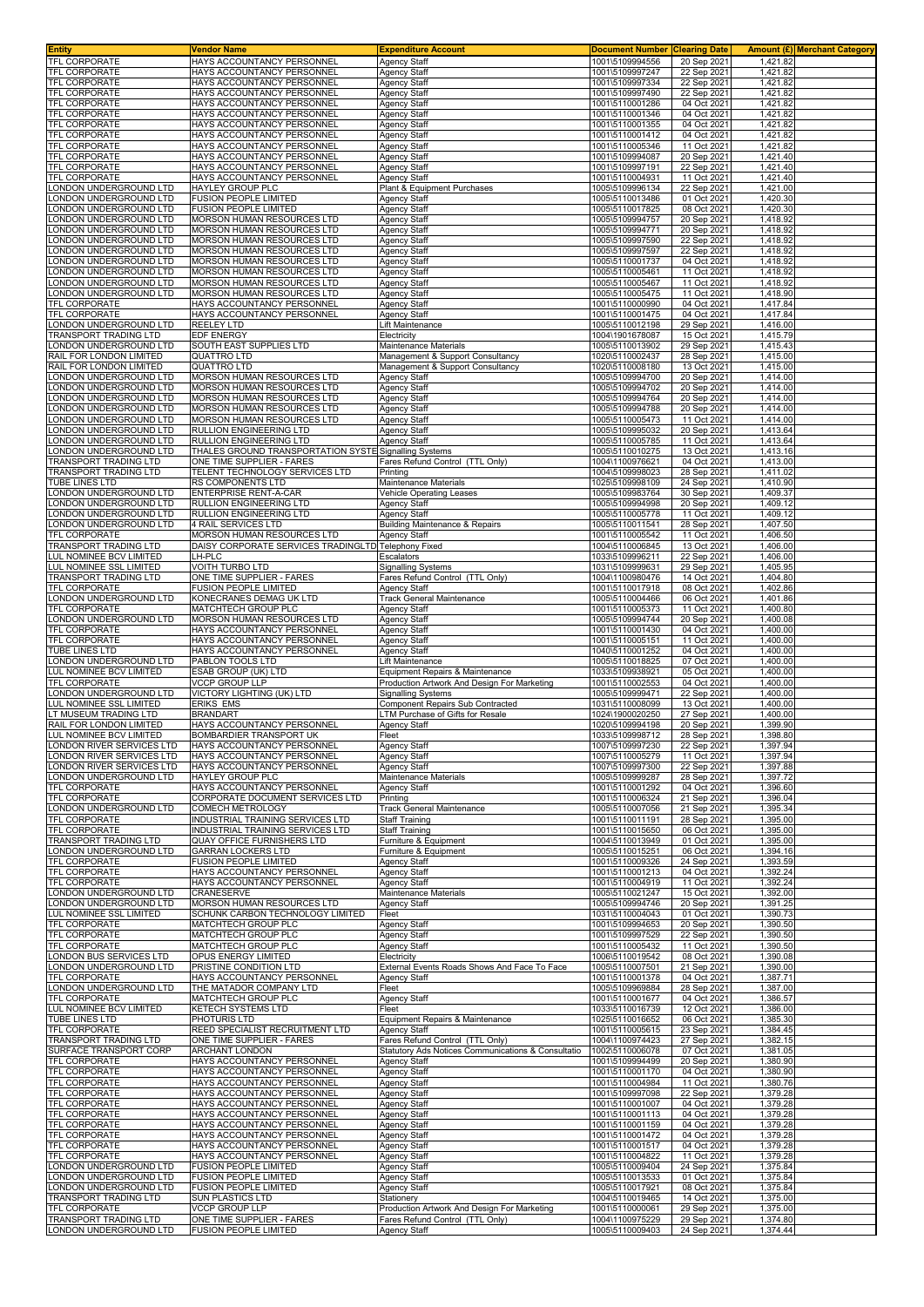| Entity                                                | Vendor Name                                                   | <b>Expenditure Account</b>                                                     | <b>Document Number</b>             | <b>Clearing Date</b>       |                      | <b>Amount (£) Merchant Category</b> |
|-------------------------------------------------------|---------------------------------------------------------------|--------------------------------------------------------------------------------|------------------------------------|----------------------------|----------------------|-------------------------------------|
| TFL CORPORATE                                         | HAYS ACCOUNTANCY PERSONNEL                                    | <b>Agency Staff</b>                                                            | 1001\5109994556                    | 20 Sep 2021                | 1,421.82             |                                     |
| <b>TFL CORPORATE</b>                                  | HAYS ACCOUNTANCY PERSONNEL                                    | <b>Agency Staff</b>                                                            | 1001\5109997247                    | 22 Sep 2021                | 1,421.82             |                                     |
| <b>TFL CORPORATE</b>                                  | HAYS ACCOUNTANCY PERSONNEL                                    | <b>Agency Staff</b>                                                            | 1001\5109997334                    | 22 Sep 2021                | 1,421.82             |                                     |
| <b>TFL CORPORATE</b>                                  | HAYS ACCOUNTANCY PERSONNEI                                    | <b>Agency Staff</b>                                                            | 1001\5109997490                    | 22 Sep 2021                | 1,421.82             |                                     |
| <b>TFL CORPORATE</b>                                  | HAYS ACCOUNTANCY PERSONNEL                                    | <b>Agency Staff</b>                                                            | 1001\5110001286                    | 04 Oct 2021                | 1,421.82             |                                     |
| <b>TFL CORPORATE</b><br><b>TFL CORPORATE</b>          | HAYS ACCOUNTANCY PERSONNEL                                    | Agency Staff                                                                   | 1001\5110001346                    | 04 Oct 2021                | 1,421.82             |                                     |
|                                                       | HAYS ACCOUNTANCY PERSONNEL<br>HAYS ACCOUNTANCY PERSONNEL      | <b>Agency Staff</b>                                                            | 1001\5110001355                    | 04 Oct 2021<br>04 Oct 2021 | 1,421.82             |                                     |
| <b>TFL CORPORATE</b><br><b>TFL CORPORATE</b>          | HAYS ACCOUNTANCY PERSONNEL                                    | <b>Agency Staff</b><br>Agency Staff                                            | 1001\5110001412<br>1001\5110005346 | 11 Oct 2021                | 1,421.82<br>1,421.82 |                                     |
| <b>TFL CORPORATE</b>                                  | HAYS ACCOUNTANCY PERSONNEL                                    | Agency Staff                                                                   | 1001\5109994087                    | 20 Sep 2021                | 1,421.40             |                                     |
| <b>FEL CORPORATE</b>                                  | HAYS ACCOUNTANCY PERSONNEL                                    | Agency Staff                                                                   | 1001\5109997191                    | 22 Sep 2021                | 1,421.40             |                                     |
| TFL CORPORATE                                         | HAYS ACCOUNTANCY PERSONNEL                                    | Agency Staff                                                                   | 1001\5110004931                    | 11 Oct 2021                | 1,421.40             |                                     |
| ONDON UNDERGROUND LTD                                 | HAYLEY GROUP PLC                                              | Plant & Equipment Purchases                                                    | 1005\5109996134                    | 22 Sep 2021                | 1,421.00             |                                     |
| ONDON UNDERGROUND LTD                                 | <b>FUSION PEOPLE LIMITED</b>                                  | <b>Agency Staff</b>                                                            | 1005\5110013486                    | 01 Oct 2021                | 1,420.30             |                                     |
| ONDON UNDERGROUND LTD                                 | <b>FUSION PEOPLE LIMITED</b>                                  | <b>Agency Staff</b>                                                            | 1005\5110017825                    | 08 Oct 2021                | 1,420.30             |                                     |
| ONDON UNDERGROUND LTD.                                | MORSON HUMAN RESOURCES LTD                                    | <b>Agency Staff</b>                                                            | 1005\5109994757                    | 20 Sep 2021                | 1,418.92             |                                     |
| ONDON UNDERGROUND LTD                                 | MORSON HUMAN RESOURCES LTD                                    | <b>Agency Staff</b>                                                            | 1005\5109994771                    | 20 Sep 2021                | 1,418.92             |                                     |
| ONDON UNDERGROUND LTD.                                | MORSON HUMAN RESOURCES LTD                                    | <b>Agency Staff</b>                                                            | 1005\5109997590                    | 22 Sep 2021                | 1,418.92             |                                     |
| ONDON UNDERGROUND LTD                                 | MORSON HUMAN RESOURCES LTD                                    | <b>Agency Staff</b>                                                            | 1005\5109997597                    | 22 Sep 2021                | 1,418.92             |                                     |
| ONDON UNDERGROUND LTD.                                | <b>MORSON HUMAN RESOURCES LTD</b>                             | <b>Agency Staff</b>                                                            | 1005\5110001737                    | 04 Oct 2021                | 1,418.92             |                                     |
| ONDON UNDERGROUND LTD                                 | MORSON HUMAN RESOURCES LTD                                    | Agency Staff                                                                   | 1005\5110005461                    | 11 Oct 2021                | 1,418.92             |                                     |
| ONDON UNDERGROUND LTD                                 | MORSON HUMAN RESOURCES LTD                                    | Agency Staff                                                                   | 1005\5110005467                    | 11 Oct 2021                | 1,418.92             |                                     |
| ONDON UNDERGROUND LTD                                 | MORSON HUMAN RESOURCES LTD                                    | Agency Staff                                                                   | 1005\5110005475                    | 11 Oct 2021                | 1,418.90             |                                     |
| <b>TFL CORPORATE</b>                                  | HAYS ACCOUNTANCY PERSONNEL                                    | <b>Agency Staff</b>                                                            | 1001\5110000990                    | 04 Oct 2021                | 1,417.84             |                                     |
| <b>TFL CORPORATE</b>                                  | HAYS ACCOUNTANCY PERSONNEL<br><b>REELEY LTD</b>               | Agency Staff                                                                   | 1001\5110001475                    | 04 Oct 2021                | 1,417.84<br>1,416.00 |                                     |
| ONDON UNDERGROUND LTD<br><b>FRANSPORT TRADING LTD</b> | EDF ENERGY                                                    | Lift Maintenance<br>Electricity                                                | 1005\5110012198<br>1004\1901678087 | 29 Sep 2021<br>15 Oct 2021 | 1,415.79             |                                     |
| ONDON UNDERGROUND LTD                                 | SOUTH EAST SUPPLIES LTD                                       | <b>Maintenance Materials</b>                                                   | 1005\5110013902                    | 29 Sep 2021                | 1,415.43             |                                     |
| RAIL FOR LONDON LIMITED                               | QUATTRO LTD                                                   | Management & Support Consultancy                                               | 1020\5110002437                    | 28 Sep 2021                | 1,415.00             |                                     |
| RAIL FOR LONDON LIMITED                               | QUATTRO LTD                                                   | Management & Support Consultancy                                               | 1020\5110008180                    | 13 Oct 2021                | 1,415.00             |                                     |
| ONDON UNDERGROUND LTD.                                | MORSON HUMAN RESOURCES LTD                                    | Agency Staff                                                                   | 1005\5109994700                    | 20 Sep 2021                | 1,414.00             |                                     |
| ONDON UNDERGROUND LTD                                 | MORSON HUMAN RESOURCES LTD                                    | <b>Agency Staff</b>                                                            | 1005\5109994702                    | 20 Sep 2021                | 1,414.00             |                                     |
| ONDON UNDERGROUND LTD                                 | MORSON HUMAN RESOURCES LTD                                    | Agency Staff                                                                   | 1005\5109994764                    | 20 Sep 2021                | 1,414.00             |                                     |
| ONDON UNDERGROUND LTD                                 | MORSON HUMAN RESOURCES LTD                                    | <b>Agency Staff</b>                                                            | 1005\5109994788                    | 20 Sep 2021                | 1,414.00             |                                     |
| ONDON UNDERGROUND LTD.                                | MORSON HUMAN RESOURCES LTD                                    | <b>Agency Staff</b>                                                            | 1005\5110005473                    | 11 Oct 2021                | 1,414.00             |                                     |
| ONDON UNDERGROUND LTD                                 | <b>RULLION ENGINEERING LTD</b>                                | Agency Staff                                                                   | 1005\5109995032                    | 20 Sep 2021                | 1,413.64             |                                     |
| ONDON UNDERGROUND LTD                                 | <b>RULLION ENGINEERING LTD</b>                                | Agency Staff                                                                   | 1005\5110005785                    | 11 Oct 2021                | 1,413.64             |                                     |
| ONDON UNDERGROUND LTD                                 | THALES GROUND TRANSPORTATION SYSTE Signalling Systems         |                                                                                | 1005\5110010275                    | 13 Oct 2021                | 1,413.16             |                                     |
| <b>FRANSPORT TRADING LTD</b>                          | ONE TIME SUPPLIER - FARES                                     | Fares Refund Control (TTL Only)                                                | 1004\1100976621                    | 04 Oct 2021                | 1.413.00             |                                     |
| <b>FRANSPORT TRADING LTD</b>                          | TELENT TECHNOLOGY SERVICES LTD                                | Printing                                                                       | 1004\5109998023                    | 28 Sep 2021                | 1,411.02             |                                     |
| <b>TUBE LINES LTD</b>                                 | RS COMPONENTS LTD                                             | Maintenance Materials                                                          | 1025\5109998109                    | 24 Sep 2021                | 1,410.90             |                                     |
| ONDON UNDERGROUND LTD                                 | ENTERPRISE RENT-A-CAR                                         | Vehicle Operating Leases                                                       | 1005\5109983764                    | 30 Sep 2021                | 1,409.37             |                                     |
| ONDON UNDERGROUND LTD.                                | <b>RULLION ENGINEERING LTD</b>                                | Agency Staff                                                                   | 1005\5109994998                    | 20 Sep 2021                | 1,409.12             |                                     |
| ONDON UNDERGROUND LTD                                 | RULLION ENGINEERING LTD                                       | Agency Staff                                                                   | 1005\5110005778                    | 11 Oct 2021                | 1,409.12             |                                     |
| ONDON UNDERGROUND LTD.                                | 4 RAIL SERVICES LTD                                           | <b>Building Maintenance &amp; Repairs</b>                                      | 1005\5110011541                    | 28 Sep 2021                | 1,407.50             |                                     |
| <b>TFL CORPORATE</b><br>FRANSPORT TRADING LTD         | MORSON HUMAN RESOURCES LTD                                    | Agency Staff                                                                   | 1001\5110005542<br>1004\5110006845 | 11 Oct 2021<br>13 Oct 2021 | 1,406.50<br>1,406.00 |                                     |
| <b>LUL NOMINEE BCV LIMITED</b>                        | DAISY CORPORATE SERVICES TRADINGLTD Telephony Fixed<br>LH-PLC |                                                                                | 1033\5109996211                    | 22 Sep 2021                | 1,406.00             |                                     |
| UL NOMINEE SSL LIMITED                                | VOITH TURBO LTD                                               | Escalators<br><b>Signalling Systems</b>                                        | 1031\5109999631                    | 29 Sep 2021                | 1,405.95             |                                     |
| <b>FRANSPORT TRADING LTD</b>                          | ONE TIME SUPPLIER - FARES                                     | Fares Refund Control (TTL Only)                                                | 1004\1100980476                    | 14 Oct 2021                | 1,404.80             |                                     |
| <b>TFL CORPORATE</b>                                  | <b>FUSION PEOPLE LIMITED</b>                                  | Agency Staff                                                                   | 1001\5110017918                    | 08 Oct 2021                | 1,402.86             |                                     |
| ONDON UNDERGROUND LTD                                 | KONECRANES DEMAG UK LTD                                       | Track General Maintenance                                                      | 1005\5110004466                    | 06 Oct 2021                | 1,401.86             |                                     |
| <b>FL CORPORATE</b>                                   | MATCHTECH GROUP PLC                                           | Agency Staff                                                                   | 1001\5110005373                    | 11 Oct 2021                | 1,400.80             |                                     |
| ONDON UNDERGROUND LTD                                 | MORSON HUMAN RESOURCES LTD                                    | Agency Staff                                                                   | 1005\5109994744                    | 20 Sep 2021                | 1,400.08             |                                     |
| <b>TFL CORPORATE</b>                                  | HAYS ACCOUNTANCY PERSONNEL                                    | Agency Staff                                                                   | 1001\5110001430                    | 04 Oct 2021                | 1,400.00             |                                     |
| <b>TFL CORPORATE</b>                                  | HAYS ACCOUNTANCY PERSONNEL                                    | Agency Staff                                                                   | 1001\5110005151                    | 11 Oct 2021                | 1,400.00             |                                     |
| TUBE LINES LTD                                        | HAYS ACCOUNTANCY PERSONNEL                                    | Agency Staff                                                                   | 1040\5110001252                    | 04 Oct 2021                | 1,400.00             |                                     |
| ONDON UNDERGROUND LTD                                 | PABLON TOOLS LTD                                              | Lift Maintenance                                                               | 1005\5110018825                    | 07 Oct 2021                | 1,400.00             |                                     |
| <b>LUL NOMINEE BCV LIMITED</b>                        | ESAB GROUP (UK) LTD                                           | Equipment Repairs & Maintenance                                                | 1033\5109938921                    | 05 Oct 2021                | 1,400.00             |                                     |
| <b>TFL CORPORATE</b>                                  | VCCP GROUP LLP                                                | Production Artwork And Design For Marketing                                    | 1001\5110002553                    | 04 Oct 2021                | 1,400.00             |                                     |
| ONDON UNDERGROUND LTD                                 | VICTORY LIGHTING (UK) LTD                                     | Signalling Systems                                                             | 1005\5109999471                    | 22 Sep 2021                | 1,400.00             |                                     |
| LUL NOMINEE SSL LIMITED                               | <b>ERIKS EMS</b>                                              | <b>Component Repairs Sub Contracted</b>                                        | 1031\5110008099                    | 13 Oct 2021                | 1,400.00             |                                     |
| T MUSEUM TRADING LTD                                  | <b>BRANDART</b>                                               | TM Purchase of Gifts for Resale                                                | 1024\1900020250                    | 27 Sep 2021                | 1,400.00             |                                     |
| RAIL FOR LONDON LIMITED                               | HAYS ACCOUNTANCY PERSONNEL                                    | Agency Staff                                                                   | 1020\5109994198                    | 20 Sep 2021                | 1,399.90             |                                     |
| LUL NOMINEE BCV LIMITED                               | BOMBARDIER TRANSPORT UK                                       | Fleet                                                                          | 1033\5109998712                    | 28 Sep 2021                | 1,398.80             |                                     |
| LONDON RIVER SERVICES LTD<br>ONDON RIVER SERVICES LTD | HAYS ACCOUNTANCY PERSONNEL<br>HAYS ACCOUNTANCY PERSONNEL      | Agency Staff<br><b>Agency Staff</b>                                            | 1007\5109997230<br>1007\5110005279 | 22 Sep 2021<br>11 Oct 2021 | 1,397.94<br>1,397.94 |                                     |
| ONDON RIVER SERVICES LTD.                             | <b>HAYS ACCOUNTANCY PERSONNEL</b>                             | <b>Agency Staff</b>                                                            | 1007\5109997300                    | 22 Sep 2021                | 1,397.88             |                                     |
| ONDON UNDERGROUND LTD                                 | <b>HAYLEY GROUP PLC</b>                                       | Maintenance Materials                                                          | 1005\5109999287                    | 28 Sep 2021                | 1,397.72             |                                     |
| <b>TFL CORPORATE</b>                                  | HAYS ACCOUNTANCY PERSONNEL                                    | <b>Agency Staff</b>                                                            | 1001\5110001292                    | 04 Oct 2021                | 1.396.60             |                                     |
| TFL CORPORATE                                         | CORPORATE DOCUMENT SERVICES LTD                               | Printing                                                                       | 1001\5110006324                    | 21 Sep 2021                | 1,396.04             |                                     |
| ONDON UNDERGROUND LTD                                 | <b>COMECH METROLOGY</b>                                       | Track General Maintenance                                                      | 1005\5110007056                    | 21 Sep 2021                | 1,395.34             |                                     |
| TFL CORPORATE                                         | INDUSTRIAL TRAINING SERVICES LTD                              | <b>Staff Training</b>                                                          | 1001\5110011191                    | 28 Sep 2021                | 1,395.00             |                                     |
| TFL CORPORATE                                         | INDUSTRIAL TRAINING SERVICES LTD                              | <b>Staff Training</b>                                                          | 1001\5110015650                    | 06 Oct 2021                | 1,395.00             |                                     |
| <b>TRANSPORT TRADING LTD</b>                          | <b>QUAY OFFICE FURNISHERS LTD</b>                             | Furniture & Equipment                                                          | 1004\5110013949                    | 01 Oct 2021                | 1,395.00             |                                     |
| ONDON UNDERGROUND LTD                                 | <b>GARRAN LOCKERS LTD</b>                                     | Furniture & Equipment                                                          | 1005\5110015251                    | 06 Oct 2021                | 1,394.16             |                                     |
| <b>TFL CORPORATE</b>                                  | <b>FUSION PEOPLE LIMITED</b>                                  | Agency Staff                                                                   | 1001\5110009326                    | 24 Sep 2021                | 1,393.59             |                                     |
| <b>TFL CORPORATE</b>                                  | HAYS ACCOUNTANCY PERSONNEL                                    | <b>Agency Staff</b>                                                            | 1001\5110001213                    | 04 Oct 2021                | 1,392.24<br>1,392.24 |                                     |
| <b>TFL CORPORATE</b><br>ONDON UNDERGROUND LTD         | HAYS ACCOUNTANCY PERSONNEL<br>CRANESERVE                      | Agency Staff<br>Maintenance Materials                                          | 1001\5110004919<br>1005\5110021247 | 11 Oct 2021<br>15 Oct 2021 | 1,392.00             |                                     |
| ONDON UNDERGROUND LTD                                 | MORSON HUMAN RESOURCES LTD                                    | <b>Agency Staff</b>                                                            | 1005\5109994746                    | 20 Sep 2021                | 1.391.25             |                                     |
| LUL NOMINEE SSL LIMITED                               | SCHUNK CARBON TECHNOLOGY LIMITED                              | Fleet                                                                          | 1031\5110004043                    | 01 Oct 2021                | 1,390.73             |                                     |
| <b>TFL CORPORATE</b>                                  | MATCHTECH GROUP PLC                                           | <b>Agency Staff</b>                                                            | 1001\5109994653                    | 20 Sep 2021                | 1,390.50             |                                     |
| TFL CORPORATE                                         | MATCHTECH GROUP PLC                                           | <b>Agency Staff</b>                                                            | 1001\5109997529                    | 22 Sep 2021                | 1,390.50             |                                     |
| <b>TFL CORPORATE</b>                                  | MATCHTECH GROUP PLC                                           | <b>Agency Staff</b>                                                            | 1001\5110005432                    | 11 Oct 2021                | 1,390.50             |                                     |
| ONDON BUS SERVICES LTD                                | OPUS ENERGY LIMITED                                           | Electricity                                                                    | 1006\5110019542                    | 08 Oct 2021                | 1,390.08             |                                     |
| ONDON UNDERGROUND LTD                                 | PRISTINE CONDITION LTD                                        | External Events Roads Shows And Face To Face                                   | 1005\5110007501                    | 21 Sep 2021                | 1,390.00             |                                     |
| <b>TFL CORPORATE</b>                                  | HAYS ACCOUNTANCY PERSONNEL                                    | Agency Staff                                                                   | 1001\5110001378                    | 04 Oct 2021                | 1,387.71             |                                     |
| ONDON UNDERGROUND LTD                                 | THE MATADOR COMPANY LTD                                       | Fleet                                                                          | 1005\5109969884                    | 28 Sep 2021                | 1,387.00             |                                     |
| TFL CORPORATE                                         | MATCHTECH GROUP PLC                                           | Agency Staff                                                                   |                                    |                            |                      |                                     |
| LUL NOMINEE BCV LIMITED<br><b>TUBE LINES LTD</b>      |                                                               |                                                                                | 1001\5110001677                    | 04 Oct 2021                | 1,386.57             |                                     |
|                                                       | KETECH SYSTEMS LTD                                            | Fleet                                                                          | 1033\5110016739                    | 12 Oct 2021                | 1,386.00             |                                     |
|                                                       | PHOTURIS LTD                                                  | Equipment Repairs & Maintenance                                                | 1025\5110016652                    | 06 Oct 2021                | 1,385.30             |                                     |
| <b>TFL CORPORATE</b>                                  | REED SPECIALIST RECRUITMENT LTD                               | <b>Agency Staff</b>                                                            | 1001\5110005615                    | 23 Sep 2021                | 1,384.45             |                                     |
| <b>FRANSPORT TRADING LTD</b>                          | ONE TIME SUPPLIER - FARES                                     | Fares Refund Control (TTL Only)                                                | 1004\1100974423                    | 27 Sep 2021                | 1,382.15             |                                     |
| SURFACE TRANSPORT CORP<br><b>TFL CORPORATE</b>        | <b>ARCHANT LONDON</b>                                         | Statutory Ads Notices Communications & Consultatio                             | 1002\5110006078                    | 07 Oct 2021                | 1,381.05             |                                     |
| TFL CORPORATE                                         | HAYS ACCOUNTANCY PERSONNEL<br>HAYS ACCOUNTANCY PERSONNEL      | <b>Agency Staff</b><br><b>Agency Staff</b>                                     | 1001\5109994499<br>1001\5110001170 | 20 Sep 2021<br>04 Oct 2021 | 1,380.90<br>1,380.90 |                                     |
| <b>TFL CORPORATE</b>                                  | HAYS ACCOUNTANCY PERSONNEL                                    | <b>Agency Staff</b>                                                            | 1001\5110004984                    | 11 Oct 2021                | 1,380.76             |                                     |
| <b>TFL CORPORATE</b>                                  | HAYS ACCOUNTANCY PERSONNEL                                    | Agency Staff                                                                   | 1001\5109997098                    | 22 Sep 2021                | 1,379.28             |                                     |
| TFL CORPORATE                                         | HAYS ACCOUNTANCY PERSONNEL                                    | <b>Agency Staff</b>                                                            | 1001\5110001007                    | 04 Oct 2021                | 1,379.28             |                                     |
| TFL CORPORATE                                         | HAYS ACCOUNTANCY PERSONNEL                                    | <b>Agency Staff</b>                                                            | 1001\5110001113                    | 04 Oct 2021                | 1,379.28             |                                     |
| <b>TFL CORPORATE</b>                                  | HAYS ACCOUNTANCY PERSONNEL                                    | <b>Agency Staff</b>                                                            | 1001\5110001159                    | 04 Oct 2021                | 1,379.28             |                                     |
| <b>TFL CORPORATE</b>                                  | HAYS ACCOUNTANCY PERSONNEL                                    | <b>Agency Staff</b>                                                            | 1001\5110001472                    | 04 Oct 2021                | 1,379.28             |                                     |
| TFL CORPORATE                                         | HAYS ACCOUNTANCY PERSONNEL                                    | <b>Agency Staff</b>                                                            | 1001\5110001517                    | 04 Oct 2021                | 1,379.28             |                                     |
| <b>TFL CORPORATE</b>                                  | HAYS ACCOUNTANCY PERSONNEL                                    | <b>Agency Staff</b>                                                            | 1001\5110004822                    | 11 Oct 2021                | 1,379.28             |                                     |
| ONDON UNDERGROUND LTD                                 | <b>FUSION PEOPLE LIMITED</b>                                  | Agency Staff                                                                   | 1005\5110009404                    | 24 Sep 2021                | 1,375.84             |                                     |
| ONDON UNDERGROUND LTD                                 | FUSION PEOPLE LIMITED                                         | <b>Agency Staff</b>                                                            | 1005\5110013533                    | 01 Oct 2021                | 1,375.84             |                                     |
| ONDON UNDERGROUND LTD                                 | <b>FUSION PEOPLE LIMITED</b>                                  | Agency Staff                                                                   | 1005\5110017921                    | 08 Oct 2021                | 1,375.84             |                                     |
| <b>FRANSPORT TRADING LTD</b>                          | SUN PLASTICS LTD                                              | Stationery                                                                     | 1004\5110019465                    | 14 Oct 2021                | 1,375.00             |                                     |
| <b>TFL CORPORATE</b><br><b>FRANSPORT TRADING LTD</b>  | VCCP GROUP LLP<br>ONE TIME SUPPLIER - FARES                   | Production Artwork And Design For Marketing<br>Fares Refund Control (TTL Only) | 1001\5110000061<br>1004\1100975229 | 29 Sep 2021<br>29 Sep 2021 | 1,375.00<br>1,374.80 |                                     |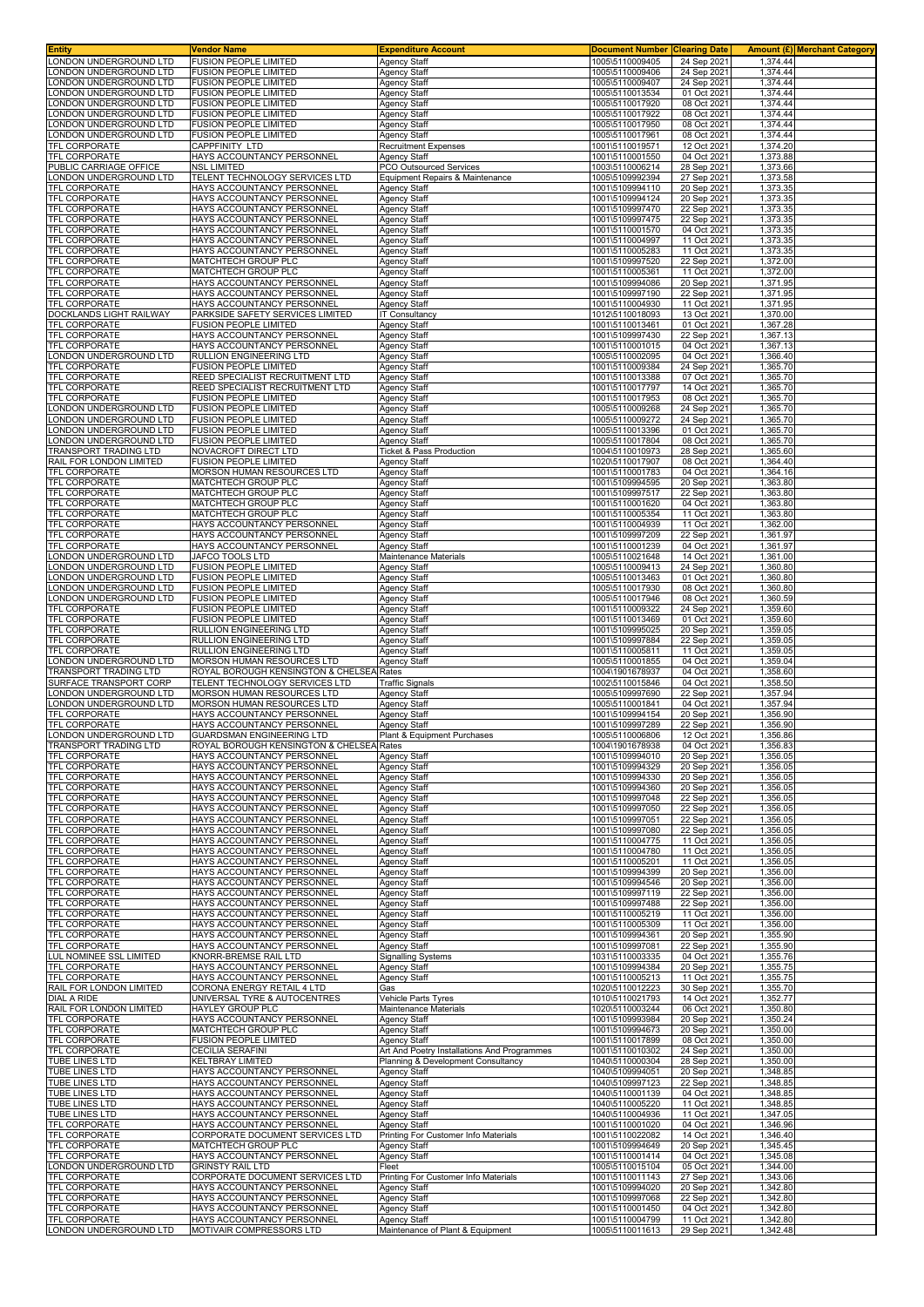| <b>Entity</b>                                          | Vendor Name                                                                  | <b>Expenditure Account</b>                                | <b>Document Number</b>             | <b>Clearing Date</b>       |                       | Amount (£) Merchant Category |
|--------------------------------------------------------|------------------------------------------------------------------------------|-----------------------------------------------------------|------------------------------------|----------------------------|-----------------------|------------------------------|
| LONDON UNDERGROUND LTD<br>ONDON UNDERGROUND LTD        | <b>FUSION PEOPLE LIMITED</b><br><b>FUSION PEOPLE LIMITED</b>                 | <b>Agency Staff</b><br><b>Agency Staff</b>                | 1005\5110009405<br>1005\5110009406 | 24 Sep 2021<br>24 Sep 2021 | 1,374.44<br>1,374.44  |                              |
| ONDON UNDERGROUND LTD                                  | <b>FUSION PEOPLE LIMITED</b>                                                 | <b>Agency Staff</b>                                       | 1005\5110009407                    | 24 Sep 2021                | 1,374.44              |                              |
| ONDON UNDERGROUND LTD                                  | <b>FUSION PEOPLE LIMITED</b>                                                 | <b>Agency Staff</b>                                       | 1005\5110013534                    | 01 Oct 2021                | 1,374.44              |                              |
| LONDON UNDERGROUND LTD<br>ONDON UNDERGROUND LTD        | <b>FUSION PEOPLE LIMITED</b><br><b>FUSION PEOPLE LIMITED</b>                 | <b>Agency Staff</b>                                       | 1005\5110017920<br>1005\5110017922 | 08 Oct 2021<br>08 Oct 2021 | 1,374.44<br>1,374.44  |                              |
| ONDON UNDERGROUND LTD                                  | FUSION PEOPLE LIMITED                                                        | <b>Agency Staff</b><br><b>Agency Staff</b>                | 1005\5110017950                    | 08 Oct 2021                | 1,374.44              |                              |
| ONDON UNDERGROUND LTD.                                 | FUSION PEOPLE LIMITED                                                        | <b>Agency Staff</b>                                       | 1005\5110017961                    | 08 Oct 2021                | 1,374.44              |                              |
| TFL CORPORATE<br><b>TFL CORPORATE</b>                  | CAPPFINITY LTD<br>HAYS ACCOUNTANCY PERSONNEL                                 | <b>Recruitment Expenses</b><br><b>Agency Staff</b>        | 1001\5110019571<br>1001\5110001550 | 12 Oct 2021<br>04 Oct 2021 | 1,374.20<br>1,373.88  |                              |
| PUBLIC CARRIAGE OFFICE                                 | NSL LIMITED                                                                  | PCO Outsourced Services                                   | 1003\5110006214                    | 28 Sep 2021                | 1,373.66              |                              |
| LONDON UNDERGROUND LTD                                 | TELENT TECHNOLOGY SERVICES LTD                                               | Equipment Repairs & Maintenance                           | 1005\5109992394                    | 27 Sep 2021                | 1,373.58              |                              |
| TFL CORPORATE<br>TFL CORPORATE                         | HAYS ACCOUNTANCY PERSONNEL<br>HAYS ACCOUNTANCY PERSONNEL                     | <b>Agency Staff</b><br><b>Agency Staff</b>                | 1001\5109994110<br>1001\5109994124 | 20 Sep 2021<br>20 Sep 2021 | 1,373.35<br>1,373.35  |                              |
| TFL CORPORATE                                          | HAYS ACCOUNTANCY PERSONNEL                                                   | <b>Agency Staff</b>                                       | 1001\5109997470                    | 22 Sep 2021                | 1,373.35              |                              |
| TFL CORPORATE                                          | HAYS ACCOUNTANCY PERSONNEI                                                   | <b>Agency Staff</b>                                       | 1001\5109997475                    | 22 Sep 202                 | 1,373.35              |                              |
| <b>TFL CORPORATE</b><br>TFL CORPORATE                  | HAYS ACCOUNTANCY PERSONNEL<br>HAYS ACCOUNTANCY PERSONNEL                     | <b>Agency Staff</b><br><b>Agency Staff</b>                | 1001\5110001570<br>1001\5110004997 | 04 Oct 2021<br>11 Oct 2021 | 1,373.35<br>1,373.35  |                              |
| TFL CORPORATE                                          | HAYS ACCOUNTANCY PERSONNEL                                                   | <b>Agency Staff</b>                                       | 1001\5110005283                    | 11 Oct 2021                | 1,373.35              |                              |
| <b>TFL CORPORATE</b>                                   | MATCHTECH GROUP PLC                                                          | <b>Agency Staff</b>                                       | 1001\5109997520                    | 22 Sep 2021                | 1,372.00              |                              |
| <b>TFL CORPORATE</b><br><b>TFL CORPORATE</b>           | MATCHTECH GROUP PLC<br>HAYS ACCOUNTANCY PERSONNEL                            | <b>Agency Staff</b><br><b>Agency Staff</b>                | 1001\5110005361<br>1001\5109994086 | 11 Oct 2021<br>20 Sep 2021 | 1,372.00<br>1,371.95  |                              |
| TFL CORPORATE                                          | HAYS ACCOUNTANCY PERSONNEL                                                   | <b>Agency Staff</b>                                       | 1001\5109997190                    | 22 Sep 2021                | 1,371.95              |                              |
| <b>TFL CORPORATE</b>                                   | HAYS ACCOUNTANCY PERSONNEI                                                   | <b>Agency Staff</b>                                       | 1001\5110004930                    | 11 Oct 2021                | 1,371.95              |                              |
| DOCKLANDS LIGHT RAILWAY<br>TFL CORPORATE               | PARKSIDE SAFETY SERVICES LIMITED<br>FUSION PEOPLE LIMITED                    | IT Consultancy<br><b>Agency Staff</b>                     | 1012\5110018093<br>1001\5110013461 | 13 Oct 2021<br>01 Oct 2021 | 1,370.00<br>1,367.28  |                              |
| <b>TFL CORPORATE</b>                                   | HAYS ACCOUNTANCY PERSONNEI                                                   | <b>Agency Staff</b>                                       | 1001\5109997430                    | 22 Sep 2021                | 1,367.13              |                              |
| <b>TFL CORPORATE</b>                                   | HAYS ACCOUNTANCY PERSONNEI                                                   | <b>Agency Staff</b>                                       | 1001\5110001015                    | 04 Oct 2021                | 1,367.13              |                              |
| ONDON UNDERGROUND LTD<br><b>TFL CORPORATE</b>          | RULLION ENGINEERING LTD<br><b>FUSION PEOPLE LIMITED</b>                      | <b>Agency Staff</b><br><b>Agency Staff</b>                | 1005\5110002095<br>1001\5110009384 | 04 Oct 2021<br>24 Sep 2021 | 1,366.40<br>1,365.70  |                              |
| <b>TFL CORPORATE</b>                                   | REED SPECIALIST RECRUITMENT LTD                                              | Agency Staff                                              | 1001\5110013388                    | 07 Oct 2021                | 1,365.70              |                              |
| TFL CORPORATE                                          | REED SPECIALIST RECRUITMENT LTD                                              | <b>Agency Staff</b>                                       | 1001\5110017797                    | 14 Oct 2021                | 1,365.70              |                              |
| <b>TFL CORPORATE</b><br>ONDON UNDERGROUND LTD          | FUSION PEOPLE LIMITED<br><b>FUSION PEOPLE LIMITED</b>                        | <b>Agency Staff</b><br><b>Agency Staff</b>                | 1001\5110017953<br>1005\5110009268 | 08 Oct 2021<br>24 Sep 2021 | 1,365.70<br>1,365.70  |                              |
| ONDON UNDERGROUND LTD                                  | <b>FUSION PEOPLE LIMITED</b>                                                 | Agency Staff                                              | 1005\5110009272                    | 24 Sep 2021                | 1,365.70              |                              |
| ONDON UNDERGROUND LTD<br>ONDON UNDERGROUND LTD         | <b>FUSION PEOPLE LIMITED</b><br><b>FUSION PEOPLE LIMITED</b>                 | <b>Agency Staff</b><br><b>Agency Staff</b>                | 1005\5110013396<br>1005\5110017804 | 01 Oct 2021<br>08 Oct 2021 | 1,365.70<br>1,365.70  |                              |
| TRANSPORT TRADING LTD                                  | NOVACROFT DIRECT LTD                                                         | Ticket & Pass Production                                  | 1004\5110010973                    | 28 Sep 2021                | 1,365.60              |                              |
| RAIL FOR LONDON LIMITED                                | <b>FUSION PEOPLE LIMITED</b>                                                 | <b>Agency Staff</b>                                       | 1020\5110017907                    | 08 Oct 202                 | $1,364.\overline{40}$ |                              |
| TFL CORPORATE<br>TFL CORPORATE                         | MORSON HUMAN RESOURCES LTD                                                   | <b>Agency Staff</b>                                       | 1001\5110001783                    | 04 Oct 2021                | 1,364.16              |                              |
| TFL CORPORATE                                          | MATCHTECH GROUP PLC<br>MATCHTECH GROUP PLC                                   | <b>Agency Staff</b><br><b>Agency Staff</b>                | 1001\5109994595<br>1001\5109997517 | 20 Sep 2021<br>22 Sep 2021 | 1,363.80<br>1,363.80  |                              |
| <b>TFL CORPORATE</b>                                   | MATCHTECH GROUP PLC                                                          | <b>Agency Staff</b>                                       | 1001\5110001620                    | 04 Oct 2021                | 1,363.80              |                              |
| <b>TFL CORPORATE</b><br><b>TFL CORPORATE</b>           | MATCHTECH GROUP PLC                                                          | <b>Agency Staff</b>                                       | 1001\5110005354                    | 11 Oct 2021                | 1,363.80              |                              |
| TFL CORPORATE                                          | HAYS ACCOUNTANCY PERSONNEL<br>HAYS ACCOUNTANCY PERSONNEL                     | <b>Agency Staff</b><br><b>Agency Staff</b>                | 1001\5110004939<br>1001\5109997209 | 11 Oct 2021<br>22 Sep 2021 | 1,362.00<br>1,361.97  |                              |
| <b>TFL CORPORATE</b>                                   | HAYS ACCOUNTANCY PERSONNEL                                                   | <b>Agency Staff</b>                                       | 1001\5110001239                    | 04 Oct 2021                | 1,361.97              |                              |
| ONDON UNDERGROUND LTD                                  | <b>JAFCO TOOLS LTD</b>                                                       | Maintenance Materials                                     | 1005\5110021648                    | 14 Oct 2021                | 1,361.00              |                              |
| ONDON UNDERGROUND LTD<br>ONDON UNDERGROUND LTD         | <b>FUSION PEOPLE LIMITED</b><br><b>FUSION PEOPLE LIMITED</b>                 | <b>Agency Staff</b><br><b>Agency Staff</b>                | 1005\5110009413<br>1005\5110013463 | 24 Sep 2021<br>01 Oct 2021 | 1,360.80<br>1,360.80  |                              |
| LONDON UNDERGROUND LTD                                 | <b>FUSION PEOPLE LIMITED</b>                                                 | <b>Agency Staff</b>                                       | 1005\5110017930                    | 08 Oct 2021                | 1,360.80              |                              |
| ONDON UNDERGROUND LTD                                  | <b>FUSION PEOPLE LIMITED</b>                                                 | <b>Agency Staff</b>                                       | 1005\5110017946                    | 08 Oct 2021                | 1,360.59              |                              |
| TFL CORPORATE<br><b>TFL CORPORATE</b>                  | FUSION PEOPLE LIMITED<br>FUSION PEOPLE LIMITED                               | Agency Staff<br>Agency Staff                              | 1001\5110009322<br>1001\5110013469 | 24 Sep 2021<br>01 Oct 2021 | 1,359.60<br>1,359.60  |                              |
| TFL CORPORATE                                          | RULLION ENGINEERING LTD                                                      | Agency Staff                                              | 1001\5109995025                    | 20 Sep 2021                | 1,359.05              |                              |
| <b>TFL CORPORATE</b>                                   | RULLION ENGINEERING LTD                                                      | <b>Agency Staff</b>                                       | 1001\5109997884                    | 22 Sep 2021                | 1,359.05              |                              |
| <b>TFL CORPORATE</b><br>LONDON UNDERGROUND LTD         | RULLION ENGINEERING LTD<br>MORSON HUMAN RESOURCES LTD                        | <b>Agency Staff</b><br><b>Agency Staff</b>                | 1001\5110005811<br>1005\5110001855 | 11 Oct 2021<br>04 Oct 2021 | 1,359.05<br>1,359.04  |                              |
| TRANSPORT TRADING LTD                                  | ROYAL BOROUGH KENSINGTON & CHELSEA Rates                                     |                                                           | 1004\1901678937                    | 04 Oct 2021                | 1,358.60              |                              |
| SURFACE TRANSPORT CORP                                 | TELENT TECHNOLOGY SERVICES LTD                                               | <b>Traffic Signals</b>                                    | 1002\5110015846                    | 04 Oct 2021                | 1,358.50              |                              |
| ONDON UNDERGROUND LTD<br>ONDON UNDERGROUND LTD.        | MORSON HUMAN RESOURCES LTD<br><b>MORSON HUMAN RESOURCES LTD</b>              | <b>Agency Staff</b><br><b>Agency Staff</b>                | 1005\5109997690<br>1005\5110001841 | 22 Sep 2021<br>04 Oct 202  | 1,357.94<br>1,357.94  |                              |
| TFL CORPORATE                                          | HAYS ACCOUNTANCY PERSONNEL                                                   | <b>Agency Staff</b>                                       | 1001\5109994154                    | 20 Sep 2021                | 1,356.90              |                              |
| TFL CORPORATE                                          | HAYS ACCOUNTANCY PERSONNEL                                                   | <b>Agency Staff</b>                                       | 1001\5109997289                    | 22 Sep 2021                | 1,356.90              |                              |
| LONDON UNDERGROUND LTD<br><b>TRANSPORT TRADING LTD</b> | <b>GUARDSMAN ENGINEERING LTD</b><br>ROYAL BOROUGH KENSINGTON & CHELSEA Rates | Plant & Equipment Purchases                               | 1005\5110006806<br>1004\1901678938 | 12 Oct 2021<br>04 Oct 2021 | 1,356.86<br>1,356.83  |                              |
| <b>TFL CORPORATE</b>                                   | HAYS ACCOUNTANCY PERSONNEL                                                   | <b>Agency Staff</b>                                       | 1001\5109994010                    | 20 Sep 2021                | 1,356.05              |                              |
| <b>TFL CORPORATE</b>                                   | HAYS ACCOUNTANCY PERSONNEL                                                   | <b>Agency Staff</b>                                       | 1001\5109994329                    | 20 Sep 2021                | 1,356.05              |                              |
| TFL CORPORATE<br><b>TFL CORPORATE</b>                  | HAYS ACCOUNTANCY PERSONNEL<br>HAYS ACCOUNTANCY PERSONNEL                     | Agency Staff<br><b>Agency Staff</b>                       | 1001\5109994330<br>1001\5109994360 | 20 Sep 2021<br>20 Sep 2021 | 1,356.05<br>1,356.05  |                              |
| <b>TFL CORPORATE</b>                                   | HAYS ACCOUNTANCY PERSONNEL                                                   | <b>Agency Staff</b>                                       | 1001\5109997048                    | 22 Sep 2021                | 1,356.05              |                              |
| TFL CORPORATE                                          | HAYS ACCOUNTANCY PERSONNEL                                                   | <b>Agency Staff</b>                                       | 1001\5109997050                    | 22 Sep 2021                | 1,356.05              |                              |
| <b>TFL CORPORATE</b><br><b>TFL CORPORATE</b>           | HAYS ACCOUNTANCY PERSONNEL<br>HAYS ACCOUNTANCY PERSONNEL                     | <b>Agency Staff</b><br><b>Agency Staff</b>                | 1001\5109997051<br>1001\5109997080 | 22 Sep 2021<br>22 Sep 2021 | 1,356.05<br>1,356.05  |                              |
| <b>TFL CORPORATE</b>                                   | HAYS ACCOUNTANCY PERSONNEL                                                   | <b>Agency Staff</b>                                       | 1001\5110004775                    | 11 Oct 2021                | 1,356.05              |                              |
| TFL CORPORATE<br><b>TFL CORPORATE</b>                  | HAYS ACCOUNTANCY PERSONNEL<br>HAYS ACCOUNTANCY PERSONNEL                     | Agency Staff                                              | 1001\5110004780                    | 11 Oct 2021                | 1,356.05              |                              |
| <b>TFL CORPORATE</b>                                   | HAYS ACCOUNTANCY PERSONNEL                                                   | <b>Agency Staff</b><br><b>Agency Staff</b>                | 1001\5110005201<br>1001\5109994399 | 11 Oct 2021<br>20 Sep 2021 | 1,356.05<br>1,356.00  |                              |
| <b>TFL CORPORATE</b>                                   | HAYS ACCOUNTANCY PERSONNEL                                                   | <b>Agency Staff</b>                                       | 1001\5109994546                    | 20 Sep 2021                | 1,356.00              |                              |
| TFL CORPORATE<br><b>TFL CORPORATE</b>                  | HAYS ACCOUNTANCY PERSONNEL<br>HAYS ACCOUNTANCY PERSONNEL                     | <b>Agency Staff</b><br><b>Agency Staff</b>                | 1001\5109997119<br>1001\5109997488 | 22 Sep 2021<br>22 Sep 2021 | 1,356.00<br>1,356.00  |                              |
| TFL CORPORATE                                          | HAYS ACCOUNTANCY PERSONNEL                                                   | <b>Agency Staff</b>                                       | 1001\5110005219                    | 11 Oct 2021                | 1,356.00              |                              |
| <b>TFL CORPORATE</b>                                   | HAYS ACCOUNTANCY PERSONNEL                                                   | <b>Agency Staff</b>                                       | 1001\5110005309                    | 11 Oct 2021                | 1,356.00              |                              |
| TFL CORPORATE<br>TFL CORPORATE                         | HAYS ACCOUNTANCY PERSONNEL<br>HAYS ACCOUNTANCY PERSONNEL                     | <b>Agency Staff</b><br><b>Agency Staff</b>                | 1001\5109994361<br>1001\5109997081 | 20 Sep 2021<br>22 Sep 2021 | 1,355.90<br>1,355.90  |                              |
| LUL NOMINEE SSL LIMITED                                | KNORR-BREMSE RAIL LTD                                                        | <b>Signalling Systems</b>                                 | 1031\5110003335                    | 04 Oct 2021                | 1,355.76              |                              |
| TFL CORPORATE                                          | HAYS ACCOUNTANCY PERSONNEL                                                   | <b>Agency Staff</b>                                       | 1001\5109994384                    | 20 Sep 2021                | 1,355.75              |                              |
| TFL CORPORATE<br>RAIL FOR LONDON LIMITED               | HAYS ACCOUNTANCY PERSONNEL<br>CORONA ENERGY RETAIL 4 LTD                     | <b>Agency Staff</b><br>Gas                                | 1001\5110005213<br>1020\5110012223 | 11 Oct 2021<br>30 Sep 2021 | 1,355.75<br>1,355.70  |                              |
| <b>DIAL A RIDE</b>                                     | UNIVERSAL TYRE & AUTOCENTRES                                                 | Vehicle Parts Tyres                                       | 1010\5110021793                    | 14 Oct 2021                | 1,352.77              |                              |
| RAIL FOR LONDON LIMITED                                | HAYLEY GROUP PLC                                                             | Maintenance Materials                                     | 1020\5110003244                    | 06 Oct 2021                | 1,350.80              |                              |
| <b>TFL CORPORATE</b><br><b>TFL CORPORATE</b>           | HAYS ACCOUNTANCY PERSONNEL<br>MATCHTECH GROUP PLC                            | <b>Agency Staff</b><br><b>Agency Staff</b>                | 1001\5109993984<br>1001\5109994673 | 20 Sep 2021<br>20 Sep 2021 | 1,350.24<br>1,350.00  |                              |
| <b>TFL CORPORATE</b>                                   | FUSION PEOPLE LIMITED                                                        | <b>Agency Staff</b>                                       | 1001\5110017899                    | 08 Oct 2021                | 1,350.00              |                              |
| TFL CORPORATE                                          | CECILIA SERAFINI                                                             | Art And Poetry Installations And Programmes               | 1001\5110010302                    | 24 Sep 2021                | 1,350.00              |                              |
| <b>TUBE LINES LTD</b><br>TUBE LINES LTD                | KELTBRAY LIMITED<br>HAYS ACCOUNTANCY PERSONNEL                               | Planning & Development Consultancy<br><b>Agency Staff</b> | 1040\5110000304<br>1040\5109994051 | 28 Sep 2021<br>20 Sep 2021 | 1,350.00<br>1,348.85  |                              |
| <b>TUBE LINES LTD</b>                                  | HAYS ACCOUNTANCY PERSONNEL                                                   | <b>Agency Staff</b>                                       | 1040\5109997123                    | 22 Sep 2021                | 1,348.85              |                              |
| <b>TUBE LINES LTD</b>                                  | HAYS ACCOUNTANCY PERSONNEL                                                   | Agency Staff                                              | 1040\5110001139                    | 04 Oct 2021                | 1,348.85              |                              |
| <b>TUBE LINES LTD</b><br>TUBE LINES LTD                | HAYS ACCOUNTANCY PERSONNEL<br>HAYS ACCOUNTANCY PERSONNEL                     | <b>Agency Staff</b><br><b>Agency Staff</b>                | 1040\5110005220<br>1040\5110004936 | 11 Oct 2021<br>11 Oct 2021 | 1,348.85<br>1,347.05  |                              |
| <b>TFL CORPORATE</b>                                   | HAYS ACCOUNTANCY PERSONNEL                                                   | <b>Agency Staff</b>                                       | 1001\5110001020                    | 04 Oct 2021                | 1,346.96              |                              |
| <b>TFL CORPORATE</b>                                   | CORPORATE DOCUMENT SERVICES LTD                                              | Printing For Customer Info Materials                      | 1001\5110022082                    | 14 Oct 2021                | 1,346.40              |                              |
| <b>TFL CORPORATE</b><br>TFL CORPORATE                  | MATCHTECH GROUP PLC<br>HAYS ACCOUNTANCY PERSONNEL                            | <b>Agency Staff</b><br><b>Agency Staff</b>                | 1001\5109994649<br>1001\5110001414 | 20 Sep 2021<br>04 Oct 2021 | 1,345.45<br>1,345.08  |                              |
| LONDON UNDERGROUND LTD                                 | <b>GRINSTY RAIL LTD</b>                                                      | Fleet                                                     | 1005\5110015104                    | 05 Oct 2021                | 1,344.00              |                              |
| TFL CORPORATE                                          | CORPORATE DOCUMENT SERVICES LTD                                              | Printing For Customer Info Materials                      | 1001\5110011143                    | 27 Sep 2021                | 1,343.06              |                              |
| TFL CORPORATE<br><b>TFL CORPORATE</b>                  | HAYS ACCOUNTANCY PERSONNEL<br>HAYS ACCOUNTANCY PERSONNEL                     | <b>Agency Staff</b><br><b>Agency Staff</b>                | 1001\5109994020<br>1001\5109997068 | 20 Sep 2021<br>22 Sep 2021 | 1,342.80<br>1,342.80  |                              |
| TFL CORPORATE                                          | HAYS ACCOUNTANCY PERSONNEL                                                   | <b>Agency Staff</b>                                       | 1001\5110001450                    | 04 Oct 2021                | 1,342.80              |                              |
| TFL CORPORATE                                          | HAYS ACCOUNTANCY PERSONNEL                                                   | <b>Agency Staff</b>                                       | 1001\5110004799                    | 11 Oct 2021                | 1,342.80              |                              |
| LONDON UNDERGROUND LTD                                 | MOTIVAIR COMPRESSORS LTD                                                     | Maintenance of Plant & Equipment                          | 1005\5110011613                    | 29 Sep 2021                | 1,342.48              |                              |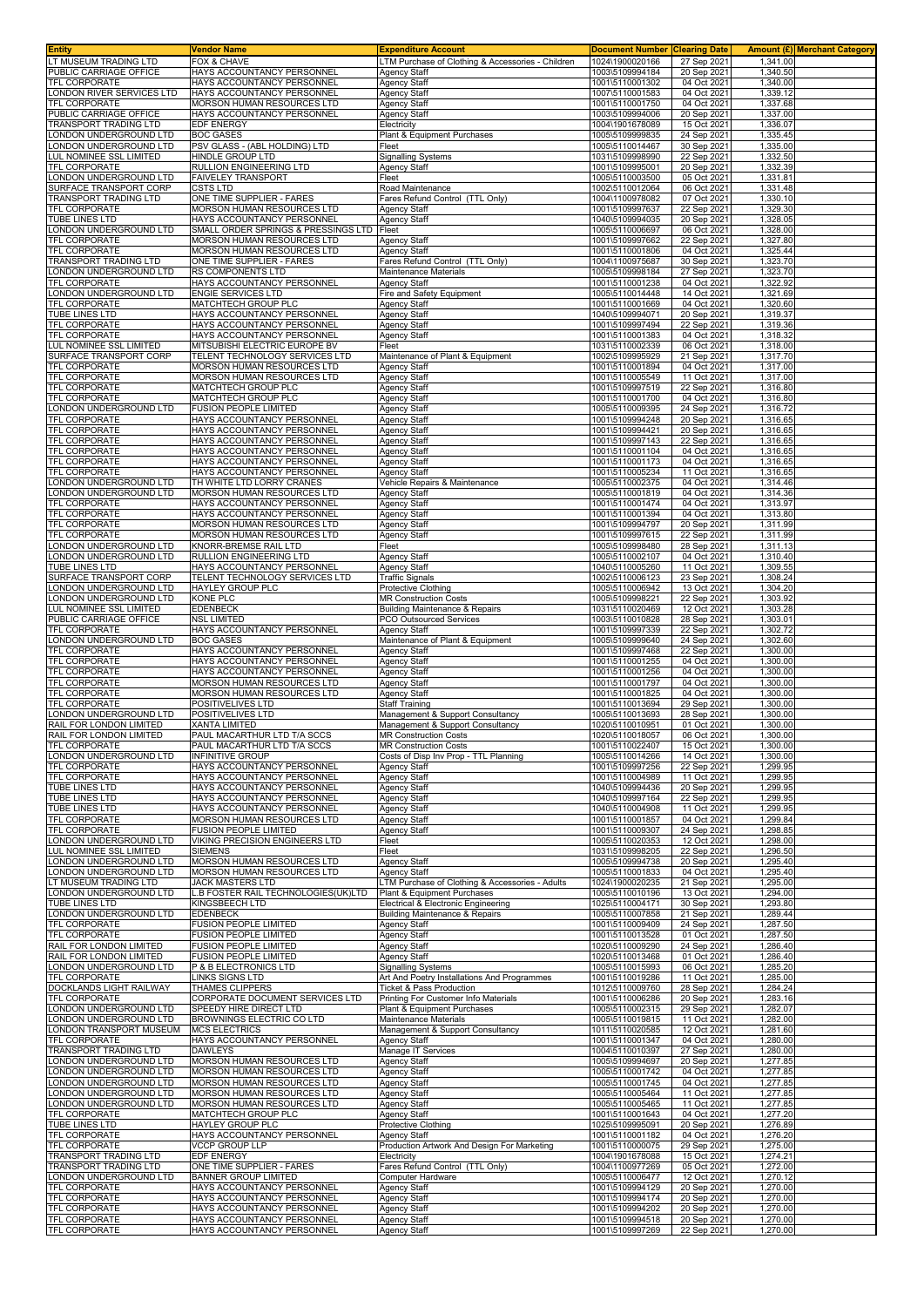| <b>Entity</b>                                    | <b>Vendor Name</b>                                                | <b>Expenditure Account</b>                                         | <b>Document Number Clearing Date</b> |                            |                      | Amount (£) Merchant Category |
|--------------------------------------------------|-------------------------------------------------------------------|--------------------------------------------------------------------|--------------------------------------|----------------------------|----------------------|------------------------------|
| LT MUSEUM TRADING LTD                            | <b>FOX &amp; CHAVE</b>                                            | LTM Purchase of Clothing & Accessories - Children                  | 1024\1900020166                      | 27 Sep 2021                | 1,341.00             |                              |
| PUBLIC CARRIAGE OFFICE<br>TFL CORPORATE          | HAYS ACCOUNTANCY PERSONNEL                                        | <b>Agency Staff</b>                                                | 1003\5109994184                      | 20 Sep 2021                | 1,340.50             |                              |
| LONDON RIVER SERVICES LTD                        | HAYS ACCOUNTANCY PERSONNEL<br>HAYS ACCOUNTANCY PERSONNEL          | <b>Agency Staff</b><br><b>Agency Staff</b>                         | 1001\5110001302<br>1007\5110001583   | 04 Oct 2021<br>04 Oct 2021 | 1,340.00<br>1,339.12 |                              |
| TFL CORPORATE                                    | MORSON HUMAN RESOURCES LTD                                        | <b>Agency Staff</b>                                                | 1001\5110001750                      | 04 Oct 2021                | 1,337.68             |                              |
| PUBLIC CARRIAGE OFFICE                           | HAYS ACCOUNTANCY PERSONNEL                                        | Agency Staff                                                       | 1003\5109994006                      | 20 Sep 2021                | 1,337.00             |                              |
| RANSPORT TRADING LTD                             | EDF ENERGY                                                        | Electricity                                                        | 1004\1901678089                      | 15 Oct 2021                | 1,336.07             |                              |
| ONDON UNDERGROUND LTD.                           | <b>BOC GASES</b>                                                  | Plant & Equipment Purchases                                        | 1005\5109999835                      | 24 Sep 2021                | 1,335.45             |                              |
| ONDON UNDERGROUND LTD                            | PSV GLASS - (ABL HOLDING) LTD                                     | Fleet                                                              | 1005\5110014467                      | 30 Sep 2021                | 1,335.00             |                              |
| <b>UL NOMINEE SSL LIMITED</b>                    | HINDLE GROUP LTD                                                  | <b>Signalling Systems</b>                                          | 1031\5109998990                      | 22 Sep 2021                | 1,332.50             |                              |
| TFL CORPORATE<br>LONDON UNDERGROUND LTD          | RULLION ENGINEERING LTD<br><b>FAIVELEY TRANSPORT</b>              | Agency Staff<br>Fleet                                              | 1001\5109995001<br>1005\5110003500   | 20 Sep 2021<br>05 Oct 2021 | 1,332.39<br>1,331.81 |                              |
| SURFACE TRANSPORT CORP                           | <b>CSTS LTD</b>                                                   | Road Maintenance                                                   | 1002\5110012064                      | 06 Oct 2021                | 1,331.48             |                              |
| <b>TRANSPORT TRADING LTD</b>                     | ONE TIME SUPPLIER - FARES                                         | Fares Refund Control (TTL Only)                                    | 1004\1100978082                      | 07 Oct 2021                | 1,330.10             |                              |
| <b>TFL CORPORATE</b>                             | MORSON HUMAN RESOURCES LTD                                        | <b>Agency Staff</b>                                                | 1001\5109997637                      | 22 Sep 2021                | 1,329.30             |                              |
| <b>TUBE LINES LTD</b>                            | HAYS ACCOUNTANCY PERSONNEL                                        | <b>Agency Staff</b>                                                | 1040\5109994035                      | 20 Sep 2021                | 1,328.05             |                              |
| ONDON UNDERGROUND LTD                            | SMALL ORDER SPRINGS & PRESSINGS LTD<br>MORSON HUMAN RESOURCES LTD | Fleet                                                              | 1005\5110006697                      | 06 Oct 2021                | 1,328.00             |                              |
| TFL CORPORATE<br><b>TFL CORPORATE</b>            | MORSON HUMAN RESOURCES LTD                                        | <b>Agency Staff</b><br><b>Agency Staff</b>                         | 1001\5109997662<br>1001\5110001806   | 22 Sep 2021<br>04 Oct 2021 | 1,327.80<br>1,325.44 |                              |
| TRANSPORT TRADING LTD                            | ONE TIME SUPPLIER - FARES                                         | Fares Refund Control (TTL Only)                                    | 1004\1100975687                      | 30 Sep 2021                | 1,323.70             |                              |
| ONDON UNDERGROUND LTD                            | RS COMPONENTS LTD                                                 | Maintenance Materials                                              | 1005\5109998184                      | 27 Sep 2021                | 1,323.70             |                              |
| TFL CORPORATE                                    | HAYS ACCOUNTANCY PERSONNEL                                        | <b>Agency Staff</b>                                                | 1001\5110001238                      | 04 Oct 2021                | 1,322.92             |                              |
| LONDON UNDERGROUND LTD                           | <b>ENGIE SERVICES LTD</b>                                         | Fire and Safety Equipment                                          | 1005\5110014448                      | 14 Oct 2021                | 1,321.69             |                              |
| TFL CORPORATE<br><b>TUBE LINES LTD</b>           | MATCHTECH GROUP PLC<br>HAYS ACCOUNTANCY PERSONNEL                 | <b>Agency Staff</b><br><b>Agency Staff</b>                         | 1001\5110001669<br>1040\5109994071   | 04 Oct 2021<br>20 Sep 2021 | 1,320.60<br>1,319.37 |                              |
| TFL CORPORATE                                    | HAYS ACCOUNTANCY PERSONNEL                                        | <b>Agency Staff</b>                                                | 1001\5109997494                      | 22 Sep 2021                | 1,319.36             |                              |
| <b>TFL CORPORATE</b>                             | HAYS ACCOUNTANCY PERSONNEI                                        | <b>Agency Staff</b>                                                | 1001\5110001383                      | 04 Oct 2021                | 1,318.32             |                              |
| LUL NOMINEE SSL LIMITED                          | MITSUBISHI ELECTRIC EUROPE BV                                     | Fleet                                                              | 1031\5110002339                      | 06 Oct 2021                | 1,318.00             |                              |
| SURFACE TRANSPORT CORP                           | TELENT TECHNOLOGY SERVICES LTD                                    | Maintenance of Plant & Equipment                                   | 1002\5109995929                      | 21 Sep 2021                | 1,317.70             |                              |
| <b>TFL CORPORATE</b>                             | MORSON HUMAN RESOURCES LTD                                        | <b>Agency Staff</b>                                                | 1001\5110001894                      | 04 Oct 2021                | 1,317.00             |                              |
| <b>TFL CORPORATE</b><br><b>TFL CORPORATE</b>     | MORSON HUMAN RESOURCES LTD<br>MATCHTECH GROUP PLC                 | <b>Agency Staff</b>                                                | 1001\5110005549                      | 11 Oct 2021                | 1,317.00             |                              |
| <b>TFL CORPORATE</b>                             | <b>MATCHTECH GROUP PLC</b>                                        | <b>Agency Staff</b><br><b>Agency Staff</b>                         | 1001\5109997519<br>1001\5110001700   | 22 Sep 2021<br>04 Oct 2021 | 1,316.80<br>1,316.80 |                              |
| LONDON UNDERGROUND LTD                           | FUSION PEOPLE LIMITED                                             | <b>Agency Staff</b>                                                | 1005\5110009395                      | 24 Sep 2021                | 1,316.72             |                              |
| <b>TFL CORPORATE</b>                             | HAYS ACCOUNTANCY PERSONNEL                                        | <b>Agency Staff</b>                                                | 1001\5109994248                      | 20 Sep 2021                | 1,316.65             |                              |
| TFL CORPORATE                                    | HAYS ACCOUNTANCY PERSONNEL                                        | <b>Agency Staff</b>                                                | 1001\5109994421                      | 20 Sep 2021                | 1,316.65             |                              |
| <b>TFL CORPORATE</b>                             | HAYS ACCOUNTANCY PERSONNEL                                        | <b>Agency Staff</b>                                                | 1001\5109997143                      | 22 Sep 2021                | 1,316.65             |                              |
| TFL CORPORATE                                    | HAYS ACCOUNTANCY PERSONNEL                                        | <b>Agency Staff</b>                                                | 1001\5110001104                      | 04 Oct 2021                | 1,316.65             |                              |
| TFL CORPORATE<br><b>TFL CORPORATE</b>            | HAYS ACCOUNTANCY PERSONNEI<br>HAYS ACCOUNTANCY PERSONNEL          | <b>Agency Staff</b>                                                | 1001\5110001173                      | 04 Oct 2021<br>11 Oct 2021 | 1,316.65<br>1,316.65 |                              |
| LONDON UNDERGROUND LTD                           | TH WHITE LTD LORRY CRANES                                         | <b>Agency Staff</b><br>Vehicle Repairs & Maintenance               | 1001\5110005234<br>1005\5110002375   | 04 Oct 2021                | 1,314.46             |                              |
| LONDON UNDERGROUND LTD                           | MORSON HUMAN RESOURCES LTD                                        | <b>Agency Staff</b>                                                | 1005\5110001819                      | 04 Oct 2021                | 1,314.36             |                              |
| TFL CORPORATE                                    | HAYS ACCOUNTANCY PERSONNEL                                        | <b>Agency Staff</b>                                                | 1001\5110001474                      | 04 Oct 2021                | 1,313.97             |                              |
| <b>TFL CORPORATE</b>                             | HAYS ACCOUNTANCY PERSONNEL                                        | Agency Staff                                                       | 1001\5110001394                      | 04 Oct 2021                | 1,313.80             |                              |
| <b>TFL CORPORATE</b>                             | MORSON HUMAN RESOURCES LTD                                        | <b>Agency Staff</b>                                                | 1001\5109994797                      | 20 Sep 2021                | 1,311.99             |                              |
| <b>TFL CORPORATE</b>                             | MORSON HUMAN RESOURCES LTD                                        | <b>Agency Staff</b>                                                | 1001\5109997615                      | 22 Sep 202                 | 1,311.99             |                              |
| LONDON UNDERGROUND LTD<br>ONDON UNDERGROUND LTD  | KNORR-BREMSE RAIL LTD<br>RULLION ENGINEERING LTD                  | Fleet<br><b>Agency Staff</b>                                       | 1005\5109998480<br>1005\5110002107   | 28 Sep 2021<br>04 Oct 2021 | 1,311.13<br>1,310.40 |                              |
| TUBE LINES LTD                                   | HAYS ACCOUNTANCY PERSONNEI                                        | <b>Agency Staff</b>                                                | 1040\5110005260                      | 11 Oct 2021                | 1,309.55             |                              |
| SURFACE TRANSPORT CORP                           | TELENT TECHNOLOGY SERVICES LTD                                    | <b>Traffic Signals</b>                                             | 1002\5110006123                      | 23 Sep 2021                | 1,308.24             |                              |
| ONDON UNDERGROUND LTD                            | HAYLEY GROUP PLC                                                  | <b>Protective Clothing</b>                                         | 1005\5110006942                      | 13 Oct 2021                | 1,304.20             |                              |
| ONDON UNDERGROUND LTD                            | KONE PLC                                                          | <b>MR Construction Costs</b>                                       | 1005\5109998221                      | 22 Sep 2021                | 1,303.92             |                              |
| LUL NOMINEE SSL LIMITED                          | <b>EDENBECK</b>                                                   | Building Maintenance & Repairs                                     | 1031\5110020469                      | 12 Oct 2021                | 1,303.28             |                              |
| PUBLIC CARRIAGE OFFICE                           | NSL LIMITED                                                       | PCO Outsourced Services                                            | 1003\5110010828                      | 28 Sep 2021                | 1,303.01             |                              |
| TFL CORPORATE<br>ONDON UNDERGROUND LTD.          | HAYS ACCOUNTANCY PERSONNEL<br><b>BOC GASES</b>                    | <b>Agency Staff</b><br>Maintenance of Plant & Equipment            | 1001\5109997339<br>1005\5109999640   | 22 Sep 2021<br>24 Sep 2021 | 1,302.72<br>1,302.60 |                              |
| <b>TFL CORPORATE</b>                             | HAYS ACCOUNTANCY PERSONNEL                                        | <b>Agency Staff</b>                                                | 1001\5109997468                      | 22 Sep 2021                | 1,300.00             |                              |
| <b>TFL CORPORATE</b>                             | HAYS ACCOUNTANCY PERSONNEL                                        | <b>Agency Staff</b>                                                | 1001\5110001255                      | 04 Oct 2021                | 1,300.00             |                              |
| <b>TFL CORPORATE</b>                             | HAYS ACCOUNTANCY PERSONNEL                                        | <b>Agency Staff</b>                                                | 1001\5110001256                      | 04 Oct 2021                | 1,300.00             |                              |
| <b>TFL CORPORATE</b>                             | MORSON HUMAN RESOURCES LTD                                        | <b>Agency Staff</b>                                                | 1001\5110001797                      | 04 Oct 2021                | 1,300.00             |                              |
| <b>TFL CORPORATE</b>                             | MORSON HUMAN RESOURCES LTD                                        | <b>Agency Staff</b>                                                | 1001\5110001825                      | 04 Oct 2021                | 1,300.00             |                              |
| <b>TFL CORPORATE</b><br>ONDON UNDERGROUND LTD    | POSITIVELIVES LTD<br>POSITIVELIVES LTD                            | <b>Staff Training</b><br>Management & Support Consultancy          | 1001\5110013694<br>1005\5110013693   | 29 Sep 2021<br>28 Sep 2021 | 1,300.00<br>1,300.00 |                              |
| RAIL FOR LONDON LIMITED                          | <b>XANTA LIMITED</b>                                              | Management & Support Consultancy                                   | 1020\5110010951                      | 01 Oct 2021                | 1,300.00             |                              |
| RAIL FOR LONDON LIMITED                          | PAUL MACARTHUR LTD T/A SCCS                                       | <b>MR Construction Costs</b>                                       | 1020\5110018057                      | 06 Oct 2021                | 1,300.00             |                              |
| TFL CORPORATE                                    | PAUL MACARTHUR LTD T/A SCCS                                       | <b>MR Construction Costs</b>                                       | 1001\5110022407                      | 15 Oct 2021                | 1,300.00             |                              |
| LONDON UNDERGROUND LTD                           | <b>INFINITIVE GROUP</b>                                           | Costs of Disp Inv Prop - TTL Planning                              | 1005\5110014266                      | 14 Oct 2021                | 1,300.00             |                              |
| <b>TFL CORPORATE</b>                             | HAYS ACCOUNTANCY PERSONNEL                                        | <b>Agency Staff</b>                                                | 1001\5109997256                      | 22 Sep 2021                | 1,299.95             |                              |
| <b>TFL CORPORATE</b><br>TUBE LINES LTD           | HAYS ACCOUNTANCY PERSONNEL<br>HAYS ACCOUNTANCY PERSONNEL          | <b>Agency Staff</b><br><b>Agency Staff</b>                         | 1001\5110004989<br>1040\5109994436   | 11 Oct 2021<br>20 Sep 2021 | 1,299.95<br>1,299.95 |                              |
| <b>TUBE LINES LTD</b>                            | HAYS ACCOUNTANCY PERSONNEL                                        | <b>Agency Staff</b>                                                | 1040\5109997164                      | 22 Sep 2021                | 1,299.95             |                              |
| TUBE LINES LTD                                   | HAYS ACCOUNTANCY PERSONNEL                                        | Agency Staff                                                       | 1040\5110004908                      | 11 Oct 2021                | 1,299.95             |                              |
| TFL CORPORATE                                    | MORSON HUMAN RESOURCES LTD                                        | <b>Agency Staff</b>                                                | 1001\5110001857                      | 04 Oct 2021                | 1,299.84             |                              |
| TFL CORPORATE                                    | FUSION PEOPLE LIMITED                                             | <b>Agency Staff</b>                                                | 1001\5110009307                      | 24 Sep 2021                | 1,298.85             |                              |
| LONDON UNDERGROUND LTD                           | VIKING PRECISION ENGINEERS LTD                                    | Fleet                                                              | 1005\5110020353                      | 12 Oct 2021                | 1,298.00             |                              |
| UL NOMINEE SSL LIMITED<br>LONDON UNDERGROUND LTD | SIEMENS<br>MORSON HUMAN RESOURCES LTD                             | Fleet<br><b>Agency Staff</b>                                       | 1031\5109998205<br>1005\5109994738   | 22 Sep 2021<br>20 Sep 2021 | 1,296.50<br>1.295.40 |                              |
| ONDON UNDERGROUND LTD                            | MORSON HUMAN RESOURCES LTD                                        | <b>Agency Staff</b>                                                | 1005\5110001833                      | 04 Oct 2021                | 1,295.40             |                              |
| T MUSEUM TRADING LTD                             | <b>JACK MASTERS LTD</b>                                           | LTM Purchase of Clothing & Accessories - Adults                    | 1024\1900020235                      | 21 Sep 2021                | 1,295.00             |                              |
| ONDON UNDERGROUND LTD                            | L.B FOSTER RAIL TECHNOLOGIES(UK)LTD                               | Plant & Equipment Purchases                                        | 1005\5110010196                      | 13 Oct 2021                | 1,294.00             |                              |
| <b>TUBE LINES LTD</b>                            | KINGSBEECH LTD                                                    | Electrical & Electronic Engineering                                | 1025\5110004171                      | 30 Sep 2021                | 1,293.80             |                              |
| ONDON UNDERGROUND LTD<br>TFL CORPORATE           | <b>EDENBECK</b><br><b>FUSION PEOPLE LIMITED</b>                   | Building Maintenance & Repairs<br>Agency Staff                     | 1005\5110007858<br>1001\5110009409   | 21 Sep 2021<br>24 Sep 2021 | 1,289.44<br>1,287.50 |                              |
| TFL CORPORATE                                    | <b>FUSION PEOPLE LIMITED</b>                                      | <b>Agency Staff</b>                                                | 1001\5110013528                      | 01 Oct 2021                | 1,287.50             |                              |
| RAIL FOR LONDON LIMITED                          | <b>FUSION PEOPLE LIMITED</b>                                      | <b>Agency Staff</b>                                                | 1020\5110009290                      | 24 Sep 2021                | 1,286.40             |                              |
| RAIL FOR LONDON LIMITED                          | FUSION PEOPLE LIMITED                                             | Agency Staff                                                       | 1020\5110013468                      | 01 Oct 2021                | 1,286.40             |                              |
| LONDON UNDERGROUND LTD                           | P & B ELECTRONICS LTD                                             | <b>Signalling Systems</b>                                          | 1005\5110015993                      | 06 Oct 2021                | 1,285.20             |                              |
| TFL CORPORATE                                    | LINKS SIGNS LTD                                                   | Art And Poetry Installations And Programmes                        | 1001\5110019286                      | 11 Oct 2021                | 1,285.00             |                              |
| DOCKLANDS LIGHT RAILWAY<br><b>TFL CORPORATE</b>  | THAMES CLIPPERS<br>CORPORATE DOCUMENT SERVICES LTD                | Ticket & Pass Production<br>Printing For Customer Info Materials   | 1012\5110009760<br>1001\5110006286   | 28 Sep 2021<br>20 Sep 2021 | 1,284.24<br>1,283.16 |                              |
| LONDON UNDERGROUND LTD                           | SPEEDY HIRE DIRECT LTD                                            | Plant & Equipment Purchases                                        | 1005\5110002315                      | 29 Sep 2021                | 1,282.07             |                              |
| ONDON UNDERGROUND LTD                            | BROWNINGS ELECTRIC CO LTD                                         | Maintenance Materials                                              | 1005\5110019815                      | 11 Oct 2021                | 1,282.00             |                              |
| LONDON TRANSPORT MUSEUM                          | <b>MCS ELECTRICS</b>                                              | Management & Support Consultancy                                   | 1011\5110020585                      | 12 Oct 2021                | 1,281.60             |                              |
| <b>TFL CORPORATE</b>                             | HAYS ACCOUNTANCY PERSONNEL                                        | Agency Staff                                                       | 1001\5110001347                      | 04 Oct 2021                | 1,280.00             |                              |
| TRANSPORT TRADING LTD                            | DAWLEYS                                                           | Manage IT Services                                                 | 1004\5110010397                      | 27 Sep 2021                | 1,280.00             |                              |
| ONDON UNDERGROUND LTD<br>ONDON UNDERGROUND LTD   | MORSON HUMAN RESOURCES LTD<br>MORSON HUMAN RESOURCES LTD          | <b>Agency Staff</b><br><b>Agency Staff</b>                         | 1005\5109994697<br>1005\5110001742   | 20 Sep 2021<br>04 Oct 2021 | 1,277.85<br>1,277.85 |                              |
| ONDON UNDERGROUND LTD                            | MORSON HUMAN RESOURCES LTD                                        | <b>Agency Staff</b>                                                | 1005\5110001745                      | 04 Oct 2021                | 1,277.85             |                              |
| ONDON UNDERGROUND LTD                            | MORSON HUMAN RESOURCES LTD                                        | Agency Staff                                                       | 1005\5110005464                      | 11 Oct 2021                | 1,277.85             |                              |
| LONDON UNDERGROUND LTD                           | MORSON HUMAN RESOURCES LTD                                        | <b>Agency Staff</b>                                                | 1005\5110005465                      | 11 Oct 2021                | 1,277.85             |                              |
| TFL CORPORATE                                    | MATCHTECH GROUP PLC                                               | Agency Staff                                                       | 1001\5110001643                      | 04 Oct 2021                | 1,277.20             |                              |
| TUBE LINES LTD                                   | HAYLEY GROUP PLC                                                  | Protective Clothing                                                | 1025\5109995091                      | 20 Sep 2021                | 1,276.89             |                              |
| TFL CORPORATE<br><b>TFL CORPORATE</b>            | HAYS ACCOUNTANCY PERSONNEL<br>VCCP GROUP LLP                      | <b>Agency Staff</b><br>Production Artwork And Design For Marketing | 1001\5110001182<br>1001\5110000075   | 04 Oct 2021<br>29 Sep 2021 | 1,276.20<br>1,275.00 |                              |
| <b>TRANSPORT TRADING LTD</b>                     | EDF ENERGY                                                        | Electricity                                                        | 1004\1901678088                      | 15 Oct 2021                | 1,274.21             |                              |
| <b>TRANSPORT TRADING LTD</b>                     | ONE TIME SUPPLIER - FARES                                         | Fares Refund Control (TTL Only)                                    | 1004\1100977269                      | 05 Oct 2021                | 1,272.00             |                              |
| LONDON UNDERGROUND LTD                           | <b>BANNER GROUP LIMITED</b>                                       | Computer Hardware                                                  | 1005\5110006477                      | 12 Oct 2021                | 1,270.12             |                              |
| <b>TFL CORPORATE</b>                             | HAYS ACCOUNTANCY PERSONNEL                                        | <b>Agency Staff</b>                                                | 1001\5109994129                      | 20 Sep 2021                | 1,270.00             |                              |
| <b>TFL CORPORATE</b>                             | HAYS ACCOUNTANCY PERSONNEL                                        | Agency Staff                                                       | 1001\5109994174                      | 20 Sep 2021                | 1,270.00             |                              |
| TFL CORPORATE                                    | HAYS ACCOUNTANCY PERSONNEL                                        | Agency Staff                                                       | 1001\5109994202                      | 20 Sep 2021                | 1,270.00             |                              |
| TFL CORPORATE<br>TFL CORPORATE                   | HAYS ACCOUNTANCY PERSONNEL<br>HAYS ACCOUNTANCY PERSONNEL          | <b>Agency Staff</b><br><b>Agency Staff</b>                         | 1001\5109994518<br>1001\5109997269   | 20 Sep 2021<br>22 Sep 2021 | 1,270.00<br>1,270.00 |                              |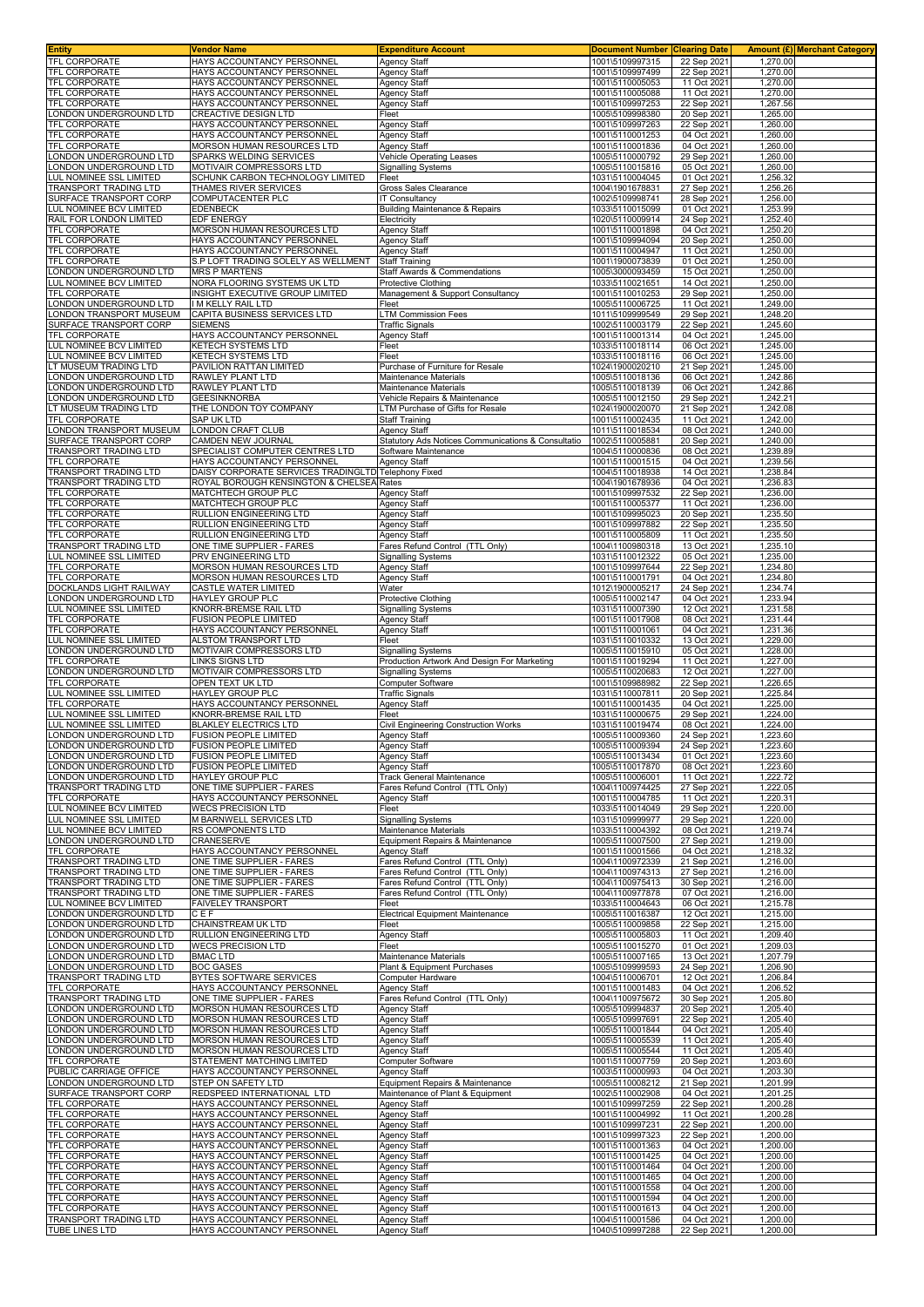|                                                          | <b>Vendor Name</b>                                           | <b>Expenditure Account</b>                                        | <b>Document Number</b>             | <b>Clearing Date</b>       |                      | Amount (£)  Merchant Category |
|----------------------------------------------------------|--------------------------------------------------------------|-------------------------------------------------------------------|------------------------------------|----------------------------|----------------------|-------------------------------|
| TFL CORPORATE                                            | HAYS ACCOUNTANCY PERSONNEL                                   | <b>Agency Staff</b>                                               | 1001\5109997315                    | 22 Sep 2021                | 1.270.00             |                               |
| <b>TFL CORPORATE</b>                                     | HAYS ACCOUNTANCY PERSONNEL                                   | Agency Staff                                                      | 1001\5109997499                    | 22 Sep 2021                | 1,270.00             |                               |
| <b>TFL CORPORATE</b>                                     | HAYS ACCOUNTANCY PERSONNEL                                   | Agency Staff                                                      | 1001\5110005053                    | 11 Oct 2021                | 1,270.00             |                               |
| <b>TFL CORPORATE</b><br><b>TFL CORPORATE</b>             | HAYS ACCOUNTANCY PERSONNEL<br>HAYS ACCOUNTANCY PERSONNEL     | Agency Staff                                                      | 1001\5110005088<br>1001\5109997253 | 11 Oct 2021<br>22 Sep 2021 | 1,270.00<br>1,267.56 |                               |
| ONDON UNDERGROUND LTD                                    | <b>CREACTIVE DESIGN LTD</b>                                  | <b>Agency Staff</b><br>Fleet                                      | 1005\5109998380                    | 20 Sep 2021                | 1,265.00             |                               |
| <b>FEL CORPORATE</b>                                     | HAYS ACCOUNTANCY PERSONNEL                                   | <b>Agency Staff</b>                                               | 1001\5109997263                    | 22 Sep 2021                | 1,260.00             |                               |
| <b>TFL CORPORATE</b>                                     | HAYS ACCOUNTANCY PERSONNEL                                   | Agency Staff                                                      | 1001\5110001253                    | 04 Oct 2021                | 1,260.00             |                               |
| <b>TFL CORPORATE</b>                                     | MORSON HUMAN RESOURCES LTD                                   | Agency Staff                                                      | 1001\5110001836                    | 04 Oct 2021                | 1,260.00             |                               |
| ONDON UNDERGROUND LTD                                    | SPARKS WELDING SERVICES                                      | Vehicle Operating Leases                                          | 1005\5110000792                    | 29 Sep 2021                | 1,260.00             |                               |
| ONDON UNDERGROUND LTD                                    | MOTIVAIR COMPRESSORS LTD                                     | Signalling Systems                                                | 1005\5110015816                    | 05 Oct 2021                | 1,260.00             |                               |
| UL NOMINEE SSL LIMITED.                                  | SCHUNK CARBON TECHNOLOGY LIMITED                             | Fleet                                                             | 1031\5110004045                    | 01 Oct 2021                | 1,256.32             |                               |
| TRANSPORT TRADING LTD                                    | THAMES RIVER SERVICES                                        | Gross Sales Clearance                                             | 1004\1901678831                    | 27 Sep 2021                | 1,256.26             |                               |
| SURFACE TRANSPORT CORP                                   | COMPUTACENTER PLC                                            | <b>IT Consultancy</b>                                             | 1002\5109998741                    | 28 Sep 2021                | 1,256.00             |                               |
| <b>UL NOMINEE BCV LIMITED</b><br>RAIL FOR LONDON LIMITED | <b>EDENBECK</b><br><b>EDF ENERGY</b>                         | <b>Building Maintenance &amp; Repairs</b><br>Electricity          | 1033\5110015099<br>1020\5110009914 | 01 Oct 2021<br>24 Sep 2021 | 1,253.99<br>1,252.40 |                               |
| <b>TFL CORPORATE</b>                                     | MORSON HUMAN RESOURCES LTD                                   | Agency Staff                                                      | 1001\5110001898                    | 04 Oct 2021                | 1,250.20             |                               |
| <b>FEL CORPORATE</b>                                     | HAYS ACCOUNTANCY PERSONNEL                                   | Agency Staff                                                      | 1001\5109994094                    | 20 Sep 2021                | 1,250.00             |                               |
| <b>TFL CORPORATE</b>                                     | HAYS ACCOUNTANCY PERSONNEL                                   | Agency Staff                                                      | 1001\5110004947                    | 11 Oct 2021                | 1,250.00             |                               |
| <b>TFL CORPORATE</b>                                     | S.P LOFT TRADING SOLELY AS WELLMENT                          | <b>Staff Training</b>                                             | 1001\1900073839                    | 01 Oct 2021                | 1,250.00             |                               |
| ONDON UNDERGROUND LTD                                    | <b>MRS P MARTENS</b>                                         | Staff Awards & Commendations                                      | 1005\3000093459                    | 15 Oct 2021                | 1,250.00             |                               |
| UL NOMINEE BCV LIMITED                                   | NORA FLOORING SYSTEMS UK LTD                                 | Protective Clothing                                               | 1033\5110021651                    | 14 Oct 2021                | 1,250.00             |                               |
| <b>TFL CORPORATE</b>                                     | INSIGHT EXECUTIVE GROUP LIMITED                              | Management & Support Consultancy                                  | 1001\5110010253                    | 29 Sep 2021                | 1,250.00             |                               |
| ONDON UNDERGROUND LTD<br>ONDON TRANSPORT MUSEUM          | I M KELLY RAIL LTD<br>CAPITA BUSINESS SERVICES LTD           | Fleet<br>LTM Commission Fees                                      | 1005\5110006725<br>1011\5109999549 | 11 Oct 2021<br>29 Sep 2021 | 1,249.00<br>1,248.20 |                               |
| SURFACE TRANSPORT CORP                                   | <b>SIEMENS</b>                                               | <b>Traffic Signals</b>                                            | 1002\5110003179                    | 22 Sep 2021                | 1,245.60             |                               |
| <b>TFL CORPORATE</b>                                     | HAYS ACCOUNTANCY PERSONNEL                                   | Agency Staff                                                      | 1001\5110001314                    | 04 Oct 2021                | 1,245.00             |                               |
| <b>LUL NOMINEE BCV LIMITED</b>                           | <b>KETECH SYSTEMS LTD</b>                                    | Fleet                                                             | 1033\5110018114                    | 06 Oct 2021                | 1,245.00             |                               |
| <b>LUL NOMINEE BCV LIMITED</b>                           | KETECH SYSTEMS LTD                                           | Fleet                                                             | 1033\5110018116                    | 06 Oct 2021                | 1,245.00             |                               |
| T MUSEUM TRADING LTD                                     | PAVILION RATTAN LIMITED                                      | Purchase of Furniture for Resale                                  | 1024\1900020210                    | 21 Sep 2021                | 1,245.00             |                               |
| ONDON UNDERGROUND LTD                                    | RAWLEY PLANT LTD                                             | Maintenance Materials                                             | 1005\5110018136                    | 06 Oct 2021                | 1,242.86             |                               |
| ONDON UNDERGROUND LTD                                    | RAWLEY PLANT LTD                                             | Maintenance Materials                                             | 1005\5110018139                    | 06 Oct 2021                | 1,242.86             |                               |
| ONDON UNDERGROUND LTD<br>T MUSEUM TRADING LTD            | <b>GEESINKNORBA</b><br>THE LONDON TOY COMPANY                | Vehicle Repairs & Maintenance                                     | 1005\5110012150<br>1024\1900020070 | 29 Sep 2021                | 1,242.21<br>1,242.08 |                               |
| <b>TFL CORPORATE</b>                                     | SAP UK LTD                                                   | TM Purchase of Gifts for Resale<br>Staff Training                 | 1001\5110002435                    | 21 Sep 2021<br>11 Oct 2021 | 1,242.00             |                               |
| ONDON TRANSPORT MUSEUM                                   | LONDON CRAFT CLUB                                            | Agency Staff                                                      | 1011\5110018534                    | 08 Oct 2021                | 1,240.00             |                               |
| SURFACE TRANSPORT CORP                                   | CAMDEN NEW JOURNAL                                           | Statutory Ads Notices Communications & Consultatio                | 1002\5110005881                    | 20 Sep 2021                | 1,240.00             |                               |
| <b>FRANSPORT TRADING LTD</b>                             | SPECIALIST COMPUTER CENTRES LTD                              | Software Maintenance                                              | 1004\5110000836                    | 08 Oct 2021                | 1,239.89             |                               |
| <b>TFL CORPORATE</b>                                     | HAYS ACCOUNTANCY PERSONNEL                                   | Agency Staff                                                      | 1001\5110001515                    | 04 Oct 2021                | 1,239.56             |                               |
| <b>TRANSPORT TRADING LTD</b>                             | DAISY CORPORATE SERVICES TRADINGLTD Telephony Fixed          |                                                                   | 1004\5110018938                    | 14 Oct 2021                | 1,238.84             |                               |
| FRANSPORT TRADING LTD                                    | ROYAL BOROUGH KENSINGTON & CHELSEA Rates                     |                                                                   | 1004\1901678936                    | 04 Oct 2021                | 1,236.83             |                               |
| <b>TFL CORPORATE</b>                                     | MATCHTECH GROUP PLC                                          | Agency Staff                                                      | 1001\5109997532                    | 22 Sep 2021                | 1,236.00             |                               |
| <b>TFL CORPORATE</b>                                     | MATCHTECH GROUP PLC                                          | Agency Staff                                                      | 1001\5110005377                    | 11 Oct 2021                | 1,236.00             |                               |
| <b>TFL CORPORATE</b><br><b>FEL CORPORATE</b>             | RULLION ENGINEERING LTD<br>RULLION ENGINEERING LTD           | Agency Staff                                                      | 1001\5109995023<br>1001\5109997882 | 20 Sep 2021<br>22 Sep 2021 | 1,235.50<br>1,235.50 |                               |
| <b>TFL CORPORATE</b>                                     | RULLION ENGINEERING LTD                                      | Agency Staff<br>Agency Staff                                      | 1001\5110005809                    | 11 Oct 2021                | 1,235.50             |                               |
| FRANSPORT TRADING LTD                                    | ONE TIME SUPPLIER - FARES                                    | Fares Refund Control (TTL Only)                                   | 1004\1100980318                    | 13 Oct 2021                | 1,235.10             |                               |
| UL NOMINEE SSL LIMITED                                   | PRV ENGINEERING LTD                                          | Signalling Systems                                                | 1031\5110012322                    | 05 Oct 2021                | 1,235.00             |                               |
| <b>TFL CORPORATE</b>                                     | MORSON HUMAN RESOURCES LTD                                   | Agency Staff                                                      | 1001\5109997644                    | 22 Sep 2021                | 1,234.80             |                               |
| <b>TFL CORPORATE</b>                                     | MORSON HUMAN RESOURCES LTD                                   | Agency Staff                                                      | 1001\5110001791                    | 04 Oct 2021                | 1,234.80             |                               |
| DOCKLANDS LIGHT RAILWAY                                  | <b>CASTLE WATER LIMITED</b>                                  | Water                                                             | 1012\1900005217                    | 24 Sep 2021                | 1,234.74             |                               |
| ONDON UNDERGROUND LTD                                    | HAYLEY GROUP PLC                                             | Protective Clothing                                               | 1005\5110002147                    | 04 Oct 2021                | 1,233.94             |                               |
| UL NOMINEE SSL LIMITED                                   | KNORR-BREMSE RAIL LTD                                        | Signalling Systems                                                | 1031\5110007390                    | 12 Oct 2021                | 1,231.58             |                               |
| <b>TFL CORPORATE</b><br><b>TFL CORPORATE</b>             | <b>FUSION PEOPLE LIMITED</b><br>HAYS ACCOUNTANCY PERSONNEL   | Agency Staff<br>Agency Staff                                      | 1001\5110017908<br>1001\5110001061 | 08 Oct 2021<br>04 Oct 2021 | 1,231.44<br>1,231.36 |                               |
|                                                          |                                                              |                                                                   |                                    |                            |                      |                               |
|                                                          |                                                              |                                                                   |                                    |                            |                      |                               |
| <b>LUL NOMINEE SSL LIMITED</b>                           | ALSTOM TRANSPORT LTD                                         | Fleet                                                             | 1031\5110010332                    | 13 Oct 2021                | 1,229.00             |                               |
| ONDON UNDERGROUND LTD<br><b>TFL CORPORATE</b>            | MOTIVAIR COMPRESSORS LTD<br>LINKS SIGNS LTD                  | Signalling Systems<br>Production Artwork And Design For Marketing | 1005\5110015910<br>1001\5110019294 | 05 Oct 2021<br>11 Oct 2021 | 1,228.00<br>1,227.00 |                               |
| ONDON UNDERGROUND LTD                                    | MOTIVAIR COMPRESSORS LTD                                     | <b>Signalling Systems</b>                                         | 1005\5110020683                    | 12 Oct 2021                | 1,227.00             |                               |
| <b>TFL CORPORATE</b>                                     | OPEN TEXT UK LTD                                             | Computer Software                                                 | 1001\5109988982                    | 22 Sep 2021                | 1,226.65             |                               |
| UL NOMINEE SSL LIMITED                                   | HAYLEY GROUP PLC                                             | Traffic Signals                                                   | 1031\5110007811                    | 20 Sep 2021                | 1,225.84             |                               |
| <b><i>TFL CORPORATE</i></b>                              | HAYS ACCOUNTANCY PERSONNEL                                   | Agency Staff                                                      | 1001\5110001435                    | 04 Oct 2021                | 1,225.00             |                               |
| <b>LUL NOMINEE SSL LIMITED</b>                           | KNORR-BREMSE RAIL LTD                                        | Fleet                                                             | 1031\5110000675                    | 29 Sep 2021                | 1,224.00             |                               |
| <b>LUL NOMINEE SSL LIMITED</b>                           | <b>BLAKLEY ELECTRICS LTD</b>                                 | Civil Engineering Construction Works                              | 1031\5110019474                    | 08 Oct 2021                | 1,224.00             |                               |
| LONDON UNDERGROUND LTD                                   | <b>FUSION PEOPLE LIMITED</b>                                 | Agency Staff                                                      | 1005\5110009360                    | 24 Sep 2021                | 1,223.60             |                               |
| LONDON UNDERGROUND LTD                                   | <b>FUSION PEOPLE LIMITED</b><br><b>FUSION PEOPLE LIMITED</b> | Agency Staff                                                      | 1005\5110009394                    | 24 Sep 2021<br>01 Oct 2021 | 1,223.60             |                               |
| ONDON UNDERGROUND LTD<br>ONDON UNDERGROUND LTD.          | <b>FUSION PEOPLE LIMITED</b>                                 | <b>Agency Staff</b><br><b>Agency Staff</b>                        | 1005\5110013434<br>1005\5110017870 | 08 Oct 2021                | 1,223.60<br>1,223.60 |                               |
| ONDON UNDERGROUND LTD                                    | HAYLEY GROUP PLC                                             | Track General Maintenance                                         | 1005\5110006001                    | 11 Oct 2021                | 1,222.72             |                               |
| <b>TRANSPORT TRADING LTD</b>                             | ONE TIME SUPPLIER - FARES                                    | Fares Refund Control (TTL Only)                                   | 1004\1100974425                    | 27 Sep 2021                | 1,222.05             |                               |
| TFL CORPORATE                                            | HAYS ACCOUNTANCY PERSONNEL                                   | Agency Staff                                                      | 1001\5110004785                    | 11 Oct 2021                | 1,220.31             |                               |
| UL NOMINEE BCV LIMITED                                   | <b>WECS PRECISION LTD</b>                                    | Fleet                                                             | 1033\5110014049                    | 29 Sep 2021                | 1,220.00             |                               |
| UL NOMINEE SSL LIMITED                                   | M BARNWELL SERVICES LTD                                      | <b>Signalling Systems</b>                                         | 1031\5109999977                    | 29 Sep 2021                | 1,220.00             |                               |
| LUL NOMINEE BCV LIMITED                                  | RS COMPONENTS LTD                                            | Maintenance Materials                                             | 1033\5110004392                    | 08 Oct 2021                | 1,219.74             |                               |
| ONDON UNDERGROUND LTD<br><b>FEL CORPORATE</b>            | <b>CRANESERVE</b><br>HAYS ACCOUNTANCY PERSONNEL              | Equipment Repairs & Maintenance                                   | 1005\5110007500<br>1001\5110001566 | 27 Sep 2021<br>04 Oct 2021 | 1,219.00             |                               |
| <b>FRANSPORT TRADING LTD</b>                             | ONE TIME SUPPLIER - FARES                                    | Agency Staff<br>Fares Refund Control (TTL Only)                   | 1004\1100972339                    | 21 Sep 2021                | 1,218.32<br>1,216.00 |                               |
| <b>FRANSPORT TRADING LTD</b>                             | ONE TIME SUPPLIER - FARES                                    | Fares Refund Control (TTL Only)                                   | 1004\1100974313                    | 27 Sep 2021                | 1,216.00             |                               |
| <b>FRANSPORT TRADING LTD</b>                             | ONE TIME SUPPLIER - FARES                                    | Fares Refund Control (TTL Only)                                   | 1004\1100975413                    | 30 Sep 2021                | 1,216.00             |                               |
| <b>FRANSPORT TRADING LTD</b>                             | ONE TIME SUPPLIER - FARES                                    | Fares Refund Control (TTL Only)                                   | 1004\1100977878                    | 07 Oct 2021                | 1,216.00             |                               |
| <b>LUL NOMINEE BCV LIMITED</b>                           | <b>FAIVELEY TRANSPORT</b>                                    | Fleet                                                             | 1033\5110004643                    | 06 Oct 2021                | 1,215.78             |                               |
| ONDON UNDERGROUND LTD                                    | CEF                                                          | Electrical Equipment Maintenance                                  | 1005\5110016387                    | 12 Oct 2021                | 1,215.00             |                               |
| ONDON UNDERGROUND LTD                                    | CHAINSTREAM UK LTD                                           | Fleet                                                             | 1005\5110009858                    | 22 Sep 2021                | 1,215.00             |                               |
| ONDON UNDERGROUND LTD<br>ONDON UNDERGROUND LTD           | RULLION ENGINEERING LTD<br><b>WECS PRECISION LTD</b>         | Agency Staff<br>Fleet                                             | 1005\5110005803<br>1005\5110015270 | 11 Oct 2021<br>01 Oct 2021 | 1,209.40<br>1,209.03 |                               |
| ONDON UNDERGROUND LTD                                    | <b>BMAC LTD</b>                                              | Maintenance Materials                                             | 1005\5110007165                    | 13 Oct 2021                | 1,207.79             |                               |
| ONDON UNDERGROUND LTD                                    | <b>BOC GASES</b>                                             | Plant & Equipment Purchases                                       | 1005\5109999593                    | 24 Sep 2021                | 1,206.90             |                               |
| <b>FRANSPORT TRADING LTD</b>                             | BYTES SOFTWARE SERVICES                                      | Computer Hardware                                                 | 1004\5110006701                    | 12 Oct 2021                | 1,206.84             |                               |
| <b><i>FEL CORPORATE</i></b>                              | HAYS ACCOUNTANCY PERSONNEL                                   | Agency Staff                                                      | 1001\5110001483                    | 04 Oct 2021                | 1,206.52             |                               |
| TRANSPORT TRADING LTD                                    | ONE TIME SUPPLIER - FARES                                    | Fares Refund Control (TTL Only)                                   | 1004\1100975672                    | 30 Sep 2021                | 1,205.80             |                               |
| ONDON UNDERGROUND LTD                                    | MORSON HUMAN RESOURCES LTD                                   | Agency Staff                                                      | 1005\5109994837                    | 20 Sep 2021                | 1,205.40             |                               |
| ONDON UNDERGROUND LTD                                    | MORSON HUMAN RESOURCES LTD                                   | <b>Agency Staff</b>                                               | 1005\5109997691                    | 22 Sep 2021                | 1,205.40             |                               |
| ONDON UNDERGROUND LTD<br>ONDON UNDERGROUND LTD           | MORSON HUMAN RESOURCES LTD<br>MORSON HUMAN RESOURCES LTD     | Agency Staff<br>Agency Staff                                      | 1005\5110001844<br>1005\5110005539 | 04 Oct 2021<br>11 Oct 2021 | 1,205.40<br>1,205.40 |                               |
| ONDON UNDERGROUND LTD.                                   | MORSON HUMAN RESOURCES LTD                                   | Agency Staff                                                      | 1005\5110005544                    | 11 Oct 2021                | 1,205.40             |                               |
| TFL CORPORATE                                            | STATEMENT MATCHING LIMITED                                   | <b>Computer Software</b>                                          | 1001\5110007759                    | 20 Sep 2021                | 1,203.60             |                               |
| PUBLIC CARRIAGE OFFICE                                   | HAYS ACCOUNTANCY PERSONNEL                                   | Agency Staff                                                      | 1003\5110000993                    | 04 Oct 2021                | 1,203.30             |                               |
| ONDON UNDERGROUND LTD                                    | STEP ON SAFETY LTD                                           | Equipment Repairs & Maintenance                                   | 1005\5110008212                    | 21 Sep 2021                | 1,201.99             |                               |
| SURFACE TRANSPORT CORP                                   | REDSPEED INTERNATIONAL LTD                                   | Maintenance of Plant & Equipment                                  | 1002\5110002908                    | 04 Oct 2021                | 1,201.25             |                               |
| <b>TFL CORPORATE</b>                                     | HAYS ACCOUNTANCY PERSONNEL                                   | Agency Staff                                                      | 1001\5109997259                    | 22 Sep 2021                | 1,200.28             |                               |
| <b>TFL CORPORATE</b>                                     | HAYS ACCOUNTANCY PERSONNEL                                   | Agency Staff                                                      | 1001\5110004992                    | 11 Oct 2021                | 1,200.28             |                               |
| TFL CORPORATE                                            | HAYS ACCOUNTANCY PERSONNEL                                   | Agency Staff                                                      | 1001\5109997231                    | 22 Sep 2021                | 1,200.00             |                               |
| <b>TFL CORPORATE</b><br>TFL CORPORATE                    | HAYS ACCOUNTANCY PERSONNEL<br>HAYS ACCOUNTANCY PERSONNEL     | <b>Agency Staff</b><br>Agency Staff                               | 1001\5109997323<br>1001\5110001363 | 22 Sep 2021<br>04 Oct 2021 | 1,200.00<br>1,200.00 |                               |
| TFL CORPORATE                                            | HAYS ACCOUNTANCY PERSONNEL                                   | Agency Staff                                                      | 1001\5110001425                    | 04 Oct 2021                | 1,200.00             |                               |
| <b>TFL CORPORATE</b>                                     | HAYS ACCOUNTANCY PERSONNEL                                   | Agency Staff                                                      | 1001\5110001464                    | 04 Oct 2021                | 1,200.00             |                               |
| TFL CORPORATE                                            | HAYS ACCOUNTANCY PERSONNEL                                   | Agency Staff                                                      | 1001\5110001465                    | 04 Oct 2021                | 1,200.00             |                               |
| TFL CORPORATE                                            | HAYS ACCOUNTANCY PERSONNEL                                   | Agency Staff                                                      | 1001\5110001558                    | 04 Oct 2021                | 1,200.00             |                               |
| TFL CORPORATE                                            | HAYS ACCOUNTANCY PERSONNEL                                   | Agency Staff                                                      | 1001\5110001594                    | 04 Oct 2021                | 1,200.00             |                               |
| TFL CORPORATE<br>TRANSPORT TRADING LTD                   | HAYS ACCOUNTANCY PERSONNEL<br>HAYS ACCOUNTANCY PERSONNEL     | Agency Staff<br><b>Agency Staff</b>                               | 1001\5110001613<br>1004\5110001586 | 04 Oct 2021<br>04 Oct 2021 | 1,200.00<br>1,200.00 |                               |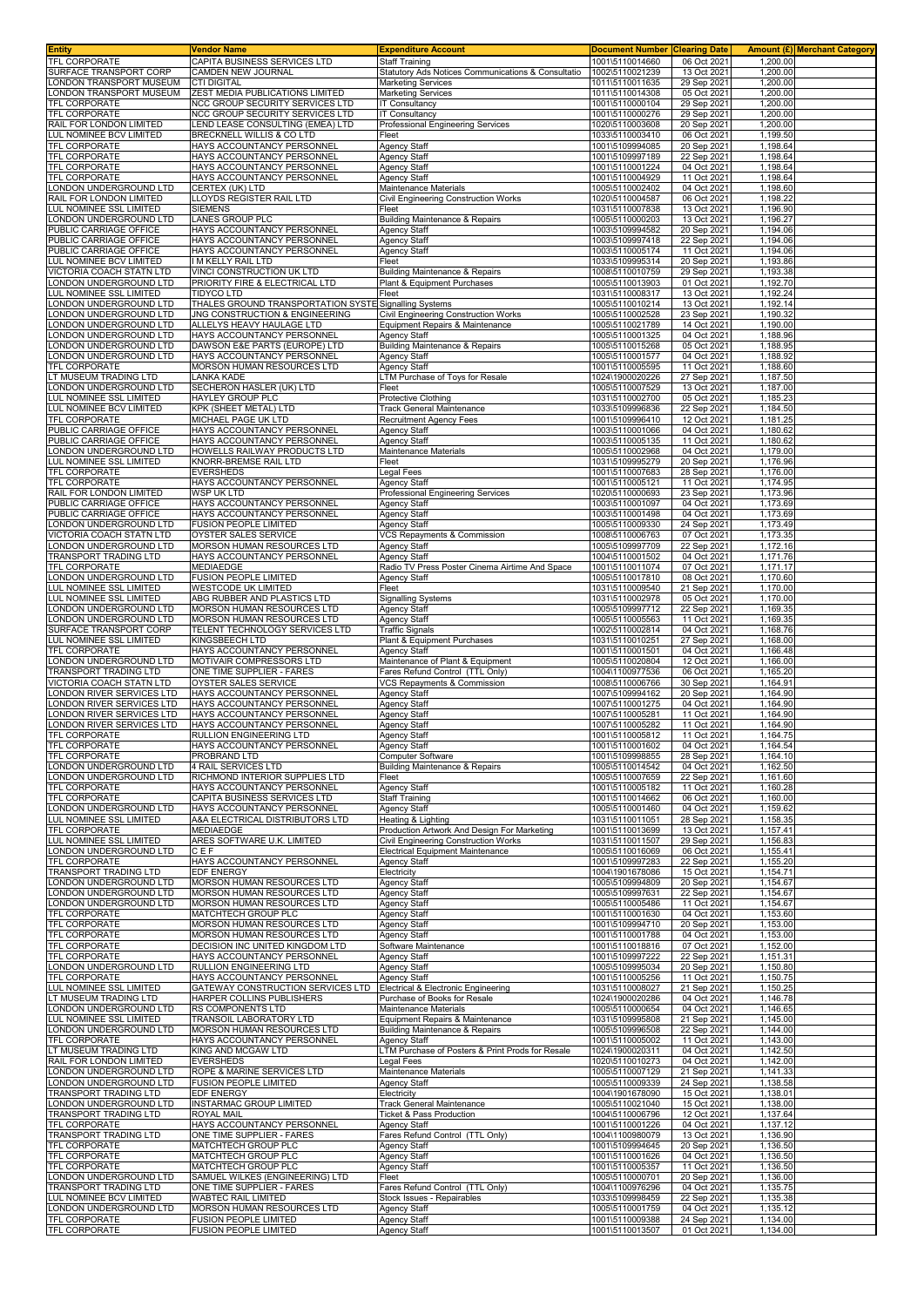| <b>Entity</b>                                        | Vendor Name                                                                             | <b>Expenditure Account</b>                                                      | <b>Document Number</b>             | <b>Clearing Date</b>       |                      | <b>Amount (£) Merchant Category</b> |
|------------------------------------------------------|-----------------------------------------------------------------------------------------|---------------------------------------------------------------------------------|------------------------------------|----------------------------|----------------------|-------------------------------------|
| TFL CORPORATE<br>SURFACE TRANSPORT CORP              | CAPITA BUSINESS SERVICES LTD<br>CAMDEN NEW JOURNAL                                      | <b>Staff Training</b><br>Statutory Ads Notices Communications & Consultatio     | 1001\5110014660<br>1002\5110021239 | 06 Oct 2021<br>13 Oct 2021 | 1,200.00<br>1,200.00 |                                     |
| ONDON TRANSPORT MUSEUM                               | <b>CTI DIGITAL</b>                                                                      | <b>Marketing Services</b>                                                       | 1011\5110011635                    | 29 Sep 2021                | 1,200.00             |                                     |
| ONDON TRANSPORT MUSEUM                               | ZEST MEDIA PUBLICATIONS LIMITED                                                         | <b>Marketing Services</b>                                                       | 1011\5110014308                    | 05 Oct 2021                | 1,200.00             |                                     |
| TFL CORPORATE                                        | NCC GROUP SECURITY SERVICES LTD                                                         | <b>IT Consultancy</b>                                                           | 1001\5110000104                    | 29 Sep 2021                | 1,200.00             |                                     |
| TFL CORPORATE                                        | NCC GROUP SECURITY SERVICES LTD                                                         | IT Consultancy                                                                  | 1001\5110000276                    | 29 Sep 2021                | 1,200.00             |                                     |
| RAIL FOR LONDON LIMITED<br>LUL NOMINEE BCV LIMITED   | END LEASE CONSULTING (EMEA) LTD<br>BRECKNELL WILLIS & CO LTD                            | Professional Engineering Services<br>Fleet                                      | 1020\5110003608<br>1033\5110003410 | 20 Sep 2021<br>06 Oct 2021 | 1,200.00<br>1,199.50 |                                     |
| TFL CORPORATE                                        | HAYS ACCOUNTANCY PERSONNEL                                                              | Agency Staff                                                                    | 1001\5109994085                    | 20 Sep 2021                | 1,198.64             |                                     |
| TFL CORPORATE                                        | HAYS ACCOUNTANCY PERSONNEL                                                              | Agency Staff                                                                    | 1001\5109997189                    | 22 Sep 2021                | 1,198.64             |                                     |
| TFL CORPORATE                                        | HAYS ACCOUNTANCY PERSONNEL                                                              | <b>Agency Staff</b>                                                             | 1001\5110001224                    | 04 Oct 2021                | 1,198.64             |                                     |
| TFL CORPORATE                                        | HAYS ACCOUNTANCY PERSONNEL                                                              | Agency Staff                                                                    | 1001\5110004929                    | 11 Oct 2021                | 1,198.64             |                                     |
| LONDON UNDERGROUND LTD<br>RAIL FOR LONDON LIMITED    | CERTEX (UK) LTD<br>LLOYDS REGISTER RAIL LTD                                             | Maintenance Materials<br>Civil Engineering Construction Works                   | 1005\5110002402<br>1020\5110004587 | 04 Oct 2021<br>06 Oct 2021 | 1,198.60<br>1,198.22 |                                     |
| LUL NOMINEE SSL LIMITED                              | <b>SIEMENS</b>                                                                          | Fleet                                                                           | 1031\5110007838                    | 13 Oct 2021                | 1,196.90             |                                     |
| ONDON UNDERGROUND LTD.                               | LANES GROUP PLC                                                                         | Building Maintenance & Repairs                                                  | 1005\5110000203                    | 13 Oct 2021                | 1,196.27             |                                     |
| PUBLIC CARRIAGE OFFICE                               | HAYS ACCOUNTANCY PERSONNEL                                                              | Agency Staff                                                                    | 1003\5109994582                    | 20 Sep 2021                | 1,194.06             |                                     |
| PUBLIC CARRIAGE OFFICE<br>PUBLIC CARRIAGE OFFICE     | HAYS ACCOUNTANCY PERSONNEL<br>HAYS ACCOUNTANCY PERSONNEL                                | Agency Staff<br>Agency Staff                                                    | 1003\5109997418<br>1003\5110005174 | 22 Sep 2021<br>11 Oct 2021 | 1,194.06<br>1,194.06 |                                     |
| LUL NOMINEE BCV LIMITED                              | I M KELLY RAIL LTD                                                                      | Fleet                                                                           | 1033\5109995314                    | 20 Sep 2021                | 1,193.86             |                                     |
| VICTORIA COACH STATN LTD                             | VINCI CONSTRUCTION UK LTD                                                               | <b>Building Maintenance &amp; Repairs</b>                                       | 1008\5110010759                    | 29 Sep 2021                | 1,193.38             |                                     |
| LONDON UNDERGROUND LTD                               | PRIORITY FIRE & ELECTRICAL LTD                                                          | Plant & Equipment Purchases                                                     | 1005\5110013903                    | 01 Oct 2021                | 1,192.70             |                                     |
| LUL NOMINEE SSL LIMITED                              | <b>TIDYCO LTD</b>                                                                       | Fleet                                                                           | 1031\5110008317                    | 13 Oct 2021                | 1,192.24             |                                     |
| ONDON UNDERGROUND LTD<br>ONDON UNDERGROUND LTD       | THALES GROUND TRANSPORTATION SYSTE Signalling Systems<br>JNG CONSTRUCTION & ENGINEERING | Civil Engineering Construction Works                                            | 1005\5110010214<br>1005\5110002528 | 13 Oct 2021<br>23 Sep 2021 | 1,192.14<br>1,190.32 |                                     |
| ONDON UNDERGROUND LTD                                | ALLELYS HEAVY HAULAGE LTD                                                               | Equipment Repairs & Maintenance                                                 | 1005\5110021789                    | 14 Oct 2021                | 1,190.00             |                                     |
| ONDON UNDERGROUND LTD                                | HAYS ACCOUNTANCY PERSONNEI                                                              | Agency Staff                                                                    | 1005\5110001325                    | 04 Oct 2021                | 1,188.96             |                                     |
| ONDON UNDERGROUND LTD                                | DAWSON E&E PARTS (EUROPE) LTD                                                           | <b>Building Maintenance &amp; Repairs</b>                                       | 1005\5110015268                    | 05 Oct 202                 | 1,188.95             |                                     |
| ONDON UNDERGROUND LTD                                | HAYS ACCOUNTANCY PERSONNEL                                                              | Agency Staff                                                                    | 1005\5110001577                    | 04 Oct 2021                | 1,188.92             |                                     |
| <b>TFL CORPORATE</b>                                 | MORSON HUMAN RESOURCES LTD                                                              | Agency Staff                                                                    | 1001\5110005595                    | 11 Oct 2021                | 1,188.60             |                                     |
| LT MUSEUM TRADING LTD<br>ONDON UNDERGROUND LTD       | LANKA KADE<br>SECHERON HASLER (UK) LTD                                                  | LTM Purchase of Toys for Resale<br>Fleet                                        | 1024\1900020226<br>1005\5110007529 | 27 Sep 2021<br>13 Oct 2021 | 1,187.50<br>1,187.00 |                                     |
| UL NOMINEE SSL LIMITED                               | <b>HAYLEY GROUP PLC</b>                                                                 | Protective Clothing                                                             | 1031\5110002700                    | 05 Oct 2021                | 1,185.23             |                                     |
| LUL NOMINEE BCV LIMITED                              | KPK (SHEET METAL) LTD                                                                   | <b>Track General Maintenance</b>                                                | 1033\5109996836                    | 22 Sep 2021                | 1,184.50             |                                     |
| TFL CORPORATE                                        | MICHAEL PAGE UK LTD                                                                     | Recruitment Agency Fees                                                         | 1001\5109996410                    | 12 Oct 2021                | 1,181.25             |                                     |
| PUBLIC CARRIAGE OFFICE                               | HAYS ACCOUNTANCY PERSONNEL<br>HAYS ACCOUNTANCY PERSONNEL                                | Agency Staff                                                                    | 1003\5110001066                    | 04 Oct 2021                | 1,180.62             |                                     |
| PUBLIC CARRIAGE OFFICE<br>ONDON UNDERGROUND LTD      | HOWELLS RAILWAY PRODUCTS LTD                                                            | Agency Staff<br>Maintenance Materials                                           | 1003\5110005135<br>1005\5110002968 | 11 Oct 2021<br>04 Oct 2021 | 1,180.62<br>1,179.00 |                                     |
| LUL NOMINEE SSL LIMITED                              | KNORR-BREMSE RAIL LTD                                                                   | Fleet                                                                           | 1031\5109995279                    | 20 Sep 2021                | 1,176.96             |                                     |
| TFL CORPORATE                                        | EVERSHEDS                                                                               | Legal Fees                                                                      | 1001\5110007683                    | 28 Sep 2021                | 1,176.00             |                                     |
| TFL CORPORATE                                        | HAYS ACCOUNTANCY PERSONNEL                                                              | <b>Agency Staff</b>                                                             | 1001\5110005121                    | 11 Oct 2021                | 1,174.95             |                                     |
| RAIL FOR LONDON LIMITED                              | WSP UK LTD                                                                              | Professional Engineering Services                                               | 1020\5110000693                    | 23 Sep 2021                | 1,173.96             |                                     |
| PUBLIC CARRIAGE OFFICE                               | HAYS ACCOUNTANCY PERSONNEL                                                              | Agency Staff                                                                    | 1003\5110001097                    | 04 Oct 2021                | 1,173.69             |                                     |
| PUBLIC CARRIAGE OFFICE<br>ONDON UNDERGROUND LTD      | HAYS ACCOUNTANCY PERSONNEL<br><b>FUSION PEOPLE LIMITED</b>                              | <b>Agency Staff</b><br>Agency Staff                                             | 1003\5110001498<br>1005\5110009330 | 04 Oct 2021<br>24 Sep 2021 | 1,173.69<br>1,173.49 |                                     |
| VICTORIA COACH STATN LTD                             | OYSTER SALES SERVICE                                                                    | VCS Repayments & Commission                                                     | 1008\5110006763                    | 07 Oct 2021                | 1,173.35             |                                     |
| ONDON UNDERGROUND LTD                                | MORSON HUMAN RESOURCES LTD                                                              | Agency Staff                                                                    | 1005\5109997709                    | 22 Sep 2021                | 1,172.16             |                                     |
| TRANSPORT TRADING LTD                                | HAYS ACCOUNTANCY PERSONNEL                                                              | Agency Staff                                                                    | 1004\5110001502                    | 04 Oct 2021                | 1,171.76             |                                     |
| TFL CORPORATE                                        | <b>MEDIAEDGE</b>                                                                        | Radio TV Press Poster Cinema Airtime And Space                                  | 1001\5110011074                    | 07 Oct 2021                | 1,171.17             |                                     |
| LONDON UNDERGROUND LTD                               | <b>FUSION PEOPLE LIMITED</b><br><b>WESTCODE UK LIMITED</b>                              | Agency Staff<br>Fleet                                                           | 1005\5110017810                    | 08 Oct 2021                | 1,170.60<br>1,170.00 |                                     |
| LUL NOMINEE SSL LIMITED<br>UL NOMINEE SSL LIMITED    | ABG RUBBER AND PLASTICS LTD                                                             | Signalling Systems                                                              | 1031\5110009540<br>1031\5110002978 | 21 Sep 2021<br>05 Oct 2021 | 1,170.00             |                                     |
| ONDON UNDERGROUND LTD                                | MORSON HUMAN RESOURCES LTD                                                              | Agency Staff                                                                    | 1005\5109997712                    | 22 Sep 2021                | 1,169.35             |                                     |
| ONDON UNDERGROUND LTD                                | MORSON HUMAN RESOURCES LTD                                                              | Agency Staff                                                                    | 1005\5110005563                    | 11 Oct 2021                | 1,169.35             |                                     |
| SURFACE TRANSPORT CORP                               | TELENT TECHNOLOGY SERVICES LTD                                                          | <b>Traffic Signals</b>                                                          | 1002\5110002814                    | 04 Oct 2021                | 1,168.76             |                                     |
| UL NOMINEE SSL LIMITED                               | KINGSBEECH LTD                                                                          | Plant & Equipment Purchases                                                     | 1031\5110010251                    | 27 Sep 2021                | 1,168.00             |                                     |
| TFL CORPORATE<br>LONDON UNDERGROUND LTD              | HAYS ACCOUNTANCY PERSONNEL<br>MOTIVAIR COMPRESSORS LTD                                  | Agency Staff<br>Maintenance of Plant & Equipment                                | 1001\5110001501<br>1005\5110020804 | 04 Oct 2021<br>12 Oct 2021 | 1,166.48<br>1,166.00 |                                     |
| TRANSPORT TRADING LTD                                | ONE TIME SUPPLIER - FARES                                                               | Fares Refund Control (TTL Only)                                                 | 1004\1100977536                    | 06 Oct 2021                | 1,165.20             |                                     |
| VICTORIA COACH STATN LTD                             | OYSTER SALES SERVICE                                                                    | VCS Repayments & Commission                                                     | 1008\5110006766                    | 30 Sep 2021                | 1,164.91             |                                     |
| ONDON RIVER SERVICES LTD                             | HAYS ACCOUNTANCY PERSONNEL                                                              | Agency Staff                                                                    | 1007\5109994162                    | 20 Sep 2021                | 1,164.90             |                                     |
| ONDON RIVER SERVICES LTD                             | HAYS ACCOUNTANCY PERSONNEL                                                              | <b>Agency Staff</b>                                                             | 1007\5110001275                    | 04 Oct 2021                | 1,164.90             |                                     |
| ONDON RIVER SERVICES LTD<br>ONDON RIVER SERVICES LTD | HAYS ACCOUNTANCY PERSONNEI<br>HAYS ACCOUNTANCY PERSONNEL                                | Agency Staff<br>Agency Staff                                                    | 1007\5110005281<br>1007\5110005282 | 11 Oct 2021<br>11 Oct 2021 | 1,164.90<br>1,164.90 |                                     |
| TFL CORPORATE                                        | RULLION ENGINEERING LTD                                                                 | <b>Agency Staff</b>                                                             | 1001\5110005812                    | 11 Oct 2021                | 1,164.75             |                                     |
| TFL CORPORATE                                        | HAYS ACCOUNTANCY PERSONNEL                                                              | Agency Staff                                                                    | 1001\5110001602                    | 04 Oct 2021                | 1,164.54             |                                     |
| <b>TFL CORPORATE</b>                                 | PROBRAND LTD                                                                            | <b>Computer Software</b>                                                        | 1001\5109998855                    | 28 Sep 2021                | 1,164.10             |                                     |
| LONDON UNDERGROUND LTD                               | 4 RAIL SERVICES LTD                                                                     | Building Maintenance & Repairs                                                  | 1005\5110014542<br>1005\5110007659 | 04 Oct 2021                | 1.162.50             |                                     |
| LONDON UNDERGROUND LTD<br><b>TFL CORPORATE</b>       | RICHMOND INTERIOR SUPPLIES LTD<br>HAYS ACCOUNTANCY PERSONNEL                            | Fleet<br><b>Agency Staff</b>                                                    | 1001\5110005182                    | 22 Sep 2021<br>11 Oct 2021 | 1,161.60<br>1,160.28 |                                     |
| TFL CORPORATE                                        | CAPITA BUSINESS SERVICES LTD                                                            | <b>Staff Training</b>                                                           | 1001\5110014662                    | 06 Oct 2021                | 1,160.00             |                                     |
| LONDON UNDERGROUND LTD                               | HAYS ACCOUNTANCY PERSONNEL                                                              | Agency Staff                                                                    | 1005\5110001460                    | 04 Oct 2021                | 1,159.62             |                                     |
| LUL NOMINEE SSL LIMITED                              | A&A ELECTRICAL DISTRIBUTORS LTD                                                         | Heating & Lighting                                                              | 1031\5110011051                    | 28 Sep 2021                | 1,158.35             |                                     |
| TFL CORPORATE                                        | <b>MEDIAEDGE</b><br>ARES SOFTWARE U.K. LIMITED                                          | Production Artwork And Design For Marketing                                     | 1001\5110013699                    | 13 Oct 2021                | 1,157.41             |                                     |
| LUL NOMINEE SSL LIMITED<br>LONDON UNDERGROUND LTD    | CEF                                                                                     | Civil Engineering Construction Works<br><b>Electrical Equipment Maintenance</b> | 1031\5110011507<br>1005\5110016069 | 29 Sep 202<br>06 Oct 2021  | 1,156.83<br>1,155.41 |                                     |
| TFL CORPORATE                                        | HAYS ACCOUNTANCY PERSONNEL                                                              | Agency Staff                                                                    | 1001\5109997283                    | 22 Sep 2021                | 1,155.20             |                                     |
| TRANSPORT TRADING LTD                                | EDF ENERGY                                                                              | Electricity                                                                     | 1004\1901678086                    | 15 Oct 2021                | 1,154.71             |                                     |
| ONDON UNDERGROUND LTD                                | MORSON HUMAN RESOURCES LTD                                                              | <b>Agency Staff</b>                                                             | 1005\5109994809                    | 20 Sep 2021                | 1,154.67             |                                     |
| ONDON UNDERGROUND LTD<br>LONDON UNDERGROUND LTD      | MORSON HUMAN RESOURCES LTD<br>MORSON HUMAN RESOURCES LTD                                | <b>Agency Staff</b><br>Agency Staff                                             | 1005\5109997631<br>1005\5110005486 | 22 Sep 2021<br>11 Oct 2021 | 1,154.67<br>1,154.67 |                                     |
| TFL CORPORATE                                        | MATCHTECH GROUP PLC                                                                     | Agency Staff                                                                    | 1001\5110001630                    | 04 Oct 2021                | 1,153.60             |                                     |
| TFL CORPORATE                                        | MORSON HUMAN RESOURCES LTD                                                              | Agency Staff                                                                    | 1001\5109994710                    | 20 Sep 2021                | 1,153.00             |                                     |
| TFL CORPORATE                                        | MORSON HUMAN RESOURCES LTD                                                              | Agency Staff                                                                    | 1001\5110001788                    | 04 Oct 2021                | 1,153.00             |                                     |
| TFL CORPORATE                                        | DECISION INC UNITED KINGDOM LTD                                                         | Software Maintenance                                                            | 1001\5110018816                    | 07 Oct 2021                | 1,152.00             |                                     |
| TFL CORPORATE<br>LONDON UNDERGROUND LTD              | HAYS ACCOUNTANCY PERSONNEL<br>RULLION ENGINEERING LTD                                   | Agency Staff<br>Agency Staff                                                    | 1001\5109997222<br>1005\5109995034 | 22 Sep 2021<br>20 Sep 2021 | 1,151.31<br>1,150.80 |                                     |
| TFL CORPORATE                                        | HAYS ACCOUNTANCY PERSONNEL                                                              | <b>Agency Staff</b>                                                             | 1001\5110005256                    | 11 Oct 2021                | 1,150.75             |                                     |
| LUL NOMINEE SSL LIMITED                              | GATEWAY CONSTRUCTION SERVICES LTD                                                       | Electrical & Electronic Engineering                                             | 1031\5110008027                    | 21 Sep 2021                | 1,150.25             |                                     |
| LT MUSEUM TRADING LTD                                | HARPER COLLINS PUBLISHERS                                                               | Purchase of Books for Resale                                                    | 1024\1900020286                    | 04 Oct 2021                | 1,146.78             |                                     |
| LONDON UNDERGROUND LTD<br>LUL NOMINEE SSL LIMITED    | RS COMPONENTS LTD<br>TRANSOIL LABORATORY LTD                                            | Maintenance Materials<br>Equipment Repairs & Maintenance                        | 1005\5110000654<br>1031\5109995808 | 04 Oct 2021<br>21 Sep 2021 | 1,146.65<br>1,145.00 |                                     |
| LONDON UNDERGROUND LTD                               | MORSON HUMAN RESOURCES LTD                                                              | <b>Building Maintenance &amp; Repairs</b>                                       | 1005\5109996508                    | 22 Sep 2021                | 1,144.00             |                                     |
| TFL CORPORATE                                        | HAYS ACCOUNTANCY PERSONNEL                                                              | Agency Staff                                                                    | 1001\5110005002                    | 11 Oct 2021                | 1,143.00             |                                     |
| LT MUSEUM TRADING LTD                                | KING AND MCGAW LTD                                                                      | LTM Purchase of Posters & Print Prods for Resale                                | 1024\1900020311                    | 04 Oct 2021                | 1,142.50             |                                     |
| RAIL FOR LONDON LIMITED                              | <b>EVERSHEDS</b>                                                                        | Legal Fees                                                                      | 1020\5110010273                    | 04 Oct 2021                | 1,142.00             |                                     |
| LONDON UNDERGROUND LTD<br>LONDON UNDERGROUND LTD     | ROPE & MARINE SERVICES LTD<br><b>FUSION PEOPLE LIMITED</b>                              | Maintenance Materials<br>Agency Staff                                           | 1005\5110007129<br>1005\5110009339 | 21 Sep 2021<br>24 Sep 2021 | 1,141.33<br>1,138.58 |                                     |
| TRANSPORT TRADING LTD                                | EDF ENERGY                                                                              | Electricity                                                                     | 1004\1901678090                    | 15 Oct 2021                | 1,138.01             |                                     |
| LONDON UNDERGROUND LTD                               | <b>INSTARMAC GROUP LIMITED</b>                                                          | Track General Maintenance                                                       | 1005\5110021040                    | 15 Oct 2021                | 1,138.00             |                                     |
| TRANSPORT TRADING LTD                                | ROYAL MAIL                                                                              | Ticket & Pass Production                                                        | 1004\5110006796                    | 12 Oct 2021                | 1,137.64             |                                     |
| TFL CORPORATE                                        | HAYS ACCOUNTANCY PERSONNEL                                                              | Agency Staff                                                                    | 1001\5110001226                    | 04 Oct 2021                | 1,137.12             |                                     |
| TRANSPORT TRADING LTD<br>TFL CORPORATE               | ONE TIME SUPPLIER - FARES<br>MATCHTECH GROUP PLC                                        | Fares Refund Control (TTL Only)<br>Agency Staff                                 | 1004\1100980079<br>1001\5109994645 | 13 Oct 2021<br>20 Sep 2021 | 1,136.90<br>1,136.50 |                                     |
| TFL CORPORATE                                        | MATCHTECH GROUP PLC                                                                     | Agency Staff                                                                    | 1001\5110001626                    | 04 Oct 2021                | 1,136.50             |                                     |
| <b>TFL CORPORATE</b>                                 | MATCHTECH GROUP PLC                                                                     | Agency Staff                                                                    | 1001\5110005357                    | 11 Oct 2021                | 1,136.50             |                                     |
| LONDON UNDERGROUND LTD                               | SAMUEL WILKES (ENGINEERING) LTD                                                         | Fleet                                                                           | 1005\5110000701                    | 20 Sep 2021                | 1,136.00             |                                     |
| TRANSPORT TRADING LTD                                | ONE TIME SUPPLIER - FARES                                                               | Fares Refund Control (TTL Only)                                                 | 1004\1100976296                    | 04 Oct 2021                | 1,135.75             |                                     |
| LUL NOMINEE BCV LIMITED<br>ONDON UNDERGROUND LTD     | WABTEC RAIL LIMITED<br>MORSON HUMAN RESOURCES LTD                                       | Stock Issues - Repairables<br>Agency Staff                                      | 1033\5109998459<br>1005\5110001759 | 22 Sep 2021<br>04 Oct 2021 | 1,135.38<br>1,135.12 |                                     |
| TFL CORPORATE                                        | FUSION PEOPLE LIMITED                                                                   | Agency Staff                                                                    | 1001\5110009388                    | 24 Sep 2021                | 1,134.00             |                                     |
| TFL CORPORATE                                        | <b>FUSION PEOPLE LIMITED</b>                                                            | <b>Agency Staff</b>                                                             | 1001\5110013507                    | 01 Oct 2021                | 1,134.00             |                                     |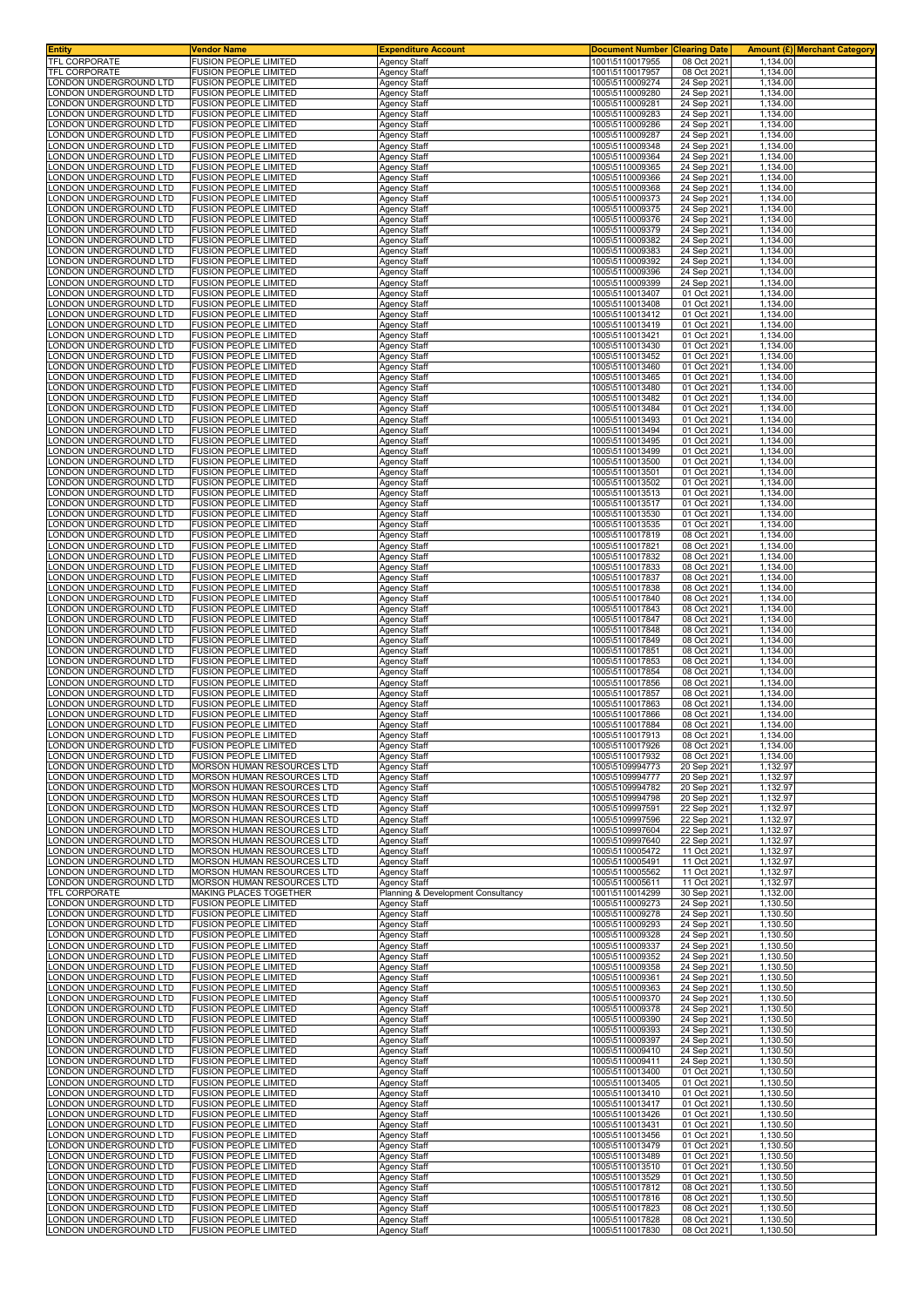| Entity                                           | <b>Vendor Name</b>                                              | <b>Expenditure Account</b>                         | <b>Document Number</b><br>1001\5110017955 | <b>Clearing Date</b>       | 1.134.00             | <b>Amount (£)</b> Merchant Category |
|--------------------------------------------------|-----------------------------------------------------------------|----------------------------------------------------|-------------------------------------------|----------------------------|----------------------|-------------------------------------|
| TFL CORPORATE<br>TFL CORPORATE                   | FUSION PEOPLE LIMITED<br>FUSION PEOPLE LIMITED                  | <b>Agency Staff</b><br>Agency Staff                | 1001\5110017957                           | 08 Oct 2021<br>08 Oct 2021 | 1,134.00             |                                     |
| ONDON UNDERGROUND LTD                            | <b>FUSION PEOPLE LIMITED</b>                                    | <b>Agency Staff</b>                                | 1005\5110009274                           | 24 Sep 2021                | 1,134.00             |                                     |
| ONDON UNDERGROUND LTD                            | <b>FUSION PEOPLE LIMITED</b>                                    | <b>Agency Staff</b>                                | 1005\5110009280                           | 24 Sep 2021                | 1,134.00             |                                     |
| ONDON UNDERGROUND LTD<br>ONDON UNDERGROUND LTD   | <b>FUSION PEOPLE LIMITED</b><br><b>FUSION PEOPLE LIMITED</b>    | <b>Agency Staff</b><br>Agency Staff                | 1005\5110009281<br>1005\5110009283        | 24 Sep 2021<br>24 Sep 2021 | 1,134.00<br>1,134.00 |                                     |
| ONDON UNDERGROUND LTD.                           | <b>FUSION PEOPLE LIMITED</b>                                    | Agency Staff                                       | 1005\5110009286                           | 24 Sep 2021                | 1,134.00             |                                     |
| ONDON UNDERGROUND LTD.                           | <b>FUSION PEOPLE LIMITED</b>                                    | Agency Staff                                       | 1005\5110009287                           | 24 Sep 202                 | 1,134.00             |                                     |
| ONDON UNDERGROUND LTD<br>ONDON UNDERGROUND LTD.  | <b>FUSION PEOPLE LIMITED</b><br><b>FUSION PEOPLE LIMITED</b>    | Agency Staff<br>Agency Staff                       | 1005\5110009348<br>1005\5110009364        | 24 Sep 202<br>24 Sep 2021  | 1,134.00<br>1,134.00 |                                     |
| ONDON UNDERGROUND LTD                            | <b>FUSION PEOPLE LIMITED</b>                                    | Agency Staff                                       | 1005\5110009365                           | 24 Sep 2021                | 1,134.00             |                                     |
| ONDON UNDERGROUND LTD.                           | FUSION PEOPLE LIMITED                                           | Agency Staff                                       | 1005\5110009366                           | 24 Sep 202                 | 1,134.00             |                                     |
| ONDON UNDERGROUND LTD<br>ONDON UNDERGROUND LTD   | <b>FUSION PEOPLE LIMITED</b><br><b>FUSION PEOPLE LIMITED</b>    | Agency Staff<br>Agency Staff                       | 1005\5110009368<br>1005\5110009373        | 24 Sep 2021<br>24 Sep 2021 | 1,134.00<br>1,134.00 |                                     |
| ONDON UNDERGROUND LTD                            | <b>FUSION PEOPLE LIMITED</b>                                    | Agency Staff                                       | 1005\5110009375                           | 24 Sep 2021                | 1,134.00             |                                     |
| ONDON UNDERGROUND LTD<br>ONDON UNDERGROUND LTD   | FUSION PEOPLE LIMITED<br><b>FUSION PEOPLE LIMITED</b>           | <b>Agency Staff</b><br>Agency Staff                | 1005\5110009376<br>1005\5110009379        | 24 Sep 2021<br>24 Sep 2021 | 1.134.00<br>1,134.00 |                                     |
| ONDON UNDERGROUND LTD.                           | <b>FUSION PEOPLE LIMITED</b>                                    | <b>Agency Staff</b>                                | 1005\5110009382                           | 24 Sep 2021                | 1.134.00             |                                     |
| ONDON UNDERGROUND LTD                            | <b>FUSION PEOPLE LIMITED</b>                                    | Agency Staff                                       | 1005\5110009383                           | 24 Sep 2021                | 1,134.00             |                                     |
| ONDON UNDERGROUND LTD.<br>ONDON UNDERGROUND LTD  | <b>FUSION PEOPLE LIMITED</b><br><b>FUSION PEOPLE LIMITED</b>    | <b>Agency Staff</b><br>Agency Staff                | 1005\5110009392<br>1005\5110009396        | 24 Sep 2021<br>24 Sep 2021 | 1.134.00<br>1,134.00 |                                     |
| ONDON UNDERGROUND LTD                            | FUSION PEOPLE LIMITED                                           | Agency Staff                                       | 1005\5110009399                           | 24 Sep 2021                | 1,134.00             |                                     |
| ONDON UNDERGROUND LTD.                           | <b>FUSION PEOPLE LIMITED</b>                                    | Agency Staff                                       | 1005\5110013407                           | 01 Oct 2021                | 1,134.00             |                                     |
| ONDON UNDERGROUND LTD.<br>ONDON UNDERGROUND LTD  | <b>FUSION PEOPLE LIMITED</b><br><b>FUSION PEOPLE LIMITED</b>    | <b>Agency Staff</b><br>Agency Staff                | 1005\5110013408<br>1005\5110013412        | 01 Oct 2021<br>01 Oct 2021 | 1,134.00<br>1,134.00 |                                     |
| ONDON UNDERGROUND LTD                            | <b>FUSION PEOPLE LIMITED</b>                                    | <b>Agency Staff</b>                                | 1005\5110013419                           | 01 Oct 2021                | 1,134.00             |                                     |
| ONDON UNDERGROUND LTD<br>ONDON UNDERGROUND LTD   | <b>FUSION PEOPLE LIMITED</b><br><b>FUSION PEOPLE LIMITED</b>    | <b>Agency Staff</b><br>Agency Staff                | 1005\5110013421<br>1005\5110013430        | 01 Oct 2021<br>01 Oct 2021 | 1,134.00<br>1,134.00 |                                     |
| ONDON UNDERGROUND LTD                            | <b>FUSION PEOPLE LIMITED</b>                                    | Agency Staff                                       | 1005\5110013452                           | 01 Oct 2021                | 1,134.00             |                                     |
| ONDON UNDERGROUND LTD.                           | <b>FUSION PEOPLE LIMITED</b>                                    | Agency Staff                                       | 1005\5110013460                           | 01 Oct 2021                | 1,134.00             |                                     |
| ONDON UNDERGROUND LTD.<br>ONDON UNDERGROUND LTD  | FUSION PEOPLE LIMITED<br><b>FUSION PEOPLE LIMITED</b>           | <b>Agency Staff</b><br>Agency Staff                | 1005\5110013465<br>1005\5110013480        | 01 Oct 2021<br>01 Oct 2021 | 1,134.00<br>1,134.00 |                                     |
| ONDON UNDERGROUND LTD                            | <b>FUSION PEOPLE LIMITED</b>                                    | Agency Staff                                       | 1005\5110013482                           | 01 Oct 2021                | 1,134.00             |                                     |
| ONDON UNDERGROUND LTD.                           | FUSION PEOPLE LIMITED                                           | <b>Agency Staff</b>                                | 1005\5110013484                           | 01 Oct 2021                | 1,134.00             |                                     |
| ONDON UNDERGROUND LTD<br>ONDON UNDERGROUND LTD   | FUSION PEOPLE LIMITED<br><b>FUSION PEOPLE LIMITED</b>           | Agency Staff<br>Agency Staff                       | 1005\5110013493<br>1005\5110013494        | 01 Oct 2021<br>01 Oct 2021 | 1,134.00<br>1,134.00 |                                     |
| ONDON UNDERGROUND LTD.                           | <b>FUSION PEOPLE LIMITED</b>                                    | Agency Staff                                       | 1005\5110013495                           | 01 Oct 2021                | 1,134.00             |                                     |
| ONDON UNDERGROUND LTD<br>ONDON UNDERGROUND LTD   | <b>FUSION PEOPLE LIMITED</b>                                    | <b>Agency Staff</b>                                | 1005\5110013499                           | 01 Oct 2021                | 1,134.00             |                                     |
| ONDON UNDERGROUND LTD                            | FUSION PEOPLE LIMITED<br><b>FUSION PEOPLE LIMITED</b>           | <b>Agency Staff</b><br><b>Agency Staff</b>         | 1005\5110013500<br>1005\5110013501        | 01 Oct 2021<br>01 Oct 2021 | 1,134.00<br>1,134.00 |                                     |
| ONDON UNDERGROUND LTD                            | <b>FUSION PEOPLE LIMITED</b>                                    | <b>Agency Staff</b>                                | 1005\5110013502                           | 01 Oct 2021                | 1,134.00             |                                     |
| ONDON UNDERGROUND LTD<br>ONDON UNDERGROUND LTD.  | <b>FUSION PEOPLE LIMITED</b><br>FUSION PEOPLE LIMITED           | Agency Staff<br><b>Agency Staff</b>                | 1005\5110013513<br>1005\5110013517        | 01 Oct 2021<br>01 Oct 2021 | 1,134.00<br>1,134.00 |                                     |
| ONDON UNDERGROUND LTD                            | <b>FUSION PEOPLE LIMITED</b>                                    | Agency Staff                                       | 1005\5110013530                           | 01 Oct 2021                | 1,134.00             |                                     |
| ONDON UNDERGROUND LTD.                           | <b>FUSION PEOPLE LIMITED</b>                                    | Agency Staff                                       | 1005\5110013535                           | 01 Oct 2021                | 1,134.00             |                                     |
| ONDON UNDERGROUND LTD.<br>ONDON UNDERGROUND LTD. | <b>FUSION PEOPLE LIMITED</b><br>FUSION PEOPLE LIMITED           | Agency Staff<br><b>Agency Staff</b>                | 1005\5110017819<br>1005\5110017821        | 08 Oct 2021<br>08 Oct 2021 | 1,134.00<br>1,134.00 |                                     |
| ONDON UNDERGROUND LTD                            | <b>FUSION PEOPLE LIMITED</b>                                    | Agency Staff                                       | 1005\5110017832                           | 08 Oct 2021                | 1,134.00             |                                     |
| ONDON UNDERGROUND LTD                            | <b>FUSION PEOPLE LIMITED</b>                                    | <b>Agency Staff</b>                                | 1005\5110017833                           | 08 Oct 2021                | 1,134.00             |                                     |
| ONDON UNDERGROUND LTD<br>ONDON UNDERGROUND LTD   | <b>FUSION PEOPLE LIMITED</b><br><b>FUSION PEOPLE LIMITED</b>    | <b>Agency Staff</b><br>Agency Staff                | 1005\5110017837<br>1005\5110017838        | 08 Oct 2021<br>08 Oct 2021 | 1,134.00<br>1,134.00 |                                     |
| ONDON UNDERGROUND LTD                            | <b>FUSION PEOPLE LIMITED</b>                                    | Agency Staff                                       | 1005\5110017840                           | 08 Oct 2021                | 1,134.00             |                                     |
| ONDON UNDERGROUND LTD.                           | <b>FUSION PEOPLE LIMITED</b>                                    | Agency Staff                                       | 1005\5110017843                           | 08 Oct 2021                | 1,134.00             |                                     |
| ONDON UNDERGROUND LTD.<br>ONDON UNDERGROUND LTD  | FUSION PEOPLE LIMITED<br><b>FUSION PEOPLE LIMITED</b>           | Agency Staff<br>Agency Staff                       | 1005\5110017847<br>1005\5110017848        | 08 Oct 2021<br>08 Oct 2021 | 1,134.00<br>1,134.00 |                                     |
| ONDON UNDERGROUND LTD.                           | <b>FUSION PEOPLE LIMITED</b>                                    | Agency Staff                                       | 1005\5110017849                           | 08 Oct 2021                | 1,134.00             |                                     |
| ONDON UNDERGROUND LTD                            | <b>FUSION PEOPLE LIMITED</b>                                    | Agency Staff                                       | 1005\5110017851                           | 08 Oct 2021                | 1,134.00             |                                     |
| ONDON UNDERGROUND LTD.<br>ONDON UNDERGROUND LTD  | FUSION PEOPLE LIMITED<br><b>FUSION PEOPLE LIMITED</b>           | Agency Staff<br>Agency Staff                       | 1005\5110017853<br>1005\5110017854        | 08 Oct 2021<br>08 Oct 2021 | 1,134.00<br>1,134.00 |                                     |
| ONDON UNDERGROUND LTD.                           | <b>FUSION PEOPLE LIMITED</b>                                    | Agency Staff                                       | 1005\5110017856                           | 08 Oct 2021                | 1,134.00             |                                     |
| ONDON UNDERGROUND LTD<br>ONDON UNDERGROUND LTD.  | <b>FUSION PEOPLE LIMITED</b><br><b>FUSION PEOPLE LIMITED</b>    | <b>Agency Staff</b><br><b>Agency Staff</b>         | 1005\5110017857<br>1005\5110017863        | 08 Oct 2021<br>08 Oct 2021 | 1,134.00<br>1.134.00 |                                     |
| ONDON UNDERGROUND LTD                            | <b>FUSION PEOPLE LIMITED</b>                                    | <b>Agency Staff</b>                                | 1005\5110017866                           | 08 Oct 2021                | 1,134.00             |                                     |
| ONDON UNDERGROUND LTD.                           | FUSION PEOPLE LIMITED                                           | <b>Agency Staff</b>                                | 1005\5110017884                           | 08 Oct 2021                | 1,134.00             |                                     |
| ONDON UNDERGROUND LTD<br>ONDON UNDERGROUND LTD.  | <b>FUSION PEOPLE LIMITED</b><br><b>FUSION PEOPLE LIMITED</b>    | Agency Staff<br><b>Agency Staff</b>                | 1005\5110017913<br>1005\5110017926        | 08 Oct 2021<br>08 Oct 2021 | 1,134.00<br>1,134.00 |                                     |
| ONDON UNDERGROUND LTD                            | <b>FUSION PEOPLE LIMITED</b>                                    | <b>Agency Staff</b>                                | 1005\5110017932                           | 08 Oct 2021                | 1,134.00             |                                     |
| ONDON UNDERGROUND LTD.                           | MORSON HUMAN RESOURCES LTD                                      | <b>Agency Staff</b>                                | 1005\5109994773                           | 20 Sep 2021                | 1,132.97             |                                     |
| ONDON UNDERGROUND LTD<br>ONDON UNDERGROUND LTD   | MORSON HUMAN RESOURCES LTD<br><b>MORSON HUMAN RESOURCES LTD</b> | Agency Staff<br><b>Agency Staff</b>                | 1005\5109994777<br>1005\5109994782        | 20 Sep 2021<br>20 Sep 2021 | 1,132.97<br>1.132.97 |                                     |
| ONDON UNDERGROUND LTD                            | MORSON HUMAN RESOURCES LTD                                      | <b>Agency Staff</b>                                | 1005\5109994798                           | 20 Sep 2021                | 1,132.97             |                                     |
| ONDON UNDERGROUND LTD.<br>ONDON UNDERGROUND LTD  | MORSON HUMAN RESOURCES LTD<br>MORSON HUMAN RESOURCES LTD        | <b>Agency Staff</b><br><b>Agency Staff</b>         | 1005\5109997591<br>1005\5109997596        | 22 Sep 2021<br>22 Sep 2021 | 1,132.97<br>1,132.97 |                                     |
| ONDON UNDERGROUND LTD                            | MORSON HUMAN RESOURCES LTD                                      | <b>Agency Staff</b>                                | 1005\5109997604                           | 22 Sep 2021                | 1,132.97             |                                     |
| ONDON UNDERGROUND LTD                            | MORSON HUMAN RESOURCES LTD                                      | <b>Agency Staff</b>                                | 1005\5109997640                           | 22 Sep 2021                | 1,132.97             |                                     |
| ONDON UNDERGROUND LTD<br>ONDON UNDERGROUND LTD   | MORSON HUMAN RESOURCES LTD<br>MORSON HUMAN RESOURCES LTD        | Agency Staff<br><b>Agency Staff</b>                | 1005\5110005472<br>1005\5110005491        | 11 Oct 2021<br>11 Oct 2021 | 1,132.97<br>1,132.97 |                                     |
| ONDON UNDERGROUND LTD                            | MORSON HUMAN RESOURCES LTD                                      | <b>Agency Staff</b>                                | 1005\5110005562                           | 11 Oct 2021                | 1,132.97             |                                     |
| ONDON UNDERGROUND LTD<br><b>FEL CORPORATE</b>    | MORSON HUMAN RESOURCES LTD                                      | <b>Agency Staff</b>                                | 1005\5110005611                           | 11 Oct 2021                | 1,132.97             |                                     |
| ONDON UNDERGROUND LTD                            | MAKING PLACES TOGETHER<br><b>FUSION PEOPLE LIMITED</b>          | Planning & Development Consultancy<br>Agency Staff | 1001\5110014299<br>1005\5110009273        | 30 Sep 2021<br>24 Sep 2021 | 1,132.00<br>1,130.50 |                                     |
| ONDON UNDERGROUND LTD                            | <b>FUSION PEOPLE LIMITED</b>                                    | Agency Staff                                       | 1005\5110009278                           | 24 Sep 2021                | 1,130.50             |                                     |
| ONDON UNDERGROUND LTD.<br>ONDON UNDERGROUND LTD  | <b>FUSION PEOPLE LIMITED</b><br><b>FUSION PEOPLE LIMITED</b>    | <b>Agency Staff</b><br>Agency Staff                | 1005\5110009293<br>1005\5110009328        | 24 Sep 2021<br>24 Sep 2021 | 1,130.50<br>1,130.50 |                                     |
| ONDON UNDERGROUND LTD                            | <b>FUSION PEOPLE LIMITED</b>                                    | <b>Agency Staff</b>                                | 1005\5110009337                           | 24 Sep 2021                | 1,130.50             |                                     |
| ONDON UNDERGROUND LTD                            | <b>FUSION PEOPLE LIMITED</b>                                    | <b>Agency Staff</b>                                | 1005\5110009352                           | 24 Sep 2021                | 1,130.50             |                                     |
| ONDON UNDERGROUND LTD<br>ONDON UNDERGROUND LTD   | <b>FUSION PEOPLE LIMITED</b><br><b>FUSION PEOPLE LIMITED</b>    | <b>Agency Staff</b><br><b>Agency Staff</b>         | 1005\5110009358<br>1005\5110009361        | 24 Sep 2021<br>24 Sep 2021 | 1,130.50<br>1,130.50 |                                     |
| ONDON UNDERGROUND LTD.                           | <b>FUSION PEOPLE LIMITED</b>                                    | <b>Agency Staff</b>                                | 1005\5110009363                           | 24 Sep 2021                | 1,130.50             |                                     |
| ONDON UNDERGROUND LTD<br>ONDON UNDERGROUND LTD   | <b>FUSION PEOPLE LIMITED</b><br><b>FUSION PEOPLE LIMITED</b>    | Agency Staff<br><b>Agency Staff</b>                | 1005\5110009370<br>1005\5110009378        | 24 Sep 2021<br>24 Sep 2021 | 1,130.50<br>1,130.50 |                                     |
| ONDON UNDERGROUND LTD                            | <b>FUSION PEOPLE LIMITED</b>                                    | Agency Staff                                       | 1005\5110009390                           | 24 Sep 2021                | 1,130.50             |                                     |
| ONDON UNDERGROUND LTD                            | <b>FUSION PEOPLE LIMITED</b>                                    | <b>Agency Staff</b>                                | 1005\5110009393                           | 24 Sep 2021                | 1,130.50             |                                     |
| ONDON UNDERGROUND LTD<br>ONDON UNDERGROUND LTD.  | <b>FUSION PEOPLE LIMITED</b><br><b>FUSION PEOPLE LIMITED</b>    | <b>Agency Staff</b><br><b>Agency Staff</b>         | 1005\5110009397<br>1005\5110009410        | 24 Sep 2021<br>24 Sep 2021 | 1,130.50<br>1,130.50 |                                     |
| ONDON UNDERGROUND LTD                            | <b>FUSION PEOPLE LIMITED</b>                                    | <b>Agency Staff</b>                                | 1005\5110009411                           | 24 Sep 2021                | 1,130.50             |                                     |
| ONDON UNDERGROUND LTD                            | <b>FUSION PEOPLE LIMITED</b>                                    | <b>Agency Staff</b>                                | 1005\5110013400                           | 01 Oct 2021                | 1,130.50             |                                     |
| ONDON UNDERGROUND LTD<br>ONDON UNDERGROUND LTD   | <b>FUSION PEOPLE LIMITED</b><br><b>FUSION PEOPLE LIMITED</b>    | <b>Agency Staff</b><br>Agency Staff                | 1005\5110013405<br>1005\5110013410        | 01 Oct 2021<br>01 Oct 2021 | 1,130.50<br>1,130.50 |                                     |
| ONDON UNDERGROUND LTD                            | <b>FUSION PEOPLE LIMITED</b>                                    | <b>Agency Staff</b>                                | 1005\5110013417                           | 01 Oct 2021                | 1,130.50             |                                     |
| ONDON UNDERGROUND LTD<br>ONDON UNDERGROUND LTD   | <b>FUSION PEOPLE LIMITED</b><br><b>FUSION PEOPLE LIMITED</b>    | Agency Staff<br>Agency Staff                       | 1005\5110013426<br>1005\5110013431        | 01 Oct 2021<br>01 Oct 2021 | 1,130.50<br>1,130.50 |                                     |
| ONDON UNDERGROUND LTD                            | <b>FUSION PEOPLE LIMITED</b>                                    | Agency Staff                                       | 1005\5110013456                           | 01 Oct 2021                | 1,130.50             |                                     |
| ONDON UNDERGROUND LTD                            | <b>FUSION PEOPLE LIMITED</b>                                    | <b>Agency Staff</b>                                | 1005\5110013479                           | 01 Oct 2021                | 1,130.50             |                                     |
| ONDON UNDERGROUND LTD<br>ONDON UNDERGROUND LTD.  | <b>FUSION PEOPLE LIMITED</b><br><b>FUSION PEOPLE LIMITED</b>    | Agency Staff<br>Agency Staff                       | 1005\5110013489<br>1005\5110013510        | 01 Oct 2021<br>01 Oct 2021 | 1,130.50<br>1,130.50 |                                     |
| ONDON UNDERGROUND LTD                            | <b>FUSION PEOPLE LIMITED</b>                                    | <b>Agency Staff</b>                                | 1005\5110013529                           | 01 Oct 2021                | 1,130.50             |                                     |
| ONDON UNDERGROUND LTD                            | <b>FUSION PEOPLE LIMITED</b>                                    | <b>Agency Staff</b>                                | 1005\5110017812                           | 08 Oct 2021                | 1,130.50             |                                     |
| ONDON UNDERGROUND LTD<br>ONDON UNDERGROUND LTD   | <b>FUSION PEOPLE LIMITED</b><br><b>FUSION PEOPLE LIMITED</b>    | <b>Agency Staff</b><br><b>Agency Staff</b>         | 1005\5110017816<br>1005\5110017823        | 08 Oct 2021<br>08 Oct 2021 | 1,130.50<br>1,130.50 |                                     |
| ONDON UNDERGROUND LTD                            | <b>FUSION PEOPLE LIMITED</b>                                    | Agency Staff                                       | 1005\5110017828                           | 08 Oct 2021                | 1,130.50             |                                     |
| LONDON UNDERGROUND LTD                           | <b>FUSION PEOPLE LIMITED</b>                                    | <b>Agency Staff</b>                                | 1005\5110017830                           | 08 Oct 2021                | 1,130.50             |                                     |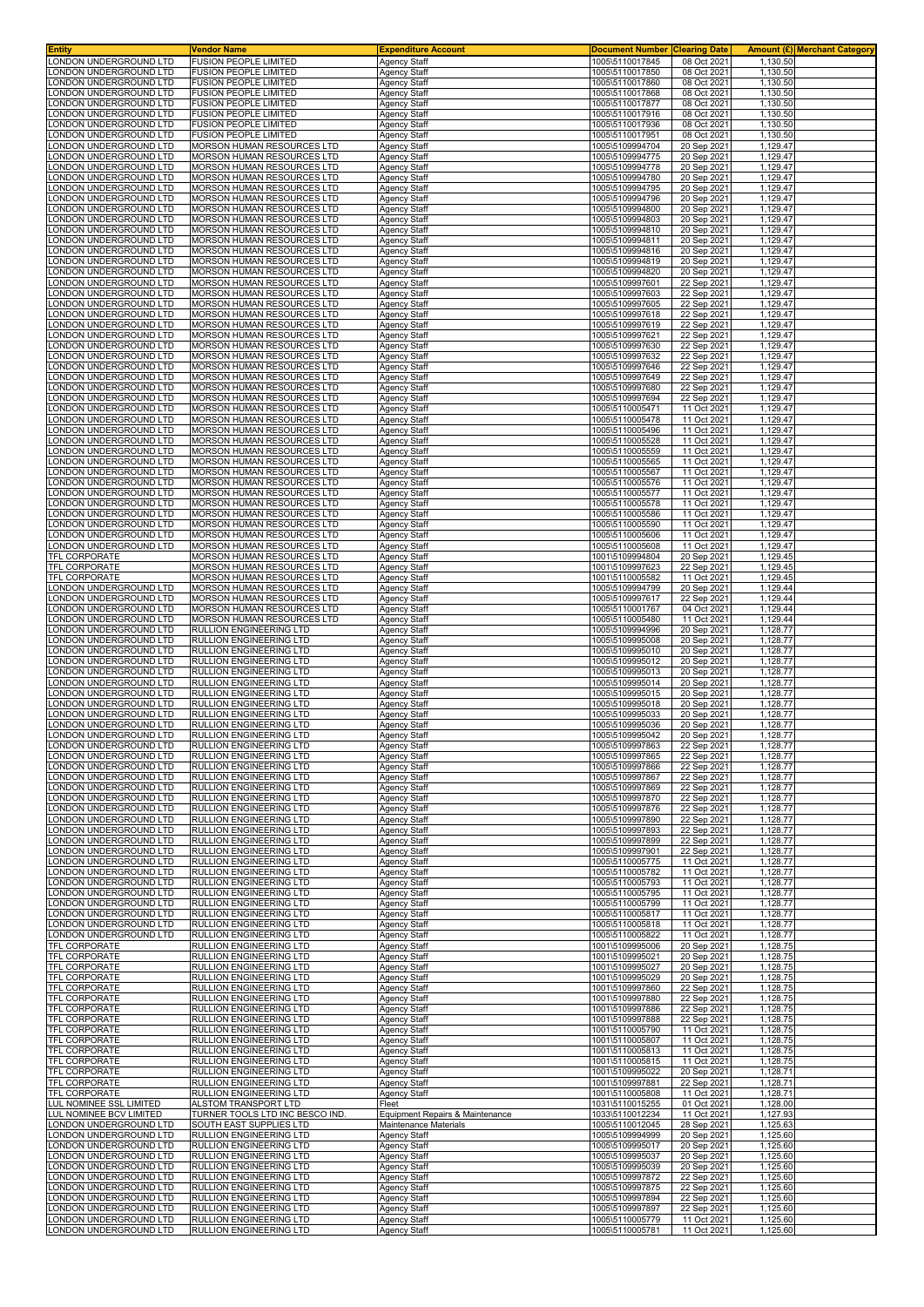| <b>Entity</b>                                    | Vendor Name<br><b>FUSION PEOPLE LIMITED</b>                      | Expenditure Account                 | <b>Document Number</b>             | <b>Clearing Date</b>       |                      | <b>Amount (£)</b> Merchant Category |
|--------------------------------------------------|------------------------------------------------------------------|-------------------------------------|------------------------------------|----------------------------|----------------------|-------------------------------------|
| LONDON UNDERGROUND LTD<br>ONDON UNDERGROUND LTD  | <b>FUSION PEOPLE LIMITED</b>                                     | Agency Staff<br>Agency Staff        | 1005\5110017845<br>1005\5110017850 | 08 Oct 2021<br>08 Oct 2021 | 1,130.50<br>1,130.50 |                                     |
| ONDON UNDERGROUND LTD                            | <b>FUSION PEOPLE LIMITED</b>                                     | Agency Staff                        | 1005\5110017860                    | 08 Oct 2021                | 1,130.50             |                                     |
| ONDON UNDERGROUND LTD                            | <b>FUSION PEOPLE LIMITED</b>                                     | Agency Staff                        | 1005\5110017868                    | 08 Oct 2021                | 1,130.50             |                                     |
| ONDON UNDERGROUND LTD<br>ONDON UNDERGROUND LTD   | <b>FUSION PEOPLE LIMITED</b><br><b>FUSION PEOPLE LIMITED</b>     | <b>Agency Staff</b><br>Agency Staff | 1005\5110017877<br>1005\5110017916 | 08 Oct 2021<br>08 Oct 2021 | 1,130.50<br>1,130.50 |                                     |
| ONDON UNDERGROUND LTD                            | <b>FUSION PEOPLE LIMITED</b>                                     | Agency Staff                        | 1005\5110017936                    | 08 Oct 2021                | 1,130.50             |                                     |
| ONDON UNDERGROUND LTD                            | <b>FUSION PEOPLE LIMITED</b>                                     | Agency Staff                        | 1005\5110017951                    | 08 Oct 2021                | 1,130.50             |                                     |
| ONDON UNDERGROUND LTD<br>ONDON UNDERGROUND LTD.  | MORSON HUMAN RESOURCES LTD<br>MORSON HUMAN RESOURCES LTD         | Agency Staff<br>Agency Staff        | 1005\5109994704<br>1005\5109994775 | 20 Sep 2021<br>20 Sep 2021 | 1,129.47<br>1,129.47 |                                     |
| ONDON UNDERGROUND LTD.                           | MORSON HUMAN RESOURCES LTD                                       | Agency Staff                        | 1005\5109994778                    | 20 Sep 2021                | 1,129.47             |                                     |
| ONDON UNDERGROUND LTD.                           | MORSON HUMAN RESOURCES LTD                                       | Agency Staff                        | 1005\5109994780                    | 20 Sep 202                 | 1,129.47             |                                     |
| ONDON UNDERGROUND LTD                            | <b>MORSON HUMAN RESOURCES LTD</b>                                | Agency Staff                        | 1005\5109994795<br>1005\5109994796 | 20 Sep 202                 | 1,129.47             |                                     |
| ONDON UNDERGROUND LTD<br>ONDON UNDERGROUND LTD   | MORSON HUMAN RESOURCES LTD<br>MORSON HUMAN RESOURCES LTD         | Agency Staff<br>Agency Staff        | 1005\5109994800                    | 20 Sep 2021<br>20 Sep 2021 | 1,129.47<br>1,129.47 |                                     |
| ONDON UNDERGROUND LTD.                           | MORSON HUMAN RESOURCES LTD                                       | <b>Agency Staff</b>                 | 1005\5109994803                    | 20 Sep 2021                | 1.129.47             |                                     |
| ONDON UNDERGROUND LTD                            | MORSON HUMAN RESOURCES LTD                                       | <b>Agency Staff</b>                 | 1005\5109994810                    | 20 Sep 2021                | 1,129.47             |                                     |
| ONDON UNDERGROUND LTD.<br>ONDON UNDERGROUND LTD  | MORSON HUMAN RESOURCES LTD<br>MORSON HUMAN RESOURCES LTD         | Agency Staff<br>Agency Staff        | 1005\5109994811<br>1005\5109994816 | 20 Sep 2021<br>20 Sep 2021 | 1,129.47<br>1,129.47 |                                     |
| LONDON UNDERGROUND LTD                           | <b>MORSON HUMAN RESOURCES LTD</b>                                | Agency Staff                        | 1005\5109994819                    | 20 Sep 2021                | 1,129.47             |                                     |
| ONDON UNDERGROUND LTD                            | MORSON HUMAN RESOURCES LTD                                       | Agency Staff                        | 1005\5109994820                    | 20 Sep 202                 | 1,129.47             |                                     |
| ONDON UNDERGROUND LTD<br>ONDON UNDERGROUND LTD   | MORSON HUMAN RESOURCES LTD<br>MORSON HUMAN RESOURCES LTD         | Agency Staff<br>Agency Staff        | 1005\5109997601<br>1005\5109997603 | 22 Sep 2021<br>22 Sep 2021 | 1,129.47<br>1,129.47 |                                     |
| LONDON UNDERGROUND LTD                           | MORSON HUMAN RESOURCES LTD                                       | Agency Staff                        | 1005\5109997605                    | 22 Sep 2021                | 1,129.47             |                                     |
| ONDON UNDERGROUND LTD                            | MORSON HUMAN RESOURCES LTD                                       | Agency Staff                        | 1005\5109997618                    | 22 Sep 2021                | 1,129.47             |                                     |
| ONDON UNDERGROUND LTD<br>ONDON UNDERGROUND LTD   | MORSON HUMAN RESOURCES LTD<br>MORSON HUMAN RESOURCES LTD         | Agency Staff<br>Agency Staff        | 1005\5109997619<br>1005\5109997621 | 22 Sep 2021<br>22 Sep 2021 | 1,129.47<br>1,129.47 |                                     |
| ONDON UNDERGROUND LTD                            | MORSON HUMAN RESOURCES LTD                                       | Agency Staff                        | 1005\5109997630                    | 22 Sep 202                 | 1,129.47             |                                     |
| ONDON UNDERGROUND LTD                            | MORSON HUMAN RESOURCES LTD                                       | Agency Staff                        | 1005\5109997632                    | 22 Sep 202                 | 1,129.47             |                                     |
| ONDON UNDERGROUND LTD<br>ONDON UNDERGROUND LTD.  | MORSON HUMAN RESOURCES LTD<br>MORSON HUMAN RESOURCES LTD         | Agency Staff<br>Agency Staff        | 1005\5109997646<br>1005\5109997649 | 22 Sep 2021<br>22 Sep 2021 | 1,129.47<br>1,129.47 |                                     |
| ONDON UNDERGROUND LTD                            | MORSON HUMAN RESOURCES LTD                                       | Agency Staff                        | 1005\5109997680                    | 22 Sep 2021                | 1,129.47             |                                     |
| ONDON UNDERGROUND LTD                            | MORSON HUMAN RESOURCES LTD                                       | Agency Staff                        | 1005\5109997694                    | 22 Sep 2021                | 1,129.47             |                                     |
| ONDON UNDERGROUND LTD.<br>ONDON UNDERGROUND LTD. | MORSON HUMAN RESOURCES LTD<br>MORSON HUMAN RESOURCES LTD         | Agency Staff<br>Agency Staff        | 1005\5110005471<br>1005\5110005478 | 11 Oct 2021<br>11 Oct 2021 | 1,129.47<br>1,129.47 |                                     |
| ONDON UNDERGROUND LTD                            | MORSON HUMAN RESOURCES LTD                                       | Agency Staff                        | 1005\5110005496                    | 11 Oct 2021                | 1,129.47             |                                     |
| ONDON UNDERGROUND LTD                            | MORSON HUMAN RESOURCES LTD                                       | Agency Staff                        | 1005\5110005528                    | 11 Oct 2021                | 1,129.47             |                                     |
| ONDON UNDERGROUND LTD<br>ONDON UNDERGROUND LTD   | MORSON HUMAN RESOURCES LTD<br>MORSON HUMAN RESOURCES LTD         | Agency Staff<br><b>Agency Staff</b> | 1005\5110005559<br>1005\5110005565 | 11 Oct 2021<br>11 Oct 2021 | 1,129.47<br>1,129.47 |                                     |
| ONDON UNDERGROUND LTD                            | MORSON HUMAN RESOURCES LTD                                       | Agency Staff                        | 1005\5110005567                    | 11 Oct 2021                | 1,129.47             |                                     |
| ONDON UNDERGROUND LTD.                           | MORSON HUMAN RESOURCES LTD                                       | Agency Staff                        | 1005\5110005576                    | 11 Oct 2021                | 1.129.47             |                                     |
| ONDON UNDERGROUND LTD<br>LONDON UNDERGROUND LTD  | MORSON HUMAN RESOURCES LTD<br>MORSON HUMAN RESOURCES LTD         | Agency Staff<br>Agency Staff        | 1005\5110005577<br>1005\5110005578 | 11 Oct 2021<br>11 Oct 2021 | 1,129.47<br>1,129.47 |                                     |
| ONDON UNDERGROUND LTD                            | MORSON HUMAN RESOURCES LTD                                       | Agency Staff                        | 1005\5110005586                    | 11 Oct 2021                | 1,129.47             |                                     |
| ONDON UNDERGROUND LTD.                           | MORSON HUMAN RESOURCES LTD                                       | Agency Staff                        | 1005\5110005590                    | 11 Oct 2021                | 1,129.47             |                                     |
| ONDON UNDERGROUND LTD<br>LONDON UNDERGROUND LTD  | MORSON HUMAN RESOURCES LTD<br>MORSON HUMAN RESOURCES LTD         | Agency Staff<br>Agency Staff        | 1005\5110005606<br>1005\5110005608 | 11 Oct 2021<br>11 Oct 2021 | 1,129.47<br>1,129.47 |                                     |
| TFL CORPORATE                                    | MORSON HUMAN RESOURCES LTD                                       | Agency Staff                        | 1001\5109994804                    | 20 Sep 2021                | 1,129.45             |                                     |
| TFL CORPORATE                                    | MORSON HUMAN RESOURCES LTD                                       | Agency Staff                        | 1001\5109997623                    | 22 Sep 2021                | 1,129.45             |                                     |
| TFL CORPORATE<br>LONDON UNDERGROUND LTD          | MORSON HUMAN RESOURCES LTD<br>MORSON HUMAN RESOURCES LTD         | Agency Staff<br>Agency Staff        | 1001\5110005582<br>1005\5109994799 | 11 Oct 2021<br>20 Sep 2021 | 1,129.45<br>1,129.44 |                                     |
| ONDON UNDERGROUND LTD                            | MORSON HUMAN RESOURCES LTD                                       | Agency Staff                        | 1005\5109997617                    | 22 Sep 2021                | 1,129.44             |                                     |
| ONDON UNDERGROUND LTD                            | MORSON HUMAN RESOURCES LTD                                       | Agency Staff                        | 1005\5110001767                    | 04 Oct 2021                | 1,129.44             |                                     |
| ONDON UNDERGROUND LTD.<br>ONDON UNDERGROUND LTD  | MORSON HUMAN RESOURCES LTD<br>RULLION ENGINEERING LTD            | Agency Staff<br>Agency Staff        | 1005\5110005480<br>1005\5109994996 | 11 Oct 202<br>20 Sep 202   | 1,129.44<br>1,128.77 |                                     |
| ONDON UNDERGROUND LTD.                           | RULLION ENGINEERING LTD                                          | Agency Staff                        | 1005\5109995008                    | 20 Sep 2021                | 1,128.77             |                                     |
| ONDON UNDERGROUND LTD.                           | RULLION ENGINEERING LTD                                          | Agency Staff                        | 1005\5109995010                    | 20 Sep 2021                | 1,128.77             |                                     |
| ONDON UNDERGROUND LTD.<br>ONDON UNDERGROUND LTD  | RULLION ENGINEERING LTD<br>RULLION ENGINEERING LTD               | Agency Staff                        | 1005\5109995012                    | 20 Sep 202<br>20 Sep 202   | 1,128.77<br>1,128.77 |                                     |
| ONDON UNDERGROUND LTD.                           | RULLION ENGINEERING LTD                                          | Agency Staff<br>Agency Staff        | 1005\5109995013<br>1005\5109995014 | 20 Sep 2021                | 1,128.77             |                                     |
| ONDON UNDERGROUND LTD                            | RULLION ENGINEERING LTD                                          | Agency Staff                        | 1005\5109995015                    | 20 Sep 2021                | 1,128.77             |                                     |
| ONDON UNDERGROUND LTD<br>ONDON UNDERGROUND LTD   | RULLION ENGINEERING LTD<br>RULLION ENGINEERING LTD               | <b>Agency Staff</b><br>Agency Staff | 1005\5109995018<br>1005\5109995033 | 20 Sep 2021                | 1.128.77<br>1,128.77 |                                     |
| ONDON UNDERGROUND LTD                            | RULLION ENGINEERING LTD                                          | Agency Staff                        | 1005\5109995036                    | 20 Sep 2021<br>20 Sep 2021 | 1,128.77             |                                     |
| LONDON UNDERGROUND LTD                           | RULLION ENGINEERING LTD                                          | Agency Staff                        | 1005\5109995042                    | 20 Sep 2021                | 1,128.77             |                                     |
| LONDON UNDERGROUND LTD                           | RULLION ENGINEERING LTD                                          | Agency Staff                        | 1005\5109997863<br>1005\5109997865 | 22 Sep 2021<br>22 Sep 2021 | 1,128.77<br>1,128.77 |                                     |
| LONDON UNDERGROUND LTD<br>LONDON UNDERGROUND LTD | RULLION ENGINEERING LTD<br>RULLION ENGINEERING LTD               | Agency Staff<br>Agency Staff        | 1005\5109997866                    | 22 Sep 2021                | 1.128.77             |                                     |
| ONDON UNDERGROUND LTD                            | RULLION ENGINEERING LTD                                          | Agency Staff                        | 1005\5109997867                    | 22 Sep 2021                | 1,128.77             |                                     |
| LONDON UNDERGROUND LTD                           | RULLION ENGINEERING LTD<br>RULLION ENGINEERING LTD               | <b>Agency Staff</b>                 | 1005\5109997869                    | 22 Sep 2021                | 1.128.77             |                                     |
| ONDON UNDERGROUND LTD<br>ONDON UNDERGROUND LTD.  | RULLION ENGINEERING LTD                                          | Agency Staff<br>Agency Staff        | 1005\5109997870<br>1005\5109997876 | 22 Sep 2021<br>22 Sep 2021 | 1,128.77<br>1.128.77 |                                     |
| ONDON UNDERGROUND LTD                            | RULLION ENGINEERING LTD                                          | <b>Agency Staff</b>                 | 1005\5109997890                    | 22 Sep 2021                | 1,128.77             |                                     |
| LONDON UNDERGROUND LTD                           | RULLION ENGINEERING LTD                                          | Agency Staff                        | 1005\5109997893                    | 22 Sep 2021                | 1,128.77             |                                     |
| ONDON UNDERGROUND LTD<br>ONDON UNDERGROUND LTD   | RULLION ENGINEERING LTD<br>RULLION ENGINEERING LTD               | Agency Staff<br>Agency Staff        | 1005\5109997899<br>1005\5109997901 | 22 Sep 2021<br>22 Sep 2021 | 1,128.77<br>1,128.77 |                                     |
| ONDON UNDERGROUND LTD                            | RULLION ENGINEERING LTD                                          | Agency Staff                        | 1005\5110005775                    | 11 Oct 2021                | 1,128.77             |                                     |
| LONDON UNDERGROUND LTD                           | RULLION ENGINEERING LTD                                          | Agency Staff                        | 1005\5110005782                    | 11 Oct 2021                | 1,128.77             |                                     |
| ONDON UNDERGROUND LTD<br>ONDON UNDERGROUND LTD   | <b>RULLION ENGINEERING LTD</b><br><b>RULLION ENGINEERING LTD</b> | Agency Staff<br><b>Agency Staff</b> | 1005\5110005793<br>1005\5110005795 | 11 Oct 2021<br>11 Oct 2021 | 1,128.77<br>1,128.77 |                                     |
| ONDON UNDERGROUND LTD                            | RULLION ENGINEERING LTD                                          | Agency Staff                        | 1005\5110005799                    | 11 Oct 2021                | 1,128.77             |                                     |
| LONDON UNDERGROUND LTD                           | RULLION ENGINEERING LTD                                          | Agency Staff                        | 1005\5110005817                    | 11 Oct 2021                | 1,128.77             |                                     |
| ONDON UNDERGROUND LTD.<br>ONDON UNDERGROUND LTD  | RULLION ENGINEERING LTD<br>RULLION ENGINEERING LTD               | Agency Staff<br><b>Agency Staff</b> | 1005\5110005818<br>1005\5110005822 | 11 Oct 2021<br>11 Oct 2021 | 1,128.77<br>1,128.77 |                                     |
| TFL CORPORATE                                    | RULLION ENGINEERING LTD                                          | Agency Staff                        | 1001\5109995006                    | 20 Sep 2021                | 1,128.75             |                                     |
| TFL CORPORATE                                    | RULLION ENGINEERING LTD                                          | Agency Staff                        | 1001\5109995021                    | 20 Sep 2021                | 1,128.75             |                                     |
| TFL CORPORATE<br>TFL CORPORATE                   | RULLION ENGINEERING LTD<br>RULLION ENGINEERING LTD               | Agency Staff<br>Agency Staff        | 1001\5109995027<br>1001\5109995029 | 20 Sep 2021<br>20 Sep 2021 | 1,128.75<br>1,128.75 |                                     |
| TFL CORPORATE                                    | RULLION ENGINEERING LTD                                          | Agency Staff                        | 1001\5109997860                    | 22 Sep 2021                | 1,128.75             |                                     |
| TFL CORPORATE                                    | RULLION ENGINEERING LTD                                          | Agency Staff                        | 1001\5109997880                    | 22 Sep 2021                | 1,128.75             |                                     |
| TFL CORPORATE<br>TFL CORPORATE                   | RULLION ENGINEERING LTD<br>RULLION ENGINEERING LTD               | Agency Staff<br>Agency Staff        | 1001\5109997886<br>1001\5109997888 | 22 Sep 2021<br>22 Sep 2021 | 1,128.75<br>1,128.75 |                                     |
| TFL CORPORATE                                    | RULLION ENGINEERING LTD                                          | Agency Staff                        | 1001\5110005790                    | 11 Oct 2021                | 1,128.75             |                                     |
| TFL CORPORATE                                    | RULLION ENGINEERING LTD                                          | Agency Staff                        | 1001\5110005807                    | 11 Oct 2021                | 1,128.75             |                                     |
| TFL CORPORATE<br>TFL CORPORATE                   | RULLION ENGINEERING LTD<br>RULLION ENGINEERING LTD               | Agency Staff<br>Agency Staff        | 1001\5110005813<br>1001\5110005815 | 11 Oct 2021<br>11 Oct 2021 | 1,128.75<br>1,128.75 |                                     |
| TFL CORPORATE                                    | RULLION ENGINEERING LTD                                          | Agency Staff                        | 1001\5109995022                    | 20 Sep 2021                | 1,128.71             |                                     |
| TFL CORPORATE                                    | RULLION ENGINEERING LTD                                          | Agency Staff                        | 1001\5109997881                    | 22 Sep 2021                | 1,128.71             |                                     |
| TFL CORPORATE<br>LUL NOMINEE SSL LIMITED         | RULLION ENGINEERING LTD<br>ALSTOM TRANSPORT LTD                  | Agency Staff<br>Fleet               | 1001\5110005808<br>1031\5110015255 | 11 Oct 2021<br>01 Oct 2021 | 1,128.71<br>1,128.00 |                                     |
| LUL NOMINEE BCV LIMITED                          | TURNER TOOLS LTD INC BESCO IND.                                  | Equipment Repairs & Maintenance     | 1033\5110012234                    | 11 Oct 2021                | 1,127.93             |                                     |
| ONDON UNDERGROUND LTD                            | SOUTH EAST SUPPLIES LTD                                          | Maintenance Materials               | 1005\5110012045                    | 28 Sep 2021                | 1,125.63             |                                     |
| ONDON UNDERGROUND LTD<br>ONDON UNDERGROUND LTD   | RULLION ENGINEERING LTD<br>RULLION ENGINEERING LTD               | Agency Staff<br>Agency Staff        | 1005\5109994999<br>1005\5109995017 | 20 Sep 2021<br>20 Sep 2021 | 1,125.60<br>1,125.60 |                                     |
| LONDON UNDERGROUND LTD                           | RULLION ENGINEERING LTD                                          | Agency Staff                        | 1005\5109995037                    | 20 Sep 2021                | 1,125.60             |                                     |
| ONDON UNDERGROUND LTD.                           | RULLION ENGINEERING LTD                                          | Agency Staff                        | 1005\5109995039                    | 20 Sep 2021                | 1,125.60             |                                     |
| ONDON UNDERGROUND LTD<br>ONDON UNDERGROUND LTD   | RULLION ENGINEERING LTD<br>RULLION ENGINEERING LTD               | <b>Agency Staff</b><br>Agency Staff | 1005\5109997872<br>1005\5109997875 | 22 Sep 2021<br>22 Sep 2021 | 1,125.60<br>1,125.60 |                                     |
| ONDON UNDERGROUND LTD                            | RULLION ENGINEERING LTD                                          | Agency Staff                        | 1005\5109997894                    | 22 Sep 2021                | 1,125.60             |                                     |
| ONDON UNDERGROUND LTD                            | RULLION ENGINEERING LTD                                          | Agency Staff                        | 1005\5109997897                    | 22 Sep 2021                | 1,125.60             |                                     |
| ONDON UNDERGROUND LTD<br>LONDON UNDERGROUND LTD  | RULLION ENGINEERING LTD<br>RULLION ENGINEERING LTD               | Agency Staff<br><b>Agency Staff</b> | 1005\5110005779<br>1005\5110005781 | 11 Oct 2021<br>11 Oct 2021 | 1,125.60<br>1,125.60 |                                     |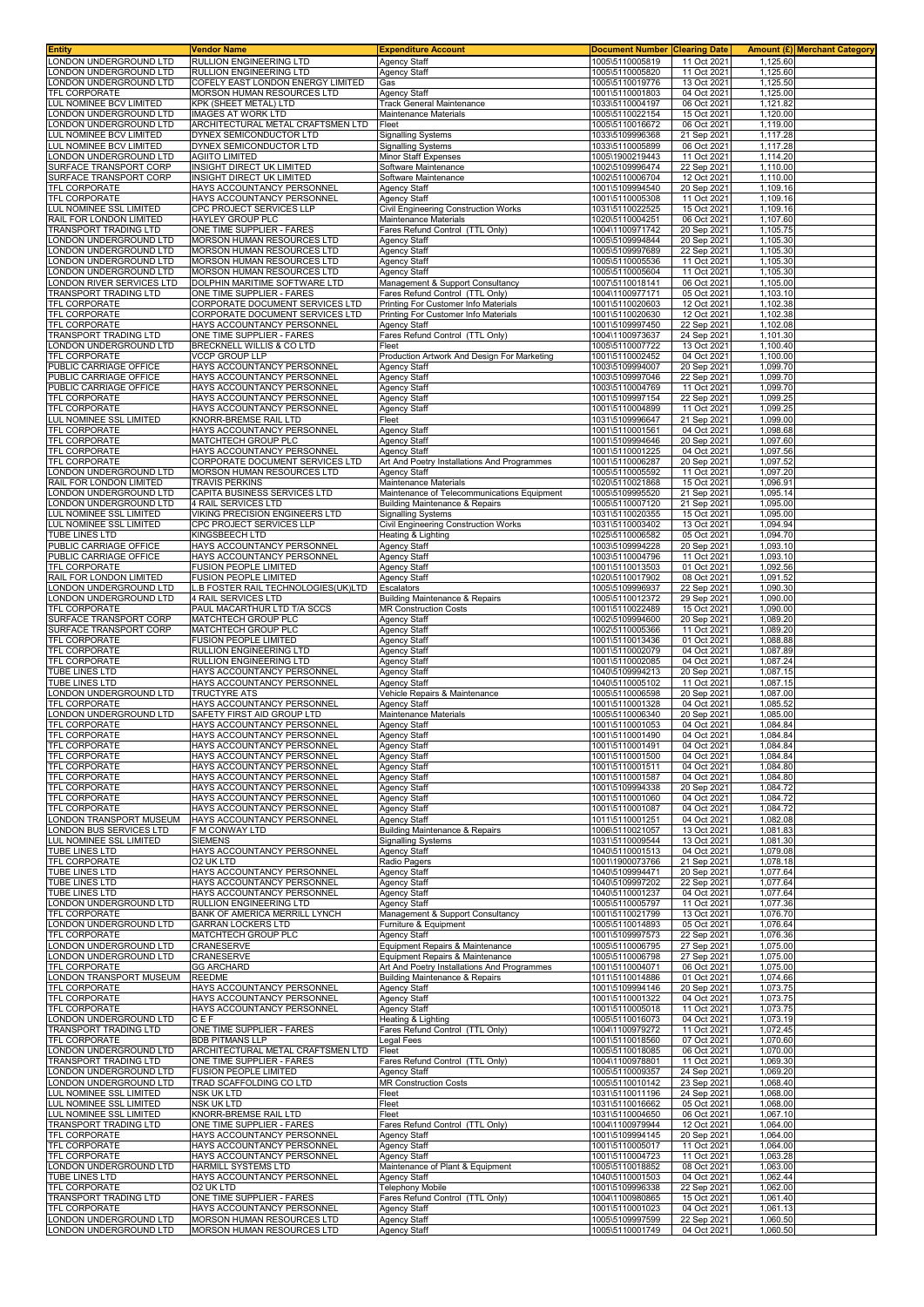| <b>Entity</b>                                      | Vendor Name                                                    | <b>Expenditure Account</b>                                                | <b>Document Number Clearing Date</b> |                            |                      | Amount (£) Merchant Category |
|----------------------------------------------------|----------------------------------------------------------------|---------------------------------------------------------------------------|--------------------------------------|----------------------------|----------------------|------------------------------|
| LONDON UNDERGROUND LTD<br>ONDON UNDERGROUND LTD    | RULLION ENGINEERING LTD<br>RULLION ENGINEERING LTD             | <b>Agency Staff</b><br><b>Agency Staff</b>                                | 1005\5110005819<br>1005\5110005820   | 11 Oct 2021<br>11 Oct 2021 | 1,125.60<br>1,125.60 |                              |
| ONDON UNDERGROUND LTD                              | COFELY EAST LONDON ENERGY LIMITED                              | Gas                                                                       | 1005\5110019776                      | 13 Oct 2021                | 1,125.50             |                              |
| TFL CORPORATE                                      | <b>MORSON HUMAN RESOURCES LTD</b>                              | <b>Agency Staff</b>                                                       | 1001\5110001803                      | 04 Oct 2021                | 1,125.00             |                              |
| LUL NOMINEE BCV LIMITED                            | KPK (SHEET METAL) LTD                                          | <b>Track General Maintenance</b>                                          | 1033\5110004197                      | 06 Oct 2021                | 1,121.82             |                              |
| ONDON UNDERGROUND LTD<br>ONDON UNDERGROUND LTD     | <b>IMAGES AT WORK LTD</b><br>ARCHITECTURAL METAL CRAFTSMEN LTD | Maintenance Materials<br>Fleet                                            | 1005\5110022154<br>1005\5110016672   | 15 Oct 2021<br>06 Oct 2021 | 1,120.00<br>1,119.00 |                              |
| LUL NOMINEE BCV LIMITED                            | DYNEX SEMICONDUCTOR LTD                                        | <b>Signalling Systems</b>                                                 | 1033\5109996368                      | 21 Sep 2021                | 1.117.28             |                              |
| UL NOMINEE BCV LIMITED                             | DYNEX SEMICONDUCTOR LTD                                        | <b>Signalling Systems</b>                                                 | 1033\5110005899                      | 06 Oct 2021                | 1,117.28<br>1.114.20 |                              |
| ONDON UNDERGROUND LTD<br>SURFACE TRANSPORT CORP    | <b>AGIITO LIMITED</b><br>INSIGHT DIRECT UK LIMITED             | Minor Staff Expenses<br>Software Maintenance                              | 1005\1900219443<br>1002\5109996474   | 11 Oct 2021<br>22 Sep 2021 | 1,110.00             |                              |
| SURFACE TRANSPORT CORP                             | <b>INSIGHT DIRECT UK LIMITED</b>                               | Software Maintenance                                                      | 1002\5110006704                      | 12 Oct 2021                | 1,110.00             |                              |
| TFL CORPORATE                                      | HAYS ACCOUNTANCY PERSONNEL                                     | <b>Agency Staff</b>                                                       | 1001\5109994540                      | 20 Sep 2021                | 1,109.16             |                              |
| TFL CORPORATE<br>LUL NOMINEE SSL LIMITED           | HAYS ACCOUNTANCY PERSONNEL<br>CPC PROJECT SERVICES LLP         | <b>Agency Staff</b><br>Civil Engineering Construction Works               | 1001\5110005308<br>1031\5110022525   | 11 Oct 2021<br>15 Oct 2021 | 1,109.16<br>1,109.16 |                              |
| RAIL FOR LONDON LIMITED                            | HAYLEY GROUP PLC                                               | Maintenance Materials                                                     | 1020\5110004251                      | 06 Oct 2021                | 1,107.60             |                              |
| TRANSPORT TRADING LTD                              | ONE TIME SUPPLIER - FARES                                      | Fares Refund Control (TTL Only)                                           | 1004\1100971742                      | 20 Sep 2021                | 1,105.75             |                              |
| ONDON UNDERGROUND LTD<br>ONDON UNDERGROUND LTD     | MORSON HUMAN RESOURCES LTD<br>MORSON HUMAN RESOURCES LTD       | <b>Agency Staff</b><br><b>Agency Staff</b>                                | 1005\5109994844<br>1005\5109997689   | 20 Sep 2021<br>22 Sep 2021 | 1,105.30<br>1,105.30 |                              |
| ONDON UNDERGROUND LTD                              | MORSON HUMAN RESOURCES LTD                                     | <b>Agency Staff</b>                                                       | 1005\5110005536                      | 11 Oct 2021                | 1,105.30             |                              |
| ONDON UNDERGROUND LTD<br>ONDON RIVER SERVICES LTD  | MORSON HUMAN RESOURCES LTD<br>DOLPHIN MARITIME SOFTWARE LTD    | Agency Staff<br>Management & Support Consultancy                          | 1005\5110005604<br>1007\5110018141   | 11 Oct 2021<br>06 Oct 2021 | 1,105.30<br>1,105.00 |                              |
| TRANSPORT TRADING LTD                              | ONE TIME SUPPLIER - FARES                                      | Fares Refund Control (TTL Only)                                           | 1004\1100977171                      | 05 Oct 2021                | 1,103.10             |                              |
| TFL CORPORATE                                      | CORPORATE DOCUMENT SERVICES LTD                                | Printing For Customer Info Materials                                      | 1001\5110020603                      | 12 Oct 2021                | 1,102.38             |                              |
| TFL CORPORATE<br>TFL CORPORATE                     | CORPORATE DOCUMENT SERVICES LTD<br>HAYS ACCOUNTANCY PERSONNEL  | Printing For Customer Info Materials<br><b>Agency Staff</b>               | 1001\5110020630<br>1001\5109997450   | 12 Oct 2021<br>22 Sep 2021 | 1,102.38<br>1,102.08 |                              |
| TRANSPORT TRADING LTD                              | ONE TIME SUPPLIER - FARES                                      | Fares Refund Control (TTL Only)                                           | 1004\1100973637                      | 24 Sep 2021                | 1,101.30             |                              |
| ONDON UNDERGROUND LTD                              | BRECKNELL WILLIS & CO LTD                                      | Fleet                                                                     | 1005\5110007722                      | 13 Oct 2021                | 1,100.40             |                              |
| <b>TFL CORPORATE</b><br>PUBLIC CARRIAGE OFFICE     | <b>VCCP GROUP LLP</b><br>HAYS ACCOUNTANCY PERSONNEL            | Production Artwork And Design For Marketing<br><b>Agency Staff</b>        | 1001\5110002452<br>1003\5109994007   | 04 Oct 2021<br>20 Sep 2021 | 1,100.00<br>1,099.70 |                              |
| PUBLIC CARRIAGE OFFICE                             | HAYS ACCOUNTANCY PERSONNEL                                     | <b>Agency Staff</b>                                                       | 1003\5109997046                      | 22 Sep 2021                | 1,099.70             |                              |
| PUBLIC CARRIAGE OFFICE<br>TFL CORPORATE            | HAYS ACCOUNTANCY PERSONNEL<br>HAYS ACCOUNTANCY PERSONNEL       | <b>Agency Staff</b><br><b>Agency Staff</b>                                | 1003\5110004769<br>1001\5109997154   | 11 Oct 2021<br>22 Sep 2021 | 1,099.70<br>1,099.25 |                              |
| TFL CORPORATE                                      | HAYS ACCOUNTANCY PERSONNEL                                     | <b>Agency Staff</b>                                                       | 1001\5110004899                      | 11 Oct 2021                | 1,099.25             |                              |
| LUL NOMINEE SSL LIMITED                            | KNORR-BREMSE RAIL LTD                                          | Fleet                                                                     | 1031\5109996647                      | 21 Sep 2021                | 1,099.00             |                              |
| TFL CORPORATE<br>TFL CORPORATE                     | HAYS ACCOUNTANCY PERSONNEL<br>MATCHTECH GROUP PLC              | <b>Agency Staff</b><br>Agency Staff                                       | 1001\5110001561<br>1001\5109994646   | 04 Oct 2021<br>20 Sep 2021 | 1,098.68<br>1,097.60 |                              |
| TFL CORPORATE                                      | HAYS ACCOUNTANCY PERSONNEL                                     | <b>Agency Staff</b>                                                       | 1001\5110001225                      | 04 Oct 2021                | 1.097.56             |                              |
| TFL CORPORATE                                      | CORPORATE DOCUMENT SERVICES LTD                                | Art And Poetry Installations And Programmes                               | 1001\5110006287                      | 20 Sep 2021                | 1,097.52             |                              |
| ONDON UNDERGROUND LTD<br>RAIL FOR LONDON LIMITED   | MORSON HUMAN RESOURCES LTD<br>TRAVIS PERKINS                   | <b>Agency Staff</b><br>Maintenance Materials                              | 1005\5110005592<br>1020\5110021868   | 11 Oct 2021<br>15 Oct 2021 | 1,097.20<br>1,096.91 |                              |
| LONDON UNDERGROUND LTD                             | CAPITA BUSINESS SERVICES LTD                                   | Maintenance of Telecommunications Equipment                               | 1005\5109995520                      | 21 Sep 2021                | 1,095.14             |                              |
| ONDON UNDERGROUND LTD                              | 4 RAIL SERVICES LTD                                            | <b>Building Maintenance &amp; Repairs</b>                                 | 1005\5110007120                      | 21 Sep 2021                | 1,095.00             |                              |
| UL NOMINEE SSL LIMITED<br>LUL NOMINEE SSL LIMITED  | VIKING PRECISION ENGINEERS LTD<br>CPC PROJECT SERVICES LLP     | <b>Signalling Systems</b><br>Civil Engineering Construction Works         | 1031\5110020355<br>1031\5110003402   | 15 Oct 2021<br>13 Oct 2021 | 1,095.00<br>1,094.94 |                              |
| <b>TUBE LINES LTD</b>                              | KINGSBEECH LTD                                                 | Heating & Lighting                                                        | 1025\5110006582                      | 05 Oct 2021                | 1,094.70             |                              |
| PUBLIC CARRIAGE OFFICE                             | HAYS ACCOUNTANCY PERSONNEL                                     | <b>Agency Staff</b>                                                       | 1003\5109994228                      | 20 Sep 2021                | 1,093.10             |                              |
| PUBLIC CARRIAGE OFFICE<br>TFL CORPORATE            | HAYS ACCOUNTANCY PERSONNEL<br>FUSION PEOPLE LIMITED            | <b>Agency Staff</b><br><b>Agency Staff</b>                                | 1003\5110004796<br>1001\5110013503   | 11 Oct 2021<br>01 Oct 2021 | 1,093.10<br>1,092.56 |                              |
| RAIL FOR LONDON LIMITED                            | <b>FUSION PEOPLE LIMITED</b>                                   | Agency Staff                                                              | 1020\5110017902                      | 08 Oct 2021                | 1,091.52             |                              |
| ONDON UNDERGROUND LTD                              | L.B FOSTER RAIL TECHNOLOGIES(UK)LTD                            | Escalators                                                                | 1005\5109996937                      | 22 Sep 2021                | 1,090.30             |                              |
| ONDON UNDERGROUND LTD<br>TFL CORPORATE             | 4 RAIL SERVICES LTD<br>PAUL MACARTHUR LTD T/A SCCS             | <b>Building Maintenance &amp; Repairs</b><br><b>MR Construction Costs</b> | 1005\5110012372<br>1001\5110022489   | 29 Sep 2021<br>15 Oct 2021 | 1,090.00<br>1,090.00 |                              |
| SURFACE TRANSPORT CORP                             | <b>MATCHTECH GROUP PLC</b>                                     | <b>Agency Staff</b>                                                       | 1002\5109994600                      | 20 Sep 2021                | 1,089.20             |                              |
| SURFACE TRANSPORT CORP<br>TFL CORPORATE            | MATCHTECH GROUP PLC                                            | <b>Agency Staff</b>                                                       | 1002\5110005366                      | 11 Oct 2021                | 1,089.20<br>1,088.88 |                              |
| TFL CORPORATE                                      | FUSION PEOPLE LIMITED<br>RULLION ENGINEERING LTD               | <b>Agency Staff</b><br><b>Agency Staff</b>                                | 1001\5110013436<br>1001\5110002079   | 01 Oct 2021<br>04 Oct 2021 | 1,087.89             |                              |
| TFL CORPORATE                                      | RULLION ENGINEERING LTD                                        | Agency Staff                                                              | 1001\5110002085                      | 04 Oct 2021                | 1,087.24             |                              |
| TUBE LINES LTD<br>TUBE LINES LTD                   | HAYS ACCOUNTANCY PERSONNEL<br>HAYS ACCOUNTANCY PERSONNEL       | <b>Agency Staff</b><br><b>Agency Staff</b>                                | 1040\5109994213<br>1040\5110005102   | 20 Sep 2021<br>11 Oct 2021 | 1,087.15<br>1,087.15 |                              |
| LONDON UNDERGROUND LTD                             | <b>TRUCTYRE ATS</b>                                            | Vehicle Repairs & Maintenance                                             | 1005\5110006598                      | 20 Sep 2021                | 1.087.00             |                              |
| <b>TFL CORPORATE</b>                               | HAYS ACCOUNTANCY PERSONNEL                                     | <b>Agency Staff</b>                                                       | 1001\5110001328                      | 04 Oct 2021                | 1,085.52             |                              |
| ONDON UNDERGROUND LTD<br>TFL CORPORATE             | SAFETY FIRST AID GROUP LTD<br>HAYS ACCOUNTANCY PERSONNEL       | Maintenance Materials<br><b>Agency Staff</b>                              | 1005\5110006340<br>1001\5110001053   | 20 Sep 2021<br>04 Oct 2021 | 1,085.00<br>1,084.84 |                              |
| TFL CORPORATE                                      | HAYS ACCOUNTANCY PERSONNEL                                     | <b>Agency Staff</b>                                                       | 1001\5110001490                      | 04 Oct 2021                | 1,084.84             |                              |
| TFL CORPORATE<br><b>TFL CORPORATE</b>              | HAYS ACCOUNTANCY PERSONNEL                                     | <b>Agency Staff</b><br><b>Agency Staff</b>                                | 1001\5110001491                      | 04 Oct 2021                | 1,084.84<br>1.084.84 |                              |
| TFL CORPORATE                                      | HAYS ACCOUNTANCY PERSONNEL<br>HAYS ACCOUNTANCY PERSONNEL       | Agency Staff                                                              | 1001\5110001500<br>1001\5110001511   | 04 Oct 2021<br>04 Oct 2021 | 1,084.80             |                              |
| TFL CORPORATE                                      | HAYS ACCOUNTANCY PERSONNEL                                     | <b>Agency Staff</b>                                                       | 1001\5110001587                      | 04 Oct 2021                | 1,084.80             |                              |
| TFL CORPORATE<br>TFL CORPORATE                     | HAYS ACCOUNTANCY PERSONNEL<br>HAYS ACCOUNTANCY PERSONNEL       | <b>Agency Staff</b><br><b>Agency Staff</b>                                | 1001\5109994338<br>1001\5110001060   | 20 Sep 2021<br>04 Oct 2021 | 1,084.72<br>1,084.72 |                              |
| TFL CORPORATE                                      | HAYS ACCOUNTANCY PERSONNEL                                     | <b>Agency Staff</b>                                                       | 1001\5110001087                      | 04 Oct 2021                | 1,084.72             |                              |
| LONDON TRANSPORT MUSEUM                            | HAYS ACCOUNTANCY PERSONNEL                                     | <b>Agency Staff</b>                                                       | 1011\5110001251                      | 04 Oct 2021                | 1,082.08             |                              |
| LONDON BUS SERVICES LTD<br>LUL NOMINEE SSL LIMITED | F M CONWAY LTD<br><b>SIEMENS</b>                               | <b>Building Maintenance &amp; Repairs</b><br><b>Signalling Systems</b>    | 1006\5110021057<br>1031\5110009544   | 13 Oct 2021<br>13 Oct 2021 | 1,081.83<br>1,081.30 |                              |
| TUBE LINES LTD                                     | HAYS ACCOUNTANCY PERSONNEL                                     | Agency Staff                                                              | 1040\5110001513                      | 04 Oct 2021                | 1,079.08             |                              |
| <b>TFL CORPORATE</b>                               | O2 UK LTD                                                      | Radio Pagers                                                              | 1001\1900073766                      | 21 Sep 2021                | 1.078.18             |                              |
| TUBE LINES LTD<br>TUBE LINES LTD                   | HAYS ACCOUNTANCY PERSONNEL<br>HAYS ACCOUNTANCY PERSONNEL       | <b>Agency Staff</b><br>Agency Staff                                       | 1040\5109994471<br>1040\5109997202   | 20 Sep 2021<br>22 Sep 2021 | 1,077.64<br>1,077.64 |                              |
| <b>TUBE LINES LTD</b>                              | HAYS ACCOUNTANCY PERSONNEL                                     | <b>Agency Staff</b>                                                       | 1040\5110001237                      | 04 Oct 2021                | 1,077.64             |                              |
| LONDON UNDERGROUND LTD<br>TFL CORPORATE            | RULLION ENGINEERING LTD<br>BANK OF AMERICA MERRILL LYNCH       | <b>Agency Staff</b><br>Management & Support Consultancy                   | 1005\5110005797<br>1001\5110021799   | 11 Oct 2021<br>13 Oct 2021 | 1,077.36<br>1,076.70 |                              |
| LONDON UNDERGROUND LTD                             | GARRAN LOCKERS LTD                                             | Furniture & Equipment                                                     | 1005\5110014893                      | 05 Oct 2021                | 1,076.64             |                              |
| TFL CORPORATE                                      | MATCHTECH GROUP PLC<br>CRANESERVE                              | <b>Agency Staff</b>                                                       | 1001\5109997573<br>1005\5110006795   | 22 Sep 2021<br>27 Sep 2021 | 1,076.36<br>1,075.00 |                              |
| LONDON UNDERGROUND LTD<br>ONDON UNDERGROUND LTD    | CRANESERVE                                                     | Equipment Repairs & Maintenance<br>Equipment Repairs & Maintenance        | 1005\5110006798                      | 27 Sep 2021                | 1,075.00             |                              |
| TFL CORPORATE                                      | <b>GG ARCHARD</b>                                              | Art And Poetry Installations And Programmes                               | 1001\5110004071                      | 06 Oct 2021                | 1,075.00             |                              |
| LONDON TRANSPORT MUSEUM<br>TFL CORPORATE           | <b>REEDME</b><br>HAYS ACCOUNTANCY PERSONNEL                    | <b>Building Maintenance &amp; Repairs</b><br><b>Agency Staff</b>          | 1011\5110014886<br>1001\5109994146   | 01 Oct 2021<br>20 Sep 2021 | 1,074.66<br>1,073.75 |                              |
| TFL CORPORATE                                      | HAYS ACCOUNTANCY PERSONNEL                                     | Agency Staff                                                              | 1001\5110001322                      | 04 Oct 2021                | 1,073.75             |                              |
| TFL CORPORATE                                      | HAYS ACCOUNTANCY PERSONNEL                                     | <b>Agency Staff</b>                                                       | 1001\5110005018                      | 11 Oct 2021                | 1,073.75             |                              |
| LONDON UNDERGROUND LTD<br>TRANSPORT TRADING LTD    | CEF<br>ONE TIME SUPPLIER - FARES                               | Heating & Lighting<br>Fares Refund Control (TTL Only)                     | 1005\5110016073<br>1004\1100979272   | 04 Oct 2021<br>11 Oct 2021 | 1,073.19<br>1,072.45 |                              |
| TFL CORPORATE                                      | <b>BDB PITMANS LLP</b>                                         | Legal Fees                                                                | 1001\5110018560                      | 07 Oct 2021                | 1,070.60             |                              |
| LONDON UNDERGROUND LTD<br>TRANSPORT TRADING LTD    | ARCHITECTURAL METAL CRAFTSMEN LTD<br>ONE TIME SUPPLIER - FARES | Fleet<br>Fares Refund Control (TTL Only)                                  | 1005\5110018085<br>1004\1100978801   | 06 Oct 2021<br>11 Oct 2021 | 1,070.00<br>1,069.30 |                              |
| LONDON UNDERGROUND LTD                             | <b>FUSION PEOPLE LIMITED</b>                                   | <b>Agency Staff</b>                                                       | 1005\5110009357                      | 24 Sep 2021                | 1,069.20             |                              |
| LONDON UNDERGROUND LTD                             | TRAD SCAFFOLDING CO LTD                                        | <b>MR Construction Costs</b>                                              | 1005\5110010142                      | 23 Sep 2021                | 1,068.40             |                              |
| LUL NOMINEE SSL LIMITED<br>LUL NOMINEE SSL LIMITED | NSK UK LTD<br>NSK UK LTD                                       | Fleet<br>Fleet                                                            | 1031\5110011196<br>1031\5110016662   | 24 Sep 2021<br>05 Oct 2021 | 1,068.00<br>1,068.00 |                              |
| LUL NOMINEE SSL LIMITED                            | KNORR-BREMSE RAIL LTD                                          | Fleet                                                                     | 1031\5110004650                      | 06 Oct 2021                | 1,067.10             |                              |
| TRANSPORT TRADING LTD                              | ONE TIME SUPPLIER - FARES                                      | Fares Refund Control (TTL Only)                                           | 1004\1100979944                      | 12 Oct 2021                | 1,064.00             |                              |
| TFL CORPORATE<br>TFL CORPORATE                     | HAYS ACCOUNTANCY PERSONNEL<br>HAYS ACCOUNTANCY PERSONNEL       | Agency Staff<br><b>Agency Staff</b>                                       | 1001\5109994145<br>1001\5110005017   | 20 Sep 2021<br>11 Oct 2021 | 1,064.00<br>1,064.00 |                              |
| TFL CORPORATE                                      | HAYS ACCOUNTANCY PERSONNEL                                     | <b>Agency Staff</b>                                                       | 1001\5110004723                      | 11 Oct 2021                | 1,063.28             |                              |
| LONDON UNDERGROUND LTD                             | HARMILL SYSTEMS LTD                                            | Maintenance of Plant & Equipment                                          | 1005\5110018852                      | 08 Oct 2021                | 1,063.00             |                              |
| TUBE LINES LTD<br>TFL CORPORATE                    | HAYS ACCOUNTANCY PERSONNEL<br>O2 UK LTD                        | <b>Agency Staff</b><br><b>Telephony Mobile</b>                            | 1040\5110001503<br>1001\5109996338   | 04 Oct 2021<br>22 Sep 2021 | 1,062.44<br>1,062.00 |                              |
| TRANSPORT TRADING LTD                              | ONE TIME SUPPLIER - FARES                                      | Fares Refund Control (TTL Only)                                           | 1004\1100980865                      | 15 Oct 2021                | 1,061.40             |                              |
| TFL CORPORATE                                      | HAYS ACCOUNTANCY PERSONNEL                                     | Agency Staff                                                              | 1001\5110001023                      | 04 Oct 2021                | 1,061.13             |                              |
| LONDON UNDERGROUND LTD<br>LONDON UNDERGROUND LTD   | MORSON HUMAN RESOURCES LTD<br>MORSON HUMAN RESOURCES LTD       | <b>Agency Staff</b><br><b>Agency Staff</b>                                | 1005\5109997599<br>1005\5110001749   | 22 Sep 2021<br>04 Oct 2021 | 1,060.50<br>1,060.50 |                              |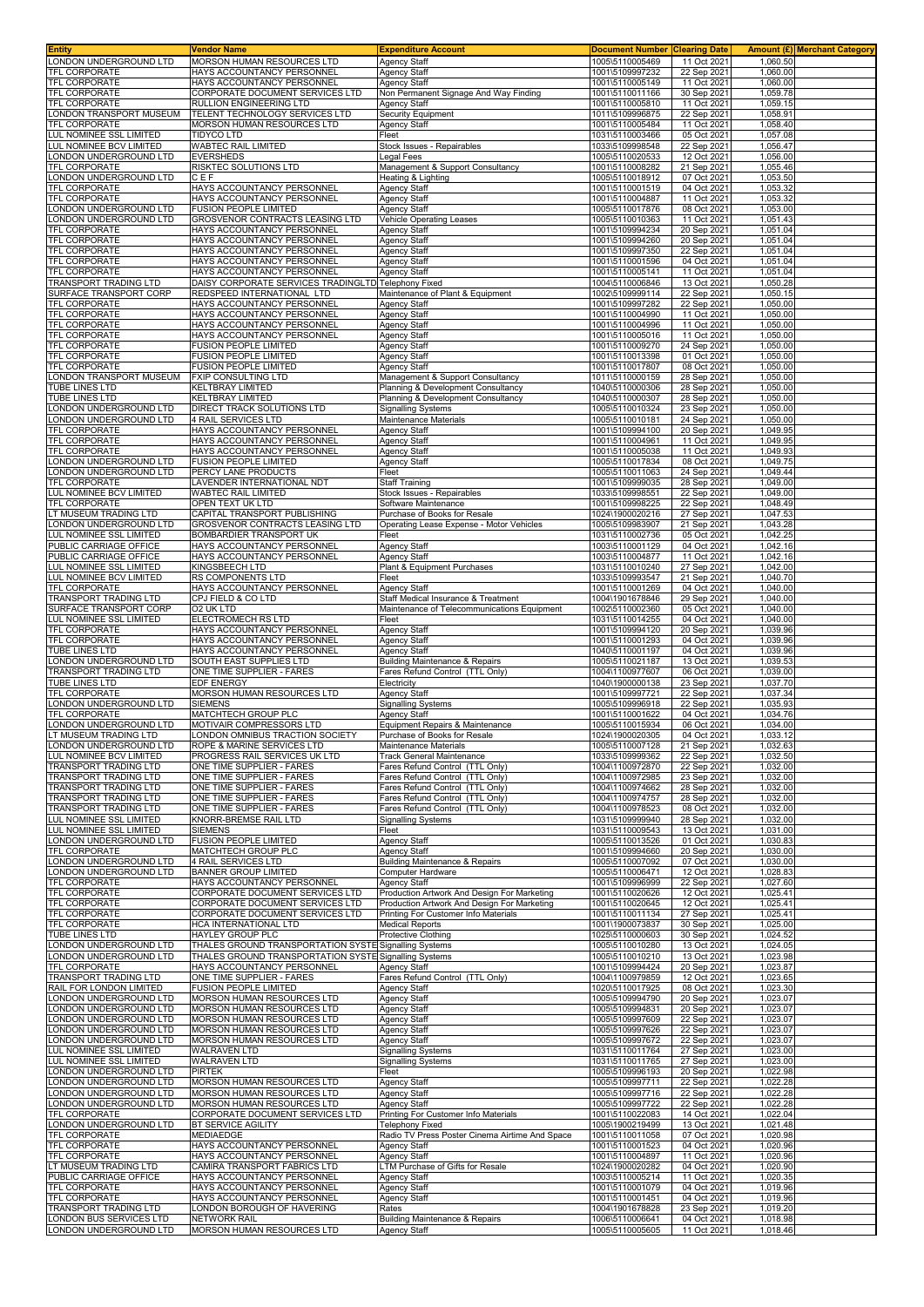| <b>Entity</b>                                                | Vendor Name                                                     | <b>Expenditure Account</b>                                               | <b>Document Number Clearing Date</b> |                            | <b>Amount (£) Merchant Category</b> |  |
|--------------------------------------------------------------|-----------------------------------------------------------------|--------------------------------------------------------------------------|--------------------------------------|----------------------------|-------------------------------------|--|
| LONDON UNDERGROUND LTD                                       | MORSON HUMAN RESOURCES LTD                                      | <b>Agency Staff</b>                                                      | 1005\5110005469                      | 11 Oct 2021                | 1,060.50                            |  |
| <b>TFL CORPORATE</b>                                         | HAYS ACCOUNTANCY PERSONNEL                                      | <b>Agency Staff</b>                                                      | 1001\5109997232                      | 22 Sep 2021                | 1,060.00                            |  |
| TFL CORPORATE                                                | HAYS ACCOUNTANCY PERSONNEL                                      | <b>Agency Staff</b>                                                      | 1001\5110005149                      | 11 Oct 2021                | 1,060.00                            |  |
| TFL CORPORATE<br><b>TFL CORPORATE</b>                        | CORPORATE DOCUMENT SERVICES LTD<br>RULLION ENGINEERING LTD      | Non Permanent Signage And Way Finding                                    | 1001\5110011166<br>1001\5110005810   | 30 Sep 2021<br>11 Oct 2021 | 1,059.78<br>1,059.15                |  |
| ONDON TRANSPORT MUSEUM                                       | TELENT TECHNOLOGY SERVICES LTD                                  | <b>Agency Staff</b><br>Security Equipment                                | 1011\5109996875                      | 22 Sep 2021                | 1,058.91                            |  |
| <b>TFL CORPORATE</b>                                         | MORSON HUMAN RESOURCES LTD                                      | Agency Staff                                                             | 1001\5110005484                      | 11 Oct 2021                | 1,058.40                            |  |
| LUL NOMINEE SSL LIMITED                                      | TIDYCO LTD                                                      | Fleet                                                                    | 1031\5110003466                      | 05 Oct 2021                | 1,057.08                            |  |
| LUL NOMINEE BCV LIMITED                                      | WABTEC RAIL LIMITED                                             | Stock Issues - Repairables                                               | 1033\5109998548                      | 22 Sep 2021                | 1,056.47                            |  |
| ONDON UNDERGROUND LTD                                        | <b>EVERSHEDS</b>                                                | egal Fees                                                                | 1005\5110020533                      | 12 Oct 2021                | 1,056.00                            |  |
| TFL CORPORATE                                                | RISKTEC SOLUTIONS LTD                                           | Management & Support Consultancy                                         | 1001\5110008282                      | 21 Sep 2021                | 1,055.46                            |  |
| LONDON UNDERGROUND LTD                                       | CEF                                                             | Heating & Lighting                                                       | 1005\5110018912                      | 07 Oct 2021                | 1,053.50                            |  |
| TFL CORPORATE                                                | HAYS ACCOUNTANCY PERSONNEL                                      | Agency Staff                                                             | 1001\5110001519                      | 04 Oct 2021                | 1,053.32                            |  |
| TFL CORPORATE                                                | HAYS ACCOUNTANCY PERSONNEL                                      | <b>Agency Staff</b>                                                      | 1001\5110004887                      | 11 Oct 2021                | 1,053.32                            |  |
| ONDON UNDERGROUND LTD                                        | FUSION PEOPLE LIMITED                                           | <b>Agency Staff</b>                                                      | 1005\5110017876                      | 08 Oct 2021                | 1,053.00                            |  |
| ONDON UNDERGROUND LTD                                        | GROSVENOR CONTRACTS LEASING LTD                                 | <b>Vehicle Operating Leases</b>                                          | 1005\5110010363                      | 11 Oct 2021                | 1,051.43                            |  |
| TFL CORPORATE                                                | HAYS ACCOUNTANCY PERSONNEL                                      | <b>Agency Staff</b>                                                      | 1001\5109994234                      | 20 Sep 2021                | 1,051.04                            |  |
| TFL CORPORATE<br><b>TFL CORPORATE</b>                        | HAYS ACCOUNTANCY PERSONNEL<br>HAYS ACCOUNTANCY PERSONNEL        | <b>Agency Staff</b><br><b>Agency Staff</b>                               | 1001\5109994260<br>1001\5109997350   | 20 Sep 2021<br>22 Sep 2021 | 1,051.04<br>1,051.04                |  |
| <b>TFL CORPORATE</b>                                         | HAYS ACCOUNTANCY PERSONNEL                                      | <b>Agency Staff</b>                                                      | 1001\5110001596                      | 04 Oct 2021                | 1,051.04                            |  |
| <b>TFL CORPORATE</b>                                         | HAYS ACCOUNTANCY PERSONNEI                                      | <b>Agency Staff</b>                                                      | 1001\5110005141                      | 11 Oct 2021                | 1,051.04                            |  |
| <b>TRANSPORT TRADING LTD</b>                                 | DAISY CORPORATE SERVICES TRADINGLTD Telephony Fixed             |                                                                          | 1004\5110006846                      | 13 Oct 2021                | 1,050.28                            |  |
| SURFACE TRANSPORT CORP                                       | REDSPEED INTERNATIONAL LTD                                      | Maintenance of Plant & Equipment                                         | 1002\5109999114                      | 22 Sep 2021                | 1,050.15                            |  |
| <b>TFL CORPORATE</b>                                         | HAYS ACCOUNTANCY PERSONNEL                                      | <b>Agency Staff</b>                                                      | 1001\5109997282                      | 22 Sep 2021                | 1,050.00                            |  |
| TFL CORPORATE                                                | HAYS ACCOUNTANCY PERSONNEL                                      | <b>Agency Staff</b>                                                      | 1001\5110004990                      | 11 Oct 2021                | 1,050.00                            |  |
| TFL CORPORATE                                                | HAYS ACCOUNTANCY PERSONNEL                                      | <b>Agency Staff</b>                                                      | 1001\5110004996                      | 11 Oct 2021                | 1,050.00                            |  |
| <b>TFL CORPORATE</b>                                         | HAYS ACCOUNTANCY PERSONNEL                                      | <b>Agency Staff</b>                                                      | 1001\5110005016                      | 11 Oct 2021                | 1,050.00                            |  |
| <b>TFL CORPORATE</b>                                         | <b>FUSION PEOPLE LIMITED</b>                                    | <b>Agency Staff</b>                                                      | 1001\5110009270                      | 24 Sep 2021                | 1,050.00                            |  |
| <b>TFL CORPORATE</b>                                         | FUSION PEOPLE LIMITED                                           | Agency Staff                                                             | 1001\5110013398                      | 01 Oct 2021                | 1,050.00                            |  |
| <b>TFL CORPORATE</b>                                         | <b>FUSION PEOPLE LIMITED</b>                                    | Agency Staff                                                             | 1001\5110017807                      | 08 Oct 2021                | 1,050.00                            |  |
| LONDON TRANSPORT MUSEUM<br>TUBE LINES LTD                    | <b>FXIP CONSULTING LTD</b><br>KELTBRAY LIMITED                  | Management & Support Consultancy                                         | 1011\5110000159<br>1040\5110000306   | 28 Sep 2021<br>28 Sep 2021 | 1,050.00<br>1,050.00                |  |
| <b>TUBE LINES LTD</b>                                        | <b>KELTBRAY LIMITED</b>                                         | Planning & Development Consultancy<br>Planning & Development Consultancy | 1040\5110000307                      | 28 Sep 2021                | 1,050.00                            |  |
| ONDON UNDERGROUND LTD                                        | DIRECT TRACK SOLUTIONS LTD                                      | Signalling Systems                                                       | 1005\5110010324                      | 23 Sep 2021                | 1,050.00                            |  |
| ONDON UNDERGROUND LTD.                                       | 4 RAIL SERVICES LTD                                             | Maintenance Materials                                                    | 1005\5110010181                      | 24 Sep 2021                | 1,050.00                            |  |
| TFL CORPORATE                                                | HAYS ACCOUNTANCY PERSONNEL                                      | Agency Staff                                                             | 1001\5109994100                      | 20 Sep 2021                | 1,049.95                            |  |
| TFL CORPORATE                                                | HAYS ACCOUNTANCY PERSONNEL                                      | <b>Agency Staff</b>                                                      | 1001\5110004961                      | 11 Oct 2021                | 1,049.95                            |  |
| TFL CORPORATE                                                | HAYS ACCOUNTANCY PERSONNEL                                      | <b>Agency Staff</b>                                                      | 1001\5110005038                      | 11 Oct 2021                | 1,049.93                            |  |
| ONDON UNDERGROUND LTD                                        | <b>FUSION PEOPLE LIMITED</b>                                    | <b>Agency Staff</b>                                                      | 1005\5110017834                      | 08 Oct 2021                | 1,049.75                            |  |
| ONDON UNDERGROUND LTD                                        | PERCY LANE PRODUCTS                                             | Fleet                                                                    | 1005\5110011063                      | 24 Sep 2021                | 1,049.44                            |  |
| TFL CORPORATE                                                | LAVENDER INTERNATIONAL NDT                                      | Staff Training                                                           | 1001\5109999035                      | 28 Sep 2021                | 1,049.00                            |  |
| LUL NOMINEE BCV LIMITED                                      | WABTEC RAIL LIMITED                                             | Stock Issues - Repairables                                               | 1033\5109998551                      | 22 Sep 2021                | 1,049.00                            |  |
| <b>TFL CORPORATE</b>                                         | OPEN TEXT UK LTD                                                | Software Maintenance                                                     | 1001\5109998225                      | 22 Sep 2021                | 1,048.49                            |  |
| LT MUSEUM TRADING LTD<br>ONDON UNDERGROUND LTD               | CAPITAL TRANSPORT PUBLISHING<br>GROSVENOR CONTRACTS LEASING LTD | Purchase of Books for Resale<br>Operating Lease Expense - Motor Vehicles | 1024\1900020216<br>1005\5109983907   | 27 Sep 2021<br>21 Sep 2021 | 1,047.53<br>1,043.28                |  |
| LUL NOMINEE SSL LIMITED                                      | BOMBARDIER TRANSPORT UK                                         | Fleet                                                                    | 1031\5110002736                      | 05 Oct 2021                | 1,042.25                            |  |
| PUBLIC CARRIAGE OFFICE                                       | HAYS ACCOUNTANCY PERSONNEL                                      | <b>Agency Staff</b>                                                      | 1003\5110001129                      | 04 Oct 2021                | 1,042.16                            |  |
| PUBLIC CARRIAGE OFFICE                                       | HAYS ACCOUNTANCY PERSONNEL                                      | <b>Agency Staff</b>                                                      | 1003\5110004877                      | 11 Oct 2021                | 1,042.16                            |  |
| LUL NOMINEE SSL LIMITED                                      | KINGSBEECH LTD                                                  | Plant & Equipment Purchases                                              | 1031\5110010240                      | 27 Sep 2021                | 1,042.00                            |  |
| LUL NOMINEE BCV LIMITED                                      | RS COMPONENTS LTD                                               | Fleet                                                                    | 1033\5109993547                      | 21 Sep 2021                | 1,040.70                            |  |
| TFL CORPORATE                                                | HAYS ACCOUNTANCY PERSONNEL                                      | Agency Staff                                                             | 1001\5110001269                      | 04 Oct 2021                | 1,040.00                            |  |
| <b>TRANSPORT TRADING LTD</b>                                 | CPJ FIELD & CO LTD                                              | Staff Medical Insurance & Treatment                                      | 1004\1901678846                      | 29 Sep 2021                | 1,040.00                            |  |
| SURFACE TRANSPORT CORP                                       | 02 UK LTD                                                       | Maintenance of Telecommunications Equipment                              | 1002\5110002360                      | 05 Oct 2021                | 1,040.00                            |  |
| LUL NOMINEE SSL LIMITED                                      | ELECTROMECH RS LTD                                              | Fleet                                                                    | 1031\5110014255                      | 04 Oct 2021                | 1,040.00                            |  |
| TFL CORPORATE                                                | HAYS ACCOUNTANCY PERSONNEL                                      | Agency Staff                                                             | 1001\5109994120                      | 20 Sep 2021                | 1,039.96                            |  |
| TFL CORPORATE<br><b>TUBE LINES LTD</b>                       | HAYS ACCOUNTANCY PERSONNEL<br>HAYS ACCOUNTANCY PERSONNEL        | Agency Staff<br><b>Agency Staff</b>                                      | 1001\5110001293<br>1040\5110001197   | 04 Oct 2021<br>04 Oct 2021 | 1,039.96<br>1,039.96                |  |
| LONDON UNDERGROUND LTD                                       | SOUTH EAST SUPPLIES LTD                                         | <b>Building Maintenance &amp; Repairs</b>                                | 1005\5110021187                      | 13 Oct 2021                | 1,039.53                            |  |
| TRANSPORT TRADING LTD                                        | ONE TIME SUPPLIER - FARES                                       | Fares Refund Control (TTL Only)                                          | 1004\1100977607                      | 06 Oct 2021                | 1,039.00                            |  |
| <b>TUBE LINES LTD</b>                                        | EDF ENERGY                                                      | Electricity                                                              | 1040\1900000138                      | 23 Sep 2021                | 1,037.70                            |  |
| TFL CORPORATE                                                | MORSON HUMAN RESOURCES LTD                                      | Agency Staff                                                             | 1001\5109997721                      | 22 Sep 2021                | 1,037.34                            |  |
| LONDON UNDERGROUND LTD                                       | <b>SIEMENS</b>                                                  | <b>Signalling Systems</b>                                                | 1005\5109996918                      | 22 Sep 2021                | 1.035.93                            |  |
| TFL CORPORATE                                                | MATCHTECH GROUP PLC                                             | <b>Agency Staff</b>                                                      | 1001\5110001622                      | 04 Oct 2021                | 1,034.76                            |  |
| ONDON UNDERGROUND LTD                                        | MOTIVAIR COMPRESSORS LTD                                        | Equipment Repairs & Maintenance                                          | 1005\5110015934                      | 06 Oct 2021                | 1.034.00                            |  |
| LT MUSEUM TRADING LTD                                        | LONDON OMNIBUS TRACTION SOCIETY                                 | Purchase of Books for Resale                                             | 1024\1900020305                      | 04 Oct 2021                | 1,033.12                            |  |
| LONDON UNDERGROUND LTD                                       | ROPE & MARINE SERVICES LTD                                      | <b>Maintenance Materials</b>                                             | 1005\5110007128                      | 21 Sep 2021                | 1.032.63                            |  |
| LUL NOMINEE BCV LIMITED                                      | PROGRESS RAIL SERVICES UK LTD                                   | Track General Maintenance                                                | 1033\5109999362                      | 22 Sep 2021                | 1,032.50                            |  |
| <b>TRANSPORT TRADING LTD</b><br><b>TRANSPORT TRADING LTD</b> | ONE TIME SUPPLIER - FARES<br>ONE TIME SUPPLIER - FARES          | Fares Refund Control (TTL Only)<br>Fares Refund Control (TTL Only)       | 1004\1100972870<br>1004\1100972985   | 22 Sep 2021<br>23 Sep 2021 | 1,032.00<br>1,032.00                |  |
| TRANSPORT TRADING LTD                                        | ONE TIME SUPPLIER - FARES                                       | Fares Refund Control (TTL Only)                                          | 1004\1100974662                      | 28 Sep 2021                | 1,032.00                            |  |
| TRANSPORT TRADING LTD                                        | ONE TIME SUPPLIER - FARES                                       | Fares Refund Control (TTL Only)                                          | 1004\1100974757                      | 28 Sep 2021                | 1,032.00                            |  |
| TRANSPORT TRADING LTD                                        | ONE TIME SUPPLIER - FARES                                       | Fares Refund Control (TTL Only)                                          | 1004\1100978523                      | 08 Oct 2021                | 1,032.00                            |  |
| LUL NOMINEE SSL LIMITED                                      | KNORR-BREMSE RAIL LTD                                           | Signalling Systems                                                       | 1031\5109999940                      | 28 Sep 2021                | 1,032.00                            |  |
| LUL NOMINEE SSL LIMITED                                      | <b>SIEMENS</b>                                                  | Fleet                                                                    | 1031\5110009543                      | 13 Oct 2021                | 1,031.00                            |  |
| ONDON UNDERGROUND LTD                                        | <b>FUSION PEOPLE LIMITED</b>                                    | <b>Agency Staff</b>                                                      | 1005\5110013526                      | 01 Oct 2021                | 1,030.83                            |  |
| TFL CORPORATE                                                | MATCHTECH GROUP PLC                                             | <b>Agency Staff</b>                                                      | 1001\5109994660                      | 20 Sep 2021                | 1,030.00                            |  |
| LONDON UNDERGROUND LTD                                       | 4 RAIL SERVICES LTD                                             | Building Maintenance & Repairs                                           | 1005\5110007092                      | 07 Oct 2021                | 1,030.00                            |  |
| LONDON UNDERGROUND LTD<br><b>TFL CORPORATE</b>               | <b>BANNER GROUP LIMITED</b><br>HAYS ACCOUNTANCY PERSONNEL       | Computer Hardware                                                        | 1005\5110006471<br>1001\5109996999   | 12 Oct 2021<br>22 Sep 2021 | 1,028.83<br>1,027.60                |  |
| TFL CORPORATE                                                | CORPORATE DOCUMENT SERVICES LTD                                 | Agency Staff<br>Production Artwork And Design For Marketing              | 1001\5110020626                      | 12 Oct 2021                | 1,025.41                            |  |
| <b>TFL CORPORATE</b>                                         | CORPORATE DOCUMENT SERVICES LTD                                 | Production Artwork And Design For Marketing                              | 1001\5110020645                      | 12 Oct 2021                | 1,025.41                            |  |
| TFL CORPORATE                                                | CORPORATE DOCUMENT SERVICES LTD                                 | Printing For Customer Info Materials                                     | 1001\5110011134                      | 27 Sep 2021                | 1,025.41                            |  |
| <b>TFL CORPORATE</b>                                         | HCA INTERNATIONAL LTD                                           | <b>Medical Reports</b>                                                   | 1001\1900073837                      | 30 Sep 2021                | 1,025.00                            |  |
| <b>TUBE LINES LTD</b>                                        | <b>HAYLEY GROUP PLC</b>                                         | Protective Clothing                                                      | 1025\5110000603                      | 30 Sep 2021                | 1,024.52                            |  |
| ONDON UNDERGROUND LTD                                        | THALES GROUND TRANSPORTATION SYSTE Signalling Systems           |                                                                          | 1005\5110010280                      | 13 Oct 2021                | 1,024.05                            |  |
| ONDON UNDERGROUND LTD                                        | THALES GROUND TRANSPORTATION SYSTE Signalling Systems           |                                                                          | 1005\5110010210                      | 13 Oct 2021                | 1,023.98                            |  |
| TFL CORPORATE                                                | HAYS ACCOUNTANCY PERSONNEL                                      | Agency Staff                                                             | 1001\5109994424                      | 20 Sep 2021                | 1,023.87                            |  |
| TRANSPORT TRADING LTD                                        | ONE TIME SUPPLIER - FARES                                       | Fares Refund Control (TTL Only)                                          | 1004\1100979859                      | 12 Oct 2021                | 1,023.65                            |  |
| RAIL FOR LONDON LIMITED<br>ONDON UNDERGROUND LTD             | <b>FUSION PEOPLE LIMITED</b><br>MORSON HUMAN RESOURCES LTD      | <b>Agency Staff</b>                                                      | 1020\5110017925<br>1005\5109994790   | 08 Oct 2021<br>20 Sep 2021 | 1,023.30<br>1,023.07                |  |
| ONDON UNDERGROUND LTD                                        | MORSON HUMAN RESOURCES LTD                                      | <b>Agency Staff</b><br><b>Agency Staff</b>                               | 1005\5109994831                      | 20 Sep 2021                | 1,023.07                            |  |
| ONDON UNDERGROUND LTD                                        | MORSON HUMAN RESOURCES LTD                                      | <b>Agency Staff</b>                                                      | 1005\5109997609                      | 22 Sep 2021                | 1,023.07                            |  |
| LONDON UNDERGROUND LTD                                       | MORSON HUMAN RESOURCES LTD                                      | <b>Agency Staff</b>                                                      | 1005\5109997626                      | 22 Sep 2021                | 1,023.07                            |  |
| ONDON UNDERGROUND LTD                                        | MORSON HUMAN RESOURCES LTD                                      | <b>Agency Staff</b>                                                      | 1005\5109997672                      | 22 Sep 2021                | 1,023.07                            |  |
| LUL NOMINEE SSL LIMITED                                      | <b>WALRAVEN LTD</b>                                             | <b>Signalling Systems</b>                                                | 1031\5110011764                      | 27 Sep 2021                | 1,023.00                            |  |
| LUL NOMINEE SSL LIMITED                                      | <b>WALRAVEN LTD</b>                                             | <b>Signalling Systems</b>                                                | 1031\5110011765                      | 27 Sep 2021                | 1,023.00                            |  |
| LONDON UNDERGROUND LTD                                       | <b>PIRTEK</b>                                                   | Fleet                                                                    | 1005\5109996193                      | 20 Sep 2021                | 1,022.98                            |  |
| ONDON UNDERGROUND LTD                                        | MORSON HUMAN RESOURCES LTD                                      | Agency Staff                                                             | 1005\5109997711                      | 22 Sep 2021                | 1,022.28                            |  |
| ONDON UNDERGROUND LTD                                        | MORSON HUMAN RESOURCES LTD                                      | <b>Agency Staff</b>                                                      | 1005\5109997716                      | 22 Sep 2021                | 1,022.28                            |  |
| ONDON UNDERGROUND LTD                                        | MORSON HUMAN RESOURCES LTD                                      | <b>Agency Staff</b>                                                      | 1005\5109997722                      | 22 Sep 2021                | 1,022.28                            |  |
| TFL CORPORATE                                                | CORPORATE DOCUMENT SERVICES LTD                                 | Printing For Customer Info Materials                                     | 1001\5110022083                      | 14 Oct 2021                | 1,022.04                            |  |
| ONDON UNDERGROUND LTD<br>TFL CORPORATE                       | BT SERVICE AGILITY<br>MEDIAEDGE                                 | Telephony Fixed<br>Radio TV Press Poster Cinema Airtime And Space        | 1005\1900219499<br>1001\5110011058   | 13 Oct 2021<br>07 Oct 2021 | 1,021.48<br>1,020.98                |  |
| TFL CORPORATE                                                | HAYS ACCOUNTANCY PERSONNEL                                      | <b>Agency Staff</b>                                                      | 1001\5110001523                      | 04 Oct 2021                | 1,020.96                            |  |
| TFL CORPORATE                                                | HAYS ACCOUNTANCY PERSONNEL                                      | Agency Staff                                                             | 1001\5110004897                      | 11 Oct 2021                | 1,020.96                            |  |
| LT MUSEUM TRADING LTD                                        | CAMIRA TRANSPORT FABRICS LTD                                    | LTM Purchase of Gifts for Resale                                         | 1024\1900020282                      | 04 Oct 2021                | 1,020.90                            |  |
| PUBLIC CARRIAGE OFFICE                                       | HAYS ACCOUNTANCY PERSONNEL                                      | <b>Agency Staff</b>                                                      | 1003\5110005214                      | 11 Oct 2021                | 1,020.35                            |  |
| <b>TFL CORPORATE</b>                                         | HAYS ACCOUNTANCY PERSONNEL                                      | <b>Agency Staff</b>                                                      | 1001\5110001079                      | 04 Oct 2021                | 1,019.96                            |  |
| TFL CORPORATE                                                | HAYS ACCOUNTANCY PERSONNEL                                      | <b>Agency Staff</b>                                                      | 1001\5110001451                      | 04 Oct 2021                | 1,019.96                            |  |
| TRANSPORT TRADING LTD                                        | LONDON BOROUGH OF HAVERING                                      | Rates                                                                    | 1004\1901678828                      | 23 Sep 2021                | 1,019.20                            |  |
| LONDON BUS SERVICES LTD                                      | <b>NETWORK RAIL</b>                                             | Building Maintenance & Repairs                                           | 1006\5110006641                      | 04 Oct 2021                | 1,018.98                            |  |
| LONDON UNDERGROUND LTD                                       | MORSON HUMAN RESOURCES LTD                                      | <b>Agency Staff</b>                                                      | 1005\5110005605                      | 11 Oct 2021                | 1,018.46                            |  |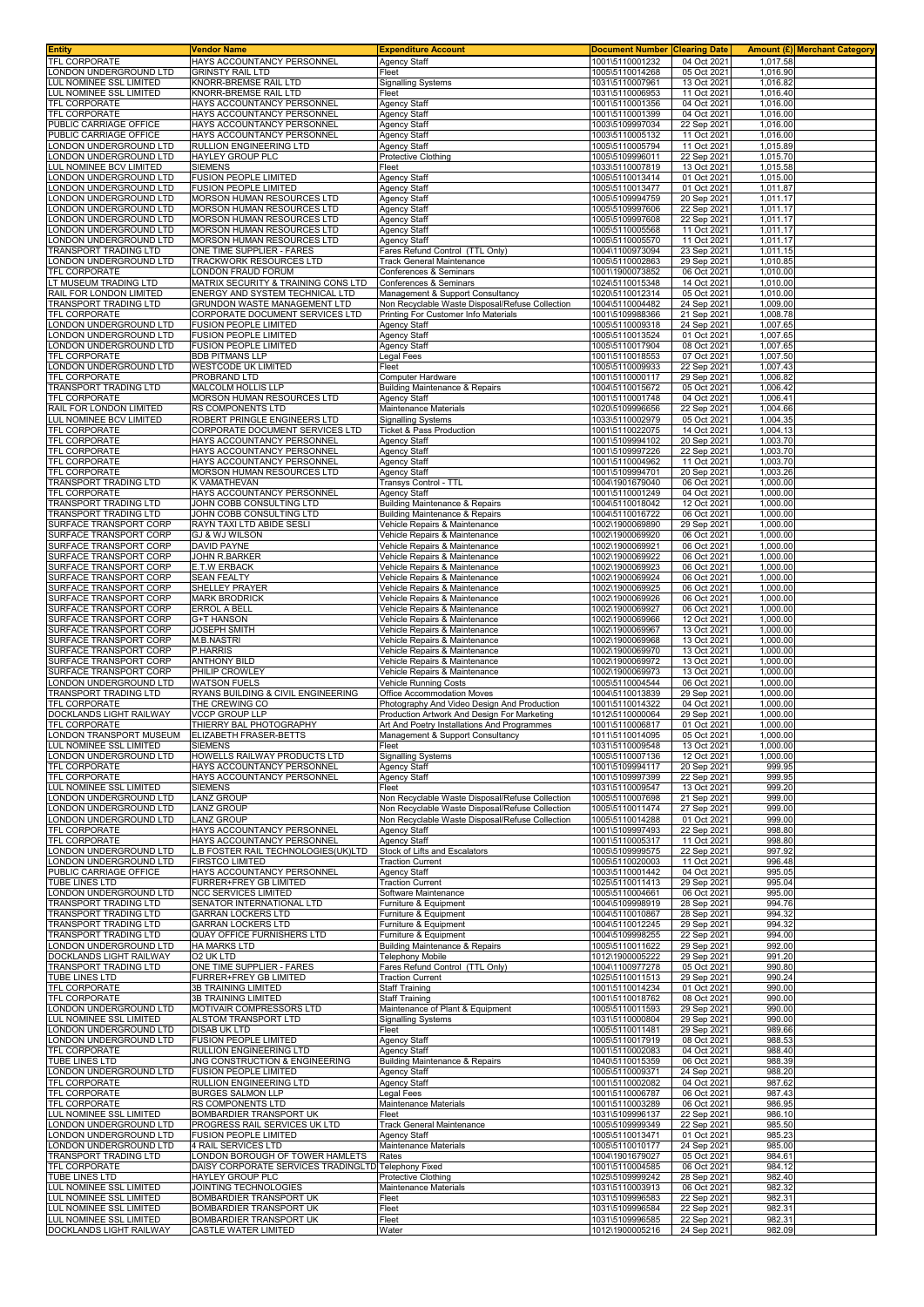| <b>Entity</b>                                         | Vendor Name                                                            | <b>Expenditure Account</b>                                                                         | <b>Document Number</b>             | <b>Clearing Date</b>       |                      | Amount (£) Merchant Category |
|-------------------------------------------------------|------------------------------------------------------------------------|----------------------------------------------------------------------------------------------------|------------------------------------|----------------------------|----------------------|------------------------------|
| <b>TFL CORPORATE</b>                                  | HAYS ACCOUNTANCY PERSONNEL                                             | <b>Agency Staff</b>                                                                                | 1001\5110001232                    | 04 Oct 2021                | 1,017.58             |                              |
| ONDON UNDERGROUND LTD<br>LUL NOMINEE SSL LIMITED      | <b>GRINSTY RAIL LTD</b><br>KNORR-BREMSE RAIL LTD                       | Fleet<br><b>Signalling Systems</b>                                                                 | 1005\5110014268<br>1031\5110007961 | 05 Oct 2021<br>13 Oct 2021 | 1,016.90<br>1,016.82 |                              |
| <b>UL NOMINEE SSL LIMITED</b>                         | KNORR-BREMSE RAIL LTD                                                  | Fleet                                                                                              | 1031\5110006953                    | 11 Oct 2021                | 1,016.40             |                              |
| <b>TFL CORPORATE</b>                                  | HAYS ACCOUNTANCY PERSONNEI                                             | <b>Agency Staff</b>                                                                                | 1001\5110001356                    | 04 Oct 2021                | 1.016.00             |                              |
| TFL CORPORATE                                         | HAYS ACCOUNTANCY PERSONNEL                                             | <b>Agency Staff</b>                                                                                | 1001\5110001399                    | 04 Oct 2021                | 1,016.00             |                              |
| PUBLIC CARRIAGE OFFICE                                | HAYS ACCOUNTANCY PERSONNEL                                             | <b>Agency Staff</b>                                                                                | 1003\5109997034                    | 22 Sep 2021                | 1,016.00             |                              |
| PUBLIC CARRIAGE OFFICE<br>ONDON UNDERGROUND LTD       | HAYS ACCOUNTANCY PERSONNEL<br>RULLION ENGINEERING LTD                  | <b>Agency Staff</b><br><b>Agency Staff</b>                                                         | 1003\5110005132<br>1005\5110005794 | 11 Oct 2021<br>11 Oct 2021 | 1,016.00<br>1,015.89 |                              |
| ONDON UNDERGROUND LTD                                 | HAYLEY GROUP PLC                                                       | Protective Clothing                                                                                | 1005\5109996011                    | 22 Sep 2021                | 1,015.70             |                              |
| UL NOMINEE BCV LIMITED                                | <b>SIEMENS</b>                                                         | Fleet                                                                                              | 1033\5110007819                    | 13 Oct 2021                | 1,015.58             |                              |
| ONDON UNDERGROUND LTD                                 | <b>FUSION PEOPLE LIMITED</b>                                           | Agency Staff                                                                                       | 1005\5110013414                    | 01 Oct 2021                | 1,015.00             |                              |
| ONDON UNDERGROUND LTD                                 | <b>FUSION PEOPLE LIMITED</b>                                           | Agency Staff                                                                                       | 1005\5110013477                    | 01 Oct 2021                | 1,011.87             |                              |
| ONDON UNDERGROUND LTD<br>ONDON UNDERGROUND LTD        | <b>MORSON HUMAN RESOURCES LTD</b><br>MORSON HUMAN RESOURCES LTD        | Agency Staff<br><b>Agency Staff</b>                                                                | 1005\5109994759<br>1005\5109997606 | 20 Sep 2021<br>22 Sep 2021 | 1,011.17<br>1.011.17 |                              |
| ONDON UNDERGROUND LTD                                 | <b>MORSON HUMAN RESOURCES LTD</b>                                      | <b>Agency Staff</b>                                                                                | 1005\5109997608                    | 22 Sep 2021                | 1,011.17             |                              |
| ONDON UNDERGROUND LTD                                 | MORSON HUMAN RESOURCES LTD                                             | <b>Agency Staff</b>                                                                                | 1005\5110005568                    | 11 Oct 2021                | 1,011.17             |                              |
| ONDON UNDERGROUND LTD                                 | MORSON HUMAN RESOURCES LTD                                             | <b>Agency Staff</b>                                                                                | 1005\5110005570                    | 11 Oct 2021                | 1,011.17             |                              |
| RANSPORT TRADING LTD<br>ONDON UNDERGROUND LTD         | ONE TIME SUPPLIER - FARES<br><b>TRACKWORK RESOURCES LTD</b>            | Fares Refund Control (TTL Only)<br>Track General Maintenance                                       | 1004\1100973094<br>1005\5110002863 | 23 Sep 2021<br>29 Sep 2021 | 1,011.15<br>1,010.85 |                              |
| TFL CORPORATE                                         | ONDON FRAUD FORUM                                                      | Conferences & Seminars                                                                             | 1001\1900073852                    | 06 Oct 2021                | 1,010.00             |                              |
| T MUSEUM TRADING LTD                                  | MATRIX SECURITY & TRAINING CONS LTD                                    | Conferences & Seminars                                                                             | 1024\5110015348                    | 14 Oct 2021                | 1,010.00             |                              |
| RAIL FOR LONDON LIMITED                               | ENERGY AND SYSTEM TECHNICAL LTD                                        | Management & Support Consultancy                                                                   | 1020\5110012314                    | 05 Oct 2021                | 1,010.00             |                              |
| TRANSPORT TRADING LTD<br>TFL CORPORATE                | <b>GRUNDON WASTE MANAGEMENT LTD</b><br>CORPORATE DOCUMENT SERVICES LTD | Non Recyclable Waste Disposal/Refuse Collection<br>Printing For Customer Info Materials            | 1004\5110004482<br>1001\5109988366 | 24 Sep 2021<br>21 Sep 2021 | 1,009.00<br>1,008.78 |                              |
| ONDON UNDERGROUND LTD                                 | <b>FUSION PEOPLE LIMITED</b>                                           | <b>Agency Staff</b>                                                                                | 1005\5110009318                    | 24 Sep 2021                | 1,007.65             |                              |
| ONDON UNDERGROUND LTD                                 | <b>FUSION PEOPLE LIMITED</b>                                           | <b>Agency Staff</b>                                                                                | 1005\5110013524                    | 01 Oct 2021                | 1,007.65             |                              |
| LONDON UNDERGROUND LTD                                | <b>FUSION PEOPLE LIMITED</b>                                           | <b>Agency Staff</b>                                                                                | 1005\5110017904                    | 08 Oct 2021                | 1,007.65             |                              |
| TFL CORPORATE<br>LONDON UNDERGROUND LTD               | <b>BDB PITMANS LLP</b><br>WESTCODE UK LIMITED                          | egal Fees<br>Fleet                                                                                 | 1001\5110018553<br>1005\5110009933 | 07 Oct 2021<br>22 Sep 2021 | 1,007.50<br>1,007.43 |                              |
| TFL CORPORATE                                         | PROBRAND LTD                                                           | Computer Hardware                                                                                  | 1001\5110000117                    | 29 Sep 2021                | 1,006.82             |                              |
| TRANSPORT TRADING LTD                                 | MALCOLM HOLLIS LLP                                                     | <b>Building Maintenance &amp; Repairs</b>                                                          | 1004\5110015672                    | 05 Oct 2021                | 1,006.42             |                              |
| <b>TFL CORPORATE</b>                                  | MORSON HUMAN RESOURCES LTD                                             | Agency Staff                                                                                       | 1001\5110001748                    | 04 Oct 2021                | 1,006.41             |                              |
| RAIL FOR LONDON LIMITED<br>LUL NOMINEE BCV LIMITED    | RS COMPONENTS LTD<br>ROBERT PRINGLE ENGINEERS LTD                      | Maintenance Materials<br>Signalling Systems                                                        | 1020\5109996656<br>1033\5110002979 | 22 Sep 2021<br>05 Oct 2021 | 1,004.66<br>1,004.35 |                              |
| TFL CORPORATE                                         | CORPORATE DOCUMENT SERVICES LTD                                        | <b>Ticket &amp; Pass Production</b>                                                                | 1001\5110022075                    | 14 Oct 2021                | 1,004.13             |                              |
| <b>TFL CORPORATE</b>                                  | HAYS ACCOUNTANCY PERSONNEL                                             | <b>Agency Staff</b>                                                                                | 1001\5109994102                    | 20 Sep 2021                | 1,003.70             |                              |
| TFL CORPORATE                                         | HAYS ACCOUNTANCY PERSONNEL                                             | <b>Agency Staff</b>                                                                                | 1001\5109997226                    | 22 Sep 2021                | 1,003.70             |                              |
| TFL CORPORATE<br>TFL CORPORATE                        | HAYS ACCOUNTANCY PERSONNEL<br>MORSON HUMAN RESOURCES LTD               | <b>Agency Staff</b><br><b>Agency Staff</b>                                                         | 1001\5110004962<br>1001\5109994701 | 11 Oct 2021<br>20 Sep 2021 | 1,003.70<br>1,003.26 |                              |
| TRANSPORT TRADING LTD                                 | K VAMATHEVAN                                                           | Transys Control - TTL                                                                              | 1004\1901679040                    | 06 Oct 2021                | 1,000.00             |                              |
| <b>TFL CORPORATE</b>                                  | HAYS ACCOUNTANCY PERSONNEL                                             | Agency Staff                                                                                       | 1001\5110001249                    | 04 Oct 2021                | 1,000.00             |                              |
| TRANSPORT TRADING LTD                                 | JOHN COBB CONSULTING LTD                                               | Building Maintenance & Repairs                                                                     | 1004\5110018042                    | 12 Oct 2021                | 1,000.00             |                              |
| TRANSPORT TRADING LTD                                 | JOHN COBB CONSULTING LTD                                               | <b>Building Maintenance &amp; Repairs</b>                                                          | 1004\5110016722                    | 06 Oct 2021                | 1,000.00             |                              |
| SURFACE TRANSPORT CORP<br>SURFACE TRANSPORT CORP      | RAYN TAXI LTD ABIDE SESLI<br><b>GJ &amp; WJ WILSON</b>                 | Vehicle Repairs & Maintenance<br>Vehicle Repairs & Maintenance                                     | 1002\1900069890<br>1002\1900069920 | 29 Sep 2021<br>06 Oct 2021 | 1,000.00<br>1,000.00 |                              |
| SURFACE TRANSPORT CORP                                | <b>DAVID PAYNE</b>                                                     | Vehicle Repairs & Maintenance                                                                      | 1002\1900069921                    | 06 Oct 2021                | 1,000.00             |                              |
| SURFACE TRANSPORT CORP                                | JOHN R.BARKER                                                          | Vehicle Repairs & Maintenance                                                                      | 1002\1900069922                    | 06 Oct 2021                | 1,000.00             |                              |
| SURFACE TRANSPORT CORP                                | E.T.W ERBACK                                                           | Vehicle Repairs & Maintenance                                                                      | 1002\1900069923                    | 06 Oct 2021                | 1,000.00             |                              |
| SURFACE TRANSPORT CORP                                | <b>SEAN FEALTY</b>                                                     | Vehicle Repairs & Maintenance                                                                      | 1002\1900069924                    | 06 Oct 2021                | 1,000.00<br>1,000.00 |                              |
| SURFACE TRANSPORT CORP<br>URFACE TRANSPORT CORP       | SHELLEY PRAYER<br><b>MARK BRODRICK</b>                                 | Vehicle Repairs & Maintenance<br>Vehicle Repairs & Maintenance                                     | 1002\1900069925<br>1002\1900069926 | 06 Oct 2021<br>06 Oct 2021 | 1,000.00             |                              |
| URFACE TRANSPORT CORP                                 | ERROL A BELL                                                           | /ehicle Repairs & Maintenance                                                                      | 1002\1900069927                    | 06 Oct 2021                | 1,000.00             |                              |
| SURFACE TRANSPORT CORP                                | <b>G+T HANSON</b>                                                      | Vehicle Repairs & Maintenance                                                                      | 1002\1900069966                    | 12 Oct 2021                | 1,000.00             |                              |
| URFACE TRANSPORT CORP                                 | JOSEPH SMITH                                                           | Vehicle Repairs & Maintenance                                                                      | 1002\1900069967                    | 13 Oct 2021                | 1,000.00             |                              |
| URFACE TRANSPORT CORP<br>URFACE TRANSPORT CORP        | M.B.NASTRI<br>P.HARRIS                                                 | /ehicle Repairs & Maintenance<br>/ehicle Repairs & Maintenance                                     | 1002\1900069968<br>1002\1900069970 | 13 Oct 2021<br>13 Oct 2021 | 1,000.00<br>1,000.00 |                              |
| SURFACE TRANSPORT CORP                                | <b>ANTHONY BILD</b>                                                    | Vehicle Repairs & Maintenance                                                                      | 1002\1900069972                    | 13 Oct 2021                | 1,000.00             |                              |
| SURFACE TRANSPORT CORP                                | PHILIP CROWLEY                                                         | Vehicle Repairs & Maintenance                                                                      | 1002\1900069973                    | 13 Oct 2021                | 1,000.00             |                              |
| ONDON UNDERGROUND LTD                                 | <b>WATSON FUELS</b>                                                    | Vehicle Running Costs                                                                              | 1005\5110004544                    | 06 Oct 2021                | 1,000.00             |                              |
| TRANSPORT TRADING LTD<br>TFL CORPORATE                | RYANS BUILDING & CIVIL ENGINEERING<br>THE CREWING CO                   | Office Accommodation Moves<br>Photography And Video Design And Production                          | 1004\5110013839<br>1001\5110014322 | 29 Sep 2021<br>04 Oct 2021 | 1,000.00<br>1,000.00 |                              |
| DOCKLANDS LIGHT RAILWAY                               | <b>VCCP GROUP LLP</b>                                                  | Production Artwork And Design For Marketing                                                        | 1012\5110000064                    | 29 Sep 2021                | 1,000.00             |                              |
| TFL CORPORATE                                         | THIERRY BAL PHOTOGRAPHY                                                | Art And Poetry Installations And Programmes                                                        | 1001\5110006817                    | 01 Oct 2021                | 1,000.00             |                              |
| LONDON TRANSPORT MUSEUM                               | ELIZABETH FRASER-BETTS                                                 | Management & Support Consultancy                                                                   | 1011\5110014095                    | 05 Oct 2021                | 1,000.00             |                              |
| LUL NOMINEE SSL LIMITED<br>LONDON UNDERGROUND LTD     | <b>SIEMENS</b><br>HOWELLS RAILWAY PRODUCTS LTD                         | Fleet                                                                                              | 1031\5110009548<br>1005\5110007136 | 13 Oct 2021<br>12 Oct 2021 | 1,000.00<br>1,000.00 |                              |
| <b>TFL CORPORATE</b>                                  | HAYS ACCOUNTANCY PERSONNEL                                             | <b>Signalling Systems</b><br><b>Agency Staff</b>                                                   | 1001\5109994117                    | 20 Sep 2021                | 999.95               |                              |
| TFL CORPORATE                                         | HAYS ACCOUNTANCY PERSONNEL                                             | <b>Agency Staff</b>                                                                                | 1001\5109997399                    | 22 Sep 2021                | 999.95               |                              |
| LUL NOMINEE SSL LIMITED                               | <b>SIEMENS</b>                                                         | Fleet                                                                                              | 1031\5110009547                    | 13 Oct 2021                | 999.20               |                              |
| ONDON UNDERGROUND LTD                                 | <b>LANZ GROUP</b>                                                      | Non Recyclable Waste Disposal/Refuse Collection<br>Non Recyclable Waste Disposal/Refuse Collection | 1005\5110007698                    | 21 Sep 2021                | 999.00               |                              |
| ONDON UNDERGROUND LTD.<br>ONDON UNDERGROUND LTD       | <b>LANZ GROUP</b><br><b>LANZ GROUP</b>                                 | Non Recyclable Waste Disposal/Refuse Collection                                                    | 1005\5110011474<br>1005\5110014288 | 27 Sep 2021<br>01 Oct 2021 | 999.00<br>999.00     |                              |
| TFL CORPORATE                                         | HAYS ACCOUNTANCY PERSONNEL                                             | <b>Agency Staff</b>                                                                                | 1001\5109997493                    | 22 Sep 2021                | 998.80               |                              |
| TFL CORPORATE                                         | HAYS ACCOUNTANCY PERSONNEL                                             | <b>Agency Staff</b>                                                                                | 1001\5110005317                    | 11 Oct 2021                | 998.80               |                              |
| LONDON UNDERGROUND LTD                                | L.B FOSTER RAIL TECHNOLOGIES(UK)LTD                                    | Stock of Lifts and Escalators                                                                      | 1005\5109999575                    | 22 Sep 2021                | 997.92               |                              |
| LONDON UNDERGROUND LTD<br>PUBLIC CARRIAGE OFFICE      | <b>FIRSTCO LIMITED</b><br>HAYS ACCOUNTANCY PERSONNEL                   | <b>Traction Current</b><br><b>Agency Staff</b>                                                     | 1005\5110020003<br>1003\5110001442 | 11 Oct 2021<br>04 Oct 2021 | 996.48<br>995.05     |                              |
| <b>TUBE LINES LTD</b>                                 | FURRER+FREY GB LIMITED                                                 | <b>Traction Current</b>                                                                            | 1025\5110011413                    | 29 Sep 2021                | 995.04               |                              |
| ONDON UNDERGROUND LTD                                 | NCC SERVICES LIMITED                                                   | Software Maintenance                                                                               | 1005\5110004661                    | 06 Oct 2021                | 995.00               |                              |
| <b>TRANSPORT TRADING LTD</b>                          | SENATOR INTERNATIONAL LTD<br><b>GARRAN LOCKERS LTD</b>                 | Furniture & Equipment                                                                              | 1004\5109998919                    | 28 Sep 2021                | 994.76<br>994.32     |                              |
| TRANSPORT TRADING LTD<br><b>TRANSPORT TRADING LTD</b> | <b>GARRAN LOCKERS LTD</b>                                              | urniture & Equipment<br>Furniture & Equipment                                                      | 1004\5110010867<br>1004\5110012245 | 28 Sep 2021<br>29 Sep 2021 | 994.32               |                              |
| TRANSPORT TRADING LTD                                 | <b>QUAY OFFICE FURNISHERS LTD</b>                                      | Furniture & Equipment                                                                              | 1004\5109998255                    | 22 Sep 2021                | 994.00               |                              |
| ONDON UNDERGROUND LTD                                 | HA MARKS LTD                                                           | <b>Building Maintenance &amp; Repairs</b>                                                          | 1005\5110011622                    | 29 Sep 2021                | 992.00               |                              |
| DOCKLANDS LIGHT RAILWAY                               | O2 UK LTD                                                              | <b>Telephony Mobile</b>                                                                            | 1012\1900005222                    | 29 Sep 2021                | 991.20               |                              |
| TRANSPORT TRADING LTD<br>TUBE LINES LTD               | ONE TIME SUPPLIER - FARES<br>FURRER+FREY GB LIMITED                    | Fares Refund Control (TTL Only)<br><b>Traction Current</b>                                         | 1004\1100977278<br>1025\5110011513 | 05 Oct 2021<br>29 Sep 2021 | 990.80<br>990.24     |                              |
| <b>TFL CORPORATE</b>                                  | <b>3B TRAINING LIMITED</b>                                             | Staff Training                                                                                     | 1001\5110014234                    | 01 Oct 2021                | 990.00               |                              |
| TFL CORPORATE                                         | <b>3B TRAINING LIMITED</b>                                             | Staff Training                                                                                     | 1001\5110018762                    | 08 Oct 2021                | 990.00               |                              |
| LONDON UNDERGROUND LTD<br>LUL NOMINEE SSL LIMITED     | MOTIVAIR COMPRESSORS LTD<br>ALSTOM TRANSPORT LTD                       | Maintenance of Plant & Equipment<br><b>Signalling Systems</b>                                      | 1005\5110011593<br>1031\5110000804 | 29 Sep 2021<br>29 Sep 2021 | 990.00<br>990.00     |                              |
| LONDON UNDERGROUND LTD                                | <b>DISAB UK LTD</b>                                                    | Fleet                                                                                              | 1005\5110011481                    | 29 Sep 2021                | 989.66               |                              |
| ONDON UNDERGROUND LTD                                 | <b>FUSION PEOPLE LIMITED</b>                                           | Agency Staff                                                                                       | 1005\5110017919                    | 08 Oct 2021                | 988.53               |                              |
| <b>TFL CORPORATE</b>                                  | RULLION ENGINEERING LTD                                                | <b>Agency Staff</b>                                                                                | 1001\5110002083                    | 04 Oct 2021                | 988.40               |                              |
| <b>TUBE LINES LTD</b><br>LONDON UNDERGROUND LTD       | JNG CONSTRUCTION & ENGINEERING<br><b>FUSION PEOPLE LIMITED</b>         | <b>Building Maintenance &amp; Repairs</b><br><b>Agency Staff</b>                                   | 1040\5110015359<br>1005\5110009371 | 06 Oct 2021<br>24 Sep 2021 | 988.39<br>988.20     |                              |
| TFL CORPORATE                                         | RULLION ENGINEERING LTD                                                | <b>Agency Staff</b>                                                                                | 1001\5110002082                    | 04 Oct 2021                | 987.62               |                              |
| TFL CORPORATE                                         | <b>BURGES SALMON LLP</b>                                               | Legal Fees                                                                                         | 1001\5110006787                    | 06 Oct 2021                | 987.43               |                              |
| <b>TFL CORPORATE</b>                                  | RS COMPONENTS LTD                                                      | Maintenance Materials                                                                              | 1001\5110003289                    | 06 Oct 2021                | 986.95               |                              |
| LUL NOMINEE SSL LIMITED                               | BOMBARDIER TRANSPORT UK                                                | Fleet                                                                                              | 1031\5109996137                    | 22 Sep 2021                | 986.10               |                              |
| ONDON UNDERGROUND LTD<br>ONDON UNDERGROUND LTD        | PROGRESS RAIL SERVICES UK LTD<br>FUSION PEOPLE LIMITED                 | Track General Maintenance<br>Agency Staff                                                          | 1005\5109999349<br>1005\5110013471 | 22 Sep 2021<br>01 Oct 2021 | 985.50<br>985.23     |                              |
| LONDON UNDERGROUND LTD                                | 4 RAIL SERVICES LTD                                                    | Maintenance Materials                                                                              | 1005\5110010177                    | 24 Sep 2021                | 985.00               |                              |
| TRANSPORT TRADING LTD                                 | LONDON BOROUGH OF TOWER HAMLETS                                        | Rates                                                                                              | 1004\1901679027                    | 05 Oct 2021                | 984.61               |                              |
| <b>TFL CORPORATE</b>                                  | DAISY CORPORATE SERVICES TRADINGLTD Telephony Fixed                    |                                                                                                    | 1001\5110004585                    | 06 Oct 2021                | 984.12               |                              |
| TUBE LINES LTD<br>LUL NOMINEE SSL LIMITED             | HAYLEY GROUP PLC<br>JOINTING TECHNOLOGIES                              | <b>Protective Clothing</b><br><b>Maintenance Materials</b>                                         | 1025\5109999242<br>1031\5110003913 | 28 Sep 2021<br>06 Oct 2021 | 982.40<br>982.32     |                              |
| LUL NOMINEE SSL LIMITED                               | BOMBARDIER TRANSPORT UK                                                | Fleet                                                                                              | 1031\5109996583                    | 22 Sep 2021                | 982.31               |                              |
| LUL NOMINEE SSL LIMITED                               | BOMBARDIER TRANSPORT UK                                                | Fleet                                                                                              | 1031\5109996584                    | 22 Sep 2021                | 982.31               |                              |
| LUL NOMINEE SSL LIMITED                               | BOMBARDIER TRANSPORT UK                                                | Fleet                                                                                              | 1031\5109996585                    | 22 Sep 2021                | 982.31               |                              |
| DOCKLANDS LIGHT RAILWAY                               | <b>CASTLE WATER LIMITED</b>                                            | Water                                                                                              | 1012\1900005216                    | 24 Sep 2021                | 982.09               |                              |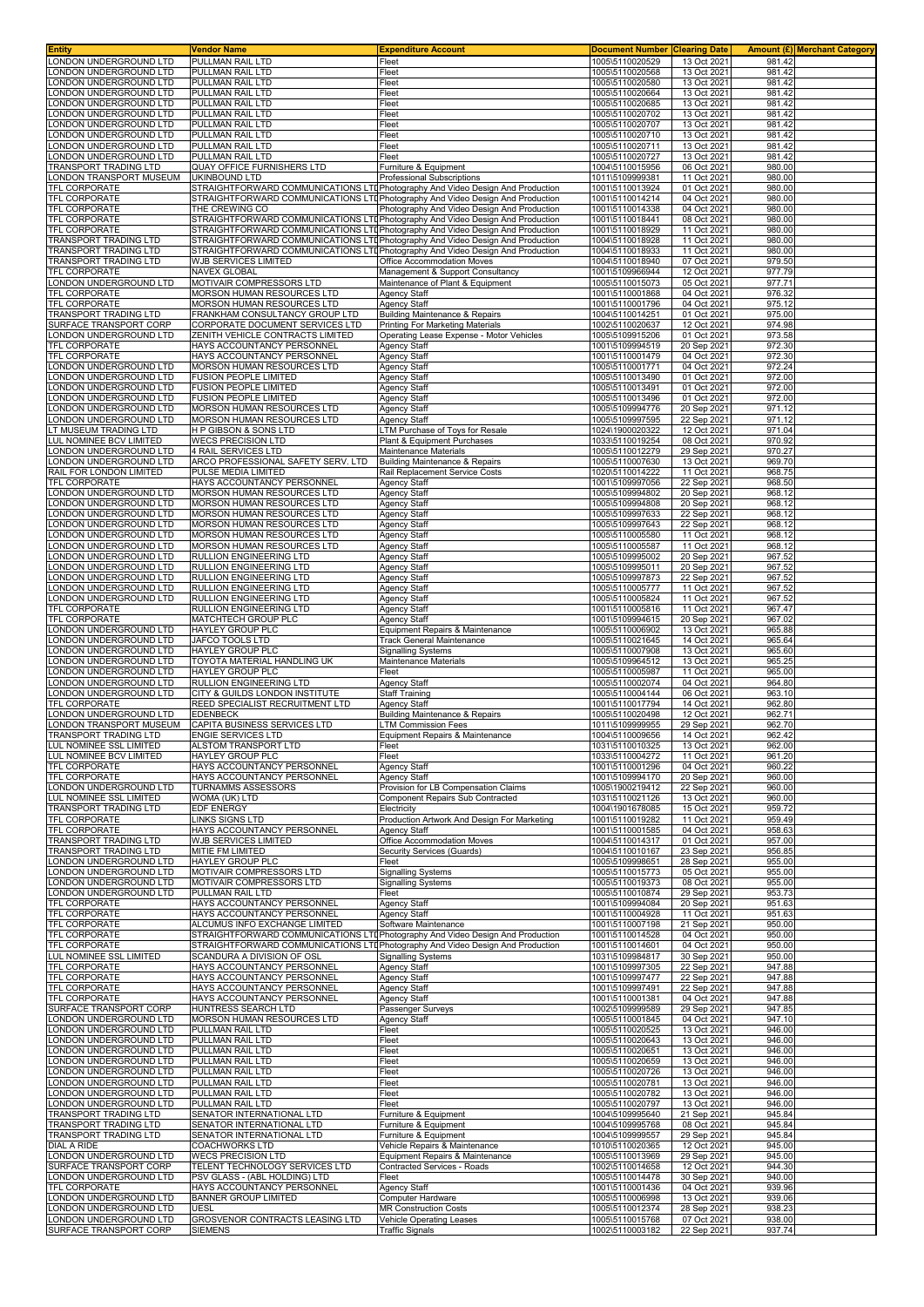| LONDON UNDERGROUND LTD<br>ONDON UNDERGROUND LTD                                                                                                                                                                                                                                                                            | Vendor Name                                                                                     | <b>Expenditure Account</b>                                                   | <b>Document Number</b>             | <b>Clearing Date</b>       | <b>Amount (£) Merchant Category</b> |  |
|----------------------------------------------------------------------------------------------------------------------------------------------------------------------------------------------------------------------------------------------------------------------------------------------------------------------------|-------------------------------------------------------------------------------------------------|------------------------------------------------------------------------------|------------------------------------|----------------------------|-------------------------------------|--|
|                                                                                                                                                                                                                                                                                                                            | PULLMAN RAIL LTD                                                                                | Fleet                                                                        | 1005\5110020529                    | 13 Oct 2021                | 981.42                              |  |
| ONDON UNDERGROUND LTD                                                                                                                                                                                                                                                                                                      | PULLMAN RAIL LTD<br>PULLMAN RAIL LTD                                                            | Fleet<br>Fleet                                                               | 1005\5110020568<br>1005\5110020580 | 13 Oct 2021<br>13 Oct 2021 | 981.42<br>981.42                    |  |
| ONDON UNDERGROUND LTD                                                                                                                                                                                                                                                                                                      | PULLMAN RAIL LTD                                                                                | Fleet                                                                        | 1005\5110020664                    | 13 Oct 2021                | 981.42                              |  |
| ONDON UNDERGROUND LTD                                                                                                                                                                                                                                                                                                      | PULLMAN RAIL LTD                                                                                | Fleet                                                                        | 1005\5110020685                    | 13 Oct 2021                | 981.42                              |  |
| ONDON UNDERGROUND LTD                                                                                                                                                                                                                                                                                                      | PULLMAN RAIL LTD                                                                                | Fleet                                                                        | 1005\5110020702                    | 13 Oct 2021                | 981.42                              |  |
| ONDON UNDERGROUND LTD                                                                                                                                                                                                                                                                                                      | PULLMAN RAIL LTD                                                                                | Fleet                                                                        | 1005\5110020707                    | 13 Oct 2021                | 981.42                              |  |
| ONDON UNDERGROUND LTD<br>ONDON UNDERGROUND LTD                                                                                                                                                                                                                                                                             | PULLMAN RAIL LTD<br>PULLMAN RAIL LTD                                                            | Fleet                                                                        | 1005\5110020710<br>1005\5110020711 | 13 Oct 2021<br>13 Oct 2021 | 981.42<br>981.42                    |  |
| ONDON UNDERGROUND LTD                                                                                                                                                                                                                                                                                                      | PULLMAN RAIL LTD                                                                                | Fleet<br>Fleet                                                               | 1005\5110020727                    | 13 Oct 2021                | 981.42                              |  |
| RANSPORT TRADING LTD                                                                                                                                                                                                                                                                                                       | QUAY OFFICE FURNISHERS LTD                                                                      | Furniture & Equipment                                                        | 1004\5110015956                    | 06 Oct 2021                | 980.00                              |  |
| ONDON TRANSPORT MUSEUM                                                                                                                                                                                                                                                                                                     | UKINBOUND LTD                                                                                   | Professional Subscriptions                                                   | 1011\5109999381                    | 11 Oct 2021                | 980.00                              |  |
| TFL CORPORATE                                                                                                                                                                                                                                                                                                              | STRAIGHTFORWARD COMMUNICATIONS LTI Photography And Video Design And Production                  |                                                                              | 1001\5110013924                    | 01 Oct 2021                | 980.00                              |  |
| TFL CORPORATE                                                                                                                                                                                                                                                                                                              | STRAIGHTFORWARD COMMUNICATIONS LTIPhotography And Video Design And Production<br>THE CREWING CO |                                                                              | 1001\5110014214<br>1001\5110014338 | 04 Oct 2021                | 980.00                              |  |
| TFL CORPORATE<br>TFL CORPORATE                                                                                                                                                                                                                                                                                             | STRAIGHTFORWARD COMMUNICATIONS LTDPhotography And Video Design And Production                   | Photography And Video Design And Production                                  | 1001\5110018441                    | 04 Oct 2021<br>08 Oct 2021 | 980.00<br>980.00                    |  |
| <b>TFL CORPORATE</b>                                                                                                                                                                                                                                                                                                       | STRAIGHTFORWARD COMMUNICATIONS LTUPhotography And Video Design And Production                   |                                                                              | 1001\5110018929                    | 11 Oct 2021                | 980.00                              |  |
| TRANSPORT TRADING LTD                                                                                                                                                                                                                                                                                                      | STRAIGHTFORWARD COMMUNICATIONS LTI Photography And Video Design And Production                  |                                                                              | 1004\5110018928                    | 11 Oct 2021                | 980.00                              |  |
| <b>TRANSPORT TRADING LTD</b>                                                                                                                                                                                                                                                                                               | STRAIGHTFORWARD COMMUNICATIONS LTIPhotography And Video Design And Production                   |                                                                              | 1004\5110018933                    | 11 Oct 2021                | 980.00                              |  |
| TRANSPORT TRADING LTD<br><b>TFL CORPORATE</b>                                                                                                                                                                                                                                                                              | WJB SERVICES LIMITED<br><b>NAVEX GLOBAL</b>                                                     | Office Accommodation Moves<br>Management & Support Consultancy               | 1004\5110018940<br>1001\5109966944 | 07 Oct 2021<br>12 Oct 2021 | 979.50<br>977.79                    |  |
| LONDON UNDERGROUND LTD                                                                                                                                                                                                                                                                                                     | MOTIVAIR COMPRESSORS LTD                                                                        | Maintenance of Plant & Equipment                                             | 1005\5110015073                    | 05 Oct 2021                | 977.71                              |  |
| TFL CORPORATE                                                                                                                                                                                                                                                                                                              | MORSON HUMAN RESOURCES LTD                                                                      | <b>Agency Staff</b>                                                          | 1001\5110001868                    | 04 Oct 2021                | 976.32                              |  |
| <b>TFL CORPORATE</b>                                                                                                                                                                                                                                                                                                       | <b>MORSON HUMAN RESOURCES LTD</b>                                                               | <b>Agency Staff</b>                                                          | 1001\5110001796                    | 04 Oct 2021                | 975.12                              |  |
| <b>TRANSPORT TRADING LTD</b>                                                                                                                                                                                                                                                                                               | FRANKHAM CONSULTANCY GROUP LTD                                                                  | <b>Building Maintenance &amp; Repairs</b>                                    | 1004\5110014251                    | 01 Oct 2021                | 975.00                              |  |
| SURFACE TRANSPORT CORP<br>ONDON UNDERGROUND LTD                                                                                                                                                                                                                                                                            | CORPORATE DOCUMENT SERVICES LTD<br>ZENITH VEHICLE CONTRACTS LIMITED                             | Printing For Marketing Materials<br>Operating Lease Expense - Motor Vehicles | 1002\5110020637<br>1005\5109915206 | 12 Oct 2021<br>01 Oct 2021 | 974.98<br>973.58                    |  |
| <b>TFL CORPORATE</b>                                                                                                                                                                                                                                                                                                       | HAYS ACCOUNTANCY PERSONNEL                                                                      | <b>Agency Staff</b>                                                          | 1001\5109994519                    | 20 Sep 2021                | 972.30                              |  |
| <b>TFL CORPORATE</b>                                                                                                                                                                                                                                                                                                       | HAYS ACCOUNTANCY PERSONNEL                                                                      | Agency Staff                                                                 | 1001\5110001479                    | 04 Oct 2021                | 972.30                              |  |
| LONDON UNDERGROUND LTD                                                                                                                                                                                                                                                                                                     | MORSON HUMAN RESOURCES LTD                                                                      | <b>Agency Staff</b>                                                          | 1005\5110001771                    | 04 Oct 2021                | 972.24                              |  |
| ONDON UNDERGROUND LTD                                                                                                                                                                                                                                                                                                      | <b>FUSION PEOPLE LIMITED</b><br><b>FUSION PEOPLE LIMITED</b>                                    | <b>Agency Staff</b>                                                          | 1005\5110013490                    | 01 Oct 2021                | 972.00<br>972.00                    |  |
| ONDON UNDERGROUND LTD<br>ONDON UNDERGROUND LTD                                                                                                                                                                                                                                                                             | <b>FUSION PEOPLE LIMITED</b>                                                                    | Agency Staff<br>Agency Staff                                                 | 1005\5110013491<br>1005\5110013496 | 01 Oct 2021<br>01 Oct 2021 | 972.00                              |  |
| ONDON UNDERGROUND LTD                                                                                                                                                                                                                                                                                                      | MORSON HUMAN RESOURCES LTD                                                                      | <b>Agency Staff</b>                                                          | 1005\5109994776                    | 20 Sep 2021                | 971.12                              |  |
| ONDON UNDERGROUND LTD.                                                                                                                                                                                                                                                                                                     | MORSON HUMAN RESOURCES LTD                                                                      | Agency Staff                                                                 | 1005\5109997595                    | 22 Sep 202                 | 971.12                              |  |
| T MUSEUM TRADING LTD                                                                                                                                                                                                                                                                                                       | <b>HP GIBSON &amp; SONS LTD</b>                                                                 | TM Purchase of Toys for Resale                                               | 1024\1900020322                    | 12 Oct 2021                | 971.04                              |  |
| <b>UL NOMINEE BCV LIMITED</b><br>ONDON UNDERGROUND LTD                                                                                                                                                                                                                                                                     | <b>WECS PRECISION LTD</b><br>4 RAIL SERVICES LTD                                                | Plant & Equipment Purchases<br>Maintenance Materials                         | 1033\5110019254<br>1005\5110012279 | 08 Oct 2021<br>29 Sep 2021 | 970.92<br>970.27                    |  |
| ONDON UNDERGROUND LTD                                                                                                                                                                                                                                                                                                      | ARCO PROFESSIONAL SAFETY SERV. LTD                                                              | <b>Building Maintenance &amp; Repairs</b>                                    | 1005\5110007630                    | 13 Oct 2021                | 969.70                              |  |
| RAIL FOR LONDON LIMITED                                                                                                                                                                                                                                                                                                    | PULSE MEDIA LIMITED                                                                             | Rail Replacement Service Costs                                               | 1020\5110014222                    | 11 Oct 2021                | 968.75                              |  |
| TFL CORPORATE                                                                                                                                                                                                                                                                                                              | HAYS ACCOUNTANCY PERSONNEL                                                                      | <b>Agency Staff</b>                                                          | 1001\5109997056                    | 22 Sep 2021                | 968.50                              |  |
| ONDON UNDERGROUND LTD                                                                                                                                                                                                                                                                                                      | MORSON HUMAN RESOURCES LTD                                                                      | <b>Agency Staff</b>                                                          | 1005\5109994802                    | 20 Sep 2021                | 968.12                              |  |
| LONDON UNDERGROUND LTD<br>ONDON UNDERGROUND LTD                                                                                                                                                                                                                                                                            | MORSON HUMAN RESOURCES LTD<br>MORSON HUMAN RESOURCES LTD                                        | <b>Agency Staff</b><br>Agency Staff                                          | 1005\5109994808<br>1005\5109997633 | 20 Sep 2021<br>22 Sep 2021 | 968.12<br>968.12                    |  |
| ONDON UNDERGROUND LTD                                                                                                                                                                                                                                                                                                      | MORSON HUMAN RESOURCES LTD                                                                      | Agency Staff                                                                 | 1005\5109997643                    | 22 Sep 2021                | 968.12                              |  |
| ONDON UNDERGROUND LTD                                                                                                                                                                                                                                                                                                      | MORSON HUMAN RESOURCES LTD                                                                      | Agency Staff                                                                 | 1005\5110005580                    | 11 Oct 2021                | 968.12                              |  |
| ONDON UNDERGROUND LTD                                                                                                                                                                                                                                                                                                      | <b>MORSON HUMAN RESOURCES LTD</b>                                                               | <b>Agency Staff</b>                                                          | 1005\5110005587                    | 11 Oct 2021                | 968.12                              |  |
| ONDON UNDERGROUND LTD                                                                                                                                                                                                                                                                                                      | RULLION ENGINEERING LTD                                                                         | <b>Agency Staff</b>                                                          | 1005\5109995002                    | 20 Sep 2021                | 967.52                              |  |
| ONDON UNDERGROUND LTD<br>ONDON UNDERGROUND LTD                                                                                                                                                                                                                                                                             | RULLION ENGINEERING LTD<br>RULLION ENGINEERING LTD                                              | <b>Agency Staff</b><br><b>Agency Staff</b>                                   | 1005\5109995011<br>1005\5109997873 | 20 Sep 2021<br>22 Sep 2021 | 967.52<br>967.52                    |  |
| LONDON UNDERGROUND LTD                                                                                                                                                                                                                                                                                                     | RULLION ENGINEERING LTD                                                                         | <b>Agency Staff</b>                                                          | 1005\5110005777                    | 11 Oct 2021                | 967.52                              |  |
| ONDON UNDERGROUND LTD                                                                                                                                                                                                                                                                                                      | RULLION ENGINEERING LTD                                                                         | Agency Staff                                                                 | 1005\5110005824                    | 11 Oct 2021                | 967.52                              |  |
| TFL CORPORATE                                                                                                                                                                                                                                                                                                              | RULLION ENGINEERING LTD                                                                         | Agency Staff                                                                 | 1001\5110005816                    | 11 Oct 2021                | 967.47                              |  |
| TFL CORPORATE<br>ONDON UNDERGROUND LTD                                                                                                                                                                                                                                                                                     | MATCHTECH GROUP PLC<br>HAYLEY GROUP PLC                                                         | <b>Agency Staff</b><br>Equipment Repairs & Maintenance                       | 1001\5109994615<br>1005\5110006902 | 20 Sep 2021<br>13 Oct 2021 | 967.02<br>965.88                    |  |
| ONDON UNDERGROUND LTD                                                                                                                                                                                                                                                                                                      | JAFCO TOOLS LTD                                                                                 | <b>Track General Maintenance</b>                                             | 1005\5110021645                    | 14 Oct 2021                | 965.64                              |  |
| ONDON UNDERGROUND LTD                                                                                                                                                                                                                                                                                                      | HAYLEY GROUP PLC                                                                                | <b>Signalling Systems</b>                                                    | 1005\5110007908                    | 13 Oct 2021                | 965.60                              |  |
| ONDON UNDERGROUND LTD                                                                                                                                                                                                                                                                                                      | TOYOTA MATERIAL HANDLING UK                                                                     | Maintenance Materials                                                        | 1005\5109964512                    | 13 Oct 2021                | 965.25                              |  |
| ONDON UNDERGROUND LTD                                                                                                                                                                                                                                                                                                      | <b>HAYLEY GROUP PLC</b>                                                                         | Fleet                                                                        | 1005\5110005987                    | 11 Oct 2021<br>04 Oct 2021 | 965.00<br>964.80                    |  |
| ONDON UNDERGROUND LTD<br>ONDON UNDERGROUND LTD                                                                                                                                                                                                                                                                             | RULLION ENGINEERING LTD<br>CITY & GUILDS LONDON INSTITUTE                                       | Agency Staff<br><b>Staff Training</b>                                        | 1005\5110002074<br>1005\5110004144 | 06 Oct 2021                | 963.10                              |  |
| <b>FL CORPORATE</b>                                                                                                                                                                                                                                                                                                        | REED SPECIALIST RECRUITMENT LTD                                                                 | <b>Agency Staff</b>                                                          | 1001\5110017794                    | 14 Oct 2021                | 962.80                              |  |
| ONDON UNDERGROUND LTD                                                                                                                                                                                                                                                                                                      | <b>EDENBECK</b>                                                                                 | <b>Building Maintenance &amp; Repairs</b>                                    | 1005\5110020498                    | 12 Oct 2021                | 962.71                              |  |
| ONDON TRANSPORT MUSEUM                                                                                                                                                                                                                                                                                                     | CAPITA BUSINESS SERVICES LTD                                                                    | <b>TM Commission Fees</b>                                                    | 1011\5109999955                    | 29 Sep 2021                | 962.70                              |  |
| TRANSPORT TRADING LTD<br>LUL NOMINEE SSL LIMITED                                                                                                                                                                                                                                                                           | ENGIE SERVICES LTD<br>ALSTOM TRANSPORT LTD                                                      | Equipment Repairs & Maintenance<br>Fleet                                     | 1004\5110009656<br>1031\5110010325 | 14 Oct 2021<br>13 Oct 2021 | 962.42<br>962.00                    |  |
| LUL NOMINEE BCV LIMITED                                                                                                                                                                                                                                                                                                    | HAYLEY GROUP PLC                                                                                | Fleet                                                                        | 1033\5110004272                    | 11 Oct 2021                | 961.20                              |  |
| <b>TFL CORPORATE</b>                                                                                                                                                                                                                                                                                                       | HAYS ACCOUNTANCY PERSONNEL                                                                      | Agency Staff                                                                 | 1001\5110001296                    | 04 Oct 2021                | 960.22                              |  |
| TFL CORPORATE                                                                                                                                                                                                                                                                                                              | HAYS ACCOUNTANCY PERSONNEL                                                                      | <b>Agency Staff</b>                                                          | 1001\5109994170                    | 20 Sep 2021                | 960.00                              |  |
| LONDON UNDERGROUND LTD<br>LUL NOMINEE SSL LIMITED                                                                                                                                                                                                                                                                          | TURNAMMS ASSESSORS<br>WOMA (UK) LTD                                                             | Provision for LB Compensation Claims<br>Component Repairs Sub Contracted     | 1005\1900219412<br>1031\5110021126 |                            |                                     |  |
| TRANSPORT TRADING LTD                                                                                                                                                                                                                                                                                                      | EDF ENERGY                                                                                      | Electricity                                                                  |                                    | 22 Sep 2021                | 960.00                              |  |
| TFL CORPORATE                                                                                                                                                                                                                                                                                                              |                                                                                                 |                                                                              |                                    | 13 Oct 2021<br>15 Oct 2021 | 960.00                              |  |
|                                                                                                                                                                                                                                                                                                                            | INKS SIGNS LTD                                                                                  | Production Artwork And Design For Marketing                                  | 1004\1901678085<br>1001\5110019282 | 11 Oct 2021                | 959.72<br>959.49                    |  |
|                                                                                                                                                                                                                                                                                                                            | HAYS ACCOUNTANCY PERSONNEL                                                                      | Agency Staff                                                                 | 1001\5110001585                    | 04 Oct 2021                | 958.63                              |  |
|                                                                                                                                                                                                                                                                                                                            | WJB SERVICES LIMITED                                                                            | Office Accommodation Moves                                                   | 1004\5110014317                    | 01 Oct 2021                | 957.00                              |  |
| TRANSPORT TRADING LTD                                                                                                                                                                                                                                                                                                      | MITIE FM LIMITED                                                                                | Security Services (Guards)                                                   | 1004\5110010167                    | 23 Sep 2021                | 956.85                              |  |
| LONDON UNDERGROUND LTD<br>ONDON UNDERGROUND LTD                                                                                                                                                                                                                                                                            | HAYLEY GROUP PLC<br>MOTIVAIR COMPRESSORS LTD                                                    | Fleet<br><b>Signalling Systems</b>                                           | 1005\5109998651<br>1005\5110015773 | 28 Sep 2021<br>05 Oct 2021 | 955.00<br>955.00                    |  |
| ONDON UNDERGROUND LTD                                                                                                                                                                                                                                                                                                      | MOTIVAIR COMPRESSORS LTD                                                                        | Signalling Systems                                                           | 1005\5110019373                    | 08 Oct 2021                | 955.00                              |  |
| ONDON UNDERGROUND LTD                                                                                                                                                                                                                                                                                                      | PULLMAN RAIL LTD                                                                                | Fleet                                                                        | 1005\5110010874                    | 29 Sep 2021                | 953.73                              |  |
|                                                                                                                                                                                                                                                                                                                            | HAYS ACCOUNTANCY PERSONNEL                                                                      | <b>Agency Staff</b>                                                          | 1001\5109994084                    | 20 Sep 2021                | 951.63                              |  |
|                                                                                                                                                                                                                                                                                                                            | HAYS ACCOUNTANCY PERSONNEL<br>ALCUMUS INFO EXCHANGE LIMITED                                     | Agency Staff<br>Software Maintenance                                         | 1001\5110004928<br>1001\5110007198 | 11 Oct 2021<br>21 Sep 2021 | 951.63<br>950.00                    |  |
|                                                                                                                                                                                                                                                                                                                            | STRAIGHTFORWARD COMMUNICATIONS LTUPhotography And Video Design And Production                   |                                                                              | 1001\5110014528                    | 04 Oct 2021                | 950.00                              |  |
|                                                                                                                                                                                                                                                                                                                            | STRAIGHTFORWARD COMMUNICATIONS LTUPhotography And Video Design And Production                   |                                                                              | 1001\5110014601                    | 04 Oct 2021                | 950.00                              |  |
|                                                                                                                                                                                                                                                                                                                            | SCANDURA A DIVISION OF OSL                                                                      | <b>Signalling Systems</b>                                                    | 1031\5109984817                    | 30 Sep 2021                | 950.00                              |  |
|                                                                                                                                                                                                                                                                                                                            | HAYS ACCOUNTANCY PERSONNEL<br>HAYS ACCOUNTANCY PERSONNEL                                        | <b>Agency Staff</b><br><b>Agency Staff</b>                                   | 1001\5109997305<br>1001\5109997477 | 22 Sep 2021<br>22 Sep 2021 | 947.88<br>947.88                    |  |
|                                                                                                                                                                                                                                                                                                                            | HAYS ACCOUNTANCY PERSONNEL                                                                      | <b>Agency Staff</b>                                                          | 1001\5109997491                    | 22 Sep 2021                | 947.88                              |  |
|                                                                                                                                                                                                                                                                                                                            | HAYS ACCOUNTANCY PERSONNEL                                                                      | <b>Agency Staff</b>                                                          | 1001\5110001381                    | 04 Oct 2021                | 947.88                              |  |
|                                                                                                                                                                                                                                                                                                                            | HUNTRESS SEARCH LTD                                                                             | Passenger Surveys                                                            | 1002\5109999589                    | 29 Sep 2021                | 947.85                              |  |
| ONDON UNDERGROUND LTD<br>LONDON UNDERGROUND LTD                                                                                                                                                                                                                                                                            | MORSON HUMAN RESOURCES LTD<br>PULLMAN RAIL LTD                                                  | Agency Staff<br>Fleet                                                        | 1005\5110001845<br>1005\5110020525 | 04 Oct 2021                | 947.10<br>946.00                    |  |
| ONDON UNDERGROUND LTD                                                                                                                                                                                                                                                                                                      | PULLMAN RAIL LTD                                                                                | Fleet                                                                        | 1005\5110020643                    | 13 Oct 2021<br>13 Oct 2021 | 946.00                              |  |
| ONDON UNDERGROUND LTD                                                                                                                                                                                                                                                                                                      | PULLMAN RAIL LTD                                                                                | Fleet                                                                        | 1005\5110020651                    | 13 Oct 2021                | 946.00                              |  |
| ONDON UNDERGROUND LTD                                                                                                                                                                                                                                                                                                      | PULLMAN RAIL LTD                                                                                | Fleet                                                                        | 1005\5110020659                    | 13 Oct 2021                | 946.00                              |  |
| LONDON UNDERGROUND LTD                                                                                                                                                                                                                                                                                                     | PULLMAN RAIL LTD<br>PULLMAN RAIL LTD                                                            | Fleet                                                                        | 1005\5110020726                    | 13 Oct 2021<br>13 Oct 2021 | 946.00<br>946.00                    |  |
| ONDON UNDERGROUND LTD<br>ONDON UNDERGROUND LTD                                                                                                                                                                                                                                                                             | PULLMAN RAIL LTD                                                                                | Fleet<br>Fleet                                                               | 1005\5110020781<br>1005\5110020782 | 13 Oct 2021                | 946.00                              |  |
| ONDON UNDERGROUND LTD                                                                                                                                                                                                                                                                                                      | PULLMAN RAIL LTD                                                                                | Fleet                                                                        | 1005\5110020797                    | 13 Oct 2021                | 946.00                              |  |
| TRANSPORT TRADING LTD                                                                                                                                                                                                                                                                                                      | SENATOR INTERNATIONAL LTD                                                                       | Furniture & Equipment                                                        | 1004\5109995640                    | 21 Sep 2021                | 945.84                              |  |
| TRANSPORT TRADING LTD                                                                                                                                                                                                                                                                                                      | SENATOR INTERNATIONAL LTD                                                                       | Furniture & Equipment                                                        | 1004\5109995768                    | 08 Oct 2021                | 945.84<br>945.84                    |  |
| RANSPORT TRADING LTD                                                                                                                                                                                                                                                                                                       | SENATOR INTERNATIONAL LTD<br>COACHWORKS LTD                                                     | Furniture & Equipment<br>Vehicle Repairs & Maintenance                       | 1004\5109999557<br>1010\5110020365 | 29 Sep 2021<br>12 Oct 2021 | 945.00                              |  |
| DIAL A RIDE<br>LONDON UNDERGROUND LTD                                                                                                                                                                                                                                                                                      | <b>WECS PRECISION LTD</b>                                                                       | Equipment Repairs & Maintenance                                              | 1005\5110013969                    | 29 Sep 2021                | 945.00                              |  |
| SURFACE TRANSPORT CORP                                                                                                                                                                                                                                                                                                     | TELENT TECHNOLOGY SERVICES LTD                                                                  | Contracted Services - Roads                                                  | 1002\5110014658                    | 12 Oct 2021                | 944.30                              |  |
| TFL CORPORATE<br>TRANSPORT TRADING LTD<br><b>TFL CORPORATE</b><br>TFL CORPORATE<br><b>TFL CORPORATE</b><br>TFL CORPORATE<br>TFL CORPORATE<br>LUL NOMINEE SSL LIMITED<br>TFL CORPORATE<br>TFL CORPORATE<br><b>TFL CORPORATE</b><br><b>TFL CORPORATE</b><br>SURFACE TRANSPORT CORP<br>ONDON UNDERGROUND LTD<br>TFL CORPORATE | PSV GLASS - (ABL HOLDING) LTD<br>HAYS ACCOUNTANCY PERSONNEL                                     | Fleet<br><b>Agency Staff</b>                                                 | 1005\5110014478<br>1001\5110001436 | 30 Sep 2021<br>04 Oct 2021 | 940.00<br>939.96                    |  |
| ONDON UNDERGROUND LTD                                                                                                                                                                                                                                                                                                      | <b>BANNER GROUP LIMITED</b>                                                                     | Computer Hardware                                                            | 1005\5110006998                    | 13 Oct 2021                | 939.06                              |  |
| ONDON UNDERGROUND LTD<br>ONDON UNDERGROUND LTD                                                                                                                                                                                                                                                                             | UESL<br>GROSVENOR CONTRACTS LEASING LTD                                                         | <b>MR Construction Costs</b><br>Vehicle Operating Leases                     | 1005\5110012374<br>1005\5110015768 | 28 Sep 2021<br>07 Oct 2021 | 938.23<br>938.00                    |  |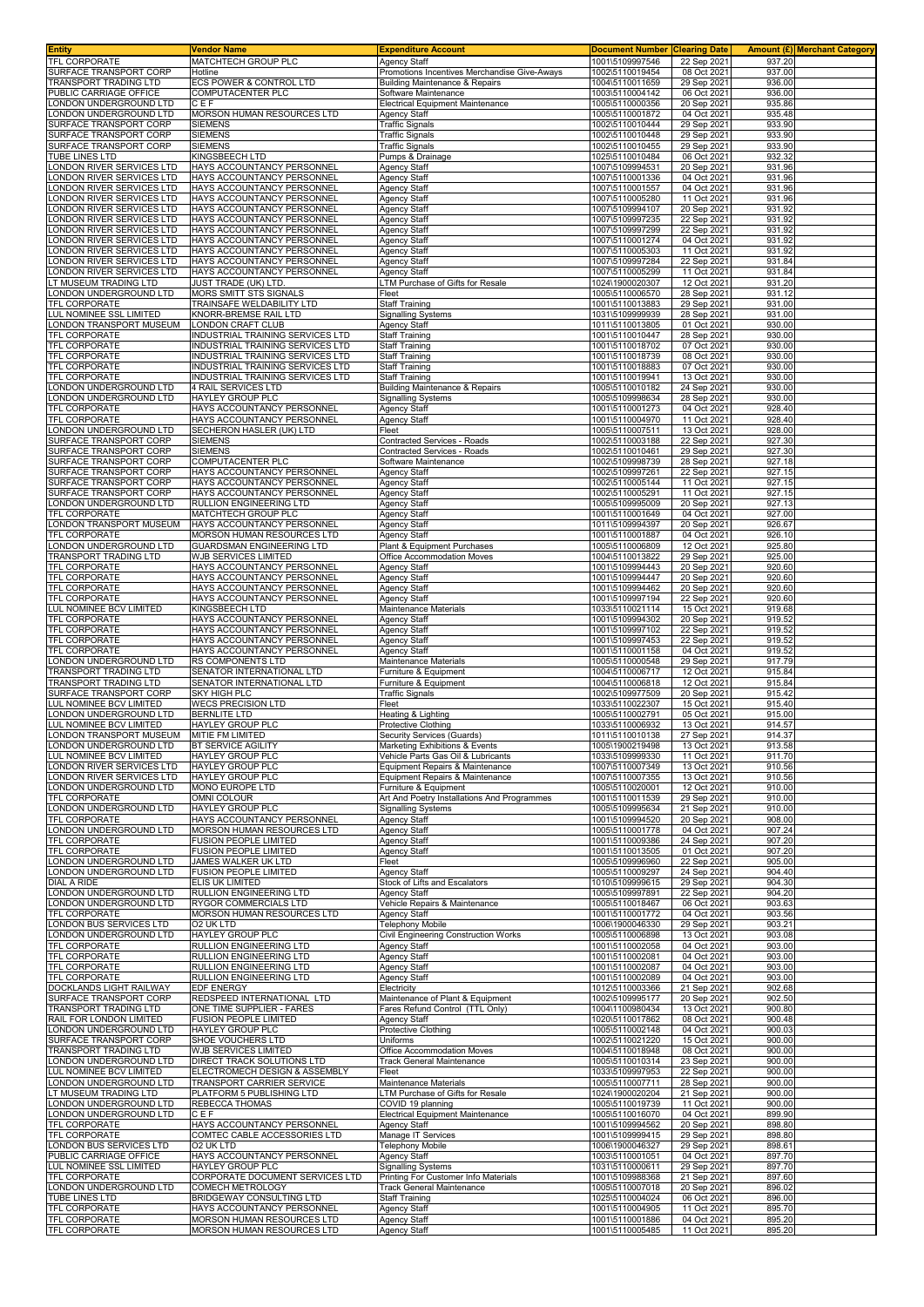| <b>Entity</b>                                          | Vendor Name                                                          | <b>Expenditure Account</b>                                                     | <b>Document Number</b>             | <b>Clearing Date</b>       |                  | Amount (£) Merchant Category |
|--------------------------------------------------------|----------------------------------------------------------------------|--------------------------------------------------------------------------------|------------------------------------|----------------------------|------------------|------------------------------|
| TFL CORPORATE                                          | MATCHTECH GROUP PLC                                                  | <b>Agency Staff</b>                                                            | 1001\5109997546                    | 22 Sep 2021                | 937.20<br>937.00 |                              |
| SURFACE TRANSPORT CORP<br>TRANSPORT TRADING LTD        | Hotline<br>ECS POWER & CONTROL LTD                                   | Promotions Incentives Merchandise Give-Aways<br>Building Maintenance & Repairs | 1002\5110019454<br>1004\5110011659 | 08 Oct 2021<br>29 Sep 2021 | 936.00           |                              |
| PUBLIC CARRIAGE OFFICE                                 | COMPUTACENTER PLC                                                    | Software Maintenance                                                           | 1003\5110004142                    | 06 Oct 2021                | 936.00           |                              |
| ONDON UNDERGROUND LTD                                  | CEF                                                                  | Electrical Equipment Maintenance                                               | 1005\5110000356                    | 20 Sep 2021                | 935.86           |                              |
| ONDON UNDERGROUND LTD<br>SURFACE TRANSPORT CORP        | MORSON HUMAN RESOURCES LTD<br><b>SIEMENS</b>                         | Agency Staff<br><b>Traffic Signals</b>                                         | 1005\5110001872<br>1002\5110010444 | 04 Oct 2021<br>29 Sep 2021 | 935.48<br>933.90 |                              |
| SURFACE TRANSPORT CORP                                 | <b>SIEMENS</b>                                                       | <b>Traffic Signals</b>                                                         | 1002\5110010448                    | 29 Sep 2021                | 933.90           |                              |
| SURFACE TRANSPORT CORP                                 | <b>SIEMENS</b>                                                       | <b>Traffic Signals</b>                                                         | 1002\5110010455                    | 29 Sep 2021                | 933.90           |                              |
| TUBE LINES LTD                                         | KINGSBEECH LTD                                                       | Pumps & Drainage                                                               | 1025\5110010484                    | 06 Oct 2021                | 932.32           |                              |
| ONDON RIVER SERVICES LTD<br>ONDON RIVER SERVICES LTD   | HAYS ACCOUNTANCY PERSONNEI<br>HAYS ACCOUNTANCY PERSONNEL             | <b>Agency Staff</b><br><b>Agency Staff</b>                                     | 1007\5109994531<br>1007\5110001336 | 20 Sep 2021<br>04 Oct 2021 | 931.96<br>931.96 |                              |
| ONDON RIVER SERVICES LTD                               | HAYS ACCOUNTANCY PERSONNEL                                           | <b>Agency Staff</b>                                                            | 1007\5110001557                    | 04 Oct 2021                | 931.96           |                              |
| ONDON RIVER SERVICES LTD                               | HAYS ACCOUNTANCY PERSONNEL                                           | <b>Agency Staff</b>                                                            | 1007\5110005280                    | 11 Oct 2021                | 931.96           |                              |
| ONDON RIVER SERVICES LTD<br>ONDON RIVER SERVICES LTD   | HAYS ACCOUNTANCY PERSONNEL<br>HAYS ACCOUNTANCY PERSONNEL             | <b>Agency Staff</b><br><b>Agency Staff</b>                                     | 1007\5109994107<br>1007\5109997235 | 20 Sep 2021<br>22 Sep 2021 | 931.92<br>931.92 |                              |
| ONDON RIVER SERVICES LTD                               | HAYS ACCOUNTANCY PERSONNEL                                           | <b>Agency Staff</b>                                                            | 1007\5109997299                    | 22 Sep 2021                | 931.92           |                              |
| ONDON RIVER SERVICES LTD                               | HAYS ACCOUNTANCY PERSONNEL                                           | <b>Agency Staff</b>                                                            | 1007\5110001274                    | 04 Oct 2021                | 931.92           |                              |
| ONDON RIVER SERVICES LTD<br>ONDON RIVER SERVICES LTD   | <b>HAYS ACCOUNTANCY PERSONNEL</b><br>HAYS ACCOUNTANCY PERSONNEL      | <b>Agency Staff</b><br>Agency Staff                                            | 1007\5110005303<br>1007\5109997284 | 11 Oct 2021<br>22 Sep 2021 | 931.92<br>931.84 |                              |
| ONDON RIVER SERVICES LTD                               | HAYS ACCOUNTANCY PERSONNEL                                           | Agency Staff                                                                   | 1007\5110005299                    | 11 Oct 2021                | 931.84           |                              |
| LT MUSEUM TRADING LTD                                  | JUST TRADE (UK) LTD.                                                 | LTM Purchase of Gifts for Resale                                               | 1024\1900020307                    | 12 Oct 2021                | 931.20           |                              |
| ONDON UNDERGROUND LTD                                  | <b>MORS SMITT STS SIGNALS</b>                                        | Fleet                                                                          | 1005\5110006570                    | 28 Sep 2021                | 931.12           |                              |
| TFL CORPORATE<br>LUL NOMINEE SSL LIMITED               | TRAINSAFE WELDABILITY LTD<br>KNORR-BREMSE RAIL LTD                   | <b>Staff Training</b><br><b>Signalling Systems</b>                             | 1001\5110013883<br>1031\5109999939 | 29 Sep 2021<br>28 Sep 2021 | 931.00<br>931.00 |                              |
| LONDON TRANSPORT MUSEUM                                | LONDON CRAFT CLUB                                                    | <b>Agency Staff</b>                                                            | 1011\5110013805                    | 01 Oct 2021                | 930.00           |                              |
| TFL CORPORATE                                          | INDUSTRIAL TRAINING SERVICES LTD                                     | <b>Staff Training</b>                                                          | 1001\5110010447                    | 28 Sep 2021                | 930.00           |                              |
| TFL CORPORATE<br>TFL CORPORATE                         | INDUSTRIAL TRAINING SERVICES LTD<br>INDUSTRIAL TRAINING SERVICES LTD | <b>Staff Training</b><br><b>Staff Training</b>                                 | 1001\5110018702<br>1001\5110018739 | 07 Oct 2021<br>08 Oct 2021 | 930.00<br>930.00 |                              |
| <b>TFL CORPORATE</b>                                   | INDUSTRIAL TRAINING SERVICES LTD                                     | <b>Staff Training</b>                                                          | 1001\5110018883                    | 07 Oct 2021                | 930.00           |                              |
| TFL CORPORATE                                          | INDUSTRIAL TRAINING SERVICES LTD                                     | <b>Staff Training</b>                                                          | 1001\5110019941                    | 13 Oct 2021                | 930.00           |                              |
| ONDON UNDERGROUND LTD                                  | 4 RAIL SERVICES LTD                                                  | Building Maintenance & Repairs                                                 | 1005\5110010182                    | 24 Sep 2021                | 930.00           |                              |
| ONDON UNDERGROUND LTD<br>TFL CORPORATE                 | HAYLEY GROUP PLC<br>HAYS ACCOUNTANCY PERSONNEL                       | <b>Signalling Systems</b><br><b>Agency Staff</b>                               | 1005\5109998634<br>1001\5110001273 | 28 Sep 2021<br>04 Oct 2021 | 930.00<br>928.40 |                              |
| TFL CORPORATE                                          | HAYS ACCOUNTANCY PERSONNEL                                           | Agency Staff                                                                   | 1001\5110004970                    | 11 Oct 2021                | 928.40           |                              |
| ONDON UNDERGROUND LTD                                  | SECHERON HASLER (UK) LTD                                             | Fleet                                                                          | 1005\5110007511                    | 13 Oct 2021                | 928.00           |                              |
| SURFACE TRANSPORT CORP<br>SURFACE TRANSPORT CORP       | <b>SIEMENS</b><br><b>SIEMENS</b>                                     | Contracted Services - Roads<br>Contracted Services - Roads                     | 1002\5110003188<br>1002\5110010461 | 22 Sep 2021<br>29 Sep 2021 | 927.30<br>927.30 |                              |
| SURFACE TRANSPORT CORP                                 | COMPUTACENTER PLC                                                    | Software Maintenance                                                           | 1002\5109998739                    | 28 Sep 2021                | 927.18           |                              |
| SURFACE TRANSPORT CORP                                 | HAYS ACCOUNTANCY PERSONNEL                                           | Agency Staff                                                                   | 1002\5109997261                    | 22 Sep 2021                | 927.15           |                              |
| SURFACE TRANSPORT CORP<br>SURFACE TRANSPORT CORP       | HAYS ACCOUNTANCY PERSONNEL                                           | <b>Agency Staff</b>                                                            | 1002\5110005144                    | 11 Oct 2021                | 927.15           |                              |
| ONDON UNDERGROUND LTD                                  | HAYS ACCOUNTANCY PERSONNEL<br>RULLION ENGINEERING LTD                | <b>Agency Staff</b><br>Agency Staff                                            | 1002\5110005291<br>1005\5109995009 | 11 Oct 2021<br>20 Sep 2021 | 927.15<br>927.13 |                              |
| TFL CORPORATE                                          | MATCHTECH GROUP PLC                                                  | Agency Staff                                                                   | 1001\5110001649                    | 04 Oct 2021                | 927.00           |                              |
| LONDON TRANSPORT MUSEUM                                | HAYS ACCOUNTANCY PERSONNEL                                           | <b>Agency Staff</b>                                                            | 1011\5109994397                    | 20 Sep 2021                | 926.67           |                              |
| TFL CORPORATE<br>ONDON UNDERGROUND LTD                 | MORSON HUMAN RESOURCES LTD<br>GUARDSMAN ENGINEERING LTD              | <b>Agency Staff</b><br>Plant & Equipment Purchases                             | 1001\5110001887<br>1005\5110006809 | 04 Oct 2021<br>12 Oct 2021 | 926.10<br>925.80 |                              |
| TRANSPORT TRADING LTD                                  | WJB SERVICES LIMITED                                                 | Office Accommodation Moves                                                     | 1004\5110013822                    | 29 Sep 2021                | 925.00           |                              |
| TFL CORPORATE                                          | HAYS ACCOUNTANCY PERSONNEI                                           | <b>Agency Staff</b>                                                            | 1001\5109994443                    | 20 Sep 2021                | 920.60           |                              |
| TFL CORPORATE                                          | HAYS ACCOUNTANCY PERSONNEI                                           | <b>Agency Staff</b>                                                            | 1001\5109994447                    | 20 Sep 2021                | 920.60           |                              |
| TFL CORPORATE<br>TFL CORPORATE                         | HAYS ACCOUNTANCY PERSONNEI<br>HAYS ACCOUNTANCY PERSONNEL             | <b>Agency Staff</b><br><b>Agency Staff</b>                                     | 1001\5109994462<br>1001\5109997194 | 20 Sep 2021<br>22 Sep 2021 | 920.60<br>920.60 |                              |
| LUL NOMINEE BCV LIMITED                                | KINGSBEECH LTD                                                       | Maintenance Materials                                                          | 1033\5110021114                    | 15 Oct 2021                | 919.68           |                              |
| TFL CORPORATE                                          | HAYS ACCOUNTANCY PERSONNEL                                           | <b>Agency Staff</b>                                                            | 1001\5109994302                    | 20 Sep 2021                | 919.52           |                              |
| TFL CORPORATE<br>TFL CORPORATE                         | HAYS ACCOUNTANCY PERSONNEL<br>HAYS ACCOUNTANCY PERSONNEL             | <b>Agency Staff</b><br><b>Agency Staff</b>                                     | 1001\5109997102<br>1001\5109997453 | 22 Sep 2021<br>22 Sep 2021 | 919.52<br>919.52 |                              |
| <b>TFL CORPORATE</b>                                   | HAYS ACCOUNTANCY PERSONNEL                                           | <b>Agency Staff</b>                                                            | 1001\5110001158                    | 04 Oct 2021                | 919.52           |                              |
| LONDON UNDERGROUND LTD                                 | RS COMPONENTS LTD                                                    | Maintenance Materials                                                          | 1005\5110000548                    | 29 Sep 2021                | 917.79           |                              |
| TRANSPORT TRADING LTD<br>TRANSPORT TRADING LTD         | SENATOR INTERNATIONAL LTD<br>SENATOR INTERNATIONAL LTD               | Furniture & Equipment                                                          | 1004\5110006717                    | 12 Oct 2021                | 915.84           |                              |
| SURFACE TRANSPORT CORP                                 | SKY HIGH PLC                                                         | Furniture & Equipment<br><b>Traffic Signals</b>                                | 1004\5110006818<br>1002\5109977509 | 12 Oct 2021<br>20 Sep 2021 | 915.84<br>915.42 |                              |
| LUL NOMINEE BCV LIMITED                                | <b>WECS PRECISION LTD</b>                                            | Fleet                                                                          | 1033\5110022307                    | 15 Oct 2021                | 915.40           |                              |
| ONDON UNDERGROUND LTD.                                 | <b>BERNLITE LTD</b>                                                  | Heating & Lighting                                                             | 1005\5110002791                    | 05 Oct 2021                | 915.00           |                              |
| LUL NOMINEE BCV LIMITED<br>LONDON TRANSPORT MUSEUM     | HAYLEY GROUP PLC<br>MITIE FM LIMITED                                 | Protective Clothing<br>Security Services (Guards)                              | 1033\5110006932<br>1011\5110010138 | 13 Oct 2021<br>27 Sep 2021 | 914.57<br>914.37 |                              |
| LONDON UNDERGROUND LTD                                 | BT SERVICE AGILITY                                                   | Marketing Exhibitions & Events                                                 | 1005\1900219498                    | 13 Oct 2021                | 913.58           |                              |
| LUL NOMINEE BCV LIMITED                                | <b>HAYLEY GROUP PLC</b>                                              | Vehicle Parts Gas Oil & Lubricants                                             | 1033\5109999330                    | 11 Oct 2021                | 911.70           |                              |
| LONDON RIVER SERVICES LTD<br>LONDON RIVER SERVICES LTD | <b>HAYLEY GROUP PLC</b><br>HAYLEY GROUP PLC                          | Equipment Repairs & Maintenance<br>Equipment Repairs & Maintenance             | 1007\5110007349<br>1007\5110007355 | 13 Oct 2021<br>13 Oct 2021 | 910.56<br>910.56 |                              |
| LONDON UNDERGROUND LTD                                 | MONO EUROPE LTD                                                      | Furniture & Equipment                                                          | 1005\5110020001                    | 12 Oct 2021                | 910.00           |                              |
| TFL CORPORATE                                          | OMNI COLOUR                                                          | Art And Poetry Installations And Programmes                                    | 1001\5110011539                    | 29 Sep 2021                | 910.00           |                              |
| LONDON UNDERGROUND LTD                                 | <b>HAYLEY GROUP PLC</b>                                              | <b>Signalling Systems</b><br>Agency Staff                                      | 1005\5109995634                    | 21 Sep 2021<br>20 Sep 2021 | 910.00           |                              |
| TFL CORPORATE<br>ONDON UNDERGROUND LTD                 | HAYS ACCOUNTANCY PERSONNEL<br>MORSON HUMAN RESOURCES LTD             | <b>Agency Staff</b>                                                            | 1001\5109994520<br>1005\5110001778 | 04 Oct 2021                | 908.00<br>907.24 |                              |
| TFL CORPORATE                                          | <b>FUSION PEOPLE LIMITED</b>                                         | Agency Staff                                                                   | 1001\5110009386                    | 24 Sep 2021                | 907.20           |                              |
| TFL CORPORATE                                          | FUSION PEOPLE LIMITED                                                | <b>Agency Staff</b>                                                            | 1001\5110013505                    | 01 Oct 2021                | 907.20           |                              |
| LONDON UNDERGROUND LTD<br>ONDON UNDERGROUND LTD        | JAMES WALKER UK LTD<br><b>FUSION PEOPLE LIMITED</b>                  | Fleet<br>Agency Staff                                                          | 1005\5109996960<br>1005\5110009297 | 22 Sep 2021<br>24 Sep 2021 | 905.00<br>904.40 |                              |
| DIAL A RIDE                                            | ELIS UK LIMITED                                                      | Stock of Lifts and Escalators                                                  | 1010\5109999615                    | 29 Sep 2021                | 904.30           |                              |
| LONDON UNDERGROUND LTD                                 | RULLION ENGINEERING LTD<br><b>RYGOR COMMERCIALS LTD</b>              | <b>Agency Staff</b>                                                            | 1005\5109997891<br>1005\5110018467 | 22 Sep 2021                | 904.20           |                              |
| LONDON UNDERGROUND LTD<br>TFL CORPORATE                | MORSON HUMAN RESOURCES LTD                                           | Vehicle Repairs & Maintenance<br>Agency Staff                                  | 1001\5110001772                    | 06 Oct 2021<br>04 Oct 2021 | 903.63<br>903.56 |                              |
| LONDON BUS SERVICES LTD                                | 02 UK LTD                                                            | <b>Telephony Mobile</b>                                                        | 1006\1900046330                    | 29 Sep 2021                | 903.21           |                              |
| ONDON UNDERGROUND LTD                                  | HAYLEY GROUP PLC                                                     | <b>Civil Engineering Construction Works</b>                                    | 1005\5110006898                    | 13 Oct 2021                | 903.08           |                              |
| TFL CORPORATE<br>TFL CORPORATE                         | RULLION ENGINEERING LTD<br>RULLION ENGINEERING LTD                   | Agency Staff<br>Agency Staff                                                   | 1001\5110002058<br>1001\5110002081 | 04 Oct 2021<br>04 Oct 2021 | 903.00<br>903.00 |                              |
| TFL CORPORATE                                          | RULLION ENGINEERING LTD                                              | <b>Agency Staff</b>                                                            | 1001\5110002087                    | 04 Oct 2021                | 903.00           |                              |
| TFL CORPORATE                                          | RULLION ENGINEERING LTD                                              | <b>Agency Staff</b>                                                            | 1001\5110002089                    | 04 Oct 2021                | 903.00           |                              |
| DOCKLANDS LIGHT RAILWAY<br>SURFACE TRANSPORT CORP      | EDF ENERGY<br>REDSPEED INTERNATIONAL LTD                             | Electricity<br>Maintenance of Plant & Equipment                                | 1012\5110003366<br>1002\5109995177 | 21 Sep 2021<br>20 Sep 2021 | 902.68<br>902.50 |                              |
| TRANSPORT TRADING LTD                                  | ONE TIME SUPPLIER - FARES                                            | Fares Refund Control (TTL Only)                                                | 1004\1100980434                    | 13 Oct 2021                | 900.80           |                              |
| RAIL FOR LONDON LIMITED                                | FUSION PEOPLE LIMITED                                                | <b>Agency Staff</b>                                                            | 1020\5110017862                    | 08 Oct 2021                | 900.48           |                              |
| ONDON UNDERGROUND LTD<br>SURFACE TRANSPORT CORP        | HAYLEY GROUP PLC<br>SHOE VOUCHERS LTD                                | Protective Clothing<br>Uniforms                                                | 1005\5110002148<br>1002\5110021220 | 04 Oct 2021<br>15 Oct 2021 | 900.03<br>900.00 |                              |
| TRANSPORT TRADING LTD                                  | WJB SERVICES LIMITED                                                 | Office Accommodation Moves                                                     | 1004\5110018948                    | 08 Oct 2021                | 900.00           |                              |
| LONDON UNDERGROUND LTD                                 | DIRECT TRACK SOLUTIONS LTD                                           | <b>Track General Maintenance</b>                                               | 1005\5110010314                    | 23 Sep 2021                | 900.00           |                              |
| LUL NOMINEE BCV LIMITED                                | ELECTROMECH DESIGN & ASSEMBLY                                        | Fleet                                                                          | 1033\5109997953                    | 22 Sep 2021                | 900.00           |                              |
| LONDON UNDERGROUND LTD<br>LT MUSEUM TRADING LTD        | TRANSPORT CARRIER SERVICE<br>PLATFORM 5 PUBLISHING LTD               | Maintenance Materials<br>LTM Purchase of Gifts for Resale                      | 1005\5110007711<br>1024\1900020204 | 28 Sep 2021<br>21 Sep 2021 | 900.00<br>900.00 |                              |
| LONDON UNDERGROUND LTD                                 | REBECCA THOMAS                                                       | COVID 19 planning                                                              | 1005\5110019739                    | 11 Oct 2021                | 900.00           |                              |
| ONDON UNDERGROUND LTD                                  | CEF                                                                  | <b>Electrical Equipment Maintenance</b>                                        | 1005\5110016070                    | 04 Oct 2021                | 899.90           |                              |
| TFL CORPORATE<br>TFL CORPORATE                         | HAYS ACCOUNTANCY PERSONNEL<br>COMTEC CABLE ACCESSORIES LTD           | Agency Staff<br>Manage IT Services                                             | 1001\5109994562<br>1001\5109999415 | 20 Sep 2021<br>29 Sep 2021 | 898.80<br>898.80 |                              |
| LONDON BUS SERVICES LTD                                | 02 UK LTD                                                            | <b>Telephony Mobile</b>                                                        | 1006\1900046327                    | 29 Sep 2021                | 898.61           |                              |
| PUBLIC CARRIAGE OFFICE                                 | HAYS ACCOUNTANCY PERSONNEL                                           | Agency Staff                                                                   | 1003\5110001051                    | 04 Oct 2021                | 897.70           |                              |
| LUL NOMINEE SSL LIMITED<br>TFL CORPORATE               | HAYLEY GROUP PLC<br>CORPORATE DOCUMENT SERVICES LTD                  | <b>Signalling Systems</b><br>Printing For Customer Info Materials              | 1031\5110000611<br>1001\5109988368 | 29 Sep 2021                | 897.70<br>897.60 |                              |
| LONDON UNDERGROUND LTD                                 | COMECH METROLOGY                                                     | <b>Track General Maintenance</b>                                               | 1005\5110007018                    | 21 Sep 2021<br>20 Sep 2021 | 896.02           |                              |
| TUBE LINES LTD                                         | BRIDGEWAY CONSULTING LTD                                             | <b>Staff Training</b>                                                          | 1025\5110004024                    | 06 Oct 2021                | 896.00           |                              |
| TFL CORPORATE                                          | HAYS ACCOUNTANCY PERSONNEL                                           | <b>Agency Staff</b>                                                            | 1001\5110004905                    | 11 Oct 2021                | 895.70           |                              |
| TFL CORPORATE<br>TFL CORPORATE                         | MORSON HUMAN RESOURCES LTD<br>MORSON HUMAN RESOURCES LTD             | <b>Agency Staff</b><br>Agency Staff                                            | 1001\5110001886<br>1001\5110005485 | 04 Oct 2021<br>11 Oct 2021 | 895.20<br>895.20 |                              |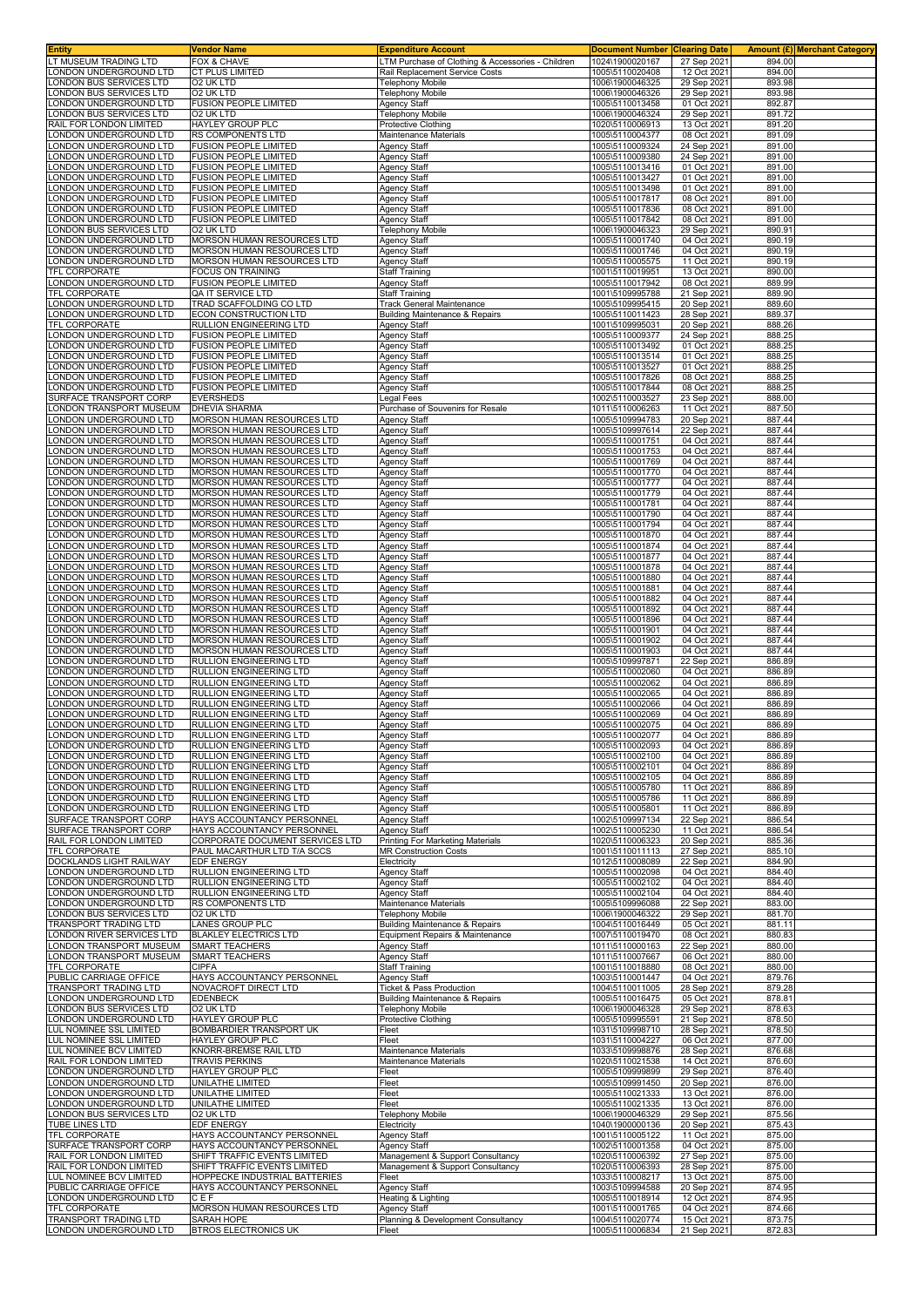| Entity                                                   | <b>Vendor Name</b>                                           | <b>Expenditure Account</b>                                                          | <b>Document Number Clearing Date</b> |                            | <b>Amount (£) Merchant Category</b> |  |
|----------------------------------------------------------|--------------------------------------------------------------|-------------------------------------------------------------------------------------|--------------------------------------|----------------------------|-------------------------------------|--|
| T MUSEUM TRADING LTD<br>ONDON UNDERGROUND LTD            | FOX & CHAVE<br><b>CT PLUS LIMITED</b>                        | LTM Purchase of Clothing & Accessories - Children<br>Rail Replacement Service Costs | 1024\1900020167<br>1005\5110020408   | 27 Sep 2021<br>12 Oct 202  | 894.00<br>894.00                    |  |
| ONDON BUS SERVICES LTD                                   | O2 UK LTD                                                    | <b>Telephony Mobile</b>                                                             | 1006\1900046325                      | 29 Sep 2021                | 893.98                              |  |
| ONDON BUS SERVICES LTD                                   | O2 UK LTD                                                    | Telephony Mobile                                                                    | 1006\1900046326                      | 29 Sep 202                 | 893.98                              |  |
| ONDON UNDERGROUND LTD                                    | <b>FUSION PEOPLE LIMITED</b>                                 | Agency Staff                                                                        | 1005\5110013458                      | 01 Oct 202                 | 892.87                              |  |
| ONDON BUS SERVICES LTD                                   | O2 UK LTD                                                    | Telephony Mobile                                                                    | 1006\1900046324                      | 29 Sep 202                 | 891.72                              |  |
| RAIL FOR LONDON LIMITED                                  | HAYLEY GROUP PLC                                             | Protective Clothing                                                                 | 1020\5110006913                      | 13 Oct 2021                | 891.20                              |  |
| ONDON UNDERGROUND LTD.                                   | <b>RS COMPONENTS LTD</b>                                     | Maintenance Materials                                                               | 1005\5110004377                      | 08 Oct 202                 | 891.09                              |  |
| ONDON UNDERGROUND LTD<br>ONDON UNDERGROUND LTD           | <b>FUSION PEOPLE LIMITED</b><br><b>FUSION PEOPLE LIMITED</b> | Agency Staff<br><b>Agency Staff</b>                                                 | 1005\5110009324<br>1005\5110009380   | 24 Sep 202<br>24 Sep 2021  | 891.00<br>891.00                    |  |
| ONDON UNDERGROUND LTD                                    | FUSION PEOPLE LIMITED                                        | Agency Staff                                                                        | 1005\5110013416                      | 01 Oct 2021                | 891.00                              |  |
| ONDON UNDERGROUND LTD.                                   | <b>FUSION PEOPLE LIMITED</b>                                 | <b>Agency Staff</b>                                                                 | 1005\5110013427                      | 01 Oct 202                 | 891.00                              |  |
| ONDON UNDERGROUND LTD                                    | <b>FUSION PEOPLE LIMITED</b>                                 | Agency Staff                                                                        | 1005\5110013498                      | 01 Oct 2021                | 891.00                              |  |
| ONDON UNDERGROUND LTD                                    | <b>FUSION PEOPLE LIMITED</b>                                 | Agency Staff                                                                        | 1005\5110017817                      | 08 Oct 2021                | 891.00                              |  |
| ONDON UNDERGROUND LTD<br>ONDON UNDERGROUND LTD           | <b>FUSION PEOPLE LIMITED</b><br><b>FUSION PEOPLE LIMITED</b> | <b>Agency Staff</b><br><b>Agency Staff</b>                                          | 1005\5110017836<br>1005\5110017842   | 08 Oct 2021<br>08 Oct 2021 | 891.00<br>891.00                    |  |
| ONDON BUS SERVICES LTD                                   | O2 UK LTD                                                    | <b>Telephony Mobile</b>                                                             | 1006\1900046323                      | 29 Sep 2021                | 890.91                              |  |
| ONDON UNDERGROUND LTD.                                   | MORSON HUMAN RESOURCES LTD                                   | <b>Agency Staff</b>                                                                 | 1005\5110001740                      | 04 Oct 202                 | 890.19                              |  |
| ONDON UNDERGROUND LTD                                    | MORSON HUMAN RESOURCES LTD                                   | Agency Staff                                                                        | 1005\5110001746                      | 04 Oct 202                 | 890.19                              |  |
| ONDON UNDERGROUND LTD.                                   | <b>MORSON HUMAN RESOURCES LTD</b>                            | <b>Agency Staff</b>                                                                 | 1005\5110005575                      | 11 Oct 202                 | 890.19                              |  |
| <b>TFL CORPORATE</b><br>ONDON UNDERGROUND LTD            | FOCUS ON TRAINING<br><b>FUSION PEOPLE LIMITED</b>            | <b>Staff Training</b><br>Agency Staff                                               | 1001\5110019951<br>1005\5110017942   | 13 Oct 2021<br>08 Oct 2021 | 890.00<br>889.99                    |  |
| <b>FEL CORPORATE</b>                                     | QA IT SERVICE LTD                                            | <b>Staff Training</b>                                                               | 1001\5109995788                      | 21 Sep 2021                | 889.90                              |  |
| ONDON UNDERGROUND LTD                                    | TRAD SCAFFOLDING CO LTD                                      | Track General Maintenance                                                           | 1005\5109995415                      | 20 Sep 202                 | 889.60                              |  |
| ONDON UNDERGROUND LTD                                    | ECON CONSTRUCTION LTD                                        | Building Maintenance & Repairs                                                      | 1005\5110011423                      | 28 Sep 2021                | 889.37                              |  |
| <b>TFL CORPORATE</b>                                     | RULLION ENGINEERING LTD                                      | <b>Agency Staff</b>                                                                 | 1001\5109995031                      | 20 Sep 2021                | 888.26<br>888.25                    |  |
| ONDON UNDERGROUND LTD<br>ONDON UNDERGROUND LTD           | <b>FUSION PEOPLE LIMITED</b><br><b>FUSION PEOPLE LIMITED</b> | <b>Agency Staff</b><br><b>Agency Staff</b>                                          | 1005\5110009377<br>1005\5110013492   | 24 Sep 202<br>01 Oct 202   | 888.25                              |  |
| ONDON UNDERGROUND LTD                                    | <b>FUSION PEOPLE LIMITED</b>                                 | Agency Staff                                                                        | 1005\5110013514                      | 01 Oct 2021                | 888.25                              |  |
| ONDON UNDERGROUND LTD                                    | <b>FUSION PEOPLE LIMITED</b>                                 | Agency Staff                                                                        | 1005\5110013527                      | 01 Oct 2021                | 888.25                              |  |
| ONDON UNDERGROUND LTD                                    | <b>FUSION PEOPLE LIMITED</b>                                 | <b>Agency Staff</b>                                                                 | 1005\5110017826                      | 08 Oct 202                 | 888.25                              |  |
| ONDON UNDERGROUND LTD<br>SURFACE TRANSPORT CORP          | <b>FUSION PEOPLE LIMITED</b><br><b>EVERSHEDS</b>             | Agency Staff<br>Legal Fees                                                          | 1005\5110017844<br>1002\5110003527   | 08 Oct 2021<br>23 Sep 2021 | 888.25<br>888.00                    |  |
| ONDON TRANSPORT MUSEUM                                   | <b>DHEVIA SHARMA</b>                                         | Purchase of Souvenirs for Resale                                                    | 1011\5110006263                      | 11 Oct 2021                | 887.50                              |  |
| ONDON UNDERGROUND LTD.                                   | MORSON HUMAN RESOURCES LTD                                   | Agency Staff                                                                        | 1005\5109994783                      | 20 Sep 202                 | 887.44                              |  |
| ONDON UNDERGROUND LTD                                    | MORSON HUMAN RESOURCES LTD                                   | Agency Staff                                                                        | 1005\5109997614                      | 22 Sep 2021                | 887.44                              |  |
| ONDON UNDERGROUND LTD                                    | MORSON HUMAN RESOURCES LTD                                   | <b>Agency Staff</b>                                                                 | 1005\5110001751                      | 04 Oct 2021                | 887.44                              |  |
| ONDON UNDERGROUND LTD<br>ONDON UNDERGROUND LTD           | MORSON HUMAN RESOURCES LTD<br>MORSON HUMAN RESOURCES LTD     | <b>Agency Staff</b><br><b>Agency Staff</b>                                          | 1005\5110001753<br>1005\5110001769   | 04 Oct 2021<br>04 Oct 2021 | 887.44<br>887.44                    |  |
| ONDON UNDERGROUND LTD                                    | MORSON HUMAN RESOURCES LTD                                   | Agency Staff                                                                        | 1005\5110001770                      | 04 Oct 2021                | 887.44                              |  |
| ONDON UNDERGROUND LTD.                                   | MORSON HUMAN RESOURCES LTD                                   | Agency Staff                                                                        | 1005\5110001777                      | 04 Oct 2021                | 887.44                              |  |
| ONDON UNDERGROUND LTD                                    | MORSON HUMAN RESOURCES LTD                                   | <b>Agency Staff</b>                                                                 | 1005\5110001779                      | 04 Oct 2021                | 887.44                              |  |
| ONDON UNDERGROUND LTD.<br>ONDON UNDERGROUND LTD          | MORSON HUMAN RESOURCES LTD<br>MORSON HUMAN RESOURCES LTD     | <b>Agency Staff</b><br><b>Agency Staff</b>                                          | 1005\5110001781<br>1005\5110001790   | 04 Oct 202<br>04 Oct 2021  | 887.44<br>887.44                    |  |
| ONDON UNDERGROUND LTD.                                   | MORSON HUMAN RESOURCES LTD                                   | <b>Agency Staff</b>                                                                 | 1005\5110001794                      | 04 Oct 2021                | 887.44                              |  |
| ONDON UNDERGROUND LTD.                                   | MORSON HUMAN RESOURCES LTD                                   | <b>Agency Staff</b>                                                                 | 1005\5110001870                      | 04 Oct 2021                | 887.44                              |  |
| ONDON UNDERGROUND LTD.                                   | MORSON HUMAN RESOURCES LTD                                   | <b>Agency Staff</b>                                                                 | 1005\5110001874                      | 04 Oct 202                 | 887.44                              |  |
| ONDON UNDERGROUND LTD                                    | MORSON HUMAN RESOURCES LTD                                   | Agency Staff                                                                        | 1005\5110001877                      | 04 Oct 202                 | 887.44                              |  |
| ONDON UNDERGROUND LTD<br>ONDON UNDERGROUND LTD           | MORSON HUMAN RESOURCES LTD<br>MORSON HUMAN RESOURCES LTD     | Agency Staff<br><b>Agency Staff</b>                                                 | 1005\5110001878<br>1005\5110001880   | 04 Oct 2021<br>04 Oct 202  | 887.44<br>887.44                    |  |
| ONDON UNDERGROUND LTD                                    | MORSON HUMAN RESOURCES LTD                                   | <b>Agency Staff</b>                                                                 | 1005\5110001881                      | 04 Oct 202                 | 887.44                              |  |
| ONDON UNDERGROUND LTD                                    | MORSON HUMAN RESOURCES LTD                                   | Agency Staff                                                                        | 1005\5110001882                      | 04 Oct 2021                | 887.44                              |  |
| ONDON UNDERGROUND LTD                                    | MORSON HUMAN RESOURCES LTD                                   | Agency Staff                                                                        | 1005\5110001892                      | 04 Oct 2021                | 887.44                              |  |
| ONDON UNDERGROUND LTD<br>ONDON UNDERGROUND LTD           | MORSON HUMAN RESOURCES LTD<br>MORSON HUMAN RESOURCES LTD     | <b>Agency Staff</b>                                                                 | 1005\5110001896                      | 04 Oct 2021<br>04 Oct 2021 | 887.44<br>887.44                    |  |
| ONDON UNDERGROUND LTD                                    | MORSON HUMAN RESOURCES LTD                                   | Agency Staff<br><b>Agency Staff</b>                                                 | 1005\5110001901<br>1005\5110001902   | 04 Oct 2021                | 887.44                              |  |
| ONDON UNDERGROUND LTD                                    | MORSON HUMAN RESOURCES LTD                                   | <b>Agency Staff</b>                                                                 | 1005\5110001903                      | 04 Oct 2021                | 887.44                              |  |
| ONDON UNDERGROUND LTD.                                   | RULLION ENGINEERING LTD                                      | Agency Staff                                                                        | 1005\5109997871                      | 22 Sep 202                 | 886.89                              |  |
| ONDON UNDERGROUND LTD                                    | <b>RULLION ENGINEERING LTD</b>                               | Agency Staff                                                                        | 1005\5110002060                      | 04 Oct 2021                | 886.89                              |  |
| ONDON UNDERGROUND LTD<br>ONDON UNDERGROUND LTD           | RULLION ENGINEERING LTD<br>RULLION ENGINEERING LTD           | <b>Agency Staff</b><br><b>Agency Staff</b>                                          | 1005\5110002062<br>1005\5110002065   | 04 Oct 2021<br>04 Oct 2021 | 886.89<br>886.89                    |  |
| ONDON UNDERGROUND LTD                                    | <b>RULLION ENGINEERING LTD</b>                               | <b>Agency Staff</b>                                                                 | 1005\5110002066                      | 04 Oct 2021                | 886.89                              |  |
| ONDON UNDERGROUND LTD                                    | RULLION ENGINEERING LTD                                      | Agency Staff                                                                        | 1005\5110002069                      | 04 Oct 2021                | 886.89                              |  |
| ONDON UNDERGROUND LTD.                                   | RULLION ENGINEERING LTD                                      | <b>Agency Staff</b>                                                                 | 1005\5110002075                      | 04 Oct 2021                | 886.89                              |  |
| ONDON UNDERGROUND LTD                                    | <b>RULLION ENGINEERING LTD</b>                               | <b>Agency Staff</b>                                                                 | 1005\5110002077                      | 04 Oct 2021                | 886.89                              |  |
| LONDON UNDERGROUND LTD<br>ONDON UNDERGROUND LTD          | <b>RULLION ENGINEERING LTD</b><br>RULLION ENGINEERING LTD    | Agency Staff<br><b>Agency Staff</b>                                                 | 1005\5110002093<br>1005\5110002100   | 04 Oct 2021<br>04 Oct 2021 | 886.89<br>886.89                    |  |
| ONDON UNDERGROUND LTD                                    | <b>RULLION ENGINEERING LTD</b>                               | <b>Agency Staff</b>                                                                 | 1005\5110002101                      | 04 Oct 2021                | 886.89                              |  |
| ONDON UNDERGROUND LTD                                    | RULLION ENGINEERING LTD                                      | <b>Agency Staff</b>                                                                 | 1005\5110002105                      | 04 Oct 2021                | 886.89                              |  |
| ONDON UNDERGROUND LTD                                    | <b>RULLION ENGINEERING LTD</b>                               | <b>Agency Staff</b>                                                                 | 1005\5110005780                      | 11 Oct 2021                | 886.89                              |  |
| ONDON UNDERGROUND LTD                                    | RULLION ENGINEERING LTD                                      | Agency Staff                                                                        | 1005\5110005786                      | 11 Oct 2021                | 886.89                              |  |
| ONDON UNDERGROUND LTD.<br>SURFACE TRANSPORT CORP         | <b>RULLION ENGINEERING LTD</b><br>HAYS ACCOUNTANCY PERSONNEL | Agency Staff<br>Agency Staff                                                        | 1005\5110005801<br>1002\5109997134   | 11 Oct 2021<br>22 Sep 202  | 886.89<br>886.54                    |  |
| SURFACE TRANSPORT CORP                                   | <b>HAYS ACCOUNTANCY PERSONNEL</b>                            | Agency Staff                                                                        | 1002\5110005230                      | 11 Oct 202                 | 886.54                              |  |
| RAIL FOR LONDON LIMITED                                  | CORPORATE DOCUMENT SERVICES LTD                              | Printing For Marketing Materials                                                    | 1020\5110006323                      | 20 Sep 2021                | 885.36                              |  |
| <b>FEL CORPORATE</b>                                     | PAUL MACARTHUR LTD T/A SCCS                                  | <b>MR Construction Costs</b>                                                        | 1001\5110011113                      | 27 Sep 2021                | 885.10                              |  |
| DOCKLANDS LIGHT RAILWAY<br>ONDON UNDERGROUND LTD         | <b>EDF ENERGY</b><br>RULLION ENGINEERING LTD                 | Electricity<br>Agency Staff                                                         | 1012\5110008089<br>1005\5110002098   | 22 Sep 2021<br>04 Oct 2021 | 884.90<br>884.40                    |  |
| ONDON UNDERGROUND LTD                                    | RULLION ENGINEERING LTD                                      | Agency Staff                                                                        | 1005\5110002102                      | 04 Oct 2021                | 884.40                              |  |
| ONDON UNDERGROUND LTD                                    | <b>RULLION ENGINEERING LTD</b>                               | Agency Staff                                                                        | 1005\5110002104                      | 04 Oct 2021                | 884.40                              |  |
| ONDON UNDERGROUND LTD                                    | RS COMPONENTS LTD                                            | Maintenance Materials                                                               | 1005\5109996088                      | 22 Sep 2021                | 883.00                              |  |
| ONDON BUS SERVICES LTD                                   | O2 UK LTD                                                    | <b>Telephony Mobile</b>                                                             | 1006\1900046322                      | 29 Sep 2021                | 881.70                              |  |
| <b>FRANSPORT TRADING LTD</b><br>ONDON RIVER SERVICES LTD | <b>LANES GROUP PLC</b><br><b>BLAKLEY ELECTRICS LTD</b>       | <b>Building Maintenance &amp; Repairs</b><br>Equipment Repairs & Maintenance        | 1004\5110016449<br>1007\5110019470   | 05 Oct 2021<br>08 Oct 2021 | 881.11<br>880.83                    |  |
| ONDON TRANSPORT MUSEUM                                   | <b>SMART TEACHERS</b>                                        | Agency Staff                                                                        | 1011\5110000163                      | 22 Sep 2021                | 880.00                              |  |
| ONDON TRANSPORT MUSEUM                                   | <b>SMART TEACHERS</b>                                        | Agency Staff                                                                        | 1011\5110007667                      | 06 Oct 2021                | 880.00                              |  |
| <b>TFL CORPORATE</b>                                     | <b>CIPFA</b>                                                 | <b>Staff Training</b>                                                               | 1001\5110018880                      | 08 Oct 2021                | 880.00                              |  |
| PUBLIC CARRIAGE OFFICE<br><b>TRANSPORT TRADING LTD</b>   | HAYS ACCOUNTANCY PERSONNEL<br>NOVACROFT DIRECT LTD           | Agency Staff<br>Ticket & Pass Production                                            | 1003\5110001447<br>1004\5110011005   | 04 Oct 2021<br>28 Sep 2021 | 879.76<br>879.28                    |  |
| ONDON UNDERGROUND LTD                                    | <b>EDENBECK</b>                                              | Building Maintenance & Repairs                                                      | 1005\5110016475                      | 05 Oct 2021                | 878.81                              |  |
| ONDON BUS SERVICES LTD                                   | O2 UK LTD                                                    | Telephony Mobile                                                                    | 1006\1900046328                      | 29 Sep 2021                | 878.63                              |  |
| ONDON UNDERGROUND LTD                                    | <b>HAYLEY GROUP PLC</b>                                      | Protective Clothing                                                                 | 1005\5109995591                      | 21 Sep 2021                | 878.50                              |  |
| LUL NOMINEE SSL LIMITED                                  | BOMBARDIER TRANSPORT UK                                      | Fleet<br>Fleet                                                                      | 1031\5109998710                      | 28 Sep 2021                | 878.50<br>877.00                    |  |
| LUL NOMINEE SSL LIMITED<br><b>UL NOMINEE BCV LIMITED</b> | HAYLEY GROUP PLC<br>KNORR-BREMSE RAIL LTD                    | Maintenance Materials                                                               | 1031\5110004227<br>1033\5109998876   | 06 Oct 2021<br>28 Sep 2021 | 876.68                              |  |
| RAIL FOR LONDON LIMITED                                  | <b>TRAVIS PERKINS</b>                                        | Maintenance Materials                                                               | 1020\5110021538                      | 14 Oct 2021                | 876.60                              |  |
| ONDON UNDERGROUND LTD                                    | <b>HAYLEY GROUP PLC</b>                                      | Fleet                                                                               | 1005\5109999899                      | 29 Sep 2021                | 876.40                              |  |
| ONDON UNDERGROUND LTD                                    | UNILATHE LIMITED                                             | Fleet                                                                               | 1005\5109991450                      | 20 Sep 2021                | 876.00                              |  |
| ONDON UNDERGROUND LTD<br>ONDON UNDERGROUND LTD           | UNILATHE LIMITED<br>UNILATHE LIMITED                         | Fleet<br>Fleet                                                                      | 1005\5110021333<br>1005\5110021335   | 13 Oct 2021<br>13 Oct 2021 | 876.00<br>876.00                    |  |
| ONDON BUS SERVICES LTD                                   | O2 UK LTD                                                    | <b>Telephony Mobile</b>                                                             | 1006\1900046329                      | 29 Sep 2021                | 875.56                              |  |
| <b>TUBE LINES LTD</b>                                    | <b>EDF ENERGY</b>                                            | Electricity                                                                         | 1040\1900000136                      | 20 Sep 2021                | 875.43                              |  |
| <b>TFL CORPORATE</b>                                     | HAYS ACCOUNTANCY PERSONNEL                                   | <b>Agency Staff</b>                                                                 | 1001\5110005122                      | 11 Oct 2021                | 875.00                              |  |
| SURFACE TRANSPORT CORP<br>RAIL FOR LONDON LIMITED        | HAYS ACCOUNTANCY PERSONNEL<br>SHIFT TRAFFIC EVENTS LIMITED   | <b>Agency Staff</b><br>Management & Support Consultancy                             | 1002\5110001358<br>1020\5110006392   | 04 Oct 2021<br>27 Sep 2021 | 875.00<br>875.00                    |  |
| RAIL FOR LONDON LIMITED                                  | SHIFT TRAFFIC EVENTS LIMITED                                 | Management & Support Consultancy                                                    | 1020\5110006393                      | 28 Sep 2021                | 875.00                              |  |
| <b>LUL NOMINEE BCV LIMITED</b>                           | HOPPECKE INDUSTRIAL BATTERIES                                | Fleet                                                                               | 1033\5110008217                      | 13 Oct 2021                | 875.00                              |  |
| PUBLIC CARRIAGE OFFICE                                   | HAYS ACCOUNTANCY PERSONNEL                                   | <b>Agency Staff</b>                                                                 | 1003\5109994588                      | 20 Sep 2021                | 874.95                              |  |
| ONDON UNDERGROUND LTD                                    | CEF                                                          | Heating & Lighting                                                                  | 1005\5110018914                      | 12 Oct 2021                | 874.95                              |  |
| <b>TFL CORPORATE</b><br><b>FRANSPORT TRADING LTD</b>     | MORSON HUMAN RESOURCES LTD<br><b>SARAH HOPE</b>              | Agency Staff<br>Planning & Development Consultancy                                  | 1001\5110001765<br>1004\5110020774   | 04 Oct 2021<br>15 Oct 2021 | 874.66<br>873.75                    |  |
| LONDON UNDERGROUND LTD                                   | <b>BTROS ELECTRONICS UK</b>                                  | Fleet                                                                               | 1005\5110006834                      | 21 Sep 2021                | 872.83                              |  |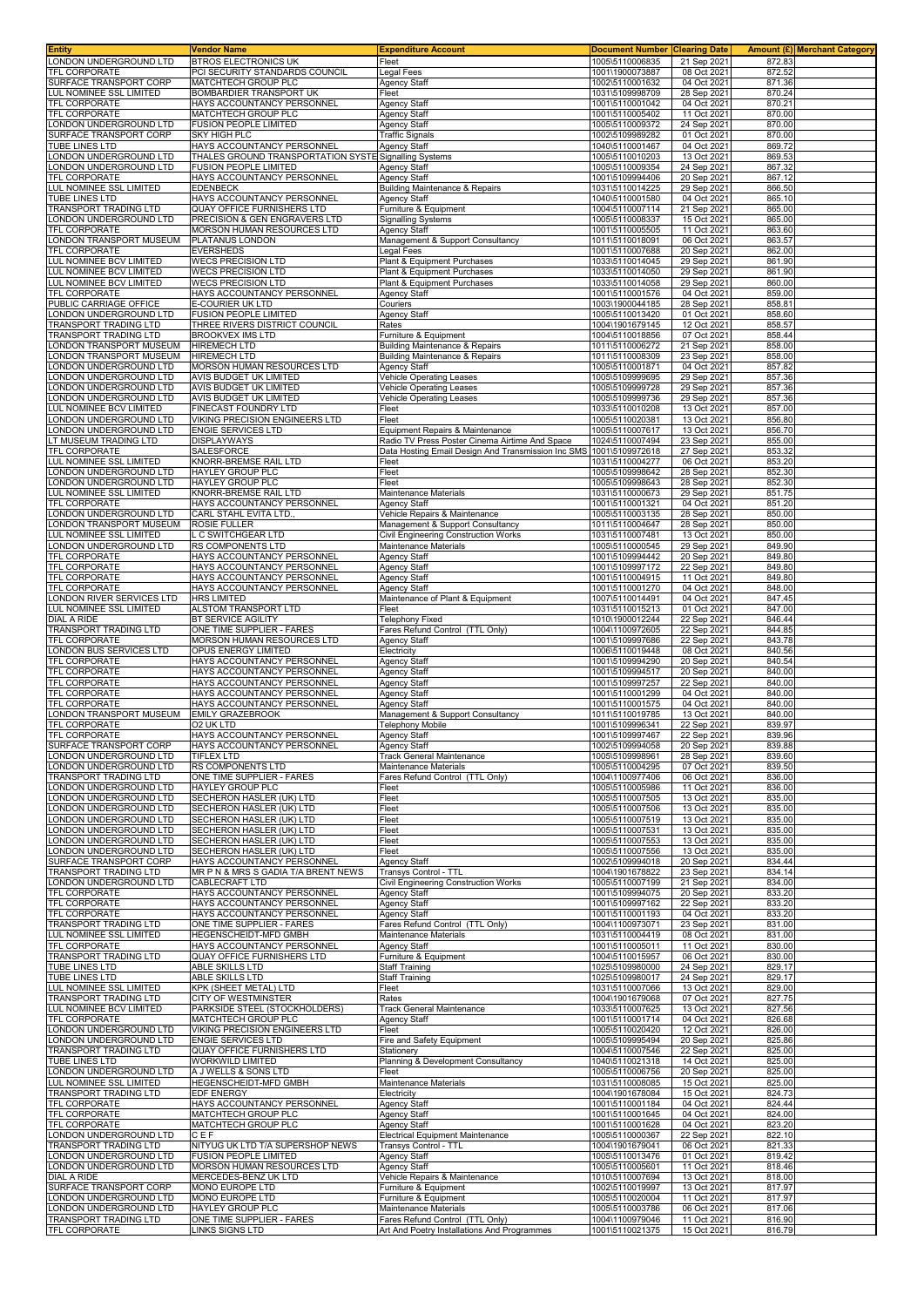| <b>Entity</b>                                       | Vendor Name                                                                    | <b>Expenditure Account</b>                                         | Document Number  Clearing Date     |                            |                  | <b>Amount (£) Merchant Category</b> |
|-----------------------------------------------------|--------------------------------------------------------------------------------|--------------------------------------------------------------------|------------------------------------|----------------------------|------------------|-------------------------------------|
| LONDON UNDERGROUND LTD<br>TFL CORPORATE             | <b>BTROS ELECTRONICS UK</b><br>PCI SECURITY STANDARDS COUNCIL                  | Fleet<br>Legal Fees                                                | 1005\5110006835<br>1001\1900073887 | 21 Sep 2021<br>08 Oct 2021 | 872.83<br>872.52 |                                     |
| SURFACE TRANSPORT CORP                              | MATCHTECH GROUP PLC                                                            | Agency Staff                                                       | 1002\5110001632                    | 04 Oct 2021                | 871.36           |                                     |
| LUL NOMINEE SSL LIMITED                             | BOMBARDIER TRANSPORT UK                                                        | Fleet                                                              | 1031\5109998709                    | 28 Sep 2021                | 870.24           |                                     |
| TFL CORPORATE                                       | HAYS ACCOUNTANCY PERSONNEL                                                     | <b>Agency Staff</b>                                                | 1001\5110001042                    | 04 Oct 2021                | 870.21           |                                     |
| TFL CORPORATE<br>LONDON UNDERGROUND LTD             | MATCHTECH GROUP PLC<br><b>FUSION PEOPLE LIMITED</b>                            | Agency Staff<br><b>Agency Staff</b>                                | 1001\5110005402<br>1005\5110009372 | 11 Oct 2021<br>24 Sep 2021 | 870.00<br>870.00 |                                     |
| SURFACE TRANSPORT CORP                              | SKY HIGH PLC                                                                   | <b>Traffic Signals</b>                                             | 1002\5109989282                    | 01 Oct 202                 | 870.00           |                                     |
| <b>TUBE LINES LTD</b>                               | HAYS ACCOUNTANCY PERSONNEL                                                     | <b>Agency Staff</b>                                                | 1040\5110001467                    | 04 Oct 2021                | 869.72           |                                     |
| ONDON UNDERGROUND LTD<br>ONDON UNDERGROUND LTD      | THALES GROUND TRANSPORTATION SYSTE Signalling Systems<br>FUSION PEOPLE LIMITED | Agency Staff                                                       | 1005\5110010203<br>1005\5110009354 | 13 Oct 2021<br>24 Sep 2021 | 869.53<br>867.32 |                                     |
| TFL CORPORATE                                       | HAYS ACCOUNTANCY PERSONNEL                                                     | Agency Staff                                                       | 1001\5109994406                    | 20 Sep 202                 | 867.12           |                                     |
| LUL NOMINEE SSL LIMITED                             | EDENBECK                                                                       | <b>Building Maintenance &amp; Repairs</b>                          | 1031\5110014225                    | 29 Sep 2021                | 866.50           |                                     |
| TUBE LINES LTD                                      | HAYS ACCOUNTANCY PERSONNEL                                                     | <b>Agency Staff</b>                                                | 1040\5110001580                    | 04 Oct 2021                | 865.10           |                                     |
| TRANSPORT TRADING LTD<br>ONDON UNDERGROUND LTD      | QUAY OFFICE FURNISHERS LTD<br>PRECISION & GEN ENGRAVERS LTD                    | Furniture & Equipment<br><b>Signalling Systems</b>                 | 1004\5110007114<br>1005\5110008337 | 21 Sep 2021<br>15 Oct 2021 | 865.00<br>865.00 |                                     |
| TFL CORPORATE                                       | MORSON HUMAN RESOURCES LTD                                                     | Agency Staff                                                       | 1001\5110005505                    | 11 Oct 2021                | 863.60           |                                     |
| ONDON TRANSPORT MUSEUM                              | PLATANUS LONDON                                                                | Management & Support Consultancy                                   | 1011\5110018091                    | 06 Oct 2021                | 863.57           |                                     |
| TFL CORPORATE<br>LUL NOMINEE BCV LIMITED            | <b>EVERSHEDS</b><br><b>WECS PRECISION LTD</b>                                  | Legal Fees<br>Plant & Equipment Purchases                          | 1001\5110007688<br>1033\5110014045 | 20 Sep 2021<br>29 Sep 202  | 862.00<br>861.90 |                                     |
| LUL NOMINEE BCV LIMITED                             | <b>WECS PRECISION LTD</b>                                                      | Plant & Equipment Purchases                                        | 1033\5110014050                    | 29 Sep 2021                | 861.90           |                                     |
| LUL NOMINEE BCV LIMITED                             | <b>WECS PRECISION LTD</b>                                                      | Plant & Equipment Purchases                                        | 1033\5110014058                    | 29 Sep 2021                | 860.00           |                                     |
| TFL CORPORATE<br>PUBLIC CARRIAGE OFFICE             | HAYS ACCOUNTANCY PERSONNEL<br>E-COURIER UK LTD                                 | Agency Staff<br>Couriers                                           | 1001\5110001576<br>1003\1900044185 | 04 Oct 2021<br>28 Sep 2021 | 859.00<br>858.81 |                                     |
| ONDON UNDERGROUND LTD                               | FUSION PEOPLE LIMITED                                                          | <b>Agency Staff</b>                                                | 1005\5110013420                    | 01 Oct 2021                | 858.60           |                                     |
| TRANSPORT TRADING LTD                               | THREE RIVERS DISTRICT COUNCIL                                                  | Rates                                                              | 1004\1901679145                    | 12 Oct 2021                | 858.57           |                                     |
| TRANSPORT TRADING LTD<br>LONDON TRANSPORT MUSEUM    | <b>BROOKVEX IMS LTD</b><br><b>HIREMECH LTD</b>                                 | Furniture & Equipment<br><b>Building Maintenance &amp; Repairs</b> | 1004\5110018856<br>1011\5110006272 | 07 Oct 2021<br>21 Sep 2021 | 858.44<br>858.00 |                                     |
| ONDON TRANSPORT MUSEUM                              | <b>HIREMECH LTD</b>                                                            | <b>Building Maintenance &amp; Repairs</b>                          | 1011\5110008309                    | 23 Sep 2021                | 858.00           |                                     |
| ONDON UNDERGROUND LTD                               | MORSON HUMAN RESOURCES LTD                                                     | Agency Staff                                                       | 1005\5110001871                    | 04 Oct 2021                | 857.82           |                                     |
| ONDON UNDERGROUND LTD<br>ONDON UNDERGROUND LTD      | AVIS BUDGET UK LIMITED<br>AVIS BUDGET UK LIMITED                               | Vehicle Operating Leases<br><b>Vehicle Operating Leases</b>        | 1005\5109999695<br>1005\5109999728 | 29 Sep 2021<br>29 Sep 2021 | 857.36<br>857.36 |                                     |
| ONDON UNDERGROUND LTD                               | AVIS BUDGET UK LIMITED                                                         | <b>Vehicle Operating Leases</b>                                    | 1005\5109999736                    | 29 Sep 2021                | 857.36           |                                     |
| LUL NOMINEE BCV LIMITED                             | FINECAST FOUNDRY LTD                                                           | Fleet                                                              | 1033\5110010208                    | 13 Oct 2021                | 857.00           |                                     |
| ONDON UNDERGROUND LTD<br>LONDON UNDERGROUND LTD     | VIKING PRECISION ENGINEERS LTD<br>ENGIE SERVICES LTD                           | Fleet<br>Equipment Repairs & Maintenance                           | 1005\5110020381<br>1005\5110007617 | 13 Oct 2021<br>13 Oct 2021 | 856.80<br>856.70 |                                     |
| T MUSEUM TRADING LTD                                | DISPLAYWAYS                                                                    | Radio TV Press Poster Cinema Airtime And Space                     | 1024\5110007494                    | 23 Sep 2021                | 855.00           |                                     |
| <b>TFL CORPORATE</b>                                | <b>SALESFORCE</b>                                                              | Data Hosting Email Design And Transmission Inc SMS                 | 1001\5109972618                    | 27 Sep 2021                | 853.32           |                                     |
| LUL NOMINEE SSL LIMITED                             | KNORR-BREMSE RAIL LTD                                                          | Fleet                                                              | 1031\5110004277                    | 06 Oct 2021                | 853.20           |                                     |
| ONDON UNDERGROUND LTD<br>ONDON UNDERGROUND LTD      | HAYLEY GROUP PLC<br>HAYLEY GROUP PLC                                           | Fleet<br>Fleet                                                     | 1005\5109998642<br>1005\5109998643 | 28 Sep 2021<br>28 Sep 2021 | 852.30<br>852.30 |                                     |
| LUL NOMINEE SSL LIMITED                             | KNORR-BREMSE RAIL LTD                                                          | Maintenance Materials                                              | 1031\5110000673                    | 29 Sep 2021                | 851.75           |                                     |
| TFL CORPORATE                                       | HAYS ACCOUNTANCY PERSONNEL                                                     | Agency Staff                                                       | 1001\5110001321                    | 04 Oct 202                 | 851.20           |                                     |
| LONDON UNDERGROUND LTD<br>ONDON TRANSPORT MUSEUM    | CARL STAHL EVITA LTD.<br>ROSIE FULLER                                          | Vehicle Repairs & Maintenance<br>Management & Support Consultancy  | 1005\5110003135<br>1011\5110004647 | 28 Sep 2021<br>28 Sep 2021 | 850.00<br>850.00 |                                     |
| LUL NOMINEE SSL LIMITED                             | L C SWITCHGEAR LTD                                                             | Civil Engineering Construction Works                               | 1031\5110007481                    | 13 Oct 2021                | 850.00           |                                     |
| LONDON UNDERGROUND LTD                              | RS COMPONENTS LTD                                                              | Maintenance Materials                                              | 1005\5110000545                    | 29 Sep 2021                | 849.90           |                                     |
| <b>TFL CORPORATE</b><br>TFL CORPORATE               | HAYS ACCOUNTANCY PERSONNEL<br>HAYS ACCOUNTANCY PERSONNEL                       | <b>Agency Staff</b><br>Agency Staff                                | 1001\5109994442<br>1001\5109997172 | 20 Sep 2021<br>22 Sep 2021 | 849.80<br>849.80 |                                     |
| TFL CORPORATE                                       | HAYS ACCOUNTANCY PERSONNEL                                                     | Agency Staff                                                       | 1001\5110004915                    | 11 Oct 2021                | 849.80           |                                     |
| TFL CORPORATE                                       | HAYS ACCOUNTANCY PERSONNEL                                                     | <b>Agency Staff</b>                                                | 1001\5110001270                    | 04 Oct 202                 | 848.00           |                                     |
| ONDON RIVER SERVICES LTD<br>LUL NOMINEE SSL LIMITED | <b>HRS LIMITED</b><br>ALSTOM TRANSPORT LTD                                     | Maintenance of Plant & Equipment<br>Fleet                          | 1007\5110014491<br>1031\5110015213 | 04 Oct 2021<br>01 Oct 2021 | 847.45<br>847.00 |                                     |
| DIAL A RIDE                                         | BT SERVICE AGILITY                                                             | <b>Telephony Fixed</b>                                             | 1010\1900012244                    | 22 Sep 2021                | 846.44           |                                     |
| TRANSPORT TRADING LTD                               | ONE TIME SUPPLIER - FARES                                                      | Fares Refund Control (TTL Only)                                    | 1004\1100972605                    | 22 Sep 2021                | 844.85           |                                     |
| TFL CORPORATE<br>ONDON BUS SERVICES LTD             | MORSON HUMAN RESOURCES LTD<br>OPUS ENERGY LIMITED                              | Agency Staff<br>Electricity                                        | 1001\5109997686<br>1006\5110019448 | 22 Sep 2021<br>08 Oct 2021 | 843.78<br>840.56 |                                     |
| TFL CORPORATE                                       | HAYS ACCOUNTANCY PERSONNEL                                                     | Agency Staff                                                       | 1001\5109994290                    | 20 Sep 202                 | 840.54           |                                     |
| TFL CORPORATE                                       | HAYS ACCOUNTANCY PERSONNEL                                                     | Agency Staff                                                       | 1001\5109994517                    | 20 Sep 2021                | 840.00           |                                     |
| TFL CORPORATE<br>TFL CORPORATE                      | HAYS ACCOUNTANCY PERSONNEL<br>HAYS ACCOUNTANCY PERSONNEL                       | Agency Staff<br><b>Agency Staff</b>                                | 1001\5109997257<br>1001\5110001299 | 22 Sep 2021<br>04 Oct 2021 | 840.00<br>840.00 |                                     |
| TFL CORPORATE                                       | HAYS ACCOUNTANCY PERSONNEL                                                     | <b>Agency Staff</b>                                                | 1001\5110001575                    | 04 Oct 2021                | 840.00           |                                     |
| ONDON TRANSPORT MUSEUM                              | <b>EMILY GRAZEBROOK</b>                                                        | Management & Support Consultancy                                   | 1011\5110019785                    | 13 Oct 2021                | 840.00           |                                     |
| TFL CORPORATE<br>TFL CORPORATE                      | 02 UK LTD<br>HAYS ACCOUNTANCY PERSONNEL                                        | <b>Telephony Mobile</b><br><b>Agency Staff</b>                     | 1001\5109996341<br>1001\5109997467 | 22 Sep 2021<br>22 Sep 2021 | 839.97<br>839.96 |                                     |
| SURFACE TRANSPORT CORP                              | HAYS ACCOUNTANCY PERSONNEL                                                     | Agency Staff                                                       | 1002\5109994058                    | 20 Sep 2021                | 839.88           |                                     |
| LONDON UNDERGROUND LTD                              | <b>TIFLEX LTD</b>                                                              | <b>Track General Maintenance</b>                                   | 1005\5109998961                    | 28 Sep 2021                | 839.60           |                                     |
| LONDON UNDERGROUND LTD<br>TRANSPORT TRADING LTD     | RS COMPONENTS LTD<br>ONE TIME SUPPLIER - FARES                                 | Maintenance Materials<br>Fares Refund Control (TTL Only)           | 1005\5110004295<br>1004\1100977406 | 07 Oct 2021<br>06 Oct 2021 | 839.50<br>836.00 |                                     |
| LONDON UNDERGROUND LTD                              | <b>HAYLEY GROUP PLC</b>                                                        | Fleet                                                              | 1005\5110005986                    | 11 Oct 2021                | 836.00           |                                     |
| ONDON UNDERGROUND LTD                               | SECHERON HASLER (UK) LTD                                                       | Fleet                                                              | 1005\5110007505                    | 13 Oct 2021                | 835.00           |                                     |
| LONDON UNDERGROUND LTD<br>LONDON UNDERGROUND LTD    | SECHERON HASLER (UK) LTD<br>SECHERON HASLER (UK) LTD                           | Fleet<br>Fleet                                                     | 1005\5110007506<br>1005\5110007519 | 13 Oct 2021<br>13 Oct 2021 | 835.00<br>835.00 |                                     |
| LONDON UNDERGROUND LTD                              | SECHERON HASLER (UK) LTD                                                       | Fleet                                                              | 1005\5110007531                    | 13 Oct 2021                | 835.00           |                                     |
| ONDON UNDERGROUND LTD                               | SECHERON HASLER (UK) LTD                                                       | Fleet                                                              | 1005\5110007553                    | 13 Oct 2021                | 835.00           |                                     |
| LONDON UNDERGROUND LTD<br>SURFACE TRANSPORT CORP    | SECHERON HASLER (UK) LTD<br>HAYS ACCOUNTANCY PERSONNEL                         | Fleet<br>Agency Staff                                              | 1005\5110007556<br>1002\5109994018 | 13 Oct 2021<br>20 Sep 2021 | 835.00<br>834.44 |                                     |
| TRANSPORT TRADING LTD                               | MR P N & MRS S GADIA T/A BRENT NEWS                                            | Transys Control - TTL                                              | 1004\1901678822                    | 23 Sep 2021                | 834.14           |                                     |
| ONDON UNDERGROUND LTD                               | CABLECRAFT LTD                                                                 | Civil Engineering Construction Works                               | 1005\5110007199                    | 21 Sep 2021                | 834.00           |                                     |
| TFL CORPORATE<br>TFL CORPORATE                      | HAYS ACCOUNTANCY PERSONNEL<br>HAYS ACCOUNTANCY PERSONNEL                       | Agency Staff<br>Agency Staff                                       | 1001\5109994075<br>1001\5109997162 | 20 Sep 2021<br>22 Sep 2021 | 833.20<br>833.20 |                                     |
| TFL CORPORATE                                       | HAYS ACCOUNTANCY PERSONNEL                                                     | <b>Agency Staff</b>                                                | 1001\5110001193                    | 04 Oct 2021                | 833.20           |                                     |
| TRANSPORT TRADING LTD                               | ONE TIME SUPPLIER - FARES                                                      | Fares Refund Control (TTL Only)                                    | 1004\1100973071                    | 23 Sep 2021                | 831.00           |                                     |
| LUL NOMINEE SSL LIMITED<br>TFL CORPORATE            | HEGENSCHEIDT-MFD GMBH<br>HAYS ACCOUNTANCY PERSONNEL                            | Maintenance Materials<br><b>Agency Staff</b>                       | 1031\5110004419<br>1001\5110005011 | 08 Oct 2021<br>11 Oct 2021 | 831.00<br>830.00 |                                     |
| TRANSPORT TRADING LTD                               | QUAY OFFICE FURNISHERS LTD                                                     | Furniture & Equipment                                              | 1004\5110015957                    | 06 Oct 2021                | 830.00           |                                     |
| TUBE LINES LTD                                      | ABLE SKILLS LTD                                                                | Staff Training                                                     | 1025\5109980000                    | 24 Sep 2021                | 829.17           |                                     |
| TUBE LINES LTD<br>LUL NOMINEE SSL LIMITED           | ABLE SKILLS LTD<br><b>KPK (SHEET METAL) LTD</b>                                | <b>Staff Training</b><br>Fleet                                     | 1025\5109980017<br>1031\5110007066 | 24 Sep 2021<br>13 Oct 2021 | 829.17<br>829.00 |                                     |
| TRANSPORT TRADING LTD                               | CITY OF WESTMINSTER                                                            | Rates                                                              | 1004\1901679068                    | 07 Oct 2021                | 827.75           |                                     |
| LUL NOMINEE BCV LIMITED                             | PARKSIDE STEEL (STOCKHOLDERS)                                                  | <b>Track General Maintenance</b>                                   | 1033\5110007625                    | 13 Oct 2021                | 827.56           |                                     |
| TFL CORPORATE<br>LONDON UNDERGROUND LTD             | MATCHTECH GROUP PLC<br>VIKING PRECISION ENGINEERS LTD                          | Agency Staff<br>Fleet                                              | 1001\5110001714<br>1005\5110020420 | 04 Oct 2021<br>12 Oct 2021 | 826.68<br>826.00 |                                     |
| ONDON UNDERGROUND LTD                               | <b>ENGIE SERVICES LTD</b>                                                      | Fire and Safety Equipment                                          | 1005\5109995494                    | 20 Sep 2021                | 825.86           |                                     |
| TRANSPORT TRADING LTD                               | QUAY OFFICE FURNISHERS LTD                                                     | Stationery                                                         | 1004\5110007546                    | 22 Sep 2021                | 825.00           |                                     |
| TUBE LINES LTD<br>LONDON UNDERGROUND LTD            | WORKWILD LIMITED<br>A J WELLS & SONS LTD                                       | Planning & Development Consultancy<br>Fleet                        | 1040\5110021318<br>1005\5110006756 | 14 Oct 2021<br>20 Sep 2021 | 825.00<br>825.00 |                                     |
| LUL NOMINEE SSL LIMITED                             | HEGENSCHEIDT-MFD GMBH                                                          | Maintenance Materials                                              | 1031\5110008085                    | 15 Oct 2021                | 825.00           |                                     |
| TRANSPORT TRADING LTD                               | <b>EDF ENERGY</b>                                                              | Electricity                                                        | 1004\1901678084                    | 15 Oct 2021                | 824.73           |                                     |
| <b>TFL CORPORATE</b><br>TFL CORPORATE               | HAYS ACCOUNTANCY PERSONNEL<br>MATCHTECH GROUP PLC                              | Agency Staff<br>Agency Staff                                       | 1001\5110001184<br>1001\5110001645 | 04 Oct 2021<br>04 Oct 2021 | 824.44<br>824.00 |                                     |
| TFL CORPORATE                                       | MATCHTECH GROUP PLC                                                            | Agency Staff                                                       | 1001\5110001628                    | 04 Oct 2021                | 823.20           |                                     |
| LONDON UNDERGROUND LTD                              | CEF                                                                            | Electrical Equipment Maintenance                                   | 1005\5110000367                    | 22 Sep 2021                | 822.10           |                                     |
| TRANSPORT TRADING LTD<br>LONDON UNDERGROUND LTD     | NITYUG UK LTD T/A SUPERSHOP NEWS<br><b>FUSION PEOPLE LIMITED</b>               | Transys Control - TTL<br>Agency Staff                              | 1004\1901679041<br>1005\5110013476 | 06 Oct 202<br>01 Oct 2021  | 821.33<br>819.42 |                                     |
| LONDON UNDERGROUND LTD                              | MORSON HUMAN RESOURCES LTD                                                     | Agency Staff                                                       | 1005\5110005601                    | 11 Oct 2021                | 818.46           |                                     |
| DIAL A RIDE                                         | MERCEDES-BENZ UK LTD                                                           | Vehicle Repairs & Maintenance                                      | 1010\5110007694                    | 13 Oct 2021                | 818.00           |                                     |
| SURFACE TRANSPORT CORP<br>ONDON UNDERGROUND LTD     | MONO EUROPE LTD<br>MONO EUROPE LTD                                             | Furniture & Equipment<br>Furniture & Equipment                     | 1002\5110019997<br>1005\5110020004 | 13 Oct 2021<br>11 Oct 2021 | 817.97<br>817.97 |                                     |
| ONDON UNDERGROUND LTD                               | HAYLEY GROUP PLC                                                               | Maintenance Materials                                              | 1005\5110003786                    | 06 Oct 2021                | 817.06           |                                     |
| TRANSPORT TRADING LTD                               | ONE TIME SUPPLIER - FARES                                                      | Fares Refund Control (TTL Only)                                    | 1004\1100979046                    | 11 Oct 2021                | 816.90           |                                     |
| TFL CORPORATE                                       | <b>LINKS SIGNS LTD</b>                                                         | Art And Poetry Installations And Programmes                        | 1001\5110021375                    | 15 Oct 2021                | 816.79           |                                     |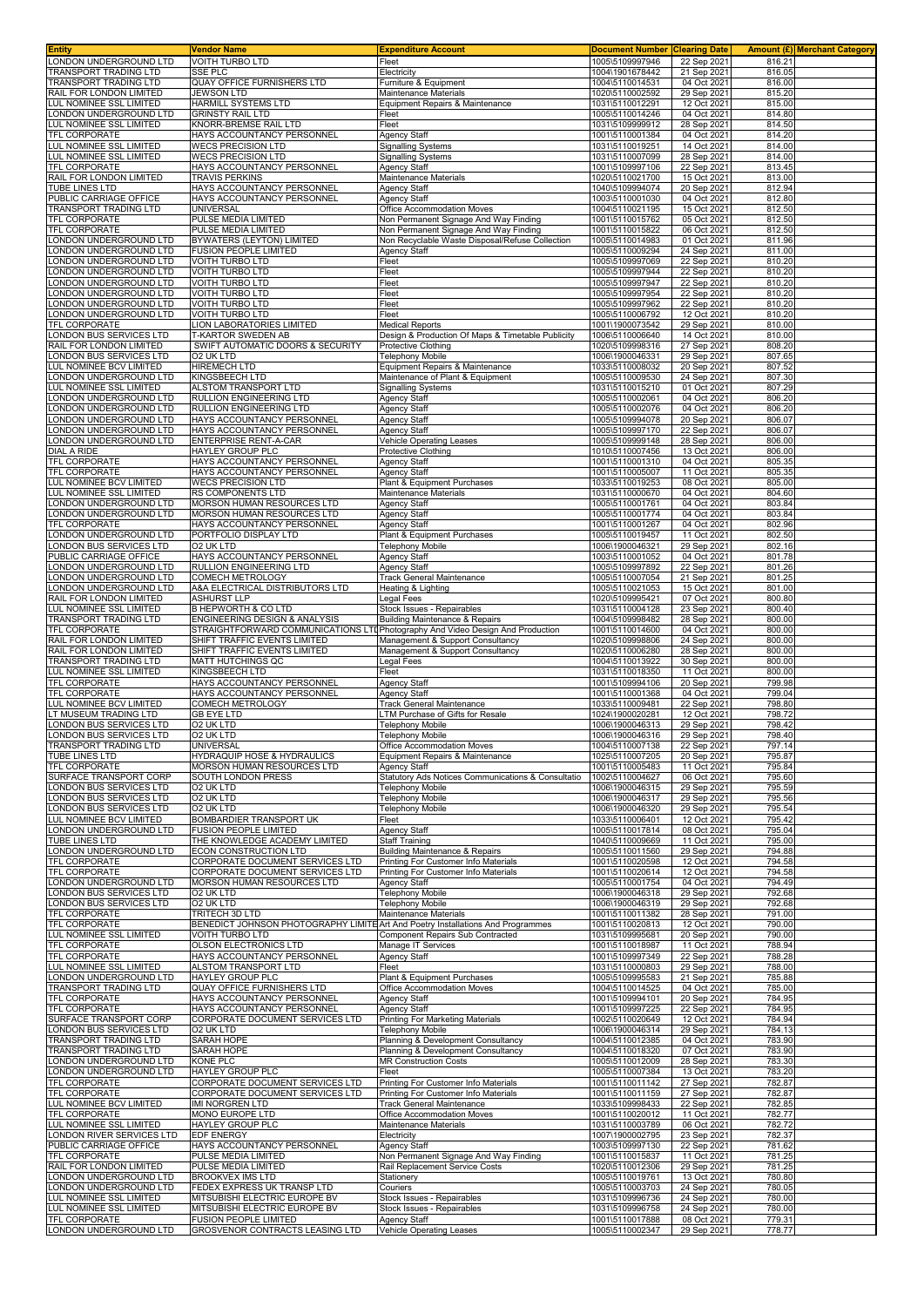| <b>Entity</b><br>LONDON UNDERGROUND LTD              | Vendor Name                                                                                      | <b>Expenditure Account</b>                                                               | <b>Document Number</b><br>1005\5109997946 | <b>Clearing Date</b>       |                  | <b>Amount (£) Merchant Category</b> |
|------------------------------------------------------|--------------------------------------------------------------------------------------------------|------------------------------------------------------------------------------------------|-------------------------------------------|----------------------------|------------------|-------------------------------------|
| TRANSPORT TRADING LTD                                | <b>VOITH TURBO LTD</b><br><b>SSE PLC</b>                                                         | Fleet<br>Electricity                                                                     | 1004\1901678442                           | 22 Sep 2021<br>21 Sep 2021 | 816.21<br>816.05 |                                     |
| TRANSPORT TRADING LTD                                | QUAY OFFICE FURNISHERS LTD                                                                       | Furniture & Equipment                                                                    | 1004\5110014531                           | 04 Oct 2021                | 816.00           |                                     |
| RAIL FOR LONDON LIMITED                              | JEWSON LTD                                                                                       | Maintenance Materials                                                                    | 1020\5110002592                           | 29 Sep 2021                | 815.20           |                                     |
| LUL NOMINEE SSL LIMITED<br>ONDON UNDERGROUND LTD     | HARMILL SYSTEMS LTD<br><b>GRINSTY RAIL LTD</b>                                                   | Equipment Repairs & Maintenance<br>Fleet                                                 | 1031\5110012291<br>1005\5110014246        | 12 Oct 2021<br>04 Oct 2021 | 815.00<br>814.80 |                                     |
| LUL NOMINEE SSL LIMITED                              | KNORR-BREMSE RAIL LTD                                                                            | Fleet                                                                                    | 1031\5109999912                           | 28 Sep 2021                | 814.50           |                                     |
| <b>TFL CORPORATE</b>                                 | HAYS ACCOUNTANCY PERSONNEL                                                                       | <b>Agency Staff</b>                                                                      | 1001\5110001384                           | 04 Oct 2021                | 814.20           |                                     |
| LUL NOMINEE SSL LIMITED<br>LUL NOMINEE SSL LIMITED   | <b>WECS PRECISION LTD</b><br><b>WECS PRECISION LTD</b>                                           | <b>Signalling Systems</b><br><b>Signalling Systems</b>                                   | 1031\5110019251<br>1031\5110007099        | 14 Oct 2021<br>28 Sep 2021 | 814.00<br>814.00 |                                     |
| TFL CORPORATE                                        | HAYS ACCOUNTANCY PERSONNEL                                                                       | Agency Staff                                                                             | 1001\5109997106                           | 22 Sep 2021                | 813.45           |                                     |
| RAIL FOR LONDON LIMITED                              | <b>TRAVIS PERKINS</b>                                                                            | Maintenance Materials                                                                    | 1020\5110021700                           | 15 Oct 2021                | 813.00           |                                     |
| TUBE LINES LTD<br>PUBLIC CARRIAGE OFFICE             | HAYS ACCOUNTANCY PERSONNEL<br>HAYS ACCOUNTANCY PERSONNEL                                         | Agency Staff<br><b>Agency Staff</b>                                                      | 1040\5109994074<br>1003\5110001030        | 20 Sep 2021<br>04 Oct 2021 | 812.94<br>812.80 |                                     |
| TRANSPORT TRADING LTD                                | UNIVERSAL                                                                                        | Office Accommodation Moves                                                               | 1004\5110021195                           | 15 Oct 2021                | 812.50           |                                     |
| TFL CORPORATE                                        | PULSE MEDIA LIMITED                                                                              | Non Permanent Signage And Way Finding                                                    | 1001\5110015762                           | 05 Oct 2021                | 812.50           |                                     |
| TFL CORPORATE<br>ONDON UNDERGROUND LTD               | PULSE MEDIA LIMITED<br>BYWATERS (LEYTON) LIMITED                                                 | Non Permanent Signage And Way Finding<br>Non Recyclable Waste Disposal/Refuse Collection | 1001\5110015822<br>1005\5110014983        | 06 Oct 2021<br>01 Oct 2021 | 812.50<br>811.96 |                                     |
| ONDON UNDERGROUND LTD                                | <b>FUSION PEOPLE LIMITED</b>                                                                     | Agency Staff                                                                             | 1005\5110009294                           | 24 Sep 2021                | 811.00           |                                     |
| LONDON UNDERGROUND LTD                               | <b>VOITH TURBO LTD</b>                                                                           | Fleet                                                                                    | 1005\5109997069                           | 22 Sep 2021                | 810.20           |                                     |
| LONDON UNDERGROUND LTD<br>ONDON UNDERGROUND LTD      | <b>VOITH TURBO LTD</b><br><b>VOITH TURBO LTD</b>                                                 | Fleet<br>Fleet                                                                           | 1005\5109997944<br>1005\5109997947        | 22 Sep 2021<br>22 Sep 2021 | 810.20<br>810.20 |                                     |
| ONDON UNDERGROUND LTD                                | <b>VOITH TURBO LTD</b>                                                                           | Fleet                                                                                    | 1005\5109997954                           | 22 Sep 2021                | 810.20           |                                     |
| LONDON UNDERGROUND LTD                               | <b>VOITH TURBO LTD</b>                                                                           | Fleet                                                                                    | 1005\5109997962                           | 22 Sep 2021                | 810.20           |                                     |
| LONDON UNDERGROUND LTD<br>TFL CORPORATE              | <b>VOITH TURBO LTD</b><br>LION LABORATORIES LIMITED                                              | Fleet<br><b>Medical Reports</b>                                                          | 1005\5110006792<br>1001\1900073542        | 12 Oct 2021<br>29 Sep 2021 | 810.20<br>810.00 |                                     |
| LONDON BUS SERVICES LTD                              | T-KARTOR SWEDEN AB                                                                               | Design & Production Of Maps & Timetable Publicity                                        | 1006\5110006640                           | 14 Oct 2021                | 810.00           |                                     |
| RAIL FOR LONDON LIMITED                              | SWIFT AUTOMATIC DOORS & SECURITY                                                                 | <b>Protective Clothing</b>                                                               | 1020\5109998316                           | 27 Sep 2021                | 808.20           |                                     |
| ONDON BUS SERVICES LTD                               | O2 UK LTD                                                                                        | Telephony Mobile                                                                         | 1006\1900046331                           | 29 Sep 2021                | 807.65           |                                     |
| UL NOMINEE BCV LIMITED<br>ONDON UNDERGROUND LTD.     | <b>HIREMECH LTD</b><br><b>KINGSBEECH LTD</b>                                                     | Equipment Repairs & Maintenance<br>Maintenance of Plant & Equipment                      | 1033\5110008032<br>1005\5110009530        | 20 Sep 2021<br>24 Sep 2021 | 807.52<br>807.30 |                                     |
| <b>LUL NOMINEE SSL LIMITED</b>                       | ALSTOM TRANSPORT LTD                                                                             | Signalling Systems                                                                       | 1031\5110015210                           | 01 Oct 2021                | 807.29           |                                     |
| ONDON UNDERGROUND LTD                                | RULLION ENGINEERING LTD                                                                          | Agency Staff                                                                             | 1005\5110002061                           | 04 Oct 2021                | 806.20           |                                     |
| ONDON UNDERGROUND LTD<br>ONDON UNDERGROUND LTD       | RULLION ENGINEERING LTD<br>HAYS ACCOUNTANCY PERSONNEL                                            | <b>Agency Staff</b><br>Agency Staff                                                      | 1005\5110002076<br>1005\5109994078        | 04 Oct 2021<br>20 Sep 202  | 806.20<br>806.07 |                                     |
| ONDON UNDERGROUND LTD                                | HAYS ACCOUNTANCY PERSONNEL                                                                       | Agency Staff                                                                             | 1005\5109997170                           | 22 Sep 2021                | 806.07           |                                     |
| ONDON UNDERGROUND LTD                                | <b>ENTERPRISE RENT-A-CAR</b>                                                                     | <b>Vehicle Operating Leases</b>                                                          | 1005\5109999148                           | 28 Sep 2021                | 806.00           |                                     |
| DIAL A RIDE<br>TFL CORPORATE                         | HAYLEY GROUP PLC<br>HAYS ACCOUNTANCY PERSONNEL                                                   | Protective Clothing<br><b>Agency Staff</b>                                               | 1010\5110007456<br>1001\5110001310        | 13 Oct 2021<br>04 Oct 2021 | 806.00<br>805.35 |                                     |
| TFL CORPORATE                                        | HAYS ACCOUNTANCY PERSONNEL                                                                       | Agency Staff                                                                             | 1001\5110005007                           | 11 Oct 2021                | 805.35           |                                     |
| LUL NOMINEE BCV LIMITED                              | <b>WECS PRECISION LTD</b>                                                                        | Plant & Equipment Purchases                                                              | 1033\5110019253                           | 08 Oct 2021                | 805.00           |                                     |
| LUL NOMINEE SSL LIMITED<br>LONDON UNDERGROUND LTD    | RS COMPONENTS LTD<br>MORSON HUMAN RESOURCES LTD                                                  | Maintenance Materials<br>Agency Staff                                                    | 1031\5110000670<br>1005\5110001761        | 04 Oct 2021<br>04 Oct 2021 | 804.60<br>803.84 |                                     |
| LONDON UNDERGROUND LTD                               | MORSON HUMAN RESOURCES LTD                                                                       | <b>Agency Staff</b>                                                                      | 1005\5110001774                           | 04 Oct 2021                | 803.84           |                                     |
| TFL CORPORATE                                        | HAYS ACCOUNTANCY PERSONNEL                                                                       | Agency Staff                                                                             | 1001\5110001267                           | 04 Oct 2021                | 802.96           |                                     |
| ONDON UNDERGROUND LTD<br>LONDON BUS SERVICES LTD     | PORTFOLIO DISPLAY LTD<br>O2 UK LTD                                                               | Plant & Equipment Purchases<br>Telephony Mobile                                          | 1005\5110019457<br>1006\1900046321        | 11 Oct 2021<br>29 Sep 2021 | 802.50<br>802.16 |                                     |
| PUBLIC CARRIAGE OFFICE                               | HAYS ACCOUNTANCY PERSONNEL                                                                       | Agency Staff                                                                             | 1003\5110001052                           | 04 Oct 2021                | 801.78           |                                     |
| ONDON UNDERGROUND LTD                                | RULLION ENGINEERING LTD                                                                          | Agency Staff                                                                             | 1005\5109997892                           | 22 Sep 2021                | 801.26           |                                     |
| ONDON UNDERGROUND LTD<br>LONDON UNDERGROUND LTD      | <b>COMECH METROLOGY</b><br>A&A ELECTRICAL DISTRIBUTORS LTD                                       | <b>Track General Maintenance</b><br>Heating & Lighting                                   | 1005\5110007054<br>1005\5110021053        | 21 Sep 2021<br>15 Oct 2021 | 801.25<br>801.00 |                                     |
| RAIL FOR LONDON LIMITED                              | ASHURST LLP                                                                                      | Legal Fees                                                                               | 1020\5109995421                           | 07 Oct 2021                | 800.80           |                                     |
| LUL NOMINEE SSL LIMITED                              | <b>B HEPWORTH &amp; CO LTD</b>                                                                   | Stock Issues - Repairables                                                               | 1031\5110004128                           | 23 Sep 2021                | 800.40           |                                     |
| TRANSPORT TRADING LTD<br><b>TFL CORPORATE</b>        | ENGINEERING DESIGN & ANALYSIS<br>STRAIGHTFORWARD COMMUNICATIONS LTD                              | <b>Building Maintenance &amp; Repairs</b><br>Photography And Video Design And Production | 1004\5109998482<br>1001\5110014600        | 28 Sep 2021<br>04 Oct 2021 | 800.00<br>800.00 |                                     |
| RAIL FOR LONDON LIMITED                              | SHIFT TRAFFIC EVENTS LIMITED                                                                     | Management & Support Consultancy                                                         | 1020\5109998806                           | 24 Sep 2021                | 800.00           |                                     |
| RAIL FOR LONDON LIMITED                              | SHIFT TRAFFIC EVENTS LIMITED                                                                     | Management & Support Consultancy                                                         | 1020\5110006280                           | 28 Sep 2021                | 800.00           |                                     |
| TRANSPORT TRADING LTD<br>LUL NOMINEE SSL LIMITED     | MATT HUTCHINGS QC<br>KINGSBEECH LTD                                                              | Legal Fees<br>Fleet                                                                      | 1004\5110013922<br>1031\5110018350        | 30 Sep 2021<br>11 Oct 2021 | 800.00<br>800.00 |                                     |
| <b>TFL CORPORATE</b>                                 | HAYS ACCOUNTANCY PERSONNEL                                                                       | Agency Staff                                                                             | 1001\5109994106                           | 20 Sep 2021                | 799.98           |                                     |
| TFL CORPORATE                                        | HAYS ACCOUNTANCY PERSONNEL                                                                       | Agency Staff                                                                             | 1001\5110001368                           | 04 Oct 2021                | 799.04           |                                     |
| LUL NOMINEE BCV LIMITED<br>LT MUSEUM TRADING LTD     | <b>COMECH METROLOGY</b><br><b>GB EYE LTD</b>                                                     | Track General Maintenance<br>TM Purchase of Gifts for Resale                             | 1033\5110009481<br>1024\1900020281        | 22 Sep 2021<br>12 Oct 2021 | 798.80<br>798.72 |                                     |
| ONDON BUS SERVICES LTD                               | O2 UK LTD                                                                                        | Telephony Mobile                                                                         | 1006\1900046313                           | 29 Sep 2021                | 798.42           |                                     |
| LONDON BUS SERVICES LTD                              | O2 UK LTD                                                                                        | <b>Telephony Mobile</b>                                                                  | 1006\1900046316                           | 29 Sep 2021                | 798.40           |                                     |
| TRANSPORT TRADING LTD<br>TUBE LINES LTD              | <b>UNIVERSAL</b><br>HYDRAQUIP HOSE & HYDRAULICS                                                  | Office Accommodation Moves<br>Equipment Repairs & Maintenance                            | 1004\5110007138<br>1025\5110007205        | 22 Sep 2021<br>20 Sep 2021 | 797.14<br>795.87 |                                     |
| TFL CORPORATE                                        | <b>MORSON HUMAN RESOURCES LTD</b>                                                                | Agency Staff                                                                             | 1001\5110005483                           | 11 Oct 2021                | 795.84           |                                     |
| SURFACE TRANSPORT CORP                               | SOUTH LONDON PRESS                                                                               | Statutory Ads Notices Communications & Consultatio                                       | 1002\5110004627                           | 06 Oct 2021                | 795.60           |                                     |
| LONDON BUS SERVICES LTD<br>LONDON BUS SERVICES LTD   | O2 UK LTD<br>O2 UK LTD                                                                           | Telephony Mobile<br><b>Telephony Mobile</b>                                              | 1006\1900046315<br>1006\1900046317        | 29 Sep 2021<br>29 Sep 2021 | 795.59<br>795.56 |                                     |
| ONDON BUS SERVICES LTD                               | O2 UK LTD                                                                                        | Telephony Mobile                                                                         | 1006\1900046320                           | 29 Sep 2021                | 795.54           |                                     |
| LUL NOMINEE BCV LIMITED                              | <b>BOMBARDIER TRANSPORT UK</b>                                                                   | Fleet                                                                                    | 1033\5110006401                           | 12 Oct 2021                | 795.42           |                                     |
| LONDON UNDERGROUND LTD<br>TUBE LINES LTD             | <b>FUSION PEOPLE LIMITED</b><br>THE KNOWLEDGE ACADEMY LIMITED                                    | Agency Staff<br><b>Staff Training</b>                                                    | 1005\5110017814<br>1040\5110009669        | 08 Oct 2021<br>11 Oct 2021 | 795.04<br>795.00 |                                     |
| LONDON UNDERGROUND LTD                               | ECON CONSTRUCTION LTD                                                                            | <b>Building Maintenance &amp; Repairs</b>                                                | 1005\5110011560                           | 29 Sep 2021                | 794.88           |                                     |
| <b>TFL CORPORATE</b>                                 | CORPORATE DOCUMENT SERVICES LTD                                                                  | Printing For Customer Info Materials                                                     | 1001\5110020598                           | 12 Oct 2021                | 794.58           |                                     |
| TFL CORPORATE<br>LONDON UNDERGROUND LTD              | CORPORATE DOCUMENT SERVICES LTD<br>MORSON HUMAN RESOURCES LTD                                    | Printing For Customer Info Materials<br>Agency Staff                                     | 1001\5110020614<br>1005\5110001754        | 12 Oct 2021<br>04 Oct 2021 | 794.58<br>794.49 |                                     |
| ONDON BUS SERVICES LTD                               | O2 UK LTD                                                                                        | <b>Telephony Mobile</b>                                                                  | 1006\1900046318                           | 29 Sep 2021                | 792.68           |                                     |
| LONDON BUS SERVICES LTD                              | O2 UK LTD                                                                                        | <b>Telephony Mobile</b>                                                                  | 1006\1900046319                           | 29 Sep 2021                | 792.68           |                                     |
| TFL CORPORATE<br>TFL CORPORATE                       | TRITECH 3D LTD<br>BENEDICT JOHNSON PHOTOGRAPHY LIMITEArt And Poetry Installations And Programmes | Maintenance Materials                                                                    | 1001\5110011382<br>1001\5110020813        | 28 Sep 2021<br>12 Oct 2021 | 791.00<br>790.00 |                                     |
| LUL NOMINEE SSL LIMITED                              | VOITH TURBO LTD                                                                                  | Component Repairs Sub Contracted                                                         | 1031\5109995681                           | 20 Sep 2021                | 790.00           |                                     |
| TFL CORPORATE                                        | OLSON ELECTRONICS LTD                                                                            | Manage IT Services                                                                       | 1001\5110018987                           | 11 Oct 2021                | 788.94           |                                     |
| TFL CORPORATE<br>LUL NOMINEE SSL LIMITED             | HAYS ACCOUNTANCY PERSONNEL<br>ALSTOM TRANSPORT LTD                                               | Agency Staff<br>Fleet                                                                    | 1001\5109997349<br>1031\5110000803        | 22 Sep 2021<br>29 Sep 2021 | 788.28<br>788.00 |                                     |
| LONDON UNDERGROUND LTD                               | HAYLEY GROUP PLC                                                                                 | Plant & Equipment Purchases                                                              | 1005\5109995583                           | 21 Sep 2021                | 785.88           |                                     |
| TRANSPORT TRADING LTD                                | <b>QUAY OFFICE FURNISHERS LTD</b>                                                                | Office Accommodation Moves                                                               | 1004\5110014525                           | 04 Oct 2021                | 785.00           |                                     |
| TFL CORPORATE<br>TFL CORPORATE                       | HAYS ACCOUNTANCY PERSONNEL<br>HAYS ACCOUNTANCY PERSONNEL                                         | Agency Staff<br>Agency Staff                                                             | 1001\5109994101<br>1001\5109997225        | 20 Sep 2021<br>22 Sep 2021 | 784.95<br>784.95 |                                     |
| SURFACE TRANSPORT CORP                               | CORPORATE DOCUMENT SERVICES LTD                                                                  | Printing For Marketing Materials                                                         | 1002\5110020649                           | 12 Oct 2021                | 784.94           |                                     |
| LONDON BUS SERVICES LTD                              | O2 UK LTD                                                                                        | Telephony Mobile                                                                         | 1006\1900046314                           | 29 Sep 2021                | 784.13           |                                     |
| TRANSPORT TRADING LTD<br>TRANSPORT TRADING LTD       | SARAH HOPE<br>SARAH HOPE                                                                         | Planning & Development Consultancy<br>Planning & Development Consultancy                 | 1004\5110012385<br>1004\5110018320        | 04 Oct 2021<br>07 Oct 2021 | 783.90<br>783.90 |                                     |
| LONDON UNDERGROUND LTD                               | <b>KONE PLC</b>                                                                                  | <b>MR Construction Costs</b>                                                             | 1005\5110012009                           | 28 Sep 2021                | 783.30           |                                     |
| LONDON UNDERGROUND LTD                               | <b>HAYLEY GROUP PLC</b>                                                                          | Fleet                                                                                    | 1005\5110007384                           | 13 Oct 2021                | 783.20           |                                     |
| TFL CORPORATE<br>TFL CORPORATE                       | CORPORATE DOCUMENT SERVICES LTD<br>CORPORATE DOCUMENT SERVICES LTD                               | Printing For Customer Info Materials<br>Printing For Customer Info Materials             | 1001\5110011142<br>1001\5110011159        | 27 Sep 2021<br>27 Sep 2021 | 782.87<br>782.87 |                                     |
| LUL NOMINEE BCV LIMITED                              | IMI NORGREN LTD                                                                                  | Track General Maintenance                                                                | 1033\5109998433                           | 22 Sep 2021                | 782.85           |                                     |
| TFL CORPORATE                                        | MONO EUROPE LTD                                                                                  | Office Accommodation Moves                                                               | 1001\5110020012                           | 11 Oct 2021                | 782.77           |                                     |
| LUL NOMINEE SSL LIMITED<br>LONDON RIVER SERVICES LTD | HAYLEY GROUP PLC<br><b>EDF ENERGY</b>                                                            | Maintenance Materials<br>Electricity                                                     | 1031\5110003789<br>1007\1900002795        | 06 Oct 2021<br>23 Sep 2021 | 782.72<br>782.37 |                                     |
| PUBLIC CARRIAGE OFFICE                               | HAYS ACCOUNTANCY PERSONNEL                                                                       | <b>Agency Staff</b>                                                                      | 1003\5109997130                           | 22 Sep 2021                | 781.62           |                                     |
| TFL CORPORATE                                        | PULSE MEDIA LIMITED                                                                              | Non Permanent Signage And Way Finding                                                    | 1001\5110015837                           | 11 Oct 2021                | 781.25           |                                     |
| RAIL FOR LONDON LIMITED<br>ONDON UNDERGROUND LTD     | PULSE MEDIA LIMITED<br><b>BROOKVEX IMS LTD</b>                                                   | Rail Replacement Service Costs<br>Stationery                                             | 1020\5110012306<br>1005\5110019761        | 29 Sep 2021<br>13 Oct 2021 | 781.25<br>780.80 |                                     |
| ONDON UNDERGROUND LTD                                | FEDEX EXPRESS UK TRANSP LTD                                                                      | Couriers                                                                                 | 1005\5110003703                           | 24 Sep 2021                | 780.05           |                                     |
| LUL NOMINEE SSL LIMITED                              | MITSUBISHI ELECTRIC EUROPE BV                                                                    | Stock Issues - Repairables                                                               | 1031\5109996736                           | 24 Sep 2021                | 780.00           |                                     |
| LUL NOMINEE SSL LIMITED<br>TFL CORPORATE             | MITSUBISHI ELECTRIC EUROPE BV<br><b>FUSION PEOPLE LIMITED</b>                                    | Stock Issues - Repairables<br>Agency Staff                                               | 1031\5109996758<br>1001\5110017888        | 24 Sep 2021<br>08 Oct 2021 | 780.00<br>779.31 |                                     |
| LONDON UNDERGROUND LTD                               | GROSVENOR CONTRACTS LEASING LTD                                                                  | Vehicle Operating Leases                                                                 | 1005\5110002347                           | 29 Sep 2021                | 778.77           |                                     |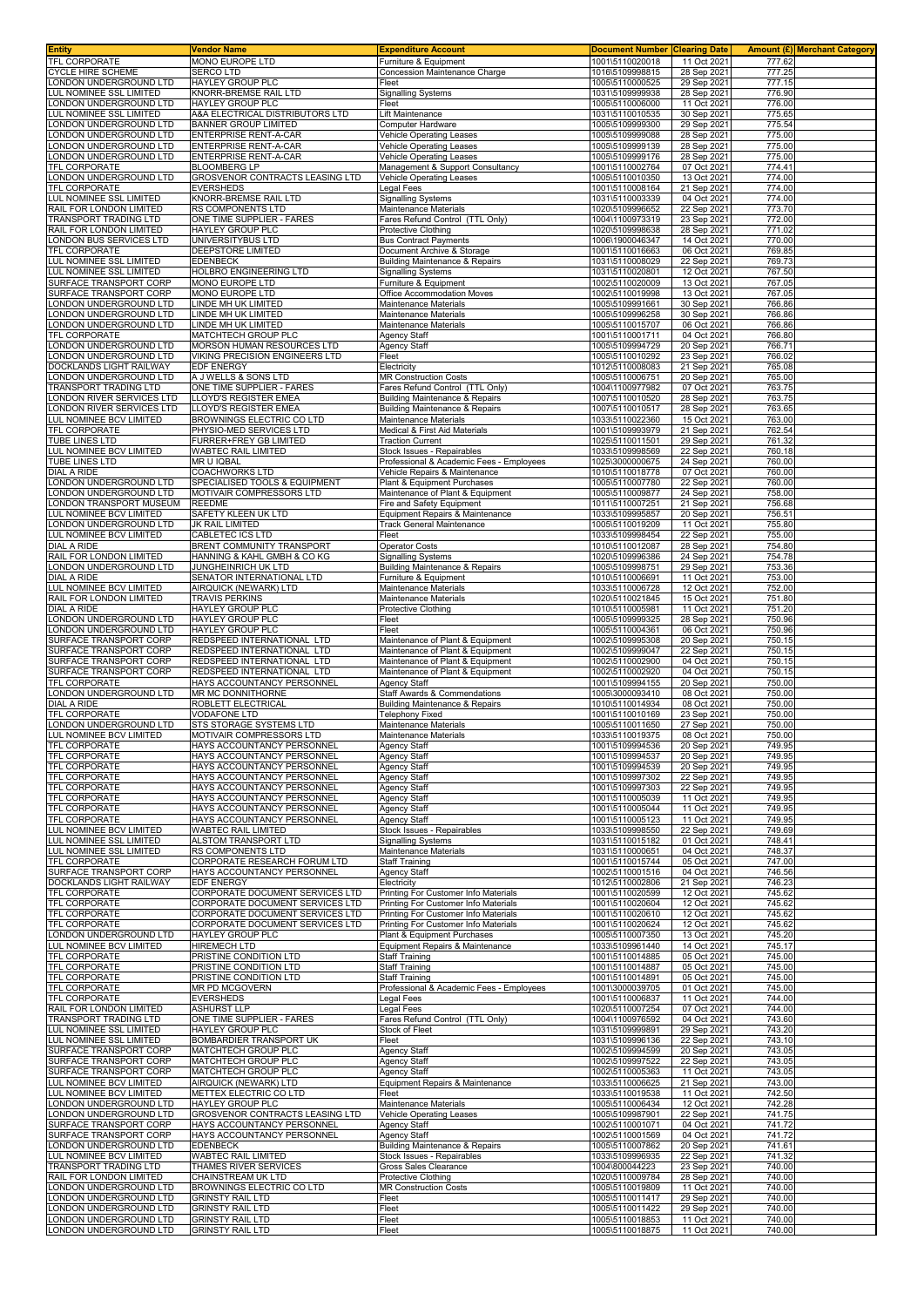| <b>Entity</b>                                        | Vendor Name                                                        | <b>Expenditure Account</b>                                                             | Document Number Clearing Date      |                            |                  | <b>Amount (£) Merchant Category</b> |
|------------------------------------------------------|--------------------------------------------------------------------|----------------------------------------------------------------------------------------|------------------------------------|----------------------------|------------------|-------------------------------------|
| TFL CORPORATE<br><b>CYCLE HIRE SCHEME</b>            | MONO EUROPE LTD<br><b>SERCO LTD</b>                                | Furniture & Equipment<br>Concession Maintenance Charge                                 | 1001\5110020018<br>1016\5109998815 | 11 Oct 2021<br>28 Sep 2021 | 777.62<br>777.25 |                                     |
| LONDON UNDERGROUND LTD                               | HAYLEY GROUP PLC                                                   | Fleet                                                                                  | 1005\5110000525                    | 29 Sep 2021                | 777.15           |                                     |
| LUL NOMINEE SSL LIMITED                              | KNORR-BREMSE RAIL LTD                                              | <b>Signalling Systems</b>                                                              | 1031\5109999938                    | 28 Sep 2021                | 776.90           |                                     |
| LONDON UNDERGROUND LTD<br>LUL NOMINEE SSL LIMITED    | HAYLEY GROUP PLC<br>A&A ELECTRICAL DISTRIBUTORS LTD                | Fleet                                                                                  | 1005\5110006000                    | 11 Oct 2021                | 776.00<br>775.65 |                                     |
| ONDON UNDERGROUND LTD                                | <b>BANNER GROUP LIMITED</b>                                        | Lift Maintenance<br>Computer Hardware                                                  | 1031\5110010535<br>1005\5109999300 | 30 Sep 2021<br>29 Sep 2021 | 775.54           |                                     |
| ONDON UNDERGROUND LTD                                | ENTERPRISE RENT-A-CAR                                              | <b>Vehicle Operating Leases</b>                                                        | 1005\5109999088                    | 28 Sep 2021                | 775.00           |                                     |
| ONDON UNDERGROUND LTD<br>ONDON UNDERGROUND LTD       | <b>ENTERPRISE RENT-A-CAR</b><br>ENTERPRISE RENT-A-CAR              | Vehicle Operating Leases<br><b>Vehicle Operating Leases</b>                            | 1005\5109999139<br>1005\5109999176 | 28 Sep 2021<br>28 Sep 2021 | 775.00<br>775.00 |                                     |
| <b>FEL CORPORATE</b>                                 | <b>BLOOMBERG LP</b>                                                | Management & Support Consultancy                                                       | 1001\5110002764                    | 07 Oct 2021                | 774.41           |                                     |
| LONDON UNDERGROUND LTD                               | GROSVENOR CONTRACTS LEASING LTD                                    | <b>Vehicle Operating Leases</b>                                                        | 1005\5110010350                    | 13 Oct 2021                | 774.00           |                                     |
| TFL CORPORATE<br>LUL NOMINEE SSL LIMITED             | <b>EVERSHEDS</b>                                                   | Legal Fees<br><b>Signalling Systems</b>                                                | 1001\5110008164                    | 21 Sep 2021<br>04 Oct 2021 | 774.00<br>774.00 |                                     |
| RAIL FOR LONDON LIMITED                              | KNORR-BREMSE RAIL LTD<br>RS COMPONENTS LTD                         | Maintenance Materials                                                                  | 1031\5110003339<br>1020\5109996652 | 22 Sep 2021                | 773.70           |                                     |
| TRANSPORT TRADING LTD                                | ONE TIME SUPPLIER - FARES                                          | Fares Refund Control (TTL Only)                                                        | 1004\1100973319                    | 23 Sep 202                 | 772.00           |                                     |
| RAIL FOR LONDON LIMITED<br>ONDON BUS SERVICES LTD    | HAYLEY GROUP PLC<br>UNIVERSITYBUS LTD                              | Protective Clothing<br><b>Bus Contract Payments</b>                                    | 1020\5109998638<br>1006\1900046347 | 28 Sep 2021<br>14 Oct 2021 | 771.02<br>770.00 |                                     |
| TFL CORPORATE                                        | DEEPSTORE LIMITED                                                  | Document Archive & Storage                                                             | 1001\5110016663                    | 06 Oct 2021                | 769.85           |                                     |
| LUL NOMINEE SSL LIMITED                              | <b>EDENBECK</b>                                                    | Building Maintenance & Repairs                                                         | 1031\5110008029                    | 22 Sep 2021                | 769.73           |                                     |
| LUL NOMINEE SSL LIMITED<br>SURFACE TRANSPORT CORP    | HOLBRO ENGINEERING LTD<br>MONO EUROPE LTD                          | <b>Signalling Systems</b><br>Furniture & Equipment                                     | 1031\5110020801<br>1002\5110020009 | 12 Oct 2021<br>13 Oct 2021 | 767.50<br>767.05 |                                     |
| SURFACE TRANSPORT CORP                               | MONO EUROPE LTD                                                    | Office Accommodation Moves                                                             | 1002\5110019998                    | 13 Oct 2021                | 767.05           |                                     |
| ONDON UNDERGROUND LTD                                | LINDE MH UK LIMITED                                                | Maintenance Materials                                                                  | 1005\5109991661                    | 30 Sep 2021                | 766.86           |                                     |
| ONDON UNDERGROUND LTD<br>ONDON UNDERGROUND LTD       | LINDE MH UK LIMITED<br>LINDE MH UK LIMITED                         | Maintenance Materials<br>Maintenance Materials                                         | 1005\5109996258<br>1005\5110015707 | 30 Sep 2021<br>06 Oct 2021 | 766.86<br>766.86 |                                     |
| TFL CORPORATE                                        | MATCHTECH GROUP PLC                                                | Agency Staff                                                                           | 1001\5110001711                    | 04 Oct 2021                | 766.80           |                                     |
| LONDON UNDERGROUND LTD                               | MORSON HUMAN RESOURCES LTD                                         | <b>Agency Staff</b>                                                                    | 1005\5109994729                    | 20 Sep 2021                | 766.71           |                                     |
| ONDON UNDERGROUND LTD<br>DOCKLANDS LIGHT RAILWAY     | VIKING PRECISION ENGINEERS LTD<br>EDF ENERGY                       | Fleet<br>Electricity                                                                   | 1005\5110010292<br>1012\5110008083 | 23 Sep 2021<br>21 Sep 2021 | 766.02<br>765.08 |                                     |
| ONDON UNDERGROUND LTD                                | A J WELLS & SONS LTD                                               | <b>MR Construction Costs</b>                                                           | 1005\5110006751                    | 20 Sep 2021                | 765.00           |                                     |
| <b>FRANSPORT TRADING LTD</b>                         | ONE TIME SUPPLIER - FARES                                          | Fares Refund Control (TTL Only)                                                        | 1004\1100977982                    | 07 Oct 2021                | 763.75           |                                     |
| ONDON RIVER SERVICES LTD<br>ONDON RIVER SERVICES LTD | LLOYD'S REGISTER EMEA<br>LLOYD'S REGISTER EMEA                     | <b>Building Maintenance &amp; Repairs</b><br><b>Building Maintenance &amp; Repairs</b> | 1007\5110010520<br>1007\5110010517 | 28 Sep 2021<br>28 Sep 2021 | 763.75<br>763.65 |                                     |
| LUL NOMINEE BCV LIMITED                              | BROWNINGS ELECTRIC CO LTD                                          | Maintenance Materials                                                                  | 1033\5110022360                    | 15 Oct 202                 | 763.00           |                                     |
| TFL CORPORATE                                        | PHYSIO-MED SERVICES LTD                                            | Medical & First Aid Materials                                                          | 1001\5109993979                    | 21 Sep 2021                | 762.54           |                                     |
| TUBE LINES LTD<br>LUL NOMINEE BCV LIMITED            | FURRER+FREY GB LIMITED<br>WABTEC RAIL LIMITED                      | <b>Traction Current</b>                                                                | 1025\5110011501<br>1033\5109998569 | 29 Sep 2021<br>22 Sep 2021 | 761.32<br>760.18 |                                     |
| TUBE LINES LTD                                       | MR U IQBAL                                                         | Stock Issues - Repairables<br>Professional & Academic Fees - Employees                 | 1025\3000000675                    | 24 Sep 2021                | 760.00           |                                     |
| DIAL A RIDE                                          | <b>COACHWORKS LTD</b>                                              | Vehicle Repairs & Maintenance                                                          | 1010\5110018778                    | 07 Oct 2021                | 760.00           |                                     |
| ONDON UNDERGROUND LTD<br>ONDON UNDERGROUND LTD       | SPECIALISED TOOLS & EQUIPMENT<br>MOTIVAIR COMPRESSORS LTD          | Plant & Equipment Purchases<br>Maintenance of Plant & Equipment                        | 1005\5110007780<br>1005\5110009877 | 22 Sep 2021<br>24 Sep 2021 | 760.00<br>758.00 |                                     |
| LONDON TRANSPORT MUSEUM                              | <b>REEDME</b>                                                      | Fire and Safety Equipment                                                              | 1011\5110007251                    | 21 Sep 2021                | 756.68           |                                     |
| LUL NOMINEE BCV LIMITED                              | SAFETY KLEEN UK LTD                                                | Equipment Repairs & Maintenance                                                        | 1033\5109995857                    | 20 Sep 202                 | 756.51           |                                     |
| LONDON UNDERGROUND LTD                               | JK RAIL LIMITED                                                    | <b>Track General Maintenance</b>                                                       | 1005\5110019209                    | 11 Oct 2021                | 755.80           |                                     |
| LUL NOMINEE BCV LIMITED<br>DIAL A RIDE               | CABLETEC ICS LTD<br>BRENT COMMUNITY TRANSPORT                      | Fleet<br>Operator Costs                                                                | 1033\5109998454<br>1010\5110012087 | 22 Sep 2021<br>28 Sep 2021 | 755.00<br>754.80 |                                     |
| RAIL FOR LONDON LIMITED                              | HANNING & KAHL GMBH & CO KG                                        | <b>Signalling Systems</b>                                                              | 1020\5109996386                    | 24 Sep 2021                | 754.78           |                                     |
| LONDON UNDERGROUND LTD                               | JUNGHEINRICH UK LTD                                                | Building Maintenance & Repairs                                                         | 1005\5109998751                    | 29 Sep 2021                | 753.36           |                                     |
| DIAL A RIDE<br>LUL NOMINEE BCV LIMITED               | SENATOR INTERNATIONAL LTD<br>AIRQUICK (NEWARK) LTD                 | Furniture & Equipment<br>Maintenance Materials                                         | 1010\5110006691<br>1033\5110006728 | 11 Oct 2021<br>12 Oct 2021 | 753.00<br>752.00 |                                     |
| RAIL FOR LONDON LIMITED                              | <b>TRAVIS PERKINS</b>                                              | Maintenance Materials                                                                  | 1020\5110021845                    | 15 Oct 2021                | 751.80           |                                     |
| DIAL A RIDE                                          | HAYLEY GROUP PLC                                                   | Protective Clothing                                                                    | 1010\5110005981                    | 11 Oct 2021                | 751.20           |                                     |
| ONDON UNDERGROUND LTD<br>ONDON UNDERGROUND LTD       | HAYLEY GROUP PLC<br>HAYLEY GROUP PLC                               | Fleet<br>Fleet                                                                         | 1005\5109999325<br>1005\5110004361 | 28 Sep 2021<br>06 Oct 2021 | 750.96<br>750.96 |                                     |
| SURFACE TRANSPORT CORP                               | REDSPEED INTERNATIONAL LTD                                         | Maintenance of Plant & Equipment                                                       | 1002\5109995308                    | 20 Sep 2021                | 750.15           |                                     |
| SURFACE TRANSPORT CORP                               | REDSPEED INTERNATIONAL LTD                                         | Maintenance of Plant & Equipment                                                       | 1002\5109999047                    | 22 Sep 2021                | 750.15           |                                     |
| SURFACE TRANSPORT CORP<br>SURFACE TRANSPORT CORP     | REDSPEED INTERNATIONAL LTD<br>REDSPEED INTERNATIONAL LTD           | Maintenance of Plant & Equipment<br>Maintenance of Plant & Equipment                   | 1002\5110002900<br>1002\5110002920 | 04 Oct 202<br>04 Oct 2021  | 750.15<br>750.15 |                                     |
| <b>TFL CORPORATE</b>                                 | HAYS ACCOUNTANCY PERSONNEL                                         | <b>Agency Staff</b>                                                                    | 1001\5109994155                    | 20 Sep 2021                | 750.00           |                                     |
| ONDON UNDERGROUND LTD                                | MR MC DONNITHORNE                                                  | <b>Staff Awards &amp; Commendations</b>                                                | 1005\3000093410                    | 08 Oct 2021                | 750.00           |                                     |
| DIAL A RIDE<br>TFL CORPORATE                         | ROBLETT ELECTRICAL<br><b>VODAFONE LTD</b>                          | <b>Building Maintenance &amp; Repairs</b><br><b>Telephony Fixed</b>                    | 1010\5110014934<br>1001\5110010169 | 08 Oct 2021<br>23 Sep 2021 | 750.00<br>750.00 |                                     |
| ONDON UNDERGROUND LTD                                | STS STORAGE SYSTEMS LTD                                            | Maintenance Materials                                                                  | 1005\5110011650                    | 27 Sep 2021                | 750.00           |                                     |
| LUL NOMINEE BCV LIMITED                              | MOTIVAIR COMPRESSORS LTD                                           | Maintenance Materials                                                                  | 1033\5110019375                    | 08 Oct 2021                | 750.00           |                                     |
| <b>TFL CORPORATE</b><br>TFL CORPORATE                | HAYS ACCOUNTANCY PERSONNEL<br>HAYS ACCOUNTANCY PERSONNEL           | Agency Staff<br>Agency Staff                                                           | 1001\5109994536<br>1001\5109994537 | 20 Sep 2021<br>20 Sep 2021 | 749.95<br>749.95 |                                     |
| TFL CORPORATE                                        | HAYS ACCOUNTANCY PERSONNEL                                         | Agency Staff                                                                           | 1001\5109994539                    | 20 Sep 2021                | 749.95           |                                     |
| TFL CORPORATE                                        | HAYS ACCOUNTANCY PERSONNEL                                         | <b>Agency Staff</b>                                                                    | 1001\5109997302                    | 22 Sep 2021                | 749.95           |                                     |
| TFL CORPORATE<br><b>TFL CORPORATE</b>                | HAYS ACCOUNTANCY PERSONNEL<br>HAYS ACCOUNTANCY PERSONNEL           | <b>Agency Staff</b><br><b>Agency Staff</b>                                             | 1001\5109997303<br>1001\5110005039 | 22 Sep 2021<br>11 Oct 2021 | 749.95<br>749.95 |                                     |
| TFL CORPORATE                                        | HAYS ACCOUNTANCY PERSONNEL                                         | Agency Staff                                                                           | 1001\5110005044                    | 11 Oct 2021                | 749.95           |                                     |
| TFL CORPORATE                                        | HAYS ACCOUNTANCY PERSONNEL                                         | Agency Staff                                                                           | 1001\5110005123                    | 11 Oct 2021                | 749.95           |                                     |
| LUL NOMINEE BCV LIMITED<br>LUL NOMINEE SSL LIMITED   | <b>WABTEC RAIL LIMITED</b><br>ALSTOM TRANSPORT LTD                 | Stock Issues - Repairables<br><b>Signalling Systems</b>                                | 1033\5109998550<br>1031\5110015182 | 22 Sep 2021<br>01 Oct 2021 | 749.69<br>748.41 |                                     |
| LUL NOMINEE SSL LIMITED                              | RS COMPONENTS LTD                                                  | Maintenance Materials                                                                  | 1031\5110000651                    | 04 Oct 2021                | 748.37           |                                     |
| <b>TFL CORPORATE</b>                                 | CORPORATE RESEARCH FORUM LTD                                       | Staff Training                                                                         | 1001\5110015744                    | 05 Oct 2021                | 747.00           |                                     |
| SURFACE TRANSPORT CORP<br>DOCKLANDS LIGHT RAILWAY    | HAYS ACCOUNTANCY PERSONNEL<br>EDF ENERGY                           | Agency Staff<br>Electricity                                                            | 1002\5110001516<br>1012\5110002806 | 04 Oct 2021<br>21 Sep 2021 | 746.56<br>746.23 |                                     |
| TFL CORPORATE                                        | CORPORATE DOCUMENT SERVICES LTD                                    | Printing For Customer Info Materials                                                   | 1001\5110020599                    | 12 Oct 2021                | 745.62           |                                     |
| TFL CORPORATE                                        | CORPORATE DOCUMENT SERVICES LTD                                    | Printing For Customer Info Materials                                                   | 1001\5110020604                    | 12 Oct 2021                | 745.62           |                                     |
| TFL CORPORATE<br>TFL CORPORATE                       | CORPORATE DOCUMENT SERVICES LTD<br>CORPORATE DOCUMENT SERVICES LTD | Printing For Customer Info Materials<br>Printing For Customer Info Materials           | 1001\5110020610<br>1001\5110020624 | 12 Oct 2021<br>12 Oct 2021 | 745.62<br>745.62 |                                     |
| ONDON UNDERGROUND LTD                                | HAYLEY GROUP PLC                                                   | Plant & Equipment Purchases                                                            | 1005\5110007350                    | 13 Oct 2021                | 745.20           |                                     |
| LUL NOMINEE BCV LIMITED                              | HIREMECH LTD                                                       | Equipment Repairs & Maintenance                                                        | 1033\5109961440                    | 14 Oct 2021                | 745.17           |                                     |
| TFL CORPORATE<br>TFL CORPORATE                       | PRISTINE CONDITION LTD<br>PRISTINE CONDITION LTD                   | <b>Staff Training</b><br><b>Staff Training</b>                                         | 1001\5110014885<br>1001\5110014887 | 05 Oct 2021<br>05 Oct 2021 | 745.00<br>745.00 |                                     |
| TFL CORPORATE                                        | PRISTINE CONDITION LTD                                             | <b>Staff Training</b>                                                                  | 1001\5110014891                    | 05 Oct 2021                | 745.00           |                                     |
| TFL CORPORATE                                        | MR PD MCGOVERN                                                     | Professional & Academic Fees - Employees                                               | 1001\3000039705                    | 01 Oct 2021                | 745.00           |                                     |
| TFL CORPORATE<br>RAIL FOR LONDON LIMITED             | EVERSHEDS<br><b>ASHURST LLP</b>                                    | Legal Fees<br>Legal Fees                                                               | 1001\5110006837<br>1020\5110007254 | 11 Oct 2021<br>07 Oct 2021 | 744.00<br>744.00 |                                     |
| TRANSPORT TRADING LTD                                | ONE TIME SUPPLIER - FARES                                          | Fares Refund Control (TTL Only)                                                        | 1004\1100976592                    | 04 Oct 2021                | 743.60           |                                     |
| LUL NOMINEE SSL LIMITED                              | <b>HAYLEY GROUP PLC</b>                                            | Stock of Fleet                                                                         | 1031\5109999891                    | 29 Sep 2021                | 743.20           |                                     |
| LUL NOMINEE SSL LIMITED<br>SURFACE TRANSPORT CORP    | BOMBARDIER TRANSPORT UK<br>MATCHTECH GROUP PLC                     | Fleet<br>Agency Staff                                                                  | 1031\5109996136<br>1002\5109994599 | 22 Sep 2021<br>20 Sep 2021 | 743.10<br>743.05 |                                     |
| SURFACE TRANSPORT CORP                               | MATCHTECH GROUP PLC                                                | Agency Staff                                                                           | 1002\5109997522                    | 22 Sep 2021                | 743.05           |                                     |
| SURFACE TRANSPORT CORP                               | MATCHTECH GROUP PLC                                                | <b>Agency Staff</b>                                                                    | 1002\5110005363                    | 11 Oct 2021                | 743.05           |                                     |
| LUL NOMINEE BCV LIMITED<br>LUL NOMINEE BCV LIMITED   | AIRQUICK (NEWARK) LTD<br>METTEX ELECTRIC CO LTD                    | Equipment Repairs & Maintenance<br>Fleet                                               | 1033\5110006625<br>1033\5110019538 | 21 Sep 2021<br>11 Oct 2021 | 743.00<br>742.50 |                                     |
| LONDON UNDERGROUND LTD                               | HAYLEY GROUP PLC                                                   | Maintenance Materials                                                                  | 1005\5110006434                    | 12 Oct 2021                | 742.28           |                                     |
| LONDON UNDERGROUND LTD                               | GROSVENOR CONTRACTS LEASING LTD                                    | <b>Vehicle Operating Leases</b>                                                        | 1005\5109987901                    | 22 Sep 2021                | 741.75           |                                     |
| SURFACE TRANSPORT CORP<br>SURFACE TRANSPORT CORP     | HAYS ACCOUNTANCY PERSONNEL<br>HAYS ACCOUNTANCY PERSONNEL           | Agency Staff<br><b>Agency Staff</b>                                                    | 1002\5110001071<br>1002\5110001569 | 04 Oct 2021<br>04 Oct 2021 | 741.72<br>741.72 |                                     |
| LONDON UNDERGROUND LTD                               | <b>EDENBECK</b>                                                    | <b>Building Maintenance &amp; Repairs</b>                                              | 1005\5110007862                    | 20 Sep 2021                | 741.61           |                                     |
| LUL NOMINEE BCV LIMITED                              | WABTEC RAIL LIMITED                                                | Stock Issues - Repairables                                                             | 1033\5109996935                    | 22 Sep 2021                | 741.32           |                                     |
| TRANSPORT TRADING LTD<br>RAIL FOR LONDON LIMITED     | THAMES RIVER SERVICES<br>CHAINSTREAM UK LTD                        | Gross Sales Clearance<br>Protective Clothing                                           | 1004\800044223<br>1020\5110009784  | 23 Sep 2021<br>28 Sep 2021 | 740.00<br>740.00 |                                     |
| LONDON UNDERGROUND LTD                               | BROWNINGS ELECTRIC CO LTD                                          | <b>MR Construction Costs</b>                                                           | 1005\5110019809                    | 11 Oct 2021                | 740.00           |                                     |
| ONDON UNDERGROUND LTD                                | <b>GRINSTY RAIL LTD</b>                                            | Fleet                                                                                  | 1005\5110011417                    | 29 Sep 2021                | 740.00           |                                     |
| ONDON UNDERGROUND LTD<br>ONDON UNDERGROUND LTD       | <b>GRINSTY RAIL LTD</b><br><b>GRINSTY RAIL LTD</b>                 | Fleet<br>Fleet                                                                         | 1005\5110011422<br>1005\5110018853 | 29 Sep 2021<br>11 Oct 2021 | 740.00<br>740.00 |                                     |
| LONDON UNDERGROUND LTD                               | <b>GRINSTY RAIL LTD</b>                                            | Fleet                                                                                  | 1005\5110018875                    | 11 Oct 2021                | 740.00           |                                     |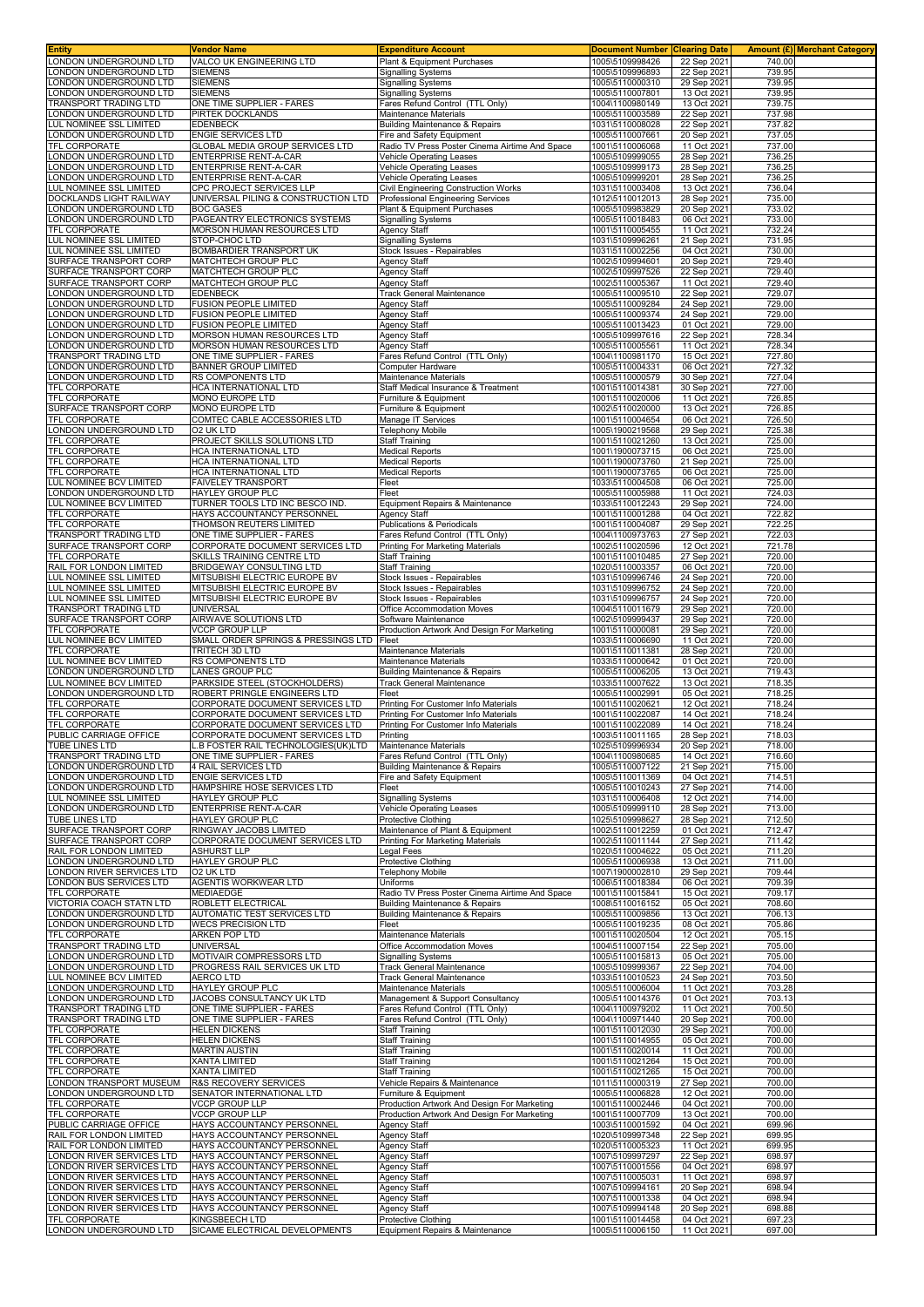| <b>Entity</b>                                        | Vendor Name                                                            | <b>Expenditure Account</b>                                                                 | <b>Document Number</b>             | <b>Clearing Date</b>       |                  | <b>Amount (£) Merchant Category</b> |
|------------------------------------------------------|------------------------------------------------------------------------|--------------------------------------------------------------------------------------------|------------------------------------|----------------------------|------------------|-------------------------------------|
| LONDON UNDERGROUND LTD<br>ONDON UNDERGROUND LTD      | VALCO UK ENGINEERING LTD<br><b>SIEMENS</b>                             | Plant & Equipment Purchases<br><b>Signalling Systems</b>                                   | 1005\5109998426<br>1005\5109996893 | 22 Sep 2021<br>22 Sep 2021 | 740.00<br>739.95 |                                     |
| ONDON UNDERGROUND LTD                                | <b>SIEMENS</b>                                                         | <b>Signalling Systems</b>                                                                  | 1005\5110000310                    | 29 Sep 2021                | 739.95           |                                     |
| ONDON UNDERGROUND LTD                                | <b>SIEMENS</b>                                                         | <b>Signalling Systems</b>                                                                  | 1005\5110007801                    | 13 Oct 2021                | 739.95           |                                     |
| TRANSPORT TRADING LTD<br>ONDON UNDERGROUND LTD       | ONE TIME SUPPLIER - FARES                                              | Fares Refund Control (TTL Only)                                                            | 1004\1100980149                    | 13 Oct 2021                | 739.75<br>737.98 |                                     |
| LUL NOMINEE SSL LIMITED                              | PIRTEK DOCKLANDS<br>EDENBECK                                           | Maintenance Materials<br><b>Building Maintenance &amp; Repairs</b>                         | 1005\5110003589<br>1031\5110008028 | 22 Sep 2021<br>22 Sep 2021 | 737.82           |                                     |
| ONDON UNDERGROUND LTD                                | <b>ENGIE SERVICES LTD</b>                                              | Fire and Safety Equipment                                                                  | 1005\5110007661                    | 20 Sep 2021                | 737.05           |                                     |
| TFL CORPORATE<br>ONDON UNDERGROUND LTD               | GLOBAL MEDIA GROUP SERVICES LTD<br>ENTERPRISE RENT-A-CAR               | Radio TV Press Poster Cinema Airtime And Space                                             | 1001\5110006068<br>1005\5109999055 | 11 Oct 2021                | 737.00<br>736.25 |                                     |
| ONDON UNDERGROUND LTD                                | ENTERPRISE RENT-A-CAR                                                  | <b>Vehicle Operating Leases</b><br><b>Vehicle Operating Leases</b>                         | 1005\5109999173                    | 28 Sep 2021<br>28 Sep 2021 | 736.25           |                                     |
| ONDON UNDERGROUND LTD                                | ENTERPRISE RENT-A-CAR                                                  | <b>Vehicle Operating Leases</b>                                                            | 1005\5109999201                    | 28 Sep 2021                | 736.25           |                                     |
| LUL NOMINEE SSL LIMITED                              | CPC PROJECT SERVICES LLP<br>UNIVERSAL PILING & CONSTRUCTION LTD        | Civil Engineering Construction Works                                                       | 1031\5110003408<br>1012\5110012013 | 13 Oct 2021                | 736.04           |                                     |
| DOCKLANDS LIGHT RAILWAY<br>ONDON UNDERGROUND LTD     | <b>BOC GASES</b>                                                       | Professional Engineering Services<br>Plant & Equipment Purchases                           | 1005\5109983829                    | 28 Sep 2021<br>20 Sep 2021 | 735.00<br>733.02 |                                     |
| ONDON UNDERGROUND LTD                                | PAGEANTRY ELECTRONICS SYSTEMS                                          | <b>Signalling Systems</b>                                                                  | 1005\5110018483                    | 06 Oct 2021                | 733.00           |                                     |
| TFL CORPORATE<br>LUL NOMINEE SSL LIMITED             | MORSON HUMAN RESOURCES LTD<br>STOP-CHOC LTD                            | Agency Staff<br><b>Signalling Systems</b>                                                  | 1001\5110005455<br>1031\5109996261 | 11 Oct 2021<br>21 Sep 2021 | 732.24<br>731.95 |                                     |
| LUL NOMINEE SSL LIMITED                              | BOMBARDIER TRANSPORT UK                                                | Stock Issues - Repairables                                                                 | 1031\5110002256                    | 04 Oct 2021                | 730.00           |                                     |
| SURFACE TRANSPORT CORP                               | MATCHTECH GROUP PLC                                                    | Agency Staff                                                                               | 1002\5109994601                    | 20 Sep 2021                | 729.40           |                                     |
| SURFACE TRANSPORT CORP<br>SURFACE TRANSPORT CORP     | MATCHTECH GROUP PLC<br>MATCHTECH GROUP PLC                             | <b>Agency Staff</b><br>Agency Staff                                                        | 1002\5109997526<br>1002\5110005367 | 22 Sep 2021<br>11 Oct 2021 | 729.40<br>729.40 |                                     |
| ONDON UNDERGROUND LTD                                | <b>EDENBECK</b>                                                        | <b>Track General Maintenance</b>                                                           | 1005\5110009510                    | 22 Sep 2021                | 729.07           |                                     |
| ONDON UNDERGROUND LTD<br>ONDON UNDERGROUND LTD       | <b>FUSION PEOPLE LIMITED</b><br><b>FUSION PEOPLE LIMITED</b>           | <b>Agency Staff</b><br><b>Agency Staff</b>                                                 | 1005\5110009284<br>1005\5110009374 | 24 Sep 2021<br>24 Sep 2021 | 729.00<br>729.00 |                                     |
| ONDON UNDERGROUND LTD                                | <b>FUSION PEOPLE LIMITED</b>                                           | Agency Staff                                                                               | 1005\5110013423                    | 01 Oct 2021                | 729.00           |                                     |
| ONDON UNDERGROUND LTD                                | MORSON HUMAN RESOURCES LTD                                             | <b>Agency Staff</b>                                                                        | 1005\5109997616                    | 22 Sep 2021                | 728.34           |                                     |
| ONDON UNDERGROUND LTD<br>TRANSPORT TRADING LTD       | MORSON HUMAN RESOURCES LTD<br>ONE TIME SUPPLIER - FARES                | <b>Agency Staff</b><br>Fares Refund Control (TTL Only)                                     | 1005\5110005561<br>1004\1100981170 | 11 Oct 2021<br>15 Oct 2021 | 728.34<br>727.80 |                                     |
| LONDON UNDERGROUND LTD                               | BANNER GROUP LIMITED                                                   | Computer Hardware                                                                          | 1005\5110004331                    | 06 Oct 2021                | 727.32           |                                     |
| ONDON UNDERGROUND LTD                                | RS COMPONENTS LTD                                                      | Maintenance Materials                                                                      | 1005\5110000579                    | 30 Sep 2021                | 727.04           |                                     |
| TFL CORPORATE<br>TFL CORPORATE                       | HCA INTERNATIONAL LTD<br>MONO EUROPE LTD                               | Staff Medical Insurance & Treatment<br>Furniture & Equipment                               | 1001\5110014381<br>1001\5110020006 | 30 Sep 2021<br>11 Oct 2021 | 727.00<br>726.85 |                                     |
| SURFACE TRANSPORT CORP                               | MONO EUROPE LTD                                                        | Furniture & Equipment                                                                      | 1002\5110020000                    | 13 Oct 2021                | 726.85           |                                     |
| <b>TFL CORPORATE</b><br>LONDON UNDERGROUND LTD       | COMTEC CABLE ACCESSORIES LTD<br>02 UK LTD                              | Manage IT Services<br><b>Telephony Mobile</b>                                              | 1001\5110004654<br>1005\1900219568 | 06 Oct 2021<br>29 Sep 2021 | 726.50<br>725.38 |                                     |
| TFL CORPORATE                                        | PROJECT SKILLS SOLUTIONS LTD                                           | <b>Staff Training</b>                                                                      | 1001\5110021260                    | 13 Oct 2021                | 725.00           |                                     |
| TFL CORPORATE                                        | HCA INTERNATIONAL LTD                                                  | <b>Medical Reports</b>                                                                     | 1001\1900073715                    | 06 Oct 2021                | 725.00           |                                     |
| TFL CORPORATE<br>TFL CORPORATE                       | HCA INTERNATIONAL LTD<br>HCA INTERNATIONAL LTD                         | <b>Medical Reports</b><br><b>Medical Reports</b>                                           | 1001\1900073760<br>1001\1900073765 | 21 Sep 2021<br>06 Oct 2021 | 725.00<br>725.00 |                                     |
| LUL NOMINEE BCV LIMITED                              | <b>FAIVELEY TRANSPORT</b>                                              | Fleet                                                                                      | 1033\5110004508                    | 06 Oct 2021                | 725.00           |                                     |
| LONDON UNDERGROUND LTD                               | HAYLEY GROUP PLC                                                       | Fleet                                                                                      | 1005\5110005988                    | 11 Oct 2021                | 724.03           |                                     |
| LUL NOMINEE BCV LIMITED<br>TFL CORPORATE             | TURNER TOOLS LTD INC BESCO IND.<br>HAYS ACCOUNTANCY PERSONNEL          | Equipment Repairs & Maintenance<br>Agency Staff                                            | 1033\5110012243<br>1001\5110001288 | 29 Sep 2021<br>04 Oct 2021 | 724.00<br>722.82 |                                     |
| TFL CORPORATE                                        | THOMSON REUTERS LIMITED                                                | Publications & Periodicals                                                                 | 1001\5110004087                    | 29 Sep 2021                | 722.25           |                                     |
| TRANSPORT TRADING LTD                                | ONE TIME SUPPLIER - FARES<br>CORPORATE DOCUMENT SERVICES LTD           | Fares Refund Control (TTL Only)                                                            | 1004\1100973763                    | 27 Sep 2021                | 722.03           |                                     |
| SURFACE TRANSPORT CORP<br>TFL CORPORATE              | SKILLS TRAINING CENTRE LTD                                             | <b>Printing For Marketing Materials</b><br><b>Staff Training</b>                           | 1002\5110020596<br>1001\5110010485 | 12 Oct 2021<br>27 Sep 2021 | 721.78<br>720.00 |                                     |
| RAIL FOR LONDON LIMITED                              | BRIDGEWAY CONSULTING LTD                                               | Staff Training                                                                             | 1020\5110003357                    | 06 Oct 2021                | 720.00           |                                     |
| LUL NOMINEE SSL LIMITED<br>LUL NOMINEE SSL LIMITED   | MITSUBISHI ELECTRIC EUROPE BV<br>MITSUBISHI ELECTRIC EUROPE BV         | Stock Issues - Repairables<br>Stock Issues - Repairables                                   | 1031\5109996746<br>1031\5109996752 | 24 Sep 2021<br>24 Sep 2021 | 720.00<br>720.00 |                                     |
| LUL NOMINEE SSL LIMITED                              | MITSUBISHI ELECTRIC EUROPE BV                                          | Stock Issues - Repairables                                                                 | 1031\5109996757                    | 24 Sep 2021                | 720.00           |                                     |
| TRANSPORT TRADING LTD                                | UNIVERSAL                                                              | Office Accommodation Moves                                                                 | 1004\5110011679                    | 29 Sep 2021                | 720.00           |                                     |
| SURFACE TRANSPORT CORP<br>TFL CORPORATE              | AIRWAVE SOLUTIONS LTD<br><b>VCCP GROUP LLP</b>                         | Software Maintenance<br>Production Artwork And Design For Marketing                        | 1002\5109999437<br>1001\5110000081 | 29 Sep 2021<br>29 Sep 2021 | 720.00<br>720.00 |                                     |
| LUL NOMINEE BCV LIMITED                              | SMALL ORDER SPRINGS & PRESSINGS LTD                                    | Fleet                                                                                      | 1033\5110006690                    | 11 Oct 2021                | 720.00           |                                     |
| TFL CORPORATE<br>LUL NOMINEE BCV LIMITED             | TRITECH 3D LTD<br>RS COMPONENTS LTD                                    | Maintenance Materials<br>Maintenance Materials                                             | 1001\5110011381                    | 28 Sep 2021<br>01 Oct 2021 | 720.00<br>720.00 |                                     |
| LONDON UNDERGROUND LTD                               | LANES GROUP PLC                                                        | <b>Building Maintenance &amp; Repairs</b>                                                  | 1033\5110000642<br>1005\5110006205 | 13 Oct 2021                | 719.43           |                                     |
| UL NOMINEE BCV LIMITED                               | PARKSIDE STEEL (STOCKHOLDERS)                                          | <b>Track General Maintenance</b>                                                           | 1033\5110007622                    | 13 Oct 2021                | 718.35           |                                     |
| ONDON UNDERGROUND LTD<br><b>TFL CORPORATE</b>        | ROBERT PRINGLE ENGINEERS LTD<br>CORPORATE DOCUMENT SERVICES LTD        | Fleet<br>Printing For Customer Info Materials                                              | 1005\5110002991<br>1001\5110020621 | 05 Oct 2021<br>12 Oct 2021 | 718.25<br>718.24 |                                     |
| TFL CORPORATE                                        | CORPORATE DOCUMENT SERVICES LTD                                        | Printing For Customer Info Materials                                                       | 1001\5110022087                    | 14 Oct 2021                | 718.24           |                                     |
| TFL CORPORATE                                        | CORPORATE DOCUMENT SERVICES LTD                                        | Printing For Customer Info Materials                                                       | 1001\5110022089                    | 14 Oct 2021<br>28 Sep 2021 | 718.24           |                                     |
| PUBLIC CARRIAGE OFFICE<br>TUBE LINES LTD             | CORPORATE DOCUMENT SERVICES LTD<br>L.B FOSTER RAIL TECHNOLOGIES(UK)LTD | Printing<br>Maintenance Materials                                                          | 1003\5110011165<br>1025\5109996934 | 20 Sep 2021                | 718.03<br>718.00 |                                     |
| TRANSPORT TRADING LTD                                | ONE TIME SUPPLIER - FARES                                              | Fares Refund Control (TTL Only)                                                            | 1004\1100980685                    | 14 Oct 2021                | 716.60           |                                     |
| LONDON UNDERGROUND LTD<br>LONDON UNDERGROUND LTD     | 4 RAIL SERVICES LTD<br><b>ENGIE SERVICES LTD</b>                       | Building Maintenance & Repairs<br>Fire and Safety Equipment                                | 1005\5110007122<br>1005\5110011369 | 21 Sep 2021<br>04 Oct 2021 | 715.00<br>714.51 |                                     |
| LONDON UNDERGROUND LTD                               | HAMPSHIRE HOSE SERVICES LTD                                            | Fleet                                                                                      | 1005\5110010243                    | 27 Sep 2021                | 714.00           |                                     |
| LUL NOMINEE SSL LIMITED                              | HAYLEY GROUP PLC                                                       | <b>Signalling Systems</b>                                                                  | 1031\5110006408                    | 12 Oct 2021                | 714.00           |                                     |
| LONDON UNDERGROUND LTD<br>TUBE LINES LTD             | ENTERPRISE RENT-A-CAR<br><b>HAYLEY GROUP PLC</b>                       | Vehicle Operating Leases<br>Protective Clothing                                            | 1005\5109999110<br>1025\5109998627 | 28 Sep 2021<br>28 Sep 2021 | 713.00<br>712.50 |                                     |
| SURFACE TRANSPORT CORP                               | RINGWAY JACOBS LIMITED                                                 | Maintenance of Plant & Equipment                                                           | 1002\5110012259                    | 01 Oct 2021                | 712.47           |                                     |
| SURFACE TRANSPORT CORP                               | CORPORATE DOCUMENT SERVICES LTD                                        | Printing For Marketing Materials                                                           | 1002\5110011144                    | 27 Sep 2021                | 711.42           |                                     |
| RAIL FOR LONDON LIMITED<br>LONDON UNDERGROUND LTD    | <b>ASHURST LLP</b><br>HAYLEY GROUP PLC                                 | Legal Fees<br><b>Protective Clothing</b>                                                   | 1020\5110004622<br>1005\5110006938 | 05 Oct 2021<br>13 Oct 2021 | 711.20<br>711.00 |                                     |
| LONDON RIVER SERVICES LTD                            | O2 UK LTD                                                              | <b>Telephony Mobile</b>                                                                    | 1007\1900002810                    | 29 Sep 2021                | 709.44           |                                     |
| ONDON BUS SERVICES LTD<br>TFL CORPORATE              | <b>AGENTIS WORKWEAR LTD</b><br>MEDIAEDGE                               | Uniforms<br>Radio TV Press Poster Cinema Airtime And Space                                 | 1006\5110018384<br>1001\5110015841 | 06 Oct 2021<br>15 Oct 2021 | 709.39<br>709.17 |                                     |
| VICTORIA COACH STATN LTD                             | ROBLETT ELECTRICAL                                                     | <b>Building Maintenance &amp; Repairs</b>                                                  | 1008\5110016152                    | 05 Oct 2021                | 708.60           |                                     |
| LONDON UNDERGROUND LTD<br>LONDON UNDERGROUND LTD     | AUTOMATIC TEST SERVICES LTD<br><b>WECS PRECISION LTD</b>               | Building Maintenance & Repairs<br>Fleet                                                    | 1005\5110009856<br>1005\5110019235 | 13 Oct 2021<br>08 Oct 2021 | 706.13<br>705.86 |                                     |
| <b>TFL CORPORATE</b>                                 | ARKEN POP LTD                                                          | Maintenance Materials                                                                      | 1001\5110020504                    | 12 Oct 2021                | 705.15           |                                     |
| TRANSPORT TRADING LTD                                | <b>UNIVERSAL</b>                                                       | Office Accommodation Moves                                                                 | 1004\5110007154                    | 22 Sep 2021                | 705.00           |                                     |
| LONDON UNDERGROUND LTD<br>ONDON UNDERGROUND LTD      | MOTIVAIR COMPRESSORS LTD<br>PROGRESS RAIL SERVICES UK LTD              | <b>Signalling Systems</b><br><b>Track General Maintenance</b>                              | 1005\5110015813<br>1005\5109999367 | 05 Oct 2021<br>22 Sep 2021 | 705.00<br>704.00 |                                     |
| LUL NOMINEE BCV LIMITED                              | <b>AERCO LTD</b>                                                       | Track General Maintenance                                                                  | 1033\5110010523                    | 24 Sep 2021                | 703.50           |                                     |
| LONDON UNDERGROUND LTD<br>LONDON UNDERGROUND LTD     | <b>HAYLEY GROUP PLC</b><br>JACOBS CONSULTANCY UK LTD                   | <b>Maintenance Materials</b><br>Management & Support Consultancy                           | 1005\5110006004<br>1005\5110014376 | 11 Oct 2021<br>01 Oct 2021 | 703.28<br>703.13 |                                     |
| TRANSPORT TRADING LTD                                | ONE TIME SUPPLIER - FARES                                              | Fares Refund Control (TTL Only)                                                            | 1004\1100979202                    | 11 Oct 2021                | 700.50           |                                     |
| TRANSPORT TRADING LTD                                | ONE TIME SUPPLIER - FARES                                              | Fares Refund Control (TTL Only)                                                            | 1004\1100971440                    | 20 Sep 2021                | 700.00           |                                     |
| TFL CORPORATE<br>TFL CORPORATE                       | <b>HELEN DICKENS</b><br><b>HELEN DICKENS</b>                           | <b>Staff Training</b><br>Staff Training                                                    | 1001\5110012030<br>1001\5110014955 | 29 Sep 2021<br>05 Oct 2021 | 700.00<br>700.00 |                                     |
| TFL CORPORATE                                        | MARTIN AUSTIN                                                          | Staff Training                                                                             | 1001\5110020014                    | 11 Oct 2021                | 700.00           |                                     |
| TFL CORPORATE<br>TFL CORPORATE                       | <b>XANTA LIMITED</b><br><b>XANTA LIMITED</b>                           | <b>Staff Training</b><br><b>Staff Training</b>                                             | 1001\5110021264<br>1001\5110021265 | 15 Oct 2021<br>15 Oct 2021 | 700.00<br>700.00 |                                     |
| LONDON TRANSPORT MUSEUM                              | R&S RECOVERY SERVICES                                                  | Vehicle Repairs & Maintenance                                                              | 1011\5110000319                    | 27 Sep 2021                | 700.00           |                                     |
| LONDON UNDERGROUND LTD                               | SENATOR INTERNATIONAL LTD                                              | Furniture & Equipment                                                                      | 1005\5110006828                    | 12 Oct 2021                | 700.00           |                                     |
| <b>TFL CORPORATE</b><br>TFL CORPORATE                | <b>VCCP GROUP LLP</b><br><b>VCCP GROUP LLP</b>                         | Production Artwork And Design For Marketing<br>Production Artwork And Design For Marketing | 1001\5110002446<br>1001\5110007709 | 04 Oct 2021<br>13 Oct 2021 | 700.00<br>700.00 |                                     |
| PUBLIC CARRIAGE OFFICE                               | HAYS ACCOUNTANCY PERSONNEL                                             | Agency Staff                                                                               | 1003\5110001592                    | 04 Oct 2021                | 699.96           |                                     |
| RAIL FOR LONDON LIMITED<br>RAIL FOR LONDON LIMITED   | HAYS ACCOUNTANCY PERSONNEL<br>HAYS ACCOUNTANCY PERSONNEL               | Agency Staff<br><b>Agency Staff</b>                                                        | 1020\5109997348<br>1020\5110005323 | 22 Sep 2021<br>11 Oct 2021 | 699.95<br>699.95 |                                     |
| LONDON RIVER SERVICES LTD                            | HAYS ACCOUNTANCY PERSONNEL                                             | Agency Staff                                                                               | 1007\5109997297                    | 22 Sep 2021                | 698.97           |                                     |
| LONDON RIVER SERVICES LTD                            | HAYS ACCOUNTANCY PERSONNEL                                             | Agency Staff                                                                               | 1007\5110001556                    | 04 Oct 2021                | 698.97           |                                     |
| ONDON RIVER SERVICES LTD<br>ONDON RIVER SERVICES LTD | HAYS ACCOUNTANCY PERSONNEL<br>HAYS ACCOUNTANCY PERSONNEL               | Agency Staff<br><b>Agency Staff</b>                                                        | 1007\5110005031<br>1007\5109994161 | 11 Oct 2021<br>20 Sep 2021 | 698.97<br>698.94 |                                     |
| ONDON RIVER SERVICES LTD                             | HAYS ACCOUNTANCY PERSONNEL                                             | Agency Staff                                                                               | 1007\5110001338                    | 04 Oct 2021                | 698.94           |                                     |
| ONDON RIVER SERVICES LTD                             | HAYS ACCOUNTANCY PERSONNEL                                             | Agency Staff                                                                               | 1007\5109994148                    | 20 Sep 2021                | 698.88           |                                     |
| TFL CORPORATE<br>LONDON UNDERGROUND LTD              | KINGSBEECH LTD<br>SICAME ELECTRICAL DEVELOPMENTS                       | <b>Protective Clothing</b><br>Equipment Repairs & Maintenance                              | 1001\5110014458<br>1005\5110006150 | 04 Oct 2021<br>11 Oct 2021 | 697.23<br>697.00 |                                     |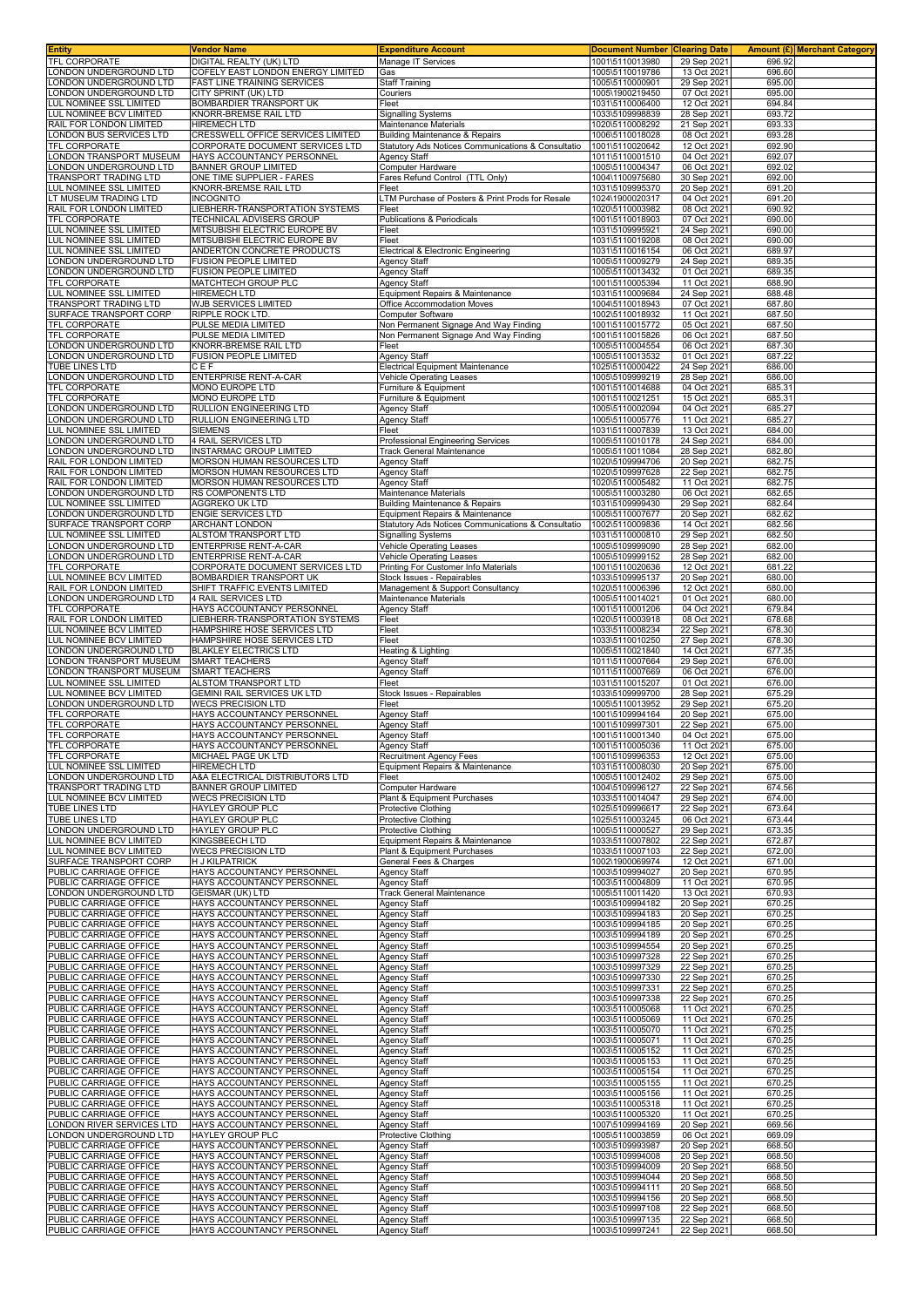| <b>Entity</b>                                      | Vendor Name                                                                    | <b>Expenditure Account</b>                                                            | <b>Document Number Clearing Date</b> |                            |                  | Amount (£) Merchant Category |
|----------------------------------------------------|--------------------------------------------------------------------------------|---------------------------------------------------------------------------------------|--------------------------------------|----------------------------|------------------|------------------------------|
| TFL CORPORATE                                      | DIGITAL REALTY (UK) LTD                                                        | Manage IT Services                                                                    | 1001\5110013980                      | 29 Sep 2021                | 696.92           |                              |
| ONDON UNDERGROUND LTD                              | <b>COFELY EAST LONDON ENERGY LIMITED</b><br><b>FAST LINE TRAINING SERVICES</b> | Gas                                                                                   | 1005\5110019786<br>1005\5110000901   | 13 Oct 2021                | 696.60           |                              |
| ONDON UNDERGROUND LTD<br>LONDON UNDERGROUND LTD    | CITY SPRINT (UK) LTD                                                           | <b>Staff Training</b><br>Couriers                                                     | 1005\1900219450                      | 29 Sep 2021<br>07 Oct 2021 | 695.00<br>695.00 |                              |
| LUL NOMINEE SSL LIMITED                            | BOMBARDIER TRANSPORT UK                                                        | Fleet                                                                                 | 1031\5110006400                      | 12 Oct 2021                | 694.84           |                              |
| LUL NOMINEE BCV LIMITED                            | KNORR-BREMSE RAIL LTD                                                          | <b>Signalling Systems</b>                                                             | 1033\5109998839                      | 28 Sep 2021                | 693.72           |                              |
| RAIL FOR LONDON LIMITED                            | <b>HIREMECH LTD</b>                                                            | Maintenance Materials                                                                 | 1020\5110008292                      | 21 Sep 2021                | 693.33           |                              |
| ONDON BUS SERVICES LTD                             | CRESSWELL OFFICE SERVICES LIMITED                                              | <b>Building Maintenance &amp; Repairs</b>                                             | 1006\5110018028                      | 08 Oct 2021                | 693.28           |                              |
| <b>TFL CORPORATE</b>                               | CORPORATE DOCUMENT SERVICES LTD                                                | Statutory Ads Notices Communications & Consultatio                                    | 1001\5110020642                      | 12 Oct 2021                | 692.90           |                              |
| ONDON TRANSPORT MUSEUM<br>ONDON UNDERGROUND LTD    | HAYS ACCOUNTANCY PERSONNEL<br><b>BANNER GROUP LIMITED</b>                      | Agency Staff<br>Computer Hardware                                                     | 1011\5110001510<br>1005\5110004347   | 04 Oct 2021<br>06 Oct 2021 | 692.07<br>692.02 |                              |
| TRANSPORT TRADING LTD                              | ONE TIME SUPPLIER - FARES                                                      | Fares Refund Control (TTL Only)                                                       | 1004\1100975680                      | 30 Sep 2021                | 692.00           |                              |
| LUL NOMINEE SSL LIMITED                            | KNORR-BREMSE RAIL LTD                                                          | Fleet                                                                                 | 1031\5109995370                      | 20 Sep 2021                | 691.20           |                              |
| T MUSEUM TRADING LTD                               | INCOGNITO                                                                      | TM Purchase of Posters & Print Prods for Resale                                       | 1024\1900020317                      | 04 Oct 2021                | 691.20           |                              |
| RAIL FOR LONDON LIMITED                            | LIEBHERR-TRANSPORTATION SYSTEMS                                                | Fleet                                                                                 | 1020\5110003982                      | 08 Oct 2021                | 690.92           |                              |
| TFL CORPORATE                                      | <b>TECHNICAL ADVISERS GROUP</b><br>MITSUBISHI ELECTRIC EUROPE BV               | Publications & Periodicals                                                            | 1001\5110018903                      | 07 Oct 2021                | 690.00<br>690.00 |                              |
| LUL NOMINEE SSL LIMITED<br>LUL NOMINEE SSL LIMITED | MITSUBISHI ELECTRIC EUROPE BV                                                  | Fleet<br>Fleet                                                                        | 1031\5109995921<br>1031\5110019208   | 24 Sep 2021<br>08 Oct 2021 | 690.00           |                              |
| LUL NOMINEE SSL LIMITED                            | ANDERTON CONCRETE PRODUCTS                                                     | Electrical & Electronic Engineering                                                   | 1031\5110016154                      | 06 Oct 2021                | 689.97           |                              |
| ONDON UNDERGROUND LTD                              | <b>FUSION PEOPLE LIMITED</b>                                                   | <b>Agency Staff</b>                                                                   | 1005\5110009279                      | 24 Sep 2021                | 689.35           |                              |
| ONDON UNDERGROUND LTD.                             | <b>FUSION PEOPLE LIMITED</b>                                                   | Agency Staff                                                                          | 1005\5110013432                      | 01 Oct 2021                | 689.35           |                              |
| TFL CORPORATE                                      | MATCHTECH GROUP PLC                                                            | <b>Agency Staff</b>                                                                   | 1001\5110005394                      | 11 Oct 2021                | 688.90           |                              |
| LUL NOMINEE SSL LIMITED<br>TRANSPORT TRADING LTD   | <b>HIREMECH LTD</b><br>WJB SERVICES LIMITED                                    | Equipment Repairs & Maintenance<br>Office Accommodation Moves                         | 1031\5110009684<br>1004\5110018943   | 24 Sep 2021<br>07 Oct 2021 | 688.48<br>687.80 |                              |
| SURFACE TRANSPORT CORP                             | RIPPLE ROCK LTD.                                                               | Computer Software                                                                     | 1002\5110018932                      | 11 Oct 2021                | 687.50           |                              |
| TFL CORPORATE                                      | PULSE MEDIA LIMITED                                                            | Non Permanent Signage And Way Finding                                                 | 1001\5110015772                      | 05 Oct 2021                | 687.50           |                              |
| TFL CORPORATE                                      | PULSE MEDIA LIMITED                                                            | Non Permanent Signage And Way Finding                                                 | 1001\5110015826                      | 06 Oct 2021                | 687.50           |                              |
| ONDON UNDERGROUND LTD                              | KNORR-BREMSE RAIL LTD                                                          | Fleet                                                                                 | 1005\5110004554                      | 06 Oct 2021                | 687.30           |                              |
| ONDON UNDERGROUND LTD<br><b>TUBE LINES LTD</b>     | <b>FUSION PEOPLE LIMITED</b>                                                   | Agency Staff                                                                          | 1005\5110013532                      | 01 Oct 2021                | 687.22           |                              |
| ONDON UNDERGROUND LTD                              | CEF<br><b>ENTERPRISE RENT-A-CAR</b>                                            | Electrical Equipment Maintenance<br>Vehicle Operating Leases                          | 1025\5110000422<br>1005\5109999219   | 24 Sep 2021<br>28 Sep 2021 | 686.00<br>686.00 |                              |
| <b>FEL CORPORATE</b>                               | MONO EUROPE LTD                                                                | Furniture & Equipment                                                                 | 1001\5110014688                      | 04 Oct 2021                | 685.31           |                              |
| <b>TFL CORPORATE</b>                               | <b>MONO EUROPE LTD</b>                                                         | Furniture & Equipment                                                                 | 1001\5110021251                      | 15 Oct 2021                | 685.31           |                              |
| ONDON UNDERGROUND LTD                              | RULLION ENGINEERING LTD                                                        | <b>Agency Staff</b>                                                                   | 1005\5110002094                      | 04 Oct 2021                | 685.27           |                              |
| ONDON UNDERGROUND LTD                              | <b>RULLION ENGINEERING LTD</b>                                                 | Agency Staff                                                                          | 1005\5110005776                      | 11 Oct 2021                | 685.27           |                              |
| UL NOMINEE SSL LIMITED<br>ONDON UNDERGROUND LTD    | SIEMENS                                                                        | Fleet                                                                                 | 1031\5110007839<br>1005\5110010178   | 13 Oct 2021                | 684.00<br>684.00 |                              |
| ONDON UNDERGROUND LTD                              | 4 RAIL SERVICES LTD<br><b>INSTARMAC GROUP LIMITED</b>                          | Professional Engineering Services<br><b>Track General Maintenance</b>                 | 1005\5110011084                      | 24 Sep 2021<br>28 Sep 2021 | 682.80           |                              |
| RAIL FOR LONDON LIMITED                            | MORSON HUMAN RESOURCES LTD                                                     | <b>Agency Staff</b>                                                                   | 1020\5109994706                      | 20 Sep 2021                | 682.75           |                              |
| RAIL FOR LONDON LIMITED                            | MORSON HUMAN RESOURCES LTD                                                     | <b>Agency Staff</b>                                                                   | 1020\5109997628                      | 22 Sep 2021                | 682.75           |                              |
| RAIL FOR LONDON LIMITED                            | MORSON HUMAN RESOURCES LTD                                                     | Agency Staff                                                                          | 1020\5110005482                      | 11 Oct 2021                | 682.75           |                              |
| LONDON UNDERGROUND LTD                             | RS COMPONENTS LTD                                                              | Maintenance Materials                                                                 | 1005\5110003280                      | 06 Oct 2021                | 682.65           |                              |
| LUL NOMINEE SSL LIMITED<br>ONDON UNDERGROUND LTD   | <b>AGGREKO UK LTD</b><br><b>ENGIE SERVICES LTD</b>                             | <b>Building Maintenance &amp; Repairs</b>                                             | 1031\5109999430<br>1005\5110007677   | 29 Sep 2021<br>20 Sep 2021 | 682.64<br>682.62 |                              |
| SURFACE TRANSPORT CORP                             | <b>ARCHANT LONDON</b>                                                          | Equipment Repairs & Maintenance<br>Statutory Ads Notices Communications & Consultatio | 1002\5110009836                      | 14 Oct 2021                | 682.56           |                              |
| LUL NOMINEE SSL LIMITED                            | ALSTOM TRANSPORT LTD                                                           | <b>Signalling Systems</b>                                                             | 1031\5110000810                      | 29 Sep 2021                | 682.50           |                              |
| ONDON UNDERGROUND LTD                              | <b>ENTERPRISE RENT-A-CAR</b>                                                   | <b>Vehicle Operating Leases</b>                                                       | 1005\5109999090                      | 28 Sep 2021                | 682.00           |                              |
| ONDON UNDERGROUND LTD.                             | <b>ENTERPRISE RENT-A-CAR</b>                                                   | Vehicle Operating Leases                                                              | 1005\5109999152                      | 28 Sep 2021                | 682.00           |                              |
| <b>TFL CORPORATE</b>                               | CORPORATE DOCUMENT SERVICES LTD                                                | Printing For Customer Info Materials                                                  | 1001\5110020636                      | 12 Oct 2021                | 681.22           |                              |
| LUL NOMINEE BCV LIMITED                            | BOMBARDIER TRANSPORT UK                                                        | Stock Issues - Repairables                                                            | 1033\5109995137                      | 20 Sep 2021                | 680.00           |                              |
| RAIL FOR LONDON LIMITED<br>ONDON UNDERGROUND LTD   | SHIFT TRAFFIC EVENTS LIMITED<br>4 RAIL SERVICES LTD                            | Management & Support Consultancy<br>Maintenance Materials                             | 1020\5110006396<br>1005\5110014021   | 12 Oct 2021<br>01 Oct 2021 | 680.00<br>680.00 |                              |
| <b>TFL CORPORATE</b>                               | HAYS ACCOUNTANCY PERSONNEL                                                     | Agency Staff                                                                          | 1001\5110001206                      | 04 Oct 2021                | 679.84           |                              |
| RAIL FOR LONDON LIMITED                            | LIEBHERR-TRANSPORTATION SYSTEMS                                                | Fleet                                                                                 | 1020\5110003918                      | 08 Oct 2021                | 678.68           |                              |
| UL NOMINEE BCV LIMITED                             | HAMPSHIRE HOSE SERVICES LTD                                                    | Fleet                                                                                 | 1033\5110008234                      | 22 Sep 2021                | 678.30           |                              |
| LUL NOMINEE BCV LIMITED                            | HAMPSHIRE HOSE SERVICES LTD                                                    | Fleet                                                                                 | 1033\5110010250                      | 27 Sep 2021                | 678.30           |                              |
| ONDON UNDERGROUND LTD                              | <b>BLAKLEY ELECTRICS LTD</b>                                                   | Heating & Lighting                                                                    | 1005\5110021840                      | 14 Oct 2021                | 677.35           |                              |
| ONDON TRANSPORT MUSEUM<br>ONDON TRANSPORT MUSEUM   | <b>SMART TEACHERS</b><br><b>SMART TEACHERS</b>                                 | Agency Staff<br>Agency Staff                                                          | 1011\5110007664<br>1011\5110007669   | 29 Sep 2021<br>06 Oct 2021 | 676.00<br>676.00 |                              |
| LUL NOMINEE SSL LIMITED                            | ALSTOM TRANSPORT LTD                                                           | Fleet                                                                                 | 1031\5110015207                      | 01 Oct 2021                | 676.00           |                              |
| LUL NOMINEE BCV LIMITED                            | GEMINI RAIL SERVICES UK LTD                                                    | Stock Issues - Repairables                                                            | 1033\5109999700                      | 28 Sep 2021                | 675.29           |                              |
| ONDON UNDERGROUND LTD                              | <b>WECS PRECISION LTD</b>                                                      | Fleet                                                                                 | 1005\5110013952                      | 29 Sep 2021                | 675.20           |                              |
| TFL CORPORATE                                      | HAYS ACCOUNTANCY PERSONNEL                                                     | Agency Staff                                                                          | 1001\5109994164                      | 20 Sep 2021                | 675.00           |                              |
| <b>TFL CORPORATE</b>                               | HAYS ACCOUNTANCY PERSONNEL                                                     | <b>Agency Staff</b>                                                                   | 1001\5109997301                      | 22 Sep 2021                | 675.00           |                              |
| <b>TFL CORPORATE</b><br><b>TFL CORPORATE</b>       | HAYS ACCOUNTANCY PERSONNEL<br>HAYS ACCOUNTANCY PERSONNEL                       | <b>Agency Staff</b><br>Agency Staff                                                   | 1001\5110001340<br>1001\5110005036   | 04 Oct 2021<br>11 Oct 2021 | 675.00<br>675.00 |                              |
| <b>TFL CORPORATE</b>                               | MICHAEL PAGE UK LTD                                                            | <b>Recruitment Agency Fees</b>                                                        | 1001\5109996353                      | 12 Oct 2021                | 675.00           |                              |
| LUL NOMINEE SSL LIMITED                            | <b>HIREMECH LTD</b>                                                            | Equipment Repairs & Maintenance                                                       | 1031\5110008030                      | 20 Sep 2021                | 675.00           |                              |
| LONDON UNDERGROUND LTD                             | A&A ELECTRICAL DISTRIBUTORS LTD                                                | Fleet                                                                                 | 1005\5110012402                      | 29 Sep 2021                | 675.00           |                              |
| TRANSPORT TRADING LTD<br>LUL NOMINEE BCV LIMITED   | <b>BANNER GROUP LIMITED</b><br><b>WECS PRECISION LTD</b>                       | <b>Computer Hardware</b>                                                              | 1004\5109996127                      | 22 Sep 2021                | 674.56           |                              |
| TUBE LINES LTD                                     | HAYLEY GROUP PLC                                                               | Plant & Equipment Purchases<br>Protective Clothing                                    | 1033\5110014047<br>1025\5109996617   | 29 Sep 2021<br>22 Sep 2021 | 674.00<br>673.64 |                              |
| TUBE LINES LTD                                     | <b>HAYLEY GROUP PLC</b>                                                        | <b>Protective Clothing</b>                                                            | 1025\5110003245                      | 06 Oct 2021                | 673.44           |                              |
| ONDON UNDERGROUND LTD                              | HAYLEY GROUP PLC                                                               | Protective Clothing                                                                   | 1005\5110000527                      | 29 Sep 2021                | 673.35           |                              |
| LUL NOMINEE BCV LIMITED                            | KINGSBEECH LTD                                                                 | Equipment Repairs & Maintenance                                                       | 1033\5110007802                      | 22 Sep 2021                | 672.87           |                              |
| LUL NOMINEE BCV LIMITED                            | <b>WECS PRECISION LTD</b>                                                      | Plant & Equipment Purchases                                                           | 1033\5110007103                      | 22 Sep 2021                | 672.00           |                              |
| SURFACE TRANSPORT CORP<br>PUBLIC CARRIAGE OFFICE   | <b>H J KILPATRICK</b><br>HAYS ACCOUNTANCY PERSONNEL                            | General Fees & Charges                                                                | 1002\1900069974<br>1003\5109994027   | 12 Oct 2021<br>20 Sep 2021 | 671.00<br>670.95 |                              |
| PUBLIC CARRIAGE OFFICE                             | HAYS ACCOUNTANCY PERSONNEL                                                     | <b>Agency Staff</b><br>Agency Staff                                                   | 1003\5110004809                      | 11 Oct 2021                | 670.95           |                              |
| ONDON UNDERGROUND LTD                              | <b>GEISMAR (UK) LTD</b>                                                        | Track General Maintenance                                                             | 1005\5110011420                      | 13 Oct 2021                | 670.93           |                              |
| PUBLIC CARRIAGE OFFICE                             | HAYS ACCOUNTANCY PERSONNEL                                                     | <b>Agency Staff</b>                                                                   | 1003\5109994182                      | 20 Sep 2021                | 670.25           |                              |
| PUBLIC CARRIAGE OFFICE                             | HAYS ACCOUNTANCY PERSONNEL                                                     | <b>Agency Staff</b>                                                                   | 1003\5109994183                      | 20 Sep 2021                | 670.25           |                              |
| PUBLIC CARRIAGE OFFICE<br>PUBLIC CARRIAGE OFFICE   | HAYS ACCOUNTANCY PERSONNEL                                                     | Agency Staff                                                                          | 1003\5109994185                      | 20 Sep 2021<br>20 Sep 2021 | 670.25           |                              |
| PUBLIC CARRIAGE OFFICE                             | HAYS ACCOUNTANCY PERSONNEL<br>HAYS ACCOUNTANCY PERSONNEL                       | <b>Agency Staff</b><br><b>Agency Staff</b>                                            | 1003\5109994189<br>1003\5109994554   | 20 Sep 2021                | 670.25<br>670.25 |                              |
| PUBLIC CARRIAGE OFFICE                             | HAYS ACCOUNTANCY PERSONNEL                                                     | <b>Agency Staff</b>                                                                   | 1003\5109997328                      | 22 Sep 2021                | 670.25           |                              |
| PUBLIC CARRIAGE OFFICE                             | HAYS ACCOUNTANCY PERSONNEL                                                     | <b>Agency Staff</b>                                                                   | 1003\5109997329                      | 22 Sep 2021                | 670.25           |                              |
| PUBLIC CARRIAGE OFFICE                             | HAYS ACCOUNTANCY PERSONNEL                                                     | <b>Agency Staff</b>                                                                   | 1003\5109997330                      | 22 Sep 2021                | 670.25           |                              |
| PUBLIC CARRIAGE OFFICE                             | HAYS ACCOUNTANCY PERSONNEL                                                     | <b>Agency Staff</b>                                                                   | 1003\5109997331                      | 22 Sep 2021                | 670.25           |                              |
| PUBLIC CARRIAGE OFFICE<br>PUBLIC CARRIAGE OFFICE   | HAYS ACCOUNTANCY PERSONNEL<br>HAYS ACCOUNTANCY PERSONNEL                       | Agency Staff<br><b>Agency Staff</b>                                                   | 1003\5109997338<br>1003\5110005068   | 22 Sep 2021<br>11 Oct 2021 | 670.25<br>670.25 |                              |
| PUBLIC CARRIAGE OFFICE                             | HAYS ACCOUNTANCY PERSONNEL                                                     | <b>Agency Staff</b>                                                                   | 1003\5110005069                      | 11 Oct 2021                | 670.25           |                              |
| <b>UBLIC CARRIAGE OFFICE</b>                       | HAYS ACCOUNTANCY PERSONNEL                                                     | <b>Agency Staff</b>                                                                   | 1003\5110005070                      | 11 Oct 2021                | 670.25           |                              |
| PUBLIC CARRIAGE OFFICE                             | HAYS ACCOUNTANCY PERSONNEL                                                     | <b>Agency Staff</b>                                                                   | 1003\5110005071                      | 11 Oct 2021                | 670.25           |                              |
| PUBLIC CARRIAGE OFFICE                             | HAYS ACCOUNTANCY PERSONNEL                                                     | <b>Agency Staff</b>                                                                   | 1003\5110005152                      | 11 Oct 2021                | 670.25           |                              |
| PUBLIC CARRIAGE OFFICE<br>PUBLIC CARRIAGE OFFICE   | HAYS ACCOUNTANCY PERSONNEL<br>HAYS ACCOUNTANCY PERSONNEL                       | <b>Agency Staff</b>                                                                   | 1003\5110005153<br>1003\5110005154   | 11 Oct 2021                | 670.25           |                              |
| PUBLIC CARRIAGE OFFICE                             | HAYS ACCOUNTANCY PERSONNEL                                                     | <b>Agency Staff</b><br><b>Agency Staff</b>                                            | 1003\5110005155                      | 11 Oct 2021<br>11 Oct 2021 | 670.25<br>670.25 |                              |
| PUBLIC CARRIAGE OFFICE                             | HAYS ACCOUNTANCY PERSONNEL                                                     | <b>Agency Staff</b>                                                                   | 1003\5110005156                      | 11 Oct 2021                | 670.25           |                              |
| PUBLIC CARRIAGE OFFICE                             | HAYS ACCOUNTANCY PERSONNEL                                                     | <b>Agency Staff</b>                                                                   | 1003\5110005318                      | 11 Oct 2021                | 670.25           |                              |
| PUBLIC CARRIAGE OFFICE                             | HAYS ACCOUNTANCY PERSONNEL                                                     | <b>Agency Staff</b>                                                                   | 1003\5110005320                      | 11 Oct 2021                | 670.25           |                              |
| ONDON RIVER SERVICES LTD                           | HAYS ACCOUNTANCY PERSONNEL                                                     | <b>Agency Staff</b>                                                                   | 1007\5109994169                      | 20 Sep 2021                | 669.56           |                              |
| ONDON UNDERGROUND LTD<br>PUBLIC CARRIAGE OFFICE    | <b>HAYLEY GROUP PLC</b><br>HAYS ACCOUNTANCY PERSONNEL                          | Protective Clothing<br><b>Agency Staff</b>                                            | 1005\5110003859<br>1003\5109993987   | 06 Oct 2021<br>20 Sep 2021 | 669.09<br>668.50 |                              |
| PUBLIC CARRIAGE OFFICE                             | HAYS ACCOUNTANCY PERSONNEL                                                     | Agency Staff                                                                          | 1003\5109994008                      | 20 Sep 2021                | 668.50           |                              |
| PUBLIC CARRIAGE OFFICE                             | HAYS ACCOUNTANCY PERSONNEL                                                     | <b>Agency Staff</b>                                                                   | 1003\5109994009                      | 20 Sep 2021                | 668.50           |                              |
| PUBLIC CARRIAGE OFFICE                             | HAYS ACCOUNTANCY PERSONNEL                                                     | <b>Agency Staff</b>                                                                   | 1003\5109994044                      | 20 Sep 2021                | 668.50           |                              |
| PUBLIC CARRIAGE OFFICE                             | HAYS ACCOUNTANCY PERSONNEL                                                     | <b>Agency Staff</b>                                                                   | 1003\5109994111                      | 20 Sep 2021                | 668.50           |                              |
| PUBLIC CARRIAGE OFFICE<br>PUBLIC CARRIAGE OFFICE   | HAYS ACCOUNTANCY PERSONNEL<br>HAYS ACCOUNTANCY PERSONNEL                       | <b>Agency Staff</b><br><b>Agency Staff</b>                                            | 1003\5109994156<br>1003\5109997108   | 20 Sep 2021<br>22 Sep 2021 | 668.50<br>668.50 |                              |
| PUBLIC CARRIAGE OFFICE                             | HAYS ACCOUNTANCY PERSONNEL                                                     | <b>Agency Staff</b>                                                                   | 1003\5109997135                      | 22 Sep 2021                | 668.50           |                              |
| PUBLIC CARRIAGE OFFICE                             | HAYS ACCOUNTANCY PERSONNEL                                                     | <b>Agency Staff</b>                                                                   | 1003\5109997241                      | 22 Sep 2021                | 668.50           |                              |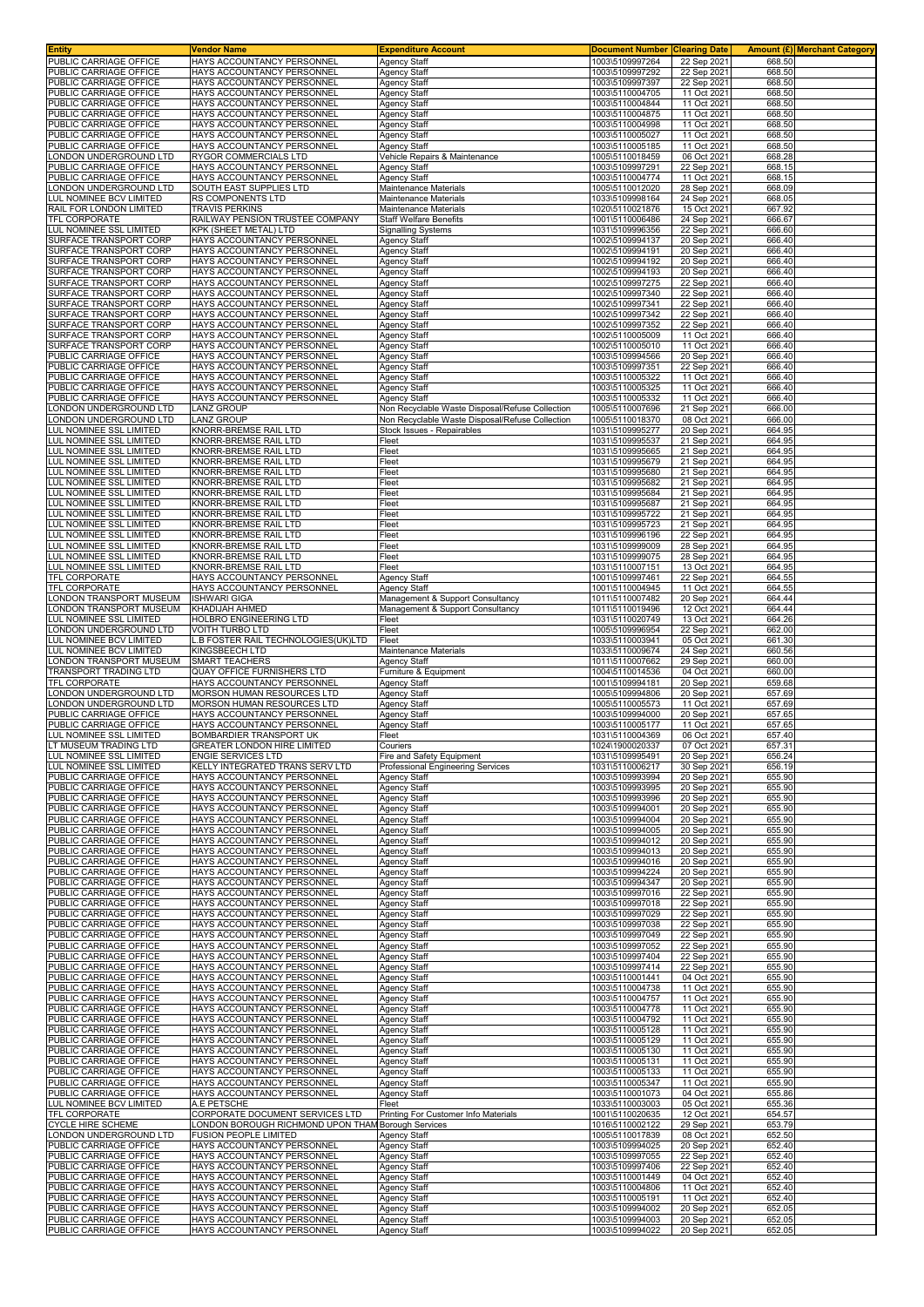| Entity                                                         | <b>Vendor Name</b>                                                  | <b>Expenditure Account</b>                                                    | <b>Document Number</b>             | <b>Clearing Date</b>       |                  | <b>Amount (£) Merchant Category</b> |
|----------------------------------------------------------------|---------------------------------------------------------------------|-------------------------------------------------------------------------------|------------------------------------|----------------------------|------------------|-------------------------------------|
| PUBLIC CARRIAGE OFFICE                                         | HAYS ACCOUNTANCY PERSONNEL                                          | <b>Agency Staff</b>                                                           | 1003\5109997264                    | 22 Sep 2021                | 668.50           |                                     |
| PUBLIC CARRIAGE OFFICE<br>PUBLIC CARRIAGE OFFICE               | HAYS ACCOUNTANCY PERSONNEL<br>HAYS ACCOUNTANCY PERSONNEL            | <b>Agency Staff</b><br><b>Agency Staff</b>                                    | 1003\5109997292<br>1003\5109997397 | 22 Sep 2021                | 668.50<br>668.50 |                                     |
| PUBLIC CARRIAGE OFFICE                                         | HAYS ACCOUNTANCY PERSONNEI                                          | <b>Agency Staff</b>                                                           | 1003\5110004705                    | 22 Sep 2021<br>11 Oct 2021 | 668.50           |                                     |
| PUBLIC CARRIAGE OFFICE                                         | HAYS ACCOUNTANCY PERSONNEL                                          | <b>Agency Staff</b>                                                           | 1003\5110004844                    | 11 Oct 2021                | 668.50           |                                     |
| PUBLIC CARRIAGE OFFICE                                         | HAYS ACCOUNTANCY PERSONNEL                                          | Agency Staff                                                                  | 1003\5110004875                    | 11 Oct 2021                | 668.50           |                                     |
| PUBLIC CARRIAGE OFFICE                                         | HAYS ACCOUNTANCY PERSONNEL                                          | <b>Agency Staff</b>                                                           | 1003\5110004998                    | 11 Oct 2021                | 668.50           |                                     |
| PUBLIC CARRIAGE OFFICE                                         | HAYS ACCOUNTANCY PERSONNEL                                          | Agency Staff                                                                  | 1003\5110005027                    | 11 Oct 2021                | 668.50           |                                     |
| PUBLIC CARRIAGE OFFICE<br>ONDON UNDERGROUND LTD                | HAYS ACCOUNTANCY PERSONNEL<br>RYGOR COMMERCIALS LTD                 | <b>Agency Staff</b><br>Vehicle Repairs & Maintenance                          | 1003\5110005185<br>1005\5110018459 | 11 Oct 2021<br>06 Oct 2021 | 668.50<br>668.28 |                                     |
| PUBLIC CARRIAGE OFFICE                                         | HAYS ACCOUNTANCY PERSONNEL                                          | Agency Staff                                                                  | 1003\5109997291                    | 22 Sep 2021                | 668.15           |                                     |
| PUBLIC CARRIAGE OFFICE                                         | HAYS ACCOUNTANCY PERSONNEL                                          | Agency Staff                                                                  | 1003\5110004774                    | 11 Oct 2021                | 668.15           |                                     |
| ONDON UNDERGROUND LTD                                          | SOUTH EAST SUPPLIES LTD                                             | Maintenance Materials                                                         | 1005\5110012020                    | 28 Sep 202                 | 668.09           |                                     |
| <b>UL NOMINEE BCV LIMITED</b>                                  | RS COMPONENTS LTD                                                   | Maintenance Materials                                                         | 1033\5109998164                    | 24 Sep 2021                | 668.05           |                                     |
| RAIL FOR LONDON LIMITED                                        | TRAVIS PERKINS                                                      | Maintenance Materials                                                         | 1020\5110021876                    | 15 Oct 2021                | 667.92           |                                     |
| <b>TFL CORPORATE</b><br><b>LUL NOMINEE SSL LIMITED</b>         | RAILWAY PENSION TRUSTEE COMPANY<br>KPK (SHEET METAL) LTD            | <b>Staff Welfare Benefits</b><br><b>Signalling Systems</b>                    | 1001\5110006486<br>1031\5109996356 | 24 Sep 2021<br>22 Sep 2021 | 666.67<br>666.60 |                                     |
| SURFACE TRANSPORT CORP                                         | HAYS ACCOUNTANCY PERSONNEL                                          | <b>Agency Staff</b>                                                           | 1002\5109994137                    | 20 Sep 2021                | 666.40           |                                     |
| SURFACE TRANSPORT CORP                                         | HAYS ACCOUNTANCY PERSONNEL                                          | <b>Agency Staff</b>                                                           | 1002\5109994191                    | 20 Sep 2021                | 666.40           |                                     |
| SURFACE TRANSPORT CORP                                         | HAYS ACCOUNTANCY PERSONNEL                                          | <b>Agency Staff</b>                                                           | 1002\5109994192                    | 20 Sep 2021                | 666.40           |                                     |
| SURFACE TRANSPORT CORP                                         | HAYS ACCOUNTANCY PERSONNEL                                          | Agency Staff                                                                  | 1002\5109994193                    | 20 Sep 2021                | 666.40           |                                     |
| SURFACE TRANSPORT CORP<br>SURFACE TRANSPORT CORP               | HAYS ACCOUNTANCY PERSONNEL<br>HAYS ACCOUNTANCY PERSONNEL            | Agency Staff<br>Agency Staff                                                  | 1002\5109997275<br>1002\5109997340 | 22 Sep 2021<br>22 Sep 2021 | 666.40<br>666.40 |                                     |
| SURFACE TRANSPORT CORP                                         | <b>HAYS ACCOUNTANCY PERSONNEL</b>                                   | <b>Agency Staff</b>                                                           | 1002\5109997341                    | 22 Sep 2021                | 666.40           |                                     |
| SURFACE TRANSPORT CORP                                         | HAYS ACCOUNTANCY PERSONNEI                                          | <b>Agency Staff</b>                                                           | 1002\5109997342                    | 22 Sep 2021                | 666.40           |                                     |
| SURFACE TRANSPORT CORP                                         | HAYS ACCOUNTANCY PERSONNEL                                          | <b>Agency Staff</b>                                                           | 1002\5109997352                    | 22 Sep 2021                | 666.40           |                                     |
| SURFACE TRANSPORT CORP                                         | HAYS ACCOUNTANCY PERSONNEI                                          | <b>Agency Staff</b>                                                           | 1002\5110005009                    | 11 Oct 2021                | 666.40           |                                     |
| SURFACE TRANSPORT CORP                                         | HAYS ACCOUNTANCY PERSONNEL                                          | <b>Agency Staff</b>                                                           | 1002\5110005010                    | 11 Oct 2021                | 666.40           |                                     |
| PUBLIC CARRIAGE OFFICE<br>PUBLIC CARRIAGE OFFICE               | HAYS ACCOUNTANCY PERSONNEL<br><b>HAYS ACCOUNTANCY PERSONNEL</b>     | Agency Staff<br>Agency Staff                                                  | 1003\5109994566<br>1003\5109997351 | 20 Sep 2021<br>22 Sep 2021 | 666.40<br>666.40 |                                     |
| PUBLIC CARRIAGE OFFICE                                         | HAYS ACCOUNTANCY PERSONNEL                                          | Agency Staff                                                                  | 1003\5110005322                    | 11 Oct 2021                | 666.40           |                                     |
| PUBLIC CARRIAGE OFFICE                                         | HAYS ACCOUNTANCY PERSONNEL                                          | Agency Staff                                                                  | 1003\5110005325                    | 11 Oct 2021                | 666.40           |                                     |
| PUBLIC CARRIAGE OFFICE                                         | HAYS ACCOUNTANCY PERSONNEL                                          | Agency Staff                                                                  | 1003\5110005332                    | 11 Oct 2021                | 666.40           |                                     |
| ONDON UNDERGROUND LTD                                          | ANZ GROUP                                                           | Non Recyclable Waste Disposal/Refuse Collection                               | 1005\5110007696                    | 21 Sep 2021                | 666.00           |                                     |
| ONDON UNDERGROUND LTD.<br><b>UL NOMINEE SSL LIMITED</b>        | LANZ GROUP<br>KNORR-BREMSE RAIL LTD                                 | Non Recyclable Waste Disposal/Refuse Collection<br>Stock Issues - Repairables | 1005\5110018370<br>1031\5109995277 | 08 Oct 2021<br>20 Sep 2021 | 666.00<br>664.95 |                                     |
| UL NOMINEE SSL LIMITED                                         | KNORR-BREMSE RAIL LTD                                               | Fleet                                                                         | 1031\5109995537                    | 21 Sep 2021                | 664.95           |                                     |
| UL NOMINEE SSL LIMITED                                         | KNORR-BREMSE RAIL LTD                                               | Fleet                                                                         | 1031\5109995665                    | 21 Sep 2021                | 664.95           |                                     |
| <b>UL NOMINEE SSL LIMITED</b>                                  | KNORR-BREMSE RAIL LTD                                               | Fleet                                                                         | 1031\5109995679                    | 21 Sep 2021                | 664.95           |                                     |
| UL NOMINEE SSL LIMITED                                         | KNORR-BREMSE RAIL LTD                                               | Fleet                                                                         | 1031\5109995680                    | 21 Sep 2021                | 664.95           |                                     |
| UL NOMINEE SSL LIMITED.                                        | KNORR-BREMSE RAIL LTD                                               | Fleet                                                                         | 1031\5109995682                    | 21 Sep 2021                | 664.95           |                                     |
| <b>UL NOMINEE SSL LIMITED</b>                                  | KNORR-BREMSE RAIL LTD                                               | Fleet<br>Fleet                                                                | 1031\5109995684<br>1031\5109995687 | 21 Sep 2021                | 664.95<br>664.95 |                                     |
| UL NOMINEE SSL LIMITED.<br><b>LUL NOMINEE SSL LIMITED</b>      | KNORR-BREMSE RAIL LTD<br>KNORR-BREMSE RAIL LTD                      | Fleet                                                                         | 1031\5109995722                    | 21 Sep 2021<br>21 Sep 2021 | 664.95           |                                     |
| <b>LUL NOMINEE SSL LIMITED</b>                                 | KNORR-BREMSE RAIL LTD                                               | Fleet                                                                         | 1031\5109995723                    | 21 Sep 2021                | 664.95           |                                     |
| UL NOMINEE SSL LIMITED                                         | KNORR-BREMSE RAIL LTD                                               | Fleet                                                                         | 1031\5109996196                    | 22 Sep 2021                | 664.95           |                                     |
| LUL NOMINEE SSL LIMITED                                        | KNORR-BREMSE RAIL LTD                                               | Fleet                                                                         | 1031\5109999009                    | 28 Sep 2021                | 664.95           |                                     |
| <b>LUL NOMINEE SSL LIMITED</b>                                 | KNORR-BREMSE RAIL LTD                                               | Fleet                                                                         | 1031\5109999075                    | 28 Sep 2021                | 664.95           |                                     |
| UL NOMINEE SSL LIMITED                                         | KNORR-BREMSE RAIL LTD                                               | Fleet                                                                         | 1031\5110007151                    | 13 Oct 2021                | 664.95           |                                     |
| <b>TFL CORPORATE</b><br><b>TFL CORPORATE</b>                   | HAYS ACCOUNTANCY PERSONNEI<br>HAYS ACCOUNTANCY PERSONNEI            | Agency Staff<br><b>Agency Staff</b>                                           | 1001\5109997461<br>1001\5110004945 | 22 Sep 2021<br>11 Oct 2021 | 664.55<br>664.55 |                                     |
| ONDON TRANSPORT MUSEUM                                         | ISHWARI GIGA                                                        | Management & Support Consultancy                                              | 1011\5110007482                    | 20 Sep 2021                | 664.44           |                                     |
| ONDON TRANSPORT MUSEUM                                         | KHADIJAH AHMED                                                      | Management & Support Consultancy                                              | 1011\5110019496                    | 12 Oct 2021                | 664.44           |                                     |
| UL NOMINEE SSL LIMITED.                                        | HOLBRO ENGINEERING LTD                                              | Fleet                                                                         | 1031\5110020749                    | 13 Oct 2021                | 664.26           |                                     |
| ONDON UNDERGROUND LTD                                          | VOITH TURBO LTD                                                     | Fleet                                                                         | 1005\5109996954                    | 22 Sep 2021                | 662.00           |                                     |
| <b>UL NOMINEE BCV LIMITED</b><br><b>UL NOMINEE BCV LIMITED</b> | .B FOSTER RAIL TECHNOLOGIES(UK)LTD<br>(INGSBEECH LTD                | Fleet<br>Maintenance Materials                                                | 1033\5110003941<br>1033\5110009674 | 05 Oct 2021<br>24 Sep 2021 | 661.30<br>660.56 |                                     |
| ONDON TRANSPORT MUSEUM.                                        | SMART TEACHERS                                                      | Agency Staff                                                                  | 1011\5110007662                    | 29 Sep 2021                | 660.00           |                                     |
| <b>FRANSPORT TRADING LTD</b>                                   | QUAY OFFICE FURNISHERS LTD                                          | Furniture & Equipment                                                         | 1004\5110014536                    | 04 Oct 2021                | 660.00           |                                     |
| <b>TFL CORPORATE</b>                                           | HAYS ACCOUNTANCY PERSONNEL                                          | Agency Staff                                                                  | 1001\5109994181                    | 20 Sep 2021                | 659.68           |                                     |
| ONDON UNDERGROUND LTD                                          | MORSON HUMAN RESOURCES LTD                                          | <b>Agency Staff</b>                                                           | 1005\5109994806                    | 20 Sep 2021                | 657.69           |                                     |
| ONDON UNDERGROUND LTD.                                         | MORSON HUMAN RESOURCES LTD                                          | <b>Agency Staff</b>                                                           | 1005\5110005573                    | 11 Oct 2021                | 657.69           |                                     |
| PUBLIC CARRIAGE OFFICE<br>PUBLIC CARRIAGE OFFICE               | HAYS ACCOUNTANCY PERSONNEL<br>HAYS ACCOUNTANCY PERSONNEL            | <b>Agency Staff</b><br><b>Agency Staff</b>                                    | 1003\5109994000<br>1003\5110005177 | 20 Sep 2021<br>11 Oct 2021 | 657.65<br>657.65 |                                     |
| LUL NOMINEE SSL LIMITED                                        | BOMBARDIER TRANSPORT UK                                             | Fleet                                                                         | 1031\5110004369                    | 06 Oct 2021                | 657.40           |                                     |
| LT MUSEUM TRADING LTD                                          | GREATER LONDON HIRE LIMITED                                         | Couriers                                                                      | 1024\1900020337                    | 07 Oct 2021                | 657.31           |                                     |
| LUL NOMINEE SSL LIMITED                                        | <b>ENGIE SERVICES LTD</b>                                           | Fire and Safety Equipment                                                     | 1031\5109995491                    | 20 Sep 2021                | 656.24           |                                     |
| UL NOMINEE SSL LIMITED                                         | KELLY INTEGRATED TRANS SERV LTD                                     | Professional Engineering Services<br><b>Agency Staff</b>                      | 1031\5110006217                    | 30 Sep 2021                | 656.19           |                                     |
| PUBLIC CARRIAGE OFFICE<br>PUBLIC CARRIAGE OFFICE               | HAYS ACCOUNTANCY PERSONNEL<br>HAYS ACCOUNTANCY PERSONNEL            | <b>Agency Staff</b>                                                           | 1003\5109993994<br>1003\5109993995 | 20 Sep 2021<br>20 Sep 2021 | 655.90<br>655.90 |                                     |
| PUBLIC CARRIAGE OFFICE                                         | HAYS ACCOUNTANCY PERSONNEL                                          | <b>Agency Staff</b>                                                           | 1003\5109993996                    | 20 Sep 2021                | 655.90           |                                     |
| PUBLIC CARRIAGE OFFICE                                         | HAYS ACCOUNTANCY PERSONNEL                                          | <b>Agency Staff</b>                                                           | 1003\5109994001                    | 20 Sep 2021                | 655.90           |                                     |
| PUBLIC CARRIAGE OFFICE                                         | HAYS ACCOUNTANCY PERSONNEL                                          | <b>Agency Staff</b>                                                           | 1003\5109994004                    | 20 Sep 2021                | 655.90           |                                     |
| PUBLIC CARRIAGE OFFICE                                         | HAYS ACCOUNTANCY PERSONNEL                                          | <b>Agency Staff</b>                                                           | 1003\5109994005                    | 20 Sep 2021                | 655.90           |                                     |
| PUBLIC CARRIAGE OFFICE<br>PUBLIC CARRIAGE OFFICE               | HAYS ACCOUNTANCY PERSONNEL<br>HAYS ACCOUNTANCY PERSONNEL            | Agency Staff<br>Agency Staff                                                  | 1003\5109994012<br>1003\5109994013 | 20 Sep 2021<br>20 Sep 2021 | 655.90<br>655.90 |                                     |
| PUBLIC CARRIAGE OFFICE                                         | HAYS ACCOUNTANCY PERSONNEL                                          | <b>Agency Staff</b>                                                           | 1003\5109994016                    | 20 Sep 2021                | 655.90           |                                     |
| PUBLIC CARRIAGE OFFICE                                         | HAYS ACCOUNTANCY PERSONNEL                                          | <b>Agency Staff</b>                                                           | 1003\5109994224                    | 20 Sep 2021                | 655.90           |                                     |
| PUBLIC CARRIAGE OFFICE                                         | HAYS ACCOUNTANCY PERSONNEL                                          | Agency Staff                                                                  | 1003\5109994347                    | 20 Sep 2021                | 655.90           |                                     |
| PUBLIC CARRIAGE OFFICE                                         | HAYS ACCOUNTANCY PERSONNEL                                          | <b>Agency Staff</b>                                                           | 1003\5109997016                    | 22 Sep 2021                | 655.90           |                                     |
| PUBLIC CARRIAGE OFFICE<br>PUBLIC CARRIAGE OFFICE               | HAYS ACCOUNTANCY PERSONNEL<br>HAYS ACCOUNTANCY PERSONNEL            | <b>Agency Staff</b><br>Agency Staff                                           | 1003\5109997018<br>1003\5109997029 | 22 Sep 2021<br>22 Sep 2021 | 655.90<br>655.90 |                                     |
| PUBLIC CARRIAGE OFFICE                                         | HAYS ACCOUNTANCY PERSONNEL                                          | Agency Staff                                                                  | 1003\5109997038                    | 22 Sep 2021                | 655.90           |                                     |
| PUBLIC CARRIAGE OFFICE                                         | HAYS ACCOUNTANCY PERSONNEL                                          | <b>Agency Staff</b>                                                           | 1003\5109997049                    | 22 Sep 2021                | 655.90           |                                     |
| PUBLIC CARRIAGE OFFICE                                         | HAYS ACCOUNTANCY PERSONNEL                                          | <b>Agency Staff</b>                                                           | 1003\5109997052                    | 22 Sep 2021                | 655.90           |                                     |
| PUBLIC CARRIAGE OFFICE                                         | HAYS ACCOUNTANCY PERSONNEL                                          | <b>Agency Staff</b>                                                           | 1003\5109997404                    | 22 Sep 2021                | 655.90           |                                     |
| PUBLIC CARRIAGE OFFICE                                         | HAYS ACCOUNTANCY PERSONNEL                                          | <b>Agency Staff</b>                                                           | 1003\5109997414                    | 22 Sep 2021                | 655.90           |                                     |
| PUBLIC CARRIAGE OFFICE<br>PUBLIC CARRIAGE OFFICE               | HAYS ACCOUNTANCY PERSONNEL<br>HAYS ACCOUNTANCY PERSONNEL            | <b>Agency Staff</b><br><b>Agency Staff</b>                                    | 1003\5110001441<br>1003\5110004738 | 04 Oct 2021<br>11 Oct 2021 | 655.90<br>655.90 |                                     |
| PUBLIC CARRIAGE OFFICE                                         | HAYS ACCOUNTANCY PERSONNEL                                          | Agency Staff                                                                  | 1003\5110004757                    | 11 Oct 2021                | 655.90           |                                     |
| PUBLIC CARRIAGE OFFICE                                         | HAYS ACCOUNTANCY PERSONNEL                                          | Agency Staff                                                                  | 1003\5110004778                    | 11 Oct 2021                | 655.90           |                                     |
| PUBLIC CARRIAGE OFFICE                                         | HAYS ACCOUNTANCY PERSONNEL                                          | <b>Agency Staff</b>                                                           | 1003\5110004792                    | 11 Oct 2021                | 655.90           |                                     |
| PUBLIC CARRIAGE OFFICE                                         | HAYS ACCOUNTANCY PERSONNEL                                          | <b>Agency Staff</b>                                                           | 1003\5110005128                    | 11 Oct 2021                | 655.90           |                                     |
| PUBLIC CARRIAGE OFFICE<br>PUBLIC CARRIAGE OFFICE               | HAYS ACCOUNTANCY PERSONNEL<br>HAYS ACCOUNTANCY PERSONNEL            | <b>Agency Staff</b><br><b>Agency Staff</b>                                    | 1003\5110005129<br>1003\5110005130 | 11 Oct 2021<br>11 Oct 2021 | 655.90<br>655.90 |                                     |
| PUBLIC CARRIAGE OFFICE                                         | HAYS ACCOUNTANCY PERSONNEL                                          | <b>Agency Staff</b>                                                           | 1003\5110005131                    | 11 Oct 2021                | 655.90           |                                     |
| PUBLIC CARRIAGE OFFICE                                         | HAYS ACCOUNTANCY PERSONNEL                                          | <b>Agency Staff</b>                                                           | 1003\5110005133                    | 11 Oct 2021                | 655.90           |                                     |
| PUBLIC CARRIAGE OFFICE                                         | HAYS ACCOUNTANCY PERSONNEL                                          | Agency Staff                                                                  | 1003\5110005347                    | 11 Oct 2021                | 655.90           |                                     |
| PUBLIC CARRIAGE OFFICE                                         | HAYS ACCOUNTANCY PERSONNEL                                          | Agency Staff                                                                  | 1003\5110001073                    | 04 Oct 2021                | 655.86           |                                     |
| <b>LUL NOMINEE BCV LIMITED</b>                                 | A.E PETSCHE                                                         | Fleet                                                                         | 1033\5110003003                    | 05 Oct 2021<br>12 Oct 2021 | 655.36<br>654.57 |                                     |
| <b>TFL CORPORATE</b><br>CYCLE HIRE SCHEME                      | CORPORATE DOCUMENT SERVICES LTD<br>ONDON BOROUGH RICHMOND UPON THAM | Printing For Customer Info Materials<br><b>Borough Services</b>               | 1001\5110020635<br>1016\5110002122 | 29 Sep 2021                | 653.79           |                                     |
| ONDON UNDERGROUND LTD                                          | FUSION PEOPLE LIMITED                                               | <b>Agency Staff</b>                                                           | 1005\5110017839                    | 08 Oct 2021                | 652.50           |                                     |
| PUBLIC CARRIAGE OFFICE                                         | HAYS ACCOUNTANCY PERSONNEL                                          | <b>Agency Staff</b>                                                           | 1003\5109994025                    | 20 Sep 2021                | 652.40           |                                     |
| PUBLIC CARRIAGE OFFICE                                         | HAYS ACCOUNTANCY PERSONNEL                                          | Agency Staff                                                                  | 1003\5109997055                    | 22 Sep 2021                | 652.40           |                                     |
| PUBLIC CARRIAGE OFFICE                                         | HAYS ACCOUNTANCY PERSONNEL                                          | Agency Staff                                                                  | 1003\5109997406                    | 22 Sep 2021                | 652.40           |                                     |
| PUBLIC CARRIAGE OFFICE<br>PUBLIC CARRIAGE OFFICE               | HAYS ACCOUNTANCY PERSONNEL<br>HAYS ACCOUNTANCY PERSONNEL            | <b>Agency Staff</b><br><b>Agency Staff</b>                                    | 1003\5110001449<br>1003\5110004806 | 04 Oct 2021<br>11 Oct 2021 | 652.40<br>652.40 |                                     |
| PUBLIC CARRIAGE OFFICE                                         | HAYS ACCOUNTANCY PERSONNEL                                          | <b>Agency Staff</b>                                                           | 1003\5110005191                    | 11 Oct 2021                | 652.40           |                                     |
| PUBLIC CARRIAGE OFFICE                                         | HAYS ACCOUNTANCY PERSONNEL                                          | <b>Agency Staff</b>                                                           | 1003\5109994002                    | 20 Sep 2021                | 652.05           |                                     |
| PUBLIC CARRIAGE OFFICE                                         | HAYS ACCOUNTANCY PERSONNEL                                          | Agency Staff                                                                  | 1003\5109994003                    | 20 Sep 2021                | 652.05           |                                     |
| PUBLIC CARRIAGE OFFICE                                         | HAYS ACCOUNTANCY PERSONNEL                                          | <b>Agency Staff</b>                                                           | 1003\5109994022                    | 20 Sep 2021                | 652.05           |                                     |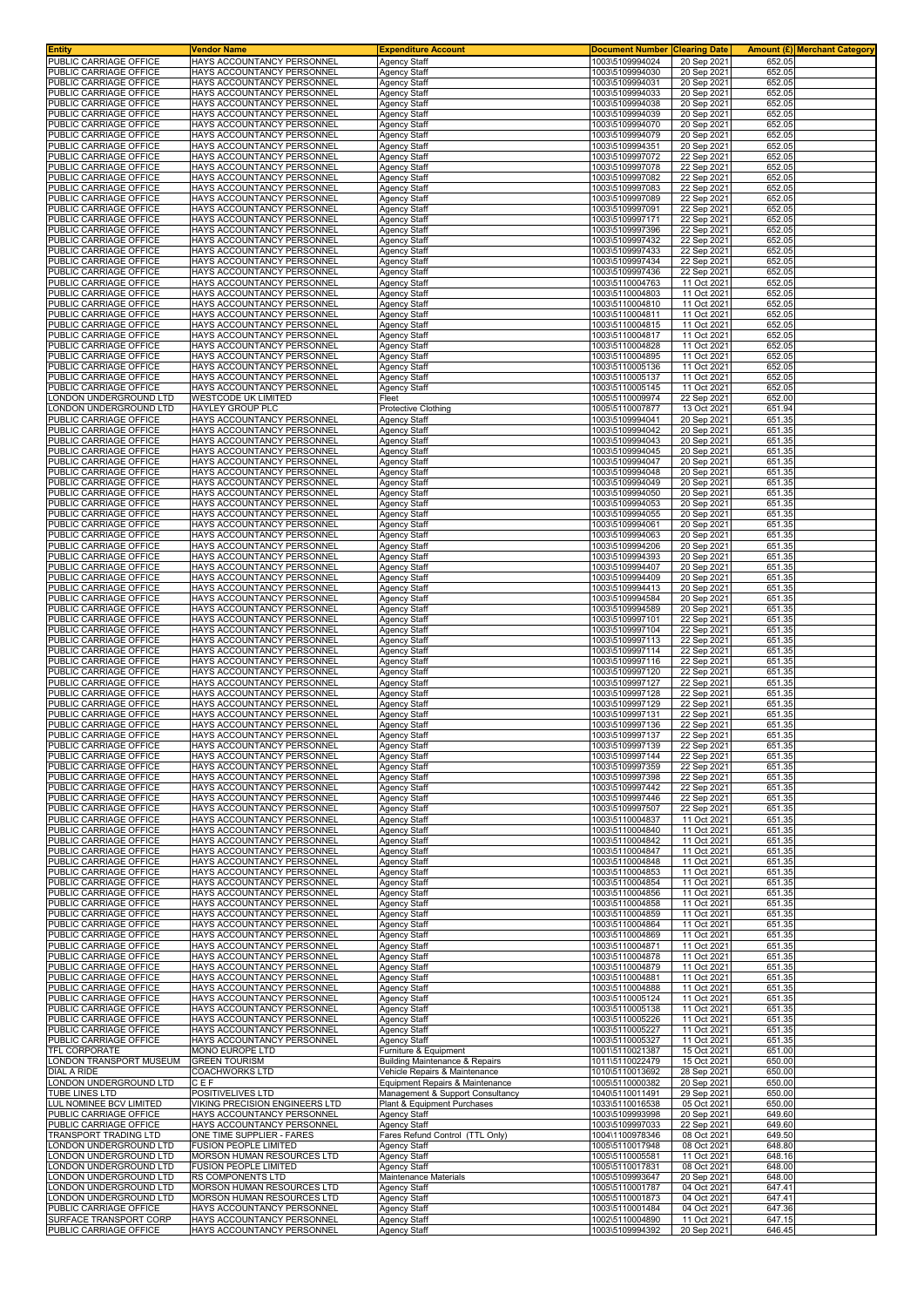| <b>Entity</b>                                    | Vendor Name                                              | <b>Expenditure Account</b>                                       | <b>Document Number</b>             | <b>Clearing Date</b>       | Amount (£) Merchant Category |  |
|--------------------------------------------------|----------------------------------------------------------|------------------------------------------------------------------|------------------------------------|----------------------------|------------------------------|--|
| PUBLIC CARRIAGE OFFICE                           | HAYS ACCOUNTANCY PERSONNEL<br>HAYS ACCOUNTANCY PERSONNEL | <b>Agency Staff</b>                                              | 1003\5109994024<br>1003\5109994030 | 20 Sep 2021                | 652.05                       |  |
| PUBLIC CARRIAGE OFFICE<br>PUBLIC CARRIAGE OFFICE | HAYS ACCOUNTANCY PERSONNEL                               | Agency Staff<br>Agency Staff                                     | 1003\5109994031                    | 20 Sep 2021<br>20 Sep 2021 | 652.05<br>652.05             |  |
| PUBLIC CARRIAGE OFFICE                           | HAYS ACCOUNTANCY PERSONNEL                               | Agency Staff                                                     | 1003\5109994033                    | 20 Sep 2021                | 652.05                       |  |
| PUBLIC CARRIAGE OFFICE                           | HAYS ACCOUNTANCY PERSONNEL                               | Agency Staff                                                     | 1003\5109994038                    | 20 Sep 202                 | 652.05                       |  |
| PUBLIC CARRIAGE OFFICE                           | HAYS ACCOUNTANCY PERSONNEL                               | Agency Staff                                                     | 1003\5109994039                    | 20 Sep 2021                | 652.05                       |  |
| PUBLIC CARRIAGE OFFICE<br>PUBLIC CARRIAGE OFFICE | HAYS ACCOUNTANCY PERSONNEL                               | <b>Agency Staff</b>                                              | 1003\5109994070<br>1003\5109994079 | 20 Sep 2021                | 652.05<br>652.05             |  |
| PUBLIC CARRIAGE OFFICE                           | HAYS ACCOUNTANCY PERSONNEL<br>HAYS ACCOUNTANCY PERSONNEL | Agency Staff<br>Agency Staff                                     | 1003\5109994351                    | 20 Sep 2021<br>20 Sep 2021 | 652.05                       |  |
| PUBLIC CARRIAGE OFFICE                           | HAYS ACCOUNTANCY PERSONNEL                               | Agency Staff                                                     | 1003\5109997072                    | 22 Sep 2021                | 652.05                       |  |
| PUBLIC CARRIAGE OFFICE                           | HAYS ACCOUNTANCY PERSONNEL                               | Agency Staff                                                     | 1003\5109997078                    | 22 Sep 202                 | 652.05                       |  |
| PUBLIC CARRIAGE OFFICE<br>PUBLIC CARRIAGE OFFICE | HAYS ACCOUNTANCY PERSONNEL                               | Agency Staff                                                     | 1003\5109997082                    | 22 Sep 202                 | 652.05                       |  |
| PUBLIC CARRIAGE OFFICE                           | HAYS ACCOUNTANCY PERSONNEL<br>HAYS ACCOUNTANCY PERSONNEL | Agency Staff<br>Agency Staff                                     | 1003\5109997083<br>1003\5109997089 | 22 Sep 2021<br>22 Sep 2021 | 652.05<br>652.05             |  |
| PUBLIC CARRIAGE OFFICE                           | HAYS ACCOUNTANCY PERSONNEL                               | <b>Agency Staff</b>                                              | 1003\5109997091                    | 22 Sep 2021                | 652.05                       |  |
| PUBLIC CARRIAGE OFFICE                           | HAYS ACCOUNTANCY PERSONNEL                               | Agency Staff                                                     | 1003\5109997171                    | 22 Sep 2021                | 652.05                       |  |
| PUBLIC CARRIAGE OFFICE                           | HAYS ACCOUNTANCY PERSONNEL                               | Agency Staff                                                     | 1003\5109997396                    | 22 Sep 2021                | 652.05                       |  |
| PUBLIC CARRIAGE OFFICE<br>PUBLIC CARRIAGE OFFICE | HAYS ACCOUNTANCY PERSONNEL<br>HAYS ACCOUNTANCY PERSONNEL | Agency Staff<br><b>Agency Staff</b>                              | 1003\5109997432<br>1003\5109997433 | 22 Sep 2021<br>22 Sep 2021 | 652.05<br>652.05             |  |
| PUBLIC CARRIAGE OFFICE                           | HAYS ACCOUNTANCY PERSONNEL                               | Agency Staff                                                     | 1003\5109997434                    | 22 Sep 2021                | 652.05                       |  |
| PUBLIC CARRIAGE OFFICE                           | HAYS ACCOUNTANCY PERSONNEL                               | Agency Staff                                                     | 1003\5109997436                    | 22 Sep 2021                | 652.05                       |  |
| PUBLIC CARRIAGE OFFICE                           | HAYS ACCOUNTANCY PERSONNEL                               | Agency Staff                                                     | 1003\5110004763                    | 11 Oct 2021                | 652.05                       |  |
| PUBLIC CARRIAGE OFFICE<br>PUBLIC CARRIAGE OFFICE | HAYS ACCOUNTANCY PERSONNEL<br>HAYS ACCOUNTANCY PERSONNEL | Agency Staff                                                     | 1003\5110004803<br>1003\5110004810 | 11 Oct 2021<br>11 Oct 2021 | 652.05<br>652.05             |  |
| PUBLIC CARRIAGE OFFICE                           | HAYS ACCOUNTANCY PERSONNEL                               | Agency Staff<br>Agency Staff                                     | 1003\5110004811                    | 11 Oct 2021                | 652.05                       |  |
| PUBLIC CARRIAGE OFFICE                           | HAYS ACCOUNTANCY PERSONNEL                               | Agency Staff                                                     | 1003\5110004815                    | 11 Oct 2021                | 652.05                       |  |
| PUBLIC CARRIAGE OFFICE                           | HAYS ACCOUNTANCY PERSONNEL                               | Agency Staff                                                     | 1003\5110004817                    | 11 Oct 202                 | 652.05                       |  |
| PUBLIC CARRIAGE OFFICE                           | HAYS ACCOUNTANCY PERSONNEL                               | Agency Staff                                                     | 1003\5110004828                    | 11 Oct 2021                | 652.05                       |  |
| PUBLIC CARRIAGE OFFICE<br>PUBLIC CARRIAGE OFFICE | HAYS ACCOUNTANCY PERSONNEL<br>HAYS ACCOUNTANCY PERSONNEL | Agency Staff<br><b>Agency Staff</b>                              | 1003\5110004895<br>1003\5110005136 | 11 Oct 2021<br>11 Oct 2021 | 652.05<br>652.05             |  |
| PUBLIC CARRIAGE OFFICE                           | HAYS ACCOUNTANCY PERSONNEL                               | Agency Staff                                                     | 1003\5110005137                    | 11 Oct 2021                | 652.05                       |  |
| PUBLIC CARRIAGE OFFICE                           | HAYS ACCOUNTANCY PERSONNEL                               | Agency Staff                                                     | 1003\5110005145                    | 11 Oct 2021                | 652.05                       |  |
| ONDON UNDERGROUND LTD                            | WESTCODE UK LIMITED                                      | Fleet                                                            | 1005\5110009974                    | 22 Sep 2021                | 652.00                       |  |
| ONDON UNDERGROUND LTD<br>PUBLIC CARRIAGE OFFICE  | <b>HAYLEY GROUP PLC</b>                                  | Protective Clothing                                              | 1005\5110007877<br>1003\5109994041 | 13 Oct 2021                | 651.94                       |  |
| PUBLIC CARRIAGE OFFICE                           | HAYS ACCOUNTANCY PERSONNEL<br>HAYS ACCOUNTANCY PERSONNEL | <b>Agency Staff</b><br>Agency Staff                              | 1003\5109994042                    | 20 Sep 202<br>20 Sep 2021  | 651.35<br>651.35             |  |
| PUBLIC CARRIAGE OFFICE                           | HAYS ACCOUNTANCY PERSONNEL                               | Agency Staff                                                     | 1003\5109994043                    | 20 Sep 2021                | 651.35                       |  |
| PUBLIC CARRIAGE OFFICE                           | HAYS ACCOUNTANCY PERSONNEL                               | <b>Agency Staff</b>                                              | 1003\5109994045                    | 20 Sep 2021                | 651.35                       |  |
| PUBLIC CARRIAGE OFFICE                           | HAYS ACCOUNTANCY PERSONNEL                               | Agency Staff                                                     | 1003\5109994047                    | 20 Sep 2021                | 651.35                       |  |
| PUBLIC CARRIAGE OFFICE<br>PUBLIC CARRIAGE OFFICE | HAYS ACCOUNTANCY PERSONNEL                               | <b>Agency Staff</b>                                              | 1003\5109994048                    | 20 Sep 2021                | 651.35                       |  |
| PUBLIC CARRIAGE OFFICE                           | HAYS ACCOUNTANCY PERSONNEL<br>HAYS ACCOUNTANCY PERSONNEL | <b>Agency Staff</b><br><b>Agency Staff</b>                       | 1003\5109994049<br>1003\5109994050 | 20 Sep 2021<br>20 Sep 2021 | 651.35<br>651.35             |  |
| PUBLIC CARRIAGE OFFICE                           | HAYS ACCOUNTANCY PERSONNEL                               | Agency Staff                                                     | 1003\5109994053                    | 20 Sep 202                 | 651.35                       |  |
| PUBLIC CARRIAGE OFFICE                           | HAYS ACCOUNTANCY PERSONNEL                               | Agency Staff                                                     | 1003\5109994055                    | 20 Sep 2021                | 651.35                       |  |
| PUBLIC CARRIAGE OFFICE                           | HAYS ACCOUNTANCY PERSONNEL                               | Agency Staff                                                     | 1003\5109994061                    | 20 Sep 2021                | 651.35                       |  |
| PUBLIC CARRIAGE OFFICE<br>PUBLIC CARRIAGE OFFICE | HAYS ACCOUNTANCY PERSONNEL<br>HAYS ACCOUNTANCY PERSONNEL | Agency Staff<br>Agency Staff                                     | 1003\5109994063<br>1003\5109994206 | 20 Sep 2021<br>20 Sep 2021 | 651.35<br>651.35             |  |
| PUBLIC CARRIAGE OFFICE                           | HAYS ACCOUNTANCY PERSONNEL                               | Agency Staff                                                     | 1003\5109994393                    | 20 Sep 2021                | 651.35                       |  |
| PUBLIC CARRIAGE OFFICE                           | HAYS ACCOUNTANCY PERSONNEL                               | Agency Staff                                                     | 1003\5109994407                    | 20 Sep 2021                | 651.35                       |  |
| PUBLIC CARRIAGE OFFICE                           | HAYS ACCOUNTANCY PERSONNEL                               | Agency Staff                                                     | 1003\5109994409                    | 20 Sep 202                 | 651.35                       |  |
| PUBLIC CARRIAGE OFFICE                           | HAYS ACCOUNTANCY PERSONNEL                               | Agency Staff                                                     | 1003\5109994413                    | 20 Sep 202                 | 651.35                       |  |
| PUBLIC CARRIAGE OFFICE<br>PUBLIC CARRIAGE OFFICE | HAYS ACCOUNTANCY PERSONNEL<br>HAYS ACCOUNTANCY PERSONNEL | Agency Staff<br>Agency Staff                                     | 1003\5109994584<br>1003\5109994589 | 20 Sep 2021<br>20 Sep 2021 | 651.35<br>651.35             |  |
| PUBLIC CARRIAGE OFFICE                           | HAYS ACCOUNTANCY PERSONNEL                               | Agency Staff                                                     | 1003\5109997101                    | 22 Sep 2021                | 651.35                       |  |
| PUBLIC CARRIAGE OFFICE                           | HAYS ACCOUNTANCY PERSONNEL                               | Agency Staff                                                     | 1003\5109997104                    | 22 Sep 2021                | 651.35                       |  |
| PUBLIC CARRIAGE OFFICE                           | HAYS ACCOUNTANCY PERSONNEL                               | Agency Staff                                                     | 1003\5109997113                    | 22 Sep 2021                | 651.35                       |  |
| PUBLIC CARRIAGE OFFICE                           | HAYS ACCOUNTANCY PERSONNEL                               | Agency Staff                                                     | 1003\5109997114                    | 22 Sep 202                 | 651.35                       |  |
| PUBLIC CARRIAGE OFFICE<br>PUBLIC CARRIAGE OFFICE | HAYS ACCOUNTANCY PERSONNEL<br>HAYS ACCOUNTANCY PERSONNEL | Agency Staff<br>Agency Staff                                     | 1003\5109997116<br>1003\5109997120 | 22 Sep 202<br>22 Sep 2021  | 651.35<br>651.35             |  |
| PUBLIC CARRIAGE OFFICE                           | HAYS ACCOUNTANCY PERSONNEL                               | Agency Staff                                                     | 1003\5109997127                    | 22 Sep 2021                | 651.35                       |  |
| PUBLIC CARRIAGE OFFICE                           | HAYS ACCOUNTANCY PERSONNEL                               | <b>Agency Staff</b>                                              | 1003\5109997128                    | 22 Sep 2021                | 651.35                       |  |
| PUBLIC CARRIAGE OFFICE                           | HAYS ACCOUNTANCY PERSONNEL                               | Agency Staff                                                     | 1003\5109997129                    | 22 Sep 2021                | 651.35                       |  |
| PUBLIC CARRIAGE OFFICE<br>PUBLIC CARRIAGE OFFICE | HAYS ACCOUNTANCY PERSONNEL<br>HAYS ACCOUNTANCY PERSONNEL | Agency Staff<br>Agency Staff                                     | 1003\5109997131<br>1003\5109997136 | 22 Sep 2021<br>22 Sep 2021 | 651.35<br>651.35             |  |
| PUBLIC CARRIAGE OFFICE                           | HAYS ACCOUNTANCY PERSONNEL                               | <b>Agency Staff</b>                                              | 1003\5109997137                    | 22 Sep 2021                | 651.35                       |  |
| PUBLIC CARRIAGE OFFICE                           | HAYS ACCOUNTANCY PERSONNEL                               | <b>Agency Staff</b>                                              | 1003\5109997139                    | 22 Sep 2021                | 651.35                       |  |
| PUBLIC CARRIAGE OFFICE                           | HAYS ACCOUNTANCY PERSONNEL                               | Agency Staff                                                     | 1003\5109997144                    | 22 Sep 2021                | 651.35                       |  |
| PUBLIC CARRIAGE OFFICE<br>PUBLIC CARRIAGE OFFICE | HAYS ACCOUNTANCY PERSONNEL<br>HAYS ACCOUNTANCY PERSONNEL | Agency Staff                                                     | 1003\5109997359<br>1003\5109997398 | 22 Sep 2021                | 651.35                       |  |
| PUBLIC CARRIAGE OFFICE                           | HAYS ACCOUNTANCY PERSONNEL                               | <b>Agency Staff</b><br><b>Agency Staff</b>                       | 1003\5109997442                    | 22 Sep 2021<br>22 Sep 2021 | 651.35<br>651.35             |  |
| PUBLIC CARRIAGE OFFICE                           | HAYS ACCOUNTANCY PERSONNEL                               | <b>Agency Staff</b>                                              | 1003\5109997446                    | 22 Sep 2021                | 651.35                       |  |
| PUBLIC CARRIAGE OFFICE                           | HAYS ACCOUNTANCY PERSONNEL                               | Agency Staff                                                     | 1003\5109997507                    | 22 Sep 2021                | 651.35                       |  |
| PUBLIC CARRIAGE OFFICE                           | HAYS ACCOUNTANCY PERSONNEL                               | Agency Staff                                                     | 1003\5110004837                    | 11 Oct 2021                | 651.35                       |  |
| PUBLIC CARRIAGE OFFICE                           | HAYS ACCOUNTANCY PERSONNEL                               | Agency Staff                                                     | 1003\5110004840<br>1003\5110004842 | 11 Oct 2021                | 651.35                       |  |
| PUBLIC CARRIAGE OFFICE<br>PUBLIC CARRIAGE OFFICE | HAYS ACCOUNTANCY PERSONNEL<br>HAYS ACCOUNTANCY PERSONNEL | Agency Staff<br>Agency Staff                                     | 1003\5110004847                    | 11 Oct 2021<br>11 Oct 2021 | 651.35<br>651.35             |  |
| PUBLIC CARRIAGE OFFICE                           | HAYS ACCOUNTANCY PERSONNEL                               | Agency Staff                                                     | 1003\5110004848                    | 11 Oct 2021                | 651.35                       |  |
| PUBLIC CARRIAGE OFFICE                           | HAYS ACCOUNTANCY PERSONNEL                               | Agency Staff                                                     | 1003\5110004853                    | 11 Oct 2021                | 651.35                       |  |
| PUBLIC CARRIAGE OFFICE                           | HAYS ACCOUNTANCY PERSONNEL                               | <b>Agency Staff</b>                                              | 1003\5110004854                    | 11 Oct 2021                | 651.35                       |  |
| PUBLIC CARRIAGE OFFICE<br>PUBLIC CARRIAGE OFFICE | HAYS ACCOUNTANCY PERSONNEL<br>HAYS ACCOUNTANCY PERSONNEL | Agency Staff<br>Agency Staff                                     | 1003\5110004856<br>1003\5110004858 | 11 Oct 2021<br>11 Oct 2021 | 651.35<br>651.35             |  |
| PUBLIC CARRIAGE OFFICE                           | HAYS ACCOUNTANCY PERSONNEL                               | <b>Agency Staff</b>                                              | 1003\5110004859                    | 11 Oct 2021                | 651.35                       |  |
| PUBLIC CARRIAGE OFFICE                           | HAYS ACCOUNTANCY PERSONNEL                               | <b>Agency Staff</b>                                              | 1003\5110004864                    | 11 Oct 2021                | 651.35                       |  |
| PUBLIC CARRIAGE OFFICE                           | HAYS ACCOUNTANCY PERSONNEL                               | <b>Agency Staff</b>                                              | 1003\5110004869                    | 11 Oct 2021                | 651.35                       |  |
| PUBLIC CARRIAGE OFFICE<br>PUBLIC CARRIAGE OFFICE | HAYS ACCOUNTANCY PERSONNEL<br>HAYS ACCOUNTANCY PERSONNEL | Agency Staff<br>Agency Staff                                     | 1003\5110004871<br>1003\5110004878 | 11 Oct 2021<br>11 Oct 2021 | 651.35<br>651.35             |  |
| PUBLIC CARRIAGE OFFICE                           | HAYS ACCOUNTANCY PERSONNEL                               | Agency Staff                                                     | 1003\5110004879                    | 11 Oct 2021                | 651.35                       |  |
| PUBLIC CARRIAGE OFFICE                           | HAYS ACCOUNTANCY PERSONNEL                               | Agency Staff                                                     | 1003\5110004881                    | 11 Oct 2021                | 651.35                       |  |
| PUBLIC CARRIAGE OFFICE                           | HAYS ACCOUNTANCY PERSONNEL                               | Agency Staff                                                     | 1003\5110004888                    | 11 Oct 2021                | 651.35                       |  |
| PUBLIC CARRIAGE OFFICE                           | HAYS ACCOUNTANCY PERSONNEL                               | Agency Staff                                                     | 1003\5110005124                    | 11 Oct 2021                | 651.35                       |  |
| PUBLIC CARRIAGE OFFICE<br>PUBLIC CARRIAGE OFFICE | HAYS ACCOUNTANCY PERSONNEL<br>HAYS ACCOUNTANCY PERSONNEL | Agency Staff<br>Agency Staff                                     | 1003\5110005138<br>1003\5110005226 | 11 Oct 2021<br>11 Oct 2021 | 651.35<br>651.35             |  |
| PUBLIC CARRIAGE OFFICE                           | HAYS ACCOUNTANCY PERSONNEL                               | <b>Agency Staff</b>                                              | 1003\5110005227                    | 11 Oct 2021                | 651.35                       |  |
| PUBLIC CARRIAGE OFFICE                           | HAYS ACCOUNTANCY PERSONNEL                               | Agency Staff                                                     | 1003\5110005327                    | 11 Oct 2021                | 651.35                       |  |
| TFL CORPORATE                                    | MONO EUROPE LTD                                          | Furniture & Equipment                                            | 1001\5110021387                    | 15 Oct 2021                | 651.00                       |  |
| LONDON TRANSPORT MUSEUM                          | <b>GREEN TOURISM</b>                                     | Building Maintenance & Repairs                                   | 1011\5110022479                    | 15 Oct 2021                | 650.00                       |  |
| DIAL A RIDE<br>LONDON UNDERGROUND LTD            | COACHWORKS LTD<br>CEF                                    | Vehicle Repairs & Maintenance<br>Equipment Repairs & Maintenance | 1010\5110013692<br>1005\5110000382 | 28 Sep 2021<br>20 Sep 2021 | 650.00<br>650.00             |  |
| TUBE LINES LTD                                   | POSITIVELIVES LTD                                        | Management & Support Consultancy                                 | 1040\5110011491                    | 29 Sep 2021                | 650.00                       |  |
| LUL NOMINEE BCV LIMITED                          | VIKING PRECISION ENGINEERS LTD                           | Plant & Equipment Purchases                                      | 1033\5110016538                    | 05 Oct 2021                | 650.00                       |  |
| PUBLIC CARRIAGE OFFICE                           | HAYS ACCOUNTANCY PERSONNEL                               | Agency Staff                                                     | 1003\5109993998                    | 20 Sep 2021                | 649.60                       |  |
| PUBLIC CARRIAGE OFFICE<br>TRANSPORT TRADING LTD  | HAYS ACCOUNTANCY PERSONNEL<br>ONE TIME SUPPLIER - FARES  | Agency Staff<br>Fares Refund Control (TTL Only)                  | 1003\5109997033<br>1004\1100978346 | 22 Sep 2021                | 649.60<br>649.50             |  |
| LONDON UNDERGROUND LTD                           | <b>FUSION PEOPLE LIMITED</b>                             | Agency Staff                                                     | 1005\5110017948                    | 08 Oct 2021<br>08 Oct 2021 | 648.80                       |  |
| ONDON UNDERGROUND LTD                            | MORSON HUMAN RESOURCES LTD                               | Agency Staff                                                     | 1005\5110005581                    | 11 Oct 2021                | 648.16                       |  |
| ONDON UNDERGROUND LTD                            | <b>FUSION PEOPLE LIMITED</b>                             | Agency Staff                                                     | 1005\5110017831                    | 08 Oct 2021                | 648.00                       |  |
| ONDON UNDERGROUND LTD                            | RS COMPONENTS LTD                                        | Maintenance Materials                                            | 1005\5109993647                    | 20 Sep 2021                | 648.00                       |  |
| ONDON UNDERGROUND LTD<br>ONDON UNDERGROUND LTD   | MORSON HUMAN RESOURCES LTD<br>MORSON HUMAN RESOURCES LTD | Agency Staff<br><b>Agency Staff</b>                              | 1005\5110001787<br>1005\5110001873 | 04 Oct 2021<br>04 Oct 2021 | 647.41<br>647.41             |  |
| PUBLIC CARRIAGE OFFICE                           | HAYS ACCOUNTANCY PERSONNEL                               | Agency Staff                                                     | 1003\5110001484                    | 04 Oct 2021                | 647.36                       |  |
| SURFACE TRANSPORT CORP                           | HAYS ACCOUNTANCY PERSONNEL                               | Agency Staff                                                     | 1002\5110004890                    | 11 Oct 2021                | 647.15                       |  |
| PUBLIC CARRIAGE OFFICE                           | HAYS ACCOUNTANCY PERSONNEL                               | Agency Staff                                                     | 1003\5109994392                    | 20 Sep 2021                | 646.45                       |  |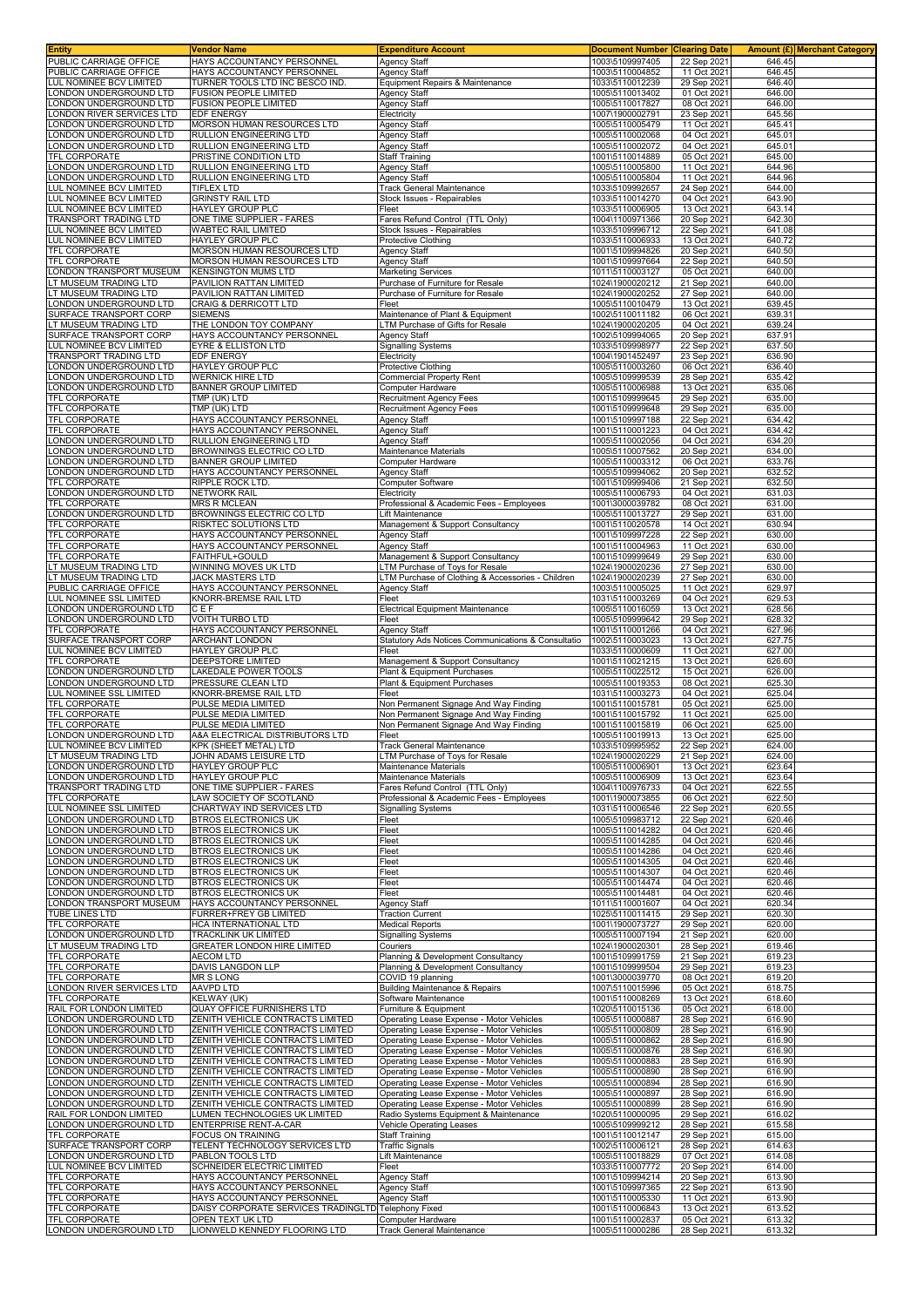| <b>Entity</b>                                     | Vendor Name                                                          | <b>Expenditure Account</b>                                                           | Document Number                    | <b>Clearing Date</b>       |                  | Amount (£) Merchant Category |
|---------------------------------------------------|----------------------------------------------------------------------|--------------------------------------------------------------------------------------|------------------------------------|----------------------------|------------------|------------------------------|
| PUBLIC CARRIAGE OFFICE<br>PUBLIC CARRIAGE OFFICE  | HAYS ACCOUNTANCY PERSONNEL<br>HAYS ACCOUNTANCY PERSONNEL             | <b>Agency Staff</b><br><b>Agency Staff</b>                                           | 1003\5109997405<br>1003\5110004852 | 22 Sep 2021<br>11 Oct 2021 | 646.45<br>646.45 |                              |
| LUL NOMINEE BCV LIMITED                           | TURNER TOOLS LTD INC BESCO IND.                                      | Equipment Repairs & Maintenance                                                      | 1033\5110012239                    | 29 Sep 2021                | 646.40           |                              |
| ONDON UNDERGROUND LTD                             | <b>FUSION PEOPLE LIMITED</b>                                         | <b>Agency Staff</b>                                                                  | 1005\5110013402                    | 01 Oct 2021                | 646.00           |                              |
| ONDON UNDERGROUND LTD                             | FUSION PEOPLE LIMITED                                                | <b>Agency Staff</b>                                                                  | 1005\5110017827                    | 08 Oct 2021                | 646.00           |                              |
| ONDON RIVER SERVICES LTD                          | EDF ENERGY                                                           | Electricity                                                                          | 1007\1900002791                    | 23 Sep 2021                | 645.56           |                              |
| ONDON UNDERGROUND LTD<br>ONDON UNDERGROUND LTD    | MORSON HUMAN RESOURCES LTD<br>RULLION ENGINEERING LTD                | <b>Agency Staff</b><br><b>Agency Staff</b>                                           | 1005\5110005479<br>1005\5110002068 | 11 Oct 2021<br>04 Oct 2021 | 645.41<br>645.01 |                              |
| ONDON UNDERGROUND LTD                             | RULLION ENGINEERING LTD                                              | Agency Staff                                                                         | 1005\5110002072                    | 04 Oct 2021                | 645.01           |                              |
| TFL CORPORATE                                     | PRISTINE CONDITION LTD                                               | Staff Training                                                                       | 1001\5110014889                    | 05 Oct 2021                | 645.00           |                              |
| ONDON UNDERGROUND LTD                             | RULLION ENGINEERING LTD                                              | <b>Agency Staff</b>                                                                  | 1005\5110005800                    | 11 Oct 2021                | 644.96           |                              |
| ONDON UNDERGROUND LTD                             | RULLION ENGINEERING LTD                                              | <b>Agency Staff</b>                                                                  | 1005\5110005804                    | 11 Oct 2021                | 644.96<br>644.00 |                              |
| LUL NOMINEE BCV LIMITED<br>UL NOMINEE BCV LIMITED | <b>TIFLEX LTD</b><br><b>GRINSTY RAIL LTD</b>                         | <b>Track General Maintenance</b><br>Stock Issues - Repairables                       | 1033\5109992657<br>1033\5110014270 | 24 Sep 2021<br>04 Oct 2021 | 643.90           |                              |
| LUL NOMINEE BCV LIMITED                           | HAYLEY GROUP PLC                                                     | Fleet                                                                                | 1033\5110006905                    | 13 Oct 2021                | 643.14           |                              |
| TRANSPORT TRADING LTD                             | ONE TIME SUPPLIER - FARES                                            | Fares Refund Control (TTL Only)                                                      | 1004\1100971366                    | 20 Sep 2021                | 642.30           |                              |
| LUL NOMINEE BCV LIMITED                           | WABTEC RAIL LIMITED                                                  | Stock Issues - Repairables                                                           | 1033\5109996712                    | 22 Sep 2021                | 641.08           |                              |
| LUL NOMINEE BCV LIMITED<br>TFL CORPORATE          | <b>HAYLEY GROUP PLC</b><br>MORSON HUMAN RESOURCES LTD                | Protective Clothing<br><b>Agency Staff</b>                                           | 1033\5110006933<br>1001\5109994826 | 13 Oct 2021<br>20 Sep 2021 | 640.72<br>640.50 |                              |
| TFL CORPORATE                                     | MORSON HUMAN RESOURCES LTD                                           | <b>Agency Staff</b>                                                                  | 1001\5109997664                    | 22 Sep 2021                | 640.50           |                              |
| ONDON TRANSPORT MUSEUM                            | <b>KENSINGTON MUMS LTD</b>                                           | <b>Marketing Services</b>                                                            | 1011\5110003127                    | 05 Oct 2021                | 640.00           |                              |
| LT MUSEUM TRADING LTD                             | PAVILION RATTAN LIMITED                                              | Purchase of Furniture for Resale                                                     | 1024\1900020212                    | 21 Sep 2021                | 640.00           |                              |
| LT MUSEUM TRADING LTD<br>ONDON UNDERGROUND LTD    | PAVILION RATTAN LIMITED<br>CRAIG & DERRICOTT LTD                     | Purchase of Furniture for Resale<br>Fleet                                            | 1024\1900020252<br>1005\5110010479 | 27 Sep 2021<br>13 Oct 2021 | 640.00<br>639.45 |                              |
| SURFACE TRANSPORT CORP                            | <b>SIEMENS</b>                                                       | Maintenance of Plant & Equipment                                                     | 1002\5110011182                    | 06 Oct 2021                | 639.31           |                              |
| LT MUSEUM TRADING LTD                             | THE LONDON TOY COMPANY                                               | LTM Purchase of Gifts for Resale                                                     | 1024\1900020205                    | 04 Oct 2021                | 639.24           |                              |
| SURFACE TRANSPORT CORP                            | HAYS ACCOUNTANCY PERSONNEL                                           | Agency Staff                                                                         | 1002\5109994065                    | 20 Sep 2021                | 637.91           |                              |
| LUL NOMINEE BCV LIMITED                           | <b>EYRE &amp; ELLISTON LTD</b>                                       | Signalling Systems                                                                   | 1033\5109998977                    | 22 Sep 2021                | 637.50           |                              |
| TRANSPORT TRADING LTD<br>LONDON UNDERGROUND LTD   | EDF ENERGY<br>HAYLEY GROUP PLC                                       | Electricity<br><b>Protective Clothing</b>                                            | 1004\1901452497<br>1005\5110003260 | 23 Sep 2021<br>06 Oct 2021 | 636.90<br>636.40 |                              |
| ONDON UNDERGROUND LTD                             | <b>WERNICK HIRE LTD</b>                                              | Commercial Property Rent                                                             | 1005\5109999539                    | 28 Sep 2021                | 635.42           |                              |
| ONDON UNDERGROUND LTD                             | <b>BANNER GROUP LIMITED</b>                                          | Computer Hardware                                                                    | 1005\5110006988                    | 13 Oct 2021                | 635.06           |                              |
| TFL CORPORATE                                     | TMP (UK) LTD                                                         | Recruitment Agency Fees                                                              | 1001\5109999645                    | 29 Sep 2021                | 635.00           |                              |
| TFL CORPORATE                                     | TMP (UK) LTD                                                         | Recruitment Agency Fees                                                              | 1001\5109999648                    | 29 Sep 2021                | 635.00           |                              |
| TFL CORPORATE<br>TFL CORPORATE                    | HAYS ACCOUNTANCY PERSONNEL<br>HAYS ACCOUNTANCY PERSONNEL             | <b>Agency Staff</b><br><b>Agency Staff</b>                                           | 1001\5109997188<br>1001\5110001223 | 22 Sep 2021<br>04 Oct 2021 | 634.42<br>634.42 |                              |
| ONDON UNDERGROUND LTD                             | RULLION ENGINEERING LTD                                              | <b>Agency Staff</b>                                                                  | 1005\5110002056                    | 04 Oct 2021                | 634.20           |                              |
| ONDON UNDERGROUND LTD                             | BROWNINGS ELECTRIC CO LTD                                            | Maintenance Materials                                                                | 1005\5110007562                    | 20 Sep 2021                | 634.00           |                              |
| ONDON UNDERGROUND LTD                             | <b>BANNER GROUP LIMITED</b>                                          | Computer Hardware                                                                    | 1005\5110003312                    | 06 Oct 2021                | 633.76           |                              |
| ONDON UNDERGROUND LTD<br><b>TFL CORPORATE</b>     | HAYS ACCOUNTANCY PERSONNEL<br>RIPPLE ROCK LTD.                       | <b>Agency Staff</b><br>Computer Software                                             | 1005\5109994062<br>1001\5109999406 | 20 Sep 2021<br>21 Sep 2021 | 632.52<br>632.50 |                              |
| ONDON UNDERGROUND LTD                             | <b>NETWORK RAIL</b>                                                  | Electricity                                                                          | 1005\5110006793                    | 04 Oct 2021                | 631.03           |                              |
| TFL CORPORATE                                     | <b>MRS R MCLEAN</b>                                                  | Professional & Academic Fees - Employees                                             | 1001\3000039782                    | 08 Oct 2021                | 631.00           |                              |
| ONDON UNDERGROUND LTD                             | BROWNINGS ELECTRIC CO LTD                                            | Lift Maintenance                                                                     | 1005\5110013727                    | 29 Sep 2021                | 631.00           |                              |
| TFL CORPORATE                                     | RISKTEC SOLUTIONS LTD                                                | Management & Support Consultancy                                                     | 1001\5110020578                    | 14 Oct 2021                | 630.94           |                              |
| TFL CORPORATE<br>TFL CORPORATE                    | HAYS ACCOUNTANCY PERSONNEL<br>HAYS ACCOUNTANCY PERSONNEL             | Agency Staff<br><b>Agency Staff</b>                                                  | 1001\5109997228<br>1001\5110004963 | 22 Sep 2021<br>11 Oct 2021 | 630.00<br>630.00 |                              |
| TFL CORPORATE                                     | FAITHFUL+GOULD                                                       | Management & Support Consultancy                                                     | 1001\5109999649                    | 29 Sep 2021                | 630.00           |                              |
| LT MUSEUM TRADING LTD                             | WINNING MOVES UK LTD                                                 | LTM Purchase of Toys for Resale                                                      | 1024\1900020236                    | 27 Sep 2021                | 630.00           |                              |
| LT MUSEUM TRADING LTD                             | <b>JACK MASTERS LTD</b>                                              | LTM Purchase of Clothing & Accessories - Children                                    | 1024\1900020239                    | 27 Sep 2021                | 630.00           |                              |
| PUBLIC CARRIAGE OFFICE<br>UL NOMINEE SSL LIMITED  | HAYS ACCOUNTANCY PERSONNEL<br>KNORR-BREMSE RAIL LTD                  | <b>Agency Staff</b><br>Fleet                                                         | 1003\5110005025<br>1031\5110003269 | 11 Oct 2021                | 629.97<br>629.53 |                              |
| ONDON UNDERGROUND LTD                             | CEF                                                                  | Electrical Equipment Maintenance                                                     | 1005\5110016059                    | 04 Oct 2021<br>13 Oct 2021 | 628.56           |                              |
| ONDON UNDERGROUND LTD                             | VOITH TURBO LTD                                                      | Fleet                                                                                | 1005\5109999642                    | 29 Sep 2021                | 628.32           |                              |
| TFL CORPORATE                                     | HAYS ACCOUNTANCY PERSONNEL                                           | Agency Staff                                                                         | 1001\5110001266                    | 04 Oct 2021                | 627.96           |                              |
| SURFACE TRANSPORT CORP                            | ARCHANT LONDON                                                       | Statutory Ads Notices Communications & Consultatio                                   | 1002\5110003023                    | 13 Oct 2021                | 627.75           |                              |
| LUL NOMINEE BCV LIMITED<br>TFL CORPORATE          | <b>HAYLEY GROUP PLC</b><br>DEEPSTORE LIMITED                         | Fleet<br>Management & Support Consultancy                                            | 1033\5110000609<br>1001\5110021215 | 11 Oct 2021<br>13 Oct 2021 | 627.00<br>626.60 |                              |
| LONDON UNDERGROUND LTD                            | LAKEDALE POWER TOOLS                                                 | Plant & Equipment Purchases                                                          | 1005\5110022512                    | 15 Oct 2021                | 626.00           |                              |
| ONDON UNDERGROUND LTD                             | PRESSURE CLEAN LTD                                                   | Plant & Equipment Purchases                                                          | 1005\5110019353                    | 08 Oct 2021                | 625.30           |                              |
| LUL NOMINEE SSL LIMITED                           | KNORR-BREMSE RAIL LTD                                                | Fleet                                                                                | 1031\5110003273                    | 04 Oct 2021                | 625.04           |                              |
| TFL CORPORATE<br>TFL CORPORATE                    | PULSE MEDIA LIMITED<br>PULSE MEDIA LIMITED                           | Non Permanent Signage And Way Finding<br>Non Permanent Signage And Way Finding       | 1001\5110015781<br>1001\5110015792 | 05 Oct 2021<br>11 Oct 2021 | 625.00<br>625.00 |                              |
| TFL CORPORATE                                     | PULSE MEDIA LIMITED                                                  | Non Permanent Signage And Way Finding                                                | 1001\5110015819                    | 06 Oct 2021                | 625.00           |                              |
| LONDON UNDERGROUND LTD                            | A&A ELECTRICAL DISTRIBUTORS LTD                                      | Fleet                                                                                | 1005\5110019913                    | 13 Oct 2021                | 625.00           |                              |
| LUL NOMINEE BCV LIMITED                           | KPK (SHEET METAL) LTD                                                | <b>Track General Maintenance</b>                                                     | 1033\5109995952                    | 22 Sep 2021                | 624.00           |                              |
| LT MUSEUM TRADING LTD                             | JOHN ADAMS LEISURE LTD                                               | LTM Purchase of Toys for Resale                                                      | 1024\1900020229                    | 21 Sep 2021                | 624.00           |                              |
| LONDON UNDERGROUND LTD<br>LONDON UNDERGROUND LTD  | HAYLEY GROUP PLC<br>HAYLEY GROUP PLC                                 | Maintenance Materials<br>Maintenance Materials                                       | 1005\5110006901<br>1005\5110006909 | 13 Oct 2021<br>13 Oct 2021 | 623.64<br>623.64 |                              |
| TRANSPORT TRADING LTD                             | ONE TIME SUPPLIER - FARES                                            | Fares Refund Control (TTL Only)                                                      | 1004\1100976733                    | 04 Oct 2021                | 622.55           |                              |
| TFL CORPORATE                                     | LAW SOCIETY OF SCOTLAND                                              | Professional & Academic Fees - Employees                                             | 1001\1900073855                    | 06 Oct 2021                | 622.50           |                              |
| LUL NOMINEE SSL LIMITED                           | CHARTWAY IND SERVICES LTD                                            | <b>Signalling Systems</b>                                                            | 1031\5110006546                    | 22 Sep 2021                | 620.55           |                              |
| LONDON UNDERGROUND LTD<br>LONDON UNDERGROUND LTD  | <b>BTROS ELECTRONICS UK</b><br><b>BTROS ELECTRONICS UK</b>           | Fleet                                                                                | 1005\5109983712<br>1005\5110014282 | 22 Sep 2021<br>04 Oct 2021 | 620.46<br>620.46 |                              |
| ONDON UNDERGROUND LTD                             | <b>BTROS ELECTRONICS UK</b>                                          | Fleet<br>Fleet                                                                       | 1005\5110014285                    | 04 Oct 2021                | 620.46           |                              |
| ONDON UNDERGROUND LTD                             | BTROS ELECTRONICS UK                                                 | Fleet                                                                                | 1005\5110014286                    | 04 Oct 2021                | 620.46           |                              |
| ONDON UNDERGROUND LTD                             | <b>BTROS ELECTRONICS UK</b>                                          | Fleet                                                                                | 1005\5110014305                    | 04 Oct 2021                | 620.46           |                              |
| ONDON UNDERGROUND LTD<br>ONDON UNDERGROUND LTD    | BTROS ELECTRONICS UK<br><b>BTROS ELECTRONICS UK</b>                  | Fleet<br>Fleet                                                                       | 1005\5110014307<br>1005\5110014474 | 04 Oct 2021<br>04 Oct 2021 | 620.46<br>620.46 |                              |
| ONDON UNDERGROUND LTD                             | BTROS ELECTRONICS UK                                                 | Fleet                                                                                | 1005\5110014481                    | 04 Oct 2021                | 620.46           |                              |
| ONDON TRANSPORT MUSEUM                            | HAYS ACCOUNTANCY PERSONNEL                                           | <b>Agency Staff</b>                                                                  | 1011\5110001607                    | 04 Oct 2021                | 620.34           |                              |
| TUBE LINES LTD                                    | FURRER+FREY GB LIMITED                                               | <b>Traction Current</b>                                                              | 1025\5110011415                    | 29 Sep 2021                | 620.30           |                              |
| TFL CORPORATE                                     | HCA INTERNATIONAL LTD                                                | Medical Reports                                                                      | 1001\1900073727                    | 29 Sep 2021                | 620.00           |                              |
| LONDON UNDERGROUND LTD<br>LT MUSEUM TRADING LTD   | TRACKLINK UK LIMITED<br>GREATER LONDON HIRE LIMITED                  | Signalling Systems<br>Couriers                                                       | 1005\5110007194<br>1024\1900020301 | 21 Sep 2021<br>28 Sep 2021 | 620.00<br>619.46 |                              |
| TFL CORPORATE                                     | <b>AECOM LTD</b>                                                     | Planning & Development Consultancy                                                   | 1001\5109991759                    | 21 Sep 2021                | 619.23           |                              |
| TFL CORPORATE                                     | DAVIS LANGDON LLP                                                    | Planning & Development Consultancy                                                   | 1001\5109999504                    | 29 Sep 2021                | 619.23           |                              |
| TFL CORPORATE                                     | MR S LONG                                                            | COVID 19 planning                                                                    | 1001\3000039770                    | 08 Oct 2021                | 619.20           |                              |
| LONDON RIVER SERVICES LTD<br>TFL CORPORATE        | <b>AAVPD LTD</b><br>KELWAY (UK)                                      | <b>Building Maintenance &amp; Repairs</b><br>Software Maintenance                    | 1007\5110015996<br>1001\5110008269 | 05 Oct 2021<br>13 Oct 2021 | 618.75<br>618.60 |                              |
| RAIL FOR LONDON LIMITED                           | QUAY OFFICE FURNISHERS LTD                                           | Furniture & Equipment                                                                | 1020\5110015136                    | 05 Oct 2021                | 618.00           |                              |
| ONDON UNDERGROUND LTD                             | ZENITH VEHICLE CONTRACTS LIMITED                                     | Operating Lease Expense - Motor Vehicles                                             | 1005\5110000887                    | 28 Sep 2021                | 616.90           |                              |
| ONDON UNDERGROUND LTD                             | ZENITH VEHICLE CONTRACTS LIMITED                                     | Operating Lease Expense - Motor Vehicles                                             | 1005\5110000809                    | 28 Sep 2021                | 616.90           |                              |
| ONDON UNDERGROUND LTD                             | ZENITH VEHICLE CONTRACTS LIMITED                                     | Operating Lease Expense - Motor Vehicles                                             | 1005\5110000862                    | 28 Sep 2021                | 616.90           |                              |
| ONDON UNDERGROUND LTD.<br>LONDON UNDERGROUND LTD  | ZENITH VEHICLE CONTRACTS LIMITED<br>ZENITH VEHICLE CONTRACTS LIMITED | Operating Lease Expense - Motor Vehicles<br>Operating Lease Expense - Motor Vehicles | 1005\5110000876<br>1005\5110000883 | 28 Sep 2021<br>28 Sep 2021 | 616.90<br>616.90 |                              |
| LONDON UNDERGROUND LTD                            | ZENITH VEHICLE CONTRACTS LIMITED                                     | Operating Lease Expense - Motor Vehicles                                             | 1005\5110000890                    | 28 Sep 2021                | 616.90           |                              |
| ONDON UNDERGROUND LTD                             | ZENITH VEHICLE CONTRACTS LIMITED                                     | Operating Lease Expense - Motor Vehicles                                             | 1005\5110000894                    | 28 Sep 2021                | 616.90           |                              |
| ONDON UNDERGROUND LTD                             | ZENITH VEHICLE CONTRACTS LIMITED                                     | Operating Lease Expense - Motor Vehicles                                             | 1005\5110000897                    | 28 Sep 2021                | 616.90           |                              |
| ONDON UNDERGROUND LTD                             | ZENITH VEHICLE CONTRACTS LIMITED                                     | Operating Lease Expense - Motor Vehicles                                             | 1005\5110000899                    | 28 Sep 2021                | 616.90           |                              |
| RAIL FOR LONDON LIMITED<br>ONDON UNDERGROUND LTD  | LUMEN TECHNOLOGIES UK LIMITED<br>ENTERPRISE RENT-A-CAR               | Radio Systems Equipment & Maintenance<br>Vehicle Operating Leases                    | 1020\5110000095<br>1005\5109999212 | 29 Sep 2021<br>28 Sep 2021 | 616.02<br>615.58 |                              |
| TFL CORPORATE                                     | FOCUS ON TRAINING                                                    | Staff Training                                                                       | 1001\5110012147                    | 29 Sep 2021                | 615.00           |                              |
| SURFACE TRANSPORT CORP                            | TELENT TECHNOLOGY SERVICES LTD                                       | <b>Traffic Signals</b>                                                               | 1002\5110006121                    | 28 Sep 2021                | 614.63           |                              |
| LONDON UNDERGROUND LTD                            | PABLON TOOLS LTD                                                     | Lift Maintenance                                                                     | 1005\5110018829                    | 07 Oct 2021                | 614.08           |                              |
| LUL NOMINEE BCV LIMITED<br>TFL CORPORATE          | SCHNEIDER ELECTRIC LIMITED                                           | Fleet                                                                                | 1033\5110007772                    | 20 Sep 2021                | 614.00           |                              |
| TFL CORPORATE                                     | HAYS ACCOUNTANCY PERSONNEL<br>HAYS ACCOUNTANCY PERSONNEL             | <b>Agency Staff</b><br><b>Agency Staff</b>                                           | 1001\5109994214<br>1001\5109997365 | 20 Sep 2021<br>22 Sep 2021 | 613.90<br>613.90 |                              |
| TFL CORPORATE                                     | HAYS ACCOUNTANCY PERSONNEL                                           | <b>Agency Staff</b>                                                                  | 1001\5110005330                    | 11 Oct 2021                | 613.90           |                              |
| TFL CORPORATE                                     | DAISY CORPORATE SERVICES TRADINGLTD Telephony Fixed                  |                                                                                      | 1001\5110006843                    | 13 Oct 2021                | 613.52           |                              |
| TFL CORPORATE                                     | OPEN TEXT UK LTD                                                     | Computer Hardware                                                                    | 1001\5110002837                    | 05 Oct 2021                | 613.32           |                              |
| LONDON UNDERGROUND LTD                            | LIONWELD KENNEDY FLOORING LTD                                        | <b>Track General Maintenance</b>                                                     | 1005\5110000286                    | 28 Sep 2021                | 613.32           |                              |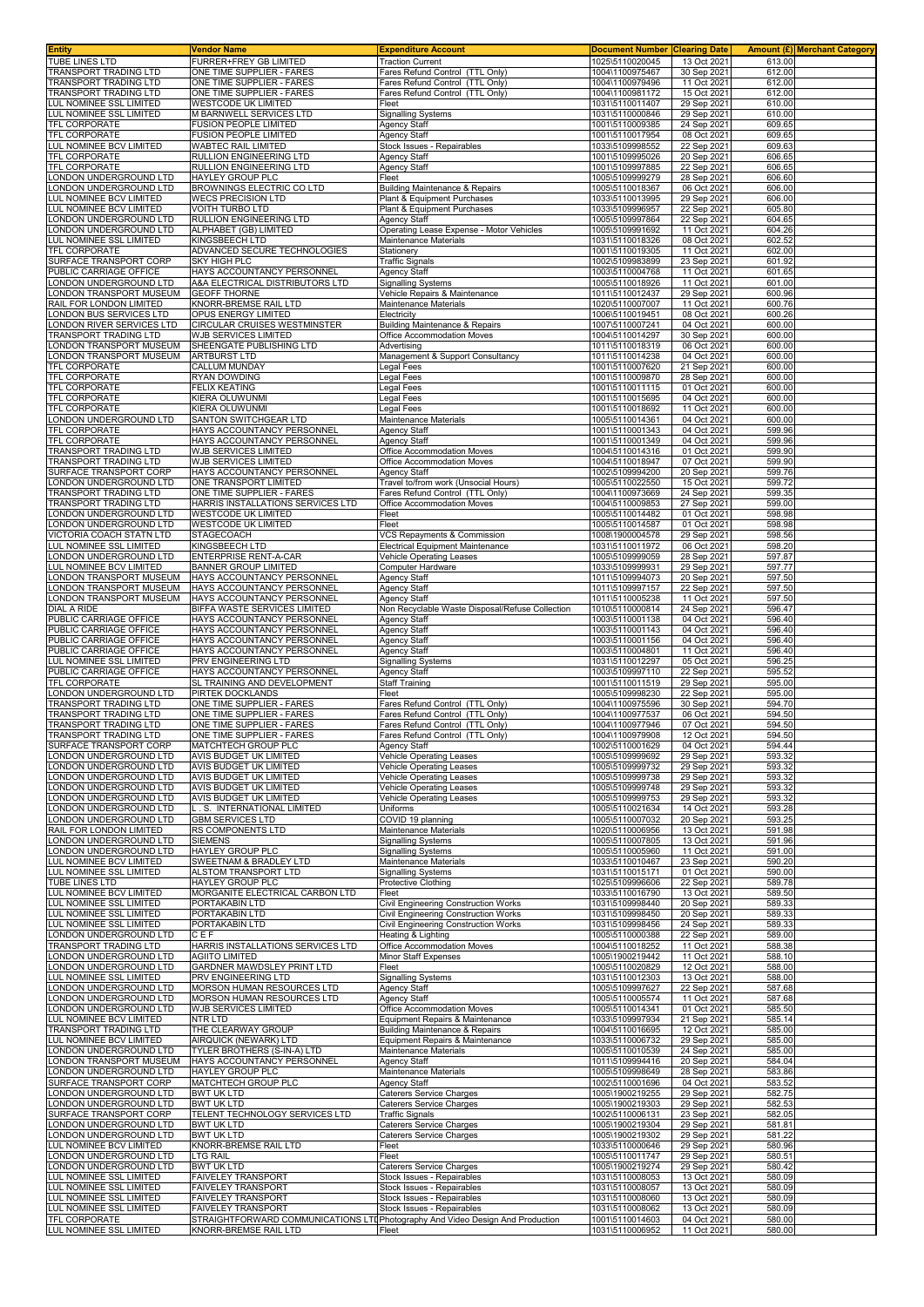| <b>Entity</b>                                       | Vendor Name                                              | <b>Expenditure Account</b>                                                    | <b>Document Number</b>             | <b>Clearing Date</b>       |                  | <b>Amount (£) Merchant Category</b> |
|-----------------------------------------------------|----------------------------------------------------------|-------------------------------------------------------------------------------|------------------------------------|----------------------------|------------------|-------------------------------------|
| TUBE LINES LTD<br>TRANSPORT TRADING LTD             | FURRER+FREY GB LIMITED<br>ONE TIME SUPPLIER - FARES      | <b>Traction Current</b><br>Fares Refund Control (TTL Only)                    | 1025\5110020045<br>1004\1100975467 | 13 Oct 2021<br>30 Sep 2021 | 613.00<br>612.00 |                                     |
| TRANSPORT TRADING LTD                               | ONE TIME SUPPLIER - FARES                                | Fares Refund Control (TTL Only)                                               | 1004\1100979496                    | 11 Oct 2021                | 612.00           |                                     |
| TRANSPORT TRADING LTD                               | ONE TIME SUPPLIER - FARES                                | Fares Refund Control (TTL Only)                                               | 1004\1100981172                    | 15 Oct 2021                | 612.00           |                                     |
| LUL NOMINEE SSL LIMITED                             | <b>WESTCODE UK LIMITED</b>                               | Fleet                                                                         | 1031\5110011407                    | 29 Sep 2021                | 610.00<br>610.00 |                                     |
| LUL NOMINEE SSL LIMITED<br>TFL CORPORATE            | M BARNWELL SERVICES LTD<br><b>FUSION PEOPLE LIMITED</b>  | <b>Signalling Systems</b><br><b>Agency Staff</b>                              | 1031\5110000846<br>1001\5110009385 | 29 Sep 2021<br>24 Sep 2021 | 609.65           |                                     |
| TFL CORPORATE                                       | FUSION PEOPLE LIMITED                                    | <b>Agency Staff</b>                                                           | 1001\5110017954                    | 08 Oct 2021                | 609.65           |                                     |
| LUL NOMINEE BCV LIMITED<br>TFL CORPORATE            | WABTEC RAIL LIMITED<br>RULLION ENGINEERING LTD           | Stock Issues - Repairables<br>Agency Staff                                    | 1033\5109998552<br>1001\5109995026 | 22 Sep 2021<br>20 Sep 2021 | 609.63<br>606.65 |                                     |
| TFL CORPORATE                                       | RULLION ENGINEERING LTD                                  | Agency Staff                                                                  | 1001\5109997885                    | 22 Sep 2021                | 606.65           |                                     |
| LONDON UNDERGROUND LTD                              | HAYLEY GROUP PLC                                         | Fleet                                                                         | 1005\5109999279                    | 28 Sep 2021                | 606.60           |                                     |
| LONDON UNDERGROUND LTD<br>UL NOMINEE BCV LIMITED    | BROWNINGS ELECTRIC CO LTD<br><b>WECS PRECISION LTD</b>   | <b>Building Maintenance &amp; Repairs</b><br>Plant & Equipment Purchases      | 1005\5110018367<br>1033\5110013995 | 06 Oct 2021<br>29 Sep 2021 | 606.00<br>606.00 |                                     |
| LUL NOMINEE BCV LIMITED                             | VOITH TURBO LTD                                          | Plant & Equipment Purchases                                                   | 1033\5109996957                    | 22 Sep 2021                | 605.80           |                                     |
| ONDON UNDERGROUND LTD                               | RULLION ENGINEERING LTD                                  | <b>Agency Staff</b>                                                           | 1005\5109997864                    | 22 Sep 2021                | 604.65           |                                     |
| ONDON UNDERGROUND LTD<br>LUL NOMINEE SSL LIMITED    | ALPHABET (GB) LIMITED<br>KINGSBEECH LTD                  | Operating Lease Expense - Motor Vehicles<br><b>Maintenance Materials</b>      | 1005\5109991692<br>1031\5110018326 | 11 Oct 2021<br>08 Oct 2021 | 604.26<br>602.52 |                                     |
| TFL CORPORATE                                       | ADVANCED SECURE TECHNOLOGIES                             | Stationery                                                                    | 1001\5110019305                    | 11 Oct 2021                | 602.00           |                                     |
| SURFACE TRANSPORT CORP<br>PUBLIC CARRIAGE OFFICE    | SKY HIGH PLC<br>HAYS ACCOUNTANCY PERSONNEL               | <b>Traffic Signals</b><br>Agency Staff                                        | 1002\5109983899<br>1003\5110004768 | 23 Sep 2021<br>11 Oct 2021 | 601.92<br>601.65 |                                     |
| LONDON UNDERGROUND LTD                              | A&A ELECTRICAL DISTRIBUTORS LTD                          | <b>Signalling Systems</b>                                                     | 1005\5110018926                    | 11 Oct 2021                | 601.00           |                                     |
| ONDON TRANSPORT MUSEUM                              | <b>GEOFF THORNE</b>                                      | Vehicle Repairs & Maintenance                                                 | 1011\5110012437                    | 29 Sep 2021                | 600.96           |                                     |
| RAIL FOR LONDON LIMITED<br>ONDON BUS SERVICES LTD   | KNORR-BREMSE RAIL LTD<br>OPUS ENERGY LIMITED             | Maintenance Materials<br>Electricity                                          | 1020\5110007007<br>1006\5110019451 | 11 Oct 2021<br>08 Oct 2021 | 600.76<br>600.26 |                                     |
| ONDON RIVER SERVICES LTD                            | CIRCULAR CRUISES WESTMINSTER                             | <b>Building Maintenance &amp; Repairs</b>                                     | 1007\5110007241                    | 04 Oct 2021                | 600.00           |                                     |
| TRANSPORT TRADING LTD<br>ONDON TRANSPORT MUSEUM     | WJB SERVICES LIMITED<br>SHEENGATE PUBLISHING LTD         | Office Accommodation Moves                                                    | 1004\5110014297<br>1011\5110018319 | 30 Sep 2021<br>06 Oct 2021 | 600.00<br>600.00 |                                     |
| ONDON TRANSPORT MUSEUM                              | ARTBURST LTD                                             | Advertising<br>Management & Support Consultancy                               | 1011\5110014238                    | 04 Oct 2021                | 600.00           |                                     |
| TFL CORPORATE                                       | CALLUM MUNDAY                                            | Legal Fees                                                                    | 1001\5110007620                    | 21 Sep 2021                | 600.00           |                                     |
| TFL CORPORATE<br>TFL CORPORATE                      | RYAN DOWDING<br><b>FELIX KEATING</b>                     | Legal Fees<br>Legal Fees                                                      | 1001\5110009870<br>1001\5110011115 | 28 Sep 2021<br>01 Oct 2021 | 600.00<br>600.00 |                                     |
| TFL CORPORATE                                       | KIERA OLUWUNMI                                           | Legal Fees                                                                    | 1001\5110015695                    | 04 Oct 2021                | 600.00           |                                     |
| TFL CORPORATE                                       | KIERA OLUWUNMI                                           | egal Fees                                                                     | 1001\5110018692                    | 11 Oct 2021                | 600.00           |                                     |
| LONDON UNDERGROUND LTD<br><b>TFL CORPORATE</b>      | SANTON SWITCHGEAR LTD<br>HAYS ACCOUNTANCY PERSONNEL      | Maintenance Materials<br><b>Agency Staff</b>                                  | 1005\5110014361<br>1001\5110001343 | 04 Oct 2021<br>04 Oct 2021 | 600.00<br>599.96 |                                     |
| TFL CORPORATE                                       | HAYS ACCOUNTANCY PERSONNEL                               | <b>Agency Staff</b>                                                           | 1001\5110001349                    | 04 Oct 2021                | 599.96           |                                     |
| <b>TRANSPORT TRADING LTD</b>                        | WJB SERVICES LIMITED                                     | Office Accommodation Moves                                                    | 1004\5110014316                    | 01 Oct 2021                | 599.90           |                                     |
| TRANSPORT TRADING LTD<br>SURFACE TRANSPORT CORP     | WJB SERVICES LIMITED<br>HAYS ACCOUNTANCY PERSONNEL       | Office Accommodation Moves<br><b>Agency Staff</b>                             | 1004\5110018947<br>1002\5109994200 | 07 Oct 2021<br>20 Sep 2021 | 599.90<br>599.76 |                                     |
| ONDON UNDERGROUND LTD                               | ONE TRANSPORT LIMITED                                    | Travel to/from work (Unsocial Hours)                                          | 1005\5110022550                    | 15 Oct 2021                | 599.72           |                                     |
| TRANSPORT TRADING LTD                               | ONE TIME SUPPLIER - FARES                                | Fares Refund Control (TTL Only)                                               | 1004\1100973669                    | 24 Sep 2021                | 599.35           |                                     |
| TRANSPORT TRADING LTD<br>ONDON UNDERGROUND LTD      | HARRIS INSTALLATIONS SERVICES LTD<br>WESTCODE UK LIMITED | Office Accommodation Moves<br>Fleet                                           | 1004\5110009853<br>1005\5110014482 | 27 Sep 2021<br>01 Oct 2021 | 599.00<br>598.98 |                                     |
| ONDON UNDERGROUND LTD                               | <b>WESTCODE UK LIMITED</b>                               | Fleet                                                                         | 1005\5110014587                    | 01 Oct 2021                | 598.98           |                                     |
| VICTORIA COACH STATN LTD<br>LUL NOMINEE SSL LIMITED | STAGECOACH<br>KINGSBEECH LTD                             | VCS Repayments & Commission<br><b>Electrical Equipment Maintenance</b>        | 1008\1900004578<br>1031\5110011972 | 29 Sep 2021<br>06 Oct 2021 | 598.56<br>598.20 |                                     |
| ONDON UNDERGROUND LTD                               | ENTERPRISE RENT-A-CAR                                    | Vehicle Operating Leases                                                      | 1005\5109999059                    | 28 Sep 2021                | 597.87           |                                     |
| LUL NOMINEE BCV LIMITED                             | BANNER GROUP LIMITED                                     | Computer Hardware                                                             | 1033\5109999931                    | 29 Sep 2021                | 597.77           |                                     |
| ONDON TRANSPORT MUSEUM<br>ONDON TRANSPORT MUSEUM    | HAYS ACCOUNTANCY PERSONNEI<br>HAYS ACCOUNTANCY PERSONNEI | <b>Agency Staff</b><br><b>Agency Staff</b>                                    | 1011\5109994073<br>1011\5109997157 | 20 Sep 2021<br>22 Sep 2021 | 597.50<br>597.50 |                                     |
| ONDON TRANSPORT MUSEUM                              | HAYS ACCOUNTANCY PERSONNEL                               | Agency Staff                                                                  | 1011\5110005238                    | 11 Oct 2021                | 597.50           |                                     |
| DIAL A RIDE                                         | BIFFA WASTE SERVICES LIMITED                             | Non Recyclable Waste Disposal/Refuse Collection                               | 1010\5110000814                    | 24 Sep 2021                | 596.47           |                                     |
| PUBLIC CARRIAGE OFFICE<br>PUBLIC CARRIAGE OFFICE    | HAYS ACCOUNTANCY PERSONNEI<br>HAYS ACCOUNTANCY PERSONNEL | <b>Agency Staff</b><br><b>Agency Staff</b>                                    | 1003\5110001138<br>1003\5110001143 | 04 Oct 2021<br>04 Oct 2021 | 596.40<br>596.40 |                                     |
| PUBLIC CARRIAGE OFFICE                              | HAYS ACCOUNTANCY PERSONNEL                               | <b>Agency Staff</b>                                                           | 1003\5110001156                    | 04 Oct 2021                | 596.40           |                                     |
| PUBLIC CARRIAGE OFFICE                              | HAYS ACCOUNTANCY PERSONNEL                               | <b>Agency Staff</b>                                                           | 1003\5110004801<br>1031\5110012297 | 11 Oct 2021                | 596.40<br>596.25 |                                     |
| LUL NOMINEE SSL LIMITED<br>PUBLIC CARRIAGE OFFICE   | PRV ENGINEERING LTD<br>HAYS ACCOUNTANCY PERSONNEL        | Signalling Systems<br>Agency Staff                                            | 1003\5109997110                    | 05 Oct 2021<br>22 Sep 2021 | 595.52           |                                     |
| TFL CORPORATE                                       | SL TRAINING AND DEVELOPMENT                              | <b>Staff Training</b>                                                         | 1001\5110011519                    | 29 Sep 2021                | 595.00           |                                     |
| LONDON UNDERGROUND LTD<br>TRANSPORT TRADING LTD     | PIRTEK DOCKLANDS<br>ONE TIME SUPPLIER - FARES            | Fleet<br>Fares Refund Control (TTL Only)                                      | 1005\5109998230<br>1004\1100975596 | 22 Sep 2021<br>30 Sep 2021 | 595.00<br>594.70 |                                     |
| TRANSPORT TRADING LTD                               | ONE TIME SUPPLIER - FARES                                | Fares Refund Control (TTL Only)                                               | 1004\1100977537                    | 06 Oct 2021                | 594.50           |                                     |
| TRANSPORT TRADING LTD                               | ONE TIME SUPPLIER - FARES                                | Fares Refund Control (TTL Only)                                               | 1004\1100977946                    | 07 Oct 2021                | 594.50           |                                     |
| TRANSPORT TRADING LTD<br>SURFACE TRANSPORT CORP     | ONE TIME SUPPLIER - FARES<br><b>MATCHTECH GROUP PLC</b>  | Fares Refund Control (TTL Only)<br>Agency Staff                               | 1004\1100979908<br>1002\5110001629 | 12 Oct 2021<br>04 Oct 2021 | 594.50<br>594.44 |                                     |
| LONDON UNDERGROUND LTD                              | <b>AVIS BUDGET UK LIMITED</b>                            | <b>Vehicle Operating Leases</b>                                               | 1005\5109999692                    | 29 Sep 2021                | 593.32           |                                     |
| LONDON UNDERGROUND LTD<br>ONDON UNDERGROUND LTD     | AVIS BUDGET UK LIMITED<br>AVIS BUDGET UK LIMITED         | <b>Vehicle Operating Leases</b><br><b>Vehicle Operating Leases</b>            | 1005\5109999732<br>1005\5109999738 | 29 Sep 2021<br>29 Sep 2021 | 593.32<br>593.32 |                                     |
| ONDON UNDERGROUND LTD                               | AVIS BUDGET UK LIMITED                                   | <b>Vehicle Operating Leases</b>                                               | 1005\5109999748                    | 29 Sep 2021                | 593.32           |                                     |
| ONDON UNDERGROUND LTD                               | AVIS BUDGET UK LIMITED                                   | Vehicle Operating Leases                                                      | 1005\5109999753                    | 29 Sep 2021                | 593.32           |                                     |
| ONDON UNDERGROUND LTD<br>LONDON UNDERGROUND LTD     | .S. INTERNATIONAL LIMITED<br><b>GBM SERVICES LTD</b>     | Uniforms<br>COVID 19 planning                                                 | 1005\5110021634<br>1005\5110007032 | 14 Oct 2021<br>20 Sep 2021 | 593.28<br>593.25 |                                     |
| RAIL FOR LONDON LIMITED                             | RS COMPONENTS LTD                                        | Maintenance Materials                                                         | 1020\5110006956                    | 13 Oct 2021                | 591.98           |                                     |
| LONDON UNDERGROUND LTD                              | <b>SIEMENS</b>                                           | <b>Signalling Systems</b>                                                     | 1005\5110007805                    | 13 Oct 2021                | 591.96           |                                     |
| ONDON UNDERGROUND LTD<br>LUL NOMINEE BCV LIMITED    | HAYLEY GROUP PLC<br>SWEETNAM & BRADLEY LTD               | <b>Signalling Systems</b><br>Maintenance Materials                            | 1005\5110005960<br>1033\5110010467 | 11 Oct 2021<br>23 Sep 2021 | 591.00<br>590.20 |                                     |
| LUL NOMINEE SSL LIMITED                             | ALSTOM TRANSPORT LTD                                     | <b>Signalling Systems</b>                                                     | 1031\5110015171                    | 01 Oct 2021                | 590.00           |                                     |
| TUBE LINES LTD<br>LUL NOMINEE BCV LIMITED           | HAYLEY GROUP PLC<br>MORGANITE ELECTRICAL CARBON LTD      | Protective Clothing<br>Fleet                                                  | 1025\5109996606<br>1033\5110016790 | 22 Sep 2021<br>13 Oct 2021 | 589.78<br>589.50 |                                     |
| LUL NOMINEE SSL LIMITED                             | PORTAKABIN LTD                                           | Civil Engineering Construction Works                                          | 1031\5109998440                    | 20 Sep 2021                | 589.33           |                                     |
| LUL NOMINEE SSL LIMITED                             | PORTAKABIN LTD                                           | Civil Engineering Construction Works                                          | 1031\5109998450                    | 20 Sep 2021<br>24 Sep 2021 | 589.33           |                                     |
| LUL NOMINEE SSL LIMITED<br>ONDON UNDERGROUND LTD    | PORTAKABIN LTD<br>CEF                                    | Civil Engineering Construction Works<br>Heating & Lighting                    | 1031\5109998456<br>1005\5110000388 | 22 Sep 2021                | 589.33<br>589.00 |                                     |
| TRANSPORT TRADING LTD                               | HARRIS INSTALLATIONS SERVICES LTD                        | Office Accommodation Moves                                                    | 1004\5110018252                    | 11 Oct 2021                | 588.38           |                                     |
| ONDON UNDERGROUND LTD<br>ONDON UNDERGROUND LTD      | <b>AGIITO LIMITED</b><br>GARDNER MAWDSLEY PRINT LTD      | <b>Minor Staff Expenses</b><br>Fleet                                          | 1005\1900219442<br>1005\5110020829 | 11 Oct 2021<br>12 Oct 2021 | 588.10<br>588.00 |                                     |
| LUL NOMINEE SSL LIMITED                             | PRV ENGINEERING LTD                                      | <b>Signalling Systems</b>                                                     | 1031\5110012303                    | 13 Oct 2021                | 588.00           |                                     |
| LONDON UNDERGROUND LTD                              | MORSON HUMAN RESOURCES LTD                               | <b>Agency Staff</b>                                                           | 1005\5109997627                    | 22 Sep 2021                | 587.68           |                                     |
| ONDON UNDERGROUND LTD<br>ONDON UNDERGROUND LTD.     | MORSON HUMAN RESOURCES LTD<br>WJB SERVICES LIMITED       | <b>Agency Staff</b><br>Office Accommodation Moves                             | 1005\5110005574<br>1005\5110014341 | 11 Oct 2021<br>01 Oct 2021 | 587.68<br>585.50 |                                     |
| LUL NOMINEE BCV LIMITED                             | NTR LTD                                                  | Equipment Repairs & Maintenance                                               | 1033\5109997934                    | 21 Sep 2021                | 585.14           |                                     |
| TRANSPORT TRADING LTD<br>LUL NOMINEE BCV LIMITED    | THE CLEARWAY GROUP<br>AIRQUICK (NEWARK) LTD              | Building Maintenance & Repairs<br>Equipment Repairs & Maintenance             | 1004\5110016695<br>1033\5110006732 | 12 Oct 2021<br>29 Sep 2021 | 585.00<br>585.00 |                                     |
| ONDON UNDERGROUND LTD.                              | TYLER BROTHERS (S-IN-A) LTD                              | Maintenance Materials                                                         | 1005\5110010539                    | 24 Sep 2021                | 585.00           |                                     |
| LONDON TRANSPORT MUSEUM                             | HAYS ACCOUNTANCY PERSONNEL                               | Agency Staff                                                                  | 1011\5109994416                    | 20 Sep 2021                | 584.04           |                                     |
| LONDON UNDERGROUND LTD<br>SURFACE TRANSPORT CORP    | HAYLEY GROUP PLC<br>MATCHTECH GROUP PLC                  | Maintenance Materials<br><b>Agency Staff</b>                                  | 1005\5109998649<br>1002\5110001696 | 28 Sep 2021<br>04 Oct 2021 | 583.86<br>583.52 |                                     |
| ONDON UNDERGROUND LTD                               | <b>BWT UK LTD</b>                                        | Caterers Service Charges                                                      | 1005\1900219255                    | 29 Sep 2021                | 582.75           |                                     |
| ONDON UNDERGROUND LTD                               | <b>BWT UK LTD</b>                                        | <b>Caterers Service Charges</b>                                               | 1005\1900219303                    | 29 Sep 2021                | 582.53           |                                     |
| SURFACE TRANSPORT CORP<br>ONDON UNDERGROUND LTD     | TELENT TECHNOLOGY SERVICES LTD<br><b>BWT UK LTD</b>      | <b>Traffic Signals</b><br>Caterers Service Charges                            | 1002\5110006131<br>1005\1900219304 | 23 Sep 2021<br>29 Sep 2021 | 582.05<br>581.81 |                                     |
| ONDON UNDERGROUND LTD                               | <b>BWT UK LTD</b>                                        | Caterers Service Charges                                                      | 1005\1900219302                    | 29 Sep 2021                | 581.22           |                                     |
| LUL NOMINEE BCV LIMITED<br>LONDON UNDERGROUND LTD   | KNORR-BREMSE RAIL LTD<br><b>LTG RAIL</b>                 | Fleet                                                                         | 1033\5110000646<br>1005\5110011747 | 29 Sep 2021<br>29 Sep 2021 | 580.96<br>580.51 |                                     |
| ONDON UNDERGROUND LTD                               | <b>BWT UK LTD</b>                                        | Fleet<br>Caterers Service Charges                                             | 1005\1900219274                    | 29 Sep 2021                | 580.42           |                                     |
| LUL NOMINEE SSL LIMITED                             | <b>FAIVELEY TRANSPORT</b>                                | Stock Issues - Repairables                                                    | 1031\5110008053                    | 13 Oct 2021                | 580.09           |                                     |
| LUL NOMINEE SSL LIMITED<br>LUL NOMINEE SSL LIMITED  | FAIVELEY TRANSPORT<br><b>FAIVELEY TRANSPORT</b>          | Stock Issues - Repairables<br>Stock Issues - Repairables                      | 1031\5110008057<br>1031\5110008060 | 13 Oct 2021<br>13 Oct 2021 | 580.09<br>580.09 |                                     |
| LUL NOMINEE SSL LIMITED                             | <b>FAIVELEY TRANSPORT</b>                                | Stock Issues - Repairables                                                    | 1031\5110008062                    | 13 Oct 2021                | 580.09           |                                     |
| TFL CORPORATE                                       |                                                          | STRAIGHTFORWARD COMMUNICATIONS LTDPhotography And Video Design And Production | 1001\5110014603                    | 04 Oct 2021                | 580.00           |                                     |
| LUL NOMINEE SSL LIMITED                             | KNORR-BREMSE RAIL LTD                                    | Fleet                                                                         | 1031\5110006952                    | 11 Oct 2021                | 580.00           |                                     |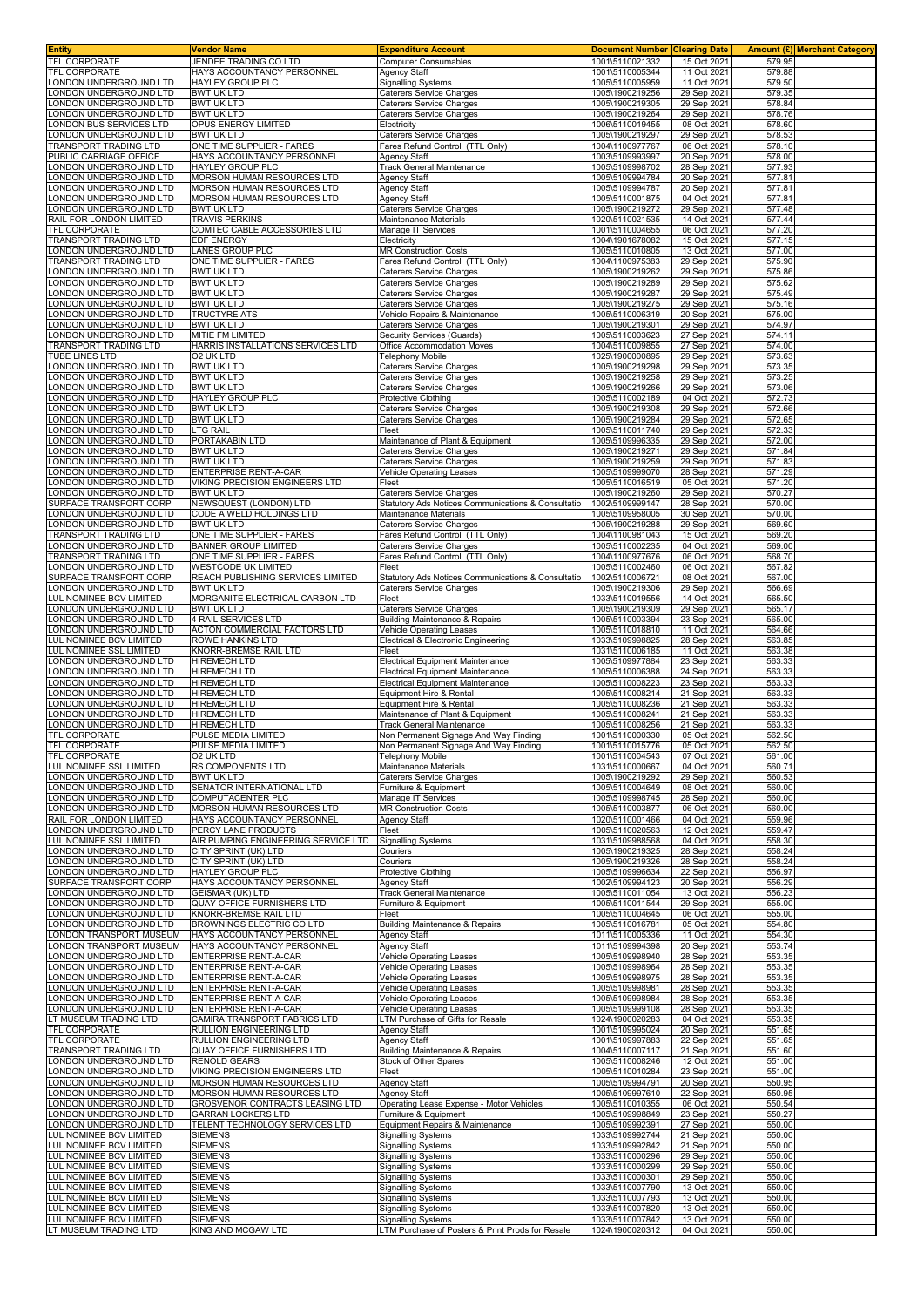| Entity                                             | Vendor Name                                                    | <b>Expenditure Account</b>                                         | <b>Document Number Clearing Date</b> |                            |                  | Amount (£) Merchant Category |
|----------------------------------------------------|----------------------------------------------------------------|--------------------------------------------------------------------|--------------------------------------|----------------------------|------------------|------------------------------|
| TFL CORPORATE<br>TFL CORPORATE                     | JENDEE TRADING CO LTD<br>HAYS ACCOUNTANCY PERSONNEL            | <b>Computer Consumables</b><br>Agency Staff                        | 1001\5110021332<br>1001\5110005344   | 15 Oct 2021<br>11 Oct 2021 | 579.95<br>579.88 |                              |
| LONDON UNDERGROUND LTD                             | HAYLEY GROUP PLC                                               | <b>Signalling Systems</b>                                          | 1005\5110005959                      | 11 Oct 2021                | 579.50           |                              |
| LONDON UNDERGROUND LTD                             | <b>BWT UK LTD</b>                                              | Caterers Service Charges                                           | 1005\1900219256                      | 29 Sep 2021                | 579.35           |                              |
| LONDON UNDERGROUND LTD                             | <b>BWT UK LTD</b>                                              | Caterers Service Charges                                           | 1005\1900219305                      | 29 Sep 2021                | 578.84           |                              |
| LONDON UNDERGROUND LTD                             | <b>BWT UK LTD</b>                                              | Caterers Service Charges                                           | 1005\1900219264                      | 29 Sep 2021                | 578.76           |                              |
| LONDON BUS SERVICES LTD<br>LONDON UNDERGROUND LTD  | OPUS ENERGY LIMITED<br><b>BWT UK LTD</b>                       | Electricity<br>Caterers Service Charges                            | 1006\5110019455<br>1005\1900219297   | 08 Oct 2021<br>29 Sep 202  | 578.60<br>578.53 |                              |
| TRANSPORT TRADING LTD                              | ONE TIME SUPPLIER - FARES                                      | Fares Refund Control (TTL Only)                                    | 1004\1100977767                      | 06 Oct 2021                | 578.10           |                              |
| PUBLIC CARRIAGE OFFICE                             | HAYS ACCOUNTANCY PERSONNEL                                     | Agency Staff                                                       | 1003\5109993997                      | 20 Sep 2021                | 578.00           |                              |
| LONDON UNDERGROUND LTD                             | HAYLEY GROUP PLC                                               | Track General Maintenance                                          | 1005\5109998702                      | 28 Sep 2021                | 577.93           |                              |
| LONDON UNDERGROUND LTD                             | MORSON HUMAN RESOURCES LTD                                     | Agency Staff                                                       | 1005\5109994784                      | 20 Sep 202                 | 577.81           |                              |
| LONDON UNDERGROUND LTD<br>ONDON UNDERGROUND LTD    | MORSON HUMAN RESOURCES LTD<br>MORSON HUMAN RESOURCES LTD       | Agency Staff<br>Agency Staff                                       | 1005\5109994787<br>1005\5110001875   | 20 Sep 2021<br>04 Oct 2021 | 577.81<br>577.81 |                              |
| ONDON UNDERGROUND LTD                              | <b>BWT UK LTD</b>                                              | <b>Caterers Service Charges</b>                                    | 1005\1900219272                      | 29 Sep 2021                | 577.48           |                              |
| RAIL FOR LONDON LIMITED                            | <b>TRAVIS PERKINS</b>                                          | Maintenance Materials                                              | 1020\5110021535                      | 14 Oct 2021                | 577.44           |                              |
| TFL CORPORATE                                      | COMTEC CABLE ACCESSORIES LTD                                   | Manage IT Services                                                 | 1001\5110004655                      | 06 Oct 2021                | 577.20           |                              |
| TRANSPORT TRADING LTD<br>LONDON UNDERGROUND LTD    | EDF ENERGY<br>LANES GROUP PLC                                  | Electricity<br><b>MR Construction Costs</b>                        | 1004\1901678082<br>1005\5110010805   | 15 Oct 2021<br>13 Oct 2021 | 577.15<br>577.00 |                              |
| TRANSPORT TRADING LTD                              | ONE TIME SUPPLIER - FARES                                      | Fares Refund Control (TTL Only)                                    | 1004\1100975383                      | 29 Sep 2021                | 575.90           |                              |
| LONDON UNDERGROUND LTD                             | <b>BWT UK LTD</b>                                              | Caterers Service Charges                                           | 1005\1900219262                      | 29 Sep 202                 | 575.86           |                              |
| LONDON UNDERGROUND LTD                             | <b>BWT UK LTD</b>                                              | Caterers Service Charges                                           | 1005\1900219289                      | 29 Sep 2021                | 575.62           |                              |
| LONDON UNDERGROUND LTD<br>LONDON UNDERGROUND LTD   | <b>BWT UK LTD</b>                                              | <b>Caterers Service Charges</b>                                    | 1005\1900219287                      | 29 Sep 2021                | 575.49<br>575.16 |                              |
| LONDON UNDERGROUND LTD                             | <b>BWT UK LTD</b><br><b>TRUCTYRE ATS</b>                       | Caterers Service Charges<br>Vehicle Repairs & Maintenance          | 1005\1900219275<br>1005\5110006319   | 29 Sep 2021<br>20 Sep 202  | 575.00           |                              |
| LONDON UNDERGROUND LTD                             | <b>BWT UK LTD</b>                                              | <b>Caterers Service Charges</b>                                    | 1005\1900219301                      | 29 Sep 2021                | 574.97           |                              |
| LONDON UNDERGROUND LTD                             | MITIE FM LIMITED                                               | Security Services (Guards)                                         | 1005\5110003623                      | 27 Sep 2021                | 574.11           |                              |
| TRANSPORT TRADING LTD                              | HARRIS INSTALLATIONS SERVICES LTD                              | Office Accommodation Moves                                         | 1004\5110009855                      | 27 Sep 2021                | 574.00           |                              |
| <b>TUBE LINES LTD</b><br>LONDON UNDERGROUND LTD    | 02 UK LTD<br><b>BWT UK LTD</b>                                 | Telephony Mobile<br>Caterers Service Charges                       | 1025\1900000895<br>1005\1900219298   | 29 Sep 2021<br>29 Sep 2021 | 573.63<br>573.35 |                              |
| LONDON UNDERGROUND LTD                             | <b>BWT UK LTD</b>                                              | Caterers Service Charges                                           | 1005\1900219258                      | 29 Sep 202                 | 573.25           |                              |
| LONDON UNDERGROUND LTD                             | <b>BWT UK LTD</b>                                              | Caterers Service Charges                                           | 1005\1900219266                      | 29 Sep 2021                | 573.06           |                              |
| ONDON UNDERGROUND LTD                              | HAYLEY GROUP PLC                                               | Protective Clothing                                                | 1005\5110002189                      | 04 Oct 2021                | 572.73           |                              |
| ONDON UNDERGROUND LTD                              | BWT UK LTD                                                     | Caterers Service Charges                                           | 1005\1900219308                      | 29 Sep 2021                | 572.66           |                              |
| LONDON UNDERGROUND LTD<br>LONDON UNDERGROUND LTD   | <b>BWT UK LTD</b><br><b>LTG RAIL</b>                           | Caterers Service Charges<br>Fleet                                  | 1005\1900219284<br>1005\5110011740   | 29 Sep 202<br>29 Sep 2021  | 572.65<br>572.33 |                              |
| ONDON UNDERGROUND LTD                              | PORTAKABIN LTD                                                 | Maintenance of Plant & Equipment                                   | 1005\5109996335                      | 29 Sep 2021                | 572.00           |                              |
| ONDON UNDERGROUND LTD                              | <b>BWT UK LTD</b>                                              | Caterers Service Charges                                           | 1005\1900219271                      | 29 Sep 2021                | 571.84           |                              |
| ONDON UNDERGROUND LTD                              | <b>BWT UK LTD</b>                                              | Caterers Service Charges                                           | 1005\1900219259                      | 29 Sep 202                 | 571.83           |                              |
| LONDON UNDERGROUND LTD                             | <b>ENTERPRISE RENT-A-CAR</b><br>VIKING PRECISION ENGINEERS LTD | <b>Vehicle Operating Leases</b>                                    | 1005\5109999070<br>1005\5110016519   | 28 Sep 2021                | 571.29<br>571.20 |                              |
| LONDON UNDERGROUND LTD<br>LONDON UNDERGROUND LTD   | <b>BWT UK LTD</b>                                              | Fleet<br>Caterers Service Charges                                  | 1005\1900219260                      | 05 Oct 2021<br>29 Sep 2021 | 570.27           |                              |
| SURFACE TRANSPORT CORP                             | <b>NEWSQUEST (LONDON) LTD</b>                                  | Statutory Ads Notices Communications & Consultatio                 | 1002\5109999147                      | 28 Sep 2021                | 570.00           |                              |
| LONDON UNDERGROUND LTD                             | CODE A WELD HOLDINGS LTD                                       | Maintenance Materials                                              | 1005\5109958005                      | 30 Sep 2021                | 570.00           |                              |
| LONDON UNDERGROUND LTD                             | <b>BWT UK LTD</b>                                              | Caterers Service Charges                                           | 1005\1900219288                      | 29 Sep 2021                | 569.60           |                              |
| TRANSPORT TRADING LTD<br>LONDON UNDERGROUND LTD    | ONE TIME SUPPLIER - FARES<br><b>BANNER GROUP LIMITED</b>       | Fares Refund Control (TTL Only)<br><b>Caterers Service Charges</b> | 1004\1100981043<br>1005\5110002235   | 15 Oct 2021<br>04 Oct 2021 | 569.20<br>569.00 |                              |
| TRANSPORT TRADING LTD                              | ONE TIME SUPPLIER - FARES                                      | Fares Refund Control (TTL Only)                                    | 1004\1100977676                      | 06 Oct 2021                | 568.70           |                              |
| LONDON UNDERGROUND LTD                             | <b>WESTCODE UK LIMITED</b>                                     | Fleet                                                              | 1005\5110002460                      | 06 Oct 2021                | 567.82           |                              |
| SURFACE TRANSPORT CORP                             | REACH PUBLISHING SERVICES LIMITED                              | Statutory Ads Notices Communications & Consultatio                 | 1002\5110006721                      | 08 Oct 2021                | 567.00           |                              |
| LONDON UNDERGROUND LTD                             | <b>BWT UK LTD</b>                                              | <b>Caterers Service Charges</b>                                    | 1005\1900219306                      | 29 Sep 2021                | 566.69           |                              |
| LUL NOMINEE BCV LIMITED<br>ONDON UNDERGROUND LTD   | MORGANITE ELECTRICAL CARBON LTD<br><b>BWT UK LTD</b>           | Fleet<br>Caterers Service Charges                                  | 1033\5110019556<br>1005\1900219309   | 14 Oct 2021<br>29 Sep 2021 | 565.50<br>565.17 |                              |
| ONDON UNDERGROUND LTD                              | 4 RAIL SERVICES LTD                                            | Building Maintenance & Repairs                                     | 1005\5110003394                      | 23 Sep 2021                | 565.00           |                              |
| ONDON UNDERGROUND LTD                              | ACTON COMMERCIAL FACTORS LTD                                   | Vehicle Operating Leases                                           | 1005\5110018810                      | 11 Oct 2021                | 564.66           |                              |
| LUL NOMINEE BCV LIMITED                            | ROWE HANKINS LTD                                               | Electrical & Electronic Engineering                                | 1033\5109998825                      | 28 Sep 2021                | 563.85           |                              |
| LUL NOMINEE SSL LIMITED<br>LONDON UNDERGROUND LTD  | KNORR-BREMSE RAIL LTD<br><b>HIREMECH LTD</b>                   | Fleet<br><b>Electrical Equipment Maintenance</b>                   | 1031\5110006185<br>1005\5109977884   | 11 Oct 2021<br>23 Sep 2021 | 563.38<br>563.33 |                              |
| LONDON UNDERGROUND LTD                             | <b>HIREMECH LTD</b>                                            | Electrical Equipment Maintenance                                   | 1005\5110006388                      | 24 Sep 2021                | 563.33           |                              |
| LONDON UNDERGROUND LTD                             | <b>HIREMECH LTD</b>                                            | Electrical Equipment Maintenance                                   | 1005\5110008223                      | 23 Sep 2021                | 563.33           |                              |
| ONDON UNDERGROUND LTD                              | <b>HIREMECH LTD</b>                                            | Equipment Hire & Rental                                            | 1005\5110008214                      | 21 Sep 2021                | 563.33           |                              |
| ONDON UNDERGROUND LTD                              | HIREMECH LTD<br><b>HIREMECH LTD</b>                            | Equipment Hire & Rental                                            | 1005\5110008236                      | 21 Sep 2021                | 563.33           |                              |
| ONDON UNDERGROUND LTD<br>LONDON UNDERGROUND LTD    | HIREMECH LTD                                                   | Maintenance of Plant & Equipment<br>Track General Maintenance      | 1005\5110008241<br>1005\5110008256   | 21 Sep 2021<br>21 Sep 2021 | 563.33<br>563.33 |                              |
| TFL CORPORATE                                      | PULSE MEDIA LIMITED                                            | Non Permanent Signage And Way Finding                              | 1001\5110000330                      | 05 Oct 2021                | 562.50           |                              |
| TFL CORPORATE                                      | PULSE MEDIA LIMITED                                            | Non Permanent Signage And Way Finding                              | 1001\5110015776                      | 05 Oct 2021                | 562.50           |                              |
| TFL CORPORATE                                      | O <sub>2</sub> UK LTD                                          | <b>Telephony Mobile</b>                                            | 1001\5110004543                      | 07 Oct 2021                | 561.00           |                              |
| LUL NOMINEE SSL LIMITED<br>LONDON UNDERGROUND LTD  | RS COMPONENTS LTD<br><b>BWT UK LTD</b>                         | Maintenance Materials<br>Caterers Service Charges                  | 1031\5110000667<br>1005\1900219292   | 04 Oct 2021<br>29 Sep 2021 | 560.71<br>560.53 |                              |
| LONDON UNDERGROUND LTD                             | SENATOR INTERNATIONAL LTD                                      | Furniture & Equipment                                              | 1005\5110004649                      | 08 Oct 2021                | 560.00           |                              |
| LONDON UNDERGROUND LTD                             | COMPUTACENTER PLC                                              | Manage IT Services                                                 | 1005\5109998745                      | 28 Sep 2021                | 560.00           |                              |
| LONDON UNDERGROUND LTD                             | MORSON HUMAN RESOURCES LTD                                     | <b>MR Construction Costs</b>                                       | 1005\5110003877                      | 06 Oct 2021                | 560.00           |                              |
| RAIL FOR LONDON LIMITED                            | HAYS ACCOUNTANCY PERSONNEL                                     | Agency Staff                                                       | 1020\5110001466                      | 04 Oct 2021                | 559.96           |                              |
| LONDON UNDERGROUND LTD<br>LUL NOMINEE SSL LIMITED  | PERCY LANE PRODUCTS<br>AIR PUMPING ENGINEERING SERVICE LTD     | Fleet<br><b>Signalling Systems</b>                                 | 1005\5110020563<br>1031\5109988568   | 12 Oct 2021<br>04 Oct 2021 | 559.47<br>558.30 |                              |
| LONDON UNDERGROUND LTD                             | CITY SPRINT (UK) LTD                                           | Couriers                                                           | 1005\1900219325                      | 28 Sep 2021                | 558.24           |                              |
| LONDON UNDERGROUND LTD                             | CITY SPRINT (UK) LTD                                           | Couriers                                                           | 1005\1900219326                      | 28 Sep 2021                | 558.24           |                              |
| LONDON UNDERGROUND LTD                             | HAYLEY GROUP PLC                                               | Protective Clothing                                                | 1005\5109996634                      | 22 Sep 2021                | 556.97           |                              |
| SURFACE TRANSPORT CORP<br>ONDON UNDERGROUND LTD    | HAYS ACCOUNTANCY PERSONNEL<br><b>GEISMAR (UK) LTD</b>          | Agency Staff<br>Track General Maintenance                          | 1002\5109994123<br>1005\5110011054   | 20 Sep 2021<br>13 Oct 2021 | 556.29<br>556.23 |                              |
| LONDON UNDERGROUND LTD                             | QUAY OFFICE FURNISHERS LTD                                     | Furniture & Equipment                                              | 1005\5110011544                      | 29 Sep 2021                | 555.00           |                              |
| LONDON UNDERGROUND LTD                             | KNORR-BREMSE RAIL LTD                                          | Fleet                                                              | 1005\5110004645                      | 06 Oct 2021                | 555.00           |                              |
| LONDON UNDERGROUND LTD                             | BROWNINGS ELECTRIC CO LTD                                      | Building Maintenance & Repairs                                     | 1005\5110016781                      | 05 Oct 2021                | 554.80           |                              |
| ONDON TRANSPORT MUSEUM                             | HAYS ACCOUNTANCY PERSONNEL                                     | Agency Staff                                                       | 1011\5110005336                      | 11 Oct 2021                | 554.30           |                              |
| ONDON TRANSPORT MUSEUM<br>LONDON UNDERGROUND LTD   | HAYS ACCOUNTANCY PERSONNEL<br>ENTERPRISE RENT-A-CAR            | Agency Staff<br><b>Vehicle Operating Leases</b>                    | 1011\5109994398<br>1005\5109998940   | 20 Sep 2021<br>28 Sep 2021 | 553.74<br>553.35 |                              |
| LONDON UNDERGROUND LTD                             | <b>ENTERPRISE RENT-A-CAR</b>                                   | Vehicle Operating Leases                                           | 1005\5109998964                      | 28 Sep 2021                | 553.35           |                              |
| LONDON UNDERGROUND LTD                             | ENTERPRISE RENT-A-CAR                                          | <b>Vehicle Operating Leases</b>                                    | 1005\5109998975                      | 28 Sep 2021                | 553.35           |                              |
| LONDON UNDERGROUND LTD                             | <b>ENTERPRISE RENT-A-CAR</b>                                   | <b>Vehicle Operating Leases</b>                                    | 1005\5109998981                      | 28 Sep 2021                | 553.35           |                              |
| LONDON UNDERGROUND LTD<br>LONDON UNDERGROUND LTD   | ENTERPRISE RENT-A-CAR<br><b>ENTERPRISE RENT-A-CAR</b>          | <b>Vehicle Operating Leases</b><br><b>Vehicle Operating Leases</b> | 1005\5109998984<br>1005\5109999108   | 28 Sep 2021<br>28 Sep 2021 | 553.35<br>553.35 |                              |
| LT MUSEUM TRADING LTD                              | CAMIRA TRANSPORT FABRICS LTD                                   | LTM Purchase of Gifts for Resale                                   | 1024\1900020283                      | 04 Oct 2021                | 553.35           |                              |
| TFL CORPORATE                                      | RULLION ENGINEERING LTD                                        | Agency Staff                                                       | 1001\5109995024                      | 20 Sep 2021                | 551.65           |                              |
| TFL CORPORATE                                      | RULLION ENGINEERING LTD                                        | Agency Staff                                                       | 1001\5109997883                      | 22 Sep 2021                | 551.65           |                              |
| TRANSPORT TRADING LTD                              | QUAY OFFICE FURNISHERS LTD                                     | Building Maintenance & Repairs                                     | 1004\5110007117                      | 21 Sep 2021                | 551.60           |                              |
| LONDON UNDERGROUND LTD<br>LONDON UNDERGROUND LTD   | <b>RENOLD GEARS</b><br>VIKING PRECISION ENGINEERS LTD          | Stock of Other Spares<br>Fleet                                     | 1005\5110008246<br>1005\5110010284   | 12 Oct 2021<br>23 Sep 2021 | 551.00<br>551.00 |                              |
| LONDON UNDERGROUND LTD                             | <b>MORSON HUMAN RESOURCES LTD</b>                              | Agency Staff                                                       | 1005\5109994791                      | 20 Sep 2021                | 550.95           |                              |
| LONDON UNDERGROUND LTD                             | MORSON HUMAN RESOURCES LTD                                     | Agency Staff                                                       | 1005\5109997610                      | 22 Sep 2021                | 550.95           |                              |
| LONDON UNDERGROUND LTD                             | GROSVENOR CONTRACTS LEASING LTD                                | Operating Lease Expense - Motor Vehicles                           | 1005\5110010355                      | 06 Oct 2021                | 550.54           |                              |
| LONDON UNDERGROUND LTD                             | <b>GARRAN LOCKERS LTD</b>                                      | Furniture & Equipment                                              | 1005\5109998849                      | 23 Sep 2021                | 550.27           |                              |
| LONDON UNDERGROUND LTD<br>LUL NOMINEE BCV LIMITED  | TELENT TECHNOLOGY SERVICES LTD<br><b>SIEMENS</b>               | Equipment Repairs & Maintenance<br>Signalling Systems              | 1005\5109992391<br>1033\5109992744   | 27 Sep 2021<br>21 Sep 2021 | 550.00<br>550.00 |                              |
| LUL NOMINEE BCV LIMITED                            | <b>SIEMENS</b>                                                 | <b>Signalling Systems</b>                                          | 1033\5109992842                      | 21 Sep 2021                | 550.00           |                              |
| LUL NOMINEE BCV LIMITED                            | <b>SIEMENS</b>                                                 | Signalling Systems                                                 | 1033\5110000296                      | 29 Sep 2021                | 550.00           |                              |
| LUL NOMINEE BCV LIMITED                            | <b>SIEMENS</b>                                                 | <b>Signalling Systems</b>                                          | 1033\5110000299                      | 29 Sep 2021                | 550.00           |                              |
| LUL NOMINEE BCV LIMITED<br>LUL NOMINEE BCV LIMITED | <b>SIEMENS</b><br><b>SIEMENS</b>                               | <b>Signalling Systems</b><br><b>Signalling Systems</b>             | 1033\5110000301<br>1033\5110007790   | 29 Sep 2021<br>13 Oct 2021 | 550.00<br>550.00 |                              |
| LUL NOMINEE BCV LIMITED                            | SIEMENS                                                        | <b>Signalling Systems</b>                                          | 1033\5110007793                      | 13 Oct 2021                | 550.00           |                              |
| LUL NOMINEE BCV LIMITED                            | <b>SIEMENS</b>                                                 | <b>Signalling Systems</b>                                          | 1033\5110007820                      | 13 Oct 2021                | 550.00           |                              |
| LUL NOMINEE BCV LIMITED                            | <b>SIEMENS</b>                                                 | <b>Signalling Systems</b>                                          | 1033\5110007842                      | 13 Oct 2021                | 550.00           |                              |
| LT MUSEUM TRADING LTD                              | KING AND MCGAW LTD                                             | LTM Purchase of Posters & Print Prods for Resale                   | 1024\1900020312                      | 04 Oct 2021                | 550.00           |                              |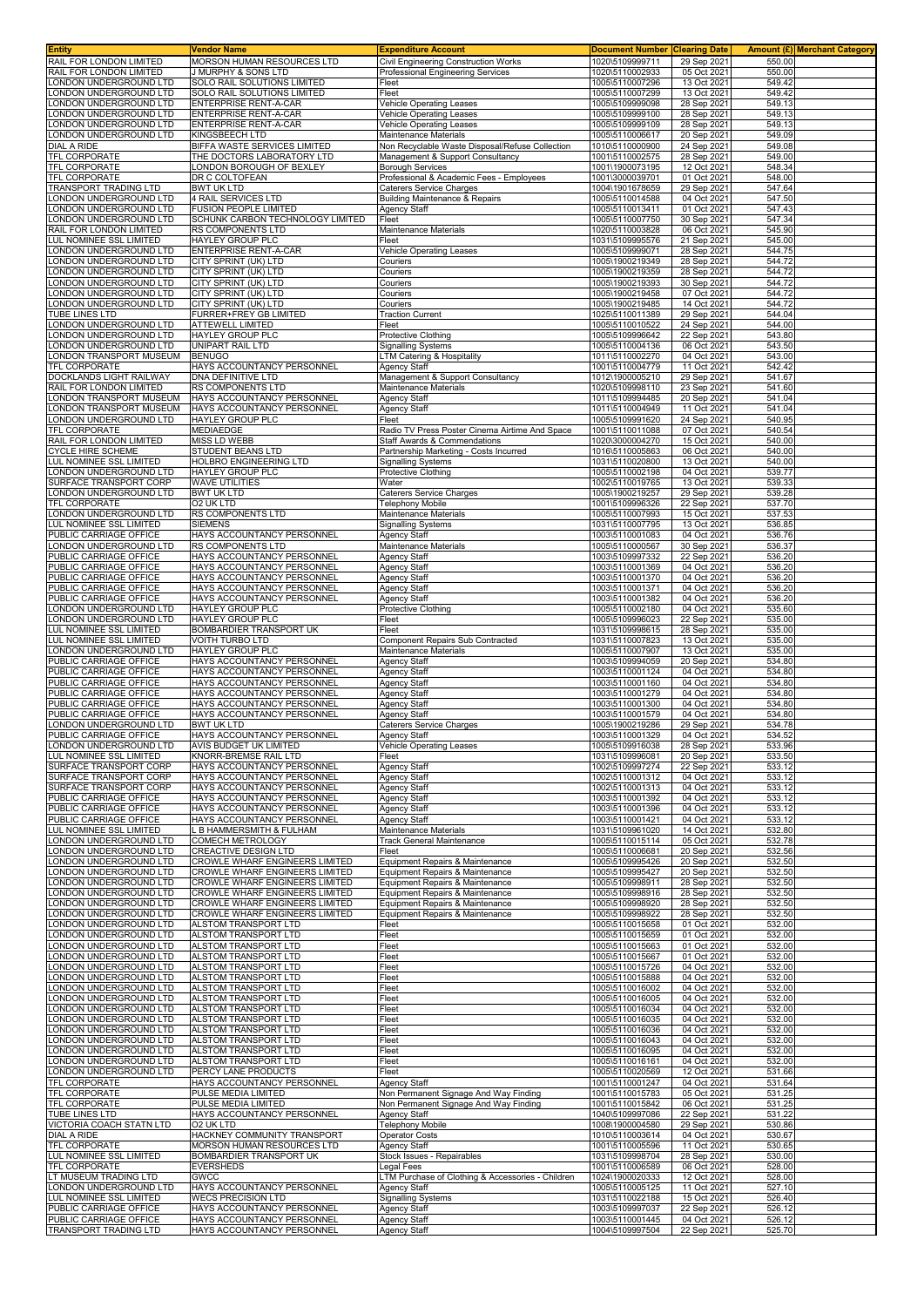| Entity                                             | Vendor Name                                                      | Expenditure Account                                                                 | <b>Document Number Clearing Date</b><br>1020\5109999711 |                            | <b>Amount (£) Merchant Category</b> |
|----------------------------------------------------|------------------------------------------------------------------|-------------------------------------------------------------------------------------|---------------------------------------------------------|----------------------------|-------------------------------------|
| RAIL FOR LONDON LIMITED<br>RAIL FOR LONDON LIMITED | MORSON HUMAN RESOURCES LTD<br>J MURPHY & SONS LTD                | Civil Engineering Construction Works<br>Professional Engineering Services           | 1020\5110002933                                         | 29 Sep 2021<br>05 Oct 2021 | 550.00<br>550.00                    |
| LONDON UNDERGROUND LTD                             | SOLO RAIL SOLUTIONS LIMITED                                      | Fleet                                                                               | 1005\5110007296                                         | 13 Oct 2021                | 549.42                              |
| LONDON UNDERGROUND LTD                             | SOLO RAIL SOLUTIONS LIMITED                                      | Fleet                                                                               | 1005\5110007299                                         | 13 Oct 2021                | 549.42                              |
| LONDON UNDERGROUND LTD<br>LONDON UNDERGROUND LTD   | ENTERPRISE RENT-A-CAR<br>ENTERPRISE RENT-A-CAR                   | <b>Vehicle Operating Leases</b><br>Vehicle Operating Leases                         | 1005\5109999098<br>1005\5109999100                      | 28 Sep 2021<br>28 Sep 2021 | 549.13<br>549.13                    |
| ONDON UNDERGROUND LTD                              | ENTERPRISE RENT-A-CAR                                            | Vehicle Operating Leases                                                            | 1005\5109999109                                         | 28 Sep 2021                | 549.13                              |
| LONDON UNDERGROUND LTD                             | KINGSBEECH LTD                                                   | Maintenance Materials                                                               | 1005\5110006617                                         | 20 Sep 2021                | 549.09                              |
| DIAL A RIDE<br>TFL CORPORATE                       | BIFFA WASTE SERVICES LIMITED<br>THE DOCTORS LABORATORY LTD       | Non Recyclable Waste Disposal/Refuse Collection<br>Management & Support Consultancy | 1010\5110000900<br>1001\5110002575                      | 24 Sep 2021<br>28 Sep 2021 | 549.08<br>549.00                    |
| <b>TFL CORPORATE</b>                               | ONDON BOROUGH OF BEXLEY                                          | Borough Services                                                                    | 1001\1900073195                                         | 12 Oct 2021                | 548.34                              |
| TFL CORPORATE                                      | DR C COLTOFEAN                                                   | Professional & Academic Fees - Employees                                            | 1001\3000039701                                         | 01 Oct 2021                | 548.00                              |
| TRANSPORT TRADING LTD<br>LONDON UNDERGROUND LTD    | BWT UK LTD<br><b>4 RAIL SERVICES LTD</b>                         | Caterers Service Charges<br>Building Maintenance & Repairs                          | 1004\1901678659<br>1005\5110014588                      | 29 Sep 2021<br>04 Oct 2021 | 547.64<br>547.50                    |
| LONDON UNDERGROUND LTD                             | <b>FUSION PEOPLE LIMITED</b>                                     | Agency Staff                                                                        | 1005\5110013411                                         | 01 Oct 2021                | 547.43                              |
| LONDON UNDERGROUND LTD<br>RAIL FOR LONDON LIMITED  | SCHUNK CARBON TECHNOLOGY LIMITED<br>RS COMPONENTS LTD            | Fleet<br>Maintenance Materials                                                      | 1005\5110007750<br>1020\5110003828                      | 30 Sep 2021<br>06 Oct 2021 | 547.34<br>545.90                    |
| LUL NOMINEE SSL LIMITED                            | <b>HAYLEY GROUP PLC</b>                                          | Fleet                                                                               | 1031\5109995576                                         | 21 Sep 2021                | 545.00                              |
| LONDON UNDERGROUND LTD                             | ENTERPRISE RENT-A-CAR                                            | Vehicle Operating Leases                                                            | 1005\5109999071                                         | 28 Sep 2021                | 544.75                              |
| LONDON UNDERGROUND LTD<br>LONDON UNDERGROUND LTD   | CITY SPRINT (UK) LTD<br>CITY SPRINT (UK) LTD                     | Couriers<br>Couriers                                                                | 1005\1900219349<br>1005\1900219359                      | 28 Sep 2021<br>28 Sep 2021 | 544.72<br>544.72                    |
| LONDON UNDERGROUND LTD                             | CITY SPRINT (UK) LTD                                             | Couriers                                                                            | 1005\1900219393                                         | 30 Sep 2021                | 544.72                              |
| LONDON UNDERGROUND LTD                             | CITY SPRINT (UK) LTD                                             | Couriers                                                                            | 1005\1900219458                                         | 07 Oct 2021                | 544.72                              |
| LONDON UNDERGROUND LTD<br>TUBE LINES LTD           | CITY SPRINT (UK) LTD<br>FURRER+FREY GB LIMITED                   | Couriers<br><b>Traction Current</b>                                                 | 1005\1900219485<br>1025\5110011389                      | 14 Oct 2021<br>29 Sep 2021 | 544.72<br>544.04                    |
| LONDON UNDERGROUND LTD                             | ATTEWELL LIMITED                                                 | Fleet                                                                               | 1005\5110010522                                         | 24 Sep 2021                | 544.00                              |
| LONDON UNDERGROUND LTD                             | HAYLEY GROUP PLC                                                 | Protective Clothing                                                                 | 1005\5109996642                                         | 22 Sep 2021                | 543.80                              |
| LONDON UNDERGROUND LTD<br>LONDON TRANSPORT MUSEUM  | UNIPART RAIL LTD<br><b>BENUGO</b>                                | Signalling Systems<br>TM Catering & Hospitality                                     | 1005\5110004136<br>1011\5110002270                      | 06 Oct 2021<br>04 Oct 2021 | 543.50<br>543.00                    |
| TFL CORPORATE                                      | HAYS ACCOUNTANCY PERSONNEL                                       | Agency Staff                                                                        | 1001\5110004779                                         | 11 Oct 2021                | 542.42                              |
| DOCKLANDS LIGHT RAILWAY<br>RAIL FOR LONDON LIMITED | DNA DEFINITIVE LTD<br>RS COMPONENTS LTD                          | Management & Support Consultancy<br>Maintenance Materials                           | 1012\1900005210<br>1020\5109998110                      | 29 Sep 2021                | 541.67<br>541.60                    |
| LONDON TRANSPORT MUSEUM                            | HAYS ACCOUNTANCY PERSONNEL                                       | Agency Staff                                                                        | 1011\5109994485                                         | 23 Sep 2021<br>20 Sep 2021 | 541.04                              |
| LONDON TRANSPORT MUSEUM                            | HAYS ACCOUNTANCY PERSONNEL                                       | Agency Staff                                                                        | 1011\5110004949                                         | 11 Oct 2021                | 541.04                              |
| LONDON UNDERGROUND LTD<br>TFL CORPORATE            | HAYLEY GROUP PLC<br>MEDIAEDGE                                    | Fleet<br>Radio TV Press Poster Cinema Airtime And Space                             | 1005\5109991620<br>1001\5110011088                      | 24 Sep 2021<br>07 Oct 2021 | 540.95<br>540.54                    |
| RAIL FOR LONDON LIMITED                            | <b>MISS LD WEBB</b>                                              | Staff Awards & Commendations                                                        | 1020\3000004270                                         | 15 Oct 2021                | 540.00                              |
| CYCLE HIRE SCHEME                                  | STUDENT BEANS LTD                                                | Partnership Marketing - Costs Incurred                                              | 1016\5110005863                                         | 06 Oct 2021                | 540.00                              |
| LUL NOMINEE SSL LIMITED<br>LONDON UNDERGROUND LTD  | HOLBRO ENGINEERING LTD<br>HAYLEY GROUP PLC                       | Signalling Systems<br><b>Protective Clothing</b>                                    | 1031\5110020800<br>1005\5110002198                      | 13 Oct 2021<br>04 Oct 2021 | 540.00<br>539.77                    |
| SURFACE TRANSPORT CORP                             | <b>WAVE UTILITIES</b>                                            | Water                                                                               | 1002\5110019765                                         | 13 Oct 2021                | 539.33                              |
| LONDON UNDERGROUND LTD                             | <b>BWT UK LTD</b>                                                | Caterers Service Charges                                                            | 1005\1900219257                                         | 29 Sep 2021                | 539.28                              |
| TFL CORPORATE<br>LONDON UNDERGROUND LTD            | O2 UK LTD<br>RS COMPONENTS LTD                                   | Telephony Mobile<br>Maintenance Materials                                           | 1001\5109996326<br>1005\5110007993                      | 22 Sep 2021<br>15 Oct 2021 | 537.70<br>537.53                    |
| LUL NOMINEE SSL LIMITED                            | <b>SIEMENS</b>                                                   | Signalling Systems                                                                  | 1031\5110007795                                         | 13 Oct 2021                | 536.85                              |
| PUBLIC CARRIAGE OFFICE                             | HAYS ACCOUNTANCY PERSONNEL                                       | <b>Agency Staff</b>                                                                 | 1003\5110001083                                         | 04 Oct 2021                | 536.76                              |
| LONDON UNDERGROUND LTD<br>PUBLIC CARRIAGE OFFICE   | RS COMPONENTS LTD<br>HAYS ACCOUNTANCY PERSONNEL                  | Maintenance Materials<br>Agency Staff                                               | 1005\5110000567<br>1003\5109997332                      | 30 Sep 2021<br>22 Sep 2021 | 536.37<br>536.20                    |
| PUBLIC CARRIAGE OFFICE                             | HAYS ACCOUNTANCY PERSONNEL                                       | Agency Staff                                                                        | 1003\5110001369                                         | 04 Oct 2021                | 536.20                              |
| PUBLIC CARRIAGE OFFICE                             | HAYS ACCOUNTANCY PERSONNEL                                       | Agency Staff                                                                        | 1003\5110001370                                         | 04 Oct 2021                | 536.20                              |
| PUBLIC CARRIAGE OFFICE<br>PUBLIC CARRIAGE OFFICE   | HAYS ACCOUNTANCY PERSONNEL<br>HAYS ACCOUNTANCY PERSONNEL         | Agency Staff<br>Agency Staff                                                        | 1003\5110001371<br>1003\5110001382                      | 04 Oct 2021<br>04 Oct 2021 | 536.20<br>536.20                    |
| LONDON UNDERGROUND LTD                             | HAYLEY GROUP PLC                                                 | Protective Clothing                                                                 | 1005\5110002180                                         | 04 Oct 2021                | 535.60                              |
| LONDON UNDERGROUND LTD                             | HAYLEY GROUP PLC                                                 | Fleet                                                                               | 1005\5109996023                                         | 22 Sep 2021                | 535.00                              |
| LUL NOMINEE SSL LIMITED<br>LUL NOMINEE SSL LIMITED | BOMBARDIER TRANSPORT UK<br>VOITH TURBO LTD                       | Fleet<br>Component Repairs Sub Contracted                                           | 1031\5109998615<br>1031\5110007823                      | 28 Sep 2021<br>13 Oct 2021 | 535.00<br>535.00                    |
| LONDON UNDERGROUND LTD                             | HAYLEY GROUP PLC                                                 | Maintenance Materials                                                               | 1005\5110007907                                         | 13 Oct 2021                | 535.00                              |
| PUBLIC CARRIAGE OFFICE                             | HAYS ACCOUNTANCY PERSONNEI<br>HAYS ACCOUNTANCY PERSONNEL         | Agency Staff                                                                        | 1003\5109994059                                         | 20 Sep 2021                | 534.80                              |
| PUBLIC CARRIAGE OFFICE<br>PUBLIC CARRIAGE OFFICE   | HAYS ACCOUNTANCY PERSONNEL                                       | Agency Staff<br>Agency Staff                                                        | 1003\5110001124<br>1003\5110001160                      | 04 Oct 2021<br>04 Oct 2021 | 534.80<br>534.80                    |
| PUBLIC CARRIAGE OFFICE                             | HAYS ACCOUNTANCY PERSONNEL                                       | <b>Agency Staff</b>                                                                 | 1003\5110001279                                         | 04 Oct 2021                | 534.80                              |
| PUBLIC CARRIAGE OFFICE                             | HAYS ACCOUNTANCY PERSONNEL                                       | Agency Staff                                                                        | 1003\5110001300                                         | 04 Oct 2021                | 534.80                              |
| PUBLIC CARRIAGE OFFICE<br>LONDON UNDERGROUND LTD   | HAYS ACCOUNTANCY PERSONNEL<br>BWT UK LTD                         | Agency Staff<br>Caterers Service Charges                                            | 1003\5110001579<br>1005\1900219286                      | 04 Oct 2021<br>29 Sep 2021 | 534.80<br>534.78                    |
| PUBLIC CARRIAGE OFFICE                             | HAYS ACCOUNTANCY PERSONNEL                                       | Agency Staff                                                                        | 1003\5110001329                                         | 04 Oct 2021                | 534.52                              |
| LONDON UNDERGROUND LTD<br>LUL NOMINEE SSL LIMITED  | AVIS BUDGET UK LIMITED<br>KNORR-BREMSE RAIL LTD                  | Vehicle Operating Leases<br>Fleet                                                   | 1005\5109916038<br>1031\5109996081                      | 28 Sep 2021<br>20 Sep 2021 | 533.96<br>533.50                    |
| SURFACE TRANSPORT CORP                             | HAYS ACCOUNTANCY PERSONNEL                                       | Agency Staff                                                                        | 1002\5109997274                                         | 22 Sep 2021                | 533.12                              |
| SURFACE TRANSPORT CORP                             | HAYS ACCOUNTANCY PERSONNEL                                       | <b>Agency Staff</b>                                                                 | 1002\5110001312                                         | 04 Oct 2021                | 533.12                              |
| SURFACE TRANSPORT CORP<br>PUBLIC CARRIAGE OFFICE   | HAYS ACCOUNTANCY PERSONNEL<br>HAYS ACCOUNTANCY PERSONNEL         | Agency Staff<br>Agency Staff                                                        | 1002\5110001313<br>1003\5110001392                      | 04 Oct 2021<br>04 Oct 2021 | 533.12<br>533.12                    |
| PUBLIC CARRIAGE OFFICE                             | HAYS ACCOUNTANCY PERSONNEL                                       | <b>Agency Staff</b>                                                                 | 1003\5110001396                                         | 04 Oct 2021                | 533.12                              |
| PUBLIC CARRIAGE OFFICE                             | HAYS ACCOUNTANCY PERSONNEL                                       | Agency Staff                                                                        | 1003\5110001421                                         | 04 Oct 2021                | 533.12                              |
| LUL NOMINEE SSL LIMITED<br>LONDON UNDERGROUND LTD  | <b>B HAMMERSMITH &amp; FULHAM</b><br>COMECH METROLOGY            | Maintenance Materials<br><b>Track General Maintenance</b>                           | 1031\5109961020<br>1005\5110015114                      | 14 Oct 2021<br>05 Oct 2021 | 532.80<br>532.78                    |
| ONDON UNDERGROUND LTD                              | CREACTIVE DESIGN LTD                                             | Fleet                                                                               | 1005\5110006681                                         | 20 Sep 2021                | 532.56                              |
| LONDON UNDERGROUND LTD                             | CROWLE WHARF ENGINEERS LIMITED                                   | Equipment Repairs & Maintenance                                                     | 1005\5109995426                                         | 20 Sep 2021                | 532.50                              |
| LONDON UNDERGROUND LTD<br>ONDON UNDERGROUND LTD    | CROWLE WHARF ENGINEERS LIMITED<br>CROWLE WHARF ENGINEERS LIMITED | Equipment Repairs & Maintenance<br>Equipment Repairs & Maintenance                  | 1005\5109995427<br>1005\5109998911                      | 20 Sep 2021<br>28 Sep 2021 | 532.50<br>532.50                    |
| ONDON UNDERGROUND LTD                              | CROWLE WHARF ENGINEERS LIMITED                                   | Equipment Repairs & Maintenance                                                     | 1005\5109998916                                         | 28 Sep 2021                | 532.50                              |
| LONDON UNDERGROUND LTD<br>LONDON UNDERGROUND LTD   | CROWLE WHARF ENGINEERS LIMITED<br>CROWLE WHARF ENGINEERS LIMITED | Equipment Repairs & Maintenance<br>Equipment Repairs & Maintenance                  | 1005\5109998920<br>1005\5109998922                      | 28 Sep 2021<br>28 Sep 2021 | 532.50<br>532.50                    |
| LONDON UNDERGROUND LTD                             | ALSTOM TRANSPORT LTD                                             | Fleet                                                                               | 1005\5110015658                                         | 01 Oct 2021                | 532.00                              |
| ONDON UNDERGROUND LTD                              | ALSTOM TRANSPORT LTD                                             | Fleet                                                                               | 1005\5110015659                                         | 01 Oct 2021                | 532.00                              |
| ONDON UNDERGROUND LTD<br>LONDON UNDERGROUND LTD    | ALSTOM TRANSPORT LTD<br>ALSTOM TRANSPORT LTD                     | Fleet<br>Fleet                                                                      | 1005\5110015663<br>1005\5110015667                      | 01 Oct 2021<br>01 Oct 2021 | 532.00<br>532.00                    |
| LONDON UNDERGROUND LTD                             | ALSTOM TRANSPORT LTD                                             | Fleet                                                                               | 1005\5110015726                                         | 04 Oct 2021                | 532.00                              |
| LONDON UNDERGROUND LTD                             | ALSTOM TRANSPORT LTD                                             | Fleet                                                                               | 1005\5110015888                                         | 04 Oct 2021                | 532.00                              |
| LONDON UNDERGROUND LTD<br>LONDON UNDERGROUND LTD   | ALSTOM TRANSPORT LTD<br>ALSTOM TRANSPORT LTD                     | Fleet<br>Fleet                                                                      | 1005\5110016002<br>1005\5110016005                      | 04 Oct 2021<br>04 Oct 2021 | 532.00<br>532.00                    |
| LONDON UNDERGROUND LTD                             | ALSTOM TRANSPORT LTD                                             | Fleet                                                                               | 1005\5110016034                                         | 04 Oct 2021                | 532.00                              |
| LONDON UNDERGROUND LTD                             | ALSTOM TRANSPORT LTD                                             | Fleet                                                                               | 1005\5110016035                                         | 04 Oct 2021                | 532.00                              |
| LONDON UNDERGROUND LTD<br>LONDON UNDERGROUND LTD   | ALSTOM TRANSPORT LTD<br>ALSTOM TRANSPORT LTD                     | Fleet<br>Fleet                                                                      | 1005\5110016036<br>1005\5110016043                      | 04 Oct 2021<br>04 Oct 2021 | 532.00<br>532.00                    |
| LONDON UNDERGROUND LTD                             | ALSTOM TRANSPORT LTD                                             | Fleet                                                                               | 1005\5110016095                                         | 04 Oct 2021                | 532.00                              |
| LONDON UNDERGROUND LTD                             | ALSTOM TRANSPORT LTD                                             | Fleet                                                                               | 1005\5110016161                                         | 04 Oct 2021                | 532.00                              |
| LONDON UNDERGROUND LTD<br><b>TFL CORPORATE</b>     | PERCY LANE PRODUCTS<br>HAYS ACCOUNTANCY PERSONNEL                | Fleet<br>Agency Staff                                                               | 1005\5110020569<br>1001\5110001247                      | 12 Oct 2021<br>04 Oct 2021 | 531.66<br>531.64                    |
| TFL CORPORATE                                      | PULSE MEDIA LIMITED                                              | Non Permanent Signage And Way Finding                                               | 1001\5110015783                                         | 05 Oct 2021                | 531.25                              |
| <b>TFL CORPORATE</b><br>TUBE LINES LTD             | PULSE MEDIA LIMITED<br>HAYS ACCOUNTANCY PERSONNEL                | Non Permanent Signage And Way Finding                                               | 1001\5110015842<br>1040\5109997086                      | 06 Oct 2021                | 531.25<br>531.22                    |
| VICTORIA COACH STATN LTD                           | 02 UK LTD                                                        | Agency Staff<br><b>Telephony Mobile</b>                                             | 1008\1900004580                                         | 22 Sep 2021<br>29 Sep 2021 | 530.86                              |
| DIAL A RIDE                                        | HACKNEY COMMUNITY TRANSPORT                                      | <b>Operator Costs</b>                                                               | 1010\5110003614                                         | 04 Oct 2021                | 530.67                              |
| TFL CORPORATE<br>LUL NOMINEE SSL LIMITED           | MORSON HUMAN RESOURCES LTD<br>BOMBARDIER TRANSPORT UK            | Agency Staff<br>Stock Issues - Repairables                                          | 1001\5110005596<br>1031\5109998704                      | 11 Oct 2021<br>28 Sep 2021 | 530.65<br>530.00                    |
| TFL CORPORATE                                      | <b>EVERSHEDS</b>                                                 | Legal Fees                                                                          | 1001\5110006589                                         | 06 Oct 2021                | 528.00                              |
| LT MUSEUM TRADING LTD                              | GWCC                                                             | LTM Purchase of Clothing & Accessories - Children                                   | 1024\1900020333                                         | 12 Oct 2021                | 528.00                              |
| LONDON UNDERGROUND LTD<br>LUL NOMINEE SSL LIMITED  | HAYS ACCOUNTANCY PERSONNEL<br><b>WECS PRECISION LTD</b>          | Agency Staff<br><b>Signalling Systems</b>                                           | 1005\5110005125<br>1031\5110022188                      | 11 Oct 2021<br>15 Oct 2021 | 527.10<br>526.40                    |
| PUBLIC CARRIAGE OFFICE                             | HAYS ACCOUNTANCY PERSONNEL                                       | Agency Staff                                                                        | 1003\5109997037                                         | 22 Sep 2021                | 526.12                              |
| PUBLIC CARRIAGE OFFICE                             | HAYS ACCOUNTANCY PERSONNEL                                       | Agency Staff                                                                        | 1003\5110001445                                         | 04 Oct 2021                | 526.12                              |
| TRANSPORT TRADING LTD                              | HAYS ACCOUNTANCY PERSONNEL                                       | Agency Staff                                                                        | 1004\5109997504                                         | 22 Sep 2021                | 525.70                              |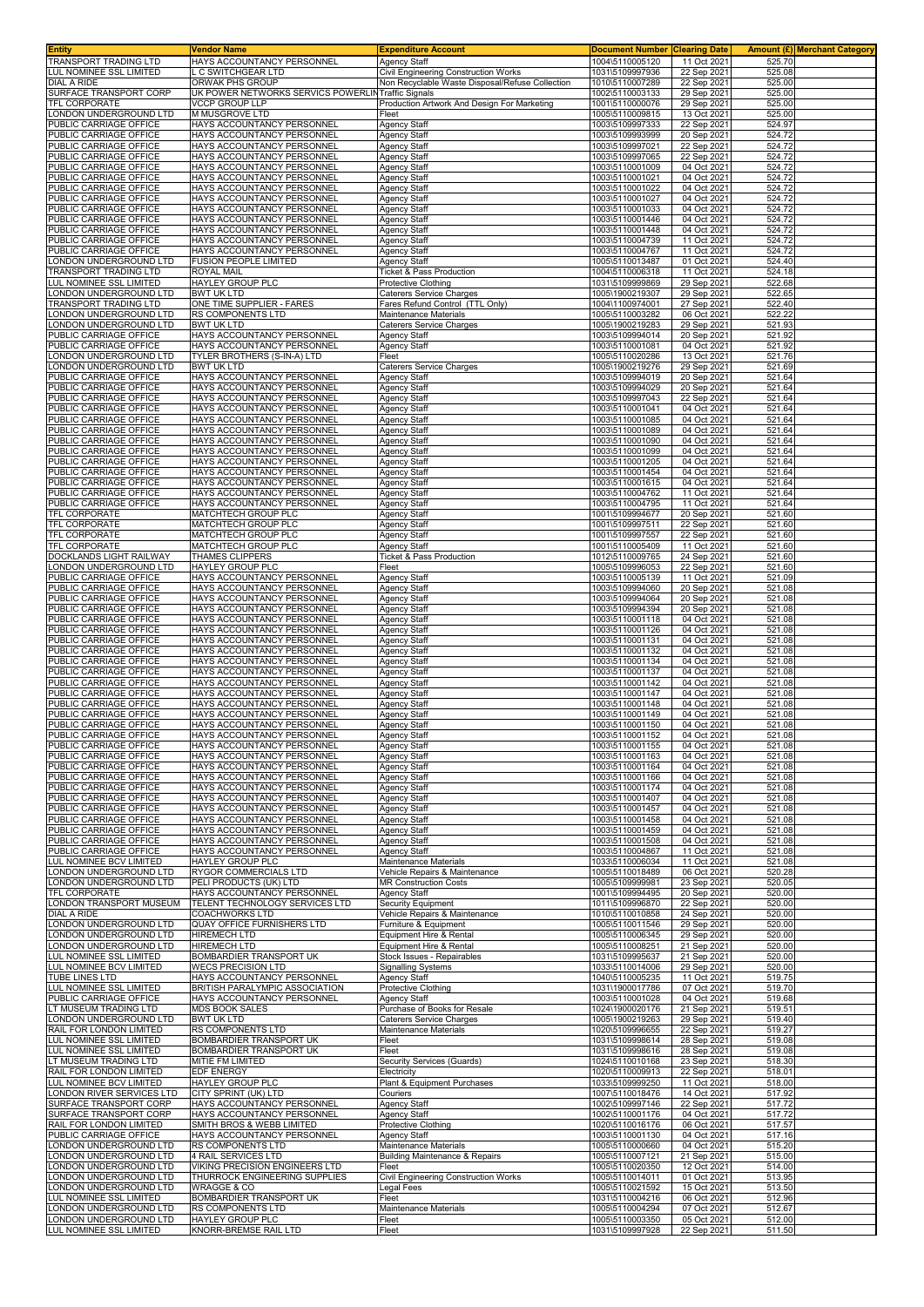| Entity                                                 | Vendor Name                                                     | <b>Expenditure Account</b>                                                              | <b>Document Number Clearing Date</b> |                            |                  | Amount (£) Merchant Category |
|--------------------------------------------------------|-----------------------------------------------------------------|-----------------------------------------------------------------------------------------|--------------------------------------|----------------------------|------------------|------------------------------|
| TRANSPORT TRADING LTD                                  | HAYS ACCOUNTANCY PERSONNEL<br>C SWITCHGEAR LTD                  | Agency Staff                                                                            | 1004\5110005120<br>1031\5109997936   | 11 Oct 2021                | 525.70           |                              |
| UL NOMINEE SSL LIMITED.<br>DIAL A RIDE                 | ORWAK PHS GROUP                                                 | Civil Engineering Construction Works<br>Non Recyclable Waste Disposal/Refuse Collection | 1010\5110007289                      | 22 Sep 2021<br>22 Sep 2021 | 525.08<br>525.00 |                              |
| SURFACE TRANSPORT CORP                                 | UK POWER NETWORKS SERVICS POWERLIN                              | <b>Traffic Signals</b>                                                                  | 1002\5110003133                      | 29 Sep 2021                | 525.00           |                              |
| TFL CORPORATE                                          | <b>VCCP GROUP LLP</b>                                           | Production Artwork And Design For Marketing                                             | 1001\5110000076                      | 29 Sep 2021                | 525.00           |                              |
| ONDON UNDERGROUND LTD.                                 | <b>MMUSGROVE LTD</b>                                            | Fleet                                                                                   | 1005\5110009815                      | 13 Oct 2021                | 525.00           |                              |
| PUBLIC CARRIAGE OFFICE                                 | HAYS ACCOUNTANCY PERSONNEL                                      | Agency Staff                                                                            | 1003\5109997333                      | 22 Sep 2021                | 524.97           |                              |
| PUBLIC CARRIAGE OFFICE                                 | HAYS ACCOUNTANCY PERSONNEL                                      | Agency Staff                                                                            | 1003\5109993999                      | 20 Sep 202                 | 524.72           |                              |
| PUBLIC CARRIAGE OFFICE<br>PUBLIC CARRIAGE OFFICE       | HAYS ACCOUNTANCY PERSONNEL<br>HAYS ACCOUNTANCY PERSONNEL        | Agency Staff<br>Agency Staff                                                            | 1003\5109997021<br>1003\5109997065   | 22 Sep 202<br>22 Sep 2021  | 524.72<br>524.72 |                              |
| PUBLIC CARRIAGE OFFICE                                 | HAYS ACCOUNTANCY PERSONNEL                                      | <b>Agency Staff</b>                                                                     | 1003\5110001009                      | 04 Oct 2021                | 524.72           |                              |
| PUBLIC CARRIAGE OFFICE                                 | HAYS ACCOUNTANCY PERSONNEL                                      | Agency Staff                                                                            | 1003\5110001021                      | 04 Oct 2021                | 524.72           |                              |
| PUBLIC CARRIAGE OFFICE                                 | HAYS ACCOUNTANCY PERSONNEL                                      | Agency Staff                                                                            | 1003\5110001022                      | 04 Oct 2021                | 524.72           |                              |
| PUBLIC CARRIAGE OFFICE                                 | HAYS ACCOUNTANCY PERSONNEL                                      | Agency Staff                                                                            | 1003\5110001027                      | 04 Oct 2021                | 524.72           |                              |
| PUBLIC CARRIAGE OFFICE<br>PUBLIC CARRIAGE OFFICE       | HAYS ACCOUNTANCY PERSONNEL<br>HAYS ACCOUNTANCY PERSONNEI        | <b>Agency Staff</b><br>Agency Staff                                                     | 1003\5110001033<br>1003\5110001446   | 04 Oct 2021<br>04 Oct 2021 | 524.72<br>524.72 |                              |
| PUBLIC CARRIAGE OFFICE                                 | HAYS ACCOUNTANCY PERSONNEL                                      | Agency Staff                                                                            | 1003\5110001448                      | 04 Oct 2021                | 524.72           |                              |
| <b>JUBLIC CARRIAGE OFFICE</b>                          | HAYS ACCOUNTANCY PERSONNEL                                      | Agency Staff                                                                            | 1003\5110004739                      | 11 Oct 2021                | 524.72           |                              |
| PUBLIC CARRIAGE OFFICE                                 | HAYS ACCOUNTANCY PERSONNEL                                      | Agency Staff                                                                            | 1003\5110004767                      | 11 Oct 2021                | 524.72           |                              |
| ONDON UNDERGROUND LTD                                  | <b>FUSION PEOPLE LIMITED</b>                                    | Agency Staff                                                                            | 1005\5110013487                      | 01 Oct 2021                | 524.40           |                              |
| <b>FRANSPORT TRADING LTD</b><br>UL NOMINEE SSL LIMITED | ROYAL MAIL<br>HAYLEY GROUP PLC                                  | Ticket & Pass Production<br>Protective Clothing                                         | 1004\5110006318<br>1031\5109999869   | 11 Oct 2021<br>29 Sep 2021 | 524.18<br>522.68 |                              |
| ONDON UNDERGROUND LTD.                                 | <b>BWT UK LTD</b>                                               | Caterers Service Charges                                                                | 1005\1900219307                      | 29 Sep 2021                | 522.65           |                              |
| <b>FRANSPORT TRADING LTD</b>                           | ONE TIME SUPPLIER - FARES                                       | Fares Refund Control (TTL Only)                                                         | 1004\1100974001                      | 27 Sep 2021                | 522.40           |                              |
| ONDON UNDERGROUND LTD.                                 | <b>RS COMPONENTS LTD</b>                                        | Maintenance Materials                                                                   | 1005\5110003282                      | 06 Oct 2021                | 522.22           |                              |
| ONDON UNDERGROUND LTD                                  | <b>BWT UK LTD</b>                                               | Caterers Service Charges                                                                | 1005\1900219283                      | 29 Sep 2021                | 521.93           |                              |
| PUBLIC CARRIAGE OFFICE<br>PUBLIC CARRIAGE OFFICE       | HAYS ACCOUNTANCY PERSONNEL<br>HAYS ACCOUNTANCY PERSONNEL        | Agency Staff<br>Agency Staff                                                            | 1003\5109994014<br>1003\5110001081   | 20 Sep 202<br>04 Oct 2021  | 521.92<br>521.92 |                              |
| ONDON UNDERGROUND LTD                                  | TYLER BROTHERS (S-IN-A) LTD                                     | Fleet                                                                                   | 1005\5110020286                      | 13 Oct 2021                | 521.76           |                              |
| ONDON UNDERGROUND LTD                                  | <b>BWT UK LTD</b>                                               | Caterers Service Charges                                                                | 1005\1900219276                      | 29 Sep 2021                | 521.69           |                              |
| PUBLIC CARRIAGE OFFICE                                 | HAYS ACCOUNTANCY PERSONNEL                                      | Agency Staff                                                                            | 1003\5109994019                      | 20 Sep 202                 | 521.64           |                              |
| PUBLIC CARRIAGE OFFICE<br>PUBLIC CARRIAGE OFFICE       | HAYS ACCOUNTANCY PERSONNEL<br>HAYS ACCOUNTANCY PERSONNEL        | <b>Agency Staff</b><br>Agency Staff                                                     | 1003\5109994029<br>1003\5109997043   | 20 Sep 202<br>22 Sep 202   | 521.64<br>521.64 |                              |
| PUBLIC CARRIAGE OFFICE                                 | HAYS ACCOUNTANCY PERSONNEL                                      | <b>Agency Staff</b>                                                                     | 1003\5110001041                      | 04 Oct 2021                | 521.64           |                              |
| PUBLIC CARRIAGE OFFICE                                 | HAYS ACCOUNTANCY PERSONNEL                                      | Agency Staff                                                                            | 1003\5110001085                      | 04 Oct 2021                | 521.64           |                              |
| PUBLIC CARRIAGE OFFICE                                 | HAYS ACCOUNTANCY PERSONNEL                                      | Agency Staff                                                                            | 1003\5110001089                      | 04 Oct 2021                | 521.64           |                              |
| PUBLIC CARRIAGE OFFICE                                 | HAYS ACCOUNTANCY PERSONNEL                                      | <b>Agency Staff</b>                                                                     | 1003\5110001090                      | 04 Oct 2021                | 521.64           |                              |
| PUBLIC CARRIAGE OFFICE<br>PUBLIC CARRIAGE OFFICE       | HAYS ACCOUNTANCY PERSONNEL<br>HAYS ACCOUNTANCY PERSONNEL        | Agency Staff<br><b>Agency Staff</b>                                                     | 1003\5110001099<br>1003\5110001205   | 04 Oct 202<br>04 Oct 2021  | 521.64<br>521.64 |                              |
| PUBLIC CARRIAGE OFFICE                                 | HAYS ACCOUNTANCY PERSONNEL                                      | <b>Agency Staff</b>                                                                     | 1003\5110001454                      | 04 Oct 202                 | 521.64           |                              |
| PUBLIC CARRIAGE OFFICE                                 | HAYS ACCOUNTANCY PERSONNEL                                      | Agency Staff                                                                            | 1003\5110001615                      | 04 Oct 2021                | 521.64           |                              |
| PUBLIC CARRIAGE OFFICE                                 | HAYS ACCOUNTANCY PERSONNEL                                      | Agency Staff                                                                            | 1003\5110004762                      | 11 Oct 202                 | 521.64           |                              |
| PUBLIC CARRIAGE OFFICE                                 | HAYS ACCOUNTANCY PERSONNEL                                      | Agency Staff                                                                            | 1003\5110004795                      | 11 Oct 2021                | 521.64           |                              |
| <b>TFL CORPORATE</b><br><b>TFL CORPORATE</b>           | MATCHTECH GROUP PLC<br>MATCHTECH GROUP PLC                      | Agency Staff                                                                            | 1001\5109994677                      | 20 Sep 2021                | 521.60<br>521.60 |                              |
| TFL CORPORATE                                          | MATCHTECH GROUP PLC                                             | Agency Staff<br>Agency Staff                                                            | 1001\5109997511<br>1001\5109997557   | 22 Sep 2021<br>22 Sep 202  | 521.60           |                              |
| TFL CORPORATE                                          | MATCHTECH GROUP PLC                                             | Agency Staff                                                                            | 1001\5110005409                      | 11 Oct 2021                | 521.60           |                              |
| DOCKLANDS LIGHT RAILWAY                                | THAMES CLIPPERS                                                 | Ticket & Pass Production                                                                | 1012\5110009765                      | 24 Sep 2021                | 521.60           |                              |
| ONDON UNDERGROUND LTD                                  | HAYLEY GROUP PLC                                                | Fleet                                                                                   | 1005\5109996053                      | 22 Sep 2021                | 521.60           |                              |
| PUBLIC CARRIAGE OFFICE<br>PUBLIC CARRIAGE OFFICE       | HAYS ACCOUNTANCY PERSONNEL<br>HAYS ACCOUNTANCY PERSONNEL        | Agency Staff<br>Agency Staff                                                            | 1003\5110005139<br>1003\5109994060   | 11 Oct 202<br>20 Sep 202   | 521.09<br>521.08 |                              |
| PUBLIC CARRIAGE OFFICE                                 | HAYS ACCOUNTANCY PERSONNEL                                      | Agency Staff                                                                            | 1003\5109994064                      | 20 Sep 2021                | 521.08           |                              |
| PUBLIC CARRIAGE OFFICE                                 | HAYS ACCOUNTANCY PERSONNEL                                      | Agency Staff                                                                            | 1003\5109994394                      | 20 Sep 2021                | 521.08           |                              |
| PUBLIC CARRIAGE OFFICE                                 | HAYS ACCOUNTANCY PERSONNEL                                      | Agency Staff                                                                            | 1003\5110001118                      | 04 Oct 2021                | 521.08           |                              |
| PUBLIC CARRIAGE OFFICE                                 | HAYS ACCOUNTANCY PERSONNEL                                      | <b>Agency Staff</b>                                                                     | 1003\5110001126                      | 04 Oct 2021                | 521.08           |                              |
| PUBLIC CARRIAGE OFFICE<br>PUBLIC CARRIAGE OFFICE       | <b>HAYS ACCOUNTANCY PERSONNEL</b><br>HAYS ACCOUNTANCY PERSONNEL | Agency Staff<br>Agency Staff                                                            | 1003\5110001131<br>1003\5110001132   | 04 Oct 2021<br>04 Oct 2021 | 521.08<br>521.08 |                              |
| PUBLIC CARRIAGE OFFICE                                 | HAYS ACCOUNTANCY PERSONNEL                                      | Agency Staff                                                                            | 1003\5110001134                      | 04 Oct 2021                | 521.08           |                              |
| PUBLIC CARRIAGE OFFICE                                 | HAYS ACCOUNTANCY PERSONNEL                                      | Agency Staff                                                                            | 1003\5110001137                      | 04 Oct 202                 | 521.08           |                              |
| PUBLIC CARRIAGE OFFICE                                 | HAYS ACCOUNTANCY PERSONNEL                                      | Agency Staff                                                                            | 1003\5110001142                      | 04 Oct 2021                | 521.08           |                              |
| PUBLIC CARRIAGE OFFICE                                 | <b>HAYS ACCOUNTANCY PERSONNEL</b>                               | <b>Agency Staff</b>                                                                     | 1003\5110001147                      | 04 Oct 2021                | 521.08           |                              |
| PUBLIC CARRIAGE OFFICE<br>PUBLIC CARRIAGE OFFICE       | HAYS ACCOUNTANCY PERSONNEL<br><b>HAYS ACCOUNTANCY PERSONNEL</b> | Agency Staff<br>Agency Staff                                                            | 1003\5110001148<br>1003\5110001149   | 04 Oct 2021<br>04 Oct 2021 | 521.08<br>521.08 |                              |
| PUBLIC CARRIAGE OFFICE                                 | HAYS ACCOUNTANCY PERSONNEL                                      | Agency Staff                                                                            | 1003\5110001150                      | 04 Oct 2021                | 521.08           |                              |
| PUBLIC CARRIAGE OFFICE                                 | HAYS ACCOUNTANCY PERSONNEL                                      | Agency Staff                                                                            | 1003\5110001152                      | 04 Oct 2021                | 521.08           |                              |
| PUBLIC CARRIAGE OFFICE                                 | HAYS ACCOUNTANCY PERSONNEL                                      | <b>Agency Staff</b>                                                                     | 1003\5110001155                      | 04 Oct 2021                | 521.08           |                              |
| PUBLIC CARRIAGE OFFICE                                 | HAYS ACCOUNTANCY PERSONNEL                                      | Agency Staff                                                                            | 1003\5110001163<br>1003\5110001164   | 04 Oct 2021<br>04 Oct 2021 | 521.08<br>521.08 |                              |
| PUBLIC CARRIAGE OFFICE<br>PUBLIC CARRIAGE OFFICE       | HAYS ACCOUNTANCY PERSONNEL<br>HAYS ACCOUNTANCY PERSONNEL        | Agency Staff<br>Agency Staff                                                            | 1003\5110001166                      | 04 Oct 2021                | 521.08           |                              |
| PUBLIC CARRIAGE OFFICE                                 | HAYS ACCOUNTANCY PERSONNEL                                      | Agency Staff                                                                            | 1003\5110001174                      | 04 Oct 2021                | 521.08           |                              |
| PUBLIC CARRIAGE OFFICE                                 | HAYS ACCOUNTANCY PERSONNEL                                      | Agency Staff                                                                            | 1003\5110001407                      | 04 Oct 2021                | 521.08           |                              |
| PUBLIC CARRIAGE OFFICE                                 | HAYS ACCOUNTANCY PERSONNEL                                      | Agency Staff                                                                            | 1003\5110001457                      | 04 Oct 2021                | 521.08           |                              |
| PUBLIC CARRIAGE OFFICE<br>PUBLIC CARRIAGE OFFICE       | HAYS ACCOUNTANCY PERSONNEL<br>HAYS ACCOUNTANCY PERSONNEL        | Agency Staff<br>Agency Staff                                                            | 1003\5110001458<br>1003\5110001459   | 04 Oct 2021<br>04 Oct 2021 | 521.08<br>521.08 |                              |
| PUBLIC CARRIAGE OFFICE                                 | HAYS ACCOUNTANCY PERSONNEL                                      | Agency Staff                                                                            | 1003\5110001508                      | 04 Oct 2021                | 521.08           |                              |
| PUBLIC CARRIAGE OFFICE                                 | HAYS ACCOUNTANCY PERSONNEL                                      | <b>Agency Staff</b>                                                                     | 1003\5110004867                      | 11 Oct 2021                | 521.08           |                              |
| <b>UL NOMINEE BCV LIMITED</b>                          | <b>HAYLEY GROUP PLC</b>                                         | Maintenance Materials                                                                   | 1033\5110006034                      | 11 Oct 2021                | 521.08           |                              |
| ONDON UNDERGROUND LTD                                  | RYGOR COMMERCIALS LTD                                           | Vehicle Repairs & Maintenance                                                           | 1005\5110018489<br>1005\5109999981   | 06 Oct 2021                | 520.28           |                              |
| ONDON UNDERGROUND LTD<br>TFL CORPORATE                 | PELI PRODUCTS (UK) LTD<br>HAYS ACCOUNTANCY PERSONNEL            | <b>MR Construction Costs</b><br>Agency Staff                                            | 1001\5109994495                      | 23 Sep 2021<br>20 Sep 2021 | 520.05<br>520.00 |                              |
| LONDON TRANSPORT MUSEUM                                | TELENT TECHNOLOGY SERVICES LTD                                  | Security Equipment                                                                      | 1011\5109996870                      | 22 Sep 2021                | 520.00           |                              |
| DIAL A RIDE                                            | COACHWORKS LTD                                                  | Vehicle Repairs & Maintenance                                                           | 1010\5110010858                      | 24 Sep 2021                | 520.00           |                              |
| ONDON UNDERGROUND LTD                                  | QUAY OFFICE FURNISHERS LTD                                      | Furniture & Equipment                                                                   | 1005\5110011546                      | 29 Sep 2021                | 520.00           |                              |
| ONDON UNDERGROUND LTD                                  | <b>HIREMECH LTD</b>                                             | Equipment Hire & Rental                                                                 | 1005\5110006345                      | 29 Sep 2021                | 520.00           |                              |
| ONDON UNDERGROUND LTD<br>UL NOMINEE SSL LIMITED        | <b>HIREMECH LTD</b><br>BOMBARDIER TRANSPORT UK                  | Equipment Hire & Rental<br>Stock Issues - Repairables                                   | 1005\5110008251<br>1031\5109995637   | 21 Sep 2021<br>21 Sep 2021 | 520.00<br>520.00 |                              |
| UL NOMINEE BCV LIMITED                                 | <b>WECS PRECISION LTD</b>                                       | <b>Signalling Systems</b>                                                               | 1033\5110014006                      | 29 Sep 2021                | 520.00           |                              |
| TUBE LINES LTD                                         | HAYS ACCOUNTANCY PERSONNEL                                      | Agency Staff                                                                            | 1040\5110005235                      | 11 Oct 2021                | 519.75           |                              |
| LUL NOMINEE SSL LIMITED                                | BRITISH PARALYMPIC ASSOCIATION                                  | Protective Clothing                                                                     | 1031\1900017786                      | 07 Oct 2021                | 519.70           |                              |
| PUBLIC CARRIAGE OFFICE<br>T MUSEUM TRADING LTD         | HAYS ACCOUNTANCY PERSONNEL<br>MDS BOOK SALES                    | Agency Staff<br>Purchase of Books for Resale                                            | 1003\5110001028<br>1024\1900020176   | 04 Oct 2021<br>21 Sep 2021 | 519.68<br>519.51 |                              |
| ONDON UNDERGROUND LTD                                  | <b>BWT UK LTD</b>                                               | Caterers Service Charges                                                                | 1005\1900219263                      | 29 Sep 2021                | 519.40           |                              |
| RAIL FOR LONDON LIMITED                                | RS COMPONENTS LTD                                               | Maintenance Materials                                                                   | 1020\5109996655                      | 22 Sep 2021                | 519.27           |                              |
| UL NOMINEE SSL LIMITED                                 | BOMBARDIER TRANSPORT UK                                         | Fleet                                                                                   | 1031\5109998614                      | 28 Sep 2021                | 519.08           |                              |
| UL NOMINEE SSL LIMITED                                 | BOMBARDIER TRANSPORT UK                                         | Fleet                                                                                   | 1031\5109998616                      | 28 Sep 2021                | 519.08           |                              |
| T MUSEUM TRADING LTD<br>RAIL FOR LONDON LIMITED        | MITIE FM LIMITED<br>EDF ENERGY                                  | Security Services (Guards)<br>Electricity                                               | 1024\5110010168<br>1020\5110009913   | 23 Sep 2021<br>22 Sep 2021 | 518.30<br>518.01 |                              |
| LUL NOMINEE BCV LIMITED                                | HAYLEY GROUP PLC                                                | Plant & Equipment Purchases                                                             | 1033\5109999250                      | 11 Oct 2021                | 518.00           |                              |
| ONDON RIVER SERVICES LTD                               | CITY SPRINT (UK) LTD                                            | Couriers                                                                                | 1007\5110018476                      | 14 Oct 2021                | 517.92           |                              |
| SURFACE TRANSPORT CORP                                 | HAYS ACCOUNTANCY PERSONNEL                                      | Agency Staff                                                                            | 1002\5109997146                      | 22 Sep 2021                | 517.72           |                              |
| SURFACE TRANSPORT CORP                                 | HAYS ACCOUNTANCY PERSONNEL                                      | Agency Staff<br>Protective Clothing                                                     | 1002\5110001176<br>1020\5110016176   | 04 Oct 2021<br>06 Oct 2021 | 517.72<br>517.57 |                              |
| RAIL FOR LONDON LIMITED<br>PUBLIC CARRIAGE OFFICE      | SMITH BROS & WEBB LIMITED<br>HAYS ACCOUNTANCY PERSONNEL         | Agency Staff                                                                            | 1003\5110001130                      | 04 Oct 2021                | 517.16           |                              |
| ONDON UNDERGROUND LTD                                  | RS COMPONENTS LTD                                               | Maintenance Materials                                                                   | 1005\5110000660                      | 04 Oct 2021                | 515.20           |                              |
| ONDON UNDERGROUND LTD                                  | 4 RAIL SERVICES LTD                                             | <b>Building Maintenance &amp; Repairs</b>                                               | 1005\5110007121                      | 21 Sep 2021                | 515.00           |                              |
| ONDON UNDERGROUND LTD                                  | VIKING PRECISION ENGINEERS LTD                                  | Fleet                                                                                   | 1005\5110020350                      | 12 Oct 2021                | 514.00           |                              |
| ONDON UNDERGROUND LTD<br>ONDON UNDERGROUND LTD         | THURROCK ENGINEERING SUPPLIES<br><b>WRAGGE &amp; CO</b>         | Civil Engineering Construction Works<br>Legal Fees                                      | 1005\5110014011<br>1005\5110021592   | 01 Oct 2021<br>15 Oct 2021 | 513.95<br>513.50 |                              |
| UL NOMINEE SSL LIMITED                                 | BOMBARDIER TRANSPORT UK                                         | Fleet                                                                                   | 1031\5110004216                      | 06 Oct 2021                | 512.96           |                              |
| ONDON UNDERGROUND LTD                                  | RS COMPONENTS LTD                                               | Maintenance Materials                                                                   | 1005\5110004294                      | 07 Oct 2021                | 512.67           |                              |
| ONDON UNDERGROUND LTD                                  | HAYLEY GROUP PLC                                                | Fleet                                                                                   | 1005\5110003350                      | 05 Oct 2021                | 512.00           |                              |
| LUL NOMINEE SSL LIMITED                                | KNORR-BREMSE RAIL LTD                                           | Fleet                                                                                   | 1031\5109997928                      | 22 Sep 2021                | 511.50           |                              |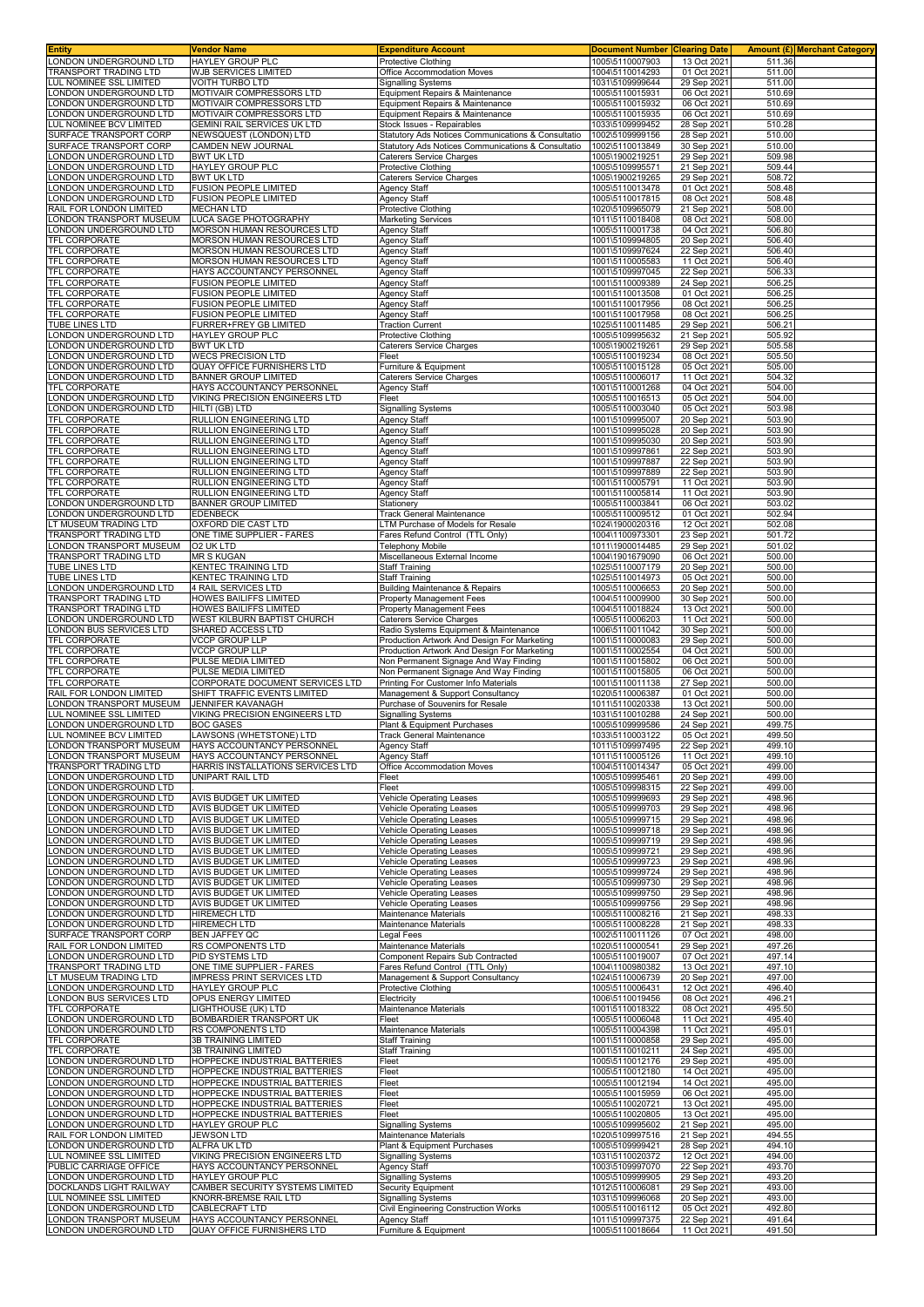| ONDON UNDERGROUND LTD                                       |                                                                 | <b>Expenditure Account</b>                                                                 | <b>Document Number</b>             | <b>Clearing Date</b>       | <b>Amount (£)</b> Merchant Category |  |
|-------------------------------------------------------------|-----------------------------------------------------------------|--------------------------------------------------------------------------------------------|------------------------------------|----------------------------|-------------------------------------|--|
|                                                             | HAYLEY GROUP PLC                                                | <b>Protective Clothing</b>                                                                 | 1005\5110007903                    | 13 Oct 2021                | 511.36                              |  |
| <b>FRANSPORT TRADING LTD</b><br>UL NOMINEE SSL LIMITED      | WJB SERVICES LIMITED<br>VOITH TURBO LTD                         | Office Accommodation Moves                                                                 | 1004\5110014293<br>1031\5109999644 | 01 Oct 2021<br>29 Sep 2021 | 511.00<br>511.00                    |  |
| ONDON UNDERGROUND LTD                                       | MOTIVAIR COMPRESSORS LTD                                        | <b>Signalling Systems</b><br>Equipment Repairs & Maintenance                               | 1005\5110015931                    | 06 Oct 2021                | 510.69                              |  |
| ONDON UNDERGROUND LTD                                       | MOTIVAIR COMPRESSORS LTD                                        | Equipment Repairs & Maintenance                                                            | 1005\5110015932                    | 06 Oct 2021                | 510.69                              |  |
| ONDON UNDERGROUND LTD                                       | MOTIVAIR COMPRESSORS LTD                                        | Equipment Repairs & Maintenance                                                            | 1005\5110015935                    | 06 Oct 2021                | 510.69                              |  |
| UL NOMINEE BCV LIMITED                                      | GEMINI RAIL SERVICES UK LTD                                     | Stock Issues - Repairables                                                                 | 1033\5109999452                    | 28 Sep 2021                | 510.28                              |  |
| SURFACE TRANSPORT CORP<br>SURFACE TRANSPORT CORP            | NEWSQUEST (LONDON) LTD<br><b>CAMDEN NEW JOURNAL</b>             | Statutory Ads Notices Communications & Consultatio                                         | 1002\5109999156<br>1002\5110013849 | 28 Sep 2021<br>30 Sep 202  | 510.00<br>510.00                    |  |
| ONDON UNDERGROUND LTD                                       | <b>BWT UK LTD</b>                                               | Statutory Ads Notices Communications & Consultatio<br>Caterers Service Charges             | 1005\1900219251                    | 29 Sep 2021                | 509.98                              |  |
| ONDON UNDERGROUND LTD                                       | HAYLEY GROUP PLC                                                | Protective Clothing                                                                        | 1005\5109995571                    | 21 Sep 2021                | 509.44                              |  |
| ONDON UNDERGROUND LTD.                                      | <b>BWT UK LTD</b>                                               | Caterers Service Charges                                                                   | 1005\1900219265                    | 29 Sep 202                 | 508.72                              |  |
| ONDON UNDERGROUND LTD                                       | <b>FUSION PEOPLE LIMITED</b>                                    | Agency Staff                                                                               | 1005\5110013478                    | 01 Oct 2021                | 508.48                              |  |
| ONDON UNDERGROUND LTD<br>RAIL FOR LONDON LIMITED            | <b>FUSION PEOPLE LIMITED</b><br><b>MECHAN LTD</b>               | Agency Staff<br>Protective Clothing                                                        | 1005\5110017815<br>1020\5109965079 | 08 Oct 2021<br>21 Sep 2021 | 508.48<br>508.00                    |  |
| ONDON TRANSPORT MUSEUM                                      | LUCA SAGE PHOTOGRAPHY                                           | <b>Marketing Services</b>                                                                  | 1011\5110018408                    | 08 Oct 2021                | 508.00                              |  |
| ONDON UNDERGROUND LTD                                       | MORSON HUMAN RESOURCES LTD                                      | Agency Staff                                                                               | 1005\5110001738                    | 04 Oct 2021                | 506.80                              |  |
| TFL CORPORATE                                               | MORSON HUMAN RESOURCES LTD                                      | Agency Staff                                                                               | 1001\5109994805                    | 20 Sep 2021                | 506.40                              |  |
| TFL CORPORATE<br><b>TFL CORPORATE</b>                       | MORSON HUMAN RESOURCES LTD<br>MORSON HUMAN RESOURCES LTD        | <b>Agency Staff</b>                                                                        | 1001\5109997624<br>1001\5110005583 | 22 Sep 2021<br>11 Oct 2021 | 506.40<br>506.40                    |  |
| TFL CORPORATE                                               | HAYS ACCOUNTANCY PERSONNEL                                      | <b>Agency Staff</b><br><b>Agency Staff</b>                                                 | 1001\5109997045                    | 22 Sep 2021                | 506.33                              |  |
| <b>TFL CORPORATE</b>                                        | <b>FUSION PEOPLE LIMITED</b>                                    | Agency Staff                                                                               | 1001\5110009389                    | 24 Sep 2021                | 506.25                              |  |
| TFL CORPORATE                                               | FUSION PEOPLE LIMITED                                           | Agency Staff                                                                               | 1001\5110013508                    | 01 Oct 2021                | 506.25                              |  |
| TFL CORPORATE                                               | FUSION PEOPLE LIMITED                                           | Agency Staff                                                                               | 1001\5110017956                    | 08 Oct 2021                | 506.25                              |  |
| TFL CORPORATE<br>TUBE LINES LTD                             | FUSION PEOPLE LIMITED<br>FURRER+FREY GB LIMITED                 | Agency Staff<br><b>Traction Current</b>                                                    | 1001\5110017958<br>1025\5110011485 | 08 Oct 2021<br>29 Sep 2021 | 506.25<br>506.21                    |  |
| ONDON UNDERGROUND LTD                                       | HAYLEY GROUP PLC                                                | <b>Protective Clothing</b>                                                                 | 1005\5109995632                    | 21 Sep 2021                | 505.92                              |  |
| ONDON UNDERGROUND LTD                                       | <b>BWT UK LTD</b>                                               | <b>Caterers Service Charges</b>                                                            | 1005\1900219261                    | 29 Sep 202                 | 505.58                              |  |
| ONDON UNDERGROUND LTD                                       | <b>WECS PRECISION LTD</b>                                       | Fleet                                                                                      | 1005\5110019234                    | 08 Oct 202                 | 505.50                              |  |
| ONDON UNDERGROUND LTD                                       | <b>QUAY OFFICE FURNISHERS LTD</b>                               | Furniture & Equipment                                                                      | 1005\5110015128                    | 05 Oct 2021                | 505.00                              |  |
| ONDON UNDERGROUND LTD<br><b>TFL CORPORATE</b>               | <b>BANNER GROUP LIMITED</b><br>HAYS ACCOUNTANCY PERSONNEL       | Caterers Service Charges<br><b>Agency Staff</b>                                            | 1005\5110006017<br>1001\5110001268 | 11 Oct 2021<br>04 Oct 2021 | 504.32<br>504.00                    |  |
| ONDON UNDERGROUND LTD                                       | VIKING PRECISION ENGINEERS LTD                                  | Fleet                                                                                      | 1005\5110016513                    | 05 Oct 2021                | 504.00                              |  |
| ONDON UNDERGROUND LTD                                       | HILTI (GB) LTD                                                  | Signalling Systems                                                                         | 1005\5110003040                    | 05 Oct 2021                | 503.98                              |  |
| <b>TFL CORPORATE</b>                                        | RULLION ENGINEERING LTD                                         | Agency Staff                                                                               | 1001\5109995007                    | 20 Sep 202                 | 503.90                              |  |
| <b>TFL CORPORATE</b><br><b>TFL CORPORATE</b>                | RULLION ENGINEERING LTD                                         | Agency Staff                                                                               | 1001\5109995028                    | 20 Sep 2021                | 503.90                              |  |
| <b>TFL CORPORATE</b>                                        | RULLION ENGINEERING LTD<br>RULLION ENGINEERING LTD              | Agency Staff<br><b>Agency Staff</b>                                                        | 1001\5109995030<br>1001\5109997861 | 20 Sep 2021<br>22 Sep 2021 | 503.90<br>503.90                    |  |
| TFL CORPORATE                                               | RULLION ENGINEERING LTD                                         | <b>Agency Staff</b>                                                                        | 1001\5109997887                    | 22 Sep 2021                | 503.90                              |  |
| TFL CORPORATE                                               | RULLION ENGINEERING LTD                                         | Agency Staff                                                                               | 1001\5109997889                    | 22 Sep 2021                | 503.90                              |  |
| TFL CORPORATE                                               | RULLION ENGINEERING LTD                                         | <b>Agency Staff</b>                                                                        | 1001\5110005791                    | 11 Oct 2021                | 503.90                              |  |
| TFL CORPORATE<br>ONDON UNDERGROUND LTD                      | RULLION ENGINEERING LTD<br><b>BANNER GROUP LIMITED</b>          | Agency Staff<br>Stationery                                                                 | 1001\5110005814<br>1005\5110003841 | 11 Oct 2021<br>06 Oct 2021 | 503.90<br>503.02                    |  |
| ONDON UNDERGROUND LTD                                       | <b>EDENBECK</b>                                                 | Track General Maintenance                                                                  | 1005\5110009512                    | 01 Oct 2021                | 502.94                              |  |
| T MUSEUM TRADING LTD.                                       | OXFORD DIE CAST LTD                                             | LTM Purchase of Models for Resale                                                          | 1024\1900020316                    | 12 Oct 2021                | 502.08                              |  |
| <b>FRANSPORT TRADING LTD</b>                                | ONE TIME SUPPLIER - FARES                                       | Fares Refund Control (TTL Only)                                                            | 1004\1100973301                    | 23 Sep 2021                | 501.72                              |  |
| ONDON TRANSPORT MUSEUM<br>TRANSPORT TRADING LTD             | O2 UK LTD<br><b>MR S KUGAN</b>                                  | <b>Telephony Mobile</b><br>Miscellaneous External Income                                   | 1011\1900014485<br>1004\1901679090 | 29 Sep 2021<br>06 Oct 2021 | 501.02<br>500.00                    |  |
| TUBE LINES LTD                                              | KENTEC TRAINING LTD                                             | <b>Staff Training</b>                                                                      | 1025\5110007179                    | 20 Sep 2021                | 500.00                              |  |
| <b>TUBE LINES LTD</b>                                       | KENTEC TRAINING LTD                                             | <b>Staff Training</b>                                                                      | 1025\5110014973                    | 05 Oct 2021                | 500.00                              |  |
| ONDON UNDERGROUND LTD                                       | 4 RAIL SERVICES LTD                                             | Building Maintenance & Repairs                                                             | 1005\5110006653                    | 20 Sep 2021                | 500.00                              |  |
| <b>FRANSPORT TRADING LTD</b><br><b>RANSPORT TRADING LTD</b> | HOWES BAILIFFS LIMITED<br>HOWES BAILIFFS LIMITED                | Property Management Fees<br>Property Management Fees                                       | 1004\5110009900<br>1004\5110018824 | 30 Sep 2021<br>13 Oct 2021 | 500.00<br>500.00                    |  |
| ONDON UNDERGROUND LTD.                                      | WEST KILBURN BAPTIST CHURCH                                     | Caterers Service Charges                                                                   | 1005\5110006203                    | 11 Oct 2021                | 500.00                              |  |
| ONDON BUS SERVICES LTD                                      | SHARED ACCESS LTD                                               | Radio Systems Equipment & Maintenance                                                      | 1006\5110011042                    | 30 Sep 202                 | 500.00                              |  |
| <b>TFL CORPORATE</b><br>TFL CORPORATE                       | VCCP GROUP LLP<br><b>VCCP GROUP LLP</b>                         | Production Artwork And Design For Marketing<br>Production Artwork And Design For Marketing | 1001\5110000083<br>1001\5110002554 | 29 Sep 2021<br>04 Oct 2021 | 500.00<br>500.00                    |  |
| TFL CORPORATE                                               | PULSE MEDIA LIMITED                                             | Non Permanent Signage And Way Finding                                                      | 1001\5110015802                    | 06 Oct 2021                | 500.00                              |  |
| <b>TFL CORPORATE</b>                                        | PULSE MEDIA LIMITED                                             | Non Permanent Signage And Way Finding                                                      | 1001\5110015805                    | 06 Oct 2021                | 500.00                              |  |
| TFL CORPORATE                                               | CORPORATE DOCUMENT SERVICES LTD                                 | Printing For Customer Info Materials                                                       | 1001\5110011138                    | 27 Sep 2021                | 500.00                              |  |
| RAIL FOR LONDON LIMITED<br>ONDON TRANSPORT MUSEUM           | SHIFT TRAFFIC EVENTS LIMITED<br><b>JENNIFER KAVANAGH</b>        | Management & Support Consultancy<br>Purchase of Souvenirs for Resale                       | 1020\5110006387<br>1011\5110020338 | 01 Oct 2021<br>13 Oct 2021 | 500.00<br>500.00                    |  |
| UL NOMINEE SSL LIMITED                                      | VIKING PRECISION ENGINEERS LTD                                  | <b>Signalling Systems</b>                                                                  | 1031\5110010288                    | 24 Sep 2021                | 500.00                              |  |
|                                                             |                                                                 | Plant & Equipment Purchases                                                                | 1005\5109999586                    | 24 Sep 2021                | 499.75                              |  |
| ONDON UNDERGROUND LTD                                       | <b>BOC GASES</b>                                                |                                                                                            |                                    |                            |                                     |  |
| LUL NOMINEE BCV LIMITED                                     | LAWSONS (WHETSTONE) LTD                                         | <b>Track General Maintenance</b>                                                           | 1033\5110003122                    | 05 Oct 2021                | 499.50                              |  |
| ONDON TRANSPORT MUSEUM.                                     | <b>HAYS ACCOUNTANCY PERSONNEL</b>                               | Agency Staff                                                                               | 1011\5109997495                    | 22 Sep 2021                | 499.10                              |  |
| ONDON TRANSPORT MUSEUM<br>FRANSPORT TRADING LTD             | HAYS ACCOUNTANCY PERSONNEL<br>HARRIS INSTALLATIONS SERVICES LTD | <b>Agency Staff</b><br>Office Accommodation Moves                                          | 1011\5110005126<br>1004\5110014347 | 11 Oct 2021<br>05 Oct 2021 | 499.10<br>499.00                    |  |
| ONDON UNDERGROUND LTD                                       | UNIPART RAIL LTD                                                | Fleet                                                                                      | 1005\5109995461                    | 20 Sep 2021                | 499.00                              |  |
| ONDON UNDERGROUND LTD                                       |                                                                 | Fleet                                                                                      | 1005\5109998315                    | 22 Sep 2021                | 499.00                              |  |
| ONDON UNDERGROUND LTD                                       | AVIS BUDGET UK LIMITED                                          | <b>Vehicle Operating Leases</b><br>Vehicle Operating Leases                                | 1005\5109999693                    | 29 Sep 2021                | 498.96                              |  |
| ONDON UNDERGROUND LTD.<br>ONDON UNDERGROUND LTD             | AVIS BUDGET UK LIMITED<br>AVIS BUDGET UK LIMITED                | <b>Vehicle Operating Leases</b>                                                            | 1005\5109999703<br>1005\5109999715 | 29 Sep 2021<br>29 Sep 2021 | 498.96<br>498.96                    |  |
| ONDON UNDERGROUND LTD                                       | AVIS BUDGET UK LIMITED                                          | Vehicle Operating Leases                                                                   | 1005\5109999718                    | 29 Sep 2021                | 498.96                              |  |
| ONDON UNDERGROUND LTD                                       | AVIS BUDGET UK LIMITED                                          | Vehicle Operating Leases                                                                   | 1005\5109999719                    | 29 Sep 2021                | 498.96                              |  |
| ONDON UNDERGROUND LTD                                       | AVIS BUDGET UK LIMITED                                          | <b>Vehicle Operating Leases</b><br><b>Vehicle Operating Leases</b>                         | 1005\5109999721                    | 29 Sep 2021<br>29 Sep 2021 | 498.96<br>498.96                    |  |
| ONDON UNDERGROUND LTD<br>ONDON UNDERGROUND LTD              | AVIS BUDGET UK LIMITED<br>AVIS BUDGET UK LIMITED                | Vehicle Operating Leases                                                                   | 1005\5109999723<br>1005\5109999724 | 29 Sep 2021                | 498.96                              |  |
| ONDON UNDERGROUND LTD                                       | AVIS BUDGET UK LIMITED                                          | <b>Vehicle Operating Leases</b>                                                            | 1005\5109999730                    | 29 Sep 2021                | 498.96                              |  |
| ONDON UNDERGROUND LTD                                       | AVIS BUDGET UK LIMITED                                          | <b>Vehicle Operating Leases</b>                                                            | 1005\5109999750                    | 29 Sep 2021                | 498.96                              |  |
| ONDON UNDERGROUND LTD<br>ONDON UNDERGROUND LTD              | AVIS BUDGET UK LIMITED<br><b>HIREMECH LTD</b>                   | <b>Vehicle Operating Leases</b><br>Maintenance Materials                                   | 1005\5109999756<br>1005\5110008216 | 29 Sep 2021<br>21 Sep 2021 | 498.96<br>498.33                    |  |
| ONDON UNDERGROUND LTD                                       | <b>HIREMECH LTD</b>                                             | Maintenance Materials                                                                      | 1005\5110008228                    | 21 Sep 2021                | 498.33                              |  |
| SURFACE TRANSPORT CORP                                      | BEN JAFFEY QC                                                   | Legal Fees                                                                                 | 1002\5110011126                    | 07 Oct 2021                | 498.00                              |  |
| RAIL FOR LONDON LIMITED                                     | RS COMPONENTS LTD                                               | Maintenance Materials                                                                      | 1020\5110000541                    | 29 Sep 2021                | 497.26                              |  |
| ONDON UNDERGROUND LTD<br>TRANSPORT TRADING LTD              | PID SYSTEMS LTD<br>ONE TIME SUPPLIER - FARES                    | Component Repairs Sub Contracted<br>Fares Refund Control (TTL Only)                        | 1005\5110019007<br>1004\1100980382 | 07 Oct 2021<br>13 Oct 2021 | 497.14<br>497.10                    |  |
| T MUSEUM TRADING LTD                                        | <b>IMPRESS PRINT SERVICES LTD</b>                               | Management & Support Consultancy                                                           | 1024\5110006739                    | 20 Sep 2021                | 497.00                              |  |
| ONDON UNDERGROUND LTD                                       | <b>HAYLEY GROUP PLC</b>                                         | Protective Clothing                                                                        | 1005\5110006431                    | 12 Oct 2021                | 496.40                              |  |
| ONDON BUS SERVICES LTD                                      | OPUS ENERGY LIMITED                                             | Electricity                                                                                | 1006\5110019456                    | 08 Oct 2021                | 496.21                              |  |
| TFL CORPORATE<br>ONDON UNDERGROUND LTD                      | LIGHTHOUSE (UK) LTD<br>BOMBARDIER TRANSPORT UK                  | Maintenance Materials<br>Fleet                                                             | 1001\5110018322<br>1005\5110006048 | 08 Oct 2021<br>11 Oct 2021 | 495.50<br>495.40                    |  |
| ONDON UNDERGROUND LTD.                                      | <b>RS COMPONENTS LTD</b>                                        | Maintenance Materials                                                                      | 1005\5110004398                    | 11 Oct 2021                | 495.01                              |  |
| TFL CORPORATE                                               | 3B TRAINING LIMITED                                             | <b>Staff Training</b>                                                                      | 1001\5110000858                    | 29 Sep 2021                | 495.00                              |  |
| TFL CORPORATE                                               | 3B TRAINING LIMITED                                             | <b>Staff Training</b><br>Fleet                                                             | 1001\5110010211                    | 24 Sep 2021                | 495.00                              |  |
| ONDON UNDERGROUND LTD<br>ONDON UNDERGROUND LTD              | HOPPECKE INDUSTRIAL BATTERIES<br>HOPPECKE INDUSTRIAL BATTERIES  | Fleet                                                                                      | 1005\5110012176<br>1005\5110012180 | 29 Sep 2021<br>14 Oct 2021 | 495.00<br>495.00                    |  |
| ONDON UNDERGROUND LTD                                       | HOPPECKE INDUSTRIAL BATTERIES                                   | Fleet                                                                                      | 1005\5110012194                    | 14 Oct 2021                | 495.00                              |  |
| ONDON UNDERGROUND LTD                                       | HOPPECKE INDUSTRIAL BATTERIES                                   | Fleet                                                                                      | 1005\5110015959                    | 06 Oct 2021                | 495.00                              |  |
| ONDON UNDERGROUND LTD<br>ONDON UNDERGROUND LTD              | HOPPECKE INDUSTRIAL BATTERIES<br>HOPPECKE INDUSTRIAL BATTERIES  | Fleet<br>Fleet                                                                             | 1005\5110020721<br>1005\5110020805 | 13 Oct 2021<br>13 Oct 2021 | 495.00<br>495.00                    |  |
| ONDON UNDERGROUND LTD                                       | HAYLEY GROUP PLC                                                | <b>Signalling Systems</b>                                                                  | 1005\5109995602                    | 21 Sep 2021                | 495.00                              |  |
| RAIL FOR LONDON LIMITED                                     | <b>JEWSON LTD</b>                                               | Maintenance Materials                                                                      | 1020\5109997516                    | 21 Sep 2021                | 494.55                              |  |
| ONDON UNDERGROUND LTD                                       | ALFRA UK LTD                                                    | Plant & Equipment Purchases                                                                | 1005\5109999421                    | 28 Sep 2021                | 494.10                              |  |
| UL NOMINEE SSL LIMITED<br>PUBLIC CARRIAGE OFFICE            | VIKING PRECISION ENGINEERS LTD<br>HAYS ACCOUNTANCY PERSONNEL    | <b>Signalling Systems</b><br><b>Agency Staff</b>                                           | 1031\5110020372<br>1003\5109997070 | 12 Oct 2021<br>22 Sep 2021 | 494.00<br>493.70                    |  |
| ONDON UNDERGROUND LTD                                       | HAYLEY GROUP PLC                                                | <b>Signalling Systems</b>                                                                  | 1005\5109999905                    | 29 Sep 2021                | 493.20                              |  |
| DOCKLANDS LIGHT RAILWAY                                     | CAMBER SECURITY SYSTEMS LIMITED                                 | Security Equipment                                                                         | 1012\5110006081                    | 29 Sep 2021                | 493.00                              |  |
| UL NOMINEE SSL LIMITED                                      | KNORR-BREMSE RAIL LTD                                           | <b>Signalling Systems</b>                                                                  | 1031\5109996068                    | 20 Sep 2021                | 493.00                              |  |
| ONDON UNDERGROUND LTD<br>ONDON TRANSPORT MUSEUM             | CABLECRAFT LTD<br>HAYS ACCOUNTANCY PERSONNEL                    | Civil Engineering Construction Works<br>Agency Staff                                       | 1005\5110016112<br>1011\5109997375 | 05 Oct 2021<br>22 Sep 2021 | 492.80<br>491.64                    |  |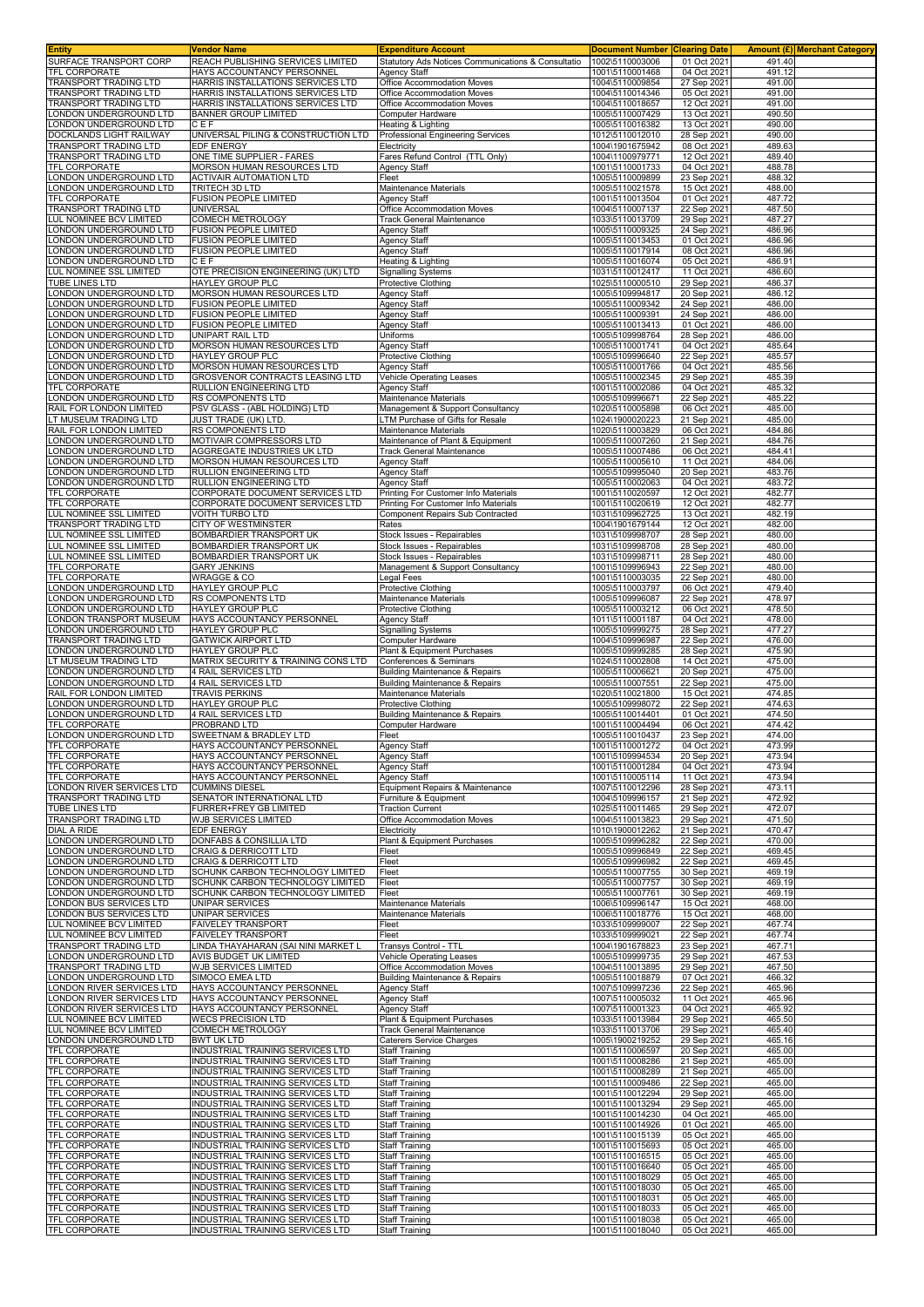| Entity                                                  | <b>Vendor Name</b>                                                   | <b>Expenditure Account</b>                                                | <b>Document Number</b>             | <b>Clearing Date</b>       |                  | <b>Amount (£) Merchant Category</b> |
|---------------------------------------------------------|----------------------------------------------------------------------|---------------------------------------------------------------------------|------------------------------------|----------------------------|------------------|-------------------------------------|
| SURFACE TRANSPORT CORP<br><b>TFL CORPORATE</b>          | REACH PUBLISHING SERVICES LIMITED<br>HAYS ACCOUNTANCY PERSONNEL      | Statutory Ads Notices Communications & Consultatio<br><b>Agency Staff</b> | 1002\5110003006<br>1001\5110001468 | 01 Oct 2021<br>04 Oct 2021 | 491.40<br>491.12 |                                     |
| <b>FRANSPORT TRADING LTD</b>                            | HARRIS INSTALLATIONS SERVICES LTD                                    | Office Accommodation Moves                                                | 1004\5110009854                    | 27 Sep 2021                | 491.00           |                                     |
| <b>FRANSPORT TRADING LTD</b>                            | HARRIS INSTALLATIONS SERVICES LTD                                    | Office Accommodation Moves                                                | 1004\5110014346                    | 05 Oct 2021                | 491.00           |                                     |
| <b>FRANSPORT TRADING LTD</b>                            | HARRIS INSTALLATIONS SERVICES LTD                                    | Office Accommodation Moves                                                | 1004\5110018657                    | 12 Oct 2021                | 491.00           |                                     |
| ONDON UNDERGROUND LTD                                   | <b>BANNER GROUP LIMITED</b>                                          | Computer Hardware                                                         | 1005\5110007429                    | 13 Oct 2021                | 490.50           |                                     |
| ONDON UNDERGROUND LTD<br><b>DOCKLANDS LIGHT RAILWAY</b> | CEF<br>UNIVERSAL PILING & CONSTRUCTION LTD                           | Heating & Lighting<br>Professional Engineering Services                   | 1005\5110016382<br>1012\5110012010 | 13 Oct 2021<br>28 Sep 2021 | 490.00<br>490.00 |                                     |
| <b>FRANSPORT TRADING LTD</b>                            | EDF ENERGY                                                           | Electricity                                                               | 1004\1901675942                    | 08 Oct 2021                | 489.63           |                                     |
| <b>FRANSPORT TRADING LTD</b>                            | ONE TIME SUPPLIER - FARES                                            | Fares Refund Control (TTL Only)                                           | 1004\1100979771                    | 12 Oct 2021                | 489.40           |                                     |
| <b>FL CORPORATE</b>                                     | MORSON HUMAN RESOURCES LTD                                           | Agency Staff                                                              | 1001\5110001733                    | 04 Oct 2021                | 488.78           |                                     |
| ONDON UNDERGROUND LTD                                   | <b>ACTIVAIR AUTOMATION LTD</b>                                       | Fleet                                                                     | 1005\5110009899                    | 23 Sep 2021                | 488.32           |                                     |
| ONDON UNDERGROUND LTD                                   | TRITECH 3D LTD<br><b>FUSION PEOPLE LIMITED</b>                       | Maintenance Materials                                                     | 1005\5110021578                    | 15 Oct 2021                | 488.00           |                                     |
| <b>FL CORPORATE</b><br><b>FRANSPORT TRADING LTD</b>     | UNIVERSAL                                                            | Agency Staff<br>Office Accommodation Moves                                | 1001\5110013504<br>1004\5110007137 | 01 Oct 2021<br>22 Sep 2021 | 487.72<br>487.50 |                                     |
| LUL NOMINEE BCV LIMITED                                 | COMECH METROLOGY                                                     | Track General Maintenance                                                 | 1033\5110013709                    | 29 Sep 2021                | 487.27           |                                     |
| ONDON UNDERGROUND LTD                                   | <b>FUSION PEOPLE LIMITED</b>                                         | Agency Staff                                                              | 1005\5110009325                    | 24 Sep 2021                | 486.96           |                                     |
| ONDON UNDERGROUND LTD.                                  | <b>FUSION PEOPLE LIMITED</b>                                         | Agency Staff                                                              | 1005\5110013453                    | 01 Oct 2021                | 486.96           |                                     |
| ONDON UNDERGROUND LTD                                   | <b>FUSION PEOPLE LIMITED</b>                                         | <b>Agency Staff</b>                                                       | 1005\5110017914                    | 08 Oct 2021                | 486.96           |                                     |
| ONDON UNDERGROUND LTD<br>LUL NOMINEE SSL LIMITED        | CEF<br>OTE PRECISION ENGINEERING (UK) LTD                            | Heating & Lighting<br><b>Signalling Systems</b>                           | 1005\5110016074<br>1031\5110012417 | 05 Oct 2021<br>11 Oct 2021 | 486.91<br>486.60 |                                     |
| <b>TUBE LINES LTD</b>                                   | <b>HAYLEY GROUP PLC</b>                                              | Protective Clothing                                                       | 1025\5110000510                    | 29 Sep 2021                | 486.37           |                                     |
| ONDON UNDERGROUND LTD                                   | MORSON HUMAN RESOURCES LTD                                           | <b>Agency Staff</b>                                                       | 1005\5109994817                    | 20 Sep 2021                | 486.12           |                                     |
| ONDON UNDERGROUND LTD                                   | <b>FUSION PEOPLE LIMITED</b>                                         | <b>Agency Staff</b>                                                       | 1005\5110009342                    | 24 Sep 2021                | 486.00           |                                     |
| ONDON UNDERGROUND LTD                                   | <b>FUSION PEOPLE LIMITED</b>                                         | <b>Agency Staff</b>                                                       | 1005\5110009391                    | 24 Sep 2021                | 486.00           |                                     |
| ONDON UNDERGROUND LTD                                   | FUSION PEOPLE LIMITED                                                | Agency Staff                                                              | 1005\5110013413                    | 01 Oct 2021                | 486.00           |                                     |
| ONDON UNDERGROUND LTD<br>ONDON UNDERGROUND LTD          | UNIPART RAIL LTD<br>MORSON HUMAN RESOURCES LTD                       | Uniforms<br>Agency Staff                                                  | 1005\5109998764<br>1005\5110001741 | 28 Sep 2021<br>04 Oct 2021 | 486.00<br>485.64 |                                     |
| ONDON UNDERGROUND LTD                                   | HAYLEY GROUP PLC                                                     | Protective Clothing                                                       | 1005\5109996640                    | 22 Sep 2021                | 485.57           |                                     |
| ONDON UNDERGROUND LTD                                   | MORSON HUMAN RESOURCES LTD                                           | Agency Staff                                                              | 1005\5110001766                    | 04 Oct 2021                | 485.56           |                                     |
| ONDON UNDERGROUND LTD                                   | GROSVENOR CONTRACTS LEASING LTD                                      | <b>Vehicle Operating Leases</b>                                           | 1005\5110002345                    | 29 Sep 2021                | 485.39           |                                     |
| <b>TFL CORPORATE</b>                                    | RULLION ENGINEERING LTD                                              | <b>Agency Staff</b>                                                       | 1001\5110002086                    | 04 Oct 2021                | 485.32           |                                     |
| ONDON UNDERGROUND LTD<br>RAIL FOR LONDON LIMITED        | RS COMPONENTS LTD                                                    | Maintenance Materials                                                     | 1005\5109996671<br>1020\5110005898 | 22 Sep 2021<br>06 Oct 2021 | 485.22<br>485.00 |                                     |
| T MUSEUM TRADING LTD                                    | PSV GLASS - (ABL HOLDING) LTD<br>JUST TRADE (UK) LTD.                | Management & Support Consultancy<br>TM Purchase of Gifts for Resale       | 1024\1900020223                    | 21 Sep 2021                | 485.00           |                                     |
| RAIL FOR LONDON LIMITED                                 | RS COMPONENTS LTD                                                    | Maintenance Materials                                                     | 1020\5110003829                    | 06 Oct 2021                | 484.86           |                                     |
| ONDON UNDERGROUND LTD                                   | MOTIVAIR COMPRESSORS LTD                                             | Maintenance of Plant & Equipment                                          | 1005\5110007260                    | 21 Sep 2021                | 484.76           |                                     |
| ONDON UNDERGROUND LTD                                   | AGGREGATE INDUSTRIES UK LTD                                          | Track General Maintenance                                                 | 1005\5110007486                    | 06 Oct 2021                | 484.41           |                                     |
| ONDON UNDERGROUND LTD                                   | MORSON HUMAN RESOURCES LTD                                           | <b>Agency Staff</b>                                                       | 1005\5110005610                    | 11 Oct 2021                | 484.06           |                                     |
| ONDON UNDERGROUND LTD                                   | RULLION ENGINEERING LTD<br>RULLION ENGINEERING LTD                   | <b>Agency Staff</b><br>Agency Staff                                       | 1005\5109995040<br>1005\5110002063 | 20 Sep 2021<br>04 Oct 2021 | 483.76<br>483.72 |                                     |
| ONDON UNDERGROUND LTD<br><b>TFL CORPORATE</b>           | CORPORATE DOCUMENT SERVICES LTD                                      | Printing For Customer Info Materials                                      | 1001\5110020597                    | 12 Oct 2021                | 482.77           |                                     |
| <b>TFL CORPORATE</b>                                    | CORPORATE DOCUMENT SERVICES LTD                                      | Printing For Customer Info Materials                                      | 1001\5110020619                    | 12 Oct 2021                | 482.77           |                                     |
| <b>LUL NOMINEE SSL LIMITED</b>                          | VOITH TURBO LTD                                                      | Component Repairs Sub Contracted                                          | 1031\5109962725                    | 13 Oct 2021                | 482.19           |                                     |
| <b>FRANSPORT TRADING LTD</b>                            | CITY OF WESTMINSTER                                                  | Rates                                                                     | 1004\1901679144                    | 12 Oct 2021                | 482.00           |                                     |
| UL NOMINEE SSL LIMITED                                  | BOMBARDIER TRANSPORT UK                                              | Stock Issues - Repairables                                                | 1031\5109998707                    | 28 Sep 2021                | 480.00           |                                     |
| <b>UL NOMINEE SSL LIMITED</b>                           | <b>BOMBARDIER TRANSPORT UK</b>                                       | Stock Issues - Repairables                                                | 1031\5109998708                    | 28 Sep 2021                | 480.00           |                                     |
| <b>LUL NOMINEE SSL LIMITED</b><br><b>TFL CORPORATE</b>  | BOMBARDIER TRANSPORT UK<br><b>GARY JENKINS</b>                       | Stock Issues - Repairables<br>Management & Support Consultancy            | 1031\5109998711<br>1001\5109996943 | 28 Sep 2021<br>22 Sep 2021 | 480.00<br>480.00 |                                     |
| <b>TFL CORPORATE</b>                                    | <b>WRAGGE &amp; CO</b>                                               | egal Fees                                                                 | 1001\5110003035                    | 22 Sep 2021                | 480.00           |                                     |
| ONDON UNDERGROUND LTD                                   | HAYLEY GROUP PLC                                                     | Protective Clothing                                                       | 1005\5110003797                    | 06 Oct 2021                | 479.40           |                                     |
| ONDON UNDERGROUND LTD                                   | RS COMPONENTS LTD                                                    | Maintenance Materials                                                     | 1005\5109996087                    | 22 Sep 2021                | 478.97           |                                     |
| ONDON UNDERGROUND LTD                                   | HAYLEY GROUP PLC                                                     | Protective Clothing                                                       | 1005\5110003212                    | 06 Oct 2021                | 478.50           |                                     |
| ONDON TRANSPORT MUSEUM                                  | HAYS ACCOUNTANCY PERSONNEL                                           | Agency Staff                                                              | 1011\5110001187                    | 04 Oct 2021                | 478.00           |                                     |
| ONDON UNDERGROUND LTD<br><b>FRANSPORT TRADING LTD</b>   | HAYLEY GROUP PLC<br><b>GATWICK AIRPORT LTD</b>                       | <b>Signalling Systems</b><br>Computer Hardware                            | 1005\5109999275<br>1004\5109996987 | 28 Sep 2021<br>22 Sep 2021 | 477.27<br>476.00 |                                     |
| ONDON UNDERGROUND LTD                                   | HAYLEY GROUP PLC                                                     | Plant & Equipment Purchases                                               | 1005\5109999285                    | 28 Sep 2021                | 475.90           |                                     |
| T MUSEUM TRADING LTD.                                   | MATRIX SECURITY & TRAINING CONS LTD                                  | Conferences & Seminars                                                    | 1024\5110002808                    | 14 Oct 2021                | 475.00           |                                     |
| ONDON UNDERGROUND LTD                                   | <b>4 RAIL SERVICES LTD</b>                                           | <b>Building Maintenance &amp; Repairs</b>                                 | 1005\5110006621                    | 20 Sep 2021                | 475.00           |                                     |
| ONDON UNDERGROUND LTD                                   | <b>4 RAIL SERVICES LTD</b>                                           | Building Maintenance & Repairs                                            | 1005\5110007551                    | 22 Sep 2021                | 475.00           |                                     |
| RAIL FOR LONDON LIMITED<br>ONDON UNDERGROUND LTD        | TRAVIS PERKINS                                                       | Maintenance Materials                                                     | 1020\5110021800                    | 15 Oct 2021                | 474.85           |                                     |
| ONDON UNDERGROUND LTD                                   | HAYLEY GROUP PLC<br>4 RAIL SERVICES LTD                              | Protective Clothing<br><b>Building Maintenance &amp; Repairs</b>          | 1005\5109998072<br>1005\5110014401 | 22 Sep 2021<br>01 Oct 2021 | 474.63<br>474.50 |                                     |
| <b>TFL CORPORATE</b>                                    | PROBRAND LTD                                                         | Computer Hardware                                                         | 1001\5110004494                    | 06 Oct 2021                | 474.42           |                                     |
| ONDON UNDERGROUND LTD                                   | SWEETNAM & BRADLEY LTD                                               | Fleet                                                                     | 1005\5110010437                    | 23 Sep 2021                | 474.00           |                                     |
| TFL CORPORATE                                           | HAYS ACCOUNTANCY PERSONNEL                                           | Agency Staff                                                              | 1001\5110001272                    | 04 Oct 2021                | 473.99           |                                     |
| <b>TFL CORPORATE</b>                                    | HAYS ACCOUNTANCY PERSONNEL                                           | <b>Agency Staff</b>                                                       | 1001\5109994534                    | 20 Sep 2021                | 473.94           |                                     |
| <b>FEL CORPORATE</b><br><b>TFL CORPORATE</b>            | HAYS ACCOUNTANCY PERSONNEL<br>HAYS ACCOUNTANCY PERSONNEL             | Agency Staff<br>Agency Staff                                              | 1001\5110001284<br>1001\5110005114 | 04 Oct 2021<br>11 Oct 2021 | 473.94<br>473.94 |                                     |
| ONDON RIVER SERVICES LTD                                | <b>CUMMINS DIESEL</b>                                                | Equipment Repairs & Maintenance                                           | 1007\5110012296                    | 28 Sep 2021                | 473.11           |                                     |
| <b>FRANSPORT TRADING LTD</b>                            | SENATOR INTERNATIONAL LTD                                            | Furniture & Equipment                                                     | 1004\5109996157                    | 21 Sep 2021                | 472.92           |                                     |
| TUBE LINES LTD                                          | <b>FURRER+FREY GB LIMITED</b>                                        | <b>Traction Current</b>                                                   | 1025\5110011465                    | 29 Sep 2021                | 472.07           |                                     |
| <b>FRANSPORT TRADING LTD</b>                            | WJB SERVICES LIMITED                                                 | Office Accommodation Moves                                                | 1004\5110013823                    | 29 Sep 2021                | 471.50           |                                     |
| DIAL A RIDE                                             | <b>EDF ENERGY</b>                                                    | Electricity                                                               | 1010\1900012262                    | 21 Sep 2021                | 470.47           |                                     |
| ONDON UNDERGROUND LTD<br>ONDON UNDERGROUND LTD          | DONFABS & CONSILLIA LTD<br>CRAIG & DERRICOTT LTD                     | Plant & Equipment Purchases<br>Fleet                                      | 1005\5109996282<br>1005\5109996849 | 22 Sep 2021<br>22 Sep 2021 | 470.00<br>469.45 |                                     |
| ONDON UNDERGROUND LTD                                   | CRAIG & DERRICOTT LTD                                                | Fleet                                                                     | 1005\5109996982                    | 22 Sep 2021                | 469.45           |                                     |
| ONDON UNDERGROUND LTD                                   | SCHUNK CARBON TECHNOLOGY LIMITED                                     | Fleet                                                                     | 1005\5110007755                    | 30 Sep 2021                | 469.19           |                                     |
| ONDON UNDERGROUND LTD                                   | SCHUNK CARBON TECHNOLOGY LIMITED                                     | Fleet                                                                     | 1005\5110007757                    | 30 Sep 2021                | 469.19           |                                     |
| ONDON UNDERGROUND LTD                                   | SCHUNK CARBON TECHNOLOGY LIMITED                                     | Fleet                                                                     | 1005\5110007761                    | 30 Sep 2021                | 469.19           |                                     |
| ONDON BUS SERVICES LTD.<br>ONDON BUS SERVICES LTD       | <b>UNIPAR SERVICES</b><br>UNIPAR SERVICES                            | Maintenance Materials<br>Maintenance Materials                            | 1006\5109996147<br>1006\5110018776 | 15 Oct 2021<br>15 Oct 2021 | 468.00<br>468.00 |                                     |
| UL NOMINEE BCV LIMITED                                  | <b>FAIVELEY TRANSPORT</b>                                            | Fleet                                                                     | 1033\5109999007                    | 22 Sep 2021                | 467.74           |                                     |
| <b>UL NOMINEE BCV LIMITED</b>                           | <b>FAIVELEY TRANSPORT</b>                                            | Fleet                                                                     | 1033\5109999021                    | 22 Sep 2021                | 467.74           |                                     |
| <b>FRANSPORT TRADING LTD</b>                            | LINDA THAYAHARAN (SAI NINI MARKET L                                  | Transys Control - TTL                                                     | 1004\1901678823                    | 23 Sep 2021                | 467.71           |                                     |
| ONDON UNDERGROUND LTD                                   | AVIS BUDGET UK LIMITED                                               | Vehicle Operating Leases                                                  | 1005\5109999735                    | 29 Sep 2021                | 467.53           |                                     |
| <b>FRANSPORT TRADING LTD</b>                            | WJB SERVICES LIMITED                                                 | Office Accommodation Moves                                                | 1004\5110013895                    | 29 Sep 2021                | 467.50           |                                     |
| ONDON UNDERGROUND LTD<br>ONDON RIVER SERVICES LTD       | SIMOCO EMEA LTD<br>HAYS ACCOUNTANCY PERSONNEL                        | <b>Building Maintenance &amp; Repairs</b><br><b>Agency Staff</b>          | 1005\5110018879<br>1007\5109997236 | 07 Oct 2021<br>22 Sep 2021 | 466.32<br>465.96 |                                     |
| ONDON RIVER SERVICES LTD                                | HAYS ACCOUNTANCY PERSONNEL                                           | <b>Agency Staff</b>                                                       | 1007\5110005032                    | 11 Oct 2021                | 465.96           |                                     |
| ONDON RIVER SERVICES LTD                                | HAYS ACCOUNTANCY PERSONNEL                                           | Agency Staff                                                              | 1007\5110001323                    | 04 Oct 2021                | 465.92           |                                     |
| LUL NOMINEE BCV LIMITED                                 | <b>WECS PRECISION LTD</b>                                            | Plant & Equipment Purchases                                               | 1033\5110013984                    | 29 Sep 2021                | 465.50           |                                     |
| LUL NOMINEE BCV LIMITED                                 | <b>COMECH METROLOGY</b>                                              | <b>Track General Maintenance</b>                                          | 1033\5110013706                    | 29 Sep 2021                | 465.40           |                                     |
| ONDON UNDERGROUND LTD<br><b><i>TFL CORPORATE</i></b>    | <b>BWT UK LTD</b><br>INDUSTRIAL TRAINING SERVICES LTD                | Caterers Service Charges<br>Staff Training                                | 1005\1900219252<br>1001\5110006597 | 29 Sep 2021<br>20 Sep 2021 | 465.16<br>465.00 |                                     |
| TFL CORPORATE                                           | INDUSTRIAL TRAINING SERVICES LTD                                     | <b>Staff Training</b>                                                     | 1001\5110008286                    | 21 Sep 2021                | 465.00           |                                     |
| TFL CORPORATE                                           | INDUSTRIAL TRAINING SERVICES LTD                                     | <b>Staff Training</b>                                                     | 1001\5110008289                    | 21 Sep 2021                | 465.00           |                                     |
| TFL CORPORATE                                           | INDUSTRIAL TRAINING SERVICES LTD                                     | <b>Staff Training</b>                                                     | 1001\5110009486                    | 22 Sep 2021                | 465.00           |                                     |
| <b>TFL CORPORATE</b>                                    | INDUSTRIAL TRAINING SERVICES LTD                                     | <b>Staff Training</b>                                                     | 1001\5110012294                    | 29 Sep 2021                | 465.00           |                                     |
| TFL CORPORATE                                           | INDUSTRIAL TRAINING SERVICES LTD                                     | Staff Training                                                            | 1001\5110013294                    | 29 Sep 2021                | 465.00           |                                     |
| TFL CORPORATE<br><b>TFL CORPORATE</b>                   | INDUSTRIAL TRAINING SERVICES LTD<br>INDUSTRIAL TRAINING SERVICES LTD | <b>Staff Training</b><br>Staff Training                                   | 1001\5110014230<br>1001\5110014926 | 04 Oct 2021<br>01 Oct 2021 | 465.00<br>465.00 |                                     |
| <b>TFL CORPORATE</b>                                    | INDUSTRIAL TRAINING SERVICES LTD                                     | Staff Training                                                            | 1001\5110015139                    | 05 Oct 2021                | 465.00           |                                     |
| TFL CORPORATE                                           | INDUSTRIAL TRAINING SERVICES LTD                                     | Staff Training                                                            | 1001\5110015693                    | 05 Oct 2021                | 465.00           |                                     |
| TFL CORPORATE                                           | INDUSTRIAL TRAINING SERVICES LTD                                     | Staff Training                                                            | 1001\5110016515                    | 05 Oct 2021                | 465.00           |                                     |
| <b>TFL CORPORATE</b>                                    | INDUSTRIAL TRAINING SERVICES LTD                                     | Staff Training                                                            | 1001\5110016640                    | 05 Oct 2021                | 465.00           |                                     |
| <b>TFL CORPORATE</b>                                    | INDUSTRIAL TRAINING SERVICES LTD                                     | <b>Staff Training</b>                                                     | 1001\5110018029                    | 05 Oct 2021                | 465.00           |                                     |
| TFL CORPORATE<br>TFL CORPORATE                          | INDUSTRIAL TRAINING SERVICES LTD<br>INDUSTRIAL TRAINING SERVICES LTD | Staff Training<br><b>Staff Training</b>                                   | 1001\5110018030<br>1001\5110018031 | 05 Oct 2021<br>05 Oct 2021 | 465.00<br>465.00 |                                     |
| TFL CORPORATE                                           | INDUSTRIAL TRAINING SERVICES LTD                                     | Staff Training                                                            | 1001\5110018033                    | 05 Oct 2021                | 465.00           |                                     |
| TFL CORPORATE                                           | INDUSTRIAL TRAINING SERVICES LTD                                     | <b>Staff Training</b>                                                     | 1001\5110018038                    | 05 Oct 2021                | 465.00           |                                     |
| TFL CORPORATE                                           | INDUSTRIAL TRAINING SERVICES LTD                                     | <b>Staff Training</b>                                                     | 1001\5110018040                    | 05 Oct 2021                | 465.00           |                                     |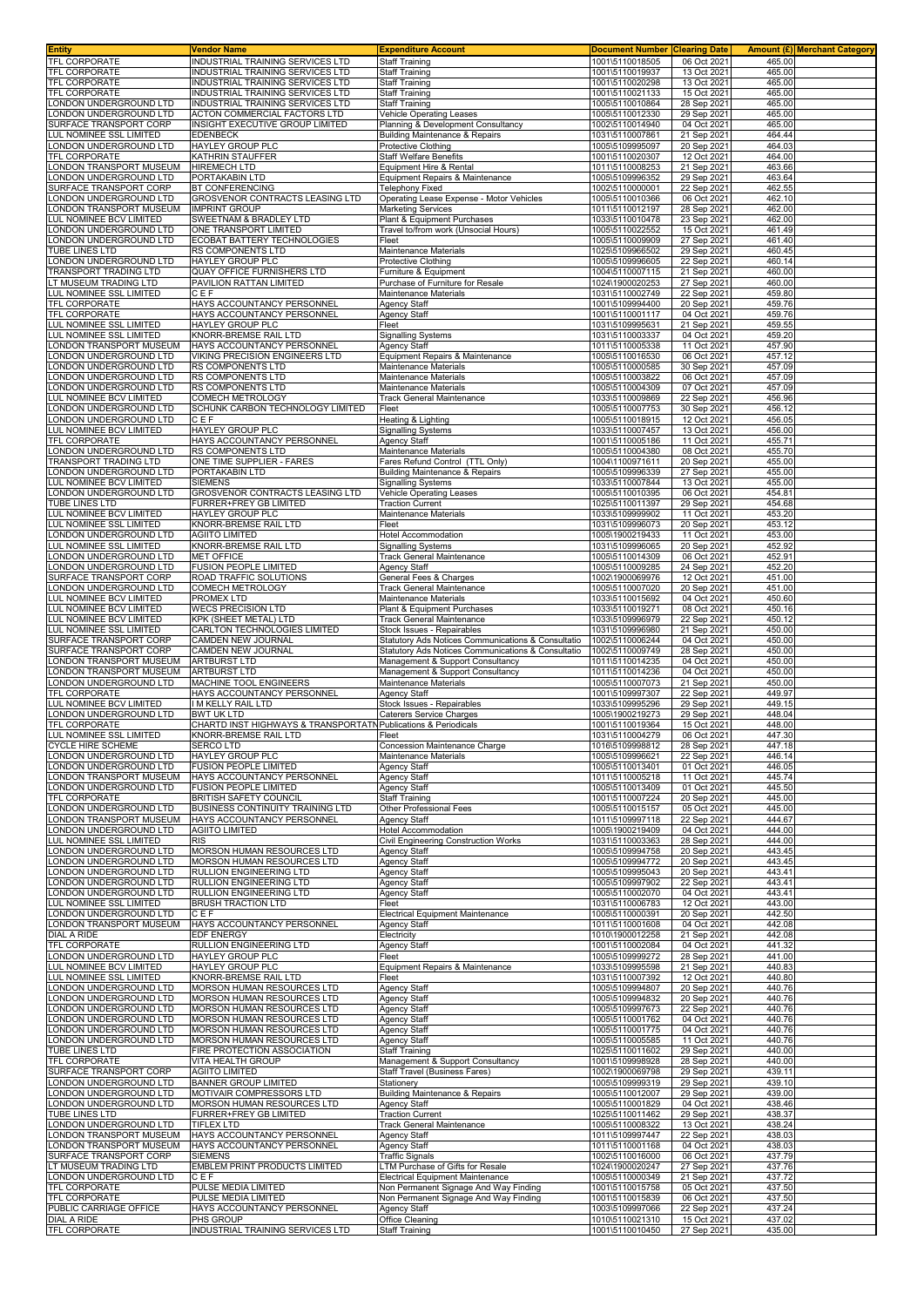|                                                    | Vendor Name                                                              | <b>Expenditure Account</b>                                           | <b>Document Number Clearing Date</b> |                            | <b>Amount (£) Merchant Category</b> |  |
|----------------------------------------------------|--------------------------------------------------------------------------|----------------------------------------------------------------------|--------------------------------------|----------------------------|-------------------------------------|--|
| TFL CORPORATE                                      | INDUSTRIAL TRAINING SERVICES LTD                                         | <b>Staff Training</b>                                                | 1001\5110018505                      | 06 Oct 2021                | 465.00                              |  |
| TFL CORPORATE                                      | INDUSTRIAL TRAINING SERVICES LTD                                         | <b>Staff Training</b>                                                | 1001\5110019937                      | 13 Oct 2021                | 465.00                              |  |
| TFL CORPORATE                                      | INDUSTRIAL TRAINING SERVICES LTD                                         | <b>Staff Training</b>                                                | 1001\5110020298                      | 13 Oct 2021                | 465.00                              |  |
| TFL CORPORATE                                      | INDUSTRIAL TRAINING SERVICES LTD                                         | Staff Training                                                       | 1001\5110021133                      | 15 Oct 2021                | 465.00                              |  |
| LONDON UNDERGROUND LTD                             | INDUSTRIAL TRAINING SERVICES LTD                                         | Staff Training                                                       | 1005\5110010864                      | 28 Sep 2021                | 465.00                              |  |
| ONDON UNDERGROUND LTD                              | ACTON COMMERCIAL FACTORS LTD                                             | Vehicle Operating Leases                                             | 1005\5110012330                      | 29 Sep 2021<br>04 Oct 2021 | 465.00                              |  |
| SURFACE TRANSPORT CORP<br>LUL NOMINEE SSL LIMITED  | INSIGHT EXECUTIVE GROUP LIMITED<br>EDENBECK                              | Planning & Development Consultancy<br>Building Maintenance & Repairs | 1002\5110014940<br>1031\5110007861   | 21 Sep 2021                | 465.00<br>464.44                    |  |
| ONDON UNDERGROUND LTD                              | HAYLEY GROUP PLC                                                         | Protective Clothing                                                  | 1005\5109995097                      | 20 Sep 2021                | 464.03                              |  |
| TFL CORPORATE                                      | KATHRIN STAUFFER                                                         | Staff Welfare Benefits                                               | 1001\5110020307                      | 12 Oct 2021                | 464.00                              |  |
| ONDON TRANSPORT MUSEUM                             | <b>HIREMECH LTD</b>                                                      | Equipment Hire & Rental                                              | 1011\5110008253                      | 21 Sep 2021                | 463.66                              |  |
| ONDON UNDERGROUND LTD                              | PORTAKABIN LTD                                                           | Equipment Repairs & Maintenance                                      | 1005\5109996352                      | 29 Sep 2021                | 463.64                              |  |
| SURFACE TRANSPORT CORP                             | BT CONFERENCING                                                          | Telephony Fixed                                                      | 1002\5110000001                      | 22 Sep 2021                | 462.55                              |  |
| ONDON UNDERGROUND LTD                              | GROSVENOR CONTRACTS LEASING LTD                                          | Operating Lease Expense - Motor Vehicles                             | 1005\5110010366                      | 06 Oct 2021                | 462.10                              |  |
| ONDON TRANSPORT MUSEUM                             | <b>IMPRINT GROUP</b>                                                     | <b>Marketing Services</b>                                            | 1011\5110012197                      | 28 Sep 2021                | 462.00                              |  |
| LUL NOMINEE BCV LIMITED                            | SWEETNAM & BRADLEY LTD                                                   | Plant & Equipment Purchases                                          | 1033\5110010478                      | 23 Sep 2021                | 462.00                              |  |
| ONDON UNDERGROUND LTD                              | ONE TRANSPORT LIMITED                                                    | Travel to/from work (Unsocial Hours)                                 | 1005\5110022552                      | 15 Oct 2021                | 461.49                              |  |
| ONDON UNDERGROUND LTD                              | ECOBAT BATTERY TECHNOLOGIES                                              | Fleet                                                                | 1005\5110009909                      | 27 Sep 2021                | 461.40                              |  |
| TUBE LINES LTD                                     | RS COMPONENTS LTD                                                        | Maintenance Materials                                                | 1025\5109966502                      | 29 Sep 2021                | 460.45                              |  |
| ONDON UNDERGROUND LTD                              | HAYLEY GROUP PLC                                                         | <b>Protective Clothing</b>                                           | 1005\5109996605                      | 22 Sep 2021                | 460.14                              |  |
| <b>TRANSPORT TRADING LTD</b>                       | QUAY OFFICE FURNISHERS LTD                                               | Furniture & Equipment                                                | 1004\5110007115                      | 21 Sep 202                 | 460.00                              |  |
| LT MUSEUM TRADING LTD                              | PAVILION RATTAN LIMITED                                                  | Purchase of Furniture for Resale                                     | 1024\1900020253                      | 27 Sep 2021                | 460.00                              |  |
| LUL NOMINEE SSL LIMITED                            | CEF                                                                      | Maintenance Materials                                                | 1031\5110002749                      | 22 Sep 2021                | 459.80                              |  |
| TFL CORPORATE                                      | HAYS ACCOUNTANCY PERSONNEL                                               | <b>Agency Staff</b>                                                  | 1001\5109994400                      | 20 Sep 2021                | 459.76                              |  |
| TFL CORPORATE                                      | HAYS ACCOUNTANCY PERSONNEL                                               | <b>Agency Staff</b>                                                  | 1001\5110001117                      | 04 Oct 2021                | 459.76                              |  |
| LUL NOMINEE SSL LIMITED                            | HAYLEY GROUP PLC                                                         | Fleet                                                                | 1031\5109995631                      | 21 Sep 2021                | 459.55<br>459.20                    |  |
| LUL NOMINEE SSL LIMITED<br>LONDON TRANSPORT MUSEUM | KNORR-BREMSE RAIL LTD<br>HAYS ACCOUNTANCY PERSONNEL                      | <b>Signalling Systems</b><br>Agency Staff                            | 1031\5110003337<br>1011\5110005338   | 04 Oct 2021<br>11 Oct 2021 | 457.90                              |  |
| ONDON UNDERGROUND LTD                              | VIKING PRECISION ENGINEERS LTD                                           | Equipment Repairs & Maintenance                                      | 1005\5110016530                      | 06 Oct 2021                | 457.12                              |  |
| ONDON UNDERGROUND LTD                              | RS COMPONENTS LTD                                                        | Maintenance Materials                                                | 1005\5110000585                      | 30 Sep 2021                | 457.09                              |  |
| ONDON UNDERGROUND LTD                              | RS COMPONENTS LTD                                                        | Maintenance Materials                                                | 1005\5110003822                      | 06 Oct 2021                | 457.09                              |  |
| ONDON UNDERGROUND LTD                              | RS COMPONENTS LTD                                                        | Maintenance Materials                                                | 1005\5110004309                      | 07 Oct 2021                | 457.09                              |  |
| UL NOMINEE BCV LIMITED                             | <b>COMECH METROLOGY</b>                                                  | Track General Maintenance                                            | 1033\5110009869                      | 22 Sep 2021                | 456.96                              |  |
| ONDON UNDERGROUND LTD                              | SCHUNK CARBON TECHNOLOGY LIMITED                                         | Fleet                                                                | 1005\5110007753                      | 30 Sep 2021                | 456.12                              |  |
| ONDON UNDERGROUND LTD                              | CEF                                                                      | Heating & Lighting                                                   | 1005\5110018915                      | 12 Oct 2021                | 456.05                              |  |
| LUL NOMINEE BCV LIMITED                            | HAYLEY GROUP PLC                                                         | Signalling Systems                                                   | 1033\5110007457                      | 13 Oct 2021                | 456.00                              |  |
| TFL CORPORATE                                      | HAYS ACCOUNTANCY PERSONNEL                                               | Agency Staff                                                         | 1001\5110005186                      | 11 Oct 2021                | 455.71                              |  |
| ONDON UNDERGROUND LTD                              | RS COMPONENTS LTD                                                        | Maintenance Materials                                                | 1005\5110004380                      | 08 Oct 2021                | 455.70                              |  |
| TRANSPORT TRADING LTD                              | ONE TIME SUPPLIER - FARES                                                | Fares Refund Control (TTL Only)                                      | 1004\1100971611                      | 20 Sep 2021                | 455.00                              |  |
| ONDON UNDERGROUND LTD                              | PORTAKABIN LTD                                                           | <b>Building Maintenance &amp; Repairs</b>                            | 1005\5109996339                      | 27 Sep 2021                | 455.00                              |  |
| UL NOMINEE BCV LIMITED                             | <b>SIEMENS</b>                                                           | <b>Signalling Systems</b>                                            | 1033\5110007844                      | 13 Oct 2021                | 455.00                              |  |
| ONDON UNDERGROUND LTD                              | GROSVENOR CONTRACTS LEASING LTD                                          | Vehicle Operating Leases                                             | 1005\5110010395                      | 06 Oct 2021                | 454.81                              |  |
| TUBE LINES LTD                                     | FURRER+FREY GB LIMITED                                                   | <b>Traction Current</b>                                              | 1025\5110011397                      | 29 Sep 2021                | 454.68                              |  |
| LUL NOMINEE BCV LIMITED                            | HAYLEY GROUP PLC                                                         | Maintenance Materials                                                | 1033\5109999902                      | 11 Oct 2021                | 453.20                              |  |
| LUL NOMINEE SSL LIMITED                            | KNORR-BREMSE RAIL LTD                                                    | Fleet                                                                | 1031\5109996073                      | 20 Sep 2021                | 453.12                              |  |
| ONDON UNDERGROUND LTD<br>LUL NOMINEE SSL LIMITED   | <b>AGIITO LIMITED</b>                                                    | Hotel Accommodation                                                  | 1005\1900219433                      | 11 Oct 2021                | 453.00                              |  |
|                                                    | KNORR-BREMSE RAIL LTD                                                    | Signalling Systems                                                   | 1031\5109996065                      | 20 Sep 2021                | 452.92                              |  |
| ONDON UNDERGROUND LTD<br>ONDON UNDERGROUND LTD     | <b>MET OFFICE</b>                                                        | Track General Maintenance                                            | 1005\5110014309                      | 06 Oct 2021                | 452.91                              |  |
| SURFACE TRANSPORT CORP                             | <b>FUSION PEOPLE LIMITED</b><br>ROAD TRAFFIC SOLUTIONS                   | Agency Staff<br>General Fees & Charges                               | 1005\5110009285<br>1002\1900069976   | 24 Sep 2021<br>12 Oct 2021 | 452.20<br>451.00                    |  |
| LONDON UNDERGROUND LTD                             | COMECH METROLOGY                                                         | <b>Track General Maintenance</b>                                     | 1005\5110007020                      | 20 Sep 2021                | 451.00                              |  |
| UL NOMINEE BCV LIMITED                             | PROMEX LTD                                                               | Maintenance Materials                                                | 1033\5110015692                      | 04 Oct 2021                | 450.60                              |  |
| LUL NOMINEE BCV LIMITED                            | <b>WECS PRECISION LTD</b>                                                | Plant & Equipment Purchases                                          | 1033\5110019271                      | 08 Oct 2021                | 450.16                              |  |
| LUL NOMINEE BCV LIMITED                            | KPK (SHEET METAL) LTD                                                    | Track General Maintenance                                            | 1033\5109996979                      | 22 Sep 202                 | 450.12                              |  |
| LUL NOMINEE SSL LIMITED                            | CARLTON TECHNOLOGIES LIMITED                                             | Stock Issues - Repairables                                           | 1031\5109996980                      | 21 Sep 2021                | 450.00                              |  |
| SURFACE TRANSPORT CORP                             | CAMDEN NEW JOURNAL                                                       | Statutory Ads Notices Communications & Consultatio                   | 1002\5110006244                      | 04 Oct 2021                | 450.00                              |  |
| SURFACE TRANSPORT CORP                             | CAMDEN NEW JOURNAL                                                       | <b>Statutory Ads Notices Communications &amp; Consultatio</b>        | 1002\5110009749                      | 28 Sep 2021                | 450.00                              |  |
|                                                    | <b>ARTBURST LTD</b>                                                      |                                                                      |                                      |                            |                                     |  |
| ONDON TRANSPORT MUSEUM                             |                                                                          | Management & Support Consultancy                                     | 1011\5110014235                      | 04 Oct 2021                | 450.00                              |  |
| ONDON TRANSPORT MUSEUM                             | ARTBURST LTD                                                             | Management & Support Consultancy                                     | 1011\5110014236                      | 04 Oct 2021                | 450.00                              |  |
| ONDON UNDERGROUND LTD                              | MACHINE TOOL ENGINEERS                                                   | Maintenance Materials                                                | 1005\5110007073                      | 21 Sep 2021                | 450.00                              |  |
| TFL CORPORATE                                      | <b>HAYS ACCOUNTANCY PERSONNEL</b>                                        | Agency Staff                                                         | 1001\5109997307                      | 22 Sep 2021                | 449.97                              |  |
| LUL NOMINEE BCV LIMITED                            | I M KELLY RAIL LTD                                                       | Stock Issues - Repairables                                           | 1033\5109995296                      | 29 Sep 202                 | 449.15                              |  |
| ONDON UNDERGROUND LTD                              | <b>BWT UK LTD</b>                                                        | Caterers Service Charges                                             | 1005\1900219273                      | 29 Sep 2021                | 448.04                              |  |
| TFL CORPORATE                                      | CHARTD INST HIGHWAYS & TRANSPORTATN                                      | Publications & Periodicals                                           | 1001\5110019364                      | 15 Oct 2021                | 448.00                              |  |
| LUL NOMINEE SSL LIMITED                            | KNORR-BREMSE RAIL LTD                                                    | Fleet                                                                | 1031\5110004279                      | 06 Oct 2021                | 447.30                              |  |
| <b>CYCLE HIRE SCHEME</b>                           | SERCO LTD                                                                | Concession Maintenance Charge                                        | 1016\5109998812                      | 28 Sep 2021                | 447.18                              |  |
| LONDON UNDERGROUND LTD                             | HAYLEY GROUP PLC                                                         | Maintenance Materials                                                | 1005\5109996621                      | 22 Sep 2021                | 446.14                              |  |
| LONDON UNDERGROUND LTD                             | <b>FUSION PEOPLE LIMITED</b>                                             | <b>Agency Staff</b>                                                  | 1005\5110013401                      | 01 Oct 2021                | 446.05                              |  |
| LONDON TRANSPORT MUSEUM                            | HAYS ACCOUNTANCY PERSONNEL                                               | <b>Agency Staff</b>                                                  | 1011\5110005218                      | 11 Oct 2021                | 445.74                              |  |
| LONDON UNDERGROUND LTD                             | <b>FUSION PEOPLE LIMITED</b>                                             | Agency Staff                                                         | 1005\5110013409                      | 01 Oct 2021<br>20 Sep 2021 | 445.50                              |  |
| TFL CORPORATE<br>ONDON UNDERGROUND LTD             | <b>BRITISH SAFETY COUNCIL</b><br><b>BUSINESS CONTINUITY TRAINING LTD</b> | <b>Staff Training</b><br>Other Professional Fees                     | 1001\5110007224<br>1005\5110015157   | 05 Oct 2021                | 445.00<br>445.00                    |  |
| LONDON TRANSPORT MUSEUM                            | HAYS ACCOUNTANCY PERSONNEL                                               | Agency Staff                                                         | 1011\5109997118                      | 22 Sep 2021                | 444.67                              |  |
| LONDON UNDERGROUND LTD                             | <b>AGIITO LIMITED</b>                                                    | Hotel Accommodation                                                  | 1005\1900219409                      | 04 Oct 2021                | 444.00                              |  |
| LUL NOMINEE SSL LIMITED                            | <b>RIS</b>                                                               | Civil Engineering Construction Works                                 | 1031\5110003363                      | 28 Sep 2021                | 444.00                              |  |
| ONDON UNDERGROUND LTD                              | MORSON HUMAN RESOURCES LTD                                               | Agency Staff                                                         | 1005\5109994758                      | 20 Sep 2021                | 443.45                              |  |
| ONDON UNDERGROUND LTD                              | MORSON HUMAN RESOURCES LTD                                               | <b>Agency Staff</b>                                                  | 1005\5109994772                      | 20 Sep 2021                | 443.45                              |  |
| ONDON UNDERGROUND LTD                              | RULLION ENGINEERING LTD                                                  | Agency Staff                                                         | 1005\5109995043                      | 20 Sep 2021                | 443.41                              |  |
| ONDON UNDERGROUND LTD                              | RULLION ENGINEERING LTD                                                  | Agency Staff                                                         | 1005\5109997902                      | 22 Sep 2021                | 443.41                              |  |
| ONDON UNDERGROUND LTD                              | <b>RULLION ENGINEERING LTD</b>                                           | Agency Staff                                                         | 1005\5110002070                      | 04 Oct 2021                | 443.41                              |  |
| LUL NOMINEE SSL LIMITED                            | <b>BRUSH TRACTION LTD</b>                                                | Fleet                                                                | 1031\5110006783                      | 12 Oct 2021                | 443.00                              |  |
| LONDON UNDERGROUND LTD                             | CEF                                                                      | Electrical Equipment Maintenance                                     | 1005\5110000391                      | 20 Sep 2021                | 442.50                              |  |
| ONDON TRANSPORT MUSEUM                             | HAYS ACCOUNTANCY PERSONNEL                                               | Agency Staff                                                         | 1011\5110001608                      | 04 Oct 2021                | 442.08                              |  |
| <b>DIAL A RIDE</b><br>TFL CORPORATE                | EDF ENERGY<br>RULLION ENGINEERING LTD                                    | Electricity<br>Agency Staff                                          | 1010\1900012258<br>1001\5110002084   | 21 Sep 2021<br>04 Oct 2021 | 442.08<br>441.32                    |  |
| LONDON UNDERGROUND LTD                             | HAYLEY GROUP PLC                                                         | Fleet                                                                | 1005\5109999272                      | 28 Sep 2021                | 441.00                              |  |
| LUL NOMINEE BCV LIMITED                            | HAYLEY GROUP PLC                                                         | Equipment Repairs & Maintenance                                      | 1033\5109995598                      | 21 Sep 2021                | 440.83                              |  |
| LUL NOMINEE SSL LIMITED                            | KNORR-BREMSE RAIL LTD                                                    | Fleet                                                                | 1031\5110007392                      | 12 Oct 2021                | 440.80                              |  |
| LONDON UNDERGROUND LTD                             | MORSON HUMAN RESOURCES LTD                                               | Agency Staff                                                         | 1005\5109994807                      | 20 Sep 2021                | 440.76                              |  |
| ONDON UNDERGROUND LTD                              | MORSON HUMAN RESOURCES LTD                                               | <b>Agency Staff</b>                                                  | 1005\5109994832                      | 20 Sep 2021                | 440.76                              |  |
| ONDON UNDERGROUND LTD                              | MORSON HUMAN RESOURCES LTD                                               | Agency Staff                                                         | 1005\5109997673                      | 22 Sep 2021                | 440.76                              |  |
| ONDON UNDERGROUND LTD                              | MORSON HUMAN RESOURCES LTD                                               | <b>Agency Staff</b>                                                  | 1005\5110001762                      | 04 Oct 2021                | 440.76                              |  |
| LONDON UNDERGROUND LTD                             | MORSON HUMAN RESOURCES LTD                                               | <b>Agency Staff</b>                                                  | 1005\5110001775                      | 04 Oct 2021                | 440.76                              |  |
| ONDON UNDERGROUND LTD                              | MORSON HUMAN RESOURCES LTD                                               | <b>Agency Staff</b>                                                  | 1005\5110005585                      | 11 Oct 2021                | 440.76                              |  |
| TUBE LINES LTD                                     | FIRE PROTECTION ASSOCIATION                                              | Staff Training                                                       | 1025\5110011602                      | 29 Sep 2021                | 440.00                              |  |
|                                                    | VITA HEALTH GROUP                                                        | Management & Support Consultancy                                     | 1001\5109998928                      | 28 Sep 2021                | 440.00                              |  |
| TFL CORPORATE<br>SURFACE TRANSPORT CORP            | <b>AGIITO LIMITED</b>                                                    | <b>Staff Travel (Business Fares)</b>                                 | 1002\1900069798                      | 29 Sep 2021                | 439.11                              |  |
| LONDON UNDERGROUND LTD                             | <b>BANNER GROUP LIMITED</b>                                              | Stationery                                                           | 1005\5109999319                      | 29 Sep 2021                | 439.10                              |  |
| ONDON UNDERGROUND LTD                              | MOTIVAIR COMPRESSORS LTD                                                 | <b>Building Maintenance &amp; Repairs</b>                            | 1005\5110012007                      | 29 Sep 2021                | 439.00                              |  |
| ONDON UNDERGROUND LTD                              | MORSON HUMAN RESOURCES LTD                                               | Agency Staff                                                         | 1005\5110001829                      | 04 Oct 2021                | 438.46                              |  |
| TUBE LINES LTD                                     | FURRER+FREY GB LIMITED<br><b>TIFLEX LTD</b>                              | <b>Traction Current</b>                                              | 1025\5110011462<br>1005\5110008322   | 29 Sep 2021<br>13 Oct 2021 | 438.37<br>438.24                    |  |
| ONDON UNDERGROUND LTD<br>ONDON TRANSPORT MUSEUM    | HAYS ACCOUNTANCY PERSONNEL                                               | Track General Maintenance<br>Agency Staff                            | 1011\5109997447                      | 22 Sep 2021                | 438.03                              |  |
| ONDON TRANSPORT MUSEUM                             | HAYS ACCOUNTANCY PERSONNEL                                               | Agency Staff                                                         | 1011\5110001168                      | 04 Oct 2021                | 438.03                              |  |
| SURFACE TRANSPORT CORP                             | <b>SIEMENS</b>                                                           | Traffic Signals                                                      | 1002\5110016000                      | 06 Oct 2021                | 437.79                              |  |
| LT MUSEUM TRADING LTD                              | EMBLEM PRINT PRODUCTS LIMITED                                            | LTM Purchase of Gifts for Resale                                     | 1024\1900020247                      | 27 Sep 2021                | 437.76                              |  |
| LONDON UNDERGROUND LTD                             | $C \overline{E} \overline{F}$                                            | Electrical Equipment Maintenance                                     | 1005\5110000349                      | 21 Sep 2021                | 437.72                              |  |
| TFL CORPORATE                                      | PULSE MEDIA LIMITED                                                      | Non Permanent Signage And Way Finding                                | 1001\5110015758                      | 05 Oct 2021                | 437.50                              |  |
|                                                    | PULSE MEDIA LIMITED                                                      | Non Permanent Signage And Way Finding                                | 1001\5110015839                      | 06 Oct 2021                | 437.50                              |  |
| TFL CORPORATE<br>PUBLIC CARRIAGE OFFICE            | HAYS ACCOUNTANCY PERSONNEL                                               | Agency Staff                                                         | 1003\5109997066                      | 22 Sep 2021                | 437.24                              |  |
| <b>DIAL A RIDE</b><br>TFL CORPORATE                | PHS GROUP<br>INDUSTRIAL TRAINING SERVICES LTD                            | Office Cleaning<br><b>Staff Training</b>                             | 1010\5110021310<br>1001\5110010450   | 15 Oct 2021<br>27 Sep 2021 | 437.02<br>435.00                    |  |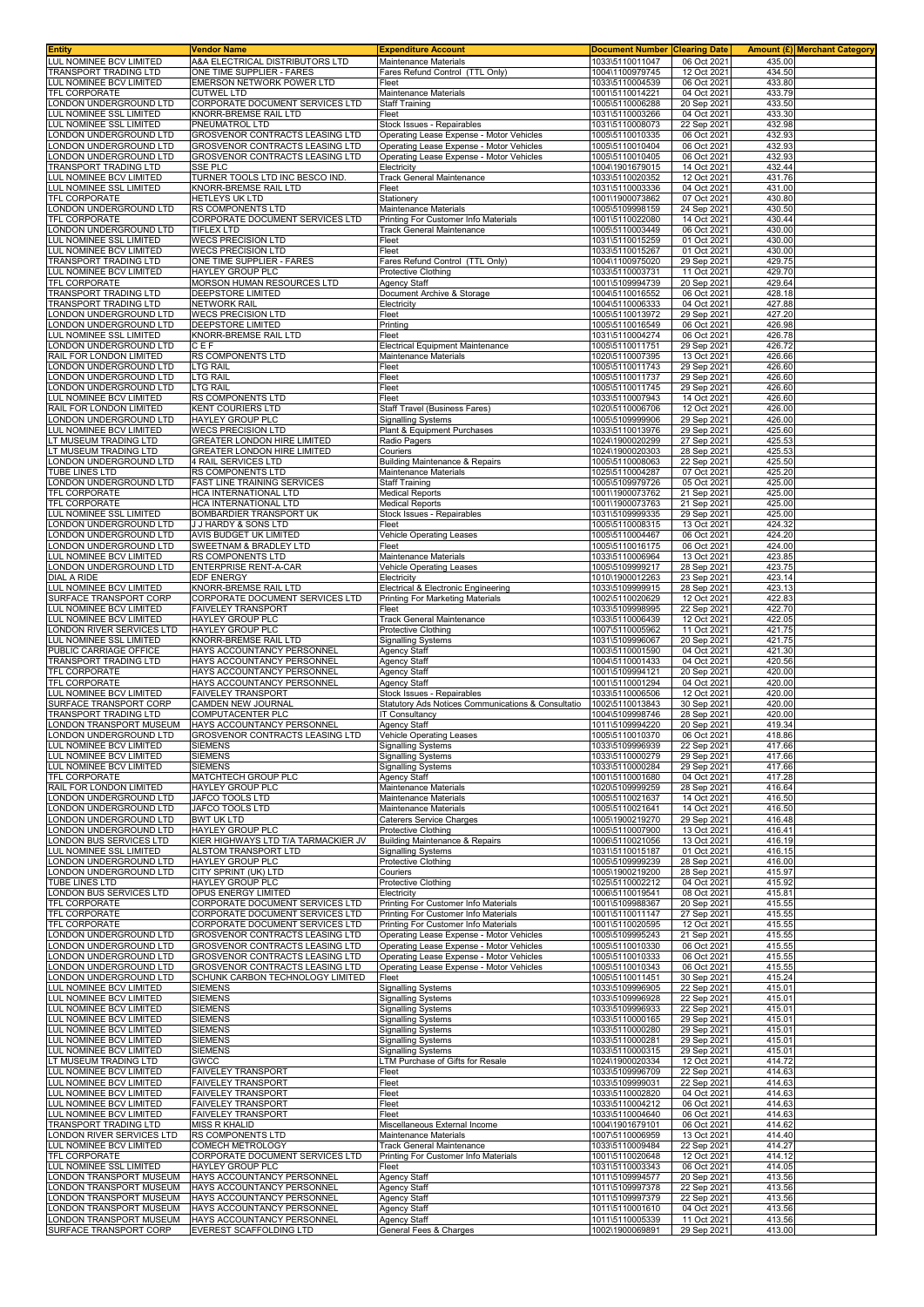| <b>Entity</b>                                            | Vendor Name                                                        | <b>Expenditure Account</b>                                                           | <b>Document Number Clearing Date</b> |                            |                  | Amount (£) Merchant Category |
|----------------------------------------------------------|--------------------------------------------------------------------|--------------------------------------------------------------------------------------|--------------------------------------|----------------------------|------------------|------------------------------|
| <b>LUL NOMINEE BCV LIMITED</b>                           | A&A ELECTRICAL DISTRIBUTORS LTD                                    | <b>Maintenance Materials</b>                                                         | 1033\5110011047                      | 06 Oct 2021                | 435.00           |                              |
| TRANSPORT TRADING LTD                                    | ONE TIME SUPPLIER - FARES                                          | Fares Refund Control (TTL Only)                                                      | 1004\1100979745                      | 12 Oct 2021                | 434.50           |                              |
| LUL NOMINEE BCV LIMITED<br><b>TFL CORPORATE</b>          | EMERSON NETWORK POWER LTD<br><b>CUTWEL LTD</b>                     | Fleet<br>Maintenance Materials                                                       | 1033\5110004539<br>1001\5110014221   | 06 Oct 2021<br>04 Oct 2021 | 433.80<br>433.79 |                              |
| ONDON UNDERGROUND LTD                                    | CORPORATE DOCUMENT SERVICES LTD                                    | <b>Staff Training</b>                                                                | 1005\5110006288                      | 20 Sep 2021                | 433.50           |                              |
| <b>UL NOMINEE SSL LIMITED</b>                            | KNORR-BREMSE RAIL LTD                                              | Fleet                                                                                | 1031\5110003266                      | 04 Oct 2021                | 433.30           |                              |
| LUL NOMINEE SSL LIMITED                                  | PNEUMATROL LTD                                                     | Stock Issues - Repairables                                                           | 1031\5110008073                      | 22 Sep 2021                | 432.98           |                              |
| ONDON UNDERGROUND LTD                                    | <b>GROSVENOR CONTRACTS LEASING LTD</b>                             | Operating Lease Expense - Motor Vehicles                                             | 1005\5110010335                      | 06 Oct 2021                | 432.93           |                              |
| ONDON UNDERGROUND LTD<br>ONDON UNDERGROUND LTD           | GROSVENOR CONTRACTS LEASING LTD<br>GROSVENOR CONTRACTS LEASING LTD | Operating Lease Expense - Motor Vehicles<br>Operating Lease Expense - Motor Vehicles | 1005\5110010404<br>1005\5110010405   | 06 Oct 2021<br>06 Oct 2021 | 432.93<br>432.93 |                              |
| RANSPORT TRADING LTD                                     | SSE PLC                                                            | Electricity                                                                          | 1004\1901679015                      | 14 Oct 2021                | 432.44           |                              |
| LUL NOMINEE BCV LIMITED                                  | TURNER TOOLS LTD INC BESCO IND.                                    | <b>Track General Maintenance</b>                                                     | 1033\5110020352                      | 12 Oct 2021                | 431.76           |                              |
| LUL NOMINEE SSL LIMITED                                  | KNORR-BREMSE RAIL LTD                                              | Fleet                                                                                | 1031\5110003336                      | 04 Oct 2021                | 431.00           |                              |
| TFL CORPORATE                                            | HETLEYS UK LTD                                                     | Stationery                                                                           | 1001\1900073862                      | 07 Oct 2021                | 430.80           |                              |
| LONDON UNDERGROUND LTD<br>TFL CORPORATE                  | RS COMPONENTS LTD<br>CORPORATE DOCUMENT SERVICES LTD               | Maintenance Materials<br>Printing For Customer Info Materials                        | 1005\5109998159<br>1001\5110022080   | 24 Sep 2021<br>14 Oct 2021 | 430.50<br>430.44 |                              |
| ONDON UNDERGROUND LTD                                    | <b>TIFLEX LTD</b>                                                  | Track General Maintenance                                                            | 1005\5110003449                      | 06 Oct 2021                | 430.00           |                              |
| <b>UL NOMINEE SSL LIMITED</b>                            | <b>WECS PRECISION LTD</b>                                          | Fleet                                                                                | 1031\5110015259                      | 01 Oct 2021                | 430.00           |                              |
| LUL NOMINEE BCV LIMITED                                  | <b>WECS PRECISION LTD</b>                                          | Fleet                                                                                | 1033\5110015267                      | 01 Oct 2021                | 430.00           |                              |
| TRANSPORT TRADING LTD                                    | ONE TIME SUPPLIER - FARES                                          | Fares Refund Control (TTL Only)                                                      | 1004\1100975020                      | 29 Sep 2021                | 429.75           |                              |
| UL NOMINEE BCV LIMITED<br>TFL CORPORATE                  | HAYLEY GROUP PLC<br>MORSON HUMAN RESOURCES LTD                     | Protective Clothing<br>Agency Staff                                                  | 1033\5110003731<br>1001\5109994739   | 11 Oct 2021<br>20 Sep 2021 | 429.70<br>429.64 |                              |
| TRANSPORT TRADING LTD                                    | DEEPSTORE LIMITED                                                  | Document Archive & Storage                                                           | 1004\5110016552                      | 06 Oct 2021                | 428.18           |                              |
| RANSPORT TRADING LTD                                     | NETWORK RAIL                                                       | Electricity                                                                          | 1004\5110006333                      | 04 Oct 2021                | 427.88           |                              |
| ONDON UNDERGROUND LTD                                    | <b>WECS PRECISION LTD</b>                                          | Fleet                                                                                | 1005\5110013972                      | 29 Sep 2021                | 427.20           |                              |
| ONDON UNDERGROUND LTD                                    | DEEPSTORE LIMITED                                                  | Printing                                                                             | 1005\5110016549                      | 06 Oct 2021                | 426.98           |                              |
| UL NOMINEE SSL LIMITED<br>ONDON UNDERGROUND LTD          | KNORR-BREMSE RAIL LTD<br>CEF                                       | Fleet<br><b>Electrical Equipment Maintenance</b>                                     | 1031\5110004274<br>1005\5110011751   | 06 Oct 202<br>29 Sep 2021  | 426.78<br>426.72 |                              |
| RAIL FOR LONDON LIMITED                                  | RS COMPONENTS LTD                                                  | Maintenance Materials                                                                | 1020\5110007395                      | 13 Oct 2021                | 426.66           |                              |
| ONDON UNDERGROUND LTD                                    | <b>LTG RAIL</b>                                                    | Fleet                                                                                | 1005\5110011743                      | 29 Sep 2021                | 426.60           |                              |
| ONDON UNDERGROUND LTD.                                   | <b>LTG RAIL</b>                                                    | Fleet                                                                                | 1005\5110011737                      | 29 Sep 2021                | 426.60           |                              |
| ONDON UNDERGROUND LTD<br>UL NOMINEE BCV LIMITED          | <b>LTG RAIL</b><br>RS COMPONENTS LTD                               | Fleet<br>Fleet                                                                       | 1005\5110011745<br>1033\5110007943   | 29 Sep 2021<br>14 Oct 2021 | 426.60<br>426.60 |                              |
| RAIL FOR LONDON LIMITED                                  | KENT COURIERS LTD                                                  | Staff Travel (Business Fares)                                                        | 1020\5110006706                      | 12 Oct 2021                | 426.00           |                              |
| LONDON UNDERGROUND LTD                                   | <b>HAYLEY GROUP PLC</b>                                            | <b>Signalling Systems</b>                                                            | 1005\5109999906                      | 29 Sep 2021                | 426.00           |                              |
| <b>UL NOMINEE BCV LIMITED</b>                            | <b>WECS PRECISION LTD</b>                                          | Plant & Equipment Purchases                                                          | 1033\5110013976                      | 29 Sep 2021                | 425.60           |                              |
| T MUSEUM TRADING LTD                                     | <b>GREATER LONDON HIRE LIMITED</b>                                 | Radio Pagers                                                                         | 1024\1900020299                      | 27 Sep 2021                | 425.53           |                              |
| T MUSEUM TRADING LTD<br>ONDON UNDERGROUND LTD            | GREATER LONDON HIRE LIMITED<br>4 RAIL SERVICES LTD                 | Couriers<br>Building Maintenance & Repairs                                           | 1024\1900020303<br>1005\5110008063   | 28 Sep 2021<br>22 Sep 2021 | 425.53<br>425.50 |                              |
| <b>TUBE LINES LTD</b>                                    | RS COMPONENTS LTD                                                  | Maintenance Materials                                                                | 1025\5110004287                      | 07 Oct 2021                | 425.20           |                              |
| ONDON UNDERGROUND LTD                                    | FAST LINE TRAINING SERVICES                                        | <b>Staff Training</b>                                                                | 1005\5109979726                      | 05 Oct 2021                | 425.00           |                              |
| <b>TFL CORPORATE</b>                                     | HCA INTERNATIONAL LTD                                              | <b>Medical Reports</b>                                                               | 1001\1900073762                      | 21 Sep 2021                | 425.00           |                              |
| TFL CORPORATE                                            | HCA INTERNATIONAL LTD                                              | <b>Medical Reports</b>                                                               | 1001\1900073763                      | 21 Sep 2021                | 425.00           |                              |
| LUL NOMINEE SSL LIMITED<br>ONDON UNDERGROUND LTD         | BOMBARDIER TRANSPORT UK<br>J J HARDY & SONS LTD                    | Stock Issues - Repairables<br>Fleet                                                  | 1031\5109999335<br>1005\5110008315   | 29 Sep 2021<br>13 Oct 2021 | 425.00<br>424.32 |                              |
| ONDON UNDERGROUND LTD                                    | AVIS BUDGET UK LIMITED                                             | <b>Vehicle Operating Leases</b>                                                      | 1005\5110004467                      | 06 Oct 2021                | 424.20           |                              |
| ONDON UNDERGROUND LTD                                    | SWEETNAM & BRADLEY LTD                                             | Fleet                                                                                | 1005\5110016175                      | 06 Oct 2021                | 424.00           |                              |
| UL NOMINEE BCV LIMITED                                   | RS COMPONENTS LTD                                                  | Maintenance Materials                                                                | 1033\5110006964                      | 13 Oct 2021                | 423.85           |                              |
| ONDON UNDERGROUND LTD                                    | ENTERPRISE RENT-A-CAR                                              | Vehicle Operating Leases                                                             | 1005\5109999217                      | 28 Sep 2021                | 423.75           |                              |
| <b>DIAL A RIDE</b><br>UL NOMINEE BCV LIMITED             | EDF ENERGY<br>KNORR-BREMSE RAIL LTD                                | Electricity<br>Electrical & Electronic Engineering                                   | 1010\1900012263<br>1033\5109999915   | 23 Sep 2021<br>28 Sep 2021 | 423.14<br>423.13 |                              |
| SURFACE TRANSPORT CORP                                   | CORPORATE DOCUMENT SERVICES LTD                                    | Printing For Marketing Materials                                                     | 1002\5110020629                      | 12 Oct 2021                | 422.83           |                              |
| UL NOMINEE BCV LIMITED                                   | <b>FAIVELEY TRANSPORT</b>                                          | Fleet                                                                                | 1033\5109998995                      | 22 Sep 2021                | 422.70           |                              |
| LUL NOMINEE BCV LIMITED                                  | <b>HAYLEY GROUP PLC</b>                                            | Track General Maintenance                                                            | 1033\5110006439                      | 12 Oct 2021                | 422.05           |                              |
| ONDON RIVER SERVICES LTD<br>UL NOMINEE SSL LIMITED       | HAYLEY GROUP PLC<br>KNORR-BREMSE RAIL LTD                          | Protective Clothing<br><b>Signalling Systems</b>                                     | 1007\5110005962<br>1031\5109996067   | 11 Oct 2021                | 421.75<br>421.75 |                              |
| PUBLIC CARRIAGE OFFICE                                   | HAYS ACCOUNTANCY PERSONNEL                                         | <b>Agency Staff</b>                                                                  | 1003\5110001590                      | 20 Sep 2021<br>04 Oct 2021 | 421.30           |                              |
| TRANSPORT TRADING LTD                                    | HAYS ACCOUNTANCY PERSONNEL                                         | <b>Agency Staff</b>                                                                  | 1004\5110001433                      | 04 Oct 2021                | 420.56           |                              |
| TFL CORPORATE                                            | HAYS ACCOUNTANCY PERSONNEL                                         | <b>Agency Staff</b>                                                                  | 1001\5109994121                      | 20 Sep 2021                | 420.00           |                              |
| TFL CORPORATE                                            | HAYS ACCOUNTANCY PERSONNEL                                         | Agency Staff                                                                         | 1001\5110001294                      | 04 Oct 2021                | 420.00           |                              |
| LUL NOMINEE BCV LIMITED<br>SURFACE TRANSPORT CORP        | <b>FAIVELEY TRANSPORT</b><br>CAMDEN NEW JOURNAL                    | Stock Issues - Repairables<br>Statutory Ads Notices Communications & Consultatio     | 1033\5110006506<br>1002\5110013843   | 12 Oct 2021<br>30 Sep 2021 | 420.00<br>420.00 |                              |
| <b>RANSPORT TRADING LTD</b>                              | COMPUTACENTER PLC                                                  | <b>IT Consultancy</b>                                                                | 1004\5109998746                      | 28 Sep 2021                | 420.00           |                              |
| ONDON TRANSPORT MUSEUM                                   | HAYS ACCOUNTANCY PERSONNEL                                         | <b>Agency Staff</b>                                                                  | 1011\5109994220                      | 20 Sep 2021                | 419.34           |                              |
| LONDON UNDERGROUND LTD<br>LUL NOMINEE BCV LIMITED        | GROSVENOR CONTRACTS LEASING LTD<br><b>SIEMENS</b>                  | Vehicle Operating Leases                                                             | 1005\5110010370<br>1033\5109996939   | 06 Oct 2021                | 418.86           |                              |
| LUL NOMINEE BCV LIMITED                                  | SIEMENS                                                            | <b>Signalling Systems</b><br><b>Signalling Systems</b>                               | 1033\5110000279                      | 22 Sep 2021<br>29 Sep 2021 | 417.66<br>417.66 |                              |
| LUL NOMINEE BCV LIMITED                                  | <b>SIEMENS</b>                                                     | <b>Signalling Systems</b>                                                            | 1033\5110000284                      | 29 Sep 2021                | 417.66           |                              |
| <b>TFL CORPORATE</b>                                     | MATCHTECH GROUP PLC                                                | Agency Staff                                                                         | 1001\5110001680                      | 04 Oct 2021                | 417.28           |                              |
| RAIL FOR LONDON LIMITED                                  | HAYLEY GROUP PLC                                                   | Maintenance Materials                                                                | 1020\5109999259                      | 28 Sep 2021                | 416.64           |                              |
| ONDON UNDERGROUND LTD<br>ONDON UNDERGROUND LTD           | JAFCO TOOLS LTD<br>JAFCO TOOLS LTD                                 | Maintenance Materials<br>Maintenance Materials                                       | 1005\5110021637<br>1005\5110021641   | 14 Oct 2021<br>14 Oct 2021 | 416.50<br>416.50 |                              |
| ONDON UNDERGROUND LTD                                    | <b>BWT UK LTD</b>                                                  | Caterers Service Charges                                                             | 1005\1900219270                      | 29 Sep 2021                | 416.48           |                              |
| ONDON UNDERGROUND LTD                                    | HAYLEY GROUP PLC                                                   | <b>Protective Clothing</b>                                                           | 1005\5110007900                      | 13 Oct 2021                | 416.41           |                              |
| ONDON BUS SERVICES LTD                                   | KIER HIGHWAYS LTD T/A TARMACKIER JV                                | Building Maintenance & Repairs                                                       | 1006\5110021056                      | 13 Oct 2021                | 416.19           |                              |
| UL NOMINEE SSL LIMITED                                   | ALSTOM TRANSPORT LTD                                               | <b>Signalling Systems</b>                                                            | 1031\5110015187                      | 01 Oct 2021                | 416.15           |                              |
| LONDON UNDERGROUND LTD<br>ONDON UNDERGROUND LTD          | <b>HAYLEY GROUP PLC</b><br>CITY SPRINT (UK) LTD                    | <b>Protective Clothing</b><br>Couriers                                               | 1005\5109999239<br>1005\1900219200   | 28 Sep 2021<br>28 Sep 2021 | 416.00<br>415.97 |                              |
| <b>TUBE LINES LTD</b>                                    | HAYLEY GROUP PLC                                                   | Protective Clothing                                                                  | 1025\5110002212                      | 04 Oct 2021                | 415.92           |                              |
| LONDON BUS SERVICES LTD                                  | OPUS ENERGY LIMITED                                                | Electricity                                                                          | 1006\5110019541                      | 08 Oct 2021                | 415.81           |                              |
| <b>TFL CORPORATE</b>                                     | CORPORATE DOCUMENT SERVICES LTD                                    | Printing For Customer Info Materials                                                 | 1001\5109988367                      | 20 Sep 2021                | 415.55           |                              |
| TFL CORPORATE<br><b>TFL CORPORATE</b>                    | CORPORATE DOCUMENT SERVICES LTD<br>CORPORATE DOCUMENT SERVICES LTD | Printing For Customer Info Materials<br>Printing For Customer Info Materials         | 1001\5110011147<br>1001\5110020595   | 27 Sep 2021<br>12 Oct 2021 | 415.55<br>415.55 |                              |
| LONDON UNDERGROUND LTD                                   | GROSVENOR CONTRACTS LEASING LTD                                    | Operating Lease Expense - Motor Vehicles                                             | 1005\5109995243                      | 21 Sep 2021                | 415.55           |                              |
| LONDON UNDERGROUND LTD                                   | GROSVENOR CONTRACTS LEASING LTD                                    | Operating Lease Expense - Motor Vehicles                                             | 1005\5110010330                      | 06 Oct 2021                | 415.55           |                              |
| ONDON UNDERGROUND LTD                                    | GROSVENOR CONTRACTS LEASING LTD                                    | Operating Lease Expense - Motor Vehicles                                             | 1005\5110010333                      | 06 Oct 2021                | 415.55           |                              |
| ONDON UNDERGROUND LTD                                    | GROSVENOR CONTRACTS LEASING LTD                                    | Operating Lease Expense - Motor Vehicles                                             | 1005\5110010343                      | 06 Oct 2021                | 415.55           |                              |
| ONDON UNDERGROUND LTD<br>LUL NOMINEE BCV LIMITED         | SCHUNK CARBON TECHNOLOGY LIMITED<br>SIEMENS                        | Fleet<br><b>Signalling Systems</b>                                                   | 1005\5110011451<br>1033\5109996905   | 30 Sep 2021<br>22 Sep 2021 | 415.24<br>415.01 |                              |
| LUL NOMINEE BCV LIMITED                                  | <b>SIEMENS</b>                                                     | <b>Signalling Systems</b>                                                            | 1033\5109996928                      | 22 Sep 2021                | 415.01           |                              |
| LUL NOMINEE BCV LIMITED                                  | SIEMENS                                                            | <b>Signalling Systems</b>                                                            | 1033\5109996933                      | 22 Sep 2021                | 415.01           |                              |
| LUL NOMINEE BCV LIMITED                                  | SIEMENS                                                            | <b>Signalling Systems</b>                                                            | 1033\5110000165                      | 29 Sep 2021                | 415.01           |                              |
| LUL NOMINEE BCV LIMITED<br><b>UL NOMINEE BCV LIMITED</b> | SIEMENS<br>SIEMENS                                                 | <b>Signalling Systems</b><br><b>Signalling Systems</b>                               | 1033\5110000280<br>1033\5110000281   | 29 Sep 2021<br>29 Sep 2021 | 415.01<br>415.01 |                              |
| LUL NOMINEE BCV LIMITED                                  | SIEMENS                                                            | <b>Signalling Systems</b>                                                            | 1033\5110000315                      | 29 Sep 2021                | 415.01           |                              |
| LT MUSEUM TRADING LTD                                    | GWCC                                                               | LTM Purchase of Gifts for Resale                                                     | 1024\1900020334                      | 12 Oct 2021                | 414.72           |                              |
| LUL NOMINEE BCV LIMITED                                  | <b>FAIVELEY TRANSPORT</b>                                          | Fleet                                                                                | 1033\5109996709                      | 22 Sep 2021                | 414.63           |                              |
| LUL NOMINEE BCV LIMITED<br>LUL NOMINEE BCV LIMITED       | <b>FAIVELEY TRANSPORT</b><br><b>FAIVELEY TRANSPORT</b>             | Fleet<br>Fleet                                                                       | 1033\5109999031<br>1033\5110002820   | 22 Sep 2021<br>04 Oct 2021 | 414.63<br>414.63 |                              |
| LUL NOMINEE BCV LIMITED                                  | <b>FAIVELEY TRANSPORT</b>                                          | Fleet                                                                                | 1033\5110004212                      | 06 Oct 2021                | 414.63           |                              |
| LUL NOMINEE BCV LIMITED                                  | <b>FAIVELEY TRANSPORT</b>                                          | Fleet                                                                                | 1033\5110004640                      | 06 Oct 2021                | 414.63           |                              |
| <b>TRANSPORT TRADING LTD</b>                             | MISS R KHALID                                                      | Miscellaneous External Income                                                        | 1004\1901679101                      | 06 Oct 2021                | 414.62           |                              |
| LONDON RIVER SERVICES LTD                                | RS COMPONENTS LTD                                                  | Maintenance Materials                                                                | 1007\5110006959                      | 13 Oct 2021                | 414.40           |                              |
| LUL NOMINEE BCV LIMITED<br>TFL CORPORATE                 | <b>COMECH METROLOGY</b><br>CORPORATE DOCUMENT SERVICES LTD         | <b>Track General Maintenance</b><br>Printing For Customer Info Materials             | 1033\5110009484<br>1001\5110020648   | 22 Sep 2021<br>12 Oct 2021 | 414.27<br>414.12 |                              |
| LUL NOMINEE SSL LIMITED                                  | <b>HAYLEY GROUP PLC</b>                                            | Fleet                                                                                | 1031\5110003343                      | 06 Oct 2021                | 414.05           |                              |
| LONDON TRANSPORT MUSEUM                                  | HAYS ACCOUNTANCY PERSONNEL                                         | <b>Agency Staff</b>                                                                  | 1011\5109994577                      | 20 Sep 2021                | 413.56           |                              |
| LONDON TRANSPORT MUSEUM                                  | HAYS ACCOUNTANCY PERSONNEL                                         | <b>Agency Staff</b>                                                                  | 1011\5109997378                      | 22 Sep 2021                | 413.56           |                              |
| ONDON TRANSPORT MUSEUM                                   | HAYS ACCOUNTANCY PERSONNEL                                         | <b>Agency Staff</b>                                                                  | 1011\5109997379                      | 22 Sep 2021                | 413.56           |                              |
| ONDON TRANSPORT MUSEUM<br>LONDON TRANSPORT MUSEUM        | HAYS ACCOUNTANCY PERSONNEL<br>HAYS ACCOUNTANCY PERSONNEL           | Agency Staff<br><b>Agency Staff</b>                                                  | 1011\5110001610<br>1011\5110005339   | 04 Oct 2021<br>11 Oct 2021 | 413.56<br>413.56 |                              |
| SURFACE TRANSPORT CORP                                   | EVEREST SCAFFOLDING LTD                                            | General Fees & Charges                                                               | 1002\1900069891                      | 29 Sep 2021                | 413.00           |                              |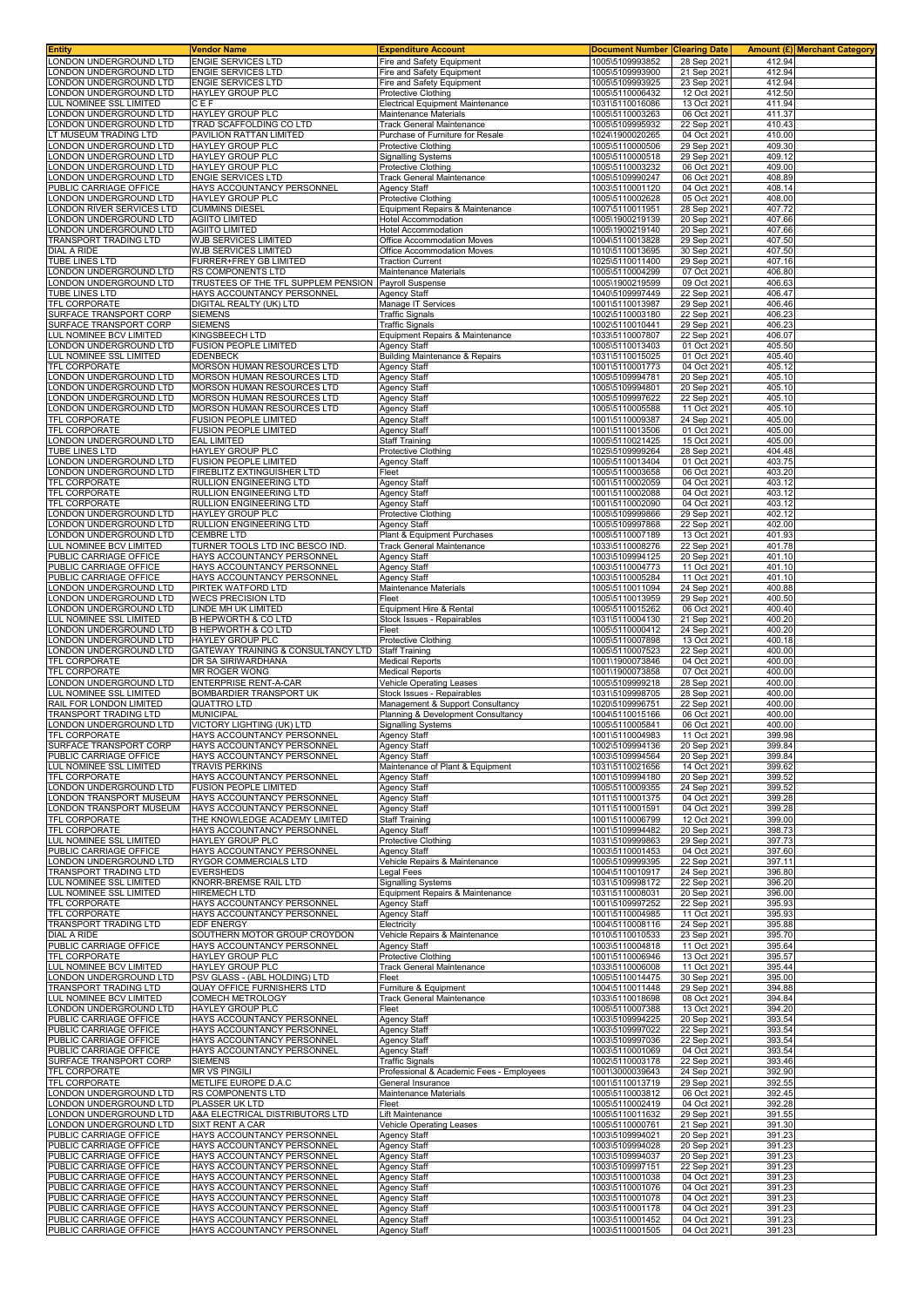| Entity                                                   | <b>Vendor Name</b>                                            | <b>Expenditure Account</b>                                             | <b>Document Number</b>             | <b>Clearing Date</b>       |                  | <b>Amount (£) Merchant Category</b> |
|----------------------------------------------------------|---------------------------------------------------------------|------------------------------------------------------------------------|------------------------------------|----------------------------|------------------|-------------------------------------|
| ONDON UNDERGROUND LTD                                    | <b>ENGIE SERVICES LTD</b>                                     | Fire and Safety Equipment                                              | 1005\5109993852                    | 28 Sep 2021                | 412.94           |                                     |
| ONDON UNDERGROUND LTD<br>ONDON UNDERGROUND LTD           | <b>ENGIE SERVICES LTD</b><br><b>ENGIE SERVICES LTD</b>        | Fire and Safety Equipment<br>Fire and Safety Equipment                 | 1005\5109993900<br>1005\5109993925 | 21 Sep 2021<br>23 Sep 2021 | 412.94<br>412.94 |                                     |
| ONDON UNDERGROUND LTD                                    | HAYLEY GROUP PLC                                              | Protective Clothing                                                    | 1005\5110006432                    | 12 Oct 2021                | 412.50           |                                     |
| <b>LUL NOMINEE SSL LIMITED</b>                           | CEF                                                           | Electrical Equipment Maintenance                                       | 1031\5110016086                    | 13 Oct 2021                | 411.94           |                                     |
| ONDON UNDERGROUND LTD                                    | HAYLEY GROUP PLC                                              | Maintenance Materials                                                  | 1005\5110003263                    | 06 Oct 2021                | 411.37           |                                     |
| ONDON UNDERGROUND LTD                                    | TRAD SCAFFOLDING CO LTD                                       | Track General Maintenance                                              | 1005\5109995932                    | 22 Sep 2021                | 410.43           |                                     |
| T MUSEUM TRADING LTD<br>ONDON UNDERGROUND LTD            | PAVILION RATTAN LIMITED<br><b>HAYLEY GROUP PLC</b>            | Purchase of Furniture for Resale<br>Protective Clothing                | 1024\1900020265<br>1005\5110000506 | 04 Oct 2021<br>29 Sep 2021 | 410.00<br>409.30 |                                     |
| ONDON UNDERGROUND LTD                                    | <b>HAYLEY GROUP PLC</b>                                       | Signalling Systems                                                     | 1005\5110000518                    | 29 Sep 2021                | 409.12           |                                     |
| ONDON UNDERGROUND LTD                                    | HAYLEY GROUP PLC                                              | Protective Clothing                                                    | 1005\5110003232                    | 06 Oct 2021                | 409.00           |                                     |
| ONDON UNDERGROUND LTD                                    | ENGIE SERVICES LTD                                            | Track General Maintenance                                              | 1005\5109990247                    | 06 Oct 2021                | 408.89           |                                     |
| PUBLIC CARRIAGE OFFICE                                   | HAYS ACCOUNTANCY PERSONNEL                                    | Agency Staff                                                           | 1003\5110001120                    | 04 Oct 2021                | 408.14           |                                     |
| ONDON UNDERGROUND LTD                                    | HAYLEY GROUP PLC                                              | Protective Clothing                                                    | 1005\5110002628                    | 05 Oct 2021                | 408.00<br>407.72 |                                     |
| ONDON RIVER SERVICES LTD<br>ONDON UNDERGROUND LTD        | <b>CUMMINS DIESEL</b><br><b>AGIITO LIMITED</b>                | Equipment Repairs & Maintenance<br>Hotel Accommodation                 | 1007\5110011951<br>1005\1900219139 | 28 Sep 2021<br>20 Sep 2021 | 407.66           |                                     |
| ONDON UNDERGROUND LTD                                    | <b>AGIITO LIMITED</b>                                         | Hotel Accommodation                                                    | 1005\1900219140                    | 20 Sep 2021                | 407.66           |                                     |
| <b>FRANSPORT TRADING LTD</b>                             | WJB SERVICES LIMITED                                          | Office Accommodation Moves                                             | 1004\5110013828                    | 29 Sep 2021                | 407.50           |                                     |
| DIAL A RIDE                                              | WJB SERVICES LIMITED                                          | Office Accommodation Moves                                             | 1010\5110013695                    | 30 Sep 2021                | 407.50           |                                     |
| <b>TUBE LINES LTD</b><br>ONDON UNDERGROUND LTD           | <b>FURRER+FREY GB LIMITED</b><br>RS COMPONENTS LTD            | <b>Traction Current</b><br>Maintenance Materials                       | 1025\5110011400<br>1005\5110004299 | 29 Sep 2021<br>07 Oct 2021 | 407.16<br>406.80 |                                     |
| ONDON UNDERGROUND LTD                                    | TRUSTEES OF THE TFL SUPPLEM PENSION                           | Payroll Suspense                                                       | 1005\1900219599                    | 09 Oct 2021                | 406.63           |                                     |
| <b>TUBE LINES LTD</b>                                    | HAYS ACCOUNTANCY PERSONNEL                                    | <b>Agency Staff</b>                                                    | 1040\5109997449                    | 22 Sep 2021                | 406.47           |                                     |
| <b>TFL CORPORATE</b>                                     | DIGITAL REALTY (UK) LTD                                       | Manage IT Services                                                     | 1001\5110013987                    | 29 Sep 2021                | 406.46           |                                     |
| SURFACE TRANSPORT CORP                                   | <b>SIEMENS</b><br><b>SIEMENS</b>                              | <b>Traffic Signals</b>                                                 | 1002\5110003180                    | 22 Sep 2021                | 406.23           |                                     |
| SURFACE TRANSPORT CORP<br>UL NOMINEE BCV LIMITED         | KINGSBEECH LTD                                                | <b>Traffic Signals</b><br>Equipment Repairs & Maintenance              | 1002\5110010441<br>1033\5110007807 | 29 Sep 2021<br>22 Sep 2021 | 406.23<br>406.07 |                                     |
| ONDON UNDERGROUND LTD                                    | <b>FUSION PEOPLE LIMITED</b>                                  | <b>Agency Staff</b>                                                    | 1005\5110013403                    | 01 Oct 2021                | 405.50           |                                     |
| <b>LUL NOMINEE SSL LIMITED</b>                           | EDENBECK                                                      | <b>Building Maintenance &amp; Repairs</b>                              | 1031\5110015025                    | 01 Oct 2021                | 405.40           |                                     |
| <b>FEL CORPORATE</b>                                     | MORSON HUMAN RESOURCES LTD                                    | Agency Staff                                                           | 1001\5110001773                    | 04 Oct 2021                | 405.12           |                                     |
| ONDON UNDERGROUND LTD<br>ONDON UNDERGROUND LTD           | MORSON HUMAN RESOURCES LTD                                    | <b>Agency Staff</b>                                                    | 1005\5109994781<br>1005\5109994801 | 20 Sep 2021                | 405.10<br>405.10 |                                     |
| ONDON UNDERGROUND LTD                                    | MORSON HUMAN RESOURCES LTD<br>MORSON HUMAN RESOURCES LTD      | <b>Agency Staff</b><br><b>Agency Staff</b>                             | 1005\5109997622                    | 20 Sep 2021<br>22 Sep 2021 | 405.10           |                                     |
| ONDON UNDERGROUND LTD                                    | MORSON HUMAN RESOURCES LTD                                    | <b>Agency Staff</b>                                                    | 1005\5110005588                    | 11 Oct 2021                | 405.10           |                                     |
| <b>TFL CORPORATE</b>                                     | FUSION PEOPLE LIMITED                                         | <b>Agency Staff</b>                                                    | 1001\5110009387                    | 24 Sep 2021                | 405.00           |                                     |
| <b>TFL CORPORATE</b>                                     | <b>FUSION PEOPLE LIMITED</b>                                  | <b>Agency Staff</b>                                                    | 1001\5110013506                    | 01 Oct 2021                | 405.00           |                                     |
| ONDON UNDERGROUND LTD<br><b>TUBE LINES LTD</b>           | EAL LIMITED<br>HAYLEY GROUP PLC                               | Staff Training<br>Protective Clothing                                  | 1005\5110021425<br>1025\5109999264 | 15 Oct 2021<br>28 Sep 2021 | 405.00<br>404.48 |                                     |
| ONDON UNDERGROUND LTD                                    | <b>FUSION PEOPLE LIMITED</b>                                  | <b>Agency Staff</b>                                                    | 1005\5110013404                    | 01 Oct 2021                | 403.75           |                                     |
| ONDON UNDERGROUND LTD                                    | FIREBLITZ EXTINGUISHER LTD                                    | Fleet                                                                  | 1005\5110003658                    | 06 Oct 2021                | 403.20           |                                     |
| <b>TFL CORPORATE</b>                                     | RULLION ENGINEERING LTD                                       | Agency Staff                                                           | 1001\5110002059                    | 04 Oct 2021                | 403.12           |                                     |
| <b>TFL CORPORATE</b><br><b>TFL CORPORATE</b>             | RULLION ENGINEERING LTD<br>RULLION ENGINEERING LTD            | Agency Staff<br>Agency Staff                                           | 1001\5110002088<br>1001\5110002090 | 04 Oct 2021<br>04 Oct 2021 | 403.12<br>403.12 |                                     |
| ONDON UNDERGROUND LTD                                    | HAYLEY GROUP PLC                                              | Protective Clothing                                                    | 1005\5109999866                    | 29 Sep 2021                | 402.12           |                                     |
| ONDON UNDERGROUND LTD                                    | RULLION ENGINEERING LTD                                       | Agency Staff                                                           | 1005\5109997868                    | 22 Sep 2021                | 402.00           |                                     |
| ONDON UNDERGROUND LTD                                    | <b>CEMBRE LTD</b>                                             | Plant & Equipment Purchases                                            | 1005\5110007189                    | 13 Oct 2021                | 401.93           |                                     |
| <b>LUL NOMINEE BCV LIMITED</b><br>PUBLIC CARRIAGE OFFICE | TURNER TOOLS LTD INC BESCO IND.<br>HAYS ACCOUNTANCY PERSONNEL | <b>Track General Maintenance</b><br><b>Agency Staff</b>                | 1033\5110008276<br>1003\5109994125 | 22 Sep 2021<br>20 Sep 2021 | 401.78<br>401.10 |                                     |
| PUBLIC CARRIAGE OFFICE                                   | HAYS ACCOUNTANCY PERSONNEL                                    | Agency Staff                                                           | 1003\5110004773                    | 11 Oct 2021                | 401.10           |                                     |
| PUBLIC CARRIAGE OFFICE                                   | HAYS ACCOUNTANCY PERSONNEL                                    | <b>Agency Staff</b>                                                    | 1003\5110005284                    | 11 Oct 2021                | 401.10           |                                     |
| ONDON UNDERGROUND LTD                                    | PIRTEK WATFORD LTD                                            | Maintenance Materials                                                  | 1005\5110011094                    | 24 Sep 2021                | 400.88           |                                     |
| ONDON UNDERGROUND LTD<br>ONDON UNDERGROUND LTD           | <b>WECS PRECISION LTD</b><br>INDE MH UK LIMITED               | Fleet<br>Equipment Hire & Rental                                       | 1005\5110013959<br>1005\5110015262 | 29 Sep 2021<br>06 Oct 2021 | 400.50<br>400.40 |                                     |
| UL NOMINEE SSL LIMITED                                   | <b>B HEPWORTH &amp; CO LTD</b>                                | Stock Issues - Repairables                                             | 1031\5110004130                    | 21 Sep 2021                | 400.20           |                                     |
| ONDON UNDERGROUND LTD                                    | B HEPWORTH & CO LTD                                           | Fleet                                                                  | 1005\5110000412                    | 24 Sep 2021                | 400.20           |                                     |
| ONDON UNDERGROUND LTD                                    | HAYLEY GROUP PLC                                              | Protective Clothing                                                    | 1005\5110007898                    | 13 Oct 2021                | 400.18           |                                     |
| ONDON UNDERGROUND LTD<br><b>TFL CORPORATE</b>            | GATEWAY TRAINING & CONSULTANCY LTD<br>DR SA SIRIWARDHANA      | <b>Staff Training</b><br><b>Medical Reports</b>                        | 1005\5110007523<br>1001\1900073846 | 22 Sep 2021<br>04 Oct 2021 | 400.00<br>400.00 |                                     |
| <b>TFL CORPORATE</b>                                     | MR ROGER WONG                                                 | <b>Medical Reports</b>                                                 | 1001\1900073858                    | 07 Oct 2021                | 400.00           |                                     |
| ONDON UNDERGROUND LTD                                    | ENTERPRISE RENT-A-CAR                                         | <b>Vehicle Operating Leases</b>                                        | 1005\5109999218                    | 28 Sep 2021                | 400.00           |                                     |
| UL NOMINEE SSL LIMITED<br>RAIL FOR LONDON LIMITED        | BOMBARDIER TRANSPORT UK                                       | Stock Issues - Repairables                                             | 1031\5109998705                    | 28 Sep 2021                | 400.00           |                                     |
| <b>FRANSPORT TRADING LTD</b>                             | <b>QUATTRO LTD</b><br><b>MUNICIPAL</b>                        | Management & Support Consultancy<br>Planning & Development Consultancy | 1020\5109996751<br>1004\5110015166 | 22 Sep 2021<br>06 Oct 2021 | 400.00<br>400.00 |                                     |
| ONDON UNDERGROUND LTD                                    | VICTORY LIGHTING (UK) LTD                                     | <b>Signalling Systems</b>                                              | 1005\5110005841                    | 06 Oct 2021                | 400.00           |                                     |
| <b>TFL CORPORATE</b>                                     | HAYS ACCOUNTANCY PERSONNEL                                    | Agency Staff                                                           | 1001\5110004983                    | 11 Oct 2021                | 399.98           |                                     |
| SURFACE TRANSPORT CORP                                   | HAYS ACCOUNTANCY PERSONNEL                                    | Agency Staff                                                           | 1002\5109994136                    | 20 Sep 2021                | 399.84           |                                     |
| PUBLIC CARRIAGE OFFICE<br>UL NOMINEE SSL LIMITED         | HAYS ACCOUNTANCY PERSONNEL<br><b>TRAVIS PERKINS</b>           | <b>Agency Staff</b><br>Maintenance of Plant & Equipment                | 1003\5109994564<br>1031\5110021656 | 20 Sep 2021<br>14 Oct 2021 | 399.84<br>399.62 |                                     |
| <b>TFL CORPORATE</b>                                     | HAYS ACCOUNTANCY PERSONNEL                                    | <b>Agency Staff</b>                                                    | 1001\5109994180                    | 20 Sep 2021                | 399.52           |                                     |
| ONDON UNDERGROUND LTD                                    | <b>FUSION PEOPLE LIMITED</b>                                  | <b>Agency Staff</b>                                                    | 1005\5110009355                    | 24 Sep 2021                | 399.52           |                                     |
| ONDON TRANSPORT MUSEUM                                   | HAYS ACCOUNTANCY PERSONNEL                                    | <b>Agency Staff</b>                                                    | 1011\5110001375                    | 04 Oct 2021                | 399.28           |                                     |
| ONDON TRANSPORT MUSEUM<br><b>TFL CORPORATE</b>           | HAYS ACCOUNTANCY PERSONNEL<br>THE KNOWLEDGE ACADEMY LIMITED   | <b>Agency Staff</b><br>Staff Training                                  | 1011\5110001591<br>1001\5110006799 | 04 Oct 2021<br>12 Oct 2021 | 399.28<br>399.00 |                                     |
| TFL CORPORATE                                            | HAYS ACCOUNTANCY PERSONNEL                                    | <b>Agency Staff</b>                                                    | 1001\5109994482                    | 20 Sep 2021                | 398.73           |                                     |
| <b>UL NOMINEE SSL LIMITED</b>                            | HAYLEY GROUP PLC                                              | Protective Clothing                                                    | 1031\5109999863                    | 29 Sep 2021                | 397.73           |                                     |
| PUBLIC CARRIAGE OFFICE                                   | HAYS ACCOUNTANCY PERSONNEL                                    | Agency Staff                                                           | 1003\5110001453                    | 04 Oct 2021                | 397.60           |                                     |
| ONDON UNDERGROUND LTD<br><b>FRANSPORT TRADING LTD</b>    | RYGOR COMMERCIALS LTD<br><b>EVERSHEDS</b>                     | Vehicle Repairs & Maintenance<br>Legal Fees                            | 1005\5109999395<br>1004\5110010917 | 22 Sep 2021<br>24 Sep 2021 | 397.11<br>396.80 |                                     |
| <b>LUL NOMINEE SSL LIMITED</b>                           | KNORR-BREMSE RAIL LTD                                         | <b>Signalling Systems</b>                                              | 1031\5109998172                    | 22 Sep 2021                | 396.20           |                                     |
| UL NOMINEE SSL LIMITED                                   | HIREMECH LTD                                                  | Equipment Repairs & Maintenance                                        | 1031\5110008031                    | 20 Sep 2021                | 396.00           |                                     |
| TFL CORPORATE                                            | HAYS ACCOUNTANCY PERSONNEL                                    | Agency Staff                                                           | 1001\5109997252                    | 22 Sep 2021                | 395.93           |                                     |
| TFL CORPORATE<br>TRANSPORT TRADING LTD                   | HAYS ACCOUNTANCY PERSONNEL<br>EDF ENERGY                      | Agency Staff<br>Electricity                                            | 1001\5110004985<br>1004\5110008116 | 11 Oct 2021<br>24 Sep 2021 | 395.93<br>395.88 |                                     |
| DIAL A RIDE                                              | SOUTHERN MOTOR GROUP CROYDON                                  | Vehicle Repairs & Maintenance                                          | 1010\5110010533                    | 23 Sep 2021                | 395.70           |                                     |
| PUBLIC CARRIAGE OFFICE                                   | HAYS ACCOUNTANCY PERSONNEL                                    | <b>Agency Staff</b>                                                    | 1003\5110004818                    | 11 Oct 2021                | 395.64           |                                     |
| TFL CORPORATE                                            | HAYLEY GROUP PLC                                              | Protective Clothing                                                    | 1001\5110006946                    | 13 Oct 2021                | 395.57           |                                     |
| LUL NOMINEE BCV LIMITED<br>ONDON UNDERGROUND LTD         | HAYLEY GROUP PLC<br>PSV GLASS - (ABL HOLDING) LTD             | Track General Maintenance<br>Fleet                                     | 1033\5110006008<br>1005\5110014475 | 11 Oct 2021<br>30 Sep 2021 | 395.44<br>395.00 |                                     |
| <b>FRANSPORT TRADING LTD</b>                             | QUAY OFFICE FURNISHERS LTD                                    | Furniture & Equipment                                                  | 1004\5110011448                    | 29 Sep 2021                | 394.88           |                                     |
| LUL NOMINEE BCV LIMITED                                  | COMECH METROLOGY                                              | Track General Maintenance                                              | 1033\5110018698                    | 08 Oct 2021                | 394.84           |                                     |
| ONDON UNDERGROUND LTD                                    | <b>HAYLEY GROUP PLC</b>                                       | Fleet                                                                  | 1005\5110007388                    | 13 Oct 2021                | 394.20           |                                     |
| PUBLIC CARRIAGE OFFICE<br>PUBLIC CARRIAGE OFFICE         | HAYS ACCOUNTANCY PERSONNEL<br>HAYS ACCOUNTANCY PERSONNEL      | <b>Agency Staff</b><br><b>Agency Staff</b>                             | 1003\5109994225<br>1003\5109997022 | 20 Sep 2021<br>22 Sep 2021 | 393.54<br>393.54 |                                     |
| PUBLIC CARRIAGE OFFICE                                   | HAYS ACCOUNTANCY PERSONNEL                                    | <b>Agency Staff</b>                                                    | 1003\5109997036                    | 22 Sep 2021                | 393.54           |                                     |
| PUBLIC CARRIAGE OFFICE                                   | HAYS ACCOUNTANCY PERSONNEL                                    | <b>Agency Staff</b>                                                    | 1003\5110001069                    | 04 Oct 2021                | 393.54           |                                     |
| SURFACE TRANSPORT CORP                                   | <b>SIEMENS</b>                                                | <b>Traffic Signals</b>                                                 | 1002\5110003178                    | 22 Sep 2021                | 393.46           |                                     |
| <b>TFL CORPORATE</b><br><b>TFL CORPORATE</b>             | <b>MR VS PINGILI</b><br>METLIFE EUROPE D.A.C                  | Professional & Academic Fees - Employees<br>General Insurance          | 1001\3000039643<br>1001\5110013719 | 24 Sep 2021<br>29 Sep 2021 | 392.90<br>392.55 |                                     |
| ONDON UNDERGROUND LTD                                    | RS COMPONENTS LTD                                             | Maintenance Materials                                                  | 1005\5110003812                    | 06 Oct 2021                | 392.45           |                                     |
| ONDON UNDERGROUND LTD                                    | PLASSER UK LTD                                                | Fleet                                                                  | 1005\5110002419                    | 04 Oct 2021                | 392.28           |                                     |
| ONDON UNDERGROUND LTD<br>ONDON UNDERGROUND LTD           | A&A ELECTRICAL DISTRIBUTORS LTD<br>SIXT RENT A CAR            | Lift Maintenance<br>Vehicle Operating Leases                           | 1005\5110011632<br>1005\5110000761 | 29 Sep 2021                | 391.55<br>391.30 |                                     |
| PUBLIC CARRIAGE OFFICE                                   | HAYS ACCOUNTANCY PERSONNEL                                    | <b>Agency Staff</b>                                                    | 1003\5109994021                    | 21 Sep 2021<br>20 Sep 2021 | 391.23           |                                     |
| PUBLIC CARRIAGE OFFICE                                   | HAYS ACCOUNTANCY PERSONNEL                                    | <b>Agency Staff</b>                                                    | 1003\5109994028                    | 20 Sep 2021                | 391.23           |                                     |
| PUBLIC CARRIAGE OFFICE                                   | HAYS ACCOUNTANCY PERSONNEL                                    | <b>Agency Staff</b>                                                    | 1003\5109994037                    | 20 Sep 2021                | 391.23           |                                     |
| PUBLIC CARRIAGE OFFICE<br>PUBLIC CARRIAGE OFFICE         | HAYS ACCOUNTANCY PERSONNEL<br>HAYS ACCOUNTANCY PERSONNEL      | Agency Staff<br><b>Agency Staff</b>                                    | 1003\5109997151<br>1003\5110001038 | 22 Sep 2021<br>04 Oct 2021 | 391.23<br>391.23 |                                     |
| PUBLIC CARRIAGE OFFICE                                   | HAYS ACCOUNTANCY PERSONNEL                                    | <b>Agency Staff</b>                                                    | 1003\5110001076                    | 04 Oct 2021                | 391.23           |                                     |
| PUBLIC CARRIAGE OFFICE                                   | HAYS ACCOUNTANCY PERSONNEL                                    | <b>Agency Staff</b>                                                    | 1003\5110001078                    | 04 Oct 2021                | 391.23           |                                     |
| PUBLIC CARRIAGE OFFICE                                   | HAYS ACCOUNTANCY PERSONNEL                                    | <b>Agency Staff</b>                                                    | 1003\5110001178                    | 04 Oct 2021                | 391.23           |                                     |
| PUBLIC CARRIAGE OFFICE<br>PUBLIC CARRIAGE OFFICE         | HAYS ACCOUNTANCY PERSONNEL<br>HAYS ACCOUNTANCY PERSONNEL      | <b>Agency Staff</b><br><b>Agency Staff</b>                             | 1003\5110001452<br>1003\5110001505 | 04 Oct 2021<br>04 Oct 2021 | 391.23<br>391.23 |                                     |
|                                                          |                                                               |                                                                        |                                    |                            |                  |                                     |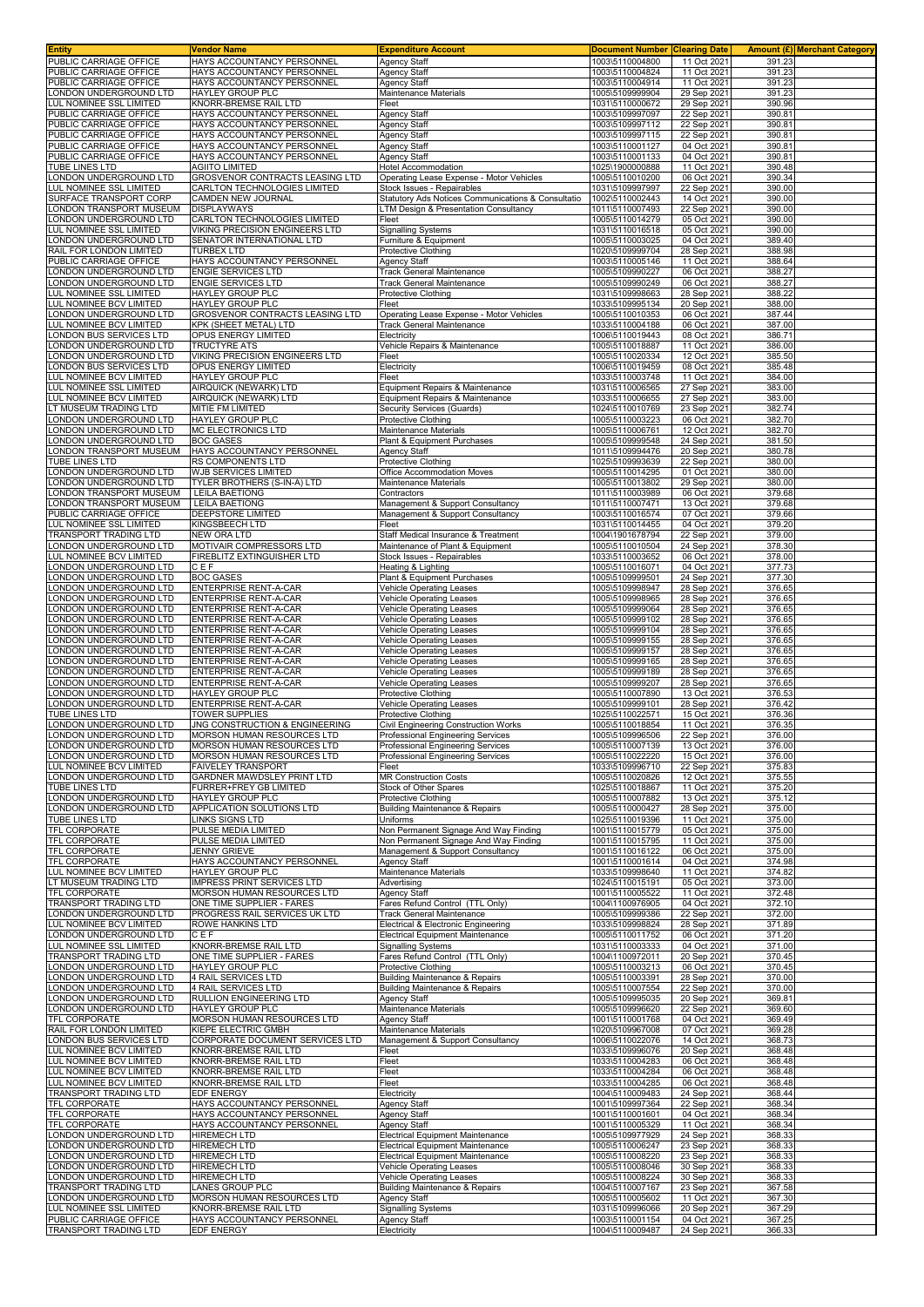| Entity                                                 | <b>Vendor Name</b>                                             | <b>Expenditure Account</b>                                           | <b>Document Number</b>             | <b>Clearing Date</b>       |                  | <b>Amount (£) Merchant Category</b> |
|--------------------------------------------------------|----------------------------------------------------------------|----------------------------------------------------------------------|------------------------------------|----------------------------|------------------|-------------------------------------|
| PUBLIC CARRIAGE OFFICE                                 | HAYS ACCOUNTANCY PERSONNEL                                     | <b>Agency Staff</b><br><b>Agency Staff</b>                           | 1003\5110004800                    | 11 Oct 2021                | 391.23           |                                     |
| PUBLIC CARRIAGE OFFICE<br>PUBLIC CARRIAGE OFFICE       | HAYS ACCOUNTANCY PERSONNEL<br>HAYS ACCOUNTANCY PERSONNEL       | Agency Staff                                                         | 1003\5110004824<br>1003\5110004914 | 11 Oct 2021<br>11 Oct 2021 | 391.23<br>391.23 |                                     |
| ONDON UNDERGROUND LTD                                  | HAYLEY GROUP PLC                                               | Maintenance Materials                                                | 1005\5109999904                    | 29 Sep 2021                | 391.23           |                                     |
| <b>UL NOMINEE SSL LIMITED</b>                          | KNORR-BREMSE RAIL LTD                                          | Fleet                                                                | 1031\5110000672                    | 29 Sep 2021                | 390.96           |                                     |
| PUBLIC CARRIAGE OFFICE                                 | HAYS ACCOUNTANCY PERSONNEL                                     | Agency Staff                                                         | 1003\5109997097                    | 22 Sep 2021                | 390.81           |                                     |
| PUBLIC CARRIAGE OFFICE                                 | HAYS ACCOUNTANCY PERSONNEL                                     | <b>Agency Staff</b>                                                  | 1003\5109997112                    | 22 Sep 2021                | 390.81           |                                     |
| PUBLIC CARRIAGE OFFICE                                 | HAYS ACCOUNTANCY PERSONNEL                                     | Agency Staff                                                         | 1003\5109997115                    | 22 Sep 202                 | 390.81           |                                     |
| PUBLIC CARRIAGE OFFICE<br>PUBLIC CARRIAGE OFFICE       | HAYS ACCOUNTANCY PERSONNEL<br>HAYS ACCOUNTANCY PERSONNEL       | Agency Staff<br>Agency Staff                                         | 1003\5110001127<br>1003\5110001133 | 04 Oct 2021<br>04 Oct 2021 | 390.81<br>390.81 |                                     |
| TUBE LINES LTD                                         | <b>AGIITO LIMITED</b>                                          | <b>Hotel Accommodation</b>                                           | 1025\1900000888                    | 11 Oct 2021                | 390.48           |                                     |
| ONDON UNDERGROUND LTD                                  | <b>GROSVENOR CONTRACTS LEASING LTD</b>                         | Operating Lease Expense - Motor Vehicles                             | 1005\5110010200                    | 06 Oct 202                 | 390.34           |                                     |
| UL NOMINEE SSL LIMITED                                 | CARLTON TECHNOLOGIES LIMITED                                   | Stock Issues - Repairables                                           | 1031\5109997997                    | 22 Sep 2021                | 390.00           |                                     |
| SURFACE TRANSPORT CORP                                 | CAMDEN NEW JOURNAL                                             | Statutory Ads Notices Communications & Consultatio                   | 1002\5110002443                    | 14 Oct 2021                | 390.00           |                                     |
| ONDON TRANSPORT MUSEUM                                 | <b>DISPLAYWAYS</b>                                             | LTM Design & Presentation Consultancy                                | 1011\5110007493                    | 22 Sep 2021                | 390.00           |                                     |
| ONDON UNDERGROUND LTD.<br>UL NOMINEE SSL LIMITED       | CARLTON TECHNOLOGIES LIMITED<br>VIKING PRECISION ENGINEERS LTD | Fleet<br><b>Signalling Systems</b>                                   | 1005\5110014279<br>1031\5110016518 | 05 Oct 2021<br>05 Oct 2021 | 390.00<br>390.00 |                                     |
| ONDON UNDERGROUND LTD                                  | SENATOR INTERNATIONAL LTD                                      | Furniture & Equipment                                                | 1005\5110003025                    | 04 Oct 2021                | 389.40           |                                     |
| RAIL FOR LONDON LIMITED                                | TURBEX LTD                                                     | Protective Clothing                                                  | 1020\5109999704                    | 28 Sep 2021                | 388.98           |                                     |
| PUBLIC CARRIAGE OFFICE                                 | HAYS ACCOUNTANCY PERSONNEL                                     | Agency Staff                                                         | 1003\5110005146                    | 11 Oct 2021                | 388.64           |                                     |
| ONDON UNDERGROUND LTD                                  | <b>ENGIE SERVICES LTD</b>                                      | Track General Maintenance                                            | 1005\5109990227                    | 06 Oct 2021                | 388.27           |                                     |
| ONDON UNDERGROUND LTD<br>UL NOMINEE SSL LIMITED        | <b>ENGIE SERVICES LTD</b><br>HAYLEY GROUP PLC                  | Track General Maintenance<br>Protective Clothing                     | 1005\5109990249<br>1031\5109998663 | 06 Oct 2021<br>28 Sep 2021 | 388.27<br>388.22 |                                     |
| UL NOMINEE BCV LIMITED                                 | HAYLEY GROUP PLC                                               | Fleet                                                                | 1033\5109995134                    | 20 Sep 2021                | 388.00           |                                     |
| ONDON UNDERGROUND LTD                                  | GROSVENOR CONTRACTS LEASING LTD                                | Operating Lease Expense - Motor Vehicles                             | 1005\5110010353                    | 06 Oct 2021                | 387.44           |                                     |
| UL NOMINEE BCV LIMITED                                 | KPK (SHEET METAL) LTD                                          | <b>Track General Maintenance</b>                                     | 1033\5110004188                    | 06 Oct 2021                | 387.00           |                                     |
| ONDON BUS SERVICES LTD                                 | OPUS ENERGY LIMITED                                            | Electricity                                                          | 1006\5110019443                    | 08 Oct 2021                | 386.71           |                                     |
| ONDON UNDERGROUND LTD<br>ONDON UNDERGROUND LTD         | <b>TRUCTYRE ATS</b><br>VIKING PRECISION ENGINEERS LTD          | Vehicle Repairs & Maintenance<br>Fleet                               | 1005\5110018887<br>1005\5110020334 | 11 Oct 2021<br>12 Oct 2021 | 386.00<br>385.50 |                                     |
| ONDON BUS SERVICES LTD                                 | OPUS ENERGY LIMITED                                            | Electricity                                                          | 1006\5110019459                    | 08 Oct 2021                | 385.48           |                                     |
| UL NOMINEE BCV LIMITED                                 | HAYLEY GROUP PLC                                               | Fleet                                                                | 1033\5110003748                    | 11 Oct 2021                | 384.00           |                                     |
| UL NOMINEE SSL LIMITED                                 | AIRQUICK (NEWARK) LTD                                          | Equipment Repairs & Maintenance                                      | 1031\5110006565                    | 27 Sep 2021                | 383.00           |                                     |
| UL NOMINEE BCV LIMITED                                 | AIRQUICK (NEWARK) LTD                                          | Equipment Repairs & Maintenance                                      | 1033\5110006655                    | 27 Sep 2021                | 383.00           |                                     |
| T MUSEUM TRADING LTD<br>ONDON UNDERGROUND LTD          | MITIE FM LIMITED<br>HAYLEY GROUP PLC                           | Security Services (Guards)<br>Protective Clothing                    | 1024\5110010769<br>1005\5110003223 | 23 Sep 2021<br>06 Oct 202  | 382.74<br>382.70 |                                     |
| ONDON UNDERGROUND LTD                                  | MC ELECTRONICS LTD                                             | Maintenance Materials                                                | 1005\5110006761                    | 12 Oct 2021                | 382.70           |                                     |
| ONDON UNDERGROUND LTD                                  | <b>BOC GASES</b>                                               | Plant & Equipment Purchases                                          | 1005\5109999548                    | 24 Sep 2021                | 381.50           |                                     |
| ONDON TRANSPORT MUSEUM                                 | HAYS ACCOUNTANCY PERSONNEL                                     | Agency Staff                                                         | 1011\5109994476                    | 20 Sep 2021                | 380.78           |                                     |
| TUBE LINES LTD                                         | RS COMPONENTS LTD                                              | Protective Clothing                                                  | 1025\5109993639                    | 22 Sep 2021                | 380.00           |                                     |
| ONDON UNDERGROUND LTD                                  | WJB SERVICES LIMITED                                           | Office Accommodation Moves                                           | 1005\5110014295                    | 01 Oct 2021                | 380.00           |                                     |
| ONDON UNDERGROUND LTD.<br>ONDON TRANSPORT MUSEUM       | TYLER BROTHERS (S-IN-A) LTD<br><b>LEILA BAETIONG</b>           | Maintenance Materials<br>Contractors                                 | 1005\5110013802<br>1011\5110003989 | 29 Sep 2021<br>06 Oct 2021 | 380.00<br>379.68 |                                     |
| ONDON TRANSPORT MUSEUM.                                | <b>LEILA BAETIONG</b>                                          | Management & Support Consultancy                                     | 1011\5110007471                    | 13 Oct 2021                | 379.68           |                                     |
| PUBLIC CARRIAGE OFFICE                                 | DEEPSTORE LIMITED                                              | Management & Support Consultancy                                     | 1003\5110016574                    | 07 Oct 2021                | 379.66           |                                     |
| UL NOMINEE SSL LIMITED                                 | KINGSBEECH LTD                                                 | Fleet                                                                | 1031\5110014455                    | 04 Oct 2021                | 379.20           |                                     |
| <b>FRANSPORT TRADING LTD</b>                           | NEW ORA LTD                                                    | Staff Medical Insurance & Treatment                                  | 1004\1901678794                    | 22 Sep 2021                | 379.00           |                                     |
| ONDON UNDERGROUND LTD.                                 | MOTIVAIR COMPRESSORS LTD                                       | Maintenance of Plant & Equipment                                     | 1005\5110010504                    | 24 Sep 2021                | 378.30           |                                     |
| <b>UL NOMINEE BCV LIMITED</b><br>ONDON UNDERGROUND LTD | FIREBLITZ EXTINGUISHER LTD<br>CEF                              | Stock Issues - Repairables<br>Heating & Lighting                     | 1033\5110003652<br>1005\5110016071 | 06 Oct 2021<br>04 Oct 2021 | 378.00<br>377.73 |                                     |
| ONDON UNDERGROUND LTD                                  | <b>BOC GASES</b>                                               | Plant & Equipment Purchases                                          | 1005\5109999501                    | 24 Sep 2021                | 377.30           |                                     |
| ONDON UNDERGROUND LTD                                  | ENTERPRISE RENT-A-CAR                                          | <b>Vehicle Operating Leases</b>                                      | 1005\5109998947                    | 28 Sep 2021                | 376.65           |                                     |
| ONDON UNDERGROUND LTD                                  | ENTERPRISE RENT-A-CAR                                          | <b>Vehicle Operating Leases</b>                                      | 1005\5109998965                    | 28 Sep 2021                | 376.65           |                                     |
| ONDON UNDERGROUND LTD                                  | ENTERPRISE RENT-A-CAR                                          | Vehicle Operating Leases                                             | 1005\5109999064                    | 28 Sep 2021                | 376.65           |                                     |
| ONDON UNDERGROUND LTD.                                 | <b>ENTERPRISE RENT-A-CAR</b>                                   | Vehicle Operating Leases                                             | 1005\5109999102                    | 28 Sep 2021                | 376.65           |                                     |
| ONDON UNDERGROUND LTD<br>ONDON UNDERGROUND LTD.        | ENTERPRISE RENT-A-CAR<br>ENTERPRISE RENT-A-CAR                 | <b>Vehicle Operating Leases</b><br>Vehicle Operating Leases          | 1005\5109999104<br>1005\5109999155 | 28 Sep 2021<br>28 Sep 2021 | 376.65<br>376.65 |                                     |
| ONDON UNDERGROUND LTD                                  | ENTERPRISE RENT-A-CAR                                          | <b>Vehicle Operating Leases</b>                                      | 1005\5109999157                    | 28 Sep 2021                | 376.65           |                                     |
| ONDON UNDERGROUND LTD.                                 | ENTERPRISE RENT-A-CAR                                          | Vehicle Operating Leases                                             | 1005\5109999165                    | 28 Sep 202                 | 376.65           |                                     |
| ONDON UNDERGROUND LTD                                  | ENTERPRISE RENT-A-CAR                                          | Vehicle Operating Leases                                             | 1005\5109999189                    | 28 Sep 2021                | 376.65           |                                     |
| ONDON UNDERGROUND LTD                                  | ENTERPRISE RENT-A-CAR                                          | Vehicle Operating Leases                                             | 1005\5109999207                    | 28 Sep 2021                | 376.65           |                                     |
| ONDON UNDERGROUND LTD<br>ONDON UNDERGROUND LTD         | HAYLEY GROUP PLC<br><b>ENTERPRISE RENT-A-CAR</b>               | Protective Clothing<br>Vehicle Operating Leases                      | 1005\5110007890<br>1005\5109999101 | 13 Oct 2021<br>28 Sep 2021 | 376.53<br>376.42 |                                     |
| <b>TUBE LINES LTD</b>                                  | TOWER SUPPLIES                                                 | Protective Clothing                                                  | 1025\5110022571                    | 15 Oct 2021                | 376.36           |                                     |
| ONDON UNDERGROUND LTD                                  | JNG CONSTRUCTION & ENGINEERING                                 | Civil Engineering Construction Works                                 | 1005\5110018854                    | 11 Oct 2021                | 376.35           |                                     |
| ONDON UNDERGROUND LTD                                  | MORSON HUMAN RESOURCES LTD                                     | Professional Engineering Services                                    | 1005\5109996506                    | 22 Sep 2021                | 376.00           |                                     |
| LONDON UNDERGROUND LTD                                 | MORSON HUMAN RESOURCES LTD                                     | Professional Engineering Services                                    | 1005\5110007139                    | 13 Oct 2021                | 376.00           |                                     |
| ONDON UNDERGROUND LTD<br>UL NOMINEE BCV LIMITED        | MORSON HUMAN RESOURCES LTD<br><b>FAIVELEY TRANSPORT</b>        | Professional Engineering Services<br>Fleet                           | 1005\5110022220<br>1033\5109996710 | 15 Oct 2021<br>22 Sep 2021 | 376.00<br>375.83 |                                     |
| ONDON UNDERGROUND LTD                                  | GARDNER MAWDSLEY PRINT LTD                                     | <b>MR Construction Costs</b>                                         | 1005\5110020826                    | 12 Oct 2021                | 375.55           |                                     |
| TUBE LINES LTD                                         | FURRER+FREY GB LIMITED                                         | Stock of Other Spares                                                | 1025\5110018867                    | 11 Oct 2021                | 375.20           |                                     |
| ONDON UNDERGROUND LTD                                  | HAYLEY GROUP PLC                                               | Protective Clothing                                                  | 1005\5110007882                    | 13 Oct 2021                | 375.12           |                                     |
| ONDON UNDERGROUND LTD                                  | APPLICATION SOLUTIONS LTD                                      | Building Maintenance & Repairs                                       | 1005\5110000427                    | 28 Sep 2021                | 375.00           |                                     |
| TUBE LINES LTD<br>TFL CORPORATE                        | LINKS SIGNS LTD<br>PULSE MEDIA LIMITED                         | Uniforms<br>Non Permanent Signage And Way Finding                    | 1025\5110019396<br>1001\5110015779 | 11 Oct 2021<br>05 Oct 2021 | 375.00<br>375.00 |                                     |
| TFL CORPORATE                                          | PULSE MEDIA LIMITED                                            | Non Permanent Signage And Way Finding                                | 1001\5110015795                    | 11 Oct 2021                | 375.00           |                                     |
| TFL CORPORATE                                          | <b>JENNY GRIEVE</b>                                            | Management & Support Consultancy                                     | 1001\5110016122                    | 06 Oct 2021                | 375.00           |                                     |
| TFL CORPORATE                                          | HAYS ACCOUNTANCY PERSONNEL                                     | Agency Staff                                                         | 1001\5110001614                    | 04 Oct 2021                | 374.98           |                                     |
| LUL NOMINEE BCV LIMITED<br>T MUSEUM TRADING LTD        | HAYLEY GROUP PLC<br><b>IMPRESS PRINT SERVICES LTD</b>          | Maintenance Materials                                                | 1033\5109998640<br>1024\5110015191 | 11 Oct 2021<br>05 Oct 2021 | 374.82<br>373.00 |                                     |
| TFL CORPORATE                                          | MORSON HUMAN RESOURCES LTD                                     | Advertising<br>Agency Staff                                          | 1001\5110005522                    | 11 Oct 2021                | 372.48           |                                     |
| TRANSPORT TRADING LTD                                  | ONE TIME SUPPLIER - FARES                                      | Fares Refund Control (TTL Only)                                      | 1004\1100976905                    | 04 Oct 2021                | 372.10           |                                     |
| ONDON UNDERGROUND LTD                                  | PROGRESS RAIL SERVICES UK LTD                                  | Track General Maintenance                                            | 1005\5109999386                    | 22 Sep 2021                | 372.00           |                                     |
| UL NOMINEE BCV LIMITED                                 | ROWE HANKINS LTD                                               | Electrical & Electronic Engineering                                  | 1033\5109998824                    | 28 Sep 2021                | 371.89           |                                     |
| ONDON UNDERGROUND LTD<br>UL NOMINEE SSL LIMITED        | CEF<br>KNORR-BREMSE RAIL LTD                                   | <b>Electrical Equipment Maintenance</b><br><b>Signalling Systems</b> | 1005\5110011752<br>1031\5110003333 | 06 Oct 2021<br>04 Oct 2021 | 371.20<br>371.00 |                                     |
| TRANSPORT TRADING LTD                                  | ONE TIME SUPPLIER - FARES                                      | Fares Refund Control (TTL Only)                                      | 1004\1100972011                    | 20 Sep 2021                | 370.45           |                                     |
| ONDON UNDERGROUND LTD                                  | HAYLEY GROUP PLC                                               | Protective Clothing                                                  | 1005\5110003213                    | 06 Oct 2021                | 370.45           |                                     |
| ONDON UNDERGROUND LTD                                  | 4 RAIL SERVICES LTD                                            | <b>Building Maintenance &amp; Repairs</b>                            | 1005\5110003391                    | 28 Sep 2021                | 370.00           |                                     |
| ONDON UNDERGROUND LTD                                  | 4 RAIL SERVICES LTD                                            | <b>Building Maintenance &amp; Repairs</b>                            | 1005\5110007554                    | 22 Sep 2021                | 370.00           |                                     |
| ONDON UNDERGROUND LTD<br>ONDON UNDERGROUND LTD         | RULLION ENGINEERING LTD<br>HAYLEY GROUP PLC                    | Agency Staff<br>Maintenance Materials                                | 1005\5109995035<br>1005\5109996620 | 20 Sep 2021<br>22 Sep 2021 | 369.81<br>369.60 |                                     |
| TFL CORPORATE                                          | MORSON HUMAN RESOURCES LTD                                     | Agency Staff                                                         | 1001\5110001768                    | 04 Oct 2021                | 369.49           |                                     |
| RAIL FOR LONDON LIMITED                                | KIEPE ELECTRIC GMBH                                            | Maintenance Materials                                                | 1020\5109967008                    | 07 Oct 2021                | 369.28           |                                     |
| ONDON BUS SERVICES LTD                                 | CORPORATE DOCUMENT SERVICES LTD                                | Management & Support Consultancy                                     | 1006\5110022076                    | 14 Oct 2021                | 368.73           |                                     |
| UL NOMINEE BCV LIMITED                                 | KNORR-BREMSE RAIL LTD                                          | Fleet                                                                | 1033\5109996076                    | 20 Sep 2021                | 368.48           |                                     |
| UL NOMINEE BCV LIMITED                                 | KNORR-BREMSE RAIL LTD<br>KNORR-BREMSE RAIL LTD                 | Fleet<br>Fleet                                                       | 1033\5110004283<br>1033\5110004284 | 06 Oct 2021<br>06 Oct 2021 | 368.48<br>368.48 |                                     |
| LUL NOMINEE BCV LIMITED<br>LUL NOMINEE BCV LIMITED     | KNORR-BREMSE RAIL LTD                                          | Fleet                                                                | 1033\5110004285                    | 06 Oct 2021                | 368.48           |                                     |
| TRANSPORT TRADING LTD                                  | EDF ENERGY                                                     | Electricity                                                          | 1004\5110009483                    | 24 Sep 2021                | 368.44           |                                     |
| TFL CORPORATE                                          | HAYS ACCOUNTANCY PERSONNEL                                     | Agency Staff                                                         | 1001\5109997364                    | 22 Sep 2021                | 368.34           |                                     |
| TFL CORPORATE                                          | HAYS ACCOUNTANCY PERSONNEL                                     | Agency Staff                                                         | 1001\5110001601                    | 04 Oct 2021                | 368.34           |                                     |
| <b>TFL CORPORATE</b>                                   | HAYS ACCOUNTANCY PERSONNEL<br><b>HIREMECH LTD</b>              | Agency Staff<br>Electrical Equipment Maintenance                     | 1001\5110005329                    | 11 Oct 2021                | 368.34<br>368.33 |                                     |
| ONDON UNDERGROUND LTD<br>ONDON UNDERGROUND LTD         | <b>HIREMECH LTD</b>                                            | <b>Electrical Equipment Maintenance</b>                              | 1005\5109977929<br>1005\5110006247 | 24 Sep 2021<br>23 Sep 2021 | 368.33           |                                     |
| ONDON UNDERGROUND LTD                                  | <b>HIREMECH LTD</b>                                            | <b>Electrical Equipment Maintenance</b>                              | 1005\5110008220                    | 23 Sep 2021                | 368.33           |                                     |
| ONDON UNDERGROUND LTD                                  | <b>HIREMECH LTD</b>                                            | Vehicle Operating Leases                                             | 1005\5110008046                    | 30 Sep 2021                | 368.33           |                                     |
| ONDON UNDERGROUND LTD                                  | HIREMECH LTD                                                   | Vehicle Operating Leases                                             | 1005\5110008224                    | 30 Sep 2021                | 368.33           |                                     |
| TRANSPORT TRADING LTD                                  | LANES GROUP PLC                                                | <b>Building Maintenance &amp; Repairs</b>                            | 1004\5110007167                    | 23 Sep 2021                | 367.58           |                                     |
| ONDON UNDERGROUND LTD<br>UL NOMINEE SSL LIMITED        | MORSON HUMAN RESOURCES LTD<br>KNORR-BREMSE RAIL LTD            | Agency Staff<br><b>Signalling Systems</b>                            | 1005\5110005602<br>1031\5109996066 | 11 Oct 2021<br>20 Sep 2021 | 367.30<br>367.29 |                                     |
| PUBLIC CARRIAGE OFFICE                                 | HAYS ACCOUNTANCY PERSONNEL                                     | <b>Agency Staff</b>                                                  | 1003\5110001154                    | 04 Oct 2021                | 367.25           |                                     |
| <b>TRANSPORT TRADING LTD</b>                           | EDF ENERGY                                                     | Electricity                                                          | 1004\5110009487                    | 24 Sep 2021                | 366.33           |                                     |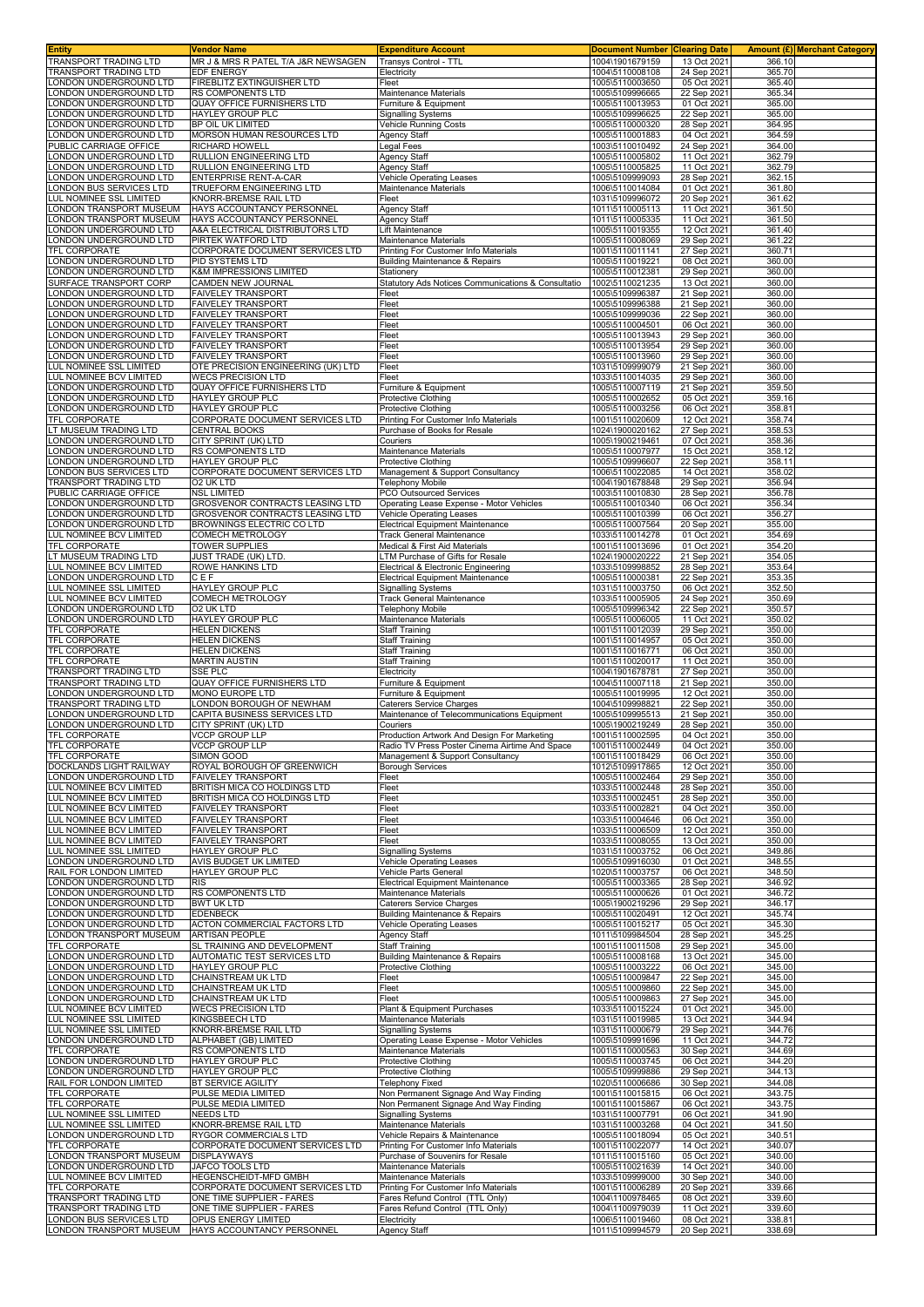| Entity                                                 | <b>Vendor Name</b>                                              | <b>Expenditure Account</b>                                                         | <b>Document Number</b>             | <b>Clearing Date</b><br>13 Oct 2021 |                  | <b>Amount (£) Merchant Category</b> |
|--------------------------------------------------------|-----------------------------------------------------------------|------------------------------------------------------------------------------------|------------------------------------|-------------------------------------|------------------|-------------------------------------|
| TRANSPORT TRADING LTD<br><b>FRANSPORT TRADING LTD</b>  | MR J & MRS R PATEL T/A J&R NEWSAGEN<br>EDF ENERGY               | Transys Control - TTL<br>Electricity                                               | 1004\1901679159<br>1004\5110008108 | 24 Sep 2021                         | 366.10<br>365.70 |                                     |
| ONDON UNDERGROUND LTD                                  | FIREBLITZ EXTINGUISHER LTD                                      | Fleet                                                                              | 1005\5110003650                    | 05 Oct 2021                         | 365.40           |                                     |
| ONDON UNDERGROUND LTD                                  | RS COMPONENTS LTD                                               | Maintenance Materials                                                              | 1005\5109996665                    | 22 Sep 2021                         | 365.34           |                                     |
| ONDON UNDERGROUND LTD<br>ONDON UNDERGROUND LTD         | <b>QUAY OFFICE FURNISHERS LTD</b><br>HAYLEY GROUP PLC           | Furniture & Equipment<br>Signalling Systems                                        | 1005\5110013953<br>1005\5109996625 | 01 Oct 2021<br>22 Sep 2021          | 365.00<br>365.00 |                                     |
| ONDON UNDERGROUND LTD                                  | BP OIL UK LIMITED                                               | Vehicle Running Costs                                                              | 1005\5110000320                    | 28 Sep 2021                         | 364.95           |                                     |
| ONDON UNDERGROUND LTD                                  | MORSON HUMAN RESOURCES LTD                                      | <b>Agency Staff</b>                                                                | 1005\5110001883                    | 04 Oct 2021                         | 364.59           |                                     |
| PUBLIC CARRIAGE OFFICE<br>ONDON UNDERGROUND LTD        | <b>RICHARD HOWELL</b><br>RULLION ENGINEERING LTD                | Legal Fees<br>Agency Staff                                                         | 1003\5110010492<br>1005\5110005802 | 24 Sep 2021<br>11 Oct 2021          | 364.00<br>362.79 |                                     |
| ONDON UNDERGROUND LTD                                  | RULLION ENGINEERING LTD                                         | Agency Staff                                                                       | 1005\5110005825                    | 11 Oct 2021                         | 362.79           |                                     |
| ONDON UNDERGROUND LTD.                                 | <b>ENTERPRISE RENT-A-CAR</b>                                    | <b>Vehicle Operating Leases</b>                                                    | 1005\5109999093                    | 28 Sep 2021                         | 362.15           |                                     |
| ONDON BUS SERVICES LTD<br>UL NOMINEE SSL LIMITED       | TRUEFORM ENGINEERING LTD<br><b>KNORR-BREMSE RAIL LTD</b>        | Maintenance Materials<br>Fleet                                                     | 1006\5110014084<br>1031\5109996072 | 01 Oct 2021<br>20 Sep 2021          | 361.80<br>361.62 |                                     |
| ONDON TRANSPORT MUSEUM                                 | HAYS ACCOUNTANCY PERSONNEL                                      | <b>Agency Staff</b>                                                                | 1011\5110005113                    | 11 Oct 2021                         | 361.50           |                                     |
| ONDON TRANSPORT MUSEUM.                                | HAYS ACCOUNTANCY PERSONNEL                                      | Agency Staff                                                                       | 1011\5110005335                    | 11 Oct 2021                         | 361.50           |                                     |
| ONDON UNDERGROUND LTD<br>ONDON UNDERGROUND LTD         | A&A ELECTRICAL DISTRIBUTORS LTD<br>PIRTEK WATFORD LTD           | Lift Maintenance<br>Maintenance Materials                                          | 1005\5110019355<br>1005\5110008069 | 12 Oct 2021<br>29 Sep 2021          | 361.40<br>361.22 |                                     |
| <b>TFL CORPORATE</b>                                   | CORPORATE DOCUMENT SERVICES LTD                                 | Printing For Customer Info Materials                                               | 1001\5110011141                    | 27 Sep 2021                         | 360.71           |                                     |
| ONDON UNDERGROUND LTD                                  | PID SYSTEMS LTD                                                 | <b>Building Maintenance &amp; Repairs</b>                                          | 1005\5110019221                    | 08 Oct 2021                         | 360.00           |                                     |
| ONDON UNDERGROUND LTD<br>SURFACE TRANSPORT CORP        | K&M IMPRESSIONS LIMITED<br>CAMDEN NEW JOURNAL                   | Stationery<br>Statutory Ads Notices Communications & Consultatio                   | 1005\5110012381<br>1002\5110021235 | 29 Sep 2021<br>13 Oct 2021          | 360.00<br>360.00 |                                     |
| ONDON UNDERGROUND LTD                                  | <b>FAIVELEY TRANSPORT</b>                                       | Fleet                                                                              | 1005\5109996387                    | 21 Sep 2021                         | 360.00           |                                     |
| ONDON UNDERGROUND LTD.                                 | <b>FAIVELEY TRANSPORT</b>                                       | Fleet                                                                              | 1005\5109996388                    | 21 Sep 2021                         | 360.00           |                                     |
| ONDON UNDERGROUND LTD<br>ONDON UNDERGROUND LTD         | <b>FAIVELEY TRANSPORT</b><br><b>FAIVELEY TRANSPORT</b>          | Fleet<br>Fleet                                                                     | 1005\5109999036<br>1005\5110004501 | 22 Sep 2021<br>06 Oct 2021          | 360.00<br>360.00 |                                     |
| ONDON UNDERGROUND LTD                                  | <b>FAIVELEY TRANSPORT</b>                                       | Fleet                                                                              | 1005\5110013943                    | 29 Sep 2021                         | 360.00           |                                     |
| ONDON UNDERGROUND LTD                                  | <b>FAIVELEY TRANSPORT</b>                                       | Fleet                                                                              | 1005\5110013954                    | 29 Sep 2021                         | 360.00           |                                     |
| ONDON UNDERGROUND LTD                                  | <b>FAIVELEY TRANSPORT</b>                                       | Fleet                                                                              | 1005\5110013960                    | 29 Sep 2021<br>21 Sep 2021          | 360.00<br>360.00 |                                     |
| UL NOMINEE SSL LIMITED<br>UL NOMINEE BCV LIMITED       | OTE PRECISION ENGINEERING (UK) LTD<br><b>WECS PRECISION LTD</b> | Fleet<br>Fleet                                                                     | 1031\5109999079<br>1033\5110014035 | 29 Sep 2021                         | 360.00           |                                     |
| ONDON UNDERGROUND LTD                                  | QUAY OFFICE FURNISHERS LTD                                      | Furniture & Equipment                                                              | 1005\5110007119                    | 21 Sep 2021                         | 359.50           |                                     |
| ONDON UNDERGROUND LTD                                  | HAYLEY GROUP PLC                                                | Protective Clothing                                                                | 1005\5110002652                    | 05 Oct 2021                         | 359.16           |                                     |
| ONDON UNDERGROUND LTD<br>TFL CORPORATE                 | HAYLEY GROUP PLC<br>CORPORATE DOCUMENT SERVICES LTD             | Protective Clothing<br>Printing For Customer Info Materials                        | 1005\5110003256<br>1001\5110020609 | 06 Oct 2021<br>12 Oct 2021          | 358.8'<br>358.74 |                                     |
| T MUSEUM TRADING LTD                                   | CENTRAL BOOKS                                                   | Purchase of Books for Resale                                                       | 1024\1900020162                    | 27 Sep 2021                         | 358.53           |                                     |
| ONDON UNDERGROUND LTD                                  | CITY SPRINT (UK) LTD                                            | Couriers                                                                           | 1005\1900219461                    | 07 Oct 2021                         | 358.36           |                                     |
| ONDON UNDERGROUND LTD<br>ONDON UNDERGROUND LTD         | RS COMPONENTS LTD<br><b>HAYLEY GROUP PLC</b>                    | Maintenance Materials<br>Protective Clothing                                       | 1005\5110007977<br>1005\5109996607 | 15 Oct 2021<br>22 Sep 2021          | 358.12<br>358.11 |                                     |
| ONDON BUS SERVICES LTD                                 | CORPORATE DOCUMENT SERVICES LTD                                 | Management & Support Consultancy                                                   | 1006\5110022085                    | 14 Oct 2021                         | 358.02           |                                     |
| <b>FRANSPORT TRADING LTD</b><br>PUBLIC CARRIAGE OFFICE | O2 UK LTD<br><b>NSL LIMITED</b>                                 | <b>Telephony Mobile</b><br><b>PCO Outsourced Services</b>                          | 1004\1901678848                    | 29 Sep 2021                         | 356.94<br>356.78 |                                     |
| ONDON UNDERGROUND LTD                                  | <b>GROSVENOR CONTRACTS LEASING LTD</b>                          | Operating Lease Expense - Motor Vehicles                                           | 1003\5110010830<br>1005\5110010340 | 28 Sep 2021<br>06 Oct 2021          | 356.34           |                                     |
| ONDON UNDERGROUND LTD                                  | GROSVENOR CONTRACTS LEASING LTD                                 | Vehicle Operating Leases                                                           | 1005\5110010399                    | 06 Oct 2021                         | 356.27           |                                     |
| ONDON UNDERGROUND LTD                                  | BROWNINGS ELECTRIC CO LTD                                       | <b>Electrical Equipment Maintenance</b>                                            | 1005\5110007564                    | 20 Sep 2021                         | 355.00           |                                     |
| UL NOMINEE BCV LIMITED<br>TFL CORPORATE                | COMECH METROLOGY<br><b>TOWER SUPPLIES</b>                       | <b>Track General Maintenance</b><br>Medical & First Aid Materials                  | 1033\5110014278<br>1001\5110013696 | 01 Oct 2021<br>01 Oct 2021          | 354.69<br>354.20 |                                     |
| T MUSEUM TRADING LTD                                   | JUST TRADE (UK) LTD                                             | LTM Purchase of Gifts for Resale                                                   | 1024\1900020222                    | 21 Sep 2021                         | 354.05           |                                     |
| UL NOMINEE BCV LIMITED                                 | ROWE HANKINS LTD                                                | Electrical & Electronic Engineering                                                | 1033\5109998852                    | 28 Sep 2021                         | 353.64           |                                     |
| ONDON UNDERGROUND LTD<br><u>UL NOMINEE SSL LIMITED</u> | CEF<br><b>HAYLEY GROUP PLC</b>                                  | <b>Electrical Equipment Maintenance</b><br><b>Signalling Systems</b>               | 1005\5110000381<br>1031\5110003750 | 22 Sep 2021<br>06 Oct 2021          | 353.35<br>352.50 |                                     |
| UL NOMINEE BCV LIMITED                                 | COMECH METROLOGY                                                | Track General Maintenance                                                          | 1033\5110005905                    | 24 Sep 2021                         | 350.69           |                                     |
| ONDON UNDERGROUND LTD                                  | O2 UK LTD                                                       | <b>Telephony Mobile</b>                                                            | 1005\5109996342                    | 22 Sep 2021                         | 350.57           |                                     |
| ONDON UNDERGROUND LTD<br><b>TFL CORPORATE</b>          | HAYLEY GROUP PLC<br><b>HELEN DICKENS</b>                        | Maintenance Materials<br>Staff Training                                            | 1005\5110006005<br>1001\5110012039 | 11 Oct 2021<br>29 Sep 2021          | 350.02<br>350.00 |                                     |
| TFL CORPORATE                                          | <b>HELEN DICKENS</b>                                            | Staff Training                                                                     | 1001\5110014957                    | 05 Oct 2021                         | 350.00           |                                     |
| TFL CORPORATE                                          | <b>HELEN DICKENS</b>                                            | <b>Staff Training</b>                                                              | 1001\5110016771                    | 06 Oct 2021                         | 350.00           |                                     |
| TFL CORPORATE<br>TRANSPORT TRADING LTD                 | <b>MARTIN AUSTIN</b><br>SSE PLC                                 | Staff Training<br>Electricity                                                      | 1001\5110020017<br>1004\1901678781 | 11 Oct 2021<br>27 Sep 2021          | 350.00<br>350.00 |                                     |
| TRANSPORT TRADING LTD                                  | QUAY OFFICE FURNISHERS LTD                                      | Furniture & Equipment                                                              | 1004\5110007118                    | 21 Sep 2021                         | 350.00           |                                     |
| ONDON UNDERGROUND LTD<br>TRANSPORT TRADING LTD         | MONO EUROPE LTD<br>LONDON BOROUGH OF NEWHAM                     | Furniture & Equipment<br>Caterers Service Charges                                  | 1005\5110019995                    | 12 Oct 2021                         | 350.00           |                                     |
| ONDON UNDERGROUND LTD                                  | CAPITA BUSINESS SERVICES LTD                                    | Maintenance of Telecommunications Equipment                                        | 1004\5109998821<br>1005\5109995513 | 22 Sep 2021<br>21 Sep 2021          | 350.00<br>350.00 |                                     |
| ONDON UNDERGROUND LTD                                  | CITY SPRINT (UK) LTD                                            | Couriers                                                                           | 1005\1900219249                    | 28 Sep 2021                         | 350.00           |                                     |
| <b>TFL CORPORATE</b>                                   | <b>VCCP GROUP LLP</b><br><b>VCCP GROUP LLP</b>                  | Production Artwork And Design For Marketing                                        | 1001\5110002595                    | 04 Oct 2021<br>04 Oct 2021          | 350.00<br>350.00 |                                     |
| TFL CORPORATE<br>TFL CORPORATE                         | SIMON GOOD                                                      | Radio TV Press Poster Cinema Airtime And Space<br>Management & Support Consultancy | 1001\5110002449<br>1001\5110018429 | 06 Oct 2021                         | 350.00           |                                     |
| DOCKLANDS LIGHT RAILWAY                                | ROYAL BOROUGH OF GREENWICH                                      | <b>Borough Services</b>                                                            | 1012\5109917865                    | 12 Oct 2021                         | 350.00           |                                     |
| ONDON UNDERGROUND LTD<br>LUL NOMINEE BCV LIMITED       | <b>FAIVELEY TRANSPORT</b><br>BRITISH MICA CO HOLDINGS LTD       | Fleet<br>Fleet                                                                     | 1005\5110002464<br>1033\5110002448 | 29 Sep 2021<br>28 Sep 2021          | 350.00<br>350.00 |                                     |
| LUL NOMINEE BCV LIMITED                                | BRITISH MICA CO HOLDINGS LTD                                    | Fleet                                                                              | 1033\5110002451                    | 28 Sep 2021                         | 350.00           |                                     |
| <b>UL NOMINEE BCV LIMITED</b>                          | <b>FAIVELEY TRANSPORT</b>                                       | Fleet                                                                              | 1033\5110002821                    | 04 Oct 2021                         | 350.00           |                                     |
| UL NOMINEE BCV LIMITED<br>LUL NOMINEE BCV LIMITED      | <b>FAIVELEY TRANSPORT</b><br><b>FAIVELEY TRANSPORT</b>          | Fleet<br>Fleet                                                                     | 1033\5110004646<br>1033\5110006509 | 06 Oct 2021<br>12 Oct 2021          | 350.00<br>350.00 |                                     |
| <b>UL NOMINEE BCV LIMITED</b>                          | <b>FAIVELEY TRANSPORT</b>                                       | Fleet                                                                              | 1033\5110008055                    | 13 Oct 2021                         | 350.00           |                                     |
| UL NOMINEE SSL LIMITED                                 | HAYLEY GROUP PLC                                                | <b>Signalling Systems</b>                                                          | 1031\5110003752                    | 06 Oct 2021                         | 349.86           |                                     |
| ONDON UNDERGROUND LTD<br>RAIL FOR LONDON LIMITED       | AVIS BUDGET UK LIMITED<br><b>HAYLEY GROUP PLC</b>               | <b>Vehicle Operating Leases</b><br>Vehicle Parts General                           | 1005\5109916030<br>1020\5110003757 | 01 Oct 2021<br>06 Oct 2021          | 348.55<br>348.50 |                                     |
| ONDON UNDERGROUND LTD                                  | <b>RIS</b>                                                      | <b>Electrical Equipment Maintenance</b>                                            | 1005\5110003365                    | 28 Sep 2021                         | 346.92           |                                     |
| ONDON UNDERGROUND LTD                                  | RS COMPONENTS LTD                                               | Maintenance Materials                                                              | 1005\5110000626                    | 01 Oct 2021                         | 346.72           |                                     |
| ONDON UNDERGROUND LTD<br>ONDON UNDERGROUND LTD         | <b>BWT UK LTD</b><br><b>EDENBECK</b>                            | <b>Caterers Service Charges</b><br>Building Maintenance & Repairs                  | 1005\1900219296<br>1005\5110020491 | 29 Sep 2021<br>12 Oct 2021          | 346.17<br>345.74 |                                     |
| ONDON UNDERGROUND LTD                                  | ACTON COMMERCIAL FACTORS LTD                                    | <b>Vehicle Operating Leases</b>                                                    | 1005\5110015217                    | 05 Oct 2021                         | 345.30           |                                     |
| ONDON TRANSPORT MUSEUM                                 | <b>ARTISAN PEOPLE</b>                                           | Agency Staff                                                                       | 1011\5109984504                    | 28 Sep 2021                         | 345.25           |                                     |
| TFL CORPORATE<br>ONDON UNDERGROUND LTD                 | SL TRAINING AND DEVELOPMENT<br>AUTOMATIC TEST SERVICES LTD      | <b>Staff Training</b><br>Building Maintenance & Repairs                            | 1001\5110011508<br>1005\5110008168 | 29 Sep 2021<br>13 Oct 2021          | 345.00<br>345.00 |                                     |
| ONDON UNDERGROUND LTD                                  | <b>HAYLEY GROUP PLC</b>                                         | Protective Clothing                                                                | 1005\5110003222                    | 06 Oct 2021                         | 345.00           |                                     |
| ONDON UNDERGROUND LTD                                  | CHAINSTREAM UK LTD                                              | Fleet                                                                              | 1005\5110009847                    | 22 Sep 2021                         | 345.00           |                                     |
| ONDON UNDERGROUND LTD<br>ONDON UNDERGROUND LTD         | CHAINSTREAM UK LTD<br>CHAINSTREAM UK LTD                        | Fleet<br>Fleet                                                                     | 1005\5110009860<br>1005\5110009863 | 22 Sep 2021<br>27 Sep 2021          | 345.00<br>345.00 |                                     |
| UL NOMINEE BCV LIMITED                                 | <b>WECS PRECISION LTD</b>                                       | Plant & Equipment Purchases                                                        | 1033\5110015224                    | 01 Oct 2021                         | 345.00           |                                     |
| UL NOMINEE SSL LIMITED                                 | KINGSBEECH LTD                                                  | Maintenance Materials                                                              | 1031\5110019985                    | 13 Oct 2021                         | 344.94           |                                     |
| LUL NOMINEE SSL LIMITED<br>ONDON UNDERGROUND LTD       | KNORR-BREMSE RAIL LTD<br>ALPHABET (GB) LIMITED                  | <b>Signalling Systems</b><br>Operating Lease Expense - Motor Vehicles              | 1031\5110000679<br>1005\5109991696 | 29 Sep 2021<br>11 Oct 2021          | 344.76<br>344.72 |                                     |
| TFL CORPORATE                                          | RS COMPONENTS LTD                                               | Maintenance Materials                                                              | 1001\5110000563                    | 30 Sep 2021                         | 344.69           |                                     |
| ONDON UNDERGROUND LTD                                  | HAYLEY GROUP PLC                                                | Protective Clothing                                                                | 1005\5110003745                    | 06 Oct 2021                         | 344.20<br>344.13 |                                     |
| ONDON UNDERGROUND LTD<br>RAIL FOR LONDON LIMITED       | <b>HAYLEY GROUP PLC</b><br>BT SERVICE AGILITY                   | Protective Clothing<br>Telephony Fixed                                             | 1005\5109999886<br>1020\5110006686 | 29 Sep 2021<br>30 Sep 2021          | 344.08           |                                     |
| TFL CORPORATE                                          | PULSE MEDIA LIMITED                                             | Non Permanent Signage And Way Finding                                              | 1001\5110015815                    | 06 Oct 2021                         | 343.75           |                                     |
| TFL CORPORATE                                          | PULSE MEDIA LIMITED                                             | Non Permanent Signage And Way Finding                                              | 1001\5110015867                    | 06 Oct 2021                         | 343.75           |                                     |
| LUL NOMINEE SSL LIMITED<br>UL NOMINEE SSL LIMITED      | NEEDS LTD<br>KNORR-BREMSE RAIL LTD                              | <b>Signalling Systems</b><br>Maintenance Materials                                 | 1031\5110007791<br>1031\5110003268 | 06 Oct 2021<br>04 Oct 2021          | 341.90<br>341.50 |                                     |
| ONDON UNDERGROUND LTD                                  | RYGOR COMMERCIALS LTD                                           | Vehicle Repairs & Maintenance                                                      | 1005\5110018094                    | 05 Oct 2021                         | 340.51           |                                     |
| TFL CORPORATE<br>ONDON TRANSPORT MUSEUM                | CORPORATE DOCUMENT SERVICES LTD<br><b>DISPLAYWAYS</b>           | Printing For Customer Info Materials<br>Purchase of Souvenirs for Resale           | 1001\5110022077<br>1011\5110015160 | 14 Oct 2021<br>05 Oct 2021          | 340.07<br>340.00 |                                     |
| ONDON UNDERGROUND LTD                                  | JAFCO TOOLS LTD                                                 | Maintenance Materials                                                              | 1005\5110021639                    | 14 Oct 2021                         | 340.00           |                                     |
| UL NOMINEE BCV LIMITED                                 | <b>HEGENSCHEIDT-MFD GMBH</b>                                    | Maintenance Materials                                                              | 1033\5109999000                    | 30 Sep 2021                         | 340.00           |                                     |
| TFL CORPORATE<br>TRANSPORT TRADING LTD                 | CORPORATE DOCUMENT SERVICES LTD<br>ONE TIME SUPPLIER - FARES    | Printing For Customer Info Materials<br>Fares Refund Control (TTL Only)            | 1001\5110006289<br>1004\1100978465 | 20 Sep 2021<br>08 Oct 2021          | 339.66<br>339.60 |                                     |
| TRANSPORT TRADING LTD                                  | ONE TIME SUPPLIER - FARES                                       | Fares Refund Control (TTL Only)                                                    | 1004\1100979039                    | 11 Oct 2021                         | 339.60           |                                     |
| ONDON BUS SERVICES LTD                                 | OPUS ENERGY LIMITED                                             | Electricity                                                                        | 1006\5110019460                    | 08 Oct 2021                         | 338.81           |                                     |
| LONDON TRANSPORT MUSEUM                                | HAYS ACCOUNTANCY PERSONNEL                                      | Agency Staff                                                                       | 1011\5109994579                    | 20 Sep 2021                         | 338.69           |                                     |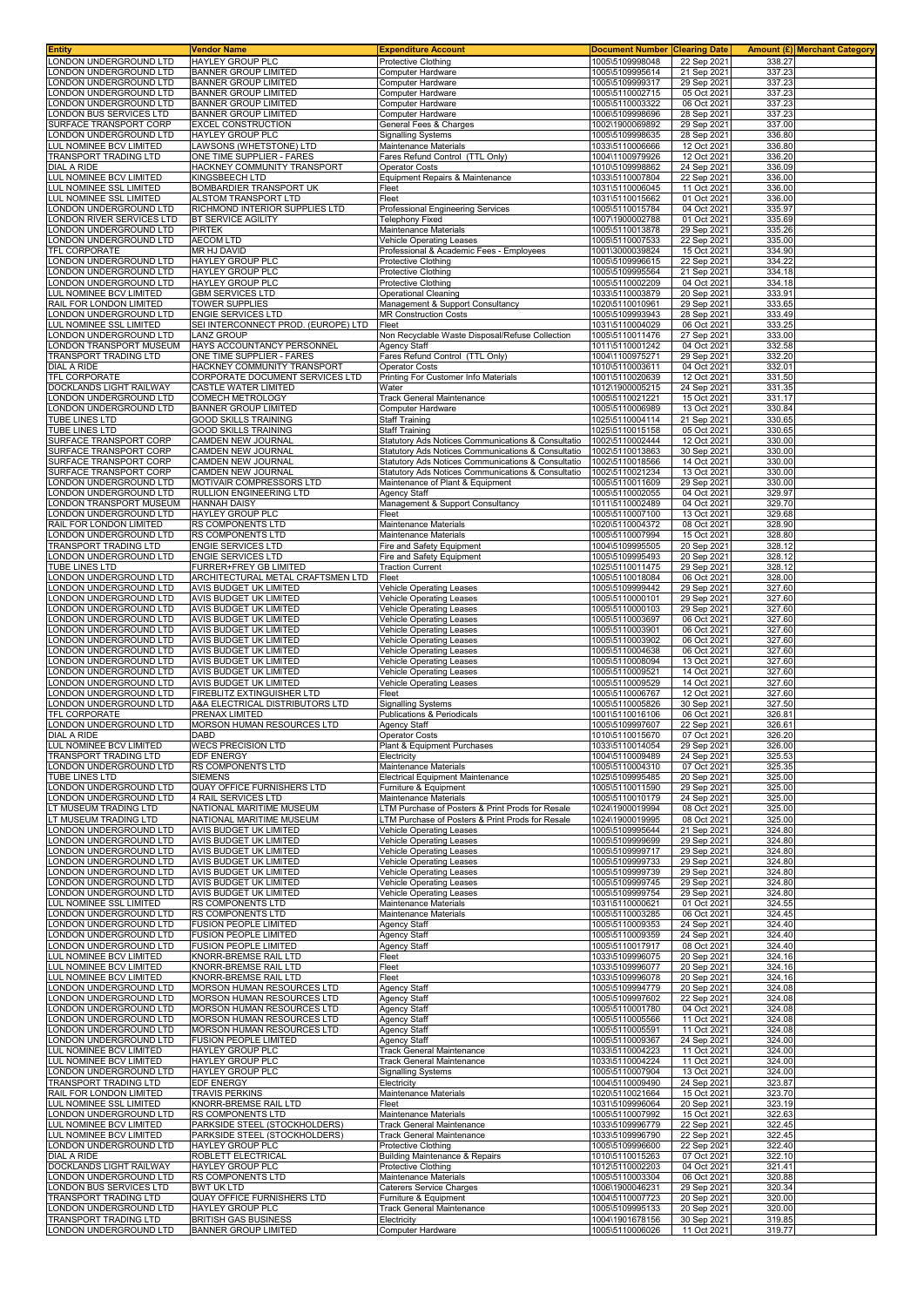| Entity                                                           | <b>Vendor Name</b>                                             | <b>Expenditure Account</b>                                                                               | <b>Document Number</b>             | <b>Clearing Date</b>       |                  | <b>Amount (£) Merchant Category</b> |
|------------------------------------------------------------------|----------------------------------------------------------------|----------------------------------------------------------------------------------------------------------|------------------------------------|----------------------------|------------------|-------------------------------------|
| ONDON UNDERGROUND LTD                                            | <b>HAYLEY GROUP PLC</b>                                        | Protective Clothing                                                                                      | 1005\5109998048                    | 22 Sep 2021                | 338.27           |                                     |
| ONDON UNDERGROUND LTD<br>ONDON UNDERGROUND LTD                   | <b>BANNER GROUP LIMITED</b><br><b>BANNER GROUP LIMITED</b>     | Computer Hardware<br>Computer Hardware                                                                   | 1005\5109995614<br>1005\5109999317 | 21 Sep 2021<br>29 Sep 2021 | 337.23<br>337.23 |                                     |
| ONDON UNDERGROUND LTD                                            | <b>BANNER GROUP LIMITED</b>                                    | Computer Hardware                                                                                        | 1005\5110002715                    | 05 Oct 2021                | 337.23           |                                     |
| ONDON UNDERGROUND LTD                                            | <b>BANNER GROUP LIMITED</b>                                    | <b>Computer Hardware</b>                                                                                 | 1005\5110003322                    | 06 Oct 2021                | 337.23           |                                     |
| ONDON BUS SERVICES LTD                                           | <b>BANNER GROUP LIMITED</b>                                    | Computer Hardware                                                                                        | 1006\5109998696                    | 28 Sep 2021                | 337.23           |                                     |
| SURFACE TRANSPORT CORP                                           | <b>EXCEL CONSTRUCTION</b>                                      | General Fees & Charges                                                                                   | 1002\1900069892                    | 29 Sep 2021                | 337.00           |                                     |
| ONDON UNDERGROUND LTD<br><b>UL NOMINEE BCV LIMITED</b>           | <b>HAYLEY GROUP PLC</b><br>LAWSONS (WHETSTONE) LTD             | Signalling Systems<br>Maintenance Materials                                                              | 1005\5109998635<br>1033\5110006666 | 28 Sep 2021<br>12 Oct 2021 | 336.80<br>336.80 |                                     |
| <b>FRANSPORT TRADING LTD</b>                                     | ONE TIME SUPPLIER - FARES                                      | Fares Refund Control (TTL Only)                                                                          | 1004\1100979926                    | 12 Oct 2021                | 336.20           |                                     |
| <b>DIAL A RIDE</b>                                               | HACKNEY COMMUNITY TRANSPORT                                    | <b>Operator Costs</b>                                                                                    | 1010\5109998862                    | 24 Sep 2021                | 336.09           |                                     |
| <b>UL NOMINEE BCV LIMITED</b>                                    | <b>KINGSBEECH LTD</b>                                          | Equipment Repairs & Maintenance                                                                          | 1033\5110007804                    | 22 Sep 2021                | 336.00           |                                     |
| <b>LUL NOMINEE SSL LIMITED</b>                                   | BOMBARDIER TRANSPORT UK                                        | Fleet                                                                                                    | 1031\5110006045                    | 11 Oct 2021                | 336.00           |                                     |
| <b>UL NOMINEE SSL LIMITED</b>                                    | ALSTOM TRANSPORT LTD<br>RICHMOND INTERIOR SUPPLIES LTD         | Fleet                                                                                                    | 1031\5110015662                    | 01 Oct 2021                | 336.00           |                                     |
| ONDON UNDERGROUND LTD<br>ONDON RIVER SERVICES LTD                | <b>BT SERVICE AGILITY</b>                                      | Professional Engineering Services<br>Telephony Fixed                                                     | 1005\5110015784<br>1007\1900002788 | 04 Oct 2021<br>01 Oct 2021 | 335.97<br>335.69 |                                     |
| ONDON UNDERGROUND LTD                                            | <b>PIRTEK</b>                                                  | Maintenance Materials                                                                                    | 1005\5110013878                    | 29 Sep 2021                | 335.26           |                                     |
| ONDON UNDERGROUND LTD                                            | <b>AECOM LTD</b>                                               | <b>Vehicle Operating Leases</b>                                                                          | 1005\5110007533                    | 22 Sep 2021                | 335.00           |                                     |
| <b>FEL CORPORATE</b>                                             | <b>MR HJ DAVID</b>                                             | Professional & Academic Fees - Employees                                                                 | 1001\3000039824                    | 15 Oct 2021                | 334.90           |                                     |
| ONDON UNDERGROUND LTD<br>ONDON UNDERGROUND LTD                   | <b>HAYLEY GROUP PLC</b><br><b>HAYLEY GROUP PLC</b>             | Protective Clothing<br>Protective Clothing                                                               | 1005\5109996615<br>1005\5109995564 | 22 Sep 2021<br>21 Sep 2021 | 334.22<br>334.18 |                                     |
| ONDON UNDERGROUND LTD.                                           | HAYLEY GROUP PLC                                               | Protective Clothing                                                                                      | 1005\5110002209                    | 04 Oct 2021                | 334.18           |                                     |
| <b>UL NOMINEE BCV LIMITED</b>                                    | <b>GBM SERVICES LTD</b>                                        | <b>Operational Cleaning</b>                                                                              | 1033\5110003879                    | 20 Sep 2021                | 333.91           |                                     |
| RAIL FOR LONDON LIMITED                                          | <b>TOWER SUPPLIES</b>                                          | Management & Support Consultancy                                                                         | 1020\5110010961                    | 29 Sep 2021                | 333.65           |                                     |
| ONDON UNDERGROUND LTD                                            | <b>ENGIE SERVICES LTD</b>                                      | <b>MR Construction Costs</b>                                                                             | 1005\5109993943                    | 28 Sep 2021                | 333.49           |                                     |
| UL NOMINEE SSL LIMITED<br>ONDON UNDERGROUND LTD                  | SEI INTERCONNECT PROD. (EUROPE) LTD<br><b>LANZ GROUP</b>       | Fleet<br>Non Recyclable Waste Disposal/Refuse Collection                                                 | 1031\5110004029<br>1005\5110011476 | 06 Oct 2021<br>27 Sep 2021 | 333.25<br>333.00 |                                     |
| ONDON TRANSPORT MUSEUM                                           | HAYS ACCOUNTANCY PERSONNEL                                     | Agency Staff                                                                                             | 1011\5110001242                    | 04 Oct 2021                | 332.58           |                                     |
| <b>FRANSPORT TRADING LTD</b>                                     | ONE TIME SUPPLIER - FARES                                      | Fares Refund Control (TTL Only)                                                                          | 1004\1100975271                    | 29 Sep 2021                | 332.20           |                                     |
| <b>DIAL A RIDE</b>                                               | HACKNEY COMMUNITY TRANSPORT                                    | Operator Costs                                                                                           | 1010\5110003611                    | 04 Oct 2021                | 332.01           |                                     |
| <b>TFL CORPORATE</b><br>DOCKLANDS LIGHT RAILWAY                  | CORPORATE DOCUMENT SERVICES LTD<br><b>CASTLE WATER LIMITED</b> | Printing For Customer Info Materials<br>Water                                                            | 1001\5110020639<br>1012\1900005215 | 12 Oct 2021                | 331.50<br>331.35 |                                     |
| ONDON UNDERGROUND LTD                                            | COMECH METROLOGY                                               | Track General Maintenance                                                                                | 1005\5110021221                    | 24 Sep 2021<br>15 Oct 2021 | 331.17           |                                     |
| ONDON UNDERGROUND LTD                                            | <b>BANNER GROUP LIMITED</b>                                    | Computer Hardware                                                                                        | 1005\5110006989                    | 13 Oct 2021                | 330.84           |                                     |
| TUBE LINES LTD                                                   | GOOD SKILLS TRAINING                                           | Staff Training                                                                                           | 1025\5110004114                    | 21 Sep 2021                | 330.65           |                                     |
| TUBE LINES LTD                                                   | <b>GOOD SKILLS TRAINING</b>                                    | <b>Staff Training</b>                                                                                    | 1025\5110015158                    | 05 Oct 2021                | 330.65           |                                     |
| SURFACE TRANSPORT CORP<br>SURFACE TRANSPORT CORP                 | CAMDEN NEW JOURNAL<br>CAMDEN NEW JOURNAL                       | Statutory Ads Notices Communications & Consultatio<br>Statutory Ads Notices Communications & Consultatio | 1002\5110002444<br>1002\5110013863 | 12 Oct 2021<br>30 Sep 2021 | 330.00<br>330.00 |                                     |
| SURFACE TRANSPORT CORP                                           | <b>CAMDEN NEW JOURNAL</b>                                      | Statutory Ads Notices Communications & Consultatio                                                       | 1002\5110018566                    | 14 Oct 2021                | 330.00           |                                     |
| SURFACE TRANSPORT CORP                                           | CAMDEN NEW JOURNAL                                             | Statutory Ads Notices Communications & Consultatio                                                       | 1002\5110021234                    | 13 Oct 2021                | 330.00           |                                     |
| ONDON UNDERGROUND LTD                                            | MOTIVAIR COMPRESSORS LTD                                       | Maintenance of Plant & Equipment                                                                         | 1005\5110011609                    | 29 Sep 2021                | 330.00           |                                     |
| ONDON UNDERGROUND LTD<br>ONDON TRANSPORT MUSEUM                  | RULLION ENGINEERING LTD<br><b>HANNAH DAISY</b>                 | Agency Staff<br>Management & Support Consultancy                                                         | 1005\5110002055<br>1011\5110002489 | 04 Oct 2021<br>04 Oct 2021 | 329.97<br>329.70 |                                     |
| ONDON UNDERGROUND LTD                                            | HAYLEY GROUP PLC                                               | Fleet                                                                                                    | 1005\5110007100                    | 13 Oct 2021                | 329.68           |                                     |
| RAIL FOR LONDON LIMITED                                          | RS COMPONENTS LTD                                              | Maintenance Materials                                                                                    | 1020\5110004372                    | 08 Oct 2021                | 328.90           |                                     |
| ONDON UNDERGROUND LTD                                            | RS COMPONENTS LTD                                              | Maintenance Materials                                                                                    | 1005\5110007994                    | 15 Oct 2021                | 328.80           |                                     |
| FRANSPORT TRADING LTD<br>ONDON UNDERGROUND LTD                   | <b>ENGIE SERVICES LTD</b><br><b>ENGIE SERVICES LTD</b>         | Fire and Safety Equipment<br>Fire and Safety Equipment                                                   | 1004\5109995505<br>1005\5109995493 | 20 Sep 2021<br>20 Sep 2021 | 328.12<br>328.12 |                                     |
| <b>TUBE LINES LTD</b>                                            | FURRER+FREY GB LIMITED                                         | <b>Traction Current</b>                                                                                  | 1025\5110011475                    | 29 Sep 2021                | 328.12           |                                     |
| ONDON UNDERGROUND LTD                                            | ARCHITECTURAL METAL CRAFTSMEN LTD                              | Fleet                                                                                                    | 1005\5110018084                    | 06 Oct 2021                | 328.00           |                                     |
| ONDON UNDERGROUND LTD                                            | AVIS BUDGET UK LIMITED                                         | <b>Vehicle Operating Leases</b>                                                                          | 1005\5109999442                    | 29 Sep 2021                | 327.60           |                                     |
| ONDON UNDERGROUND LTD<br>ONDON UNDERGROUND LTD                   | AVIS BUDGET UK LIMITED<br>AVIS BUDGET UK LIMITED               | <b>Vehicle Operating Leases</b><br>Vehicle Operating Leases                                              | 1005\5110000101<br>1005\5110000103 | 29 Sep 2021<br>29 Sep 2021 | 327.60<br>327.60 |                                     |
| ONDON UNDERGROUND LTD                                            | AVIS BUDGET UK LIMITED                                         | Vehicle Operating Leases                                                                                 | 1005\5110003697                    | 06 Oct 2021                | 327.60           |                                     |
| ONDON UNDERGROUND LTD                                            | AVIS BUDGET UK LIMITED                                         | <b>Vehicle Operating Leases</b>                                                                          | 1005\5110003901                    | 06 Oct 2021                | 327.60           |                                     |
| ONDON UNDERGROUND LTD                                            | AVIS BUDGET UK LIMITED                                         | Vehicle Operating Leases                                                                                 | 1005\5110003902                    | 06 Oct 2021                | 327.60           |                                     |
| ONDON UNDERGROUND LTD<br>ONDON UNDERGROUND LTD                   | AVIS BUDGET UK LIMITED<br>AVIS BUDGET UK LIMITED               | Vehicle Operating Leases<br>Vehicle Operating Leases                                                     | 1005\5110004638<br>1005\5110008094 | 06 Oct 2021<br>13 Oct 2021 | 327.60<br>327.60 |                                     |
| ONDON UNDERGROUND LTD                                            | AVIS BUDGET UK LIMITED                                         | <b>Vehicle Operating Leases</b>                                                                          | 1005\5110009521                    | 14 Oct 2021                | 327.60           |                                     |
| ONDON UNDERGROUND LTD                                            | AVIS BUDGET UK LIMITED                                         | Vehicle Operating Leases                                                                                 | 1005\5110009529                    | 14 Oct 2021                | 327.60           |                                     |
| ONDON UNDERGROUND LTD                                            | FIREBLITZ EXTINGUISHER LTD                                     | Fleet                                                                                                    | 1005\5110006767                    | 12 Oct 2021                | 327.60           |                                     |
| ONDON UNDERGROUND LTD<br><b>FEL CORPORATE</b>                    | A&A ELECTRICAL DISTRIBUTORS LTD<br>PRENAX LIMITED              | <b>Signalling Systems</b><br>Publications & Periodicals                                                  | 1005\5110005826<br>1001\5110016106 | 30 Sep 2021<br>06 Oct 2021 | 327.50<br>326.81 |                                     |
| ONDON UNDERGROUND LTD                                            | <b>MORSON HUMAN RESOURCES LTD</b>                              | Agency Staff                                                                                             | 1005\5109997607                    | 22 Sep 2021                | 326.61           |                                     |
| <b>DIAL A RIDE</b>                                               | <b>DABD</b>                                                    | <b>Operator Costs</b>                                                                                    | 1010\5110015670                    | 07 Oct 2021                | 326.20           |                                     |
| LUL NOMINEE BCV LIMITED<br><b>TRANSPORT TRADING LTD</b>          | <b>WECS PRECISION LTD</b>                                      | Plant & Equipment Purchases                                                                              | 1033\5110014054                    | 29 Sep 2021<br>24 Sep 2021 | 326.00           |                                     |
| ONDON UNDERGROUND LTD                                            | <b>EDF ENERGY</b><br>RS COMPONENTS LTD                         | Electricity<br>Maintenance Materials                                                                     | 1004\5110009489<br>1005\5110004310 | 07 Oct 2021                | 325.53<br>325.35 |                                     |
| <b>TUBE LINES LTD</b>                                            | <b>SIEMENS</b>                                                 | Electrical Equipment Maintenance                                                                         | 1025\5109995485                    | 20 Sep 2021                | 325.00           |                                     |
| ONDON UNDERGROUND LTD                                            | QUAY OFFICE FURNISHERS LTD                                     | Furniture & Equipment                                                                                    | 1005\5110011590                    | 29 Sep 2021                | 325.00           |                                     |
| ONDON UNDERGROUND LTD<br>T MUSEUM TRADING LTD.                   | 4 RAIL SERVICES LTD<br>NATIONAL MARITIME MUSEUM                | Maintenance Materials<br>LTM Purchase of Posters & Print Prods for Resale                                | 1005\5110010179<br>1024\1900019994 | 24 Sep 2021<br>08 Oct 2021 | 325.00<br>325.00 |                                     |
| T MUSEUM TRADING LTD                                             | NATIONAL MARITIME MUSEUM                                       | LTM Purchase of Posters & Print Prods for Resale                                                         | 1024\1900019995                    | 08 Oct 2021                | 325.00           |                                     |
| ONDON UNDERGROUND LTD                                            | AVIS BUDGET UK LIMITED                                         | Vehicle Operating Leases                                                                                 | 1005\5109995644                    | 21 Sep 2021                | 324.80           |                                     |
| ONDON UNDERGROUND LTD                                            | AVIS BUDGET UK LIMITED                                         | Vehicle Operating Leases                                                                                 | 1005\5109999699                    | 29 Sep 2021                | 324.80           |                                     |
| ONDON UNDERGROUND LTD                                            | AVIS BUDGET UK LIMITED                                         | <b>Vehicle Operating Leases</b>                                                                          | 1005\5109999717                    | 29 Sep 2021                | 324.80           |                                     |
| ONDON UNDERGROUND LTD<br>ONDON UNDERGROUND LTD                   | AVIS BUDGET UK LIMITED<br>AVIS BUDGET UK LIMITED               | <b>Vehicle Operating Leases</b><br>Vehicle Operating Leases                                              | 1005\5109999733<br>1005\5109999739 | 29 Sep 2021<br>29 Sep 2021 | 324.80<br>324.80 |                                     |
| ONDON UNDERGROUND LTD                                            | AVIS BUDGET UK LIMITED                                         | Vehicle Operating Leases                                                                                 | 1005\5109999745                    | 29 Sep 2021                | 324.80           |                                     |
| ONDON UNDERGROUND LTD                                            | AVIS BUDGET UK LIMITED                                         | Vehicle Operating Leases                                                                                 | 1005\5109999754                    | 29 Sep 2021                | 324.80           |                                     |
| UL NOMINEE SSL LIMITED<br>ONDON UNDERGROUND LTD                  | RS COMPONENTS LTD<br>RS COMPONENTS LTD                         | Maintenance Materials<br>Maintenance Materials                                                           | 1031\5110000621<br>1005\5110003285 | 01 Oct 2021<br>06 Oct 2021 | 324.55<br>324.45 |                                     |
| ONDON UNDERGROUND LTD                                            | <b>FUSION PEOPLE LIMITED</b>                                   | Agency Staff                                                                                             | 1005\5110009353                    | 24 Sep 2021                | 324.40           |                                     |
| ONDON UNDERGROUND LTD                                            | <b>FUSION PEOPLE LIMITED</b>                                   | Agency Staff                                                                                             | 1005\5110009359                    | 24 Sep 2021                | 324.40           |                                     |
| ONDON UNDERGROUND LTD                                            | <b>FUSION PEOPLE LIMITED</b>                                   | Agency Staff                                                                                             | 1005\5110017917                    | 08 Oct 2021                | 324.40           |                                     |
| <b>LUL NOMINEE BCV LIMITED</b><br><b>LUL NOMINEE BCV LIMITED</b> | KNORR-BREMSE RAIL LTD<br>KNORR-BREMSE RAIL LTD                 | Fleet<br>Fleet                                                                                           | 1033\5109996075<br>1033\5109996077 | 20 Sep 2021<br>20 Sep 2021 | 324.16<br>324.16 |                                     |
| <b>UL NOMINEE BCV LIMITED</b>                                    | KNORR-BREMSE RAIL LTD                                          | Fleet                                                                                                    | 1033\5109996078                    | 20 Sep 2021                | 324.16           |                                     |
| ONDON UNDERGROUND LTD                                            | MORSON HUMAN RESOURCES LTD                                     | Agency Staff                                                                                             | 1005\5109994779                    | 20 Sep 2021                | 324.08           |                                     |
| ONDON UNDERGROUND LTD                                            | MORSON HUMAN RESOURCES LTD                                     | <b>Agency Staff</b>                                                                                      | 1005\5109997602                    | 22 Sep 2021                | 324.08           |                                     |
| ONDON UNDERGROUND LTD<br>ONDON UNDERGROUND LTD                   | MORSON HUMAN RESOURCES LTD<br>MORSON HUMAN RESOURCES LTD       | Agency Staff<br>Agency Staff                                                                             | 1005\5110001780<br>1005\5110005566 | 04 Oct 2021<br>11 Oct 2021 | 324.08<br>324.08 |                                     |
| ONDON UNDERGROUND LTD                                            | MORSON HUMAN RESOURCES LTD                                     | <b>Agency Staff</b>                                                                                      | 1005\5110005591                    | 11 Oct 2021                | 324.08           |                                     |
| ONDON UNDERGROUND LTD                                            | <b>FUSION PEOPLE LIMITED</b>                                   | Agency Staff                                                                                             | 1005\5110009367                    | 24 Sep 2021                | 324.00           |                                     |
| LUL NOMINEE BCV LIMITED                                          | <b>HAYLEY GROUP PLC</b>                                        | Track General Maintenance                                                                                | 1033\5110004223                    | 11 Oct 2021                | 324.00           |                                     |
| <b>LUL NOMINEE BCV LIMITED</b><br>ONDON UNDERGROUND LTD          | <b>HAYLEY GROUP PLC</b><br><b>HAYLEY GROUP PLC</b>             | Track General Maintenance<br><b>Signalling Systems</b>                                                   | 1033\5110004224<br>1005\5110007904 | 11 Oct 2021<br>13 Oct 2021 | 324.00<br>324.00 |                                     |
| <b>TRANSPORT TRADING LTD</b>                                     | EDF ENERGY                                                     | Electricity                                                                                              | 1004\5110009490                    | 24 Sep 2021                | 323.87           |                                     |
| RAIL FOR LONDON LIMITED                                          | <b>TRAVIS PERKINS</b>                                          | Maintenance Materials                                                                                    | 1020\5110021664                    | 15 Oct 2021                | 323.70           |                                     |
| <b>LUL NOMINEE SSL LIMITED</b><br>ONDON UNDERGROUND LTD          | KNORR-BREMSE RAIL LTD<br>RS COMPONENTS LTD                     | Fleet<br>Maintenance Materials                                                                           | 1031\5109996064<br>1005\5110007992 | 20 Sep 2021<br>15 Oct 2021 | 323.19<br>322.63 |                                     |
| LUL NOMINEE BCV LIMITED                                          | PARKSIDE STEEL (STOCKHOLDERS)                                  | Track General Maintenance                                                                                | 1033\5109996779                    | 22 Sep 2021                | 322.45           |                                     |
| <b>UL NOMINEE BCV LIMITED</b>                                    | PARKSIDE STEEL (STOCKHOLDERS)                                  | Track General Maintenance                                                                                | 1033\5109996790                    | 22 Sep 2021                | 322.45           |                                     |
| ONDON UNDERGROUND LTD                                            | <b>HAYLEY GROUP PLC</b>                                        | Protective Clothing                                                                                      | 1005\5109996600                    | 22 Sep 2021                | 322.40           |                                     |
| DIAL A RIDE<br>DOCKLANDS LIGHT RAILWAY                           | ROBLETT ELECTRICAL<br>HAYLEY GROUP PLC                         | <b>Building Maintenance &amp; Repairs</b><br>Protective Clothing                                         | 1010\5110015263<br>1012\5110002203 | 07 Oct 2021<br>04 Oct 2021 | 322.10<br>321.41 |                                     |
| ONDON UNDERGROUND LTD                                            | RS COMPONENTS LTD                                              | Maintenance Materials                                                                                    | 1005\5110003304                    | 06 Oct 2021                | 320.88           |                                     |
| ONDON BUS SERVICES LTD                                           | <b>BWT UK LTD</b>                                              | Caterers Service Charges                                                                                 | 1006\1900046231                    | 29 Sep 2021                | 320.34           |                                     |
| <b>TRANSPORT TRADING LTD</b>                                     | QUAY OFFICE FURNISHERS LTD                                     | Furniture & Equipment                                                                                    | 1004\5110007723                    | 20 Sep 2021                | 320.00           |                                     |
| ONDON UNDERGROUND LTD<br><b>FRANSPORT TRADING LTD</b>            | <b>HAYLEY GROUP PLC</b><br><b>BRITISH GAS BUSINESS</b>         | Track General Maintenance<br>Electricity                                                                 | 1005\5109995133<br>1004\1901678156 | 20 Sep 2021<br>30 Sep 2021 | 320.00<br>319.85 |                                     |
| LONDON UNDERGROUND LTD                                           | <b>BANNER GROUP LIMITED</b>                                    | Computer Hardware                                                                                        | 1005\5110006026                    | 11 Oct 2021                | 319.77           |                                     |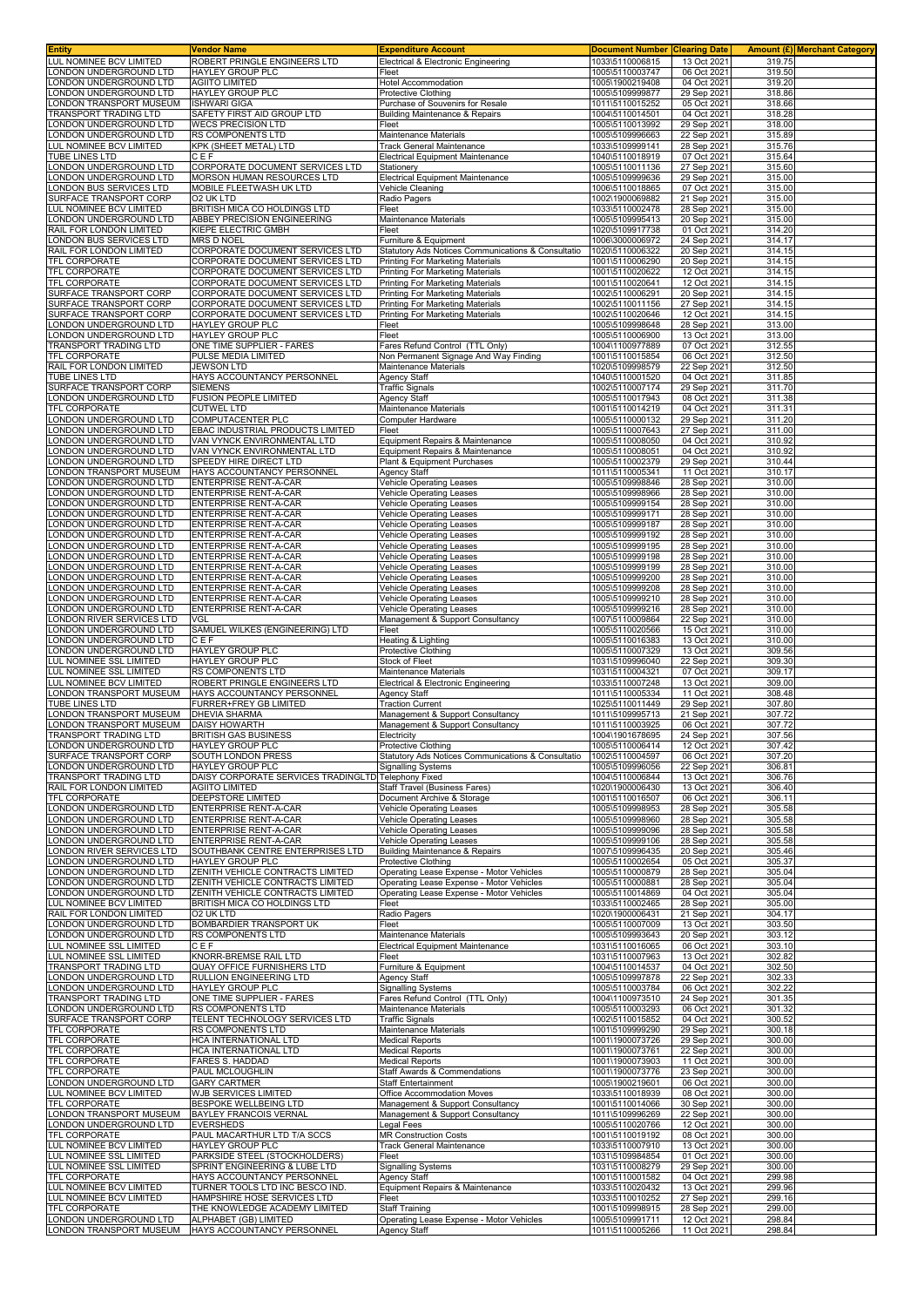| <b>Entity</b>                                          | Vendor Name                                                                  | <b>Expenditure Account</b>                                                       | <b>Document Number</b>             | <b>Clearing Date</b>       | Amount (£) Merchant Category |
|--------------------------------------------------------|------------------------------------------------------------------------------|----------------------------------------------------------------------------------|------------------------------------|----------------------------|------------------------------|
| LUL NOMINEE BCV LIMITED<br>ONDON UNDERGROUND LTD       | ROBERT PRINGLE ENGINEERS LTD<br><b>HAYLEY GROUP PLC</b>                      | Electrical & Electronic Engineering<br>Fleet                                     | 1033\5110006815<br>1005\5110003747 | 13 Oct 2021<br>06 Oct 202  | 319.75<br>319.50             |
| ONDON UNDERGROUND LTD                                  | <b>AGIITO LIMITED</b>                                                        | <b>Hotel Accommodation</b>                                                       | 1005\1900219408                    | 04 Oct 2021                | 319.20                       |
| ONDON UNDERGROUND LTD                                  | HAYLEY GROUP PLC                                                             | <b>Protective Clothing</b>                                                       | 1005\5109999877                    | 29 Sep 2021                | 318.86                       |
| ONDON TRANSPORT MUSEUM<br><b>FRANSPORT TRADING LTD</b> | <b>ISHWARI GIGA</b><br>SAFETY FIRST AID GROUP LTD                            | Purchase of Souvenirs for Resale<br><b>Building Maintenance &amp; Repairs</b>    | 1011\5110015252<br>1004\5110014501 | 05 Oct 2021<br>04 Oct 2021 | 318.66<br>318.28             |
| ONDON UNDERGROUND LTD                                  | <b>WECS PRECISION LTD</b>                                                    | Fleet                                                                            | 1005\5110013992                    | 29 Sep 2021                | 318.00                       |
| ONDON UNDERGROUND LTD                                  | RS COMPONENTS LTD                                                            | Maintenance Materials                                                            | 1005\5109996663                    | 22 Sep 202                 | 315.89                       |
| UL NOMINEE BCV LIMITED<br><b>TUBE LINES LTD</b>        | KPK (SHEET METAL) LTD<br>CEF                                                 | <b>Track General Maintenance</b><br>Electrical Equipment Maintenance             | 1033\5109999141<br>1040\5110018919 | 28 Sep 2021<br>07 Oct 2021 | 315.76<br>315.64             |
| ONDON UNDERGROUND LTD                                  | CORPORATE DOCUMENT SERVICES LTD                                              | Stationery                                                                       | 1005\5110011136                    | 27 Sep 2021                | 315.60                       |
| ONDON UNDERGROUND LTD                                  | MORSON HUMAN RESOURCES LTD                                                   | <b>Electrical Equipment Maintenance</b>                                          | 1005\5109999636                    | 29 Sep 2021                | 315.00                       |
| ONDON BUS SERVICES LTD<br>SURFACE TRANSPORT CORP       | MOBILE FLEETWASH UK LTD<br>O2 UK LTD                                         | Vehicle Cleaning<br>Radio Pagers                                                 | 1006\5110018865<br>1002\1900069882 | 07 Oct 2021<br>21 Sep 2021 | 315.00<br>315.00             |
| UL NOMINEE BCV LIMITED                                 | BRITISH MICA CO HOLDINGS LTD                                                 | Fleet                                                                            | 1033\5110002478                    | 28 Sep 2021                | 315.00                       |
| ONDON UNDERGROUND LTD.                                 | ABBEY PRECISION ENGINEERING<br>KIEPE ELECTRIC GMBH                           | Maintenance Materials                                                            | 1005\5109995413                    | 20 Sep 2021                | 315.00                       |
| RAIL FOR LONDON LIMITED<br>ONDON BUS SERVICES LTD      | MRS D NOEL                                                                   | Fleet<br>Furniture & Equipment                                                   | 1020\5109917738<br>1006\3000006972 | 01 Oct 2021<br>24 Sep 2021 | 314.20<br>314.17             |
| RAIL FOR LONDON LIMITED                                | CORPORATE DOCUMENT SERVICES LTD                                              | Statutory Ads Notices Communications & Consultatio                               | 1020\5110006322                    | 20 Sep 2021                | 314.15                       |
| <b>TFL CORPORATE</b><br><b>TFL CORPORATE</b>           | <b>CORPORATE DOCUMENT SERVICES LTD</b><br>CORPORATE DOCUMENT SERVICES LTD    | <b>Printing For Marketing Materials</b><br>Printing For Marketing Materials      | 1001\5110006290<br>1001\5110020622 | 20 Sep 2021<br>12 Oct 2021 | 314.15<br>314.15             |
| TFL CORPORATE                                          | CORPORATE DOCUMENT SERVICES LTD                                              | Printing For Marketing Materials                                                 | 1001\5110020641                    | 12 Oct 2021                | 314.15                       |
| SURFACE TRANSPORT CORP                                 | CORPORATE DOCUMENT SERVICES LTD                                              | Printing For Marketing Materials                                                 | 1002\5110006291                    | 20 Sep 2021                | 314.15                       |
| SURFACE TRANSPORT CORP<br>SURFACE TRANSPORT CORP       | CORPORATE DOCUMENT SERVICES LTD<br>CORPORATE DOCUMENT SERVICES LTD           | <b>Printing For Marketing Materials</b><br>Printing For Marketing Materials      | 1002\5110011156<br>1002\5110020646 | 27 Sep 2021<br>12 Oct 2021 | 314.15<br>314.15             |
| ONDON UNDERGROUND LTD                                  | <b>HAYLEY GROUP PLC</b>                                                      | Fleet                                                                            | 1005\5109998648                    | 28 Sep 2021                | 313.00                       |
| ONDON UNDERGROUND LTD                                  | <b>HAYLEY GROUP PLC</b>                                                      | Fleet                                                                            | 1005\5110006900                    | 13 Oct 2021                | 313.00                       |
| TRANSPORT TRADING LTD<br><b>TFL CORPORATE</b>          | ONE TIME SUPPLIER - FARES<br>PULSE MEDIA LIMITED                             | Fares Refund Control (TTL Only)<br>Non Permanent Signage And Way Finding         | 1004\1100977889<br>1001\5110015854 | 07 Oct 2021<br>06 Oct 2021 | 312.55<br>312.50             |
| RAIL FOR LONDON LIMITED                                | <b>JEWSON LTD</b>                                                            | Maintenance Materials                                                            | 1020\5109998579                    | 22 Sep 2021                | 312.50                       |
| TUBE LINES LTD<br>SURFACE TRANSPORT CORP               | HAYS ACCOUNTANCY PERSONNEL<br><b>SIEMENS</b>                                 | <b>Agency Staff</b>                                                              | 1040\5110001520<br>1002\5110007174 | 04 Oct 2021                | 311.85<br>311.70             |
| ONDON UNDERGROUND LTD                                  | <b>FUSION PEOPLE LIMITED</b>                                                 | <b>Traffic Signals</b><br><b>Agency Staff</b>                                    | 1005\5110017943                    | 29 Sep 2021<br>08 Oct 2021 | 311.38                       |
| <b>TFL CORPORATE</b>                                   | <b>CUTWEL LTD</b>                                                            | Maintenance Materials                                                            | 1001\5110014219                    | 04 Oct 2021                | 311.31                       |
| ONDON UNDERGROUND LTD<br>ONDON UNDERGROUND LTD         | COMPUTACENTER PLC<br>EBAC INDUSTRIAL PRODUCTS LIMITED                        | Computer Hardware<br>Fleet                                                       | 1005\5110000132<br>1005\5110007643 | 29 Sep 202<br>27 Sep 2021  | 311.20<br>311.00             |
| ONDON UNDERGROUND LTD                                  | VAN VYNCK ENVIRONMENTAL LTD                                                  | Equipment Repairs & Maintenance                                                  | 1005\5110008050                    | 04 Oct 2021                | 310.92                       |
| ONDON UNDERGROUND LTD                                  | VAN VYNCK ENVIRONMENTAL LTD                                                  | Equipment Repairs & Maintenance                                                  | 1005\5110008051                    | 04 Oct 2021                | 310.92                       |
| ONDON UNDERGROUND LTD<br>ONDON TRANSPORT MUSEUM        | SPEEDY HIRE DIRECT LTD<br>HAYS ACCOUNTANCY PERSONNEL                         | Plant & Equipment Purchases<br><b>Agency Staff</b>                               | 1005\5110002379<br>1011\5110005341 | 29 Sep 2021<br>11 Oct 2021 | 310.44<br>310.17             |
| ONDON UNDERGROUND LTD                                  | <b>ENTERPRISE RENT-A-CAR</b>                                                 | <b>Vehicle Operating Leases</b>                                                  | 1005\5109998846                    | 28 Sep 2021                | 310.00                       |
| ONDON UNDERGROUND LTD                                  | <b>ENTERPRISE RENT-A-CAR</b>                                                 | <b>Vehicle Operating Leases</b>                                                  | 1005\5109998966                    | 28 Sep 2021                | 310.00                       |
| ONDON UNDERGROUND LTD<br>ONDON UNDERGROUND LTD         | <b>ENTERPRISE RENT-A-CAR</b><br>ENTERPRISE RENT-A-CAR                        | <b>Vehicle Operating Leases</b><br>Vehicle Operating Leases                      | 1005\5109999154<br>1005\5109999171 | 28 Sep 2021<br>28 Sep 2021 | 310.00<br>310.00             |
| ONDON UNDERGROUND LTD                                  | <b>ENTERPRISE RENT-A-CAR</b>                                                 | <b>Vehicle Operating Leases</b>                                                  | 1005\5109999187                    | 28 Sep 2021                | 310.00                       |
| ONDON UNDERGROUND LTD                                  | <b>ENTERPRISE RENT-A-CAR</b>                                                 | <b>Vehicle Operating Leases</b>                                                  | 1005\5109999192                    | 28 Sep 2021                | 310.00                       |
| ONDON UNDERGROUND LTD<br>ONDON UNDERGROUND LTD         | <b>ENTERPRISE RENT-A-CAR</b><br><b>ENTERPRISE RENT-A-CAR</b>                 | <b>Vehicle Operating Leases</b><br>Vehicle Operating Leases                      | 1005\5109999195<br>1005\5109999198 | 28 Sep 2021<br>28 Sep 2021 | 310.00<br>310.00             |
| ONDON UNDERGROUND LTD                                  | <b>ENTERPRISE RENT-A-CAR</b>                                                 | Vehicle Operating Leases                                                         | 1005\5109999199                    | 28 Sep 2021                | 310.00                       |
| ONDON UNDERGROUND LTD<br>ONDON UNDERGROUND LTD         | ENTERPRISE RENT-A-CAR<br><b>ENTERPRISE RENT-A-CAR</b>                        | <b>Vehicle Operating Leases</b><br>Vehicle Operating Leases                      | 1005\5109999200<br>1005\5109999208 | 28 Sep 2021<br>28 Sep 2021 | 310.00<br>310.00             |
| ONDON UNDERGROUND LTD                                  | ENTERPRISE RENT-A-CAR                                                        | Vehicle Operating Leases                                                         | 1005\5109999210                    | 28 Sep 2021                | 310.00                       |
| ONDON UNDERGROUND LTD                                  | ENTERPRISE RENT-A-CAR                                                        | Vehicle Operating Leases                                                         | 1005\5109999216                    | 28 Sep 2021                | 310.00                       |
| ONDON RIVER SERVICES LTD<br>ONDON UNDERGROUND LTD      | <b>VGL</b><br>SAMUEL WILKES (ENGINEERING) LTD                                | Management & Support Consultancy<br>Fleet                                        | 1007\5110009864<br>1005\5110020566 | 22 Sep 2021<br>15 Oct 2021 | 310.00<br>310.00             |
| ONDON UNDERGROUND LTD                                  | CEF                                                                          | Heating & Lighting                                                               | 1005\5110016383                    | 13 Oct 2021                | 310.00                       |
| ONDON UNDERGROUND LTD                                  | <b>HAYLEY GROUP PLC</b>                                                      | Protective Clothing                                                              | 1005\5110007329                    | 13 Oct 2021                | 309.56                       |
| LUL NOMINEE SSL LIMITED<br>UL NOMINEE SSL LIMITED      | <b>HAYLEY GROUP PLC</b><br>RS COMPONENTS LTD                                 | <b>Stock of Fleet</b><br>Maintenance Materials                                   | 1031\5109996040<br>1031\5110004321 | 22 Sep 202<br>07 Oct 2021  | 309.30<br>309.17             |
| <b>UL NOMINEE BCV LIMITED</b>                          | ROBERT PRINGLE ENGINEERS LTD                                                 | Electrical & Electronic Engineering                                              | 1033\5110007248                    | 13 Oct 2021                | 309.00                       |
| ONDON TRANSPORT MUSEUM                                 | HAYS ACCOUNTANCY PERSONNEL                                                   | <b>Agency Staff</b>                                                              | 1011\5110005334                    | 11 Oct 2021                | 308.48                       |
| TUBE LINES LTD<br>ONDON TRANSPORT MUSEUM               | FURRER+FREY GB LIMITED<br><b>DHEVIA SHARMA</b>                               | <b>Traction Current</b><br>Management & Support Consultancy                      | 1025\5110011449<br>1011\5109995713 | 29 Sep 2021<br>21 Sep 2021 | 307.80<br>307.72             |
| ONDON TRANSPORT MUSEUM                                 | <b>DAISY HOWARTH</b>                                                         | Management & Support Consultancy                                                 | 1011\5110003925                    | 06 Oct 2021                | 307.72                       |
| TRANSPORT TRADING LTD                                  | <b>BRITISH GAS BUSINESS</b>                                                  | Electricity                                                                      | 1004\1901678695<br>1005\5110006414 | 24 Sep 2021<br>12 Oct 2021 | 307.56                       |
| LONDON UNDERGROUND LTD<br>SURFACE TRANSPORT CORP       | <b>HAYLEY GROUP PLC</b><br>SOUTH LONDON PRESS                                | <b>Protective Clothing</b><br>Statutory Ads Notices Communications & Consultatio | 1002\5110004597                    | 06 Oct 2021                | 307.42<br>307.20             |
| ONDON UNDERGROUND LTD.                                 | HAYLEY GROUP PLC                                                             | <b>Signalling Systems</b>                                                        | 1005\5109996056                    | 22 Sep 2021                | 306.81                       |
| TRANSPORT TRADING LTD<br>RAIL FOR LONDON LIMITED       | DAISY CORPORATE SERVICES TRADINGLTD Telephony Fixed<br><b>AGIITO LIMITED</b> | Staff Travel (Business Fares)                                                    | 1004\5110006844<br>1020\1900006430 | 13 Oct 2021<br>13 Oct 2021 | 306.76<br>306.40             |
| TFL CORPORATE                                          | DEEPSTORE LIMITED                                                            | Document Archive & Storage                                                       | 1001\5110016507                    | 06 Oct 2021                | 306.11                       |
| ONDON UNDERGROUND LTD                                  | <b>ENTERPRISE RENT-A-CAR</b>                                                 | <b>Vehicle Operating Leases</b>                                                  | 1005\5109998953                    | 28 Sep 2021                | 305.58                       |
| ONDON UNDERGROUND LTD<br>ONDON UNDERGROUND LTD         | ENTERPRISE RENT-A-CAR<br><b>ENTERPRISE RENT-A-CAR</b>                        | Vehicle Operating Leases<br>Vehicle Operating Leases                             | 1005\5109998960<br>1005\5109999096 | 28 Sep 2021<br>28 Sep 2021 | 305.58<br>305.58             |
| ONDON UNDERGROUND LTD                                  | ENTERPRISE RENT-A-CAR                                                        | Vehicle Operating Leases                                                         | 1005\5109999106                    | 28 Sep 2021                | 305.58                       |
| ONDON RIVER SERVICES LTD                               | SOUTHBANK CENTRE ENTERPRISES LTD                                             | <b>Building Maintenance &amp; Repairs</b>                                        | 1007\5109996435                    | 20 Sep 2021                | 305.46                       |
| ONDON UNDERGROUND LTD<br>ONDON UNDERGROUND LTD         | HAYLEY GROUP PLC<br>ZENITH VEHICLE CONTRACTS LIMITED                         | <b>Protective Clothing</b><br>Operating Lease Expense - Motor Vehicles           | 1005\5110002654<br>1005\5110000879 | 05 Oct 2021<br>28 Sep 2021 | 305.37<br>305.04             |
| ONDON UNDERGROUND LTD                                  | ZENITH VEHICLE CONTRACTS LIMITED                                             | Operating Lease Expense - Motor Vehicles                                         | 1005\5110000881                    | 28 Sep 2021                | 305.04                       |
| ONDON UNDERGROUND LTD<br>UL NOMINEE BCV LIMITED        | ZENITH VEHICLE CONTRACTS LIMITED<br>BRITISH MICA CO HOLDINGS LTD             | Operating Lease Expense - Motor Vehicles<br>Fleet                                | 1005\5110014869<br>1033\5110002465 | 04 Oct 2021<br>28 Sep 2021 | 305.04<br>305.00             |
| RAIL FOR LONDON LIMITED                                | <b>O2 UK LTD</b>                                                             | Radio Pagers                                                                     | 1020\1900006431                    | 21 Sep 2021                | 304.17                       |
| ONDON UNDERGROUND LTD                                  | BOMBARDIER TRANSPORT UK                                                      | Fleet                                                                            | 1005\5110007009                    | 13 Oct 2021                | 303.50                       |
| ONDON UNDERGROUND LTD<br>UL NOMINEE SSL LIMITED        | <b>RS COMPONENTS LTD</b><br>CEF                                              | Maintenance Materials<br><b>Electrical Equipment Maintenance</b>                 | 1005\5109993643<br>1031\5110016065 | 20 Sep 2021<br>06 Oct 2021 | 303.12<br>303.10             |
| UL NOMINEE SSL LIMITED                                 | KNORR-BREMSE RAIL LTD                                                        | Fleet                                                                            | 1031\5110007963                    | 13 Oct 2021                | 302.82                       |
| TRANSPORT TRADING LTD<br>ONDON UNDERGROUND LTD         | <b>QUAY OFFICE FURNISHERS LTD</b><br>RULLION ENGINEERING LTD                 | Furniture & Equipment<br>Agency Staff                                            | 1004\5110014537<br>1005\5109997878 | 04 Oct 2021<br>22 Sep 2021 | 302.50<br>302.33             |
| ONDON UNDERGROUND LTD                                  | <b>HAYLEY GROUP PLC</b>                                                      | <b>Signalling Systems</b>                                                        | 1005\5110003784                    | 06 Oct 2021                | 302.22                       |
| TRANSPORT TRADING LTD                                  | ONE TIME SUPPLIER - FARES                                                    | Fares Refund Control (TTL Only)                                                  | 1004\1100973510                    | 24 Sep 2021                | 301.35                       |
| ONDON UNDERGROUND LTD<br>SURFACE TRANSPORT CORP        | RS COMPONENTS LTD<br>TELENT TECHNOLOGY SERVICES LTD                          | Maintenance Materials<br><b>Traffic Signals</b>                                  | 1005\5110003293<br>1002\5110015852 | 06 Oct 2021<br>04 Oct 2021 | 301.32<br>300.52             |
| <b>TFL CORPORATE</b>                                   | <b>RS COMPONENTS LTD</b>                                                     | Maintenance Materials                                                            | 1001\5109999290                    | 29 Sep 2021                | 300.18                       |
| TFL CORPORATE                                          | HCA INTERNATIONAL LTD                                                        | <b>Medical Reports</b>                                                           | 1001\1900073726                    | 29 Sep 2021                | 300.00                       |
| <b>TFL CORPORATE</b><br>TFL CORPORATE                  | HCA INTERNATIONAL LTD<br>FARES S. HADDAD                                     | <b>Medical Reports</b><br><b>Medical Reports</b>                                 | 1001\1900073761<br>1001\1900073903 | 22 Sep 2021<br>11 Oct 2021 | 300.00<br>300.00             |
| <b>TFL CORPORATE</b>                                   | PAUL MCLOUGHLIN                                                              | Staff Awards & Commendations                                                     | 1001\1900073776                    | 23 Sep 2021                | 300.00                       |
| ONDON UNDERGROUND LTD                                  | <b>GARY CARTMER</b>                                                          | <b>Staff Entertainment</b>                                                       | 1005\1900219601                    | 06 Oct 2021                | 300.00                       |
| UL NOMINEE BCV LIMITED<br>TFL CORPORATE                | WJB SERVICES LIMITED<br><b>BESPOKE WELLBEING LTD</b>                         | Office Accommodation Moves<br>Management & Support Consultancy                   | 1033\5110018939<br>1001\5110014066 | 08 Oct 2021<br>30 Sep 2021 | 300.00<br>300.00             |
| ONDON TRANSPORT MUSEUM                                 | <b>BAYLEY FRANCOIS VERNAL</b>                                                | Management & Support Consultancy                                                 | 1011\5109996269                    | 22 Sep 2021                | 300.00                       |
| ONDON UNDERGROUND LTD<br>TFL CORPORATE                 | <b>EVERSHEDS</b><br>PAUL MACARTHUR LTD T/A SCCS                              | egal Fees<br><b>MR Construction Costs</b>                                        | 1005\5110020766<br>1001\5110019192 | 12 Oct 2021<br>08 Oct 2021 | 300.00<br>300.00             |
| LUL NOMINEE BCV LIMITED                                | HAYLEY GROUP PLC                                                             | Track General Maintenance                                                        | 1033\5110007910                    | 13 Oct 2021                | 300.00                       |
| <b>LUL NOMINEE SSL LIMITED</b>                         | PARKSIDE STEEL (STOCKHOLDERS)                                                | Fleet                                                                            | 1031\5109984854                    | 01 Oct 2021                | 300.00                       |
| LUL NOMINEE SSL LIMITED<br><b>TFL CORPORATE</b>        | SPRINT ENGINEERING & LUBE LTD<br>HAYS ACCOUNTANCY PERSONNEL                  | Signalling Systems<br><b>Agency Staff</b>                                        | 1031\5110008279<br>1001\5110001582 | 29 Sep 2021<br>04 Oct 2021 | 300.00<br>299.98             |
| LUL NOMINEE BCV LIMITED                                | TURNER TOOLS LTD INC BESCO IND.                                              | Equipment Repairs & Maintenance                                                  | 1033\5110020432                    | 13 Oct 2021                | 299.96                       |
| <b>UL NOMINEE BCV LIMITED</b>                          | HAMPSHIRE HOSE SERVICES LTD                                                  | Fleet                                                                            | 1033\5110010252                    | 27 Sep 2021                | 299.16                       |
| TFL CORPORATE<br>ONDON UNDERGROUND LTD                 | THE KNOWLEDGE ACADEMY LIMITED<br>ALPHABET (GB) LIMITED                       | Staff Training<br>Operating Lease Expense - Motor Vehicles                       | 1001\5109998915<br>1005\5109991711 | 28 Sep 2021<br>12 Oct 2021 | 299.00<br>298.84             |
| LONDON TRANSPORT MUSEUM                                | HAYS ACCOUNTANCY PERSONNEL                                                   | <b>Agency Staff</b>                                                              | 1011\5110005266                    | 11 Oct 2021                | 298.84                       |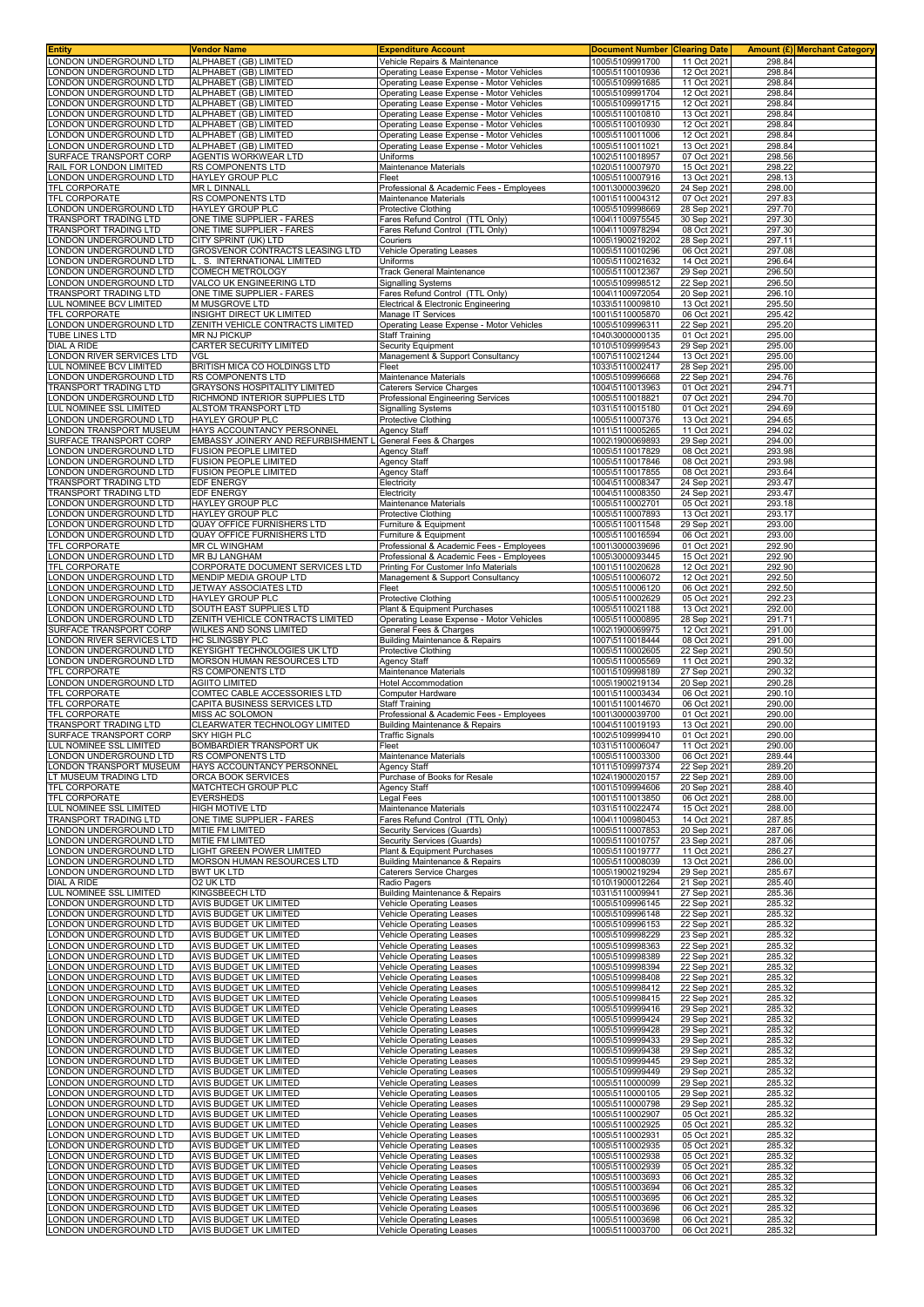| Entity                                             | Vendor Name                                                           | <b>Expenditure Account</b>                                                           | <b>Document Number Clearing Date</b> |                            | <b>Amount (£) Merchant Category</b> |
|----------------------------------------------------|-----------------------------------------------------------------------|--------------------------------------------------------------------------------------|--------------------------------------|----------------------------|-------------------------------------|
| ONDON UNDERGROUND LTD                              | ALPHABET (GB) LIMITED                                                 | Vehicle Repairs & Maintenance                                                        | 1005\5109991700                      | 11 Oct 2021                | 298.84                              |
| ONDON UNDERGROUND LTD<br>ONDON UNDERGROUND LTD     | ALPHABET (GB) LIMITED<br>ALPHABET (GB) LIMITED                        | Operating Lease Expense - Motor Vehicles<br>Operating Lease Expense - Motor Vehicles | 1005\5110010936<br>1005\5109991685   | 12 Oct 2021<br>11 Oct 2021 | 298.84<br>298.84                    |
| ONDON UNDERGROUND LTD                              | ALPHABET (GB) LIMITED                                                 | Operating Lease Expense - Motor Vehicles                                             | 1005\5109991704                      | 12 Oct 2021                | 298.84                              |
| ONDON UNDERGROUND LTD                              | ALPHABET (GB) LIMITED                                                 | Operating Lease Expense - Motor Vehicles                                             | 1005\5109991715                      | 12 Oct 2021                | 298.84                              |
| ONDON UNDERGROUND LTD                              | ALPHABET (GB) LIMITED                                                 | Operating Lease Expense - Motor Vehicles                                             | 1005\5110010810                      | 13 Oct 2021                | 298.84                              |
| ONDON UNDERGROUND LTD                              | ALPHABET (GB) LIMITED                                                 | Operating Lease Expense - Motor Vehicles                                             | 1005\5110010930                      | 12 Oct 2021                | 298.84                              |
| ONDON UNDERGROUND LTD                              | ALPHABET (GB) LIMITED                                                 | Operating Lease Expense - Motor Vehicles                                             | 1005\5110011006                      | 12 Oct 2021                | 298.84                              |
| ONDON UNDERGROUND LTD<br>SURFACE TRANSPORT CORP    | ALPHABET (GB) LIMITED<br><b>AGENTIS WORKWEAR LTD</b>                  | Operating Lease Expense - Motor Vehicles<br>Uniforms                                 | 1005\5110011021<br>1002\5110018957   | 13 Oct 2021<br>07 Oct 2021 | 298.84<br>298.56                    |
| RAIL FOR LONDON LIMITED                            | RS COMPONENTS LTD                                                     | Maintenance Materials                                                                | 1020\5110007970                      | 15 Oct 2021                | 298.22                              |
| ONDON UNDERGROUND LTD                              | <b>HAYLEY GROUP PLC</b>                                               | Fleet                                                                                | 1005\5110007916                      | 13 Oct 2021                | 298.13                              |
| TFL CORPORATE                                      | MR L DINNALL                                                          | Professional & Academic Fees - Employees                                             | 1001\3000039620                      | 24 Sep 2021                | 298.00                              |
| <b>TFL CORPORATE</b>                               | RS COMPONENTS LTD                                                     | Maintenance Materials                                                                | 1001\5110004312                      | 07 Oct 2021                | 297.83                              |
| ONDON UNDERGROUND LTD                              | <b>HAYLEY GROUP PLC</b>                                               | <b>Protective Clothing</b>                                                           | 1005\5109998669                      | 28 Sep 2021                | 297.70                              |
| TRANSPORT TRADING LTD<br>TRANSPORT TRADING LTD     | ONE TIME SUPPLIER - FARES<br>ONE TIME SUPPLIER - FARES                | Fares Refund Control (TTL Only)<br>Fares Refund Control (TTL Only)                   | 1004\1100975545<br>1004\1100978294   | 30 Sep 2021<br>08 Oct 2021 | 297.30<br>297.30                    |
| ONDON UNDERGROUND LTD                              | CITY SPRINT (UK) LTD                                                  | Couriers                                                                             | 1005\1900219202                      | 28 Sep 2021                | 297.11                              |
| ONDON UNDERGROUND LTD                              | GROSVENOR CONTRACTS LEASING LTD                                       | Vehicle Operating Leases                                                             | 1005\5110010296                      | 06 Oct 2021                | 297.08                              |
| ONDON UNDERGROUND LTD                              | L. S. INTERNATIONAL LIMITED                                           | Uniforms                                                                             | 1005\5110021632                      | 14 Oct 2021                | 296.64                              |
| ONDON UNDERGROUND LTD<br>ONDON UNDERGROUND LTD     | <b>COMECH METROLOGY</b><br>VALCO UK ENGINEERING LTD                   | <b>Track General Maintenance</b>                                                     | 1005\5110012367<br>1005\5109998512   | 29 Sep 2021<br>22 Sep 2021 | 296.50<br>296.50                    |
| <b>FRANSPORT TRADING LTD</b>                       | ONE TIME SUPPLIER - FARES                                             | <b>Signalling Systems</b><br>Fares Refund Control (TTL Only)                         | 1004\1100972054                      | 20 Sep 2021                | 296.10                              |
| UL NOMINEE BCV LIMITED                             | M MUSGROVE LTD                                                        | Electrical & Electronic Engineering                                                  | 1033\5110009810                      | 13 Oct 2021                | 295.50                              |
| <b>TFL CORPORATE</b>                               | INSIGHT DIRECT UK LIMITED                                             | Manage IT Services                                                                   | 1001\5110005870                      | 06 Oct 2021                | 295.42                              |
| ONDON UNDERGROUND LTD                              | ZENITH VEHICLE CONTRACTS LIMITED                                      | Operating Lease Expense - Motor Vehicles                                             | 1005\5109996311                      | 22 Sep 2021                | 295.20                              |
| <b>TUBE LINES LTD</b><br>DIAL A RIDE               | <b>MR NJ PICKUP</b><br>CARTER SECURITY LIMITED                        | <b>Staff Training</b><br><b>Security Equipment</b>                                   | 1040\3000000135<br>1010\5109999543   | 01 Oct 2021<br>29 Sep 2021 | 295.00<br>295.00                    |
| ONDON RIVER SERVICES LTD                           | <b>VGL</b>                                                            | Management & Support Consultancy                                                     | 1007\5110021244                      | 13 Oct 2021                | 295.00                              |
| <b>UL NOMINEE BCV LIMITED</b>                      | BRITISH MICA CO HOLDINGS LTD                                          | Fleet                                                                                | 1033\5110002417                      | 28 Sep 2021                | 295.00                              |
| ONDON UNDERGROUND LTD                              | RS COMPONENTS LTD                                                     | Maintenance Materials                                                                | 1005\5109996668                      | 22 Sep 2021                | 294.76                              |
| <b>FRANSPORT TRADING LTD</b>                       | <b>GRAYSONS HOSPITALITY LIMITED</b><br>RICHMOND INTERIOR SUPPLIES LTD | Caterers Service Charges                                                             | 1004\5110013963                      | 01 Oct 2021                | 294.7                               |
| ONDON UNDERGROUND LTD<br>UL NOMINEE SSL LIMITED    | ALSTOM TRANSPORT LTD                                                  | Professional Engineering Services<br><b>Signalling Systems</b>                       | 1005\5110018821<br>1031\5110015180   | 07 Oct 2021<br>01 Oct 2021 | 294.70<br>294.69                    |
| ONDON UNDERGROUND LTD                              | <b>HAYLEY GROUP PLC</b>                                               | <b>Protective Clothing</b>                                                           | 1005\5110007376                      | 13 Oct 2021                | 294.65                              |
| ONDON TRANSPORT MUSEUM                             | HAYS ACCOUNTANCY PERSONNEL                                            | Agency Staff                                                                         | 1011\5110005265                      | 11 Oct 2021                | 294.02                              |
| SURFACE TRANSPORT CORP                             | EMBASSY JOINERY AND REFURBISHMENT L                                   | General Fees & Charges                                                               | 1002\1900069893                      | 29 Sep 2021                | 294.00                              |
| ONDON UNDERGROUND LTD                              | <b>FUSION PEOPLE LIMITED</b>                                          | Agency Staff                                                                         | 1005\5110017829                      | 08 Oct 2021                | 293.98                              |
| ONDON UNDERGROUND LTD<br>ONDON UNDERGROUND LTD     | <b>FUSION PEOPLE LIMITED</b><br><b>FUSION PEOPLE LIMITED</b>          | <b>Agency Staff</b><br>Agency Staff                                                  | 1005\5110017846<br>1005\5110017855   | 08 Oct 2021<br>08 Oct 2021 | 293.98<br>293.64                    |
| <b>TRANSPORT TRADING LTD</b>                       | EDF ENERGY                                                            | Electricity                                                                          | 1004\5110008347                      | 24 Sep 2021                | 293.47                              |
| <b>FRANSPORT TRADING LTD</b>                       | <b>EDF ENERGY</b>                                                     | Electricity                                                                          | 1004\5110008350                      | 24 Sep 2021                | 293.47                              |
| ONDON UNDERGROUND LTD                              | <b>HAYLEY GROUP PLC</b>                                               | Maintenance Materials                                                                | 1005\5110002701                      | 05 Oct 2021                | 293.18                              |
| ONDON UNDERGROUND LTD                              | HAYLEY GROUP PLC                                                      | Protective Clothing                                                                  | 1005\5110007893                      | 13 Oct 2021<br>29 Sep 2021 | 293.17<br>293.00                    |
| ONDON UNDERGROUND LTD<br>ONDON UNDERGROUND LTD     | QUAY OFFICE FURNISHERS LTD<br>QUAY OFFICE FURNISHERS LTD              | Furniture & Equipment<br>Furniture & Equipment                                       | 1005\5110011548<br>1005\5110016594   | 06 Oct 2021                | 293.00                              |
| TFL CORPORATE                                      | <b>MR CL WINGHAM</b>                                                  | Professional & Academic Fees - Employees                                             | 1001\3000039696                      | 01 Oct 2021                | 292.90                              |
| ONDON UNDERGROUND LTD                              | MR BJ LANGHAM                                                         | Professional & Academic Fees - Employees                                             | 1005\3000093445                      | 15 Oct 2021                | 292.90                              |
| TFL CORPORATE                                      | CORPORATE DOCUMENT SERVICES LTD                                       | Printing For Customer Info Materials                                                 | 1001\5110020628                      | 12 Oct 2021                | 292.90                              |
| ONDON UNDERGROUND LTD<br>ONDON UNDERGROUND LTD     | MENDIP MEDIA GROUP LTD<br>JETWAY ASSOCIATES LTD                       | Management & Support Consultancy<br>Fleet                                            | 1005\5110006072<br>1005\5110006120   | 12 Oct 2021<br>06 Oct 2021 | 292.50<br>292.50                    |
| ONDON UNDERGROUND LTD                              | HAYLEY GROUP PLC                                                      | Protective Clothing                                                                  | 1005\5110002629                      | 05 Oct 2021                | 292.23                              |
| ONDON UNDERGROUND LTD                              | SOUTH EAST SUPPLIES LTD                                               | Plant & Equipment Purchases                                                          | 1005\5110021188                      | 13 Oct 2021                | 292.00                              |
| ONDON UNDERGROUND LTD                              | ZENITH VEHICLE CONTRACTS LIMITED                                      | Operating Lease Expense - Motor Vehicles                                             | 1005\5110000895                      | 28 Sep 2021                | 291.71<br>291.00                    |
| SURFACE TRANSPORT CORP<br>ONDON RIVER SERVICES LTD | WILKES AND SONS LIMITED<br>HC SLINGSBY PLC                            | General Fees & Charges<br>Building Maintenance & Repairs                             | 1002\1900069975<br>1007\5110018444   | 12 Oct 2021<br>08 Oct 2021 | 291.00                              |
| ONDON UNDERGROUND LTD                              | <b>KEYSIGHT TECHNOLOGIES UK LTD</b>                                   | Protective Clothing                                                                  | 1005\5110002605                      | 22 Sep 2021                | 290.50                              |
| ONDON UNDERGROUND LTD                              | MORSON HUMAN RESOURCES LTD                                            | Agency Staff                                                                         | 1005\5110005569                      | 11 Oct 2021                | 290.32                              |
| <b>TFL CORPORATE</b>                               | RS COMPONENTS LTD                                                     | Maintenance Materials                                                                | 1001\5109998189                      | 27 Sep 2021                | 290.32                              |
| ONDON UNDERGROUND LTD<br>TFL CORPORATE             | <b>AGIITO LIMITED</b><br>COMTEC CABLE ACCESSORIES LTD                 | Hotel Accommodation<br>Computer Hardware                                             | 1005\1900219134<br>1001\5110003434   | 20 Sep 2021<br>06 Oct 2021 | 290.28<br>290.10                    |
| TFL CORPORATE                                      | CAPITA BUSINESS SERVICES LTD                                          | Staff Training                                                                       | 1001\5110014670                      | 06 Oct 2021                | 290.00                              |
| TFL CORPORATE                                      | MISS AC SOLOMON                                                       | Professional & Academic Fees - Employees                                             | 1001\3000039700                      | 01 Oct 2021                | 290.00                              |
| TRANSPORT TRADING LTD                              | CLEARWATER TECHNOLOGY LIMITED                                         | Building Maintenance & Repairs                                                       | 1004\5110019193                      | 13 Oct 2021                | 290.00                              |
| SURFACE TRANSPORT CORP                             | <b>SKY HIGH PLC</b>                                                   | <b>Traffic Signals</b>                                                               | 1002\5109999410                      | 01 Oct 2021                | 290.00                              |
| LUL NOMINEE SSL LIMITED<br>ONDON UNDERGROUND LTD   | BOMBARDIER TRANSPORT UK<br><b>RS COMPONENTS LTD</b>                   | Fleet<br>Maintenance Materials                                                       | 1031\5110006047<br>1005\5110003300   | 11 Oct 2021<br>06 Oct 2021 | 290.00<br>289.44                    |
| ONDON TRANSPORT MUSEUM.                            | HAYS ACCOUNTANCY PERSONNEL                                            | <b>Agency Staff</b>                                                                  | 1011\5109997374                      | 22 Sep 2021                | 289.20                              |
| T MUSEUM TRADING LTD                               | ORCA BOOK SERVICES                                                    | Purchase of Books for Resale                                                         | 1024\1900020157                      | 22 Sep 2021                | 289.00                              |
| TFL CORPORATE                                      | <b>MATCHTECH GROUP PLC</b>                                            | Agency Staff                                                                         | 1001\5109994606                      | 20 Sep 2021                | 288.40                              |
| TFL CORPORATE                                      | <b>EVERSHEDS</b>                                                      | Legal Fees<br>Maintenance Materials                                                  | 1001\5110013850                      | 06 Oct 2021                | 288.00                              |
| UL NOMINEE SSL LIMITED<br>TRANSPORT TRADING LTD    | <b>HIGH MOTIVE LTD</b><br>ONE TIME SUPPLIER - FARES                   | Fares Refund Control (TTL Only)                                                      | 1031\5110022474<br>1004\1100980453   | 15 Oct 2021<br>14 Oct 2021 | 288.00<br>287.85                    |
| ONDON UNDERGROUND LTD                              | MITIE FM LIMITED                                                      | Security Services (Guards)                                                           | 1005\5110007853                      | 20 Sep 2021                | 287.06                              |
| ONDON UNDERGROUND LTD                              | MITIE FM LIMITED                                                      | Security Services (Guards)                                                           | 1005\5110010757                      | 23 Sep 2021                | 287.06                              |
| ONDON UNDERGROUND LTD                              | LIGHT GREEN POWER LIMITED                                             | Plant & Equipment Purchases                                                          | 1005\5110019777                      | 11 Oct 2021                | 286.27                              |
| ONDON UNDERGROUND LTD.<br>ONDON UNDERGROUND LTD    | <b>MORSON HUMAN RESOURCES LTD</b><br><b>BWT UK LTD</b>                | <b>Building Maintenance &amp; Repairs</b><br>Caterers Service Charges                | 1005\5110008039<br>1005\1900219294   | 13 Oct 2021<br>29 Sep 2021 | 286.00<br>285.67                    |
| DIAL A RIDE                                        | O2 UK LTD                                                             | Radio Pagers                                                                         | 1010\1900012264                      | 21 Sep 2021                | 285.40                              |
| UL NOMINEE SSL LIMITED                             | KINGSBEECH LTD                                                        | <b>Building Maintenance &amp; Repairs</b>                                            | 1031\5110009941                      | 27 Sep 2021                | 285.36                              |
| ONDON UNDERGROUND LTD                              | AVIS BUDGET UK LIMITED                                                | <b>Vehicle Operating Leases</b>                                                      | 1005\5109996145                      | 22 Sep 2021                | 285.32                              |
| ONDON UNDERGROUND LTD                              | AVIS BUDGET UK LIMITED                                                | Vehicle Operating Leases                                                             | 1005\5109996148                      | 22 Sep 2021                | 285.32                              |
| ONDON UNDERGROUND LTD<br>ONDON UNDERGROUND LTD     | AVIS BUDGET UK LIMITED<br>AVIS BUDGET UK LIMITED                      | <b>Vehicle Operating Leases</b><br>Vehicle Operating Leases                          | 1005\5109996153<br>1005\5109998229   | 22 Sep 2021<br>23 Sep 2021 | 285.32<br>285.32                    |
| ONDON UNDERGROUND LTD                              | AVIS BUDGET UK LIMITED                                                | <b>Vehicle Operating Leases</b>                                                      | 1005\5109998363                      | 22 Sep 2021                | 285.32                              |
| ONDON UNDERGROUND LTD                              | AVIS BUDGET UK LIMITED                                                | Vehicle Operating Leases                                                             | 1005\5109998389                      | 22 Sep 2021                | 285.32                              |
| ONDON UNDERGROUND LTD                              | AVIS BUDGET UK LIMITED                                                | <b>Vehicle Operating Leases</b>                                                      | 1005\5109998394                      | 22 Sep 2021                | 285.32                              |
| ONDON UNDERGROUND LTD                              | AVIS BUDGET UK LIMITED                                                | <b>Vehicle Operating Leases</b>                                                      | 1005\5109998408                      | 22 Sep 2021                | 285.32                              |
| ONDON UNDERGROUND LTD.<br>ONDON UNDERGROUND LTD    | AVIS BUDGET UK LIMITED<br>AVIS BUDGET UK LIMITED                      | <b>Vehicle Operating Leases</b><br><b>Vehicle Operating Leases</b>                   | 1005\5109998412<br>1005\5109998415   | 22 Sep 2021<br>22 Sep 2021 | 285.32<br>285.32                    |
| ONDON UNDERGROUND LTD.                             | AVIS BUDGET UK LIMITED                                                | <b>Vehicle Operating Leases</b>                                                      | 1005\5109999416                      | 29 Sep 2021                | 285.32                              |
| ONDON UNDERGROUND LTD                              | AVIS BUDGET UK LIMITED                                                | <b>Vehicle Operating Leases</b>                                                      | 1005\5109999424                      | 29 Sep 2021                | 285.32                              |
| ONDON UNDERGROUND LTD.                             | AVIS BUDGET UK LIMITED                                                | <b>Vehicle Operating Leases</b>                                                      | 1005\5109999428                      | 29 Sep 2021                | 285.32                              |
| ONDON UNDERGROUND LTD<br>ONDON UNDERGROUND LTD.    | AVIS BUDGET UK LIMITED<br>AVIS BUDGET UK LIMITED                      | <b>Vehicle Operating Leases</b><br><b>Vehicle Operating Leases</b>                   | 1005\5109999433<br>1005\5109999438   | 29 Sep 2021<br>29 Sep 2021 | 285.32<br>285.32                    |
| ONDON UNDERGROUND LTD                              | AVIS BUDGET UK LIMITED                                                | <b>Vehicle Operating Leases</b>                                                      | 1005\5109999445                      | 29 Sep 2021                | 285.32                              |
| ONDON UNDERGROUND LTD                              | AVIS BUDGET UK LIMITED                                                | <b>Vehicle Operating Leases</b>                                                      | 1005\5109999449                      | 29 Sep 2021                | 285.32                              |
| ONDON UNDERGROUND LTD                              | AVIS BUDGET UK LIMITED                                                | <b>Vehicle Operating Leases</b>                                                      | 1005\5110000099<br>1005\5110000105   | 29 Sep 2021                | 285.32<br>285.32                    |
| ONDON UNDERGROUND LTD<br>ONDON UNDERGROUND LTD     | AVIS BUDGET UK LIMITED<br>AVIS BUDGET UK LIMITED                      | Vehicle Operating Leases<br>Vehicle Operating Leases                                 | 1005\5110000798                      | 29 Sep 2021<br>29 Sep 2021 | 285.32                              |
| ONDON UNDERGROUND LTD                              | AVIS BUDGET UK LIMITED                                                | <b>Vehicle Operating Leases</b>                                                      | 1005\5110002907                      | 05 Oct 2021                | 285.32                              |
| ONDON UNDERGROUND LTD                              | AVIS BUDGET UK LIMITED                                                | <b>Vehicle Operating Leases</b>                                                      | 1005\5110002925                      | 05 Oct 2021                | 285.32                              |
| ONDON UNDERGROUND LTD<br>ONDON UNDERGROUND LTD.    | AVIS BUDGET UK LIMITED<br>AVIS BUDGET UK LIMITED                      | Vehicle Operating Leases<br>Vehicle Operating Leases                                 | 1005\5110002931<br>1005\5110002935   | 05 Oct 2021<br>05 Oct 2021 | 285.32<br>285.32                    |
| ONDON UNDERGROUND LTD                              | AVIS BUDGET UK LIMITED                                                | Vehicle Operating Leases                                                             | 1005\5110002938                      | 05 Oct 2021                | 285.32                              |
| ONDON UNDERGROUND LTD                              | AVIS BUDGET UK LIMITED                                                | Vehicle Operating Leases                                                             | 1005\5110002939                      | 05 Oct 2021                | 285.32                              |
| ONDON UNDERGROUND LTD                              | AVIS BUDGET UK LIMITED                                                | <b>Vehicle Operating Leases</b>                                                      | 1005\5110003693                      | 06 Oct 2021                | 285.32                              |
| ONDON UNDERGROUND LTD<br>ONDON UNDERGROUND LTD     | AVIS BUDGET UK LIMITED<br>AVIS BUDGET UK LIMITED                      | <b>Vehicle Operating Leases</b><br><b>Vehicle Operating Leases</b>                   | 1005\5110003694<br>1005\5110003695   | 06 Oct 2021<br>06 Oct 2021 | 285.32<br>285.32                    |
| ONDON UNDERGROUND LTD.                             | AVIS BUDGET UK LIMITED                                                | Vehicle Operating Leases                                                             | 1005\5110003696                      | 06 Oct 2021                | 285.32                              |
| ONDON UNDERGROUND LTD                              | AVIS BUDGET UK LIMITED                                                | <b>Vehicle Operating Leases</b>                                                      | 1005\5110003698                      | 06 Oct 2021                | 285.32                              |
| LONDON UNDERGROUND LTD                             | AVIS BUDGET UK LIMITED                                                | Vehicle Operating Leases                                                             | 1005\5110003700                      | 06 Oct 2021                | 285.32                              |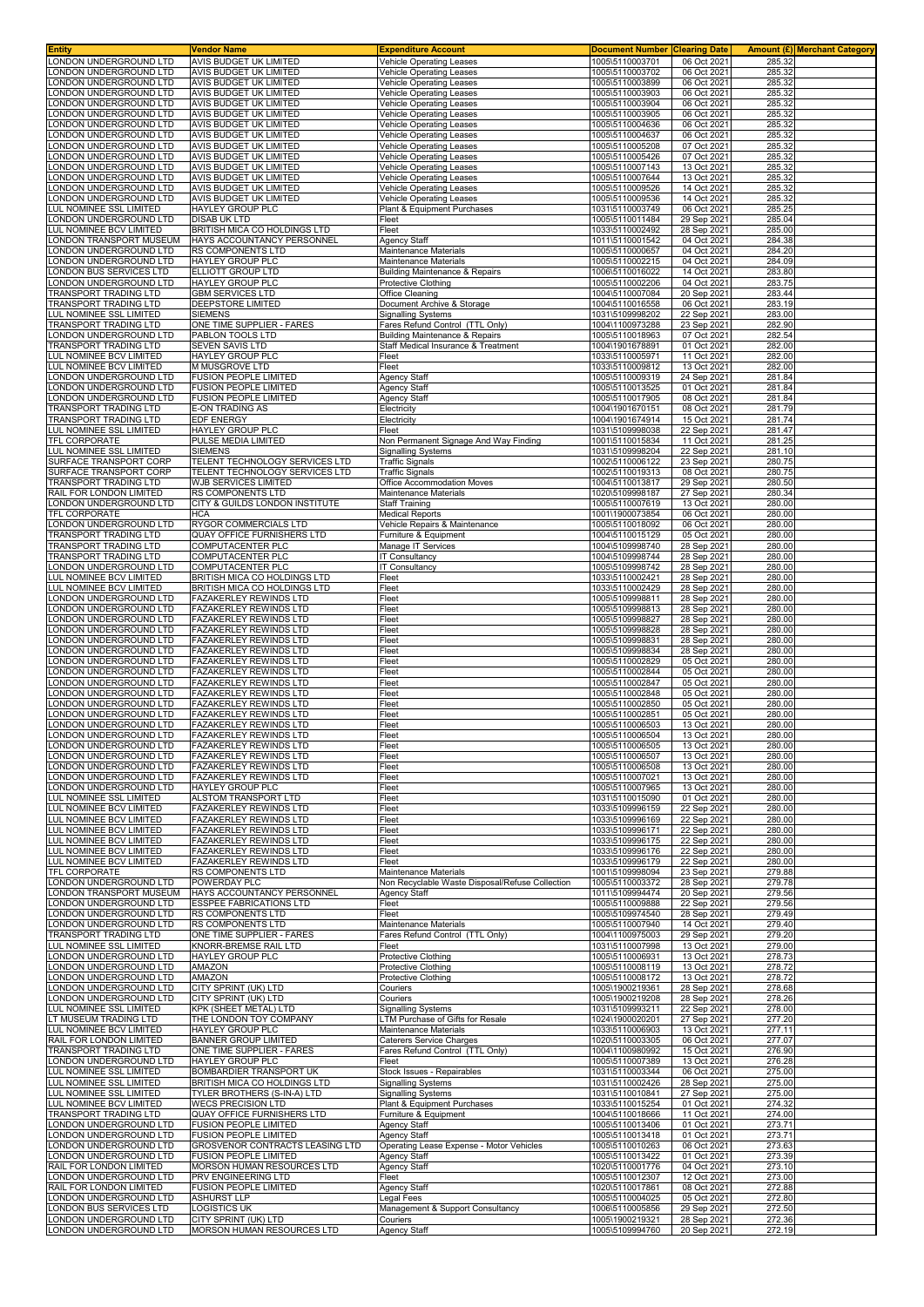| <b>Entity</b>                                          | Vendor Name                                                    | Expenditure Account                                                      | <b>Document Number</b>             | <b>Clearing Date</b>       |                  | Amount (£) Merchant Category |
|--------------------------------------------------------|----------------------------------------------------------------|--------------------------------------------------------------------------|------------------------------------|----------------------------|------------------|------------------------------|
| ONDON UNDERGROUND LTD<br>ONDON UNDERGROUND LTD         | AVIS BUDGET UK LIMITED<br>AVIS BUDGET UK LIMITED               | <b>Vehicle Operating Leases</b><br><b>Vehicle Operating Leases</b>       | 1005\5110003701<br>1005\5110003702 | 06 Oct 2021<br>06 Oct 2021 | 285.32<br>285.32 |                              |
| ONDON UNDERGROUND LTD                                  | AVIS BUDGET UK LIMITED                                         | Vehicle Operating Leases                                                 | 1005\5110003899                    | 06 Oct 2021                | 285.32           |                              |
| ONDON UNDERGROUND LTD                                  | AVIS BUDGET UK LIMITED                                         | <b>Vehicle Operating Leases</b>                                          | 1005\5110003903                    | 06 Oct 2021                | 285.32           |                              |
| ONDON UNDERGROUND LTD                                  | AVIS BUDGET UK LIMITED                                         | <b>Vehicle Operating Leases</b>                                          | 1005\5110003904                    | 06 Oct 2021                | 285.32           |                              |
| ONDON UNDERGROUND LTD                                  | AVIS BUDGET UK LIMITED                                         | Vehicle Operating Leases                                                 | 1005\5110003905                    | 06 Oct 2021                | 285.32           |                              |
| ONDON UNDERGROUND LTD<br>ONDON UNDERGROUND LTD         | AVIS BUDGET UK LIMITED<br>AVIS BUDGET UK LIMITED               | Vehicle Operating Leases<br>Vehicle Operating Leases                     | 1005\5110004636<br>1005\5110004637 | 06 Oct 2021<br>06 Oct 2021 | 285.32<br>285.32 |                              |
| ONDON UNDERGROUND LTD                                  | <b>AVIS BUDGET UK LIMITED</b>                                  | Vehicle Operating Leases                                                 | 1005\5110005208                    | 07 Oct 2021                | 285.32           |                              |
| ONDON UNDERGROUND LTD                                  | AVIS BUDGET UK LIMITED                                         | Vehicle Operating Leases                                                 | 1005\5110005426                    | 07 Oct 2021                | 285.32           |                              |
| ONDON UNDERGROUND LTD                                  | AVIS BUDGET UK LIMITED                                         | Vehicle Operating Leases                                                 | 1005\5110007143                    | 13 Oct 2021                | 285.32           |                              |
| ONDON UNDERGROUND LTD                                  | AVIS BUDGET UK LIMITED                                         | Vehicle Operating Leases                                                 | 1005\5110007644                    | 13 Oct 2021                | 285.32           |                              |
| ONDON UNDERGROUND LTD<br>ONDON UNDERGROUND LTD         | AVIS BUDGET UK LIMITED<br>AVIS BUDGET UK LIMITED               | Vehicle Operating Leases<br><b>Vehicle Operating Leases</b>              | 1005\5110009526<br>1005\5110009536 | 14 Oct 2021<br>14 Oct 2021 | 285.32<br>285.32 |                              |
| UL NOMINEE SSL LIMITED                                 | HAYLEY GROUP PLC                                               | Plant & Equipment Purchases                                              | 1031\5110003749                    | 06 Oct 2021                | 285.25           |                              |
| ONDON UNDERGROUND LTD                                  | <b>DISAB UK LTD</b>                                            | Fleet                                                                    | 1005\5110011484                    | 29 Sep 2021                | 285.04           |                              |
| UL NOMINEE BCV LIMITED                                 | BRITISH MICA CO HOLDINGS LTD                                   | Fleet                                                                    | 1033\5110002492                    | 28 Sep 2021                | 285.00           |                              |
| ONDON TRANSPORT MUSEUM<br>ONDON UNDERGROUND LTD        | HAYS ACCOUNTANCY PERSONNEL<br>RS COMPONENTS LTD                | Agency Staff<br>Maintenance Materials                                    | 1011\5110001542<br>1005\5110000657 | 04 Oct 2021<br>04 Oct 2021 | 284.38<br>284.20 |                              |
| ONDON UNDERGROUND LTD                                  | HAYLEY GROUP PLC                                               | Maintenance Materials                                                    | 1005\5110002215                    | 04 Oct 2021                | 284.09           |                              |
| ONDON BUS SERVICES LTD                                 | <b>ELLIOTT GROUP LTD</b>                                       | <b>Building Maintenance &amp; Repairs</b>                                | 1006\5110016022                    | 14 Oct 2021                | 283.80           |                              |
| ONDON UNDERGROUND LTD                                  | HAYLEY GROUP PLC                                               | Protective Clothing                                                      | 1005\5110002206                    | 04 Oct 2021                | 283.75           |                              |
| <b>FRANSPORT TRADING LTD</b><br>TRANSPORT TRADING LTD  | <b>GBM SERVICES LTD</b><br>DEEPSTORE LIMITED                   | Office Cleaning<br>Document Archive & Storage                            | 1004\5110007084<br>1004\5110016558 | 20 Sep 2021<br>06 Oct 2021 | 283.44<br>283.19 |                              |
| UL NOMINEE SSL LIMITED                                 | <b>SIEMENS</b>                                                 | Signalling Systems                                                       | 1031\5109998202                    | 22 Sep 2021                | 283.00           |                              |
| TRANSPORT TRADING LTD                                  | ONE TIME SUPPLIER - FARES                                      | Fares Refund Control (TTL Only)                                          | 1004\1100973288                    | 23 Sep 2021                | 282.90           |                              |
| ONDON UNDERGROUND LTD                                  | PABLON TOOLS LTD                                               | Building Maintenance & Repairs                                           | 1005\5110018963                    | 07 Oct 2021                | 282.54           |                              |
| TRANSPORT TRADING LTD                                  | SEVEN SAVIS LTD                                                | Staff Medical Insurance & Treatment                                      | 1004\1901678891<br>1033\5110005971 | 01 Oct 2021                | 282.00           |                              |
| UL NOMINEE BCV LIMITED<br>UL NOMINEE BCV LIMITED       | HAYLEY GROUP PLC<br>M MUSGROVE LTD                             | Fleet<br>Fleet                                                           | 1033\5110009812                    | 11 Oct 2021<br>13 Oct 2021 | 282.00<br>282.00 |                              |
| ONDON UNDERGROUND LTD                                  | <b>FUSION PEOPLE LIMITED</b>                                   | Agency Staff                                                             | 1005\5110009319                    | 24 Sep 2021                | 281.84           |                              |
| ONDON UNDERGROUND LTD                                  | FUSION PEOPLE LIMITED                                          | Agency Staff                                                             | 1005\5110013525                    | 01 Oct 2021                | 281.84           |                              |
| ONDON UNDERGROUND LTD                                  | FUSION PEOPLE LIMITED                                          | Agency Staff                                                             | 1005\5110017905                    | 08 Oct 2021                | 281.84           |                              |
| RANSPORT TRADING LTD<br>TRANSPORT TRADING LTD          | E-ON TRADING AS<br>EDF ENERGY                                  | Electricity<br>Electricity                                               | 1004\1901670151<br>1004\1901674914 | 08 Oct 2021<br>15 Oct 2021 | 281.79<br>281.74 |                              |
| UL NOMINEE SSL LIMITED                                 | HAYLEY GROUP PLC                                               | Fleet                                                                    | 1031\5109998038                    | 22 Sep 2021                | 281.47           |                              |
| TFL CORPORATE                                          | PULSE MEDIA LIMITED                                            | Non Permanent Signage And Way Finding                                    | 1001\5110015834                    | 11 Oct 2021                | 281.25           |                              |
| UL NOMINEE SSL LIMITED                                 | <b>SIEMENS</b>                                                 | <b>Signalling Systems</b>                                                | 1031\5109998204                    | 22 Sep 2021                | 281.10           |                              |
| SURFACE TRANSPORT CORP                                 | TELENT TECHNOLOGY SERVICES LTD                                 | <b>Traffic Signals</b>                                                   | 1002\5110006122                    | 23 Sep 2021                | 280.75           |                              |
| SURFACE TRANSPORT CORP<br><b>TRANSPORT TRADING LTD</b> | TELENT TECHNOLOGY SERVICES LTD<br><b>WJB SERVICES LIMITED</b>  | <b>Traffic Signals</b><br>Office Accommodation Moves                     | 1002\5110019313<br>1004\5110013817 | 08 Oct 2021<br>29 Sep 2021 | 280.75<br>280.50 |                              |
| RAIL FOR LONDON LIMITED                                | RS COMPONENTS LTD                                              | Maintenance Materials                                                    | 1020\5109998187                    | 27 Sep 2021                | 280.34           |                              |
| ONDON UNDERGROUND LTD                                  | CITY & GUILDS LONDON INSTITUTE                                 | Staff Training                                                           | 1005\5110007619                    | 13 Oct 2021                | 280.00           |                              |
| TFL CORPORATE                                          | <b>HCA</b>                                                     | <b>Medical Reports</b>                                                   | 1001\1900073854                    | 06 Oct 2021                | 280.00           |                              |
| ONDON UNDERGROUND LTD                                  | RYGOR COMMERCIALS LTD                                          | Vehicle Repairs & Maintenance                                            | 1005\5110018092                    | 06 Oct 2021                | 280.00           |                              |
| <b>FRANSPORT TRADING LTD</b><br>TRANSPORT TRADING LTD  | QUAY OFFICE FURNISHERS LTD<br>COMPUTACENTER PLC                | Furniture & Equipment<br>Manage IT Services                              | 1004\5110015129<br>1004\5109998740 | 05 Oct 2021<br>28 Sep 2021 | 280.00<br>280.00 |                              |
| <b>FRANSPORT TRADING LTD</b>                           | COMPUTACENTER PLC                                              | IT Consultancy                                                           | 1004\5109998744                    | 28 Sep 2021                | 280.00           |                              |
| ONDON UNDERGROUND LTD                                  | COMPUTACENTER PLC                                              | <b>IT Consultancy</b>                                                    | 1005\5109998742                    | 28 Sep 2021                | 280.00           |                              |
| UL NOMINEE BCV LIMITED                                 | BRITISH MICA CO HOLDINGS LTD                                   | Fleet                                                                    | 1033\5110002421                    | 28 Sep 2021                | 280.00           |                              |
| <b>UL NOMINEE BCV LIMITED</b><br>ONDON UNDERGROUND LTD | BRITISH MICA CO HOLDINGS LTD<br>FAZAKERLEY REWINDS LTD         | Fleet<br>Fleet                                                           | 1033\5110002429<br>1005\5109998811 | 28 Sep 2021<br>28 Sep 2021 | 280.00<br>280.00 |                              |
| ONDON UNDERGROUND LTD                                  | FAZAKERLEY REWINDS LTD                                         | Fleet                                                                    | 1005\5109998813                    | 28 Sep 2021                | 280.00           |                              |
| ONDON UNDERGROUND LTD                                  | FAZAKERLEY REWINDS LTD                                         | Fleet                                                                    | 1005\5109998827                    | 28 Sep 2021                | 280.00           |                              |
| ONDON UNDERGROUND LTD                                  | FAZAKERLEY REWINDS LTD                                         | Fleet                                                                    | 1005\5109998828                    | 28 Sep 2021                | 280.00           |                              |
| ONDON UNDERGROUND LTD                                  | FAZAKERLEY REWINDS LTD<br><b>FAZAKERLEY REWINDS LTD</b>        | Fleet                                                                    | 1005\5109998831                    | 28 Sep 2021                | 280.00           |                              |
| ONDON UNDERGROUND LTD<br>ONDON UNDERGROUND LTD         | FAZAKERLEY REWINDS LTD                                         | Fleet<br>Fleet                                                           | 1005\5109998834<br>1005\5110002829 | 28 Sep 2021<br>05 Oct 2021 | 280.00<br>280.00 |                              |
| ONDON UNDERGROUND LTD                                  | FAZAKERLEY REWINDS LTD                                         | Fleet                                                                    | 1005\5110002844                    | 05 Oct 2021                | 280.00           |                              |
| ONDON UNDERGROUND LTD                                  | <b>FAZAKERLEY REWINDS LTD</b>                                  | Fleet                                                                    | 1005\5110002847                    | 05 Oct 2021                | 280.00           |                              |
| ONDON UNDERGROUND LTD                                  | FAZAKERLEY REWINDS LTD                                         | Fleet                                                                    | 1005\5110002848                    | 05 Oct 2021                | 280.00           |                              |
| ONDON UNDERGROUND LTD<br>ONDON UNDERGROUND LTD         | <b>FAZAKERLEY REWINDS LTD</b><br><b>FAZAKERLEY REWINDS LTD</b> | Fleet<br>Fleet                                                           | 1005\5110002850<br>1005\5110002851 | 05 Oct 2021<br>05 Oct 2021 | 280.00<br>280.00 |                              |
| ONDON UNDERGROUND LTD                                  | <b>FAZAKERLEY REWINDS LTD</b>                                  | Fleet                                                                    | 1005\5110006503                    | 13 Oct 2021                | 280.00           |                              |
| ONDON UNDERGROUND LTD                                  | FAZAKERLEY REWINDS LTD                                         | Fleet                                                                    | 1005\5110006504                    | 13 Oct 2021                | 280.00           |                              |
| LONDON UNDERGROUND LTD                                 | FAZAKERLEY REWINDS LTD                                         | Fleet                                                                    | 1005\5110006505                    | 13 Oct 2021                | 280.00           |                              |
| ONDON UNDERGROUND LTD                                  | <b>FAZAKERLEY REWINDS LTD</b>                                  | Fleet                                                                    | 1005\5110006507                    | 13 Oct 2021<br>13 Oct 2021 | 280.00           |                              |
| ONDON UNDERGROUND LTD.<br>ONDON UNDERGROUND LTD        | FAZAKERLEY REWINDS LTD<br>FAZAKERLEY REWINDS LTD               | Fleet<br>Fleet                                                           | 1005\5110006508<br>1005\5110007021 | 13 Oct 2021                | 280.00<br>280.00 |                              |
| ONDON UNDERGROUND LTD                                  | <b>HAYLEY GROUP PLC</b>                                        | Fleet                                                                    | 1005\5110007965                    | 13 Oct 2021                | 280.00           |                              |
| UL NOMINEE SSL LIMITED                                 | ALSTOM TRANSPORT LTD                                           | Fleet                                                                    | 1031\5110015090                    | 01 Oct 2021                | 280.00           |                              |
| LUL NOMINEE BCV LIMITED                                | FAZAKERLEY REWINDS LTD                                         | Fleet                                                                    | 1033\5109996159                    | 22 Sep 2021                | 280.00           |                              |
| LUL NOMINEE BCV LIMITED<br>LUL NOMINEE BCV LIMITED     | <b>FAZAKERLEY REWINDS LTD</b><br>FAZAKERLEY REWINDS LTD        | Fleet<br>Fleet                                                           | 1033\5109996169<br>1033\5109996171 | 22 Sep 2021<br>22 Sep 2021 | 280.00<br>280.00 |                              |
| LUL NOMINEE BCV LIMITED                                | FAZAKERLEY REWINDS LTD                                         | Fleet                                                                    | 1033\5109996175                    | 22 Sep 2021                | 280.00           |                              |
| LUL NOMINEE BCV LIMITED                                | FAZAKERLEY REWINDS LTD                                         | Fleet                                                                    | 1033\5109996176                    | 22 Sep 2021                | 280.00           |                              |
| LUL NOMINEE BCV LIMITED                                | FAZAKERLEY REWINDS LTD                                         | Fleet                                                                    | 1033\5109996179                    | 22 Sep 2021                | 280.00           |                              |
| <b>TFL CORPORATE</b><br>ONDON UNDERGROUND LTD          | RS COMPONENTS LTD<br>POWERDAY PLC                              | Maintenance Materials<br>Non Recyclable Waste Disposal/Refuse Collection | 1001\5109998094<br>1005\5110003372 | 23 Sep 2021<br>28 Sep 2021 | 279.88<br>279.78 |                              |
| ONDON TRANSPORT MUSEUM                                 | HAYS ACCOUNTANCY PERSONNEL                                     | Agency Staff                                                             | 1011\5109994474                    | 20 Sep 2021                | 279.56           |                              |
| ONDON UNDERGROUND LTD                                  | ESSPEE FABRICATIONS LTD                                        | Fleet                                                                    | 1005\5110009888                    | 22 Sep 2021                | 279.56           |                              |
| ONDON UNDERGROUND LTD                                  | RS COMPONENTS LTD                                              | Fleet                                                                    | 1005\5109974540                    | 28 Sep 2021                | 279.49           |                              |
| ONDON UNDERGROUND LTD<br><b>TRANSPORT TRADING LTD</b>  | RS COMPONENTS LTD<br>ONE TIME SUPPLIER - FARES                 | Maintenance Materials<br>Fares Refund Control (TTL Only)                 | 1005\5110007940<br>1004\1100975003 | 14 Oct 2021<br>29 Sep 2021 | 279.40<br>279.20 |                              |
| UL NOMINEE SSL LIMITED                                 | KNORR-BREMSE RAIL LTD                                          | Fleet                                                                    | 1031\5110007998                    | 13 Oct 2021                | 279.00           |                              |
| ONDON UNDERGROUND LTD                                  | HAYLEY GROUP PLC                                               | Protective Clothing                                                      | 1005\5110006931                    | 13 Oct 2021                | 278.73           |                              |
| ONDON UNDERGROUND LTD                                  | AMAZON                                                         | <b>Protective Clothing</b>                                               | 1005\5110008119                    | 13 Oct 2021                | 278.72           |                              |
| ONDON UNDERGROUND LTD                                  | AMAZON                                                         | <b>Protective Clothing</b>                                               | 1005\5110008172                    | 13 Oct 2021                | 278.72           |                              |
| ONDON UNDERGROUND LTD<br>ONDON UNDERGROUND LTD         | CITY SPRINT (UK) LTD<br>CITY SPRINT (UK) LTD                   | Couriers<br>Couriers                                                     | 1005\1900219361<br>1005\1900219208 | 28 Sep 2021<br>28 Sep 2021 | 278.68<br>278.26 |                              |
| UL NOMINEE SSL LIMITED                                 | KPK (SHEET METAL) LTD                                          | <b>Signalling Systems</b>                                                | 1031\5109993211                    | 22 Sep 2021                | 278.00           |                              |
| LT MUSEUM TRADING LTD                                  | THE LONDON TOY COMPANY                                         | LTM Purchase of Gifts for Resale                                         | 1024\1900020201                    | 27 Sep 2021                | 277.20           |                              |
| LUL NOMINEE BCV LIMITED                                | <b>HAYLEY GROUP PLC</b>                                        | <b>Maintenance Materials</b>                                             | 1033\5110006903                    | 13 Oct 2021                | 277.11           |                              |
| RAIL FOR LONDON LIMITED<br>TRANSPORT TRADING LTD       | <b>BANNER GROUP LIMITED</b><br>ONE TIME SUPPLIER - FARES       | Caterers Service Charges<br>Fares Refund Control (TTL Only)              | 1020\5110003305<br>1004\1100980992 | 06 Oct 2021<br>15 Oct 2021 | 277.07<br>276.90 |                              |
| ONDON UNDERGROUND LTD                                  | HAYLEY GROUP PLC                                               | Fleet                                                                    | 1005\5110007389                    | 13 Oct 2021                | 276.28           |                              |
| LUL NOMINEE SSL LIMITED                                | BOMBARDIER TRANSPORT UK                                        | Stock Issues - Repairables                                               | 1031\5110003344                    | 06 Oct 2021                | 275.00           |                              |
| <b>UL NOMINEE SSL LIMITED</b>                          | BRITISH MICA CO HOLDINGS LTD                                   | Signalling Systems                                                       | 1031\5110002426                    | 28 Sep 2021                | 275.00           |                              |
| LUL NOMINEE SSL LIMITED                                | TYLER BROTHERS (S-IN-A) LTD                                    | Signalling Systems                                                       | 1031\5110010841                    | 27 Sep 2021                | 275.00           |                              |
| LUL NOMINEE BCV LIMITED<br>TRANSPORT TRADING LTD       | <b>WECS PRECISION LTD</b><br>QUAY OFFICE FURNISHERS LTD        | Plant & Equipment Purchases<br>Furniture & Equipment                     | 1033\5110015254<br>1004\5110018666 | 01 Oct 2021<br>11 Oct 2021 | 274.32<br>274.00 |                              |
| ONDON UNDERGROUND LTD                                  | FUSION PEOPLE LIMITED                                          | Agency Staff                                                             | 1005\5110013406                    | 01 Oct 2021                | 273.71           |                              |
| ONDON UNDERGROUND LTD                                  | FUSION PEOPLE LIMITED                                          | Agency Staff                                                             | 1005\5110013418                    | 01 Oct 2021                | 273.71           |                              |
| ONDON UNDERGROUND LTD                                  | GROSVENOR CONTRACTS LEASING LTD                                | Operating Lease Expense - Motor Vehicles                                 | 1005\5110010263                    | 06 Oct 2021                | 273.63           |                              |
| ONDON UNDERGROUND LTD<br>RAIL FOR LONDON LIMITED       | FUSION PEOPLE LIMITED<br>MORSON HUMAN RESOURCES LTD            | <b>Agency Staff</b><br>Agency Staff                                      | 1005\5110013422<br>1020\5110001776 | 01 Oct 2021<br>04 Oct 2021 | 273.39<br>273.10 |                              |
| ONDON UNDERGROUND LTD                                  | PRV ENGINEERING LTD                                            | Fleet                                                                    | 1005\5110012307                    | 12 Oct 2021                | 273.00           |                              |
| RAIL FOR LONDON LIMITED                                | <b>FUSION PEOPLE LIMITED</b>                                   | Agency Staff                                                             | 1020\5110017861                    | 08 Oct 2021                | 272.88           |                              |
| ONDON UNDERGROUND LTD                                  | ASHURST LLP                                                    | Legal Fees                                                               | 1005\5110004025                    | 05 Oct 2021                | 272.80           |                              |
| ONDON BUS SERVICES LTD                                 | <b>LOGISTICS UK</b>                                            | Management & Support Consultancy                                         | 1006\5110005856                    | 29 Sep 2021                | 272.50           |                              |
| ONDON UNDERGROUND LTD<br>LONDON UNDERGROUND LTD        | CITY SPRINT (UK) LTD<br>MORSON HUMAN RESOURCES LTD             | Couriers<br><b>Agency Staff</b>                                          | 1005\1900219321<br>1005\5109994760 | 28 Sep 2021<br>20 Sep 2021 | 272.36<br>272.19 |                              |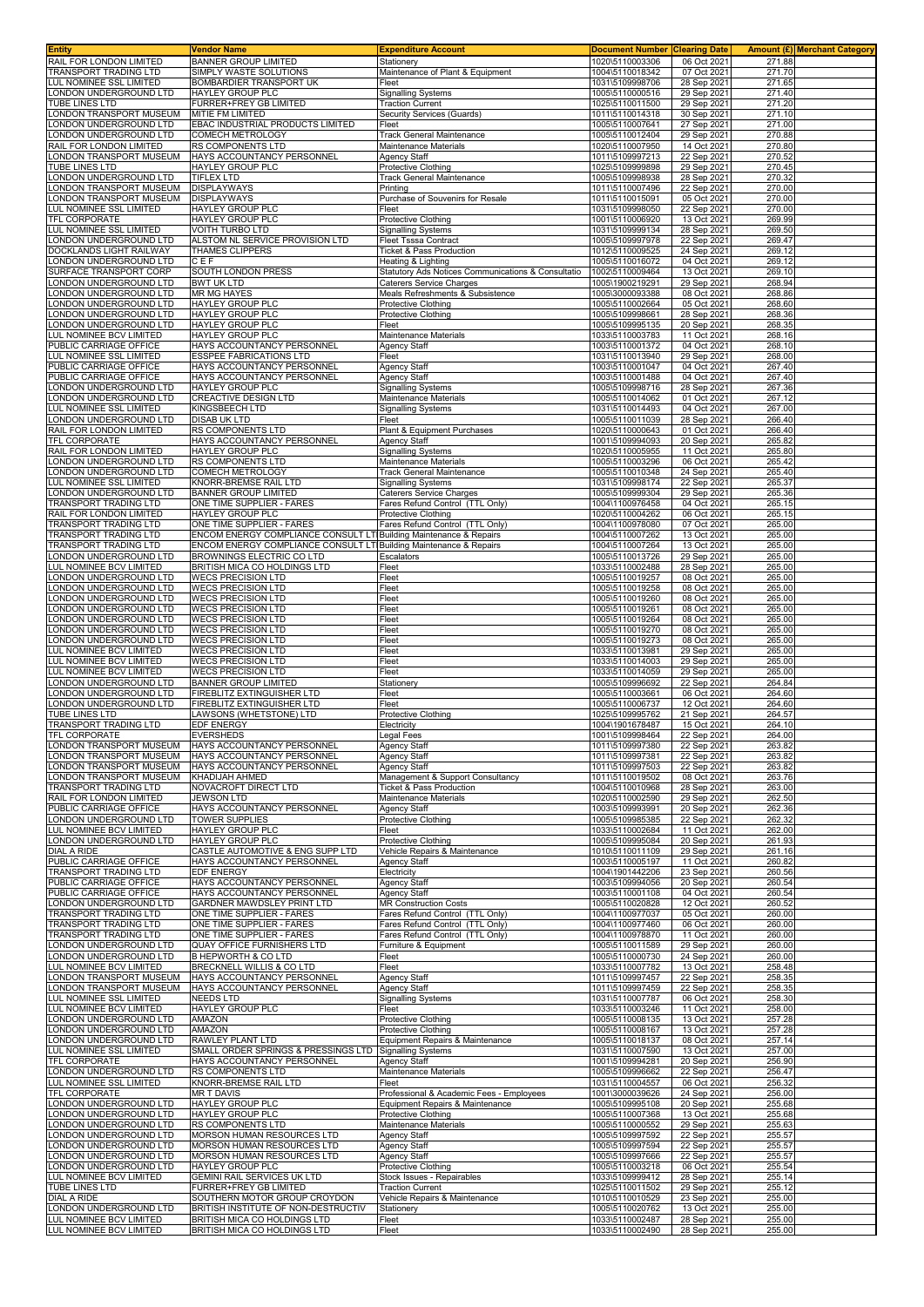| <b>Entity</b>                                         | <b>Vendor Name</b>                                                           | <b>Expenditure Account</b>                                                     | <b>Document Number</b>             | <b>Clearing Date</b>       |                  | <b>Amount (£) Merchant Category</b> |
|-------------------------------------------------------|------------------------------------------------------------------------------|--------------------------------------------------------------------------------|------------------------------------|----------------------------|------------------|-------------------------------------|
| RAIL FOR LONDON LIMITED<br>TRANSPORT TRADING LTD      | <b>BANNER GROUP LIMITED</b><br>SIMPLY WASTE SOLUTIONS                        | Stationerv<br>Maintenance of Plant & Equipment                                 | 1020\5110003306<br>1004\5110018342 | 06 Oct 2021<br>07 Oct 2021 | 271.88<br>271.70 |                                     |
| <b>LUL NOMINEE SSL LIMITED</b>                        | BOMBARDIER TRANSPORT UK                                                      | Fleet                                                                          | 1031\5109998706                    | 28 Sep 2021                | 271.65           |                                     |
| ONDON UNDERGROUND LTD                                 | <b>HAYLEY GROUP PLC</b>                                                      | <b>Signalling Systems</b>                                                      | 1005\5110000516                    | 29 Sep 2021                | 271.40           |                                     |
| TUBE LINES LTD                                        | FURRER+FREY GB LIMITED                                                       | <b>Traction Current</b>                                                        | 1025\5110011500                    | 29 Sep 2021                | 271.20           |                                     |
| ONDON TRANSPORT MUSEUM                                | MITIE FM LIMITED                                                             | Security Services (Guards)                                                     | 1011\5110014318                    | 30 Sep 2021                | 271.10           |                                     |
| ONDON UNDERGROUND LTD                                 | EBAC INDUSTRIAL PRODUCTS LIMITED                                             | Fleet                                                                          | 1005\5110007641                    | 27 Sep 2021                | 271.00           |                                     |
| ONDON UNDERGROUND LTD<br>RAIL FOR LONDON LIMITED      | COMECH METROLOGY<br>RS COMPONENTS LTD                                        | <b>Track General Maintenance</b><br>Maintenance Materials                      | 1005\5110012404<br>1020\5110007950 | 29 Sep 2021<br>14 Oct 2021 | 270.88<br>270.80 |                                     |
| ONDON TRANSPORT MUSEUM                                | HAYS ACCOUNTANCY PERSONNEL                                                   | Agency Staff                                                                   | 1011\5109997213                    | 22 Sep 2021                | 270.52           |                                     |
| TUBE LINES LTD                                        | HAYLEY GROUP PLC                                                             | Protective Clothing                                                            | 1025\5109999898                    | 29 Sep 2021                | 270.45           |                                     |
| ONDON UNDERGROUND LTD                                 | <b>TIFLEX LTD</b>                                                            | <b>Track General Maintenance</b>                                               | 1005\5109998938                    | 28 Sep 2021                | 270.32           |                                     |
| ONDON TRANSPORT MUSEUM                                | <b>DISPLAYWAYS</b>                                                           | Printing                                                                       | 1011\5110007496                    | 22 Sep 2021                | 270.00           |                                     |
| ONDON TRANSPORT MUSEUM                                | <b>DISPLAYWAYS</b>                                                           | Purchase of Souvenirs for Resale                                               | 1011\5110015091                    | 05 Oct 2021                | 270.00           |                                     |
| <b>UL NOMINEE SSL LIMITED</b><br>TFL CORPORATE        | HAYLEY GROUP PLC<br>HAYLEY GROUP PLC                                         | Fleet<br>Protective Clothing                                                   | 1031\5109998050<br>1001\5110006920 | 22 Sep 2021<br>13 Oct 2021 | 270.00<br>269.99 |                                     |
| <b>LUL NOMINEE SSL LIMITED</b>                        | <b>VOITH TURBO LTD</b>                                                       | <b>Signalling Systems</b>                                                      | 1031\5109999134                    | 28 Sep 2021                | 269.50           |                                     |
| ONDON UNDERGROUND LTD                                 | ALSTOM NL SERVICE PROVISION LTD                                              | <b>Fleet Tsssa Contract</b>                                                    | 1005\5109997978                    | 22 Sep 2021                | 269.47           |                                     |
| DOCKLANDS LIGHT RAILWAY                               | <b>THAMES CLIPPERS</b>                                                       | Ticket & Pass Production                                                       | 1012\5110009525                    | 24 Sep 2021                | 269.12           |                                     |
| ONDON UNDERGROUND LTD                                 | CEF                                                                          | Heating & Lighting                                                             | 1005\5110016072<br>1002\5110009464 | 04 Oct 2021                | 269.12           |                                     |
| SURFACE TRANSPORT CORP<br>ONDON UNDERGROUND LTD       | SOUTH LONDON PRESS<br><b>BWT UK LTD</b>                                      | Statutory Ads Notices Communications & Consultatio<br>Caterers Service Charges | 1005\1900219291                    | 13 Oct 2021<br>29 Sep 2021 | 269.10<br>268.94 |                                     |
| ONDON UNDERGROUND LTD                                 | <b>MR MG HAYES</b>                                                           | Meals Refreshments & Subsistence                                               | 1005\3000093388                    | 08 Oct 2021                | 268.86           |                                     |
| ONDON UNDERGROUND LTD                                 | HAYLEY GROUP PLC                                                             | Protective Clothing                                                            | 1005\5110002664                    | 05 Oct 2021                | 268.60           |                                     |
| ONDON UNDERGROUND LTD                                 | HAYLEY GROUP PLC                                                             | Protective Clothing                                                            | 1005\5109998661                    | 28 Sep 2021                | 268.36           |                                     |
| ONDON UNDERGROUND LTD                                 | <b>HAYLEY GROUP PLC</b>                                                      | Fleet                                                                          | 1005\5109995135                    | 20 Sep 2021                | 268.35<br>268.16 |                                     |
| UL NOMINEE BCV LIMITED<br>PUBLIC CARRIAGE OFFICE      | HAYLEY GROUP PLC<br>HAYS ACCOUNTANCY PERSONNEL                               | Maintenance Materials<br>Agency Staff                                          | 1033\5110003783<br>1003\5110001372 | 11 Oct 2021<br>04 Oct 2021 | 268.10           |                                     |
| <b>UL NOMINEE SSL LIMITED</b>                         | ESSPEE FABRICATIONS LTD                                                      | Fleet                                                                          | 1031\5110013940                    | 29 Sep 2021                | 268.00           |                                     |
| PUBLIC CARRIAGE OFFICE                                | HAYS ACCOUNTANCY PERSONNEL                                                   | <b>Agency Staff</b>                                                            | 1003\5110001047                    | 04 Oct 2021                | 267.40           |                                     |
| PUBLIC CARRIAGE OFFICE                                | HAYS ACCOUNTANCY PERSONNEL                                                   | <b>Agency Staff</b>                                                            | 1003\5110001488                    | 04 Oct 2021                | 267.40           |                                     |
| ONDON UNDERGROUND LTD<br>ONDON UNDERGROUND LTD        | HAYLEY GROUP PLC<br>CREACTIVE DESIGN LTD                                     | <b>Signalling Systems</b><br>Maintenance Materials                             | 1005\5109998716<br>1005\5110014062 | 28 Sep 2021<br>01 Oct 2021 | 267.36<br>267.12 |                                     |
| UL NOMINEE SSL LIMITED                                | KINGSBEECH LTD                                                               | Signalling Systems                                                             | 1031\5110014493                    | 04 Oct 2021                | 267.00           |                                     |
| ONDON UNDERGROUND LTD                                 | DISAB UK LTD                                                                 | Fleet                                                                          | 1005\5110011039                    | 28 Sep 2021                | 266.40           |                                     |
| RAIL FOR LONDON LIMITED                               | RS COMPONENTS LTD                                                            | Plant & Equipment Purchases                                                    | 1020\5110000643                    | 01 Oct 2021                | 266.40           |                                     |
| TFL CORPORATE                                         | HAYS ACCOUNTANCY PERSONNEL                                                   | Agency Staff                                                                   | 1001\5109994093                    | 20 Sep 2021                | 265.82           |                                     |
| RAIL FOR LONDON LIMITED<br>ONDON UNDERGROUND LTD      | HAYLEY GROUP PLC<br>RS COMPONENTS LTD                                        | <b>Signalling Systems</b><br>Maintenance Materials                             | 1020\5110005955<br>1005\5110003296 | 11 Oct 2021<br>06 Oct 2021 | 265.80<br>265.42 |                                     |
| ONDON UNDERGROUND LTD                                 | <b>COMECH METROLOGY</b>                                                      | <b>Track General Maintenance</b>                                               | 1005\5110010348                    | 24 Sep 2021                | 265.40           |                                     |
| UL NOMINEE SSL LIMITED                                | KNORR-BREMSE RAIL LTD                                                        | <b>Signalling Systems</b>                                                      | 1031\5109998174                    | 22 Sep 2021                | 265.37           |                                     |
| ONDON UNDERGROUND LTD                                 | <b>BANNER GROUP LIMITED</b>                                                  | Caterers Service Charges                                                       | 1005\5109999304                    | 29 Sep 2021                | 265.36           |                                     |
| TRANSPORT TRADING LTD                                 | ONE TIME SUPPLIER - FARES                                                    | Fares Refund Control (TTL Only)                                                | 1004\1100976458                    | 04 Oct 2021                | 265.15           |                                     |
| RAIL FOR LONDON LIMITED<br>TRANSPORT TRADING LTD      | HAYLEY GROUP PLC<br>ONE TIME SUPPLIER - FARES                                | Protective Clothing<br>Fares Refund Control (TTL Only)                         | 1020\5110004262<br>1004\1100978080 | 06 Oct 2021<br>07 Oct 2021 | 265.15<br>265.00 |                                     |
| TRANSPORT TRADING LTD                                 | ENCOM ENERGY COMPLIANCE CONSULT LT Building Maintenance & Repairs            |                                                                                | 1004\5110007262                    | 13 Oct 2021                | 265.00           |                                     |
| TRANSPORT TRADING LTD                                 | <b>ENCOM ENERGY COMPLIANCE CONSULT LTIBuilding Maintenance &amp; Repairs</b> |                                                                                | 1004\5110007264                    | 13 Oct 2021                | 265.00           |                                     |
| ONDON UNDERGROUND LTD                                 | BROWNINGS ELECTRIC CO LTD                                                    | Escalators                                                                     | 1005\5110013726                    | 29 Sep 2021                | 265.00           |                                     |
| LUL NOMINEE BCV LIMITED<br>ONDON UNDERGROUND LTD      | BRITISH MICA CO HOLDINGS LTD<br><b>WECS PRECISION LTD</b>                    | Fleet<br>Fleet                                                                 | 1033\5110002488<br>1005\5110019257 | 28 Sep 2021<br>08 Oct 2021 | 265.00<br>265.00 |                                     |
| ONDON UNDERGROUND LTD                                 | <b>WECS PRECISION LTD</b>                                                    | Fleet                                                                          | 1005\5110019258                    | 08 Oct 2021                | 265.00           |                                     |
| ONDON UNDERGROUND LTD                                 | <b>WECS PRECISION LTD</b>                                                    | Fleet                                                                          | 1005\5110019260                    | 08 Oct 2021                | 265.00           |                                     |
| ONDON UNDERGROUND LTD                                 | <b>WECS PRECISION LTD</b>                                                    | Fleet                                                                          | 1005\5110019261                    | 08 Oct 2021                | 265.00           |                                     |
| ONDON UNDERGROUND LTD                                 | <b>WECS PRECISION LTD</b>                                                    | Fleet                                                                          | 1005\5110019264                    | 08 Oct 2021                | 265.00           |                                     |
| ONDON UNDERGROUND LTD<br>ONDON UNDERGROUND LTD        | <b>WECS PRECISION LTD</b><br><b>WECS PRECISION LTD</b>                       | Fleet<br>Fleet                                                                 | 1005\5110019270<br>1005\5110019273 | 08 Oct 2021<br>08 Oct 2021 | 265.00<br>265.00 |                                     |
| UL NOMINEE BCV LIMITED                                | <b>WECS PRECISION LTD</b>                                                    | Fleet                                                                          | 1033\5110013981                    | 29 Sep 2021                | 265.00           |                                     |
| LUL NOMINEE BCV LIMITED                               | <b>WECS PRECISION LTD</b>                                                    | Fleet                                                                          | 1033\5110014003                    | 29 Sep 2021                | 265.00           |                                     |
| <b>LUL NOMINEE BCV LIMITED</b>                        | <b>WECS PRECISION LTD</b>                                                    | Fleet                                                                          | 1033\5110014059                    | 29 Sep 2021                | 265.00           |                                     |
| ONDON UNDERGROUND LTD                                 | <b>BANNER GROUP LIMITED</b>                                                  | Stationery                                                                     | 1005\5109996692                    | 22 Sep 2021                | 264.84           |                                     |
| ONDON UNDERGROUND LTD<br>ONDON UNDERGROUND LTD        | <b>FIREBLITZ EXTINGUISHER LTD</b><br>FIREBLITZ EXTINGUISHER LTD              | Fleet<br>Fleet                                                                 | 1005\5110003661<br>1005\5110006737 | 06 Oct 2021<br>12 Oct 2021 | 264.60<br>264.60 |                                     |
| <b>TUBE LINES LTD</b>                                 | LAWSONS (WHETSTONE) LTD                                                      | Protective Clothing                                                            | 1025\5109995762                    | 21 Sep 2021                | 264.57           |                                     |
| TRANSPORT TRADING LTD                                 | <b>EDF ENERGY</b>                                                            | Electricity                                                                    | 1004\1901678487                    | 15 Oct 2021                | 264.10           |                                     |
| TFL CORPORATE                                         | <b>EVERSHEDS</b>                                                             | Legal Fees                                                                     | 1001\5109998464                    | 22 Sep 2021                | 264.00           |                                     |
| LONDON TRANSPORT MUSEUM<br>LONDON TRANSPORT MUSEUM    | <b>HAYS ACCOUNTANCY PERSONNEL</b><br>HAYS ACCOUNTANCY PERSONNEL              | Agency Staff                                                                   | 1011\5109997380<br>1011\5109997381 | 22 Sep 2021<br>22 Sep 2021 | 263.82<br>263.82 |                                     |
| ONDON TRANSPORT MUSEUM                                | HAYS ACCOUNTANCY PERSONNEL                                                   | Agency Staff<br><b>Agency Staff</b>                                            | 1011\5109997503                    | 22 Sep 2021                | 263.82           |                                     |
| ONDON TRANSPORT MUSEUM                                | KHADIJAH AHMED                                                               | Management & Support Consultancy                                               | 1011\5110019502                    | 08 Oct 2021                | 263.76           |                                     |
| TRANSPORT TRADING LTD                                 | NOVACROFT DIRECT LTD                                                         | Ticket & Pass Production                                                       | 1004\5110010968                    | 28 Sep 2021                | 263.00           |                                     |
| RAIL FOR LONDON LIMITED                               | <b>JEWSON LTD</b>                                                            | Maintenance Materials                                                          | 1020\5110002590                    | 29 Sep 2021                | 262.50           |                                     |
| PUBLIC CARRIAGE OFFICE<br>ONDON UNDERGROUND LTD       | HAYS ACCOUNTANCY PERSONNEL<br><b>TOWER SUPPLIES</b>                          | Agency Staff<br>Protective Clothing                                            | 1003\5109993991<br>1005\5109985385 | 20 Sep 2021<br>22 Sep 2021 | 262.36<br>262.32 |                                     |
| LUL NOMINEE BCV LIMITED                               | <b>HAYLEY GROUP PLC</b>                                                      | Fleet                                                                          | 1033\5110002684                    | 11 Oct 2021                | 262.00           |                                     |
| ONDON UNDERGROUND LTD                                 | HAYLEY GROUP PLC                                                             | Protective Clothing                                                            | 1005\5109995084                    | 20 Sep 2021                | 261.93           |                                     |
| DIAL A RIDE                                           | CASTLE AUTOMOTIVE & ENG SUPP LTD                                             | Vehicle Repairs & Maintenance                                                  | 1010\5110011109                    | 29 Sep 2021                | 261.16           |                                     |
| PUBLIC CARRIAGE OFFICE<br>TRANSPORT TRADING LTD       | HAYS ACCOUNTANCY PERSONNEL<br><b>EDF ENERGY</b>                              | Agency Staff<br>Electricity                                                    | 1003\5110005197                    | 11 Oct 2021                | 260.82           |                                     |
| PUBLIC CARRIAGE OFFICE                                | HAYS ACCOUNTANCY PERSONNEL                                                   | Agency Staff                                                                   | 1004\1901442206<br>1003\5109994056 | 23 Sep 2021<br>20 Sep 2021 | 260.56<br>260.54 |                                     |
| PUBLIC CARRIAGE OFFICE                                | HAYS ACCOUNTANCY PERSONNEL                                                   | Agency Staff                                                                   | 1003\5110001108                    | 04 Oct 2021                | 260.54           |                                     |
| ONDON UNDERGROUND LTD                                 | GARDNER MAWDSLEY PRINT LTD                                                   | <b>MR Construction Costs</b>                                                   | 1005\5110020828                    | 12 Oct 2021                | 260.52           |                                     |
| TRANSPORT TRADING LTD                                 | ONE TIME SUPPLIER - FARES                                                    | Fares Refund Control (TTL Only)                                                | 1004\1100977037<br>1004\1100977460 | 05 Oct 2021                | 260.00           |                                     |
| TRANSPORT TRADING LTD<br><b>FRANSPORT TRADING LTD</b> | ONE TIME SUPPLIER - FARES<br>ONE TIME SUPPLIER - FARES                       | Fares Refund Control (TTL Only)<br>Fares Refund Control (TTL Only)             | 1004\1100978870                    | 06 Oct 2021<br>11 Oct 2021 | 260.00<br>260.00 |                                     |
| ONDON UNDERGROUND LTD                                 | QUAY OFFICE FURNISHERS LTD                                                   | Furniture & Equipment                                                          | 1005\5110011589                    | 29 Sep 2021                | 260.00           |                                     |
| ONDON UNDERGROUND LTD                                 | <b>B HEPWORTH &amp; CO LTD</b>                                               | Fleet                                                                          | 1005\5110000730                    | 24 Sep 2021                | 260.00           |                                     |
| UL NOMINEE BCV LIMITED                                | BRECKNELL WILLIS & CO LTD                                                    | Fleet                                                                          | 1033\5110007782                    | 13 Oct 2021                | 258.48           |                                     |
| ONDON TRANSPORT MUSEUM<br>LONDON TRANSPORT MUSEUM     | HAYS ACCOUNTANCY PERSONNEL<br>HAYS ACCOUNTANCY PERSONNEL                     | Agency Staff                                                                   | 1011\5109997457<br>1011\5109997459 | 22 Sep 2021<br>22 Sep 2021 | 258.35<br>258.35 |                                     |
| LUL NOMINEE SSL LIMITED                               | <b>NEEDS LTD</b>                                                             | Agency Staff<br><b>Signalling Systems</b>                                      | 1031\5110007787                    | 06 Oct 2021                | 258.30           |                                     |
| LUL NOMINEE BCV LIMITED                               | <b>HAYLEY GROUP PLC</b>                                                      | Fleet                                                                          | 1033\5110003246                    | 11 Oct 2021                | 258.00           |                                     |
| ONDON UNDERGROUND LTD                                 | AMAZON                                                                       | Protective Clothing                                                            | 1005\5110008135                    | 13 Oct 2021                | 257.28           |                                     |
| ONDON UNDERGROUND LTD                                 | <b>AMAZON</b>                                                                | <b>Protective Clothing</b>                                                     | 1005\5110008167                    | 13 Oct 2021                | 257.28           |                                     |
| ONDON UNDERGROUND LTD<br>LUL NOMINEE SSL LIMITED      | RAWLEY PLANT LTD<br>SMALL ORDER SPRINGS & PRESSINGS LTD Signalling Systems   | Equipment Repairs & Maintenance                                                | 1005\5110018137<br>1031\5110007590 | 08 Oct 2021<br>13 Oct 2021 | 257.14<br>257.00 |                                     |
| TFL CORPORATE                                         | HAYS ACCOUNTANCY PERSONNEL                                                   | Agency Staff                                                                   | 1001\5109994281                    | 20 Sep 2021                | 256.90           |                                     |
| LONDON UNDERGROUND LTD                                | RS COMPONENTS LTD                                                            | Maintenance Materials                                                          | 1005\5109996662                    | 22 Sep 2021                | 256.47           |                                     |
| <b>UL NOMINEE SSL LIMITED</b>                         | KNORR-BREMSE RAIL LTD                                                        | Fleet                                                                          | 1031\5110004557                    | 06 Oct 2021                | 256.32           |                                     |
| <b>TFL CORPORATE</b><br>ONDON UNDERGROUND LTD         | <b>MR T DAVIS</b><br>HAYLEY GROUP PLC                                        | Professional & Academic Fees - Employees<br>Equipment Repairs & Maintenance    | 1001\3000039626<br>1005\5109995108 | 24 Sep 2021<br>20 Sep 2021 | 256.00<br>255.68 |                                     |
| ONDON UNDERGROUND LTD                                 | HAYLEY GROUP PLC                                                             | Protective Clothing                                                            | 1005\5110007368                    | 13 Oct 2021                | 255.68           |                                     |
| ONDON UNDERGROUND LTD                                 | RS COMPONENTS LTD                                                            | Maintenance Materials                                                          | 1005\5110000552                    | 29 Sep 2021                | 255.63           |                                     |
| ONDON UNDERGROUND LTD                                 | MORSON HUMAN RESOURCES LTD                                                   | Agency Staff                                                                   | 1005\5109997592                    | 22 Sep 2021                | 255.57           |                                     |
| ONDON UNDERGROUND LTD                                 | <b>MORSON HUMAN RESOURCES LTD</b>                                            | Agency Staff                                                                   | 1005\5109997594                    | 22 Sep 2021                | 255.57           |                                     |
| ONDON UNDERGROUND LTD<br>ONDON UNDERGROUND LTD        | MORSON HUMAN RESOURCES LTD<br>HAYLEY GROUP PLC                               | Agency Staff<br>Protective Clothing                                            | 1005\5109997666<br>1005\5110003218 | 22 Sep 2021<br>06 Oct 2021 | 255.57<br>255.54 |                                     |
| <b>LUL NOMINEE BCV LIMITED</b>                        | GEMINI RAIL SERVICES UK LTD                                                  | Stock Issues - Repairables                                                     | 1033\5109999412                    | 28 Sep 2021                | 255.14           |                                     |
| TUBE LINES LTD                                        | FURRER+FREY GB LIMITED                                                       | <b>Traction Current</b>                                                        | 1025\5110011502                    | 29 Sep 2021                | 255.12           |                                     |
| DIAL A RIDE                                           | SOUTHERN MOTOR GROUP CROYDON                                                 | Vehicle Repairs & Maintenance                                                  | 1010\5110010529                    | 23 Sep 2021                | 255.00           |                                     |
| ONDON UNDERGROUND LTD<br>LUL NOMINEE BCV LIMITED      | BRITISH INSTITUTE OF NON-DESTRUCTIV<br>BRITISH MICA CO HOLDINGS LTD          | Stationery<br>Fleet                                                            | 1005\5110020762<br>1033\5110002487 | 13 Oct 2021<br>28 Sep 2021 | 255.00<br>255.00 |                                     |
| LUL NOMINEE BCV LIMITED                               | BRITISH MICA CO HOLDINGS LTD                                                 | Fleet                                                                          | 1033\5110002490                    | 28 Sep 2021                | 255.00           |                                     |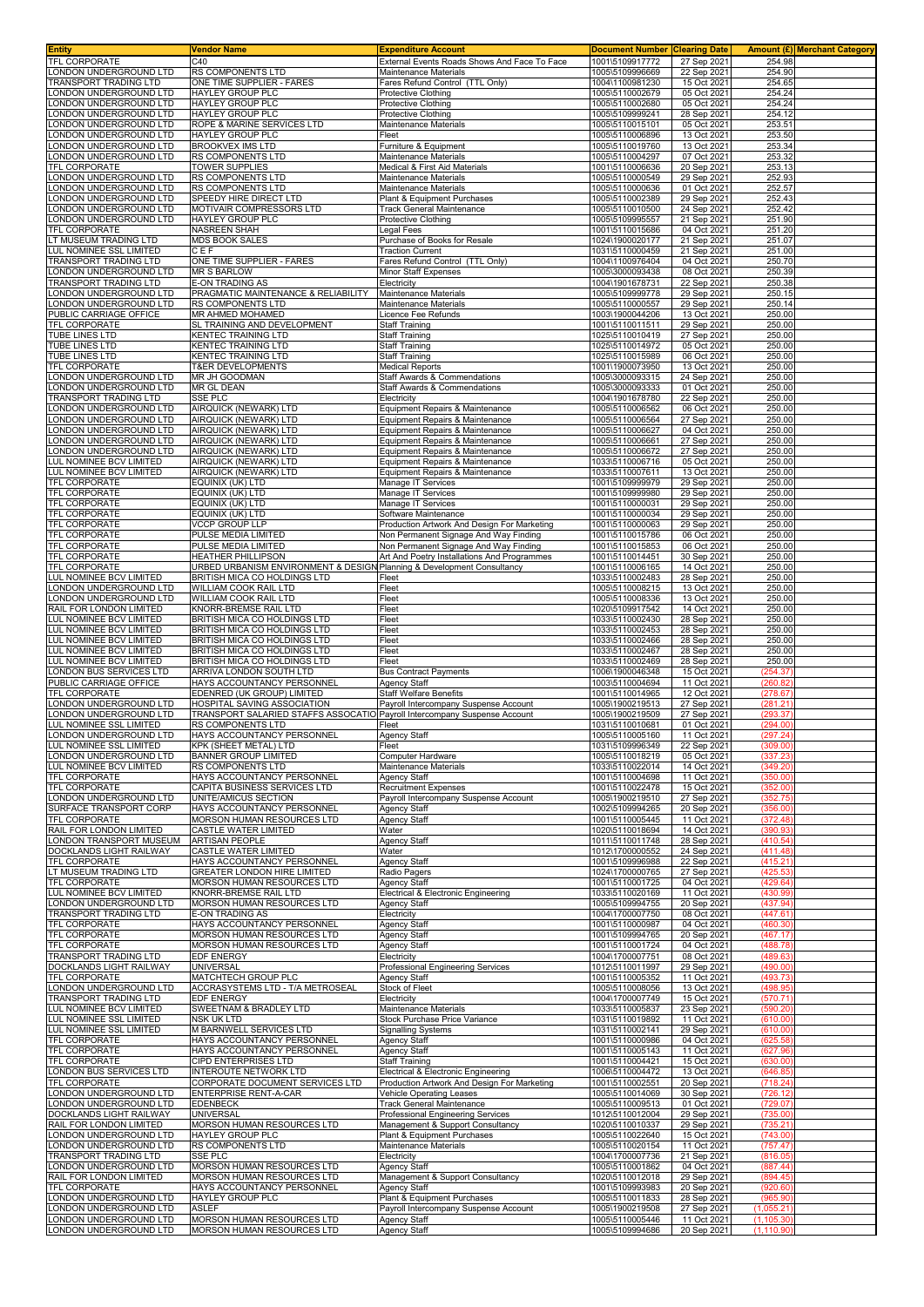| <b>Entity</b>                                           | Vendor Name                                                                                    | <b>Expenditure Account</b>                                                         | <b>Document Number</b>             | <b>Clearing Date</b>       |                      | Amount (£) Merchant Category |
|---------------------------------------------------------|------------------------------------------------------------------------------------------------|------------------------------------------------------------------------------------|------------------------------------|----------------------------|----------------------|------------------------------|
| TFL CORPORATE<br>ONDON UNDERGROUND LTD                  | C40<br>RS COMPONENTS LTD                                                                       | External Events Roads Shows And Face To Face<br>Maintenance Materials              | 1001\5109917772<br>1005\5109996669 | 27 Sep 2021<br>22 Sep 2021 | 254.98<br>254.90     |                              |
| <b>TRANSPORT TRADING LTD</b>                            | ONE TIME SUPPLIER - FARES                                                                      | Fares Refund Control (TTL Only)                                                    | 1004\1100981230                    | 15 Oct 2021                | 254.65               |                              |
| ONDON UNDERGROUND LTD                                   | HAYLEY GROUP PLC                                                                               | Protective Clothing                                                                | 1005\5110002679                    | 05 Oct 2021                | 254.24               |                              |
| ONDON UNDERGROUND LTD                                   | HAYLEY GROUP PLC                                                                               | <b>Protective Clothing</b>                                                         | 1005\5110002680                    | 05 Oct 2021                | 254.24               |                              |
| ONDON UNDERGROUND LTD                                   | HAYLEY GROUP PLC                                                                               | Protective Clothing                                                                | 1005\5109999241                    | 28 Sep 2021                | 254.12               |                              |
| ONDON UNDERGROUND LTD<br>ONDON UNDERGROUND LTD          | ROPE & MARINE SERVICES LTD<br>HAYLEY GROUP PLC                                                 | Maintenance Materials<br>Fleet                                                     | 1005\5110015101<br>1005\5110006896 | 05 Oct 2021<br>13 Oct 2021 | 253.51<br>253.50     |                              |
| ONDON UNDERGROUND LTD                                   | BROOKVEX IMS LTD                                                                               | Furniture & Equipment                                                              | 1005\5110019760                    | 13 Oct 2021                | 253.34               |                              |
| ONDON UNDERGROUND LTD                                   | RS COMPONENTS LTD                                                                              | Maintenance Materials                                                              | 1005\5110004297                    | 07 Oct 2021                | 253.32               |                              |
| TFL CORPORATE                                           | TOWER SUPPLIES                                                                                 | Medical & First Aid Materials                                                      | 1001\5110006636                    | 20 Sep 2021                | 253.13               |                              |
| ONDON UNDERGROUND LTD                                   | RS COMPONENTS LTD                                                                              | Maintenance Materials                                                              | 1005\5110000549                    | 29 Sep 2021                | 252.93               |                              |
| ONDON UNDERGROUND LTD<br>ONDON UNDERGROUND LTD          | RS COMPONENTS LTD<br>SPEEDY HIRE DIRECT LTD                                                    | Maintenance Materials<br>Plant & Equipment Purchases                               | 1005\5110000636<br>1005\5110002389 | 01 Oct 2021<br>29 Sep 2021 | 252.57<br>252.43     |                              |
| ONDON UNDERGROUND LTD                                   | MOTIVAIR COMPRESSORS LTD                                                                       | <b>Track General Maintenance</b>                                                   | 1005\5110010500                    | 24 Sep 2021                | 252.42               |                              |
| ONDON UNDERGROUND LTD                                   | HAYLEY GROUP PLC                                                                               | Protective Clothing                                                                | 1005\5109995557                    | 21 Sep 2021                | 251.90               |                              |
| TFL CORPORATE                                           | NASREEN SHAH                                                                                   | Legal Fees                                                                         | 1001\5110015686                    | 04 Oct 2021                | 251.20               |                              |
| LT MUSEUM TRADING LTD                                   | <b>MDS BOOK SALES</b>                                                                          | Purchase of Books for Resale                                                       | 1024\1900020177                    | 21 Sep 2021                | 251.07               |                              |
| LUL NOMINEE SSL LIMITED<br><b>TRANSPORT TRADING LTD</b> | C E F<br>ONE TIME SUPPLIER - FARES                                                             | <b>Traction Current</b><br>Fares Refund Control (TTL Only)                         | 1031\5110000459<br>1004\1100976404 | 21 Sep 2021<br>04 Oct 2021 | 251.00<br>250.70     |                              |
| ONDON UNDERGROUND LTD                                   | <b>MR S BARLOW</b>                                                                             | Minor Staff Expenses                                                               | 1005\3000093438                    | 08 Oct 2021                | 250.39               |                              |
| TRANSPORT TRADING LTD                                   | E-ON TRADING AS                                                                                | Electricity                                                                        | 1004\1901678731                    | 22 Sep 2021                | 250.38               |                              |
| ONDON UNDERGROUND LTD                                   | PRAGMATIC MAINTENANCE & RELIABILITY                                                            | Maintenance Materials                                                              | 1005\5109999778                    | 29 Sep 2021                | 250.15               |                              |
| ONDON UNDERGROUND LTD                                   | <b>RS COMPONENTS LTD</b>                                                                       | Maintenance Materials                                                              | 1005\5110000557                    | 29 Sep 2021                | 250.14               |                              |
| PUBLIC CARRIAGE OFFICE<br>TFL CORPORATE                 | MR AHMED MOHAMED<br>SL TRAINING AND DEVELOPMENT                                                | Licence Fee Refunds<br><b>Staff Training</b>                                       | 1003\1900044206<br>1001\5110011511 | 13 Oct 2021<br>29 Sep 2021 | 250.00<br>250.00     |                              |
| TUBE LINES LTD                                          | KENTEC TRAINING LTD                                                                            | <b>Staff Training</b>                                                              | 1025\5110010419                    | 27 Sep 2021                | 250.00               |                              |
| TUBE LINES LTD                                          | KENTEC TRAINING LTD                                                                            | <b>Staff Training</b>                                                              | 1025\5110014972                    | 05 Oct 2021                | 250.00               |                              |
| TUBE LINES LTD                                          | KENTEC TRAINING LTD                                                                            | Staff Training                                                                     | 1025\5110015989                    | 06 Oct 2021                | 250.00               |                              |
| TFL CORPORATE                                           | <b>T&amp;ER DEVELOPMENTS</b>                                                                   | <b>Medical Reports</b>                                                             | 1001\1900073950                    | 13 Oct 2021                | 250.00               |                              |
| ONDON UNDERGROUND LTD<br>ONDON UNDERGROUND LTD          | MR JH GOODMAN                                                                                  | Staff Awards & Commendations                                                       | 1005\3000093315<br>1005\3000093333 | 24 Sep 2021<br>01 Oct 2021 | 250.00<br>250.00     |                              |
| TRANSPORT TRADING LTD                                   | MR GL DEAN<br>SSE PLC                                                                          | Staff Awards & Commendations<br>Electricity                                        | 1004\1901678780                    | 22 Sep 2021                | 250.00               |                              |
| ONDON UNDERGROUND LTD                                   | AIRQUICK (NEWARK) LTD                                                                          | Equipment Repairs & Maintenance                                                    | 1005\5110006562                    | 06 Oct 2021                | 250.00               |                              |
| ONDON UNDERGROUND LTD                                   | AIRQUICK (NEWARK) LTD                                                                          | Equipment Repairs & Maintenance                                                    | 1005\5110006564                    | 27 Sep 2021                | 250.00               |                              |
| ONDON UNDERGROUND LTD                                   | AIRQUICK (NEWARK) LTD                                                                          | Equipment Repairs & Maintenance                                                    | 1005\5110006627                    | 04 Oct 2021                | 250.00               |                              |
| ONDON UNDERGROUND LTD                                   | AIRQUICK (NEWARK) LTD                                                                          | Equipment Repairs & Maintenance<br>Equipment Repairs & Maintenance                 | 1005\5110006661                    | 27 Sep 2021                | 250.00<br>250.00     |                              |
| ONDON UNDERGROUND LTD<br>LUL NOMINEE BCV LIMITED        | AIRQUICK (NEWARK) LTD<br>AIRQUICK (NEWARK) LTD                                                 | Equipment Repairs & Maintenance                                                    | 1005\5110006672<br>1033\5110006716 | 27 Sep 2021<br>05 Oct 2021 | 250.00               |                              |
| LUL NOMINEE BCV LIMITED                                 | AIRQUICK (NEWARK) LTD                                                                          | Equipment Repairs & Maintenance                                                    | 1033\5110007611                    | 13 Oct 2021                | 250.00               |                              |
| TFL CORPORATE                                           | EQUINIX (UK) LTD                                                                               | Manage IT Services                                                                 | 1001\5109999979                    | 29 Sep 2021                | 250.00               |                              |
| TFL CORPORATE                                           | EQUINIX (UK) LTD                                                                               | Manage IT Services                                                                 | 1001\5109999980                    | 29 Sep 2021                | 250.00               |                              |
| TFL CORPORATE                                           | EQUINIX (UK) LTD                                                                               | Manage IT Services                                                                 | 1001\5110000031                    | 29 Sep 2021                | 250.00               |                              |
| TFL CORPORATE<br>TFL CORPORATE                          | EQUINIX (UK) LTD<br>VCCP GROUP LLP                                                             | Software Maintenance<br>Production Artwork And Design For Marketing                | 1001\5110000034<br>1001\5110000063 | 29 Sep 2021<br>29 Sep 2021 | 250.00<br>250.00     |                              |
| TFL CORPORATE                                           | PULSE MEDIA LIMITED                                                                            | Non Permanent Signage And Way Finding                                              | 1001\5110015786                    | 06 Oct 2021                | 250.00               |                              |
| TFL CORPORATE                                           | PULSE MEDIA LIMITED                                                                            | Non Permanent Signage And Way Finding                                              | 1001\5110015853                    | 06 Oct 2021                | 250.00               |                              |
| TFL CORPORATE                                           | HEATHER PHILLIPSON                                                                             | Art And Poetry Installations And Programmes                                        | 1001\5110014451                    | 30 Sep 2021                | 250.00               |                              |
| TFL CORPORATE                                           | URBED URBANISM ENVIRONMENT & DESIGN Planning & Development Consultancy                         |                                                                                    | 1001\5110006165                    | 14 Oct 2021                | 250.00               |                              |
| LUL NOMINEE BCV LIMITED                                 | BRITISH MICA CO HOLDINGS LTD                                                                   | Fleet                                                                              | 1033\5110002483                    | 28 Sep 2021                | 250.00               |                              |
| LONDON UNDERGROUND LTD<br>ONDON UNDERGROUND LTD         | WILLIAM COOK RAIL LTD<br>WILLIAM COOK RAIL LTD                                                 | Fleet<br>Fleet                                                                     | 1005\5110008215<br>1005\5110008336 | 13 Oct 2021<br>13 Oct 2021 | 250.00<br>250.00     |                              |
| RAIL FOR LONDON LIMITED                                 | KNORR-BREMSE RAIL LTD                                                                          | Fleet                                                                              | 1020\5109917542                    | 14 Oct 2021                | 250.00               |                              |
| LUL NOMINEE BCV LIMITED                                 | BRITISH MICA CO HOLDINGS LTD                                                                   | Fleet                                                                              | 1033\5110002430                    | 28 Sep 2021                | 250.00               |                              |
| LUL NOMINEE BCV LIMITED                                 | BRITISH MICA CO HOLDINGS LTD                                                                   | Fleet                                                                              | 1033\5110002453                    | 28 Sep 2021                | 250.00               |                              |
| UL NOMINEE BCV LIMITED                                  | BRITISH MICA CO HOLDINGS LTD                                                                   | Fleet                                                                              | 1033\5110002466                    | 28 Sep 2021                | 250.00               |                              |
| LUL NOMINEE BCV LIMITED<br>LUL NOMINEE BCV LIMITED      | BRITISH MICA CO HOLDINGS LTD<br>BRITISH MICA CO HOLDINGS LTD                                   | Fleet<br>Fleet                                                                     | 1033\5110002467<br>1033\5110002469 | 28 Sep 2021<br>28 Sep 2021 | 250.00<br>250.00     |                              |
| ONDON BUS SERVICES LTD                                  | ARRIVA LONDON SOUTH LTD                                                                        | <b>Bus Contract Payments</b>                                                       | 1006\1900046348                    | 15 Oct 2021                | (254.37)             |                              |
| PUBLIC CARRIAGE OFFICE                                  | HAYS ACCOUNTANCY PERSONNEL                                                                     | Agency Staff                                                                       | 1003\5110004694                    | 11 Oct 2021                | (260.82)             |                              |
| TFL CORPORATE                                           | EDENRED (UK GROUP) LIMITED                                                                     | <b>Staff Welfare Benefits</b>                                                      | 1001\5110014965                    | 12 Oct 2021                | (278.67)             |                              |
| ONDON UNDERGROUND LTD                                   | HOSPITAL SAVING ASSOCIATION                                                                    | Payroll Intercompany Suspense Account                                              | 1005\1900219513                    | 27 Sep 2021                | (281.21)<br>(293.37  |                              |
| ONDON UNDERGROUND LTD<br>LUL NOMINEE SSL LIMITED        | TRANSPORT SALARIED STAFFS ASSOCATIO Payroll Intercompany Suspense Account<br>RS COMPONENTS LTD | Fleet                                                                              | 1005\1900219509<br>1031\5110010681 | 27 Sep 2021<br>01 Oct 2021 | (294.00)             |                              |
| LONDON UNDERGROUND LTD                                  | HAYS ACCOUNTANCY PERSONNEL                                                                     | <b>Agency Staff</b>                                                                | 1005\5110005160                    | 11 Oct 2021                | (297.24              |                              |
| LUL NOMINEE SSL LIMITED                                 | KPK (SHEET METAL) LTD                                                                          | Fleet                                                                              | 1031\5109996349                    | 22 Sep 2021                | (309.00)             |                              |
| LONDON UNDERGROUND LTD                                  | <b>BANNER GROUP LIMITED</b>                                                                    | Computer Hardware                                                                  | 1005\5110018219                    | 05 Oct 2021                | (337.2)              |                              |
| LUL NOMINEE BCV LIMITED<br>TFL CORPORATE                | RS COMPONENTS LTD<br>HAYS ACCOUNTANCY PERSONNEL                                                | <b>Maintenance Materials</b><br><b>Agency Staff</b>                                | 1033\5110022014<br>1001\5110004698 | 14 Oct 2021<br>11 Oct 2021 | (349.20<br>(350.00)  |                              |
| TFL CORPORATE                                           | CAPITA BUSINESS SERVICES LTD                                                                   | <b>Recruitment Expenses</b>                                                        | 1001\5110022478                    | 15 Oct 2021                | (352.00)             |                              |
| LONDON UNDERGROUND LTD                                  | UNITE/AMICUS SECTION                                                                           | Payroll Intercompany Suspense Account                                              | 1005\1900219510                    | 27 Sep 2021                | (352.75              |                              |
| SURFACE TRANSPORT CORP                                  | HAYS ACCOUNTANCY PERSONNEL                                                                     | <b>Agency Staff</b>                                                                | 1002\5109994265                    | 20 Sep 2021                | (356.00)             |                              |
| TFL CORPORATE                                           | MORSON HUMAN RESOURCES LTD                                                                     | Agency Staff                                                                       | 1001\5110005445                    | 11 Oct 2021                | (372.48)             |                              |
| RAIL FOR LONDON LIMITED<br>LONDON TRANSPORT MUSEUM      | CASTLE WATER LIMITED<br>ARTISAN PEOPLE                                                         | Water<br><b>Agency Staff</b>                                                       | 1020\5110018694<br>1011\5110011748 | 14 Oct 2021<br>28 Sep 2021 | (390.93<br>(410.54)  |                              |
| DOCKLANDS LIGHT RAILWAY                                 | CASTLE WATER LIMITED                                                                           | Water                                                                              | 1012\1700000552                    | 24 Sep 2021                | (411.48)             |                              |
| TFL CORPORATE                                           | HAYS ACCOUNTANCY PERSONNEL                                                                     | Agency Staff                                                                       | 1001\5109996988                    | 22 Sep 2021                | (415.21)             |                              |
| LT MUSEUM TRADING LTD                                   | GREATER LONDON HIRE LIMITED                                                                    | Radio Pagers                                                                       | 1024\1700000765                    | 27 Sep 2021                | (425.53)             |                              |
| TFL CORPORATE<br>LUL NOMINEE BCV LIMITED                | MORSON HUMAN RESOURCES LTD<br>KNORR-BREMSE RAIL LTD                                            | <b>Agency Staff</b><br>Electrical & Electronic Engineering                         | 1001\5110001725<br>1033\5110020169 | 04 Oct 2021<br>11 Oct 2021 | (429.64)<br>(430.99) |                              |
| LONDON UNDERGROUND LTD                                  | MORSON HUMAN RESOURCES LTD                                                                     | <b>Agency Staff</b>                                                                | 1005\5109994755                    | 20 Sep 2021                | (437.94)             |                              |
| TRANSPORT TRADING LTD                                   | E-ON TRADING AS                                                                                | Electricity                                                                        | 1004\1700007750                    | 08 Oct 2021                | (447.61)             |                              |
| TFL CORPORATE                                           | HAYS ACCOUNTANCY PERSONNEL                                                                     | <b>Agency Staff</b>                                                                | 1001\5110000987                    | 04 Oct 2021                | (460.30)             |                              |
| TFL CORPORATE                                           | MORSON HUMAN RESOURCES LTD                                                                     | Agency Staff                                                                       | 1001\5109994765                    | 20 Sep 2021                | (467.17)             |                              |
| TFL CORPORATE<br>TRANSPORT TRADING LTD                  | MORSON HUMAN RESOURCES LTD<br>EDF ENERGY                                                       | <b>Agency Staff</b><br>Electricity                                                 | 1001\5110001724<br>1004\1700007751 | 04 Oct 2021<br>08 Oct 2021 | (488.78)<br>(489.63  |                              |
| DOCKLANDS LIGHT RAILWAY                                 | <b>UNIVERSAL</b>                                                                               | Professional Engineering Services                                                  | 1012\5110011997                    | 29 Sep 2021                | (490.00)             |                              |
| TFL CORPORATE                                           | MATCHTECH GROUP PLC                                                                            | <b>Agency Staff</b>                                                                | 1001\5110005352                    | 11 Oct 2021                | (493.73)             |                              |
| LONDON UNDERGROUND LTD                                  | ACCRASYSTEMS LTD - T/A METROSEAL                                                               | Stock of Fleet                                                                     | 1005\5110008056                    | 13 Oct 2021                | (498.95)             |                              |
| TRANSPORT TRADING LTD                                   | EDF ENERGY                                                                                     | Electricity                                                                        | 1004\1700007749                    | 15 Oct 2021                | (570.71              |                              |
| LUL NOMINEE BCV LIMITED<br>LUL NOMINEE SSL LIMITED      | SWEETNAM & BRADLEY LTD<br>NSK UK LTD                                                           | Maintenance Materials<br>Stock Purchase Price Variance                             | 1033\5110005837<br>1031\5110019892 | 23 Sep 2021<br>11 Oct 2021 | (590.20<br>(610.00)  |                              |
| LUL NOMINEE SSL LIMITED                                 | M BARNWELL SERVICES LTD                                                                        | <b>Signalling Systems</b>                                                          | 1031\5110002141                    | 29 Sep 2021                | (610.00)             |                              |
| TFL CORPORATE                                           | HAYS ACCOUNTANCY PERSONNEL                                                                     | <b>Agency Staff</b>                                                                | 1001\5110000986                    | 04 Oct 2021                | (625.58)             |                              |
| <b>TFL CORPORATE</b>                                    | HAYS ACCOUNTANCY PERSONNEL                                                                     | <b>Agency Staff</b>                                                                | 1001\5110005143                    | 11 Oct 2021                | (627.96)             |                              |
| TFL CORPORATE                                           | CIPD ENTERPRISES LTD<br><b>INTEROUTE NETWORK LTD</b>                                           | <b>Staff Training</b>                                                              | 1001\5110004421<br>1006\5110004472 | 15 Oct 2021<br>13 Oct 2021 | (630.00)<br>(646.85  |                              |
| LONDON BUS SERVICES LTD<br>TFL CORPORATE                | CORPORATE DOCUMENT SERVICES LTD                                                                | Electrical & Electronic Engineering<br>Production Artwork And Design For Marketing | 1001\5110002551                    | 20 Sep 2021                | (718.24              |                              |
| LONDON UNDERGROUND LTD                                  | ENTERPRISE RENT-A-CAR                                                                          | Vehicle Operating Leases                                                           | 1005\5110014069                    | 30 Sep 2021                | (726.12)             |                              |
| ONDON UNDERGROUND LTD                                   | EDENBECK                                                                                       | <b>Track General Maintenance</b>                                                   | 1005\5110009513                    | 01 Oct 2021                | (729.07)             |                              |
| DOCKLANDS LIGHT RAILWAY                                 | <b>UNIVERSAL</b>                                                                               | Professional Engineering Services                                                  | 1012\5110012004                    | 29 Sep 2021                | (735.00              |                              |
| RAIL FOR LONDON LIMITED<br>LONDON UNDERGROUND LTD       | MORSON HUMAN RESOURCES LTD<br>HAYLEY GROUP PLC                                                 | Management & Support Consultancy<br>Plant & Equipment Purchases                    | 1020\5110010337<br>1005\5110022640 | 29 Sep 2021<br>15 Oct 2021 | (735.21)<br>(743.00) |                              |
| ONDON UNDERGROUND LTD                                   | RS COMPONENTS LTD                                                                              | <b>Maintenance Materials</b>                                                       | 1005\5110020154                    | 11 Oct 2021                | (757.47)             |                              |
| TRANSPORT TRADING LTD                                   | SSE PLC                                                                                        | Electricity                                                                        | 1004\1700007736                    | 21 Sep 2021                | (816.05              |                              |
| ONDON UNDERGROUND LTD                                   | MORSON HUMAN RESOURCES LTD                                                                     | <b>Agency Staff</b>                                                                | 1005\5110001862                    | 04 Oct 2021                | (887.44)             |                              |
| RAIL FOR LONDON LIMITED                                 | MORSON HUMAN RESOURCES LTD                                                                     | Management & Support Consultancy                                                   | 1020\5110012018                    | 29 Sep 2021                | (894.45)             |                              |
| TFL CORPORATE<br>ONDON UNDERGROUND LTD                  | HAYS ACCOUNTANCY PERSONNEL<br>HAYLEY GROUP PLC                                                 | <b>Agency Staff</b><br>Plant & Equipment Purchases                                 | 1001\5109993983<br>1005\5110011833 | 20 Sep 2021<br>28 Sep 2021 | (920.60)<br>(965.90  |                              |
| ONDON UNDERGROUND LTD                                   | <b>ASLEF</b>                                                                                   | Payroll Intercompany Suspense Account                                              | 1005\1900219508                    | 27 Sep 2021                | (1,055.21)           |                              |
| LONDON UNDERGROUND LTD                                  | MORSON HUMAN RESOURCES LTD                                                                     | Agency Staff                                                                       | 1005\5110005446                    | 11 Oct 2021                | (1, 105.30)          |                              |
| LONDON UNDERGROUND LTD                                  | MORSON HUMAN RESOURCES LTD                                                                     | <b>Agency Staff</b>                                                                | 1005\5109994686                    | 20 Sep 2021                | (1, 110.90)          |                              |